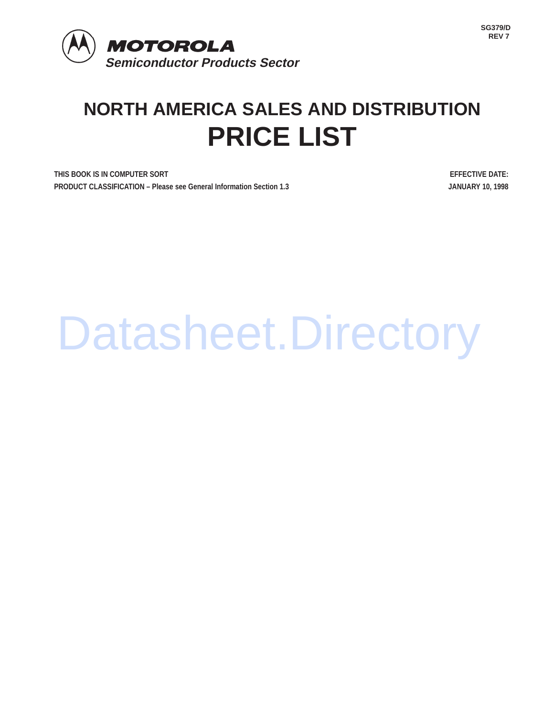

# **NORTH AMERICA SALES AND DISTRIBUTION PRICE LIST**

**THIS BOOK IS IN COMPUTER SORT EFFECTIVE DATE: PRODUCT CLASSIFICATION – Please see General Information Section 1.3** JANUARY 10, 1998

Datasheet.Directory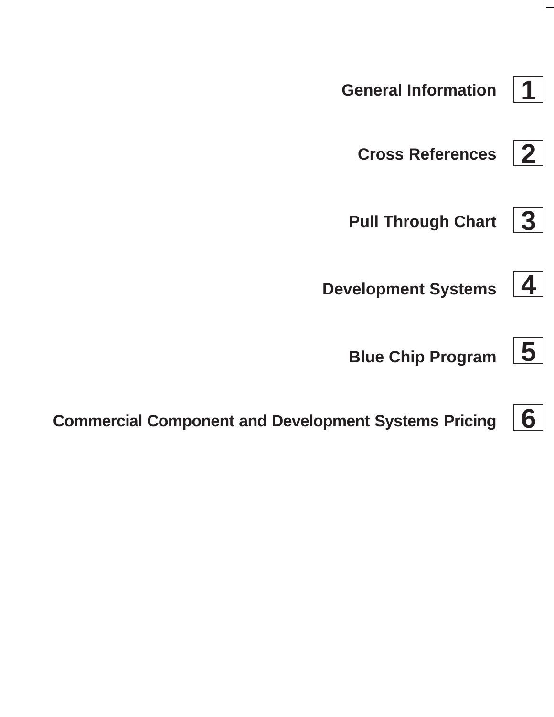





**Pull Through Chart**





**Development Systems**





**Commercial Component and Development Systems Pricing**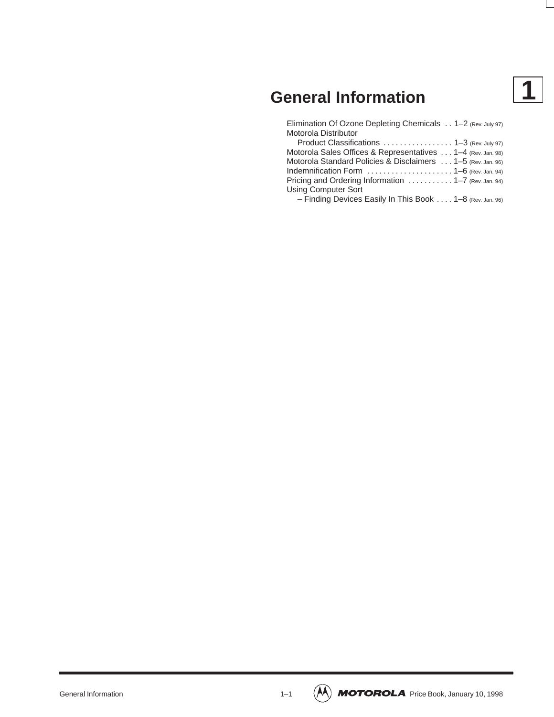## **General Information**

Elimination Of Ozone Depleting Chemicals . . 1–2 (Rev. July 97) Motorola Distributor Product Classifications . . . . . . . . . . . . . . . . 1–3 (Rev. July 97) Motorola Sales Offices & Representatives . . . 1–4 (Rev. Jan. 98) Motorola Standard Policies & Disclaimers . . . 1–5 (Rev. Jan. 96) Indemnification Form 1–6 . . . . . . . . . . . . . . . . . . . . . (Rev. Jan. 94) Pricing and Ordering Information . . . . . . . . . . 1–7 (Rev. Jan. 94) Using Computer Sort – Finding Devices Easily In This Book . . . . 1-8 (Rev. Jan. 96) **1**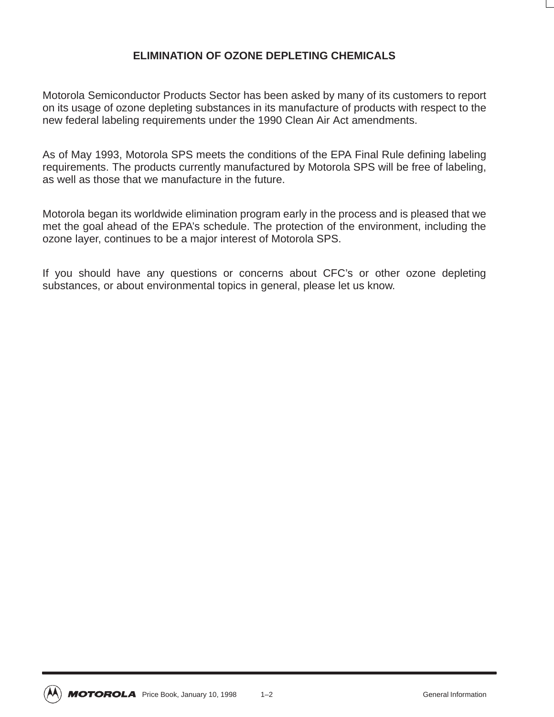## **ELIMINATION OF OZONE DEPLETING CHEMICALS**

Motorola Semiconductor Products Sector has been asked by many of its customers to report on its usage of ozone depleting substances in its manufacture of products with respect to the new federal labeling requirements under the 1990 Clean Air Act amendments.

As of May 1993, Motorola SPS meets the conditions of the EPA Final Rule defining labeling requirements. The products currently manufactured by Motorola SPS will be free of labeling, as well as those that we manufacture in the future.

Motorola began its worldwide elimination program early in the process and is pleased that we met the goal ahead of the EPA's schedule. The protection of the environment, including the ozone layer, continues to be a major interest of Motorola SPS.

If you should have any questions or concerns about CFC's or other ozone depleting substances, or about environmental topics in general, please let us know.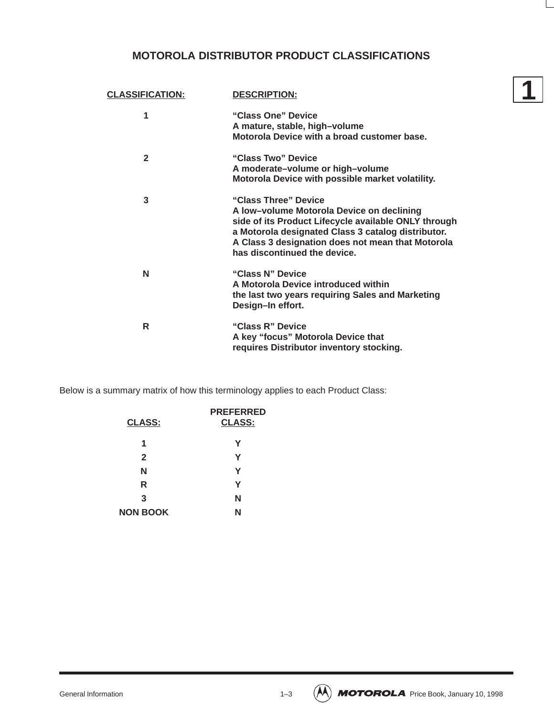## **MOTOROLA DISTRIBUTOR PRODUCT CLASSIFICATIONS**

| <b>CLASSIFICATION:</b> | <b>DESCRIPTION:</b>                                                                                                                                                                                                                                                  |
|------------------------|----------------------------------------------------------------------------------------------------------------------------------------------------------------------------------------------------------------------------------------------------------------------|
| 1                      | "Class One" Device<br>A mature, stable, high-volume<br>Motorola Device with a broad customer base.                                                                                                                                                                   |
| $\mathbf{2}$           | "Class Two" Device<br>A moderate-volume or high-volume<br>Motorola Device with possible market volatility.                                                                                                                                                           |
| 3                      | "Class Three" Device<br>A low-volume Motorola Device on declining<br>side of its Product Lifecycle available ONLY through<br>a Motorola designated Class 3 catalog distributor.<br>A Class 3 designation does not mean that Motorola<br>has discontinued the device. |
| N                      | "Class N" Device<br>A Motorola Device introduced within<br>the last two years requiring Sales and Marketing<br>Design-In effort.                                                                                                                                     |
| R.                     | "Class R" Device<br>A key "focus" Motorola Device that<br>requires Distributor inventory stocking.                                                                                                                                                                   |

Below is a summary matrix of how this terminology applies to each Product Class:

| <b>CLASS:</b>   | <b>PREFERRED</b><br><b>CLASS:</b> |
|-----------------|-----------------------------------|
| 1               | Υ                                 |
| $\mathbf{2}$    | Y                                 |
| N               | Υ                                 |
| R               | Υ                                 |
| 3               | N                                 |
| <b>NON BOOK</b> | N                                 |

**1**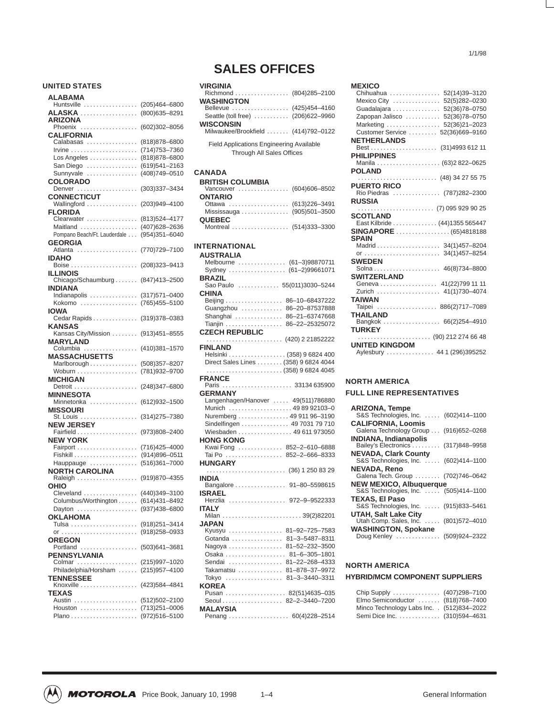1/1/98

#### **UNITED STATES**

| <b>ALABAMA</b>                    |                  |
|-----------------------------------|------------------|
| Huntsville                        | (205)464-6800    |
| ALASKA<br>ARIZONA                 | (800) 635 - 8291 |
| Phoenix<br>CALIFORNIA             | (602)302-8056    |
| Calabasas                         | (818) 878-6800   |
|                                   | (714) 753 - 7360 |
| Los Angeles                       | (818) 878 - 6800 |
| San Diego                         | (619)541-2163    |
| Sunnyvale                         | (408)749-0510    |
| <b>COLORADO</b>                   |                  |
| Denver                            | (303)337-3434    |
| <b>CONNECTICUT</b><br>Wallingford | (203)949-4100    |
| <b>FLORIDA</b>                    |                  |
| Clearwater                        | (813) 524 - 4177 |
| Maitland                          | (407)628-2636    |
| Pompano Beach/Ft. Lauderdale      | (954)351-6040    |
| <b>GEORGIA</b>                    |                  |
| Atlanta<br><b>IDAHO</b>           | (770)729-7100    |
|                                   | (208)323-9413    |
| ILLINOIS                          |                  |
| Chicago/Schaumburg                | (847)413-2500    |
| <b>INDIANA</b>                    |                  |
| Indianapolis                      | (317) 571 - 0400 |
|                                   | (765)455-5100    |
| Kokomo                            |                  |
| IOWA                              | (319)378-0383    |
| Cedar Rapids                      |                  |
| KANSAS                            |                  |
| Kansas City/Mission               | (913)451–8555    |
| <b>MARYLAND</b>                   |                  |
| Columbia                          | (410)381-1570    |
| <b>MASSACHUSETTS</b>              |                  |
| Marlborough                       | (508)357-8207    |
|                                   | (781) 932 - 9700 |
| MICHIGAN                          |                  |
|                                   | (248)347–6800    |
| MINNESOTA                         |                  |
| Minnetonka                        | (612)932-1500    |
| <b>MISSOURI</b>                   |                  |
| St. Louis                         | (314)275-7380    |
| <b>NEW JERSEY</b>                 |                  |
| <b>NEW YORK</b>                   | (973)808-2400    |
|                                   | (716)425-4000    |
|                                   |                  |
|                                   | (914)896-0511    |
| Hauppauge                         | (516)361-7000    |
| <b>NORTH CAROLINA</b>             |                  |
|                                   | (919)870-4355    |
| OHIO                              |                  |
| Cleveland                         | (440)349-3100    |
| Columbus/Worthington              | (614)431–8492    |
| Dayton                            | (937)438-6800    |
| <b>OKLAHOMA</b>                   |                  |
|                                   | (918)251–3414    |
|                                   | (918) 258 - 0933 |
| <b>OREGON</b>                     |                  |
| Portland                          | (503)641-3681    |
| <b>PENNSYLVANIA</b>               |                  |
| Colmar                            | (215)997–1020    |
| Philadelphia/Horsham              | (215) 957 - 4100 |
| <b>TENNESSEE</b>                  |                  |
| Knoxville                         | (423)584–4841    |
| TEXAS                             |                  |
| Austin                            | (512)502-2100    |
| Houston                           | (713)251-0006    |
|                                   | (972)516-5100    |
|                                   |                  |

## **SALES OFFICES**

| Richmond  (804)285-2100             |  |
|-------------------------------------|--|
| WASHINGTON                          |  |
| Bellevue  (425)454-4160             |  |
| Seattle (toll free)  (206)622-9960  |  |
| <b>WISCONSIN</b>                    |  |
| Milwaukee/Brookfield  (414)792-0122 |  |
|                                     |  |

Field Applications Engineering Available Through All Sales Offices

#### **CANADA**

| <b>BRITISH COLUMBIA</b>    |  |
|----------------------------|--|
| Vancouver  (604)606-8502   |  |
| <b>ONTARIO</b>             |  |
| Ottawa  (613)226-3491      |  |
| Mississauga  (905)501-3500 |  |
| <b>QUEBEC</b>              |  |
| Montreal  (514)333-3300    |  |

#### **INTERNATIONAL**

| <b>AUSTRALIA</b>                     |
|--------------------------------------|
| (61-3)98870711<br>Melbourne          |
| (61-2)99661071<br>$Sydney$           |
| <b>BRAZIL</b>                        |
| Sao Paulo  55(011)3030-5244          |
| <b>CHINA</b>                         |
| Beijing<br>86-10-68437222            |
| 86-20-87537888<br>Guangzhou          |
| Shanghai<br>86-21-63747668           |
| 86-22-25325072<br>Tianjin            |
| <b>CZECH REPUBLIC</b>                |
|                                      |
| <b>FINLAND</b>                       |
| Helsinki (358) 9 6824 400            |
| Direct Sales Lines (358) 9 6824 4044 |
|                                      |
|                                      |
| <b>FRANCE</b>                        |
| Paris  33134 635900                  |
| <b>GERMANY</b>                       |
| Langenhagen/Hanover  49(511)786880   |
| Munich  49 89 92103-0                |
| Nuremberg 49 911 96-3190             |
| Sindelfingen 49 7031 79 710          |
| Wiesbaden  49 611 973050             |
| <b>HONG KONG</b>                     |
| Kwai Fong  852-2-610-6888            |
| Tai Po  852-2-666-8333               |
| <b>HUNGARY</b>                       |
|                                      |
| <b>INDIA</b>                         |
| Bangalore  91-80-5598615             |
| <b>ISRAEL</b>                        |
| Herzlia  972-9-9522333               |
| <b>ITALY</b>                         |
| Milan 39(2)82201                     |
| <b>JAPAN</b>                         |
| Kyusyu<br>81-92-725-7583             |
| Gotanda  81-3-5487-8311              |
| 81-52-232-3500<br>$N$ agoya          |
| 81-6-305-1801                        |
| 81-22-268-4333<br>Sendai             |
| 81-878-37-9972<br>Takamatsu          |
| Tokyo  81-3-3440-3311                |
|                                      |
| <b>KOREA</b>                         |
| Pusan  82(51)4635-035                |
| Seoul 82-2-3440-7200                 |
| <b>MALAYSIA</b>                      |
| Penang  60(4)228-2514                |

#### **MEXICO**

| י טשוואו               |                                  |
|------------------------|----------------------------------|
|                        | Chihuahua  52(14)39-3120         |
|                        | Mexico City  52(5)282-0230       |
|                        | Guadalajara  52(36)78-0750       |
| Zapopan Jalisco        | 52(36)78-0750                    |
| Marketing              | 52(36)21-2023                    |
|                        | Customer Service  52(36)669-9160 |
| <b>NETHERLANDS</b>     |                                  |
|                        |                                  |
|                        |                                  |
|                        |                                  |
| POLAND                 |                                  |
|                        |                                  |
| <b>PUERTO RICO</b>     |                                  |
|                        | Rio Piedras  (787)282-2300       |
| <b>RUSSIA</b>          |                                  |
|                        |                                  |
| <b>SCOTLAND</b>        |                                  |
|                        | East Kilbride (44)1355 565447    |
| SINGAPORE  (65)4818188 |                                  |
| <b>SPAIN</b>           |                                  |
|                        |                                  |
|                        |                                  |
| <b>SWEDEN</b>          |                                  |
| <b>SWITZERLAND</b>     |                                  |
|                        | Geneva 41(22)799 11 11           |
|                        | Zurich  41(1)730-4074            |
| TAIWAN                 |                                  |
|                        | Taipei  886(2)717-7089           |
| THAILAND               |                                  |
| Bangkok  66(2)254-4910 |                                  |
| <b>TURKEY</b>          |                                  |
|                        |                                  |
| <b>UNITED KINGDOM</b>  |                                  |
|                        | Aylesbury  44 1 (296)395252      |
|                        |                                  |

#### **NORTH AMERICA**

#### **FULL LINE REPRESENTATIVES**

| <b>ARIZONA, Tempe</b>                |                   |
|--------------------------------------|-------------------|
| S&S Technologies, Inc.               | (602)414-1100     |
| <b>CALIFORNIA, Loomis</b>            |                   |
| Galena Technology Group              | (916) 652 - 0268  |
| <b>INDIANA, Indianapolis</b>         |                   |
| Bailey's Electronics                 | (317)848-9958     |
| <b>NEVADA, Clark County</b>          |                   |
| S&S Technologies, Inc.               | (602)414-1100     |
| <b>NEVADA, Reno</b>                  |                   |
| Galena Tech. Group  (702)746-0642    |                   |
| <b>NEW MEXICO, Albuquerque</b>       |                   |
| S&S Technologies, Inc. (505)414-1100 |                   |
| <b>TEXAS. El Paso</b>                |                   |
| S&S Technologies, Inc.               | $(915)833 - 5461$ |
| <b>UTAH, Salt Lake City</b>          |                   |
| Utah Comp. Sales, Inc.               | (801) 572 - 4010  |
| <b>WASHINGTON, Spokane</b>           |                   |
| Doug Kenley                          | (509)924-2322     |
|                                      |                   |

## **NORTH AMERICA**

#### **HYBRID/MCM COMPONENT SUPPLIERS**

| Chip Supply  (407) 298-7100                |  |
|--------------------------------------------|--|
| Elmo Semiconductor  (818)768-7400          |  |
| Minco Technology Labs Inc. . (512)834-2022 |  |
| Semi Dice Inc. (310)594-4631               |  |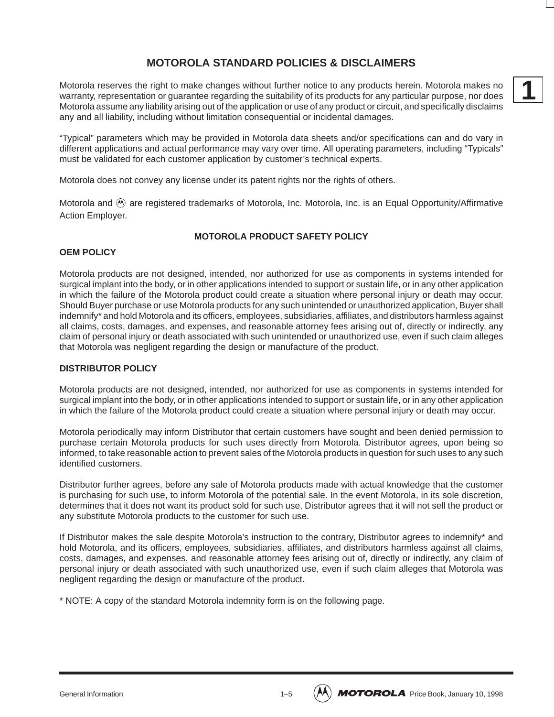## **MOTOROLA STANDARD POLICIES & DISCLAIMERS**

Motorola reserves the right to make changes without further notice to any products herein. Motorola makes no warranty, representation or guarantee regarding the suitability of its products for any particular purpose, nor does Motorola assume any liability arising out of the application or use of any product or circuit, and specifically disclaims any and all liability, including without limitation consequential or incidental damages.

"Typical" parameters which may be provided in Motorola data sheets and/or specifications can and do vary in different applications and actual performance may vary over time. All operating parameters, including "Typicals" must be validated for each customer application by customer's technical experts.

Motorola does not convey any license under its patent rights nor the rights of others.

Motorola and  $\&$  are registered trademarks of Motorola, Inc. Motorola, Inc. is an Equal Opportunity/Affirmative Action Employer.

#### **MOTOROLA PRODUCT SAFETY POLICY**

#### **OEM POLICY**

Motorola products are not designed, intended, nor authorized for use as components in systems intended for surgical implant into the body, or in other applications intended to support or sustain life, or in any other application in which the failure of the Motorola product could create a situation where personal injury or death may occur. Should Buyer purchase or use Motorola products for any such unintended or unauthorized application, Buyer shall indemnify\* and hold Motorola and its officers, employees, subsidiaries, affiliates, and distributors harmless against all claims, costs, damages, and expenses, and reasonable attorney fees arising out of, directly or indirectly, any claim of personal injury or death associated with such unintended or unauthorized use, even if such claim alleges that Motorola was negligent regarding the design or manufacture of the product.

#### **DISTRIBUTOR POLICY**

Motorola products are not designed, intended, nor authorized for use as components in systems intended for surgical implant into the body, or in other applications intended to support or sustain life, or in any other application in which the failure of the Motorola product could create a situation where personal injury or death may occur.

Motorola periodically may inform Distributor that certain customers have sought and been denied permission to purchase certain Motorola products for such uses directly from Motorola. Distributor agrees, upon being so informed, to take reasonable action to prevent sales of the Motorola products in question for such uses to any such identified customers.

Distributor further agrees, before any sale of Motorola products made with actual knowledge that the customer is purchasing for such use, to inform Motorola of the potential sale. In the event Motorola, in its sole discretion, determines that it does not want its product sold for such use, Distributor agrees that it will not sell the product or any substitute Motorola products to the customer for such use.

If Distributor makes the sale despite Motorola's instruction to the contrary, Distributor agrees to indemnify\* and hold Motorola, and its officers, employees, subsidiaries, affiliates, and distributors harmless against all claims, costs, damages, and expenses, and reasonable attorney fees arising out of, directly or indirectly, any claim of personal injury or death associated with such unauthorized use, even if such claim alleges that Motorola was negligent regarding the design or manufacture of the product.

\* NOTE: A copy of the standard Motorola indemnity form is on the following page.

**1**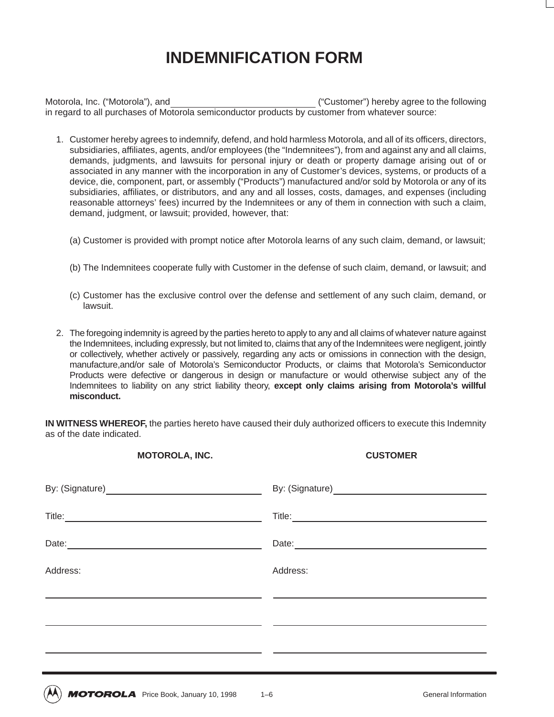## **INDEMNIFICATION FORM**

Motorola, Inc. ("Motorola"), and ("Customer") hereby agree to the following in regard to all purchases of Motorola semiconductor products by customer from whatever source:

- 1. Customer hereby agrees to indemnify, defend, and hold harmless Motorola, and all of its officers, directors, subsidiaries, affiliates, agents, and/or employees (the "Indemnitees"), from and against any and all claims, demands, judgments, and lawsuits for personal injury or death or property damage arising out of or associated in any manner with the incorporation in any of Customer's devices, systems, or products of a device, die, component, part, or assembly ("Products") manufactured and/or sold by Motorola or any of its subsidiaries, affiliates, or distributors, and any and all losses, costs, damages, and expenses (including reasonable attorneys' fees) incurred by the Indemnitees or any of them in connection with such a claim, demand, judgment, or lawsuit; provided, however, that:
	- (a) Customer is provided with prompt notice after Motorola learns of any such claim, demand, or lawsuit;
	- (b) The Indemnitees cooperate fully with Customer in the defense of such claim, demand, or lawsuit; and
	- (c) Customer has the exclusive control over the defense and settlement of any such claim, demand, or lawsuit.
- 2. The foregoing indemnity is agreed by the parties hereto to apply to any and all claims of whatever nature against the Indemnitees, including expressly, but not limited to, claims that any of the Indemnitees were negligent, jointly or collectively, whether actively or passively, regarding any acts or omissions in connection with the design, manufacture,and/or sale of Motorola's Semiconductor Products, or claims that Motorola's Semiconductor Products were defective or dangerous in design or manufacture or would otherwise subject any of the Indemnitees to liability on any strict liability theory, **except only claims arising from Motorola's willful misconduct.**

**IN WITNESS WHEREOF,** the parties hereto have caused their duly authorized officers to execute this Indemnity as of the date indicated.

**MOTOROLA, INC. CUSTOMER**

|          | Date:    |
|----------|----------|
| Address: | Address: |
|          |          |
|          |          |
|          |          |
|          |          |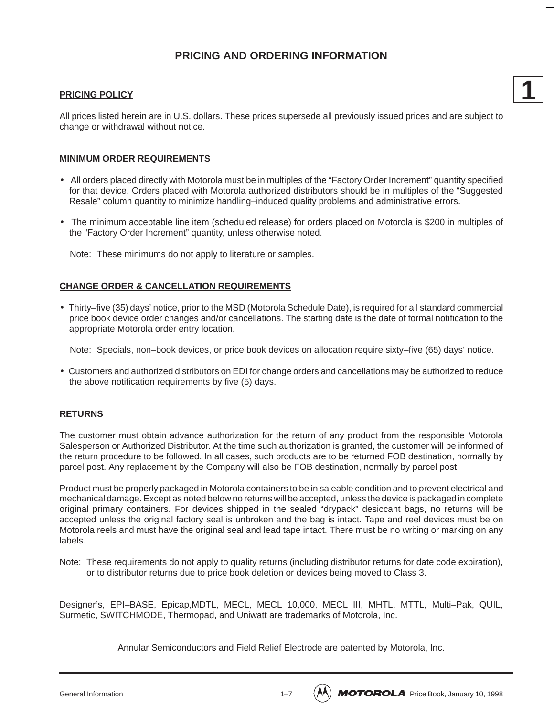## **PRICING AND ORDERING INFORMATION**

#### **PRICING POLICY**

All prices listed herein are in U.S. dollars. These prices supersede all previously issued prices and are subject to change or withdrawal without notice.

#### **MINIMUM ORDER REQUIREMENTS**

- All orders placed directly with Motorola must be in multiples of the "Factory Order Increment" quantity specified for that device. Orders placed with Motorola authorized distributors should be in multiples of the "Suggested Resale" column quantity to minimize handling–induced quality problems and administrative errors.
- The minimum acceptable line item (scheduled release) for orders placed on Motorola is \$200 in multiples of the "Factory Order Increment" quantity, unless otherwise noted.

Note: These minimums do not apply to literature or samples.

#### **CHANGE ORDER & CANCELLATION REQUIREMENTS**

• Thirty–five (35) days' notice, prior to the MSD (Motorola Schedule Date), is required for all standard commercial price book device order changes and/or cancellations. The starting date is the date of formal notification to the appropriate Motorola order entry location.

Note: Specials, non–book devices, or price book devices on allocation require sixty–five (65) days' notice.

• Customers and authorized distributors on EDI for change orders and cancellations may be authorized to reduce the above notification requirements by five (5) days.

#### **RETURNS**

The customer must obtain advance authorization for the return of any product from the responsible Motorola Salesperson or Authorized Distributor. At the time such authorization is granted, the customer will be informed of the return procedure to be followed. In all cases, such products are to be returned FOB destination, normally by parcel post. Any replacement by the Company will also be FOB destination, normally by parcel post.

Product must be properly packaged in Motorola containers to be in saleable condition and to prevent electrical and mechanical damage. Except as noted below no returns will be accepted, unless the device is packaged in complete original primary containers. For devices shipped in the sealed "drypack" desiccant bags, no returns will be accepted unless the original factory seal is unbroken and the bag is intact. Tape and reel devices must be on Motorola reels and must have the original seal and lead tape intact. There must be no writing or marking on any labels.

Note: These requirements do not apply to quality returns (including distributor returns for date code expiration), or to distributor returns due to price book deletion or devices being moved to Class 3.

Designer's, EPI–BASE, Epicap,MDTL, MECL, MECL 10,000, MECL III, MHTL, MTTL, Multi–Pak, QUIL, Surmetic, SWITCHMODE, Thermopad, and Uniwatt are trademarks of Motorola, Inc.

Annular Semiconductors and Field Relief Electrode are patented by Motorola, Inc.



**1**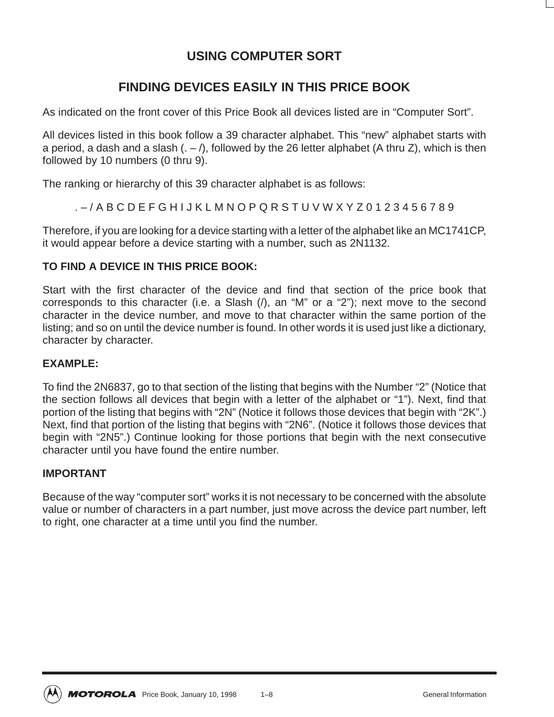## **USING COMPUTER SORT**

## **FINDING DEVICES EASILY IN THIS PRICE BOOK**

As indicated on the front cover of this Price Book all devices listed are in "Computer Sort".

All devices listed in this book follow a 39 character alphabet. This "new" alphabet starts with a period, a dash and a slash  $(.-/)$ , followed by the 26 letter alphabet (A thru Z), which is then followed by 10 numbers (0 thru 9).

The ranking or hierarchy of this 39 character alphabet is as follows:

. – / A B C D E F G H I J K L M N O P Q R S T U V W X Y Z 0 1 2 3 4 5 6 7 8 9

Therefore, if you are looking for a device starting with a letter of the alphabet like an MC1741CP, it would appear before a device starting with a number, such as 2N1132.

## **TO FIND A DEVICE IN THIS PRICE BOOK:**

Start with the first character of the device and find that section of the price book that corresponds to this character (i.e. a Slash (/), an "M" or a "2"); next move to the second character in the device number, and move to that character within the same portion of the listing; and so on until the device number is found. In other words it is used just like a dictionary, character by character.

### **EXAMPLE:**

To find the 2N6837, go to that section of the listing that begins with the Number "2" (Notice that the section follows all devices that begin with a letter of the alphabet or "1"). Next, find that portion of the listing that begins with "2N" (Notice it follows those devices that begin with "2K".) Next, find that portion of the listing that begins with "2N6". (Notice it follows those devices that begin with "2N5".) Continue looking for those portions that begin with the next consecutive character until you have found the entire number.

### **IMPORTANT**

Because of the way "computer sort" works it is not necessary to be concerned with the absolute value or number of characters in a part number, just move across the device part number, left to right, one character at a time until you find the number.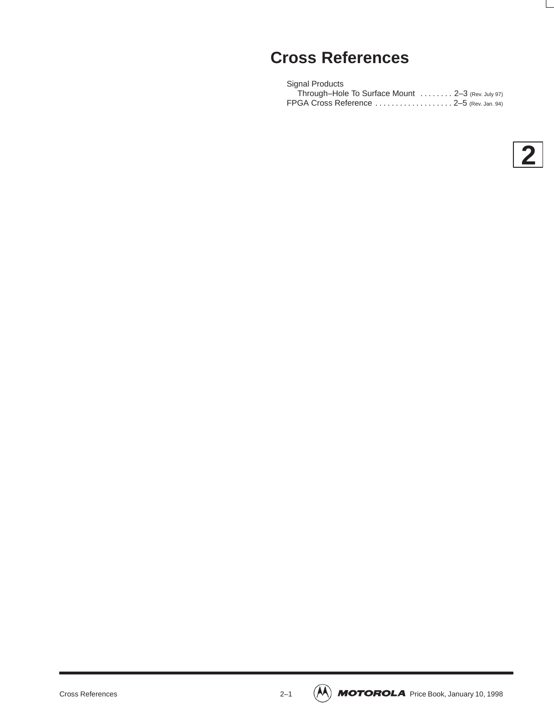## **Cross References**

| Signal Products                                                              |  |
|------------------------------------------------------------------------------|--|
| Through-Hole To Surface Mount  2-3 (Rev. July 97)                            |  |
| FPGA Cross Reference $\ldots \ldots \ldots \ldots \ldots 2-5$ (Rev. Jan. 94) |  |

**2**

L

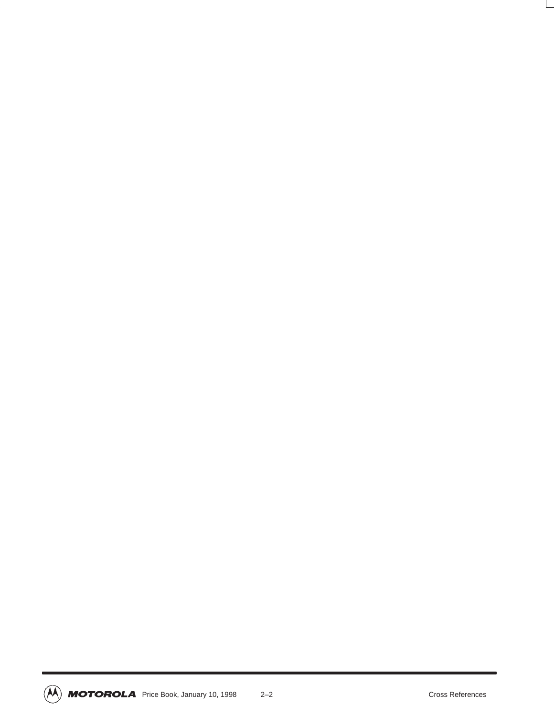(A) **MOTOROLA** Price Book, January 10, 1998 2–2

 $\mathsf{L}$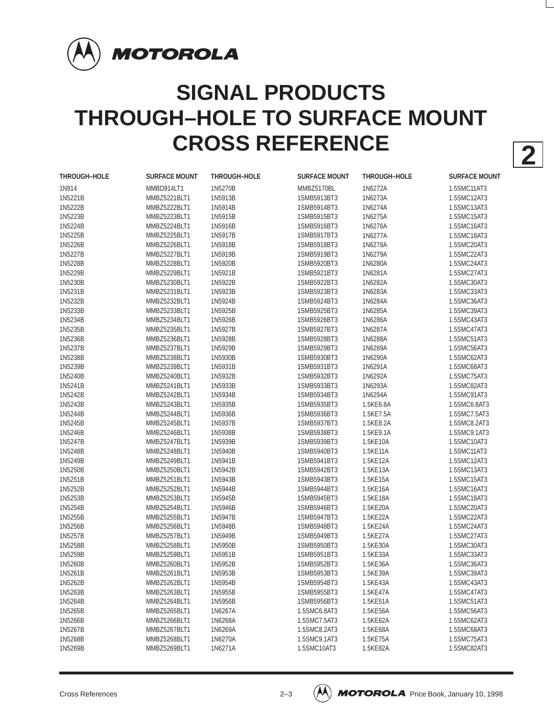

# **SIGNAL PRODUCTS THROUGH–HOLE TO SURFACE MOUNT CROSS REFERENCE**

| <b>THROUGH-HOLE</b> | <b>SURFACE MOUNT</b> | <b>THROUGH-HOLE</b> | <b>SURFACE MOUNT</b> | <b>THROUGH-HOLE</b> | <b>SURFACE MOUNT</b> |
|---------------------|----------------------|---------------------|----------------------|---------------------|----------------------|
| 1N914               | MMBD914LT1           | 1N5270B             | MMBZ5170BL           | 1N6272A             | 1.5SMC11AT3          |
| 1N5221B             | MMBZ5221BLT1         | 1N5913B             | 1SMB5913BT3          | 1N6273A             | 1.5SMC12AT3          |
| 1N5222B             | MMBZ5222BLT1         | 1N5914B             | 1SMB5914BT3          | 1N6274A             | 1.5SMC13AT3          |
| 1N5223B             | MMBZ5223BLT1         | 1N5915B             | 1SMB5915BT3          | 1N6275A             | 1.5SMC15AT3          |
| 1N5224B             | MMBZ5224BLT1         | 1N5916B             | 1SMB5916BT3          | 1N6276A             | 1.5SMC16AT3          |
| 1N5225B             | MMBZ5225BLT1         | 1N5917B             | 1SMB5917BT3          | 1N6277A             | 1.5SMC18AT3          |
| 1N5226B             | MMBZ5226BLT1         | 1N5918B             | 1SMB5918BT3          | 1N6278A             | 1.5SMC20AT3          |
| 1N5227B             | MMBZ5227BLT1         | 1N5919B             | 1SMB5919BT3          | 1N6279A             | 1.5SMC22AT3          |
| 1N5228B             | MMBZ5228BLT1         | 1N5920B             | 1SMB5920BT3          | 1N6280A             | 1.5SMC24AT3          |
| 1N5229B             | MMBZ5229BLT1         | 1N5921B             | 1SMB5921BT3          | 1N6281A             | 1.5SMC27AT3          |
| 1N5230B             | MMBZ5230BLT1         | 1N5922B             | 1SMB5922BT3          | 1N6282A             | 1.5SMC30AT3          |
| 1N5231B             | MMBZ5231BLT1         | 1N5923B             | 1SMB5923BT3          | 1N6283A             | 1.5SMC33AT3          |
| 1N5232B             | MMBZ5232BLT1         | 1N5924B             | 1SMB5924BT3          | 1N6284A             | 1.5SMC36AT3          |
| 1N5233B             | MMBZ5233BLT1         | 1N5925B             | 1SMB5925BT3          | 1N6285A             | 1.5SMC39AT3          |
| 1N5234B             | MMBZ5234BLT1         | 1N5926B             | 1SMB5926BT3          | 1N6286A             | 1.5SMC43AT3          |
| 1N5235B             | MMBZ5235BLT1         | 1N5927B             | 1SMB5927BT3          | 1N6287A             | 1.5SMC47AT3          |
| 1N5236B             | MMBZ5236BLT1         | 1N5928B             | 1SMB5928BT3          | 1N6288A             | 1.5SMC51AT3          |
| 1N5237B             | MMBZ5237BLT1         | 1N5929B             | 1SMB5929BT3          | 1N6289A             | 1.5SMC56AT3          |
| 1N5238B             | MMBZ5238BLT1         | 1N5930B             | 1SMB5930BT3          | 1N6290A             | 1.5SMC62AT3          |
| 1N5239B             | MMBZ5239BLT1         | 1N5931B             | 1SMB5931BT3          | 1N6291A             | 1.5SMC68AT3          |
| 1N5240B             | MMBZ5240BLT1         | 1N5932B             | 1SMB5932BT3          | 1N6292A             | 1.5SMC75AT3          |
| 1N5241B             | MMBZ5241BLT1         | 1N5933B             | 1SMB5933BT3          | 1N6293A             | 1.5SMC82AT3          |
| 1N5242B             | MMBZ5242BLT1         | 1N5934B             | 1SMB5934BT3          | 1N6294A             | 1.5SMC91AT3          |
| 1N5243B             | MMBZ5243BLT1         | 1N5935B             | 1SMB5935BT3          | 1.5KE6.8A           | 1.5SMC6.8AT3         |
| 1N5244B             | MMBZ5244BLT1         | 1N5936B             | 1SMB5936BT3          | 1.5KE7.5A           | 1.5SMC7.5AT3         |
| 1N5245B             | MMBZ5245BLT1         | 1N5937B             | 1SMB5937BT3          | 1.5KE8.2A           | 1.5SMC8.2AT3         |
| 1N5246B             | MMBZ5246BLT1         | 1N5938B             | 1SMB5938BT3          | 1.5KE9.1A           | 1.5SMC9.1AT3         |
| 1N5247B             | MMBZ5247BLT1         | 1N5939B             | 1SMB5939BT3          | 1.5KE10A            | 1.5SMC10AT3          |
| 1N5248B             | MMBZ5248BLT1         | 1N5940B             | 1SMB5940BT3          | 1.5KE11A            | 1.5SMC11AT3          |
| 1N5249B             | MMBZ5249BLT1         | 1N5941B             | 1SMB5941BT3          | 1.5KE12A            | 1.5SMC12AT3          |
| 1N5250B             | MMBZ5250BLT1         | 1N5942B             | 1SMB5942BT3          | 1.5KE13A            | 1.5SMC13AT3          |
| 1N5251B             | MMBZ5251BLT1         | 1N5943B             | 1SMB5943BT3          | 1.5KE15A            | 1.5SMC15AT3          |
| 1N5252B             | MMBZ5252BLT1         | 1N5944B             | 1SMB5944BT3          | 1.5KE16A            | 1.5SMC16AT3          |
| 1N5253B             | MMBZ5253BLT1         | 1N5945B             | 1SMB5945BT3          | 1.5KE18A            | 1.5SMC18AT3          |
| 1N5254B             | MMBZ5254BLT1         | 1N5946B             | 1SMB5946BT3          | 1.5KE20A            | 1.5SMC20AT3          |
| 1N5255B             | MMBZ5255BLT1         | 1N5947B             | 1SMB5947BT3          | 1.5KE22A            | 1.5SMC22AT3          |
| 1N5256B             | MMBZ5256BLT1         | 1N5948B             | 1SMB5948BT3          | 1.5KE24A            | 1.5SMC24AT3          |
| 1N5257B             | MMBZ5257BLT1         | 1N5949B             | 1SMB5949BT3          | 1.5KE27A            | 1.5SMC27AT3          |
| 1N5258B             | MMBZ5258BLT1         | 1N5950B             | 1SMB5950BT3          | 1.5KE30A            | 1.5SMC30AT3          |
| 1N5259B             | MMBZ5259BLT1         | 1N5951B             | 1SMB5951BT3          | 1.5KE33A            | 1.5SMC33AT3          |
| 1N5260B             | MMBZ5260BLT1         | 1N5952B             | 1SMB5952BT3          | 1.5KE36A            | 1.5SMC36AT3          |
| 1N5261B             | MMBZ5261BLT1         | 1N5953B             | 1SMB5953BT3          | 1.5KE39A            | 1.5SMC39AT3          |
| 1N5262B             | MMBZ5262BLT1         | 1N5954B             | 1SMB5954BT3          | 1.5KE43A            | 1.5SMC43AT3          |
| 1N5263B             | MMBZ5263BLT1         | 1N5955B             | 1SMB5955BT3          | 1.5KE47A            | 1.5SMC47AT3          |
| 1N5264B             | MMBZ5264BLT1         | 1N5956B             | 1SMB5956BT3          | 1.5KE51A            | 1.5SMC51AT3          |
| 1N5265B             | MMBZ5265BLT1         | 1N6267A             | 1.5SMC6.8AT3         | 1.5KE56A            | 1.5SMC56AT3          |
| 1N5266B             | MMBZ5266BLT1         | 1N6268A             | 1.5SMC7.5AT3         | 1.5KE62A            | 1.5SMC62AT3          |
| 1N5267B             | MMBZ5267BLT1         | 1N6269A             | 1.5SMC8.2AT3         | 1.5KE68A            | 1.5SMC68AT3          |
| 1N5268B             | MMBZ5268BLT1         | 1N6270A             | 1.5SMC9.1AT3         | 1.5KE75A            | 1.5SMC75AT3          |
| 1N5269B             | MMBZ5269BLT1         | 1N6271A             | 1.5SMC10AT3          | 1.5KE82A            | 1.5SMC82AT3          |
|                     |                      |                     |                      |                     |                      |

**2**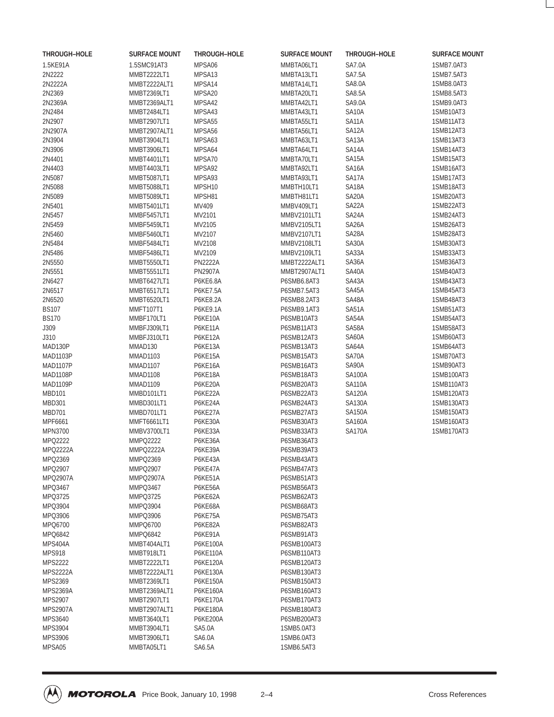| THROUGH-HOLE       | <b>SURFACE MOUNT</b>      | THROUGH-HOLE                       | <b>SURFACE MOUNT</b>       | THROUGH-HOLE       | <b>SURFACE MOUNT</b> |
|--------------------|---------------------------|------------------------------------|----------------------------|--------------------|----------------------|
| 1.5KE91A           | 1.5SMC91AT3               | MPSA06                             | MMBTA06LT1                 | <b>SA7.0A</b>      | 1SMB7.0AT3           |
| 2N2222             | MMBT2222LT1               | MPSA13                             | MMBTA13LT1                 | <b>SA7.5A</b>      | 1SMB7.5AT3           |
| 2N2222A            | MMBT2222ALT1              | MPSA14                             | MMBTA14LT1                 | <b>SA8.0A</b>      | 1SMB8.0AT3           |
| 2N2369             | MMBT2369LT1               | MPSA20                             | MMBTA20LT1                 | <b>SA8.5A</b>      | 1SMB8.5AT3           |
| 2N2369A            | MMBT2369ALT1              | MPSA42                             | MMBTA42LT1                 | SA9.0A             | 1SMB9.0AT3           |
| 2N2484             | MMBT2484LT1               | MPSA43                             | MMBTA43LT1                 | SA10A              | 1SMB10AT3            |
| 2N2907             | MMBT2907LT1               | MPSA <sub>55</sub>                 | MMBTA55LT1                 | SA11A              | 1SMB11AT3            |
| 2N2907A            | MMBT2907ALT1              | MPSA <sub>56</sub>                 | MMBTA56LT1                 | SA12A              | 1SMB12AT3            |
| 2N3904             | MMBT3904LT1               | MPSA63                             | MMBTA63LT1                 | SA13A              | 1SMB13AT3            |
| 2N3906             | MMBT3906LT1               | MPSA64                             | MMBTA64LT1                 | SA14A              | 1SMB14AT3            |
| 2N4401             | MMBT4401LT1               | MPSA70                             | MMBTA70LT1                 | SA <sub>15</sub> A | 1SMB15AT3            |
| 2N4403             | MMBT4403LT1               | MPSA92                             | MMBTA92LT1                 | SA <sub>16</sub> A | 1SMB16AT3            |
| 2N5087             | <b>MMBT5087LT1</b>        | MPSA93                             | MMBTA93LT1                 | SA17A              | 1SMB17AT3            |
| 2N5088             | MMBT5088LT1               | MPSH10                             | MMBTH10LT1                 | SA18A              | 1SMB18AT3            |
| 2N5089             | MMBT5089LT1               | MPSH81                             | MMBTH81LT1                 | SA20A              | 1SMB20AT3            |
| 2N5401             | MMBT5401LT1               | MV409                              | MMBV409LT1                 | SA22A              | 1SMB22AT3            |
| 2N5457             | MMBF5457LT1               | MV2101                             | MMBV2101LT1                | SA24A              | 1SMB24AT3            |
| 2N5459             | MMBF5459LT1               | MV2105                             | MMBV2105LT1                | SA26A              | 1SMB26AT3            |
| 2N5460             | MMBF5460LT1               | MV2107                             | MMBV2107LT1                | SA <sub>28</sub> A | 1SMB28AT3            |
| 2N5484             | MMBF5484LT1               | MV2108                             | MMBV2108LT1                | SA30A              | 1SMB30AT3            |
| 2N5486             | MMBF5486LT1               | MV2109                             | MMBV2109LT1                | SA33A              | 1SMB33AT3            |
| 2N5550             | MMBT5550LT1               | <b>PN2222A</b>                     | MMBT2222ALT1               | SA36A              | 1SMB36AT3            |
| 2N5551             | <b>MMBT5551LT1</b>        | <b>PN2907A</b>                     | MMBT2907ALT1               | SA40A              | 1SMB40AT3            |
| 2N6427             | MMBT6427LT1               | P6KE6.8A                           | P6SMB6.8AT3                | SA43A              | 1SMB43AT3            |
| 2N6517             | MMBT6517LT1               | <b>P6KE7.5A</b>                    | <b>P6SMB7.5AT3</b>         | SA45A              | 1SMB45AT3            |
| 2N6520             | MMBT6520LT1               | <b>P6KE8.2A</b>                    | P6SMB8.2AT3                | SA48A              | 1SMB48AT3            |
| <b>BS107</b>       | <b>MMFT107T1</b>          | P6KE9.1A                           | P6SMB9.1AT3                | SA51A              | 1SMB51AT3            |
| <b>BS170</b>       | MMBF170LT1                | P6KE10A                            | P6SMB10AT3                 | SA54A              | 1SMB54AT3            |
| J309               | MMBFJ309LT1               | P6KE11A                            | P6SMB11AT3                 | SA58A              | 1SMB58AT3            |
| J310               | MMBFJ310LT1               | P6KE12A                            | P6SMB12AT3                 | SA60A              | 1SMB60AT3            |
| MAD130P            | MMAD130                   | P6KE13A                            | P6SMB13AT3                 | SA64A              | 1SMB64AT3            |
| <b>MAD1103P</b>    | <b>MMAD1103</b>           | P6KE15A                            | P6SMB15AT3                 | SA70A              | 1SMB70AT3            |
| <b>MAD1107P</b>    | <b>MMAD1107</b>           | P6KE16A                            | P6SMB16AT3                 | SA90A              | 1SMB90AT3            |
| <b>MAD1108P</b>    | MMAD1108                  | P6KE18A                            | P6SMB18AT3                 | <b>SA100A</b>      | 1SMB100AT3           |
| <b>MAD1109P</b>    | <b>MMAD1109</b>           | P6KE20A                            | P6SMB20AT3                 | <b>SA110A</b>      | 1SMB110AT3           |
| <b>MBD101</b>      | MMBD101LT1                | P6KE22A                            | P6SMB22AT3                 | <b>SA120A</b>      | 1SMB120AT3           |
| <b>MBD301</b>      | MMBD301LT1                | P6KE24A                            | P6SMB24AT3                 | <b>SA130A</b>      | 1SMB130AT3           |
| <b>MBD701</b>      | MMBD701LT1                | P6KE27A                            | P6SMB27AT3                 | <b>SA150A</b>      | 1SMB150AT3           |
| MPF6661            | MMFT6661LT1               | P6KE30A                            | P6SMB30AT3                 | <b>SA160A</b>      | 1SMB160AT3           |
| MPN3700            | MMBV3700LT1               | P6KE33A                            | P6SMB33AT3                 | <b>SA170A</b>      | 1SMB170AT3           |
| MPQ2222            | <b>MMPQ2222</b>           | P6KE36A                            | P6SMB36AT3                 |                    |                      |
| MPQ2222A           | <b>MMPQ2222A</b>          | P6KE39A                            | P6SMB39AT3                 |                    |                      |
| MPQ2369            | MMPQ2369                  | P6KE43A                            | P6SMB43AT3                 |                    |                      |
| MPQ2907            | MMPQ2907                  | P6KE47A                            | P6SMB47AT3                 |                    |                      |
| MPQ2907A           | MMPQ2907A                 | P6KE51A                            | P6SMB51AT3                 |                    |                      |
| MPQ3467            | MMPQ3467                  | P6KE56A                            | P6SMB56AT3                 |                    |                      |
| MPQ3725            | MMPQ3725                  | P6KE62A                            | P6SMB62AT3                 |                    |                      |
| MPQ3904            | MMPQ3904                  | P6KE68A                            | P6SMB68AT3                 |                    |                      |
| MPQ3906            | MMPQ3906                  | P6KE75A                            | P6SMB75AT3                 |                    |                      |
| MPQ6700<br>MPQ6842 | MMPQ6700<br>MMPQ6842      | P6KE82A<br>P6KE91A                 | P6SMB82AT3<br>P6SMB91AT3   |                    |                      |
| MPS404A            |                           |                                    |                            |                    |                      |
| <b>MPS918</b>      | MMBT404ALT1<br>MMBT918LT1 | <b>P6KE100A</b><br><b>P6KE110A</b> | P6SMB100AT3<br>P6SMB110AT3 |                    |                      |
| <b>MPS2222</b>     | MMBT2222LT1               | <b>P6KE120A</b>                    | P6SMB120AT3                |                    |                      |
| <b>MPS2222A</b>    | MMBT2222ALT1              | <b>P6KE130A</b>                    | P6SMB130AT3                |                    |                      |
| MPS2369            | MMBT2369LT1               | <b>P6KE150A</b>                    | P6SMB150AT3                |                    |                      |
| <b>MPS2369A</b>    | MMBT2369ALT1              | P6KE160A                           | P6SMB160AT3                |                    |                      |
| MPS2907            | MMBT2907LT1               | <b>P6KE170A</b>                    | P6SMB170AT3                |                    |                      |
| MPS2907A           | MMBT2907ALT1              | <b>P6KE180A</b>                    | P6SMB180AT3                |                    |                      |
| MPS3640            | MMBT3640LT1               | <b>P6KE200A</b>                    | P6SMB200AT3                |                    |                      |
| MPS3904            | MMBT3904LT1               | <b>SA5.0A</b>                      | 1SMB5.0AT3                 |                    |                      |
| MPS3906            | MMBT3906LT1               | <b>SA6.0A</b>                      | 1SMB6.0AT3                 |                    |                      |
| MPSA05             | MMBTA05LT1                | SA6.5A                             | 1SMB6.5AT3                 |                    |                      |
|                    |                           |                                    |                            |                    |                      |

L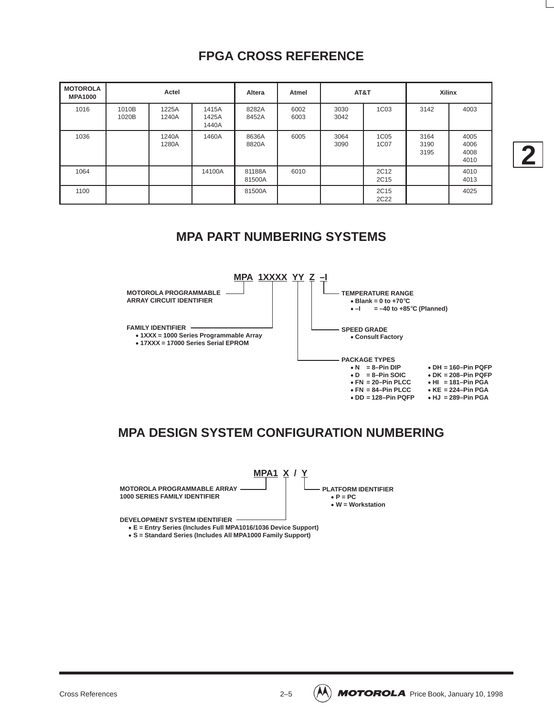## **FPGA CROSS REFERENCE**

| <b>MOTOROLA</b><br><b>MPA1000</b> | Actel          |                |                         | Altera           | Atmel        | AT&T         |              | <b>Xilinx</b>        |                              |  |
|-----------------------------------|----------------|----------------|-------------------------|------------------|--------------|--------------|--------------|----------------------|------------------------------|--|
| 1016                              | 1010B<br>1020B | 1225A<br>1240A | 1415A<br>1425A<br>1440A | 8282A<br>8452A   | 6002<br>6003 | 3030<br>3042 | 1C03         | 3142                 | 4003                         |  |
| 1036                              |                | 1240A<br>1280A | 1460A                   | 8636A<br>8820A   | 6005         | 3064<br>3090 | 1C05<br>1C07 | 3164<br>3190<br>3195 | 4005<br>4006<br>4008<br>4010 |  |
| 1064                              |                |                | 14100A                  | 81188A<br>81500A | 6010         |              | 2C12<br>2C15 |                      | 4010<br>4013                 |  |
| 1100                              |                |                |                         | 81500A           |              |              | 2C15<br>2C22 |                      | 4025                         |  |

## **MPA PART NUMBERING SYSTEMS**



## **MPA DESIGN SYSTEM CONFIGURATION NUMBERING**



**DEVELOPMENT SYSTEM IDENTIFIER**

 **E = Entry Series (Includes Full MPA1016/1036 Device Support) S = Standard Series (Includes All MPA1000 Family Support)**

**2**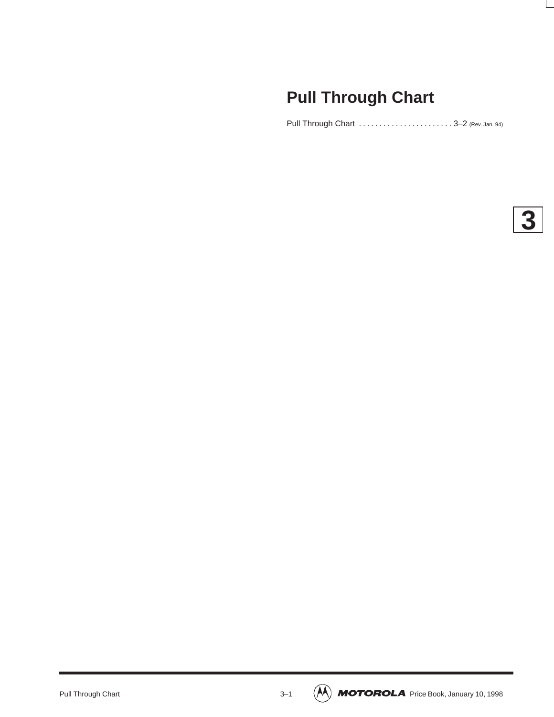## **Pull Through Chart**

Pull Through Chart 3–2 . . . . . . . . . . . . . . . . . . . . . . . (Rev. Jan. 94)

L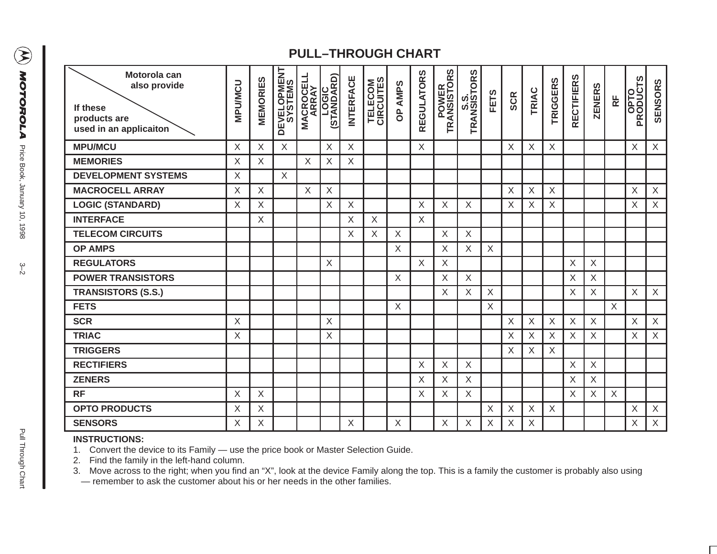## **PULL–THROUGH CHART**

| Motorola can<br>also provide<br>If these<br>products are<br>used in an applicaiton | MPU/MCU | <b>MEMORIES</b> | <b>DEVELOPMENT</b><br>SYSTEMS | <b>MACROCELL</b><br>ARRAY | (STANDARD)<br>(STANDARD) | <b>INTERFACE</b> | <b>TELECOM</b><br>CIRCUITES | <b>OP AMPS</b> | <b>REGULATORS</b> | POWER<br>TRANSISTORS | TRANSISTORS | <b>FETS</b> | <b>SCR</b> | TRIAC | <b>TRIGGERS</b> | <b>RECTIFIERS</b> | <b>ZENERS</b> | $\overline{R}$ | PRODUCTS                  | <b>SENSORS</b> |
|------------------------------------------------------------------------------------|---------|-----------------|-------------------------------|---------------------------|--------------------------|------------------|-----------------------------|----------------|-------------------|----------------------|-------------|-------------|------------|-------|-----------------|-------------------|---------------|----------------|---------------------------|----------------|
| <b>MPU/MCU</b>                                                                     | X       | X               | X                             |                           | X                        | $\mathsf X$      |                             |                | X                 |                      |             |             | X          | Χ     | X               |                   |               |                | X                         | $\mathsf X$    |
| <b>MEMORIES</b>                                                                    | X       | X               |                               | X                         | X                        | $\times$         |                             |                |                   |                      |             |             |            |       |                 |                   |               |                |                           |                |
| <b>DEVELOPMENT SYSTEMS</b>                                                         | X       |                 | X                             |                           |                          |                  |                             |                |                   |                      |             |             |            |       |                 |                   |               |                |                           |                |
| <b>MACROCELL ARRAY</b>                                                             | X       | X               |                               | X                         | X                        |                  |                             |                |                   |                      |             |             | X          | X     | $\times$        |                   |               |                | X                         | $\sf X$        |
| <b>LOGIC (STANDARD)</b>                                                            | X       | X               |                               |                           | X                        | $\sf X$          |                             |                | X                 | X                    | $\sf X$     |             | X          | X     | X               |                   |               |                | X                         | $\sf X$        |
| <b>INTERFACE</b>                                                                   |         | X               |                               |                           |                          | X                | X                           |                | $\sf X$           |                      |             |             |            |       |                 |                   |               |                |                           |                |
| <b>TELECOM CIRCUITS</b>                                                            |         |                 |                               |                           |                          | X                | Χ                           | X              |                   | X                    | $\sf X$     |             |            |       |                 |                   |               |                |                           |                |
| <b>OP AMPS</b>                                                                     |         |                 |                               |                           |                          |                  |                             | X              |                   | X                    | X           | X           |            |       |                 |                   |               |                |                           |                |
| <b>REGULATORS</b>                                                                  |         |                 |                               |                           | X                        |                  |                             |                | $\sf X$           | X                    |             |             |            |       |                 | X                 | X             |                |                           |                |
| <b>POWER TRANSISTORS</b>                                                           |         |                 |                               |                           |                          |                  |                             | Χ              |                   | X                    | $\sf X$     |             |            |       |                 | X                 | X             |                |                           |                |
| <b>TRANSISTORS (S.S.)</b>                                                          |         |                 |                               |                           |                          |                  |                             |                |                   | X                    | X           | X           |            |       |                 | X                 | X             |                | $\times$                  | $\sf X$        |
| <b>FETS</b>                                                                        |         |                 |                               |                           |                          |                  |                             | X              |                   |                      |             | $\times$    |            |       |                 |                   |               | $\sf X$        |                           |                |
| <b>SCR</b>                                                                         | X       |                 |                               |                           | X                        |                  |                             |                |                   |                      |             |             | X          | Χ     | $\times$        | $\mathsf X$       | X             |                | $\boldsymbol{\mathsf{X}}$ | $\mathsf X$    |
| <b>TRIAC</b>                                                                       | X       |                 |                               |                           | X                        |                  |                             |                |                   |                      |             |             | X          | Χ     | X               | X                 | X             |                | X                         | $\sf X$        |
| <b>TRIGGERS</b>                                                                    |         |                 |                               |                           |                          |                  |                             |                |                   |                      |             |             | X          | X     | $\times$        |                   |               |                |                           |                |
| <b>RECTIFIERS</b>                                                                  |         |                 |                               |                           |                          |                  |                             |                | X                 | X                    | $\sf X$     |             |            |       |                 | Χ                 | $\sf X$       |                |                           |                |
| <b>ZENERS</b>                                                                      |         |                 |                               |                           |                          |                  |                             |                | X                 | X                    | $\sf X$     |             |            |       |                 | X                 | X             |                |                           |                |
| <b>RF</b>                                                                          | X       | X               |                               |                           |                          |                  |                             |                | X                 | X                    | X           |             |            |       |                 | X                 | X             | $\sf X$        |                           |                |
| <b>OPTO PRODUCTS</b>                                                               | X       | Χ               |                               |                           |                          |                  |                             |                |                   |                      |             | X           | X          | Χ     | $\times$        |                   |               |                | X                         | $\mathsf X$    |
| <b>SENSORS</b>                                                                     | X       | X               |                               |                           |                          | X                |                             | Χ              |                   | X                    | X           | X           | X          | X.    |                 |                   |               |                | X                         | $\sf X$        |

#### **INSTRUCTIONS:**

1. Convert the device to its Family — use the price book or Master Selection Guide.

2. Find the family in the left-hand column.

3. Move across to the right; when you find an "X", look at the device Family along the top. This is a family the customer is probably also using — remember to ask the customer about his or her needs in the other families.

 $3-2$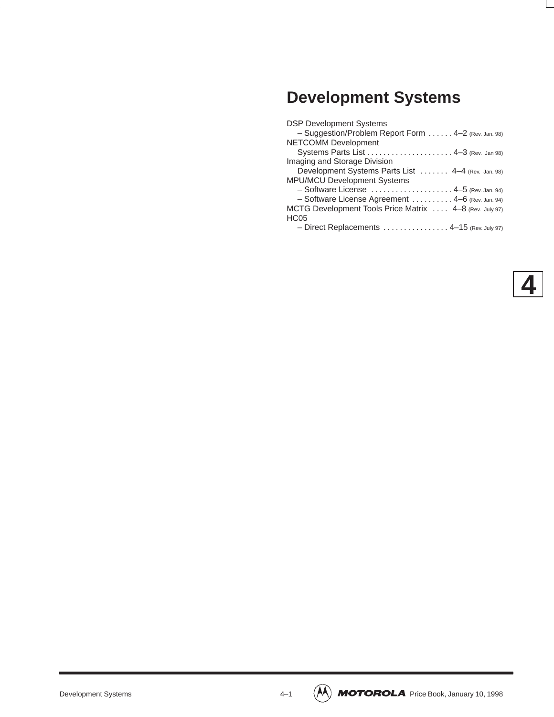## **Development Systems**

| <b>DSP Development Systems</b>                                           |
|--------------------------------------------------------------------------|
| - Suggestion/Problem Report Form  4-2 (Rev. Jan. 98)                     |
| <b>NETCOMM Development</b>                                               |
|                                                                          |
| Imaging and Storage Division                                             |
| Development Systems Parts List  4-4 (Rev. Jan. 98)                       |
| <b>MPU/MCU Development Systems</b>                                       |
| - Software License 4-5 (Rev. Jan. 94)                                    |
| $-$ Software License Agreement $\ldots \ldots \ldots 4-6$ (Rev. Jan. 94) |
| MCTG Development Tools Price Matrix  4-8 (Rev. July 97)                  |
| <b>HC05</b>                                                              |
| - Direct Replacements  4-15 (Rev. July 97)                               |



L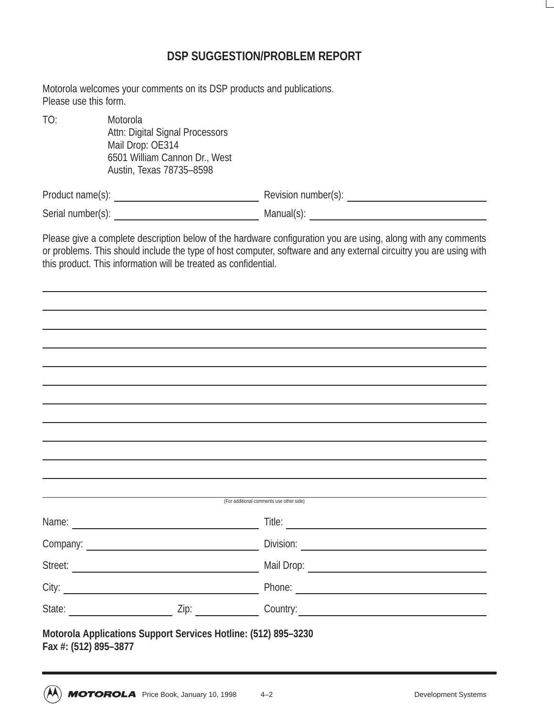## **DSP SUGGESTION/PROBLEM REPORT**

| Motorola welcomes your comments on its DSP products and publications. |  |  |  |
|-----------------------------------------------------------------------|--|--|--|
| Please use this form.                                                 |  |  |  |

|       | Motorola<br>Attn: Digital Signal Processors<br>Mail Drop: OE314                       |                                                                                                                                                                                                                                     |
|-------|---------------------------------------------------------------------------------------|-------------------------------------------------------------------------------------------------------------------------------------------------------------------------------------------------------------------------------------|
|       | 6501 William Cannon Dr., West<br>Austin, Texas 78735-8598                             |                                                                                                                                                                                                                                     |
|       |                                                                                       |                                                                                                                                                                                                                                     |
|       |                                                                                       |                                                                                                                                                                                                                                     |
|       | this product. This information will be treated as confidential.                       | Please give a complete description below of the hardware configuration you are using, along with any comments<br>or problems. This should include the type of host computer, software and any external circuitry you are using with |
|       |                                                                                       |                                                                                                                                                                                                                                     |
|       |                                                                                       |                                                                                                                                                                                                                                     |
|       |                                                                                       |                                                                                                                                                                                                                                     |
|       |                                                                                       |                                                                                                                                                                                                                                     |
|       |                                                                                       |                                                                                                                                                                                                                                     |
|       |                                                                                       |                                                                                                                                                                                                                                     |
|       |                                                                                       |                                                                                                                                                                                                                                     |
|       |                                                                                       | (For additional comments use other side)                                                                                                                                                                                            |
|       |                                                                                       |                                                                                                                                                                                                                                     |
| Name: | and the state of the state of the state of the state of the state of the state of the | Title:<br><u> 1989 - Andrea State Barbara, amerikan personal di personal dengan personal dengan personal dengan personal de</u>                                                                                                     |
|       |                                                                                       |                                                                                                                                                                                                                                     |
|       |                                                                                       |                                                                                                                                                                                                                                     |
|       |                                                                                       |                                                                                                                                                                                                                                     |

L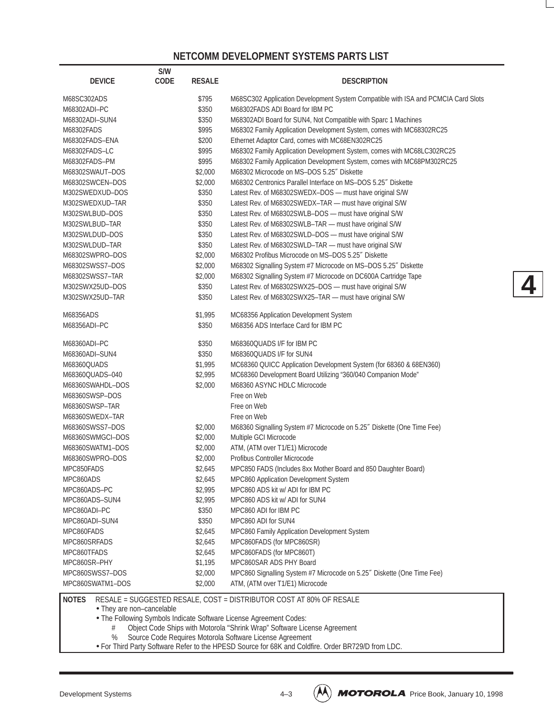## **NETCOMM DEVELOPMENT SYSTEMS PARTS LIST**

|                  | <b>S/W</b> |               |                                                                                   |
|------------------|------------|---------------|-----------------------------------------------------------------------------------|
| <b>DEVICE</b>    | CODE       | <b>RESALE</b> | DESCRIPTION                                                                       |
| M68SC302ADS      |            | \$795         | M68SC302 Application Development System Compatible with ISA and PCMCIA Card Slots |
| M68302ADI-PC     |            | \$350         | M68302FADS ADI Board for IBM PC                                                   |
| M68302ADI-SUN4   |            | \$350         | M68302ADI Board for SUN4, Not Compatible with Sparc 1 Machines                    |
| M68302FADS       |            | \$995         | M68302 Family Application Development System, comes with MC68302RC25              |
| M68302FADS-ENA   |            | \$200         | Ethernet Adaptor Card, comes with MC68EN302RC25                                   |
| M68302FADS-LC    |            | \$995         | M68302 Family Application Development System, comes with MC68LC302RC25            |
| M68302FADS-PM    |            | \$995         | M68302 Family Application Development System, comes with MC68PM302RC25            |
| M68302SWAUT-DOS  |            | \$2,000       | M68302 Microcode on MS-DOS 5.25" Diskette                                         |
| M68302SWCEN-DOS  |            | \$2,000       | M68302 Centronics Parallel Interface on MS-DOS 5.25" Diskette                     |
| M302SWEDXUD-DOS  |            | \$350         | Latest Rev. of M68302SWEDX-DOS - must have original S/W                           |
| M302SWEDXUD-TAR  |            | \$350         | Latest Rev. of M68302SWEDX-TAR - must have original S/W                           |
| M302SWLBUD-DOS   |            | \$350         | Latest Rev. of M68302SWLB-DOS - must have original S/W                            |
| M302SWLBUD-TAR   |            | \$350         | Latest Rev. of M68302SWLB-TAR - must have original S/W                            |
| M302SWLDUD-DOS   |            | \$350         | Latest Rev. of M68302SWLD-DOS - must have original S/W                            |
| M302SWLDUD-TAR   |            | \$350         | Latest Rev. of M68302SWLD-TAR - must have original S/W                            |
| M68302SWPRO-DOS  |            | \$2,000       | M68302 Profibus Microcode on MS-DOS 5.25" Diskette                                |
| M68302SWSS7-DOS  |            | \$2,000       | M68302 Signalling System #7 Microcode on MS-DOS 5.25" Diskette                    |
| M68302SWSS7-TAR  |            | \$2,000       | M68302 Signalling System #7 Microcode on DC600A Cartridge Tape                    |
| M302SWX25UD-DOS  |            | \$350         | Latest Rev. of M68302SWX25-DOS - must have original S/W                           |
| M302SWX25UD-TAR  |            | \$350         | Latest Rev. of M68302SWX25-TAR - must have original S/W                           |
| M68356ADS        |            | \$1,995       | MC68356 Application Development System                                            |
| M68356ADI-PC     |            | \$350         | M68356 ADS Interface Card for IBM PC                                              |
| M68360ADI-PC     |            | \$350         | M68360QUADS I/F for IBM PC                                                        |
| M68360ADI-SUN4   |            | \$350         | M68360QUADS I/F for SUN4                                                          |
| M68360QUADS      |            | \$1,995       | MC68360 QUICC Application Development System (for 68360 & 68EN360)                |
| M68360QUADS-040  |            | \$2,995       | MC68360 Development Board Utilizing "360/040 Companion Mode"                      |
| M68360SWAHDL-DOS |            | \$2,000       | M68360 ASYNC HDLC Microcode                                                       |
| M68360SWSP-DOS   |            |               | Free on Web                                                                       |
| M68360SWSP-TAR   |            |               | Free on Web                                                                       |
| M68360SWEDX-TAR  |            |               | Free on Web                                                                       |
| M68360SWSS7-DOS  |            | \$2,000       | M68360 Signalling System #7 Microcode on 5.25" Diskette (One Time Fee)            |
| M68360SWMGCI-DOS |            | \$2,000       | Multiple GCI Microcode                                                            |
| M68360SWATM1-DOS |            | \$2,000       | ATM, (ATM over T1/E1) Microcode                                                   |
| M68360SWPRO-DOS  |            | \$2,000       | Profibus Controller Microcode                                                     |
| MPC850FADS       |            | \$2,645       | MPC850 FADS (Includes 8xx Mother Board and 850 Daughter Board)                    |
| MPC860ADS        |            | \$2,645       | MPC860 Application Development System                                             |
| MPC860ADS-PC     |            | \$2,995       | MPC860 ADS kit w/ ADI for IBM PC                                                  |
| MPC860ADS-SUN4   |            | \$2,995       | MPC860 ADS kit w/ ADI for SUN4                                                    |
| MPC860ADI-PC     |            | \$350         | MPC860 ADI for IBM PC                                                             |
| MPC860ADI-SUN4   |            | \$350         | MPC860 ADI for SUN4                                                               |
| MPC860FADS       |            | \$2,645       | MPC860 Family Application Development System                                      |
| MPC860SRFADS     |            | \$2,645       | MPC860FADS (for MPC860SR)                                                         |
| MPC860TFADS      |            | \$2,645       | MPC860FADS (for MPC860T)                                                          |
| MPC860SR-PHY     |            | \$1,195       | MPC860SAR ADS PHY Board                                                           |
| MPC860SWSS7-DOS  |            | \$2,000       | MPC860 Signalling System #7 Microcode on 5.25" Diskette (One Time Fee)            |
| MPC860SWATM1-DOS |            | \$2,000       | ATM, (ATM over T1/E1) Microcode                                                   |

**NOTES** RESALE = SUGGESTED RESALE, COST = DISTRIBUTOR COST AT 80% OF RESALE

• They are non–cancelable

• The Following Symbols Indicate Software License Agreement Codes:

- # Object Code Ships with Motorola "Shrink Wrap" Software License Agreement
- Source Code Requires Motorola Software License Agreement

• For Third Party Software Refer to the HPESD Source for 68K and Coldfire. Order BR729/D from LDC.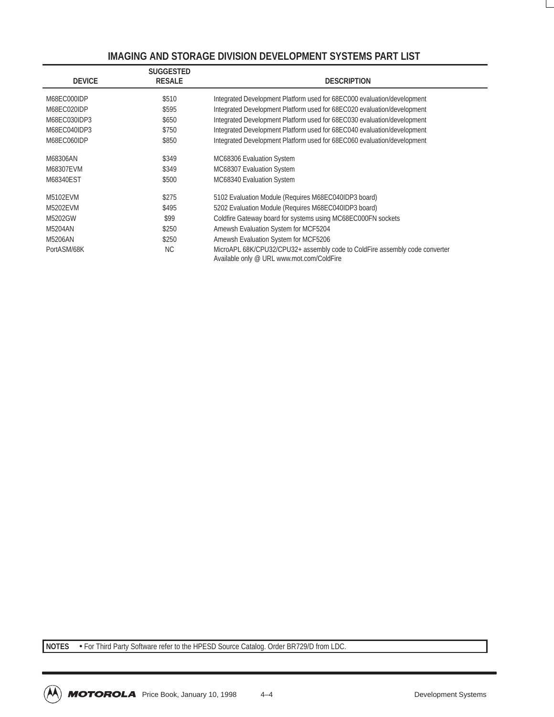### **IMAGING AND STORAGE DIVISION DEVELOPMENT SYSTEMS PART LIST**

| <b>DEVICE</b>  | <b>SUGGESTED</b><br><b>RESALE</b> | <b>DESCRIPTION</b>                                                                                                       |
|----------------|-----------------------------------|--------------------------------------------------------------------------------------------------------------------------|
| M68EC000IDP    | \$510                             | Integrated Development Platform used for 68EC000 evaluation/development                                                  |
| M68EC020IDP    | \$595                             | Integrated Development Platform used for 68EC020 evaluation/development                                                  |
| M68EC030IDP3   | \$650                             | Integrated Development Platform used for 68EC030 evaluation/development                                                  |
| M68EC040IDP3   | \$750                             | Integrated Development Platform used for 68EC040 evaluation/development                                                  |
| M68EC060IDP    | \$850                             | Integrated Development Platform used for 68EC060 evaluation/development                                                  |
| M68306AN       | \$349                             | MC68306 Evaluation System                                                                                                |
| M68307EVM      | \$349                             | MC68307 Evaluation System                                                                                                |
| M68340EST      | \$500                             | MC68340 Evaluation System                                                                                                |
| M5102EVM       | \$275                             | 5102 Evaluation Module (Requires M68EC040IDP3 board)                                                                     |
| M5202EVM       | \$495                             | 5202 Evaluation Module (Requires M68EC040IDP3 board)                                                                     |
| M5202GW        | \$99                              | Coldfire Gateway board for systems using MC68EC000FN sockets                                                             |
| <b>M5204AN</b> | \$250                             | Amewsh Evaluation System for MCF5204                                                                                     |
| <b>M5206AN</b> | \$250                             | Amewsh Evaluation System for MCF5206                                                                                     |
| PortASM/68K    | <b>NC</b>                         | MicroAPL 68K/CPU32/CPU32+ assembly code to ColdFire assembly code converter<br>Available only @ URL www.mot.com/ColdFire |

**NOTES** • For Third Party Software refer to the HPESD Source Catalog. Order BR729/D from LDC.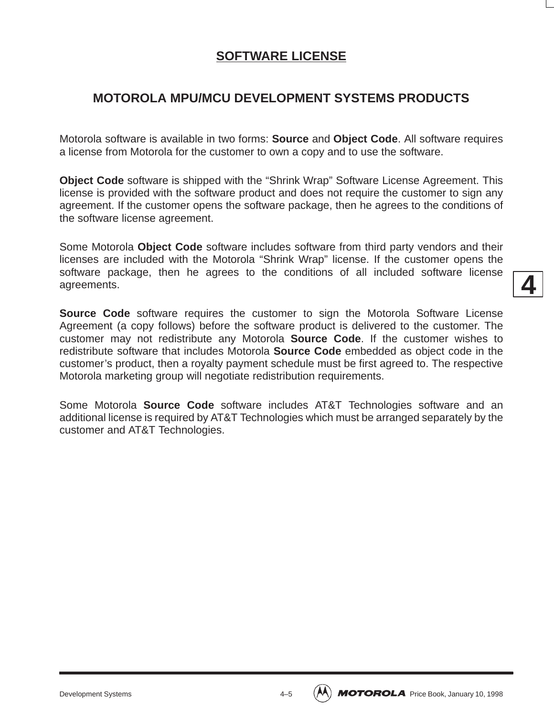## **SOFTWARE LICENSE**

## **MOTOROLA MPU/MCU DEVELOPMENT SYSTEMS PRODUCTS**

Motorola software is available in two forms: **Source** and **Object Code**. All software requires a license from Motorola for the customer to own a copy and to use the software.

**Object Code** software is shipped with the "Shrink Wrap" Software License Agreement. This license is provided with the software product and does not require the customer to sign any agreement. If the customer opens the software package, then he agrees to the conditions of the software license agreement.

Some Motorola **Object Code** software includes software from third party vendors and their licenses are included with the Motorola "Shrink Wrap" license. If the customer opens the software package, then he agrees to the conditions of all included software license agreements.

**Source Code** software requires the customer to sign the Motorola Software License Agreement (a copy follows) before the software product is delivered to the customer. The customer may not redistribute any Motorola **Source Code**. If the customer wishes to redistribute software that includes Motorola **Source Code** embedded as object code in the customer's product, then a royalty payment schedule must be first agreed to. The respective Motorola marketing group will negotiate redistribution requirements.

Some Motorola **Source Code** software includes AT&T Technologies software and an additional license is required by AT&T Technologies which must be arranged separately by the customer and AT&T Technologies.

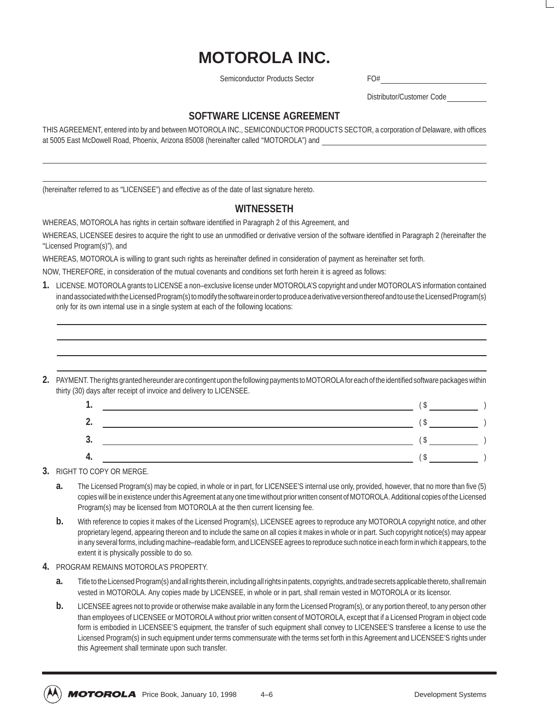## **MOTOROLA INC.**

Semiconductor Products Sector FO#

Distributor/Customer Code

### **SOFTWARE LICENSE AGREEMENT**

THIS AGREEMENT, entered into by and between MOTOROLA INC., SEMICONDUCTOR PRODUCTS SECTOR, a corporation of Delaware, with offices at 5005 East McDowell Road, Phoenix, Arizona 85008 (hereinafter called "MOTOROLA") and

(hereinafter referred to as "LICENSEE") and effective as of the date of last signature hereto.

#### **WITNESSETH**

WHEREAS, MOTOROLA has rights in certain software identified in Paragraph 2 of this Agreement, and

WHEREAS, LICENSEE desires to acquire the right to use an unmodified or derivative version of the software identified in Paragraph 2 (hereinafter the "Licensed Program(s)"), and

WHEREAS, MOTOROLA is willing to grant such rights as hereinafter defined in consideration of payment as hereinafter set forth.

NOW, THEREFORE, in consideration of the mutual covenants and conditions set forth herein it is agreed as follows:

**1.** LICENSE. MOTOROLA grants to LICENSE a non–exclusive license under MOTOROLA'S copyright and under MOTOROLA'S information contained in and associated with the Licensed Program(s) to modify the software in order to produce a derivative version thereof and to use the Licensed Program(s) only for its own internal use in a single system at each of the following locations:

**2.** PAYMENT. The rights granted hereunder are contingent upon the following payments to MOTOROLA for each of the identified software packages within thirty (30) days after receipt of invoice and delivery to LICENSEE.

**3.** RIGHT TO COPY OR MERGE.

- **a.** The Licensed Program(s) may be copied, in whole or in part, for LICENSEE'S internal use only, provided, however, that no more than five (5) copies will be in existence under this Agreement at any one time without prior written consent of MOTOROLA. Additional copies of the Licensed Program(s) may be licensed from MOTOROLA at the then current licensing fee.
- **b.** With reference to copies it makes of the Licensed Program(s), LICENSEE agrees to reproduce any MOTOROLA copyright notice, and other proprietary legend, appearing thereon and to include the same on all copies it makes in whole or in part. Such copyright notice(s) may appear in any several forms, including machine–readable form, and LICENSEE agrees to reproduce such notice in each form in which it appears, to the extent it is physically possible to do so.
- **4.** PROGRAM REMAINS MOTOROLA'S PROPERTY.
	- **a.** Title to the Licensed Program(s) and all rights therein, including all rights in patents, copyrights, and trade secrets applicable thereto, shall remain vested in MOTOROLA. Any copies made by LICENSEE, in whole or in part, shall remain vested in MOTOROLA or its licensor.
	- **b.** LICENSEE agrees not to provide or otherwise make available in any form the Licensed Program(s), or any portion thereof, to any person other than employees of LICENSEE or MOTOROLA without prior written consent of MOTOROLA, except that if a Licensed Program in object code form is embodied in LICENSEE'S equipment, the transfer of such equipment shall convey to LICENSEE'S transferee a license to use the Licensed Program(s) in such equipment under terms commensurate with the terms set forth in this Agreement and LICENSEE'S rights under this Agreement shall terminate upon such transfer.

**MOTOROLA** Price Book, January 10, 1998 4–6 **And Access 10. 1998** 4–6 Development Systems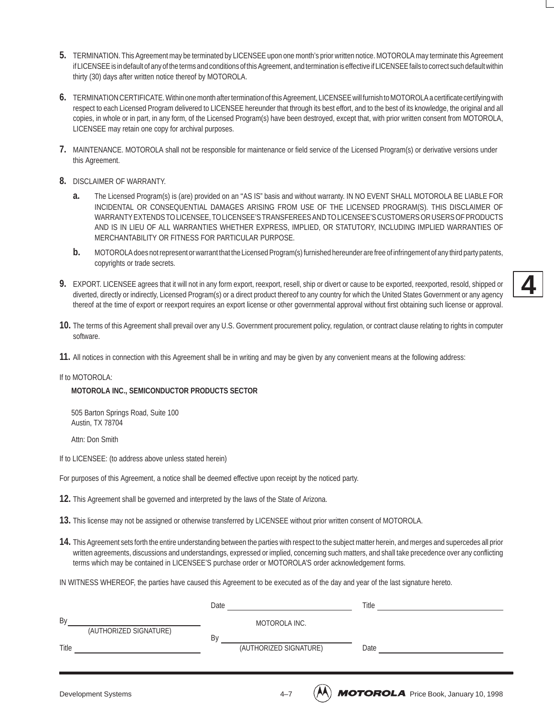- **5.** TERMINATION. This Agreement may be terminated by LICENSEE upon one month's prior written notice. MOTOROLA may terminate this Agreement if LICENSEE is in default of any of the terms and conditions of this Agreement, and termination is effective if LICENSEE fails to correct such default within thirty (30) days after written notice thereof by MOTOROLA.
- **6.** TERMINATION CERTIFICATE. Within one month after termination of this Agreement, LICENSEE will furnish to MOTOROLA a certificate certifying with respect to each Licensed Program delivered to LICENSEE hereunder that through its best effort, and to the best of its knowledge, the original and all copies, in whole or in part, in any form, of the Licensed Program(s) have been destroyed, except that, with prior written consent from MOTOROLA, LICENSEE may retain one copy for archival purposes.
- **7.** MAINTENANCE. MOTOROLA shall not be responsible for maintenance or field service of the Licensed Program(s) or derivative versions under this Agreement.
- **8.** DISCLAIMER OF WARRANTY.
	- **a.** The Licensed Program(s) is (are) provided on an "AS IS" basis and without warranty. IN NO EVENT SHALL MOTOROLA BE LIABLE FOR INCIDENTAL OR CONSEQUENTIAL DAMAGES ARISING FROM USE OF THE LICENSED PROGRAM(S). THIS DISCLAIMER OF WARRANTY EXTENDS TO LICENSEE, TO LICENSEE'S TRANSFEREES AND TO LICENSEE'S CUSTOMERS OR USERS OF PRODUCTS AND IS IN LIEU OF ALL WARRANTIES WHETHER EXPRESS, IMPLIED, OR STATUTORY, INCLUDING IMPLIED WARRANTIES OF MERCHANTABILITY OR FITNESS FOR PARTICULAR PURPOSE.
	- **b.** MOTOROLA does not represent or warrant that the Licensed Program(s) furnished hereunder are free of infringement of any third party patents, copyrights or trade secrets.
- **9.** EXPORT. LICENSEE agrees that it will not in any form export, reexport, resell, ship or divert or cause to be exported, reexported, resold, shipped or diverted, directly or indirectly, Licensed Program(s) or a direct product thereof to any country for which the United States Government or any agency thereof at the time of export or reexport requires an export license or other governmental approval without first obtaining such license or approval.
- **10.** The terms of this Agreement shall prevail over any U.S. Government procurement policy, regulation, or contract clause relating to rights in computer software.
- **11.** All notices in connection with this Agreement shall be in writing and may be given by any convenient means at the following address:

#### If to MOTOROLA:

#### **MOTOROLA INC., SEMICONDUCTOR PRODUCTS SECTOR**

505 Barton Springs Road, Suite 100 Austin, TX 78704

Attn: Don Smith

If to LICENSEE: (to address above unless stated herein)

For purposes of this Agreement, a notice shall be deemed effective upon receipt by the noticed party.

- **12.** This Agreement shall be governed and interpreted by the laws of the State of Arizona.
- **13.** This license may not be assigned or otherwise transferred by LICENSEE without prior written consent of MOTOROLA.
- **14.** This Agreement sets forth the entire understanding between the parties with respect to the subject matter herein, and merges and supercedes all prior written agreements, discussions and understandings, expressed or implied, concerning such matters, and shall take precedence over any conflicting terms which may be contained in LICENSEE'S purchase order or MOTOROLA'S order acknowledgement forms.

IN WITNESS WHEREOF, the parties have caused this Agreement to be executed as of the day and year of the last signature hereto.

|                              |    |                        | Title |
|------------------------------|----|------------------------|-------|
| By<br>(AUTHORIZED SIGNATURE) |    | MOTOROLA INC.          |       |
| Title                        | By | (AUTHORIZED SIGNATURE) | Date  |
|                              |    | -4                     |       |

**4**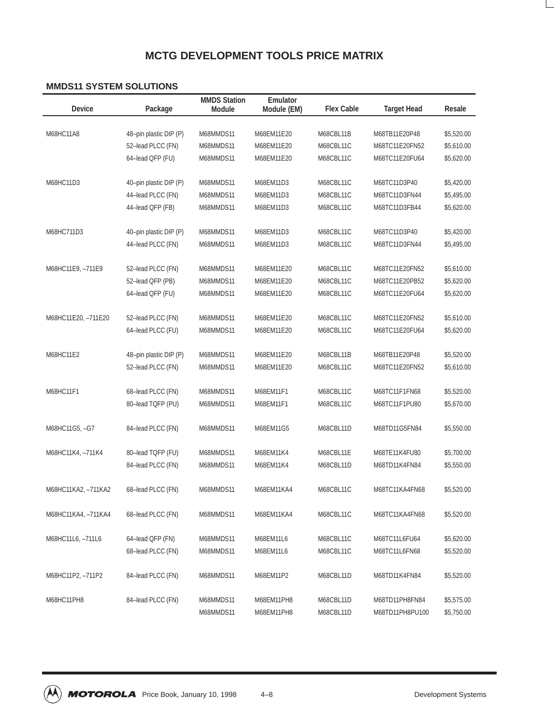### **MMDS11 SYSTEM SOLUTIONS**

| <b>Device</b>       | Package                | <b>MMDS Station</b><br>Module | Emulator<br>Module (EM) | <b>Flex Cable</b> | <b>Target Head</b> | <b>Resale</b> |
|---------------------|------------------------|-------------------------------|-------------------------|-------------------|--------------------|---------------|
|                     |                        |                               |                         |                   |                    |               |
| M68HC11A8           | 48-pin plastic DIP (P) | M68MMDS11                     | M68EM11E20              | M68CBL11B         | M68TB11E20P48      | \$5,520.00    |
|                     | 52-lead PLCC (FN)      | M68MMDS11                     | M68EM11E20              | M68CBL11C         | M68TC11E20FN52     | \$5,610.00    |
|                     | 64-lead QFP (FU)       | M68MMDS11                     | M68EM11E20              | M68CBL11C         | M68TC11E20FU64     | \$5,620.00    |
|                     |                        |                               |                         |                   |                    |               |
| M68HC11D3           | 40-pin plastic DIP (P) | M68MMDS11                     | M68EM11D3               | M68CBL11C         | M68TC11D3P40       | \$5,420.00    |
|                     | 44-lead PLCC (FN)      | M68MMDS11                     | M68EM11D3               | M68CBL11C         | M68TC11D3FN44      | \$5,495.00    |
|                     | 44-lead QFP (FB)       | M68MMDS11                     | M68EM11D3               | M68CBL11C         | M68TC11D3FB44      | \$5,620.00    |
| M68HC711D3          | 40-pin plastic DIP (P) | M68MMDS11                     | M68EM11D3               | M68CBL11C         | M68TC11D3P40       | \$5,420.00    |
|                     | 44-lead PLCC (FN)      | M68MMDS11                     | M68EM11D3               | M68CBL11C         | M68TC11D3FN44      | \$5,495.00    |
|                     |                        |                               |                         |                   |                    |               |
| M68HC11E9, -711E9   | 52-lead PLCC (FN)      | M68MMDS11                     | M68EM11E20              | M68CBL11C         | M68TC11E20FN52     | \$5,610.00    |
|                     | 52-lead QFP (PB)       | M68MMDS11                     | M68EM11E20              | M68CBL11C         | M68TC11E20PB52     | \$5,620.00    |
|                     | 64-lead QFP (FU)       | M68MMDS11                     | M68EM11E20              | M68CBL11C         | M68TC11E20FU64     | \$5,620.00    |
|                     |                        |                               |                         | M68CBL11C         | M68TC11E20FN52     |               |
| M68HC11E20, -711E20 | 52-lead PLCC (FN)      | M68MMDS11                     | M68EM11E20              |                   |                    | \$5,610.00    |
|                     | 64-lead PLCC (FU)      | M68MMDS11                     | M68EM11E20              | M68CBL11C         | M68TC11E20FU64     | \$5,620.00    |
| M68HC11E2           | 48-pin plastic DIP (P) | M68MMDS11                     | M68EM11E20              | M68CBL11B         | M68TB11E20P48      | \$5,520.00    |
|                     | 52-lead PLCC (FN)      | M68MMDS11                     | M68EM11E20              | M68CBL11C         | M68TC11E20FN52     | \$5,610.00    |
| M68HC11F1           | 68-lead PLCC (FN)      | M68MMDS11                     | M68EM11F1               | M68CBL11C         | M68TC11F1FN68      | \$5,520.00    |
|                     | 80-lead TQFP (PU)      | M68MMDS11                     | M68EM11F1               | M68CBL11C         | M68TC11F1PU80      | \$5,670.00    |
|                     |                        |                               |                         |                   |                    |               |
| M68HC11G5, -G7      | 84-lead PLCC (FN)      | M68MMDS11                     | M68EM11G5               | M68CBL11D         | M68TD11G5FN84      | \$5,550.00    |
|                     |                        |                               |                         |                   |                    |               |
| M68HC11K4, -711K4   | 80-lead TQFP (FU)      | M68MMDS11                     | M68EM11K4               | M68CBL11E         | M68TE11K4FU80      | \$5,700.00    |
|                     | 84-lead PLCC (FN)      | M68MMDS11                     | M68EM11K4               | M68CBL11D         | M68TD11K4FN84      | \$5,550.00    |
| M68HC11KA2, -711KA2 | 68-lead PLCC (FN)      | M68MMDS11                     | M68EM11KA4              | M68CBL11C         | M68TC11KA4FN68     | \$5,520.00    |
| M68HC11KA4, -711KA4 | 68-lead PLCC (FN)      | M68MMDS11                     | M68EM11KA4              | M68CBL11C         | M68TC11KA4FN68     | \$5,520.00    |
| M68HC11L6, -711L6   | 64-lead QFP (FN)       | M68MMDS11                     | M68EM11L6               | M68CBL11C         | M68TC11L6FU64      | \$5,620.00    |
|                     |                        |                               |                         |                   |                    |               |
|                     | 68-lead PLCC (FN)      | M68MMDS11                     | M68EM11L6               | M68CBL11C         | M68TC11L6FN68      | \$5,520.00    |
| M68HC11P2, -711P2   | 84-lead PLCC (FN)      | M68MMDS11                     | M68EM11P2               | M68CBL11D         | M68TD11K4FN84      | \$5,520.00    |
| M68HC11PH8          | 84-lead PLCC (FN)      | M68MMDS11                     | M68EM11PH8              | M68CBL11D         | M68TD11PH8FN84     | \$5,575.00    |
|                     |                        | M68MMDS11                     | M68EM11PH8              | M68CBL11D         | M68TD11PH8PU100    | \$5,750.00    |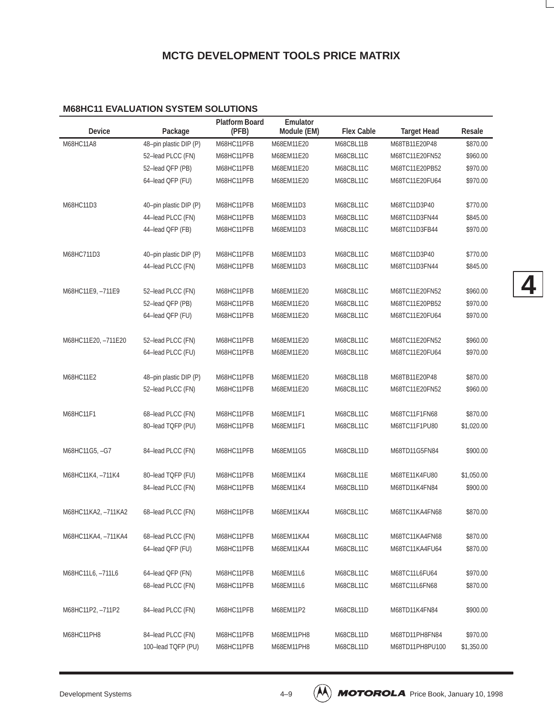#### **M68HC11 EVALUATION SYSTEM SOLUTIONS**

|                     |                        | <b>Platform Board</b> | Emulator    |                   |                    |               |
|---------------------|------------------------|-----------------------|-------------|-------------------|--------------------|---------------|
| <b>Device</b>       | Package                | (PFB)                 | Module (EM) | <b>Flex Cable</b> | <b>Target Head</b> | <b>Resale</b> |
| M68HC11A8           | 48-pin plastic DIP (P) | M68HC11PFB            | M68EM11E20  | M68CBL11B         | M68TB11E20P48      | \$870.00      |
|                     | 52-lead PLCC (FN)      | M68HC11PFB            | M68EM11E20  | M68CBL11C         | M68TC11E20FN52     | \$960.00      |
|                     | 52-lead QFP (PB)       | M68HC11PFB            | M68EM11E20  | M68CBL11C         | M68TC11E20PB52     | \$970.00      |
|                     | 64-lead QFP (FU)       | M68HC11PFB            | M68EM11E20  | M68CBL11C         | M68TC11E20FU64     | \$970.00      |
|                     |                        |                       |             |                   |                    |               |
| M68HC11D3           | 40-pin plastic DIP (P) | M68HC11PFB            | M68EM11D3   | M68CBL11C         | M68TC11D3P40       | \$770.00      |
|                     | 44-lead PLCC (FN)      | M68HC11PFB            | M68EM11D3   | M68CBL11C         | M68TC11D3FN44      | \$845.00      |
|                     | 44-lead QFP (FB)       | M68HC11PFB            | M68EM11D3   | M68CBL11C         | M68TC11D3FB44      | \$970.00      |
|                     |                        |                       |             |                   |                    |               |
| M68HC711D3          | 40-pin plastic DIP (P) | M68HC11PFB            | M68EM11D3   | M68CBL11C         | M68TC11D3P40       | \$770.00      |
|                     | 44-lead PLCC (FN)      | M68HC11PFB            | M68EM11D3   | M68CBL11C         | M68TC11D3FN44      | \$845.00      |
|                     |                        |                       |             |                   |                    |               |
| M68HC11E9, -711E9   | 52-lead PLCC (FN)      | M68HC11PFB            | M68EM11E20  | M68CBL11C         | M68TC11E20FN52     | \$960.00      |
|                     | 52-lead QFP (PB)       | M68HC11PFB            | M68EM11E20  | M68CBL11C         | M68TC11E20PB52     | \$970.00      |
|                     | 64-lead QFP (FU)       | M68HC11PFB            | M68EM11E20  | M68CBL11C         | M68TC11E20FU64     | \$970.00      |
|                     |                        |                       |             |                   |                    |               |
| M68HC11E20, -711E20 | 52-lead PLCC (FN)      | M68HC11PFB            | M68EM11E20  | M68CBL11C         | M68TC11E20FN52     | \$960.00      |
|                     | 64-lead PLCC (FU)      | M68HC11PFB            | M68EM11E20  | M68CBL11C         | M68TC11E20FU64     | \$970.00      |
| M68HC11E2           | 48-pin plastic DIP (P) | M68HC11PFB            | M68EM11E20  | M68CBL11B         | M68TB11E20P48      | \$870.00      |
|                     | 52-lead PLCC (FN)      | M68HC11PFB            | M68EM11E20  | M68CBL11C         | M68TC11E20FN52     | \$960.00      |
|                     |                        |                       |             |                   |                    |               |
| M68HC11F1           | 68-lead PLCC (FN)      | M68HC11PFB            | M68EM11F1   | M68CBL11C         | M68TC11F1FN68      | \$870.00      |
|                     | 80-lead TQFP (PU)      | M68HC11PFB            | M68EM11F1   | M68CBL11C         | M68TC11F1PU80      | \$1,020.00    |
|                     |                        |                       |             |                   |                    |               |
| M68HC11G5, -G7      | 84-lead PLCC (FN)      | M68HC11PFB            | M68EM11G5   | M68CBL11D         | M68TD11G5FN84      | \$900.00      |
|                     |                        |                       |             |                   |                    |               |
| M68HC11K4, -711K4   | 80-lead TQFP (FU)      | M68HC11PFB            | M68EM11K4   | M68CBL11E         | M68TE11K4FU80      | \$1,050.00    |
|                     | 84-lead PLCC (FN)      | M68HC11PFB            | M68EM11K4   | M68CBL11D         | M68TD11K4FN84      | \$900.00      |
|                     |                        |                       |             |                   |                    |               |
| M68HC11KA2, -711KA2 | 68-lead PLCC (FN)      | M68HC11PFB            | M68EM11KA4  | M68CBL11C         | M68TC11KA4FN68     | \$870.00      |
|                     |                        |                       |             |                   |                    |               |
| M68HC11KA4, -711KA4 | 68-lead PLCC (FN)      | M68HC11PFB            | M68EM11KA4  | M68CBL11C         | M68TC11KA4FN68     | \$870.00      |
|                     | 64-lead QFP (FU)       | M68HC11PFB            | M68EM11KA4  | M68CBL11C         | M68TC11KA4FU64     | \$870.00      |
|                     |                        |                       |             |                   |                    |               |
| M68HC11L6, -711L6   | 64-lead QFP (FN)       | M68HC11PFB            | M68EM11L6   | M68CBL11C         | M68TC11L6FU64      | \$970.00      |
|                     | 68-lead PLCC (FN)      | M68HC11PFB            | M68EM11L6   | M68CBL11C         | M68TC11L6FN68      | \$870.00      |
|                     |                        |                       |             |                   |                    |               |
| M68HC11P2, -711P2   | 84-lead PLCC (FN)      | M68HC11PFB            | M68EM11P2   | M68CBL11D         | M68TD11K4FN84      | \$900.00      |
|                     |                        |                       |             |                   |                    |               |
| M68HC11PH8          | 84-lead PLCC (FN)      | M68HC11PFB            | M68EM11PH8  | M68CBL11D         | M68TD11PH8FN84     | \$970.00      |
|                     | 100-lead TQFP (PU)     | M68HC11PFB            | M68EM11PH8  | M68CBL11D         | M68TD11PH8PU100    | \$1,350.00    |

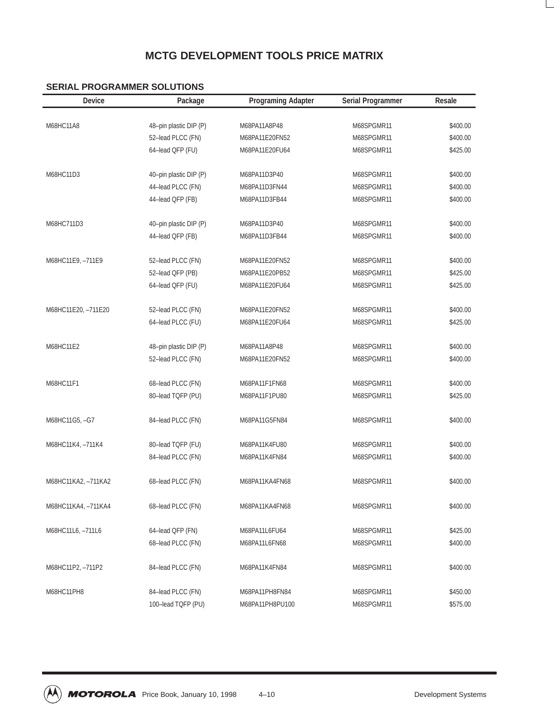#### **SERIAL PROGRAMMER SOLUTIONS**

| M68HC11A8<br>48-pin plastic DIP (P)<br>M68PA11A8P48<br>M68SPGMR11        | \$400.00<br>\$400.00 |
|--------------------------------------------------------------------------|----------------------|
|                                                                          |                      |
|                                                                          |                      |
| 52-lead PLCC (FN)<br>M68PA11E20FN52<br>M68SPGMR11                        |                      |
| 64-lead QFP (FU)<br>M68PA11E20FU64<br>M68SPGMR11                         | \$425.00             |
|                                                                          |                      |
| M68HC11D3<br>40-pin plastic DIP (P)<br>M68PA11D3P40<br>M68SPGMR11        | \$400.00             |
| 44-lead PLCC (FN)<br>M68PA11D3FN44<br>M68SPGMR11                         | \$400.00             |
| 44-lead QFP (FB)<br>M68PA11D3FB44<br>M68SPGMR11                          | \$400.00             |
|                                                                          |                      |
| M68HC711D3<br>40-pin plastic DIP (P)<br>M68PA11D3P40<br>M68SPGMR11       | \$400.00             |
| 44-lead QFP (FB)<br>M68PA11D3FB44<br>M68SPGMR11                          | \$400.00             |
| M68HC11E9, -711E9<br>52-lead PLCC (FN)<br>M68PA11E20FN52<br>M68SPGMR11   | \$400.00             |
| 52-lead QFP (PB)<br>M68PA11E20PB52<br>M68SPGMR11                         | \$425.00             |
| 64-lead QFP (FU)<br>M68PA11E20FU64<br>M68SPGMR11                         | \$425.00             |
|                                                                          |                      |
| 52-lead PLCC (FN)<br>M68HC11E20, -711E20<br>M68PA11E20FN52<br>M68SPGMR11 | \$400.00             |
| 64-lead PLCC (FU)<br>M68PA11E20FU64<br>M68SPGMR11                        | \$425.00             |
|                                                                          |                      |
| M68HC11E2<br>48-pin plastic DIP (P)<br>M68PA11A8P48<br>M68SPGMR11        | \$400.00             |
| 52-lead PLCC (FN)<br>M68PA11E20FN52<br>M68SPGMR11                        | \$400.00             |
|                                                                          |                      |
| M68HC11F1<br>68-lead PLCC (FN)<br>M68PA11F1FN68<br>M68SPGMR11            | \$400.00             |
| 80-lead TQFP (PU)<br>M68PA11F1PU80<br>M68SPGMR11                         | \$425.00             |
| M68HC11G5, -G7<br>84-lead PLCC (FN)<br>M68PA11G5FN84<br>M68SPGMR11       | \$400.00             |
|                                                                          |                      |
| M68HC11K4, -711K4<br>80-lead TQFP (FU)<br>M68PA11K4FU80<br>M68SPGMR11    | \$400.00             |
| 84-lead PLCC (FN)<br>M68PA11K4FN84<br>M68SPGMR11                         | \$400.00             |
|                                                                          |                      |
| M68HC11KA2, -711KA2<br>68-lead PLCC (FN)<br>M68PA11KA4FN68<br>M68SPGMR11 | \$400.00             |
|                                                                          |                      |
| 68-lead PLCC (FN)<br>M68SPGMR11<br>M68HC11KA4, -711KA4<br>M68PA11KA4FN68 | \$400.00             |
|                                                                          |                      |
| 64-lead QFP (FN)<br>M68HC11L6, -711L6<br>M68PA11L6FU64<br>M68SPGMR11     | \$425.00             |
| 68-lead PLCC (FN)<br>M68PA11L6FN68<br>M68SPGMR11                         | \$400.00             |
| 84-lead PLCC (FN)<br>M68HC11P2, -711P2<br>M68PA11K4FN84<br>M68SPGMR11    | \$400.00             |
|                                                                          |                      |
| M68HC11PH8<br>84-lead PLCC (FN)<br>M68PA11PH8FN84<br>M68SPGMR11          | \$450.00             |
| 100-lead TQFP (PU)<br>M68PA11PH8PU100<br>M68SPGMR11                      | \$575.00             |

 $\left(\bigwedge\right)$  **MOTOROLA** Price Book, January 10, 1998  $4-10$  Development Systems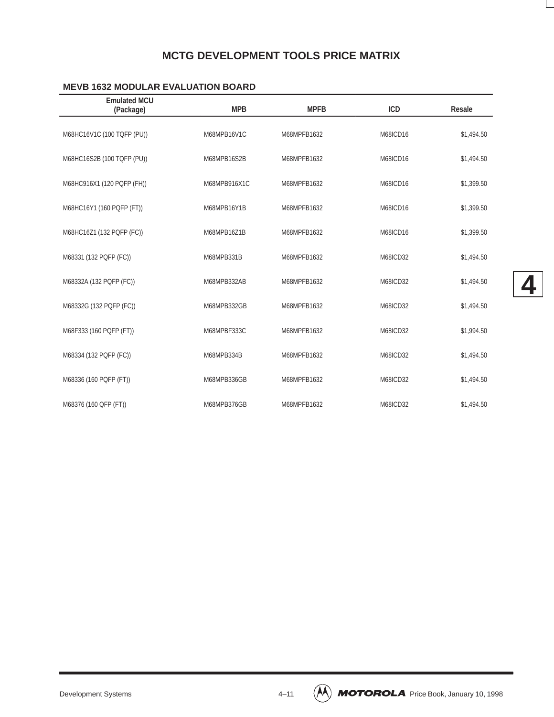| <b>Emulated MCU</b><br>(Package) | <b>MPB</b>   | <b>MPFB</b> | <b>ICD</b>      | <b>Resale</b> |
|----------------------------------|--------------|-------------|-----------------|---------------|
| M68HC16V1C (100 TQFP (PU))       | M68MPB16V1C  | M68MPFB1632 | M68ICD16        | \$1,494.50    |
| M68HC16S2B (100 TQFP (PU))       | M68MPB16S2B  | M68MPFB1632 | M68ICD16        | \$1,494.50    |
| M68HC916X1 (120 PQFP (FH))       | M68MPB916X1C | M68MPFB1632 | M68ICD16        | \$1,399.50    |
| M68HC16Y1 (160 PQFP (FT))        | M68MPB16Y1B  | M68MPFB1632 | M68ICD16        | \$1,399.50    |
| M68HC16Z1 (132 PQFP (FC))        | M68MPB16Z1B  | M68MPFB1632 | M68ICD16        | \$1,399.50    |
| M68331 (132 PQFP (FC))           | M68MPB331B   | M68MPFB1632 | M68ICD32        | \$1,494.50    |
| M68332A (132 PQFP (FC))          | M68MPB332AB  | M68MPFB1632 | M68ICD32        | \$1,494.50    |
| M68332G (132 PQFP (FC))          | M68MPB332GB  | M68MPFB1632 | M68ICD32        | \$1,494.50    |
| M68F333 (160 PQFP (FT))          | M68MPBF333C  | M68MPFB1632 | M68ICD32        | \$1,994.50    |
| M68334 (132 PQFP (FC))           | M68MPB334B   | M68MPFB1632 | M68ICD32        | \$1,494.50    |
| M68336 (160 PQFP (FT))           | M68MPB336GB  | M68MPFB1632 | M68ICD32        | \$1,494.50    |
| M68376 (160 QFP (FT))            | M68MPB376GB  | M68MPFB1632 | <b>M68ICD32</b> | \$1,494.50    |

#### **MEVB 1632 MODULAR EVALUATION BOARD**

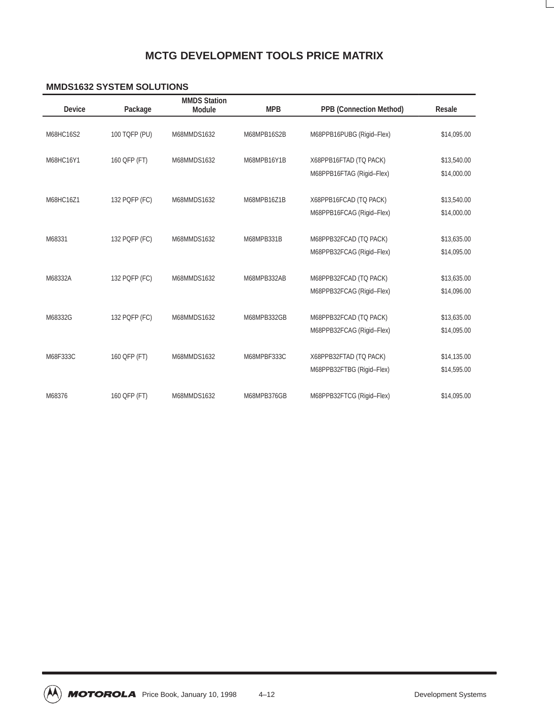#### **MMDS1632 SYSTEM SOLUTIONS**

| <b>Device</b> | Package       | <b>MMDS Station</b><br><b>Module</b> | <b>MPB</b>  | <b>PPB (Connection Method)</b> | <b>Resale</b> |
|---------------|---------------|--------------------------------------|-------------|--------------------------------|---------------|
|               |               |                                      |             |                                |               |
| M68HC16S2     | 100 TQFP (PU) | M68MMDS1632                          | M68MPB16S2B | M68PPB16PUBG (Rigid-Flex)      | \$14,095.00   |
| M68HC16Y1     | 160 QFP (FT)  | M68MMDS1632                          | M68MPB16Y1B | X68PPB16FTAD (TQ PACK)         | \$13,540.00   |
|               |               |                                      |             | M68PPB16FTAG (Rigid-Flex)      | \$14,000.00   |
| M68HC16Z1     | 132 PQFP (FC) | M68MMDS1632                          | M68MPB16Z1B | X68PPB16FCAD (TQ PACK)         | \$13,540.00   |
|               |               |                                      |             | M68PPB16FCAG (Rigid-Flex)      | \$14,000.00   |
|               |               |                                      |             |                                |               |
| M68331        | 132 PQFP (FC) | M68MMDS1632                          | M68MPB331B  | M68PPB32FCAD (TQ PACK)         | \$13,635.00   |
|               |               |                                      |             | M68PPB32FCAG (Rigid-Flex)      | \$14,095.00   |
| M68332A       | 132 PQFP (FC) | M68MMDS1632                          | M68MPB332AB | M68PPB32FCAD (TQ PACK)         | \$13,635.00   |
|               |               |                                      |             | M68PPB32FCAG (Rigid-Flex)      | \$14,096.00   |
|               |               |                                      |             |                                |               |
| M68332G       | 132 PQFP (FC) | M68MMDS1632                          | M68MPB332GB | M68PPB32FCAD (TQ PACK)         | \$13,635.00   |
|               |               |                                      |             | M68PPB32FCAG (Rigid-Flex)      | \$14,095.00   |
| M68F333C      | 160 QFP (FT)  | M68MMDS1632                          | M68MPBF333C | X68PPB32FTAD (TQ PACK)         | \$14,135.00   |
|               |               |                                      |             | M68PPB32FTBG (Rigid-Flex)      | \$14,595.00   |
|               |               |                                      |             |                                |               |
| M68376        | 160 QFP (FT)  | M68MMDS1632                          | M68MPB376GB | M68PPB32FTCG (Rigid-Flex)      | \$14,095.00   |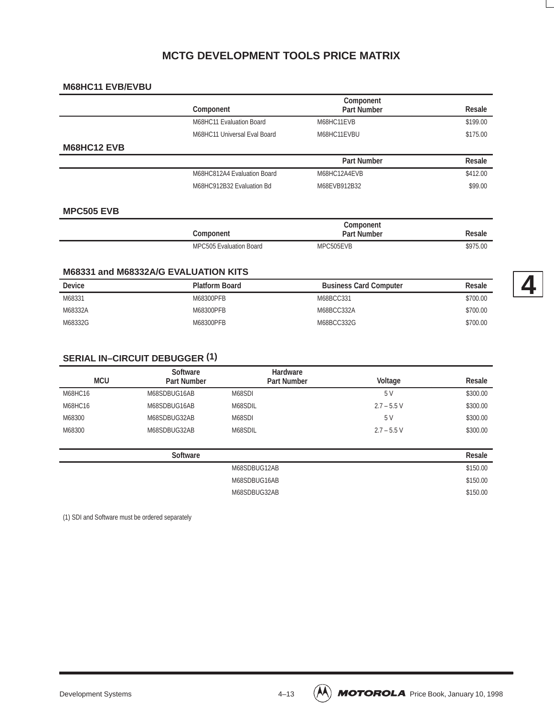#### **M68HC11 EVB/EVBU**

|                   | Component                    | Component<br><b>Part Number</b> | Resale   |
|-------------------|------------------------------|---------------------------------|----------|
|                   | M68HC11 Evaluation Board     | M68HC11EVB                      | \$199.00 |
|                   | M68HC11 Universal Eval Board | M68HC11EVBU                     | \$175.00 |
| M68HC12 EVB       |                              |                                 |          |
|                   |                              | <b>Part Number</b>              | Resale   |
|                   | M68HC812A4 Evaluation Board  | M68HC12A4EVB                    | \$412.00 |
|                   | M68HC912B32 Evaluation Bd    | M68EVB912B32                    | \$99.00  |
| <b>MPC505 EVB</b> |                              |                                 |          |
|                   | Component                    | Component<br><b>Part Number</b> | Resale   |

| $n$ nan                              | ------------<br>. Number<br>Pan. | ---<br>sale<br>. |  |
|--------------------------------------|----------------------------------|------------------|--|
| MP(<br>:505<br>Evaluation Board<br>. | 05FVR<br>MP'<br>.                | 5.00             |  |

### **M68331 and M68332A/G EVALUATION KITS**

| <b>Device</b> | <b>Platform Board</b> | <b>Business Card Computer</b> | Resale   |
|---------------|-----------------------|-------------------------------|----------|
| M68331        | M68300PFB             | M68BCC331                     | \$700.00 |
| M68332A       | M68300PFB             | M68BCC332A                    | \$700.00 |
| M68332G       | M68300PFB             | M68BCC332G                    | \$700.00 |

### **SERIAL IN–CIRCUIT DEBUGGER (1)**

|            | <b>Software</b>    | Hardware           |               |          |
|------------|--------------------|--------------------|---------------|----------|
| <b>MCU</b> | <b>Part Number</b> | <b>Part Number</b> | Voltage       | Resale   |
| M68HC16    | M68SDBUG16AB       | M68SDI             | 5 V           | \$300.00 |
| M68HC16    | M68SDBUG16AB       | M68SDIL            | $2.7 - 5.5 V$ | \$300.00 |
| M68300     | M68SDBUG32AB       | M68SDI             | 5 V           | \$300.00 |
| M68300     | M68SDBUG32AB       | M68SDIL            | $2.7 - 5.5$ V | \$300.00 |
|            |                    |                    |               |          |

| <b>Software</b> | Resale   |
|-----------------|----------|
| M68SDBUG12AB    | \$150.00 |
| M68SDBUG16AB    | \$150.00 |
| M68SDBUG32AB    | \$150.00 |

(1) SDI and Software must be ordered separately

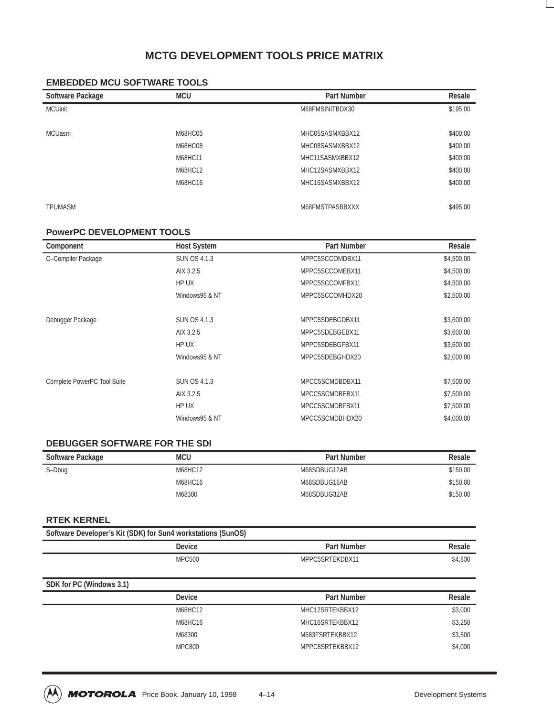#### **EMBEDDED MCU SOFTWARE TOOLS**

| Software Package | <b>MCU</b> | <b>Part Number</b> | Resale   |
|------------------|------------|--------------------|----------|
| <b>MCUinit</b>   |            | M68FMSINITBDX30    | \$195.00 |
|                  |            |                    |          |
| <b>MCUasm</b>    | M68HC05    | MHC05SASMXBBX12    | \$400.00 |
|                  | M68HC08    | MHC08SASMXBBX12    | \$400.00 |
|                  | M68HC11    | MHC11SASMXBBX12    | \$400.00 |
|                  | M68HC12    | MHC12SASMXBBX12    | \$400.00 |
|                  | M68HC16    | MHC16SASMXBBX12    | \$400.00 |
|                  |            |                    |          |
| <b>TPUMASM</b>   |            | M68FMSTPASBBXXX    | \$495.00 |

#### **PowerPC DEVELOPMENT TOOLS**

| Component                   | <b>Host System</b>  | <b>Part Number</b> | Resale     |
|-----------------------------|---------------------|--------------------|------------|
| C-Compiler Package          | <b>SUN OS 4.1.3</b> | MPPC5SCCOMDBX11    | \$4,500.00 |
|                             | AIX 3.2.5           | MPPC5SCCOMEBX11    | \$4,500.00 |
|                             | HP UX               | MPPC5SCCOMFBX11    | \$4,500.00 |
|                             | Windows95 & NT      | MPPC5SCCOMHDX20    | \$2,500.00 |
| Debugger Package            | <b>SUN OS 4.1.3</b> | MPPC5SDEBGDBX11    | \$3,600.00 |
|                             | AIX 3.2.5           | MPPC5SDEBGEBX11    | \$3,600.00 |
|                             | HP UX               | MPPC5SDEBGFBX11    | \$3,600.00 |
|                             | Windows95 & NT      | MPPC5SDEBGHDX20    | \$2,000.00 |
| Complete PowerPC Tool Suite | <b>SUN OS 4.1.3</b> | MPCC5SCMDBDBX11    | \$7,500.00 |
|                             | AIX 3.2.5           | MPCC5SCMDBEBX11    | \$7,500.00 |
|                             | HP UX               | MPCC5SCMDBFBX11    | \$7,500.00 |
|                             | Windows95 & NT      | MPCC5SCMDBHDX20    | \$4,000.00 |

#### **DEBUGGER SOFTWARE FOR THE SDI**

| Software Package | <b>MCU</b> | <b>Part Number</b> | Resale   |
|------------------|------------|--------------------|----------|
| S-Dbug           | M68HC12    | M68SDBUG12AB       | \$150.00 |
|                  | M68HC16    | M68SDBUG16AB       | \$150.00 |
|                  | M68300     | M68SDBUG32AB       | \$150.00 |

#### **RTEK KERNEL**

| Software Developer's Kit (SDK) for Sun4 workstations (SunOS) |                    |         |  |  |  |
|--------------------------------------------------------------|--------------------|---------|--|--|--|
| <b>Device</b>                                                | <b>Part Number</b> | Resale  |  |  |  |
| MPC500                                                       | MPPC5SRTEKDBX11    | \$4,800 |  |  |  |

| SDK for PC (Windows 3.1) |  |                    |         |  |  |
|--------------------------|--|--------------------|---------|--|--|
| <b>Device</b>            |  | <b>Part Number</b> | Resale  |  |  |
| M68HC12                  |  | MHC12SRTEKBBX12    | \$3,000 |  |  |
| M68HC16                  |  | MHC16SRTEKBBX12    | \$3,250 |  |  |
| M68300                   |  | M683FSRTEKBBX12    | \$3,500 |  |  |
| <b>MPC800</b>            |  | MPPC8SRTEKBBX12    | \$4,000 |  |  |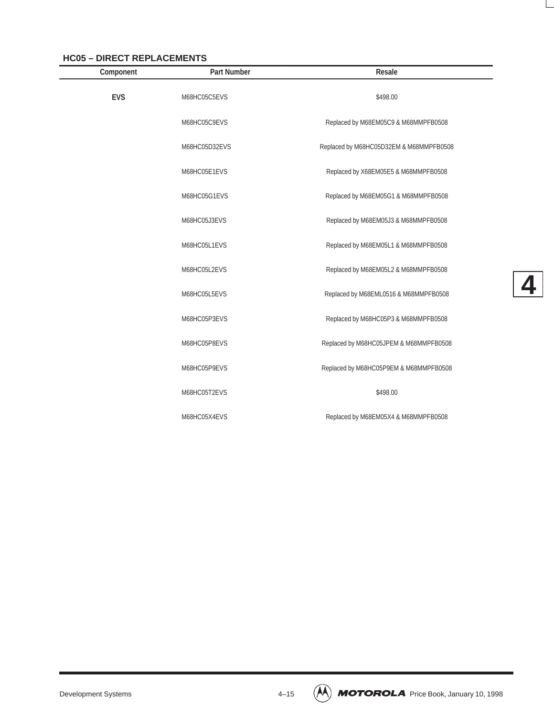| Component  | <b>Part Number</b> | <b>Resale</b>                           |
|------------|--------------------|-----------------------------------------|
| <b>EVS</b> | M68HC05C5EVS       | \$498.00                                |
|            | M68HC05C9EVS       | Replaced by M68EM05C9 & M68MMPFB0508    |
|            | M68HC05D32EVS      | Replaced by M68HC05D32EM & M68MMPFB0508 |
|            | M68HC05E1EVS       | Replaced by X68EM05E5 & M68MMPFB0508    |
|            | M68HC05G1EVS       | Replaced by M68EM05G1 & M68MMPFB0508    |
|            | M68HC05J3EVS       | Replaced by M68EM05J3 & M68MMPFB0508    |
|            | M68HC05L1EVS       | Replaced by M68EM05L1 & M68MMPFB0508    |
|            | M68HC05L2EVS       | Replaced by M68EM05L2 & M68MMPFB0508    |
|            | M68HC05L5EVS       | Replaced by M68EML0516 & M68MMPFB0508   |
|            | M68HC05P3EVS       | Replaced by M68HC05P3 & M68MMPFB0508    |
|            | M68HC05P8EVS       | Replaced by M68HC05JPEM & M68MMPFB0508  |
|            | M68HC05P9EVS       | Replaced by M68HC05P9EM & M68MMPFB0508  |
|            | M68HC05T2EVS       | \$498.00                                |
|            | M68HC05X4EVS       | Replaced by M68EM05X4 & M68MMPFB0508    |

## **HC05 – DIRECT REPLACEMENTS**



**4**

L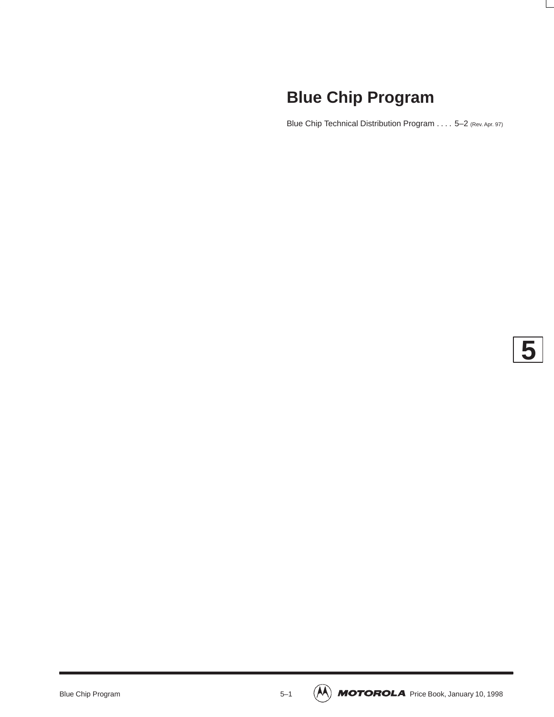## **Blue Chip Program**

Blue Chip Technical Distribution Program . . . . 5–2 (Rev. Apr. 97)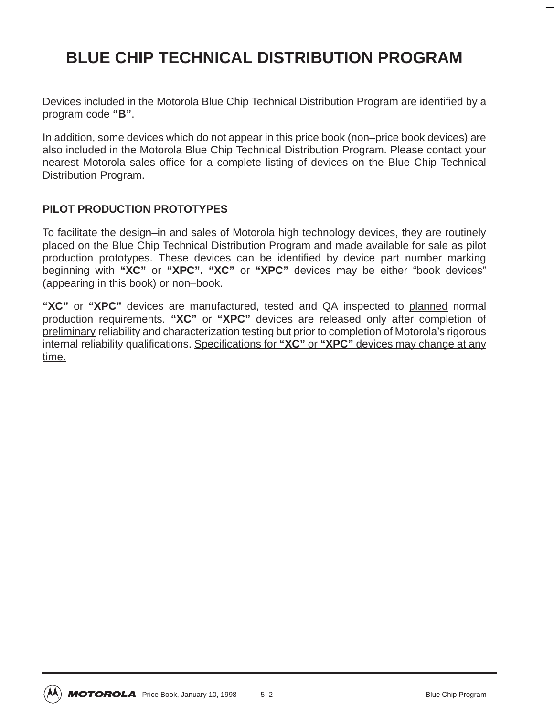## **BLUE CHIP TECHNICAL DISTRIBUTION PROGRAM**

Devices included in the Motorola Blue Chip Technical Distribution Program are identified by a program code **"B"**.

In addition, some devices which do not appear in this price book (non–price book devices) are also included in the Motorola Blue Chip Technical Distribution Program. Please contact your nearest Motorola sales office for a complete listing of devices on the Blue Chip Technical Distribution Program.

## **PILOT PRODUCTION PROTOTYPES**

To facilitate the design–in and sales of Motorola high technology devices, they are routinely placed on the Blue Chip Technical Distribution Program and made available for sale as pilot production prototypes. These devices can be identified by device part number marking beginning with **"XC"** or **"XPC". "XC"** or **"XPC"** devices may be either "book devices" (appearing in this book) or non–book.

**"XC"** or **"XPC"** devices are manufactured, tested and QA inspected to planned normal production requirements. **"XC"** or **"XPC"** devices are released only after completion of preliminary reliability and characterization testing but prior to completion of Motorola's rigorous internal reliability qualifications. Specifications for **"XC"** or **"XPC"** devices may change at any time.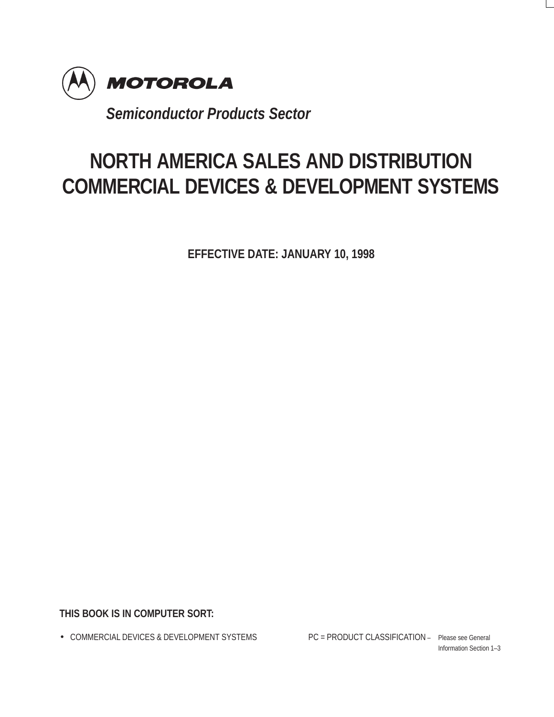

*Semiconductor Products Sector*

# **NORTH AMERICA SALES AND DISTRIBUTION COMMERCIAL DEVICES & DEVELOPMENT SYSTEMS**

**EFFECTIVE DATE: JANUARY 10, 1998**

**THIS BOOK IS IN COMPUTER SORT:**

• COMMERCIAL DEVICES & DEVELOPMENT SYSTEMS PC = PRODUCT CLASSIFICATION - Please see General

Information Section 1–3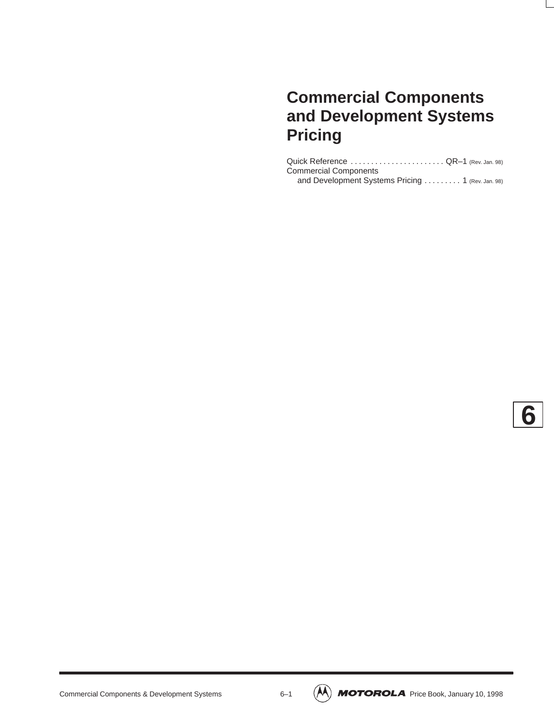## **Commercial Components and Development Systems Pricing**

| Quick Reference QR-1 (Rev. Jan. 98)              |  |
|--------------------------------------------------|--|
| <b>Commercial Components</b>                     |  |
| and Development Systems Pricing 1 (Rev. Jan. 98) |  |

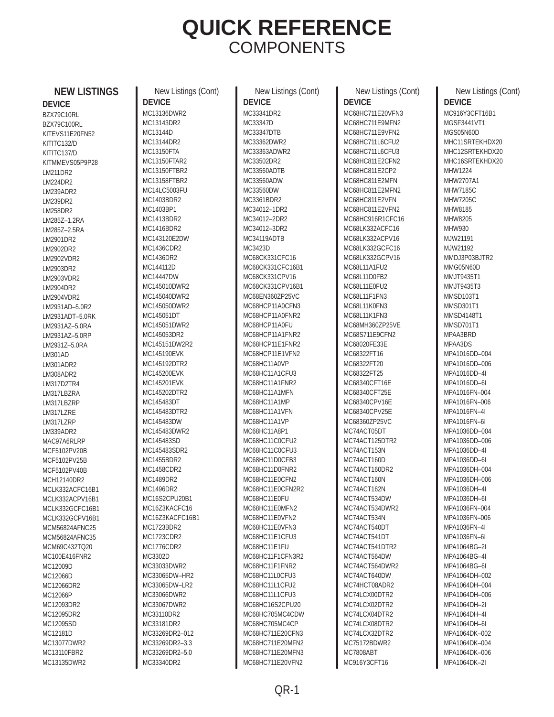### **NEW LISTINGS**

**DEVICE** BZX79C10RL BZX79C100RL KITEVS11E20FN52 KITITC132/D KITITC137/D KITMMEVS05P9P28 LM211DR2 LM224DR2 LM239ADR2 LM239DR2 LM258DR2 LM285Z–1.2RA LM285Z–2.5RA LM2901DR2 LM2902DR2 LM2902VDR2 LM2903DR2 LM2903VDR2 LM2904DR2 LM2904VDR2 LM2931AD–5.0R2 LM2931ADT–5.0RK LM2931AZ–5.0RA LM2931AZ–5.0RP LM2931Z–5.0RA LM301AD LM301ADR2 LM308ADR2 LM317D2TR4 LM317LBZRA LM317LBZRP LM317LZRE **LM317LZRP** LM339ADR2 MAC97A6RLRP MCF5102PV20B MCF5102PV25B MCF5102PV40B MCH12140DR2 MCLK332ACFC16B1 MCLK332ACPV16B1 MCLK332GCFC16B1 MCLK332GCPV16B1 MCM56824AFNC25 MCM56824AFNC35 MCM69C432TQ20 MC100E416FNR2 MC12009D MC12066D MC12066DR2 MC12066P MC12093DR2 MC12095DR2 MC12095SD MC12181D MC13077DWR2 MC13110FBR2 MC13135DWR2

New Listings (Cont) **DEVICE** MC13136DWR2 MC13143DR2 MC13144D MC13144DR2 MC13150FTA MC13150FTAR2 MC13150FTBR2 MC13158FTBR2 MC14LC5003FU MC1403BDR2 MC1403RP1 MC1413BDR2 MC1416BDR2 MC143120E2DW MC1436CDR2 MC1436DR2 MC144112D MC14447DW MC145010DWR2 MC145040DWR2 MC145050DWR2 MC145051DT MC145051DWR2 MC145053DR2 MC145151DW2R2 MC145190EVK MC145192DTR2 MC145200EVK MC145201EVK MC145202DTR2 MC145483DT MC145483DTR2 MC145483DW MC145483DWR2 MC145483SD MC145483SDR2 MC1455BDR2 MC1458CDR2 MC1489DR2 MC1496DR2 MC16S2CPU20B1 MC16Z3KACFC16 MC16Z3KACFC16B1 MC1723BDR2 MC1723CDR2 MC1776CDR2 MC3302D MC33033DWR2 MC33065DW–HR2 MC33065DW–LR2 MC33066DWR2 MC33067DWR2 MC33110DR2 MC33181DR2 MC33269DR2–012 MC33269DR2–3.3 MC33269DR2–5.0 MC33340DR2

New Listings (Cont) **DEVICE** MC33341DR2 MC33347D MC33347DTB MC33362DWR2 MC33363ADWR2 MC33502DR2 MC33560ADTB MC33560ADW MC33560DW MC3361BDR2 MC34012<sub>–1DR2</sub> MC34012–2DR2 MC34012–3DR2 MC34119ADTB MC3423D MC68CK331CFC16 MC68CK331CFC16B1 MC68CK331CPV16 MC68CK331CPV16B1 MC68EN360ZP25VC MC68HCP11A0CFN3 MC68HCP11A0FNR2 MC68HCP11A0FU MC68HCP11A1FNR2 MC68HCP11E1FNR2 MC68HCP11E1VFN2 MC68HC11A0VP MC68HC11A1CFU3 MC68HC11A1FNR2 MC68HC11A1MFN MC68HC11A1MP MC68HC11A1VFN MC68HC11A1VP MC68HC11A8P1 MC68HC11C0CFU2 MC68HC11C0CFU3 MC68HC11D0CFB3 MC68HC11D0FNR2 MC68HC11E0CFN2 MC68HC11E0CFN2R2 MC68HC11E0FU MC68HC11E0MEN2 MC68HC11E0VEN2 MC68HC11E0VFN3 MC68HC11F1CFU3 MC68HC11F1FU MC68HC11F1CFN3R2 MC68HC11F1FNR2 MC68HC11L0CFU3 MC68HC11L1CFU2 MC68HC11L1CFU3 MC68HC16S2CPU20 MC68HC705MC4CDW MC68HC705MC4CP MC68HC711E20CFN3 MC68HC711E20MFN2 MC68HC711E20MFN3 MC68HC711E20VFN2

New Listings (Cont) **DEVICE** MC68HC711E20VFN3 MC68HC711E9MFN2 MC68HC711E9VFN2 MC68HC711L6CFU2 MC68HC711L6CFU3 MC68HC811E2CFN2 MC68HC811E2CP2 MC68HC811E2MFN MC68HC811E2MFN2 MC68HC811F2VFN MC68HC811E2VEN2 MC68HC916R1CFC16 MC68LK332ACFC16 MC68LK332ACPV16 MC68LK332GCFC16 MC68LK332GCPV16 **MC68L11A1FU2** MC68L11D0FB2 MC68L11E0FU2 MC68L11F1FN3 MC68L11K0FN3 MC68L11K1FN3 MC68MH360ZP25VE MC68S711E9CFN2 MC68020FE33E MC68322FT16 MC68322FT20 MC68322FT25 MC68340CFT16E MC68340CFT25E MC68340CPV16E MC68340CPV25E MC68360ZP25VC MC74ACT05DT MC74ACT125DTR2 MC74ACT153N MC74ACT160D MC74ACT160DR2 MC74ACT160N MC74ACT162N MC74ACT534DW MC74ACT534DWR2 MC74ACT534N MC74ACT540DT MC74ACT541DT MC74ACT541DTR2 MC74ACT564DW MC74ACT564DWR2 MC74ACT640DW MC74HCT08ADR2 MC74LCX00DTR2 MC74LCX02DTR2 MC74LCX04DTR2 MC74LCX08DTR2 MC74LCX32DTR2 MC75172BDWR2 MC7808ABT MC916Y3CFT16

New Listings (Cont) **DEVICE**

MC916Y3CFT16B1 MGSF3441VT1 MGS05N60D MHC11SRTFKHDX20 MHC12SRTEKHDX20 MHC16SRTEKHDX20 MHW1224 MHW2707A1 MHW7185C MHW7205C MHW8185 MHW8205 MHW930 MJW21191 M IW<sub>21192</sub> MMDJ3P03BJTR2 MMG05N60D MMJT9435T1 MMJT9435T3 MMSD103T1 MMSD301T1 MMSD4148T1 MMSD701T1 MPAA3BRD MPAA3DS MPA1016DD–004 MPA1016DD–006 MPA1016DD–4I MPA1016DD–6I MPA1016FN–004 MPA1016FN-006 MPA1016FN-4I MPA1016FN–6I MPA1036DD–004 MPA1036DD–006 MPA1036DD–4I MPA1036DD–6I MPA1036DH–004 MPA1036DH–006 MPA1036DH–4I MPA1036DH–6I MPA1036FN–004 MPA1036FN-006 MPA1036FN–4I MPA1036FN–6I MPA1064BG–2I MPA1064BG–4I MPA1064BG–6I MPA1064DH–002 MPA1064DH–004 MPA1064DH–006 MPA1064DH–2I MPA1064DH–4I MPA1064DH–6I MPA1064DK–002 MPA1064DK–004 MPA1064DK–006 MPA1064DK–2I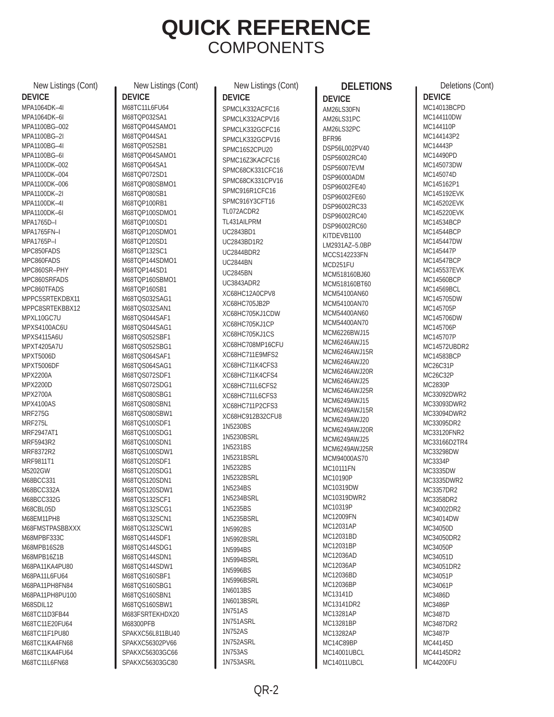New Listings (Cont)

### **DEVICE**

MPA1064DK–4I MPA1064DK–6I MPA1100BG–002 MPA1100BG–2I MPA1100BG–4I MPA1100BG–6I MPA1100DK–002 MPA1100DK–004 MPA1100DK–006 MPA1100DK–2I MPA1100DK–4I MPA1100DK–6I MPA1765D–I MPA1765FN–I MPA1765P–I MPC850FADS MPC860FADS MPC860SR–PHY MPC860SRFADS MPC860TFADS MPPC5SRTEKDBX11 MPPC8SRTEKBBX12 MPXL10GC7U MPXS4100AC6U MPXS4115A6U MPXT4205A7U MPXT5006D MPXT5006DF MPX2200A MPX2200D MPX2700A MPX4100AS MRF275G MRF275L MRF2947AT1 MRF5943R2 MRF8372R2 MRF9811T1 M5202GW M68BCC331 M68BCC332A M68BCC332G M68CBL05D M68EM11PH8 M68FMSTPASBBXXX M68MPBF333C M68MPB16S2B M68MPB16Z1B M68PA11KA4PU80 M68PA11L6FU64 M68PA11PH8FN84 M68PA11PH8PU100 M68SDIL12 M68TC11D3FB44 M68TC11E20FU64 M68TC11F1PU80 M68TC11KA4FN68 M68TC11KA4FU64 M68TC11L6FN68

### New Listings (Cont) **DEVICE**

M68TC11L6FU64 M68TOP032SA1 M68TQP044SAMO1 M68TOP044SA1 M68TQP052SB1 M68TQP064SAMO1 M68TQP064SA1 M68TQP072SD1 M68TQP080SBMO1 M68TQP080SB1 M68TQP100RB1 M68TQP100SDMO1 M68TQP100SD1 M68TQP120SDMO1 M68TQP120SD1 M68TQP132SC1 M68TQP144SDMO1 M68TQP144SD1 M68TQP160SBMO1 M68TQP160SB1 M68TQS032SAG1 M68TQS032SAN1 M68TQS044SAF1 M68TQS044SAG1 M68TOS052SBF1 M68TOS052SBG1 M68TOS064SAF1 M68TOS064SAG1 M68TQS072SDF1 M68TQS072SDG1 M68TQS080SBG1 M68TQS080SBN1 M68TQS080SBW1 M68TQS100SDF1 M68TQS100SDG1 M68TQS100SDN1 M68TOS100SDW1 M68TOS120SDF1 M68TOS120SDG1 M68TOS120SDN1 M68TQS120SDW1 M68TQS132SCF1 M68TQS132SCG1 M68TQS132SCN1 M68TQS132SCW1 M68TQS144SDF1 M68TQS144SDG1 M68TOS144SDN1 M68TOS144SDW1 M68TQS160SBF1 M68TQS160SBG1 M68TQS160SBN1 M68TQS160SBW1 M683FSRTEKHDX20 M68300PFB SPAKXC56L811BU40 SPAKXC56302PV66 SPAKXC56303GC66 SPAKXC56303GC80

### New Listings (Cont)

**DEVICE** SPMCLK332ACFC16 SPMCLK332ACPV16 SPMCLK332GCFC16 SPMCLK332GCPV16 SPMC16S2CPU20 SPMC16Z3KACFC16 SPMC68CK331CFC16 SPMC68CK331CPV16 SPMC916R1CFC16 SPMC916Y3CFT16 TL072ACDR2 TI 431AII PRM UC2843BD1 UC2843BD1R2 UC2844BDR2 UC2844BN UC2845BN UC3843ADR2 XC68HC12A0CPV8 XC68HC705JB2P XC68HC705KJ1CDW XC68HC705KJ1CP XC68HC705KJ1CS XC68HC708MP16CFU XC68HC711E9MFS2 XC68HC711K4CFS3 XC68HC711K4CFS4 XC68HC711L6CFS2 XC68HC711L6CFS3 XC68HC711P2CFS3 XC68HC912B32CFU8 1N5230BS 1N5230BSRL 1N5231BS 1N5231BSRL 1N5232BS 1N5232BSRL 1N5234BS 1N5234BSRL 1N5235BS 1N5235BSRL 1N5992BS 1N5992BSRL 1N5994BS 1N5994BSRL 1N5996BS 1N5996BSRL 1N6013BS 1N6013BSRL 1N751AS 1N751ASRL 1N752AS 1N752ASRL 1N753AS 1N753ASRL

### **DELETIONS**

**DEVICE** AM26LS30FN AM26LS31PC AM26LS32PC BFR96 DSP56L002PV40 DSP56002RC40 DSP56007EVM DSP96000ADM DSP96002FE40 DSP96002FE60 DSP96002RC33 DSP96002RC40 DSP96002RC60 KITDEVR1100 LM2931AZ–5.0BP MCCS142233FN MCD251FU MCM518160BJ60 MCM518160BT60 MCM54100AN60 MCM54100AN70 MCM54400AN60 MCM54400AN70 MCM6226BWJ15 MCM6246AWJ15 MCM6246AWJ15R MCM6246AW I20 MCM6246AWJ20R MCM6246AWJ25 MCM6246AWJ25R MCM6249AW I15 MCM6249AW I15R MCM6249AW120 MCM6249AWJ20R MCM6249AWJ25 MCM6249AWJ25R MCM94000AS70 MC10111FN MC10190P MC10319DW MC10319DWR2 MC10319P MC12009FN MC12031AP MC12031BD MC12031BP MC12036AD MC12036AP MC12036BD MC12036RP MC13141D MC13141DR2 MC13281AP MC13281BP MC13282AP MC14C89BP MC14001UBCL MC14011UBCL

### Deletions (Cont)

**DEVICE** MC14013BCPD MC144110DW MC144110P MC144143P2 MC14443P MC14490PD MC145073DW MC145074D MC145162P1 MC145192EVK MC145202EVK MC145220EVK MC14534BCP MC14544BCP MC145447DW MC145447P MC14547BCP MC145537EVK MC14560BCP MC14569BCL MC145705DW MC145705P MC145706DW MC145706P MC145707P MC14572UBDR2 MC14583BCP MC26C31P MC26C32P MC2830P MC33092DWR2 MC33093DWR2 MC33094DWR2 MC33095DR2 MC33120FNR2 MC33166D2TR4 MC33298DW MC3334P MC3335DW MC3335DWR2 MC3357DR2 MC3358DR2 MC34002DR2 MC34014DW MC34050D MC34050DR2 MC34050P MC34051D MC34051DR2 MC34051P MC34061P MC3486D MC3486P MC3487D MC3487DR2 MC3487P MC44145D MC44145DR2

MC44200FU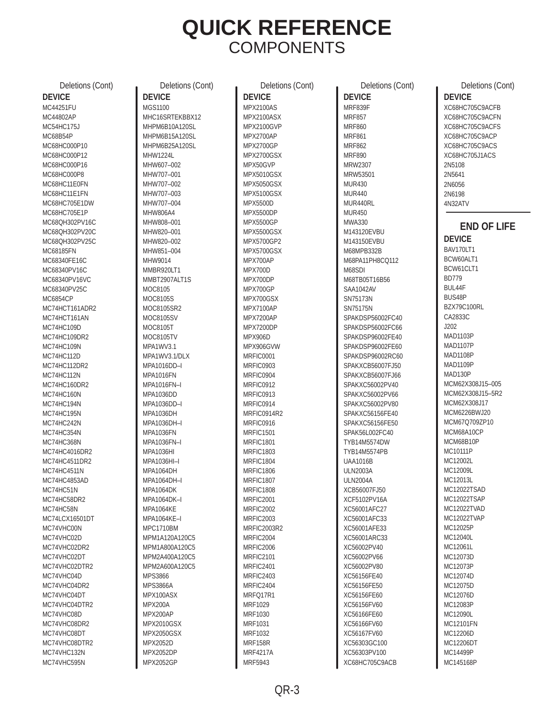Deletions (Cont) **DEVICE** MC44251FU MC44802AP MC54HC175J MC68B54P MC68HC000P10 MC68HC000P12 MC68HC000P16 MC68HC000P8 MC68HC11E0FN MC68HC11F1FN MC68HC705E1DW MC68HC705E1P MC68QH302PV16C MC68QH302PV20C MC68QH302PV25C MC68185FN MC68340FE16C MC68340PV16C MC68340PV16VC MC68340PV25C MC6854CP MC74HCT161ADR2 MC74HCT161AN MC74HC109D MC74HC109DR2 MC74HC109N MC74HC112D MC74HC112DR2 MC74HC112N MC74HC160DR2 MC74HC160N MC74HC194N MC74HC195N MC74HC242N MC74HC354N MC74HC368N MC74HC4016DR2 MC74HC4511DR2 MC74HC4511N MC74HC4853AD MC74HC51N MC74HC58DR2 MC74HC58N MC74LCX16501DT MC74VHC00N MC74VHC02D MC74VHC02DR2 MC74VHC02DT MC74VHC02DTR2 MC74VHC04D MC74VHC04DR2 MC74VHC04DT MC74VHC04DTR2 MC74VHC08D MC74VHC08DR2 MC74VHC08DT MC74VHC08DTR2 MC74VHC132N MC74VHC595N

Deletions (Cont) **DEVICE** MGS1100 MHC16SRTEKBBX12 MHPM6B10A120SL MHPM6B15A120SL MHPM6B25A120SL MHW1224L MHW607–002 MHW707–001 MHW707–002 MHW707–003 MHW707–004 MHW806A4 MHW808–001 MHW820–001 MHW820–002 MHW851–004 MHW9014 MMBR920LT1 MMBT2907ALT1S MOC8105 MOC8105S MOC8105SR2 MOC8105SV MOC8105T MOC8105TV MPA1WV3.1 MPA1WV3.1/DLX MPA1016DD–I MPA1016FN MPA1016FN–I MPA1036DD MPA1036DD–I MPA1036DH MPA1036DH–I MPA1036FN MPA1036FN–I MPA1036HI MPA1036HI–I MPA1064DH MPA1064DH–I MPA1064DK MPA1064DK–I MPA1064KE MPA1064KE–I MPC1710BM MPM1A120A120C5 MPM1A800A120C5 MPM2A400A120C5 MPM2A600A120C5 MPS3866 MPS3866A MPX100ASX MPX200A MPX200AP MPX2010GSX MPX2050GSX MPX2052D MPX2052DP MPX2052GP

Deletions (Cont) **DEVICE** MPX2100AS MPX2100ASX MPX2100GVP MPX2700AP MPX2700GP MPX2700GSX MPX50GVP MPX5010GSX MPX5050GSX MPX5100GSX MPX5500D MPX5500DP MPX5500GP MPX5500GSX MPX5700GP2 MPX5700GSX MPX700AP MPX700D MPX700DP MPX700GP MPX700GSX MPX7100AP MPX7200AP MPX7200DP MPX906D MPX906GVW MRFIC0001 MRFIC0903 MRFIC0904 MRFIC0912 MRFIC0913 MRFIC0914 MRFIC0914R2 MRFIC0916 MRFIC1501 MRFIC1801 MRFIC1803 MRFIC1804 MRFIC1806 MRFIC1807 MRFIC1808 MRFIC2001 MRFIC2002 MRFIC2003 MRFIC2003R2 MRFIC2004 MRFIC2006 MRFIC2101 MRFIC2401 MRFIC2403 MRFIC2404 MRFQ17R1 MRF1029 MRF1030 MRF1031 MRF1032 MRF158R MRF4217A MRF5943

Deletions (Cont) **DEVICE** MRF839F MRF857 MRF860 MRF861 MRF862 MRF890 MRW2307 MRW53501 MUR430 MUR440 MUR440RL MUR450 MWA330 M143120EVBU M143150EVBU M68MPB332B M68PA11PH8CQ112 M68SDI M68TB05T16B56 SAA1042AV SN75173N SN75175N SPAKDSP56002FC40 SPAKDSP56002FC66 SPAKDSP96002FE40 SPAKDSP96002FE60 SPAKDSP96002RC60 SPAKXCB56007FJ50 SPAKXCB56007FJ66 SPAKXC56002PV40 SPAKXC56002PV66 SPAKXC56002PV80 SPAKXC56156FE40 SPAKXC56156FE50 SPAK56L002FC40 TYB14M5574DW TYB14M5574PB UAA1016B ULN2003A ULN2004A XCB56007FJ50 XCF5102PV16A XC56001AFC27 XC56001AFC33 XC56001AFE33 XC56001ARC33 XC56002PV40 XC56002PV66 XC56002PV80 XC56156FE40 XC56156FE50 XC56156FE60 XC56156FV60 XC56166FE60 XC56166FV60 XC56167FV60 XC56303GC100 XC56303PV100 XC68HC705C9ACB

Deletions (Cont)

### **DEVICE**

XC68HC705C9ACFB XC68HC705C9ACFN XC68HC705C9ACFS XC68HC705C9ACP XC68HC705C9ACS XC68HC705J1ACS 2N5108 2N5641 2N6056 2N6198 4N32ATV

## **END OF LIFE DEVICE**

BAV170LT1 BCW60ALT1 BCW61CLT1 BD779 BUL44F BUS48P BZX79C100RL CA2833C J202 MAD1103P MAD1107P MAD1108P MAD1109P MAD130P MCM62X308J15–005 MCM62X308J15–5R2 MCM62X308J17 MCM6226BWJ20 MCM67Q709ZP10 MCM68A10CP MCM68B10P MC10111P MC12002L MC12009L MC12013L MC12022TSAD MC12022TSAP MC12022TVAD MC12022TVAP MC12025P MC12040L MC12061L MC12073D MC12073P MC12074D MC12075D MC12076D MC12083P MC12090L MC12101FN MC12206D MC12206DT MC14499P MC145168P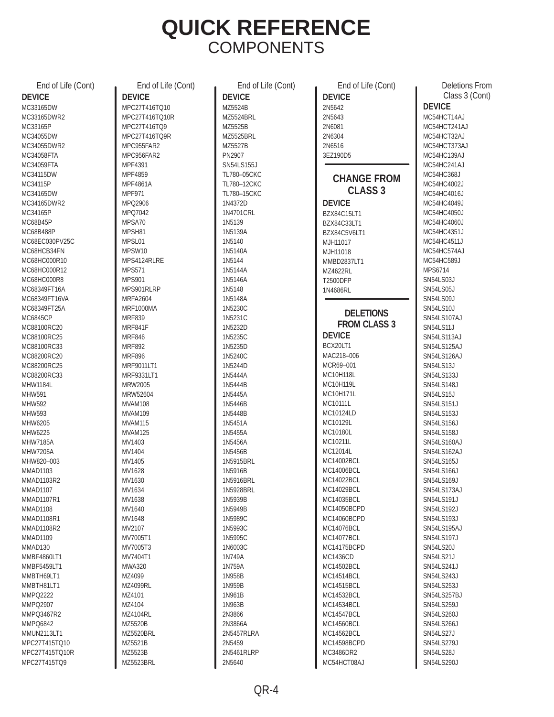| End of Life (Cont)        |
|---------------------------|
| <b>DEVICE</b>             |
| MC33165DW                 |
| MC33165DWR2               |
| MC33165P                  |
| MC34055DW                 |
| MC34055DWR2<br>MC34058FTA |
| MC34059FTA                |
| MC34115DW                 |
| MC34115P                  |
| MC34165DW                 |
| МC<br>34165DWR2           |
| MC34165P                  |
| MC68B45P                  |
| MC68B488P                 |
| MC68EC030PV25C            |
| MC68HCB34FN               |
| MC68HC000R10              |
| MC68HC000R12              |
| MC68HC000R8               |
| MC68349FT16A              |
| MC68349FT16VA             |
| MC68349FT25A              |
| <b>MC6845CP</b>           |
| MC88100RC20               |
| MC88100RC25               |
| MC88100RC33               |
| MC88200RC20               |
| MC88200RC25               |
| MC88200RC33               |
| MHW1184L                  |
| MHW591                    |
| MHW592<br>MHW593          |
| MHW6205                   |
| MHW6225                   |
| MHW7185A                  |
| <b>MHW7205A</b>           |
| MHW820-003                |
| MMAD1103                  |
| MMAD1103R2                |
| MMAD1107                  |
| MMAD1107R1                |
| MMAD1108                  |
| <b>MMAD1108R1</b>         |
| MMAD1108R2                |
| MMAD1109                  |
| MMAD130                   |
| MMBF4860LT1               |
| <b>MMBF5459LT1</b>        |
| MMBTH69LT1                |
| MMBTH81LT1                |
| MMPQ2222                  |
| MMPQ2907                  |
| MMPQ3467R2                |
| <b>MMPQ6842</b>           |
| <b>MMUN2113LT1</b>        |
| MPC27T415TQ10             |
| MPC27T415TQ10R            |
| MPC27T415TQ9              |

End of Life (Cont) **DEVICE** MPC27T416TQ10 MPC27T416TQ10R MPC27T416TQ9 MPC27T416TQ9R MPC955FAR2 MPC956FAR2 MPF4391 MPF4859 MPF4861A MPF971 MPQ2906 MPQ7042 MPSA70 MPSH81 MPSL01 MPSW10 MPS4124RLRE MPS571 MPS901 MPS901RLRP MRFA2604 MRF1000MA MRF839 MRF841F MRF846 MRF892 MRF896 MRF9011LT1 MRF9331LT1 MRW2005 MRW52604 MVAM108 MVAM109 MVAM115 MVAM125 MV1403 MV1404 MV1405 MV1628 MV1630 MV1634 MV1638 MV1640 MV1648 MV2107 MV7005T1 MV7005T3 MV7404T1 MWA320 MZ4099 MZ4099RL MZ4101 MZ4104 MZ4104RL MZ5520B MZ5520BRL MZ5521B MZ5523B MZ5523BRL

End of Life (Cont) **DEVICE** MZ5524B MZ5524BRL MZ5525B MZ5525BRL MZ5527B PN2907 SN54LS155J TL780–05CKC TL780–12CKC TL780–15CKC 1N4372D 1N4701CRL 1N5139 1N5139A 1N5140 1N5140A 1N5144 1N5144A 1N5146A 1N5148 1N5148A 1N5230C 1N5231C 1N5232D 1N5235C 1N5235D 1N5240C 1N5244D 1N5444A 1N5444B 1N5445A 1N5446B 1N5448B 1N5451A 1N5455A 1N5456A 1N5456B 1N5915BRL 1N5916B 1N5916BRL 1N5928BRL 1N5939B 1N5949B 1N5989C 1N5993C 1N5995C 1N6003C 1N749A 1N759A 1N958B 1N959B 1N961B 1N963B 2N3866 2N3866A 2N5457RLRA 2N5459 2N5461RLRP 2N5640

| End of Life (Cont)<br><b>DEVICE</b><br>2N5642<br>2N5643<br>2N6081<br>2N6304<br>2N6516<br>3EZ190D5                                                                                                                                                                                                                                                                                                                                                                                                  |
|----------------------------------------------------------------------------------------------------------------------------------------------------------------------------------------------------------------------------------------------------------------------------------------------------------------------------------------------------------------------------------------------------------------------------------------------------------------------------------------------------|
| <b>CHANGE FROM</b>                                                                                                                                                                                                                                                                                                                                                                                                                                                                                 |
| <b>CLASS 3</b><br><b>DEVICE</b><br>BZX84C15LT1<br><b>BZX84C33LT1</b><br>BZX84C5V6LT1<br>MJH11017<br>MJH11018<br>MMBD2837LT1<br><b>MZ4622RL</b><br><b>T2500DFP</b><br>1N4686RL                                                                                                                                                                                                                                                                                                                      |
| <b>DELETIONS</b>                                                                                                                                                                                                                                                                                                                                                                                                                                                                                   |
| <b>FROM CLASS 3</b><br><b>DEVICE</b><br>BCX20LT1<br>MAC218-006<br>MCR69-001<br>MC10H118L<br>MC10H119L<br>MC10H171L<br>MC10111L<br>MC10124LD<br>MC10129L<br>MC10180L<br>MC10211L<br>MC12014L<br>MC14002BCL<br>MC14006BCL<br>MC14022BCL<br>MC14029BCL<br>MC14035BCL<br>MC14050BCPD<br>MC14060BCPD<br>MC14076BCL<br>MC14077BCL<br>MC14175BCPD<br>MC1436CD<br>MC14502BCL<br>MC14514BCL<br>MC14515BCL<br>MC14532BCL<br>MC14534BCL<br>MC14547BCL<br>MC14560BCL<br>MC14562BCL<br>MC14598BCPD<br>MC3486DR2 |

MC54HCT08AJ

Deletions From Class 3 (Cont) **DEVICE** MC54HCT14AJ MC54HCT241AJ MC54HCT32AJ MC54HCT373AJ MC54HC139AJ MC54HC241AJ MC54HC368J MC54HC4002J MC54HC4016J MC54HC4049J MC54HC4050J MC54HC4060J MC54HC4351J MC54HC4511J MC54HC574AJ MC54HC589J MPS6714 SN54LS03J SN54LS05J SN54LS09J SN54LS10J SN54LS107AJ SN54LS11J SN54LS113AJ SN54LS125AJ SN54LS126AJ SN54LS13J SN54LS133J SN54LS148J SN54LS15J SN54LS151J SN54LS153J SN54LS156J SN54LS158J SN54LS160AJ SN54LS162AJ SN54LS165J SN54LS166J SN54LS169J SN54LS173AJ SN54LS191J SN54LS192J SN54LS193J SN54LS195AJ SN54LS197J SN54LS20J SN54LS21J SN54LS241J SN54LS243J SN54LS253J SN54LS257BJ SN54LS259J SN54LS260J SN54LS266J SN54LS27J SN54LS279J

SN54LS28J SN54LS290J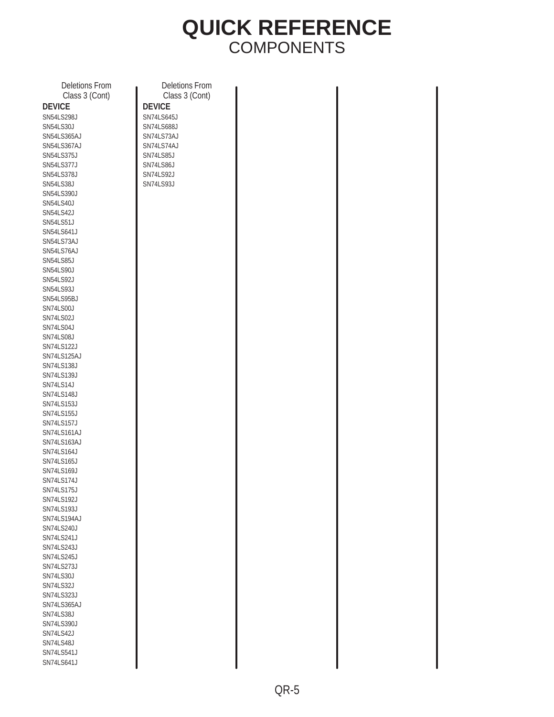| <b>Deletions From</b>            | <b>Deletions From</b> |
|----------------------------------|-----------------------|
| Class 3 (Cont)                   | Class 3 (Cont)        |
| <b>DEVICE</b>                    | <b>DEVICE</b>         |
| <b>SN54LS298J</b>                | SN74LS645J            |
| <b>SN54LS30J</b>                 | <b>SN74LS688J</b>     |
| SN54LS365AJ                      | SN74LS73AJ            |
| SN54LS367AJ                      | SN74LS74AJ            |
| SN54LS375J                       | <b>SN74LS85J</b>      |
| <b>SN54LS377J</b>                | SN74LS86J             |
| <b>SN54LS378J</b>                | SN74LS92J             |
| SN54LS38J                        | <b>SN74LS93J</b>      |
| SN54LS390J                       |                       |
| <b>SN54LS40J</b>                 |                       |
| SN54LS42J                        |                       |
| SN54LS51J                        |                       |
| <b>SN54LS641J</b>                |                       |
| SN54LS73AJ                       |                       |
| SN54LS76AJ                       |                       |
| SN54LS85J                        |                       |
| SN54LS90J                        |                       |
| SN54LS92J                        |                       |
| <b>SN54LS93J</b>                 |                       |
| SN54LS95BJ                       |                       |
| SN74LS00J                        |                       |
| SN74LS02J                        |                       |
| SN74LS04J                        |                       |
| SN74LS08J                        |                       |
| <b>SN74LS122J</b>                |                       |
| SN74LS125AJ                      |                       |
| <b>SN74LS138J</b>                |                       |
| SN74LS139J                       |                       |
| SN74LS14J                        |                       |
| <b>SN74LS148J</b>                |                       |
| <b>SN74LS153J</b>                |                       |
| <b>SN74LS155J</b>                |                       |
| <b>SN74LS157J</b>                |                       |
| <b>SN74LS161AJ</b>               |                       |
| SN74LS163AJ<br><b>SN74LS164J</b> |                       |
| SN74LS165J                       |                       |
| <b>SN74LS169J</b>                |                       |
| SN74LS174J                       |                       |
| SN74LS175J                       |                       |
| <b>SN74LS192J</b>                |                       |
| SN74LS193J                       |                       |
| SN74LS194AJ                      |                       |
| SN74LS240J                       |                       |
| <b>SN74LS241J</b>                |                       |
| SN74LS243J                       |                       |
| <b>SN74LS245J</b>                |                       |
| <b>SN74LS273J</b>                |                       |
| <b>SN74LS30J</b>                 |                       |
| <b>SN74LS32J</b>                 |                       |
| SN74LS323J                       |                       |
| SN74LS365AJ                      |                       |
| <b>SN74LS38J</b>                 |                       |
| SN74LS390J                       |                       |
| SN74LS42J                        |                       |
| SN74LS48J                        |                       |
| SN74LS541J                       |                       |
| <b>SN74LS641J</b>                |                       |
|                                  |                       |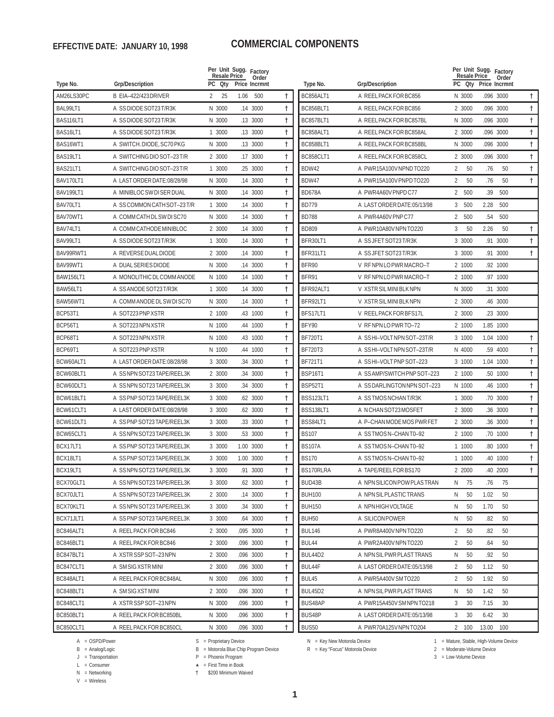|                  |                             | Per Unit Sugg. Factory<br><b>Resale Price</b> | Order                    |                  |                            | <b>Resale Price</b>   | Per Unit Sugg. Factory<br>Order |              |
|------------------|-----------------------------|-----------------------------------------------|--------------------------|------------------|----------------------------|-----------------------|---------------------------------|--------------|
| Type No.         | <b>Grp/Description</b>      | PC Qty<br>Price Incrmnt                       |                          | Type No.         | <b>Grp/Description</b>     | PC Qtv                | Price Incrmnt                   |              |
| AM26LS30PC       | B EIA-422/423DRIVER         | 25<br>2<br>1.06                               | 500<br>$^{\dagger}$      | BC856ALT1        | A REELPACK FOR BC856       | N 3000                | .096 3000                       | $\dagger$    |
| BAL99LT1         | A SS DIODE SOT23 T/R3K      | N 3000<br>.14 3000                            | t                        | BC856BLT1        | A REEL PACK FOR BC856      | 2 3000                | .096 3000                       | $^{\dagger}$ |
| <b>BAS116LT1</b> | A SS DIODE SOT23 T/R3K      | N 3000<br>.13 3000                            | $^{\dagger}$             | BC857BLT1        | A REELPACK FOR BC857BL     | N 3000                | .096 3000                       | $\ddagger$   |
| BAS16LT1         | A SS DIODE SOT23 T/R3K      | 1 3000<br>.13 3000                            | $^{\dagger}$             | BC858ALT1        | A REEL PACK FOR BC858AL    | 2 3000                | .096 3000                       | $\ddagger$   |
| BAS16WT1         | A SWITCH. DIODE, SC70 PKG   | N 3000<br>.13 3000                            | $^{\dagger}$             | BC858BLT1        | A REEL PACK FOR BC858BL    | N 3000                | .096 3000                       | $^{\dagger}$ |
| BAS19LT1         | A SWITCHING DIO SOT-23 T/R  | 2 3000<br>.17 3000                            | $^{\dagger}$             | BC858CLT1        | A REEL PACK FOR BC858CL    | 2 3000                | .096 3000                       | $^{\dagger}$ |
| BAS21LT1         | A SWITCHING DIO SOT-23 T/R  | 1 3000                                        | $^{\dagger}$<br>.25 3000 | BDW42            | A PWR15A100V NPND TO220    | $\overline{2}$<br>50  | 50<br>.76                       | $\ddagger$   |
| BAV170LT1        | A LAST ORDER DATE:08/28/98  | N 3000<br>.14 3000                            | $\ddagger$               | BDW47            | A PWR15A100V PNPD TO220    | 50<br>2               | 50<br>.76                       | $\dagger$    |
| <b>BAV199LT1</b> | A MINIBLOC SW DI SER DUAL   | N 3000                                        | .14 3000<br>$^\dagger$   | <b>BD678A</b>    | A PWR4A60V PNPD C77        | 2 500                 | .39<br>500                      |              |
| BAV70LT1         | A SS COMMON CATH SOT-23 T/R | 1 3000<br>.14 3000                            | $\ddagger$               | <b>BD779</b>     | A LAST ORDER DATE:05/13/98 | 3 500                 | 2.28<br>500                     |              |
| BAV70WT1         | A COMM CATH DL SW DISC70    | N 3000<br>.14 3000                            | $^\dagger$               | <b>BD788</b>     | A PWR4A60V PNPC77          | 500<br>$\overline{2}$ | 500<br>.54                      |              |
| BAV74LT1         | A COMM CATHODE MINIBLOC     | 2 3000<br>.14 3000                            | $^{\dagger}$             | <b>BD809</b>     | A PWR10A80VNPNTO220        | 3<br>50               | 2.26<br>50                      | $^{\dagger}$ |
| BAV99LT1         | A SS DIODE SOT23 T/R3K      | 1 3000<br>.14 3000                            | $^{\dagger}$             | BFR30LT1         | A SSJFETSOT23T/R3K         | 3 3000                | .91 3000                        | $^{\dagger}$ |
| BAV99RWT1        | A REVERSE DUAL DIODE        | 2 3000<br>.14 3000                            | $^{\dagger}$             | BFR31LT1         | A SSJFETSOT23T/R3K         | 3 3000                | .91 3000                        | $^{\dagger}$ |
| BAV99WT1         | A DUAL SERIES DIODE         | N 3000<br>.14 3000                            | $\ddagger$               | BFR90            | V RF NPN LO PWR MACRO-T    | 2 1000                | .92 1000                        |              |
| <b>BAW156LT1</b> | A MONOLITHIC DL COMM ANODE  | N 1000<br>.14 1000                            | $^{\dagger}$             | BFR91            | V RF NPN LO PWR MACRO-T    | 2 1000                | .97 1000                        |              |
| BAW56LT1         | A SSANODE SOT23 T/R3K       | 1 3000<br>.14 3000                            | $\ddagger$               | BFR92ALT1        | V XSTR SILMINI BLK NPN     | N 3000                | .31 3000                        |              |
| <b>BAW56WT1</b>  | A COMMANODE DL SW DISC70    | N 3000                                        | .14 3000<br>$^{\dagger}$ | BFR92LT1         | V XSTR SILMINI BLK NPN     | 2 3000                | .46 3000                        |              |
| BCP53T1          | A SOT223 PNP XSTR           | 2 1000                                        | .43 1000<br>$^{\dagger}$ | BFS17LT1         | V REELPACK FOR BFS17L      | 2 3000                | .23 3000                        |              |
| <b>BCP56T1</b>   | A SOT223 NPN XSTR           | N 1000<br>.44 1000                            | t                        | BFY90            | V RF NPN LO PWR TO-72      | 2 1000                | 1.85 1000                       |              |
| <b>BCP68T1</b>   | A SOT223 NPN XSTR           | N 1000<br>.43 1000                            | $^{\dagger}$             | BF720T1          | A SSHI-VOLTNPNSOT-23T/R    | 3 1000                | 1.04 1000                       | $\ddagger$   |
| BCP69T1          | A SOT223 PNP XSTR           | N 1000<br>.44 1000                            | $^{\dagger}$             | <b>BF720T3</b>   | A SSHI-VOLTNPNSOT-23T/R    | N 4000                | .59 4000                        | $^+$         |
| BCW60ALT1        | A LAST ORDER DATE:08/28/98  | 3 3000                                        | .34 3000<br>$^{\dagger}$ | BF721T1          | A SSHI-VOLT PNP SOT-223    | 3 1000                | 1.04 1000                       | $^{\dagger}$ |
| BCW60BLT1        | A SS NPN SOT23 TAPE/REEL3K  | 2 3000                                        | $\ddagger$<br>.34 3000   | <b>BSP16T1</b>   | A SSAMP/SWITCHPNPSOT-223   | 2 1000                | .50 1000                        | $^{\dagger}$ |
| BCW60DLT1        | A SS NPN SOT23 TAPE/REEL3K  | 3 3000                                        | .34 3000<br>$^{\dagger}$ | <b>BSP52T1</b>   | A SSDARLINGTON NPN SOT-223 | N 1000                | .46 1000                        | $\ddagger$   |
| BCW61BLT1        | A SS PNP SOT23 TAPE/REEL3K  | 3 3000                                        | $\ddagger$<br>.62 3000   | <b>BSS123LT1</b> | A SSTMOSNCHANT/R3K         | 1 3000                | .70 3000                        | $\dagger$    |
| BCW61CLT1        | A LAST ORDER DATE:08/28/98  | 3 3000                                        | .62 3000<br>$^{\dagger}$ | <b>BSS138LT1</b> | A NCHANSOT23MOSFET         | 2 3000                | .36 3000                        | $^+$         |
| BCW61DLT1        | A SSPNP SOT23 TAPE/REEL3K   | .33 3000<br>3 3000                            | $\ddagger$               | BSS84LT1         | A P-CHAN MODE MOS PWR FET  | 2 3000                | .36 3000                        | $^{\dagger}$ |
| BCW65CLT1        | A SS NPN SOT23 TAPE/REEL3K  | 3 3000<br>.53 3000                            | t                        | <b>BS107</b>     | A SSTMOSN-CHANT0-92        | 2 1000                | .70 1000                        | $^{\dagger}$ |
| BCX17LT1         | A SSPNP SOT23 TAPE/REEL3K   | 3 3000<br>1.00 3000                           | $^{\dagger}$             | <b>BS107A</b>    | A SSTMOSN-CHANT0-92        | 1 1000                | .80 1000                        | $\ddagger$   |
| BCX18LT1         | A SSPNP SOT23 TAPE/REEL3K   | 3 3000<br>1.00 3000                           | $^{\dagger}$             | <b>BS170</b>     | A SSTMOSN-CHANT0-92        | 1 1000                | .40 1000                        | Ť            |
| BCX19LT1         | A SS NPN SOT23 TAPE/REEL3K  | 3 3000                                        | $+$<br>.91 3000          | BS170RLRA        | A TAPE/REELFORBS170        | 2 2000                | .40 2000                        | $^+$         |
| BCX70GLT1        | A SSNPN SOT23 TAPE/REEL3K   | 3 3000                                        | Ť.<br>.62 3000           | BUD43B           | A NPN SILICON POW PLASTRAN | 75<br>N               | 75<br>.76                       |              |
| BCX70JLT1        | A SS NPN SOT23 TAPE/REEL3K  | 2 3000<br>.14 3000                            | $^{\dagger}$             | <b>BUH100</b>    | A NPN SILPLASTIC TRANS     | 50<br>N               | 50<br>1.02                      |              |
| BCX70KLT1        | A SS NPN SOT23 TAPE/REEL3K  | 3 3000                                        | $^{\dagger}$<br>.34 3000 | <b>BUH150</b>    | A NPNHIGH VOLTAGE          | N<br>50               | 50<br>1.70                      |              |
| BCX71JLT1        | A SSPNP SOT23 TAPE/REEL3K   | 3 3000                                        | .64 3000<br>$^{\dagger}$ | <b>BUH50</b>     | A SILICONPOWER             | 50<br>N               | 50<br>.82                       |              |
| BC846ALT1        | A REELPACK FOR BC846        | 2 3000<br>.095 3000                           | $\dagger$                | <b>BUL146</b>    | A PWR8A400VNPNTO220        | 50<br>$\overline{2}$  | .82<br>50                       |              |
| BC846BLT1        | A REELPACK FOR BC846        | .096 3000<br>2 3000                           | t.                       | BUL44            | A PWR2A400VNPNTO220        | $\overline{2}$<br>50  | 50<br>.64                       |              |
| BC847BLT1        | A XSTRSSPSOT-23NPN          | .096 3000<br>2 3000                           | $^\dagger$               | BUL44D2          | A NPN SIL PWR PLAST TRANS  | 50<br>N               | .92<br>50                       |              |
| BC847CLT1        | A SMSIG XSTRMINI            | 2 3000<br>.096 3000                           | $^\dagger$               | BUL44F           | A LAST ORDER DATE:05/13/98 | $\overline{2}$<br>50  | 1.12<br>50                      |              |
| BC848ALT1        | A REELPACKFORBC848AL        | .096 3000<br>N 3000                           | $^\dagger$               | BUL45            | A PWR5A400V SMTO220        | $\overline{2}$<br>50  | 50<br>1.92                      |              |
| BC848BLT1        | A SMSIGXSTMINI              | 2 3000<br>.096 3000                           | Ť.                       | <b>BUL45D2</b>   | A NPN SIL PWR PLAST TRANS  | 50<br>N               | 1.42<br>50                      |              |
| BC848CLT1        | A XSTRSSPSOT-23NPN          | N 3000<br>.096 3000                           | $^{\dagger}$             | BUS48AP          | A PWR15A450V SMNPNTO218    | 30<br>3               | 30<br>7.15                      |              |
| BC850BLT1        | A REELPACK FOR BC850BL      | N 3000<br>.096 3000                           | $^{\dagger}$             | BUS48P           | A LAST ORDER DATE:05/13/98 | 3<br>30               | 6.42<br>30                      |              |
| BC850CLT1        | A REELPACK FOR BC850CL      | N 3000<br>.096 3000                           | $\ddagger$               | BUS50            | A PWR70A125V NPN TO204     | 2 100                 | 13.00 100                       |              |

- 
- 
- 
- $L = \text{Consumer}$ <br>  $N = \text{Networking}$ <br>  $V = \text{Wireless}$

B = Analog/Logic entropyrology by B = Motorola Blue Chip Program Device R = Key "Focus" Motorola Device 2 = Moderate-Volume Device

J = Transportation P = Phoenix Program 3 = Low-Volume Device

 $L =$  Consumer  $\star =$  First Time in Book

N = Networking - and the state of the state of the state of the state of the state of the state of the state of the state of the state of the state of the state of the state of the state of the state of the state of the st

A = OSPD/Power external states and S = Proprietary Device N = Key New Motorola Device 1 = Mature, Stable, High-Volume Device

- -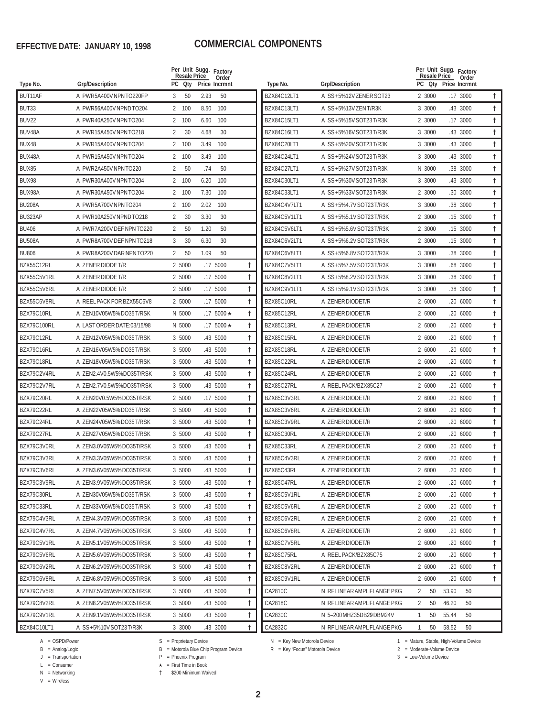| Type No.      | <b>Grp/Description</b>     | <b>Resale Price</b><br>PC Qty | Per Unit Sugg. Factory<br>Order<br>Price Incrmnt | Type No.     | <b>Grp/Description</b>      | Per Unit Sugg. Factory<br>Resale Price Order<br>PC Qty Price Incrmnt |
|---------------|----------------------------|-------------------------------|--------------------------------------------------|--------------|-----------------------------|----------------------------------------------------------------------|
| BUT11AF       | A PWR5A400V NPN TO220FP    | 50<br>3                       | 2.93<br>50                                       | BZX84C12LT1  | A SS+5%12V ZENER SOT23      | $\ddagger$<br>2 3000<br>.17 3000                                     |
| BUT33         | A PWR56A400VNPNDTO204      | 100<br>2                      | 8.50<br>100                                      | BZX84C13LT1  | A SS+5%13VZENT/R3K          | $\ddagger$<br>3 3000<br>.43 3000                                     |
| <b>BUV22</b>  | A PWR40A250V NPN TO204     | 2 100                         | 100<br>6.60                                      | BZX84C15LT1  | A SS+5%15V SOT23 T/R3K      | $\ddagger$<br>2 3000<br>.17 3000                                     |
| BUV48A        | A PWR15A450VNPNTO218       | 30<br>2                       | 30<br>4.68                                       | BZX84C16LT1  | A SS+5%16V SOT23 T/R3K      | $\ddagger$<br>3 3000<br>.43 3000                                     |
| BUX48         | A PWR15A400V NPN TO204     | 100<br>$\overline{2}$         | 3.49<br>100                                      | BZX84C20LT1  | A SS+5%20V SOT23 T/R3K      | $+$<br>3 3000<br>.43 3000                                            |
|               |                            |                               |                                                  |              |                             |                                                                      |
| BUX48A        | A PWR15A450V NPN TO204     | 100<br>$\overline{2}$         | 3.49<br>100                                      | BZX84C24LT1  | A SS+5%24V SOT23 T/R3K      | $+$<br>3 3000<br>.43 3000                                            |
| <b>BUX85</b>  | A PWR2A450V NPN TO220      | 50<br>2                       | .74<br>50                                        | BZX84C27LT1  | A SS+5%27V SOT23 T/R3K      | $\ddagger$<br>N 3000<br>.38 3000                                     |
| BUX98         | A PWR30A400V NPN TO204     | 2 100                         | 6.20<br>100                                      | BZX84C30LT1  | A SS+5%30V SOT23 T/R3K      | $\ddagger$<br>3 3000<br>.43 3000                                     |
| BUX98A        | A PWR30A450V NPN TO204     | 2 100                         | 7.30<br>100                                      | BZX84C33LT1  | A SS+5%33V SOT23 T/R3K      | $\ddagger$<br>2 3000<br>.30 3000                                     |
| <b>BU208A</b> | A PWR5A700V NPN TO204      | 100<br>2                      | 2.02<br>100                                      | BZX84C4V7LT1 | A SS+5%4.7V SOT23 T/R3K     | $\ddagger$<br>3 3000<br>.38 3000                                     |
| BU323AP       | A PWR10A250V NPND TO218    | 30<br>2                       | 3.30<br>30                                       | BZX84C5V1LT1 | A SS+5%5.1V SOT23 T/R3K     | $\ddagger$<br>2 3000<br>.15 3000                                     |
| <b>BU406</b>  | A PWR7A200V DEF NPN TO220  | 50<br>2                       | 1.20<br>50                                       | BZX84C5V6LT1 | A SS+5%5.6V SOT23T/R3K      | $\ddagger$<br>2 3000<br>.15 3000                                     |
| <b>BU508A</b> | A PWR8A700V DEF NPN TO218  | 30<br>3                       | 30<br>6.30                                       | BZX84C6V2LT1 | A SS+5%6.2V SOT23 T/R3K     | $\ddagger$<br>2 3000<br>.15 3000                                     |
| <b>BU806</b>  | A PWR8A200V DAR NPN TO220  | 50<br>$\overline{2}$          | 1.09<br>50                                       | BZX84C6V8LT1 | A SS+5%6.8V SOT23T/R3K      | $\pm$<br>3 3000<br>.38 3000                                          |
| BZX55C12RL    | A ZENER DIODE T/R          | 2 5000                        | .17 5000<br>$\ddagger$                           | BZX84C7V5LT1 | A SS+5%7.5V SOT23T/R3K      | $\ddagger$<br>3 3000<br>.68 3000                                     |
| BZX55C5V1RL   | A ZENER DIODE T/R          | 2 5000                        | $\ddagger$<br>.17 5000                           | BZX84C8V2LT1 | A SS+5%8.2V SOT23 T/R3K     | $\ddagger$<br>3 3000<br>.38 3000                                     |
| BZX55C5V6RL   | A ZENER DIODE T/R          | 2 5000                        | .17 5000<br>$\ddagger$                           | BZX84C9V1LT1 | A SS+5%9.1V SOT23T/R3K      | $\ddagger$<br>3 3000<br>.38 3000                                     |
| BZX55C6V8RL   | A REEL PACK FOR BZX55C6V8  | 2 5000                        | .17 5000<br>$\ddagger$                           | BZX85C10RL   | A ZENER DIODET/R            | $\ddagger$<br>2 6000<br>.20 6000                                     |
| BZX79C10RL    | A ZEN10V05W5%DO35T/RSK     | N 5000                        | $\ddagger$<br>.17 5000 $\star$                   | BZX85C12RL   | A ZENER DIODET/R            | $\ddagger$<br>2 6000<br>.20 6000                                     |
| BZX79C100RL   | A LAST ORDER DATE:03/15/98 | N 5000                        | $\ddagger$<br>.17 5000 $\star$                   | BZX85C13RL   | A ZENER DIODET/R            | $\pm$<br>2 6000<br>.20 6000                                          |
| BZX79C12RL    | A ZEN12V05W5%DO35T/RSK     | 3 5000                        | $\ddagger$<br>.43 5000                           | BZX85C15RL   | A ZENER DIODET/R            | $\dagger$<br>2 6000<br>.20 6000                                      |
| BZX79C16RL    | A ZEN16V05W5%DO35T/RSK     | 3 5000                        | $^{\dagger}$<br>.43 5000                         | BZX85C18RL   | A ZENER DIODET/R            | $\ddagger$<br>2 6000<br>.20 6000                                     |
| BZX79C18RL    | A ZEN18V05W5%DO35T/RSK     | 3 5000                        | .43 5000<br>$\ddagger$                           | BZX85C22RL   | A ZENER DIODET/R            | $+$<br>2 6000<br>.20 6000                                            |
| BZX79C2V4RL   | A ZEN2.4V0.5W5%DO35T/RSK   | 3 5000                        | .43 5000<br>$\ddagger$                           | BZX85C24RL   | A ZENER DIODET/R            | $\ddagger$<br>2 6000<br>.20 6000                                     |
| BZX79C2V7RL   | A ZEN2.7V0.5W5%DO35T/RSK   | 3 5000                        | .43 5000<br>$\ddagger$                           | BZX85C27RL   | A REELPACK/BZX85C27         | $\dagger$<br>2 6000<br>.20 6000                                      |
| BZX79C20RL    | A ZEN20V0.5W5%DO35T/RSK    | 2 5000                        | .17 5000<br>$\ddagger$                           | BZX85C3V3RL  | A ZENER DIODET/R            | $^\mathrm{+}$<br>2 6000<br>.20 6000                                  |
| BZX79C22RL    | A ZEN22V05W5%DO35T/RSK     | 3 5000                        | .43 5000<br>$\ddagger$                           | BZX85C3V6RL  | A ZENER DIODET/R            | $\ddagger$<br>2 6000<br>.20 6000                                     |
| BZX79C24RL    | A ZEN24V05W5%DO35T/RSK     | 3 5000                        | .43 5000<br>$\ddagger$                           | BZX85C3V9RL  | A ZENER DIODET/R            | $\ddagger$<br>2 6000<br>.20 6000                                     |
| BZX79C27RL    | A ZEN27V05W5%DO35T/RSK     | 3 5000                        | $\ddagger$<br>.43 5000                           | BZX85C30RL   | A ZENER DIODET/R            | $\ddagger$<br>.20 6000<br>2 6000                                     |
| BZX79C3V0RL   | A ZEN3.0V05W5%DO35T/RSK    | 3 5000                        | $\ddagger$<br>.43 5000                           | BZX85C33RL   | A ZENER DIODET/R            | $\ddagger$<br>2 6000<br>.20 6000                                     |
| BZX79C3V3RL   | A ZEN3.3V05W5%DO35T/RSK    | 3 5000                        | $^\dagger$<br>.43 5000                           | BZX85C4V3RL  | A ZENER DIODET/R            | $^\dagger$<br>2 6000<br>.20 6000                                     |
| BZX79C3V6RL   | A ZEN3.6V05W5%DO35T/RSK    | 3 5000                        | $+$<br>.43 5000<br>J.                            | BZX85C43RL   | A ZENERDIODET/R             | $^\dagger$<br>2 6000<br>.20 6000                                     |
| BZX79C3V9RL   | A ZEN3.9V05W5%DO35T/RSK    | 3 5000                        | $\dagger$<br>.43 5000                            | BZX85C47RL   | A ZENER DIODET/R            | $\ddagger$<br>2 6000<br>.20 6000                                     |
| BZX79C30RL    | A ZEN30V05W5%DO35T/RSK     | 3 5000                        | .43 5000<br>$\ddagger$                           | BZX85C5V1RL  | A ZENERDIODET/R             | $^{\dagger}$<br>2 6000<br>.20 6000                                   |
| BZX79C33RL    | A ZEN33V05W5%DO35T/RSK     | 3 5000                        | .43 5000<br>t                                    | BZX85C5V6RL  | A ZENERDIODET/R             | $\ddagger$<br>2 6000<br>.20 6000                                     |
| BZX79C4V3RL   | A ZEN4.3V05W5%DO35T/RSK    | 3 5000                        | $\dagger$<br>.43 5000                            | BZX85C6V2RL  | A ZENERDIODET/R             | $^\dagger$<br>2 6000<br>.20 6000                                     |
| BZX79C4V7RL   | A ZEN4.7V05W5%DO35T/RSK    | 3 5000                        | $\dagger$<br>.43 5000                            | BZX85C6V8RL  | A ZENER DIODET/R            | $\ddagger$<br>2 6000<br>.20 6000                                     |
| BZX79C5V1RL   | A ZEN5.1V05W5%DO35T/RSK    | 3 5000                        | $^\dagger$<br>.43 5000                           | BZX85C7V5RL  | A ZENER DIODET/R            | $\dagger$<br>2 6000<br>.20 6000                                      |
| BZX79C5V6RL   | A ZEN5.6V05W5%DO35T/RSK    | 3 5000                        | $^\dagger$<br>.43 5000                           | BZX85C75RL   | A REELPACK/BZX85C75         | $^{\dagger}$<br>.20 6000<br>2 6000                                   |
| BZX79C6V2RL   | A ZEN6.2V05W5%DO35T/RSK    | 3 5000                        | $^\dagger$<br>.43 5000                           | BZX85C8V2RL  | A ZENERDIODET/R             | $\ddagger$<br>2 6000<br>.20 6000                                     |
| BZX79C6V8RL   | A ZEN6.8V05W5%DO35T/RSK    | 3 5000                        | .43 5000<br>$\dagger$                            | BZX85C9V1RL  | A ZENER DIODET/R            | $\ddagger$<br>2 6000<br>.20 6000                                     |
|               |                            |                               |                                                  | CA2810C      | N RF LINEAR AMPL FLANGE PKG | 53.90<br>50                                                          |
| BZX79C7V5RL   | A ZEN7.5V05W5%DO35T/RSK    | 3 5000                        | .43 5000<br>$^+$                                 |              |                             | $\overline{2}$<br>50                                                 |
| BZX79C8V2RL   | A ZEN8.2V05W5%DO35T/RSK    | 3 5000                        | .43 5000<br>$^\dagger$                           | CA2818C      | N RF LINEAR AMPL FLANGE PKG | 50<br>46.20<br>50<br>$\overline{2}$                                  |
| BZX79C9V1RL   | A ZEN9.1V05W5%DO35T/RSK    | 3 5000                        | .43 5000<br>t                                    | CA2830C      | N 5-200 MHZ35DB29 DBM24V    | 55.44<br>50<br>50<br>1                                               |
| BZX84C10LT1   | A SS+5%10V SOT23 T/R3K     | 3 3000                        | .43 3000<br>$^+$                                 | CA2832C      | N RF LINEAR AMPL FLANGE PKG | 58.52<br>50<br>50<br>1                                               |

- 
- 

 $L = \text{Consumer}$ <br>  $N = \text{Networking}$ <br>  $V = \text{Wireless}$ 

B = Analog/Logic entropy of the Motorola Blue Chip Program Device R = Key "Focus" Motorola Device 2 = Moderate-Volume Device

- 
- 
- 

- J = Transportation P = Phoenix Program 3 = Low-Volume Device
- $L =$  Consumer  $\star =$  First Time in Book
- N = Networking extensive that the state of the state of the state of the state of the state of the state of the state of the state of the state of the state of the state of the state of the state of the state of the state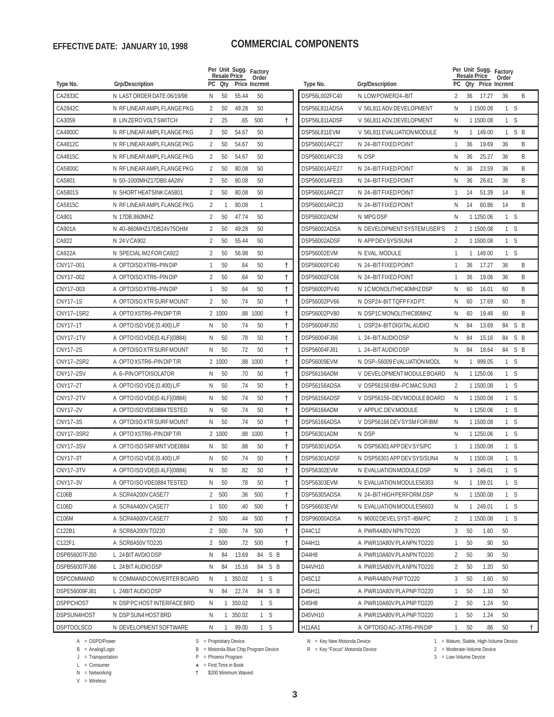|                   |                              | Per Unit Sugg. Factory<br><b>Resale Price</b> |               | Order          |              |               |                             |                | Per Unit Sugg. Factory<br><b>Resale Price</b> |        | Order          |            |
|-------------------|------------------------------|-----------------------------------------------|---------------|----------------|--------------|---------------|-----------------------------|----------------|-----------------------------------------------|--------|----------------|------------|
| Type No.          | <b>Grp/Description</b>       | Oty<br>PC.                                    | Price Incrmnt |                |              | Type No.      | <b>Grp/Description</b>      | PC             | <b>Qty</b>                                    |        | Price Incrmnt  |            |
| CA2833C           | N LAST ORDER DATE: 06/19/98  | 50<br>N                                       | 55.44         | 50             |              | DSP56L002FC40 | N LOWPOWER24-BIT            | 2              | 36                                            | 17.27  | 36             | B          |
| CA2842C           | N RF LINEAR AMPL FLANGE PKG  | 50<br>2                                       | 49.28         | 50             |              | DSP56L811ADSA | V 56L811 ADV.DEVELOPMENT    | N              | 1 1500.08                                     |        | 1 <sub>S</sub> |            |
| CA3059            | <b>B LINZERO VOLT SWITCH</b> | 2<br>25                                       | .65           | 500            | $^{\dagger}$ | DSP56L811ADSF | V 56L811 ADV.DEVELOPMENT    | N              | 1 1500.08                                     |        | 1 <sub>S</sub> |            |
| CA4800C           | N RF LINEAR AMPL FLANGE PKG  | 50<br>2                                       | 54.67         | 50             |              | DSP56L811EVM  | V 56L811 EVALUATION MODULE  | N              | 1 149.00                                      |        |                | 1 S B      |
| CA4812C           | N RF LINEAR AMPL FLANGE PKG  | 2<br>50                                       | 54.67         | 50             |              | DSP56001AFC27 | N 24-BIT FIXED POINT        | $\mathbf{1}$   | 36                                            | 19.69  | 36             | B          |
| CA4815C           | N RF LINEAR AMPL FLANGE PKG  | 50<br>2                                       | 54.67         | 50             |              | DSP56001AFC33 | N DSP                       | N              | 36                                            | 25.27  | 36             | B          |
| CA5800C           | N RF LINEAR AMPL FLANGE PKG  | 2<br>50                                       | 80.08         | 50             |              | DSP56001AFE27 | N 24-BIT FIXED POINT        | N              | 36                                            | 23.59  | 36             | B          |
| CA5801            | N 50-1000MHZ17DB0.4A28V      | $\overline{2}$<br>50                          | 80.08         | 50             |              | DSP56001AFE33 | N 24-BIT FIXED POINT        | N              | 36                                            | 26.61  | 36             | B          |
| CA5801S           | N SHORT HEATSINK CA5801      | $\overline{2}$<br>50                          | 80.08         | 50             |              | DSP56001ARC27 | N 24-BIT FIXED POINT        | 1              | 14                                            | 51.39  | 14             | B          |
| CA5815C           | N RF LINEAR AMPL FLANGE PKG  | $\overline{2}$<br>$\mathbf{1}$                | 80.08         | $\mathbf{1}$   |              | DSP56001ARC33 | N 24-BIT FIXED POINT        | N              | 14                                            | 60.86  | 14             | B          |
| CA901             | N 17DB,860MHZ                | 50<br>2                                       | 47.74         | 50             |              | DSP56002ADM   | N MPGDSP                    | N              | 1 1250.06                                     |        | 1 <sub>S</sub> |            |
| CA901A            | N 40-860MHZ17DB24V75OHM      | 2<br>50                                       | 49.28         | 50             |              | DSP56002ADSA  | N DEVELOPMENTSYSTEMUSER'S   | 2              | 1 1500.08                                     |        | 1 <sub>S</sub> |            |
| CA922             | N 24 V CA902                 | 50<br>2                                       | 55.44         | 50             |              | DSP56002ADSF  | N APP DEV SYS/SUN4          | 2              | 1 1500.08                                     |        | 1 <sup>5</sup> |            |
| CA922A            | N SPECIAL IM2 FOR CA922      | 2<br>50                                       | 56.98         | 50             |              | DSP56002EVM   | N EVAL. MODULE              | 1              | 1 149.00                                      |        | 1 <sup>5</sup> |            |
| CNY17-001         | A OPTOISO XTR6-PIN DIP       | 50<br>1                                       | .64           | 50             | $^+$         | DSP56002FC40  | N 24-BIT FIXED POINT        | 1              | 36                                            | 17.27  | 36             | B          |
| CNY17-002         | A OPTOISO XTR6-PIN DIP       | $\overline{2}$<br>50                          | .64           | 50             | $^+$         | DSP56002FC66  | N 24-BIT FIXED POINT        | -1             | 36                                            | 19.06  | 36             | B          |
| CNY17-003         | A OPTOISO XTR6-PIN DIP       | 50<br>1                                       | .64           | 50             | $\ddagger$   | DSP56002PV40  | N 1CMONOLITHIC40MHZDSP      | N              | 60                                            | 16.01  | 60             | B          |
| <b>CNY17-1S</b>   | A OPTOISO XTR SURF MOUNT     | $\overline{2}$<br>50                          | .74           | 50             | $\ddagger$   | DSP56002PV66  | N DSP24-BIT TQFP FXD PT.    | N              | 60                                            | 17.69  | 60             | B          |
| CNY17-1SR2        | A OPTO XSTR6-PIN DIPT/R      | 2 1000                                        |               | .88 1000       | $^{\dagger}$ | DSP56002PV80  | N DSP1CMONOLITHIC80MHZ      | N              | 60                                            | 19.48  | 60             | B          |
| <b>CNY17-1T</b>   | A OPTO ISO VDE (0.400) L/F   | 50<br>N                                       | .74           | 50             | $\ddagger$   | DSP56004FJ50  | L DSP24-BIT DIGITAL AUDIO   | N              | 84                                            | 13.69  |                | 84 S B     |
| CNY17-1TV         | A OPTO ISO VDE(0.4LF)(0884)  | 50<br>Ν                                       | .78           | 50             | $^{\dagger}$ | DSP56004FJ66  | L 24-BIT AUDIO DSP          | N              | 84                                            | 15.16  | 84             | S B        |
| <b>CNY17-2S</b>   | A OPTOISO XTR SURF MOUNT     | 50<br>N                                       | .72           | 50             | $\ddagger$   | DSP56004FJ81  | L 24-BIT AUDIO DSP          | N              | 84                                            | 18.64  |                | 84 S B     |
| CNY17-2SR2        | A OPTO XSTR6-PIN DIP T/R     | 2 1000                                        |               | .88 1000       | t            | DSP56009EVM   | N DSP-56009 EVALUATION MODL | N              | $\mathbf{1}$                                  | 999.05 | 1 <sub>S</sub> |            |
| CNY17-2SV         | A 6-PIN OPTOISOLATOR         | 50<br>N                                       | .70           | 50             | $\ddagger$   | DSP56156ADM   | V DEVELOPMENTMODULE BOARD   | N              | 1 1250.06                                     |        | 1 <sup>5</sup> |            |
| <b>CNY17-2T</b>   | A OPTO ISO VDE (0.400) L/F   | 50<br>Ν                                       | .74           | 50             | $^{\dagger}$ | DSP56156ADSA  | V DSP56156IBM-PCMACSUN3     | 2              | 1 1500.08                                     |        | 1 <sup>5</sup> |            |
| CNY17-2TV         | A OPTO ISO VDE(0.4LF)(0884)  | 50<br>Ν                                       | .74           | 50             | $\ddagger$   | DSP56156ADSF  | V DSP56156-DEVMODULE BOARD  | N              | 1 1500.08                                     |        | 1 <sub>S</sub> |            |
| <b>CNY17-2V</b>   | A OPTO ISO VDE0884 TESTED    | 50<br>Ν                                       | .74           | 50             | $^{\dagger}$ | DSP56166ADM   | V APPLIC.DEV.MODULE         | N              | 1 1250.06                                     |        | 1 <sup>5</sup> |            |
| <b>CNY17-3S</b>   | A OPTOISO XTR SURF MOUNT     | 50<br>N                                       | .74           | 50             | $^{\dagger}$ | DSP56166ADSA  | V DSP56166DEVSYSMFORIBM     | N              | 1 1500.08                                     |        | 1 <sup>5</sup> |            |
| CNY17-3SR2        | A OPTO XSTR6-PIN DIP T/R     | 2 1000                                        |               | .88 1000       | $\ddagger$   | DSP56301ADM   | N DSP                       | N              | 1 1250.06                                     |        | 1 <sup>5</sup> |            |
| <b>CNY17-3SV</b>  | A OPTO ISO SRF MNT VDE0884   | 50<br>Ν                                       | .88           | 50             | $^{\dagger}$ | DSP56301ADSA  | N DSP56301 APP DEV SYS/PC   | $\mathbf{1}$   | 1 1500.08                                     |        | 1 <sub>S</sub> |            |
| <b>CNY17-3T</b>   | A OPTO ISO VDE (0.400) L/F   | 50<br>N                                       | .74           | 50             | $^{\dagger}$ | DSP56301ADSF  | N DSP56301 APP DEV SYS/SUN4 | N              | 1 1500.08                                     |        | 1 <sub>S</sub> |            |
| CNY17-3TV         | A OPTOISO VDE(0.4LF)(0884)   | N<br>50                                       | .82           | 50             | $^+$         | DSP56302EVM   | N EVALUATION MODULE DSP     | N              | 1 249.01                                      |        | 1 <sub>S</sub> |            |
| CNY17-3V          | A OPTO ISO VDE0884 TESTED    | 50<br>N.                                      | .78           | 50             | $^+$         | DSP56303EVM   | N EVALUATION MODULE56303    | N              | 1 199.01                                      |        | 1 <sup>5</sup> |            |
| C106B             | A SCR4A200VCASE77            | 2 500                                         | .36           | 500            | $^{\dagger}$ | DSP56305ADSA  | N 24-BIT HIGH PERFORM.DSP   | N              | 1 1500.08                                     |        | 1 <sub>S</sub> |            |
| C106D             | A SCR4A400VCASE77            | 500<br>$\mathbf{1}$                           | .40           | 500            | $^+$         | DSP56603EVM   | N EVALUATION MODULE56603    | N              | 1 249.01                                      |        | 1 <sub>S</sub> |            |
| C106M             | A SCR4A600VCASE77            | 2 500                                         | .44           | 500            | $^{\dagger}$ | DSP96000ADSA  | N 96002 DEVEL SYST-IBMPC    | 2              | 1 1500.08                                     |        | 1 S            |            |
| C122B1            | A SCR8A200VTO220             | 2 500                                         | .74           | 500            | $^{\dagger}$ | D44C12        | A PWR4A80V NPN TO220        | 3              | 50                                            | 1.60   | 50             |            |
| C122F1            | A SCR8A50VTO220              | 2 500                                         | .72           | 500            | $^+$         | D44H11        | A PWR10A80V PLANPN TO220    | 1              | 50                                            | .90    | 50             |            |
| DSPB56007FJ50     | L 24 BIT AVDIO DSP           | 84<br>N                                       | 13.69         |                | 84 S B       | D44H8         | A PWR10A60V PLANPN TO220    | $\overline{2}$ | 50                                            | .90    | 50             |            |
| DSPB56007FJ66     | L 24 BIT AUDIO DSP           | 84<br>N                                       | 15.16         |                | 84 S B       | D44VH10       | A PWR15A80V PLANPN TO220    | $\overline{2}$ | 50                                            | 1.20   | 50             |            |
| <b>DSPCOMMAND</b> | N COMMAND CONVERTER BOARD    | N                                             | 1 350.02      | 1 <sub>S</sub> |              | D45C12        | A PWR4A80V PNP TO220        | 3              | 50                                            | 1.60   | 50             |            |
| DSPE56009FJ81     | L 24BIT AUDIO DSP            | 84<br>Ν                                       | 22.74         |                | 84 S B       | D45H11        | A PWR10A80V PLA PNP TO220   | $\mathbf{1}$   | 50                                            | 1.10   | 50             |            |
| <b>DSPPCHOST</b>  | N DSP PC HOST INTERFACE BRD  | N                                             | 1 350.02      | 1 S            |              | D45H8         | A PWR10A60V PLA PNP TO220   | $\mathbf{2}$   | 50                                            | 1.24   | 50             |            |
| DSPSUN4HOST       | N DSP SUN4 HOST BRD          | Ν                                             | 1 350.02      | 1 <sub>S</sub> |              | D45VH10       | A PWR15A80V PLA PNP TO220   | $\mathbf{1}$   | 50                                            | 1.24   | 50             |            |
| <b>DSPTOOLSCD</b> | N DEVELOPMENTSOFTWARE        | Ν<br>1                                        | 99.00         | 1 <sub>S</sub> |              | H11AA1        | A OPTOISO AC-XTR6-PIN DIP   | 1              | 50                                            | .86    | 50             | $\ddagger$ |

- 
- 
- 
- $L = \text{Consumer}$ <br>  $N = \text{Networking}$ <br>  $V = \text{Wireless}$

B = Analog/Logic entropyrology by B = Motorola Blue Chip Program Device R = Key "Focus" Motorola Device 2 = Moderate-Volume Device

J = Transportation P = Phoenix Program 3 = Low-Volume Device

 $L =$  Consumer  $\star =$  First Time in Book

- N = Networking and the state of the state of the state of the state of the state of the state of the state of the state of the state of the state of the state of the state of the state of the state of the state of the st
	-

**3**

- -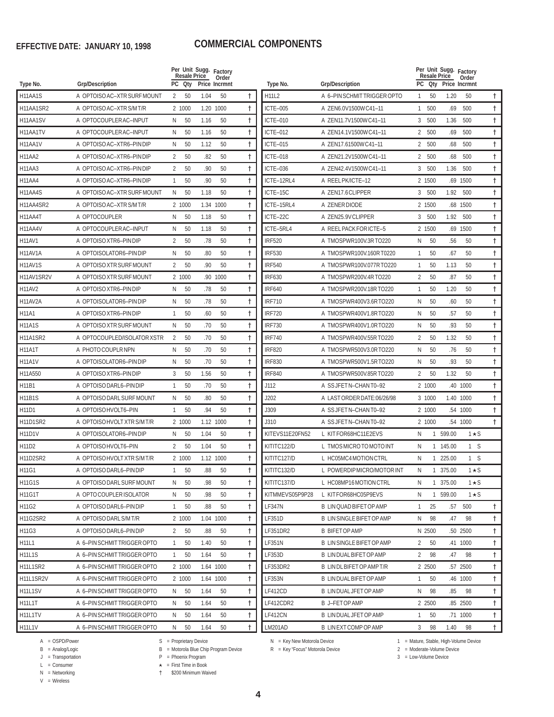| PC Qty Price Incrmnt<br>Price Incrmnt<br>$\ddagger$<br>$^+$<br>H11AA1S<br>A OPTOISO AC-XTR SURF MOUNT<br>50<br>1.04<br>50<br>H11L2<br>A 6-PIN SCHMIT TRIGGER OPTO<br>50<br>1.20<br>50<br>2<br>1<br>$\dagger$<br>1000<br>$\ddagger$<br>.69<br>500<br>H11AA1SR2<br>A OPTOISO AC-XTR S/MT/R<br>2 1000<br>1.20<br><b>ICTE-005</b><br>500<br>A ZEN6.0V1500WC41-11<br>1<br>$\dagger$<br>$\ddagger$<br>A OPTOCOUPLERAC-INPUT<br>50<br>50<br>ICTE-010<br>A ZEN11.7V1500WC41-11<br>3<br>500<br>1.36<br>500<br>H <sub>11</sub> A <sub>1SV</sub><br>N<br>1.16<br>$\dagger$<br>50<br>$^\dagger$<br>H11AA1TV<br>A OPTOCOUPLERAC-INPUT<br>50<br>1.16<br><b>ICTE-012</b><br>A ZEN14.1V1500WC41-11<br>2<br>500<br>.69<br>500<br>N<br>$\dagger$<br>50<br>1.12<br>50<br>$^{\dagger}$<br>ICTE-015<br>2 500<br>500<br>A OPTOISO AC-XTR6-PIN DIP<br>N<br>A ZEN17.61500WC41-11<br>.68<br>$\dagger$<br>50<br>.82<br>50<br>$^+$<br>500<br>500<br>A OPTOISO AC-XTR6-PIN DIP<br>2<br><b>ICTE-018</b><br>A ZEN21.2V1500WC41-11<br>$\overline{2}$<br>.68<br>$\dagger$<br>50<br>.90<br>50<br>$^{\dagger}$<br>500<br>500<br>H11AA3<br>A OPTOISO AC-XTR6-PIN DIP<br>2<br><b>ICTE-036</b><br>3<br>1.36<br>A ZEN42.4V1500WC41-11<br>$\dagger$<br>50<br>A OPTOISO AC-XTR6-PIN DIP<br>50<br>.90<br>$\ddagger$<br>ICTE-12RL4<br>A REELPK/ICTE-12<br>2 1500<br>.69 1500<br>H <sub>11</sub> AA4<br>1<br>50<br>$\ddagger$<br>H11AA4S<br>N<br>50<br>1.18<br>$\ddagger$<br>ICTE-15C<br>A ZEN17.6 CLIPPER<br>3 500<br>1.92<br>500<br>A OPTOISO AC-XTR SURF MOUNT<br>$\ddagger$<br>$^{\dagger}$<br>2 1000<br>1.34 1000<br>ICTE-15RL4<br>A ZENERDIODE<br>2 1500<br>.68 1500<br>H11AA4SR2<br>A OPTOISO AC-XTR S/MT/R<br>$\ddagger$<br>$\ddagger$<br>50<br>A OPTOCOUPLER<br>50<br>1.18<br>ICTE-22C<br>A ZEN25.9V CLIPPER<br>3<br>500<br>1.92<br>500<br>N<br>$\dagger$<br>50<br>$\ddagger$<br>.69 1500<br>A OPTOCOUPLERAC-INPUT<br>50<br>1.18<br>ICTE-5RL4<br>A REELPACK FOR ICTE-5<br>2 1500<br>H <sub>11</sub> AA4V<br>N<br>$\dagger$<br>50<br>50<br>$^{\dagger}$<br><b>IRF520</b><br>50<br><b>H11AV1</b><br>A OPTOISO XTR6-PIN DIP<br>2<br>.78<br>A TMOSPWR100V.3RTO220<br>.56<br>50<br>N<br>$\dagger$<br>50<br>.80<br>50<br>$\ddagger$<br><b>IRF530</b><br>50<br>.67<br>50<br>A OPTOISOLATOR6-PINDIP<br>Ν<br>A TMOSPWR100V.160RT0220<br>1<br>$^{\dagger}$<br>50<br>.90<br>50<br>$^+$<br><b>IRF540</b><br>50<br>50<br>A OPTOISO XTR SURF MOUNT<br>2<br>A TMOSPWR100V.077RTO220<br>1.13<br>1<br>$\dagger$<br>.90 1000<br>$\ddagger$<br>50<br>.87<br>50<br>H11AV1SR2V<br>2 1000<br><b>IRF630</b><br>2<br>A OPTOISO XTR SURF MOUNT<br>A TMOSPWR200V.4RTO220<br>$\dagger$<br><b>H11AV2</b><br>50<br>.78<br>50<br>$\ddagger$<br><b>IRF640</b><br>A TMOSPWR200V.18RTO220<br>50<br>1.20<br>50<br>A OPTOISO XTR6-PIN DIP<br>N<br>1<br>$^\dagger$<br>H11AV2A<br>A OPTOISOLATOR6-PINDIP<br>50<br>.78<br>50<br>$\ddagger$<br><b>IRF710</b><br>50<br>.60<br>50<br>N<br>A TMOSPWR400V3.6RTO220<br>N<br>$\dagger$<br>$\ddagger$<br>A OPTOISO XTR6-PIN DIP<br>50<br>.60<br>50<br><b>IRF720</b><br>50<br>.57<br>50<br>H11A1<br>1<br>A TMOSPWR400V1.8RTO220<br>N<br>$\dagger$<br>50<br>50<br>$\ddagger$<br>50<br>.70<br><b>IRF730</b><br>50<br>.93<br><b>H11A1S</b><br>A OPTOISO XTR SURF MOUNT<br>N<br>A TMOSPWR400V1.0RTO220<br>N<br>$\dagger$<br>50<br>$\ddagger$<br>A OPTOCOUPLED/ISOLATOR XSTR<br>2<br>50<br>.70<br><b>IRF740</b><br>50<br>1.32<br>50<br><b>H11A1SR2</b><br>A TMOSPWR400V.55RTO220<br>2<br>$\dagger$<br>50<br>$^{\dagger}$<br><b>IRF820</b><br>50<br><b>H11A1T</b><br>A PHOTO COUPLR NPN<br>50<br>.70<br>A TMOSPWR500V3.0RTO220<br>.76<br>50<br>N<br>N<br>$\dagger$<br>50<br>.70<br>50<br>$\ddagger$<br><b>IRF830</b><br>50<br>.93<br>50<br><b>H11A1V</b><br>A OPTOISOLATOR6-PINDIP<br>N<br>A TMOSPWR500V1.5RTO220<br>Ν<br>$\dagger$<br>50<br>50<br>$^{\dagger}$<br><b>IRF840</b><br>1.32<br>50<br>H11A550<br>A OPTOISO XTR6-PIN DIP<br>3<br>1.56<br>A TMOSPWR500V.85RTO220<br>2<br>50<br>$\dagger$<br>50<br>$^{\dagger}$<br>H11B1<br>50<br>.70<br>J112<br>A SSJFETN-CHANT0-92<br>2 1000<br>.40 1000<br>A OPTOISO DARL6-PIN DIP<br>1<br>$\dagger$<br><b>H11B1S</b><br>N<br>50<br>.80<br>50<br>$^\dagger$<br>J202<br>A LAST ORDER DATE:06/26/98<br>3 1000<br>1.40 1000<br>A OPTOISO DARL SURF MOUNT<br>$\dagger$<br>H11D1<br>A OPTOISOHVOLT6-PIN<br>50<br>.94<br>50<br>$\ddagger$<br>J309<br>A SSJFETN-CHANT0-92<br>2 1000<br>.54 1000<br>1<br>$\ddagger$<br>$\ddagger$<br>2 1000<br>1.12 1000<br>J310<br>A SSJFETN-CHANT0-92<br>2 1000<br>.54 1000<br><b>H11D1SR2</b><br>A OPTOISOHVOLT XTR S/M T/R<br>$\ddagger$<br>50<br>1.04<br>50<br>KITEVS11E20FN52<br>L KITFOR68HC11E2EVS<br>599.00<br>$1\star S$<br><b>H11D1V</b><br>A OPTOISOLATOR6-PIN DIP<br>N<br>N<br>$\mathbf{1}$<br>$\ddagger$<br>1 <sub>S</sub><br>A OPTOISOHVOLT6-PIN<br>50<br>1.04<br>50<br>N<br>H11D2<br>2<br>KITITC122/D<br>L TMOS MICRO TO MOTO INT<br>1 145.00<br>1.12 1000<br>$^\dagger$<br>1 <sub>S</sub><br>H11D2SR2<br>A OPTOISOHVOLT XTR S/M T/R<br>2 1000<br>KITITC127/D<br>L HC05MC4MOTION CTRL<br>1 225.00<br>N<br>H11G1<br>$\dagger$<br>KITITC132/D<br>88.<br>50<br>1 375.00<br>$1 \star S$<br>A OPTOISO DARL6-PIN DIP<br>50<br>L POWERDIPMICRO/MOTOR INT<br>N<br>$\mathbf{1}$<br>50<br>$^+$<br><b>H11G1S</b><br>50<br>.98<br>KITITC137/D<br>$1 \star S$<br>A OPTOISO DARL SURF MOUNT<br>N<br>L HC08MP16MOTION CTRL<br>N<br>1 375.00<br>50<br>.98<br>50<br>$1 \star S$<br><b>H11G1T</b><br>A OPTOCOUPLERISOLATOR<br>N<br>t<br>KITMMEVS05P9P28<br>L KITFOR68HC05P9EVS<br>Ν<br>1 599.00<br>t.<br>H11G2<br>A OPTOISO DARL6-PIN DIP<br>50<br>.88<br>50<br><b>LF347N</b><br>25<br>.57<br>500<br>$^+$<br>$\mathbf{1}$<br>B LIN QUAD BIFET OP AMP<br>1<br>$\dagger$<br>H11G2SR2<br>1.04 1000<br>$\ddagger$<br>98<br>.47<br>98<br>A OPTOISO DARL S/MT/R<br>2 1000<br>LF351D<br>N<br><b>B LIN SINGLE BIFET OP AMP</b><br>$\dagger$<br>$\dagger$<br>H11G3<br>A OPTOISO DARL6-PIN DIP<br>$\overline{2}$<br>50<br>.88<br>50<br>LF351DR2<br><b>B BIFETOPAMP</b><br>N 2500<br>.50 2500<br>$\dagger$<br>$\dagger$<br>50<br>H11L1<br>50<br>1.40<br>LF351N<br><b>B LIN SINGLE BIFET OP AMP</b><br>$\overline{2}$<br>50<br>.41 1000<br>A 6-PIN SCHMIT TRIGGER OPTO<br>1<br>$^\dagger$<br>50<br>$^\dagger$<br><b>H11L1S</b><br>A 6-PIN SCHMITTRIGGER OPTO<br>50<br>1.64<br>LF353D<br>98<br>.47<br>98<br>1<br>B LINDUAL BIFET OP AMP<br>$\mathbf{2}$<br>$\dagger$<br>$\dagger$<br>H11L1SR2<br>1.64 1000<br>LF353DR2<br>A 6-PIN SCHMITTRIGGER OPTO<br>2 1000<br>2 2500<br>.57 2500<br>B LINDL BIFET OP AMP T/R<br>$\ddagger$<br>H11L1SR2V<br>1.64 1000<br>$^{\dagger}$<br>A 6-PIN SCHMITTRIGGER OPTO<br>2 1000<br>LF353N<br>50<br>.46 1000<br><b>B LINDUAL BIFET OP AMP</b><br>$\mathbf{1}$<br>$\dagger$<br>50<br>$^{\dagger}$<br>98<br>50<br>1.64<br>LF412CD<br>N.<br>98<br>.85<br>A 6-PIN SCHMIT TRIGGER OPTO<br>N<br><b>B LINDUAL JFET OP AMP</b><br>$^\dagger$<br>50<br>$\ddagger$<br>A 6-PIN SCHMIT TRIGGER OPTO<br>50<br>1.64<br>LF412CDR2<br>2 2500<br>.85 2500<br>N<br>B J-FETOPAMP<br>$\dagger$<br>A 6-PIN SCHMIT TRIGGER OPTO<br>50<br>50<br>t<br>LF412CN<br><b>B LINDUAL JFET OP AMP</b><br>50<br>N<br>1.64<br>.71 1000<br>$\mathbf{1}$<br>$\ddagger$<br>A 6-PIN SCHMIT TRIGGER OPTO<br>50<br>50<br>$^{+}$<br>LM201AD<br><b>B LINEXT COMP OP AMP</b><br>98<br>1.40<br>98<br>N<br>1.64<br>3 |                                   |                        | Per Unit Sugg. Factory<br>Resale Price | Order |          |                        | <b>Resale Price</b> | Per Unit Sugg. Factory | Order |
|-----------------------------------------------------------------------------------------------------------------------------------------------------------------------------------------------------------------------------------------------------------------------------------------------------------------------------------------------------------------------------------------------------------------------------------------------------------------------------------------------------------------------------------------------------------------------------------------------------------------------------------------------------------------------------------------------------------------------------------------------------------------------------------------------------------------------------------------------------------------------------------------------------------------------------------------------------------------------------------------------------------------------------------------------------------------------------------------------------------------------------------------------------------------------------------------------------------------------------------------------------------------------------------------------------------------------------------------------------------------------------------------------------------------------------------------------------------------------------------------------------------------------------------------------------------------------------------------------------------------------------------------------------------------------------------------------------------------------------------------------------------------------------------------------------------------------------------------------------------------------------------------------------------------------------------------------------------------------------------------------------------------------------------------------------------------------------------------------------------------------------------------------------------------------------------------------------------------------------------------------------------------------------------------------------------------------------------------------------------------------------------------------------------------------------------------------------------------------------------------------------------------------------------------------------------------------------------------------------------------------------------------------------------------------------------------------------------------------------------------------------------------------------------------------------------------------------------------------------------------------------------------------------------------------------------------------------------------------------------------------------------------------------------------------------------------------------------------------------------------------------------------------------------------------------------------------------------------------------------------------------------------------------------------------------------------------------------------------------------------------------------------------------------------------------------------------------------------------------------------------------------------------------------------------------------------------------------------------------------------------------------------------------------------------------------------------------------------------------------------------------------------------------------------------------------------------------------------------------------------------------------------------------------------------------------------------------------------------------------------------------------------------------------------------------------------------------------------------------------------------------------------------------------------------------------------------------------------------------------------------------------------------------------------------------------------------------------------------------------------------------------------------------------------------------------------------------------------------------------------------------------------------------------------------------------------------------------------------------------------------------------------------------------------------------------------------------------------------------------------------------------------------------------------------------------------------------------------------------------------------------------------------------------------------------------------------------------------------------------------------------------------------------------------------------------------------------------------------------------------------------------------------------------------------------------------------------------------------------------------------------------------------------------------------------------------------------------------------------------------------------------------------------------------------------------------------------------------------------------------------------------------------------------------------------------------------------------------------------------------------------------------------------------------------------------------------------------------------------------------------------------------------------------------------------------------------------------------------------------------------------------------------------------------------------------------------------------------------------------------------------------------------------------------------------------------------------------------------------------------------------------------------------------------------------------------------------------------------------------------------------------------------------------------------------------------------------------------------------------------------------------------------------------------------------------------------------------------------------------------------------------------------------------------------------------------------------------------------------------------------------------------------------------------------------------------------------------------------------------------------------------------------------------------------------------------------------------------------------------------------------------------------------------------------------------------------------------------------------------------------------------------------------------------------------------------------------------------------------------------------------------------------------------------------------------------------------------------------------------------------------------------------------------------------------------------------|-----------------------------------|------------------------|----------------------------------------|-------|----------|------------------------|---------------------|------------------------|-------|
|                                                                                                                                                                                                                                                                                                                                                                                                                                                                                                                                                                                                                                                                                                                                                                                                                                                                                                                                                                                                                                                                                                                                                                                                                                                                                                                                                                                                                                                                                                                                                                                                                                                                                                                                                                                                                                                                                                                                                                                                                                                                                                                                                                                                                                                                                                                                                                                                                                                                                                                                                                                                                                                                                                                                                                                                                                                                                                                                                                                                                                                                                                                                                                                                                                                                                                                                                                                                                                                                                                                                                                                                                                                                                                                                                                                                                                                                                                                                                                                                                                                                                                                                                                                                                                                                                                                                                                                                                                                                                                                                                                                                                                                                                                                                                                                                                                                                                                                                                                                                                                                                                                                                                                                                                                                                                                                                                                                                                                                                                                                                                                                                                                                                                                                                                                                                                                                                                                                                                                                                                                                                                                                                                                                                                                                                                                                                                                                                                                                                                                                                                                                                                                                                                                                                                                                                                                                                                                                                                                                                                                                                                                                                                                                                                                                                                                                       | Type No.                          | <b>Grp/Description</b> | PC Otv                                 |       | Type No. | <b>Grp/Description</b> |                     |                        |       |
|                                                                                                                                                                                                                                                                                                                                                                                                                                                                                                                                                                                                                                                                                                                                                                                                                                                                                                                                                                                                                                                                                                                                                                                                                                                                                                                                                                                                                                                                                                                                                                                                                                                                                                                                                                                                                                                                                                                                                                                                                                                                                                                                                                                                                                                                                                                                                                                                                                                                                                                                                                                                                                                                                                                                                                                                                                                                                                                                                                                                                                                                                                                                                                                                                                                                                                                                                                                                                                                                                                                                                                                                                                                                                                                                                                                                                                                                                                                                                                                                                                                                                                                                                                                                                                                                                                                                                                                                                                                                                                                                                                                                                                                                                                                                                                                                                                                                                                                                                                                                                                                                                                                                                                                                                                                                                                                                                                                                                                                                                                                                                                                                                                                                                                                                                                                                                                                                                                                                                                                                                                                                                                                                                                                                                                                                                                                                                                                                                                                                                                                                                                                                                                                                                                                                                                                                                                                                                                                                                                                                                                                                                                                                                                                                                                                                                                                       |                                   |                        |                                        |       |          |                        |                     |                        |       |
|                                                                                                                                                                                                                                                                                                                                                                                                                                                                                                                                                                                                                                                                                                                                                                                                                                                                                                                                                                                                                                                                                                                                                                                                                                                                                                                                                                                                                                                                                                                                                                                                                                                                                                                                                                                                                                                                                                                                                                                                                                                                                                                                                                                                                                                                                                                                                                                                                                                                                                                                                                                                                                                                                                                                                                                                                                                                                                                                                                                                                                                                                                                                                                                                                                                                                                                                                                                                                                                                                                                                                                                                                                                                                                                                                                                                                                                                                                                                                                                                                                                                                                                                                                                                                                                                                                                                                                                                                                                                                                                                                                                                                                                                                                                                                                                                                                                                                                                                                                                                                                                                                                                                                                                                                                                                                                                                                                                                                                                                                                                                                                                                                                                                                                                                                                                                                                                                                                                                                                                                                                                                                                                                                                                                                                                                                                                                                                                                                                                                                                                                                                                                                                                                                                                                                                                                                                                                                                                                                                                                                                                                                                                                                                                                                                                                                                                       |                                   |                        |                                        |       |          |                        |                     |                        |       |
|                                                                                                                                                                                                                                                                                                                                                                                                                                                                                                                                                                                                                                                                                                                                                                                                                                                                                                                                                                                                                                                                                                                                                                                                                                                                                                                                                                                                                                                                                                                                                                                                                                                                                                                                                                                                                                                                                                                                                                                                                                                                                                                                                                                                                                                                                                                                                                                                                                                                                                                                                                                                                                                                                                                                                                                                                                                                                                                                                                                                                                                                                                                                                                                                                                                                                                                                                                                                                                                                                                                                                                                                                                                                                                                                                                                                                                                                                                                                                                                                                                                                                                                                                                                                                                                                                                                                                                                                                                                                                                                                                                                                                                                                                                                                                                                                                                                                                                                                                                                                                                                                                                                                                                                                                                                                                                                                                                                                                                                                                                                                                                                                                                                                                                                                                                                                                                                                                                                                                                                                                                                                                                                                                                                                                                                                                                                                                                                                                                                                                                                                                                                                                                                                                                                                                                                                                                                                                                                                                                                                                                                                                                                                                                                                                                                                                                                       |                                   |                        |                                        |       |          |                        |                     |                        |       |
|                                                                                                                                                                                                                                                                                                                                                                                                                                                                                                                                                                                                                                                                                                                                                                                                                                                                                                                                                                                                                                                                                                                                                                                                                                                                                                                                                                                                                                                                                                                                                                                                                                                                                                                                                                                                                                                                                                                                                                                                                                                                                                                                                                                                                                                                                                                                                                                                                                                                                                                                                                                                                                                                                                                                                                                                                                                                                                                                                                                                                                                                                                                                                                                                                                                                                                                                                                                                                                                                                                                                                                                                                                                                                                                                                                                                                                                                                                                                                                                                                                                                                                                                                                                                                                                                                                                                                                                                                                                                                                                                                                                                                                                                                                                                                                                                                                                                                                                                                                                                                                                                                                                                                                                                                                                                                                                                                                                                                                                                                                                                                                                                                                                                                                                                                                                                                                                                                                                                                                                                                                                                                                                                                                                                                                                                                                                                                                                                                                                                                                                                                                                                                                                                                                                                                                                                                                                                                                                                                                                                                                                                                                                                                                                                                                                                                                                       |                                   |                        |                                        |       |          |                        |                     |                        |       |
|                                                                                                                                                                                                                                                                                                                                                                                                                                                                                                                                                                                                                                                                                                                                                                                                                                                                                                                                                                                                                                                                                                                                                                                                                                                                                                                                                                                                                                                                                                                                                                                                                                                                                                                                                                                                                                                                                                                                                                                                                                                                                                                                                                                                                                                                                                                                                                                                                                                                                                                                                                                                                                                                                                                                                                                                                                                                                                                                                                                                                                                                                                                                                                                                                                                                                                                                                                                                                                                                                                                                                                                                                                                                                                                                                                                                                                                                                                                                                                                                                                                                                                                                                                                                                                                                                                                                                                                                                                                                                                                                                                                                                                                                                                                                                                                                                                                                                                                                                                                                                                                                                                                                                                                                                                                                                                                                                                                                                                                                                                                                                                                                                                                                                                                                                                                                                                                                                                                                                                                                                                                                                                                                                                                                                                                                                                                                                                                                                                                                                                                                                                                                                                                                                                                                                                                                                                                                                                                                                                                                                                                                                                                                                                                                                                                                                                                       | H11AA1V                           |                        |                                        |       |          |                        |                     |                        |       |
|                                                                                                                                                                                                                                                                                                                                                                                                                                                                                                                                                                                                                                                                                                                                                                                                                                                                                                                                                                                                                                                                                                                                                                                                                                                                                                                                                                                                                                                                                                                                                                                                                                                                                                                                                                                                                                                                                                                                                                                                                                                                                                                                                                                                                                                                                                                                                                                                                                                                                                                                                                                                                                                                                                                                                                                                                                                                                                                                                                                                                                                                                                                                                                                                                                                                                                                                                                                                                                                                                                                                                                                                                                                                                                                                                                                                                                                                                                                                                                                                                                                                                                                                                                                                                                                                                                                                                                                                                                                                                                                                                                                                                                                                                                                                                                                                                                                                                                                                                                                                                                                                                                                                                                                                                                                                                                                                                                                                                                                                                                                                                                                                                                                                                                                                                                                                                                                                                                                                                                                                                                                                                                                                                                                                                                                                                                                                                                                                                                                                                                                                                                                                                                                                                                                                                                                                                                                                                                                                                                                                                                                                                                                                                                                                                                                                                                                       | <b>H11AA2</b>                     |                        |                                        |       |          |                        |                     |                        |       |
|                                                                                                                                                                                                                                                                                                                                                                                                                                                                                                                                                                                                                                                                                                                                                                                                                                                                                                                                                                                                                                                                                                                                                                                                                                                                                                                                                                                                                                                                                                                                                                                                                                                                                                                                                                                                                                                                                                                                                                                                                                                                                                                                                                                                                                                                                                                                                                                                                                                                                                                                                                                                                                                                                                                                                                                                                                                                                                                                                                                                                                                                                                                                                                                                                                                                                                                                                                                                                                                                                                                                                                                                                                                                                                                                                                                                                                                                                                                                                                                                                                                                                                                                                                                                                                                                                                                                                                                                                                                                                                                                                                                                                                                                                                                                                                                                                                                                                                                                                                                                                                                                                                                                                                                                                                                                                                                                                                                                                                                                                                                                                                                                                                                                                                                                                                                                                                                                                                                                                                                                                                                                                                                                                                                                                                                                                                                                                                                                                                                                                                                                                                                                                                                                                                                                                                                                                                                                                                                                                                                                                                                                                                                                                                                                                                                                                                                       |                                   |                        |                                        |       |          |                        |                     |                        |       |
|                                                                                                                                                                                                                                                                                                                                                                                                                                                                                                                                                                                                                                                                                                                                                                                                                                                                                                                                                                                                                                                                                                                                                                                                                                                                                                                                                                                                                                                                                                                                                                                                                                                                                                                                                                                                                                                                                                                                                                                                                                                                                                                                                                                                                                                                                                                                                                                                                                                                                                                                                                                                                                                                                                                                                                                                                                                                                                                                                                                                                                                                                                                                                                                                                                                                                                                                                                                                                                                                                                                                                                                                                                                                                                                                                                                                                                                                                                                                                                                                                                                                                                                                                                                                                                                                                                                                                                                                                                                                                                                                                                                                                                                                                                                                                                                                                                                                                                                                                                                                                                                                                                                                                                                                                                                                                                                                                                                                                                                                                                                                                                                                                                                                                                                                                                                                                                                                                                                                                                                                                                                                                                                                                                                                                                                                                                                                                                                                                                                                                                                                                                                                                                                                                                                                                                                                                                                                                                                                                                                                                                                                                                                                                                                                                                                                                                                       |                                   |                        |                                        |       |          |                        |                     |                        |       |
|                                                                                                                                                                                                                                                                                                                                                                                                                                                                                                                                                                                                                                                                                                                                                                                                                                                                                                                                                                                                                                                                                                                                                                                                                                                                                                                                                                                                                                                                                                                                                                                                                                                                                                                                                                                                                                                                                                                                                                                                                                                                                                                                                                                                                                                                                                                                                                                                                                                                                                                                                                                                                                                                                                                                                                                                                                                                                                                                                                                                                                                                                                                                                                                                                                                                                                                                                                                                                                                                                                                                                                                                                                                                                                                                                                                                                                                                                                                                                                                                                                                                                                                                                                                                                                                                                                                                                                                                                                                                                                                                                                                                                                                                                                                                                                                                                                                                                                                                                                                                                                                                                                                                                                                                                                                                                                                                                                                                                                                                                                                                                                                                                                                                                                                                                                                                                                                                                                                                                                                                                                                                                                                                                                                                                                                                                                                                                                                                                                                                                                                                                                                                                                                                                                                                                                                                                                                                                                                                                                                                                                                                                                                                                                                                                                                                                                                       |                                   |                        |                                        |       |          |                        |                     |                        |       |
|                                                                                                                                                                                                                                                                                                                                                                                                                                                                                                                                                                                                                                                                                                                                                                                                                                                                                                                                                                                                                                                                                                                                                                                                                                                                                                                                                                                                                                                                                                                                                                                                                                                                                                                                                                                                                                                                                                                                                                                                                                                                                                                                                                                                                                                                                                                                                                                                                                                                                                                                                                                                                                                                                                                                                                                                                                                                                                                                                                                                                                                                                                                                                                                                                                                                                                                                                                                                                                                                                                                                                                                                                                                                                                                                                                                                                                                                                                                                                                                                                                                                                                                                                                                                                                                                                                                                                                                                                                                                                                                                                                                                                                                                                                                                                                                                                                                                                                                                                                                                                                                                                                                                                                                                                                                                                                                                                                                                                                                                                                                                                                                                                                                                                                                                                                                                                                                                                                                                                                                                                                                                                                                                                                                                                                                                                                                                                                                                                                                                                                                                                                                                                                                                                                                                                                                                                                                                                                                                                                                                                                                                                                                                                                                                                                                                                                                       |                                   |                        |                                        |       |          |                        |                     |                        |       |
|                                                                                                                                                                                                                                                                                                                                                                                                                                                                                                                                                                                                                                                                                                                                                                                                                                                                                                                                                                                                                                                                                                                                                                                                                                                                                                                                                                                                                                                                                                                                                                                                                                                                                                                                                                                                                                                                                                                                                                                                                                                                                                                                                                                                                                                                                                                                                                                                                                                                                                                                                                                                                                                                                                                                                                                                                                                                                                                                                                                                                                                                                                                                                                                                                                                                                                                                                                                                                                                                                                                                                                                                                                                                                                                                                                                                                                                                                                                                                                                                                                                                                                                                                                                                                                                                                                                                                                                                                                                                                                                                                                                                                                                                                                                                                                                                                                                                                                                                                                                                                                                                                                                                                                                                                                                                                                                                                                                                                                                                                                                                                                                                                                                                                                                                                                                                                                                                                                                                                                                                                                                                                                                                                                                                                                                                                                                                                                                                                                                                                                                                                                                                                                                                                                                                                                                                                                                                                                                                                                                                                                                                                                                                                                                                                                                                                                                       | H11AA4T                           |                        |                                        |       |          |                        |                     |                        |       |
|                                                                                                                                                                                                                                                                                                                                                                                                                                                                                                                                                                                                                                                                                                                                                                                                                                                                                                                                                                                                                                                                                                                                                                                                                                                                                                                                                                                                                                                                                                                                                                                                                                                                                                                                                                                                                                                                                                                                                                                                                                                                                                                                                                                                                                                                                                                                                                                                                                                                                                                                                                                                                                                                                                                                                                                                                                                                                                                                                                                                                                                                                                                                                                                                                                                                                                                                                                                                                                                                                                                                                                                                                                                                                                                                                                                                                                                                                                                                                                                                                                                                                                                                                                                                                                                                                                                                                                                                                                                                                                                                                                                                                                                                                                                                                                                                                                                                                                                                                                                                                                                                                                                                                                                                                                                                                                                                                                                                                                                                                                                                                                                                                                                                                                                                                                                                                                                                                                                                                                                                                                                                                                                                                                                                                                                                                                                                                                                                                                                                                                                                                                                                                                                                                                                                                                                                                                                                                                                                                                                                                                                                                                                                                                                                                                                                                                                       |                                   |                        |                                        |       |          |                        |                     |                        |       |
|                                                                                                                                                                                                                                                                                                                                                                                                                                                                                                                                                                                                                                                                                                                                                                                                                                                                                                                                                                                                                                                                                                                                                                                                                                                                                                                                                                                                                                                                                                                                                                                                                                                                                                                                                                                                                                                                                                                                                                                                                                                                                                                                                                                                                                                                                                                                                                                                                                                                                                                                                                                                                                                                                                                                                                                                                                                                                                                                                                                                                                                                                                                                                                                                                                                                                                                                                                                                                                                                                                                                                                                                                                                                                                                                                                                                                                                                                                                                                                                                                                                                                                                                                                                                                                                                                                                                                                                                                                                                                                                                                                                                                                                                                                                                                                                                                                                                                                                                                                                                                                                                                                                                                                                                                                                                                                                                                                                                                                                                                                                                                                                                                                                                                                                                                                                                                                                                                                                                                                                                                                                                                                                                                                                                                                                                                                                                                                                                                                                                                                                                                                                                                                                                                                                                                                                                                                                                                                                                                                                                                                                                                                                                                                                                                                                                                                                       |                                   |                        |                                        |       |          |                        |                     |                        |       |
|                                                                                                                                                                                                                                                                                                                                                                                                                                                                                                                                                                                                                                                                                                                                                                                                                                                                                                                                                                                                                                                                                                                                                                                                                                                                                                                                                                                                                                                                                                                                                                                                                                                                                                                                                                                                                                                                                                                                                                                                                                                                                                                                                                                                                                                                                                                                                                                                                                                                                                                                                                                                                                                                                                                                                                                                                                                                                                                                                                                                                                                                                                                                                                                                                                                                                                                                                                                                                                                                                                                                                                                                                                                                                                                                                                                                                                                                                                                                                                                                                                                                                                                                                                                                                                                                                                                                                                                                                                                                                                                                                                                                                                                                                                                                                                                                                                                                                                                                                                                                                                                                                                                                                                                                                                                                                                                                                                                                                                                                                                                                                                                                                                                                                                                                                                                                                                                                                                                                                                                                                                                                                                                                                                                                                                                                                                                                                                                                                                                                                                                                                                                                                                                                                                                                                                                                                                                                                                                                                                                                                                                                                                                                                                                                                                                                                                                       | H11AV1A                           |                        |                                        |       |          |                        |                     |                        |       |
|                                                                                                                                                                                                                                                                                                                                                                                                                                                                                                                                                                                                                                                                                                                                                                                                                                                                                                                                                                                                                                                                                                                                                                                                                                                                                                                                                                                                                                                                                                                                                                                                                                                                                                                                                                                                                                                                                                                                                                                                                                                                                                                                                                                                                                                                                                                                                                                                                                                                                                                                                                                                                                                                                                                                                                                                                                                                                                                                                                                                                                                                                                                                                                                                                                                                                                                                                                                                                                                                                                                                                                                                                                                                                                                                                                                                                                                                                                                                                                                                                                                                                                                                                                                                                                                                                                                                                                                                                                                                                                                                                                                                                                                                                                                                                                                                                                                                                                                                                                                                                                                                                                                                                                                                                                                                                                                                                                                                                                                                                                                                                                                                                                                                                                                                                                                                                                                                                                                                                                                                                                                                                                                                                                                                                                                                                                                                                                                                                                                                                                                                                                                                                                                                                                                                                                                                                                                                                                                                                                                                                                                                                                                                                                                                                                                                                                                       | <b>H11AV1S</b>                    |                        |                                        |       |          |                        |                     |                        |       |
|                                                                                                                                                                                                                                                                                                                                                                                                                                                                                                                                                                                                                                                                                                                                                                                                                                                                                                                                                                                                                                                                                                                                                                                                                                                                                                                                                                                                                                                                                                                                                                                                                                                                                                                                                                                                                                                                                                                                                                                                                                                                                                                                                                                                                                                                                                                                                                                                                                                                                                                                                                                                                                                                                                                                                                                                                                                                                                                                                                                                                                                                                                                                                                                                                                                                                                                                                                                                                                                                                                                                                                                                                                                                                                                                                                                                                                                                                                                                                                                                                                                                                                                                                                                                                                                                                                                                                                                                                                                                                                                                                                                                                                                                                                                                                                                                                                                                                                                                                                                                                                                                                                                                                                                                                                                                                                                                                                                                                                                                                                                                                                                                                                                                                                                                                                                                                                                                                                                                                                                                                                                                                                                                                                                                                                                                                                                                                                                                                                                                                                                                                                                                                                                                                                                                                                                                                                                                                                                                                                                                                                                                                                                                                                                                                                                                                                                       |                                   |                        |                                        |       |          |                        |                     |                        |       |
|                                                                                                                                                                                                                                                                                                                                                                                                                                                                                                                                                                                                                                                                                                                                                                                                                                                                                                                                                                                                                                                                                                                                                                                                                                                                                                                                                                                                                                                                                                                                                                                                                                                                                                                                                                                                                                                                                                                                                                                                                                                                                                                                                                                                                                                                                                                                                                                                                                                                                                                                                                                                                                                                                                                                                                                                                                                                                                                                                                                                                                                                                                                                                                                                                                                                                                                                                                                                                                                                                                                                                                                                                                                                                                                                                                                                                                                                                                                                                                                                                                                                                                                                                                                                                                                                                                                                                                                                                                                                                                                                                                                                                                                                                                                                                                                                                                                                                                                                                                                                                                                                                                                                                                                                                                                                                                                                                                                                                                                                                                                                                                                                                                                                                                                                                                                                                                                                                                                                                                                                                                                                                                                                                                                                                                                                                                                                                                                                                                                                                                                                                                                                                                                                                                                                                                                                                                                                                                                                                                                                                                                                                                                                                                                                                                                                                                                       |                                   |                        |                                        |       |          |                        |                     |                        |       |
|                                                                                                                                                                                                                                                                                                                                                                                                                                                                                                                                                                                                                                                                                                                                                                                                                                                                                                                                                                                                                                                                                                                                                                                                                                                                                                                                                                                                                                                                                                                                                                                                                                                                                                                                                                                                                                                                                                                                                                                                                                                                                                                                                                                                                                                                                                                                                                                                                                                                                                                                                                                                                                                                                                                                                                                                                                                                                                                                                                                                                                                                                                                                                                                                                                                                                                                                                                                                                                                                                                                                                                                                                                                                                                                                                                                                                                                                                                                                                                                                                                                                                                                                                                                                                                                                                                                                                                                                                                                                                                                                                                                                                                                                                                                                                                                                                                                                                                                                                                                                                                                                                                                                                                                                                                                                                                                                                                                                                                                                                                                                                                                                                                                                                                                                                                                                                                                                                                                                                                                                                                                                                                                                                                                                                                                                                                                                                                                                                                                                                                                                                                                                                                                                                                                                                                                                                                                                                                                                                                                                                                                                                                                                                                                                                                                                                                                       |                                   |                        |                                        |       |          |                        |                     |                        |       |
|                                                                                                                                                                                                                                                                                                                                                                                                                                                                                                                                                                                                                                                                                                                                                                                                                                                                                                                                                                                                                                                                                                                                                                                                                                                                                                                                                                                                                                                                                                                                                                                                                                                                                                                                                                                                                                                                                                                                                                                                                                                                                                                                                                                                                                                                                                                                                                                                                                                                                                                                                                                                                                                                                                                                                                                                                                                                                                                                                                                                                                                                                                                                                                                                                                                                                                                                                                                                                                                                                                                                                                                                                                                                                                                                                                                                                                                                                                                                                                                                                                                                                                                                                                                                                                                                                                                                                                                                                                                                                                                                                                                                                                                                                                                                                                                                                                                                                                                                                                                                                                                                                                                                                                                                                                                                                                                                                                                                                                                                                                                                                                                                                                                                                                                                                                                                                                                                                                                                                                                                                                                                                                                                                                                                                                                                                                                                                                                                                                                                                                                                                                                                                                                                                                                                                                                                                                                                                                                                                                                                                                                                                                                                                                                                                                                                                                                       |                                   |                        |                                        |       |          |                        |                     |                        |       |
|                                                                                                                                                                                                                                                                                                                                                                                                                                                                                                                                                                                                                                                                                                                                                                                                                                                                                                                                                                                                                                                                                                                                                                                                                                                                                                                                                                                                                                                                                                                                                                                                                                                                                                                                                                                                                                                                                                                                                                                                                                                                                                                                                                                                                                                                                                                                                                                                                                                                                                                                                                                                                                                                                                                                                                                                                                                                                                                                                                                                                                                                                                                                                                                                                                                                                                                                                                                                                                                                                                                                                                                                                                                                                                                                                                                                                                                                                                                                                                                                                                                                                                                                                                                                                                                                                                                                                                                                                                                                                                                                                                                                                                                                                                                                                                                                                                                                                                                                                                                                                                                                                                                                                                                                                                                                                                                                                                                                                                                                                                                                                                                                                                                                                                                                                                                                                                                                                                                                                                                                                                                                                                                                                                                                                                                                                                                                                                                                                                                                                                                                                                                                                                                                                                                                                                                                                                                                                                                                                                                                                                                                                                                                                                                                                                                                                                                       |                                   |                        |                                        |       |          |                        |                     |                        |       |
|                                                                                                                                                                                                                                                                                                                                                                                                                                                                                                                                                                                                                                                                                                                                                                                                                                                                                                                                                                                                                                                                                                                                                                                                                                                                                                                                                                                                                                                                                                                                                                                                                                                                                                                                                                                                                                                                                                                                                                                                                                                                                                                                                                                                                                                                                                                                                                                                                                                                                                                                                                                                                                                                                                                                                                                                                                                                                                                                                                                                                                                                                                                                                                                                                                                                                                                                                                                                                                                                                                                                                                                                                                                                                                                                                                                                                                                                                                                                                                                                                                                                                                                                                                                                                                                                                                                                                                                                                                                                                                                                                                                                                                                                                                                                                                                                                                                                                                                                                                                                                                                                                                                                                                                                                                                                                                                                                                                                                                                                                                                                                                                                                                                                                                                                                                                                                                                                                                                                                                                                                                                                                                                                                                                                                                                                                                                                                                                                                                                                                                                                                                                                                                                                                                                                                                                                                                                                                                                                                                                                                                                                                                                                                                                                                                                                                                                       |                                   |                        |                                        |       |          |                        |                     |                        |       |
|                                                                                                                                                                                                                                                                                                                                                                                                                                                                                                                                                                                                                                                                                                                                                                                                                                                                                                                                                                                                                                                                                                                                                                                                                                                                                                                                                                                                                                                                                                                                                                                                                                                                                                                                                                                                                                                                                                                                                                                                                                                                                                                                                                                                                                                                                                                                                                                                                                                                                                                                                                                                                                                                                                                                                                                                                                                                                                                                                                                                                                                                                                                                                                                                                                                                                                                                                                                                                                                                                                                                                                                                                                                                                                                                                                                                                                                                                                                                                                                                                                                                                                                                                                                                                                                                                                                                                                                                                                                                                                                                                                                                                                                                                                                                                                                                                                                                                                                                                                                                                                                                                                                                                                                                                                                                                                                                                                                                                                                                                                                                                                                                                                                                                                                                                                                                                                                                                                                                                                                                                                                                                                                                                                                                                                                                                                                                                                                                                                                                                                                                                                                                                                                                                                                                                                                                                                                                                                                                                                                                                                                                                                                                                                                                                                                                                                                       |                                   |                        |                                        |       |          |                        |                     |                        |       |
|                                                                                                                                                                                                                                                                                                                                                                                                                                                                                                                                                                                                                                                                                                                                                                                                                                                                                                                                                                                                                                                                                                                                                                                                                                                                                                                                                                                                                                                                                                                                                                                                                                                                                                                                                                                                                                                                                                                                                                                                                                                                                                                                                                                                                                                                                                                                                                                                                                                                                                                                                                                                                                                                                                                                                                                                                                                                                                                                                                                                                                                                                                                                                                                                                                                                                                                                                                                                                                                                                                                                                                                                                                                                                                                                                                                                                                                                                                                                                                                                                                                                                                                                                                                                                                                                                                                                                                                                                                                                                                                                                                                                                                                                                                                                                                                                                                                                                                                                                                                                                                                                                                                                                                                                                                                                                                                                                                                                                                                                                                                                                                                                                                                                                                                                                                                                                                                                                                                                                                                                                                                                                                                                                                                                                                                                                                                                                                                                                                                                                                                                                                                                                                                                                                                                                                                                                                                                                                                                                                                                                                                                                                                                                                                                                                                                                                                       |                                   |                        |                                        |       |          |                        |                     |                        |       |
|                                                                                                                                                                                                                                                                                                                                                                                                                                                                                                                                                                                                                                                                                                                                                                                                                                                                                                                                                                                                                                                                                                                                                                                                                                                                                                                                                                                                                                                                                                                                                                                                                                                                                                                                                                                                                                                                                                                                                                                                                                                                                                                                                                                                                                                                                                                                                                                                                                                                                                                                                                                                                                                                                                                                                                                                                                                                                                                                                                                                                                                                                                                                                                                                                                                                                                                                                                                                                                                                                                                                                                                                                                                                                                                                                                                                                                                                                                                                                                                                                                                                                                                                                                                                                                                                                                                                                                                                                                                                                                                                                                                                                                                                                                                                                                                                                                                                                                                                                                                                                                                                                                                                                                                                                                                                                                                                                                                                                                                                                                                                                                                                                                                                                                                                                                                                                                                                                                                                                                                                                                                                                                                                                                                                                                                                                                                                                                                                                                                                                                                                                                                                                                                                                                                                                                                                                                                                                                                                                                                                                                                                                                                                                                                                                                                                                                                       |                                   |                        |                                        |       |          |                        |                     |                        |       |
|                                                                                                                                                                                                                                                                                                                                                                                                                                                                                                                                                                                                                                                                                                                                                                                                                                                                                                                                                                                                                                                                                                                                                                                                                                                                                                                                                                                                                                                                                                                                                                                                                                                                                                                                                                                                                                                                                                                                                                                                                                                                                                                                                                                                                                                                                                                                                                                                                                                                                                                                                                                                                                                                                                                                                                                                                                                                                                                                                                                                                                                                                                                                                                                                                                                                                                                                                                                                                                                                                                                                                                                                                                                                                                                                                                                                                                                                                                                                                                                                                                                                                                                                                                                                                                                                                                                                                                                                                                                                                                                                                                                                                                                                                                                                                                                                                                                                                                                                                                                                                                                                                                                                                                                                                                                                                                                                                                                                                                                                                                                                                                                                                                                                                                                                                                                                                                                                                                                                                                                                                                                                                                                                                                                                                                                                                                                                                                                                                                                                                                                                                                                                                                                                                                                                                                                                                                                                                                                                                                                                                                                                                                                                                                                                                                                                                                                       |                                   |                        |                                        |       |          |                        |                     |                        |       |
|                                                                                                                                                                                                                                                                                                                                                                                                                                                                                                                                                                                                                                                                                                                                                                                                                                                                                                                                                                                                                                                                                                                                                                                                                                                                                                                                                                                                                                                                                                                                                                                                                                                                                                                                                                                                                                                                                                                                                                                                                                                                                                                                                                                                                                                                                                                                                                                                                                                                                                                                                                                                                                                                                                                                                                                                                                                                                                                                                                                                                                                                                                                                                                                                                                                                                                                                                                                                                                                                                                                                                                                                                                                                                                                                                                                                                                                                                                                                                                                                                                                                                                                                                                                                                                                                                                                                                                                                                                                                                                                                                                                                                                                                                                                                                                                                                                                                                                                                                                                                                                                                                                                                                                                                                                                                                                                                                                                                                                                                                                                                                                                                                                                                                                                                                                                                                                                                                                                                                                                                                                                                                                                                                                                                                                                                                                                                                                                                                                                                                                                                                                                                                                                                                                                                                                                                                                                                                                                                                                                                                                                                                                                                                                                                                                                                                                                       |                                   |                        |                                        |       |          |                        |                     |                        |       |
|                                                                                                                                                                                                                                                                                                                                                                                                                                                                                                                                                                                                                                                                                                                                                                                                                                                                                                                                                                                                                                                                                                                                                                                                                                                                                                                                                                                                                                                                                                                                                                                                                                                                                                                                                                                                                                                                                                                                                                                                                                                                                                                                                                                                                                                                                                                                                                                                                                                                                                                                                                                                                                                                                                                                                                                                                                                                                                                                                                                                                                                                                                                                                                                                                                                                                                                                                                                                                                                                                                                                                                                                                                                                                                                                                                                                                                                                                                                                                                                                                                                                                                                                                                                                                                                                                                                                                                                                                                                                                                                                                                                                                                                                                                                                                                                                                                                                                                                                                                                                                                                                                                                                                                                                                                                                                                                                                                                                                                                                                                                                                                                                                                                                                                                                                                                                                                                                                                                                                                                                                                                                                                                                                                                                                                                                                                                                                                                                                                                                                                                                                                                                                                                                                                                                                                                                                                                                                                                                                                                                                                                                                                                                                                                                                                                                                                                       |                                   |                        |                                        |       |          |                        |                     |                        |       |
|                                                                                                                                                                                                                                                                                                                                                                                                                                                                                                                                                                                                                                                                                                                                                                                                                                                                                                                                                                                                                                                                                                                                                                                                                                                                                                                                                                                                                                                                                                                                                                                                                                                                                                                                                                                                                                                                                                                                                                                                                                                                                                                                                                                                                                                                                                                                                                                                                                                                                                                                                                                                                                                                                                                                                                                                                                                                                                                                                                                                                                                                                                                                                                                                                                                                                                                                                                                                                                                                                                                                                                                                                                                                                                                                                                                                                                                                                                                                                                                                                                                                                                                                                                                                                                                                                                                                                                                                                                                                                                                                                                                                                                                                                                                                                                                                                                                                                                                                                                                                                                                                                                                                                                                                                                                                                                                                                                                                                                                                                                                                                                                                                                                                                                                                                                                                                                                                                                                                                                                                                                                                                                                                                                                                                                                                                                                                                                                                                                                                                                                                                                                                                                                                                                                                                                                                                                                                                                                                                                                                                                                                                                                                                                                                                                                                                                                       |                                   |                        |                                        |       |          |                        |                     |                        |       |
|                                                                                                                                                                                                                                                                                                                                                                                                                                                                                                                                                                                                                                                                                                                                                                                                                                                                                                                                                                                                                                                                                                                                                                                                                                                                                                                                                                                                                                                                                                                                                                                                                                                                                                                                                                                                                                                                                                                                                                                                                                                                                                                                                                                                                                                                                                                                                                                                                                                                                                                                                                                                                                                                                                                                                                                                                                                                                                                                                                                                                                                                                                                                                                                                                                                                                                                                                                                                                                                                                                                                                                                                                                                                                                                                                                                                                                                                                                                                                                                                                                                                                                                                                                                                                                                                                                                                                                                                                                                                                                                                                                                                                                                                                                                                                                                                                                                                                                                                                                                                                                                                                                                                                                                                                                                                                                                                                                                                                                                                                                                                                                                                                                                                                                                                                                                                                                                                                                                                                                                                                                                                                                                                                                                                                                                                                                                                                                                                                                                                                                                                                                                                                                                                                                                                                                                                                                                                                                                                                                                                                                                                                                                                                                                                                                                                                                                       |                                   |                        |                                        |       |          |                        |                     |                        |       |
|                                                                                                                                                                                                                                                                                                                                                                                                                                                                                                                                                                                                                                                                                                                                                                                                                                                                                                                                                                                                                                                                                                                                                                                                                                                                                                                                                                                                                                                                                                                                                                                                                                                                                                                                                                                                                                                                                                                                                                                                                                                                                                                                                                                                                                                                                                                                                                                                                                                                                                                                                                                                                                                                                                                                                                                                                                                                                                                                                                                                                                                                                                                                                                                                                                                                                                                                                                                                                                                                                                                                                                                                                                                                                                                                                                                                                                                                                                                                                                                                                                                                                                                                                                                                                                                                                                                                                                                                                                                                                                                                                                                                                                                                                                                                                                                                                                                                                                                                                                                                                                                                                                                                                                                                                                                                                                                                                                                                                                                                                                                                                                                                                                                                                                                                                                                                                                                                                                                                                                                                                                                                                                                                                                                                                                                                                                                                                                                                                                                                                                                                                                                                                                                                                                                                                                                                                                                                                                                                                                                                                                                                                                                                                                                                                                                                                                                       |                                   |                        |                                        |       |          |                        |                     |                        |       |
|                                                                                                                                                                                                                                                                                                                                                                                                                                                                                                                                                                                                                                                                                                                                                                                                                                                                                                                                                                                                                                                                                                                                                                                                                                                                                                                                                                                                                                                                                                                                                                                                                                                                                                                                                                                                                                                                                                                                                                                                                                                                                                                                                                                                                                                                                                                                                                                                                                                                                                                                                                                                                                                                                                                                                                                                                                                                                                                                                                                                                                                                                                                                                                                                                                                                                                                                                                                                                                                                                                                                                                                                                                                                                                                                                                                                                                                                                                                                                                                                                                                                                                                                                                                                                                                                                                                                                                                                                                                                                                                                                                                                                                                                                                                                                                                                                                                                                                                                                                                                                                                                                                                                                                                                                                                                                                                                                                                                                                                                                                                                                                                                                                                                                                                                                                                                                                                                                                                                                                                                                                                                                                                                                                                                                                                                                                                                                                                                                                                                                                                                                                                                                                                                                                                                                                                                                                                                                                                                                                                                                                                                                                                                                                                                                                                                                                                       |                                   |                        |                                        |       |          |                        |                     |                        |       |
|                                                                                                                                                                                                                                                                                                                                                                                                                                                                                                                                                                                                                                                                                                                                                                                                                                                                                                                                                                                                                                                                                                                                                                                                                                                                                                                                                                                                                                                                                                                                                                                                                                                                                                                                                                                                                                                                                                                                                                                                                                                                                                                                                                                                                                                                                                                                                                                                                                                                                                                                                                                                                                                                                                                                                                                                                                                                                                                                                                                                                                                                                                                                                                                                                                                                                                                                                                                                                                                                                                                                                                                                                                                                                                                                                                                                                                                                                                                                                                                                                                                                                                                                                                                                                                                                                                                                                                                                                                                                                                                                                                                                                                                                                                                                                                                                                                                                                                                                                                                                                                                                                                                                                                                                                                                                                                                                                                                                                                                                                                                                                                                                                                                                                                                                                                                                                                                                                                                                                                                                                                                                                                                                                                                                                                                                                                                                                                                                                                                                                                                                                                                                                                                                                                                                                                                                                                                                                                                                                                                                                                                                                                                                                                                                                                                                                                                       |                                   |                        |                                        |       |          |                        |                     |                        |       |
|                                                                                                                                                                                                                                                                                                                                                                                                                                                                                                                                                                                                                                                                                                                                                                                                                                                                                                                                                                                                                                                                                                                                                                                                                                                                                                                                                                                                                                                                                                                                                                                                                                                                                                                                                                                                                                                                                                                                                                                                                                                                                                                                                                                                                                                                                                                                                                                                                                                                                                                                                                                                                                                                                                                                                                                                                                                                                                                                                                                                                                                                                                                                                                                                                                                                                                                                                                                                                                                                                                                                                                                                                                                                                                                                                                                                                                                                                                                                                                                                                                                                                                                                                                                                                                                                                                                                                                                                                                                                                                                                                                                                                                                                                                                                                                                                                                                                                                                                                                                                                                                                                                                                                                                                                                                                                                                                                                                                                                                                                                                                                                                                                                                                                                                                                                                                                                                                                                                                                                                                                                                                                                                                                                                                                                                                                                                                                                                                                                                                                                                                                                                                                                                                                                                                                                                                                                                                                                                                                                                                                                                                                                                                                                                                                                                                                                                       |                                   |                        |                                        |       |          |                        |                     |                        |       |
|                                                                                                                                                                                                                                                                                                                                                                                                                                                                                                                                                                                                                                                                                                                                                                                                                                                                                                                                                                                                                                                                                                                                                                                                                                                                                                                                                                                                                                                                                                                                                                                                                                                                                                                                                                                                                                                                                                                                                                                                                                                                                                                                                                                                                                                                                                                                                                                                                                                                                                                                                                                                                                                                                                                                                                                                                                                                                                                                                                                                                                                                                                                                                                                                                                                                                                                                                                                                                                                                                                                                                                                                                                                                                                                                                                                                                                                                                                                                                                                                                                                                                                                                                                                                                                                                                                                                                                                                                                                                                                                                                                                                                                                                                                                                                                                                                                                                                                                                                                                                                                                                                                                                                                                                                                                                                                                                                                                                                                                                                                                                                                                                                                                                                                                                                                                                                                                                                                                                                                                                                                                                                                                                                                                                                                                                                                                                                                                                                                                                                                                                                                                                                                                                                                                                                                                                                                                                                                                                                                                                                                                                                                                                                                                                                                                                                                                       |                                   |                        |                                        |       |          |                        |                     |                        |       |
|                                                                                                                                                                                                                                                                                                                                                                                                                                                                                                                                                                                                                                                                                                                                                                                                                                                                                                                                                                                                                                                                                                                                                                                                                                                                                                                                                                                                                                                                                                                                                                                                                                                                                                                                                                                                                                                                                                                                                                                                                                                                                                                                                                                                                                                                                                                                                                                                                                                                                                                                                                                                                                                                                                                                                                                                                                                                                                                                                                                                                                                                                                                                                                                                                                                                                                                                                                                                                                                                                                                                                                                                                                                                                                                                                                                                                                                                                                                                                                                                                                                                                                                                                                                                                                                                                                                                                                                                                                                                                                                                                                                                                                                                                                                                                                                                                                                                                                                                                                                                                                                                                                                                                                                                                                                                                                                                                                                                                                                                                                                                                                                                                                                                                                                                                                                                                                                                                                                                                                                                                                                                                                                                                                                                                                                                                                                                                                                                                                                                                                                                                                                                                                                                                                                                                                                                                                                                                                                                                                                                                                                                                                                                                                                                                                                                                                                       |                                   |                        |                                        |       |          |                        |                     |                        |       |
|                                                                                                                                                                                                                                                                                                                                                                                                                                                                                                                                                                                                                                                                                                                                                                                                                                                                                                                                                                                                                                                                                                                                                                                                                                                                                                                                                                                                                                                                                                                                                                                                                                                                                                                                                                                                                                                                                                                                                                                                                                                                                                                                                                                                                                                                                                                                                                                                                                                                                                                                                                                                                                                                                                                                                                                                                                                                                                                                                                                                                                                                                                                                                                                                                                                                                                                                                                                                                                                                                                                                                                                                                                                                                                                                                                                                                                                                                                                                                                                                                                                                                                                                                                                                                                                                                                                                                                                                                                                                                                                                                                                                                                                                                                                                                                                                                                                                                                                                                                                                                                                                                                                                                                                                                                                                                                                                                                                                                                                                                                                                                                                                                                                                                                                                                                                                                                                                                                                                                                                                                                                                                                                                                                                                                                                                                                                                                                                                                                                                                                                                                                                                                                                                                                                                                                                                                                                                                                                                                                                                                                                                                                                                                                                                                                                                                                                       |                                   |                        |                                        |       |          |                        |                     |                        |       |
|                                                                                                                                                                                                                                                                                                                                                                                                                                                                                                                                                                                                                                                                                                                                                                                                                                                                                                                                                                                                                                                                                                                                                                                                                                                                                                                                                                                                                                                                                                                                                                                                                                                                                                                                                                                                                                                                                                                                                                                                                                                                                                                                                                                                                                                                                                                                                                                                                                                                                                                                                                                                                                                                                                                                                                                                                                                                                                                                                                                                                                                                                                                                                                                                                                                                                                                                                                                                                                                                                                                                                                                                                                                                                                                                                                                                                                                                                                                                                                                                                                                                                                                                                                                                                                                                                                                                                                                                                                                                                                                                                                                                                                                                                                                                                                                                                                                                                                                                                                                                                                                                                                                                                                                                                                                                                                                                                                                                                                                                                                                                                                                                                                                                                                                                                                                                                                                                                                                                                                                                                                                                                                                                                                                                                                                                                                                                                                                                                                                                                                                                                                                                                                                                                                                                                                                                                                                                                                                                                                                                                                                                                                                                                                                                                                                                                                                       |                                   |                        |                                        |       |          |                        |                     |                        |       |
|                                                                                                                                                                                                                                                                                                                                                                                                                                                                                                                                                                                                                                                                                                                                                                                                                                                                                                                                                                                                                                                                                                                                                                                                                                                                                                                                                                                                                                                                                                                                                                                                                                                                                                                                                                                                                                                                                                                                                                                                                                                                                                                                                                                                                                                                                                                                                                                                                                                                                                                                                                                                                                                                                                                                                                                                                                                                                                                                                                                                                                                                                                                                                                                                                                                                                                                                                                                                                                                                                                                                                                                                                                                                                                                                                                                                                                                                                                                                                                                                                                                                                                                                                                                                                                                                                                                                                                                                                                                                                                                                                                                                                                                                                                                                                                                                                                                                                                                                                                                                                                                                                                                                                                                                                                                                                                                                                                                                                                                                                                                                                                                                                                                                                                                                                                                                                                                                                                                                                                                                                                                                                                                                                                                                                                                                                                                                                                                                                                                                                                                                                                                                                                                                                                                                                                                                                                                                                                                                                                                                                                                                                                                                                                                                                                                                                                                       |                                   |                        |                                        |       |          |                        |                     |                        |       |
|                                                                                                                                                                                                                                                                                                                                                                                                                                                                                                                                                                                                                                                                                                                                                                                                                                                                                                                                                                                                                                                                                                                                                                                                                                                                                                                                                                                                                                                                                                                                                                                                                                                                                                                                                                                                                                                                                                                                                                                                                                                                                                                                                                                                                                                                                                                                                                                                                                                                                                                                                                                                                                                                                                                                                                                                                                                                                                                                                                                                                                                                                                                                                                                                                                                                                                                                                                                                                                                                                                                                                                                                                                                                                                                                                                                                                                                                                                                                                                                                                                                                                                                                                                                                                                                                                                                                                                                                                                                                                                                                                                                                                                                                                                                                                                                                                                                                                                                                                                                                                                                                                                                                                                                                                                                                                                                                                                                                                                                                                                                                                                                                                                                                                                                                                                                                                                                                                                                                                                                                                                                                                                                                                                                                                                                                                                                                                                                                                                                                                                                                                                                                                                                                                                                                                                                                                                                                                                                                                                                                                                                                                                                                                                                                                                                                                                                       |                                   |                        |                                        |       |          |                        |                     |                        |       |
|                                                                                                                                                                                                                                                                                                                                                                                                                                                                                                                                                                                                                                                                                                                                                                                                                                                                                                                                                                                                                                                                                                                                                                                                                                                                                                                                                                                                                                                                                                                                                                                                                                                                                                                                                                                                                                                                                                                                                                                                                                                                                                                                                                                                                                                                                                                                                                                                                                                                                                                                                                                                                                                                                                                                                                                                                                                                                                                                                                                                                                                                                                                                                                                                                                                                                                                                                                                                                                                                                                                                                                                                                                                                                                                                                                                                                                                                                                                                                                                                                                                                                                                                                                                                                                                                                                                                                                                                                                                                                                                                                                                                                                                                                                                                                                                                                                                                                                                                                                                                                                                                                                                                                                                                                                                                                                                                                                                                                                                                                                                                                                                                                                                                                                                                                                                                                                                                                                                                                                                                                                                                                                                                                                                                                                                                                                                                                                                                                                                                                                                                                                                                                                                                                                                                                                                                                                                                                                                                                                                                                                                                                                                                                                                                                                                                                                                       |                                   |                        |                                        |       |          |                        |                     |                        |       |
|                                                                                                                                                                                                                                                                                                                                                                                                                                                                                                                                                                                                                                                                                                                                                                                                                                                                                                                                                                                                                                                                                                                                                                                                                                                                                                                                                                                                                                                                                                                                                                                                                                                                                                                                                                                                                                                                                                                                                                                                                                                                                                                                                                                                                                                                                                                                                                                                                                                                                                                                                                                                                                                                                                                                                                                                                                                                                                                                                                                                                                                                                                                                                                                                                                                                                                                                                                                                                                                                                                                                                                                                                                                                                                                                                                                                                                                                                                                                                                                                                                                                                                                                                                                                                                                                                                                                                                                                                                                                                                                                                                                                                                                                                                                                                                                                                                                                                                                                                                                                                                                                                                                                                                                                                                                                                                                                                                                                                                                                                                                                                                                                                                                                                                                                                                                                                                                                                                                                                                                                                                                                                                                                                                                                                                                                                                                                                                                                                                                                                                                                                                                                                                                                                                                                                                                                                                                                                                                                                                                                                                                                                                                                                                                                                                                                                                                       |                                   |                        |                                        |       |          |                        |                     |                        |       |
|                                                                                                                                                                                                                                                                                                                                                                                                                                                                                                                                                                                                                                                                                                                                                                                                                                                                                                                                                                                                                                                                                                                                                                                                                                                                                                                                                                                                                                                                                                                                                                                                                                                                                                                                                                                                                                                                                                                                                                                                                                                                                                                                                                                                                                                                                                                                                                                                                                                                                                                                                                                                                                                                                                                                                                                                                                                                                                                                                                                                                                                                                                                                                                                                                                                                                                                                                                                                                                                                                                                                                                                                                                                                                                                                                                                                                                                                                                                                                                                                                                                                                                                                                                                                                                                                                                                                                                                                                                                                                                                                                                                                                                                                                                                                                                                                                                                                                                                                                                                                                                                                                                                                                                                                                                                                                                                                                                                                                                                                                                                                                                                                                                                                                                                                                                                                                                                                                                                                                                                                                                                                                                                                                                                                                                                                                                                                                                                                                                                                                                                                                                                                                                                                                                                                                                                                                                                                                                                                                                                                                                                                                                                                                                                                                                                                                                                       |                                   |                        |                                        |       |          |                        |                     |                        |       |
|                                                                                                                                                                                                                                                                                                                                                                                                                                                                                                                                                                                                                                                                                                                                                                                                                                                                                                                                                                                                                                                                                                                                                                                                                                                                                                                                                                                                                                                                                                                                                                                                                                                                                                                                                                                                                                                                                                                                                                                                                                                                                                                                                                                                                                                                                                                                                                                                                                                                                                                                                                                                                                                                                                                                                                                                                                                                                                                                                                                                                                                                                                                                                                                                                                                                                                                                                                                                                                                                                                                                                                                                                                                                                                                                                                                                                                                                                                                                                                                                                                                                                                                                                                                                                                                                                                                                                                                                                                                                                                                                                                                                                                                                                                                                                                                                                                                                                                                                                                                                                                                                                                                                                                                                                                                                                                                                                                                                                                                                                                                                                                                                                                                                                                                                                                                                                                                                                                                                                                                                                                                                                                                                                                                                                                                                                                                                                                                                                                                                                                                                                                                                                                                                                                                                                                                                                                                                                                                                                                                                                                                                                                                                                                                                                                                                                                                       | H <sub>11</sub> L <sub>1</sub> SV |                        |                                        |       |          |                        |                     |                        |       |
|                                                                                                                                                                                                                                                                                                                                                                                                                                                                                                                                                                                                                                                                                                                                                                                                                                                                                                                                                                                                                                                                                                                                                                                                                                                                                                                                                                                                                                                                                                                                                                                                                                                                                                                                                                                                                                                                                                                                                                                                                                                                                                                                                                                                                                                                                                                                                                                                                                                                                                                                                                                                                                                                                                                                                                                                                                                                                                                                                                                                                                                                                                                                                                                                                                                                                                                                                                                                                                                                                                                                                                                                                                                                                                                                                                                                                                                                                                                                                                                                                                                                                                                                                                                                                                                                                                                                                                                                                                                                                                                                                                                                                                                                                                                                                                                                                                                                                                                                                                                                                                                                                                                                                                                                                                                                                                                                                                                                                                                                                                                                                                                                                                                                                                                                                                                                                                                                                                                                                                                                                                                                                                                                                                                                                                                                                                                                                                                                                                                                                                                                                                                                                                                                                                                                                                                                                                                                                                                                                                                                                                                                                                                                                                                                                                                                                                                       | H <sub>11</sub> L <sub>1</sub> T  |                        |                                        |       |          |                        |                     |                        |       |
|                                                                                                                                                                                                                                                                                                                                                                                                                                                                                                                                                                                                                                                                                                                                                                                                                                                                                                                                                                                                                                                                                                                                                                                                                                                                                                                                                                                                                                                                                                                                                                                                                                                                                                                                                                                                                                                                                                                                                                                                                                                                                                                                                                                                                                                                                                                                                                                                                                                                                                                                                                                                                                                                                                                                                                                                                                                                                                                                                                                                                                                                                                                                                                                                                                                                                                                                                                                                                                                                                                                                                                                                                                                                                                                                                                                                                                                                                                                                                                                                                                                                                                                                                                                                                                                                                                                                                                                                                                                                                                                                                                                                                                                                                                                                                                                                                                                                                                                                                                                                                                                                                                                                                                                                                                                                                                                                                                                                                                                                                                                                                                                                                                                                                                                                                                                                                                                                                                                                                                                                                                                                                                                                                                                                                                                                                                                                                                                                                                                                                                                                                                                                                                                                                                                                                                                                                                                                                                                                                                                                                                                                                                                                                                                                                                                                                                                       | H11L1TV                           |                        |                                        |       |          |                        |                     |                        |       |
|                                                                                                                                                                                                                                                                                                                                                                                                                                                                                                                                                                                                                                                                                                                                                                                                                                                                                                                                                                                                                                                                                                                                                                                                                                                                                                                                                                                                                                                                                                                                                                                                                                                                                                                                                                                                                                                                                                                                                                                                                                                                                                                                                                                                                                                                                                                                                                                                                                                                                                                                                                                                                                                                                                                                                                                                                                                                                                                                                                                                                                                                                                                                                                                                                                                                                                                                                                                                                                                                                                                                                                                                                                                                                                                                                                                                                                                                                                                                                                                                                                                                                                                                                                                                                                                                                                                                                                                                                                                                                                                                                                                                                                                                                                                                                                                                                                                                                                                                                                                                                                                                                                                                                                                                                                                                                                                                                                                                                                                                                                                                                                                                                                                                                                                                                                                                                                                                                                                                                                                                                                                                                                                                                                                                                                                                                                                                                                                                                                                                                                                                                                                                                                                                                                                                                                                                                                                                                                                                                                                                                                                                                                                                                                                                                                                                                                                       | <b>H11L1V</b>                     |                        |                                        |       |          |                        |                     |                        |       |

- 
- 
- $L =$  Consumer  $\star =$  First Time in Book

 $L = \text{Consumer}$ <br>  $N = \text{Networking}$ <br>  $V = \text{Wireless}$ 

- 
- B = Analog/Logic entropy of the Motorola Blue Chip Program Device R = Key "Focus" Motorola Device 2 = Moderate-Volume Device

- J = Transportation P = Phoenix Program 3 = Low-Volume Device
	-
	-

N = Networking extensive that the state of the state of the state of the state of the state of the state of the state of the state of the state of the state of the state of the state of the state of the state of the state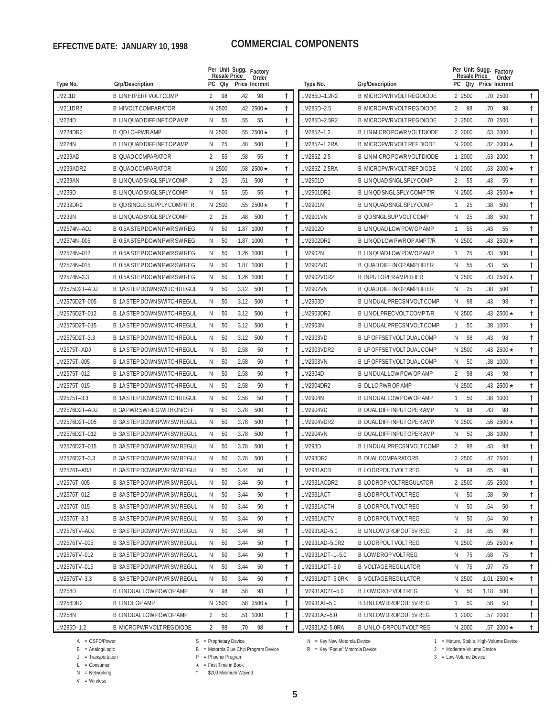|               |                                    | Per Unit Sugg. Factory<br><b>Resale Price</b><br>Order |                 |                                    | Per Unit Sugg. Factory<br><b>Resale Price</b><br>Order |
|---------------|------------------------------------|--------------------------------------------------------|-----------------|------------------------------------|--------------------------------------------------------|
| Type No.      | <b>Grp/Description</b>             | PC<br><b>Qty</b><br>Price Incrmnt                      | Type No.        | <b>Grp/Description</b>             | PC Qtv Price Incrmnt                                   |
| LM211D        | <b>B LINHIPERF VOLT COMP</b>       | 98<br>98<br>$^\dagger$<br>$\overline{2}$<br>.42        | LM285D-1.2R2    | <b>B MICROPWR VOLT REG DIODE</b>   | $\dagger$<br>2 2500<br>.70 2500                        |
| LM211DR2      | B HIVOLT COMPARATOR                | $^{\dagger}$<br>N 2500<br>.42 2500 $\star$             | LM285D-2.5      | <b>B MICROPWR VOLT REG DIODE</b>   | 98<br>2<br>98<br>.70<br>$^{\dagger}$                   |
| LM224D        | B LIN QUAD DIFF INPT OP AMP        | $^{\dagger}$<br>55<br>.55<br>55<br>N                   | LM285D-2.5R2    | <b>B MICROPWR VOLT REG DIODE</b>   | $\ddagger$<br>2 2500<br>.70 2500                       |
| LM224DR2      | <b>B QD LO-PWR AMP</b>             | $\ddagger$<br>N 2500<br>$.552500 \star$                | LM285Z-1.2      | <b>B LINMICROPOWR VOLT DIODE</b>   | $\dagger$<br>2 2000<br>.63 2000                        |
| <b>LM224N</b> | B LIN QUAD DIFF INPT OP AMP        | 25<br>$^{\dagger}$<br>.48<br>500<br>N                  | LM285Z-1.2RA    | <b>B MICROPWR VOLT REF DIODE</b>   | $\ddagger$<br>N 2000<br>$.82 \ 2000 \star$             |
| LM239AD       | <b>B QUAD COMPARATOR</b>           | $\ddagger$<br>55<br>55<br>2<br>.58                     | LM285Z-2.5      | <b>B LINMICROPOWR VOLT DIODE</b>   | $\dagger$<br>1 2000<br>.63 2000                        |
| LM239ADR2     | <b>B QUAD COMPARATOR</b>           | $\dagger$<br>N 2500<br>$.58$ 2500 $\star$              | LM285Z-2.5RA    | B MICROPWR VOLT REF DIODE          | .63 2000 $\star$<br>$\dagger$<br>N 2000                |
| LM239AN       | <b>B LINQUAD SNGL SPLY COMP</b>    | $\ddagger$<br>25<br>2<br>.51<br>500                    | LM2901D         | B LIN QUAD SNGL SPLY COMP          | $\ddagger$<br>55<br>$\overline{2}$<br>55<br>.43        |
| LM239D        | B LINQUAD SNGL SPLY COMP           | $^\dagger$<br>55<br>.55<br>55<br>N                     | LM2901DR2       | <b>B LIN OD SNGL SPLY COMP T/R</b> | .43 2500 $\star$<br>N 2500<br>$^\dagger$               |
| LM239DR2      | <b>B QD SINGLE SUPPLY COMPRTR</b>  | $.552500 \star$<br>$^{\dagger}$<br>N 2500              | LM2901N         | <b>B LIN QUAD SNGL SPLY COMP</b>   | 25<br>500<br>$\ddagger$<br>.38<br>$\mathbf{1}$         |
| LM239N        | B LINQUAD SNGL SPLY COMP           | $^\dagger$<br>2<br>25<br>.48<br>500                    | LM2901VN        | <b>B QD SNGL SUP VOLT COMP</b>     | 25<br>500<br>$^{\dagger}$<br>N<br>.38                  |
| LM2574N-ADJ   | B 0.5A STEP DOWN PWR SW REG        | $^{\dagger}$<br>50<br>1.87 1000<br>N                   | LM2902D         | B LIN QUAD LOW POW OP AMP          | $\ddagger$<br>55<br>.43<br>55<br>1                     |
| LM2574N-005   | B 0.5A STEP DOWN PWR SW REG        | $\ddagger$<br>N<br>50<br>1.87 1000                     | LM2902DR2       | B LIN QD LOW PWR OP AMP T/R        | $\dagger$<br>N 2500<br>.43 2500 $\star$                |
| LM2574N-012   | B 0.5A STEP DOWN PWR SW REG        | $^{\dagger}$<br>50<br>1.26 1000<br>N                   | LM2902N         | B LIN QUAD LOW POW OP AMP          | $\ddagger$<br>25<br>500<br>1<br>.43                    |
| LM2574N-015   | B 0.5A STEP DOWN PWR SW REG        | $\ddagger$<br>50<br>1.87 1000<br>N                     | LM2902VD        | <b>B QUADDIFF IN OP AMPLIFIER</b>  | $\dagger$<br>55<br>N<br>55<br>.43                      |
| LM2574N-3.3   | B 0.5A STEP DOWN PWR SW REG        | 50<br>1.26 1000<br>$^{\dagger}$<br>N                   | LM2902VDR2      | <b>B INPUTOPER AMPLIFIER</b>       | N 2500<br>.43 2500 $\star$<br>$\dagger$                |
| LM2575D2T-ADJ | <b>B 1A STEP DOWN SWITCH REGUL</b> | $\ddagger$<br>N<br>50<br>3.12<br>500                   | LM2902VN        | <b>B QUAD DIFF IN OP AMPLIFIER</b> | 25<br>$\ddagger$<br>N<br>.38<br>500                    |
| LM2575D2T-005 | <b>B 1A STEP DOWN SWITCH REGUL</b> | $^{\dagger}$<br>N<br>50<br>3.12<br>500                 | LM2903D         | <b>B LINDUAL PRECSN VOLT COMP</b>  | 98<br>98<br>N<br>.43<br>$^\dagger$                     |
| LM2575D2T-012 | <b>B 1A STEP DOWN SWITCH REGUL</b> | 500<br>$^{\dagger}$<br>N<br>50<br>3.12                 | LM2903DR2       | <b>B LINDL PREC VOLT COMPT/R</b>   | $.432500 \star$<br>$\dagger$<br>N 2500                 |
| LM2575D2T-015 | <b>B 1A STEP DOWN SWITCH REGUL</b> | 50<br>3.12<br>500<br>t<br>N                            | LM2903N         | B LINDUAL PRECSN VOLT COMP         | 50<br>.38 1000<br>$^{\dagger}$<br>1                    |
| LM2575D2T-3.3 | <b>B 1A STEP DOWN SWITCH REGUL</b> | $^{\dagger}$<br>50<br>3.12<br>500<br>N                 | LM2903VD        | B LP OFFSET VOLT DUAL COMP         | 98<br>98<br>$\ddagger$<br>N<br>.43                     |
| LM2575T-ADJ   | <b>B 1ASTEP DOWN SWITCH REGUL</b>  | $\ddagger$<br>N<br>50<br>2.58<br>50                    | LM2903VDR2      | <b>B LPOFFSETVOLT DUAL COMP</b>    | $\dagger$<br>N 2500<br>$.432500 \star$                 |
| LM2575T-005   | <b>B 1ASTEP DOWN SWITCH REGUL</b>  | 50<br>$^{\dagger}$<br>50<br>2.58<br>N                  | LM2903VN        | B LPOFFSETVOLTDUALCOMP             | 50<br>$\ddagger$<br>.38 1000<br>N                      |
| LM2575T-012   | <b>B 1A STEP DOWN SWITCH REGUL</b> | $\ddagger$<br>2.58<br>50<br>N<br>50                    | LM2904D         | B LINDUAL LOW POW OP AMP           | $\dagger$<br>98<br>98<br>2<br>.43                      |
| LM2575T-015   | <b>B 1A STEP DOWN SWITCH REGUL</b> | 2.58<br>50<br>$^\dagger$<br>N<br>50                    | LM2904DR2       | <b>B DLLOPWROPAMP</b>              | N 2500<br>43 2500 $\star$<br>$\dagger$                 |
| LM2575T-3.3   | <b>B 1A STEP DOWN SWITCH REGUL</b> | $\ddagger$<br>50<br>N<br>50<br>2.58                    | LM2904N         | B LINDUAL LOW POW OP AMP           | $\ddagger$<br>50<br>.38 1000<br>$\mathbf{1}$           |
| LM2576D2T-ADJ | <b>B 3A PWR SW REG WITH ON/OFF</b> | $^{\dagger}$<br>N<br>50<br>3.78<br>500                 | LM2904VD        | B DUAL DIFF INPUT OPER AMP         | 98<br>$\dagger$<br>N<br>.43<br>98                      |
| LM2576D2T-005 | <b>B 3A STEP DOWN PWR SW REGUL</b> | $\ddagger$<br>50<br>3.78<br>500<br>N                   | LM2904VDR2      | <b>B DUAL DIFF INPUT OPER AMP</b>  | $\dagger$<br>N 2500<br>$.562500 \star$                 |
| LM2576D2T-012 | <b>B 3A STEP DOWN PWR SW REGUL</b> | N<br>50<br>3.78<br>500<br>$^{\dagger}$                 | LM2904VN        | B DUAL DIFF INPUT OPER AMP         | 50<br>.38 1000<br>$^{\dagger}$<br>N                    |
| LM2576D2T-015 | <b>B 3A STEP DOWN PWR SW REGUL</b> | $^{\dagger}$<br>N<br>50<br>3.78<br>500                 | LM293D          | <b>B LINDUAL PRECSN VOLT COMP</b>  | 98<br>98<br>$\dagger$<br>2<br>.43                      |
| LM2576D2T-3.3 | <b>B 3A STEP DOWN PWR SW REGUL</b> | $^{\dagger}$<br>N<br>50<br>3.78<br>500                 | LM293DR2        | <b>B DUALCOMPARATORS</b>           | $\dagger$<br>2 2500<br>.47 2500                        |
| LM2576T-ADJ   | <b>B 3A STEP DOWN PWR SW REGUL</b> | $+$<br>Ν<br>50<br>3.44<br>50                           | LM2931ACD       | <b>B LODRPOUT VOLT REG</b>         | 98<br>98<br>$^+$<br>N<br>.65                           |
| LM2576T-005   | <b>B 3A STEP DOWN PWR SW REGUL</b> | Ť.<br>50<br>50<br>N<br>3.44                            | LM2931ACDR2     | <b>B LODROP VOLT REGULATOR</b>     | 2 2500<br>$^+$<br>.65 2500                             |
| LM2576T-012   | <b>B 3A STEP DOWN PWR SW REGUL</b> | $\dagger$<br>50<br>Ν<br>50<br>3.44                     | LM2931ACT       | <b>B LODRPOUT VOLT REG</b>         | 50<br>50<br>$\dagger$<br>N<br>.58                      |
| LM2576T-015   | <b>B 3A STEP DOWN PWR SW REGUL</b> | $^{\dagger}$<br>50<br>50<br>3.44<br>Ν                  | LM2931ACTH      | <b>B LODRPOUT VOLT REG</b>         | 50<br>50<br>$^\dagger$<br>N<br>.64                     |
| LM2576T-3.3   | <b>B 3A STEP DOWN PWR SW REGUL</b> | t<br>50<br>50<br>Ν<br>3.44                             | LM2931ACTV      | <b>B LODRPOUT VOLT REG</b>         | 50<br>50<br>Ť<br>N<br>.64                              |
| LM2576TV-ADJ  | <b>B 3A STEP DOWN PWR SW REGUL</b> | $^{\dagger}$<br>Ν<br>50<br>3.44<br>50                  | LM2931AD-5.0    | <b>B LINLOW DROPOUT5V REG</b>      | 98<br>98<br>$\dagger$<br>$\overline{2}$<br>.65         |
| LM2576TV-005  | <b>B 3A STEP DOWN PWR SW REGUL</b> | $^\dagger$<br>50<br>3.44<br>50<br>Ν                    | LM2931AD-5.0R2  | <b>B LODRPOUT VOLT REG</b>         | N 2500<br>.65 2500 $\star$<br>Ť.                       |
| LM2576TV-012  | B 3A STEP DOWN PWR SW REGUL        | $\dagger$<br>50<br>3.44<br>50<br>Ν                     | LM2931ADT-1-5.0 | <b>B LOW DROP VOLT REG</b>         | 75<br>75<br>t<br>N<br>.68                              |
| LM2576TV-015  | <b>B 3A STEP DOWN PWR SW REGUL</b> | $^{\dagger}$<br>50<br>50<br>Ν<br>3.44                  | LM2931ADT-5.0   | <b>B VOLTAGE REGULATOR</b>         | $^{\dagger}$<br>N 75<br>75<br>.97                      |
| LM2576TV-3.3  | B 3A STEP DOWN PWR SW REGUL        | $^\dagger$<br>50<br>N<br>50<br>3.44                    | LM2931ADT-5.0RK | <b>B VOLTAGE REGULATOR</b>         | N 2500<br>1.01 2500 $\star$<br>$^{\dagger}$            |
| LM258D        | B LINDUAL LOW POW OP AMP           | $\ddagger$<br>98<br>98<br>Ν<br>.58                     | LM2931AD2T-5.0  | B LOW DROP VOLT REG                | $^{\dagger}$<br>1.18<br>500<br>N<br>50                 |
| LM258DR2      | <b>B LINDLOPAMP</b>                | $^\dagger$<br>N 2500<br>$.58$ 2500 $\star$             | LM2931AT-5.0    | <b>B LINLOW DROPOUT5V REG</b>      | $\dagger$<br>50<br>.58<br>50<br>$\mathbf{1}$           |
| <b>LM258N</b> | B LINDUAL LOW POW OP AMP           | Ť.<br>50<br>.51 1000<br>$\mathbf{2}$                   | LM2931AZ-5.0    | <b>B LINLOW DROPOUT5V REG</b>      | $^{\dagger}$<br>1 2000<br>.57 2000                     |
| LM285D-1.2    | <b>B MICROPWR VOLT REG DIODE</b>   | $^{\dagger}$<br>$\overline{2}$<br>98<br>.70<br>98      | LM2931AZ-5.0RA  | <b>B LINLO-DRPOUT VOLT REG</b>     | N 2000<br>$^+$<br>.57 2000 ★                           |

- 
- 
- 
- $L = \text{Consumer}$ <br>  $N = \text{Networking}$ <br>  $V = \text{Wireless}$

A = OSPD/Power external states and S = Proprietary Device N = Key New Motorola Device 1 = Mature, Stable, High-Volume Device

B = Analog/Logic entropyrology by B = Motorola Blue Chip Program Device R = Key "Focus" Motorola Device 2 = Moderate-Volume Device

 $L =$  Consumer  $\star =$  First Time in Book

N = Networking - and the state of the state of the state of the state of the state of the state of the state of the state of the state of the state of the state of the state of the state of the state of the state of the st

- 
- 

J = Transportation P = Phoenix Program 3 = Low-Volume Device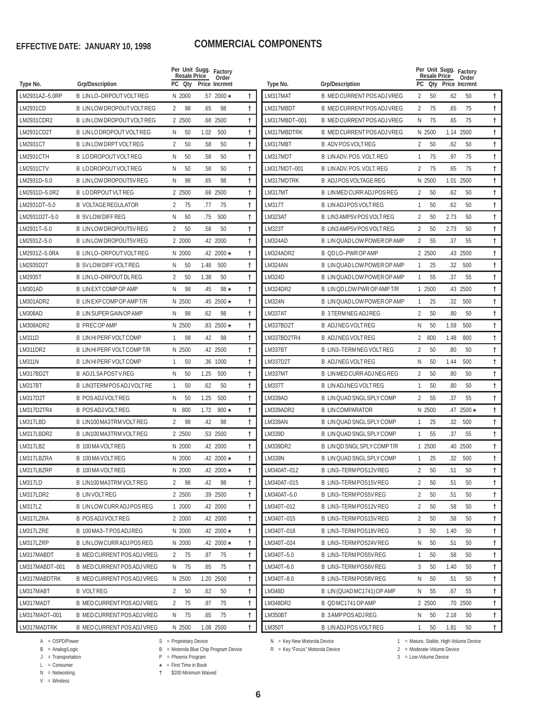|                  |                                  | Per Unit Sugg. Factory<br><b>Resale Price</b><br>Order |                |                                  | Per Unit Sugg. Factory<br><b>Resale Price</b><br>Order |
|------------------|----------------------------------|--------------------------------------------------------|----------------|----------------------------------|--------------------------------------------------------|
| Type No.         | <b>Grp/Description</b>           | PC Qty<br>Price Incrmnt                                | Type No.       | <b>Grp/Description</b>           | PC Qty<br>Price Incrmnt                                |
| LM2931AZ-5.0RP   | <b>B LINLO-DRPOUT VOLT REG</b>   | $\ddagger$<br>N 2000<br>$.572000 \star$                | LM317MAT       | <b>B MEDCURRENTPOSADJVREG</b>    | 50<br>$\ddagger$<br>2<br>50<br>.62                     |
| LM2931CD         | <b>B LINLOW DROPOUT VOLT REG</b> | 98<br>.65<br>98<br>$\ddagger$<br>$\overline{2}$        | LM317MBDT      | <b>B MEDCURRENTPOSADJVREG</b>    | $+$<br>$\overline{2}$<br>75<br>75<br>.65               |
| LM2931CDR2       | <b>B LINLOW DROPOUT VOLT REG</b> | 2 2500<br>.68 2500<br>$\ddagger$                       | LM317MBDT-001  | <b>B MEDCURRENTPOSADJVREG</b>    | $^\dagger$<br>75<br>75<br>Ν<br>.65                     |
| LM2931CD2T       | <b>B LINLO DROPOUT VOLT REG</b>  | 500<br>$\ddagger$<br>50<br>1.02<br>N                   | LM317MBDTRK    | <b>B MEDCURRENTPOSADJVREG</b>    | $\ddagger$<br>N 2500<br>1.14 2500                      |
| <b>LM2931CT</b>  | <b>B LINLOW DRPT VOLT REG</b>    | 2<br>50<br>.58<br>50<br>$\ddagger$                     | LM317MBT       | <b>B ADVPOSVOLTREG</b>           | $\ddagger$<br>$\overline{2}$<br>50<br>.62<br>50        |
| LM2931CTH        | <b>B LODROPOUTVOLTREG</b>        | $\ddagger$<br>50<br>.58<br>50<br>N                     | LM317MDT       | B LINADV. POS. VOLT. REG         | $\ddagger$<br>75<br>.97<br>75<br>1                     |
| <b>LM2931CTV</b> | <b>B LODROPOUT VOLT REG</b>      | 50<br>.58<br>50<br>$\ddagger$<br>N                     | LM317MDT-001   | B LINADV. POS. VOLT. REG         | $\ddagger$<br>2<br>75<br>.65<br>75                     |
| LM2931D-5.0      | <b>B LINLOWDROPOUT5VREG</b>      | $\ddagger$<br>98<br>.65<br>98<br>N                     | LM317MDTRK     | <b>B ADJPOS VOLTAGE REG</b>      | $^\dagger$<br>N 2500<br>1.01 2500                      |
| LM2931D-5.0R2    | <b>B LO DRPOUT VLT REG</b>       | $\ddagger$<br>2 2500<br>.68 2500                       | <b>LM317MT</b> | <b>B LINMED CURRADJPOS REG</b>   | $\ddagger$<br>2<br>50<br>.62<br>50                     |
| LM2931DT-5.0     | <b>B VOLTAGE REGULATOR</b>       | $\ddagger$<br>75<br>.77<br>75<br>2                     | LM317T         | <b>B LINADJPOS VOLT REG</b>      | $+$<br>50<br>.62<br>50<br>1                            |
| LM2931D2T-5.0    | <b>B 5V LOW DIFF REG</b>         | $\ddagger$<br>50<br>.75<br>500<br>Ν                    | LM323AT        | B LIN3 AMP5V POS VOLT REG        | $\ddagger$<br>2<br>50<br>2.73<br>50                    |
| LM2931T-5.0      | <b>B LINLOWDROPOUT5VREG</b>      | 50<br>50<br>$\ddagger$<br>2<br>.58                     | LM323T         | <b>B LIN3 AMP5V POS VOLT REG</b> | $\dagger$<br>50<br>2.73<br>50<br>2                     |
| LM2931Z-5.0      | <b>B LINLOWDROPOUT5VREG</b>      | 2 2000<br>.42 2000<br>$^{\dagger}$                     | LM324AD        | B LIN QUAD LOW POWER OP AMP      | $\ddagger$<br>.37<br>2<br>55<br>55                     |
| LM2931Z-5.0RA    | <b>B LINLO-DRPOUT VOLT REG</b>   | $\ddagger$<br>N 2000<br>.42 2000 $\star$               | LM324ADR2      | <b>B QDLO-PWROPAMP</b>           | $\dagger$<br>2 2500<br>.43 2500                        |
| LM2935D2T        | <b>B 5V LOW DIFF VOLT REG</b>    | $\ddagger$<br>N<br>50<br>1.48<br>500                   | LM324AN        | B LIN QUAD LOW POWER OP AMP      | $\ddagger$<br>25<br>.32<br>500<br>$\mathbf{1}$         |
| LM2935T          | <b>B LINLO-DRPOUT DL REG</b>     | 50<br>50<br>2<br>1.38<br>$^{+}$                        | LM324D         | B LIN QUAD LOW POWER OP AMP      | $\ddagger$<br>.37<br>55<br>55<br>$\mathbf{1}$          |
| LM301AD          | <b>B LINEXT COMP OP AMP</b>      | $\ddagger$<br>98<br>.45<br>$98*$<br>N                  | LM324DR2       | B LIN OD LOW PWR OP AMP T/R      | $\dagger$<br>1 2500<br>.43 2500                        |
| LM301ADR2        | <b>B LINEXPCOMPOPAMPT/R</b>      | N 2500<br>.45 2500 $\star$<br>$\ddagger$               | LM324N         | B LIN QUAD LOW POWER OP AMP      | $\ddagger$<br>25<br>.32<br>500<br>1                    |
| LM308AD          | <b>B LIN SUPER GAIN OP AMP</b>   | 98<br>$\ddagger$<br>98<br>.62<br>N                     | <b>LM337AT</b> | <b>B 3TERMNEG ADJREG</b>         | $\ddagger$<br>.80<br>50<br>2<br>50                     |
| LM308ADR2        | <b>B PRECOPAMP</b>               | 2500 $\star$<br>$\ddagger$<br>N 2500<br>.83            | LM337BD2T      | <b>B ADJNEGVOLTREG</b>           | $\ddagger$<br>50<br>1.59<br>500<br>N                   |
| <b>LM311D</b>    | <b>B LINHI PERF VOLT COMP</b>    | 98<br>.42<br>98<br>$\ddagger$<br>1                     | LM337BD2TR4    | <b>B ADJNEGVOLTREG</b>           | $^\dagger$<br>$\overline{2}$<br>800<br>1.48<br>800     |
| LM311DR2         | <b>B LINHIPERF VOLT COMPT/R</b>  | N 2500<br>.42 2500<br>$\ddagger$                       | <b>LM337BT</b> | <b>B LIN3-TERMNEG VOLT REG</b>   | $^\dagger$<br>$\overline{2}$<br>50<br>.80<br>50        |
| <b>LM311N</b>    | <b>B LINHIPERF VOLT COMP</b>     | 50<br>.36 1000<br>$\ddagger$<br>1                      | LM337D2T       | <b>B ADJNEGVOLTREG</b>           | $\ddagger$<br>N<br>50<br>1.44<br>500                   |
| LM317BD2T        | B ADJ1.5A POST V.REG             | 500<br>$\ddagger$<br>N<br>50<br>1.25                   | LM337MT        | <b>B LINMED CURRADJNEG REG</b>   | $\ddagger$<br>2<br>50<br>.80<br>50                     |
| LM317BT          | <b>B LIN3TERMPOS ADJVOLT RE</b>  | 50<br>.62<br>50<br>$\ddagger$<br>1                     | LM337T         | <b>B LINADJNEGVOLTREG</b>        | $\ddagger$<br>50<br>50<br>.80<br>1                     |
| LM317D2T         | B POSADJVOLTREG                  | $\ddagger$<br>Ν<br>50<br>1.25<br>500                   | LM339AD        | <b>B LIN QUAD SNGL SPLY COMP</b> | $\ddagger$<br>2<br>55<br>.37<br>55                     |
| LM317D2TR4       | <b>B POSADJVOLTREG</b>           | $\ddagger$<br>800<br>1.72<br>800 $\star$<br>N          | LM339ADR2      | <b>B LINCOMPARATOR</b>           | $\ddagger$<br>N 2500<br>.47 2500 $\star$               |
| LM317LBD         | B LIN100 MA3TRM VOLT REG         | $\ddagger$<br>98<br>.42<br>98<br>2                     | LM339AN        | B LIN QUAD SNGL SPLY COMP        | $\ddagger$<br>25<br>.32<br>500<br>1                    |
| LM317LBDR2       | B LIN100 MA3TRM VOLT REG         | $\ddagger$<br>2 2500<br>.53 2500                       | LM339D         | <b>B LIN QUAD SNGL SPLY COMP</b> | $\ddagger$<br>.37<br>55<br>55<br>$\mathbf{1}$          |
| LM317LBZ         | B 100 MA VOLT REG                | $\ddagger$<br>N 2000<br>.42 2000                       | LM339DR2       | B LIN QD SNGL SPLY COMP T/R      | $\dagger$<br>1 2500<br>.40 2500                        |
| LM317LBZRA       | B 100 MA VOLT REG                | N 2000<br>$^\dagger$<br>.42 2000 $\star$               | LM339N         | <b>B LIN QUAD SNGL SPLY COMP</b> | $^\dagger$<br>25<br>500<br>.32<br>1                    |
| LM317LBZRP       | B 100 MA VOLT REG                | $\ddagger$<br>N 2000<br>$.422000 \star$                | LM340AT-012    | B LIN3-TERMPOS12VREG             | $^\dagger$<br>$\overline{2}$<br>50<br>.51<br>50        |
| LM317LD          | B LIN100 MA3TRM VOLT REG         | 2 98<br>98<br>$^+$<br>.42                              | LM340AT-015    | B LIN3-TERMPOS15VREG             | $\ddagger$<br>2<br>50<br>50<br>.51                     |
| LM317LDR2        | <b>B LINVOLTREG</b>              | 2 2500<br>.39 2500<br>$\ddagger$                       | LM340AT-5.0    | <b>B LIN3-TERMPOS5VREG</b>       | $^\dagger$<br>50<br>$\overline{2}$<br>50<br>.51        |
| LM317LZ          | <b>B LINLOW CURRADJPOS REG</b>   | $^\dagger$<br>1 2000<br>.42 2000                       | LM340T-012     | <b>B LIN3-TERMPOS12VREG</b>      | $^\dagger$<br>$\overline{2}$<br>50<br>.58<br>50        |
| LM317LZRA        | <b>B POSADJVOLTREG</b>           | $\ddagger$<br>2 2000<br>.42 2000                       | LM340T-015     | <b>B LIN3-TERMPOS15VREG</b>      | $\ddagger$<br>$\overline{2}$<br>50<br>.58<br>50        |
| LM317LZRE        | B 100 MA3-TPOS ADJ REG           | $\ddagger$<br>N 2000<br>.42 2000 $\star$               | LM340T-018     | <b>B LIN3-TERMPOS18VREG</b>      | $\uparrow$<br>3<br>50<br>50<br>1.40                    |
| LM317LZRP        | <b>B LINLOW CURRADJPOS REG</b>   | $\dagger$<br>N 2000<br>.42 2000 $\star$                | LM340T-024     | <b>B LIN3-TERMPOS24VREG</b>      | $+$<br>N<br>50<br>.51<br>50                            |
| LM317MABDT       | <b>B MEDCURRENTPOSADJVREG</b>    | $\dagger$<br>2 75<br>75<br>.97                         | LM340T-5.0     | <b>B LIN3-TERMPOS5VREG</b>       | $^\dagger$<br>50<br>50<br>.58<br>1                     |
| LM317MABDT-001   | <b>B MEDCURRENTPOSADJVREG</b>    | 75<br>$\ddagger$<br>75<br>.65<br>N                     | LM340T-6.0     | <b>B LIN3-TERMPOS6VREG</b>       | $\uparrow$<br>3<br>50<br>1.40<br>50                    |
| LM317MABDTRK     | <b>B MEDCURRENTPOSADJVREG</b>    | 1.20 2500<br>$\dagger$<br>N 2500                       | LM340T-8.0     | <b>B LIN3-TERMPOS8VREG</b>       | $^{\dagger}$<br>N<br>50<br>.51<br>50                   |
| LM317MABT        | <b>B VOLTREG</b>                 | $\overline{2}$<br>50<br>.62<br>50<br>$\ddagger$        | LM348D         | B LIN (QUAD MC1741) OP AMP       | $\ddagger$<br>55<br>.67<br>55<br>N                     |
| LM317MADT        | <b>B MEDCURRENTPOSADJVREG</b>    | 75<br>2<br>75<br>.97<br>$\ddagger$                     | LM348DR2       | B QD MC1741 OP AMP               | $^\dagger$<br>2 2500<br>.70 2500                       |
| LM317MADT-001    | <b>B MEDCURRENTPOSADJVREG</b>    | $\ddagger$<br>N<br>75<br>.65<br>75                     | LM350BT        | B 3 AMP POS ADJ REG              | $^\dagger$<br>50<br>2.18<br>50<br>N                    |
| LM317MADTRK      | <b>B MEDCURRENTPOSADJVREG</b>    | $\ddagger$<br>N 2500<br>1.08 2500                      | LM350T         | <b>B LINADJPOS VOLT REG</b>      | $\ddagger$<br>50<br>50<br>1.81<br>$\mathbf{1}$         |

- 
- 

 $L = \text{Consumer}$ <br>  $N = \text{Networking}$ <br>  $V = \text{Wireless}$ 

B = Analog/Logic entropy of the Motorola Blue Chip Program Device R = Key "Focus" Motorola Device 2 = Moderate-Volume Device

- 
- 
- 

A = OSPD/Power external states and S = Proprietary Device N = Key New Motorola Device 1 = Mature, Stable, High-Volume Device

J = Transportation P = Phoenix Program 3 = Low-Volume Device

 $L =$  Consumer  $\star =$  First Time in Book

- N = Networking extensive that the state of the state of the state of the state of the state of the state of the state of the state of the state of the state of the state of the state of the state of the state of the state
	-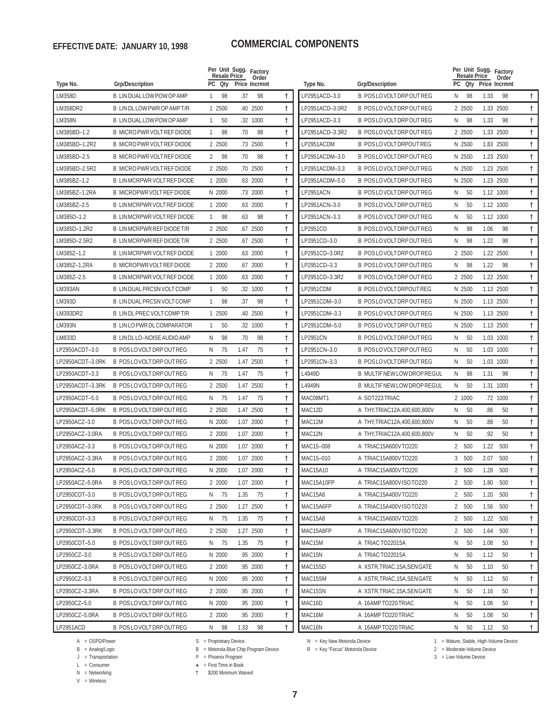|                                                                |                                   | <b>Resale Price</b>                             | Per Unit Sugg. Factory<br>Order       |              |                                                                |                                    |                       | <b>Resale Price</b> |                            | Per Unit Sugg. Factory<br>Order        |              |
|----------------------------------------------------------------|-----------------------------------|-------------------------------------------------|---------------------------------------|--------------|----------------------------------------------------------------|------------------------------------|-----------------------|---------------------|----------------------------|----------------------------------------|--------------|
| Type No.                                                       | <b>Grp/Description</b>            | PC Otv                                          | Price Incrmnt                         |              | Type No.                                                       | <b>Grp/Description</b>             | PC                    | Qty                 |                            | Price Incrmnt                          |              |
| LM358D                                                         | B LINDUAL LOW POW OP AMP          | 98<br>$\mathbf{1}$                              | 98<br>.37                             | $\ddagger$   | LP2951ACD-3.0                                                  | <b>B POSLOVOLT DRPOUT REG</b>      | N                     | 98                  | 1.33                       | 98                                     | $\dagger$    |
| LM358DR2                                                       | B LINDLLOW PWR OP AMP T/R         | 1 2500                                          | .40 2500                              | $^{\dagger}$ | LP2951ACD-3.0R2                                                | <b>B POSLOVOLT DRP OUT REG</b>     |                       | 2 2500              |                            | 1.33 2500                              | $\ddagger$   |
| LM358N                                                         | B LINDUAL LOW POW OP AMP          | 50<br>1                                         | .32 1000                              | $^{\dagger}$ | LP2951ACD-3.3                                                  | <b>B POSLOVOLT DRP OUT REG</b>     | N                     | 98                  | 1.33                       | 98                                     | $\ddagger$   |
| LM385BD-1.2                                                    | <b>B MICRO PWR VOLT REF DIODE</b> | 98<br>1                                         | 98<br>.70                             | $^{\dagger}$ | LP2951ACD-3.3R2                                                | <b>B POSLOVOLT DRPOUT REG</b>      |                       | 2 2500              |                            | 1.33 2500                              | $^+$         |
| LM385BD-1.2R2                                                  | <b>B MICRO PWR VOLT REF DIODE</b> | 2 2500                                          | .73 2500                              | $^{\dagger}$ | LP2951ACDM                                                     | <b>B POSLOVOLT DRPOUT REG</b>      |                       | N 2500              |                            | 1.83 2500                              | $^{\dagger}$ |
| LM385BD-2.5                                                    | <b>B MICRO PWR VOLT REF DIODE</b> | 98<br>$\mathbf{2}$                              | 98<br>.70                             | $^{\dagger}$ | LP2951ACDM-3.0                                                 | <b>B POSLOVOLT DRP OUT REG</b>     |                       | N 2500              |                            | 1.23 2500                              | $^+$         |
| LM385BD-2.5R2                                                  | <b>B MICROPWRVOLT REF DIODE</b>   | 2 2500                                          | .70 2500                              | $^{\dagger}$ | LP2951ACDM-3.3                                                 | <b>B POSLOVOLT DRP OUT REG</b>     |                       | N 2500              |                            | 1.23 2500                              | $^{\dagger}$ |
| LM385BZ-1.2                                                    | <b>B LINMCRPWR VOLT REF DIODE</b> | 1 2000                                          | .63 2000                              | $\ddagger$   | LP2951ACDM-5.0                                                 | <b>B POSLOVOLT DRP OUT REG</b>     |                       | N 2500              |                            | 1.23 2500                              | $^+$         |
| LM385BZ-1.2RA                                                  | <b>B MICROPWR VOLT REF DIODE</b>  | N 2000                                          | .73 2000                              | $\ddagger$   | LP2951ACN                                                      | B POSLOVOLT DRP OUT REG            | N                     | 50                  |                            | 1.12 1000                              | $^+$         |
| LM385BZ-2.5                                                    | <b>B LINMCRPWR VOLT REF DIODE</b> | 1 2000                                          | .63 2000                              | $\ddagger$   | LP2951ACN-3.0                                                  | B POSLOVOLT DRP OUT REG            | N                     | 50                  |                            | 1.12 1000                              | $^+$         |
| LM385D-1.2                                                     | <b>B LINMCRPWR VOLT REF DIODE</b> | 98<br>$\mathbf{1}$                              | 98<br>.63                             | $^{\dagger}$ | LP2951ACN-3.3                                                  | <b>B POSLOVOLT DRP OUT REG</b>     | N                     | 50                  |                            | 1.12 1000                              | $\ddagger$   |
| LM385D-1.2R2                                                   | <b>B LINMCRPWR REF DIODE T/R</b>  | 2 2500                                          | 2500<br>.67                           | $^{\dagger}$ | LP2951CD                                                       | <b>B POSLOVOLT DRP OUT REG</b>     | N                     | 98                  | 1.06                       | 98                                     | $\ddagger$   |
| LM385D-2.5R2                                                   | <b>B LINMCRPWR REF DIODE T/R</b>  | 2 2500                                          | .67 2500                              | $\ddagger$   | LP2951CD-3.0                                                   | B POSLOVOLT DRP OUT REG            | N                     | 98                  | 1.22                       | 98                                     | $^+$         |
| LM385Z-1.2                                                     | <b>B LINMCRPWR VOLT REF DIODE</b> | 1 2000                                          | .63 2000                              | $^{\dagger}$ | LP2951CD-3.0R2                                                 | <b>B POSLOVOLT DRP OUT REG</b>     |                       | 2 2500              |                            | 1.22 2500                              | $^{\dagger}$ |
| LM385Z-1.2RA                                                   | <b>B MICROPWR VOLT REF DIODE</b>  | 2 2000                                          | .67 2000                              | $^{\dagger}$ | LP2951CD-3.3                                                   | <b>B POSLOVOLT DRP OUT REG</b>     | N                     | 98                  | 1.22                       | 98                                     | $^+$         |
| LM385Z-2.5                                                     | <b>B LINMCRPWR VOLT REF DIODE</b> | 1 2000                                          | .63<br>2000                           | $^{\dagger}$ | LP2951CD-3.3R2                                                 | <b>B POSLOVOLT DRP OUT REG</b>     |                       | 2 2500              |                            | 1.22 2500                              | $^+$         |
| LM393AN                                                        | <b>B LINDUAL PRCSN VOLT COMP</b>  | 50<br>$\mathbf{1}$                              | .32 1000                              | $\ddagger$   | LP2951CDM                                                      | <b>B POSLOVOLT DRPOUT REG</b>      |                       | N 2500              |                            | 1.13 2500                              | $^{\dagger}$ |
| LM393D                                                         | <b>B LINDUAL PRCSN VOLT COMP</b>  | 98<br>$\mathbf{1}$                              | .37<br>98                             | $\ddagger$   | LP2951CDM-3.0                                                  | B POSLOVOLT DRP OUT REG            |                       | N 2500              |                            | 1.13 2500                              | $^+$         |
| LM393DR2                                                       | <b>B LINDLPREC VOLT COMP T/R</b>  | 1 2500                                          | .40 2500                              | $^{\dagger}$ | LP2951CDM-3.3                                                  | B POSLOVOLT DRP OUT REG            |                       | N 2500              |                            | 1.13 2500                              | $\ddagger$   |
| LM393N                                                         | B LINLO PWR DL COMPARATOR         | 50<br>$\mathbf{1}$                              | .32 1000                              | $^{\dagger}$ | LP2951CDM-5.0                                                  | <b>B POSLOVOLT DRP OUT REG</b>     |                       | N 2500              |                            | 1.13 2500                              | $\ddagger$   |
| LM833D                                                         | B LINDLLO-NOISE AUDIO AMP         | 98<br>N                                         | .70<br>98                             | $^{\dagger}$ | <b>LP2951CN</b>                                                | <b>B POSLOVOLT DRP OUT REG</b>     | N                     | 50                  |                            | 1.03 1000                              | $\ddagger$   |
| LP2950ACDT-3.0                                                 | <b>B POSLOVOLT DRP OUT REG</b>    | 75<br>N                                         | 75<br>1.47                            | $\ddagger$   | LP2951CN-3.0                                                   | <b>B POSLOVOLT DRP OUT REG</b>     | N                     | 50                  |                            | 1.03 1000                              | $^+$         |
| LP2950ACDT-3.0RK                                               | <b>B POSLOVOLT DRP OUT REG</b>    | 2 2500                                          | 1.47 2500                             | $^{\dagger}$ | LP2951CN-3.3                                                   | <b>B POSLOVOLT DRP OUT REG</b>     | N                     | 50                  |                            | 1.03 1000                              | $^{\dagger}$ |
| LP2950ACDT-3.3                                                 | <b>B POSLOVOLT DRP OUT REG</b>    | Ν<br>- 75                                       | 1.47<br>75                            | $^{\dagger}$ | L4949D                                                         | <b>B MULTIF NEW LOW DROP REGUL</b> | N                     | 98                  | 1.31                       | 98                                     | $^+$         |
| LP2950ACDT-3.3RK                                               | <b>B POSLOVOLT DRP OUT REG</b>    | 2 2500                                          | 1.47<br>2500                          | $^{\dagger}$ | L4949N                                                         | <b>B MULTIF NEW LOW DROP REGUL</b> | N                     | 50                  |                            | 1.31 1000                              | $^{\dagger}$ |
| LP2950ACDT-5.0                                                 | B POSLOVOLT DRP OUT REG           | - 75<br>Ν                                       | 1.47<br>75                            | $\ddagger$   | MAC08MT1                                                       | A SOT223TRIAC                      |                       | 2 1000              |                            | .72 1000                               | $\ddagger$   |
| LP2950ACDT-5.0RK                                               | B POSLOVOLT DRP OUT REG           | 2 2500                                          | 1.47 2500                             | $\ddagger$   | MAC12D                                                         | A THY, TRIAC12A, 400, 600, 800V    | N                     | 50                  | .86                        | 50                                     | $^+$         |
| LP2950ACZ-3.0                                                  | B POSLOVOLT DRP OUT REG           | N 2000                                          | 1.07 2000                             | $\ddagger$   | MAC12M                                                         | A THY, TRIAC12A, 400, 600, 800V    | N                     | 50                  | .88                        | 50                                     | $\ddagger$   |
| LP2950ACZ-3.0RA                                                | <b>B POSLOVOLT DRP OUT REG</b>    | 2 2000                                          | 1.07 2000                             | $^+$         | MAC12N                                                         | A THY, TRIAC12A, 400, 600, 800V    | N                     | 50                  | .92                        | 50                                     | $\ddagger$   |
| LP2950ACZ-3.3                                                  | <b>B POSLOVOLT DRP OUT REG</b>    | N 2000                                          | 1.07<br>2000                          | $^{\dagger}$ | MAC15-008                                                      | A TRIAC15A600VTO220                | 2                     | 500                 | 1.22                       | 500                                    | $\ddagger$   |
| LP2950ACZ-3.3RA                                                | <b>B POSLOVOLT DRP OUT REG</b>    | 2 2000                                          | 1.07 2000                             | $^{\dagger}$ | MAC15-010                                                      | A TRIAC15A800VTO220                | 3                     | 500                 | 2.07                       | 500                                    | $^+$         |
| LP2950ACZ-5.0                                                  | <b>B POSLOVOLT DRP OUT REG</b>    | N 2000                                          | 1.07 2000                             | $^+$         | MAC15A10                                                       | A TRIAC15A800VTO220                | $\overline{2}$        | 500                 | 1.28                       | 500                                    | $^+$         |
| LP2950ACZ-5.0RA                                                | B POSLOVOLT DRP OUT REG           | 2 2000                                          | 1.07 2000                             | t.           | MAC15A10FP                                                     | A TRIAC15A800VISO TO220            |                       | 2 500               | 1.80                       | 500                                    | $^+$         |
| LP2950CDT-3.0                                                  | B POSLOVOLT DRP OUT REG           | 75<br>Ν                                         | 1.35<br>75                            | $^\dagger$   | MAC15A6                                                        | A TRIAC15A400VTO220                |                       | 2 500               | 1.20                       | 500                                    | $^+$         |
| LP2950CDT-3.0RK                                                | B POSLOVOLT DRP OUT REG           | 2 2500                                          | 1.27 2500                             | $^{\dagger}$ | MAC15A6FP                                                      | A TRIAC15A400VISO TO220            |                       | 2 500               | 1.56                       | 500                                    | $^+$         |
| LP2950CDT-3.3                                                  | B POSLOVOLT DRP OUT REG           | N<br>75                                         | 75<br>1.35                            | $^{\dagger}$ | MAC15A8                                                        | A TRIAC15A600VTO220                |                       | 2 500               | 1.22                       | 500                                    | $^{\dagger}$ |
| LP2950CDT-3.3RK                                                | B POSLOVOLT DRP OUT REG           | 2 2500                                          | 1.27 2500                             | $^{\dagger}$ | MAC15A8FP                                                      | A TRIAC15A600V ISO TO220           |                       | 2 500               | 1.64                       | 500                                    | $\ddagger$   |
| LP2950CDT-5.0                                                  | B POSLOVOLT DRP OUT REG           | Ν<br>75                                         | 75<br>1.35                            | $^{\dagger}$ | MAC15M                                                         | A TRIAC TO22015A                   | N                     | 50                  | 1.08                       | 50                                     | $\ddagger$   |
| LP2950CZ-3.0                                                   | <b>B POSLOVOLT DRP OUT REG</b>    | N 2000                                          | .95 2000                              | $\dagger$    | MAC15N                                                         | A TRIAC TO22015A                   | N                     | 50                  | 1.12                       | 50                                     | $\ddagger$   |
| LP2950CZ-3.0RA                                                 | B POSLOVOLT DRP OUT REG           | 2 2000                                          | .95 2000                              | $^\dagger$   | MAC15SD                                                        | A XSTR, TRIAC, 15A, SENGATE        | Ν                     | 50                  | 1.10                       | 50                                     | $^+$         |
| LP2950CZ-3.3                                                   | B POSLOVOLT DRP OUT REG           | N 2000                                          | .95 2000                              | t            | MAC15SM                                                        | A XSTR, TRIAC, 15A, SENGATE        | N                     | 50                  | 1.12                       | 50                                     | $^+$         |
| LP2950CZ-3.3RA                                                 | B POSLOVOLT DRP OUT REG           | 2 2000                                          | .95 2000                              | t.           | MAC15SN                                                        | A XSTR, TRIAC, 15A, SENGATE        | Ν                     | 50                  | 1.16                       | 50                                     | $^+$         |
| LP2950CZ-5.0                                                   | B POSLOVOLT DRP OUT REG           | N 2000                                          | .95 2000                              | $^\dagger$   | MAC16D                                                         | A 16AMP TO220 TRIAC                | Ν                     | 50                  | 1.06                       | 50                                     | $^+$         |
| LP2950CZ-5.0RA                                                 | B POSLOVOLT DRP OUT REG           | 2 2000                                          | .95 2000                              | $^{\dagger}$ | MAC16M                                                         | A 16AMP TO220 TRIAC                | Ν                     | 50                  | 1.08                       | 50                                     | $\ddagger$   |
| LP2951ACD                                                      | B POSLOVOLT DRP OUT REG           | N<br>98                                         | 1.33<br>98                            | $\ddagger$   | MAC16N                                                         | A 16AMP TO220 TRIAC                | N                     | 50                  | 1.12                       | 50                                     | $\dagger$    |
| $A = OSPD/Power$<br>$B = Analog/Logic$<br>$J =$ Transportation |                                   | S = Proprietary Device<br>$P = Phoenix Program$ | B = Motorola Blue Chip Program Device |              | N = Key New Motorola Device<br>R = Key "Focus" Motorola Device |                                    | 3 = Low-Volume Device |                     | 2 = Moderate-Volume Device | 1 = Mature, Stable, High-Volume Device |              |

- 
- 
- 
- N = Networking the three states of the states of the states of the states of the states of the states of the states of the states of the states of the states of the states of the states of the states of the states of the s

V = Wireless

 $L =$  Consumer  $\star =$  First Time in Book

\$200 Minimum Waived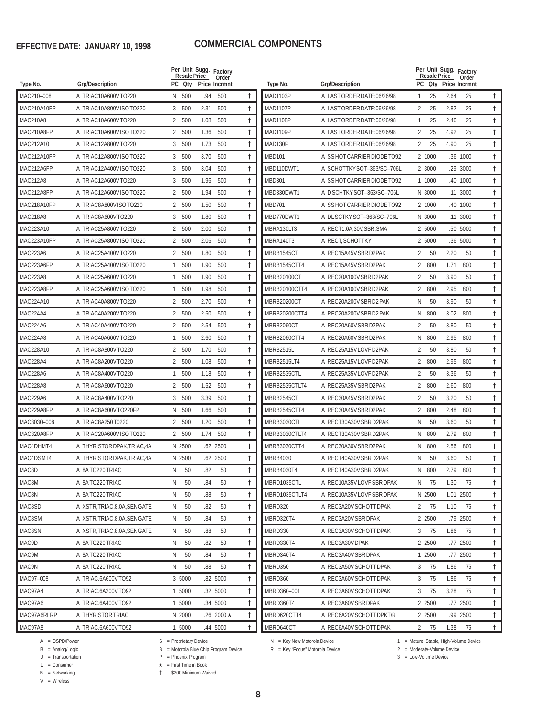| Type No.        | <b>Grp/Description</b>       | Per Unit Sugg. Factory<br><b>Resale Price</b><br>Order<br>Price Incrmnt<br>PC Qty | Type No.           | <b>Grp/Description</b>      | Per Unit Sugg. Factory<br>Resale Price<br>Order<br>PC Qty<br>Price Incrmnt |
|-----------------|------------------------------|-----------------------------------------------------------------------------------|--------------------|-----------------------------|----------------------------------------------------------------------------|
| MAC210-008      | A TRIAC10A600VTO220          | $\ddagger$<br>500<br>.94<br>500<br>N                                              | MAD1103P           | A LASTORDER DATE:06/26/98   | $\ddagger$<br>25<br>2.64<br>25<br>1                                        |
| MAC210A10FP     | A TRIAC10A800VISOTO220       | $\ddagger$<br>500<br>500<br>3<br>2.31                                             | <b>MAD1107P</b>    | A LASTORDER DATE:06/26/98   | $\ddagger$<br>2<br>25<br>2.82<br>25                                        |
| MAC210A8        | A TRIAC10A600VTO220          | $\ddagger$<br>500<br>2<br>500<br>1.08                                             | <b>MAD1108P</b>    | A LAST ORDER DATE:06/26/98  | $\ddagger$<br>25<br>25<br>2.46<br>1                                        |
| MAC210A8FP      | A TRIAC10A600VISOTO220       | $\dagger$<br>500<br>500<br>1.36<br>2                                              | <b>MAD1109P</b>    | A LASTORDER DATE:06/26/98   | $\ddagger$<br>25<br>25<br>2<br>4.92                                        |
| MAC212A10       | A TRIAC12A800VTO220          | $\ddagger$<br>500<br>1.73<br>500<br>3                                             | MAD130P            | A LASTORDER DATE:06/26/98   | $+$<br>$\overline{2}$<br>25<br>4.90<br>25                                  |
| MAC212A10FP     | A TRIAC12A800VISOTO220       | $\dagger$<br>500<br>3.70<br>500<br>3                                              | <b>MBD101</b>      | A SSHOT CARRIER DIODE TO92  | $+$<br>2 1000<br>.36 1000                                                  |
| MAC212A6FP      | A TRIAC12A400VISOTO220       | 500<br>$\ddagger$<br>3<br>500<br>3.04                                             | MBD110DWT1         | A SCHOTTKYSOT-363/SC-706L   | $\dagger$<br>2 3000<br>.29 3000                                            |
| MAC212A8        | A TRIAC12A600VTO220          | $^\dagger$<br>3<br>500<br>1.96<br>500                                             | <b>MBD301</b>      | A SSHOT CARRIER DIODE TO92  | $^\dagger$<br>1 1000<br>.40 1000                                           |
| MAC212A8FP      | A TRIAC12A600VISOTO220       | $\ddagger$<br>2 500<br>1.94<br>500                                                | MBD330DWT1         | A DSCHTKYSOT-363/SC-706L    | $\ddagger$<br>N 3000<br>.11 3000                                           |
| MAC218A10FP     | A TRIAC8A800VISOTO220        | $\dagger$<br>500<br>1.50<br>500<br>2                                              | <b>MBD701</b>      | A SS HOT CARRIER DIODE TO92 | $\ddagger$<br>.40 1000<br>2 1000                                           |
| MAC218A8        | A TRIAC8A600VTO220           | $^{\dagger}$<br>500<br>1.80<br>500<br>3                                           | MBD770DWT1         | A DLSCTKYSOT-363/SC-706L    | $\ddagger$<br>.11 3000<br>N 3000                                           |
| MAC223A10       | A TRIAC25A800VTO220          | $\ddagger$<br>500<br>500<br>2<br>2.00                                             | MBRA130LT3         | A RECT1.0A,30V,SBR,SMA      | $\dagger$<br>.50 5000<br>2 5000                                            |
| MAC223A10FP     | A TRIAC25A800VISOTO220       | $\dagger$<br>500<br>2.06<br>500<br>$\mathbf{2}$                                   | MBRA140T3          | A RECT SCHOTTKY             | $\ddagger$<br>2 5000<br>.36 5000                                           |
| MAC223A6        | A TRIAC25A400VTO220          | $\ddagger$<br>500<br>1.80<br>500<br>$\overline{2}$                                | MBRB1545CT         | A REC15A45V SBR D2PAK       | $\pm$<br>2.20<br>50<br>$\overline{2}$<br>50                                |
| MAC223A6FP      | A TRIAC25A400VISOTO220       | $\dagger$<br>500<br>500<br>1.90<br>1                                              | MBRB1545CTT4       | A REC15A45V SBR D2PAK       | $\ddagger$<br>2 800<br>800<br>1.71                                         |
| MAC223A8        | A TRIAC25A600VTO220          | $\ddagger$<br>500<br>500<br>1.90<br>1                                             | <b>MBRB20100CT</b> | A REC20A100V SBR D2PAK      | $\ddagger$<br>50<br>3.90<br>2<br>50                                        |
| MAC223A8FP      | A TRIAC25A600VISOTO220       | $\ddagger$<br>500<br>1.98<br>500<br>1                                             | MBRB20100CTT4      | A REC20A100V SBR D2PAK      | $^\dagger$<br>2 800<br>2.95<br>800                                         |
| MAC224A10       | A TRIAC40A800VTO220          | 2 500<br>2.70<br>500<br>$\ddagger$                                                | <b>MBRB20200CT</b> | A REC20A200V SBR D2 PAK     | $\ddagger$<br>N<br>50<br>3.90<br>50                                        |
| <b>MAC224A4</b> | A TRIAC40A200VTO220          | $\dagger$<br>500<br>2.50<br>500<br>2                                              | MBRB20200CTT4      | A REC20A200V SBR D2 PAK     | $\ddagger$<br>N 800<br>3.02<br>800                                         |
| MAC224A6        | A TRIAC40A400VTO220          | 500<br>$^{\dagger}$<br>2<br>500<br>2.54                                           | MBRB2060CT         | A REC20A60V SBR D2PAK       | $\dagger$<br>3.80<br>50<br>2<br>50                                         |
| MAC224A8        | A TRIAC40A600VTO220          | $\ddagger$<br>500<br>500<br>2.60<br>1                                             | MBRB2060CTT4       | A REC20A60V SBR D2PAK       | $\dagger$<br>800<br>800<br>2.95<br>N                                       |
| MAC228A10       | A TRIAC8A800VTO220           | $\dagger$<br>500<br>500<br>1.70<br>2                                              | MBRB2515L          | A REC25A15V LOVF D2PAK      | $\ddagger$<br>2<br>50<br>3.80<br>50                                        |
| <b>MAC228A4</b> | A TRIAC8A200VTO220           | $\ddagger$<br>500<br>1.08<br>500<br>$\overline{2}$                                | MBRB2515LT4        | A REC25A15V LOVF D2PAK      | $+$<br>$\overline{2}$<br>800<br>2.95<br>800                                |
| MAC228A6        | A TRIAC8A400VTO220           | $\dagger$<br>500<br>500<br>1.18<br>1                                              | MBRB2535CTL        | A REC25A35V LOVF D2PAK      | $\ddagger$<br>$\overline{2}$<br>50<br>3.36<br>50                           |
| <b>MAC228A8</b> | A TRIAC8A600VTO220           | 500<br>500<br>$\ddagger$<br>2<br>1.52                                             | MBRB2535CTLT4      | A REC25A35V SBR D2PAK       | $\ddagger$<br>800<br>800<br>2<br>2.60                                      |
| MAC229A6        | A TRIAC8A400VTO220           | $^\dagger$<br>3<br>500<br>3.39<br>500                                             | MBRB2545CT         | A REC30A45V SBR D2PAK       | $\ddagger$<br>2<br>50<br>3.20<br>50                                        |
| MAC229A8FP      | A TRIAC8A600VTO220FP         | $\ddagger$<br>500<br>1.66<br>500<br>N                                             | MBRB2545CTT4       | A REC30A45V SBR D2PAK       | $\ddagger$<br>800<br>2.48<br>800<br>2                                      |
| MAC3030-008     | A TRIAC8A250T0220            | $\ddagger$<br>500<br>1.20<br>500<br>2                                             | MBRB3030CTL        | A RECT30A30V SBR D2PAK      | $\ddagger$<br>50<br>3.60<br>50<br>N                                        |
| MAC320A8FP      | A TRIAC20A600VISOTO220       | $^{\dagger}$<br>500<br>500<br>2<br>1.74                                           | MBRB3030CTLT4      | A RECT30A30V SBR D2PAK      | $\ddagger$<br>800<br>N 800<br>2.79                                         |
| MAC4DHMT4       | A THYRISTOR DPAK, TRIAC, 4A  | .62 2500<br>$\ddagger$<br>N 2500                                                  | MBRB3030CTT4       | A REC30A30V SBR D2PAK       | $\ddagger$<br>N 800<br>2.56<br>800                                         |
| MAC4DSMT4       | A THYRISTOR DPAK, TRIAC, 4A  | $\dagger$<br>N 2500<br>.62 2500                                                   | <b>MBRB4030</b>    | A RECT40A30V SBR D2PAK      | $^\dagger$<br>50<br>3.60<br>50<br>N                                        |
| MAC8D           | A 8ATO220TRIAC               | $^\dagger$<br>.82<br>50<br>N.<br>50                                               | MBRB4030T4         | A RECT40A30V SBR D2PAK      | $^\dagger$<br>N 800<br>2.79<br>800                                         |
| MAC8M           | A 8ATO220TRIAC               | $^{\dagger}$<br>50<br>50<br>N<br>.84                                              | MBRD1035CTL        | A REC10A35V LOVF SBR DPAK   | $\ddagger$<br>75<br>N 75<br>1.30                                           |
| MAC8N           | A 8ATO220TRIAC               | 50<br>50<br>$\ddagger$<br>.88<br>N                                                | MBRD1035CTLT4      | A REC10A35V LOVF SBR DPAK   | $\dagger$<br>N 2500<br>1.01 2500                                           |
| MAC8SD          | A XSTR, TRIAC, 8.0A, SENGATE | t.<br>50<br>.82<br>50<br>N                                                        | MBRD320            | A REC3A20V SCHOTT DPAK      | $\ddagger$<br>2 75<br>1.10<br>75                                           |
| MAC8SM          | A XSTR, TRIAC, 8.0A, SENGATE | 50<br>$\ddagger$<br>50<br>.84<br>N                                                | <b>MBRD320T4</b>   | A REC3A20V SBR DPAK         | $^\dagger$<br>2 2500<br>.79 2500                                           |
| MAC8SN          | A XSTR, TRIAC, 8.0A, SENGATE | $\dagger$<br>50<br>.88<br>50<br>N                                                 | MBRD330            | A REC3A30V SCHOTT DPAK      | $^\dagger$<br>3 <sup>7</sup><br>1.86<br>75<br>- 75                         |
| MAC9D           | A 8ATO220TRIAC               | $\dagger$<br>Ν<br>50<br>.82<br>50                                                 | MBRD330T4          | A REC3A30VDPAK              | $\dagger$<br>2 2500<br>.77 2500                                            |
| MAC9M           | A 8ATO220TRIAC               | $\dagger$<br>50<br>50<br>N<br>.84                                                 | MBRD340T4          | A REC3A40V SBR DPAK         | $^\dagger$<br>1 2500<br>.77 2500                                           |
| MAC9N           | A 8ATO220TRIAC               | $\dagger$<br>50<br>.88<br>50<br>N                                                 | MBRD350            | A REC3A50V SCHOTT DPAK      | $^\dagger$<br>75<br>75<br>3<br>1.86                                        |
| MAC97-008       | A TRIAC.6A600VTO92           | $\dagger$<br>.82 5000<br>3 5000                                                   | MBRD360            | A REC3A60V SCHOTT DPAK      | $^\dagger$<br>75<br>75<br>3<br>1.86                                        |
| MAC97A4         | A TRIAC.6A200VTO92           | $^{\dagger}$<br>1 5000<br>.32 5000                                                | MBRD360-001        | A REC3A60V SCHOTT DPAK      | $+$<br>3<br>75<br>3.28<br>75                                               |
| MAC97A6         | A TRIAC.6A400VTO92           | $\ddagger$<br>1 5000<br>.34 5000                                                  | MBRD360T4          | A REC3A60V SBR DPAK         | $^\dagger$<br>2 2500<br>.77 2500                                           |
| MAC97A6RLRP     | A THYRISTORTRIAC             | t.<br>N 2000<br>.26 2000 $\star$                                                  | MBRD620CTT4        | A REC6A20V SCHOTT DPKT/R    | $\ddagger$<br>2 2500<br>.99 2500                                           |
| MAC97A8         | A TRIAC.6A600VTO92           | 1 5000<br>.44 5000<br>$^+$                                                        | MBRD640CT          | A REC6A40V SCHOTT DPAK      | $\ddagger$<br>1.38<br>2 75<br>75                                           |
|                 |                              |                                                                                   |                    |                             |                                                                            |

- 
- 

 $L = \text{Consumer}$ <br>  $N = \text{Networking}$ <br>  $V = \text{Wireless}$ 

B = Analog/Logic entropy of the Motorola Blue Chip Program Device R = Key "Focus" Motorola Device 2 = Moderate-Volume Device

- 
- 
- $L =$  Consumer  $\star =$  First Time in Book
	-
- 
- 
- 
- 

A = OSPD/Power external states and S = Proprietary Device N = Key New Motorola Device 1 = Mature, Stable, High-Volume Device

J = Transportation P = Phoenix Program 3 = Low-Volume Device

N = Networking extensive that the state of the state of the state of the state of the state of the state of the state of the state of the state of the state of the state of the state of the state of the state of the state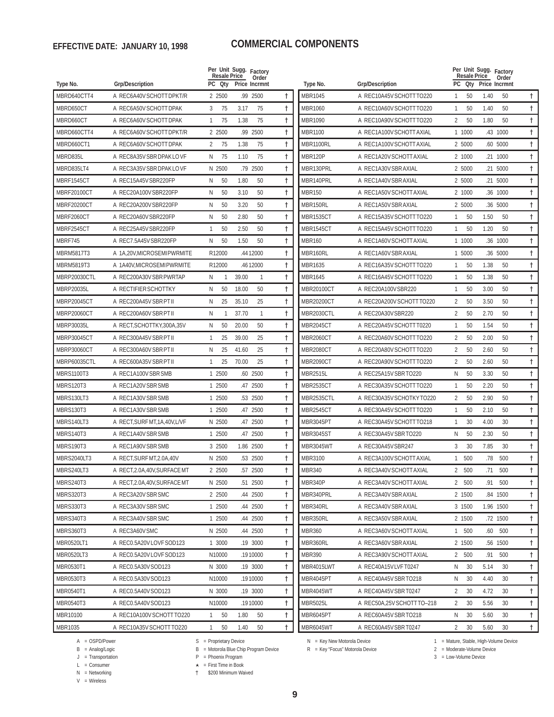|                    |                                | Per Unit Sugg. Factory<br><b>Resale Price</b><br>Order   |                   |                             | Per Unit Sugg. Factory<br><b>Resale Price</b><br>Order |
|--------------------|--------------------------------|----------------------------------------------------------|-------------------|-----------------------------|--------------------------------------------------------|
| Type No.           | <b>Grp/Description</b>         | PC Qtv<br>Price Incrmnt                                  | Type No.          | <b>Grp/Description</b>      | PC Qty<br>Price Incrmnt                                |
| MBRD640CTT4        | A REC6A40V SCHOTT DPKT/R       | $\ddagger$<br>2 2500<br>.99 2500                         | <b>MBR1045</b>    | A REC10A45V SCHOTT TO220    | 50<br>$^+$<br>50<br>1.40<br>1                          |
| MBRD650CT          | A REC6A50V SCHOTT DPAK         | 75<br>$^+$<br>3<br>75<br>3.17                            | <b>MBR1060</b>    | A REC10A60V SCHOTT TO220    | 50<br>$^+$<br>50<br>1.40<br>1                          |
| MBRD660CT          | A REC6A60V SCHOTT DPAK         | $\ddagger$<br>75<br>75<br>1.38<br>1                      | MBR1090           | A REC10A90V SCHOTT TO220    | 50<br>$\ddagger$<br>2<br>50<br>1.80                    |
| MBRD660CTT4        | A REC6A60V SCHOTT DPKT/R       | 2 2500<br>2500<br>$^{\dagger}$<br>.99                    | <b>MBR1100</b>    | A REC1A100V SCHOTT AXIAL    | $\ddagger$<br>1 1000<br>.43 1000                       |
| MBRD660CT1         | A REC6A60V SCHOTT DPAK         | 75<br>$^\dagger$<br>$\overline{2}$<br>- 75<br>1.38       | MBR1100RL         | A REC1A100V SCHOTT AXIAL    | $\ddagger$<br>2 5000<br>.60 5000                       |
| MBRD835L           | A REC8A35V SBR DPAK LOVE       | 75<br>$^+$<br>75<br>1.10<br>N                            | MBR120P           | A REC1A20V SCHOTT AXIAL     | $^{\dagger}$<br>2 1000<br>.21 1000                     |
| MBRD835LT4         | A REC3A35V SBR DPAK LOVF       | $\ddagger$<br>N 2500<br>.79 2500                         | MBR130PRL         | A REC1A30V SBR AXIAL        | 2 5000<br>.21 5000<br>$^\dagger$                       |
| MBRF1545CT         | A REC15A45VSBR220FP            | $^{\dagger}$<br>50<br>1.80<br>50<br>N                    | MBR140PRL         | A REC1A40V SBR AXIAL        | $\ddagger$<br>2 5000<br>.21 5000                       |
| <b>MBRF20100CT</b> | A REC20A100VSBR220FP           | $^{\dagger}$<br>50<br>3.10<br>50<br>N                    | <b>MBR150</b>     | A REC1A50V SCHOTT AXIAL     | $\ddagger$<br>2 1000<br>36 1000                        |
| <b>MBRF20200CT</b> | A REC20A200VSBR220FP           | $\ddagger$<br>50<br>3.20<br>50<br>Ν                      | MBR150RL          | A REC1A50V SBR AXIAL        | $\ddagger$<br>2 5000<br>.36 5000                       |
| MBRF2060CT         | A REC20A60VSBR220FP            | $^{\dagger}$<br>50<br>2.80<br>50<br>Ν                    | MBR1535CT         | A REC15A35V SCHOTT TO220    | $\dagger$<br>50<br>50<br>1.50<br>1                     |
| MBRF2545CT         | A REC25A45VSBR220FP            | $^{\dagger}$<br>50<br>50<br>2.50<br>1                    | <b>MBR1545CT</b>  | A REC15A45V SCHOTT TO220    | 50<br>$\ddagger$<br>50<br>1.20<br>$\mathbf{1}$         |
| MBRF745            | A REC7.5A45VSBR220FP           | 50<br>$^+$<br>50<br>1.50<br>N                            | <b>MBR160</b>     | A REC1A60V SCHOTT AXIAL     | $\ddagger$<br>1 1000<br>.36 1000                       |
| MBRM5817T3         | A 1A.20V.MICROSEMIPWRMITE      | R12000<br>$^{\dagger}$<br>4412000                        | MBR160RL          | A REC1A60V SBR AXIAL        | $\ddagger$<br>1 5000<br>.36 5000                       |
| MBRM5819T3         | A 1A40V, MICROSEMI PWRMITE     | $^+$<br>R12000<br>.4612000                               | MBR1635           | A REC16A35V SCHOTT TO220    | $^{\dagger}$<br>50<br>1.38<br>50<br>$\mathbf{1}$       |
| MBRP20030CTL       | A REC200A30V SBR PWRTAP        | $^{\dagger}$<br>39.00<br>N<br>$\mathbf{1}$<br>1          | MBR1645           | A REC16A45V SCHOTT TO220    | 50<br>50<br>1.38<br>$^\dagger$<br>1                    |
| MBRP20035L         | A RECTIFIER SCHOTTKY           | $^{\dagger}$<br>50<br>18.00<br>50<br>Ν                   | <b>MBR20100CT</b> | A REC20A100VSBR220          | $\ddagger$<br>50<br>3.00<br>50<br>1                    |
| <b>MBRP20045CT</b> | A REC200A45V SBR PT II         | 25<br>$^{\dagger}$<br>25<br>35.10<br>Ν                   | <b>MBR20200CT</b> | A REC20A200V SCHOTT TO220   | 50<br>50<br>2<br>3.50<br>$^\dagger$                    |
| <b>MBRP20060CT</b> | A REC200A60V SBR PT II         | $\ddagger$<br>37.70<br>$\mathbf{1}$<br>Ν<br>$\mathbf{1}$ | MBR2030CTL        | A REC20A30VSBR220           | 50<br>$^{\dagger}$<br>2<br>50<br>2.70                  |
| MBRP30035L         | A RECT, SCHOTTKY, 300A, 35V    | 20.00<br>50<br>$^{\dagger}$<br>50<br>Ν                   | <b>MBR2045CT</b>  | A REC20A45V SCHOTT T0220    | 50<br>50<br>$\ddagger$<br>1.54<br>1                    |
| <b>MBRP30045CT</b> | A REC300A45V SBR PT II         | $^+$<br>25<br>39.00<br>25<br>1                           | <b>MBR2060CT</b>  | A REC20A60V SCHOTT TO220    | 50<br>2.00<br>50<br>$\ddagger$<br>2                    |
| <b>MBRP30060CT</b> | A REC300A60V SBR PT II         | $^{\dagger}$<br>25<br>25<br>41.60<br>N                   | <b>MBR2080CT</b>  | A REC20A80V SCHOTT TO220    | 50<br>2.60<br>50<br>$\ddagger$<br>$\overline{2}$       |
| MBRP60035CTL       | A REC600A35V SBR PT II         | 70.00<br>25<br>$^{\dagger}$<br>25<br>1                   | <b>MBR2090CT</b>  | A REC20A90V SCHOTT TO220    | 50<br>$\dagger$<br>2<br>2.60<br>50                     |
| <b>MBRS1100T3</b>  | A REC1A100V SBR SMB            | $^+$<br>1 2500<br>.60 2500                               | <b>MBR2515L</b>   | A REC25A15V SBR TO220       | $^{\dagger}$<br>N<br>50<br>3.30<br>50                  |
| <b>MBRS120T3</b>   | A REC1A20V SBR SMB             | $\ddagger$<br>1 2500<br>.47 2500                         | <b>MBR2535CT</b>  | A REC30A35V SCHOTT TO220    | 50<br>50<br>2.20<br>$\ddagger$<br>1                    |
| MBRS130LT3         | A REC1A30V SBR SMB             | $^{\dagger}$<br>1 2500<br>.53 2500                       | MBR2535CTL        | A REC30A35VSCHOTKYTO220     | $\ddagger$<br>2<br>50<br>2.90<br>50                    |
| <b>MBRS130T3</b>   | A REC1A30V SBR SMB             | $^{\dagger}$<br>1 2500<br>.47 2500                       | <b>MBR2545CT</b>  | A REC30A45V SCHOTT TO220    | 50<br>50<br>2.10<br>$\ddagger$<br>1                    |
| MBRS140LT3         | A RECT, SURF MT, 1A, 40V, L/VF | $^{\dagger}$<br>N 2500<br>.47 2500                       | <b>MBR3045PT</b>  | A REC30A45V SCHOTT TO218    | 30<br>30<br>$^{\dagger}$<br>4.00<br>1                  |
| <b>MBRS140T3</b>   | A REC1A40VSBRSMB               | $^{\dagger}$<br>1 2500<br>.47<br>2500                    | <b>MBR3045ST</b>  | A REC30A45VSBRTO220         | 50<br>2.30<br>50<br>$\ddagger$<br>N                    |
| <b>MBRS190T3</b>   | A REC1A90V SBR SMB             | $\ddagger$<br>3 2500<br>1.86 2500                        | <b>MBR3045WT</b>  | A REC30A45VSBR247           | $^\dagger$<br>30<br>7.85<br>30<br>3                    |
| <b>MBRS2040LT3</b> | A RECT, SURF MT, 2.0A, 40V     | N 2500<br>.53 2500<br>$^+$                               | MBR3100           | A REC3A100V SCHOTT AXIAL    | $\dagger$<br>500<br>500<br>.78<br>$\mathbf{1}$         |
| MBRS240LT3         | A RECT.2.0A.40V.SURFACEMT      | $+$<br>2 2500<br>57 2500                                 | <b>MBR340</b>     | A REC3A40V SCHOTT AXIAL     | $^+$<br>$\overline{2}$<br>500<br>500<br>.71            |
| MBRS240T3          | A RECT, 2.0A, 40V, SURFACE MT  | .51 2500<br>$^+$<br>N 2500                               | MBR340P           | A REC3A40V SCHOTT AXIAL     | 2 500<br>500<br>$^+$<br>.91                            |
| <b>MBRS320T3</b>   | A REC3A20V SBR SMC             | $^\dagger$<br>2 2500<br>.44 2500                         | MBR340PRL         | A REC3A40V SBR AXIAL        | 2 1500<br>.84 1500<br>Ť                                |
| MBRS330T3          | A REC3A30V SBR SMC             | $^{\dagger}$<br>1 2500<br>.44 2500                       | MBR340RL          | A REC3A40V SBR AXIAL        | 3 1500<br>1.96 1500<br>Ť.                              |
| MBRS340T3          | A REC3A40V SBR SMC             | $^{\dagger}$<br>1 2500<br>.44 2500                       | MBR350RL          | A REC3A50V SBR AXIAL        | 2 1500<br>.72 1500<br>$^\dagger$                       |
| <b>MBRS360T3</b>   | A REC3A60VSMC                  | $^\dagger$<br>N 2500<br>.44 2500                         | <b>MBR360</b>     | A REC3A60V SCHOTT AXIAL     | $\dagger$<br>1 500<br>.60<br>500                       |
| MBR0520LT1         | A RECO.5A20VLOVF SOD123        | $^{\dagger}$<br>1 3000<br>.19 3000                       | MBR360RL          | A REC3A60V SBR AXIAL        | $\ddagger$<br>.56 1500<br>2 1500                       |
| MBR0520LT3         | A REC0.5A20VLOVF SOD123        | $\dagger$<br>N10000<br>.1910000                          | <b>MBR390</b>     | A REC3A90V SCHOTT AXIAL     | 500<br>$^\dagger$<br>2 500<br>.91                      |
| MBR0530T1          | A REC0.5A30VSOD123             | t.<br>N 3000<br>.19 3000                                 | MBR4015LWT        | A REC40A15VLVFT0247         | Ť<br>30<br>30<br>N<br>5.14                             |
| MBR0530T3          | A REC0.5A30VSOD123             | $^\dagger$<br>N10000<br>.1910000                         | <b>MBR4045PT</b>  | A REC40A45V SBR TO218       | 30<br>4.40<br>30<br>$^{\dagger}$<br>N                  |
| MBR0540T1          | A RECO.5A40VSOD123             | .19 3000<br>Ť.<br>N 3000                                 | MBR4045WT         | A REC40A45VSBRT0247         | 30<br>30<br>Ť.<br>2<br>4.72                            |
| MBR0540T3          | A REC0.5A40VSOD123             | $^\dagger$<br>N10000<br>.1910000                         | <b>MBR5025L</b>   | A REC50A, 25V SCHOTT TO-218 | $\overline{2}$<br>30<br>5.56<br>30<br>Ť                |
| MBR10100           | A REC10A100V SCHOTT TO220      | t.<br>1.80<br>50<br>50<br>$\mathbf{1}$                   | MBR6045PT         | A REC60A45VSBRTO218         | 30<br>5.60<br>30<br>Ť<br>N                             |
| MBR1035            | A REC10A35V SCHOTT TO220       | $^{\dagger}$<br>50<br>$\mathbf{1}$<br>50<br>1.40         | <b>MBR6045WT</b>  | A REC60A45VSBRT0247         | 30<br>5.60<br>30<br>$^+$<br>$\overline{2}$             |

J = Transportation P = Phoenix Program 3 = Low-Volume Device

- 
- $L = \text{Consumer}$ <br>  $N = \text{Networking}$ <br>  $V = \text{Wireless}$

 $L =$  Consumer  $\star =$  First Time in Book

N = Networking - and the state of the state of the state of the state of the state of the state of the state of the state of the state of the state of the state of the state of the state of the state of the state of the st

B = Analog/Logic entropyrology by B = Motorola Blue Chip Program Device R = Key "Focus" Motorola Device 2 = Moderate-Volume Device

A = OSPD/Power external states and S = Proprietary Device N = Key New Motorola Device 1 = Mature, Stable, High-Volume Device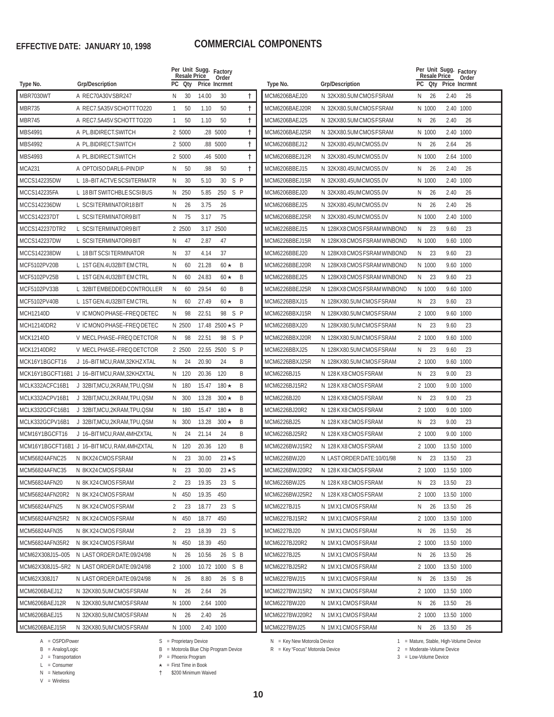| Type No.            | <b>Grp/Description</b>                      | <b>Resale Price</b><br>PC Qtv | Per Unit Sugg. Factory<br>Order<br>Price Incrmnt | Type No.       | <b>Grp/Description</b>      | Per Unit Sugg. Factory<br><b>Resale Price</b><br>Order<br>PC Otv<br>Price Incrmnt |
|---------------------|---------------------------------------------|-------------------------------|--------------------------------------------------|----------------|-----------------------------|-----------------------------------------------------------------------------------|
| <b>MBR7030WT</b>    | A REC70A30VSBR247                           | 30<br>N                       | $\ddagger$<br>14.00<br>30                        | MCM6206BAEJ20  | N 32KX80.5UM CMOS FSRAM     | 26<br>2.40<br>26<br>N                                                             |
| <b>MBR735</b>       | A REC7.5A35V SCHOTT TO220                   | 50<br>1                       | $\ddagger$<br>50<br>1.10                         | MCM6206BAEJ20R | N 32KX80.5UMCMOSFSRAM       | 2.40 1000<br>N 1000                                                               |
| <b>MBR745</b>       | A REC7.5A45V SCHOTT TO220                   | 50<br>1                       | $^\dagger$<br>1.10<br>50                         | MCM6206BAEJ25  | N 32KX80.5UM CMOS FSRAM     | 26<br>2.40<br>26<br>N.                                                            |
| <b>MBS4991</b>      | A PL.BIDIRECT.SWITCH                        | 2 5000                        | $^{\dagger}$<br>.28 5000                         | MCM6206BAEJ25R | N 32KX80.5UM CMOS FSRAM     | N 1000<br>2.40 1000                                                               |
| MBS4992             | A PL.BIDIRECT.SWITCH                        | 2 5000                        | $^+$<br>.88 5000                                 | MCM6206BBEJ12  | N 32KX80.45UMCMOS5.0V       | 26<br>2.64<br>26<br>N                                                             |
| MBS4993             | A PL.BIDIRECT.SWITCH                        | 2 5000                        | $\ddagger$<br>.46 5000                           | MCM6206BBEJ12R | N 32KX80.45UMCMOS5.0V       | N 1000<br>2.64 1000                                                               |
| <b>MCA231</b>       | A OPTOISO DARL6-PIN DIP                     | 50<br>N                       | $\ddagger$<br>.98<br>50                          | MCM6206BBEJ15  | N 32KX80.45UMCMOS5.0V       | - 26<br>2.40<br>26<br>N                                                           |
| MCCS142235DW        | L 18-BIT ACTVE SCSI/TERMATR                 | 30<br>N                       | 30 S P<br>5.10                                   | MCM6206BBEJ15R | N 32KX80.45UMCMOS5.0V       | N 1000<br>2.40 1000                                                               |
| <b>MCCS142235FA</b> | L 18 BIT SWITCHBLE SCSIBUS                  | 250<br>N                      | 250 S P<br>5.85                                  | MCM6206BBEJ20  | N 32KX80.45UMCMOS5.0V       | 26<br>2.40<br>26<br>N                                                             |
| MCCS142236DW        | L SCSITERMINATOR18 BIT                      | 26<br>N                       | 26<br>3.75                                       | MCM6206BBEJ25  | N 32KX80.45UMCMOS5.0V       | 26<br>2.40<br>26<br>N                                                             |
| <b>MCCS142237DT</b> | L SCSITERMINATOR9 BIT                       | 75<br>N                       | 3.17<br>75                                       | MCM6206BBEJ25R | N 32KX80.45UMCMOS5.0V       | 2.40 1000<br>N 1000                                                               |
| MCCS142237DTR2      | L SCSITERMINATOR9 BIT                       | 2 2500                        | 3.17 2500                                        | MCM6226BBEJ15  | N 128KX8 CMOS FSRAM WINBOND | 23<br>9.60<br>23<br>N                                                             |
| <b>MCCS142237DW</b> | L SCSITERMINATOR9 BIT                       | 47<br>N                       | 2.87<br>47                                       | MCM6226BBEJ15R | N 128KX8 CMOS FSRAM WINBOND | N 1000<br>9.60 1000                                                               |
| MCCS142238DW        | L 18 BIT SCSITERMINATOR                     | 37<br>Ν                       | 4.14<br>37                                       | MCM6226BBEJ20  | N 128KX8 CMOS FSRAM WINBOND | 23<br>9.60<br>23<br>N                                                             |
| MCF5102PV20B        | L 1ST GEN.4U32BIT EM CTRL                   | 60<br>N                       | B<br>21.28<br>$60 \star$                         | MCM6226BBEJ20R | N 128KX8 CMOS FSRAM WINBOND | 9.60 1000<br>N 1000                                                               |
| MCF5102PV25B        | L 1ST GEN.4U32BIT EM CTRL                   | 60<br>Ν                       | B<br>24.83<br>$60 \star$                         | MCM6226BBEJ25  | N 128KX8 CMOS FSRAM WINBOND | 23<br>N 23<br>9.60                                                                |
| MCF5102PV33B        | L 32BIT EMBEDDED CONTROLLER                 | N<br>60                       | B<br>29.54<br>60                                 | MCM6226BBEJ25R | N 128KX8 CMOS FSRAM WINBOND | N 1000<br>9.60 1000                                                               |
| MCF5102PV40B        | L 1ST GEN.4U32BIT EM CTRL                   | 60<br>N                       | 27.49<br>$60 \star$<br>B                         | MCM6226BBXJ15  | N 128KX80.5UM CMOS FSRAM    | 23<br>9.60<br>23<br>N                                                             |
| MCH12140D           | V ICMONOPHASE-FREQDETEC                     | 98<br>N                       | 22.51<br>98<br>S P                               | MCM6226BBXJ15R | N 128KX80.5UM CMOS FSRAM    | 2 1000<br>9.60 1000                                                               |
| MCH12140DR2         | V ICMONOPHASE-FREQDETEC                     | N 2500                        | 17.48 2500 ★S P                                  | MCM6226BBXJ20  | N 128KX80.5UM CMOS FSRAM    | 23<br>23<br>N<br>9.60                                                             |
| <b>MCK12140D</b>    | V MECLPHASE-FREQDETCTOR                     | 98<br>N                       | 98 S P<br>22.51                                  | MCM6226BBXJ20R | N 128KX80.5UM CMOS FSRAM    | 9.60 1000<br>2 1000                                                               |
| MCK12140DR2         | V MECLPHASE-FREQDETCTOR                     | 2 2500                        | 22.55 2500 S P                                   | MCM6226BBXJ25  | N 128KX80.5UM CMOS FSRAM    | 23<br>N<br>23<br>9.60                                                             |
| MCK16Y1BGCFT16      | J 16-BIT MCU, RAM, 32KHZ XTAL               | 24<br>N                       | B<br>20.90<br>24                                 | MCM6226BBXJ25R | N 128KX80.5UM CMOS FSRAM    | 2 1000<br>9.60 1000                                                               |
|                     | MCK16Y1BGCFT16B1 J 16-BITMCU,RAM,32KHZXTAL  | N 120                         | B<br>20.36<br>120                                | MCM6226BJ15    | N 128 K X8 CMOS FSRAM       | 9.00<br>23<br>N<br>23                                                             |
| MCLK332ACFC16B1     | J 32BIT, MCU, 2KRAM, TPU, QSM               | N 180                         | B<br>15.47<br>180 $\star$                        | MCM6226BJ15R2  | N 128 K X8 CMOS FSRAM       | 9.00 1000<br>2 1000                                                               |
| MCLK332ACPV16B1     | J 32BIT, MCU, 2KRAM, TPU, QSM               | 300<br>N                      | B<br>13.28<br>$300 \star$                        | MCM6226BJ20    | N 128 K X8 CMOS FSRAM       | 23<br>9.00<br>23<br>N.                                                            |
| MCLK332GCFC16B1     | J 32BIT, MCU, 2KRAM, TPU, QSM               | 180<br>N                      | 180 $\star$<br>B<br>15.47                        | MCM6226BJ20R2  | N 128 K X8 CMOS FSRAM       | 2 1000<br>9.00 1000                                                               |
| MCLK332GCPV16B1     | J 32BIT, MCU, 2KRAM, TPU, QSM               | 300<br>N                      | 13.28<br>$300 \star$<br>B                        | MCM6226BJ25    | N 128 K X8 CMOS FSRAM       | 23<br>9.00<br>23<br>N                                                             |
| MCM16Y1BGCFT16      | J 16-BITMCU, RAM, 4MHZXTAL                  | 24<br>N                       | B<br>21.14<br>24                                 | MCM6226BJ25R2  | N 128 K X8 CMOS FSRAM       | 9.00 1000<br>2 1000                                                               |
|                     | MCM16Y1BGCFT16B1 J 16-BITMCU, RAM, 4MHZXTAL | 120<br>N                      | B<br>20.36<br>120                                | MCM6226BWJ15R2 | N 128 K X8 CMOS FSRAM       | 2 1000<br>13.50 1000                                                              |
| MCM56824AFNC25      | N 8KX24 CMOS FSRAM                          | 23<br>N                       | 30.00<br>$23 \star S$                            | MCM6226BWJ20   | N LASTORDER DATE:10/01/98   | 13.50<br>23<br>N.<br>23                                                           |
| MCM56824AFNC35      | N 8KX24 CMOS FSRAM                          | 23<br>N                       | $23 \star S$<br>30.00                            | MCM6226BWJ20R2 | N 128 K X8 CMOS FSRAM       | 2 1000<br>13.50 1000                                                              |
| MCM56824AFN20       | N 8K X24 CMOS FSRAM                         | 2<br>23                       | 23 S<br>19.35                                    | MCM6226BWJ25   | N 128 K X8 CMOS FSRAM       | N 23<br>23<br>13.50                                                               |
| MCM56824AFN20R2     | N 8K X24 CMOS FSRAM                         | N 450                         | 19.35<br>450                                     | MCM6226BWJ25R2 | N 128 K X8 CMOS FSRAM       | 2 1000<br>13.50 1000                                                              |
| MCM56824AFN25       | N 8K X24 CMOS FSRAM                         | 23<br>2                       | 23 S<br>18.77                                    | MCM6227BJ15    | N 1MX1 CMOS FSRAM           | 13.50<br>26<br>N 26                                                               |
| MCM56824AFN25R2     | N 8K X24 CMOS FSRAM                         | 450<br>N                      | 18.77<br>450                                     | MCM6227BJ15R2  | N 1MX1 CMOS FSRAM           | 2 1000<br>13.50 1000                                                              |
| MCM56824AFN35       | N 8K X24 CMOS FSRAM                         | 2<br>23                       | 18.39<br>23 S                                    | MCM6227BJ20    | N 1MX1 CMOS FSRAM           | 13.50<br>26<br>N 26                                                               |
| MCM56824AFN35R2     | N 8K X24 CMOS FSRAM                         | 450<br>N                      | 18.39<br>450                                     | MCM6227BJ20R2  | N 1MX1 CMOS FSRAM           | 13.50 1000<br>2 1000                                                              |
| MCM62X308J15-005    | N LAST ORDER DATE:09/24/98                  | 26<br>N                       | 10.56<br>26 S B                                  | MCM6227BJ25    | N 1MX1 CMOS FSRAM           | N 26<br>13.50<br>26                                                               |
|                     | MCM62X308J15-5R2 N LASTORDER DATE:09/24/98  | 2 1000                        | 10.72 1000 S B                                   | MCM6227BJ25R2  | N 1MX1 CMOS FSRAM           | 2 1000<br>13.50 1000                                                              |
| MCM62X308J17        | N LAST ORDER DATE:09/24/98                  | N<br>26                       | 8.80<br>26 S B                                   | MCM6227BWJ15   | N 1MX1 CMOS FSRAM           | N 26<br>13.50<br>26                                                               |
| MCM6206BAEJ12       | N 32KX80.5UMCMOSFSRAM                       | 26<br>N                       | 2.64<br>26                                       | MCM6227BWJ15R2 | N 1MX1 CMOS FSRAM           | 2 1000<br>13.50 1000                                                              |
| MCM6206BAEJ12R      | N 32KX80.5UMCMOSFSRAM                       | N 1000                        | 2.64 1000                                        | MCM6227BWJ20   | N 1MX1 CMOS FSRAM           | N 26<br>13.50<br>26                                                               |
| MCM6206BAEJ15       | N 32KX80.5UMCMOSFSRAM                       | N 26                          | 26<br>2.40                                       | MCM6227BWJ20R2 | N 1MX1 CMOS FSRAM           | 2 1000<br>13.50 1000                                                              |
| MCM6206BAEJ15R      | N 32KX80.5UMCMOSFSRAM                       | N 1000                        | 2.40 1000                                        | MCM6227BWJ25   | N 1MX1 CMOS FSRAM           | 13.50<br>26<br>N<br>26                                                            |

- 
- 
- $L = \text{Consumer}$ <br>  $N = \text{Networking}$ <br>  $V = \text{Wireless}$
- 

B = Analog/Logic entropy of the Motorola Blue Chip Program Device R = Key "Focus" Motorola Device 2 = Moderate-Volume Device

- J = Transportation P = Phoenix Program 3 = Low-Volume Device
- $L =$  Consumer  $\star =$  First Time in Book
- N = Networking extensive that the state of the state of the state of the state of the state of the state of the state of the state of the state of the state of the state of the state of the state of the state of the state
-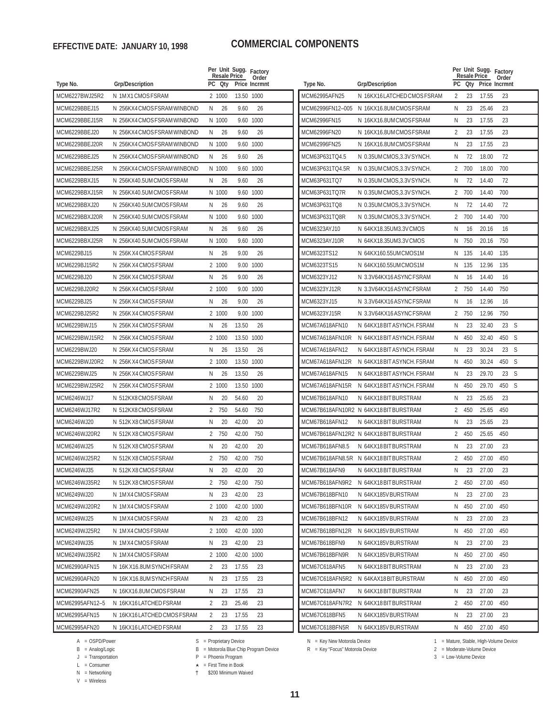| Type No.        | <b>Grp/Description</b>      | Per Unit Sugg. Factory<br><b>Resale Price</b><br>Order<br>PC Otv<br>Price Incrmnt | Type No.         | <b>Grp/Description</b>               | Per Unit Sugg. Factory<br><b>Resale Price</b><br>Order<br><b>PC</b><br><b>Qty</b> Price Incrmnt |
|-----------------|-----------------------------|-----------------------------------------------------------------------------------|------------------|--------------------------------------|-------------------------------------------------------------------------------------------------|
| MCM6227BWJ25R2  | N 1MX1 CMOS FSRAM           | 13.50 1000<br>2 1000                                                              | MCM62995AFN25    | N 16KX16LATCHED CMOS FSRAM           | 17.55<br>$\overline{2}$<br>23<br>23                                                             |
| MCM6229BBEJ15   | N 256KX4 CMOS FSRAM WINBOND | N<br>26<br>9.60<br>26                                                             | MCM62996FN12-005 | N 16KX16.8UMCMOSFSRAM                | 23<br>23<br>25.46<br>N                                                                          |
| MCM6229BBEJ15R  | N 256KX4 CMOS FSRAM WINBOND | N 1000<br>9.60 1000                                                               | MCM62996FN15     | N 16KX16.8UMCMOSFSRAM                | 23<br>N<br>23<br>17.55                                                                          |
| MCM6229BBEJ20   | N 256KX4 CMOS FSRAM WINBOND | -26<br>9.60<br>26<br>N                                                            | MCM62996FN20     | N 16KX16.8UM CMOS FSRAM              | 23<br>17.55<br>23<br>2                                                                          |
| MCM6229BBEJ20R  | N 256KX4 CMOS FSRAM WINBOND | N 1000<br>9.60 1000                                                               | MCM62996FN25     | N 16KX16.8UMCMOSFSRAM                | 23<br>23<br>17.55<br>N                                                                          |
| MCM6229BBEJ25   | N 256KX4 CMOS FSRAM WINBOND | 26<br>9.60<br>26<br>N                                                             | MCM63P631TQ4.5   | N 0.35UM CMOS, 3.3V SYNCH.           | 72<br>72<br>18.00<br>N                                                                          |
| MCM6229BBEJ25R  | N 256KX4 CMOS FSRAM WINBOND | N 1000<br>9.60 1000                                                               | MCM63P631TQ4.5R  | N 0.35UM CMOS.3.3V SYNCH.            | 700<br>$\overline{2}$<br>700<br>18.00                                                           |
| MCM6229BBXJ15   | N 256KX40.5UMCMOSFSRAM      | 26<br>9.60<br>26<br>N                                                             | MCM63P631TQ7     | N 0.35UM CMOS.3.3V SYNCH.            | 72<br>14.40<br>72<br>N                                                                          |
| MCM6229BBXJ15R  | N 256KX40.5UMCMOSFSRAM      | 9.60 1000<br>N 1000                                                               | MCM63P631TQ7R    | N 0.35UM CMOS.3.3V SYNCH.            | 700<br>2 700<br>14.40                                                                           |
| MCM6229BBXJ20   | N 256KX40.5UMCMOSFSRAM      | 26<br>9.60<br>26<br>N                                                             | MCM63P631TQ8     | N 0.35UMCMOS, 3.3V SYNCH.            | 72<br>72<br>14.40<br>N                                                                          |
| MCM6229BBXJ20R  | N 256KX40.5UMCMOSFSRAM      | N 1000<br>9.60 1000                                                               | MCM63P631TQ8R    | N 0.35UMCMOS, 3.3V SYNCH.            | 700<br>14.40<br>2<br>700                                                                        |
| MCM6229BBXJ25   | N 256KX40.5UMCMOSFSRAM      | 26<br>9.60<br>26<br>N                                                             | MCM6323AYJ10     | N 64KX18.35UM3.3VCMOS                | 16<br>20.16<br>16<br>N                                                                          |
| MCM6229BBXJ25R  | N 256KX40.5UM CMOS FSRAM    | N 1000<br>9.60 1000                                                               | MCM6323AYJ10R    | N 64KX18.35UM3.3VCMOS                | N 750<br>20.16<br>750                                                                           |
| MCM6229BJ15     | N 256K X4 CMOS FSRAM        | 26<br>9.00<br>26<br>N                                                             | MCM6323TS12      | N 64KX160.55UMCMOS1M                 | 14.40<br>135<br>N 135                                                                           |
| MCM6229BJ15R2   | N 256K X4 CMOS FSRAM        | 2 1000<br>9.00 1000                                                               | MCM6323TS15      | N 64KX160.55UMCMOS1M                 | 12.96<br>135<br>N<br>135                                                                        |
| MCM6229BJ20     | N 256K X4 CMOS FSRAM        | 26<br>9.00<br>26<br>N                                                             | MCM6323YJ12      | N 3.3V64KX16ASYNCFSRAM               | 16<br>16<br>N<br>14.40                                                                          |
| MCM6229BJ20R2   | N 256K X4 CMOS FSRAM        | 9.00 1000<br>2 1000                                                               | MCM6323YJ12R     | N 3.3V64KX16ASYNCFSRAM               | 2 750<br>14.40<br>750                                                                           |
| MCM6229BJ25     | N 256K X4 CMOS FSRAM        | 26<br>9.00<br>26<br>N                                                             | MCM6323YJ15      | N 3.3V64KX16ASYNCFSRAM               | 16<br>12.96<br>16<br>N                                                                          |
| MCM6229BJ25R2   | N 256K X4 CMOS FSRAM        | 9.00 1000<br>2 1000                                                               | MCM6323YJ15R     | N 3.3V64KX16ASYNCFSRAM               | 12.96<br>750<br>2 750                                                                           |
| MCM6229BWJ15    | N 256K X4 CMOS FSRAM        | 26<br>13.50<br>26<br>N                                                            | MCM67A618AFN10   | N 64KX18 BIT ASYNCH. FSRAM           | 23 S<br>23<br>32.40<br>N                                                                        |
| MCM6229BWJ15R2  | N 256K X4 CMOS FSRAM        | 2 1000<br>13.50 1000                                                              | MCM67A618AFN10R  | N 64KX18 BIT ASYNCH. FSRAM           | 450 S<br>450<br>32.40<br>N                                                                      |
| MCM6229BWJ20    | N 256K X4 CMOS FSRAM        | 26<br>13.50<br>26<br>N                                                            | MCM67A618AFN12   | N 64KX18 BIT ASYNCH. FSRAM           | 23 S<br>23<br>30.24<br>N                                                                        |
| MCM6229BWJ20R2  | N 256K X4 CMOS FSRAM        | 2 1000<br>13.50 1000                                                              | MCM67A618AFN12R  | N 64KX18 BIT ASYNCH. FSRAM           | 450 S<br>450<br>30.24<br>N                                                                      |
| MCM6229BWJ25    | N 256K X4 CMOS FSRAM        | 26<br>13.50<br>26<br>N                                                            | MCM67A618AFN15   | N 64KX18 BIT ASYNCH. FSRAM           | 23 S<br>23<br>29.70<br>N                                                                        |
| MCM6229BWJ25R2  | N 256K X4 CMOS FSRAM        | 2 1000<br>13.50 1000                                                              | MCM67A618AFN15R  | N 64KX18 BIT ASYNCH. FSRAM           | 450 S<br>29.70<br>450<br>N                                                                      |
| MCM6246WJ17     | N 512KX8 CMOS FSRAM         | 20<br>54.60<br>20<br>N                                                            | MCM67B618AFN10   | N 64KX18 BIT BURSTRAM                | 23<br>25.65<br>23<br>N                                                                          |
| MCM6246WJ17R2   | N 512KX8 CMOS FSRAM         | 750<br>750<br>54.60<br>$\mathbf{2}$                                               |                  | MCM67B618AFN10R2 N 64KX18BITBURSTRAM | 25.65<br>$\overline{2}$<br>450<br>450                                                           |
| MCM6246WJ20     | N 512K X8 CMOS FSRAM        | 20<br>42.00<br>20<br>N                                                            | MCM67B618AFN12   | N 64KX18 BIT BURSTRAM                | 23<br>23<br>N<br>25.65                                                                          |
| MCM6246WJ20R2   | N 512K X8 CMOS FSRAM        | $\overline{2}$<br>750<br>42.00<br>750                                             |                  | MCM67B618AFN12R2 N 64KX18BITBURSTRAM | $\overline{2}$<br>450<br>25.65<br>450                                                           |
| MCM6246WJ25     | N 512K X8 CMOS FSRAM        | 20<br>20<br>42.00<br>N                                                            | MCM67B618AFN8.5  | N 64KX18 BIT BURSTRAM                | 23<br>23<br>N<br>27.00                                                                          |
| MCM6246WJ25R2   | N 512K X8 CMOS FSRAM        | 2 750<br>42.00<br>750                                                             |                  | MCM67B618AFN8.5R N 64KX18BITBURSTRAM | 2 450<br>27.00<br>450                                                                           |
| MCM6246WJ35     | N 512K X8 CMOS FSRAM        | 20<br>42.00<br>20<br>N                                                            | MCM67B618AFN9    | N 64KX18 BIT BURSTRAM                | N 23<br>27.00<br>23                                                                             |
| MCM6246WJ35R2   | N 512K X8 CMOS FSRAM        | 42.00<br>750<br>2 750                                                             | MCM67B618AFN9R2  | N 64KX18BITBURSTRAM                  | 2 450<br>27.00<br>450                                                                           |
| MCM6249WJ20     | N 1M X4 CMOS FSRAM          | 23<br>42.00<br>23<br>N                                                            | MCM67B618BFN10   | N 64KX185VBURSTRAM                   | 23<br>23<br>27.00<br>N                                                                          |
| MCM6249WJ20R2   | N 1M X4 CMOS FSRAM          | 42.00 1000<br>2 1000                                                              | MCM67B618BFN10R  | N 64KX185VBURSTRAM                   | 27.00<br>450<br>N<br>450                                                                        |
| MCM6249WJ25     | N 1M X4 CMOS FSRAM          | 23<br>42.00<br>23<br>N                                                            | MCM67B618BFN12   | N 64KX185VBURSTRAM                   | 23<br>27.00<br>23<br>N                                                                          |
| MCM6249WJ25R2   | N 1M X4 CMOS FSRAM          | 2 1000<br>42.00 1000                                                              | MCM67B618BFN12R  | N 64KX185VBURSTRAM                   | 450<br>450<br>27.00<br>N                                                                        |
| MCM6249WJ35     | N 1M X4 CMOS FSRAM          | 23<br>23<br>42.00<br>N                                                            | MCM67B618BFN9    | N 64KX185VBURSTRAM                   | 23<br>N<br>23<br>27.00                                                                          |
| MCM6249WJ35R2   | N 1M X4 CMOS FSRAM          | 2 1000<br>42.00 1000                                                              | MCM67B618BFN9R   | N 64KX185VBURSTRAM                   | 450<br>27.00<br>450<br>N                                                                        |
| MCM62990AFN15   | N 16K X16.8UM SYNCH FSRAM   | 23<br>17.55<br>23<br>2                                                            | MCM67C618AFN5    | N 64KX18 BIT BURSTRAM                | 23<br>27.00<br>23<br>N                                                                          |
| MCM62990AFN20   | N 16KX16.8UMSYNCHFSRAM      | 23<br>17.55<br>23<br>N                                                            | MCM67C618AFN5R2  | N 64KAX18BITBURSTRAM                 | N 450<br>27.00<br>450                                                                           |
| MCM62990AFN25   | N 16KX16.8UMCMOSFSRAM       | 17.55<br>23<br>23<br>N                                                            | MCM67C618AFN7    | N 64KX18 BIT BURSTRAM                | 23<br>27.00<br>23<br>N                                                                          |
| MCM62995AFN12-5 | N 16KX16LATCHEDFSRAM        | 23<br>23<br>2<br>25.46                                                            | MCM67C618AFN7R2  | N 64KX18 BIT BURSTRAM                | 27.00<br>450<br>$\mathbf{2}$<br>450                                                             |
| MCM62995AFN15   | N 16KX16 LATCHED CMOS FSRAM | 23<br>17.55<br>23<br>2                                                            | MCM67C618BFN5    | N 64KX185VBURSTRAM                   | 23<br>27.00<br>23<br>N                                                                          |
| MCM62995AFN20   | N 16KX16LATCHEDFSRAM        | $\overline{2}$<br>23<br>17.55<br>23                                               | MCM67C618BFN5R   | N 64KX185VBURSTRAM                   | N 450<br>27.00<br>450                                                                           |

- 
- 
- 
- $L = \text{Consumer}$ <br>  $N = \text{Networking}$ <br>  $V = \text{Wireless}$

B = Analog/Logic entropyrology by B = Motorola Blue Chip Program Device R = Key "Focus" Motorola Device 2 = Moderate-Volume Device

 $L =$  Consumer  $\star =$  First Time in Book

N = Networking - and the state of the state of the state of the state of the state of the state of the state of the state of the state of the state of the state of the state of the state of the state of the state of the st

A = OSPD/Power external states and S = Proprietary Device N = Key New Motorola Device 1 = Mature, Stable, High-Volume Device

J = Transportation P = Phoenix Program 3 = Low-Volume Device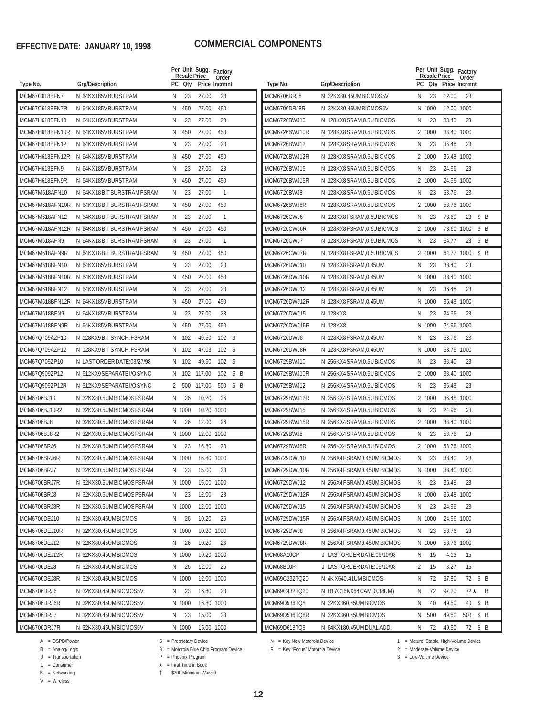|                 |                             | Per Unit Sugg. Factory<br><b>Resale Price</b><br>Order |               |                             | Per Unit Sugg. Factory<br>Resale Price Order |
|-----------------|-----------------------------|--------------------------------------------------------|---------------|-----------------------------|----------------------------------------------|
| Type No.        | <b>Grp/Description</b>      | PC Qty<br>Price Incrmnt                                | Type No.      | <b>Grp/Description</b>      | PC Qty Price Incrmnt                         |
| MCM67C618BFN7   | N 64KX185VBURSTRAM          | 23<br>27.00<br>23<br>N                                 | MCM6706DRJ8   | N 32KX80.45UMBICMOS5V       | 23<br>12.00<br>23<br>N<br>12.00 1000         |
| MCM67C618BFN7R  | N 64KX185VBURSTRAM          | 450<br>27.00<br>450<br>N                               | MCM6706DRJ8R  | N 32KX80.45UMBICMOS5V       | N 1000                                       |
| MCM67H618BFN10  | N 64KX185VBURSTRAM          | 23<br>27.00<br>23<br>N                                 | MCM6726BWJ10  | N 128KX8 SRAM, 0.5U BICMOS  | 23<br>38.40<br>23<br>N                       |
| MCM67H618BFN10R | N 64KX185VBURSTRAM          | 450<br>27.00<br>450<br>N                               | MCM6726BWJ10R | N 128KX8 SRAM, 0.5U BICMOS  | 2 1000<br>38.40 1000                         |
| MCM67H618BFN12  | N 64KX185VBURSTRAM          | 23<br>23<br>27.00<br>Ν                                 | MCM6726BWJ12  | N 128KX8 SRAM, 0.5U BICMOS  | 23<br>23<br>36.48<br>N                       |
| MCM67H618BFN12R | N 64KX185VBURSTRAM          | 450<br>450<br>27.00<br>N                               | MCM6726BWJ12R | N 128KX8 SRAM, 0.5U BICMOS  | 36.48 1000<br>2 1000                         |
| MCM67H618BFN9   | N 64KX185VBURSTRAM          | 27.00<br>23<br>23<br>Ν                                 | MCM6726BWJ15  | N 128KX8 SRAM.0.5U BICMOS   | 23<br>23<br>24.96<br>N                       |
| MCM67H618BFN9R  | N 64KX185VBURSTRAM          | 450<br>27.00<br>450<br>N.                              | MCM6726BWJ15R | N 128KX8 SRAM, 0.5U BICMOS  | 24.96 1000<br>2 1000                         |
| MCM67M618AFN10  | N 64KX18 BIT BURSTRAM FSRAM | 23<br>27.00<br>$\mathbf{1}$<br>N                       | MCM6726BWJ8   | N 128KX8 SRAM.0.5U BICMOS   | 23<br>53.76<br>23<br>N                       |
| MCM67M618AFN10R | N 64KX18BITBURSTRAMFSRAM    | 450<br>27.00<br>450<br>N.                              | MCM6726BWJ8R  | N 128KX8 SRAM, 0.5U BICMOS  | 53.76 1000<br>2 1000                         |
| MCM67M618AFN12  | N 64KX18 BIT BURSTRAM FSRAM | 23<br>27.00<br>$\mathbf{1}$<br>N                       | MCM6726CWJ6   | N 128KX8FSRAM, 0.5U BICMOS  | 23 S B<br>23<br>73.60<br>N                   |
| MCM67M618AFN12R | N 64KX18BITBURSTRAMFSRAM    | 450<br>27.00<br>450<br>N                               | MCM6726CWJ6R  | N 128KX8 FSRAM, 0.5U BICMOS | 2 1000<br>73.60 1000 S B                     |
| MCM67M618AFN9   | N 64KX18 BIT BURSTRAM FSRAM | 23<br>27.00<br>$\mathbf{1}$<br>N                       | MCM6726CWJ7   | N 128KX8FSRAM, 0.5U BICMOS  | 23 S B<br>23<br>64.77<br>N                   |
| MCM67M618AFN9R  | N 64KX18BITBURSTRAMFSRAM    | 450<br>27.00<br>450<br>Ν                               | MCM6726CWJ7R  | N 128KX8FSRAM, 0.5U BICMOS  | S B<br>2 1000<br>64.77 1000                  |
| MCM67M618BFN10  | N 64KX185VBURSTRAM          | 23<br>23<br>27.00<br>N                                 | MCM6726DWJ10  | N 128KX8FSRAM, 0.45UM       | N<br>23<br>38.40<br>23                       |
| MCM67M618BFN10R | N 64KX185VBURSTRAM          | 450<br>27.00<br>450<br>N                               | MCM6726DWJ10R | N 128KX8FSRAM.0.45UM        | 38.40 1000<br>N 1000                         |
| MCM67M618BFN12  | N 64KX185VBURSTRAM          | 27.00<br>23<br>23<br>N                                 | MCM6726DWJ12  | N 128KX8FSRAM, 0.45UM       | 23<br>23<br>36.48<br>N                       |
| MCM67M618BFN12R | N 64KX185VBURSTRAM          | 450<br>27.00<br>450<br>N                               | MCM6726DWJ12R | N 128KX8FSRAM, 0.45UM       | N 1000<br>36.48 1000                         |
| MCM67M618BFN9   | N 64KX185VBURSTRAM          | 23<br>27.00<br>23<br>Ν                                 | MCM6726DWJ15  | N 128KX8                    | 23<br>24.96<br>23<br>N                       |
| MCM67M618BFN9R  | N 64KX185VBURSTRAM          | 450<br>27.00<br>450<br>N                               | MCM6726DWJ15R | N 128KX8                    | N 1000<br>24.96 1000                         |
| MCM67Q709AZP10  | N 128KX9 BIT SYNCH. FSRAM   | 102<br>49.50<br>102 S<br>N                             | MCM6726DWJ8   | N 128KX8FSRAM, 0.45UM       | 23<br>53.76<br>23<br>N                       |
| MCM67Q709AZP12  | N 128KX9 BIT SYNCH. FSRAM   | 102 S<br>102<br>47.03<br>N.                            | MCM6726DWJ8R  | N 128KX8FSRAM, 0.45UM       | N 1000<br>53.76 1000                         |
| MCM67Q709ZP10   | N LAST ORDER DATE:03/27/98  | 102 S<br>102<br>49.50<br>N                             | MCM6729BWJ10  | N 256KX4 SRAM, 0.5U BICMOS  | 23<br>38.40<br>23<br>N                       |
| MCM67Q909ZP12   | N 512KX9 SEPARATE I/O SYNC  | S B<br>102<br>102<br>N<br>117.00                       | MCM6729BWJ10R | N 256KX4 SRAM, 0.5U BICMOS  | 38.40 1000<br>2 1000                         |
| MCM67Q909ZP12R  | N 512KX9 SEPARATE I/O SYNC  | 117.00<br>500 S B<br>$\overline{2}$<br>500             | MCM6729BWJ12  | N 256KX4 SRAM, 0.5U BICMOS  | 23<br>23<br>N<br>36.48                       |
| MCM6706BJ10     | N 32KX80.5UMBICMOSFSRAM     | 10.20<br>26<br>26<br>N.                                | MCM6729BWJ12R | N 256KX4 SRAM, 0.5U BICMOS  | 36.48 1000<br>2 1000                         |
| MCM6706BJ10R2   | N 32KX80.5UMBICMOSFSRAM     | N 1000<br>10.20 1000                                   | MCM6729BWJ15  | N 256KX4 SRAM, 0.5U BICMOS  | 23<br>23<br>24.96<br>N                       |
| MCM6706BJ8      | N 32KX80.5UMBICMOSFSRAM     | 26<br>12.00<br>26<br>N                                 | MCM6729BWJ15R | N 256KX4 SRAM, 0.5U BICMOS  | 2 1000<br>38.40 1000                         |
| MCM6706BJ8R2    | N 32KX80.5UMBICMOSFSRAM     | 12.00 1000<br>N 1000                                   | MCM6729BWJ8   | N 256KX4 SRAM, 0.5U BICMOS  | 23<br>53.76<br>23<br>N                       |
| MCM6706BRJ6     | N 32KX80.5UMBICMOSFSRAM     | 23<br>16.80<br>23<br>N                                 | MCM6729BWJ8R  | N 256KX4 SRAM, 0.5U BICMOS  | 2 1000<br>53.76 1000                         |
| MCM6706BRJ6R    | N 32KX80.5UMBICMOSFSRAM     | N 1000<br>16.80 1000                                   | MCM6729DWJ10  | N 256X4 FSRAM0.45UM BICMOS  | 23<br>23<br>38.40<br>N                       |
| MCM6706BRJ7     | N 32KX80.5UMBICMOSFSRAM     | 23<br>23<br>15.00<br>N.                                | MCM6729DWJ10R | N 256X4 FSRAM0.45UM BICMOS  | 38.40 1000<br>N 1000                         |
| MCM6706BRJ7R    | N 32KX80.5UMBICMOSFSRAM     | 15.00 1000<br>N 1000                                   | MCM6729DWJ12  | N 256X4 FSRAM0.45UM BICMOS  | 23<br>36.48<br>23<br>N                       |
| MCM6706BRJ8     | N 32KX80.5UMBICMOSFSRAM     | 23<br>12.00<br>23<br>N.                                | MCM6729DWJ12R | N 256X4 FSRAM0.45UM BICMOS  | N 1000<br>36.48 1000                         |
| MCM6706BRJ8R    | N 32KX80.5UMBICMOSFSRAM     | 12.00 1000<br>N 1000                                   | MCM6729DWJ15  | N 256X4FSRAM0.45UMBICMOS    | 23<br>24.96<br>23<br>N.                      |
| MCM6706DEJ10    | N 32KX80.45UMBICMOS         | 26<br>10.20<br>26<br>N                                 | MCM6729DWJ15R | N 256X4FSRAM0.45UMBICMOS    | N 1000<br>24.96 1000                         |
| MCM6706DEJ10R   | N 32KX80.45UMBICMOS         | N 1000<br>10.20 1000                                   | MCM6729DWJ8   | N 256X4 FSRAM0.45UM BICMOS  | 23<br>53.76<br>23<br>N                       |
| MCM6706DEJ12    | N 32KX80.45UMBICMOS         | 10.20<br>26<br>26<br>Ν                                 | MCM6729DWJ8R  | N 256X4 FSRAM0.45UM BICMOS  | N 1000<br>53.76 1000                         |
| MCM6706DEJ12R   | N 32KX80.45UMBICMOS         | N 1000<br>10.20 1000                                   | MCM68A10CP    | J LAST ORDER DATE:06/10/98  | N 15<br>15<br>4.13                           |
| MCM6706DEJ8     | N 32KX80.45UMBICMOS         | 26<br>12.00<br>26<br>N                                 | MCM68B10P     | J LAST ORDER DATE:06/10/98  | 15<br>3.27<br>15<br>2                        |
| MCM6706DEJ8R    | N 32KX80.45UMBICMOS         | 12.00 1000<br>N 1000                                   | MCM69C232TQ20 | N 4K X640.41 UMBICMOS       | 72 S B<br>72<br>N<br>37.80                   |
| MCM6706DRJ6     | N 32KX80.45UMBICMOS5V       | 16.80<br>23<br>N<br>23                                 | MCM69C432TQ20 | N H17C16KX64 CAM (0.38UM)   | 72<br>97.20<br>B<br>N<br>$72 \star$          |
| MCM6706DRJ6R    | N 32KX80.45UMBICMOS5V       | 16.80 1000<br>N 1000                                   | MCM69D536TQ8  | N 32KX360.45UMBICMOS        | 40<br>40 S B<br>N<br>49.50                   |
|                 |                             |                                                        |               |                             | 500 S B                                      |
| MCM6706DRJ7     | N 32KX80.45UMBICMOS5V       | 15.00<br>23<br>23<br>N                                 | MCM69D536TQ8R | N 32KX360.45UMBICMOS        | N 500<br>49.50                               |
| MCM6706DRJ7R    | N 32KX80.45UMBICMOS5V       | N 1000<br>15.00 1000                                   | MCM69D618TQ8  | N 64KX180.45UMDUALADD.      | 72<br>49.50<br>72 S B<br>N                   |

A = OSPD/Power external states and S = Proprietary Device N = Key New Motorola Device 1 = Mature, Stable, High-Volume Device

- 
- 

 $L = \text{Consumer}$ <br>  $N = \text{Networking}$ <br>  $V = \text{Wireless}$ 

B = Analog/Logic entropy of the Motorola Blue Chip Program Device R = Key "Focus" Motorola Device 2 = Moderate-Volume Device

- J = Transportation P = Phoenix Program 3 = Low-Volume Device
- $L =$  Consumer  $\star =$  First Time in Book
- N = Networking extensive that the state of the state of the state of the state of the state of the state of the state of the state of the state of the state of the state of the state of the state of the state of the state
- 
-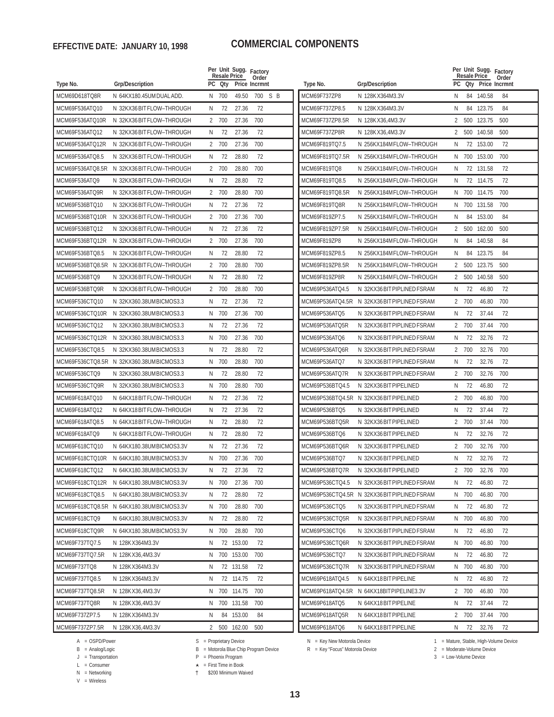|                 |                                            | Per Unit Sugg. Factory<br><b>Resale Price</b> |                  |                                              | Per Unit Sugg. Factory<br><b>Resale Price</b> |
|-----------------|--------------------------------------------|-----------------------------------------------|------------------|----------------------------------------------|-----------------------------------------------|
| Type No.        | <b>Grp/Description</b>                     | Order<br>PC Qtv<br>Price Incrmnt              | Type No.         | <b>Grp/Description</b>                       | Order<br>PC Qty Price Incrmnt                 |
| MCM69D618TQ8R   | N 64KX180.45UMDUALADD.                     | 700 S B<br>N 700<br>49.50                     | MCM69F737ZP8     | N 128KX364M3.3V                              | 84 140.58<br>84<br>N                          |
| MCM69F536ATQ10  | N 32KX36 BIT FLOW-THROUGH                  | 72<br>27.36<br>72<br>N                        | MCM69F737ZP8.5   | N 128K X364M3.3V                             | 84 123.75<br>84<br>N                          |
| MCM69F536ATQ10R | N 32KX36 BIT FLOW-THROUGH                  | 2 700<br>700<br>27.36                         | MCM69F737ZP8.5R  | N 128KX36,4M3.3V                             | 500 123.75<br>500<br>2                        |
| MCM69F536ATO12  | N 32KX36 BIT FLOW-THROUGH                  | 72<br>72<br>27.36<br>N                        | MCM69F737ZP8R    | N 128KX36,4M3.3V                             | 2 500 140.58<br>500                           |
| MCM69F536ATQ12R | N 32KX36 BIT FLOW-THROUGH                  | 700<br>2 700<br>27.36                         | MCM69F819TQ7.5   | N 256KX184MFLOW-THROUGH                      | 72<br>72 153.00<br>N                          |
| MCM69F536ATQ8.5 | N 32KX36 BIT FLOW-THROUGH                  | 72<br>72<br>28.80<br>N                        | MCM69F819TQ7.5R  | N 256KX184MFLOW-THROUGH                      | 700<br>N 700 153.00                           |
|                 | MCM69F536ATQ8.5R N 32KX36 BIT FLOW-THROUGH | 700<br>2 700<br>28.80                         | MCM69F819TQ8     | N 256KX184MFLOW-THROUGH                      | 72<br>72 131.58<br>N                          |
| MCM69F536ATQ9   | N 32KX36 BIT FLOW-THROUGH                  | 72<br>28.80<br>72<br>N                        | MCM69F819TQ8.5   | N 256KX184MFLOW-THROUGH                      | 72<br>72 114.75<br>N.                         |
| MCM69F536ATQ9R  | N 32KX36 BIT FLOW-THROUGH                  | 2 700<br>28.80<br>700                         | MCM69F819TQ8.5R  | N 256KX184MFLOW-THROUGH                      | N 700 114.75<br>700                           |
| MCM69F536BTQ10  | N 32KX36 BIT FLOW-THROUGH                  | 72<br>27.36<br>72<br>N                        | MCM69F819TQ8R    | N 256KX184MFLOW-THROUGH                      | 700<br>N 700 131.58                           |
| MCM69F536BTQ10R | N 32KX36 BIT FLOW-THROUGH                  | 700<br>27.36<br>700<br>$\overline{2}$         | MCM69F819ZP7.5   | N 256KX184MFLOW-THROUGH                      | 84 153.00<br>84<br>N                          |
| MCM69F536BTQ12  | N 32KX36 BIT FLOW-THROUGH                  | 27.36<br>72<br>72<br>N                        | MCM69F819ZP7.5R  | N 256KX184MFLOW-THROUGH                      | 500<br>500 162.00<br>2                        |
| MCM69F536BTQ12R | N 32KX36 BIT FLOW-THROUGH                  | 700<br>2 700<br>27.36                         | MCM69F819ZP8     | N 256KX184MFLOW-THROUGH                      | 84 140.58<br>84<br>N                          |
| MCM69F536BTQ8.5 | N 32KX36 BIT FLOW-THROUGH                  | 72<br>72<br>28.80<br>N                        | MCM69F819ZP8.5   | N 256KX184MFLOW-THROUGH                      | 84 123.75<br>84<br>N                          |
|                 | MCM69F536BTQ8.5R N 32KX36 BIT FLOW-THROUGH | 700<br>2 700<br>28.80                         | MCM69F819ZP8.5R  | N 256KX184MFLOW-THROUGH                      | 2 500 123.75<br>500                           |
| MCM69F536BTQ9   | N 32KX36 BIT FLOW-THROUGH                  | 72<br>72<br>28.80<br>N                        | MCM69F819ZP8R    | N 256KX184MFLOW-THROUGH                      | 2 500 140.58<br>500                           |
| MCM69F536BTQ9R  | N 32KX36 BIT FLOW-THROUGH                  | 2 700<br>28.80<br>700                         | MCM69P536ATQ4.5  | N 32KX36 BIT PIPLINED FSRAM                  | 72<br>46.80<br>72<br>N                        |
| MCM69F536CTQ10  | N 32KX360.38UMBICMOS3.3                    | 72<br>27.36<br>72<br>N                        |                  | MCM69P536ATO4.5R N 32KX36 BIT PIPLINED ESRAM | 2 700<br>46.80<br>700                         |
| MCM69F536CTQ10R | N 32KX360.38UMBICMOS3.3                    | 700<br>27.36<br>700<br>N                      | MCM69P536ATQ5    | N 32KX36 BIT PIPLINED FSRAM                  | 72<br>37.44<br>72<br>N                        |
| MCM69F536CTQ12  | N 32KX360.38UMBICMOS3.3                    | 27.36<br>72<br>72<br>N                        | MCM69P536ATQ5R   | N 32KX36 BIT PIPLINED FSRAM                  | 37.44<br>700<br>2 700                         |
| MCM69F536CTQ12R | N 32KX360.38UMBICMOS3.3                    | N 700<br>700<br>27.36                         | MCM69P536ATQ6    | N 32KX36 BIT PIPLINED FSRAM                  | 32.76<br>72<br>72<br>N                        |
| MCM69F536CTQ8.5 | N 32KX360.38UMBICMOS3.3                    | 72<br>72<br>28.80<br>N                        | MCM69P536ATQ6R   | N 32KX36 BIT PIPLINED FSRAM                  | 700<br>2 700<br>32.76                         |
|                 | MCM69F536CTQ8.5R N 32KX360.38UMBICMOS3.3   | 700<br>N 700<br>28.80                         | MCM69P536ATQ7    | N 32KX36 BIT PIPLINED FSRAM                  | 72<br>32.76<br>72<br>N                        |
| MCM69F536CTQ9   | N 32KX360.38UMBICMOS3.3                    | 72<br>28.80<br>72<br>N                        | MCM69P536ATQ7R   | N 32KX36 BIT PIPLINED FSRAM                  | 2 700<br>32.76<br>700                         |
| MCM69F536CTQ9R  | N 32KX360.38UMBICMOS3.3                    | N 700<br>28.80<br>700                         | MCM69P536BTQ4.5  | N 32KX36 BIT PIPELINED                       | 72<br>N<br>72<br>46.80                        |
| MCM69F618ATQ10  | N 64KX18 BIT FLOW-THROUGH                  | 72<br>27.36<br>72<br>N.                       |                  | MCM69P536BTQ4.5R N 32KX36BITPIPELINED        | 2 700<br>46.80<br>700                         |
| MCM69F618ATQ12  | N 64KX18 BIT FLOW-THROUGH                  | 27.36<br>72<br>N<br>72                        | MCM69P536BTQ5    | N 32KX36 BIT PIPELINED                       | 72<br>37.44<br>72<br>N                        |
| MCM69F618ATQ8.5 | N 64KX18 BIT FLOW-THROUGH                  | 28.80<br>72<br>N<br>72                        | MCM69P536BTQ5R   | N 32KX36 BIT PIPELINED                       | 37.44<br>700<br>2 700                         |
| MCM69F618ATQ9   | N 64KX18 BIT FLOW-THROUGH                  | 28.80<br>72<br>72<br>N                        | MCM69P536BTQ6    | N 32KX36 BIT PIPELINED                       | 32.76<br>72<br>N<br>72                        |
| MCM69F618CTO10  | N 64KX180.38UMBICMOS3.3V                   | 72<br>27.36<br>72<br>N                        | MCM69P536BTO6R   | N 32KX36 BIT PIPELINED                       | 700<br>2 700<br>32.76                         |
|                 | MCM69F618CTQ10R N 64KX180.38UMBICMOS3.3V   | N 700<br>27.36<br>700                         | MCM69P536BTQ7    | N 32KX36BITPIPELINED                         | 72<br>32.76<br>72<br>N                        |
| MCM69F618CTQ12  | N 64KX180.38UMBICMOS3.3V                   | N 72<br>27.36<br>72                           | MCM69P536BTQ7R   | N 32KX36 BIT PIPELINED                       | 32.76 700<br>2 700                            |
|                 | MCM69F618CTQ12R N 64KX180.38UMBICMOS3.3V   | N 700<br>27.36<br>700                         | MCM69P536CTQ4.5  | N 32KX36 BIT PIPLINED FSRAM                  | 72<br>72<br>46.80<br>N.                       |
| MCM69F618CTQ8.5 | N 64KX180.38UMBICMOS3.3V                   | 72<br>28.80<br>72<br>N                        |                  | MCM69P536CTQ4.5R N 32KX36 BIT PIPLINED FSRAM | 700<br>N 700<br>46.80                         |
|                 | MCM69F618CTQ8.5R N 64KX180.38UMBICMOS3.3V  | N 700<br>28.80<br>700                         | MCM69P536CTQ5    | N 32KX36 BIT PIPLINED FSRAM                  | 72<br>46.80<br>72<br>N                        |
| MCM69F618CTQ9   | N 64KX180.38UMBICMOS3.3V                   | 72<br>28.80<br>72<br>N                        | MCM69P536CTQ5R   | N 32KX36 BIT PIPLINED FSRAM                  | N 700<br>46.80<br>700                         |
| MCM69F618CTQ9R  | N 64KX180.38UMBICMOS3.3V                   | 700<br>28.80<br>700<br>N.                     | MCM69P536CTQ6    | N 32KX36 BIT PIPLINED FSRAM                  | 46.80<br>72<br>N<br>72                        |
| MCM69F737TQ7.5  | N 128K X364M3.3V                           | 72 153.00<br>72<br>N                          | MCM69P536CTQ6R   | N 32KX36 BIT PIPLINED FSRAM                  | 700<br>46.80<br>N 700                         |
| MCM69F737TQ7.5R | N 128K X36,4M3.3V                          | 700<br>700 153.00<br>N                        | MCM69P536CTQ7    | N 32KX36 BIT PIPLINED FSRAM                  | 72<br>72<br>46.80<br>N                        |
| MCM69F737TQ8    | N 128K X364M3.3V                           | 72 131.58<br>72<br>N                          | MCM69P536CTQ7R   | N 32KX36 BIT PIPLINED FSRAM                  | N 700<br>46.80<br>700                         |
| MCM69F737TQ8.5  | N 128K X364M3.3V                           | 72 114.75<br>72<br>N                          | MCM69P618ATQ4.5  | N 64KX18BIT PIPELINE                         | 72<br>46.80<br>72<br>N                        |
| MCM69F737TQ8.5R | N 128K X36,4M3.3V                          | 700<br>700 114.75<br>N.                       | MCM69P618ATQ4.5R | N 64KX18BITPIPELINE3.3V                      | 46.80<br>700<br>2 700                         |
| MCM69F737TQ8R   | N 128K X36,4M3.3V                          | 700<br>700 131.58<br>N.                       | MCM69P618ATQ5    | N 64KX18 BIT PIPELINE                        | 72<br>37.44<br>72<br>N                        |
| MCM69F737ZP7.5  | N 128K X364M3.3V                           | 84 153.00<br>84<br>N                          | MCM69P618ATQ5R   | N 64KX18BIT PIPELINE                         | 2 700<br>37.44<br>700                         |
| MCM69F737ZP7.5R | N 128K X36,4M3.3V                          | 500<br>2 500 162.00                           | MCM69P618ATQ6    | N 64KX18BIT PIPELINE                         | N 72<br>32.76<br>72                           |

- 
- 
- 
- $L = \text{Consumer}$ <br>  $N = \text{Networking}$ <br>  $V = \text{Wireless}$

B = Analog/Logic entropyrology by B = Motorola Blue Chip Program Device R = Key "Focus" Motorola Device 2 = Moderate-Volume Device

 $L =$  Consumer  $\star =$  First Time in Book

N = Networking - and the state of the state of the state of the state of the state of the state of the state of the state of the state of the state of the state of the state of the state of the state of the state of the st

A = OSPD/Power external states and S = Proprietary Device N = Key New Motorola Device 1 = Mature, Stable, High-Volume Device

J = Transportation P = Phoenix Program 3 = Low-Volume Device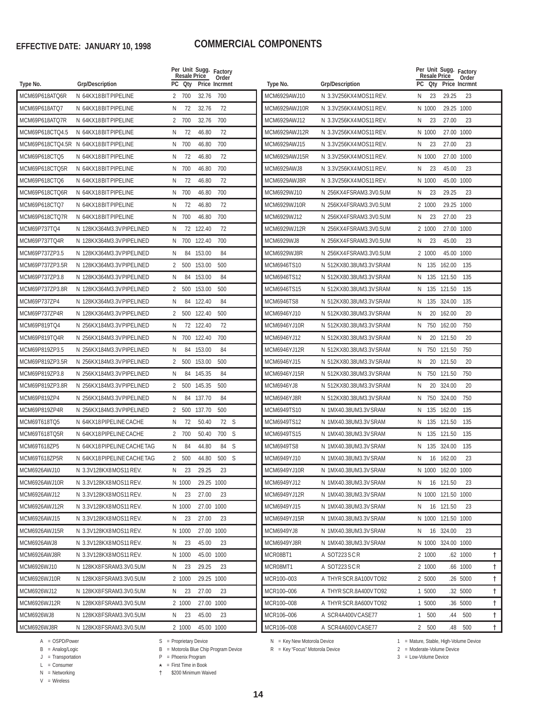|                 |                                       | Per Unit Sugg. Factory<br><b>Resale Price</b><br>Order |                    |                        | Per Unit Sugg. Factory<br><b>Resale Price</b><br>Order |
|-----------------|---------------------------------------|--------------------------------------------------------|--------------------|------------------------|--------------------------------------------------------|
| Type No.        | <b>Grp/Description</b>                | PC Qty<br>Price Incrmnt                                | Type No.           | <b>Grp/Description</b> | $\overline{PC}$ Qty<br>Price Incrmnt                   |
| MCM69P618ATQ6R  | N 64KX18BIT PIPELINE                  | 2 700<br>32.76<br>700                                  | MCM6929AWJ10       | N 3.3V256KX4MOS11 REV. | 23<br>29.25<br>23<br>N                                 |
| MCM69P618ATQ7   | N 64KX18BIT PIPELINE                  | 72<br>72<br>32.76<br>N                                 | MCM6929AWJ10R      | N 3.3V256KX4MOS11 REV. | N 1000<br>29.25 1000                                   |
| MCM69P618ATQ7R  | N 64KX18BITPIPELINE                   | 700<br>32.76<br>700<br>$\mathbf{2}$                    | MCM6929AWJ12       | N 3.3V256KX4MOS11 REV. | 23<br>27.00<br>23<br>N                                 |
| MCM69P618CTQ4.5 | N 64KX18BIT PIPELINE                  | 72<br>72<br>46.80<br>N                                 | MCM6929AWJ12R      | N 3.3V256KX4MOS11 REV. | N 1000<br>27.00 1000                                   |
|                 | MCM69P618CTQ4.5R N 64KX18BIT PIPELINE | 700<br>700<br>46.80<br>N                               | MCM6929AWJ15       | N 3.3V256KX4MOS11 REV. | 23<br>23<br>27.00<br>N                                 |
| MCM69P618CTQ5   | N 64KX18 BIT PIPELINE                 | 72<br>72<br>46.80<br>N                                 | MCM6929AWJ15R      | N 3.3V256KX4MOS11 REV. | 27.00 1000<br>N 1000                                   |
| MCM69P618CTO5R  | N 64KX18BIT PIPELINE                  | 700<br>700<br>N<br>46.80                               | MCM6929AWJ8        | N 3.3V256KX4MOS11 REV. | 23<br>45.00<br>23<br>N                                 |
| MCM69P618CTQ6   | N 64KX18BIT PIPELINE                  | 46.80<br>72<br>72<br>N                                 | MCM6929AW.J8R      | N 3.3V256KX4MOS11 REV. | 45.00 1000<br>N 1000                                   |
| MCM69P618CTQ6R  | N 64KX18BIT PIPELINE                  | 700<br>700<br>46.80<br>N                               | MCM6929WJ10        | N 256KX4FSRAM3.3V0.5UM | 23<br>29.25<br>23<br>N                                 |
| MCM69P618CTQ7   | N 64KX18 BIT PIPELINE                 | 72<br>46.80<br>72<br>Ν                                 | MCM6929WJ10R       | N 256KX4FSRAM3.3V0.5UM | 2 1000<br>29.25 1000                                   |
| MCM69P618CTQ7R  | N 64KX18 BIT PIPELINE                 | 700<br>46.80<br>700<br>N                               | MCM6929WJ12        | N 256KX4FSRAM3.3V0.5UM | 23<br>27.00<br>23<br>N                                 |
| MCM69P737TQ4    | N 128KX364M3.3VPIPELINED              | 72 122.40<br>72<br>Ν                                   | MCM6929WJ12R       | N 256KX4FSRAM3.3V0.5UM | 27.00 1000<br>2 1000                                   |
| MCM69P737TQ4R   | N 128KX364M3.3VPIPELINED              | 700 122.40<br>700<br>N                                 | MCM6929WJ8         | N 256KX4FSRAM3.3V0.5UM | 23<br>45.00<br>23<br>N                                 |
| MCM69P737ZP3.5  | N 128KX364M3.3VPIPELINED              | 84<br>N<br>84<br>153.00                                | MCM6929WJ8R        | N 256KX4FSRAM3.3V0.5UM | 45.00 1000<br>2 1000                                   |
| MCM69P737ZP3.5R | N 128KX364M3.3VPIPELINED              | 500<br>153.00<br>500<br>2                              | MCM6946TS10        | N 512KX80.38UM3.3VSRAM | N 135 162.00<br>135                                    |
| MCM69P737ZP3.8  | N 128KX364M3.3VPIPELINED              | 84<br>N<br>84<br>153.00                                | MCM6946TS12        | N 512KX80.38UM3.3VSRAM | N 135 121.50<br>135                                    |
| MCM69P737ZP3.8R | N 128KX364M3.3VPIPELINED              | 500<br>153.00<br>500<br>2                              | MCM6946TS15        | N 512KX80.38UM3.3VSRAM | N 135 121.50<br>135                                    |
| MCM69P737ZP4    | N 128KX364M3.3VPIPELINED              | 84 122.40<br>84<br>N                                   | MCM6946TS8         | N 512KX80.38UM3.3VSRAM | N 135 324.00<br>135                                    |
| MCM69P737ZP4R   | N 128KX364M3.3VPIPELINED              | 500<br>122.40<br>500<br>$\overline{2}$                 | MCM6946YJ10        | N 512KX80.38UM3.3VSRAM | 20 162.00<br>20<br>N                                   |
| MCM69P819TQ4    | N 256KX184M3.3VPIPELINED              | 72 122.40<br>72<br>N                                   | MCM6946YJ10R       | N 512KX80.38UM3.3VSRAM | N 750 162.00<br>750                                    |
| MCM69P819TQ4R   | N 256KX184M3.3VPIPELINED              | 700 122.40<br>700<br>N                                 | MCM6946YJ12        | N 512KX80.38UM3.3VSRAM | 20 121.50<br>20<br>N                                   |
| MCM69P819ZP3.5  | N 256KX184M3.3VPIPELINED              | 84 153.00<br>84<br>N                                   | MCM6946YJ12R       | N 512KX80.38UM3.3VSRAM | N 750 121.50<br>750                                    |
| MCM69P819ZP3.5R | N 256KX184M3.3VPIPELINED              | 500<br>153.00<br>500<br>$\overline{2}$                 | MCM6946YJ15        | N 512KX80.38UM3.3VSRAM | N<br>20 121.50<br>20                                   |
| MCM69P819ZP3.8  | N 256KX184M3.3VPIPELINED              | 84<br>145.35<br>84<br>N                                | MCM6946YJ15R       | N 512KX80.38UM3.3VSRAM | 750<br>N 750 121.50                                    |
| MCM69P819ZP3.8R | N 256KX184M3.3VPIPELINED              | 500<br>500<br>$\overline{2}$<br>145.35                 | MCM6946YJ8         | N 512KX80.38UM3.3VSRAM | 20 324.00<br>20<br>N                                   |
| MCM69P819ZP4    | N 256KX184M3.3VPIPELINED              | 137.70<br>84<br>84<br>N                                | <b>MCM6946YJ8R</b> | N 512KX80.38UM3.3VSRAM | N 750 324.00<br>750                                    |
| MCM69P819ZP4R   | N 256KX184M3.3VPIPELINED              | 500<br>500<br>137.70<br>$\mathbf{2}$                   | MCM6949TS10        | N 1MX40.38UM3.3V SRAM  | N 135 162.00<br>135                                    |
| MCM69T618TQ5    | N 64KX18 PIPELINE CACHE               | 72<br>50.40<br>72 S<br>N                               | MCM6949TS12        | N 1MX40.38UM3.3V SRAM  | N 135<br>121.50<br>135                                 |
| MCM69T618TQ5R   | N 64KX18 PIPELINE CACHE               | 700 S<br>700<br>50.40<br>2                             | MCM6949TS15        | N 1MX40.38UM3.3V SRAM  | N 135 121.50<br>135                                    |
| MCM69T618ZP5    | N 64KX18 PIPELINE CACHE TAG           | 84<br>44.80<br>84 S<br>Ν                               | MCM6949TS8         | N 1MX40.38UM3.3V SRAM  | N 135 324.00<br>135                                    |
| MCM69T618ZP5R   | N 64KX18 PIPELINE CACHE TAG           | 2 500<br>500 S<br>44.80                                | MCM6949YJ10        | N 1MX40.38UM3.3V SRAM  | 16 162.00<br>23<br>N                                   |
| MCM6926AWJ10    | N 3.3V128KX8MOS11 REV.                | 29.25<br>23<br>23<br>N                                 | MCM6949YJ10R       | N 1MX40.38UM3.3V SRAM  | N 1000 162.00 1000                                     |
| MCM6926AWJ10R   | N 3.3V128KX8MOS11 REV.                | N 1000<br>29.25 1000                                   | MCM6949YJ12        | N 1MX40.38UM3.3V SRAM  | 16 121.50<br>23<br>N                                   |
| MCM6926AWJ12    | N 3.3V128KX8MOS11 REV.                | 23<br>27.00<br>23<br>N                                 | MCM6949YJ12R       | N 1MX40.38UM3.3V SRAM  | N 1000 121.50 1000                                     |
| MCM6926AWJ12R   | N 3.3V128KX8MOS11 REV.                | N 1000<br>27.00 1000                                   | MCM6949YJ15        | N 1MX40.38UM3.3V SRAM  | 23<br>N 16 121.50                                      |
| MCM6926AWJ15    | N 3.3V128KX8MOS11 REV.                | 23<br>27.00<br>23<br>N                                 | MCM6949YJ15R       | N 1MX40.38UM3.3V SRAM  | N 1000 121.50 1000                                     |
| MCM6926AWJ15R   | N 3.3V128KX8MOS11 REV.                | 27.00 1000<br>N 1000                                   | MCM6949YJ8         | N 1MX40.38UM3.3V SRAM  | 16 324.00<br>23<br>N                                   |
| MCM6926AWJ8     | N 3.3V128KX8MOS11 REV.                | 23<br>45.00<br>23<br>N                                 | MCM6949YJ8R        | N 1MX40.38UM3.3V SRAM  | N 1000 324.00 1000                                     |
| MCM6926AWJ8R    | N 3.3V128KX8MOS11 REV.                | N 1000<br>45.00 1000                                   | MCR08BT1           | A SOT223 SCR           | 2 1000<br>$\ddagger$<br>.62 1000                       |
| MCM6926WJ10     | N 128KX8FSRAM3.3V0.5UM                | 29.25<br>23<br>N<br>- 23                               | MCR08MT1           | A SOT223 SCR           | $\ddagger$<br>2 1000<br>.66 1000                       |
| MCM6926WJ10R    | N 128KX8FSRAM3.3V0.5UM                | 29.25 1000<br>2 1000                                   | MCR100-003         | A THYRSCR.8A100VTO92   | $\pm$<br>.26 5000<br>2 5000                            |
| MCM6926WJ12     | N 128KX8FSRAM3.3V0.5UM                | 27.00<br>23<br>N<br>23                                 | MCR100-006         | A THYR SCR.8A400V TO92 | $+$<br>1 5000<br>.32 5000                              |
| MCM6926WJ12R    | N 128KX8FSRAM3.3V0.5UM                | 27.00 1000<br>2 1000                                   | MCR100-008         | A THYR SCR.8A600V TO92 | $^\dagger$<br>1 5000<br>.36 5000                       |
| MCM6926WJ8      | N 128KX8FSRAM3.3V0.5UM                | 23<br>45.00<br>23<br>N                                 | MCR106-006         | A SCR4A400VCASE77      | $\ddagger$<br>500<br>1 500<br>.44                      |
| MCM6926WJ8R     | N 128KX8FSRAM3.3V0.5UM                | 2 1000<br>45.00 1000                                   | MCR106-008         | A SCR4A600VCASE77      | $^\mathrm{+}$<br>2 500<br>.48<br>500                   |

- 
- 

 $L = \text{Consumer}$ <br>  $N = \text{Networking}$ <br>  $V = \text{Wireless}$ 

B = Analog/Logic entropy of the Motorola Blue Chip Program Device R = Key "Focus" Motorola Device 2 = Moderate-Volume Device

- J = Transportation P = Phoenix Program 3 = Low-Volume Device
- $L =$  Consumer  $\star =$  First Time in Book
- N = Networking extensive that the state of the state of the state of the state of the state of the state of the state of the state of the state of the state of the state of the state of the state of the state of the state
- 
- 
- 

- 
-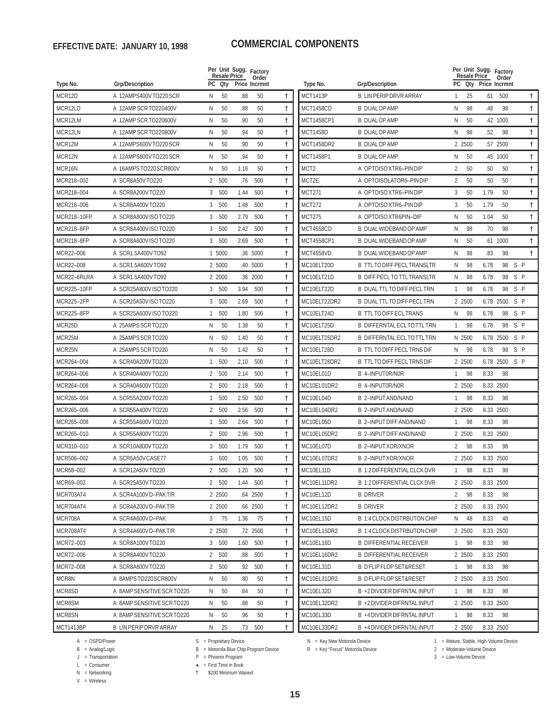| Type No.          | <b>Grp/Description</b>        | Per Unit Sugg. Factory<br><b>Resale Price</b><br>Order<br>PC<br>Oty<br>Price Incrmnt | Type No.         | <b>Grp/Description</b>             | Per Unit Sugg. Factory<br><b>Resale Price</b><br>Order<br>PC Qty<br>Price Incrmnt |
|-------------------|-------------------------------|--------------------------------------------------------------------------------------|------------------|------------------------------------|-----------------------------------------------------------------------------------|
| MCR12D            | A 12AMPS400VTO220SCR          | 50<br>50<br>$^{\dagger}$<br>Ν<br>.88                                                 | <b>MCT1413P</b>  | <b>B LIN PERIP DRVR ARRAY</b>      | 25<br>$^{\dagger}$<br>500<br>1<br>.61                                             |
| MCR12LD           | A 12AMP SCRTO220400V          | 50<br>.88<br>50<br>t<br>Ν                                                            | MCT1458CD        | <b>B DUALOPAMP</b>                 | 98<br>N<br>98<br>.48<br>$\ddagger$                                                |
| MCR12LM           | A 12AMP SCRTO220600V          | 50<br>.90<br>50<br>$^{\dagger}$<br>Ν                                                 | MCT1458CP1       | <b>B DUALOPAMP</b>                 | $\dagger$<br>N<br>50<br>.42 1000                                                  |
| MCR12LN           | A 12AMP SCRTO220800V          | 50<br>.94<br>50<br>Ν                                                                 | <b>MCT1458D</b>  | <b>B DUALOPAMP</b>                 | $\ddagger$<br>N<br>98<br>.52<br>98                                                |
| MCR12M            | A 12AMPS600VTO220SCR          | 50<br>.90<br>50<br>$\ddagger$<br>Ν                                                   | MCT1458DR2       | <b>B DUALOPAMP</b>                 | $\dagger$<br>2 2500<br>.57 2500                                                   |
| MCR12N            | A 12AMPS800VTO220SCR          | t<br>50<br>.94<br>50<br>Ν                                                            | MCT1458P1        | <b>B DUALOPAMP</b>                 | $\ddagger$<br>N<br>50<br>.45 1000                                                 |
| MCR16N            | A 16AMPSTO220SCR800V          | $^{\dagger}$<br>50<br>1.16<br>50<br>Ν                                                | MCT <sub>2</sub> | A OPTOISO XTR6-PIN DIP             | $^\dagger$<br>$\overline{2}$<br>50<br>.50<br>50                                   |
| MCR218-002        | A SCR8A50VTO220               | $^{\dagger}$<br>2 500<br>.76<br>500                                                  | MCT2E            | A OPTOISOLATOR6-PINDIP             | $\ddagger$<br>2<br>50<br>.50<br>50                                                |
| MCR218-004        | A SCR8A200VTO220              | 3 500<br>500<br>$^{\dagger}$<br>1.44                                                 | <b>MCT271</b>    | A OPTOISO XTR6-PIN DIP             | 50<br>$\dagger$<br>3<br>1.79<br>50                                                |
| MCR218-006        | A SCR8A400VTO220              | 500<br>500<br>$\ddagger$<br>1.48<br>3                                                | <b>MCT272</b>    | A OPTOISO XTR6-PIN DIP             | 50<br>1.79<br>$\dagger$<br>3<br>50                                                |
| MCR218-10FP       | A SCR8A800VISOTO220           | 500<br>$^{\dagger}$<br>3<br>500<br>2.79                                              | <b>MCT275</b>    | A OPTOISOXTR6PIN-DIP               | $^\dagger$<br>N<br>50<br>1.04<br>50                                               |
| <b>MCR218-6FP</b> | A SCR8A400VISOTO220           | 500<br>$\ddagger$<br>3<br>500<br>2.42                                                | <b>MCT4558CD</b> | B DUAL WIDEBAND OP AMP             | 98<br>.70<br>98<br>$\dagger$<br>N                                                 |
| <b>MCR218-8FP</b> | A SCR8A600VISOTO220           | 3<br>500<br>2.69<br>500                                                              | MCT4558CP1       | B DUAL WIDEBAND OP AMP             | $\ddagger$<br>50<br>.61 1000<br>N                                                 |
| MCR22-006         | A SCR1.5A400VTO92             | .36 5000<br>1 5000<br>$^{\dagger}$                                                   | <b>MCT4558VD</b> | B DUAL WIDEBAND OP AMP             | 98<br>$\ddagger$<br>N<br>98<br>.83                                                |
| MCR22-008         | A SCR1.5A600VTO92             | $^+$<br>2 5000<br>.40 5000                                                           | MC10ELT20D       | <b>B TTL TO DIFF PECL TRANSLTR</b> | S P<br>98<br>6.78<br>98<br>N                                                      |
| MCR22-6RLRA       | A SCR1.5A400VTO92             | $^{\dagger}$<br>2 2000<br>.36 2000                                                   | MC10ELT21D       | <b>B DIFF PECL TO TTL TRANSLTR</b> | 98<br>S P<br>Ν<br>6.78<br>98                                                      |
| MCR225-10FP       | A SCR25A800VISOTO220          | $^{\dagger}$<br>3 500<br>500<br>3.94                                                 | MC10ELT22D       | <b>B DUAL TTL TO DIFF PECL TRN</b> | 98<br>S P<br>6.78<br>98<br>1                                                      |
| <b>MCR225-2FP</b> | A SCR25A50VISOTO220           | 500<br>500<br>$^{\dagger}$<br>2.69<br>3                                              | MC10ELT22DR2     | <b>B DUAL TTL TO DIFF PECL TRN</b> | 2 2500<br>6.78 2500<br>S P                                                        |
| <b>MCR225-8FP</b> | A SCR25A600VISOTO220          | 500<br>500<br>$\ddagger$<br>1.80<br>1                                                | MC10ELT24D       | <b>B TTL TO DIFF ECL TRANS</b>     | 98<br>98<br>S P<br>N<br>6.78                                                      |
| MCR25D            | A 25AMPS SCR TO220            | 50<br>1.38<br>50<br>$^{\dagger}$<br>Ν                                                | MC10ELT25D       | <b>B DIFFERNTAL ECL TO TTL TRN</b> | S P<br>98<br>6.78<br>98<br>1                                                      |
| MCR25M            | A 25AMPS SCR TO220            | 50<br>$^{\dagger}$<br>50<br>1.40<br>Ν                                                | MC10ELT25DR2     | <b>B DIFFERNTAL ECL TO TTL TRN</b> | S P<br>N 2500<br>6.78 2500                                                        |
| MCR25N            | A 25AMPS SCR TO220            | 50<br>1.42<br>50<br>t<br>Ν                                                           | MC10ELT28D       | <b>B TTL TO DIFF PECL TRNS DIF</b> | S P<br>98<br>6.78<br>98<br>N                                                      |
| MCR264-004        | A SCR40A200VTO220             | 500<br>2.10<br>500<br>$^{\dagger}$<br>1                                              | MC10ELT28DR2     | <b>B TTL TO DIFF PECL TRNS DIF</b> | 2 2500<br>6.78 2500<br>S P                                                        |
| MCR264-006        | A SCR40A400VTO220             | t<br>2<br>500<br>2.14<br>500                                                         | MC10EL01D        | <b>B 4-INPUTOR/NOR</b>             | 98<br>8.33<br>98<br>$\mathbf{1}$                                                  |
| MCR264-008        | A SCR40A600VTO220             | $^{\dagger}$<br>2<br>500<br>2.18<br>500                                              | MC10EL01DR2      | <b>B 4-INPUTOR/NOR</b>             | 2 2500<br>8.33 2500                                                               |
| MCR265-004        | A SCR55A200VTO220             | $\ddagger$<br>500<br>500<br>1<br>2.50                                                | MC10EL04D        | B 2-INPUT AND/NAND                 | 98<br>8.33<br>98<br>$\mathbf{1}$                                                  |
| MCR265-006        | A SCR55A400VTO220             | 2 500<br>2.56<br>500<br>$^{\dagger}$                                                 | MC10EL04DR2      | <b>B 2-INPUT AND/NAND</b>          | 8.33 2500<br>2 2500                                                               |
| MCR265-008        | A SCR55A600VTO220             | $\ddagger$<br>500<br>2.64<br>500<br>1                                                | MC10EL05D        | <b>B 2-INPUT DIFF AND/NAND</b>     | 8.33<br>98<br>98<br>$\mathbf{1}$                                                  |
| MCR265-010        | A SCR55A800VTO220             | 2<br>500<br>2.96<br>500<br>$^{\dagger}$                                              | MC10EL05DR2      | <b>B 2-INPUT DIFF AND/NAND</b>     | 2 2500<br>8.33 2500                                                               |
| MCR310-010        | A SCR10A800VTO220             | 500<br>1.79<br>500<br>$^{\dagger}$<br>3                                              | MC10EL07D        | <b>B 2-INPUTXOR/XNOR</b>           | 98<br>2<br>98<br>8.33                                                             |
| MCR506-002        | A SCR6A50VCASE77              | 3<br>500<br>1.05<br>500<br>t                                                         | MC10EL07DR2      | <b>B 2-INPUTXOR/XNOR</b>           | 8.33 2500<br>2 2500                                                               |
| MCR68-002         | A SCR12A50VTO220              | $\ddagger$<br>2<br>500<br>1.20<br>500                                                | MC10EL11D        | B 1:2 DIFFERENTIAL CLCK DVR        | 98<br>8.33<br>98<br>$\mathbf{1}$                                                  |
| MCR69-002         | A SCR25A50VTO220              | $^+$<br>2 500<br>1.44 500                                                            | MC10EL11DR2      | <b>B 1:2 DIFFERENTIAL CLCK DVR</b> | 2 2500<br>8.33 2500                                                               |
| MCR703AT4         | A SCR4A100VD-PAKT/R           | $^{\dagger}$<br>2 2500<br>.64 2500                                                   | MC10EL12D        | <b>B DRIVER</b>                    | 98<br>$\overline{2}$<br>98<br>8.33                                                |
| MCR704AT4         | A SCR4A200VD-PAKT/R           | $^+$<br>2 2500<br>.66 2500                                                           | MC10EL12DR2      | <b>B DRIVER</b>                    | 2 2500<br>8.33 2500                                                               |
| MCR708A           | A SCR4A600VD-PAK              | 75<br>$^{\dagger}$<br>3 75<br>1.36                                                   | MC10EL15D        | B 1:4 CLOCK DISTRBUTON CHIP        | 8.33<br>48<br>48<br>N                                                             |
| MCR708AT4         | A SCR4A600VD-PAKT/R           | 2 2500<br>.72 2500<br>$\dagger$                                                      | MC10EL15DR2      | B 1:4 CLOCK DISTRBUTON CHIP        | 2 2500<br>8.33 2500                                                               |
| MCR72-003         | A SCR8A100VTO220              | 500<br>t.<br>3 500<br>1.60                                                           | MC10EL16D        | <b>B DIFFERENTIAL RECEIVER</b>     | 8.33<br>98<br>$\mathbf{1}$<br>98                                                  |
| MCR72-006         | A SCR8A400VTO220              | 2 500<br>500<br>$^{\dagger}$<br>.88                                                  | MC10EL16DR2      | <b>B DIFFERENTIAL RECEIVER</b>     | 8.33 2500<br>2 2500                                                               |
| MCR72-008         | A SCR8A600VTO220              | 2 500<br>.92<br>500<br>t                                                             | MC10EL31D        | <b>B DFLIPFLOPSET&amp;RESET</b>    | 1 98<br>8.33<br>98                                                                |
| MCR8N             | A 8AMPSTO220SCR800V           | 50<br>50<br>.80<br>$^{\dagger}$<br>N                                                 | MC10EL31DR2      | <b>B DFLIPFLOPSET&amp;RESET</b>    | 2 2500<br>8.33 2500                                                               |
| MCR8SD            | A 8AMP SENSITIVE SCR TO220    | $^{\dagger}$<br>50<br>50<br>N<br>.84                                                 | MC10EL32D        | B +2 DIVIDER DIFRNTAL INPUT        | 98<br>98<br>8.33<br>$\mathbf{1}$                                                  |
| MCR8SM            | A 8AMP SENSITIVE SCR TO220    | $^{\dagger}$<br>50<br>.88<br>50<br>Ν                                                 | MC10EL32DR2      | B +2 DIVIDER DIFRNTAL INPUT        | 8.33 2500<br>2 2500                                                               |
| MCR8SN            | A 8AMP SENSITIVE SCR TO220    | $^+$<br>50<br>.96<br>50<br>Ν                                                         | MC10EL33D        | B +4 DIVIDER DIFRNTAL INPUT        | 98<br>8.33<br>98<br>$\mathbf{1}$                                                  |
| MCT1413BP         | <b>B LIN PERIP DRVR ARRAY</b> | $^+$<br>25<br>.73 500<br>N                                                           | MC10EL33DR2      | B +4 DIVIDER DIFRNTAL INPUT        | 2 2500<br>8.33 2500                                                               |

J = Transportation P = Phoenix Program 3 = Low-Volume Device

- 
- $L = \text{Consumer}$ <br>  $N = \text{Networking}$ <br>  $V = \text{Wireless}$

B = Analog/Logic entropyrology by B = Motorola Blue Chip Program Device R = Key "Focus" Motorola Device 2 = Moderate-Volume Device

 $L =$  Consumer  $\star =$  First Time in Book

N = Networking - and the state of the state of the state of the state of the state of the state of the state of the state of the state of the state of the state of the state of the state of the state of the state of the st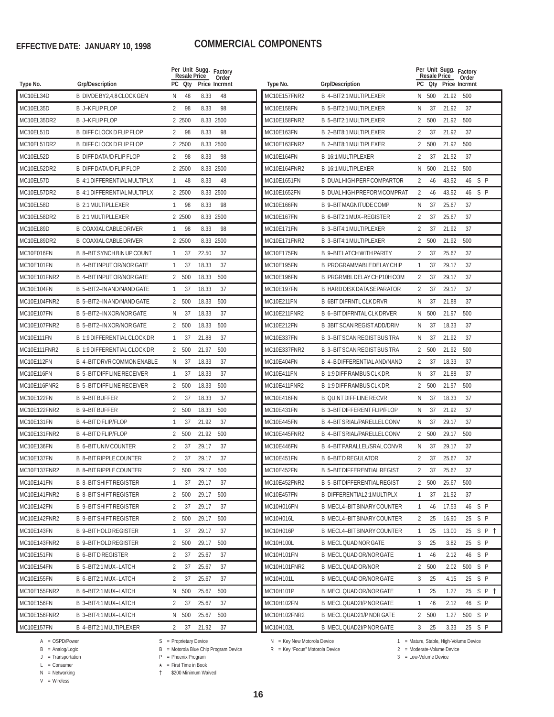|                     |                                    | Per Unit Sugg. Factory<br><b>Resale Price</b> |                     |                                    | Per Unit Sugg. Factory<br><b>Resale Price</b> |
|---------------------|------------------------------------|-----------------------------------------------|---------------------|------------------------------------|-----------------------------------------------|
| Type No.            | <b>Grp/Description</b>             | Order<br>PC Qty<br>Price Incrmnt              | Type No.            | <b>Grp/Description</b>             | Order<br>PC Qtv<br>Price Incrmnt              |
| MC10EL34D           | B DIVDE BY2,4,8 CLOCK GEN          | 48<br>8.33<br>48<br>N                         | MC10E157FNR2        | B 4-BIT2:1 MULTIPLEXER             | 21.92<br>500<br>N 500                         |
| MC10EL35D           | <b>B J-KFLIPFLOP</b>               | 98<br>8.33<br>98<br>2                         | <b>MC10E158FN</b>   | B 5-BIT2:1MULTIPLEXER              | 21.92<br>37<br>37<br>N                        |
| MC10EL35DR2         | <b>B J-KFLIPFLOP</b>               | 8.33 2500<br>2 2500                           | <b>MC10E158FNR2</b> | B 5-BIT2:1 MULTIPLEXER             | 21.92<br>500<br>2<br>500                      |
| MC10EL51D           | <b>B DIFF CLOCK D FLIP FLOP</b>    | 98<br>98<br>8.33<br>2                         | <b>MC10E163FN</b>   | B 2-BIT8:1MULTIPLEXER              | 21.92<br>37<br>2<br>37                        |
| MC10EL51DR2         | <b>B DIFF CLOCK D FLIP FLOP</b>    | 2 2500<br>8.33 2500                           | MC10E163FNR2        | B 2-BIT8:1 MULTIPLEXER             | 2 500<br>21.92<br>500                         |
| MC10EL52D           | <b>B DIFF DATA/D FLIP FLOP</b>     | $\overline{2}$<br>98<br>8.33<br>98            | MC10E164FN          | B 16:1 MULTIPLEXER                 | 2<br>37<br>21.92<br>37                        |
| MC10EL52DR2         | <b>B DIFF DATA/D FLIP FLOP</b>     | 2 2500<br>8.33 2500                           | MC10E164FNR2        | B 16:1 MULTIPLEXER                 | 500<br>N 500<br>21.92                         |
| MC10EL57D           | <b>B 4:1 DIFFERENTIAL MULTIPLX</b> | 8.33<br>48<br>48<br>1                         | MC10E1651FN         | <b>B DUAL HIGH PERF COMPARTOR</b>  | 46 S P<br>2<br>43.92<br>46                    |
| MC10EL57DR2         | <b>B 4:1 DIFFERENTIAL MULTIPLX</b> | 8.33 2500<br>2 2500                           | MC10E1652FN         | B DUALHIGHPREFORMCOMPRAT           | 46 S P<br>43.92<br>2<br>46                    |
| MC10EL58D           | <b>B 2:1 MULTIPLLEXER</b>          | 8.33<br>98<br>1<br>98                         | MC10E166FN          | <b>B 9-BITMAGNITUDE COMP</b>       | 25.67<br>37<br>N<br>37                        |
| MC10EL58DR2         | B 2:1 MULTIPLLEXER                 | 8.33 2500<br>2 2500                           | MC10E167FN          | B 6-BIT2:1MUX-REGISTER             | 2<br>37<br>25.67<br>37                        |
| MC10EL89D           | <b>B COAXIAL CABLE DRIVER</b>      | 98<br>98<br>8.33<br>1                         | <b>MC10E171FN</b>   | B 3-BIT4:1 MULTIPLEXER             | 21.92<br>37<br>2<br>37                        |
| MC10EL89DR2         | <b>B COAXIAL CABLE DRIVER</b>      | 8.33 2500<br>2 2500                           | <b>MC10E171FNR2</b> | B 3-BIT4:1 MULTIPLEXER             | 500<br>2 500<br>21.92                         |
| MC10E016FN          | <b>B 8-BIT SYNCH BIN UP COUNT</b>  | 37<br>37<br>22.50<br>$\mathbf{1}$             | <b>MC10E175FN</b>   | <b>B 9-BIT LATCH WITH PARITY</b>   | 37<br>2<br>37<br>25.67                        |
| MC10E101FN          | <b>B 4-BIT INPUT OR/NOR GATE</b>   | 37<br>18.33<br>37<br>$\mathbf{1}$             | MC10E195FN          | B PROGRAMMABLE DELAY CHIP          | 37<br>37<br>29.17<br>1                        |
| MC10E101FNR2        | <b>B 4-BIT INPUT OR/NOR GATE</b>   | 500<br>18.33<br>500<br>2                      | <b>MC10E196FN</b>   | B PRGRMBLDELAY CHP10H COM          | 37<br>2<br>37<br>29.17                        |
| MC10E104FN          | B 5-BIT2-IN AND/NAND GATE          | 37<br>18.33<br>37<br>1                        | MC10E197FN          | <b>B HARD DISK DATA SEPARATOR</b>  | 2<br>37<br>29.17<br>37                        |
| MC10E104FNR2        | B 5-BIT2-IN AND/NAND GATE          | 500<br>18.33<br>500<br>$\mathbf{2}$           | <b>MC10E211FN</b>   | <b>B 6BIT DIFRNTL CLK DRVR</b>     | 37<br>37<br>21.88<br>N                        |
| MC10E107FN          | B 5-BIT2-IN XOR/NOR GATE           | 37<br>37<br>18.33<br>N                        | MC10E211FNR2        | <b>B 6-BIT DIFRNTAL CLK DRVER</b>  | 500<br>21.97<br>500<br>N                      |
| MC10E107FNR2        | B 5-BIT2-IN XOR/NOR GATE           | 500<br>500<br>18.33<br>2                      | MC10E212FN          | <b>B 3BIT SCAN REGIST ADD/DRIV</b> | 18.33<br>37<br>37<br>N                        |
| <b>MC10E111FN</b>   | B 1:9 DIFFERENTIAL CLOCK DR        | 37<br>37<br>21.88<br>1                        | <b>MC10E337FN</b>   | B 3-BIT SCAN REGIST BUS TRA        | 37<br>21.92<br>37<br>N                        |
| <b>MC10E111FNR2</b> | <b>B 1:9 DIFFERENTIAL CLOCK DR</b> | 500<br>500<br>21.97<br>$\mathbf{2}$           | MC10E337FNR2        | <b>B 3-BIT SCAN REGIST BUS TRA</b> | 21.92<br>500<br>2 500                         |
| <b>MC10E112FN</b>   | B 4-BIT DRVR COMMON ENABLE         | 37<br>37<br>18.33<br>Ν                        | MC10E404FN          | B 4-B DIFFERENTIAL AND/NAND        | 37<br>2<br>37<br>18.33                        |
| MC10E116FN          | <b>B 5-BIT DIFF LINE RECEIVER</b>  | 37<br>18.33<br>37<br>1                        | MC10E411FN          | B 1:9 DIFF RAMBUS CLK DR.          | 37<br>37<br>21.88<br>N                        |
| MC10E116FNR2        | <b>B 5-BIT DIFF LINE RECEIVER</b>  | 500<br>18.33<br>500<br>2                      | MC10E411FNR2        | B 1:9 DIFF RAMBUS CLK DR.          | 500<br>2<br>500<br>21.97                      |
| MC10E122FN          | B 9-BIT BUFFER                     | 37<br>18.33<br>37<br>2                        | MC10E416FN          | <b>B QUINT DIFF LINE RECVR</b>     | 37<br>18.33<br>37<br>N                        |
| MC10E122FNR2        | B 9-BIT BUFFER                     | 500<br>18.33<br>500<br>$\mathbf{2}$           | MC10E431FN          | <b>B 3-BIT DIFFERENT FLIP/FLOP</b> | 37<br>21.92<br>37<br>N                        |
| MC10E131FN          | <b>B 4-BIT D FLIP/FLOP</b>         | 21.92<br>37<br>37<br>1                        | MC10E445FN          | B 4-BIT SRIAL/PARELLEL CONV        | 37<br>29.17<br>37<br>N                        |
| MC10E131FNR2        | <b>B 4-BITDFLIP/FLOP</b>           | 500<br>21.92<br>500<br>2                      | MC10E445FNR2        | <b>B 4-BIT SRIAL/PARELLEL CONV</b> | 29.17<br>500<br>500<br>2                      |
| MC10E136FN          | <b>B 6-BIT UNIV COUNTER</b>        | 2<br>37<br>29.17<br>37                        | MC10E446FN          | B 4-BIT PARALLEL/SRALCONVR         | 29.17<br>37<br>37<br>N                        |
| <b>MC10E137FN</b>   | <b>B 8-BIT RIPPLE COUNTER</b>      | 29.17<br>37<br>37<br>2                        | MC10E451FN          | <b>B 6-BIT DREGULATOR</b>          | $\overline{2}$<br>37<br>25.67<br>37           |
| MC10E137FNR2        | <b>B 8-BIT RIPPLE COUNTER</b>      | 29.17<br>$\overline{2}$<br>500<br>500         | <b>MC10F452FN</b>   | <b>B 5-BIT DIFFERENTIAL REGIST</b> | $\overline{2}$<br>37<br>25.67<br>37           |
| MC10E141FN          | <b>B 8-BIT SHIFT REGISTER</b>      | 37<br>37<br>29.17<br>1                        | MC10E452FNR2        | <b>B 5-BIT DIFFERENTIAL REGIST</b> | 2 500<br>25.67<br>500                         |
| MC10E141FNR2        | <b>B 8-BIT SHIFT REGISTER</b>      | 2 500<br>29.17<br>500                         | MC10E457FN          | B DIFFERENTIAL2:1 MULTIPLX         | 37<br>21.92<br>37<br>1                        |
| MC10E142FN          | <b>B 9-BIT SHIFT REGISTER</b>      | 37<br>29.17<br>37<br>2                        | MC10H016FN          | <b>B MECL4-BITBINARY COUNTER</b>   | 46 S P<br>46<br>17.53<br>$\mathbf{1}$         |
| MC10E142FNR2        | <b>B 9-BIT SHIFT REGISTER</b>      | 2 500<br>29.17<br>500                         | MC10H016L           | <b>B MECL4-BITBINARY COUNTER</b>   | 25<br>16.90<br>25 S P<br>2                    |
| MC10E143FN          | <b>B 9-BITHOLD REGISTER</b>        | 37<br>29.17<br>1<br>37                        | MC10H016P           | <b>B MECL4-BITBINARY COUNTER</b>   | 25 S P †<br>1<br>25<br>13.00                  |
| MC10E143FNR2        | <b>B 9-BITHOLD REGISTER</b>        | 500<br>500<br>29.17<br>$\overline{2}$         | MC10H100L           | <b>B MECLOUAD NOR GATE</b>         | 3<br>25<br>25 S P<br>3.82                     |
| MC10E151FN          | <b>B 6-BIT DREGISTER</b>           | 25.67<br>37<br>$\overline{2}$<br>37           | MC10H101FN          | B MECLOUAD OR/NOR GATE             | 46 S P<br>46<br>2.12<br>$\mathbf{1}$          |
| MC10E154FN          | B 5-BIT2:1MUX-LATCH                | 37<br>25.67<br>37<br>2                        | MC10H101FNR2        | <b>B MECLQUADOR/NOR</b>            | 2 500<br>500 S P<br>2.02                      |
| <b>MC10E155FN</b>   | B 6-BIT2:1MUX-LATCH                | 37<br>37<br>25.67<br>2                        | MC10H101L           | <b>B MECLOUAD OR/NOR GATE</b>      | 3<br>25<br>4.15<br>25 S P                     |
| MC10E155FNR2        | B 6-BIT2:1MUX-LATCH                | 500<br>500<br>25.67<br>N.                     | MC10H101P           | B MECLOUAD OR/NOR GATE             | 25<br>25<br>SP †<br>$\mathbf{1}$<br>1.27      |
| MC10E156FN          | B 3-BIT4:1 MUX-LATCH               | 37<br>25.67<br>37<br>2                        | MC10H102FN          | B MECL QUAD2I/P NOR GATE           | 46<br>2.12<br>46 S P<br>1                     |
| MC10E156FNR2        | B 3-BIT4:1MUX-LATCH                | 500<br>25.67<br>500<br>N                      | MC10H102FNR2        | B MECLQUAD21/PNORGATE              | 2 500<br>500 S P<br>1.27                      |
| <b>MC10E157FN</b>   | B 4-BIT2:1MULTIPLEXER              | 37<br>37<br>21.92<br>2                        | MC10H102L           | B MECL QUAD2I/P NOR GATE           | 3<br>25 S P<br>25<br>3.33                     |

- 
- 

 $L = \text{Consumer}$ <br>  $N = \text{Networking}$ <br>  $V = \text{Wireless}$ 

B = Analog/Logic entropy of the Motorola Blue Chip Program Device R = Key "Focus" Motorola Device 2 = Moderate-Volume Device

- J = Transportation P = Phoenix Program 3 = Low-Volume Device
- $L =$  Consumer  $\star =$  First Time in Book
- N = Networking extensive that the state of the state of the state of the state of the state of the state of the state of the state of the state of the state of the state of the state of the state of the state of the state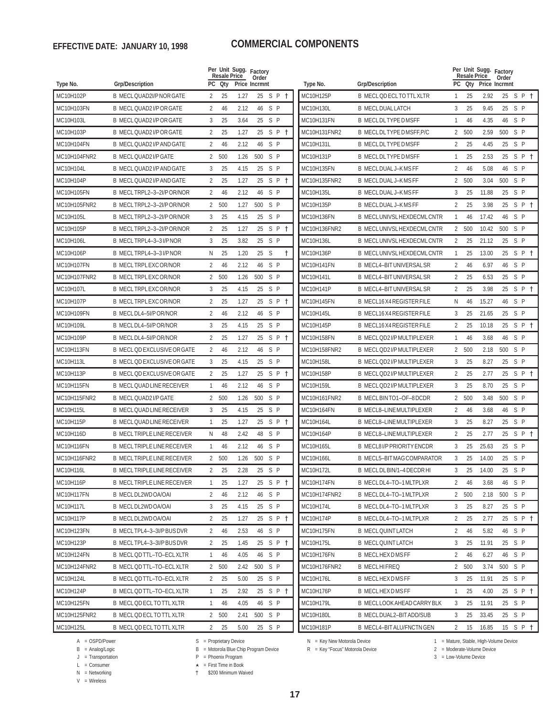|                   |                                   | <b>Resale Price</b>  | Per Unit Sugg. Factory<br>Order |                   |                                  | <b>Resale Price</b>   | Per Unit Sugg. Factory<br>Order |
|-------------------|-----------------------------------|----------------------|---------------------------------|-------------------|----------------------------------|-----------------------|---------------------------------|
| Type No.          | <b>Grp/Description</b>            | Otv<br>PC            | Price Incrmnt                   | Type No.          | <b>Grp/Description</b>           | Qty<br>PC             | Price Incrmnt                   |
| MC10H102P         | <b>B MECLOUAD2I/P NOR GATE</b>    | 25<br>2              | 25 S P +<br>1.27                | MC10H125P         | <b>B MECLODECLTOTTLXLTR</b>      | 25<br>1               | 25 S P t<br>2.92                |
| <b>MC10H103FN</b> | B MECLOUAD2I/POR GATE             | 2<br>46              | 2.12<br>46 S P                  | MC10H130L         | <b>B MECLDUALLATCH</b>           | 3<br>25               | 9.45<br>25 S P                  |
| MC10H103L         | B MECLOUAD2I/PORGATE              | 25<br>3              | 25 S P<br>3.64                  | <b>MC10H131FN</b> | <b>B MECLDLTYPEDMSFF</b>         | 46<br>1               | S P<br>4.35<br>46               |
| MC10H103P         | B MECLOUAD2I/POR GATE             | 25<br>2              | 25 S P<br>1.27                  | MC10H131FNR2      | B MECLDLTYPE DMSFF, P/C          | 2 500                 | S P<br>2.59<br>500              |
| MC10H104FN        | B MECLOUAD2 I/P AND GATE          | 2<br>46              | 46 S P<br>2.12                  | MC10H131L         | <b>B MECLDLTYPEDMSFF</b>         | 25<br>2               | S P<br>4.45<br>25               |
| MC10H104FNR2      | <b>B MECLQUAD2I/PGATE</b>         | 2 500                | 500 S P<br>1.26                 | MC10H131P         | <b>B MECLDLTYPE DMSFF</b>        | $\mathbf{1}$<br>25    | 25 S P t<br>2.53                |
| MC10H104L         | B MECLOUAD2 I/P AND GATE          | 3<br>25              | 4.15<br>25<br>S P               | <b>MC10H135FN</b> | <b>B MECLDUAL J-KMSFF</b>        | 2<br>46               | 5.08<br>46<br>S P               |
| MC10H104P         | B MECLOUAD2 I/P AND GATE          | 25<br>2              | SP t<br>1.27<br>25              | MC10H135FNR2      | <b>B MECLDUAL J-K MS FF</b>      | $\overline{2}$<br>500 | S P<br>3.04<br>500              |
| <b>MC10H105FN</b> | B MECLTRPL2-3-2I/POR/NOR          | 2<br>46              | 46 S P<br>2.12                  | MC10H135L         | <b>B MECLDUAL J-KMSFF</b>        | 25<br>3               | 25 S P<br>11.88                 |
| MC10H105FNR2      | B MECLTRPL2-3-2I/POR/NOR          | 2 500                | 500 S P<br>1.27                 | MC10H135P         | <b>B MECLDUAL J-K MS FF</b>      | 25<br>2               | 25 S P t<br>3.98                |
| MC10H105L         | B MECLTRPL2-3-2I/POR/NOR          | 25<br>3              | 25 S P<br>4.15                  | MC10H136FN        | <b>B MECLUNIVSLHEXDECMLCNTR</b>  | 1<br>46               | S P<br>17.42<br>46              |
| MC10H105P         | B MECLTRPL2-3-2I/POR/NOR          | 25<br>2              | 1.27<br>25<br>SP t              | MC10H136FNR2      | <b>B MECLUNIVSLHEXDECMLCNTR</b>  | $\overline{2}$<br>500 | 10.42<br>500<br>S P             |
| MC10H106L         | B MECLTRPL4-3-3I/PNOR             | 25<br>3              | 25 S P<br>3.82                  | MC10H136L         | <b>B MECLUNIVSLHEXDECMLCNTR</b>  | 25<br>2               | S P<br>21.12<br>25              |
| MC10H106P         | B MECLTRPL4-3-3I/PNOR             | 25<br>Ν              | 25 S<br>1.20<br>Ť.              | MC10H136P         | <b>B MECLUNIVSLHEXDECMLCNTR</b>  | 25<br>1               | 13.00<br>25<br>SP t             |
| <b>MC10H107FN</b> | <b>B MECLTRPLEXCOR/NOR</b>        | 2<br>46              | 46 S P<br>2.12                  | <b>MC10H141FN</b> | <b>B MECL4-BITUNIVERSALSR</b>    | 2<br>46               | 6.97<br>46 S P                  |
| MC10H107FNR2      | <b>B MECLTRPLEXCOR/NOR</b>        | 2<br>500             | 1.26<br>500<br>S P              | MC10H141L         | <b>B MECL4-BITUNIVERSALSR</b>    | 2<br>25               | S P<br>6.53<br>25               |
| MC10H107L         | <b>B MECLTRPLEXCOR/NOR</b>        | 25<br>3              | S P<br>4.15<br>25               | MC10H141P         | <b>B MECL4-BITUNIVERSALSR</b>    | 25<br>2               | SP t<br>3.98<br>25              |
| MC10H107P         | <b>B MECLTRPLEXCOR/NOR</b>        | 2<br>25              | 25 S P<br>1.27<br>$\ddagger$    | MC10H145FN        | <b>B MECL16X4REGISTERFILE</b>    | N<br>46               | 46 S P<br>15.27                 |
| MC10H109FN        | B MECLDL4-5I/POR/NOR              | $\overline{2}$<br>46 | 46 S P<br>2.12                  | MC10H145L         | <b>B MECL16X4REGISTERFILE</b>    | 25<br>3               | 25 S P<br>21.65                 |
| MC10H109L         | B MECLDL4-5I/POR/NOR              | 25<br>3              | 25 S P<br>4.15                  | MC10H145P         | <b>B MECL16X4REGISTER FILE</b>   | $\overline{2}$<br>25  | 10.18<br>SP t<br>25             |
| MC10H109P         | B MECLDL4-5I/POR/NOR              | $\overline{2}$<br>25 | 1.27<br>25<br>SP t              | <b>MC10H158FN</b> | <b>B MECLOD2I/PMULTIPLEXER</b>   | 46<br>$\mathbf{1}$    | 3.68<br>46<br>S P               |
| MC10H113FN        | B MECLOD EXCLUSIVE OR GATE        | 2<br>46              | 46 S P<br>2.12                  | MC10H158FNR2      | <b>B MECLOD2I/PMULTIPLEXER</b>   | 500<br>2              | 500<br>S P<br>2.18              |
| MC10H113L         | <b>B MECLOD EXCLUSIVE OR GATE</b> | 3<br>25              | 25 S P<br>4.15                  | MC10H158L         | <b>B MECLOD2I/PMULTIPLEXER</b>   | 25<br>3               | S P<br>8.27<br>25               |
| MC10H113P         | <b>B MECLOD EXCLUSIVE OR GATE</b> | 25<br>2              | 25 S P t<br>1.27                | MC10H158P         | <b>B MECLOD2I/PMULTIPLEXER</b>   | 25<br>2               | 25 S P t<br>2.77                |
| MC10H115FN        | <b>B MECLQUADLINE RECEIVER</b>    | 1<br>46              | 2.12<br>46 S P                  | MC10H159L         | <b>B MECLOD2I/PMULTIPLEXER</b>   | 25<br>3               | S P<br>8.70<br>25               |
| MC10H115FNR2      | <b>B MECLQUAD2I/PGATE</b>         | 500<br>2             | 500 S P<br>1.26                 | MC10H161FNR2      | B MECLBINTO1-OF-8DCDR            | 2<br>500              | S P<br>3.48<br>500              |
| MC10H115L         | <b>B MECLQUADLINE RECEIVER</b>    | 25<br>3              | 25 S P<br>4.15                  | MC10H164FN        | <b>B MECL8-LINE MULTIPLEXER</b>  | 2<br>46               | 46 S P<br>3.68                  |
| MC10H115P         | <b>B MECLOUADLINE RECEIVER</b>    | 25<br>1              | 25 S P<br>$+$<br>1.27           | MC10H164L         | <b>B MECL8-LINE MULTIPLEXER</b>  | 25<br>3               | 25 S P<br>8.27                  |
| MC10H116D         | <b>B MECLTRIPLE LINE RECEIVER</b> | 48<br>N              | 48 S P<br>2.42                  | MC10H164P         | <b>B MECL8-LINE MULTIPLEXER</b>  | 25<br>2               | SP t<br>2.77<br>25              |
| MC10H116FN        | <b>B MECLTRIPLE LINE RECEIVER</b> | $\mathbf{1}$<br>46   | 46<br>S P<br>2.12               | MC10H165L         | <b>B MECL8I/PPRIORITY ENCDR</b>  | 3<br>25               | 25.63<br>25<br>S P              |
| MC10H116FNR2      | <b>B MECLTRIPLE LINE RECEIVER</b> | 500<br>2             | 1.26<br>500 S P                 | MC10H166L         | B MECL5-BITMAGCOMPARATOR         | 3<br>25               | 14.00<br>25<br>S P              |
| MC10H116L         | <b>B MECLTRIPLE LINE RECEIVER</b> | $\overline{2}$<br>25 | 25 S P<br>2.28                  | MC10H172L         | B MECLDLBIN/1-4 DECDRHI          | 3<br>25               | 25 S P<br>14.00                 |
| MC10H116P         | <b>B MECLTRIPLE LINE RECEIVER</b> | 25<br>$\mathbf{1}$   | 25 S P †<br>1.27                | MC10H174FN        | B MECLDL4-TO-1MLTPLXR            | 46<br>$\mathbf{2}$    | 3.68<br>46 S P                  |
| MC10H117FN        | B MECLDL2WDOA/OAI                 | 2<br>46              | 2.12<br>46 S P                  | MC10H174FNR2      | B MECLDL4-TO-1MLTPLXR            | 2 500                 | 2.18<br>500<br>S P              |
| MC10H117L         | B MECLDL2WDOA/OAI                 | 25<br>3              | 25 S P<br>4.15                  | MC10H174L         | B MECLDL4-TO-1MLTPLXR            | 3<br>25               | 8.27<br>25 S P                  |
| MC10H117P         | B MECLDL2WDOA/OAI                 | 2<br>25              | 1.27<br>25 S P †                | MC10H174P         | B MECLDL4-TO-1MLTPLXR            | $\overline{2}$<br>25  | 2.77<br>25 S P †                |
| MC10H123FN        | B MECLTPL4-3-3I/PBUSDVR           | 2<br>46              | 46 S P<br>2.53                  | MC10H175FN        | <b>B MECLQUINT LATCH</b>         | $\overline{2}$<br>46  | 46 S P<br>5.82                  |
| MC10H123P         | B MECLTPL4-3-3I/P BUS DVR         | 2<br>25              | 25 S P †<br>1.45                | MC10H175L         | <b>B MECLQUINTLATCH</b>          | 3<br>25               | 25 S P<br>11.91                 |
| <b>MC10H124FN</b> | <b>B MECLODTTL-TO-ECLXLTR</b>     | $\mathbf{1}$<br>46   | 46 S P<br>4.05                  | MC10H176FN        | <b>B MECLHEX DMSFF</b>           | $\overline{2}$<br>46  | 46<br>S P<br>6.27               |
| MC10H124FNR2      | B MECLODTTL-TO-ECLXLTR            | 2 500                | 500 S P<br>2.42                 | MC10H176FNR2      | <b>B MECLHIFREQ</b>              | 2 500                 | 500 S P<br>3.74                 |
| MC10H124L         | B MECLODTTL-TO-ECLXLTR            | $\overline{2}$<br>25 | 5.00<br>25 S P                  | MC10H176L         | <b>B MECLHEX DMSFF</b>           | 3<br>25               | 11.91<br>25 S P                 |
| MC10H124P         | B MECLODTTL-TO-ECLXLTR            | 25<br>1              | 25 S P †<br>2.92                | MC10H176P         | <b>B MECLHEX DMSFF</b>           | 25<br>1               | 25 S P †<br>4.00                |
| MC10H125FN        | B MECLODECLTOTTLXLTR              | $\mathbf{1}$<br>46   | 4.05<br>46 S P                  | MC10H179L         | B MECLLOOK AHEAD CARRY BLK       | 25<br>3               | 25 S P<br>11.91                 |
| MC10H125FNR2      | B MECLODECLTOTTLXLTR              | 2 500                | 2.41<br>500 S P                 | MC10H180L         | B MECLDUAL2-BIT ADD/SUB          | 3<br>25               | 33.45<br>25 S P                 |
| MC10H125L         | B MECLODECLTOTTLXLTR              | $\mathbf{2}$<br>25   | 25 S P<br>5.00                  | MC10H181P         | <b>B MECL4-BIT ALU/FNCTN GEN</b> | $\mathbf{2}$<br>15    | 16.85<br>15 S P †               |

- 
- $L = \text{Consumer}$ <br>  $N = \text{Networking}$ <br>  $V = \text{Wireless}$

B = Analog/Logic entropyrology by B = Motorola Blue Chip Program Device R = Key "Focus" Motorola Device 2 = Moderate-Volume Device

A = OSPD/Power external states and S = Proprietary Device N = Key New Motorola Device 1 = Mature, Stable, High-Volume Device

J = Transportation P = Phoenix Program 3 = Low-Volume Device

 $L =$  Consumer  $\star =$  First Time in Book

N = Networking - and the state of the state of the state of the state of the state of the state of the state of the state of the state of the state of the state of the state of the state of the state of the state of the st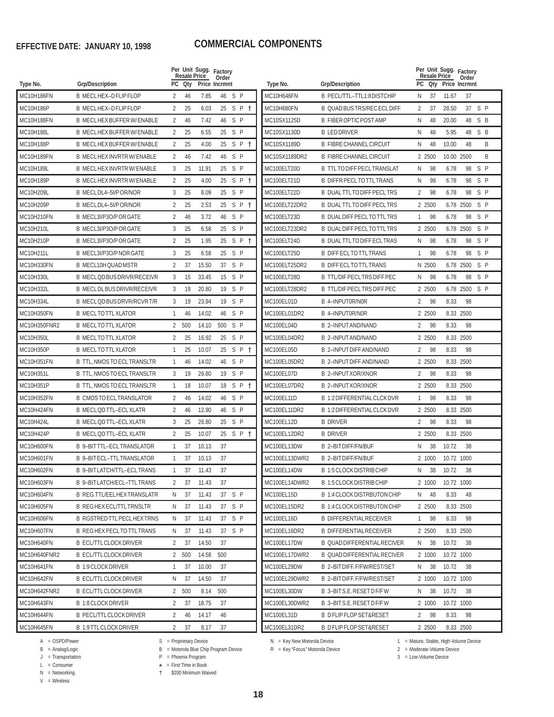|                   |                                    | Per Unit Sugg. Factory<br>Resale Price Order   |                   |                                    | Per Unit Sugg. Factory<br>Resale Price Order |
|-------------------|------------------------------------|------------------------------------------------|-------------------|------------------------------------|----------------------------------------------|
| Type No.          | <b>Grp/Description</b>             | PC Qty<br>Price Incrmnt                        | Type No.          | <b>Grp/Description</b>             | <b>Qty</b> Price Incrmnt<br>PC               |
| <b>MC10H186FN</b> | <b>B MECLHEX-DFLIPFLOP</b>         | 46 S P<br>2<br>46<br>7.85                      | <b>MC10H646FN</b> | B PECL/TTL-TTL1:8DISTCHIP          | 37<br>37<br>N<br>11.67                       |
| MC10H186P         | <b>B MECLHEX-DFLIPFLOP</b>         | 25<br>25 S P<br>2<br>6.03<br>$\ddagger$        | MC10H680FN        | <b>B QUAD BUS TRS/REC ECL DIFF</b> | 37<br>37 S P<br>2<br>28.50                   |
| <b>MC10H188FN</b> | <b>B MECLHEX BUFFER W/ENABLE</b>   | 2<br>46<br>7.42<br>46 S P                      | MC10SX1125D       | <b>B FIBER OPTIC POST AMP</b>      | N<br>48<br>20.00<br>48<br>S B                |
| MC10H188L         | <b>B MECLHEX BUFFER W/ENABLE</b>   | 25<br>25 S P<br>2<br>6.55                      | MC10SX1130D       | <b>B LEDDRIVER</b>                 | 48 S B<br>N<br>48<br>5.95                    |
| MC10H188P         | <b>B MECLHEX BUFFER W/ENABLE</b>   | 25<br>25 S P t<br>2<br>4.00                    | MC10SX1189D       | <b>B FIBRE CHANNEL CIRCUIT</b>     | B<br>N<br>48<br>10.00<br>48                  |
| MC10H189FN        | <b>B MECLHEX INVRTRW/ENABLE</b>    | 46<br>46 S P<br>2<br>7.42                      | MC10SX1189DR2     | <b>B FIBRE CHANNEL CIRCUIT</b>     | 10.00 2500<br>B<br>2 2500                    |
| MC10H189L         | <b>B MECLHEX INVRTRW/ENABLE</b>    | 3<br>25<br>11.91<br>25 S P                     | MC100ELT20D       | <b>B TTL TO DIFF PECL TRANSLAT</b> | 98<br>98<br>S P<br>N<br>6.78                 |
| MC10H189P         | <b>B MECLHEX INVRTRW/ENABLE</b>    | 25<br>25 S P t<br>2<br>4.00                    | MC100ELT21D       | <b>B DIFFRPECLTOTTLTRANS</b>       | 98<br>98<br>S P<br>N<br>6.78                 |
| MC10H209L         | B MECLDL4-5I/POR/NOR               | 25<br>25 S P<br>3<br>8.09                      | MC100ELT22D       | <b>B DUAL TTL TO DIFF PECL TRS</b> | 98<br>98 S P<br>2<br>6.78                    |
| MC10H209P         | B MECLDL4-5I/POR/NOR               | 25 S P t<br>2<br>25<br>2.53                    | MC100ELT22DR2     | <b>B DUAL TTL TO DIFF PECL TRS</b> | S P<br>2 2500<br>6.78 2500                   |
| MC10H210FN        | B MECL3I/P3O/PORGATE               | 46 S P<br>2<br>46<br>3.72                      | MC100ELT23D       | <b>B DUAL DIFF PECL TO TTL TRS</b> | S P<br>98<br>6.78<br>98<br>1                 |
| MC10H210L         | B MECL3I/P3O/PORGATE               | 25<br>3<br>6.58<br>25 S P                      | MC100ELT23DR2     | <b>B DUAL DIFF PECL TO TTL TRS</b> | S P<br>2 2500<br>6.78 2500                   |
| MC10H210P         | B MECL3I/P3O/POR GATE              | 25<br>25 S P +<br>2<br>1.95                    | MC100ELT24D       | <b>B DUAL TTL TO DIFF ECL TRAS</b> | 98 S P<br>98<br>6.78<br>N                    |
| MC10H211L         | B MECL3I/P3O/PNOR GATE             | 25 S P<br>3<br>25<br>6.58                      | MC100ELT25D       | <b>B DIFFECLTOTTLTRANS</b>         | S P<br>98<br>98<br>1<br>6.78                 |
| MC10H330FN        | B MECL10H QUAD MSTR                | 37<br>37 S P<br>2<br>15.50                     | MC100ELT25DR2     | <b>B DIFFECLTOTTLTRANS</b>         | S P<br>N 2500<br>6.78 2500                   |
| MC10H330L         | <b>B MECLODBUSDRIVR/RECEIVR</b>    | 15 S P<br>3<br>15<br>33.45                     | MC100ELT28D       | <b>B TTL/DIF PECL TRS DIFF PEC</b> | 98<br>98<br>S P<br>N<br>6.78                 |
| MC10H332L         | <b>B MECLDLBUS DRIVR/RECEIVR</b>   | 19 S P<br>3<br>19<br>20.80                     | MC100ELT28DR2     | <b>B TTL/DIF PECL TRS DIFF PEC</b> | 2 2500<br>6.78 2500<br>S P                   |
| MC10H334L         | <b>B MECLODBUS DRVR/RCVRT/R</b>    | 19 S P<br>19<br>23.94<br>3                     | MC100EL01D        | <b>B 4-INPUTOR/NOR</b>             | 98<br>$\overline{2}$<br>8.33<br>98           |
| MC10H350FN        | <b>B MECLTOTTL XLATOR</b>          | 14.02<br>46 S P<br>1<br>46                     | MC100EL01DR2      | <b>B 4-INPUTOR/NOR</b>             | 2 2500<br>8.33 2500                          |
| MC10H350FNR2      | <b>B MECLTOTTLXLATOR</b>           | 2<br>500<br>14.10<br>500 S P                   | MC100EL04D        | <b>B 2-INPUTAND/NAND</b>           | 2<br>98<br>8.33<br>98                        |
| MC10H350L         | <b>B MECLTOTTLXLATOR</b>           | 2<br>25<br>16.92<br>25 S P                     | MC100EL04DR2      | <b>B 2-INPUTAND/NAND</b>           | 2 2500<br>8.33 2500                          |
| MC10H350P         | <b>B MECLTOTTLXLATOR</b>           | 25 S P t<br>25<br>10.07<br>1                   | MC100EL05D        | <b>B 2-INPUT DIFF AND/NAND</b>     | 2<br>98<br>8.33<br>98                        |
| MC10H351FN        | B TTL, NMOS TO ECL TRANSLTR        | 46 S P<br>14.02<br>1<br>46                     | MC100EL05DR2      | B 2-INPUT DIFF AND/NAND            | 2 2500<br>8.33 2500                          |
| MC10H351L         | B TTL, NMOS TO ECL TRANSLTR        | 19<br>19 S P<br>3<br>26.80                     | MC100EL07D        | <b>B 2-INPUTXOR/XNOR</b>           | $\overline{2}$<br>98<br>8.33<br>98           |
| MC10H351P         | <b>B TTL, NMOS TO ECL TRANSLTR</b> | 18<br>10.07<br>18 S P<br>$\mathbf{1}$<br>$\pm$ | MC100EL07DR2      | <b>B 2-INPUTXOR/XNOR</b>           | 2 2500<br>8.33 2500                          |
| MC10H352FN        | <b>B CMOSTOECLTRANSLATOR</b>       | 14.02<br>46 S P<br>2<br>46                     | <b>MC100EL11D</b> | B 1:2 DIFFERENTIAL CLCK DVR        | 98<br>8.33<br>98<br>$\mathbf{1}$             |
| MC10H424FN        | <b>B MECLODTTL-ECLXLATR</b>        | 46 S P<br>$\overline{2}$<br>46<br>12.90        | MC100EL11DR2      | <b>B 1:2 DIFFERENTIAL CLCK DVR</b> | 8.33 2500<br>2 2500                          |
| MC10H424L         | <b>B MECLOD TTL-ECL XLATR</b>      | 25 S P<br>3<br>25<br>26.80                     | MC100EL12D        | <b>B DRIVER</b>                    | 8.33<br>2<br>98<br>98                        |
| MC10H424P         | <b>B MECLODTTL-ECLXLATR</b>        | 25<br>25 S P<br>2<br>10.07<br>$\pm$            | MC100EL12DR2      | <b>B DRIVER</b>                    | 2 2500<br>8.33 2500                          |
| MC10H600FN        | <b>B 9-BIT TTL-ECLTRANSLATOR</b>   | 37<br>10.13<br>37<br>1                         | MC100EL13DW       | <b>B 2-BIT DIFF/FN/BUF</b>         | N<br>38<br>10.72<br>38                       |
| MC10H601FN        | <b>B 9-BIT ECL-TTL TRANSLATOR</b>  | 37<br>10.13<br>37<br>1                         | MC100EL13DWR2     | <b>B 2-BIT DIFF/FN/BUF</b>         | 2 1000<br>10.72 1000                         |
| MC10H602FN        | B 9-BIT LATCH/TTL-ECL TRANS        | 37<br>11.43<br>37<br>$\mathbf{1}$              | MC100EL14DW       | <b>B 1:5 CLOCK DISTRIB CHIP</b>    | 38<br>10.72<br>38<br>N.                      |
| MC10H603FN        | B 9-BIT LATCH/ECL-TTL TRANS        | 37<br>37<br>11.43<br>2                         | MC100EL14DWR2     | <b>B 1:5 CLOCK DISTRIB CHIP</b>    | 2 1000<br>10.72 1000                         |
| MC10H604FN        | B REG.TTL/EELHEXTRANSLATR          | 37 S P<br>37<br>11.43<br>N                     | MC100EL15D        | B 1:4 CLOCK DISTRBUTON CHIP        | 48<br>N 48<br>8.33                           |
| MC10H605FN        | <b>B REGHEXECL/TTL TRNSLTR</b>     | 37 S P<br>37<br>11.43<br>N                     | MC100EL15DR2      | B 1:4 CLOCK DISTRBUTON CHIP        | 8.33 2500<br>2 2500                          |
| MC10H606FN        | <b>B RGSTRED TTL PECLHEX TRNS</b>  | 37 S P<br>37<br>11.43<br>N                     | MC100EL16D        | <b>B DIFFERENTIALRECEIVER</b>      | 98<br>8.33<br>98<br>$\mathbf{1}$             |
| MC10H607FN        | <b>B REGHEXPECLTOTTLTRANS</b>      | 37 S P<br>N<br>37<br>11.43                     | MC100EL16DR2      | <b>B DIFFERENTIALRECEIVER</b>      | 2 2500<br>8.33 2500                          |
| <b>MC10H640FN</b> | <b>B ECL/TTL CLOCK DRIVER</b>      | 37<br>14.50<br>37<br>2                         | MC100EL17DW       | <b>B QUAD DIFFERENTIAL RECIVER</b> | 38<br>10.72<br>38<br>N                       |
| MC10H640FNR2      | <b>B ECL/TTL CLOCK DRIVER</b>      | 2 500<br>14.58<br>500                          | MC100EL17DWR2     | <b>B QUAD DIFFERENTIAL RECIVER</b> | 10.72 1000<br>2 1000                         |
| MC10H641FN        | <b>B 1:9 CLOCK DRIVER</b>          | 10.00<br>37<br>37<br>1                         | MC100EL29DW       | B 2-BIT DIFF. F/FW/REST/SET        | 38<br>10.72<br>38<br>N.                      |
| MC10H642FN        | <b>B ECL/TTL CLOCK DRIVER</b>      | 37<br>14.50<br>N<br>37                         | MC100EL29DWR2     | B 2-BIT DIFF. F/FW/REST/SET        | 10.72 1000<br>2 1000                         |
| MC10H642FNR2      | <b>B ECL/TTL CLOCK DRIVER</b>      | 500<br>500<br>$\mathbf{2}$<br>8.14             | MC100EL30DW       | B 3-BIT S.E. RESET D F/F W         | 38<br>10.72<br>38<br>N                       |
| MC10H643FN        | <b>B 1:8 CLOCK DRIVER</b>          | 18.75<br>37<br>2<br>37                         | MC100EL30DWR2     | B 3-BIT S.E. RESET D F/F W         | 2 1000<br>10.72 1000                         |
| MC10H644FN        | <b>B PECL/TTL CLOCK DRIVER</b>     | 46<br>14.17<br>46<br>2                         | MC100EL31D        | <b>B DFLIPFLOPSET&amp;RESET</b>    | 2 98<br>8.33<br>98                           |
| MC10H645FN        | <b>B 1:9TTL CLOCK DRIVER</b>       | 37<br>2<br>37<br>8.17                          | MC100EL31DR2      | <b>B DFLIPFLOPSET&amp;RESET</b>    | 2 2500<br>8.33 2500                          |

 $L = \text{Consumer}$ <br>  $N = \text{Networking}$ <br>  $V = \text{Wireless}$ 

B = Analog/Logic entropy of the Motorola Blue Chip Program Device R = Key "Focus" Motorola Device 2 = Moderate-Volume Device

- J = Transportation P = Phoenix Program 3 = Low-Volume Device
- $L =$  Consumer  $\star =$  First Time in Book
- N = Networking extensive that the state of the state of the state of the state of the state of the state of the state of the state of the state of the state of the state of the state of the state of the state of the state

A = OSPD/Power external states and S = Proprietary Device N = Key New Motorola Device 1 = Mature, Stable, High-Volume Device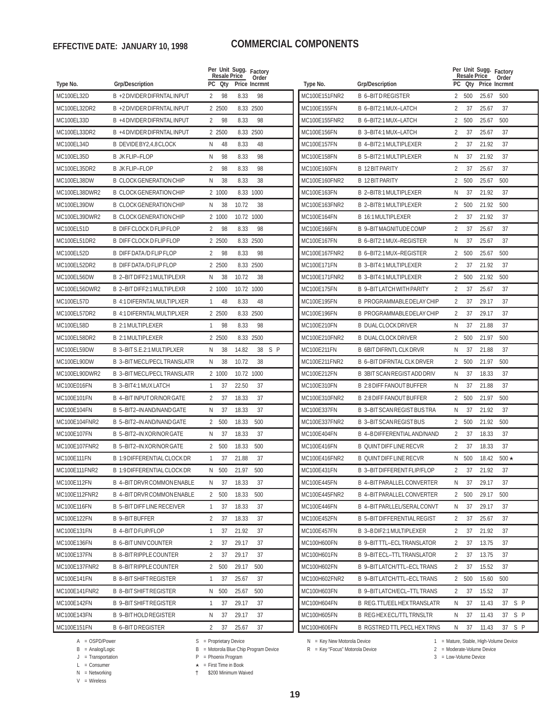| Type No.           | <b>Grp/Description</b>             | Per Unit Sugg. Factory<br><b>Resale Price</b><br>Order<br>PC Qty<br>Price Incrmnt | Type No.           | <b>Grp/Description</b>             | Per Unit Sugg. Factory<br><b>Resale Price</b><br>Order<br>PC Qtv Price Incrmnt |
|--------------------|------------------------------------|-----------------------------------------------------------------------------------|--------------------|------------------------------------|--------------------------------------------------------------------------------|
| MC100EL32D         | B +2 DIVIDER DIFRNTAL INPUT        | 8.33<br>98<br>2<br>98                                                             | MC100E151FNR2      | <b>B 6-BIT DREGISTER</b>           | 25.67<br>500<br>2 500                                                          |
| MC100EL32DR2       | B +2 DIVIDER DIFRNTAL INPUT        | 2 2500<br>8.33 2500                                                               | MC100E155FN        | B 6-BIT2:1MUX-LATCH                | 2<br>37<br>25.67<br>37                                                         |
| MC100EL33D         | B +4 DIVIDER DIFRNTAL INPUT        | 98<br>98<br>8.33<br>2                                                             | MC100E155FNR2      | B 6-BIT2:1MUX-LATCH                | 500<br>$\mathbf{2}$<br>500<br>25.67                                            |
| MC100EL33DR2       | B +4 DIVIDER DIFRNTAL INPUT        | 2 2500<br>8.33 2500                                                               | MC100E156FN        | B 3-BIT4:1MUX-LATCH                | 2<br>37<br>25.67<br>37                                                         |
| MC100EL34D         | B DEVIDE BY2,4,8 CLOCK             | 48<br>8.33<br>48<br>N                                                             | MC100E157FN        | B 4-BIT2:1MULTIPLEXER              | 37<br>2<br>37<br>21.92                                                         |
| MC100EL35D         | <b>B JKFLIP-FLOP</b>               | 98<br>8.33<br>98<br>Ν                                                             | MC100E158FN        | B 5-BIT2:1MULTIPLEXER              | 37<br>37<br>21.92<br>N                                                         |
| MC100EL35DR2       | <b>B JKFLIP-FLOP</b>               | 98<br>98<br>2<br>8.33                                                             | MC100E160FN        | <b>B 12 BIT PARITY</b>             | $\overline{2}$<br>25.67<br>37<br>37                                            |
| MC100EL38DW        | <b>B CLOCK GENERATION CHIP</b>     | 38<br>8.33<br>38<br>N                                                             | MC100E160FNR2      | <b>B 12 BIT PARITY</b>             | 25.67<br>500<br>2<br>500                                                       |
| MC100EL38DWR2      | <b>B CLOCK GENERATION CHIP</b>     | 2 1000<br>8.33 1000                                                               | MC100E163FN        | B 2-BIT8:1MULTIPLEXER              | 21.92<br>37<br>37<br>N                                                         |
| MC100EL39DW        | <b>B CLOCK GENERATION CHIP</b>     | 10.72<br>38<br>38<br>N                                                            | MC100E163FNR2      | B 2-BIT8:1MULTIPLEXER              | 21.92<br>500<br>2 500                                                          |
| MC100EL39DWR2      | <b>B CLOCK GENERATION CHIP</b>     | 10.72 1000<br>2 1000                                                              | <b>MC100E164FN</b> | B 16:1 MULTIPLEXER                 | 21.92<br>37<br>2<br>37                                                         |
| MC100EL51D         | <b>B DIFF CLOCK D FLIP FLOP</b>    | 98<br>$\overline{2}$<br>98<br>8.33                                                | MC100E166FN        | <b>B 9-BIT MAGNITUDE COMP</b>      | 25.67<br>37<br>2<br>37                                                         |
| MC100EL51DR2       | <b>B DIFF CLOCK D FLIP FLOP</b>    | 2 2500<br>8.33 2500                                                               | MC100E167FN        | B 6-BIT2:1MUX-REGISTER             | 37<br>37<br>25.67<br>N                                                         |
| <b>MC100EL52D</b>  | <b>B DIFF DATA/D FLIP FLOP</b>     | 98<br>$\mathbf{2}$<br>-98<br>8.33                                                 | MC100E167FNR2      | B 6-BIT2:1MUX-REGISTER             | 500<br>2 500<br>25.67                                                          |
| MC100EL52DR2       | <b>B DIFF DATA/D FLIP FLOP</b>     | 2 2500<br>8.33 2500                                                               | MC100E171FN        | B 3-BIT4:1MULTIPLEXER              | 37<br>2<br>37<br>21.92                                                         |
| MC100EL56DW        | B 2-BIT DIFF2:1 MULTIPLEXR         | 10.72<br>38<br>38<br>N                                                            | MC100E171FNR2      | B 3-BIT4:1 MULTIPLEXER             | 21.92<br>500<br>2<br>500                                                       |
| MC100EL56DWR2      | B 2-BIT DIFF2:1 MULTIPLEXR         | 2 1000<br>10.72 1000                                                              | MC100E175FN        | B 9-BIT LATCH WITH PARITY          | 25.67<br>2<br>37<br>37                                                         |
| <b>MC100EL57D</b>  | <b>B 4:1 DIFERNTAL MULTIPLXER</b>  | 8.33<br>48<br>48<br>1                                                             | MC100E195FN        | <b>B PROGRAMMABLE DELAY CHIP</b>   | 37<br>29.17<br>37<br>2                                                         |
| MC100EL57DR2       | <b>B 4:1 DIFERNTAL MULTIPLXER</b>  | 2 2500<br>8.33 2500                                                               | MC100E196FN        | B PROGRAMMABLE DELAY CHIP          | 37<br>29.17<br>37<br>2                                                         |
| <b>MC100EL58D</b>  | <b>B 2:1 MULTIPLEXER</b>           | 98<br>98<br>8.33<br>1                                                             | MC100E210FN        | <b>B DUAL CLOCK DRIVER</b>         | 37<br>37<br>21.88<br>N                                                         |
| MC100EL58DR2       | <b>B 2:1 MULTIPLEXER</b>           | 2 2500<br>8.33 2500                                                               | MC100E210FNR2      | <b>B DUAL CLOCK DRIVER</b>         | 500<br>2 500<br>21.97                                                          |
| MC100EL59DW        | B 3-BIT S.E.2:1 MULTIPLXER         | 38<br>14.82<br>38 S P<br>N.                                                       | MC100E211FN        | <b>B 6BIT DIFRNTL CLK DRVR</b>     | 37<br>21.88<br>37<br>N                                                         |
| MC100EL90DW        | <b>B 3-BITMECL/PECLTRANSLATR</b>   | 38<br>10.72<br>38<br>N                                                            | MC100E211FNR2      | <b>B 6-BIT DIFRNTAL CLK DRVER</b>  | 500<br>2 500<br>21.97                                                          |
| MC100EL90DWR2      | <b>B 3-BITMECL/PECLTRANSLATR</b>   | 2 1000<br>10.72 1000                                                              | MC100E212FN        | <b>B 3BIT SCAN REGIST ADD DRIV</b> | 37<br>18.33<br>37<br>N                                                         |
| MC100E016FN        | B 3-BIT4:1 MUX LATCH               | 37<br>37<br>22.50<br>1                                                            | MC100E310FN        | <b>B 2:8 DIFF FANOUT BUFFER</b>    | 21.88<br>37<br>37<br>N                                                         |
| MC100E101FN        | <b>B 4-BIT INPUT OR/NOR GATE</b>   | 2<br>37<br>18.33<br>37                                                            | MC100E310FNR2      | <b>B 2:8 DIFF FANOUT BUFFER</b>    | 2 500<br>21.97<br>500                                                          |
| MC100E104FN        | B 5-BIT2-IN AND/NAND GATE          | 18.33<br>37<br>37<br>N                                                            | MC100E337FN        | <b>B 3-BIT SCAN REGIST BUS TRA</b> | 21.92<br>37<br>37<br>N                                                         |
| MC100E104FNR2      | B 5-BIT2-IN AND/NAND GATE          | 500<br>2 500<br>18.33                                                             | MC100E337FNR2      | <b>B 3-BIT SCAN REGIST BUS</b>     | 21.92<br>500<br>2 500                                                          |
| MC100E107FN        | B 5-BIT2-IN XOR/NOR GATE           | 37<br>18.33<br>37<br>N                                                            | MC100E404FN        | B 4-B DIFFERENTIAL AND/NAND        | 37<br>2<br>37<br>18.33                                                         |
| MC100E107FNR2      | B 5-BIT2-IN XOR/NOR GATE           | 2 500<br>18.33<br>500                                                             | MC100E416FN        | <b>B QUINT DIFF LINE RECVR</b>     | 37<br>2<br>37<br>18.33                                                         |
| <b>MC100E111FN</b> | <b>B 1:9 DIFFERENTIAL CLOCK DR</b> | 37<br>21.88<br>37<br>$\mathbf{1}$                                                 | MC100E416FNR2      | <b>B QUINT DIFF LINE RECVR</b>     | N 500<br>18.42<br>500 $\star$                                                  |
| MC100E111FNR2      | B 1:9 DIFFERENTIAL CLOCK DR        | N 500<br>21.97<br>500                                                             | MC100E431FN        | <b>B 3-BIT DIFFERENT FLIP/FLOP</b> | 37<br>21.92<br>37<br>$\mathbf{2}$                                              |
| MC100E112FN        | B 4-BIT DRVR COMMON ENABLE         | 18.33<br>37<br>37<br>N.                                                           | MC100E445FN        | B 4-BIT PARALLEL CONVERTER         | 29.17<br>37<br>37<br>N.                                                        |
| MC100E112FNR2      | B 4-BIT DRVR COMMON ENABLE         | 2 500<br>18.33<br>500                                                             | MC100E445FNR2      | <b>B 4-BIT PARALLEL CONVERTER</b>  | 500<br>2 500<br>29.17                                                          |
| MC100E116FN        | <b>B 5-BIT DIFF LINE RECEIVER</b>  | 18.33<br>37<br>$\mathbf{1}$<br>37                                                 | MC100E446FN        | B 4-BIT PARLLEL/SERAL CONVT        | 29.17<br>37<br>N<br>37                                                         |
| MC100E122FN        | <b>B 9-BIT BUFFER</b>              | 2<br>37<br>18.33<br>37                                                            | MC100E452FN        | <b>B 5-BIT DIFFERENTIAL REGIST</b> | 37<br>25.67<br>37<br>$\mathbf{2}$                                              |
| MC100E131FN        | <b>B 4-BITDFLIP/FLOP</b>           | 37<br>21.92<br>37<br>1                                                            | <b>MC100E457FN</b> | B 3-BDIF2:1 MULTIPLEXER            | 37<br>37<br>21.92<br>2                                                         |
| MC100E136FN        | <b>B 6-BITUNIV COUNTER</b>         | 37<br>29.17<br>37<br>2                                                            | MC100H600FN        | B 9-BIT TTL-ECL TRANSLATOR         | 37<br>37<br>13.75<br>2                                                         |
| MC100E137FN        | <b>B 8-BIT RIPPLE COUNTER</b>      | 37<br>29.17<br>37<br>2                                                            | MC100H601FN        | B 9-BIT ECL-TTL TRANSLATOR         | 37<br>13.75<br>37<br>2                                                         |
| MC100E137FNR2      | <b>B 8-BIT RIPPLE COUNTER</b>      | 2 500<br>29.17<br>500                                                             | MC100H602FN        | B 9-BIT LATCH/TTL-ECL TRANS        | 15.52<br>37<br>$\mathbf{2}$<br>37                                              |
| MC100E141FN        | <b>B 8-BIT SHIFT REGISTER</b>      | 37<br>25.67<br>37<br>$\mathbf{1}$                                                 | MC100H602FNR2      | B 9-BIT LATCH/TTL-ECL TRANS        | 2 500<br>15.60<br>500                                                          |
| MC100E141FNR2      | <b>B 8-BIT SHIFT REGISTER</b>      | 500<br>500<br>25.67<br>N.                                                         | MC100H603FN        | B 9-BIT LATCH/ECL-TTL TRANS        | 15.52<br>37<br>2<br>37                                                         |
| MC100E142FN        | <b>B 9-BIT SHIFT REGISTER</b>      | 29.17<br>37<br>37<br>1                                                            | MC100H604FN        | B REG.TTL/EELHEXTRANSLATR          | 37 S P<br>37<br>N<br>11.43                                                     |
| MC100E143FN        | <b>B 9-BITHOLD REGISTER</b>        | 29.17<br>Ν<br>37<br>37                                                            | MC100H605FN        | <b>B REGHEXECL/TTLTRNSLTR</b>      | 37 S P<br>N<br>37<br>11.43                                                     |
| MC100E151FN        | <b>B 6-BITDREGISTER</b>            | 37<br>25.67<br>37<br>2                                                            | MC100H606FN        | <b>B RGSTRED TTL PECLHEX TRNS</b>  | 37<br>37 S P<br>N<br>11.43                                                     |

J = Transportation P = Phoenix Program 3 = Low-Volume Device

- 
- $L = \text{Consumer}$ <br>  $N = \text{Networking}$ <br>  $V = \text{Wireless}$

B = Analog/Logic entropyrology by B = Motorola Blue Chip Program Device R = Key "Focus" Motorola Device 2 = Moderate-Volume Device

 $L =$  Consumer  $\star =$  First Time in Book

N = Networking - and the state of the state of the state of the state of the state of the state of the state of the state of the state of the state of the state of the state of the state of the state of the state of the st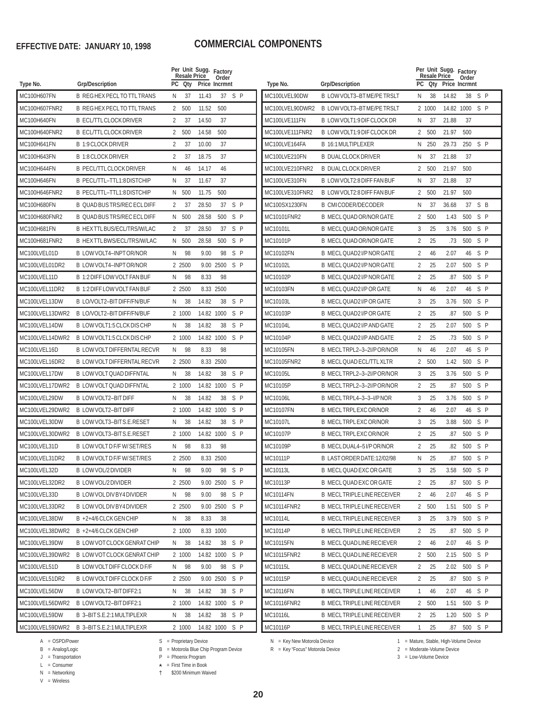| Type No.        | <b>Grp/Description</b>                  | <b>Resale Price</b><br>PC Qtv | Per Unit Sugg. Factory<br>Order<br>Price Incrmnt | Type No.         | <b>Grp/Description</b>            | PC                  | Per Unit Sugg. Factory<br>Resale Price Order<br><b>Qty</b> Price Incrmnt |            |         |
|-----------------|-----------------------------------------|-------------------------------|--------------------------------------------------|------------------|-----------------------------------|---------------------|--------------------------------------------------------------------------|------------|---------|
| MC100H607FN     | <b>B REGHEXPECLTOTTLTRANS</b>           | 37<br>N                       | 11.43<br>37 S P                                  | MC100LVEL90DW    | <b>B LOW VOLT3-BT ME/PE TRSLT</b> | N<br>38             | 14.82                                                                    |            | 38 S P  |
| MC100H607FNR2   | <b>B REGHEXPECLTOTTLTRANS</b>           | 500<br>$\mathbf{2}$           | 11.52<br>500                                     | MC100LVEL90DWR2  | <b>B LOW VOLT3-BT ME/PE TRSLT</b> | 2 1000              |                                                                          | 14.82 1000 | S P     |
| MC100H640FN     | <b>B ECLITTL CLOCK DRIVER</b>           | 2<br>37                       | 14.50<br>37                                      | MC100LVE111FN    | B LOW VOLT1:9 DIF CLOCK DR        | 37<br>N             | 21.88                                                                    | 37         |         |
| MC100H640FNR2   | <b>B ECL/TTL CLOCK DRIVER</b>           | $\overline{2}$<br>500         | 14.58<br>500                                     | MC100LVE111FNR2  | B LOW VOLT1:9 DIF CLOCK DR        | 500<br>2            | 21.97                                                                    | 500        |         |
| MC100H641FN     | <b>B 1:9 CLOCK DRIVER</b>               | 2<br>37                       | 10.00<br>37                                      | MC100LVE164FA    | <b>B 16:1 MULTIPLEXER</b>         | N 250               | 29.73                                                                    |            | 250 S P |
| MC100H643FN     | <b>B 1:8 CLOCK DRIVER</b>               | 2<br>37                       | 18.75<br>37                                      | MC100LVE210FN    | <b>B DUALCLOCK DRIVER</b>         | 37<br>N             | 21.88                                                                    | 37         |         |
| MC100H644FN     | <b>B PECL/TTLCLOCK DRIVER</b>           | 46<br>N                       | 14.17<br>46                                      | MC100LVE210FNR2  | <b>B DUALCLOCK DRIVER</b>         | 500<br>2            | 21.97                                                                    | 500        |         |
| MC100H646FN     | B PECL/TTL-TTL1:8DISTCHIP               | 37<br>N                       | 11.67<br>37                                      | MC100LVE310FN    | B LOW VOLT2:8 DIFF FAN BUF        | 37<br>N             | 21.88                                                                    | 37         |         |
| MC100H646FNR2   | B PECL/TTL-TTL1:8DISTCHIP               | 500<br>N                      | 500<br>11.75                                     | MC100LVE310FNR2  | B LOW VOLT2:8 DIFF FAN BUF        | 500<br>$\mathbf{2}$ | 21.97                                                                    | 500        |         |
| MC100H680FN     | <b>B QUAD BUS TRS/REC ECL DIFF</b>      | 37<br>2                       | 37 S P<br>28.50                                  | MC100SX1230FN    | <b>B CMICODER/DECODER</b>         | N<br>37             | 36.68                                                                    |            | 37 S B  |
| MC100H680FNR2   | <b>B QUAD BUS TRS/REC ECL DIFF</b>      | 500<br>N.                     | 500 S P<br>28.58                                 | MC10101FNR2      | B MECLOUAD OR/NOR GATE            | $\mathbf{2}$<br>500 | 1.43                                                                     | 500        | S P     |
| MC100H681FN     | <b>B HEXTTL BUS/ECL/TRS/W/LAC</b>       | 37<br>2                       | 28.50<br>37 S P                                  | MC10101L         | B MECLOUAD OR/NOR GATE            | 3<br>25             | 3.76                                                                     | 500 S P    |         |
| MC100H681FNR2   | <b>B HEXTTLBWS/ECL/TRS/W/LAC</b>        | 500<br>N                      | 28.58<br>500 S P                                 | MC10101P         | B MECL QUAD OR/NOR GATE           | 2<br>25             | .73                                                                      | 500 S P    |         |
| MC100LVEL01D    | B LOW VOLT4-INPT OR/NOR                 | 98<br>N                       | 9.00<br>98 S P                                   | MC10102FN        | <b>B MECLOUAD2I/PNOR GATE</b>     | 2<br>46             | 2.07                                                                     |            | 46 S P  |
| MC100LVEL01DR2  | B LOW VOLT4-INPT OR/NOR                 | 2 2500                        | 9.00 2500<br>S P                                 | MC10102L         | B MECL QUAD2 I/P NOR GATE         | 2<br>25             | 2.07                                                                     | 500        | S P     |
| MC100LVEL11D    | B 1:2 DIFF LOW VOLT FAN BUF             | 98<br>N                       | 8.33<br>98                                       | MC10102P         | B MECLQUAD2 I/P NOR GATE          | 25<br>2             | .87                                                                      | 500        | S P     |
| MC100LVEL11DR2  | B 1:2 DIFF LOW VOLT FAN BUF             | 2 2500                        | 8.33 2500                                        | MC10103FN        | B MECLOUAD2 I/P OR GATE           | N<br>46             | 2.07                                                                     |            | 46 S P  |
| MC100LVEL13DW   | B LO/VOLT2-BIT DIFF/FN/BUF              | 38<br>N                       | 38 S P<br>14.82                                  | MC10103L         | B MECL QUAD2 I/P OR GATE          | 25<br>3             | 3.76                                                                     |            | 500 S P |
| MC100LVEL13DWR2 | B LO/VOLT2-BIT DIFF/FN/BUF              | 2 1000                        | 14.82 1000 S P                                   | MC10103P         | B MECL QUAD2 I/P OR GATE          | 25<br>2             | .87                                                                      |            | 500 S P |
| MC100LVEL14DW   | B LOW VOLT1:5 CLCK DISCHP               | 38<br>N                       | S P<br>14.82<br>38                               | MC10104L         | B MECL QUAD2 I/P AND GATE         | 2<br>25             | 2.07                                                                     | 500        | S P     |
| MC100LVEL14DWR2 | B LOW VOLT1:5 CLCK DISCHP               | 2 1000                        | 14.82 1000 S P                                   | MC10104P         | B MECLQUAD2 I/P AND GATE          | 2<br>25             | .73                                                                      | 500 S P    |         |
| MC100LVEL16D    | <b>B LOW VOLT DIFFERNTAL RECVR</b>      | 98<br>N                       | 8.33<br>98                                       | MC10105FN        | B MECLTRPL2-3-2I/POR/NOR          | N<br>46             | 2.07                                                                     |            | 46 S P  |
| MC100LVEL16DR2  | <b>B LOW VOLT DIFFERNTAL RECVR</b>      | 2 2500                        | 8.33 2500                                        | MC10105FNR2      | <b>B MECLQUAD ECL/TTL XLTR</b>    | 2 500               | 1.42                                                                     | 500 S P    |         |
| MC100LVEL17DW   | B LOW VOLT QUAD DIFFNTAL                | 38<br>N                       | 14.82<br>38 S P                                  | MC10105L         | B MECLTRPL2-3-2I/POR/NOR          | 3<br>25             | 3.76                                                                     | 500        | S P     |
| MC100LVEL17DWR2 | B LOW VOLT QUAD DIFFNTAL                | 2 1000                        | 14.82 1000 S P                                   | MC10105P         | B MECLTRPL2-3-2I/POR/NOR          | 25<br>2             | .87                                                                      | 500        | S P     |
| MC100LVEL29DW   | <b>B LOWVOLT2-BIT DIFF</b>              | 38<br>N                       | 14.82<br>38 S P                                  | MC10106L         | B MECLTRPL4-3-3-I/PNOR            | 3<br>25             | 3.76                                                                     |            | 500 S P |
| MC100LVEL29DWR2 | B LOWVOLT2-BIT DIFF                     | 2 1000                        | 14.82 1000 S P                                   | <b>MC10107FN</b> | <b>B MECLTRPLEXCOR/NOR</b>        | 2<br>46             | 2.07                                                                     |            | 46 S P  |
| MC100LVEL30DW   | B LOW VOLT3-BIT S.E. RESET              | 38<br>N                       | 38 S P<br>14.82                                  | MC10107L         | <b>B MECLTRPLEXCOR/NOR</b>        | 3<br>25             | 3.88                                                                     |            | 500 S P |
|                 | MC100LVEL30DWR2 B LOWVOLT3-BITS.E.RESET | 2 1000                        | S P<br>14.82 1000                                | MC10107P         | <b>B MECLTRPLEXCOR/NOR</b>        | 25<br>2             | .87                                                                      | 500        | S P     |
| MC100LVEL31D    | <b>B LOW VOLT D F/F W/ SET/RES</b>      | 98<br>N                       | 8.33<br>98                                       | MC10109P         | B MECLDUAL4-51/POR/NOR            | 25<br>2             | .82                                                                      | 500 S P    |         |
| MC100LVEL31DR2  | <b>B LOWVOLT DF/F W/SET/RES</b>         | 2 2500                        | 8.33 2500                                        | MC10111P         | B LAST ORDER DATE:12/02/98        | 25<br>N             | .87                                                                      | 500 S P    |         |
| MC100LVEL32D    | <b>B LOWVOL/2DIVIDER</b>                | 98<br>N                       | 98 S P<br>9.00                                   | MC10113L         | B MECLOUAD EXCORGATE              | 25<br>3             | 3.58                                                                     | 500 S P    |         |
| MC100LVEL32DR2  | <b>B LOWVOL/2 DIVIDER</b>               | 2 2500                        | 9.00 2500 S P                                    | MC10113P         | B MECLOUAD EXCORGATE              | 25<br>$\mathbf{2}$  | .87                                                                      | 500 S P    |         |
| MC100LVEL33D    | <b>B LOW VOL DIV BY4 DIVIDER</b>        | N 98                          | 98 S P<br>9.00                                   | <b>MC10114FN</b> | <b>B MECLTRIPLE LINE RECEIVER</b> | 2<br>46             | 2.07                                                                     |            | 46 S P  |
| MC100LVEL33DR2  | B LOW VOL DIV BY4 DIVIDER               | 2 2500                        | 9.00 2500 S P                                    | MC10114FNR2      | <b>B MECLTRIPLE LINE RECEIVER</b> | 2 500               | 1.51                                                                     |            | 500 S P |
| MC100LVEL38DW   | B +2+4/6 CLCK GEN CHIP                  | N 38                          | 8.33<br>38                                       | MC10114L         | <b>B MECLTRIPLE LINE RECEIVER</b> | 3<br>25             | 3.79                                                                     |            | 500 S P |
| MC100LVEL38DWR2 | B +2+4/6 CLCK GEN CHIP                  | 2 1000                        | 8.33 1000                                        | MC10114P         | <b>B MECLTRIPLE LINE RECEIVER</b> | $\mathbf{2}$<br>25  | .87                                                                      |            | 500 S P |
| MC100LVEL39DW   | <b>B LOW VOT CLOCK GENRAT CHIP</b>      | 38<br>N                       | 38 S P<br>14.82                                  | <b>MC10115FN</b> | <b>B MECLOUAD LINE RECIEVER</b>   | $\mathbf{2}$<br>46  | 2.07                                                                     |            | 46 S P  |
| MC100LVEL39DWR2 | B LOW VOT CLOCK GENRAT CHIP             | 2 1000                        | 14.82 1000 S P                                   | MC10115FNR2      | <b>B MECLOUAD LINE RECIEVER</b>   | 2 500               | 2.15                                                                     |            | 500 S P |
| MC100LVEL51D    | <b>B LOW VOLT DIFF CLOCK D F/F</b>      | N 98                          | 9.00<br>98 S P                                   | MC10115L         | <b>B MECLOUAD LINE RECIEVER</b>   | $\mathbf{2}$<br>25  | 2.02                                                                     |            | 500 S P |
| MC100LVEL51DR2  | B LOW VOLT DIFF CLOCK D F/F             | 2 2500                        | 9.00 2500 S P                                    | MC10115P         | <b>B MECLOUAD LINE RECIEVER</b>   | $\mathbf{2}$<br>25  | .87                                                                      |            | 500 S P |
| MC100LVEL56DW   | B LOW VOLT2-BIT DIFF2:1                 | 38<br>N                       | 14.82<br>38 S P                                  | <b>MC10116FN</b> | <b>B MECLTRIPLE LINE RECEIVER</b> | $\mathbf{1}$<br>46  | 2.07                                                                     |            | 46 S P  |
|                 | MC100LVEL56DWR2 B LOW VOLT2-BIT DIFF2:1 | 2 1000                        | 14.82 1000 S P                                   | MC10116FNR2      | <b>B MECLTRIPLE LINE RECEIVER</b> | 2 500               | 1.51                                                                     |            | 500 S P |
| MC100LVEL59DW   | B 3-BIT S.E.2:1 MULTIPLEXR              | 38<br>N                       | 14.82<br>38 S P                                  | MC10116L         | <b>B MECLTRIPLE LINE RECEIVER</b> | $\mathbf{2}$<br>25  | 1.20                                                                     |            | 500 S P |
| MC100LVEL59DWR2 | B 3-BIT S.E.2:1 MULTIPLEXR              | 2 1000                        | 14.82 1000 S P                                   | MC10116P         | <b>B MECLTRIPLE LINE RECEIVER</b> | 25<br>$\mathbf{1}$  | .87                                                                      |            | 500 S P |

- 
- 
- 
- 
- $L = \text{Consumer}$ <br>  $N = \text{Networking}$ <br>  $V = \text{Wireless}$

B = Analog/Logic entropy of the Motorola Blue Chip Program Device R = Key "Focus" Motorola Device 2 = Moderate-Volume Device

- J = Transportation P = Phoenix Program 3 = Low-Volume Device
- $L =$  Consumer  $\star =$  First Time in Book
- N = Networking extensive that the state of the state of the state of the state of the state of the state of the state of the state of the state of the state of the state of the state of the state of the state of the state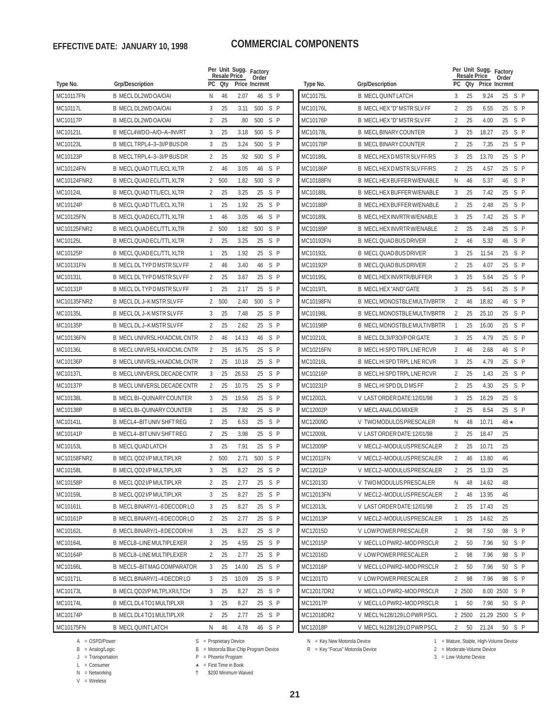|                  |                                  | Per Unit Sugg. Factory<br><b>Resale Price</b> |       |                        |                  |                                  |                |        | <b>Resale Price</b> | Per Unit Sugg. Factory        |
|------------------|----------------------------------|-----------------------------------------------|-------|------------------------|------------------|----------------------------------|----------------|--------|---------------------|-------------------------------|
| Type No.         | <b>Grp/Description</b>           | PC Qty                                        |       | Order<br>Price Incrmnt | Type No.         | <b>Grp/Description</b>           |                |        |                     | Order<br>PC Qty Price Incrmnt |
| <b>MC10117FN</b> | <b>B MECLDL2WDOA/OAI</b>         | N<br>46                                       | 2.07  | 46 S P                 | MC10175L         | <b>B MECLQUINT LATCH</b>         | 3              | 25     | 9.24                | 25 S P                        |
| MC10117L         | <b>B MECLDL2WDOA/OAI</b>         | 25<br>3                                       | 3.11  | S P<br>500             | MC10176L         | <b>B MECLHEX "D" MSTR SLV FF</b> | 2              | 25     | 6.55                | 25<br>S P                     |
| MC10117P         | B MECLDL2WDOA/OAI                | 25<br>2                                       | .80   | 500 S P                | MC10176P         | <b>B MECLHEX "D" MSTR SLV FF</b> | 2              | 25     | 4.00                | 25 S P                        |
| MC10121L         | B MECL4WDO-A/O-A-INVRT           | 25<br>3                                       | 3.18  | 500 S P                | MC10178L         | <b>B MECLBINARY COUNTER</b>      | 3              | 25     | 18.27               | 25 S P                        |
| MC10123L         | B MECLTRPL4-3-3I/PBUSDR          | 25<br>3                                       | 3.24  | 500 S P                | MC10178P         | <b>B MECLBINARY COUNTER</b>      | 2              | 25     | 7.35                | 25 S P                        |
| MC10123P         | B MECLTRPL4-3-3I/PBUSDR          | 25<br>2                                       | .92   | 500 S P                | MC10186L         | <b>B MECLHEX DMSTR SLV FF/RS</b> | 3              | 25     | 13.70               | 25 S P                        |
| MC10124FN        | <b>B MECLQUAD TTL/ECLXLTR</b>    | 2<br>46                                       | 3.05  | 46 S P                 | MC10186P         | <b>B MECLHEX DMSTR SLV FF/RS</b> | 2              | 25     | 4.57                | 25 S P                        |
| MC10124FNR2      | <b>B MECLQUAD ECL/TTL XLTR</b>   | 2 500                                         | 1.82  | 500 S P                | <b>MC10188FN</b> | <b>B MECLHEXBUFFERW/ENABLE</b>   | N              | 46     | 5.37                | 46 S P                        |
| MC10124L         | B MECLOUAD TTL/ECLXLTR           | 25<br>2                                       | 3.25  | 25 S P                 | MC10188L         | <b>B MECLHEXBUFFERW/ENABLE</b>   | 3              | 25     | 7.42                | 25 S P                        |
| MC10124P         | B MECLOUAD TTL/ECLXLTR           | 25<br>1                                       | 1.92  | 25 S P                 | MC10188P         | <b>B MECLHEXBUFFERW/ENABLE</b>   | 2              | 25     | 2.48                | 25 S P                        |
| MC10125FN        | <b>B MECLQUAD ECL/TTL XLTR</b>   | 46<br>1                                       | 3.05  | 46 S P                 | MC10189L         | <b>B MECLHEXINVRTRW/ENABLE</b>   | 3              | 25     | 7.42                | 25 S P                        |
| MC10125FNR2      | B MECLOUAD ECL/TTL XLTR          | 2 500                                         | 1.82  | 500 S P                | MC10189P         | <b>B MECLHEXINVRTRW/ENABLE</b>   | $\overline{2}$ | 25     | 2.48                | 25 S P                        |
| MC10125L         | <b>B MECLQUAD ECL/TTL XLTR</b>   | 25<br>2                                       | 3.25  | 25 S P                 | <b>MC10192FN</b> | <b>B MECLOUAD BUS DRIVER</b>     | 2              | 46     | 5.32                | 46 S P                        |
| MC10125P         | <b>B MECLQUAD ECL/TTL XLTR</b>   | 25<br>1                                       | 1.92  | 25 S P                 | MC10192L         | <b>B MECLQUAD BUS DRIVER</b>     | 3              | 25     | 11.54               | 25 S P                        |
| MC10131FN        | <b>B MECLDLTYPDMSTRSLVFF</b>     | 2<br>46                                       | 3.40  | 46 S P                 | MC10192P         | <b>B MECLQUAD BUS DRIVER</b>     | 2              | 25     | 4.07                | S P<br>25                     |
| MC10131L         | <b>B MECLDLTYPDMSTRSLVFF</b>     | 25<br>2                                       | 3.67  | 25 S P                 | MC10195L         | <b>B MECLHEXINVRTR/BUFFER</b>    | 3              | 25     | 5.64                | 25 S P                        |
| MC10131P         | <b>B MECLDLTYPDMSTRSLVFF</b>     | 25<br>$\mathbf{1}$                            | 2.17  | 25 S P                 | MC10197L         | <b>B MECLHEX "AND" GATE</b>      | 3              | 25     | 5.61                | 25 S P                        |
| MC10135FNR2      | <b>B MECLDLJ-KMSTRSLVFF</b>      | 2 500                                         | 2.40  | 500 S P                | <b>MC10198FN</b> | <b>B MECLMONOSTBLEMULTIVBRTR</b> | 2              | 46     | 18.82               | 46 S P                        |
| MC10135L         | <b>B MECLDLJ-KMSTRSLVFF</b>      | 25<br>3                                       | 7.48  | 25 S P                 | MC10198L         | <b>B MECLMONOSTBLEMULTIVBRTR</b> | 2              | 25     | 25.10               | 25 S P                        |
| MC10135P         | <b>B MECLDLJ-KMSTRSLVFF</b>      | 25<br>2                                       | 2.62  | 25 S P                 | MC10198P         | <b>B MECLMONOSTBLEMULTIVBRTR</b> | $\mathbf{1}$   | 25     | 16.00               | 25<br>S P                     |
| <b>MC10136FN</b> | <b>B MECLUNIVRSLHXADCMLCNTR</b>  | $\overline{2}$<br>46                          | 14.13 | 46 S P                 | MC10210L         | B MECLDL3I/P3O/PORGATE           | 3              | 25     | 4.79                | 25 S P                        |
| MC10136L         | <b>B MECLUNIVRSLHXADCMLCNTR</b>  | 2<br>25                                       | 16.75 | 25 S P                 | <b>MC10216FN</b> | <b>B MECLHISPD TRPL LNE RCVR</b> | 2              | 46     | 2.68                | 46 S P                        |
| MC10136P         | <b>B MECLUNIVRSLHXADCMLCNTR</b>  | $\overline{2}$<br>25                          | 10.18 | 25 S P                 | MC10216L         | <b>B MECLHISPDTRPLLNERCVR</b>    | 3              | 25     | 4.79                | 25 S P                        |
| MC10137L         | <b>B MECLUNIVERSLDECADE CNTR</b> | 3<br>25                                       | 26.53 | 25 S P                 | MC10216P         | <b>B MECLHISPDTRPLLNERCVR</b>    | 2              | 25     | 1.43                | S P<br>25                     |
| MC10137P         | <b>B MECLUNIVERSLDECADE CNTR</b> | 25<br>2                                       | 10.75 | 25 S P                 | MC10231P         | <b>B MECLHISPDDLDMSFF</b>        | 2              | 25     | 4.30                | 25 S P                        |
| MC10138L         | <b>B MECLBI-QUINARY COUNTER</b>  | 3<br>25                                       | 19.56 | 25 S P                 | MC12002L         | V LAST ORDER DATE:12/01/98       | 3              | 25     | 16.29               | 25 S                          |
| MC10138P         | <b>B MECLBI-QUINARY COUNTER</b>  | 25<br>1                                       | 7.92  | 25 S P                 | MC12002P         | V MECLANALOGMIXER                | 2              | 25     | 8.54                | 25 S P                        |
| MC10141L         | <b>B MECL4-BITUNIV SHFT REG</b>  | 25<br>2                                       | 6.53  | 25 S P                 | MC12009D         | V TWOMODULOS PRESCALER           | N              | 48     | 10.71               | $48 \star$                    |
| MC10141P         | <b>B MECL4-BITUNIV SHFT REG</b>  | 25<br>2                                       | 3.98  | 25 S P                 | MC12009L         | V LAST ORDER DATE:12/01/98       | 2              | 25     | 18.47               | 25                            |
| MC10153L         | <b>B MECLOUAD LATCH</b>          | 25<br>3                                       | 7.91  | 25 S P                 | MC12009P         | V MECL2-MODULUSPRESCALER         | 2              | 25     | 10.71               | 25                            |
| MC10158FNR2      | <b>B MECLOD2I/PMULTIPLXR</b>     | 2 500                                         | 2.71  | 500 S P                | <b>MC12011FN</b> | V MECL2-MODULUSPRESCALER         | $\overline{2}$ | 46     | 13.80               | 46                            |
| MC10158L         | <b>B MECLOD2I/PMULTIPLXR</b>     | 3<br>25                                       | 8.27  | 25 S P                 | MC12011P         | V MECL2-MODULUSPRESCALER         | $\mathbf{2}$   | 25     | 11.33               | 25                            |
| MC10158P         | <b>B MECLOD2I/PMULTIPLXR</b>     | 25<br>$\overline{2}$                          | 2.77  | 25 S P                 | MC12013D         | V TWO MODULUS PRESCALER          | N              | 48     | 14.62               | 48                            |
| MC10159L         | <b>B MECLOD2I/PMULTIPLXR</b>     | 25<br>3                                       | 8.27  | 25 S P                 | MC12013FN        | V MECL2-MODULUSPRESCALER         | 2              | 46     | 13.95               | 46                            |
| MC10161L         | B MECLBINARY/1-8DECODRLO         | 3<br>25                                       | 8.27  | 25 S P                 | MC12013L         | V LAST ORDER DATE:12/01/98       | 2              | 25     | 17.43               | 25                            |
| MC10161P         | B MECLBINARY/1-8DECODRLO         | 25<br>2                                       | 2.77  | 25 S P                 | MC12013P         | V MECL2-MODULUSPRESCALER         | $\mathbf{1}$   | 25     | 14.62               | 25                            |
| MC10162L         | B MECLBINARY/1-8 DECODR HI       | 25<br>3                                       | 8.27  | 25 S P                 | MC12015D         | V LOWPOWERPRESCALER              | 2              | 98     | 7.50                | 98 S P                        |
| MC10164L         | <b>B MECL8-LINE MULTIPLEXER</b>  | 25<br>$\overline{2}$                          | 4.55  | 25 S P                 | MC12015P         | V MECLLOPWR2-MODPRSCLR           | 2              | 50     | 7.96                | 50 S P                        |
| MC10164P         | <b>B MECL8-LINE MULTIPLEXER</b>  | 25<br>$\overline{2}$                          | 2.77  | 25 S P                 | MC12016D         | V LOWPOWERPRESCALER              | $\overline{2}$ | 98     | 7.96                | 98 S P                        |
| MC10166L         | B MECL5-BITMAGCOMPARATOR         | 3<br>25                                       | 14.00 | 25 S P                 | MC12016P         | V MECLLOPWR2-MODPRSCLR           | $\overline{2}$ | 50     | 7.96                | 50 S P                        |
| MC10171L         | B MECLBINARY/1-4 DECDRLO         | 25<br>3                                       | 10.09 | 25 S P                 | MC12017D         | V LOWPOWERPRESCALER              | $\overline{2}$ | 98     | 7.96                | 98 S P                        |
| MC10173L         | B MECLOD2I/PMLTPLXR/LTCH         | 25<br>3                                       | 8.27  | 25 S P                 | MC12017DR2       | V MECLLOPWR2-MODPRSCLR           | 2 2500         |        |                     | 8.00 2500<br>S P              |
| MC10174L         | B MECLDL4TO1MULTIPLXR            | 3<br>25                                       | 8.27  | 25 S P                 | MC12017P         | V MECLLOPWR2-MODPRSCLR           | $\mathbf{1}$   | 50     | 7.96                | 50 S P                        |
| MC10174P         | B MECLDL4TO1MULTIPLXR            | $\overline{2}$<br>25                          | 2.77  | 25 S P                 | MC12018DR2       | V MECL%128/129 LOPWR PSCL        |                | 2 2500 |                     | 21.29 2500 S P                |
| <b>MC10175FN</b> | <b>B MECLOUINT LATCH</b>         | 46<br>N                                       | 4.78  | 46 S P                 | MC12018P         | V MECL%128/129 LO PWR PSCL       | $\mathbf{2}$   | 50     | 21.24               | 50 S P                        |

- 
- $L = \text{Consumer}$ <br>  $N = \text{Networking}$ <br>  $V = \text{Wireless}$
- 

B = Analog/Logic entropyrology by B = Motorola Blue Chip Program Device R = Key "Focus" Motorola Device 2 = Moderate-Volume Device

A = OSPD/Power external states and S = Proprietary Device N = Key New Motorola Device 1 = Mature, Stable, High-Volume Device

 $L =$  Consumer  $\star =$  First Time in Book

N = Networking - and the state of the state of the state of the state of the state of the state of the state of the state of the state of the state of the state of the state of the state of the state of the state of the st

```
21
```
J = Transportation P = Phoenix Program 3 = Low-Volume Device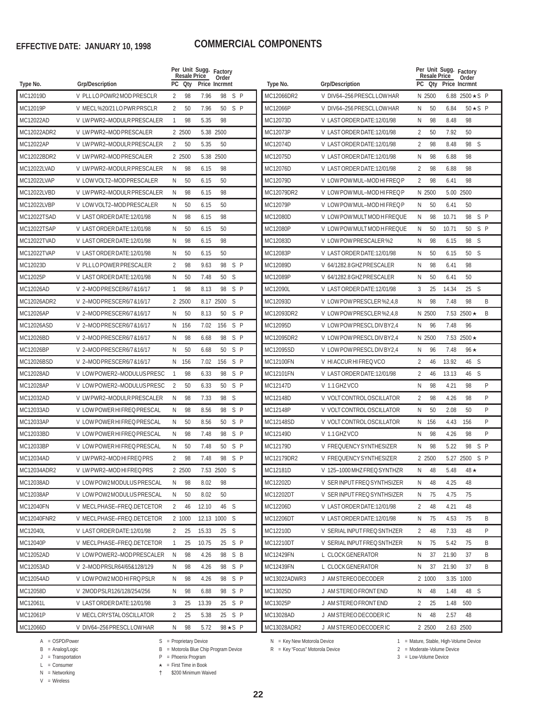| Type No.           | <b>Grp/Description</b>     | <b>Resale Price</b><br>PC Otv | Per Unit Sugg. Factory<br>Order<br>Price Incrmnt | Type No.         | <b>Grp/Description</b>      | <b>Resale Price</b>  | Per Unit Sugg. Factory<br>Order<br>PC Qty Price Incrmnt |
|--------------------|----------------------------|-------------------------------|--------------------------------------------------|------------------|-----------------------------|----------------------|---------------------------------------------------------|
| MC12019D           | V PLLLO POWR2 MOD PRESCLR  | 98<br>2                       | 98 S P<br>7.96                                   | MC12066DR2       | V DIV64-256 PRESCL LOW HAR  | N 2500               | 6.88 2500 $\star$ S P                                   |
| MC12019P           | V MECL%20/21 LO PWR PRSCLR | 50<br>2                       | 50 S P<br>7.96                                   | MC12066P         | V DIV64-256 PRESCLLOW HAR   | 50<br>N              | 6.84<br>$50 \star S$ P                                  |
| MC12022AD          | V LWPWR2-MODULR PRESCALER  | 98<br>1                       | 5.35<br>98                                       | MC12073D         | V LAST ORDER DATE:12/01/98  | 98<br>N              | 8.48<br>98                                              |
| MC12022ADR2        | V LWPWR2-MODPRESCALER      | 2 2500                        | 5.38 2500                                        | MC12073P         | V LAST ORDER DATE:12/01/98  | 50<br>2              | 50<br>7.92                                              |
| MC12022AP          | V LWPWR2-MODULR PRESCALER  | 50<br>2                       | 5.35<br>50                                       | MC12074D         | V LASTORDER DATE:12/01/98   | 98<br>2              | 8.48<br>98 S                                            |
| MC12022BDR2        | V LWPWR2-MODPRESCALER      | 2 2500                        | 5.38 2500                                        | MC12075D         | V LASTORDER DATE:12/01/98   | 98<br>N              | 6.88<br>98                                              |
| MC12022LVAD        | V LWPWR2-MODULR PRESCALER  | N<br>98                       | 98<br>6.15                                       | MC12076D         | V LAST ORDER DATE:12/01/98  | 98<br>2              | 98<br>6.88                                              |
| MC12022LVAP        | V LOWVOLT2-MODPRESCALER    | N<br>50                       | 6.15<br>50                                       | MC12079D         | V LOW POW MUL-MOD HI FREQ P | $\overline{2}$<br>98 | 6.41<br>98                                              |
| MC12022LVBD        | V LWPWR2-MODULR PRESCALER  | N<br>98                       | 6.15<br>98                                       | MC12079DR2       | V LOW POW MUL-MOD HI FREQ P | N 2500               | 5.00 2500                                               |
| MC12022LVBP        | V LOW VOLT2-MOD PRESCALER  | 50<br>N                       | 6.15<br>50                                       | MC12079P         | V LOW POW MUL-MOD HI FREQ P | 50<br>N              | 6.41<br>50                                              |
| MC12022TSAD        | V LAST ORDER DATE:12/01/98 | 98<br>N                       | 6.15<br>98                                       | MC12080D         | V LOW POW MULT MOD H FREQUE | 98<br>N              | 98 S P<br>10.71                                         |
| MC12022TSAP        | V LAST ORDER DATE:12/01/98 | 50<br>Ν                       | 50<br>6.15                                       | MC12080P         | V LOW POW MULT MOD H FREQUE | 50<br>N              | 50 S P<br>10.71                                         |
| MC12022TVAD        | V LAST ORDER DATE:12/01/98 | 98<br>N                       | 98<br>6.15                                       | MC12083D         | V LOWPOWPRESCALER%2         | 98<br>N              | 98 S<br>6.15                                            |
| <b>MC12022TVAP</b> | V LASTORDER DATE:12/01/98  | 50<br>N                       | 50<br>6.15                                       | MC12083P         | V LASTORDER DATE:12/01/98   | Ν<br>50              | 50 S<br>6.15                                            |
| MC12023D           | V PLLLOPOWER PRESCALER     | 98<br>2                       | 98 S P<br>9.63                                   | MC12089D         | V 64/1282.8 GHZ PRESCALER   | 98<br>N              | 98<br>6.41                                              |
| MC12025P           | V LASTORDER DATE:12/01/98  | 50<br>N                       | 7.48<br>50 S                                     | MC12089P         | V 64/1282.8 GHZ PRESCALER   | 50<br>N              | 50<br>6.41                                              |
| MC12026AD          | V 2-MOD PRESCER6/7 & 16/17 | 98<br>1                       | 8.13<br>98 S P                                   | MC12090L         | V LASTORDER DATE:12/01/98   | 3<br>25              | 25 S<br>14.34                                           |
| MC12026ADR2        | V 2-MOD PRESCER6/7 & 16/17 | 2 2500                        | 8.17 2500 S                                      | MC12093D         | V LOWPOWPRESCLER%2,4,8      | N<br>98              | 98<br>B<br>7.48                                         |
| MC12026AP          | V 2-MOD PRESCER6/7 & 16/17 | 50<br>Ν                       | 8.13<br>50<br>S P                                | MC12093DR2       | V LOWPOWPRESCLER%2,4,8      | N 2500               | B<br>7.53 2500 $\star$                                  |
| MC12026ASD         | V 2-MOD PRESCER6/7 & 16/17 | 156<br>N                      | S P<br>156<br>7.02                               | MC12095D         | V LOW POW PRESCL DIV BY2,4  | 96<br>N              | 7.48<br>96                                              |
| MC12026BD          | V 2-MOD PRESCER6/7 & 16/17 | 98<br>Ν                       | 98 S P<br>6.68                                   | MC12095DR2       | V LOW POW PRESCL DIV BY2,4  | N 2500               | 7.53 2500 $\star$                                       |
| MC12026BP          | V 2-MODPRESCER6/7&16/17    | 50<br>Ν                       | 6.68<br>50 S P                                   | MC12095SD        | V LOW POW PRESCL DIV BY2,4  | 96<br>N              | 7.48<br>$96 \star$                                      |
| MC12026BSD         | V 2-MOD PRESCER6/7 & 16/17 | 156<br>N                      | 156 S P<br>7.02                                  | <b>MC12100FN</b> | V HIACCURHIFREQVCO          | 2<br>46              | 13.92<br>46 S                                           |
| MC12028AD          | V LOWPOWER2-MODULUSPRESC   | 98<br>$\mathbf{1}$            | 6.33<br>98 S P                                   | <b>MC12101FN</b> | V LAST ORDER DATE:12/01/98  | 2<br>46              | 13.13<br>46 S                                           |
| MC12028AP          | V LOWPOWER2-MODULUS PRESC  | 50<br>2                       | 50 S P<br>6.33                                   | MC12147D         | V 1.1 GHZ VCO               | 98<br>N              | P<br>4.21<br>98                                         |
| MC12032AD          | V LWPWR2-MODULR PRESCALER  | N<br>98                       | 7.33<br>98 S                                     | MC12148D         | V VOLT CONTROL OSCILLATOR   | 2<br>98              | P<br>4.26<br>98                                         |
| MC12033AD          | V LOW POWER HIFREQ PRESCAL | N<br>98                       | 8.56<br>98 S P                                   | MC12148P         | V VOLT CONTROL OSCILLATOR   | N<br>50              | P<br>2.08<br>50                                         |
| MC12033AP          | V LOW POWER HIFREQ PRESCAL | 50<br>N                       | 8.56<br>50 S P                                   | MC12148SD        | V VOLT CONTROL OSCILLATOR   | N 156                | P<br>4.43<br>156                                        |
| MC12033BD          | V LOW POWER HIFREQ PRESCAL | 98<br>Ν                       | 98 S P<br>7.48                                   | MC12149D         | V 1.1 GHZ VCO               | 98<br>N              | P<br>98<br>4.26                                         |
| MC12033BP          | V LOW POWER HIFREQ PRESCAL | 50<br>Ν                       | 50 S P<br>7.48                                   | MC12179D         | V FREQUENCY SYNTHESIZER     | N<br>98              | S P<br>5.22<br>98                                       |
| MC12034AD          | V LW PWR2-MOD HIFREQ PRS   | 98<br>2                       | 7.48<br>98 S P                                   | MC12179DR2       | V FREQUENCY SYNTHESIZER     | 2 2500               | 5.27 2500 S P                                           |
| MC12034ADR2        | V LWPWR2-MODHIFREQPRS      | 2 2500                        | 7.53 2500 S                                      | MC12181D         | V 125-1000 MHZ FREQ SYNTHZR | N 48                 | 5.48<br>$48 \star$                                      |
| MC12038AD          | V LOWPOW2MODULUS PRESCAL   | 98<br>N.                      | 8.02<br>98                                       | MC12202D         | V SERINPUT FREQ SYNTHSIZER  | N<br>48              | 48<br>4.25                                              |
| MC12038AP          | V LOWPOW2MODULUS PRESCAL   | 50<br>N                       | 8.02<br>50                                       | MC12202DT        | V SERINPUT FREQSYNTHSIZER   | 75<br>N              | 4.75<br>75                                              |
| MC12040FN          | V MECLPHASE-FREQ.DETCETOR  | $\mathbf{2}$<br>46            | 12.10<br>46 S                                    | MC12206D         | V LAST ORDER DATE:12/01/98  | $\mathbf{2}$<br>48   | 4.21<br>48                                              |
| MC12040FNR2        | V MECLPHASE-FREQ.DETCETOR  | 2 1000                        | 12.13 1000 S                                     | MC12206DT        | V LAST ORDER DATE:12/01/98  | 75<br>N              | B<br>4.53<br>75                                         |
| MC12040L           | V LASTORDER DATE:12/01/98  | $\mathbf{2}$<br>25            | 15.33<br>25 S                                    | MC12210D         | V SERIAL INPUT FREQ SNTHZER | 48<br>$\overline{2}$ | P<br>7.33<br>48                                         |
| MC12040P           | V MECLPHASE-FREQ.DETCETOR  | 25<br>1                       | 25 S P<br>10.75                                  | MC12210DT        | V SERIAL INPUT FREQ SNTHZER | 75<br>N              | B<br>5.42<br>75                                         |
| MC12052AD          | V LOWPOWER2-MODPRESCALER   | N<br>98                       | 98 S B<br>4.26                                   | MC12429FN        | L CLOCK GENERATOR           | 37<br>N              | B<br>21.90<br>37                                        |
| MC12053AD          | V 2-MODPRSLR64/65&128/129  | 98<br>N                       | 98 S P<br>4.26                                   | <b>MC12439FN</b> | L CLOCK GENERATOR           | 37<br>N,             | B<br>21.90<br>37                                        |
| MC12054AD          | V LOW POW2 MOD HIFRQ PSLR  | 98<br>Ν                       | 98 S P<br>4.26                                   | MC13022ADWR3     | J AM STEREODECODER          | 2 1000               | 3.35 1000                                               |
| MC12058D           | V 2MODPSLR126/128/254/256  | 98<br>N                       | 98 S P<br>6.88                                   | MC13025D         | J AM STEREO FRONT END       | N<br>48              | 48 S<br>1.48                                            |
| MC12061L           | V LAST ORDER DATE:12/01/98 | 3<br>25                       | 13.39<br>25 S P                                  | MC13025P         | J AM STEREO FRONT END       | $\mathbf{2}$<br>25   | 1.48<br>500                                             |
| MC12061P           | V MECL CRYSTAL OSCILLATOR  | 2<br>25                       | 5.38<br>25 S P                                   | MC13028AD        | J AMSTEREODECODERIC         | N.<br>48             | 2.57<br>48                                              |
| MC12066D           | V DIV64-256 PRESCL LOW HAR | N<br>98                       | 5.72<br>98 ★ S P                                 | MC13028ADR2      | J AMSTEREODECODERIC         | 2 2500               | 2.63 2500                                               |
|                    |                            |                               |                                                  |                  |                             |                      |                                                         |

- 
- 

 $L =$  Consumer  $\star =$  First Time in Book

N = Networking extensive that the state of the state of the state of the state of the state of the state of the state of the state of the state of the state of the state of the state of the state of the state of the state

 $L = \text{Consumer}$ <br>  $N = \text{Networking}$ <br>  $V = \text{Wireless}$ 

- B = Analog/Logic entropy of the Motorola Blue Chip Program Device R = Key "Focus" Motorola Device 2 = Moderate-Volume Device
- -

A = OSPD/Power external states and S = Proprietary Device N = Key New Motorola Device 1 = Mature, Stable, High-Volume Device

J = Transportation P = Phoenix Program 3 = Low-Volume Device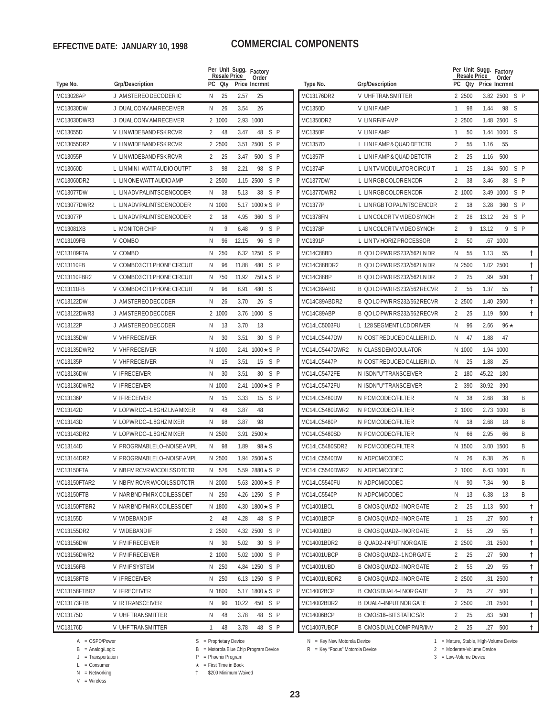| Type No.          | <b>Grp/Description</b>      | Per Unit Sugg. Factory<br><b>Resale Price</b><br>Order<br>PC<br>Oty<br>Price Incrmnt | Type No.          | <b>Grp/Description</b>        | Per Unit Sugg. Factory<br><b>Resale Price</b><br>Order<br>PC Qty<br>Price Incrmnt |
|-------------------|-----------------------------|--------------------------------------------------------------------------------------|-------------------|-------------------------------|-----------------------------------------------------------------------------------|
| MC13028AP         | J AM STEREO DECODER IC      | 25<br>2.57<br>25<br>N                                                                | MC13176DR2        | V UHF TRANSMITTER             | 3.82 2500 S P<br>2 2500                                                           |
| MC13030DW         | J DUAL CONV AM RECEIVER     | 26<br>3.54<br>26<br>N                                                                | MC1350D           | V LINIF AMP                   | 98<br><sub>S</sub><br>1.44<br>98<br>1                                             |
| MC13030DWR3       | J DUAL CONV AM RECEIVER     | 2 1000<br>2.93 1000                                                                  | MC1350DR2         | V LIN RF/IF AMP               | 1.48 2500 S<br>2 2500                                                             |
| MC13055D          | V LINWIDEBAND FSK RCVR      | 2<br>48<br>3.47<br>48<br>S P                                                         | MC1350P           | V LINIF AMP                   | 1.44 1000 S<br>50<br>1                                                            |
| MC13055DR2        | V LINWIDEBAND FSK RCVR      | 2 2500<br>3.51 2500 S P                                                              | MC1357D           | L LIN IF AMP & QUAD DETCTR    | 2<br>55<br>1.16<br>55                                                             |
| MC13055P          | V LINWIDEBAND FSK RCVR      | 2<br>25<br>3.47<br>500<br>S P                                                        | MC1357P           | L LIN IF AMP & QUAD DETCTR    | 500<br>2<br>25<br>1.16                                                            |
| MC13060D          | L LINMINI-WATT AUDIO OUTPT  | 98<br>98<br>S P<br>3<br>2.21                                                         | MC1374P           | L LINTVMODULATOR CIRCUIT      | 25<br>500<br>S P<br>1.84<br>1                                                     |
| MC13060DR2        | L LIN ONE WATT AUDIO AMP    | 1.15 2500 S P<br>2 2500                                                              | <b>MC1377DW</b>   | L LIN RGB COLOR ENCDR         | $\overline{2}$<br>38<br>S P<br>3.46<br>38                                         |
| MC13077DW         | L LIN ADV PAL/NTSC ENCODER  | 38 S P<br>-38<br>5.13<br>N                                                           | MC1377DWR2        | L LIN RGB COLOR ENCDR         | 3.49 1000<br>S P<br>2 1000                                                        |
| MC13077DWR2       | L LIN ADV PAL/NTSC ENCODER  | 5.17 1000 ★ S P<br>N 1000                                                            | MC1377P           | L LIN RGB TO PAL/NTSC ENCDR   | S P<br>$\overline{2}$<br>18<br>3.28<br>360                                        |
| MC13077P          | L LIN ADV PAL/NTSC ENCODER  | 360 S P<br>18<br>4.95<br>2                                                           | <b>MC1378FN</b>   | L LINCOLOR TV VIDEO SYNCH     | S P<br>26<br>13.12<br>26<br>2                                                     |
| MC13081XB         | L MONITOR CHIP              | 9<br>9 S P<br>N<br>6.48                                                              | MC1378P           | L LINCOLOR TV VIDEO SYNCH     | 13.12<br>9 S P<br>2<br>9                                                          |
| MC13109FB         | V COMBO                     | 96 S P<br>96<br>12.15<br>Ν                                                           | MC1391P           | L LINTVHORIZ PROCESSOR        | 2<br>50<br>.67 1000                                                               |
| MC13109FTA        | V COMBO                     | 250<br>6.32 1250 S P<br>N                                                            | MC14C88BD         | B QD LOPWR RS232/562 LN DR    | $\ddagger$<br>N<br>55<br>1.13<br>55                                               |
| <b>MC13110FB</b>  | V COMBO3 CT1 PHONE CIRCUIT  | 96<br>11.88<br>480<br>S P<br>Ν                                                       | MC14C88BDR2       | B OD LOPWR RS232/562 LN DR    | $+$<br>N 2500<br>1.02 2500                                                        |
| MC13110FBR2       | V COMBO3 CT1 PHONE CIRCUIT  | 750 ★ S P<br>750<br>11.92<br>N                                                       | MC14C88BP         | B QD LOPWR RS232/562 LN DR    | $\ddagger$<br>2<br>25<br>.99<br>500                                               |
| <b>MC13111FB</b>  | V COMBO4 CT1 PHONE CIRCUIT  | 96<br>8.91<br>480 S<br>N                                                             | MC14C89ABD        | B QDLOPWRRS232/562 RECVR      | $^\dagger$<br>$\overline{2}$<br>55<br>1.37<br>55                                  |
| MC13122DW         | J AMSTEREODECODER           | 26 S<br>26<br>3.70<br>N                                                              | MC14C89ABDR2      | B ODLOPWR RS232/562 RECVR     | $+$<br>2 2500<br>1.40 2500                                                        |
| MC13122DWR3       | J AMSTEREODECODER           | 3.76 1000 S<br>2 1000                                                                | MC14C89ABP        | B QDLOPWRRS232/562 RECVR      | $\ddagger$<br>25<br>$\overline{2}$<br>1.19<br>500                                 |
| MC13122P          | J AMSTEREODECODER           | 13<br>3.70<br>13<br>Ν                                                                | MC14LC5003FU      | L 128 SEGMENT LCD DRIVER      | 96<br>N<br>2.66<br>$96 \star$                                                     |
| MC13135DW         | V VHF RECEIVER              | 30 S P<br>30<br>3.51<br>N                                                            | MC14LC5447DW      | N COSTREDUCED CALLIERI.D.     | N<br>47<br>1.88<br>47                                                             |
| MC13135DWR2       | V VHF RECEIVER              | N 1000<br>2.41 1000 ★S P                                                             | MC14LC5447DWR2    | N CLASS DEMODULATOR           | N 1000<br>1.94 1000                                                               |
| MC13135P          | V VHF RECEIVER              | 15<br>3.51<br>15 S P<br>N                                                            | MC14LC5447P       | N COSTREDUCED CALLIERI.D.     | 25<br>25<br>1.88<br>N                                                             |
| MC13136DW         | V IF RECEIVER               | 30<br>3.51<br>30 S P<br>Ν                                                            | MC14LC5472FE      | N ISDN"U"TRANSCEIVER          | 2 180<br>45.22<br>180                                                             |
| MC13136DWR2       | V IF RECEIVER               | 1000 ★ S P<br>N 1000<br>2.41                                                         | MC14LC5472FU      | N ISDN"U"TRANSCEIVER          | $\overline{2}$<br>390<br>30.92<br>390                                             |
| MC13136P          | V IF RECEIVER               | 3.33<br>15 S P<br>N<br>15                                                            | MC14LC5480DW      | N PCMCODEC/FILTER             | 38<br>B<br>N<br>2.68<br>38                                                        |
| MC13142D          | V LOPWRDC-1.8GHZ LNA MIXER  | 48<br>3.87<br>48<br>N                                                                | MC14LC5480DWR2    | N PCMCODEC/FILTER             | 2 1000<br>2.73 1000<br>B                                                          |
| MC13143D          | V LOPWR DC-1.8GHZ MIXER     | 98<br>98<br>3.87<br>N                                                                | MC14LC5480P       | N PCMCODEC/FILTER             | B<br>N<br>18<br>2.68<br>18                                                        |
| MC13143DR2        | V LOPWR DC-1.8GHZ MIXER     | N 2500<br>3.91 2500 ★                                                                | MC14LC5480SD      | N PCMCODEC/FILTER             | N<br>66<br>2.95<br>66<br>B                                                        |
| MC13144D          | V PROGRMABLELO-NOISE AMPL   | 98<br>1.89<br>$98 \star S$<br>N                                                      | MC14LC5480SDR2    | N PCMCODEC/FILTER             | B<br>N 1500<br>3.00 1500                                                          |
| MC13144DR2        | V PROGRMABLE LO-NOISE AMPL  | N 2500<br>1.94 2500 $\star$ S                                                        | MC14LC5540DW      | N ADPCM/CODEC                 | 26<br>6.38<br>26<br>B<br>N                                                        |
| MC13150FTA        | V NBFMRCVRW/COILSSDTCTR     | N 576<br>5.59 2880 ★ S P                                                             | MC14LC5540DWR2    | N ADPCM/CODEC                 | B<br>2 1000<br>6.43 1000                                                          |
| MC13150FTAR2      | V NBFMRCVRW/COILSSDTCTR     | N 2000<br>5.63 2000 ★ S P                                                            | MC14LC5540FU      | N ADPCM/CODEC                 | 90<br>90<br>B<br>N<br>7.34                                                        |
| MC13150FTB        | V NAR BND FM RX COILESS DET | N 250<br>4.26 1250 S P                                                               | MC14LC5540P       | N ADPCM/CODEC                 | B<br>13<br>6.38<br>13<br>N                                                        |
| MC13150FTBR2      | V NAR BND FM RX COILESS DET | 4.30 1800 ★ S P<br>N 1800                                                            | <b>MC14001BCL</b> | B CMOS QUAD2-INOR GATE        | 25<br>1.13<br>500<br>$^{\dagger}$<br>$\mathbf{2}$                                 |
| MC13155D          | V WIDEBANDIF                | 2 48<br>4.28<br>48 S P                                                               | MC14001BCP        | B CMOS QUAD2-INOR GATE        | $\ddagger$<br>25<br>.27<br>500<br>$\mathbf{1}$                                    |
| MC13155DR2        | V WIDEBANDIF                | 4.32 2500 S P<br>2 2500                                                              | MC14001BD         | B CMOS QUAD2-INOR GATE        | $\ddagger$<br>$\overline{2}$<br>55<br>.29<br>55                                   |
| MC13156DW         | V FMIF RECEIVER             | 30 S P<br>N<br>30<br>5.02                                                            | MC14001BDR2       | <b>B QUAD2-INPUT NOR GATE</b> | $\ddagger$<br>2 2500<br>.31 2500                                                  |
| MC13156DWR2       | <b>V FMIF RECEIVER</b>      | 5.02 1000 S P<br>2 1000                                                              | MC14001UBCP       | B CMOS QUAD2-1 NOR GATE       | $^\dagger$<br>2 <sub>25</sub><br>.27<br>500                                       |
| MC13156FB         | V FMIF SYSTEM               | N 250<br>4.84 1250 S P                                                               | MC14001UBD        | B CMOS QUAD2-INOR GATE        | $\ddagger$<br>$\mathbf{2}$<br>55<br>.29<br>55                                     |
| <b>MC13158FTB</b> | V IF RECEIVER               | N 250<br>6.13 1250 S P                                                               | MC14001UBDR2      | <b>B CMOS QUAD2-INOR GATE</b> | $\uparrow$<br>2 2500<br>.31 2500                                                  |
| MC13158FTBR2      | V IF RECEIVER               | N 1800<br>5.17 1800 ★ S P                                                            | MC14002BCP        | B CMOS DUAL4-INOR GATE        | $\ddagger$<br>2 <sub>25</sub><br>.27 500                                          |
| MC13173FTB        | V IRTRANSCEIVER             | 10.22<br>450 S P<br>N<br>90                                                          | MC14002BDR2       | B DUAL4-INPUT NOR GATE        | $\ddagger$<br>2 2500<br>.31 2500                                                  |
| MC13175D          | V UHF TRANSMITTER           | 48<br>3.78<br>48 S P<br>Ν                                                            | MC14006BCP        | B CMOS18-BIT STATIC S/R       | $^\dagger$<br>2 <sub>25</sub><br>.63 500                                          |
| MC13176D          | V UHFTRANSMITTER            | 48 S P<br>48<br>3.78<br>$\mathbf{1}$                                                 | MC14007UBCP       | B CMOS DUAL COMP PAIR/INV     | $^\dagger$<br>$\overline{2}$<br>25<br>.27 500                                     |

J = Transportation P = Phoenix Program 3 = Low-Volume Device

- $L =$  Consumer  $\star =$  First Time in Book
- N = Networking and the state of the state of the state of the state of the state of the state of the state of the state of the state of the state of the state of the state of the state of the state of the state of the st  $L = \text{Consumer}$ <br>  $N = \text{Networking}$ <br>  $V = \text{Wireless}$

B = Analog/Logic entropyrology by B = Motorola Blue Chip Program Device R = Key "Focus" Motorola Device 2 = Moderate-Volume Device

A = OSPD/Power external states and S = Proprietary Device N = Key New Motorola Device 1 = Mature, Stable, High-Volume Device

- -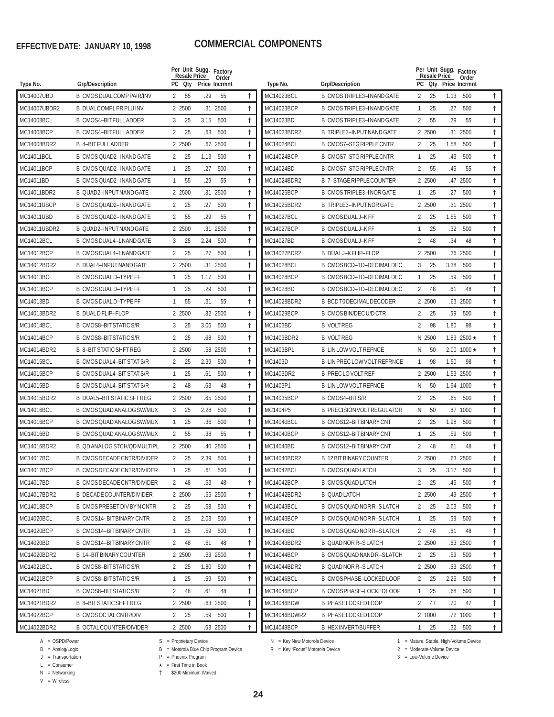|                   |                                   | <b>Resale Price</b>  | Per Unit Sugg. Factory      |              |                                   | Per Unit Sugg. Factory<br><b>Resale Price</b>       |
|-------------------|-----------------------------------|----------------------|-----------------------------|--------------|-----------------------------------|-----------------------------------------------------|
| Type No.          | <b>Grp/Description</b>            | PC Qty               | Order<br>Price Incrmnt      | Type No.     | <b>Grp/Description</b>            | Order<br>PC Qty<br>Price Incrmnt                    |
| MC14007UBD        | <b>B CMOS DUAL COMP PAIR/INV</b>  | $\overline{2}$<br>55 | $^{\dagger}$<br>.29<br>55   | MC14023BCL   | <b>B CMOSTRIPLE3-INANDGATE</b>    | $\ddagger$<br>2<br>25<br>1.13<br>500                |
| MC14007UBDR2      | <b>B DUALCOMPLPRPLUINV</b>        | 2 2500               | 2500<br>$^{\dagger}$<br>.31 | MC14023BCP   | B CMOSTRIPLE3-INAND GATE          | 25<br>.27<br>500<br>$\ddagger$<br>1                 |
| MC14008BCL        | <b>B CMOS4-BIT FULL ADDER</b>     | 25<br>3              | $\ddagger$<br>3.15<br>500   | MC14023BD    | <b>B CMOSTRIPLE3-INANDGATE</b>    | $\ddagger$<br>2<br>55<br>.29<br>55                  |
| MC14008BCP        | <b>B CMOS4-BITFULLADDER</b>       | 25<br>2              | 500<br>t<br>.63             | MC14023BDR2  | <b>B TRIPLE3-INPUT NAND GATE</b>  | $\ddagger$<br>2 2500<br>.31 2500                    |
| MC14008BDR2       | <b>B 4-BIT FULL ADDER</b>         | 2 2500               | .67 2500<br>$^+$            | MC14024BCL   | <b>B CMOS7-STG RIPPLE CNTR</b>    | $\ddagger$<br>$\mathbf{2}$<br>25<br>1.58<br>500     |
| MC14011BCL        | B CMOS QUAD2-INAND GATE           | 2<br>25              | 1.13<br>500<br>$^+$         | MC14024BCP   | <b>B CMOS7-STG RIPPLE CNTR</b>    | $\ddagger$<br>25<br>.43<br>500<br>1                 |
| MC14011BCP        | B CMOS QUAD2-INAND GATE           | 25<br>1              | 500<br>$^{\dagger}$<br>.27  | MC14024BD    | <b>B CMOS7-STG RIPPLE CNTR</b>    | $\ddagger$<br>2<br>55<br>.45<br>55                  |
| MC14011BD         | B CMOS QUAD2-INAND GATE           | 55<br>$\mathbf{1}$   | $^{\dagger}$<br>.29<br>55   | MC14024BDR2  | <b>B 7-STAGE RIPPLE COUNTER</b>   | $\dagger$<br>2 2500<br>.47 2500                     |
| MC14011BDR2       | <b>B QUAD2-INPUT NAND GATE</b>    | 2 2500               | .31 2500<br>$\ddagger$      | MC14025BCP   | B CMOSTRIPLE3-INOR GATE           | $\ddagger$<br>25<br>.27<br>500<br>$\mathbf{1}$      |
| MC14011UBCP       | B CMOS QUAD2-INAND GATE           | $\overline{2}$<br>25 | 500<br>$^{\dagger}$<br>.27  | MC14025BDR2  | <b>B TRIPLE3-INPUT NOR GATE</b>   | $\ddagger$<br>2 2500<br>.31 2500                    |
| MC14011UBD        | B CMOS QUAD2-INAND GATE           | 55<br>2              | $^{\dagger}$<br>55<br>.29   | MC14027BCL   | <b>B CMOSDUAL J-KFF</b>           | $\ddagger$<br>2<br>25<br>1.55<br>500                |
| MC14011UBDR2      | <b>B QUAD2-INPUT NAND GATE</b>    | 2 2500               | 2500<br>$^{\dagger}$<br>.31 | MC14027BCP   | <b>B CMOSDUAL J-KFF</b>           | $^\dagger$<br>25<br>.32<br>500<br>1                 |
| MC14012BCL        | B CMOS DUAL4-1 NAND GATE          | 25<br>3              | 500<br>$^\dagger$<br>2.24   | MC14027BD    | <b>B CMOSDUALJ-KFF</b>            | $\ddagger$<br>$\overline{2}$<br>48<br>48<br>.34     |
| MC14012BCP        | B CMOS DUAL4-1 NAND GATE          | 25<br>2              | 500<br>.27<br>$^+$          | MC14027BDR2  | <b>B DUALJ-KFLIP-FLOP</b>         | $\ddagger$<br>2 2500<br>.36 2500                    |
| MC14012BDR2       | <b>B DUAL4-INPUT NAND GATE</b>    | 2 2500               | .31 2500<br>Ť.              | MC14028BCL   | B CMOS BCD-TO-DECIMALDEC          | $\ddagger$<br>3<br>25<br>3.38<br>500                |
| MC14013BCL        | B CMOS DUAL D-TYPE FF             | 25<br>1              | 1.17<br>500<br>$^+$         | MC14028BCP   | B CMOSBCD-TO-DECIMALDEC           | $\ddagger$<br>25<br>.59<br>500<br>1                 |
| MC14013BCP        | B CMOS DUAL D-TYPE FF             | 25<br>1              | $^{\dagger}$<br>.29<br>500  | MC14028BD    | B CMOS BCD-TO-DECIMALDEC          | $^\dagger$<br>$\overline{2}$<br>48<br>48<br>.61     |
| MC14013BD         | <b>B CMOS DUAL D-TYPE FF</b>      | 55<br>1              | $^{\dagger}$<br>.31<br>55   | MC14028BDR2  | <b>B BCDT0DECIMALDECODER</b>      | $^\dagger$<br>2 2500<br>.63 2500                    |
| MC14013BDR2       | <b>B DUALDFLIP-FLOP</b>           | 2 2500               | $\ddagger$<br>.32 2500      | MC14029BCP   | B CMOS BIN/DEC U/D CTR            | $\ddagger$<br>2<br>25<br>.59<br>500                 |
| MC14014BCL        | <b>B CMOS8-BIT STATIC S/R</b>     | 3<br>25              | 500<br>$^{\dagger}$<br>3.06 | MC1403BD     | <b>B VOLTREG</b>                  | $^\mathrm{+}$<br>$\overline{2}$<br>98<br>1.80<br>98 |
| MC14014BCP        | <b>B CMOS8-BIT STATIC S/R</b>     | 25<br>$\overline{2}$ | 500<br>$\ddagger$<br>.68    | MC1403BDR2   | <b>B VOLTREG</b>                  | $\dagger$<br>N 2500<br>1.83 2500 $\star$            |
| MC14014BDR2       | <b>B 8-BIT STATIC SHFT REG</b>    | 2 2500               | .58 2500<br>$^\dagger$      | MC1403BP1    | <b>B LINLOW VOLT REFNCE</b>       | $\dagger$<br>50<br>2.00 1000 $\star$<br>N           |
| MC14015BCL        | <b>B CMOS DUAL4-BIT STAT S/R</b>  | $\overline{2}$<br>25 | 2.39<br>500<br>$^+$         | MC1403D      | <b>B LIN PRECLOW VOLT REFRNCE</b> | 1.50<br>98<br>$\ddagger$<br>98<br>$\mathbf{1}$      |
| MC14015BCP        | <b>B CMOS DUAL4-BIT STAT S/R</b>  | $\mathbf{1}$<br>25   | 500<br>$^+$<br>.61          | MC1403DR2    | <b>B PRECLOVOLTREF</b>            | $\ddagger$<br>2 2500<br>1.53 2500                   |
| MC14015BD         | B CMOS DUAL4-BIT STAT S/R         | 48<br>2              | 48<br>$^{\dagger}$<br>.63   | MC1403P1     | <b>B LINLOW VOLT REFNCE</b>       | $\ddagger$<br>N<br>50<br>1.94 1000                  |
| MC14015BDR2       | <b>B DUAL5-BIT STATIC SFT REG</b> | 2 2500               | $^{\dagger}$<br>.65 2500    | MC14035BCP   | <b>B CMOS4-BITS/R</b>             | $\ddagger$<br>2<br>25<br>.65<br>500                 |
| MC14016BCL        | B CMOS QUAD ANALOG SW/MUX         | 25<br>3              | 2.28<br>500<br>$^+$         | MC1404P5     | <b>B PRECISION VOLT REGULATOR</b> | $^\mathrm{+}$<br>50<br>.87 1000<br>N                |
| MC14016BCP        | B CMOS QUAD ANALOG SW/MUX         | 25<br>1              | $\ddagger$<br>500<br>.36    | MC14040BCL   | B CMOS12-BIT BINARY CNT           | $\ddagger$<br>2<br>25<br>1.98<br>500                |
| MC14016BD         | B CMOS QUAD ANALOG SW/MUX         | 55<br>2              | 55<br>$^{\dagger}$<br>.38   | MC14040BCP   | <b>B CMOS12-BIT BINARY CNT</b>    | $\ddagger$<br>25<br>500<br>.59<br>1                 |
| MC14016BDR2       | B QD ANALOG STCH/QD MULTIPL       | 2 2500               | $\ddagger$<br>.40 2500      | MC14040BD    | <b>B CMOS12-BIT BINARY CNT</b>    | $\dagger$<br>2<br>48<br>.61<br>48                   |
| <b>MC14017BCL</b> | <b>B CMOS DECADE CNTR/DIVIDER</b> | 25<br>$\overline{2}$ | 2.39<br>500<br>t            | MC14040BDR2  | <b>B 12 BIT BINARY COUNTER</b>    | $^\dagger$<br>2 2500<br>.63 2500                    |
| MC14017BCP        | B CMOS DECADE CNTR/DIVIDER        | 25<br>$\mathbf{1}$   | $^\dagger$<br>500<br>.61    | MC14042BCL   | <b>B CMOS QUAD LATCH</b>          | $^\dagger$<br>$3$ 25<br>3.17 500                    |
| MC14017BD         | B CMOS DECADE CNTR/DIVIDER        | 2<br>48              | 48<br>$^+$<br>.63           | MC14042BCP   | <b>B CMOS QUAD LATCH</b>          | $\ddagger$<br>25<br>$\mathbf{2}$<br>.45 500         |
| MC14017BDR2       | <b>B DECADECOUNTER/DIVIDER</b>    | 2 2500               | .65 2500<br>t               | MC14042BDR2  | <b>B QUADLATCH</b>                | $^\dagger$<br>2 2500<br>.49 2500                    |
| MC14018BCP        | <b>B CMOSPRESET DIVBYNCNTR</b>    | 25<br>$\overline{2}$ | .68<br>500<br>t.            | MC14043BCL   | B CMOS QUAD NOR R-SLATCH          | $^\dagger$<br>$\mathbf{2}$<br>25<br>2.03<br>500     |
| MC14020BCL        | <b>B CMOS14-BITBINARY CNTR</b>    | $\overline{2}$<br>25 | 500<br>2.03<br>t            | MC14043BCP   | B CMOS QUAD NOR R-SLATCH          | $\ddagger$<br>25<br>.59<br>500<br>$\mathbf{1}$      |
| MC14020BCP        | <b>B CMOS14-BITBINARY CNTR</b>    | 25<br>1              | $\ddagger$<br>.59<br>500    | MC14043BD    | B CMOS QUAD NOR R-SLATCH          | $^\dagger$<br>$\overline{2}$<br>48<br>48<br>.61     |
| MC14020BD         | <b>B CMOS14-BIT BINARY CNTR</b>   | 48<br>$\overline{2}$ | 48<br>t<br>.61              | MC14043BDR2  | <b>B QUAD NOR R-S LATCH</b>       | $\ddagger$<br>2 2500<br>.63 2500                    |
| MC14020BDR2       | <b>B 14-BIT BINARY COUNTER</b>    | 2 2500               | .63 2500<br>$^\dagger$      | MC14044BCP   | B CMOS QUAD NAND R-S LATCH        | $^\dagger$<br>2 25<br>.59 500                       |
| MC14021BCL        | <b>B CMOS8-BIT STATIC S/R</b>     | $\overline{2}$<br>25 | 500<br>t.<br>1.80           | MC14044BDR2  | <b>B QUAD NOR R-S LATCH</b>       | $\ddagger$<br>2 2500<br>.63 2500                    |
| MC14021BCP        | <b>B CMOS8-BIT STATIC S/R</b>     | 25<br>1              | 500<br>.59<br>t             | MC14046BCL   | B CMOSPHASE-LOCKEDLOOP            | $\ddagger$<br>25<br>2.25<br>500<br>$\mathbf{2}$     |
| MC14021BD         | B CMOS8-BIT STATIC S/R            | 2<br>48              | 48<br>t.<br>.61             | MC14046BCP   | B CMOSPHASE-LOCKEDLOOP            | $\ddagger$<br>25<br>500<br>.68<br>1                 |
| MC14021BDR2       | <b>B 8-BIT STATIC SHFT REG</b>    | 2 2500               | .63 2500<br>t               | MC14046BDW   | <b>B PHASELOCKEDLOOP</b>          | $\ddagger$<br>$\overline{2}$<br>47<br>.70<br>47     |
| MC14022BCP        | <b>B CMOS OCTAL CNTR/DIV</b>      | 2 25                 | 500<br>t.<br>.59            | MC14046BDWR2 | <b>B PHASELOCKEDLOOP</b>          | $^\dagger$<br>2 1000<br>.72 1000                    |
| MC14022BDR2       | <b>B OCTAL COUNTER/DIVIDER</b>    | 2 2500               | $^{\dagger}$<br>.63 2500    | MC14049BCP   | <b>B HEXINVERT/BUFFER</b>         | $\ddagger$<br>$\mathbf{1}$<br>25<br>.32<br>500      |

- 
- 

 $L = \text{Consumer}$ <br>  $N = \text{Networking}$ <br>  $V = \text{Wireless}$ 

B = Analog/Logic entropy of the Motorola Blue Chip Program Device R = Key "Focus" Motorola Device 2 = Moderate-Volume Device

- J = Transportation P = Phoenix Program 3 = Low-Volume Device
- $L =$  Consumer  $\star =$  First Time in Book
- N = Networking extensive that the state of the state of the state of the state of the state of the state of the state of the state of the state of the state of the state of the state of the state of the state of the state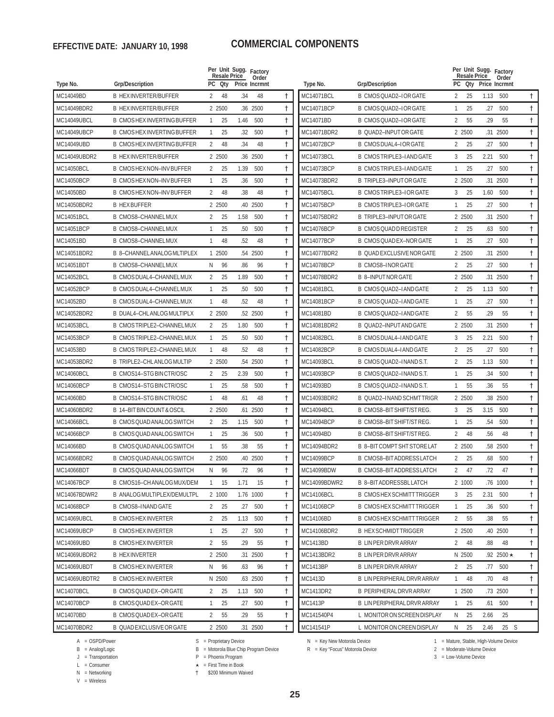| Type No.      | <b>Grp/Description</b>                | <b>Resale Price</b><br>PC Qty | Per Unit Sugg. Factory<br>Order<br>Price Incrmnt | Type No.        | <b>Grp/Description</b>             | <b>Resale Price</b>  | Per Unit Sugg. Factory<br>Order<br>PC Qty Price Incrmnt |
|---------------|---------------------------------------|-------------------------------|--------------------------------------------------|-----------------|------------------------------------|----------------------|---------------------------------------------------------|
| MC14049BD     | <b>B HEXINVERTER/BUFFER</b>           | 48<br>$\overline{2}$          | 48<br>$^\dagger$<br>.34                          | MC14071BCL      | B CMOS QUAD2-I OR GATE             | 25<br>$\overline{2}$ | 1.13<br>$\ddagger$<br>500                               |
| MC14049BDR2   | <b>B HEXINVERTER/BUFFER</b>           | 2 2500                        | .36 2500<br>t                                    | MC14071BCP      | B CMOS QUAD2-I OR GATE             | 25<br>$\mathbf{1}$   | 500<br>.27<br>$\ddagger$                                |
| MC14049UBCL   | <b>B CMOSHEX INVERTING BUFFER</b>     | 25<br>$\mathbf{1}$            | $^{\dagger}$<br>1.46<br>500                      | MC14071BD       | B CMOS QUAD2-I OR GATE             | 55<br>2              | .29<br>55<br>$\ddagger$                                 |
| MC14049UBCP   | <b>B CMOSHEX INVERTING BUFFER</b>     | 25<br>1                       | $^{\dagger}$<br>.32<br>500                       | MC14071BDR2     | <b>B QUAD2-INPUT OR GATE</b>       | 2 2500               | $^+$<br>.31 2500                                        |
| MC14049UBD    | <b>B CMOSHEX INVERTING BUFFER</b>     | 2<br>48                       | $^{\dagger}$<br>.34<br>48                        | MC14072BCP      | <b>B CMOSDUAL4-IORGATE</b>         | 2<br>25              | $^{\dagger}$<br>.27<br>500                              |
| MC14049UBDR2  | <b>B HEXINVERTER/BUFFER</b>           | 2 2500                        | $\ddagger$<br>.36 2500                           | MC14073BCL      | <b>B CMOSTRIPLE3-IAND GATE</b>     | 3<br>25              | $^+$<br>2.21<br>500                                     |
| MC14050BCL    | <b>B CMOSHEX NON-INV BUFFER</b>       | 2<br>25                       | $^{\dagger}$<br>1.39<br>500                      | MC14073BCP      | <b>B CMOSTRIPLE3-IAND GATE</b>     | 25<br>$\mathbf{1}$   | 500<br>$\ddagger$<br>.27                                |
| MC14050BCP    | <b>B CMOSHEX NON-INV BUFFER</b>       | 25<br>1                       | $\ddagger$<br>500<br>.36                         | MC14073BDR2     | <b>B TRIPLE3-INPUT OR GATE</b>     | 2 2500               | $\ddagger$<br>.31 2500                                  |
| MC14050BD     | <b>B CMOSHEX NON-INV BUFFER</b>       | $\overline{2}$<br>48          | .38<br>48<br>$^\dagger$                          | MC14075BCL      | <b>B CMOSTRIPLE3-IOR GATE</b>      | 25<br>3              | 500<br>$^{\dagger}$<br>1.60                             |
| MC14050BDR2   | <b>B HEXBUFFER</b>                    | 2 2500                        | .40 2500<br>$^{\dagger}$                         | MC14075BCP      | <b>B CMOSTRIPLE3-IOR GATE</b>      | 25<br>$\mathbf{1}$   | 500<br>$^{\dagger}$<br>.27                              |
| MC14051BCL    | <b>B CMOS8-CHANNELMUX</b>             | 25<br>2                       | $^\dagger$<br>1.58<br>500                        | MC14075BDR2     | <b>B TRIPLE3-INPUT OR GATE</b>     | 2 2500               | .31 2500<br>$\ddagger$                                  |
| MC14051BCP    | <b>B CMOS8-CHANNELMUX</b>             | 25<br>1                       | $^{\dagger}$<br>.50<br>500                       | MC14076BCP      | <b>B CMOS QUAD D REGISTER</b>      | 2<br>25              | .63<br>500<br>$^{\dagger}$                              |
| MC14051BD     | <b>B CMOS8-CHANNELMUX</b>             | 48<br>1                       | $\ddagger$<br>.52<br>48                          | MC14077BCP      | B CMOS QUAD EX-NOR GATE            | 25<br>$\mathbf{1}$   | $^+$<br>.27<br>500                                      |
| MC14051BDR2   | B 8-CHANNEL ANALOG MLTIPLEX           | 1 2500                        | .54 2500<br>$^{\dagger}$                         | MC14077BDR2     | <b>B QUADEXCLUSIVE NOR GATE</b>    | 2 2500               | $^{\dagger}$<br>.31 2500                                |
| MC14051BDT    | <b>B CMOS8-CHANNELMUX</b>             | 96<br>N                       | $^{\dagger}$<br>.86<br>96                        | MC14078BCP      | <b>B CMOS8-INORGATE</b>            | 2<br>25              | $^+$<br>.27<br>500                                      |
| MC14052BCL    | B CMOSDUAL4-CHANNELMUX                | 25<br>2                       | 500<br>$^{\dagger}$<br>1.89                      | MC14078BDR2     | <b>B 8-INPUT NOR GATE</b>          | 2 2500               | .31 2500<br>$\ddagger$                                  |
| MC14052BCP    | B CMOSDUAL4-CHANNELMUX                | 25<br>1                       | $\ddagger$<br>.50<br>500                         | MC14081BCL      | B CMOS QUAD2-I AND GATE            | $\overline{2}$<br>25 | $\ddagger$<br>1.13<br>500                               |
| MC14052BD     | B CMOSDUAL4-CHANNELMUX                | 48<br>$\mathbf{1}$            | $^{\dagger}$<br>.52<br>48                        | MC14081BCP      | B CMOS QUAD2-I AND GATE            | 25<br>1              | 500<br>.27<br>$\ddagger$                                |
| MC14052BDR2   | B DUAL4-CHLANLOG MULTIPLX             | 2 2500                        | .52 2500<br>$^{\dagger}$                         | MC14081BD       | B CMOS QUAD2-I AND GATE            | 2<br>55              | 55<br>$^{\dagger}$<br>.29                               |
| MC14053BCL    | B CMOSTRIPLE2-CHANNELMUX              | 2<br>25                       | 1.80<br>500<br>t                                 | MC14081BDR2     | <b>B QUAD2-INPUT AND GATE</b>      | 2 2500               | .31 2500<br>$^{\dagger}$                                |
| MC14053BCP    | B CMOSTRIPLE2-CHANNELMUX              | 25<br>$\mathbf{1}$            | 500<br>$^{\dagger}$<br>.50                       | MC14082BCL      | B CMOS DUAL4-I AND GATE            | 3<br>25              | 2.21<br>500<br>$\ddagger$                               |
| MC14053BD     | B CMOSTRIPLE2-CHANNELMUX              | 48<br>$\mathbf{1}$            | $\ddagger$<br>.52<br>48                          | MC14082BCP      | B CMOS DUAL4-I AND GATE            | 2<br>25              | $^+$<br>.27<br>500                                      |
| MC14053BDR2   | B TRIPLE2-CHLANLOGMULTIP              | 2 2500                        | $^{\dagger}$<br>.54 2500                         | MC14093BCL      | B CMOS QUAD2-INAND S.T.            | 2<br>25              | $^{\dagger}$<br>1.13<br>500                             |
| MC14060BCL    | B CMOS14-STGBINCTR/OSC                | 2<br>25                       | $^{\dagger}$<br>2.39<br>500                      | MC14093BCP      | B CMOS QUAD2-INAND S.T.            | 1<br>25              | $^+$<br>.34<br>500                                      |
| MC14060BCP    | B CMOS14-STGBINCTR/OSC                | 25<br>1                       | $^{\dagger}$<br>.58<br>500                       | MC14093BD       | B CMOS QUAD2-INAND S.T.            | 55<br>$\mathbf{1}$   | 55<br>$^+$<br>.36                                       |
| MC14060BD     | B CMOS14-STGBINCTR/OSC                | 48<br>$\mathbf{1}$            | $\ddagger$<br>48<br>.61                          | MC14093BDR2     | B QUAD2-INAND SCHMT TRIGR          | 2 2500               | $\ddagger$<br>.38 2500                                  |
| MC14060BDR2   | <b>B 14-BIT BIN COUNT &amp; OSCIL</b> | 2 2500                        | .61 2500<br>$^{\dagger}$                         | MC14094BCL      | B CMOS8-BIT SHIFT/ST REG.          | 25<br>3              | 500<br>$^{\dagger}$<br>3.15                             |
| MC14066BCL    | B CMOSQUAD ANALOG SWITCH              | 25<br>2                       | 500<br>$\ddagger$<br>1.15                        | MC14094BCP      | <b>B CMOS8-BIT SHIFT/STREG.</b>    | 25<br>$\mathbf{1}$   | 500<br>$^{\dagger}$<br>.54                              |
| MC14066BCP    | B CMOSQUAD ANALOG SWITCH              | 25<br>1                       | .36<br>500<br>t                                  | MC14094BD       | <b>B CMOS8-BITSHIFT/STREG.</b>     | 2<br>48              | .56<br>48<br>$^{\dagger}$                               |
| MC14066BD     | B CMOS QUAD ANALOG SWITCH             | 55<br>$\mathbf{1}$            | $^{\dagger}$<br>.38<br>55                        | MC14094BDR2     | <b>B 8-BIT COMPT SHT STORE LAT</b> | 2 2500               | .58 2500<br>$^{\dagger}$                                |
| MC14066BDR2   | B CMOSQUAD ANALOG SWITCH              | 2 2500                        | $^{\dagger}$<br>.40 2500                         | MC14099BCP      | <b>B CMOS8-BITADDRESSLATCH</b>     | $\overline{2}$<br>25 | $^+$<br>.68<br>500                                      |
| MC14066BDT    | B CMOS QUAD ANALOG SWITCH             | 96<br>N.                      | $+$<br>.72<br>96                                 | MC14099BDW      | B CMOS8-BIT ADDRESS LATCH          | 2<br>47              | $^+$<br>.72<br>47                                       |
| MC14067BCP    | B CMOS16-CHANALOGMUX/DEM              | $\mathbf{1}$<br>-15           | Ť.<br>15<br>1.71                                 | MC14099BDWR2    | <b>B 8-BIT ADDRESSBL LATCH</b>     | 2 1000               | $^+$<br>.76 1000                                        |
| MC14067BDWR2  | <b>B ANALOGMULTIPLEX/DEMULTPL</b>     | 2 1000                        | $^{\dagger}$<br>1.76 1000                        | MC14106BCL      | <b>B CMOSHEX SCHMITT TRIGGER</b>   | 3<br>25              | 2.31<br>500<br>$^{\dagger}$                             |
| MC14068BCP    | B CMOS8-INAND GATE                    | $\overline{2}$<br>25          | $^{\dagger}$<br>.27<br>500                       | MC14106BCP      | <b>B CMOSHEX SCHMITT TRIGGER</b>   | 25<br>1              | $\ddagger$<br>500<br>.36                                |
| MC14069UBCL   | <b>B CMOSHEXINVERTER</b>              | 2<br>25                       | $^{\dagger}$<br>1.13<br>500                      | MC14106BD       | <b>B CMOSHEX SCHMITT TRIGGER</b>   | $\overline{2}$<br>55 | .38<br>55<br>$\ddagger$                                 |
| MC14069UBCP   | <b>B CMOSHEXINVERTER</b>              | 25<br>1                       | 500<br>$^{\dagger}$<br>.27                       | MC14106BDR2     | <b>B HEX SCHMIDT TRIGGER</b>       | 2 2500               | $\ddagger$<br>.40 2500                                  |
| MC14069UBD    | <b>B CMOSHEXINVERTER</b>              | $\overline{2}$<br>55          | $^\dagger$<br>55<br>.29                          | MC1413BD        | <b>B LIN PER DRVR ARRAY</b>        | $\overline{2}$<br>48 | $^+$<br>.88<br>48                                       |
| MC14069UBDR2  | <b>B HEXINVERTER</b>                  | 2 2500                        | $\dagger$<br>.31 2500                            | MC1413BDR2      | <b>B LIN PER DRVR ARRAY</b>        | N 2500               | .92 2500 $\star$<br>$^+$                                |
| MC14069UBDT   | <b>B CMOSHEXINVERTER</b>              | - 96<br>N                     | $^\dagger$<br>96<br>.63                          | <b>MC1413BP</b> | <b>B LIN PER DRVR ARRAY</b>        | 25<br>$\mathbf{2}$   | .77<br>500<br>$^+$                                      |
| MC14069UBDTR2 | <b>B CMOSHEXINVERTER</b>              | N 2500                        | .63 2500<br>$^\dagger$                           | MC1413D         | B LIN PERIPHERAL DRVR ARRAY        | 48<br>$\mathbf{1}$   | .70<br>48<br>$\ddagger$                                 |
| MC14070BCL    | B CMOS QUAD EX-OR GATE                | 2<br>25                       | Ť.<br>1.13<br>500                                | MC1413DR2       | B PERIPHERALDRVRARRAY              | 1 2500               | .73 2500<br>$^+$                                        |
| MC14070BCP    | B CMOS QUAD EX-OR GATE                | 25<br>$\mathbf{1}$            | $^{\dagger}$<br>500<br>.27                       | <b>MC1413P</b>  | <b>B LIN PERIPHERAL DRVR ARRAY</b> | 1<br>25              | $\ddagger$<br>500<br>.61                                |
| MC14070BD     | B CMOS QUAD EX-OR GATE                | $\overline{2}$<br>55          | $^{\dagger}$<br>.29<br>55                        | MC141540P4      | L MONITOR ON SCREEN DISPLAY        | N<br>25              | 25<br>2.66                                              |
| MC14070BDR2   | <b>B QUAD EXCLUSIVE OR GATE</b>       | 2 2500                        | $\dagger$<br>.31 2500                            | MC141541P       | L MONITOR ON CREEN DISPLAY         | 25<br>N              | 2.46<br>25 S                                            |

- 
- N = Networking the three states of the states of the states of the states of the states of the states of the states of the states of the states of the states of the states of the states of the states of the states of the s

V = Wireless

B = Analog/Logic entropyrology by B = Motorola Blue Chip Program Device R = Key "Focus" Motorola Device 2 = Moderate-Volume Device

J = Transportation P = Phoenix Program 3 = Low-Volume Device

 $L =$  Consumer  $\star =$  First Time in Book

\$200 Minimum Waived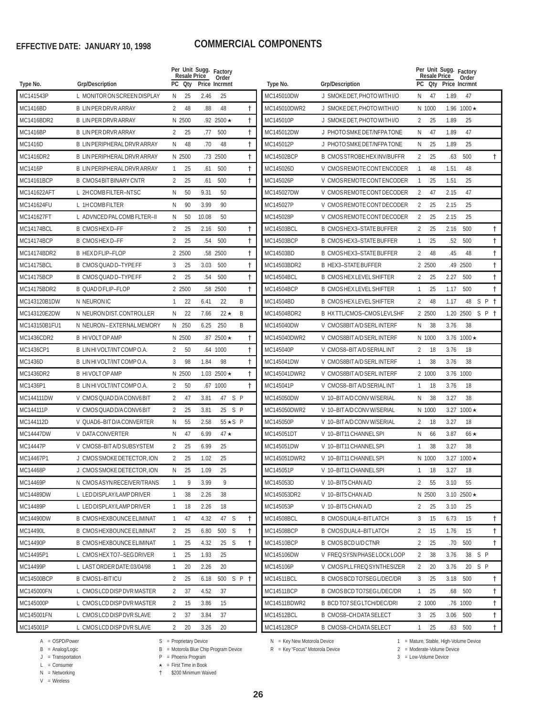| MC141543P<br>L MONITOR ON SCREEN DISPLAY<br>25<br>2.46<br>25<br>MC145010DW<br>J SMOKE DET, PHOTO WITH I/O<br>1.89<br>47<br>N<br>N<br>47<br>$\overline{2}$<br>48<br>.88<br>48<br>$\ddagger$<br><b>B LINPER DRVR ARRAY</b><br>MC145010DWR2<br>N 1000<br>1.96 1000 $\star$<br>MC1416BD<br>J SMOKE DET, PHOTO WITH I/O<br>$\ddagger$<br>25<br>N 2500<br>.92 2500 $\star$<br>2<br>25<br>1.89<br>MC1416BDR2<br><b>B LIN PER DRVR ARRAY</b><br>MC145010P<br>J SMOKE DET, PHOTO WITH I/O<br>$\dagger$<br>25<br>500<br>47<br>MC1416BP<br><b>B LINPER DRVR ARRAY</b><br>2<br>.77<br>MC145012DW<br>J PHOTO SMKE DET/NFPA TONE<br>47<br>1.89<br>N<br>.70<br>48<br>$\ddagger$<br>25<br>1.89<br>25<br>MC1416D<br><b>B LIN PERIPHERAL DRVR ARRAY</b><br>Ν<br>48<br>MC145012P<br>J PHOTO SMKE DET/NFPA TONE<br>N<br>N 2500<br>.73 2500<br>$\ddagger$<br>$\overline{2}$<br>25<br>500<br>$^+$<br>MC1416DR2<br><b>B LIN PERIPHERAL DRVR ARRAY</b><br>MC14502BCP<br><b>B CMOS STROBE HEX INV/BUFFR</b><br>.63<br>48<br>25<br>500<br>$\ddagger$<br>48<br>1.51<br>MC1416P<br><b>B LINPERIPHERAL DRVR ARRAY</b><br>$\mathbf{1}$<br>.61<br>MC145026D<br>V CMOS REMOTE CONTENCODER<br>1<br>MC14161BCP<br><b>B CMOS4BITBINARY CNTR</b><br>2<br>25<br>500<br>$^\dagger$<br>MC145026P<br>25<br>1.51<br>25<br>.61<br>V CMOS REMOTE CONTENCODER<br>1<br>MC141622AFT<br>L 2H COMB FILTER-NTSC<br>50<br>9.31<br>50<br>MC145027DW<br>2<br>47<br>2.15<br>47<br>Ν<br>V CMOS REMOTE CONT DECODER<br>90<br>3.99<br>90<br>2<br>25<br>2.15<br>25<br>MC141624FU<br>L 1H COMB FILTER<br>N<br>MC145027P<br>V CMOS REMOTE CONT DECODER<br>L ADVNCED PAL COMB FLTER-II<br>50<br>10.08<br>50<br>2<br>25<br>2.15<br>25<br>MC141627FT<br>N<br>MC145028P<br>V CMOS REMOTE CONT DECODER<br><b>MC14174BCL</b><br>25<br>500<br>$\ddagger$<br>2<br>25<br>2.16<br>500<br>$^{\dagger}$<br><b>B CMOSHEXD-FF</b><br>2<br>2.16<br>MC14503BCL<br><b>B CMOSHEX3-STATE BUFFER</b><br>$\ddagger$<br>$\dagger$<br>25<br>MC14174BCP<br>2<br>.54<br>500<br>MC14503BCP<br>25<br>500<br><b>B CMOSHEXD-FF</b><br><b>B CMOSHEX3-STATE BUFFER</b><br>1<br>.52<br>$\dagger$<br>2 2500<br>.58 2500<br>$\ddagger$<br>MC14174BDR2<br><b>B HEXDFLIP-FLOP</b><br>MC14503BD<br><b>B CMOSHEX3-STATE BUFFER</b><br>$\overline{2}$<br>48<br>.45<br>48<br>$\dagger$<br>25<br>500<br>$^{\dagger}$<br>2 2500<br>.49 2500<br><b>MC14175BCL</b><br>B CMOS QUAD D-TYPE FF<br>3<br>3.03<br>MC14503BDR2<br><b>B HEX3-STATE BUFFER</b><br>$\ddagger$<br>25<br>500<br>$\ddagger$<br>MC14175BCP<br>$\overline{2}$<br>.54<br>$\overline{2}$<br>25<br>2.27<br>500<br>B CMOS QUAD D-TYPE FF<br>MC14504BCL<br><b>B CMOSHEX LEVEL SHIFTER</b><br>MC14175BDR2<br><b>B QUAD D FLIP-FLOP</b><br>2 2500<br>.58 2500<br>$\ddagger$<br>MC14504BCP<br>25<br>500<br><b>B CMOSHEX LEVEL SHIFTER</b><br>1<br>1.17<br>B<br>48 S P +<br>MC143120B1DW<br>N NEURONIC<br>22<br>6.41<br>22<br>MC14504BD<br><b>B CMOSHEXLEVEL SHIFTER</b><br>$\overline{2}$<br>48<br>1.17<br>1<br>MC143120E2DW<br>N NEURONDIST.CONTROLLER<br>22<br>$22 \star$<br>B<br><b>B HXTTL/CMOS-CMOSLEVLSHF</b><br>2 2500<br>1.20 2500<br>SP t<br>Ν<br>7.66<br>MC14504BDR2<br>250<br>B<br>38<br>250<br>6.25<br>38<br>3.76<br>MC143150B1FU1<br>N NEURON-EXTERNALMEMORY<br>N<br>MC145040DW<br>V CMOS8BIT A/D SERL INTERF<br>N<br>N 2500<br>.87 2500 $\star$<br>$\ddagger$<br>N 1000<br>3.76 1000 ★<br>MC1436CDR2<br><b>B HIVOLT OP AMP</b><br>MC145040DWR2<br>V CMOS8BIT A/D SERLINTERF<br>50<br>$^{\dagger}$<br>MC1436CP1<br>B LINHIVOLT/INT COMPO.A.<br>.64 1000<br>MC145040P<br>V CMOS8-BIT A/D SERIAL INT<br>18<br>3.76<br>18<br>2<br>2<br>98<br>1.84<br>98<br>$\ddagger$<br>38<br>3.76<br>38<br>MC1436D<br>B LINHIVOLT/INT COMPO.A.<br>3<br>MC145041DW<br>V CMOS8BIT A/D SERL INTERF<br>$\mathbf{1}$<br>N 2500<br>1.03 2500 $\star$<br>$^{\dagger}$<br>2 1000<br>3.76 1000<br>MC1436DR2<br><b>B HIVOLT OP AMP</b><br>MC145041DWR2<br>V CMOS8BIT A/D SERLINTERF<br>50<br>$\ddagger$<br>B LINHIVOLT/INT COMPO.A.<br>2<br>.67 1000<br>MC145041P<br>18<br>3.76<br>18<br>MC1436P1<br>V CMOS8-BIT A/D SERIAL INT<br>1<br>47 S P<br>38<br>2<br>47<br>3.81<br>MC145050DW<br>38<br>3.27<br>MC144111DW<br>V CMOS QUAD D/A CONV6 BIT<br>V 10-BIT A/D CONVW/SERIAL<br>N<br>MC144111P<br>2<br>25<br>3.81<br>25 S P<br>MC145050DWR2<br>N 1000<br>3.27 1000 $\star$<br>V CMOS QUAD D/A CONV6 BIT<br>V 10-BIT A/D CONVW/SERIAL<br>55<br>2.58<br>$55 \star S$ P<br>18<br>3.27<br>18<br>MC144112D<br>V QUAD6-BIT D/A CONVERTER<br>N<br>MC145050P<br>V 10-BIT A/D CONVW/SERIAL<br>2<br>47<br>6.99<br>$47 \star$<br>3.87<br>$66*$<br>MC14447DW<br>V DATA CONVERTER<br>Ν<br>MC145051DT<br>V 10-BIT11 CHANNEL SPI<br>N<br>66<br>25<br>6.99<br>25<br>38<br>3.27<br>38<br>MC14447P<br>V CMOS8-BIT A/D SUBSYSTEM<br>2<br>MC145051DW<br>V 10-BIT11 CHANNEL SPI<br>1<br>25<br>1.02<br>25<br>2<br>MC145051DWR2<br>N 1000<br>3.27 1000 ★<br>MC14467P1<br>J CMOS SMOKE DETECTOR, ION<br>V 10-BIT11 CHANNEL SPI<br>MC14468P<br>1.09<br>25<br>MC145051P<br>3.27<br>J CMOS SMOKE DETECTOR, ION<br>25<br>V 10-BIT11 CHANNEL SPI<br>1 18<br>18<br>Ν<br>9<br>MC14469P<br>3.99<br>MC145053D<br>55<br>N CMOSASYNRECEIVER/TRANS<br>9<br>V 10-BIT5 CHAN A/D<br>$\mathbf{2}$<br>55<br>3.10<br>1<br>MC14489DW<br>38<br>2.26<br>38<br>MC145053DR2<br>N 2500<br>3.10 $2500 \star$<br>L LEDDISPLAY/LAMPDRIVER<br>V 10-BIT5 CHAN A/D<br>1<br>MC14489P<br>L LEDDISPLAY/LAMPDRIVER<br>2.26<br>18<br>MC145053P<br>25<br>3.10<br>25<br>18<br>V 10-BIT5 CHAN A/D<br>$\mathbf{2}$<br>1<br>47 S<br>MC14490DW<br><b>B CMOSHEXBOUNCE ELIMINAT</b><br>47<br>4.32<br>$^+$<br>MC14508BCL<br><b>B CMOSDUAL4-BITLATCH</b><br>15<br>6.73<br>15<br>$^{\dagger}$<br>3<br>1<br>MC14490L<br>25<br>500 S<br>$^{\dagger}$<br>MC14508BCP<br>15<br><b>B CMOSHEXBOUNCE ELIMINAT</b><br>2<br>6.80<br>B CMOS DUAL4-BIT LATCH<br>$\overline{2}$<br>15<br>1.76<br>$\ddagger$<br>$^+$<br>MC14490P<br>25<br>4.32<br>25 S<br><b>B CMOSBCDU/DCTNR</b><br>$\overline{2}$<br>25<br>.70<br>500<br><b>B CMOSHEXBOUNCE ELIMINAT</b><br>MC14510BCP<br>1<br>38 S P<br>MC14495P1<br>25<br>1.93<br>25<br>V FREQSYSNPHASE LOCK LOOP<br>$\overline{2}$<br>38<br>L CMOSHEXTO7-SEGDRIVER<br>1<br>MC145106DW<br>3.76<br>MC14499P<br>2.26<br>20<br>MC145106P<br>20<br>20 S P<br>L LAST ORDER DATE:03/04/98<br>20<br>V CMOS PLL FREQ SYNTHESIZER<br>$\overline{2}$<br>3.76<br>1<br>500 S P †<br>MC14500BCP<br><b>B CMOS1-BITICU</b><br>2<br>25<br>6.18<br><b>MC14511BCL</b><br>B CMOS BCD TO7SEGL/DEC/DR<br>3<br>25<br>3.18<br>500<br>$^+$<br>37<br>$\ddagger$<br>MC145000FN<br>L CMOSLCDDISPDVRMASTER<br>37<br>4.52<br><b>MC14511BCP</b><br>25<br>.68<br>500<br>2<br>B CMOSBCD TO7SEGL/DEC/DR<br>1<br>$\dagger$<br>MC145000P<br>2<br>15<br>3.86<br>15<br>MC14511BDWR2<br>2 1000<br>.76 1000<br>L CMOSLCDDISPDVRMASTER<br>B BCD TO7 SEG LTCH/DEC/DRI<br>MC145001FN<br>L CMOSLCD DISP DVR SLAVE<br>2<br>37<br>3.84<br>37<br>MC14512BCL<br><b>B CMOS8-CHDATA SELECT</b><br>3 <sup>7</sup><br>25<br>3.06<br>500<br>$^+$<br>$\ddagger$<br>MC145001P<br>L CMOSLCD DISP DVR SLAVE<br>$\overline{2}$<br>20<br>3.26<br>20<br>MC14512BCP<br><b>B CMOS8-CHDATA SELECT</b><br>25<br>500<br>$\mathbf{1}$<br>.63 | Type No. | <b>Grp/Description</b> | Resale Price<br>PC Qty | Per Unit Sugg. Factory<br>Order<br>Price Incrmnt | Type No. | <b>Grp/Description</b> | <b>Resale Price</b><br>PC Qty | Per Unit Sugg. Factory<br>Order<br>Price Incrmnt |
|----------------------------------------------------------------------------------------------------------------------------------------------------------------------------------------------------------------------------------------------------------------------------------------------------------------------------------------------------------------------------------------------------------------------------------------------------------------------------------------------------------------------------------------------------------------------------------------------------------------------------------------------------------------------------------------------------------------------------------------------------------------------------------------------------------------------------------------------------------------------------------------------------------------------------------------------------------------------------------------------------------------------------------------------------------------------------------------------------------------------------------------------------------------------------------------------------------------------------------------------------------------------------------------------------------------------------------------------------------------------------------------------------------------------------------------------------------------------------------------------------------------------------------------------------------------------------------------------------------------------------------------------------------------------------------------------------------------------------------------------------------------------------------------------------------------------------------------------------------------------------------------------------------------------------------------------------------------------------------------------------------------------------------------------------------------------------------------------------------------------------------------------------------------------------------------------------------------------------------------------------------------------------------------------------------------------------------------------------------------------------------------------------------------------------------------------------------------------------------------------------------------------------------------------------------------------------------------------------------------------------------------------------------------------------------------------------------------------------------------------------------------------------------------------------------------------------------------------------------------------------------------------------------------------------------------------------------------------------------------------------------------------------------------------------------------------------------------------------------------------------------------------------------------------------------------------------------------------------------------------------------------------------------------------------------------------------------------------------------------------------------------------------------------------------------------------------------------------------------------------------------------------------------------------------------------------------------------------------------------------------------------------------------------------------------------------------------------------------------------------------------------------------------------------------------------------------------------------------------------------------------------------------------------------------------------------------------------------------------------------------------------------------------------------------------------------------------------------------------------------------------------------------------------------------------------------------------------------------------------------------------------------------------------------------------------------------------------------------------------------------------------------------------------------------------------------------------------------------------------------------------------------------------------------------------------------------------------------------------------------------------------------------------------------------------------------------------------------------------------------------------------------------------------------------------------------------------------------------------------------------------------------------------------------------------------------------------------------------------------------------------------------------------------------------------------------------------------------------------------------------------------------------------------------------------------------------------------------------------------------------------------------------------------------------------------------------------------------------------------------------------------------------------------------------------------------------------------------------------------------------------------------------------------------------------------------------------------------------------------------------------------------------------------------------------------------------------------------------------------------------------------------------------------------------------------------------------------------------------------------------------------------------------------------------------------------------------------------------------------------------------------------------------------------------------------------------------------------------------------------------------------------------------------------------------------------------------------------------------------------------------------------------------------------------------------------------------------------------------------------------------------------------------------------------------------------------------------------------------------------------------------------------------------------------------------------------------------------------------------------------------------------------------------------------------------------------------------------------------------------------------------------------------------------------------------------------------------------------------------------------------------------------------------------------------------------------------------------------------------------------------------------------------------------------------------------------------------------------------------------------------------------------------------|----------|------------------------|------------------------|--------------------------------------------------|----------|------------------------|-------------------------------|--------------------------------------------------|
|                                                                                                                                                                                                                                                                                                                                                                                                                                                                                                                                                                                                                                                                                                                                                                                                                                                                                                                                                                                                                                                                                                                                                                                                                                                                                                                                                                                                                                                                                                                                                                                                                                                                                                                                                                                                                                                                                                                                                                                                                                                                                                                                                                                                                                                                                                                                                                                                                                                                                                                                                                                                                                                                                                                                                                                                                                                                                                                                                                                                                                                                                                                                                                                                                                                                                                                                                                                                                                                                                                                                                                                                                                                                                                                                                                                                                                                                                                                                                                                                                                                                                                                                                                                                                                                                                                                                                                                                                                                                                                                                                                                                                                                                                                                                                                                                                                                                                                                                                                                                                                                                                                                                                                                                                                                                                                                                                                                                                                                                                                                                                                                                                                                                                                                                                                                                                                                                                                                                                                                                                                                                                                                                                                                                                                                                                                                                                                                                                                                                                                                                                                                                                                                                                                                                                                                                                                                                                                                                                                                                                                                                                                                                                                |          |                        |                        |                                                  |          |                        |                               |                                                  |
|                                                                                                                                                                                                                                                                                                                                                                                                                                                                                                                                                                                                                                                                                                                                                                                                                                                                                                                                                                                                                                                                                                                                                                                                                                                                                                                                                                                                                                                                                                                                                                                                                                                                                                                                                                                                                                                                                                                                                                                                                                                                                                                                                                                                                                                                                                                                                                                                                                                                                                                                                                                                                                                                                                                                                                                                                                                                                                                                                                                                                                                                                                                                                                                                                                                                                                                                                                                                                                                                                                                                                                                                                                                                                                                                                                                                                                                                                                                                                                                                                                                                                                                                                                                                                                                                                                                                                                                                                                                                                                                                                                                                                                                                                                                                                                                                                                                                                                                                                                                                                                                                                                                                                                                                                                                                                                                                                                                                                                                                                                                                                                                                                                                                                                                                                                                                                                                                                                                                                                                                                                                                                                                                                                                                                                                                                                                                                                                                                                                                                                                                                                                                                                                                                                                                                                                                                                                                                                                                                                                                                                                                                                                                                                |          |                        |                        |                                                  |          |                        |                               |                                                  |
|                                                                                                                                                                                                                                                                                                                                                                                                                                                                                                                                                                                                                                                                                                                                                                                                                                                                                                                                                                                                                                                                                                                                                                                                                                                                                                                                                                                                                                                                                                                                                                                                                                                                                                                                                                                                                                                                                                                                                                                                                                                                                                                                                                                                                                                                                                                                                                                                                                                                                                                                                                                                                                                                                                                                                                                                                                                                                                                                                                                                                                                                                                                                                                                                                                                                                                                                                                                                                                                                                                                                                                                                                                                                                                                                                                                                                                                                                                                                                                                                                                                                                                                                                                                                                                                                                                                                                                                                                                                                                                                                                                                                                                                                                                                                                                                                                                                                                                                                                                                                                                                                                                                                                                                                                                                                                                                                                                                                                                                                                                                                                                                                                                                                                                                                                                                                                                                                                                                                                                                                                                                                                                                                                                                                                                                                                                                                                                                                                                                                                                                                                                                                                                                                                                                                                                                                                                                                                                                                                                                                                                                                                                                                                                |          |                        |                        |                                                  |          |                        |                               |                                                  |
|                                                                                                                                                                                                                                                                                                                                                                                                                                                                                                                                                                                                                                                                                                                                                                                                                                                                                                                                                                                                                                                                                                                                                                                                                                                                                                                                                                                                                                                                                                                                                                                                                                                                                                                                                                                                                                                                                                                                                                                                                                                                                                                                                                                                                                                                                                                                                                                                                                                                                                                                                                                                                                                                                                                                                                                                                                                                                                                                                                                                                                                                                                                                                                                                                                                                                                                                                                                                                                                                                                                                                                                                                                                                                                                                                                                                                                                                                                                                                                                                                                                                                                                                                                                                                                                                                                                                                                                                                                                                                                                                                                                                                                                                                                                                                                                                                                                                                                                                                                                                                                                                                                                                                                                                                                                                                                                                                                                                                                                                                                                                                                                                                                                                                                                                                                                                                                                                                                                                                                                                                                                                                                                                                                                                                                                                                                                                                                                                                                                                                                                                                                                                                                                                                                                                                                                                                                                                                                                                                                                                                                                                                                                                                                |          |                        |                        |                                                  |          |                        |                               |                                                  |
|                                                                                                                                                                                                                                                                                                                                                                                                                                                                                                                                                                                                                                                                                                                                                                                                                                                                                                                                                                                                                                                                                                                                                                                                                                                                                                                                                                                                                                                                                                                                                                                                                                                                                                                                                                                                                                                                                                                                                                                                                                                                                                                                                                                                                                                                                                                                                                                                                                                                                                                                                                                                                                                                                                                                                                                                                                                                                                                                                                                                                                                                                                                                                                                                                                                                                                                                                                                                                                                                                                                                                                                                                                                                                                                                                                                                                                                                                                                                                                                                                                                                                                                                                                                                                                                                                                                                                                                                                                                                                                                                                                                                                                                                                                                                                                                                                                                                                                                                                                                                                                                                                                                                                                                                                                                                                                                                                                                                                                                                                                                                                                                                                                                                                                                                                                                                                                                                                                                                                                                                                                                                                                                                                                                                                                                                                                                                                                                                                                                                                                                                                                                                                                                                                                                                                                                                                                                                                                                                                                                                                                                                                                                                                                |          |                        |                        |                                                  |          |                        |                               |                                                  |
|                                                                                                                                                                                                                                                                                                                                                                                                                                                                                                                                                                                                                                                                                                                                                                                                                                                                                                                                                                                                                                                                                                                                                                                                                                                                                                                                                                                                                                                                                                                                                                                                                                                                                                                                                                                                                                                                                                                                                                                                                                                                                                                                                                                                                                                                                                                                                                                                                                                                                                                                                                                                                                                                                                                                                                                                                                                                                                                                                                                                                                                                                                                                                                                                                                                                                                                                                                                                                                                                                                                                                                                                                                                                                                                                                                                                                                                                                                                                                                                                                                                                                                                                                                                                                                                                                                                                                                                                                                                                                                                                                                                                                                                                                                                                                                                                                                                                                                                                                                                                                                                                                                                                                                                                                                                                                                                                                                                                                                                                                                                                                                                                                                                                                                                                                                                                                                                                                                                                                                                                                                                                                                                                                                                                                                                                                                                                                                                                                                                                                                                                                                                                                                                                                                                                                                                                                                                                                                                                                                                                                                                                                                                                                                |          |                        |                        |                                                  |          |                        |                               |                                                  |
|                                                                                                                                                                                                                                                                                                                                                                                                                                                                                                                                                                                                                                                                                                                                                                                                                                                                                                                                                                                                                                                                                                                                                                                                                                                                                                                                                                                                                                                                                                                                                                                                                                                                                                                                                                                                                                                                                                                                                                                                                                                                                                                                                                                                                                                                                                                                                                                                                                                                                                                                                                                                                                                                                                                                                                                                                                                                                                                                                                                                                                                                                                                                                                                                                                                                                                                                                                                                                                                                                                                                                                                                                                                                                                                                                                                                                                                                                                                                                                                                                                                                                                                                                                                                                                                                                                                                                                                                                                                                                                                                                                                                                                                                                                                                                                                                                                                                                                                                                                                                                                                                                                                                                                                                                                                                                                                                                                                                                                                                                                                                                                                                                                                                                                                                                                                                                                                                                                                                                                                                                                                                                                                                                                                                                                                                                                                                                                                                                                                                                                                                                                                                                                                                                                                                                                                                                                                                                                                                                                                                                                                                                                                                                                |          |                        |                        |                                                  |          |                        |                               |                                                  |
|                                                                                                                                                                                                                                                                                                                                                                                                                                                                                                                                                                                                                                                                                                                                                                                                                                                                                                                                                                                                                                                                                                                                                                                                                                                                                                                                                                                                                                                                                                                                                                                                                                                                                                                                                                                                                                                                                                                                                                                                                                                                                                                                                                                                                                                                                                                                                                                                                                                                                                                                                                                                                                                                                                                                                                                                                                                                                                                                                                                                                                                                                                                                                                                                                                                                                                                                                                                                                                                                                                                                                                                                                                                                                                                                                                                                                                                                                                                                                                                                                                                                                                                                                                                                                                                                                                                                                                                                                                                                                                                                                                                                                                                                                                                                                                                                                                                                                                                                                                                                                                                                                                                                                                                                                                                                                                                                                                                                                                                                                                                                                                                                                                                                                                                                                                                                                                                                                                                                                                                                                                                                                                                                                                                                                                                                                                                                                                                                                                                                                                                                                                                                                                                                                                                                                                                                                                                                                                                                                                                                                                                                                                                                                                |          |                        |                        |                                                  |          |                        |                               |                                                  |
|                                                                                                                                                                                                                                                                                                                                                                                                                                                                                                                                                                                                                                                                                                                                                                                                                                                                                                                                                                                                                                                                                                                                                                                                                                                                                                                                                                                                                                                                                                                                                                                                                                                                                                                                                                                                                                                                                                                                                                                                                                                                                                                                                                                                                                                                                                                                                                                                                                                                                                                                                                                                                                                                                                                                                                                                                                                                                                                                                                                                                                                                                                                                                                                                                                                                                                                                                                                                                                                                                                                                                                                                                                                                                                                                                                                                                                                                                                                                                                                                                                                                                                                                                                                                                                                                                                                                                                                                                                                                                                                                                                                                                                                                                                                                                                                                                                                                                                                                                                                                                                                                                                                                                                                                                                                                                                                                                                                                                                                                                                                                                                                                                                                                                                                                                                                                                                                                                                                                                                                                                                                                                                                                                                                                                                                                                                                                                                                                                                                                                                                                                                                                                                                                                                                                                                                                                                                                                                                                                                                                                                                                                                                                                                |          |                        |                        |                                                  |          |                        |                               |                                                  |
|                                                                                                                                                                                                                                                                                                                                                                                                                                                                                                                                                                                                                                                                                                                                                                                                                                                                                                                                                                                                                                                                                                                                                                                                                                                                                                                                                                                                                                                                                                                                                                                                                                                                                                                                                                                                                                                                                                                                                                                                                                                                                                                                                                                                                                                                                                                                                                                                                                                                                                                                                                                                                                                                                                                                                                                                                                                                                                                                                                                                                                                                                                                                                                                                                                                                                                                                                                                                                                                                                                                                                                                                                                                                                                                                                                                                                                                                                                                                                                                                                                                                                                                                                                                                                                                                                                                                                                                                                                                                                                                                                                                                                                                                                                                                                                                                                                                                                                                                                                                                                                                                                                                                                                                                                                                                                                                                                                                                                                                                                                                                                                                                                                                                                                                                                                                                                                                                                                                                                                                                                                                                                                                                                                                                                                                                                                                                                                                                                                                                                                                                                                                                                                                                                                                                                                                                                                                                                                                                                                                                                                                                                                                                                                |          |                        |                        |                                                  |          |                        |                               |                                                  |
|                                                                                                                                                                                                                                                                                                                                                                                                                                                                                                                                                                                                                                                                                                                                                                                                                                                                                                                                                                                                                                                                                                                                                                                                                                                                                                                                                                                                                                                                                                                                                                                                                                                                                                                                                                                                                                                                                                                                                                                                                                                                                                                                                                                                                                                                                                                                                                                                                                                                                                                                                                                                                                                                                                                                                                                                                                                                                                                                                                                                                                                                                                                                                                                                                                                                                                                                                                                                                                                                                                                                                                                                                                                                                                                                                                                                                                                                                                                                                                                                                                                                                                                                                                                                                                                                                                                                                                                                                                                                                                                                                                                                                                                                                                                                                                                                                                                                                                                                                                                                                                                                                                                                                                                                                                                                                                                                                                                                                                                                                                                                                                                                                                                                                                                                                                                                                                                                                                                                                                                                                                                                                                                                                                                                                                                                                                                                                                                                                                                                                                                                                                                                                                                                                                                                                                                                                                                                                                                                                                                                                                                                                                                                                                |          |                        |                        |                                                  |          |                        |                               |                                                  |
|                                                                                                                                                                                                                                                                                                                                                                                                                                                                                                                                                                                                                                                                                                                                                                                                                                                                                                                                                                                                                                                                                                                                                                                                                                                                                                                                                                                                                                                                                                                                                                                                                                                                                                                                                                                                                                                                                                                                                                                                                                                                                                                                                                                                                                                                                                                                                                                                                                                                                                                                                                                                                                                                                                                                                                                                                                                                                                                                                                                                                                                                                                                                                                                                                                                                                                                                                                                                                                                                                                                                                                                                                                                                                                                                                                                                                                                                                                                                                                                                                                                                                                                                                                                                                                                                                                                                                                                                                                                                                                                                                                                                                                                                                                                                                                                                                                                                                                                                                                                                                                                                                                                                                                                                                                                                                                                                                                                                                                                                                                                                                                                                                                                                                                                                                                                                                                                                                                                                                                                                                                                                                                                                                                                                                                                                                                                                                                                                                                                                                                                                                                                                                                                                                                                                                                                                                                                                                                                                                                                                                                                                                                                                                                |          |                        |                        |                                                  |          |                        |                               |                                                  |
|                                                                                                                                                                                                                                                                                                                                                                                                                                                                                                                                                                                                                                                                                                                                                                                                                                                                                                                                                                                                                                                                                                                                                                                                                                                                                                                                                                                                                                                                                                                                                                                                                                                                                                                                                                                                                                                                                                                                                                                                                                                                                                                                                                                                                                                                                                                                                                                                                                                                                                                                                                                                                                                                                                                                                                                                                                                                                                                                                                                                                                                                                                                                                                                                                                                                                                                                                                                                                                                                                                                                                                                                                                                                                                                                                                                                                                                                                                                                                                                                                                                                                                                                                                                                                                                                                                                                                                                                                                                                                                                                                                                                                                                                                                                                                                                                                                                                                                                                                                                                                                                                                                                                                                                                                                                                                                                                                                                                                                                                                                                                                                                                                                                                                                                                                                                                                                                                                                                                                                                                                                                                                                                                                                                                                                                                                                                                                                                                                                                                                                                                                                                                                                                                                                                                                                                                                                                                                                                                                                                                                                                                                                                                                                |          |                        |                        |                                                  |          |                        |                               |                                                  |
|                                                                                                                                                                                                                                                                                                                                                                                                                                                                                                                                                                                                                                                                                                                                                                                                                                                                                                                                                                                                                                                                                                                                                                                                                                                                                                                                                                                                                                                                                                                                                                                                                                                                                                                                                                                                                                                                                                                                                                                                                                                                                                                                                                                                                                                                                                                                                                                                                                                                                                                                                                                                                                                                                                                                                                                                                                                                                                                                                                                                                                                                                                                                                                                                                                                                                                                                                                                                                                                                                                                                                                                                                                                                                                                                                                                                                                                                                                                                                                                                                                                                                                                                                                                                                                                                                                                                                                                                                                                                                                                                                                                                                                                                                                                                                                                                                                                                                                                                                                                                                                                                                                                                                                                                                                                                                                                                                                                                                                                                                                                                                                                                                                                                                                                                                                                                                                                                                                                                                                                                                                                                                                                                                                                                                                                                                                                                                                                                                                                                                                                                                                                                                                                                                                                                                                                                                                                                                                                                                                                                                                                                                                                                                                |          |                        |                        |                                                  |          |                        |                               |                                                  |
|                                                                                                                                                                                                                                                                                                                                                                                                                                                                                                                                                                                                                                                                                                                                                                                                                                                                                                                                                                                                                                                                                                                                                                                                                                                                                                                                                                                                                                                                                                                                                                                                                                                                                                                                                                                                                                                                                                                                                                                                                                                                                                                                                                                                                                                                                                                                                                                                                                                                                                                                                                                                                                                                                                                                                                                                                                                                                                                                                                                                                                                                                                                                                                                                                                                                                                                                                                                                                                                                                                                                                                                                                                                                                                                                                                                                                                                                                                                                                                                                                                                                                                                                                                                                                                                                                                                                                                                                                                                                                                                                                                                                                                                                                                                                                                                                                                                                                                                                                                                                                                                                                                                                                                                                                                                                                                                                                                                                                                                                                                                                                                                                                                                                                                                                                                                                                                                                                                                                                                                                                                                                                                                                                                                                                                                                                                                                                                                                                                                                                                                                                                                                                                                                                                                                                                                                                                                                                                                                                                                                                                                                                                                                                                |          |                        |                        |                                                  |          |                        |                               |                                                  |
|                                                                                                                                                                                                                                                                                                                                                                                                                                                                                                                                                                                                                                                                                                                                                                                                                                                                                                                                                                                                                                                                                                                                                                                                                                                                                                                                                                                                                                                                                                                                                                                                                                                                                                                                                                                                                                                                                                                                                                                                                                                                                                                                                                                                                                                                                                                                                                                                                                                                                                                                                                                                                                                                                                                                                                                                                                                                                                                                                                                                                                                                                                                                                                                                                                                                                                                                                                                                                                                                                                                                                                                                                                                                                                                                                                                                                                                                                                                                                                                                                                                                                                                                                                                                                                                                                                                                                                                                                                                                                                                                                                                                                                                                                                                                                                                                                                                                                                                                                                                                                                                                                                                                                                                                                                                                                                                                                                                                                                                                                                                                                                                                                                                                                                                                                                                                                                                                                                                                                                                                                                                                                                                                                                                                                                                                                                                                                                                                                                                                                                                                                                                                                                                                                                                                                                                                                                                                                                                                                                                                                                                                                                                                                                |          |                        |                        |                                                  |          |                        |                               |                                                  |
|                                                                                                                                                                                                                                                                                                                                                                                                                                                                                                                                                                                                                                                                                                                                                                                                                                                                                                                                                                                                                                                                                                                                                                                                                                                                                                                                                                                                                                                                                                                                                                                                                                                                                                                                                                                                                                                                                                                                                                                                                                                                                                                                                                                                                                                                                                                                                                                                                                                                                                                                                                                                                                                                                                                                                                                                                                                                                                                                                                                                                                                                                                                                                                                                                                                                                                                                                                                                                                                                                                                                                                                                                                                                                                                                                                                                                                                                                                                                                                                                                                                                                                                                                                                                                                                                                                                                                                                                                                                                                                                                                                                                                                                                                                                                                                                                                                                                                                                                                                                                                                                                                                                                                                                                                                                                                                                                                                                                                                                                                                                                                                                                                                                                                                                                                                                                                                                                                                                                                                                                                                                                                                                                                                                                                                                                                                                                                                                                                                                                                                                                                                                                                                                                                                                                                                                                                                                                                                                                                                                                                                                                                                                                                                |          |                        |                        |                                                  |          |                        |                               |                                                  |
|                                                                                                                                                                                                                                                                                                                                                                                                                                                                                                                                                                                                                                                                                                                                                                                                                                                                                                                                                                                                                                                                                                                                                                                                                                                                                                                                                                                                                                                                                                                                                                                                                                                                                                                                                                                                                                                                                                                                                                                                                                                                                                                                                                                                                                                                                                                                                                                                                                                                                                                                                                                                                                                                                                                                                                                                                                                                                                                                                                                                                                                                                                                                                                                                                                                                                                                                                                                                                                                                                                                                                                                                                                                                                                                                                                                                                                                                                                                                                                                                                                                                                                                                                                                                                                                                                                                                                                                                                                                                                                                                                                                                                                                                                                                                                                                                                                                                                                                                                                                                                                                                                                                                                                                                                                                                                                                                                                                                                                                                                                                                                                                                                                                                                                                                                                                                                                                                                                                                                                                                                                                                                                                                                                                                                                                                                                                                                                                                                                                                                                                                                                                                                                                                                                                                                                                                                                                                                                                                                                                                                                                                                                                                                                |          |                        |                        |                                                  |          |                        |                               |                                                  |
|                                                                                                                                                                                                                                                                                                                                                                                                                                                                                                                                                                                                                                                                                                                                                                                                                                                                                                                                                                                                                                                                                                                                                                                                                                                                                                                                                                                                                                                                                                                                                                                                                                                                                                                                                                                                                                                                                                                                                                                                                                                                                                                                                                                                                                                                                                                                                                                                                                                                                                                                                                                                                                                                                                                                                                                                                                                                                                                                                                                                                                                                                                                                                                                                                                                                                                                                                                                                                                                                                                                                                                                                                                                                                                                                                                                                                                                                                                                                                                                                                                                                                                                                                                                                                                                                                                                                                                                                                                                                                                                                                                                                                                                                                                                                                                                                                                                                                                                                                                                                                                                                                                                                                                                                                                                                                                                                                                                                                                                                                                                                                                                                                                                                                                                                                                                                                                                                                                                                                                                                                                                                                                                                                                                                                                                                                                                                                                                                                                                                                                                                                                                                                                                                                                                                                                                                                                                                                                                                                                                                                                                                                                                                                                |          |                        |                        |                                                  |          |                        |                               |                                                  |
|                                                                                                                                                                                                                                                                                                                                                                                                                                                                                                                                                                                                                                                                                                                                                                                                                                                                                                                                                                                                                                                                                                                                                                                                                                                                                                                                                                                                                                                                                                                                                                                                                                                                                                                                                                                                                                                                                                                                                                                                                                                                                                                                                                                                                                                                                                                                                                                                                                                                                                                                                                                                                                                                                                                                                                                                                                                                                                                                                                                                                                                                                                                                                                                                                                                                                                                                                                                                                                                                                                                                                                                                                                                                                                                                                                                                                                                                                                                                                                                                                                                                                                                                                                                                                                                                                                                                                                                                                                                                                                                                                                                                                                                                                                                                                                                                                                                                                                                                                                                                                                                                                                                                                                                                                                                                                                                                                                                                                                                                                                                                                                                                                                                                                                                                                                                                                                                                                                                                                                                                                                                                                                                                                                                                                                                                                                                                                                                                                                                                                                                                                                                                                                                                                                                                                                                                                                                                                                                                                                                                                                                                                                                                                                |          |                        |                        |                                                  |          |                        |                               |                                                  |
|                                                                                                                                                                                                                                                                                                                                                                                                                                                                                                                                                                                                                                                                                                                                                                                                                                                                                                                                                                                                                                                                                                                                                                                                                                                                                                                                                                                                                                                                                                                                                                                                                                                                                                                                                                                                                                                                                                                                                                                                                                                                                                                                                                                                                                                                                                                                                                                                                                                                                                                                                                                                                                                                                                                                                                                                                                                                                                                                                                                                                                                                                                                                                                                                                                                                                                                                                                                                                                                                                                                                                                                                                                                                                                                                                                                                                                                                                                                                                                                                                                                                                                                                                                                                                                                                                                                                                                                                                                                                                                                                                                                                                                                                                                                                                                                                                                                                                                                                                                                                                                                                                                                                                                                                                                                                                                                                                                                                                                                                                                                                                                                                                                                                                                                                                                                                                                                                                                                                                                                                                                                                                                                                                                                                                                                                                                                                                                                                                                                                                                                                                                                                                                                                                                                                                                                                                                                                                                                                                                                                                                                                                                                                                                |          |                        |                        |                                                  |          |                        |                               |                                                  |
|                                                                                                                                                                                                                                                                                                                                                                                                                                                                                                                                                                                                                                                                                                                                                                                                                                                                                                                                                                                                                                                                                                                                                                                                                                                                                                                                                                                                                                                                                                                                                                                                                                                                                                                                                                                                                                                                                                                                                                                                                                                                                                                                                                                                                                                                                                                                                                                                                                                                                                                                                                                                                                                                                                                                                                                                                                                                                                                                                                                                                                                                                                                                                                                                                                                                                                                                                                                                                                                                                                                                                                                                                                                                                                                                                                                                                                                                                                                                                                                                                                                                                                                                                                                                                                                                                                                                                                                                                                                                                                                                                                                                                                                                                                                                                                                                                                                                                                                                                                                                                                                                                                                                                                                                                                                                                                                                                                                                                                                                                                                                                                                                                                                                                                                                                                                                                                                                                                                                                                                                                                                                                                                                                                                                                                                                                                                                                                                                                                                                                                                                                                                                                                                                                                                                                                                                                                                                                                                                                                                                                                                                                                                                                                |          |                        |                        |                                                  |          |                        |                               |                                                  |
|                                                                                                                                                                                                                                                                                                                                                                                                                                                                                                                                                                                                                                                                                                                                                                                                                                                                                                                                                                                                                                                                                                                                                                                                                                                                                                                                                                                                                                                                                                                                                                                                                                                                                                                                                                                                                                                                                                                                                                                                                                                                                                                                                                                                                                                                                                                                                                                                                                                                                                                                                                                                                                                                                                                                                                                                                                                                                                                                                                                                                                                                                                                                                                                                                                                                                                                                                                                                                                                                                                                                                                                                                                                                                                                                                                                                                                                                                                                                                                                                                                                                                                                                                                                                                                                                                                                                                                                                                                                                                                                                                                                                                                                                                                                                                                                                                                                                                                                                                                                                                                                                                                                                                                                                                                                                                                                                                                                                                                                                                                                                                                                                                                                                                                                                                                                                                                                                                                                                                                                                                                                                                                                                                                                                                                                                                                                                                                                                                                                                                                                                                                                                                                                                                                                                                                                                                                                                                                                                                                                                                                                                                                                                                                |          |                        |                        |                                                  |          |                        |                               |                                                  |
|                                                                                                                                                                                                                                                                                                                                                                                                                                                                                                                                                                                                                                                                                                                                                                                                                                                                                                                                                                                                                                                                                                                                                                                                                                                                                                                                                                                                                                                                                                                                                                                                                                                                                                                                                                                                                                                                                                                                                                                                                                                                                                                                                                                                                                                                                                                                                                                                                                                                                                                                                                                                                                                                                                                                                                                                                                                                                                                                                                                                                                                                                                                                                                                                                                                                                                                                                                                                                                                                                                                                                                                                                                                                                                                                                                                                                                                                                                                                                                                                                                                                                                                                                                                                                                                                                                                                                                                                                                                                                                                                                                                                                                                                                                                                                                                                                                                                                                                                                                                                                                                                                                                                                                                                                                                                                                                                                                                                                                                                                                                                                                                                                                                                                                                                                                                                                                                                                                                                                                                                                                                                                                                                                                                                                                                                                                                                                                                                                                                                                                                                                                                                                                                                                                                                                                                                                                                                                                                                                                                                                                                                                                                                                                |          |                        |                        |                                                  |          |                        |                               |                                                  |
|                                                                                                                                                                                                                                                                                                                                                                                                                                                                                                                                                                                                                                                                                                                                                                                                                                                                                                                                                                                                                                                                                                                                                                                                                                                                                                                                                                                                                                                                                                                                                                                                                                                                                                                                                                                                                                                                                                                                                                                                                                                                                                                                                                                                                                                                                                                                                                                                                                                                                                                                                                                                                                                                                                                                                                                                                                                                                                                                                                                                                                                                                                                                                                                                                                                                                                                                                                                                                                                                                                                                                                                                                                                                                                                                                                                                                                                                                                                                                                                                                                                                                                                                                                                                                                                                                                                                                                                                                                                                                                                                                                                                                                                                                                                                                                                                                                                                                                                                                                                                                                                                                                                                                                                                                                                                                                                                                                                                                                                                                                                                                                                                                                                                                                                                                                                                                                                                                                                                                                                                                                                                                                                                                                                                                                                                                                                                                                                                                                                                                                                                                                                                                                                                                                                                                                                                                                                                                                                                                                                                                                                                                                                                                                |          |                        |                        |                                                  |          |                        |                               |                                                  |
|                                                                                                                                                                                                                                                                                                                                                                                                                                                                                                                                                                                                                                                                                                                                                                                                                                                                                                                                                                                                                                                                                                                                                                                                                                                                                                                                                                                                                                                                                                                                                                                                                                                                                                                                                                                                                                                                                                                                                                                                                                                                                                                                                                                                                                                                                                                                                                                                                                                                                                                                                                                                                                                                                                                                                                                                                                                                                                                                                                                                                                                                                                                                                                                                                                                                                                                                                                                                                                                                                                                                                                                                                                                                                                                                                                                                                                                                                                                                                                                                                                                                                                                                                                                                                                                                                                                                                                                                                                                                                                                                                                                                                                                                                                                                                                                                                                                                                                                                                                                                                                                                                                                                                                                                                                                                                                                                                                                                                                                                                                                                                                                                                                                                                                                                                                                                                                                                                                                                                                                                                                                                                                                                                                                                                                                                                                                                                                                                                                                                                                                                                                                                                                                                                                                                                                                                                                                                                                                                                                                                                                                                                                                                                                |          |                        |                        |                                                  |          |                        |                               |                                                  |
|                                                                                                                                                                                                                                                                                                                                                                                                                                                                                                                                                                                                                                                                                                                                                                                                                                                                                                                                                                                                                                                                                                                                                                                                                                                                                                                                                                                                                                                                                                                                                                                                                                                                                                                                                                                                                                                                                                                                                                                                                                                                                                                                                                                                                                                                                                                                                                                                                                                                                                                                                                                                                                                                                                                                                                                                                                                                                                                                                                                                                                                                                                                                                                                                                                                                                                                                                                                                                                                                                                                                                                                                                                                                                                                                                                                                                                                                                                                                                                                                                                                                                                                                                                                                                                                                                                                                                                                                                                                                                                                                                                                                                                                                                                                                                                                                                                                                                                                                                                                                                                                                                                                                                                                                                                                                                                                                                                                                                                                                                                                                                                                                                                                                                                                                                                                                                                                                                                                                                                                                                                                                                                                                                                                                                                                                                                                                                                                                                                                                                                                                                                                                                                                                                                                                                                                                                                                                                                                                                                                                                                                                                                                                                                |          |                        |                        |                                                  |          |                        |                               |                                                  |
|                                                                                                                                                                                                                                                                                                                                                                                                                                                                                                                                                                                                                                                                                                                                                                                                                                                                                                                                                                                                                                                                                                                                                                                                                                                                                                                                                                                                                                                                                                                                                                                                                                                                                                                                                                                                                                                                                                                                                                                                                                                                                                                                                                                                                                                                                                                                                                                                                                                                                                                                                                                                                                                                                                                                                                                                                                                                                                                                                                                                                                                                                                                                                                                                                                                                                                                                                                                                                                                                                                                                                                                                                                                                                                                                                                                                                                                                                                                                                                                                                                                                                                                                                                                                                                                                                                                                                                                                                                                                                                                                                                                                                                                                                                                                                                                                                                                                                                                                                                                                                                                                                                                                                                                                                                                                                                                                                                                                                                                                                                                                                                                                                                                                                                                                                                                                                                                                                                                                                                                                                                                                                                                                                                                                                                                                                                                                                                                                                                                                                                                                                                                                                                                                                                                                                                                                                                                                                                                                                                                                                                                                                                                                                                |          |                        |                        |                                                  |          |                        |                               |                                                  |
|                                                                                                                                                                                                                                                                                                                                                                                                                                                                                                                                                                                                                                                                                                                                                                                                                                                                                                                                                                                                                                                                                                                                                                                                                                                                                                                                                                                                                                                                                                                                                                                                                                                                                                                                                                                                                                                                                                                                                                                                                                                                                                                                                                                                                                                                                                                                                                                                                                                                                                                                                                                                                                                                                                                                                                                                                                                                                                                                                                                                                                                                                                                                                                                                                                                                                                                                                                                                                                                                                                                                                                                                                                                                                                                                                                                                                                                                                                                                                                                                                                                                                                                                                                                                                                                                                                                                                                                                                                                                                                                                                                                                                                                                                                                                                                                                                                                                                                                                                                                                                                                                                                                                                                                                                                                                                                                                                                                                                                                                                                                                                                                                                                                                                                                                                                                                                                                                                                                                                                                                                                                                                                                                                                                                                                                                                                                                                                                                                                                                                                                                                                                                                                                                                                                                                                                                                                                                                                                                                                                                                                                                                                                                                                |          |                        |                        |                                                  |          |                        |                               |                                                  |
|                                                                                                                                                                                                                                                                                                                                                                                                                                                                                                                                                                                                                                                                                                                                                                                                                                                                                                                                                                                                                                                                                                                                                                                                                                                                                                                                                                                                                                                                                                                                                                                                                                                                                                                                                                                                                                                                                                                                                                                                                                                                                                                                                                                                                                                                                                                                                                                                                                                                                                                                                                                                                                                                                                                                                                                                                                                                                                                                                                                                                                                                                                                                                                                                                                                                                                                                                                                                                                                                                                                                                                                                                                                                                                                                                                                                                                                                                                                                                                                                                                                                                                                                                                                                                                                                                                                                                                                                                                                                                                                                                                                                                                                                                                                                                                                                                                                                                                                                                                                                                                                                                                                                                                                                                                                                                                                                                                                                                                                                                                                                                                                                                                                                                                                                                                                                                                                                                                                                                                                                                                                                                                                                                                                                                                                                                                                                                                                                                                                                                                                                                                                                                                                                                                                                                                                                                                                                                                                                                                                                                                                                                                                                                                |          |                        |                        |                                                  |          |                        |                               |                                                  |
|                                                                                                                                                                                                                                                                                                                                                                                                                                                                                                                                                                                                                                                                                                                                                                                                                                                                                                                                                                                                                                                                                                                                                                                                                                                                                                                                                                                                                                                                                                                                                                                                                                                                                                                                                                                                                                                                                                                                                                                                                                                                                                                                                                                                                                                                                                                                                                                                                                                                                                                                                                                                                                                                                                                                                                                                                                                                                                                                                                                                                                                                                                                                                                                                                                                                                                                                                                                                                                                                                                                                                                                                                                                                                                                                                                                                                                                                                                                                                                                                                                                                                                                                                                                                                                                                                                                                                                                                                                                                                                                                                                                                                                                                                                                                                                                                                                                                                                                                                                                                                                                                                                                                                                                                                                                                                                                                                                                                                                                                                                                                                                                                                                                                                                                                                                                                                                                                                                                                                                                                                                                                                                                                                                                                                                                                                                                                                                                                                                                                                                                                                                                                                                                                                                                                                                                                                                                                                                                                                                                                                                                                                                                                                                |          |                        |                        |                                                  |          |                        |                               |                                                  |
|                                                                                                                                                                                                                                                                                                                                                                                                                                                                                                                                                                                                                                                                                                                                                                                                                                                                                                                                                                                                                                                                                                                                                                                                                                                                                                                                                                                                                                                                                                                                                                                                                                                                                                                                                                                                                                                                                                                                                                                                                                                                                                                                                                                                                                                                                                                                                                                                                                                                                                                                                                                                                                                                                                                                                                                                                                                                                                                                                                                                                                                                                                                                                                                                                                                                                                                                                                                                                                                                                                                                                                                                                                                                                                                                                                                                                                                                                                                                                                                                                                                                                                                                                                                                                                                                                                                                                                                                                                                                                                                                                                                                                                                                                                                                                                                                                                                                                                                                                                                                                                                                                                                                                                                                                                                                                                                                                                                                                                                                                                                                                                                                                                                                                                                                                                                                                                                                                                                                                                                                                                                                                                                                                                                                                                                                                                                                                                                                                                                                                                                                                                                                                                                                                                                                                                                                                                                                                                                                                                                                                                                                                                                                                                |          |                        |                        |                                                  |          |                        |                               |                                                  |
|                                                                                                                                                                                                                                                                                                                                                                                                                                                                                                                                                                                                                                                                                                                                                                                                                                                                                                                                                                                                                                                                                                                                                                                                                                                                                                                                                                                                                                                                                                                                                                                                                                                                                                                                                                                                                                                                                                                                                                                                                                                                                                                                                                                                                                                                                                                                                                                                                                                                                                                                                                                                                                                                                                                                                                                                                                                                                                                                                                                                                                                                                                                                                                                                                                                                                                                                                                                                                                                                                                                                                                                                                                                                                                                                                                                                                                                                                                                                                                                                                                                                                                                                                                                                                                                                                                                                                                                                                                                                                                                                                                                                                                                                                                                                                                                                                                                                                                                                                                                                                                                                                                                                                                                                                                                                                                                                                                                                                                                                                                                                                                                                                                                                                                                                                                                                                                                                                                                                                                                                                                                                                                                                                                                                                                                                                                                                                                                                                                                                                                                                                                                                                                                                                                                                                                                                                                                                                                                                                                                                                                                                                                                                                                |          |                        |                        |                                                  |          |                        |                               |                                                  |
|                                                                                                                                                                                                                                                                                                                                                                                                                                                                                                                                                                                                                                                                                                                                                                                                                                                                                                                                                                                                                                                                                                                                                                                                                                                                                                                                                                                                                                                                                                                                                                                                                                                                                                                                                                                                                                                                                                                                                                                                                                                                                                                                                                                                                                                                                                                                                                                                                                                                                                                                                                                                                                                                                                                                                                                                                                                                                                                                                                                                                                                                                                                                                                                                                                                                                                                                                                                                                                                                                                                                                                                                                                                                                                                                                                                                                                                                                                                                                                                                                                                                                                                                                                                                                                                                                                                                                                                                                                                                                                                                                                                                                                                                                                                                                                                                                                                                                                                                                                                                                                                                                                                                                                                                                                                                                                                                                                                                                                                                                                                                                                                                                                                                                                                                                                                                                                                                                                                                                                                                                                                                                                                                                                                                                                                                                                                                                                                                                                                                                                                                                                                                                                                                                                                                                                                                                                                                                                                                                                                                                                                                                                                                                                |          |                        |                        |                                                  |          |                        |                               |                                                  |
|                                                                                                                                                                                                                                                                                                                                                                                                                                                                                                                                                                                                                                                                                                                                                                                                                                                                                                                                                                                                                                                                                                                                                                                                                                                                                                                                                                                                                                                                                                                                                                                                                                                                                                                                                                                                                                                                                                                                                                                                                                                                                                                                                                                                                                                                                                                                                                                                                                                                                                                                                                                                                                                                                                                                                                                                                                                                                                                                                                                                                                                                                                                                                                                                                                                                                                                                                                                                                                                                                                                                                                                                                                                                                                                                                                                                                                                                                                                                                                                                                                                                                                                                                                                                                                                                                                                                                                                                                                                                                                                                                                                                                                                                                                                                                                                                                                                                                                                                                                                                                                                                                                                                                                                                                                                                                                                                                                                                                                                                                                                                                                                                                                                                                                                                                                                                                                                                                                                                                                                                                                                                                                                                                                                                                                                                                                                                                                                                                                                                                                                                                                                                                                                                                                                                                                                                                                                                                                                                                                                                                                                                                                                                                                |          |                        |                        |                                                  |          |                        |                               |                                                  |
|                                                                                                                                                                                                                                                                                                                                                                                                                                                                                                                                                                                                                                                                                                                                                                                                                                                                                                                                                                                                                                                                                                                                                                                                                                                                                                                                                                                                                                                                                                                                                                                                                                                                                                                                                                                                                                                                                                                                                                                                                                                                                                                                                                                                                                                                                                                                                                                                                                                                                                                                                                                                                                                                                                                                                                                                                                                                                                                                                                                                                                                                                                                                                                                                                                                                                                                                                                                                                                                                                                                                                                                                                                                                                                                                                                                                                                                                                                                                                                                                                                                                                                                                                                                                                                                                                                                                                                                                                                                                                                                                                                                                                                                                                                                                                                                                                                                                                                                                                                                                                                                                                                                                                                                                                                                                                                                                                                                                                                                                                                                                                                                                                                                                                                                                                                                                                                                                                                                                                                                                                                                                                                                                                                                                                                                                                                                                                                                                                                                                                                                                                                                                                                                                                                                                                                                                                                                                                                                                                                                                                                                                                                                                                                |          |                        |                        |                                                  |          |                        |                               |                                                  |
|                                                                                                                                                                                                                                                                                                                                                                                                                                                                                                                                                                                                                                                                                                                                                                                                                                                                                                                                                                                                                                                                                                                                                                                                                                                                                                                                                                                                                                                                                                                                                                                                                                                                                                                                                                                                                                                                                                                                                                                                                                                                                                                                                                                                                                                                                                                                                                                                                                                                                                                                                                                                                                                                                                                                                                                                                                                                                                                                                                                                                                                                                                                                                                                                                                                                                                                                                                                                                                                                                                                                                                                                                                                                                                                                                                                                                                                                                                                                                                                                                                                                                                                                                                                                                                                                                                                                                                                                                                                                                                                                                                                                                                                                                                                                                                                                                                                                                                                                                                                                                                                                                                                                                                                                                                                                                                                                                                                                                                                                                                                                                                                                                                                                                                                                                                                                                                                                                                                                                                                                                                                                                                                                                                                                                                                                                                                                                                                                                                                                                                                                                                                                                                                                                                                                                                                                                                                                                                                                                                                                                                                                                                                                                                |          |                        |                        |                                                  |          |                        |                               |                                                  |
|                                                                                                                                                                                                                                                                                                                                                                                                                                                                                                                                                                                                                                                                                                                                                                                                                                                                                                                                                                                                                                                                                                                                                                                                                                                                                                                                                                                                                                                                                                                                                                                                                                                                                                                                                                                                                                                                                                                                                                                                                                                                                                                                                                                                                                                                                                                                                                                                                                                                                                                                                                                                                                                                                                                                                                                                                                                                                                                                                                                                                                                                                                                                                                                                                                                                                                                                                                                                                                                                                                                                                                                                                                                                                                                                                                                                                                                                                                                                                                                                                                                                                                                                                                                                                                                                                                                                                                                                                                                                                                                                                                                                                                                                                                                                                                                                                                                                                                                                                                                                                                                                                                                                                                                                                                                                                                                                                                                                                                                                                                                                                                                                                                                                                                                                                                                                                                                                                                                                                                                                                                                                                                                                                                                                                                                                                                                                                                                                                                                                                                                                                                                                                                                                                                                                                                                                                                                                                                                                                                                                                                                                                                                                                                |          |                        |                        |                                                  |          |                        |                               |                                                  |
|                                                                                                                                                                                                                                                                                                                                                                                                                                                                                                                                                                                                                                                                                                                                                                                                                                                                                                                                                                                                                                                                                                                                                                                                                                                                                                                                                                                                                                                                                                                                                                                                                                                                                                                                                                                                                                                                                                                                                                                                                                                                                                                                                                                                                                                                                                                                                                                                                                                                                                                                                                                                                                                                                                                                                                                                                                                                                                                                                                                                                                                                                                                                                                                                                                                                                                                                                                                                                                                                                                                                                                                                                                                                                                                                                                                                                                                                                                                                                                                                                                                                                                                                                                                                                                                                                                                                                                                                                                                                                                                                                                                                                                                                                                                                                                                                                                                                                                                                                                                                                                                                                                                                                                                                                                                                                                                                                                                                                                                                                                                                                                                                                                                                                                                                                                                                                                                                                                                                                                                                                                                                                                                                                                                                                                                                                                                                                                                                                                                                                                                                                                                                                                                                                                                                                                                                                                                                                                                                                                                                                                                                                                                                                                |          |                        |                        |                                                  |          |                        |                               |                                                  |
|                                                                                                                                                                                                                                                                                                                                                                                                                                                                                                                                                                                                                                                                                                                                                                                                                                                                                                                                                                                                                                                                                                                                                                                                                                                                                                                                                                                                                                                                                                                                                                                                                                                                                                                                                                                                                                                                                                                                                                                                                                                                                                                                                                                                                                                                                                                                                                                                                                                                                                                                                                                                                                                                                                                                                                                                                                                                                                                                                                                                                                                                                                                                                                                                                                                                                                                                                                                                                                                                                                                                                                                                                                                                                                                                                                                                                                                                                                                                                                                                                                                                                                                                                                                                                                                                                                                                                                                                                                                                                                                                                                                                                                                                                                                                                                                                                                                                                                                                                                                                                                                                                                                                                                                                                                                                                                                                                                                                                                                                                                                                                                                                                                                                                                                                                                                                                                                                                                                                                                                                                                                                                                                                                                                                                                                                                                                                                                                                                                                                                                                                                                                                                                                                                                                                                                                                                                                                                                                                                                                                                                                                                                                                                                |          |                        |                        |                                                  |          |                        |                               |                                                  |
|                                                                                                                                                                                                                                                                                                                                                                                                                                                                                                                                                                                                                                                                                                                                                                                                                                                                                                                                                                                                                                                                                                                                                                                                                                                                                                                                                                                                                                                                                                                                                                                                                                                                                                                                                                                                                                                                                                                                                                                                                                                                                                                                                                                                                                                                                                                                                                                                                                                                                                                                                                                                                                                                                                                                                                                                                                                                                                                                                                                                                                                                                                                                                                                                                                                                                                                                                                                                                                                                                                                                                                                                                                                                                                                                                                                                                                                                                                                                                                                                                                                                                                                                                                                                                                                                                                                                                                                                                                                                                                                                                                                                                                                                                                                                                                                                                                                                                                                                                                                                                                                                                                                                                                                                                                                                                                                                                                                                                                                                                                                                                                                                                                                                                                                                                                                                                                                                                                                                                                                                                                                                                                                                                                                                                                                                                                                                                                                                                                                                                                                                                                                                                                                                                                                                                                                                                                                                                                                                                                                                                                                                                                                                                                |          |                        |                        |                                                  |          |                        |                               |                                                  |
|                                                                                                                                                                                                                                                                                                                                                                                                                                                                                                                                                                                                                                                                                                                                                                                                                                                                                                                                                                                                                                                                                                                                                                                                                                                                                                                                                                                                                                                                                                                                                                                                                                                                                                                                                                                                                                                                                                                                                                                                                                                                                                                                                                                                                                                                                                                                                                                                                                                                                                                                                                                                                                                                                                                                                                                                                                                                                                                                                                                                                                                                                                                                                                                                                                                                                                                                                                                                                                                                                                                                                                                                                                                                                                                                                                                                                                                                                                                                                                                                                                                                                                                                                                                                                                                                                                                                                                                                                                                                                                                                                                                                                                                                                                                                                                                                                                                                                                                                                                                                                                                                                                                                                                                                                                                                                                                                                                                                                                                                                                                                                                                                                                                                                                                                                                                                                                                                                                                                                                                                                                                                                                                                                                                                                                                                                                                                                                                                                                                                                                                                                                                                                                                                                                                                                                                                                                                                                                                                                                                                                                                                                                                                                                |          |                        |                        |                                                  |          |                        |                               |                                                  |
|                                                                                                                                                                                                                                                                                                                                                                                                                                                                                                                                                                                                                                                                                                                                                                                                                                                                                                                                                                                                                                                                                                                                                                                                                                                                                                                                                                                                                                                                                                                                                                                                                                                                                                                                                                                                                                                                                                                                                                                                                                                                                                                                                                                                                                                                                                                                                                                                                                                                                                                                                                                                                                                                                                                                                                                                                                                                                                                                                                                                                                                                                                                                                                                                                                                                                                                                                                                                                                                                                                                                                                                                                                                                                                                                                                                                                                                                                                                                                                                                                                                                                                                                                                                                                                                                                                                                                                                                                                                                                                                                                                                                                                                                                                                                                                                                                                                                                                                                                                                                                                                                                                                                                                                                                                                                                                                                                                                                                                                                                                                                                                                                                                                                                                                                                                                                                                                                                                                                                                                                                                                                                                                                                                                                                                                                                                                                                                                                                                                                                                                                                                                                                                                                                                                                                                                                                                                                                                                                                                                                                                                                                                                                                                |          |                        |                        |                                                  |          |                        |                               |                                                  |
|                                                                                                                                                                                                                                                                                                                                                                                                                                                                                                                                                                                                                                                                                                                                                                                                                                                                                                                                                                                                                                                                                                                                                                                                                                                                                                                                                                                                                                                                                                                                                                                                                                                                                                                                                                                                                                                                                                                                                                                                                                                                                                                                                                                                                                                                                                                                                                                                                                                                                                                                                                                                                                                                                                                                                                                                                                                                                                                                                                                                                                                                                                                                                                                                                                                                                                                                                                                                                                                                                                                                                                                                                                                                                                                                                                                                                                                                                                                                                                                                                                                                                                                                                                                                                                                                                                                                                                                                                                                                                                                                                                                                                                                                                                                                                                                                                                                                                                                                                                                                                                                                                                                                                                                                                                                                                                                                                                                                                                                                                                                                                                                                                                                                                                                                                                                                                                                                                                                                                                                                                                                                                                                                                                                                                                                                                                                                                                                                                                                                                                                                                                                                                                                                                                                                                                                                                                                                                                                                                                                                                                                                                                                                                                |          |                        |                        |                                                  |          |                        |                               |                                                  |
|                                                                                                                                                                                                                                                                                                                                                                                                                                                                                                                                                                                                                                                                                                                                                                                                                                                                                                                                                                                                                                                                                                                                                                                                                                                                                                                                                                                                                                                                                                                                                                                                                                                                                                                                                                                                                                                                                                                                                                                                                                                                                                                                                                                                                                                                                                                                                                                                                                                                                                                                                                                                                                                                                                                                                                                                                                                                                                                                                                                                                                                                                                                                                                                                                                                                                                                                                                                                                                                                                                                                                                                                                                                                                                                                                                                                                                                                                                                                                                                                                                                                                                                                                                                                                                                                                                                                                                                                                                                                                                                                                                                                                                                                                                                                                                                                                                                                                                                                                                                                                                                                                                                                                                                                                                                                                                                                                                                                                                                                                                                                                                                                                                                                                                                                                                                                                                                                                                                                                                                                                                                                                                                                                                                                                                                                                                                                                                                                                                                                                                                                                                                                                                                                                                                                                                                                                                                                                                                                                                                                                                                                                                                                                                |          |                        |                        |                                                  |          |                        |                               |                                                  |

 $L = \text{Consumer}$ <br>  $N = \text{Networking}$ <br>  $V = \text{Wireless}$ 

B = Analog/Logic entropy of the Motorola Blue Chip Program Device R = Key "Focus" Motorola Device 2 = Moderate-Volume Device

- J = Transportation P = Phoenix Program 3 = Low-Volume Device
- $L =$  Consumer  $\star =$  First Time in Book
- N = Networking extensive that the state of the state of the state of the state of the state of the state of the state of the state of the state of the state of the state of the state of the state of the state of the state
- 

**26**

- -
-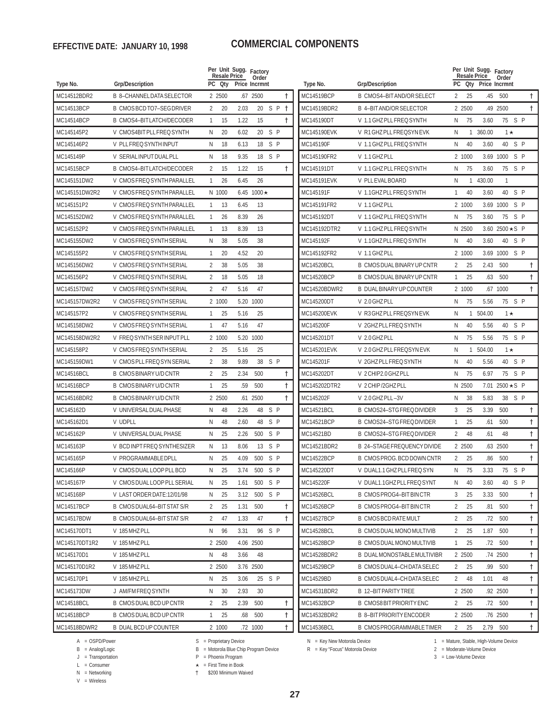|                   |                                  | Per Unit Sugg. Factory<br><b>Resale Price</b> |              |                                    | Per Unit Sugg. Factory<br><b>Resale Price</b>  |
|-------------------|----------------------------------|-----------------------------------------------|--------------|------------------------------------|------------------------------------------------|
| Type No.          | <b>Grp/Description</b>           | Order<br>PC Qtv<br>Price Incrmnt              | Type No.     | <b>Grp/Description</b>             | Order<br>PC Qty Price Incrmnt                  |
| MC14512BDR2       | <b>B 8-CHANNEL DATA SELECTOR</b> | .67 2500<br>$^{\dagger}$<br>2 2500            | MC14519BCP   | <b>B CMOS4-BITAND/ORSELECT</b>     | $\ddagger$<br>2<br>25<br>.45<br>500            |
| MC14513BCP        | <b>B CMOSBCDTO7-SEGDRIVER</b>    | 2.03<br>20 S P<br>$\ddagger$<br>2<br>20       | MC14519BDR2  | <b>B 4-BIT AND/OR SELECTOR</b>     | 2 2500<br>.49 2500<br>$\ddagger$               |
| MC14514BCP        | B CMOS4-BITLATCH/DECODER         | 15<br>$\ddagger$<br>15<br>1.22<br>1           | MC145190DT   | V 1.1 GHZ PLL FREQ SYNTH           | 75<br>75 S P<br>Ν<br>3.60                      |
| MC145145P2        | V CMOS4BIT PLL FREQ SYNTH        | 20 S P<br>20<br>6.02<br>N                     | MC145190EVK  | V R1 GHZ PLL FREQSYN EVK           | 360.00<br>N<br>$1\star$<br>1                   |
| MC145146P2        | V PLL FREQ SYNTH INPUT           | 18 S P<br>N<br>18<br>6.13                     | MC145190F    | V 1.1 GHZ PLL FREQ SYNTH           | 40 S P<br>N<br>40<br>3.60                      |
| MC145149P         | V SERIAL INPUT DUAL PLL          | 18 S P<br>18<br>9.35<br>N                     | MC145190FR2  | V 1.1 GHZ PLL                      | 2 1000<br>3.69 1000<br>S P                     |
| <b>MC14515BCP</b> | <b>B CMOS4-BITLATCH/DECODER</b>  | 15<br>1.22<br>15<br>$^{\dagger}$<br>2         | MC145191DT   | V 1.1 GHZ PLL FREQ SYNTH           | N<br>75<br>3.60<br>75 S P                      |
| MC145151DW2       | V CMOS FREQ SYNTH PARALLEL       | 26<br>6.45<br>26<br>$\mathbf{1}$              | MC145191EVK  | V PLL EVAL BOARD                   | N<br>430.00<br>$\mathbf{1}$<br>$\mathbf{1}$    |
| MC145151DW2R2     | V CMOS FREQ SYNTH PARALLEL       | N 1000<br>6.45 1000 $\star$                   | MC145191F    | V 1.1GHZ PLL FREQ SYNTH            | 40 S P<br>40<br>3.60<br>$\mathbf{1}$           |
| MC145151P2        | V CMOS FREQ SYNTH PARALLEL       | 6.45<br>$\mathbf{1}$<br>-13<br>13             | MC145191FR2  | V 1.1 GHZ PLL                      | S P<br>2 1000<br>3.69 1000                     |
| MC145152DW2       | V CMOS FREQ SYNTH PARALLEL       | 8.39<br>26<br>1<br>26                         | MC145192DT   | V 1.1 GHZ PLL FREQ SYNTH           | 75<br>S P<br>N<br>- 75<br>3.60                 |
| MC145152P2        | V CMOS FREQ SYNTH PARALLEL       | 13<br>8.39<br>13<br>1                         | MC145192DTR2 | V 1.1 GHZ PLL FREQ SYNTH           | 3.60 2500 ★ S P<br>N 2500                      |
| MC145155DW2       | V CMOS FREQ SYNTH SERIAL         | 38<br>38<br>5.05<br>N                         | MC145192F    | V 1.1GHZ PLL FREQ SYNTH            | S P<br>40<br>3.60<br>40<br>N                   |
| MC145155P2        | V CMOS FREQ SYNTH SERIAL         | 20<br>20<br>4.52<br>1                         | MC145192FR2  | V 1.1 GHZ PLL                      | 3.69 1000 S P<br>2 1000                        |
| MC145156DW2       | V CMOS FREQ SYNTH SERIAL         | 38<br>2<br>38<br>5.05                         | MC14520BCL   | <b>B CMOS DUAL BINARY UP CNTR</b>  | 2<br>25<br>2.43<br>500<br>$^{+}$               |
| MC145156P2        | V CMOS FREQ SYNTH SERIAL         | 2<br>18<br>5.05<br>18                         | MC14520BCP   | <b>B CMOS DUAL BINARY UP CNTR</b>  | 25<br>500<br>.63<br>$^\dagger$<br>$\mathbf{1}$ |
| MC145157DW2       | V CMOS FREQ SYNTH SERIAL         | 2<br>47<br>5.16<br>47                         | MC14520BDWR2 | <b>B DUAL BINARY UP COUNTER</b>    | $\ddagger$<br>2 1000<br>.67 1000               |
| MC145157DW2R2     | V CMOS FREQ SYNTH SERIAL         | 5.20 1000<br>2 1000                           | MC145200DT   | V 2.0 GHZ PLL                      | 75<br>75 S P<br>5.56<br>N                      |
| MC145157P2        | V CMOS FREQ SYNTH SERIAL         | 25<br>25<br>5.16<br>1                         | MC145200EVK  | V R3 GHZ PLL FREQSYN EVK           | N<br>504.00<br>$1\star$<br>$\mathbf{1}$        |
| MC145158DW2       | V CMOS FREQ SYNTH SERIAL         | 47<br>47<br>5.16<br>1                         | MC145200F    | V 2GHZ PLL FREQ SYNTH              | 40<br>40 S P<br>N<br>5.56                      |
| MC145158DW2R2     | V FREQ SYNTH SER INPUT PLL       | 1000<br>2 1000<br>5.20                        | MC145201DT   | V 2.0 GHZ PLL                      | 75<br>75 S P<br>N<br>5.56                      |
| MC145158P2        | V CMOS FREQ SYNTH SERIAL         | 25<br>25<br>2<br>5.16                         | MC145201EVK  | V 2.0 GHZ PLL FREQSYNEVK           | 504.00<br>N<br>$1\star$<br>1                   |
| MC145159DW1       | V CMOS PLL FREQ SYN SERIAL       | 38<br>38 S P<br>2<br>9.89                     | MC145201F    | V 2GHZ PLL FREQ SYNTH              | 40 S P<br>N<br>40<br>5.56                      |
| MC14516BCL        | <b>B CMOSBINARY U/D CNTR</b>     | 2<br>25<br>2.34<br>500<br>$^+$                | MC145202DT   | V 2 CHIP2.0 GHZ PLL                | S P<br>N<br>75<br>6.97<br>75                   |
| MC14516BCP        | <b>B CMOSBINARY U/D CNTR</b>     | 25<br>$^{\dagger}$<br>.59<br>500<br>1         | MC145202DTR2 | V 2 CHIP /2 GHZ PLL                | N 2500<br>7.01 2500 ★ S P                      |
| MC14516BDR2       | B CMOS BINARY U/D CNTR           | $^+$<br>2 2500<br>.61 2500                    | MC145202F    | V 2.0 GHZ PLL-3V                   | 38<br>5.83<br>38 S P<br>N                      |
| MC145162D         | V UNIVERSAL DUAL PHASE           | 48 S P<br>48<br>2.26<br>N                     | MC14521BCL   | <b>B CMOS24-STGFREQDIVIDER</b>     | 25<br>3.39<br>500<br>$\ddagger$<br>3           |
| MC145162D1        | V UDPLL                          | 48 S P<br>Ν<br>48<br>2.60                     | MC14521BCP   | B CMOS24-STG FREQ DIVIDER          | 25<br>$\ddagger$<br>500<br>1<br>.61            |
| MC145162P         | V UNIVERSAL DUAL PHASE           | S P<br>25<br>2.26<br>500<br>N                 | MC14521BD    | <b>B CMOS24-STGFREQDIVIDER</b>     | 48<br>$\ddagger$<br>2<br>48<br>.61             |
| MC145163P         | V BCD INPT FREQ SYNTHESIZER      | 13 S P<br>13<br>8.06<br>N                     | MC14521BDR2  | <b>B 24-STAGE FREQUENCY DIVIDE</b> | $^\dagger$<br>2 2500<br>.63 2500               |
| MC145165P         | V PROGRAMMABLEDPLL               | 25<br>4.09<br>500 S P<br>N                    | MC14522BCP   | B CMOS PROG. BCD DOWN CNTR         | $\ddagger$<br>25<br>$\mathbf{2}$<br>.86<br>500 |
| MC145166P         | V CMOS DUAL LOOP PLL BCD         | 500 S P<br>25<br>3.74<br>N                    | MC145220DT   | V DUAL1.1 GHZ PLL FREQ SYN         | 75 S P<br>75<br>3.33<br>N                      |
| MC145167P         | V CMOS DUAL LOOP PLL SERIAL      | 500 S P<br>25<br>N<br>1.61                    | MC145220F    | V DUAL1.1GHZ PLL FREQ SYNT         | 40 S P<br>40<br>3.60<br>N.                     |
| MC145168P         | V LAST ORDER DATE:12/01/98       | 25<br>3.12<br>500 S P<br>Ν                    | MC14526BCL   | <b>B CMOSPROG4-BIT BIN CTR</b>     | 25<br>3.33<br>500<br>3<br>Ť                    |
| MC14517BCP        | B CMOS DUAL64-BIT STAT S/R       | 25<br>500<br>2<br>1.31                        | MC14526BCP   | <b>B CMOSPROG4-BIT BIN CTR</b>     | 25<br>500<br>Ť.<br>$\mathbf{2}$<br>.81         |
| MC14517BDW        | B CMOS DUAL64-BIT STAT S/R       | 2<br>47<br>1.33<br>47<br>$^{\dagger}$         | MC14527BCP   | <b>B CMOSBCD RATE MULT</b>         | 25<br>.72<br>500<br>$^\dagger$<br>$\mathbf{2}$ |
| MC145170DT1       | V 185 MHZ PLL                    | 96 S P<br>96<br>3.31<br>N                     | MC14528BCL   | B CMOS DUAL MONO MULTIVIB          | $^{\dagger}$<br>25<br>1.87<br>500<br>2         |
| MC145170DT1R2     | V 185 MHZ PLL                    | 2 2500<br>4.06 2500                           | MC14528BCP   | B CMOS DUAL MONO MULTIVIB          | $^{\dagger}$<br>25<br>.72<br>500<br>1          |
| MC145170D1        | V 185 MHZ PLL                    | 48<br>48<br>3.66<br>N                         | MC14528BDR2  | B DUALMONOSTABLE MULTIVIBR         | .74 2500<br>$^\dagger$<br>2 2500               |
| MC145170D1R2      | V 185 MHZ PLL                    | 2 2500<br>3.76 2500                           | MC14529BCP   | B CMOS DUAL4-CH DATA SELEC         | Ť<br>25<br>.99<br>500<br>$\mathbf{2}$          |
| MC145170P1        | V 185 MHZ PLL                    | 25 S P<br>- 25<br>3.06<br>N                   | MC14529BD    | B CMOS DUAL4-CH DATA SELEC         | 48<br>1.01<br>48<br>t<br>$\mathbf{2}$          |
| MC145173DW        | J AM/FMFREQSYNTH                 | 30<br>2.93<br>30<br>N                         | MC14531BDR2  | B 12-BIT PARITY TREE               | $^\dagger$<br>2 2500<br>.92 2500               |
| MC14518BCL        | B CMOS DUAL BCD UP CNTR          | 25<br>2.39<br>500<br>$^{\dagger}$<br>2        | MC14532BCP   | <b>B CMOS8 BIT PRIORITY ENC</b>    | 2 <sub>25</sub><br>.72 500<br>Ť                |
| MC14518BCP        | <b>B CMOS DUAL BCD UP CNTR</b>   | 25<br>500<br>t<br>$\mathbf{1}$<br>.68         | MC14532BDR2  | <b>B 8-BIT PRIORITY ENCODER</b>    | Ť<br>2 2500<br>.76 2500                        |
| MC14518BDWR2      | <b>B DUAL BCD UP COUNTER</b>     | $^+$<br>.72 1000<br>2 1000                    | MC14536BCL   | <b>B CMOSPROGRAMMABLETIMER</b>     | $\ddagger$<br>$\mathbf{2}$<br>25<br>2.79 500   |

J = Transportation P = Phoenix Program 3 = Low-Volume Device

- 
- $L = \text{Consumer}$ <br>  $N = \text{Networking}$ <br>  $V = \text{Wireless}$

B = Analog/Logic entropyrology by B = Motorola Blue Chip Program Device R = Key "Focus" Motorola Device 2 = Moderate-Volume Device

A = OSPD/Power external states and S = Proprietary Device N = Key New Motorola Device 1 = Mature, Stable, High-Volume Device

 $L =$  Consumer  $\star =$  First Time in Book

N = Networking - and the state of the state of the state of the state of the state of the state of the state of the state of the state of the state of the state of the state of the state of the state of the state of the st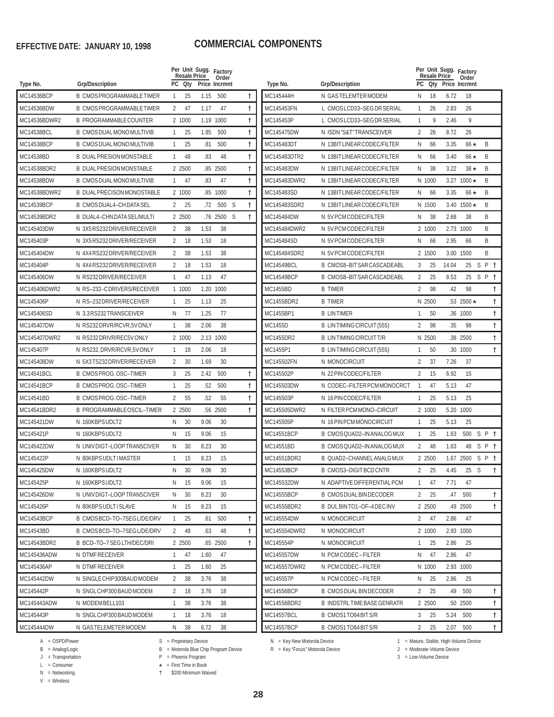| Type No.          | <b>Grp/Description</b>           | <b>Resale Price</b><br>PC Qty | Per Unit Sugg. Factory<br>Order<br>Price Incrmnt | Type No.          | <b>Grp/Description</b>            | <b>Resale Price</b><br>PC Qty | Per Unit Sugg. Factory<br>Order<br>Price Incrmnt |
|-------------------|----------------------------------|-------------------------------|--------------------------------------------------|-------------------|-----------------------------------|-------------------------------|--------------------------------------------------|
| MC14536BCP        | <b>B CMOSPROGRAMMABLETIMER</b>   | 25<br>$\mathbf{1}$            | $\ddagger$<br>1.15<br>500                        | MC145444H         | N GASTELEMTERMODEM                | 18<br>N                       | 6.72<br>18                                       |
| MC14536BDW        | <b>B CMOSPROGRAMMABLE TIMER</b>  | 2<br>47                       | 47<br>$\ddagger$<br>1.17                         | MC145453FN        | L CMOSLCD33-SEGDR SERIAL          | 26<br>1                       | 2.83<br>26                                       |
| MC14536BDWR2      | <b>B PROGRAMMABLECOUNTER</b>     | 2 1000                        | $\ddagger$<br>1.19 1000                          | MC145453P         | L CMOS LCD33-SEG DR SERIAL        | 9<br>1                        | 9<br>2.46                                        |
| MC14538BCL        | <b>B CMOS DUAL MONO MULTIVIB</b> | 25<br>1                       | $\ddagger$<br>500<br>1.85                        | MC145475DW        | N ISDN "S&T" TRANSCEIVER          | $\overline{2}$<br>26          | 26<br>8.72                                       |
| MC14538BCP        | <b>B CMOS DUAL MONO MULTIVIB</b> | 25<br>$\mathbf{1}$            | 500<br>$\ddagger$<br>.81                         | MC145483DT        | N 13BIT LINEAR CODEC/FILTER       | N<br>66                       | 3.35<br>B<br>$66 \star$                          |
| MC14538BD         | <b>B DUALPRESION MONSTABLE</b>   | 48<br>1                       | .83<br>48<br>$\ddagger$                          | MC145483DTR2      | N 13BIT LINEAR CODEC/FILTER       | N<br>66                       | B<br>3.40<br>$66 \star$                          |
| MC14538BDR2       | <b>B DUALPRESION MONSTABLE</b>   | 2 2500                        | $\ddagger$<br>.85 2500                           | MC145483DW        | N 13BIT LINEAR CODEC/FILTER       | 38<br>N                       | B<br>3.22<br>$38 \star$                          |
| MC14538BDW        | B CMOS DUAL MONO MULTIVIB        | 47<br>$\mathbf{1}$            | .83<br>47<br>$\ddagger$                          | MC145483DWR2      | N 13BIT LINEAR CODEC/FILTER       | N 1000                        | 3.27<br>1000 $\star$<br>B                        |
| MC14538BDWR2      | <b>B DUALPRECISON MONOSTABLE</b> | 2 1000                        | $\ddagger$<br>.85 1000                           | MC145483SD        | N 13BIT LINEAR CODEC/FILTER       | N<br>66                       | B<br>3.35<br>$66*$                               |
| MC14539BCP        | B CMOS DUAL4-CH DATA SEL         | 2<br>25                       | $\ddagger$<br>500 S<br>.72                       | MC145483SDR2      | N 13BIT LINEAR CODEC/FILTER       | N 1500                        | B<br>1500 $\star$<br>3.40                        |
| MC14539BDR2       | B DUAL4-CHNDATA SEL/MULTI        | 2 2500                        | .76 2500 S<br>$^+$                               | MC145484DW        | N 5V PCM CODEC/FILTER             | 38<br>N                       | B<br>2.68<br>38                                  |
| MC145403DW        | N 3X5RS232DRIVER/RECEIVER        | 38<br>2                       | 38<br>1.53                                       | MC145484DWR2      | N 5V PCM CODEC/FILTER             | 2 1000                        | B<br>2.73 1000                                   |
| MC145403P         | N 3X5 RS232 DRIVER/RECEIVER      | 18<br>2                       | 18<br>1.53                                       | MC145484SD        | N 5V PCM CODEC/FILTER             | N<br>66                       | B<br>2.95<br>66                                  |
| MC145404DW        | N 4X4RS232DRIVER/RECEIVER        | $\overline{2}$<br>38          | 1.53<br>38                                       | MC145484SDR2      | N 5V PCM CODEC/FILTER             | 2 1500                        | 3.00 1500<br>B                                   |
| MC145404P         | N 4X4RS232DRIVER/RECEIVER        | 18<br>2                       | 1.53<br>18                                       | <b>MC14549BCL</b> | <b>B CMOS8-BIT SAR CASCADEABL</b> | 25<br>3                       | $S$ $P$ $\dagger$<br>14.04<br>25                 |
| MC145406DW        | N RS232DRIVER/RECEIVER           | 47<br>1                       | 47<br>1.13                                       | <b>MC14549BCP</b> | B CMOS8-BIT SAR CASCADEABL        | 25<br>$\overline{2}$          | SP t<br>8.53<br>25                               |
| MC145406DWR2      | N RS-232-CDRIVERS/RECEIVER       | 1 1000                        | 1.20 1000                                        | MC1455BD          | <b>B TIMER</b>                    | $\overline{2}$<br>98          | .42<br>98<br>$\ddagger$                          |
| MC145406P         | N RS-232DRIVER/RECEIVER          | 25<br>$\mathbf{1}$            | 1.13<br>25                                       | MC1455BDR2        | <b>B TIMER</b>                    | N 2500                        | $\ddagger$<br>$.53$ 2500 $\star$                 |
| MC145406SD        | N 3.3 RS232 TRANSCEIVER          | 77<br>Ν                       | 1.25<br>77                                       | MC1455BP1         | <b>B LINTIMER</b>                 | 50<br>1                       | $\ddagger$<br>.36 1000                           |
| MC145407DW        | N RS232DRVR/RCVR,5VONLY          | 38<br>1                       | 38<br>2.06                                       | MC1455D           | <b>B LINTIMING CIRCUIT (555)</b>  | $\overline{2}$<br>98          | $\ddagger$<br>.35<br>98                          |
| MC145407DWR2      | N RS232DRIVR/REC5VONLY           | 2 1000                        | 2.13 1000                                        | MC1455DR2         | <b>B LINTIMING CIRCUIT T/R</b>    | N 2500                        | $^\dagger$<br>.38 2500                           |
| MC145407P         | N RS232, DRVR/RCVR, 5VONLY       | 18<br>1                       | 2.06<br>18                                       | MC1455P1          | <b>B LINTIMING CIRCUIT (555)</b>  | 50<br>1                       | $\ddagger$<br>.30 1000                           |
| MC145408DW        | N 5X3TS232DRIVER/RECEIVER        | $\overline{2}$<br>30          | 1.69<br>30                                       | MC145502FN        | N MONOCIRCUIT                     | $\overline{2}$<br>37          | 7.26<br>37                                       |
| MC14541BCL        | <b>B CMOSPROG.OSC-TIMER</b>      | 25<br>3                       | 2.42<br>500<br>$\ddagger$                        | MC145502P         | N 22 PIN CODEC/FILTER             | $\overline{2}$<br>15          | 6.92<br>15                                       |
| <b>MC14541BCP</b> | B CMOSPROG.OSC-TIMER             | 25<br>1                       | 500<br>$\ddagger$<br>.52                         | MC145503DW        | N CODEC-FILTER PCM MONOCRCT       | 47<br>$\mathbf{1}$            | 47<br>5.13                                       |
| MC14541BD         | B CMOSPROG.OSC-TIMER             | 2<br>55                       | .52<br>55<br>$\ddagger$                          | MC145503P         | N 16 PIN CODEC/FILTER             | 25<br>$\mathbf{1}$            | 25<br>5.13                                       |
| MC14541BDR2       | <b>B PROGRAMMABLEOSCIL-TIMER</b> | 2 2500                        | .56 2500<br>$^{+}$                               | MC145505DWR2      | N FILTER PCMMONO-CIRCUIT          | 2 1000                        | 5.20 1000                                        |
| MC145421DW        | N 160KBPS UDLT2                  | 30<br>Ν                       | 9.06<br>30                                       | MC145505P         | N 16 PIN PCM MONOCIRCUIT          | 25<br>1                       | 5.13<br>25                                       |
| MC145421P         | N 160KBPS UDLT2                  | 15<br>Ν                       | 15<br>9.06                                       | <b>MC14551BCP</b> | B CMOS QUAD2-IN ANALOG MUX        | 25<br>1                       | 500<br>SP t<br>1.63                              |
| MC145422DW        | N UNIVDIGT-LOOP TRANSCIVER       | 30<br>Ν                       | 8.23<br>30                                       | MC14551BD         | B CMOS QUAD2-IN ANALOG MUX        | 2<br>48                       | SP t<br>1.63<br>48                               |
| MC145422P         | N 80KBPSUDLTIMASTER              | 15<br>1                       | 8.23<br>15                                       | MC14551BDR2       | B QUAD2-CHANNEL ANALG MUX         | 2 2500                        | 1.67 2500 S P +                                  |
| MC145425DW        | N 160KBPS UDLT2                  | 30<br>Ν                       | 9.06<br>30                                       | MC14553BCP        | <b>B CMOS3-DIGIT BCD CNTR</b>     | $\mathbf{2}$<br>25            | $\ddagger$<br>25 S<br>4.45                       |
| MC145425P         | N 160KBPSUDLT2                   | 15<br>N.                      | 9.06<br>15                                       | MC145532DW        | N ADAPTIVE DIFFERENTIAL PCM       | 47<br>$\mathbf{1}$            | 7.71<br>47                                       |
| MC145426DW        | N UNIVDIGT-LOOP TRANSCIVER       | 30<br>N                       | 8.23<br>30                                       | MC14555BCP        | <b>B CMOS DUAL BIN DECODER</b>    | 25<br>$\mathbf{2}$            | .47<br>500<br>$^{\dagger}$                       |
| MC145426P         | N 80KBPSUDLTISLAVE               | N<br>15                       | 8.23<br>15                                       | MC14555BDR2       | B DUL BIN TO1-OF-4 DEC INV        | 2 2500                        | $\ddagger$<br>.49 2500                           |
| MC14543BCP        | B CMOSBCD-TO-7SEGL/DE/DRV        | 25<br>1                       | 500<br>$^+$<br>.61                               | MC145554DW        | N MONOCIRCUIT                     | 2 47                          | 2.86<br>47                                       |
| MC14543BD         | B CMOSBCD-TO-7SEGL/DE/DRV        | 48<br>2                       | $\ddagger$<br>48<br>.63                          | MC145554DWR2      | N MONOCIRCUIT                     | 2 1000                        | 2.93 1000                                        |
| MC14543BDR2       | B BCD-TO-7 SEGLTH/DEC/DRI        | 2 2500                        | $^{\dagger}$<br>.65 2500                         | MC145554P         | N MONOCIRCUIT                     | 25<br>$\mathbf{1}$            | 2.86<br>25                                       |
| MC145436ADW       | N DTMF RECEIVER                  | 47<br>$\mathbf{1}$            | 1.60<br>47                                       | MC145557DW        | N PCMCODEC-FILTER                 | 47<br>N.                      | 2.86<br>47                                       |
| MC145436AP        | N DTMF RECEIVER                  | 25<br>1                       | 1.60<br>25                                       | MC145557DWR2      | N PCMCODEC-FILTER                 | N 1000                        | 2.93 1000                                        |
| MC145442DW        | N SINGLE CHIP300BAUD MODEM       | 38<br>2                       | 38<br>3.76                                       | MC145557P         | N PCMCODEC-FILTER                 | 25<br>N                       | 25<br>2.86                                       |
| MC145442P         | N SNGL CHP300 BAUD MODEM         | 2<br>18                       | 3.76<br>18                                       | MC14556BCP        | <b>B CMOS DUAL BIN DECODER</b>    | $\mathbf{2}$<br>25            | $\ddagger$<br>.49<br>500                         |
| MC145443ADW       | N MODEMBELL103                   | 38<br>1                       | 3.76<br>38                                       | MC14556BDR2       | <b>B INDSTRLTIME BASE GENRATR</b> | 2 2500                        | $^\dagger$<br>.50 2500                           |
| MC145443P         | N SNGL CHP300 BAUD MODEM         | 1<br>18                       | 3.76<br>18                                       | <b>MC14557BCL</b> | B CMOS1 TO64 BIT S/R              | 3 <sup>7</sup><br>25          | $\ddagger$<br>500<br>5.24                        |
| MC145444DW        | N GASTELEMETERMODEM              | 38<br>N                       | 6.72<br>38                                       | <b>MC14557BCP</b> | B CMOS1 TO64 BIT S/R              | 25<br>$\mathbf{2}$            | $\ddagger$<br>2.07<br>500                        |

- 
- 

 $L = \text{Consumer}$ <br>  $N = \text{Networking}$ <br>  $V = \text{Wireless}$ 

- 
- 
- A = OSPD/Power external states and S = Proprietary Device N = Key New Motorola Device 1 = Mature, Stable, High-Volume Device

- J = Transportation P = Phoenix Program 3 = Low-Volume Device
- $L =$  Consumer  $\star =$  First Time in Book
- N = Networking extensive that the state of the state of the state of the state of the state of the state of the state of the state of the state of the state of the state of the state of the state of the state of the state
	-

**28**

B = Analog/Logic entropy of the Motorola Blue Chip Program Device R = Key "Focus" Motorola Device 2 = Moderate-Volume Device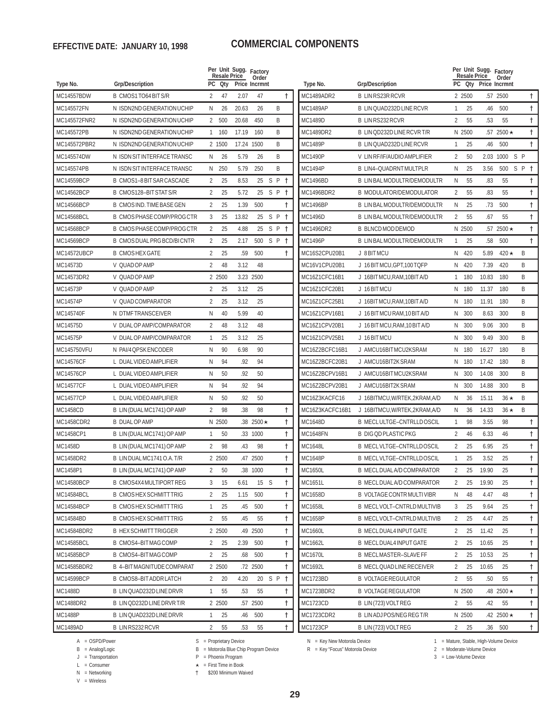|                   |                                   | <b>Resale Price</b>  | Per Unit Sugg. Factory<br>Order |                 |                                   | <b>Resale Price</b>  | Per Unit Sugg. Factory<br>Order  |
|-------------------|-----------------------------------|----------------------|---------------------------------|-----------------|-----------------------------------|----------------------|----------------------------------|
| Type No.          | <b>Grp/Description</b>            | Oty<br>PC            | Price Incrmnt                   | Type No.        | <b>Grp/Description</b>            |                      | PC Qtv Price Incrmnt             |
| MC14557BDW        | B CMOS1TO64 BIT S/R               | 47<br>$\overline{2}$ | $^{\dagger}$<br>2.07<br>47      | MC1489ADR2      | <b>B LINRS23R RCVR</b>            | 2 2500               | $^{+}$<br>57 2500                |
| MC145572FN        | N ISDN2ND GENERATION UCHIP        | 26<br>N              | B<br>20.63<br>26                | <b>MC1489AP</b> | B LIN QUAD232D LINE RCVR          | 25<br>1              | 500<br>$^{\dagger}$<br>.46       |
| MC145572FNR2      | N ISDN2ND GENERATION UCHIP        | 500<br>2             | B<br>20.68<br>450               | <b>MC1489D</b>  | <b>B LINRS232 RCVR</b>            | 2<br>55              | 55<br>$\ddagger$<br>.53          |
| MC145572PB        | N ISDN2ND GENERATION UCHIP        | 1 160                | B<br>17.19<br>160               | MC1489DR2       | B LIN QD232D LINE RCVR T/R        | N 2500               | $\dagger$<br>.57 2500 ★          |
| MC145572PBR2      | N ISDN2ND GENERATION UCHIP        | 2 1500               | B<br>17.24 1500                 | <b>MC1489P</b>  | <b>B LIN QUAD232D LINE RCVR</b>   | 25<br>1.             | 500<br>$\ddagger$<br>.46         |
| MC145574DW        | N ISDN SIT INTERFACE TRANSC       | 26<br>N              | B<br>5.79<br>26                 | <b>MC1490P</b>  | V LIN RF/IF/AUDIO AMPLIFIER       | 50<br>2              | 1000 S P<br>2.03                 |
| MC145574PB        | N ISDN SIT INTERFACE TRANSC       | 250<br>N             | 250<br>B<br>5.79                | MC1494P         | <b>B LIN4-QUADRNTMULTPLR</b>      | 25<br>Ν              | $S$ $P$ $+$<br>3.56<br>500       |
| <b>MC14559BCP</b> | B CMOS1-8 BIT SAR CASCADE         | 25<br>2              | 25 S P +<br>8.53                | <b>MC1496BD</b> | B LIN BAL MODULTR/DEMODULTR       | 55<br>N              | .83<br>55<br>$^\dagger$          |
| MC14562BCP        | B CMOS128-BITSTATS/R              | 2<br>25              | 25 S P t<br>5.72                | MC1496BDR2      | <b>B MODULATOR/DEMODULATOR</b>    | 2<br>55              | .83<br>55<br>$^\dagger$          |
| MC14566BCP        | <b>B CMOSIND. TIME BASE GEN</b>   | 2<br>25              | $^{\dagger}$<br>1.39<br>500     | <b>MC1496BP</b> | b linbalmodultr/demodultr         | N<br>25              | $\ddagger$<br>.73<br>500         |
| MC14568BCL        | B CMOSPHASE COMP/PROGCTR          | 3<br>25              | 25 S P †<br>13.82               | MC1496D         | B LIN BAL MODULTR/DEMODULTR       | 2<br>55              | $^{\dagger}$<br>.67<br>55        |
| MC14568BCP        | <b>B CMOSPHASE COMP/PROGCTR</b>   | 2<br>25              | 25 S P +<br>4.88                | MC1496DR2       | <b>B BLNCDMODDEMOD</b>            | N 2500               | $.572500 \star$<br>$\ddagger$    |
| MC14569BCP        | <b>B CMOS DUAL PRG BCD/BICNTR</b> | 2<br>25              | 500 S P +<br>2.17               | <b>MC1496P</b>  | B LIN BAL MODULTR/DEMODULTR       | 25<br>1              | $^+$<br>.58<br>500               |
| MC14572UBCP       | <b>B CMOSHEX GATE</b>             | $\overline{2}$<br>25 | 500<br>$^{\dagger}$<br>.59      | MC16S2CPU20B1   | J 8 BIT MCU                       | N 420                | $420 \star$<br>B<br>5.89         |
| MC14573D          | V QUADOP AMP                      | $\overline{2}$<br>48 | 3.12<br>48                      | MC16V1CPU20B1   | J 16 BIT MCU, GPT, 100 TQFP       | N<br>420             | 420<br>B<br>7.39                 |
| MC14573DR2        | V QUADOP AMP                      | 2 2500               | 3.23 2500                       | MC16Z1CFC16B1   | J 16BIT MCU, RAM, 10BIT A/D       | 180<br>1             | 10.83<br>180<br>B                |
| MC14573P          | V QUADOP AMP                      | 25<br>2              | 25<br>3.12                      | MC16Z1CFC20B1   | J 16 BIT MCU                      | 180<br>N             | 180<br>B<br>11.37                |
| MC14574P          | V QUAD COMPARATOR                 | 2<br>25              | 3.12<br>25                      | MC16Z1CFC25B1   | J 16BIT MCU, RAM, 10BIT A/D       | N 180                | 11.91<br>180<br>B                |
| MC145740F         | N DTMFTRANSCEIVER                 | N<br>40              | 5.99<br>40                      | MC16Z1CPV16B1   | J 16 BIT MCU RAM, 10 BIT A/D      | N 300                | 8.63<br>300<br>B                 |
| MC14575D          | V DUAL OP AMP/COMPARATOR          | 2<br>48              | 3.12<br>48                      | MC16Z1CPV20B1   | J 16 BIT MCU, RAM, 10 BIT A/D     | 300<br>N             | 9.06<br>300<br>B                 |
| MC14575P          | V DUAL OP AMP/COMPARATOR          | 25<br>1              | 3.12<br>25                      | MC16Z1CPV25B1   | J 16 BIT MCU                      | 300<br>N             | 9.49<br>300<br>B                 |
| MC145750VFU       | N PAI/4 QPSK ENCODER              | 90<br>N              | 6.98<br>90                      | MC16Z2BCFC16B1  | J AMCU16BITMCU2KSRAM              | N 180                | 16.27<br>180<br>B                |
| <b>MC14576CF</b>  | L DUAL VIDEO AMPLIFIER            | 94<br>Ν              | .92<br>94                       | MC16Z2BCFC20B1  | J AMCU16BIT2K SRAM                | N 180                | 180<br>B<br>17.42                |
| <b>MC14576CP</b>  | L DUAL VIDEO AMPLIFIER            | 50<br>Ν              | .92<br>50                       | MC16Z2BCPV16B1  | J AMCU16BITMCU2KSRAM              | N<br>300             | 300<br>B<br>14.08                |
| <b>MC14577CF</b>  | L DUAL VIDEO AMPLIFIER            | 94<br>N              | .92<br>94                       | MC16Z2BCPV20B1  | J AMCU16BIT2K SRAM                | 300<br>N             | 14.88<br>300<br>B                |
| <b>MC14577CP</b>  | L DUAL VIDEO AMPLIFIER            | 50<br>N              | .92<br>50                       | MC16Z3KACFC16   | J 16BITMCU,W/RTEK,2KRAM,A/D       | 36<br>N              | $36 \star$<br>B<br>15.11         |
| <b>MC1458CD</b>   | B LIN (DUAL MC1741) OP AMP        | 2<br>98              | .38<br>98<br>Ť.                 | MC16Z3KACFC16B1 | J 16BITMCU, W/RTEK, 2KRAM, A/D    | 36<br>N              | B<br>14.33<br>$36 \star$         |
| <b>MC1458CDR2</b> | <b>B DUALOPAMP</b>                | N 2500               | $^{\dagger}$<br>38 2500 $\star$ | MC1648D         | <b>B MECLULTGE-CNTRLLDOSCIL</b>   | 98<br>1              | 98<br>$\dagger$<br>3.55          |
| MC1458CP1         | B LIN (DUAL MC1741) OP AMP        | 50<br>1              | .33 1000<br>$^{\dagger}$        | <b>MC1648FN</b> | <b>B DIGQDPLASTICPKG</b>          | 2<br>46              | 6.33<br>46<br>$\ddagger$         |
| MC1458D           | B LIN (DUAL MC1741) OP AMP        | 98<br>2              | $^{\dagger}$<br>.43<br>98       | <b>MC1648L</b>  | <b>B MECLVLTGE-CNTRLLDOSCIL</b>   | 2<br>25              | $\dagger$<br>6.95<br>25          |
| MC1458DR2         | B LINDUAL MC1741 O.A. T/R         | 2 2500               | $^{\dagger}$<br>.47 2500        | <b>MC1648P</b>  | <b>B MECL VLTGE-CNTRLLDOSCIL</b>  | 25<br>1              | $\dagger$<br>3.52<br>25          |
| MC1458P1          | B LIN (DUAL MC1741) OP AMP        | 2<br>50              | $+$<br>.38 1000                 | MC1650L         | B MECLDUALA/DCOMPARATOR           | 25<br>2              | 19.90<br>25<br>$^+$              |
| MC14580BCP        | B CMOS4X4 MULTIPORT REG           | 15<br>3              | $^{\dagger}$<br>15 S<br>6.61    | MC1651L         | <b>B MECLDUALA/DCOMPARATOR</b>    | 25<br>2              | 25<br>$^+$<br>19.90              |
| <b>MC14584BCL</b> | <b>B CMOSHEX SCHMITT TRIG</b>     | 25<br>$\overline{2}$ | $\dagger$<br>500<br>1.15        | MC1658D         | B VOLTAGE CONTRMULTIVIBR          | 48<br>N              | 48<br>4.47<br>$\ddagger$         |
| MC14584BCP        | <b>B CMOSHEX SCHMITT TRIG</b>     | 25<br>1              | $\dagger$<br>500<br>.45         | MC1658L         | <b>B MECLVOLT-CNTRLD MULTIVIB</b> | 25<br>3              | 25<br>$^\dagger$<br>9.64         |
| MC14584BD         | <b>B CMOSHEX SCHMITT TRIG</b>     | $\overline{2}$<br>55 | .45<br>55<br>t.                 | MC1658P         | B MECL VOLT-CNTRLD MULTIVIB       | 2<br>25              | 4.47<br>25<br>Ť                  |
| MC14584BDR2       | <b>B HEX SCHMITT TRIGGER</b>      | 2 2500               | .49 2500<br>$^\dagger$          | MC1660L         | <b>B MECLDUAL4 INPUT GATE</b>     | $\overline{2}$<br>25 | 25<br>$\dagger$<br>11.42         |
| MC14585BCL        | <b>B CMOS4-BITMAGCOMP</b>         | $\overline{2}$<br>25 | $^{\dagger}$<br>2.39<br>500     | MC1662L         | <b>B MECLDUAL4 INPUT GATE</b>     | $\overline{2}$<br>25 | $^{\dagger}$<br>10.65<br>25      |
| MC14585BCP        | <b>B CMOS4-BITMAGCOMP</b>         | 25<br>2              | 500<br>$^{\dagger}$<br>.68      | MC1670L         | <b>B MECLMASTER-SLAVEFF</b>       | 25<br>$\overline{2}$ | 25<br>10.53<br>$^\dagger$        |
| MC14585BDR2       | <b>B 4-BITMAGNITUDE COMPARAT</b>  | 2 2500               | .72 2500<br>$^+$                | MC1692L         | <b>B MECLOUAD LINE RECEIVER</b>   | $\overline{2}$<br>25 | $^{\dagger}$<br>10.65<br>25      |
| MC14599BCP        | <b>B CMOS8-BITADDRLATCH</b>       | 2 20                 | 20 S P t<br>4.20                | MC1723BD        | B VOLTAGE REGULATOR               | 55<br>$\overline{2}$ | 55<br>.50<br>$\ddagger$          |
| <b>MC1488D</b>    | B LIN QUAD232D LINE DRVR          | 55<br>$\mathbf{1}$   | 55<br>$^+$<br>.53               | MC1723BDR2      | <b>B VOLTAGE REGULATOR</b>        | N 2500               | .48 2500 ★<br>$^{\dagger}$       |
| MC1488DR2         | B LIN QD232D LINE DRVR T/R        | 2 2500               | .57 2500<br>$^{\dagger}$        | MC1723CD        | B LIN (723) VOLT REG              | $\overline{2}$<br>55 | 55<br>$\dagger$<br>.42           |
| <b>MC1488P</b>    | B LIN QUAD232D LINE DRVR          | 25<br>$\mathbf{1}$   | $\dagger$<br>500<br>.46         | MC1723CDR2      | <b>B LINADJPOS/NEGREGT/R</b>      | N 2500               | .42 2500 $\star$<br>$^{\dagger}$ |
| <b>MC1489AD</b>   | <b>B LIN RS232 RCVR</b>           | $\overline{2}$<br>55 | $^{\dagger}$<br>.53<br>55       | <b>MC1723CP</b> | B LIN (723) VOLT REG              | $\mathbf{2}$<br>25   | .36 500<br>$^+$                  |

- 
- 
- 
- $L = \text{Consumer}$ <br>  $N = \text{Networking}$ <br>  $V = \text{Wireless}$
- 

B = Analog/Logic entropyrology by B = Motorola Blue Chip Program Device R = Key "Focus" Motorola Device 2 = Moderate-Volume Device

J = Transportation P = Phoenix Program 3 = Low-Volume Device

 $L =$  Consumer  $\star =$  First Time in Book

N = Networking - and the state of the state of the state of the state of the state of the state of the state of the state of the state of the state of the state of the state of the state of the state of the state of the st

A = OSPD/Power external states and S = Proprietary Device N = Key New Motorola Device 1 = Mature, Stable, High-Volume Device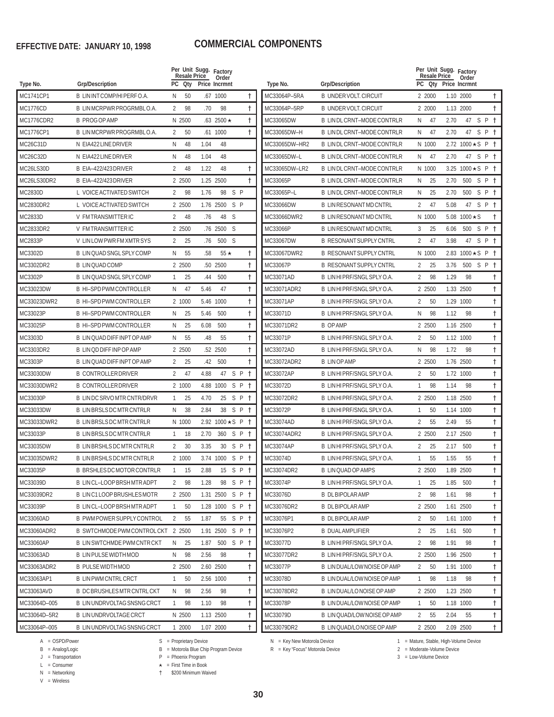| Type No.          | <b>Grp/Description</b>             | <b>Resale Price</b><br>PC Qty | Per Unit Sugg. Factory<br>Order<br>Price Incrmnt | Type No.      | <b>Grp/Description</b>           | PC Qty               | Per Unit Sugg. Factory<br>Resale Price Order<br>Price Incrmnt |
|-------------------|------------------------------------|-------------------------------|--------------------------------------------------|---------------|----------------------------------|----------------------|---------------------------------------------------------------|
| MC1741CP1         | B LININT COMP/HI PERFO.A.          | 50<br>N                       | $\ddagger$<br>.67 1000                           | MC33064P-5RA  | <b>B UNDER VOLT. CIRCUIT</b>     | 2 2000               | $\ddagger$<br>1.10 2000                                       |
| MC1776CD          | B LINMCRPWR PROGRMBLO.A.           | 98<br>2                       | 98<br>.70<br>$\ddagger$                          | MC33064P-5RP  | <b>B UNDER VOLT. CIRCUIT</b>     | 2 2000               | $\ddagger$<br>1.13 2000                                       |
| <b>MC1776CDR2</b> | <b>B PROGOPAMP</b>                 | N 2500                        | $.63 \; 2500 \star$<br>$\ddagger$                | MC33065DW     | <b>B LINDL CRNT-MODE CONTRLR</b> | 47<br>N              | 47 S P t<br>2.70                                              |
| MC1776CP1         | B LINMCRPWR PROGRMBLO.A.           | 50<br>2                       | $^{\dagger}$<br>.61 1000                         | MC33065DW-H   | <b>B LINDL CRNT-MODE CONTRLR</b> | 47<br>N              | 47 S P †<br>2.70                                              |
| MC26C31D          | N EIA422 LINE DRIVER               | Ν<br>48                       | 1.04<br>48                                       | MC33065DW-HR2 | <b>B LINDL CRNT-MODE CONTRLR</b> | N 1000               | 2.72 1000 $\star$ S P $\dagger$                               |
| MC26C32D          | N EIA422 LINE DRIVER               | Ν<br>48                       | 1.04<br>48                                       | MC33065DW-L   | <b>B LINDL CRNT-MODE CONTRLR</b> | 47<br>N              | 47 S P t<br>2.70                                              |
| MC26LS30D         | B EIA-422/423DRIVER                | 2<br>48                       | $\ddagger$<br>1.22<br>48                         | MC33065DW-LR2 | <b>B LINDL CRNT-MODE CONTRLR</b> | N 1000               | 3.25 1000 $\star$ S P $\uparrow$                              |
| MC26LS30DR2       | B EIA-422/423 DRIVER               | 2 2500                        | $\ddagger$<br>1.25 2500                          | MC33065P      | <b>B LINDL CRNT-MODE CONTRLR</b> | 25<br>N              | 2.70<br>500 S P †                                             |
| MC2830D           | L VOICE ACTIVATED SWITCH           | 98<br>2                       | 98 S P<br>1.76                                   | MC33065P-L    | <b>B LINDL CRNT-MODE CONTRLR</b> | 25<br>N              | 2.70<br>500 S P †                                             |
| MC2830DR2         | L VOICE ACTIVATED SWITCH           | 2 2500                        | S P<br>1.76 2500                                 | MC33066DW     | <b>B LIN RESONANT MD CNTRL</b>   | 2<br>47              | 5.08<br>47<br>SP t                                            |
| MC2833D           | V FMTRANSMITTERIC                  | 2<br>48                       | 48 S<br>.76                                      | MC33066DWR2   | <b>B LIN RESONANT MD CNTRL</b>   | N 1000               | $^{\dagger}$<br>5.08 1000 $\star$ S                           |
| MC2833DR2         | V FMTRANSMITTERIC                  | 2 2500                        | .76 2500 S                                       | MC33066P      | <b>B LIN RESONANT MD CNTRL</b>   | 25<br>3              | 500 S P +<br>6.06                                             |
| MC2833P           | V LINLOW PWR FM XMTR SYS           | 25<br>2                       | 500 S<br>.76                                     | MC33067DW     | <b>B RESONANT SUPPLY CNTRL</b>   | 2<br>47              | 47 S P t<br>3.98                                              |
| MC3302D           | <b>B LIN QUAD SNGL SPLY COMP</b>   | 55<br>Ν                       | $\ddagger$<br>.58<br>$55 \star$                  | MC33067DWR2   | <b>B RESONANT SUPPLY CNTRL</b>   | N 1000               | 2.83 1000 $\star$ S P $\dagger$                               |
| MC3302DR2         | <b>B LIN QUAD COMP</b>             | 2 2500                        | .50 2500<br>$\ddagger$                           | MC33067P      | <b>B RESONANT SUPPLY CNTRL</b>   | $\overline{2}$<br>25 | $S P$ $\uparrow$<br>3.76<br>500                               |
| MC3302P           | B LIN QUAD SNGL SPLY COMP          | 25<br>1                       | 500<br>$\ddagger$<br>.44                         | MC33071AD     | B LINHIPRF/SNGL SPLY O.A.        | 98<br>$\overline{2}$ | 1.29<br>98<br>$\ddagger$                                      |
| MC33023DW         | <b>B HI-SPDPWMCONTROLLER</b>       | 47<br>N                       | 5.46<br>47<br>$\ddagger$                         | MC33071ADR2   | B LINHIPRF/SNGL SPLY O.A.        | 2 2500               | $\ddagger$<br>1.33 2500                                       |
| MC33023DWR2       | <b>B HI-SPD PWM CONTROLLER</b>     | 2 1000                        | 5.46 1000<br>$\ddagger$                          | MC33071AP     | B LINHIPRF/SNGL SPLY O.A.        | $\overline{2}$<br>50 | $\ddagger$<br>1.29 1000                                       |
| MC33023P          | <b>B HI-SPDPWMCONTROLLER</b>       | 25<br>Ν                       | $\ddagger$<br>5.46<br>500                        | MC33071D      | B LINHIPRF/SNGL SPLY O.A.        | 98<br>N              | $\ddagger$<br>1.12<br>98                                      |
| MC33025P          | <b>B HI-SPDPWMCONTROLLER</b>       | 25<br>N                       | 500<br>$\ddagger$<br>6.08                        | MC33071DR2    | <b>B OP AMP</b>                  | 2 2500               | $\ddagger$<br>1.16 2500                                       |
| MC3303D           | B LIN QUAD DIFF INPT OP AMP        | 55<br>N                       | 55<br>$\ddagger$<br>.48                          | MC33071P      | B LINHIPRF/SNGL SPLY O.A.        | 2<br>50              | $^\dagger$<br>1.12 1000                                       |
| MC3303DR2         | B LIN QD DIFF INPOP AMP            | 2 2500                        | .52 2500<br>$\ddagger$                           | MC33072AD     | B LINHIPRF/SNGL SPLY O.A.        | 98<br>N              | $\ddagger$<br>1.72<br>98                                      |
| MC3303P           | B LIN QUAD DIFF INPT OP AMP        | $\overline{2}$<br>25          | .42<br>500<br>$\ddagger$                         | MC33072ADR2   | <b>B LINOPAMP</b>                | 2 2500               | $+$<br>1.76 2500                                              |
| MC33030DW         | <b>B CONTROLLER DRIVER</b>         | 47<br>$\overline{2}$          | 4.88<br>47 S P +                                 | MC33072AP     | B LINHIPRF/SNGL SPLY O.A.        | $\overline{2}$<br>50 | $\ddagger$<br>1.72 1000                                       |
| MC33030DWR2       | <b>B CONTROLLER DRIVER</b>         | 2 1000                        | 4.88 1000 S P +                                  | MC33072D      | B LINHIPRF/SNGL SPLY O.A.        | 98<br>1              | $\ddagger$<br>98<br>1.14                                      |
| MC33030P          | <b>B LINDC SRVOMTR CNTR/DRVR</b>   | 25<br>1                       | 4.70<br>25 S P †                                 | MC33072DR2    | B LINHIPRF/SNGL SPLY O.A.        | 2 2500               | $\ddagger$<br>1.18 2500                                       |
| MC33033DW         | <b>B LINBRSLSDCMTRCNTRLR</b>       | 38<br>N                       | 2.84<br>38 S P +                                 | MC33072P      | B LINHIPRF/SNGL SPLY O.A.        | 50<br>1              | $^\dagger$<br>1.14 1000                                       |
| MC33033DWR2       | <b>B LINBRSLS DC MTR CNTRLR</b>    | N 1000                        | 2.92 1000 $\star$ S P $\uparrow$                 | MC33074AD     | B LINHIPRF/SNGL SPLY O.A.        | 2<br>55              | $\ddagger$<br>2.49<br>55                                      |
| MC33033P          | <b>B LINBRSLSDCMTRCNTRLR</b>       | 18<br>1                       | 360 S P<br>2.70<br>$\pm$                         | MC33074ADR2   | B LINHIPRF/SNGL SPLY O.A.        | 2 2500               | $\ddagger$<br>2.17 2500                                       |
| MC33035DW         | <b>B LINBRSHLS DC MTR CNTRLR</b>   | $\overline{2}$<br>30          | 30 S P<br>3.35<br>$\ddagger$                     | MC33074AP     | B LINHIPRF/SNGL SPLY O.A.        | 2<br>25              | $\ddagger$<br>2.17<br>500                                     |
| MC33035DWR2       | <b>B LINBRSHLS DC MTR CNTRLR</b>   | 2 1000                        | 3.74 1000 S P +                                  | MC33074D      | B LINHIPRF/SNGL SPLY O.A.        | 55<br>1              | $^\mathrm{+}$<br>55<br>1.55                                   |
| MC33035P          | <b>B BRSHLES DC MOTOR CONTRLR</b>  | 1 15                          | 15 S P †<br>2.88                                 | MC33074DR2    | <b>B LIN QUAD OP AMPS</b>        | 2 2500               | $^\dagger$<br>1.89 2500                                       |
| MC33039D          | <b>B LINCL-LOOPBRSHMTRADPT</b>     | 98<br>2                       | 98 S P t<br>1.28                                 | MC33074P      | B LINHIPRF/SNGL SPLY O.A.        | 25<br>1              | $\ddagger$<br>500<br>1.85                                     |
| MC33039DR2        | <b>B LINC1LOOPBRUSHLESMOTR</b>     | 2 2500                        | 1.31 2500 S P +                                  | MC33076D      | <b>B DLBIPOLARAMP</b>            | 98<br>$\overline{2}$ | $\dagger$<br>1.61<br>98                                       |
| MC33039P          | B LINCL-LOOP BRSHMTRADPT           | 50<br>1                       | 1.28 1000 S P +                                  | MC33076DR2    | <b>B DLBIPOLARAMP</b>            | 2 2500               | $\ddagger$<br>1.61 2500                                       |
| MC33060AD         | <b>B PWMPOWER SUPPLY CONTROL</b>   | 2<br>55                       | 1.87<br>55 S P +                                 | MC33076P1     | <b>B DLBIPOLARAMP</b>            | 50<br>$\mathbf{2}$   | $^\dagger$<br>1.61 1000                                       |
| MC33060ADR2       | B SWTCHMODE PWM CONTROLCKT         | 2 2500                        | 1.91 2500 S P †                                  | MC33076P2     | <b>B DUALAMPLIFIER</b>           | 2<br>25              | $\uparrow$<br>500<br>1.61                                     |
| MC33060AP         | <b>B LIN SWTCHMDE PWM CNTR CKT</b> | N<br>25                       | 500 S P +<br>1.87                                | MC33077D      | B LINHIPRF/SNGL SPLY O.A.        | $\overline{2}$<br>98 | $\dagger$<br>98<br>1.91                                       |
| MC33063AD         | <b>B LINPULSE WIDTH MOD</b>        | N<br>98                       | 98<br>2.56<br>$\ddagger$                         | MC33077DR2    | B LINHIPRF/SNGL SPLY O.A.        | 2 2500               | $^{\dagger}$<br>1.96 2500                                     |
| MC33063ADR2       | <b>B PULSE WIDTH MOD</b>           | 2 2500                        | 2.60 2500<br>$^\dagger$                          | MC33077P      | B LIN DUAL/LOW NOISE OP AMP      | 50<br>$\mathbf{2}$   | $\uparrow$<br>1.91 1000                                       |
| MC33063AP1        | <b>B LINPWM CNTRL CRCT</b>         | 50<br>1                       | 2.56 1000<br>$\ddagger$                          | MC33078D      | B LIN DUAL/LOW NOISE OP AMP      | 98<br>$\mathbf{1}$   | $\pm$<br>98<br>1.18                                           |
| MC33063AVD        | <b>B DC BRUSHLES MTR CNTRL CKT</b> | 98<br>N                       | 98<br>2.56<br>$^\dagger$                         | MC33078DR2    | B LINDUAL/LONOISE OP AMP         | 2 2500               | $+$<br>1.23 2500                                              |
| MC33064D-005      | <b>B LIN UNDRVOLTAG SNSNG CRCT</b> | 98<br>1                       | 98<br>1.10<br>$\ddagger$                         | MC33078P      | B LINDUAL/LOW NOISE OP AMP       | 50<br>1              | $\dagger$<br>1.18 1000                                        |
| MC33064D-5R2      | <b>B LIN UNDRVOLTAGE CRCT</b>      | N 2500                        | 1.13 2500<br>$^\dagger$                          | MC33079D      | B LINQUAD/LOW NOISE OP AMP       | $\overline{2}$<br>55 | $\ddagger$<br>2.04<br>55                                      |
| MC33064P-005      | <b>B LIN UNDRVOLTAG SNSNG CRCT</b> | 1 2000                        | 1.07 2000<br>$^+$                                | MC33079DR2    | B LIN QUAD/LO NOISE OP AMP       | 2 2500               | $\ddagger$<br>2.09 2500                                       |

- 
- 
- 

 $L = \text{Consumer}$ <br>  $N = \text{Networking}$ <br>  $V = \text{Wireless}$ 

B = Analog/Logic entropy of the Motorola Blue Chip Program Device R = Key "Focus" Motorola Device 2 = Moderate-Volume Device

- 
- $L =$  Consumer  $\star =$  First Time in Book
	-
- 
- 
- N = Networking extensive that the state of the state of the state of the state of the state of the state of the state of the state of the state of the state of the state of the state of the state of the state of the state

A = OSPD/Power external states and S = Proprietary Device N = Key New Motorola Device 1 = Mature, Stable, High-Volume Device

J = Transportation P = Phoenix Program 3 = Low-Volume Device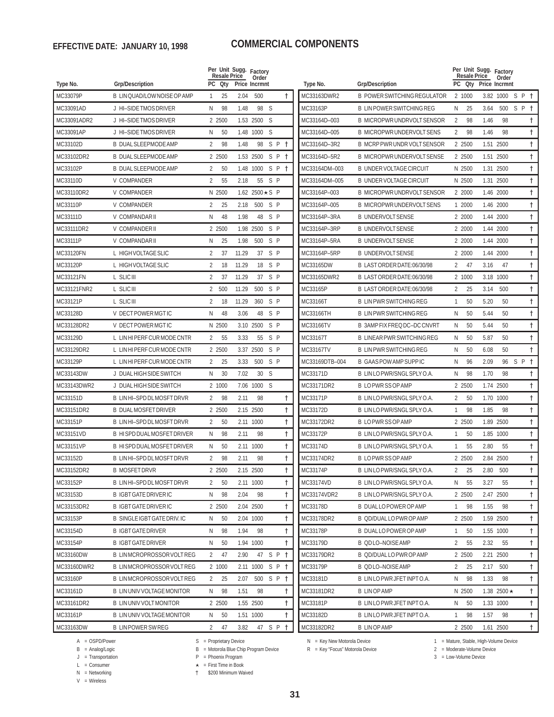|             |                                    | <b>Resale Price</b>   | Per Unit Sugg. Factory<br>Order |                |                                    | <b>Resale Price</b>  | Per Unit Sugg. Factory<br>Order |              |
|-------------|------------------------------------|-----------------------|---------------------------------|----------------|------------------------------------|----------------------|---------------------------------|--------------|
| Type No.    | <b>Grp/Description</b>             | <b>Qtv</b><br>PC      | Price Incrmnt                   | Type No.       | <b>Grp/Description</b>             | <b>Qty</b><br>РC     | Price Incrmnt                   |              |
| MC33079P    | B LINQUAD/LOW NOISE OP AMP         | 25<br>1               | $\ddagger$<br>500<br>2.04       | MC33163DWR2    | <b>B POWER SWITCHING REGULATOR</b> | 2 1000               | 3.82 1000 S P +                 |              |
| MC33091AD   | J HI-SIDE TMOS DRIVER              | 98<br>N               | 98 S<br>1.48                    | MC33163P       | <b>B LINPOWER SWITCHING REG</b>    | 25<br>N              | 3.64<br>500                     | $S$ $P$ $+$  |
| MC33091ADR2 | J HI-SIDE TMOS DRIVER              | 2 2500                | <sub>S</sub><br>1.53 2500       | MC33164D-003   | <b>B MICROPWR UNDRVOLT SENSOR</b>  | 98<br>2              | 98<br>1.46                      | $\ddagger$   |
| MC33091AP   | J HI-SIDE TMOS DRIVER              | 50<br>N               | 1.48 1000 S                     | MC33164D-005   | <b>B MICROPWR UNDERVOLT SENS</b>   | 98<br>2              | 98<br>1.46                      | $\dagger$    |
| MC33102D    | <b>B DUAL SLEEPMODE AMP</b>        | 98<br>2               | 98<br>$S P$ $\uparrow$<br>1.48  | MC33164D-3R2   | <b>B MCRP PWR UNDR VOLT SENSOR</b> | 2 2500               | 1.51 2500                       | $\dagger$    |
| MC33102DR2  | <b>B DUAL SLEEPMODE AMP</b>        | 2 2500                | SP t<br>1.53 2500               | MC33164D-5R2   | <b>B MICROPWR UNDERVOLT SENSE</b>  | 2 2500               | 1.51 2500                       | $\ddagger$   |
| MC33102P    | <b>B DUAL SLEEPMODE AMP</b>        | 2<br>50               | SP t<br>1.48<br>1000            | MC33164DM-003  | <b>B UNDER VOLTAGE CIRCUIT</b>     | N 2500               | 1.31 2500                       | $^{\dagger}$ |
| MC33110D    | V COMPANDER                        | 2<br>55               | S P<br>2.18<br>55               | MC33164DM-005  | <b>B UNDER VOLTAGE CIRCUIT</b>     | N 2500               | 1.31 2500                       | $\ddagger$   |
| MC33110DR2  | V COMPANDER                        | N 2500                | 1.62 2500 ★ S P                 | MC33164P-003   | b Micropwrundrvolt sensor          | 2 2000               | 1.46 2000                       | $^\dagger$   |
| MC33110P    | V COMPANDER                        | 2<br>25               | 2.18<br>500 S P                 | MC33164P-005   | <b>B MICROPWR UNDERVOLT SENS</b>   | 1 2000               | 1.46 2000                       | $\ddagger$   |
| MC33111D    | V COMPANDAR II                     | N<br>48               | S P<br>1.98<br>48               | MC33164P-3RA   | <b>B UNDERVOLT SENSE</b>           | 2 2000               | 1.44 2000                       | $^{\dagger}$ |
| MC33111DR2  | V COMPANDERII                      | 2 2500                | S P<br>1.98<br>2500             | MC33164P-3RP   | <b>B UNDERVOLT SENSE</b>           | 2 2000               | 1.44 2000                       | $\ddagger$   |
| MC33111P    | V COMPANDARII                      | 25<br>N               | S P<br>1.98<br>500              | MC33164P-5RA   | B UNDERVOLTSENSE                   | 2 2000               | 1.44 2000                       | $\dagger$    |
| MC33120FN   | L HIGH VOLTAGE SLIC                | 37<br>2               | 11.29<br>37 S P                 | MC33164P-5RP   | <b>B UNDERVOLT SENSE</b>           | 2 2000               | 1.44 2000                       | $\dagger$    |
| MC33120P    | L HIGH VOLTAGE SLIC                | 18<br>2               | 11.29<br>18 S P                 | MC33165DW      | B LAST ORDER DATE:06/30/98         | 47<br>2              | 47<br>3.16                      | $\ddagger$   |
| MC33121FN   | L SLICIII                          | 2<br>37               | 37 S P<br>11.29                 | MC33165DWR2    | B LAST ORDER DATE:06/30/98         | 2 1000               | 3.18 1000                       | $^{\dagger}$ |
| MC33121FNR2 | L SLIC III                         | 2 500                 | 500 S P<br>11.29                | MC33165P       | B LAST ORDER DATE:06/30/98         | $\overline{2}$<br>25 | 3.14<br>500                     | $\ddagger$   |
| MC33121P    | L SLICIII                          | 2<br>18               | 11.29<br>360 S P                | MC33166T       | B LIN PWR SWITCHING REG            | 50<br>$\mathbf{1}$   | 5.20<br>50                      | $\dagger$    |
| MC33128D    | V DECTPOWERMGTIC                   | 48<br>N               | 48 S P<br>3.06                  | MC33166TH      | <b>B LINPWR SWITCHING REG</b>      | 50<br>N              | 5.44<br>50                      | $\ddagger$   |
| MC33128DR2  | V DECT POWER MGTIC                 | N 2500                | S P<br>3.10 2500                | MC33166TV      | B 3AMP FIX FREQ DC-DC CNVRT        | 50<br>N              | 5.44<br>50                      | $\dagger$    |
| MC33129D    | L LINHIPERF CURMODE CNTR           | 2<br>55               | 55<br>S P<br>3.33               | MC33167T       | <b>B LINEAR PWR SWITCHING REG</b>  | 50<br>N              | 50<br>5.87                      | $\ddagger$   |
| MC33129DR2  | L LINHIPERF CURMODE CNTR           | 2 2500                | S P<br>3.37 2500                | MC33167TV      | B LIN PWR SWITCHING REG            | 50<br>N              | 50<br>6.08                      | $\ddagger$   |
| MC33129P    | L LINHIPERF CURMODE CNTR           | $\overline{2}$<br>25  | 500 S P<br>3.33                 | MC33169DTB-004 | <b>B GAAS POW AMP SUPPIC</b>       | 96<br>N              | 2.09                            | 96 S P †     |
| MC33143DW   | J DUAL HIGH SIDE SWITCH            | N<br>30               | 7.02<br>30 S                    | MC33171D       | B LINLOPWR/SNGL SPLY O.A.          | 98<br>N              | 1.70<br>98                      | $^{\dagger}$ |
| MC33143DWR2 | J DUAL HIGH SIDE SWITCH            | 2 1000                | 1000 S<br>7.06                  | MC33171DR2     | <b>B LOPWRSSOPAMP</b>              | 2 2500               | 1.74 2500                       | $^\dagger$   |
| MC33151D    | <b>B LINHI-SPD DLMOSFT DRVR</b>    | $\overline{2}$<br>-98 | $^+$<br>2.11<br>98              | MC33171P       | B LINLOPWR/SNGL SPLY O.A.          | 2<br>50              | 1.70 1000                       | $\ddagger$   |
| MC33151DR2  | <b>B DUALMOSFETDRIVER</b>          | 2 2500                | $^{\dagger}$<br>2.15 2500       | MC33172D       | B LINLOPWR/SNGL SPLY 0.A.          | 98<br>$\mathbf{1}$   | 1.85<br>98                      | $^\dagger$   |
| MC33151P    | <b>B LINHI-SPD DLMOSFT DRVR</b>    | 50<br>2               | $^{\dagger}$<br>2.11 1000       | MC33172DR2     | <b>B LOPWRSSOPAMP</b>              | 2 2500               | 1.89 2500                       | t            |
| MC33151VD   | B HISPD DUAL MOSFET DRIVER         | 98<br>N               | $^{\dagger}$<br>2.11<br>98      | MC33172P       | B LINLOPWR/SNGL SPLY O.A.          | 50<br>1              | 1.85 1000                       | $^+$         |
| MC33151VP   | <b>B HISPD DUAL MOSFET DRIVER</b>  | 50<br>N               | $^{\dagger}$<br>1000<br>2.11    | MC33174D       | B LINLOPWR/SNGL SPLY O.A.          | 55<br>1              | 55<br>2.80                      | $\ddagger$   |
| MC33152D    | <b>B LINHI-SPD DLMOSFT DRVR</b>    | $\overline{2}$<br>98  | $^{\dagger}$<br>98<br>2.11      | MC33174DR2     | <b>B LOPWRSSOPAMP</b>              | 2 2500               | 2.84 2500                       | $\dagger$    |
| MC33152DR2  | <b>B MOSFETDRVR</b>                | 2 2500                | $^+$<br>2.15 2500               | MC33174P       | B LINLOPWR/SNGL SPLY 0.A.          | 25<br>$\overline{2}$ | 2.80<br>500                     | $\dagger$    |
| MC33152P    | <b>B LINHI-SPD DLMOSFT DRVR</b>    | $\mathbf{2}$<br>50    | $^{\dagger}$<br>2.11 1000       | MC33174VD      | B LINLOPWR/SNGL SPLY O.A.          | 55<br>N,             | 3.27<br>55                      | $^+$         |
| MC33153D    | <b>B IGBT GATE DRIVER IC</b>       | 98<br>N               | 2.04<br>98<br>$^{\dagger}$      | MC33174VDR2    | B LINLOPWR/SNGL SPLY O.A.          | 2 2500               | 2.47 2500                       | Ť.           |
| MC33153DR2  | <b>B IGBT GATE DRIVER IC</b>       | 2 2500                | $^{\dagger}$<br>2.04 2500       | MC33178D       | <b>B DUALLO POWER OP AMP</b>       | 98<br>1              | 1.55<br>98                      | Ť.           |
| MC33153P    | <b>B SINGLE IGBT GATE DRIV. IC</b> | Ν<br>50               | 2.04 1000<br>t.                 | MC33178DR2     | B QD/DUAL LO PWR OP AMP            | 2 2500               | 1.59 2500                       | $^{\dagger}$ |
| MC33154D    | <b>B IGBT GATE DRIVER</b>          | 98<br>Ν               | $^{\dagger}$<br>1.94<br>98      | MC33178P       | B DUAL LO POWER OP AMP             | 50<br>1              | 1.55 1000                       | $^{\dagger}$ |
| MC33154P    | <b>B IGBT GATE DRIVER</b>          | 50<br>N               | $^+$<br>1.94 1000               | MC33179D       | <b>B QDLO-NOISEAMP</b>             | $\overline{2}$<br>55 | 2.32<br>55                      | $^{\dagger}$ |
| MC33160DW   | <b>B LINMCROPROSSOR VOLT REG</b>   | 2<br>47               | 47 S P †<br>2.90                | MC33179DR2     | B OD/DUAL LO PWR OP AMP            | 2 2500               | 2.21 2500                       | Ť            |
| MC33160DWR2 | <b>B LINMCROPROSSOR VOLT REG</b>   | 2 1000                | 2.11 1000 S P †                 | MC33179P       | <b>B ODLO-NOISE AMP</b>            | 2 25                 | 2.17 500                        | $^{\dagger}$ |
| MC33160P    | <b>B LINMCROPROSSOR VOLT REG</b>   | $\overline{2}$<br>25  | 500 S P †<br>2.07               | MC33181D       | B LINLOPWR JFET INPTO.A.           | 98<br>N              | 1.33<br>98                      | $^{\dagger}$ |
| MC33161D    | <b>B LINUNIV VOLTAGE MONITOR</b>   | 98<br>N               | 1.51<br>98<br>$^{\dagger}$      | MC33181DR2     | <b>B LINOPAMP</b>                  | N 2500               | 1.38 2500 $\star$               | $^{\dagger}$ |
| MC33161DR2  | B LINUNIV VOLT MONITOR             | 2 2500                | 1.55 2500<br>$^{\dagger}$       | MC33181P       | B LINLOPWR JFET INPTO.A.           | N<br>50              | 1.33 1000                       | Ť.           |
| MC33161P    | <b>B LINUNIV VOLTAGE MONITOR</b>   | 50<br>Ν               | 1.51 1000<br>Ť.                 | MC33182D       | B LINLOPWR JFET INPTO.A.           | 98<br>$\mathbf{1}$   | 1.57<br>98                      | $^+$         |
| MC33163DW   | <b>B LINPOWER SWREG</b>            | $\overline{2}$<br>47  | 3.82<br>47 S P †                | MC33182DR2     | <b>B LINOPAMP</b>                  | 2 2500               | 1.61 2500                       | $^+$         |

J = Transportation P = Phoenix Program 3 = Low-Volume Device

- 
- $L = \text{Consumer}$ <br>  $N = \text{Networking}$ <br>  $V = \text{Wireless}$

B = Analog/Logic entropyrology by B = Motorola Blue Chip Program Device R = Key "Focus" Motorola Device 2 = Moderate-Volume Device

A = OSPD/Power external states and S = Proprietary Device N = Key New Motorola Device 1 = Mature, Stable, High-Volume Device

 $L =$  Consumer  $\star =$  First Time in Book

N = Networking - and the state of the state of the state of the state of the state of the state of the state of the state of the state of the state of the state of the state of the state of the state of the state of the st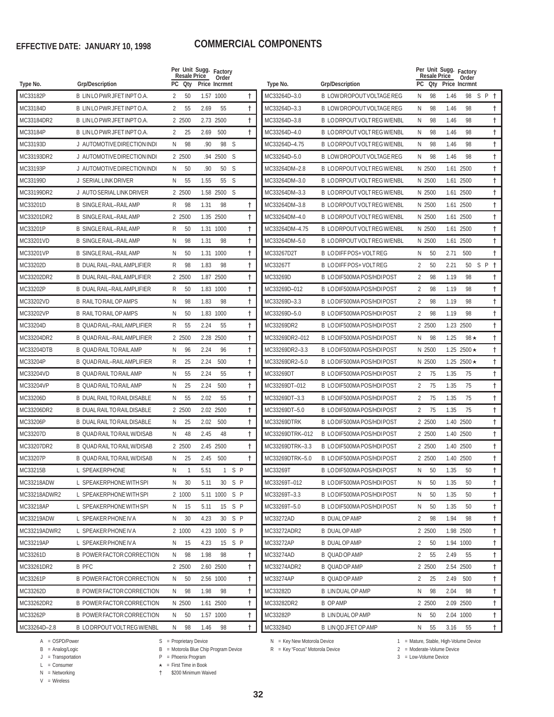|              |                                    | <b>Resale Price</b> | Per Unit Sugg. Factory      |                 |                                  | Per Unit Sugg. Factory<br><b>Resale Price</b>   |
|--------------|------------------------------------|---------------------|-----------------------------|-----------------|----------------------------------|-------------------------------------------------|
| Type No.     | <b>Grp/Description</b>             | PC Otv              | Order<br>Price Incrmnt      | Type No.        | <b>Grp/Description</b>           | Order<br>PC Qtv<br>Price Incrmnt                |
| MC33182P     | B LINLOPWR JFET INPTO.A.           | 2<br>50             | $\ddagger$<br>1.57 1000     | MC33264D-3.0    | <b>B LOWDROPOUT VOLTAGE REG</b>  | 98 S P t<br>98<br>1.46<br>N                     |
| MC33184D     | B LINLOPWR JFET INPTO.A.           | 2<br>55             | 2.69<br>55<br>$^{\dagger}$  | MC33264D-3.3    | <b>B LOWDROPOUT VOLTAGE REG</b>  | 98<br>$\ddagger$<br>1.46<br>98<br>N             |
| MC33184DR2   | B LINLOPWR JFET INPTO.A.           | 2 2500              | $\ddagger$<br>2.73 2500     | MC33264D-3.8    | <b>B LODRPOUT VOLT REGW/ENBL</b> | $^\dagger$<br>98<br>98<br>1.46<br>N             |
| MC33184P     | B LINLOPWR JFET INPTO.A.           | 25<br>2             | 500<br>$^+$<br>2.69         | MC33264D-4.0    | <b>B LODRPOUT VOLT REGW/ENBL</b> | $\dagger$<br>98<br>1.46<br>98<br>N              |
| MC33193D     | J AUTOMOTIVE DIRECTION INDI        | N<br>98             | 98 S<br>.90                 | MC33264D-4.75   | <b>B LODRPOUT VOLT REGW/ENBL</b> | $\dagger$<br>98<br>1.46<br>98<br>N              |
| MC33193DR2   | J AUTOMOTIVE DIRECTION INDI        | 2 2500              | .94 2500 S                  | MC33264D-5.0    | <b>B LOWDROPOUT VOLTAGE REG</b>  | $^{\dagger}$<br>98<br>1.46<br>98<br>N           |
| MC33193P     | J AUTOMOTIVE DIRECTION INDI        | 50<br>N             | 50 S<br>.90                 | MC33264DM-2.8   | <b>B LODRPOUT VOLT REGW/ENBL</b> | $\dagger$<br>N 2500<br>1.61 2500                |
| MC33199D     | J SERIALLINK DRIVER                | 55<br>N             | 1.55<br>55 S                | MC33264DM-3.0   | <b>B LODRPOUT VOLT REGW/ENBL</b> | $\dagger$<br>N 2500<br>1.61 2500                |
| MC33199DR2   | J AUTO SERIAL LINK DRIVER          | 2 2500              | 1.58 2500 S                 | MC33264DM-3.3   | <b>B LODRPOUT VOLT REGW/ENBL</b> | $\ddagger$<br>1.61 2500<br>N 2500               |
| MC33201D     | <b>B SINGLE RAIL-RAIL AMP</b>      | 98<br>R             | $^{\dagger}$<br>1.31<br>98  | MC33264DM-3.8   | <b>B LODRPOUT VOLT REGW/ENBL</b> | $\ddagger$<br>1.61 2500<br>N 2500               |
| MC33201DR2   | <b>B SINGLE RAIL-RAIL AMP</b>      | 2 2500              | $^{\dagger}$<br>1.35 2500   | MC33264DM-4.0   | <b>B LODRPOUT VOLT REGW/ENBL</b> | $\dagger$<br>N 2500<br>1.61 2500                |
| MC33201P     | <b>B SINGLE RAIL-RAIL AMP</b>      | R<br>50             | $\ddagger$<br>1.31 1000     | MC33264DM-4.75  | <b>B LODRPOUT VOLT REGW/ENBL</b> | $\dagger$<br>1.61 2500<br>N 2500                |
| MC33201VD    | <b>B SINGLE RAIL-RAIL AMP</b>      | 98<br>N             | 98<br>$^\dagger$<br>1.31    | MC33264DM-5.0   | <b>B LODRPOUT VOLT REGW/ENBL</b> | $\ddagger$<br>N 2500<br>1.61 2500               |
| MC33201VP    | <b>B SINGLE RAIL-RAIL AMP</b>      | N<br>50             | 1.31 1000<br>$^{\dagger}$   | MC33267D2T      | <b>B LODIFFPOS+VOLTREG</b>       | $\ddagger$<br>N<br>50<br>2.71<br>500            |
| MC33202D     | <b>B DUALRAIL-RAILAMPLIFIER</b>    | R<br>98             | 98<br>$^+$<br>1.83          | MC33267T        | <b>B LODIFFPOS+VOLTREG</b>       | S P<br>$\ddagger$<br>2<br>50<br>2.21<br>50      |
| MC33202DR2   | <b>B DUALRAIL-RAILAMPLIFIER</b>    | 2 2500              | 1.87 2500<br>$\ddagger$     | MC33269D        | B LODIF500MAPOS/HDIPOST          | 98<br>98<br>$\ddagger$<br>2<br>1.19             |
| MC33202P     | <b>B DUALRAIL-RAILAMPLIFIER</b>    | 50<br>R             | $\ddagger$<br>1.83 1000     | MC33269D-012    | B LODIF500MAPOS/HDIPOST          | $^{\dagger}$<br>2<br>98<br>1.19<br>98           |
| MC33202VD    | <b>B RAILTO RAIL OP AMPS</b>       | 98<br>N             | 98<br>1.83<br>$\ddagger$    | MC33269D-3.3    | B LODIF500MAPOS/HDIPOST          | $\dagger$<br>2<br>98<br>1.19<br>98              |
| MC33202VP    | <b>B RAILTORAILOPAMPS</b>          | 50<br>N             | $\ddagger$<br>1.83 1000     | MC33269D-5.0    | B LODIF500MAPOS/HDIPOST          | $\ddagger$<br>2<br>98<br>1.19<br>98             |
| MC33204D     | <b>B QUAD RAIL-RAIL AMPLIFIER</b>  | 55<br>R             | 2.24<br>55<br>$^{\dagger}$  | MC33269DR2      | B LODIF500MA POS/HDI POST        | $\ddagger$<br>1.23 2500<br>2 2500               |
| MC33204DR2   | B QUAD RAIL-RAIL AMPLIFIER         | 2 2500              | $\ddagger$<br>2.28 2500     | MC33269DR2-012  | B LODIF500MAPOS/HDIPOST          | $^\dagger$<br>98<br>N<br>1.25<br>98 $\star$     |
| MC33204DTB   | <b>B QUAD RAIL TO RAIL AMP</b>     | 96<br>N             | 2.24<br>96<br>$^\dagger$    | MC33269DR2-3.3  | B LODIF500MA POS/HDI POST        | $\ddagger$<br>N 2500<br>1.25 2500 $\star$       |
| MC33204P     | <b>B QUAD RAIL-RAIL AMPLIFIER</b>  | R<br>25             | 500<br>2.24<br>$^+$         | MC33269DR2-5.0  | B LODIF500MA POS/HDI POST        | $\dagger$<br>N 2500<br>1.25 2500 $\star$        |
| MC33204VD    | <b>B QUAD RAIL TO RAIL AMP</b>     | N<br>55             | $^{\dagger}$<br>2.24<br>55  | MC33269DT       | B LODIF500MAPOS/HDIPOST          | $^{\dagger}$<br>2<br>75<br>1.35<br>75           |
| MC33204VP    | <b>B QUAD RAIL TO RAIL AMP</b>     | 25<br>N             | 500<br>$^{\dagger}$<br>2.24 | MC33269DT-012   | B LODIF500MAPOS/HDIPOST          | $\dagger$<br>75<br>2<br>75<br>1.35              |
| MC33206D     | B DUAL RAIL TO RAIL DISABLE        | 55<br>N             | $\dagger$<br>2.02<br>55     | MC33269DT-3.3   | B LODIF500MAPOS/HDIPOST          | $\ddagger$<br>75<br>1.35<br>75<br>2             |
| MC33206DR2   | B DUAL RAIL TO RAIL DISABLE        | 2 2500              | $\ddagger$<br>2.02 2500     | MC33269DT-5.0   | B LODIF500MAPOS/HDIPOST          | $\dagger$<br>75<br>1.35<br>75<br>$\mathbf{2}$   |
| MC33206P     | <b>B DUAL RAIL TO RAIL DISABLE</b> | N<br>25             | $\ddagger$<br>2.02<br>500   | MC33269DTRK     | B LODIF500MAPOS/HDIPOST          | $\ddagger$<br>2 2500<br>1.40 2500               |
| MC33207D     | B QUAD RAIL TO RAIL W/DISAB        | 48<br>N             | $^{\dagger}$<br>2.45<br>48  | MC33269DTRK-012 | B LODIF500MAPOS/HDIPOST          | $\dagger$<br>2 2500<br>1.40 2500                |
| MC33207DR2   | B QUAD RAIL TO RAIL W/DISAB        | 2 2500              | 2.45 2500<br>$\ddagger$     | MC33269DTRK-3.3 | B LODIF500MAPOS/HDIPOST          | $\dagger$<br>2 2500<br>1.40 2500                |
| MC33207P     | <b>B QUAD RAIL TO RAIL W/DISAB</b> | 25<br>N             | 500<br>2.45<br>Ť.           | MC33269DTRK-5.0 | B LODIF500MA POS/HDI POST        | $\dagger$<br>2 2500<br>1.40 2500                |
| MC33215B     | L SPEAKERPHONE                     | N<br>$\overline{1}$ | 1 S P<br>5.51               | MC33269T        | B LODIF500MAPOS/HDIPOST          | $^\dagger$<br>N 50<br>1.35<br>50                |
| MC33218ADW   | L SPEAKERPHONE WITH SPI            | N<br>30             | 30 S P<br>5.11              | MC33269T-012    | B LODIF500MAPOS/HDIPOST          | $\ddagger$<br>50<br>50<br>1.35<br>N             |
| MC33218ADWR2 | L SPEAKERPHONE WITH SPI            | 2 1000              | 5.11 1000 S P               | MC33269T-3.3    | B LODIF500MAPOS/HDIPOST          | $\dagger$<br>50<br>50<br>1.35<br>N              |
| MC33218AP    | L SPEAKERPHONE WITH SPI            | 15<br>N             | 15 S P<br>5.11              | MC33269T-5.0    | B LODIF500MAPOS/HDIPOST          | $^{\dagger}$<br>50<br>1.35<br>50<br>N           |
| MC33219ADW   | L SPEAKER PHONE IV A               | 30<br>N             | 4.23<br>30 S P              | MC33272AD       | <b>B DUALOPAMP</b>               | $\dagger$<br>98<br>1.94<br>98<br>$\mathbf{2}$   |
| MC33219ADWR2 | L SPEAKER PHONE IV A               | 2 1000              | 4.23 1000 S P               | MC33272ADR2     | <b>B DUALOPAMP</b>               | $\ddagger$<br>1.98 2500<br>2 2500               |
| MC33219AP    | L SPEAKER PHONE IV A               | 15<br>N             | 15 S P<br>4.23              | MC33272AP       | <b>B DUALOPAMP</b>               | $\dagger$<br>$\overline{2}$<br>50<br>1.94 1000  |
| MC33261D     | <b>B POWER FACTOR CORRECTION</b>   | N<br>98             | 1.98<br>98<br>$^\dagger$    | MC33274AD       | <b>B QUAD OP AMP</b>             | $\dagger$<br>2.49<br>55<br>$\overline{2}$<br>55 |
| MC33261DR2   | <b>B</b> PFC                       | 2 2500              | 2.60 2500<br>Ť.             | MC33274ADR2     | <b>B QUAD OP AMP</b>             | $^+$<br>2 2500<br>2.54 2500                     |
| MC33261P     | <b>B POWER FACTOR CORRECTION</b>   | 50<br>N             | 2.56 1000<br>t              | MC33274AP       | <b>B QUAD OP AMP</b>             | $\dagger$<br>$\mathbf{2}$<br>25<br>2.49<br>500  |
| MC33262D     | <b>B POWER FACTOR CORRECTION</b>   | 98<br>N             | 98<br>1.98<br>$^+$          | MC33282D        | <b>B LINDUAL OP AMP</b>          | $^+$<br>98<br>2.04<br>98<br>N                   |
| MC33262DR2   | B POWER FACTOR CORRECTION          | N 2500              | 1.61 2500<br>$^+$           | MC33282DR2      | <b>B OPAMP</b>                   | $^\dagger$<br>2 2500<br>2.09 2500               |
| MC33262P     | <b>B POWER FACTOR CORRECTION</b>   | 50<br>N             | 1.57 1000<br>t              | MC33282P        | <b>B LINDUAL OP AMP</b>          | $\dagger$<br>50<br>N<br>2.04 1000               |
| MC33264D-2.8 | B LODRPOUT VOLT REGW/ENBL          | N<br>98             | 98<br>$\ddagger$<br>1.46    | MC33284D        | B LIN QD JFET OP AMP             | $\ddagger$<br>55<br>55<br>N.<br>3.16            |

- 
- 
- 

 $L = \text{Consumer}$ <br>  $N = \text{Networking}$ <br>  $V = \text{Wireless}$ 

- 
- B = Analog/Logic entropy of the Motorola Blue Chip Program Device R = Key "Focus" Motorola Device 2 = Moderate-Volume Device
- 

A = OSPD/Power external states and S = Proprietary Device N = Key New Motorola Device 1 = Mature, Stable, High-Volume Device

J = Transportation P = Phoenix Program 3 = Low-Volume Device

- $L =$  Consumer  $\star =$  First Time in Book
- N = Networking extensive that the state of the state of the state of the state of the state of the state of the state of the state of the state of the state of the state of the state of the state of the state of the state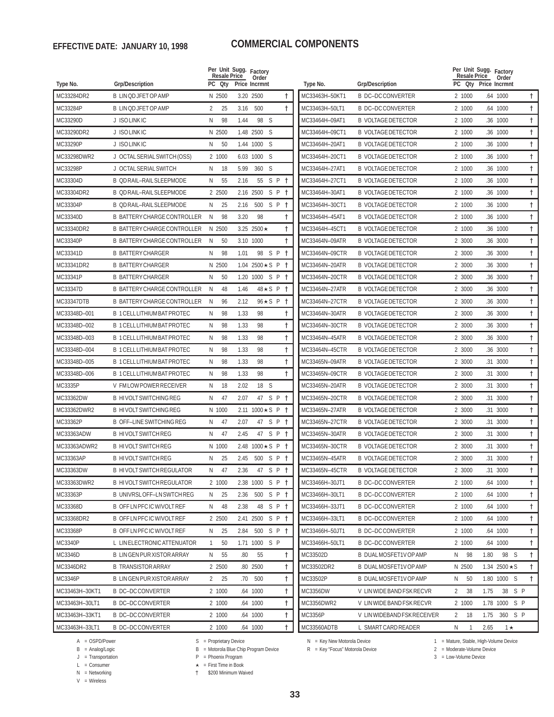|                |                                    | <b>Resale Price</b> | Per Unit Sugg. Factory<br>Order    |                |                             | <b>Resale Price</b>  | Per Unit Sugg. Factory<br>Order |
|----------------|------------------------------------|---------------------|------------------------------------|----------------|-----------------------------|----------------------|---------------------------------|
| Type No.       | <b>Grp/Description</b>             | <b>Qtv</b><br>РC    | Price Incrmnt                      | Type No.       | <b>Grp/Description</b>      |                      | PC Qty Price Incrmnt            |
| MC33284DR2     | <b>B LIN QD JFET OP AMP</b>        | N 2500              | 3.20 2500<br>$^{\dagger}$          | MC33463H-50KT1 | <b>B DC-DCCONVERTER</b>     | 2 1000               | $\dagger$<br>.64 1000           |
| MC33284P       | <b>B LIN QD JFET OP AMP</b>        | 25<br>2             | 500<br>$^{\dagger}$<br>3.16        | MC33463H-50LT1 | <b>B DC-DCCONVERTER</b>     | 2 1000               | $^+$<br>.64 1000                |
| MC33290D       | J ISOLINKIC                        | 98<br>N             | 98 S<br>1.44                       | MC33464H-09AT1 | <b>B VOLTAGE DETECTOR</b>   | 2 1000               | $\ddagger$<br>.36 1000          |
| MC33290DR2     | J ISOLINKIC                        | N 2500              | 1.48 2500 S                        | MC33464H-09CT1 | <b>B VOLTAGE DETECTOR</b>   | 2 1000               | $\dagger$<br>.36 1000           |
| MC33290P       | J ISOLINKIC                        | 50<br>N             | 1.44 1000 S                        | MC33464H-20AT1 | <b>B VOLTAGE DETECTOR</b>   | 2 1000               | $^{\dagger}$<br>.36 1000        |
| MC33298DWR2    | J OCTAL SERIAL SWITCH (OSS)        | 2 1000              | 6.03 1000 S                        | MC33464H-20CT1 | <b>B VOLTAGE DETECTOR</b>   | 2 1000               | $\ddagger$<br>.36 1000          |
| MC33298P       | J OCTAL SERIAL SWITCH              | N<br>18             | 360 S<br>5.99                      | MC33464H-27AT1 | <b>B VOLTAGE DETECTOR</b>   | 2 1000               | .36 1000<br>$^+$                |
| MC33304D       | <b>B QD RAIL-RAIL SLEEPMODE</b>    | N<br>55             | 55 S P +<br>2.16                   | MC33464H-27CT1 | <b>B VOLTAGE DETECTOR</b>   | 2 1000               | $^{\dagger}$<br>.36 1000        |
| MC33304DR2     | <b>B QD RAIL-RAIL SLEEPMODE</b>    | 2 2500              | 2.16 2500 S P +                    | MC33464H-30AT1 | <b>B VOLTAGE DETECTOR</b>   | 2 1000               | .36 1000<br>$^+$                |
| MC33304P       | <b>B QD RAIL-RAIL SLEEPMODE</b>    | N<br>-25            | 500 S P +<br>2.16                  | MC33464H-30CT1 | <b>B VOLTAGE DETECTOR</b>   | 2 1000               | $^+$<br>.36 1000                |
| MC33340D       | <b>B BATTERY CHARGE CONTROLLER</b> | N<br>98             | 98<br>$^{\dagger}$<br>3.20         | MC33464H-45AT1 | <b>B VOLTAGE DETECTOR</b>   | 2 1000               | $^+$<br>.36 1000                |
| MC33340DR2     | <b>B BATTERY CHARGE CONTROLLER</b> | N 2500              | 3.25 2500 $\star$<br>$^{\dagger}$  | MC33464H-45CT1 | <b>B VOLTAGE DETECTOR</b>   | 2 1000               | $^{\dagger}$<br>.36 1000        |
| MC33340P       | <b>B BATTERY CHARGE CONTROLLER</b> | N<br>50             | $^{\dagger}$<br>3.10 1000          | MC33464N-09ATR | <b>B VOLTAGE DETECTOR</b>   | 2 3000               | $\dagger$<br>.36 3000           |
| MC33341D       | <b>B BATTERY CHARGER</b>           | 98<br>N             | 1.01<br>98 S P †                   | MC33464N-09CTR | <b>B VOLTAGE DETECTOR</b>   | 2 3000               | .36 3000<br>$^{\dagger}$        |
| MC33341DR2     | <b>B BATTERY CHARGER</b>           | N 2500              | $2500 \star S$ P †<br>1.04         | MC33464N-20ATR | <b>B VOLTAGE DETECTOR</b>   | 2 3000               | $\ddagger$<br>.36 3000          |
| MC33341P       | <b>B BATTERY CHARGER</b>           | N<br>50             | 1.20<br>1000<br>SP t               | MC33464N-20CTR | <b>B VOLTAGE DETECTOR</b>   | 2 3000               | .36 3000<br>$^+$                |
| MC33347D       | <b>B BATTERY CHARGE CONTROLLER</b> | 48<br>N             | 48 ★ S P †<br>1.46                 | MC33464N-27ATR | <b>B VOLTAGE DETECTOR</b>   | 2 3000               | $^+$<br>.36 3000                |
| MC33347DTB     | <b>B BATTERY CHARGE CONTROLLER</b> | N<br>96             | 2.12<br>$96 \star S$ P †           | MC33464N-27CTR | <b>B VOLTAGE DETECTOR</b>   | 2 3000               | .36 3000<br>$^+$                |
| MC33348D-001   | <b>B 1 CELL LITHIUM BAT PROTEC</b> | N<br>98             | $^{\dagger}$<br>1.33<br>98         | MC33464N-30ATR | <b>B VOLTAGE DETECTOR</b>   | 2 3000               | $^{\dagger}$<br>.36 3000        |
| MC33348D-002   | <b>B 1 CELL LITHIUM BAT PROTEC</b> | N<br>98             | $\ddagger$<br>98<br>1.33           | MC33464N-30CTR | <b>B VOLTAGE DETECTOR</b>   | 2 3000               | $^+$<br>.36 3000                |
| MC33348D-003   | <b>B 1 CELL LITHIUM BAT PROTEC</b> | 98<br>N             | $\ddagger$<br>98<br>1.33           | MC33464N-45ATR | <b>B VOLTAGE DETECTOR</b>   | 2 3000               | $^+$<br>.36 3000                |
| MC33348D-004   | <b>B 1 CELL LITHIUM BAT PROTEC</b> | 98<br>N             | $\ddagger$<br>98<br>1.33           | MC33464N-45CTR | <b>B VOLTAGE DETECTOR</b>   | 2 3000               | $\ddagger$<br>.36 3000          |
| MC33348D-005   | <b>B 1 CELL LITHIUM BAT PROTEC</b> | 98<br>N             | $\dagger$<br>1.33<br>98            | MC33465N-09ATR | <b>B VOLTAGE DETECTOR</b>   | 2 3000               | .31 3000<br>$^{\dagger}$        |
| MC33348D-006   | <b>B 1 CELL LITHIUM BAT PROTEC</b> | 98<br>N             | $\ddagger$<br>1.33<br>98           | MC33465N-09CTR | <b>B VOLTAGE DETECTOR</b>   | 2 3000               | $\ddagger$<br>.31 3000          |
| MC3335P        | V FMLOW POWER RECEIVER             | N<br>18             | 18 S<br>2.02                       | MC33465N-20ATR | <b>B VOLTAGE DETECTOR</b>   | 2 3000               | .31 3000<br>$^+$                |
| MC33362DW      | <b>B HIVOLT SWITCHING REG</b>      | 47<br>Ν             | 47 S P +<br>2.07                   | MC33465N-20CTR | <b>B VOLTAGE DETECTOR</b>   | 2 3000               | $^{\dagger}$<br>.31 3000        |
| MC33362DWR2    | <b>B HIVOLT SWITCHING REG</b>      | N 1000              | 2.11 1000 $\star$ S P $\dagger$    | MC33465N-27ATR | <b>B VOLTAGE DETECTOR</b>   | 2 3000               | .31 3000<br>$^+$                |
| MC33362P       | <b>B OFF-LINE SWITCHING REG</b>    | -47<br>N            | 2.07<br>47 S P †                   | MC33465N-27CTR | <b>B VOLTAGE DETECTOR</b>   | 2 3000               | $^{\dagger}$<br>.31 3000        |
| MC33363ADW     | <b>B HIVOLT SWITCH REG</b>         | 47<br>N             | 47 S P †<br>2.45                   | MC33465N-30ATR | <b>B VOLTAGE DETECTOR</b>   | 2 3000               | $^+$<br>.31 3000                |
| MC33363ADWR2   | <b>B HIVOLT SWITCH REG</b>         | N 1000              | $1000 \star S$ P $\dagger$<br>2.48 | MC33465N-30CTR | <b>B VOLTAGE DETECTOR</b>   | 2 3000               | $\ddagger$<br>.31 3000          |
| MC33363AP      | <b>B HIVOLT SWITCH REG</b>         | 25<br>N             | 500 S P +<br>2.45                  | MC33465N-45ATR | <b>B VOLTAGE DETECTOR</b>   | 2 3000               | $\dagger$<br>.31 3000           |
| MC33363DW      | <b>B HIVOLT SWITCH REGULATOR</b>   | N<br>47             | 47 S P †<br>2.36                   | MC33465N-45CTR | <b>B VOLTAGE DETECTOR</b>   | 2 3000               | $\dagger$<br>.31 3000           |
| MC33363DWR2    | <b>B HIVOLT SWITCH REGULATOR</b>   | 2 1000              | 2.38 1000 S P +                    | MC33466H-30JT1 | <b>B DC-DCCONVERTER</b>     | 2 1000               | .64 1000<br>$^+$                |
| MC33363P       | <b>B UNIVRSLOFF-LNSWTCHREG</b>     | 25<br>N             | 2.36<br>500 S P †                  | MC33466H-30LT1 | <b>B DC-DCCONVERTER</b>     | 2 1000               | .64 1000<br>Ť.                  |
| MC33368D       | <b>B OFF LN PFC IC W/VOLT REF</b>  | N.<br>48            | 48 S P †<br>2.38                   | MC33466H-33JT1 | <b>B DC-DCCONVERTER</b>     | 2 1000               | .64 1000<br>$^+$                |
| MC33368DR2     | <b>B OFF LN PFC IC W/VOLT REF</b>  | 2 2500              | 2.41 2500 S P +                    | MC33466H-33LT1 | <b>B DC-DCCONVERTER</b>     | 2 1000               | .64 1000<br>Ť.                  |
| MC33368P       | <b>B OFF LN PFC IC W/VOLT REF</b>  | N 25                | 2.84<br>500 S P +                  | MC33466H-50JT1 | <b>B DC-DCCONVERTER</b>     | 2 1000               | .64 1000<br>$^+$                |
| MC3340P        | L LINELECTRONIC ATTENUATOR         | 50<br>$\mathbf{1}$  | 1.71 1000 S P                      | MC33466H-50LT1 | <b>B DC-DCCONVERTER</b>     | 2 1000               | $^+$<br>.64 1000                |
| MC3346D        | <b>B LINGEN PUR XISTOR ARRAY</b>   | 55<br>N             | 55<br>.80<br>Ť.                    | MC33502D       | <b>B DUALMOSFET1VOPAMP</b>  | N.<br>98             | $^+$<br>1.80<br>98 S            |
| MC3346DR2      | <b>B TRANSISTOR ARRAY</b>          | 2 2500              | $^{\dagger}$<br>.80 2500           | MC33502DR2     | B DUALMOSFET1VOP AMP        | N 2500               | $^+$<br>1.34 2500 $\star$ S     |
| MC3346P        | <b>B LINGEN PUR XISTOR ARRAY</b>   | 2 25                | .70 500<br>$^\dagger$              | MC33502P       | B DUALMOSFET1VOPAMP         | 50<br>N              | 1.80 1000 S<br>$^+$             |
| MC33463H-30KT1 | <b>B DC-DCCONVERTER</b>            | 2 1000              | .64 1000<br>Ť.                     | MC3356DW       | V LIN WIDE BAND FSK RECVR   | $\overline{2}$<br>38 | 38 S P<br>1.75                  |
| MC33463H-30LT1 | <b>B DC-DCCONVERTER</b>            | 2 1000              | .64 1000<br>Ť.                     | MC3356DWR2     | V LIN WIDE BAND FSK RECVR   | 2 1000               | 1.78 1000 S P                   |
| MC33463H-33KT1 | <b>B DC-DCCONVERTER</b>            | 2 1000              | Ť.<br>.64 1000                     | MC3356P        | V LIN WIDEBAND FSK RECEIVER | $\overline{2}$<br>18 | 360 S P<br>1.75                 |
| MC33463H-33LT1 | <b>B DC-DCCONVERTER</b>            | 2 1000              | $^{\dagger}$<br>.64 1000           | MC33560ADTB    | L SMART CARD READER         | N<br>$\mathbf{1}$    | 2.65<br>$1\star$                |

- 
- 
- $L =$  Consumer  $\star =$  First Time in Book
- N = Networking and the state of the state of the state of the state of the state of the state of the state of the state of the state of the state of the state of the state of the state of the state of the state of the st  $L = \text{Consumer}$ <br>  $N = \text{Networking}$ <br>  $V = \text{Wireless}$
- 

B = Analog/Logic entropyrology by B = Motorola Blue Chip Program Device R = Key "Focus" Motorola Device 2 = Moderate-Volume Device

A = OSPD/Power external states and S = Proprietary Device N = Key New Motorola Device 1 = Mature, Stable, High-Volume Device

- 
- J = Transportation P = Phoenix Program 3 = Low-Volume Device
	-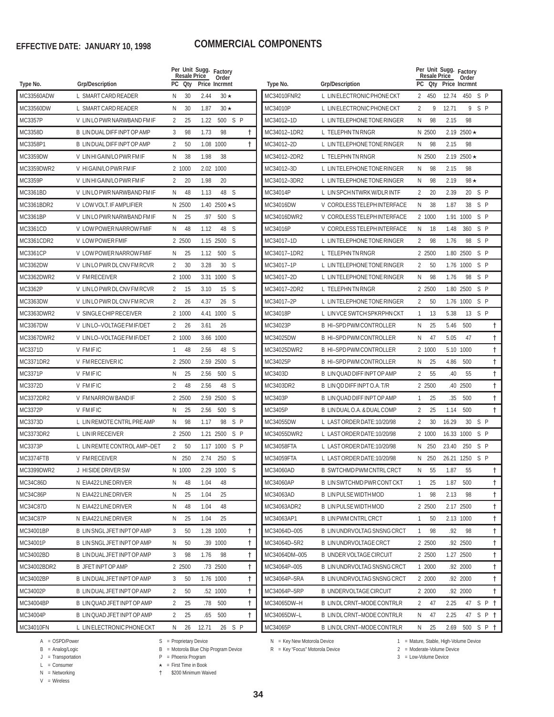|                 |                                    | Per Unit Sugg. Factory<br><b>Resale Price</b><br>Order |               |                                    | Per Unit Sugg. Factory<br><b>Resale Price</b><br>Order |
|-----------------|------------------------------------|--------------------------------------------------------|---------------|------------------------------------|--------------------------------------------------------|
| Type No.        | <b>Grp/Description</b>             | Price Incrmnt<br>PC Qty                                | Type No.      | <b>Grp/Description</b>             | Otv<br>Price Incrmnt<br>PC                             |
| MC33560ADW      | L SMART CARD READER                | 30<br>2.44<br>$30 \star$<br>N                          | MC34010FNR2   | L LINELECTRONIC PHONE CKT          | 450 S P<br>2 450<br>12.74                              |
| MC33560DW       | L SMART CARD READER                | 30<br>N<br>1.87<br>$30 \star$                          | MC34010P      | L LINELECTRONIC PHONE CKT          | 9 S P<br>2<br>9<br>12.71                               |
| MC3357P         | V LIN LO PWR NARWBAND FM IF        | 500 S P<br>2<br>25<br>1.22                             | MC34012-1D    | L LINTELEPHONE TONE RINGER         | 98<br>2.15<br>98<br>N                                  |
| MC3358D         | B LINDUAL DIFF INPT OP AMP         | 98<br>98<br>$\ddagger$<br>3<br>1.73                    | MC34012-1DR2  | L TELEPHNTNRNGR                    | N 2500<br>2.19 2500 $\star$                            |
| MC3358P1        | B LINDUAL DIFF INPT OP AMP         | $\ddagger$<br>2<br>50<br>1.08 1000                     | MC34012-2D    | L LINTELEPHONE TONE RINGER         | 98<br>2.15<br>98<br>N                                  |
| MC3359DW        | V LIN HI GAIN/LO PWR FM IF         | 38<br>1.98<br>38<br>N                                  | MC34012-2DR2  | L TELEPHN TN RNGR                  | 2.19 2500 ★<br>N 2500                                  |
| MC3359DWR2      | V HIGAIN/LO PWR FM IF              | 2 1000<br>2.02 1000                                    | MC34012-3D    | L LINTELEPHONE TONE RINGER         | 98<br>2.15<br>98<br>N                                  |
| MC3359P         | V LINHI GAIN/LO PWR FM IF          | 20<br>1.98<br>20<br>2                                  | MC34012-3DR2  | L LINTELEPHONE TONE RINGER         | 98<br>98 ★<br>2.19<br>N                                |
| MC3361BD        | V LINLO PWR NARWBAND FM IF         | 48 S<br>48<br>1.13<br>N                                | MC34014P      | L LIN SPCH NTWRK W/DLR INTF        | 20 S P<br>2<br>20<br>2.39                              |
| MC3361BDR2      | V LOW VOLT. IF AMPLIFIER           | N 2500<br>1.40 $2500 \star S$                          | MC34016DW     | V CORDLESS TELEPHINTERFACE         | S P<br>38<br>1.87<br>38<br>N                           |
| MC3361BP        | V LIN LO PWR NARWBAND FM IF        | 25<br>.97<br>500 S<br>Ν                                | MC34016DWR2   | V CORDLESSTELEPHINTERFACE          | S P<br>2 1000<br>1.91<br>1000                          |
| MC3361CD        | V LOW POWER NARROW FMIF            | 48 S<br>48<br>1.12<br>Ν                                | MC34016P      | V CORDLESS TELEPHINTERFACE         | 360<br>S P<br>N<br>-18<br>1.48                         |
| MC3361CDR2      | V LOW POWER FMIF                   | 1.15 2500 S<br>2 2500                                  | MC34017-1D    | L LINTELEPHONE TONE RINGER         | S P<br>2<br>98<br>1.76<br>98                           |
| <b>MC3361CP</b> | V LOW POWER NARROW FMIF            | 500 S<br>25<br>N<br>1.12                               | MC34017-1DR2  | L TELEPHNTNRNGR                    | S P<br>2 2500<br>1.80<br>2500                          |
| MC3362DW        | V LINLOPWRDL CNV FM RCVR           | 30<br>30 S<br>2<br>3.28                                | MC34017-1P    | L LINTELEPHONE TONE RINGER         | S P<br>$\overline{2}$<br>50<br>1.76 1000               |
| MC3362DWR2      | <b>V FMRECEIVER</b>                | 3.31 1000 S<br>2 1000                                  | MC34017-2D    | L LINTELEPHONE TONE RINGER         | 98<br>S P<br>N<br>1.76<br>98                           |
| MC3362P         | V LINLOPWR DL CNV FM RCVR          | 15S<br>15<br>3.10<br>2                                 | MC34017-2DR2  | L TELEPHNTNRNGR                    | 2 2500<br>1.80 2500<br>S P                             |
| MC3363DW        | V LINLOPWR DL CNV FM RCVR          | 26 S<br>26<br>4.37<br>$\overline{2}$                   | MC34017-2P    | L LINTELEPHONE TONE RINGER         | S P<br>$\mathbf{2}$<br>50<br>1.76 1000                 |
| MC3363DWR2      | V SINGLE CHIP RECEIVER             | 2 1000<br>4.41 1000 S                                  | MC34018P      | L LIN VCE SWTCH SPKRPHN CKT        | S P<br>13<br>5.38<br>13<br>1                           |
| MC3367DW        | V LINLO-VOLTAGE FM IF/DET          | 26<br>26<br>3.61<br>2                                  | MC34023P      | <b>B HI-SPD PWM CONTROLLER</b>     | N<br>25<br>5.46<br>500<br>$\ddagger$                   |
| MC3367DWR2      | V LINLO-VOLTAGE FM IF/DET          | 2 1000<br>3.66 1000                                    | MC34025DW     | <b>B HI-SPD PWM CONTROLLER</b>     | $\dagger$<br>47<br>5.05<br>47<br>N                     |
| MC3371D         | V FMIFIC                           | 48<br>2.56<br>48 S<br>1                                | MC34025DWR2   | <b>B HI-SPD PWM CONTROLLER</b>     | $^\dagger$<br>2 1000<br>5.10 1000                      |
| MC3371DR2       | V FMRECEIVERIC                     | 2 2500<br>2.59 2500 S                                  | MC34025P      | <b>B HI-SPDPWMCONTROLLER</b>       | $\ddagger$<br>N<br>25<br>4.86<br>500                   |
| MC3371P         | V FMIFIC                           | 25<br>500 S<br>N<br>2.56                               | MC3403D       | B LIN QUAD DIFF INPT OP AMP        | $^\mathrm{+}$<br>$\overline{2}$<br>55<br>55<br>.40     |
| MC3372D         | V FMIFIC                           | $\overline{2}$<br>48<br>2.56<br>48 S                   | MC3403DR2     | B LIN QD DIFF INPT O.A. T/R        | $^\dagger$<br>2 2500<br>.40 2500                       |
| MC3372DR2       | V FM NARROW BAND IF                | 2 2500<br>2.59 2500 S                                  | MC3403P       | B LIN QUAD DIFF INPT OP AMP        | $\ddagger$<br>25<br>.35<br>500<br>1                    |
| MC3372P         | V FMIFIC                           | 500 S<br>N<br>25<br>2.56                               | MC3405P       | B LIN DUAL O.A. & DUAL COMP        | 25<br>$\ddagger$<br>2<br>1.14<br>500                   |
| MC3373D         | L LIN REMOTE CNTRL PRE AMP         | S P<br>98<br>1.17<br>98<br>N                           | MC34055DW     | L LAST ORDER DATE:10/20/98         | S P<br>2<br>30<br>16.29<br>30                          |
| MC3373DR2       | L LINIRRECEIVER                    | S P<br>2 2500<br>1.21 2500                             | MC34055DWR2   | L LAST ORDER DATE:10/20/98         | 2 1000<br>16.33 1000<br>S P                            |
| MC3373P         | L LIN REMTE CONTROL AMP-DET        | 2<br>50<br>1.17 1000 S P                               | MC34058FTA    | L LASTORDER DATE:10/20/98          | S P<br>N 250<br>23.40<br>250                           |
| MC3374FTB       | <b>V FMRECEIVER</b>                | 2.74 250 S<br>N 250                                    | MC34059FTA    | L LASTORDER DATE:10/20/98          | 26.21 1250 S P<br>N 250                                |
| MC3399DWR2      | J HISIDE DRIVER SW                 | 2.29 1000 S<br>N 1000                                  | MC34060AD     | B SWTCHMD PWM CNTRL CRCT           | 55<br>$\ddagger$<br>1.87<br>55<br>N                    |
| MC34C86D        | N EIA422 LINE DRIVER               | 48<br>N<br>48<br>1.04                                  | MC34060AP     | <b>B LIN SWTCHMD PWR CONT CKT</b>  | $^+$<br>500<br>25<br>1.87<br>1                         |
| MC34C86P        | N EIA422 LINE DRIVER               | 25<br>25<br>1.04<br>Ν                                  | MC34063AD     | <b>B LINPULSE WIDTH MOD</b>        | $+$<br>98<br>2.13<br>98<br>$\mathbf{1}$                |
| MC34C87D        | N EIA422 LINE DRIVER               | 48<br>1.04<br>48<br>N                                  | MC34063ADR2   | <b>B LINPULSE WIDTH MOD</b>        | $+$<br>2 2500<br>2.17 2500                             |
| MC34C87P        | N EIA422 LINE DRIVER               | 25<br>1.04<br>25<br>Ν                                  | MC34063AP1    | <b>B LINPWM CNTRL CRCT</b>         | $^{\dagger}$<br>2.13 1000<br>$\mathbf{1}$<br>50        |
| MC34001BP       | <b>B LIN SNGL JFET INPT OP AMP</b> | 50<br>1.28 1000<br>$\ddagger$<br>3                     | MC34064D-005  | <b>B LIN UNDRVOLTAG SNSNG CRCT</b> | 98<br>.92<br>98<br>$^{\dagger}$<br>$\mathbf{1}$        |
| MC34001P        | <b>B LIN SNGL JFET INPT OP AMP</b> | $\ddagger$<br>50<br>.39 1000<br>Ν                      | MC34064D-5R2  | <b>B LIN UNDRVOLTAGE CRCT</b>      | $\dagger$<br>2 2500<br>.92 2500                        |
| MC34002BD       | B LINDUAL JFET INPT OP AMP         | 98<br>1.76<br>98<br>$^\dagger$<br>3                    | MC34064DM-005 | <b>B UNDER VOLTAGE CIRCUIT</b>     | $\ddagger$<br>2 2500<br>1.27 2500                      |
| MC34002BDR2     | <b>B JFETINPTOPAMP</b>             | $\ddagger$<br>2 2500<br>.73 2500                       | MC34064P-005  | <b>B LIN UNDRVOLTAG SNSNG CRCT</b> | $\ddagger$<br>1 2000<br>.92 2000                       |
| MC34002BP       | B LINDUAL JFET INPT OP AMP         | $\ddagger$<br>50<br>1.76 1000<br>3                     | MC34064P-5RA  | <b>B LIN UNDRVOLTAG SNSNG CRCT</b> | $\ddagger$<br>.92 2000<br>2 2000                       |
| MC34002P        | B LINDUAL JFET INPT OP AMP         | 50<br>.52 1000<br>$^{\dagger}$<br>2                    | MC34064P-5RP  | <b>B UNDERVOLTAGE CIRCUIT</b>      | $\ddagger$<br>2 2000<br>.92 2000                       |
| MC34004BP       | B LIN QUAD JFET INPT OP AMP        | 25<br>.78<br>500<br>$^{\dagger}$<br>$\overline{2}$     | MC34065DW-H   | <b>B LINDL CRNT-MODE CONTRLR</b>   | 47 S P †<br>$\mathbf{2}$<br>47<br>2.25                 |
| MC34004P        | B LINQUAD JFET INPT OP AMP         | 25<br>.65<br>500<br>$^+$<br>2                          | MC34065DW-L   | <b>B LINDL CRNT-MODE CONTRLR</b>   | 47<br>2.25<br>47 S P †<br>N                            |
| MC34010FN       | L LINELECTRONIC PHONE CKT          | N<br>26<br>12.71<br>26 S P                             | MC34065P      | <b>B LINDL CRNT-MODE CONTRLR</b>   | 25<br>2.69<br>500 S P †<br>N                           |

- 
- 

 $L =$  Consumer  $\star =$  First Time in Book

 $L = \text{Consumer}$ <br>  $N = \text{Networking}$ <br>  $V = \text{Wireless}$ 

- 
- B = Analog/Logic entropy of the Motorola Blue Chip Program Device R = Key "Focus" Motorola Device 2 = Moderate-Volume Device
- 
- A = OSPD/Power external states and S = Proprietary Device N = Key New Motorola Device 1 = Mature, Stable, High-Volume Device

- N = Networking extensive that the state of the state of the state of the state of the state of the state of the state of the state of the state of the state of the state of the state of the state of the state of the state
- **34**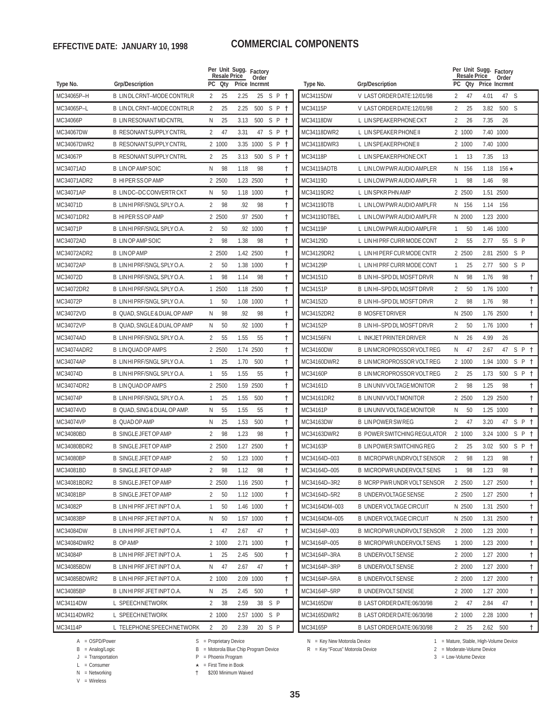| Type No.     | <b>Grp/Description</b>           | <b>Resale Price</b><br>PC<br><b>Qty</b> | Per Unit Sugg. Factory<br>Order<br>Price Incrmnt | Type No.      | <b>Grp/Description</b>             | <b>Resale Price</b><br>PC Qty | Per Unit Sugg. Factory<br>Order<br>Price Incrmnt |
|--------------|----------------------------------|-----------------------------------------|--------------------------------------------------|---------------|------------------------------------|-------------------------------|--------------------------------------------------|
| MC34065P-H   | <b>B LINDL CRNT-MODE CONTRLR</b> | 25<br>2                                 | 2.25<br>25 S P †                                 | MC34115DW     | V LAST ORDER DATE:12/01/98         | 2<br>47                       | 4.01<br>47 S                                     |
| MC34065P-L   | <b>B LINDL CRNT-MODE CONTRLR</b> | 2<br>25                                 | $S P$ $\uparrow$<br>2.25<br>500                  | MC34115P      | V LAST ORDER DATE:12/01/98         | 2<br>25                       | 500 S<br>3.82                                    |
| MC34066P     | <b>B LIN RESONANT MD CNTRL</b>   | 25<br>N                                 | 500 S P †<br>3.13                                | MC34118DW     | L LIN SPEAKERPHONE CKT             | 2<br>26                       | 7.35<br>26                                       |
| MC34067DW    | <b>B RESONANT SUPPLY CNTRL</b>   | 2<br>47                                 | 47 S P t<br>3.31                                 | MC34118DWR2   | L LIN SPEAKER PHONE II             | 2 1000                        | 7.40 1000                                        |
| MC34067DWR2  | <b>B RESONANT SUPPLY CNTRL</b>   | 2 1000                                  | 3.35 1000 S P +                                  | MC34118DWR3   | L LINSPEAKERPHONE II               | 2 1000                        | 7.40 1000                                        |
| MC34067P     | <b>B RESONANT SUPPLY CNTRL</b>   | 2<br>25                                 | 500 S P +<br>3.13                                | MC34118P      | L LINSPEAKERPHONE CKT              | 1<br>13                       | 7.35<br>13                                       |
| MC34071AD    | <b>B LIN OP AMP SOIC</b>         | 98<br>N                                 | 98<br>$^{\dagger}$<br>1.18                       | MC34119ADTB   | L LINLOW PWR AUDIO AMPLER          | N 156                         | 1.18<br>$156 \star$                              |
| MC34071ADR2  | <b>B HIPERSSOPAMP</b>            | 2 2500                                  | $\ddagger$<br>1.23 2500                          | MC34119D      | L LIN LOW PWR AUDIO AMPLFR         | 98<br>1                       | 98<br>1.46                                       |
| MC34071AP    | <b>B LINDC-DC CONVERTR CKT</b>   | 50<br>N                                 | 1.18 1000<br>$\ddagger$                          | MC34119DR2    | L LIN SPKR PHN AMP                 | 2 2500                        | 1.51 2500                                        |
| MC34071D     | B LINHIPRF/SNGL SPLY O.A.        | 98<br>2                                 | .92<br>98<br>$\ddagger$                          | MC34119DTB    | L LINLOW PWR AUDIO AMPLFR          | N 156                         | 1.14<br>156                                      |
| MC34071DR2   | <b>B HIPERSSOPAMP</b>            | 2 2500                                  | .97 2500<br>$^{\dagger}$                         | MC34119DTBEL  | L LINLOW PWR AUDIO AMPLFR          | N 2000                        | 1.23 2000                                        |
| MC34071P     | B LINHIPRF/SNGL SPLY O.A.        | 2<br>50                                 | $^{\dagger}$<br>.92 1000                         | MC34119P      | L LIN LOW PWR AUDIO AMPLFR         | 50<br>$\mathbf{1}$            | 1.46 1000                                        |
| MC34072AD    | <b>B LIN OP AMP SOIC</b>         | 2<br>98                                 | t.<br>1.38<br>98                                 | MC34129D      | L LINHIPRF CURR MODE CONT          | $\overline{2}$<br>55          | S P<br>2.77<br>55                                |
| MC34072ADR2  | <b>BLINOPAMP</b>                 | 2 2500                                  | $^{\dagger}$<br>1.42 2500                        | MC34129DR2    | L LINHIPERF CURMODE CNTR           | 2 2500                        | 2.81 2500<br>S P                                 |
| MC34072AP    | B LINHIPRF/SNGL SPLY O.A.        | 2<br>50                                 | $^+$<br>1.38 1000                                | MC34129P      | L LINHIPRF CURR MODE CONT          | 25<br>1                       | S P<br>2.77<br>500                               |
| MC34072D     | B LINHIPRF/SNGL SPLY O.A.        | 98<br>1                                 | 98<br>$^{\dagger}$<br>1.14                       | MC34151D      | <b>B LINHI-SPD DLMOSFT DRVR</b>    | 98<br>Ν                       | 1.76<br>98<br>$\ddagger$                         |
| MC34072DR2   | B LINHIPRF/SNGL SPLY O.A.        | 1 2500                                  | $\ddagger$<br>1.18 2500                          | MC34151P      | <b>B LINHI-SPD DLMOSFT DRVR</b>    | $\overline{2}$<br>50          | $\ddagger$<br>1.76 1000                          |
| MC34072P     | B LINHIPRF/SNGL SPLY O.A.        | 50<br>1                                 | 1.08 1000<br>$^{\dagger}$                        | MC34152D      | <b>B LINHI-SPD DL MOSFT DRVR</b>   | $\overline{2}$<br>98          | 98<br>$\dagger$<br>1.76                          |
| MC34072VD    | B QUAD, SNGLE & DUAL OP AMP      | 98<br>N                                 | .92<br>98<br>$\ddagger$                          | MC34152DR2    | <b>B MOSFET DRIVER</b>             | N 2500                        | $^\dagger$<br>1.76 2500                          |
| MC34072VP    | B QUAD, SNGLE & DUAL OP AMP      | 50<br>N                                 | .92 1000<br>$^{\dagger}$                         | MC34152P      | <b>B LINHI-SPD DLMOSFT DRVR</b>    | 2<br>50                       | 1.76 1000<br>$^{\dagger}$                        |
| MC34074AD    | B LINHIPRF/SNGL SPLY O.A.        | 2<br>55                                 | $^{\dagger}$<br>1.55<br>55                       | MC34156FN     | L INKJETPRINTERDRIVER              | N<br>26                       | 4.99<br>26                                       |
| MC34074ADR2  | <b>B LINQUAD OP AMPS</b>         | 2 2500                                  | Ť.<br>1.74 2500                                  | MC34160DW     | <b>B LINMCROPROSSOR VOLT REG</b>   | 47<br>N                       | SP t<br>2.67<br>47                               |
| MC34074AP    | B LINHIPRF/SNGL SPLY O.A.        | 25<br>$\mathbf{1}$                      | $^\dagger$<br>1.70<br>500                        | MC34160DWR2   | <b>B LINMCROPROSSOR VOLT REG</b>   | 2 1000                        | 1.94 1000 S P +                                  |
| MC34074D     | B LINHIPRF/SNGL SPLY O.A.        | 55<br>1                                 | $\ddagger$<br>1.55<br>55                         | MC34160P      | <b>B LINMCROPROSSOR VOLTREG</b>    | 2<br>25                       | SP t<br>1.73<br>500                              |
| MC34074DR2   | <b>B LINQUAD OP AMPS</b>         | 2 2500                                  | $^{\dagger}$<br>1.59 2500                        | MC34161D      | B LINUNIV VOLTAGE MONITOR          | 98<br>2                       | 98<br>1.25<br>$\ddagger$                         |
| MC34074P     | B LINHIPRF/SNGL SPLY O.A.        | 25<br>1                                 | $\ddagger$<br>1.55<br>500                        | MC34161DR2    | <b>B LINUNIV VOLT MONITOR</b>      | 2 2500                        | $\ddagger$<br>1.29 2500                          |
| MC34074VD    | B QUAD, SING & DUAL OP AMP.      | 55<br>N                                 | $^+$<br>1.55<br>55                               | MC34161P      | <b>B LINUNIV VOLTAGE MONITOR</b>   | 50<br>N                       | $\ddagger$<br>1.25 1000                          |
| MC34074VP    | <b>B QUADOPAMP</b>               | 25<br>Ν                                 | $^{\dagger}$<br>1.53<br>500                      | MC34163DW     | <b>B LINPOWER SWREG</b>            | $\overline{2}$<br>47          | 47 S P +<br>3.20                                 |
| MC34080BD    | <b>B SINGLE JFET OP AMP</b>      | 2<br>98                                 | $\ddagger$<br>1.23<br>98                         | MC34163DWR2   | <b>B POWER SWITCHING REGULATOR</b> | 2 1000                        | $S$ $P$ $+$<br>3.24 1000                         |
| MC34080BDR2  | <b>B SINGLE JFET OP AMP</b>      | 2 2500                                  | $^{\dagger}$<br>1.27 2500                        | MC34163P      | <b>B LINPOWER SWITCHING REG</b>    | $\overline{2}$<br>25          | 3.02<br>500<br>SP t                              |
| MC34080BP    | <b>B SINGLE JFET OP AMP</b>      | 2<br>50                                 | t.<br>1.23 1000                                  | MC34164D-003  | <b>B MICROPWR UNDRVOLT SENSOR</b>  | 2<br>98                       | 98<br>1.23<br>$^{\dagger}$                       |
| MC34081BD    | <b>B SINGLE JFET OP AMP</b>      | 2<br>98                                 | $^\dagger$<br>1.12<br>98                         | MC34164D-005  | <b>B MICROPWRUNDERVOLT SENS</b>    | 98<br>$\overline{1}$          | $\ddagger$<br>98<br>1.23                         |
| MC34081BDR2  | <b>B SINGLE JFET OP AMP</b>      | 2 2500                                  | $^+$<br>1.16 2500                                | MC34164D-3R2  | B MCRP PWR UNDR VOLT SENSOR        | 2 2500                        | $^+$<br>1.27 2500                                |
| MC34081BP    | <b>B SINGLE JFET OP AMP</b>      | 2<br>50                                 | $^\dagger$<br>1.12 1000                          | MC34164D-5R2  | <b>B UNDERVOLTAGE SENSE</b>        | 2 2500                        | 1.27 2500<br>$^\dagger$                          |
| MC34082P     | <b>B LINHIPRF JFET INPTO.A.</b>  | 50<br>$\mathbf{1}$                      | Ť.<br>1.46 1000                                  | MC34164DM-003 | <b>B UNDER VOLTAGE CIRCUIT</b>     | N 2500                        | $^\dagger$<br>1.31 2500                          |
| MC34083BP    | B LINHIPRF JFET INPTO.A.         | 50<br>Ν                                 | $^{\dagger}$<br>1.57 1000                        | MC34164DM-005 | <b>B UNDER VOLTAGE CIRCUIT</b>     | N 2500                        | $\ddagger$<br>1.31 2500                          |
| MC34084DW    | <b>B LINHIPRF JFET INPTO.A.</b>  | 47<br>$\mathbf{1}$                      | $^{\dagger}$<br>2.67<br>47                       | MC34164P-003  | <b>B MICROPWRUNDRVOLTSENSOR</b>    | 2 2000                        | 1.23 2000<br>$\dagger$                           |
| MC34084DWR2  | B OP AMP                         | 2 1000                                  | $^+$<br>2.71 1000                                | MC34164P-005  | <b>B MICROPWRUNDERVOLT SENS</b>    | 1 2000                        | t<br>1.23 2000                                   |
| MC34084P     | B LINHIPRF JFET INPTO.A.         | 25<br>$\mathbf{1}$                      | 500<br>$^{\dagger}$<br>2.45                      | MC34164P-3RA  | <b>B UNDERVOLT SENSE</b>           | 2 2000                        | $\dagger$<br>1.27 2000                           |
| MC34085BDW   | B LINHIPRF JFET INPTO.A.         | 47<br>N.                                | $^+$<br>2.67<br>47                               | MC34164P-3RP  | <b>B UNDERVOLT SENSE</b>           | 2 2000                        | $^\dagger$<br>1.27 2000                          |
| MC34085BDWR2 | B LINHIPRF JFET INPTO.A.         | 2 1000                                  | $^{\dagger}$<br>2.09 1000                        | MC34164P-5RA  | <b>B UNDERVOLT SENSE</b>           | 2 2000                        | 1.27 2000<br>$^{\dagger}$                        |
| MC34085BP    | B LINHIPRF JFET INPTO.A.         | Ν<br>25                                 | $^{\dagger}$<br>500<br>2.45                      | MC34164P-5RP  | <b>B UNDERVOLT SENSE</b>           | 2 2000                        | $\ddagger$<br>1.27 2000                          |
| MC34114DW    | L SPEECHNETWORK                  | $\overline{2}$<br>38                    | 38 S P<br>2.59                                   | MC34165DW     | B LAST ORDER DATE:06/30/98         | $\overline{2}$<br>47          | 47<br>$^\dagger$<br>2.84                         |
| MC34114DWR2  | L SPEECHNETWORK                  | 2 1000                                  | 2.57 1000 S P                                    | MC34165DWR2   | B LAST ORDER DATE:06/30/98         | 2 1000                        | $\dagger$<br>2.28 1000                           |
| MC34114P     | L TELEPHONE SPEECH NETWORK       | $\overline{2}$<br>20                    | 2.39<br>20 S P                                   | MC34165P      | B LAST ORDER DATE:06/30/98         | $\mathbf{2}$<br>25            | $\ddagger$<br>2.62<br>500                        |

- 
- 
- 
- 
- $L = \text{Consumer}$ <br>  $N = \text{Networking}$ <br>  $V = \text{Wireless}$

B = Analog/Logic entropyrology by B = Motorola Blue Chip Program Device R = Key "Focus" Motorola Device 2 = Moderate-Volume Device

A = OSPD/Power external states and S = Proprietary Device N = Key New Motorola Device 1 = Mature, Stable, High-Volume Device

J = Transportation P = Phoenix Program 3 = Low-Volume Device

 $L =$  Consumer  $\star =$  First Time in Book

N = Networking - and the state of the state of the state of the state of the state of the state of the state of the state of the state of the state of the state of the state of the state of the state of the state of the st

```
35
```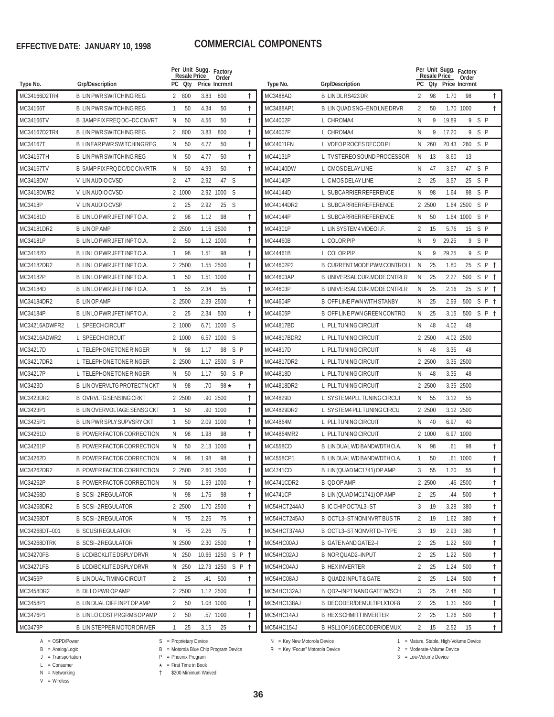| Type No.      | <b>Grp/Description</b>            | <b>Resale Price</b><br>PC Qty | Per Unit Sugg. Factory<br>Order<br>Price Incrmnt | Type No.         | <b>Grp/Description</b>             | Resale Price<br>PC Qty | Per Unit Sugg. Factory<br>Order<br>Price Incrmnt |
|---------------|-----------------------------------|-------------------------------|--------------------------------------------------|------------------|------------------------------------|------------------------|--------------------------------------------------|
| MC34166D2TR4  | <b>B LINPWR SWITCHING REG</b>     | 2<br>800                      | $\ddagger$<br>3.83<br>800                        | <b>MC3488AD</b>  | <b>B LINDL RS423 DR</b>            | 2<br>98                | $\ddagger$<br>1.70<br>98                         |
| MC34166T      | <b>B LINPWR SWITCHING REG</b>     | 50<br>1                       | 50<br>$\ddagger$<br>4.34                         | MC3488AP1        | B LIN QUAD SNG-END LNE DRVR        | 50<br>2                | $^{+}$<br>1.70 1000                              |
| MC34166TV     | B 3AMP FIX FREQ DC-DC CNVRT       | 50<br>Ν                       | 50<br>$\ddagger$<br>4.56                         | MC44002P         | L CHROMA4                          | N<br>9                 | 19.89<br>9 S P                                   |
| MC34167D2TR4  | <b>B LINPWR SWITCHING REG</b>     | 800<br>2                      | $\ddagger$<br>800<br>3.83                        | MC44007P         | L CHROMA4                          | N<br>9                 | 17.20<br>9 S P                                   |
| MC34167T      | <b>B LINEAR PWR SWITCHING REG</b> | 50<br>N                       | 4.77<br>50<br>$\ddagger$                         | <b>MC44011FN</b> | L VDEOPROCESDECODPL                | N 260                  | 260 S P<br>20.43                                 |
| MC34167TH     | <b>B LINPWR SWITCHING REG</b>     | 50<br>Ν                       | 4.77<br>50<br>$\ddagger$                         | MC44131P         | L TVSTEREOSOUND PROCESSOR          | 13<br>N                | 8.60<br>13                                       |
| MC34167TV     | B 5AMP FIX FRQ DC/DC CNVRTR       | 50<br>Ν                       | $\ddagger$<br>4.99<br>50                         | MC44140DW        | L CMOSDELAYLINE                    | N<br>47                | 47 S P<br>3.57                                   |
| MC3418DW      | V LIN AUDIO CVSD                  | 2<br>47                       | 2.92<br>47 S                                     | MC44140P         | L CMOS DELAY LINE                  | 2<br>25                | 3.57<br>25<br>S P                                |
| MC3418DWR2    | V LIN AUDIO CVSD                  | 2 1000                        | 2.92 1000 S                                      | MC44144D         | L SUBCARRIER REFERENCE             | N<br>98                | 98 S P<br>1.64                                   |
| MC3418P       | V LIN AUDIO CVSP                  | 25<br>2                       | 25 S<br>2.92                                     | MC44144DR2       | L SUBCARRIER REFERENCE             | 2 2500                 | S P<br>1.64 2500                                 |
| MC34181D      | B LINLOPWR JFET INPTO.A.          | 2<br>98                       | $\ddagger$<br>98<br>1.12                         | MC44144P         | L SUBCARRIER REFERENCE             | 50<br>N                | 1.64 1000<br>S P                                 |
| MC34181DR2    | <b>B LIN OP AMP</b>               | 2 2500                        | $\ddagger$<br>1.16 2500                          | MC44301P         | L LIN SYSTEM4 VIDEO I.F.           | 2<br>15                | 5.76<br>15 S P                                   |
| MC34181P      | B LINLOPWR JFET INPTO.A.          | 50<br>2                       | $\ddagger$<br>1.12 1000                          | MC44460B         | L COLORPIP                         | N<br>9                 | 9 S P<br>29.25                                   |
| MC34182D      | B LINLOPWR JFET INPTO.A.          | 98<br>1                       | 1.51<br>98<br>$\ddagger$                         | MC44461B         | L COLORPIP                         | 9<br>N                 | 29.25<br>9 S P                                   |
| MC34182DR2    | B LINLOPWR JFET INPTO.A.          | 2 2500                        | 1.55 2500<br>$\ddagger$                          | MC44602P2        | B CURRENTMODE PWM CONTROLL         | 25<br>N                | SP t<br>1.80<br>25                               |
| MC34182P      | B LINLOPWR JFET INPTO.A.          | 50<br>1                       | $\ddagger$<br>1.51 1000                          | MC44603AP        | B UNIVERSAL CUR.MODE CNTRLR        | N<br>25                | 500 S P +<br>2.27                                |
| MC34184D      | B LINLOPWR JFET INPTO.A.          | 55<br>1                       | 2.34<br>55<br>$\ddagger$                         | MC44603P         | <b>B UNIVERSAL CUR.MODE CNTRLR</b> | N<br>25                | 25<br>SP t<br>2.16                               |
| MC34184DR2    | <b>BLINOPAMP</b>                  | 2 2500                        | 2.39 2500<br>$^{+}$                              | MC44604P         | <b>B OFF LINE PWN WITH STANBY</b>  | 25<br>N                | 500 S P +<br>2.99                                |
| MC34184P      | B LINLOPWR JFET INPTO.A.          | 25<br>2                       | $\ddagger$<br>2.34<br>500                        | MC44605P         | <b>B OFF LINE PWN GREEN CONTRO</b> | 25<br>Ν                | 500<br>$S \tP t$<br>3.15                         |
| MC34216ADWFR2 | L SPEECH CIRCUIT                  | 2 1000                        | 6.71 1000 S                                      | MC44817BD        | L PLL TUNING CIRCUIT               | 48<br>N                | 4.02<br>48                                       |
| MC34216ADWR2  | L SPEECH CIRCUIT                  | 2 1000                        | 6.57 1000 S                                      | MC44817BDR2      | L PLL TUNING CIRCUIT               | 2 2500                 | 4.02 2500                                        |
| MC34217D      | L TELEPHONE TONE RINGER           | 98<br>N                       | 98 S P<br>1.17                                   | MC44817D         | L PLL TUNING CIRCUIT               | 48<br>N                | 3.35<br>48                                       |
| MC34217DR2    | L TELEPHONE TONE RINGER           | 2 2500                        | 1.17 2500 S P                                    | MC44817DR2       | L PLL TUNING CIRCUIT               | 2 2500                 | 3.35 2500                                        |
| MC34217P      | L TELEPHONE TONE RINGER           | 50<br>N                       | 50 S P<br>1.17                                   | MC44818D         | L PLL TUNING CIRCUIT               | 48<br>N                | 3.35<br>48                                       |
| MC3423D       | <b>B LINOVERVLTG PROTECTN CKT</b> | 98<br>N                       | 98 ★<br>.70<br>$^+$                              | MC44818DR2       | L PLL TUNING CIRCUIT               | 2 2500                 | 3.35 2500                                        |
| MC3423DR2     | <b>B OVRVLTG SENSING CRKT</b>     | 2 2500                        | .90 2500<br>$\ddagger$                           | MC44829D         | L SYSTEM4PLL TUNING CIRCUI         | 55<br>N                | 3.12<br>55                                       |
| MC3423P1      | <b>B LINOVERVOLTAGE SENSG CKT</b> | 50<br>1                       | .90 1000<br>$\ddagger$                           | MC44829DR2       | L SYSTEM4 PLL TUNING CIRCU         | 2 2500                 | 3.12 2500                                        |
| MC3425P1      | <b>B LINPWR SPLY SUPVSRY CKT</b>  | 50<br>1                       | 2.09 1000<br>$\ddagger$                          | MC44864M         | L PLL TUNING CIRCUIT               | N<br>40                | 6.97<br>40                                       |
| MC34261D      | <b>B POWER FACTOR CORRECTION</b>  | 98<br>N                       | 98<br>$\ddagger$<br>1.98                         | MC44864MR2       | L PLL TUNING CIRCUIT               | 2 1000                 | 6.97 1000                                        |
| MC34261P      | <b>B POWER FACTOR CORRECTION</b>  | 50<br>Ν                       | $\ddagger$<br>2.13 1000                          | <b>MC4558CD</b>  | B LINDUAL WD BANDWDTH O.A.         | 98<br>N                | $\ddagger$<br>98<br>.61                          |
| MC34262D      | <b>B POWER FACTOR CORRECTION</b>  | 98<br>N                       | 1.98<br>98<br>$^\dagger$                         | MC4558CP1        | B LINDUAL WD BANDWDTH O.A.         | 50<br>1                | $^\dagger$<br>.61 1000                           |
| MC34262DR2    | <b>B POWER FACTOR CORRECTION</b>  | 2 2500                        | $+$<br>2.60 2500<br>J.                           | <b>MC4741CD</b>  | B LIN (QUAD MC1741) OP AMP         | 55<br>$\mathbf{3}$     | $^\dagger$<br>1.20<br>55                         |
| MC34262P      | B POWER FACTOR CORRECTION         | 50<br>N                       | $\ddagger$<br>1.59 1000                          | MC4741CDR2       | B QD OP AMP                        | 2 2500                 | $\ddagger$<br>.46 2500                           |
| MC34268D      | <b>B SCSI-2REGULATOR</b>          | 98<br>N                       | 98<br>1.76<br>$^\dagger$                         | <b>MC4741CP</b>  | B LIN (QUAD MC1741) OP AMP         | $\mathbf{2}$<br>25     | $\dagger$<br>.44<br>500                          |
| MC34268DR2    | <b>B SCSI-2REGULATOR</b>          | 2 2500                        | 1.70 2500<br>t                                   | MC54HCT244AJ     | <b>B IC CHIP OCTAL3-ST</b>         | 19<br>3                | $\ddagger$<br>3.28<br>380                        |
| MC34268DT     | <b>B SCSI-2REGULATOR</b>          | 75<br>N                       | 2.26<br>75<br>$\ddagger$                         | MC54HCT245AJ     | <b>B OCTL3-STNONINVRT BUS TR</b>   | 19<br>$\overline{2}$   | $^\dagger$<br>1.62<br>380                        |
| MC34268DT-001 | <b>B SCUSIREGULATOR</b>           | 75<br>N                       | $\dagger$<br>2.26<br>75                          | MC54HCT374AJ     | B OCTL3-STNONVRTD-TYPE             | 19<br>3                | $\uparrow$<br>2.93<br>380                        |
| MC34268DTRK   | <b>B SCSI-2REGULATOR</b>          | N 2500                        | $^+$<br>2.30 2500                                | MC54HC00AJ       | <b>B GATE NAND GATE2-I</b>         | $\overline{2}$<br>25   | $\ddagger$<br>1.22<br>500                        |
| MC34270FB     | <b>B LCD/BCKLITE DSPLY DRVR</b>   | N 250                         | 10.66 1250 S P<br>$\pm$                          | MC54HC02AJ       | <b>B NORQUAD2-INPUT</b>            | $\overline{2}$<br>25   | $^{\dagger}$<br>1.22 500                         |
| MC34271FB     | <b>B LCD/BCKLITE DSPLY DRVR</b>   | N 250                         | 12.73 1250 S P <sup>+</sup>                      | MC54HC04AJ       | <b>B HEXINVERTER</b>               | 25<br>2                | $^\dagger$<br>1.24<br>500                        |
| MC3456P       | <b>B LINDUAL TIMING CIRCUIT</b>   | 25<br>$\overline{2}$          | .41<br>500<br>$^{\dagger}$                       | MC54HC08AJ       | <b>B QUAD2 INPUT &amp; GATE</b>    | 25<br>2                | $\pm$<br>1.24<br>500                             |
| MC3458DR2     | <b>B DLLOPWROPAMP</b>             | 2 2500                        | 1.12 2500<br>$^+$                                | MC54HC132AJ      | <b>B QD2-INPT NAND GATE W/SCH</b>  | 3<br>25                | $+$<br>2.48<br>500                               |
| MC3458P1      | B LINDUAL DIFF INPT OP AMP        | 50<br>2                       | 1.08 1000<br>$\ddagger$                          | MC54HC138AJ      | B DECODER/DEMULTIPLX1OF8           | $\overline{2}$<br>25   | $\dagger$<br>1.31<br>500                         |
| MC3476P1      | B LINLOCOST PRGRMB OP AMP         | $\overline{2}$<br>50          | .57 1000<br>$^\dagger$                           | MC54HC14AJ       | <b>B HEX SCHMITT INVERTER</b>      | $\overline{2}$<br>25   | $\ddagger$<br>1.26<br>500                        |
| MC3479P       | <b>B LINSTEPPERMOTORDRIVER</b>    | 25<br>$\mathbf{1}$            | 3.15<br>25<br>$^+$                               | MC54HC154J       | B HSL1OF16DECODER/DEMUX            | 15<br>$\mathbf{2}$     | $\ddagger$<br>2.52<br>15                         |

 $L = \text{Consumer}$ <br>  $N = \text{Networking}$ <br>  $V = \text{Wireless}$ 

- 
- $L =$  Consumer  $\star =$  First Time in Book
- N = Networking extensive that the state of the state of the state of the state of the state of the state of the state of the state of the state of the state of the state of the state of the state of the state of the state

J = Transportation P = Phoenix Program 3 = Low-Volume Device

- 
- 
- 
- 

A = OSPD/Power external states and S = Proprietary Device N = Key New Motorola Device 1 = Mature, Stable, High-Volume Device

B = Analog/Logic entropy of the Motorola Blue Chip Program Device R = Key "Focus" Motorola Device 2 = Moderate-Volume Device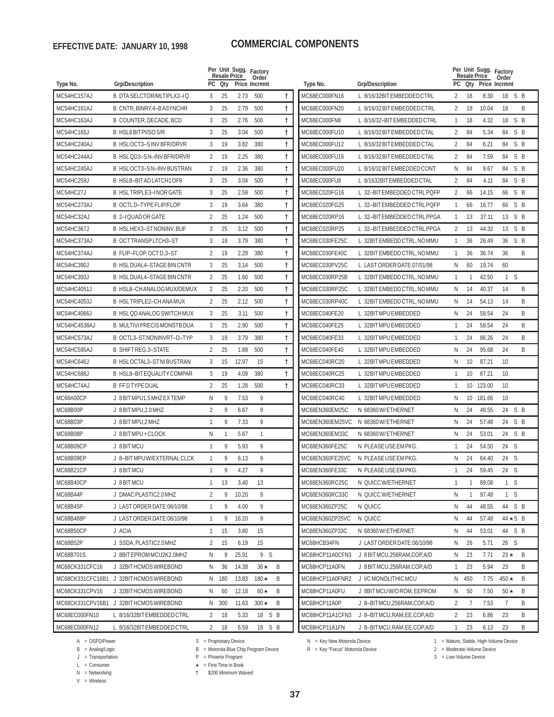|                |                                                                   |                |              | Per Unit Sugg. Factory<br><b>Resale Price</b> | Order         |              |                               |                                                         |                |                 | Per Unit Sugg. Factory<br><b>Resale Price</b> | Order          |                |
|----------------|-------------------------------------------------------------------|----------------|--------------|-----------------------------------------------|---------------|--------------|-------------------------------|---------------------------------------------------------|----------------|-----------------|-----------------------------------------------|----------------|----------------|
| Type No.       | <b>Grp/Description</b>                                            |                | PC Qty       |                                               | Price Incrmnt |              | Type No.                      | <b>Grp/Description</b>                                  |                |                 | PC Qty Price Incrmnt                          |                |                |
| MC54HC157AJ    | B DTA SELCTOR/MLTIPLX2-IQ                                         | 3              | 25           | 2.73                                          | 500           | $^{\dagger}$ | MC68EC000FN16                 | L 8/16/32BIT EMBEDDED CTRL                              | 2              | 18              | 8.30                                          |                | 18 S B         |
| MC54HC161AJ    | <b>B CNTR, BINRY, 4-BASYNCHR</b>                                  | 3              | 25           | 2.79                                          | 500           | $\dagger$    | MC68EC000FN20                 | L 8/16/32 BIT EMBEDDED CTRL                             | $\overline{2}$ | 18              | 10.04                                         | 18             | B              |
| MC54HC163AJ    | <b>B COUNTER DECADE BCD</b>                                       | 3              | 25           | 2.76                                          | 500           | $\ddagger$   | MC68EC000FN8                  | L 8/16/32-BIT EMBEDDED CTRL                             | 1              | 18              | 4.32                                          |                | 18 S B         |
| MC54HC165J     | B HSL8 BIT PI/SO S/R                                              | 3              | 25           | 3.04                                          | 500           | $^\dagger$   | MC68EC000FU10                 | L 8/16/32 BIT EMBEDDED CTAL                             | 2              | 84              | 5.34                                          |                | 84 S B         |
| MC54HC240AJ    | B HSLOCT3-SINVBFR/DRVR                                            | 3              | 19           | 3.82                                          | 380           | $^{\dagger}$ | MC68EC000FU12                 | L 8/16/32 BIT EMBEDDED CTAL                             | 2              | 84              | 6.21                                          |                | 84 S B         |
| MC54HC244AJ    | B HSLQD3-SN-INVBFR/DRVR                                           | 2              | 19           | 2.25                                          | 380           | $^{\dagger}$ | MC68EC000FU16                 | L 8/16/32 BIT EMBEDDED CTAL                             | 2              | 84              | 7.59                                          | 84             | S B            |
| MC54HC245AJ    | B HSLOCT3-SN-INVBUSTRAN                                           | 2              | 19           | 2.36                                          | 380           | $^{\dagger}$ | MC68EC000FU20                 | L 8/16/32 BIT EMBEDDED CONT                             | N              | 84              | 9.67                                          |                | 84 S B         |
| MC54HC259J     | B HSL8-BIT AD LATCH1 OF8                                          | 3              | 25           | 3.04                                          | 500           | $^{\dagger}$ | MC68EC000FU8                  | L 8/1632BIT EMBEDDED CTAL                               | 2              | 84              | 4.11                                          |                | 84 S B         |
| MC54HC27J      | <b>B HSLTRIPLE3-INOR GATE</b>                                     | 3              | 25           | 2.59                                          | 500           | $^{\dagger}$ | MC68EC020FG16                 | L 32-BIT EMBEDDED CTRL POFP                             | 2              | 66              | 14.15                                         |                | 66 S B         |
| MC54HC273AJ    | B OCTLD-TYPE FLIP/FLOP                                            | 3              | 19           | 3.64                                          | 380           | $^{\dagger}$ | MC68EC020FG25                 | L 32-BIT EMBEDDED CTRL PQFP                             | 1              | 66              | 16.77                                         |                | 66 S B         |
| MC54HC32AJ     | B 2-I QUAD OR GATE                                                | 2              | 25           | 1.24                                          | 500           | $\dagger$    | MC68EC020RP16                 | L 32-BIT EMBEDDED CTRL PPGA                             | 1              | 13              | 37.11                                         |                | 13 S B         |
| MC54HC367J     | B HSLHEX3-STNONINV. BUF                                           | 3              | 25           | 3.12                                          | 500           | $\ddagger$   | MC68EC020RP25                 | L 32-BIT EMBEDDED CTRL PPGA                             | $\overline{2}$ | 13              | 44.32                                         |                | 13 S B         |
| MC54HC373AJ    | <b>B OCTTRANSPLTCH3-ST</b>                                        | 3              | 19           | 3.79                                          | 380           | $^{\dagger}$ | MC68EC030FE25C                | L 32BIT EMBEDD CTRL, NO MMU                             | 1              | 36              | 26.49                                         |                | 36 S B         |
| MC54HC374AJ    | B FLIP-FLOP OCT D.3-ST                                            | 2              | 19           | 2.29                                          | 380           | $^{\dagger}$ | MC68EC030FE40C                | L 32BIT EMBEDD CTRL, NO MMU                             | 1              | 36              | 36.74                                         | 36             | B              |
| MC54HC390J     | B HSLDUAL4-STAGE BIN CNTR                                         | 3              | 25           | 3.14                                          | 500           | $^{\dagger}$ | MC68EC030PV25C                | L LAST ORDER DATE:07/01/98                              | N              | 60              | 19.74                                         | 60             |                |
| MC54HC393J     | B HSLDUAL4-STAGE BIN CNTR                                         | 2              | 25           | 1.60                                          | 500           | $^{\dagger}$ | MC68EC030RP25B                | L 32BIT EMBEDD CTRL, NO MMU                             | 1              | 1               | 42.50                                         | 1 <sup>5</sup> |                |
| MC54HC4051J    | B HSL8-CHANALOG MUX/DEMUX                                         | 2              | 25           | 2.20                                          | 500           | t            | MC68EC030RP25C                | L 32BIT EMBEDD CTRL, NO MMU                             | N              | 14              | 40.37                                         | 14             | B              |
| MC54HC4053J    | B HSLTRIPLE2-CHANAMUX                                             | 2              | 25           | 2.12                                          | 500           | $^{\dagger}$ | MC68EC030RP40C                | L 32BIT EMBEDD CTRL, NO MMU                             | N              | 14              | 54.13                                         | 14             | B              |
| MC54HC4066J    | B HSLQD ANALOG SWITCH MUX                                         | 3              | 25           | 3.11                                          | 500           | $^{\dagger}$ | MC68EC040FE20                 | L 32BIT MPU EMBEDDED                                    | N              | 24              | 58.54                                         | 24             | B              |
| MC54HC4538AJ   | <b>B MULTIVI PRECISMONSTB DUA</b>                                 | 3              | 25           | 2.90                                          | 500           | $^{\dagger}$ | MC68EC040FE25                 | L 32BIT MPU EMBEDDED                                    | 1              | 24              | 58.54                                         | 24             | B              |
| MC54HC573AJ    | B OCTL3-ST, NONINVRT-D-TYP                                        | 3              | 19           | 3.79                                          | 380           | $\ddagger$   | MC68EC040FE33                 | L 32BIT MPU EMBEDDED                                    | 1              | 24              | 86.26                                         | 24             | B              |
| MC54HC595AJ    | <b>B SHIFT REG.3-STATE</b>                                        | 2              | 25           | 1.89                                          | 500           | $^{\dagger}$ | MC68EC040FE40                 | L 32BIT MPU EMBEDDED                                    | N              | 24              | 95.68                                         | 24             | B              |
| MC54HC646J     | B HSLOCTAL3-STNIBUSTRAN                                           | 3              | 15           | 12.97                                         | 15            | $^{\dagger}$ | MC68EC040RC20                 | L 32BIT MPU EMBEDDED                                    | N              | 10 <sup>°</sup> | 87.21                                         | 10             |                |
| MC54HC688J     | B HSL8-BIT EQUALITY COMPAR                                        | 3              | 19           | 4.09                                          | 380           | $^{\dagger}$ | MC68EC040RC25                 | L 32BIT MPU EMBEDDED                                    | 1              | 10              | 87.21                                         | 10             |                |
| MC54HC74AJ     | <b>B FFDTYPEDUAL</b>                                              | 2              | 25           | 1.28                                          | 500           | $\ddagger$   | MC68EC040RC33                 | L 32BIT MPU EMBEDDED                                    | 1              |                 | 10 123.00                                     | 10             |                |
| MC68A00CP      | J 8 BIT MPU1.5 MHZ EX TEMP                                        | N              | 9            | 7.53                                          | 9             |              | MC68EC040RC40                 | L 32BIT MPU EMBEDDED                                    | N              |                 | 10 181.66                                     | 10             |                |
| MC68B00P       | J 8 BIT MPU, 2.0 MHZ                                              | 2              | 9            | 6.67                                          | 9             |              | MC68EN360EM25C                | N 68360 W/ETHERNET                                      | N              | 24              | 48.55                                         |                | 24 S B         |
| MC68B03P       | J 8 BIT MPU, 2 MHZ                                                | 1              | 9            | 7.33                                          | 9             |              | MC68EN360EM25VC               | N 68360W/ETHERNET                                       | N              | 24              | 57.48                                         |                | 24 S B         |
| MC68B08P       | J 8 BIT MPU + CLOCK                                               | N              | $\mathbf{1}$ | 5.67                                          | 1             |              | MC68EN360EM33C                | N 68360W/ETHERNET                                       | N              | 24              | 53.01                                         | 24             | S B            |
| MC68B09CP      | J 8 BIT MCU                                                       | 1              | 9            | 5.93                                          | 9             |              | MC68EN360FE25C                | N PLEASE USE EMPKG.                                     | -1             | 24              | 54.50                                         | 24 S           |                |
| MC68B09EP      | J 8-BIT MPU W/EXTERNAL CLCK                                       | $\mathbf{1}$   | 9            | 6.13                                          | 9             |              | MC68EN360FE25VC               | N PLEASE USE EMPKG.                                     | N              | 24              | 64.40                                         | 24 S           |                |
| MC68B21CP      | J 8 BIT MCU                                                       | 1              | 9            | 4.27                                          | 9             |              | MC68EN360FE33C                | N PLEASE USE EMPKG.                                     | $\mathbf{1}$   | 24              | 59.45                                         | 24 S           |                |
| MC68B40CP      | J 8 BIT MCU                                                       | 1              | 13           | 3.40                                          | 13            |              | MC68EN360RC25C                | N QUICC W/ETHERNET                                      | 1              | $\mathbf{1}$    | 89.08                                         | 1 <sub>S</sub> |                |
| MC68B44P       | J DMAC PLASTIC2.0 MHZ                                             | 2              | 9            | 10.20                                         | 9             |              | MC68EN360RC33C                | N QUICCW/ETHERNET                                       | Ν              | $\mathbf{1}$    | 97.48                                         | 1 S            |                |
| MC68B45P       | J LAST ORDER DATE:06/10/98                                        | $\mathbf{1}$   | 9            | 4.00                                          | 9             |              | MC68EN360ZP25C                | N QUICC                                                 | N              | 44              | 48.55                                         |                | 44 S B         |
| MC68B488P      | J LAST ORDER DATE:06/10/98                                        | $\mathbf{1}$   | 9            | 16.20                                         | 9             |              | MC68EN360ZP25VC               | N QUICC                                                 | N              | 44              | 57.48                                         |                | $44 \star S$ B |
| MC68B50CP      | J ACIA                                                            | 1              | 15           | 3.80                                          | 15            |              | MC68EN360ZP33C                | N 68360W/ETHERNET                                       | N              | 44              | 53.01                                         |                | 44 S B         |
| MC68B52P       | J SSDA, PLASTIC2.0 MHZ                                            | 2              | 15           | 6.19                                          | 15            |              | MC68HCB34FN                   | J LAST ORDER DATE:06/10/98                              | N              | 26              | 5.71                                          | 26 S           |                |
| MC68B701S      | J 8BIT EPROMMCU2K2.0MHZ                                           | N              | 9            | 25.91                                         | 9S            |              | MC68HCP11A0CFN3               | J 8 BIT MCU, 256RAM, COP, A/D                           | N              | 23              | 7.71                                          | $23 \star$     | B              |
| MC68CK331CFC16 | J 32BIT HCMOS WIREBOND                                            | N              | 36           | 14.38                                         | $36 \star$    | Β            | MC68HCP11A0FN                 | J 8 BIT MCU, 256RAM, COP, A/D                           | 1              | 23              | 5.94                                          | 23             | B              |
|                | MC68CK331CFC16B1 J 32BITHCMOS WIREBOND                            | N              | 180          | 13.83                                         | 180 $\star$   | Β            | MC68HCP11A0FNR2               | J I/CMONOLITHICMCU                                      |                | N 450           | 7.75                                          | $450 \star$    | Β              |
| MC68CK331CPV16 |                                                                   |                |              |                                               | $60 \star$    | Β            |                               |                                                         |                | 50              |                                               | $50 \star$     | Β              |
|                | J 32BIT HCMOS WIREBOND<br>MC68CK331CPV16B1 J 32BIT HCMOS WIREBOND | Ν<br>N         | 60<br>300    | 12.18<br>11.63                                | $300 \star$   | Β            | MC68HCP11A0FU<br>MC68HCP11A0P | J 8BIT MCU W/O ROM, EEPROM<br>J 8-BITMCU,256RAM,COP,A/D | N<br>2         | 7               | 7.50<br>7.53                                  | 7              | Β              |
| MC68EC000FN10  | L 8/16/32BIT EMBEDDED CTRL                                        | $\overline{2}$ | 18           | 5.33                                          | 18 S B        |              | MC68HCP11A1CFN3               | J 8-BITMCU,RAM,EE,COP,A/D                               | $\overline{2}$ | 23              | 6.86                                          | 23             | Β              |
| MC68EC000FN12  |                                                                   |                | 2 18         | 6.59                                          | 18 S B        |              | MC68HCP11A1FN                 |                                                         | $\mathbf{1}$   | 23              |                                               | 23             | B              |
|                | L 8/16/32BIT EMBEDDED CTRL                                        |                |              |                                               |               |              |                               | J 8-BITMCU, RAM, EE, COP, A/D                           |                |                 | 6.13                                          |                |                |

- 
- 
- 
- N = Networking the three states of the states of the states of the states of the states of the states of the states of the states of the states of the states of the states of the states of the states of the states of the s
- V = Wireless

B = Analog/Logic B = Motorola Blue Chip Program Device R = Key "Focus" Motorola Device

 $L =$  Consumer  $\star =$  First Time in Book

\$200 Minimum Waived

A = OSPD/Power <br>
A = Analog/Logic 
S = Proprietary Device<br>
B = Analog/Logic 
B = Motorola Blue Chip Program Device 
R = Key "Focus" Motorola Device 
2 = Moderate-Volume Device

J = Transportation 
P = Phoenix Program 
P = Phoenix Program 
P = Phoenix Program 
P = Phoenix Program 
P = Phoenix Program 
P = Phoenix Program 
P = Phoenix Program 
P = Phoenix Program 
P = Phoenix Program 
P = Phoenix P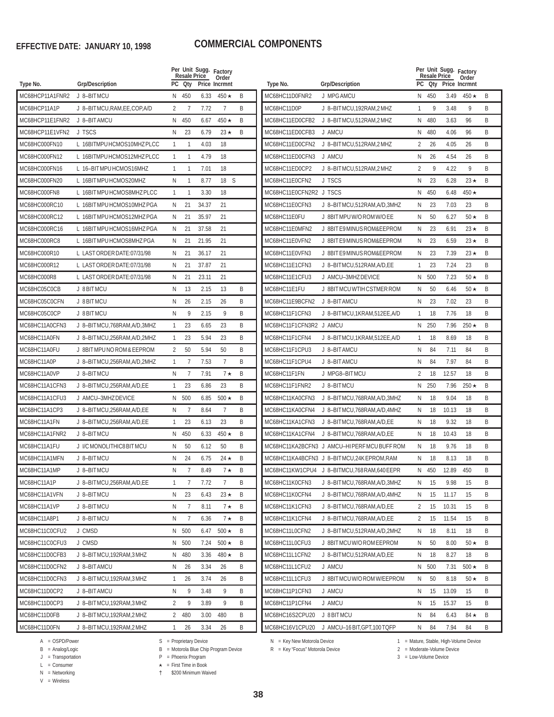|                 |                               |                | <b>Resale Price</b> |       | Per Unit Sugg. Factory<br>Order |   |                         |                                             |                |        | Per Unit Sugg. Factory<br><b>Resale Price</b> | Order       |              |
|-----------------|-------------------------------|----------------|---------------------|-------|---------------------------------|---|-------------------------|---------------------------------------------|----------------|--------|-----------------------------------------------|-------------|--------------|
| Type No.        | <b>Grp/Description</b>        | PC Qtv         |                     |       | Price Incrmnt                   |   | Type No.                | <b>Grp/Description</b>                      |                | PC Qty | Price Incrmnt                                 |             |              |
| MC68HCP11A1FNR2 | J 8-BITMCU                    | 450<br>N       |                     | 6.33  | $450 \star$                     | B | MC68HC11D0FNR2          | J MPGAMCU                                   |                | N 450  | 3.49                                          | $450 \star$ | B            |
| MC68HCP11A1P    | J 8-BITMCU, RAM, EE, COP, A/D | 2              | $\overline{7}$      | 7.72  | 7                               | B | MC68HC11D0P             | J 8-BIT MCU, 192RAM, 2 MHZ                  | 1              | 9      | 3.48                                          | 9           | B            |
| MC68HCP11E1FNR2 | J 8-BIT AMCU                  | 450<br>N       |                     | 6.67  | $450 \star$                     | B | MC68HC11ED0CFB2         | J 8-BIT MCU,512RAM,2 MHZ                    |                | N 480  | 3.63                                          | 96          | B            |
| MC68HCP11E1VFN2 | J TSCS                        | N              | 23                  | 6.79  | $23 \star$                      | B | MC68HC11ED0CFB3         | J AMCU                                      |                | N 480  | 4.06                                          | 96          | B            |
| MC68HC000FN10   | L 16BITMPUHCMOS10MHZPLCC      | $\mathbf{1}$   | -1                  | 4.03  | 18                              |   | MC68HC11ED0CFN2         | J 8-BIT MCU,512RAM,2MHZ                     | 2              | 26     | 4.05                                          | 26          | B            |
| MC68HC000FN12   | L 16BITMPUHCMOS12MHZ PLCC     | 1              | $\mathbf{1}$        | 4.79  | 18                              |   | MC68HC11ED0CFN3         | J AMCU                                      | N              | 26     | 4.54                                          | 26          | B            |
| MC68HC000FN16   | L 16-BITMPUHCMOS16MHZ         | $\mathbf{1}$   | $\mathbf{1}$        | 7.01  | 18                              |   | MC68HC11ED0CP2          | J 8-BIT MCU,512RAM,2MHZ                     | $\overline{2}$ | 9      | 4.22                                          | 9           | B            |
| MC68HC000FN20   | L 16BITMPUHCMOS20MHZ          | N              | -1                  | 8.77  | 18 S                            |   | MC68HC11E0CFN2          | J TSCS                                      | N              | 23     | 6.28                                          | $23 \star$  | B            |
| MC68HC000FN8    | L 16BIT MPU HCMOS8MHZ PLCC    | $\mathbf{1}$   | $\mathbf{1}$        | 3.30  | 18                              |   | MC68HC11E0CFN2R2 J TSCS |                                             | N.             | 450    | 6.48                                          | $450 \star$ |              |
| MC68HC000RC10   | L 16BIT MPU HCMOS10MHZ PGA    | N              | 21                  | 34.37 | 21                              |   | MC68HC11E0CFN3          | J 8-BITMCU,512RAM,A/D,3MHZ                  | N              | 23     | 7.03                                          | 23          | B            |
| MC68HC000RC12   | L 16BIT MPU HCMOS12MHZ PGA    | N              | 21                  | 35.97 | 21                              |   | MC68HC11E0FU            | J 8BIT MPU W/O ROM W/O EE                   | N              | 50     | 6.27                                          | $50 \star$  | B            |
| MC68HC000RC16   | L 16BIT MPU HCMOS16MHZ PGA    | N              | 21                  | 37.58 | 21                              |   | MC68HC11E0MFN2          | J 8BIT E9 MINUS ROM&EEPROM                  | N              | 23     | 6.91                                          | $23 \star$  | B            |
| MC68HC000RC8    | L 16BIT MPU HCMOS8MHZ PGA     | N              | 21                  | 21.95 | 21                              |   | MC68HC11E0VFN2          | J 8BIT E9 MINUS ROM&EEPROM                  | N              | 23     | 6.59                                          | $23 \star$  | B            |
| MC68HC000R10    | L LAST ORDER DATE:07/31/98    | Ν              | 21                  | 36.17 | 21                              |   | MC68HC11E0VFN3          | J 8BIT E9 MINUS ROM& EEPROM                 | N              | 23     | 7.39                                          | $23 \star$  | B            |
| MC68HC000R12    | L LAST ORDER DATE:07/31/98    | N              | 21                  | 37.87 | 21                              |   | MC68HC11E1CFN3          | J 8-BITMCU,512RAM,A/D,EE                    | 1              | 23     | 7.24                                          | 23          | B            |
| MC68HC000R8     | L LASTORDER DATE:07/31/98     | N              | 21                  | 23.11 | 21                              |   | MC68HC11E1CFU3          | J AMCU-3MHZ DEVICE                          |                | N 500  | 7.23                                          | $50 \star$  | B            |
| MC68HC05C0CB    | J 8 BIT MCU                   | N              | 13                  | 2.15  | 13                              | B | MC68HC11E1FU            | J 8BIT MCU WTIH CSTMER ROM                  | N              | 50     | 6.46                                          | $50 \star$  | B            |
| MC68HC05C0CFN   | J 8 BIT MCU                   | Ν              | 26                  | 2.15  | 26                              | B | MC68HC11E9BCFN2         | J 8-BIT AMCU                                | N              | 23     | 7.02                                          | 23          | B            |
| MC68HC05C0CP    | J 8 BIT MCU                   | Ν              | 9                   | 2.15  | 9                               | B | MC68HC11F1CFN3          | J 8-BITMCU, 1KRAM, 512EE, A/D               | 1              | 18     | 7.76                                          | 18          | B            |
| MC68HC11A0CFN3  | J 8-BITMCU,768RAM,A/D,3MHZ    | 1              | 23                  | 6.65  | 23                              | B | MC68HC11F1CFN3R2 J AMCU |                                             |                | N 250  | 7.96                                          | $250 \star$ | B            |
| MC68HC11A0FN    | J 8-BITMCU,256RAM,A/D,2MHZ    | 1              | 23                  | 5.94  | 23                              | B | MC68HC11F1CFN4          | J 8-BITMCU, 1KRAM, 512EE, A/D               | 1              | 18     | 8.69                                          | 18          | B            |
| MC68HC11A0FU    | J 8BIT MPU NO ROM & EEPROM    | 2              | 50                  | 5.94  | 50                              | B | MC68HC11F1CPU3          | J 8-BIT AMCU                                | N              | 84     | 7.11                                          | 84          | B            |
| MC68HC11A0P     | J 8-BITMCU,256RAM,A/D,2MHZ    | 1              | 7                   | 7.53  | $\overline{7}$                  | B | MC68HC11F1CPU4          | J 8-BIT AMCU                                | N              | 84     | 7.97                                          | 84          | B            |
| MC68HC11A0VP    | J 8-BITMCU                    | N              | $\overline{7}$      | 7.91  | $7\star$                        | B | MC68HC11F1FN            | J MPG8-BITMCU                               | $\overline{2}$ | 18     | 12.57                                         | 18          | B            |
| MC68HC11A1CFN3  | J 8-BITMCU,256RAM,A/D,EE      | 1              | 23                  | 6.86  | 23                              | B | MC68HC11F1FNR2          | J 8-BITMCU                                  |                | N 250  | 7.96                                          | 250 $\star$ | B            |
| MC68HC11A1CFU3  | J AMCU-3MHZ DEVICE            | 500<br>N       |                     | 6.85  | 500 ★                           | B | MC68HC11KA0CFN3         | J 8-BITMCU, 768RAM, A/D, 3MHZ               | N              | 18     | 9.04                                          | 18          | B            |
| MC68HC11A1CP3   | J 8-BITMCU,256RAM,A/D,EE      | N              | 7                   | 8.64  | $\overline{7}$                  | B | MC68HC11KA0CFN4         | J 8-BITMCU,768RAM,A/D,4MHZ                  | N              | 18     | 10.13                                         | 18          | B            |
| MC68HC11A1FN    | J 8-BITMCU,256RAM,A/D,EE      | 1              | 23                  | 6.13  | 23                              | B | MC68HC11KA1CFN3         | J 8-BITMCU,768RAM,A/D,EE                    | N              | 18     | 9.32                                          | 18          | B            |
| MC68HC11A1FNR2  | J 8-BITMCU                    | 450<br>N       |                     | 6.33  | 450 ★                           | B | MC68HC11KA1CFN4         | J 8-BITMCU,768RAM,A/D,EE                    | N              | 18     | 10.43                                         | 18          | B            |
| MC68HC11A1FU    | J I/C MONOLITHIC8 BIT MCU     | N              | 50                  | 6.12  | 50                              | B |                         | MC68HC11KA2BCFN3 JAMCU-HIPERFMCUBUFFROM     | N              | 18     | 9.76                                          | 18          | B            |
| MC68HC11A1MFN   | J 8-BITMCU                    | N              | 24                  | 6.75  | $24 \star$                      | B |                         | MC68HC11KA4BCFN3 J 8-BITMCU,24KEPROM,RAM    | N              | 18     | 8.13                                          | 18          | B            |
| MC68HC11A1MP    | J 8-BITMCU                    | Ν              | $\overline{7}$      | 8.49  | $7\star$                        | B |                         | MC68HC11KW1CPU4 J 8-BITMCU,768 RAM,640 EEPR |                | N 450  | 12.89                                         | 450         | <sub>R</sub> |
| MC68HC11A1P     | J 8-BITMCU,256RAM,A/D,EE      | 1              | 7                   | 7.72  | 7                               | B | MC68HC11K0CFN3          | J 8-BITMCU,768RAM,A/D,3MHZ                  | N              | 15     | 9.98                                          | 15          | Β            |
| MC68HC11A1VFN   | J 8-BITMCU                    | Ν              | 23                  | 6.43  | $23 \star$                      | B | MC68HC11K0CFN4          | J 8-BITMCU.768RAM.A/D.4MHZ                  | N              | 15     | 11.17                                         | 15          | B            |
| MC68HC11A1VP    | J 8-BITMCU                    | Ν              | 7                   | 8.11  | $7\star$                        | B | MC68HC11K1CFN3          | J 8-BITMCU.768RAM.A/D.EE                    | $\mathbf{2}$   | 15     | 10.31                                         | 15          | B            |
| MC68HC11A8P1    | J 8-BITMCU                    | Ν              | 7                   | 6.36  | $7\star$                        | B | MC68HC11K1CFN4          | J 8-BITMCU, 768RAM, A/D, EE                 | $\overline{2}$ | 15     | 11.54                                         | 15          | B            |
| MC68HC11C0CFU2  | J CMSD                        | 500<br>N       |                     | 6.47  | $500 \star$                     | B | MC68HC11L0CFN2          | J 8-BITMCU,512RAM, A/D, 2MHZ                | N              | 18     | 8.11                                          | 18          | Β            |
|                 |                               |                |                     |       |                                 |   |                         |                                             |                |        |                                               |             |              |
| MC68HC11C0CFU3  | J CMSD                        | N 500          |                     | 7.24  | $500 \star$                     | B | MC68HC11L0CFU3          | J 8BITMCUW/OROMEEPROM                       | N              | 50     | 8.00                                          | $50 \star$  | B            |
| MC68HC11D0CFB3  | J 8-BIT MCU, 192RAM, 3 MHZ    | N 480          |                     | 3.36  | $480 \star$                     | B | MC68HC11L1CFN2          | J 8-BITMCU,512RAM,A/D,EE                    | N              | 18     | 8.27                                          | 18          | B            |
| MC68HC11D0CFN2  | J 8-BIT AMCU                  | Ν              | 26                  | 3.34  | 26                              | B | MC68HC11L1CFU2          | J AMCU                                      |                | N 500  | 7.31                                          | $500 \star$ | B            |
| MC68HC11D0CFN3  | J 8-BIT MCU, 192RAM, 3 MHZ    | 1              | 26                  | 3.74  | 26                              | B | MC68HC11L1CFU3          | J 8BITMCUW/OROMW/EEPROM                     | N              | 50     | 8.18                                          | $50 \star$  | B            |
| MC68HC11D0CP2   | J 8-BIT AMCU                  | Ν              | 9                   | 3.48  | 9                               | B | MC68HC11P1CFN3          | J AMCU                                      | N              | 15     | 13.09                                         | 15          | B            |
| MC68HC11D0CP3   | J 8-BIT MCU, 192RAM, 3 MHZ    | $\overline{2}$ | 9                   | 3.89  | 9                               | B | MC68HC11P1CFN4          | J AMCU                                      | N              | 15     | 15.37                                         | 15          | B            |
| MC68HC11D0FB    | J 8-BIT MCU, 192RAM, 2 MHZ    | 2 480          |                     | 3.00  | 480                             | B | MC68HC16S2CPU20         | J 8 BIT MCU                                 | N              | 84     | 6.43                                          | 84 $\star$  | B            |
| MC68HC11D0FN    | J 8-BIT MCU, 192RAM, 2 MHZ    | $\mathbf{1}$   | 26                  | 3.34  | 26                              | B | MC68HC16V1CPU20         | J AMCU-16 BIT, GPT, 100 TQFP                | N              | 84     | 7.94                                          | 84          | B            |

- 
- 

 $L = \text{Consumer}$ <br>  $N = \text{Networking}$ <br>  $V = \text{Wireless}$ 

- B = Analog/Logic entropy of the Motorola Blue Chip Program Device R = Key "Focus" Motorola Device 2 = Moderate-Volume Device
- J = Transportation P = Phoenix Program 3 = Low-Volume Device
- $L =$  Consumer  $\star =$  First Time in Book
- N = Networking extensive that the state of the state of the state of the state of the state of the state of the state of the state of the state of the state of the state of the state of the state of the state of the state
- A = OSPD/Power external states and S = Proprietary Device N = Key New Motorola Device 1 = Mature, Stable, High-Volume Device
	-

- 
-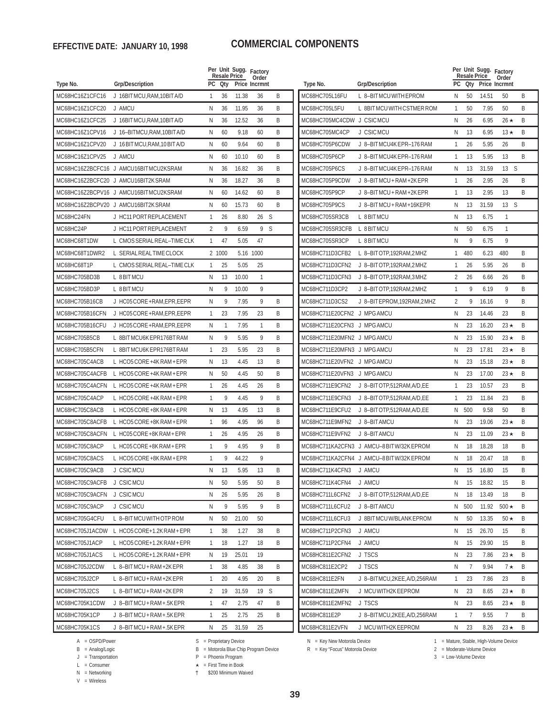| Type No.                  | <b>Grp/Description</b>                |              | PC Otv       | Per Unit Sugg. Factory<br><b>Resale Price</b><br>Price Incrmnt | Order        |   | Type No.                     | <b>Grp/Description</b>                    |                |     | Per Unit Sugg. Factory<br><b>Resale Price</b><br>PC Qty Price Incrmnt | Order       |    |
|---------------------------|---------------------------------------|--------------|--------------|----------------------------------------------------------------|--------------|---|------------------------------|-------------------------------------------|----------------|-----|-----------------------------------------------------------------------|-------------|----|
| MC68HC16Z1CFC16           | J 16BIT MCU, RAM, 10BIT A/D           | 1            | 36           | 11.38                                                          | 36           | B | MC68HC705L16FU               | L 8-BIT MCU WITH EPROM                    | N              | 50  | 14.51                                                                 | 50          | B  |
| MC68HC16Z1CFC20           | J AMCU                                | N            | 36           | 11.95                                                          | 36           | B | MC68HC705L5FU                | L 8BIT MCU WITH CSTMER ROM                | $\mathbf{1}$   | 50  | 7.95                                                                  | 50          | B  |
| MC68HC16Z1CFC25           | J 16BITMCU.RAM.10BITA/D               | N            | 36           | 12.52                                                          | 36           | B | MC68HC705MC4CDW J CSICMCU    |                                           | N              | 26  | 6.95                                                                  | $26 \star$  | B  |
| MC68HC16Z1CPV16           | J 16-BITMCU, RAM, 10BIT A/D           | N            | 60           | 9.18                                                           | 60           | B | MC68HC705MC4CP               | J CSICMCU                                 | N              | 13  | 6.95                                                                  | $13 \star$  | B  |
| MC68HC16Z1CPV20           | J 16 BIT MCU, RAM, 10 BIT A/D         | N            | 60           | 9.64                                                           | 60           | B | MC68HC705P6CDW               | J 8-BIT MCU4K EPR-176 RAM                 | $\mathbf{1}$   | 26  | 5.95                                                                  | 26          | B  |
| MC68HC16Z1CPV25           | J AMCU                                | N            | 60           | 10.10                                                          | 60           | B | MC68HC705P6CP                | J 8-BIT MCU4K EPR-176 RAM                 | $\mathbf{1}$   | 13  | 5.95                                                                  | 13          | B  |
|                           | MC68HC16Z2BCFC16 J AMCU16BITMCU2KSRAM | N            | 36           | 16.82                                                          | 36           | B | MC68HC705P6CS                | J 8-BIT MCU4K EPR-176 RAM                 | N              | 13  | 31.59                                                                 | 13 S        |    |
|                           | MC68HC16Z2BCFC20 J AMCU16BIT2K SRAM   | N            | 36           | 18.27                                                          | 36           | B | MC68HC705P9CDW               | J 8-BIT MCU + RAM + 2K EPR                | $\mathbf{1}$   | 26  | 2.95                                                                  | 26          | B  |
|                           | MC68HC16Z2BCPV16 J AMCU16BITMCU2KSRAM | N            | 60           | 14.62                                                          | 60           | B | MC68HC705P9CP                | J 8-BIT MCU + RAM + 2K EPR                | $\mathbf{1}$   | 13  | 2.95                                                                  | 13          | B  |
|                           | MC68HC16Z2BCPV20 J AMCU16BIT2K SRAM   | N            | 60           | 15.73                                                          | 60           | B | MC68HC705P9CS                | J 8-BIT MCU + RAM +16KEPR                 | N              | 13  | 31.59                                                                 | 13 S        |    |
| MC68HC24FN                | J HC11 PORT REPLACEMENT               | $\mathbf{1}$ | 26           | 8.80                                                           | 26 S         |   | MC68HC705SR3CB               | L 8 BIT MCU                               | N              | 13  | 6.75                                                                  | 1           |    |
| MC68HC24P                 | J HC11 PORT REPLACEMENT               | 2            | 9            | 6.59                                                           | 9S           |   | MC68HC705SR3CFB              | L 8 BIT MCU                               | N              | 50  | 6.75                                                                  | 1           |    |
| MC68HC68T1DW              | L CMOS SERIAL REAL-TIME CLK           | 1            | 47           | 5.05                                                           | 47           |   | MC68HC705SR3CP               | L 8 BIT MCU                               | N              | 9   | 6.75                                                                  | 9           |    |
| MC68HC68T1DWR2            | L SERIAL REAL TIME CLOCK              |              | 2 1000       |                                                                | 5.16 1000    |   | MC68HC711D3CFB2              | L 8-BIT OTP, 192RAM, 2 MHZ                | $\mathbf{1}$   | 480 | 6.23                                                                  | 480         | B  |
| MC68HC68T1P               | L CMOS SERIAL REAL-TIME CLK           | $\mathbf{1}$ | 25           | 5.05                                                           | 25           |   | MC68HC711D3CFN2              | J 8-BIT OTP, 192RAM, 2 MHZ                | $\mathbf{1}$   | 26  | 5.95                                                                  | 26          | B  |
| MC68HC705BD3B             | L 8BITMCU                             | N            | 13           | 10.00                                                          | $\mathbf{1}$ |   | MC68HC711D3CFN3              | J 8-BIT OTP.192RAM.3MHZ                   | $\overline{2}$ | 26  | 6.66                                                                  | 26          | B  |
| MC68HC705BD3P             | L 8 BIT MCU                           | N            | 9            | 10.00                                                          | 9            |   | MC68HC711D3CP2               | J 8-BIT OTP, 192RAM, 2 MHZ                | $\mathbf{1}$   | 9   | 6.19                                                                  | 9           | B  |
| MC68HC705B16CB            | J HC05 CORE + RAM, EPR, EEPR          | N            | 9            | 7.95                                                           | 9            | B | MC68HC711D3CS2               | J 8-BIT EPROM, 192RAM, 2MHZ               | 2              | 9   | 16.16                                                                 | 9           | B  |
| MC68HC705B16CFN           | J HC05 CORE + RAM, EPR, EEPR          | $\mathbf{1}$ | 23           | 7.95                                                           | 23           | B | MC68HC711E20CFN2 JMPGAMCU    |                                           | N              | 23  | 14.46                                                                 | 23          | B  |
| MC68HC705B16CFU           | J HC05 CORE + RAM, EPR, EEPR          | N            | $\mathbf{1}$ | 7.95                                                           | 1            | B | MC68HC711E20CFN3 JMPGAMCU    |                                           | N              | 23  | 16.20                                                                 | $23 \star$  | B  |
| MC68HC705B5CB             | L 8BIT MCU6K EPR176BT RAM             | N            | 9            | 5.95                                                           | 9            | B | MC68HC711E20MFN2 JMPGAMCU    |                                           | N              | 23  | 15.90                                                                 | $23 \star$  | B  |
| MC68HC705B5CFN            | L 8BIT MCU6K EPR176BT RAM             | 1            | 23           | 5.95                                                           | 23           | B | MC68HC711E20MFN3 J MPGAMCU   |                                           | N              | 23  | 17.81                                                                 | $23 \star$  | B  |
| MC68HC705C4ACB            | L HCO5 CORE +4K RAM + EPR             | N            | 13           | 4.45                                                           | 13           | B | MC68HC711E20VFN2 J MPG AMCU  |                                           | N              | 23  | 15.18                                                                 | $23 \star$  | B  |
| MC68HC705C4ACFB           | L HCO5 CORE +4K RAM + EPR             | N            | 50           | 4.45                                                           | 50           | B | MC68HC711E20VFN3 J MPGAMCU   |                                           | N              | 23  | 17.00                                                                 | $23 \star$  | B  |
| MC68HC705C4ACFN           | L HCO5 CORE +4K RAM + EPR             | 1            | 26           | 4.45                                                           | 26           | B | MC68HC711E9CFN2              | J 8-BIT OTP,512RAM,A/D,EE                 | $\mathbf{1}$   | 23  | 10.57                                                                 | 23          | B  |
| MC68HC705C4ACP            | L HCO5 CORE +4K RAM + EPR             | $\mathbf{1}$ | 9            | 4.45                                                           | 9            | B | MC68HC711E9CFN3              | J 8-BIT OTP,512RAM,A/D,EE                 | $\mathbf{1}$   | 23  | 11.84                                                                 | 23          | B  |
| MC68HC705C8ACB            | L HCO5 CORE +8K RAM + EPR             | N            | 13           | 4.95                                                           | 13           | B | MC68HC711E9CFU2              | J 8-BIT OTP,512RAM,A/D,EE                 | N              | 500 | 9.58                                                                  | 50          | B  |
| MC68HC705C8ACFB           | L HCO5 CORE +8K RAM + EPR             | 1            | 96           | 4.95                                                           | 96           | B | MC68HC711E9MFN2 J 8-BIT AMCU |                                           | N              | 23  | 19.06                                                                 | $23 \star$  | B  |
| MC68HC705C8ACFN           | L HC05 CORE +8K RAM + EPR             | 1            | 26           | 4.95                                                           | 26           | B | MC68HC711E9VFN2              | J 8-BIT AMCU                              | N              | 23  | 11.09                                                                 | $23 \star$  | B  |
| MC68HC705C8ACP            | L HC05 CORE +8K RAM + EPR             | 1            | 9            | 4.95                                                           | 9            | B |                              | MC68HC711KA2CFN3 JAMCU-8BITW/32KEPROM     | N              | 18  | 18.28                                                                 | 18          | B  |
| MC68HC705C8ACS            | L HCO5 CORE +8K RAM + EPR             | 1            | 9            | 44.22                                                          | 9            |   |                              | MC68HC711KA2CFN4 J AMCU-8 BIT W/32K EPROM | N              | 18  | 20.47                                                                 | 18          | B  |
| MC68HC705C9ACB            | J CSICMCU                             | N            | 13           | 5.95                                                           | 13           | B | MC68HC711K4CFN3 J AMCU       |                                           | N              | 15  | 16.80                                                                 | 15          | B. |
| MC68HC705C9ACFB           | J CSICMCU                             | N.           | 50           | 5.95                                                           | 50           | B | MC68HC711K4CFN4              | J AMCU                                    | N              | 15  | 18.82                                                                 | 15          | B  |
| MC68HC705C9ACFN J CSICMCU |                                       | N            | 26           | 5.95                                                           | 26           | B | MC68HC711L6CFN2              | J 8-BIT OTP,512RAM,A/D,EE                 | N              | 18  | 13.49                                                                 | 18          | B  |
| MC68HC705C9ACP            | J CSICMCU                             | N            | 9            | 5.95                                                           | 9            | B | MC68HC711L6CFU2              | J 8-BIT AMCU                              | N              | 500 | 11.92                                                                 | $500 \star$ | B  |
| MC68HC705G4CFU            | L 8-BIT MCU WITH OTP ROM              | N            | 50           | 21.00                                                          | 50           |   | MC68HC711L6CFU3              | J 8BIT MCU W/BLANK EPROM                  | N              | 50  | 13.35                                                                 | $50 \star$  | B  |
| MC68HC705J1ACDW           | L HCO5 CORE+1.2K RAM + EPR            | $\mathbf{1}$ | 38           | 1.27                                                           | 38           | B | MC68HC711P2CFN3              | J AMCU                                    | N              | 15  | 26.70                                                                 | 15          | B  |
| MC68HC705J1ACP            | L HCO5 CORE+1.2K RAM + EPR            | 1            | 18           | 1.27                                                           | 18           | B | MC68HC711P2CFN4              | J AMCU                                    | N              | 15  | 29.90                                                                 | 15          | B  |
| MC68HC705J1ACS            | L HCO5 CORE+1.2K RAM + EPR            | N            | 19           | 25.01                                                          | 19           |   | MC68HC811E2CFN2              | J TSCS                                    | N              | 23  | 7.86                                                                  | $23 \star$  | B  |
| MC68HC705J2CDW            | L 8-BIT MCU + RAM + 2K EPR            | 1            | 38           | 4.85                                                           | 38           | B | MC68HC811E2CP2               | J TSCS                                    | N              | 7   | 9.94                                                                  | $7\star$    | B  |
| MC68HC705J2CP             | L 8-BIT MCU + RAM + 2K EPR            | 1            | 20           | 4.95                                                           | 20           | B | MC68HC811E2FN                | J 8-BITMCU, 2KEE, A/D, 256RAM             | 1              | 23  | 7.86                                                                  | 23          | B  |
| MC68HC705J2CS             | L 8-BIT MCU + RAM + 2K EPR            | 2            | 19           | 31.59                                                          | 19 S         |   | MC68HC811E2MFN               | J MCU WITH2K EEPROM                       | N              | 23  | 8.65                                                                  | $23 \star$  | B  |
| MC68HC705K1CDW            | J 8-BIT MCU + RAM + 5K EPR            | 1            | 47           | 2.75                                                           | 47           | B | MC68HC811E2MFN2 JTSCS        |                                           | N              | 23  | 8.65                                                                  | $23 \star$  | B  |
| MC68HC705K1CP             | J 8-BIT MCU + RAM +.5K EPR            | $\mathbf{1}$ | 25           | 2.75                                                           | 25           | B | MC68HC811E2P                 | J 8-BITMCU, 2KEE, A/D, 256RAM             | 1              | 7   | 9.55                                                                  | 7           | B  |
| MC68HC705K1CS             | J 8-BIT MCU + RAM + 5K EPR            | N            | 25           | 31.59                                                          | 25           |   | MC68HC811E2VFN               | J MCU WITH2K EEPROM                       | N              | 23  | 8.26                                                                  | $23 \star$  | B  |

- 
- 
- 
- 
- $L = \text{Consumer}$ <br>  $N = \text{Networking}$ <br>  $V = \text{Wireless}$

B = Analog/Logic entropyrology by B = Motorola Blue Chip Program Device R = Key "Focus" Motorola Device 2 = Moderate-Volume Device

- $L =$  Consumer  $\star =$  First Time in Book
- N = Networking and the state of the state of the state of the state of the state of the state of the state of the state of the state of the state of the state of the state of the state of the state of the state of the st

A = OSPD/Power external states and S = Proprietary Device N = Key New Motorola Device 1 = Mature, Stable, High-Volume Device

- 
- J = Transportation P = Phoenix Program 3 = Low-Volume Device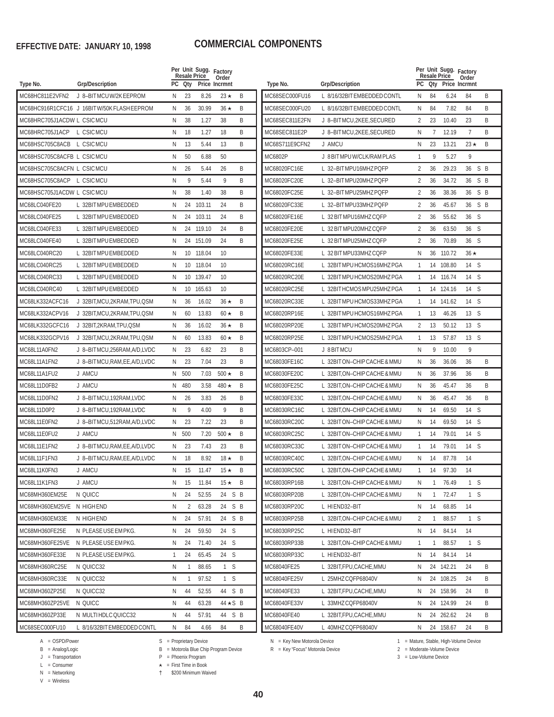| Type No.                   | <b>Grp/Description</b>                   | PC           | Otv | Per Unit Sugg. Factory<br><b>Resale Price</b> | Order<br>Price Incrmnt |   | Type No.       | <b>Grp/Description</b>       |                | PC Qtv         | Per Unit Sugg. Factory<br>Resale Price Order<br>Price Incrmnt |            |        |  |
|----------------------------|------------------------------------------|--------------|-----|-----------------------------------------------|------------------------|---|----------------|------------------------------|----------------|----------------|---------------------------------------------------------------|------------|--------|--|
| MC68HC811E2VFN2            | J 8-BIT MCU W/2K EEPROM                  | N            | 23  | 8.26                                          | $23 \star$             | B | MC68SEC000FU16 | L 8/16/32BIT EMBEDDED CONTL  | Ν              | 84             | 6.24                                                          | 84         | B      |  |
|                            | MC68HC916R1CFC16 J 16BITW/50KFLASHEEPROM | N            | 36  | 30.99                                         | $36 \star$             | B | MC68SEC000FU20 | L 8/16/32BIT EMBEDDED CONTL  | N              | 84             | 7.82                                                          | 84         | B      |  |
| MC68HRC705J1ACDW L CSICMCU |                                          | N            | 38  | 1.27                                          | 38                     | B | MC68SEC811E2FN | J 8-BITMCU, 2KEE, SECURED    | $\overline{2}$ | 23             | 10.40                                                         | 23         | B      |  |
| MC68HRC705J1ACP L CSICMCU  |                                          | N            | 18  | 1.27                                          | 18                     | B | MC68SEC811E2P  | J 8-BITMCU,2KEE,SECURED      | N              | $\overline{7}$ | 12.19                                                         | 7          | B      |  |
| MC68HSC705C8ACB            | L CSICMCU                                | Ν            | 13  | 5.44                                          | 13                     | B | MC68S711E9CFN2 | J AMCU                       | N              | 23             | 13.21                                                         | $23 \star$ | B      |  |
| MC68HSC705C8ACFB L CSICMCU |                                          | Ν            | 50  | 6.88                                          | 50                     |   | MC6802P        | J 8 BIT MPU W/CLK/RAM PLAS   | 1              | 9              | 5.27                                                          | 9          |        |  |
| MC68HSC705C8ACFN L CSICMCU |                                          | N            | 26  | 5.44                                          | 26                     | B | MC68020FC16E   | L 32-BIT MPU16MHZ PQFP       | $\overline{2}$ | 36             | 29.23                                                         | 36         | S B    |  |
| MC68HSC705C8ACP L CSICMCU  |                                          | Ν            | 9   | 5.44                                          | 9                      | B | MC68020FC20E   | L 32-BIT MPU20MHZ PQFP       | 2              | 36             | 34.72                                                         | 36         | S B    |  |
| MC68HSC705J1ACDW L CSICMCU |                                          | Ν            | 38  | 1.40                                          | 38                     | B | MC68020FC25E   | L 32-BIT MPU25MHZ PQFP       | $\overline{2}$ | 36             | 38.36                                                         |            | 36 S B |  |
| MC68LC040FE20              | L 32BITMPU EMBEDDED                      | N            | 24  | 103.11                                        | 24                     | B | MC68020FC33E   | L 32-BIT MPU33MHZ PQFP       | $\overline{2}$ | 36             | 45.67                                                         | 36         | S B    |  |
| MC68LC040FE25              | L 32BITMPU EMBEDDED                      | N            | 24  | 103.11                                        | 24                     | B | MC68020FE16E   | L 32 BIT MPU16MHZ CQFP       | $\overline{2}$ | 36             | 55.62                                                         | 36 S       |        |  |
| MC68LC040FE33              | L 32BITMPU EMBEDDED                      | Ν            |     | 24 119.10                                     | 24                     | B | MC68020FE20E   | L 32 BIT MPU20MHZ CQFP       | 2              | 36             | 63.50                                                         | 36 S       |        |  |
| MC68LC040FE40              | L 32BITMPU EMBEDDED                      | Ν            |     | 24 151.09                                     | 24                     | B | MC68020FE25E   | L 32 BIT MPU25MHZ COFP       | $\overline{2}$ | 36             | 70.89                                                         | 36 S       |        |  |
| MC68LC040RC20              | L 32BITMPU EMBEDDED                      | Ν            | 10  | 118.04                                        | 10                     |   | MC68020FE33E   | L 32 BIT MPU33MHZ CQFP       | N              | 36             | 110.72                                                        | $36 \star$ |        |  |
| MC68LC040RC25              | L 32BITMPU EMBEDDED                      | Ν            |     | 10 118.04                                     | 10                     |   | MC68020RC16E   | L 32BITMPUHCMOS16MHZPGA      | 1              | 14             | 108.80                                                        | 14 S       |        |  |
| MC68LC040RC33              | L 32BITMPU EMBEDDED                      | Ν            |     | 10 139.47                                     | 10                     |   | MC68020RC20E   | L 32BITMPUHCMOS20MHZPGA      | 1              |                | 14 116.74                                                     | 14 S       |        |  |
| MC68LC040RC40              | L 32BITMPU EMBEDDED                      | N            |     | 10 165.63                                     | 10                     |   | MC68020RC25E   | L 32BIT HCMOS MPU25MHZ PGA   | $\mathbf{1}$   |                | 14 124.16                                                     | 14 S       |        |  |
| MC68LK332ACFC16            | J 32BIT, MCU, 2KRAM, TPU, QSM            | N            | 36  | 16.02                                         | $36 \star$             | B | MC68020RC33E   | L 32BITMPUHCMOS33MHZPGA      | 1              |                | 14 141.62                                                     | 14 S       |        |  |
| MC68LK332ACPV16            | J 32BIT, MCU, 2KRAM, TPU, QSM            | Ν            | 60  | 13.83                                         | $60 \star$             | B | MC68020RP16E   | L 32BITMPU HCMOS16MHZ PGA    | 1              | 13             | 46.26                                                         | 13 S       |        |  |
| MC68LK332GCFC16            | J 32BIT.2KRAM.TPU.QSM                    | N            | 36  | 16.02                                         | $36 \star$             | B | MC68020RP20E   | L 32BITMPUHCMOS20MHZPGA      | 2              | 13             | 50.12                                                         | 13 S       |        |  |
| MC68LK332GCPV16            | J 32BIT, MCU, 2KRAM, TPU, QSM            | N            | 60  | 13.83                                         | $60 \star$             | B | MC68020RP25E   | L 32BITMPU HCMOS25MHZ PGA    | $\mathbf{1}$   | 13             | 57.87                                                         | 13 S       |        |  |
| MC68L11A0FN2               | J 8-BITMCU, 256RAM, A/D, LVDC            | N            | 23  | 6.82                                          | 23                     | B | MC6803CP-001   | J 8 BIT MCU                  | N              | 9              | 10.00                                                         | 9          |        |  |
| MC68L11A1FN2               | J 8-BITMCU, RAM, EE, A/D, LVDC           | N            | 23  | 7.04                                          | 23                     | B | MC68030FE16C   | L 32BIT ON-CHIP CACHE & MMU  | N              | 36             | 36.06                                                         | 36         | B      |  |
| MC68L11A1FU2               | J AMCU                                   | N            | 500 | 7.03                                          | $500 \star$            | B | MC68030FE20C   | L 32BIT, ON-CHIP CACHE & MMU | N              | 36             | 37.96                                                         | 36         | B      |  |
| MC68L11D0FB2               | J AMCU                                   | N            | 480 | 3.58                                          | 480 $\star$            | B | MC68030FE25C   | L 32BIT, ON-CHIP CACHE & MMU | N              | 36             | 45.47                                                         | 36         | B      |  |
| MC68L11D0FN2               | J 8-BIT MCU, 192RAM, LVDC                | N            | 26  | 3.83                                          | 26                     | B | MC68030FE33C   | L 32BIT, ON-CHIP CACHE & MMU | N              | 36             | 45.47                                                         | 36         | B      |  |
| MC68L11D0P2                | J 8-BITMCU,192RAM,LVDC                   | N            | 9   | 4.00                                          | 9                      | B | MC68030RC16C   | L 32BIT, ON-CHIP CACHE & MMU | N              | 14             | 69.50                                                         | 14 S       |        |  |
| MC68L11E0FN2               | J 8-BITMCU,512RAM,A/D,LVDC               | N            | 23  | 7.22                                          | 23                     | B | MC68030RC20C   | L 32BIT ON-CHIP CACHE & MMU  | N              | 14             | 69.50                                                         | 14         | S      |  |
| MC68L11E0FU2               | J AMCU                                   | N            | 500 | 7.20                                          | $500 \star$            | B | MC68030RC25C   | L 32BIT ON-CHIP CACHE & MMU  | 1              | 14             | 79.01                                                         | 14 S       |        |  |
| MC68L11E1FN2               | J 8-BITMCU, RAM, EE, A/D, LVDC           | N            | 23  | 7.43                                          | 23                     | B | MC68030RC33C   | L 32BIT ON-CHIP CACHE & MMU  | $\mathbf{1}$   | 14             | 79.01                                                         | 14 S       |        |  |
| MC68L11F1FN3               | J 8-BITMCU.RAM.EE.A/D.LVDC               | N            | 18  | 8.92                                          | $18 \star$             | B | MC68030RC40C   | L 32BIT, ON-CHIP CACHE & MMU | N              | 14             | 87.78                                                         | 14         |        |  |
| MC68L11K0FN3               | J AMCU                                   | N            | 15  | 11.47                                         | $15 \star$             | B | MC68030RC50C   | L 32BIT, ON-CHIP CACHE & MMU | $\mathbf{1}$   | 14             | 97.30                                                         | 14         |        |  |
| MC68L11K1FN3               | J AMCU                                   | N            | 15  | 11.84                                         | $15 \star$             | B | MC68030RP16B   | L 32BIT, ON-CHIP CACHE & MMU | N              | $\mathbf{1}$   | 76.49                                                         |            | 1 S    |  |
| MC68MH360EM25E             | N QUICC                                  | Ν            | 24  | 52.55                                         | 24 S B                 |   | MC68030RP20B   | L 32BIT, ON-CHIP CACHE & MMU | N              | $\mathbf{1}$   | 72.47                                                         |            | 1 S    |  |
| MC68MH360EM25VE N HIGH END |                                          | Ν            | 2   | 63.28                                         | 24 S B                 |   | MC68030RP20C   | L HIEND32-BIT                | N              | 14             | 68.85                                                         | 14         |        |  |
| MC68MH360EM33E             | N HIGH END                               | Ν            | 24  | 57.91                                         | 24 S B                 |   | MC68030RP25B   | L 32BIT, ON-CHIP CACHE & MMU | 2              | $\mathbf{1}$   | 88.57                                                         |            | 1 S    |  |
| MC68MH360FE25E             | N PLEASE USE EMPKG.                      | Ν            | 24  | 59.50                                         | 24 S                   |   | MC68030RP25C   | L HIEND32-BIT                | N              | 14             | 84.14                                                         | 14         |        |  |
| MC68MH360FE25VE            | N PLEASE USE EMPKG.                      | Ν            | 24  | 71.40                                         | 24 S                   |   | MC68030RP33B   | L 32BIT, ON-CHIP CACHE & MMU | $\mathbf{1}$   | $\mathbf{1}$   | 88.57                                                         |            | 1 S    |  |
| MC68MH360FE33E             | N PLEASE USE EMPKG.                      | $\mathbf{1}$ | 24  | 65.45                                         | 24 S                   |   | MC68030RP33C   | L HIEND32-BIT                | N              | 14             | 84.14                                                         | 14         |        |  |
| MC68MH360RC25E             | N QUICC32                                | Ν            | 1   | 88.65                                         | 1 S                    |   | MC68040FE25    | L 32BIT,FPU,CACHE,MMU        | N              |                | 24 142.21                                                     | 24         | B      |  |
| MC68MH360RC33E             | N QUICC32                                | Ν            | 1   | 97.52                                         | 1 <sub>S</sub>         |   | MC68040FE25V   | L 25MHZ CQFP68040V           | N              |                | 24 108.25                                                     | 24         | B      |  |
| MC68MH360ZP25E             | N QUICC32                                | Ν            | 44  | 52.55                                         | 44 S B                 |   | MC68040FE33    | L 32BIT, FPU, CACHE, MMU     | N              |                | 24 158.96                                                     | 24         | B      |  |
| MC68MH360ZP25VE            | N QUICC                                  | Ν            | 44  | 63.28                                         | $44 \star S$ B         |   | MC68040FE33V   | L 33MHZ CQFP68040V           | N              |                | 24 124.99                                                     | 24         | Β      |  |
| MC68MH360ZP33E             | N MULTIHDLC QUICC32                      | N            | 44  | 57.91                                         | 44 S B                 |   | MC68040FE40    | L 32BIT, FPU, CACHE, MMU     | N              |                | 24 262.62                                                     | 24         | Β      |  |
| MC68SEC000FU10             | L 8/16/32BIT EMBEDDED CONTL              | N            | 84  | 4.66                                          | 84                     | B | MC68040FE40V   | L 40MHZ CQFP68040V           | N              |                | 24 158.67                                                     | 24         | B      |  |

- 
- 

- 
- $L = \text{Consumer}$ <br>  $N = \text{Networking}$ <br>  $V = \text{Wireless}$
- B = Analog/Logic entropy of the Motorola Blue Chip Program Device R = Key "Focus" Motorola Device 2 = Moderate-Volume Device
- J = Transportation P = Phoenix Program 3 = Low-Volume Device
- $L =$  Consumer  $\star =$  First Time in Book
- N = Networking extensive that the state of the state of the state of the state of the state of the state of the state of the state of the state of the state of the state of the state of the state of the state of the state
- 

A = OSPD/Power external states and S = Proprietary Device N = Key New Motorola Device 1 = Mature, Stable, High-Volume Device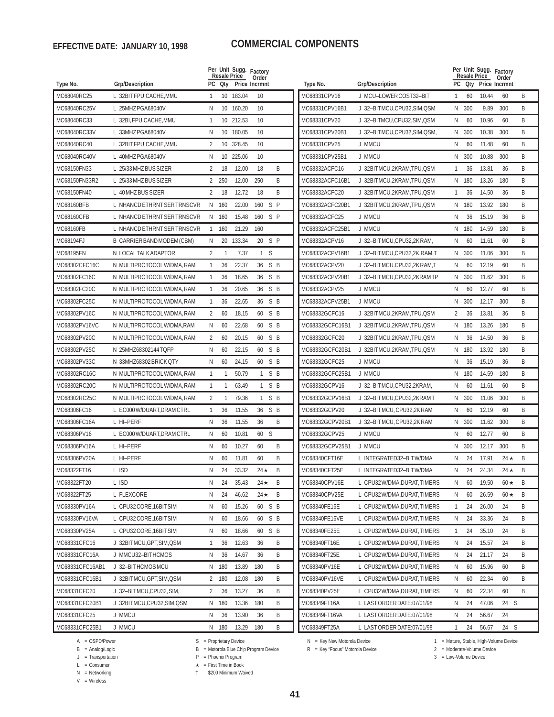| Qty<br>Qty<br>PC.<br>Price Incrmnt<br>PC<br>Price Incrmnt<br><b>Grp/Description</b><br>Type No.<br><b>Grp/Description</b><br>Type No.<br>B<br>MC68040RC25<br>10 183.04<br>10<br>MC68331CPV16<br>J MCU-LOWERCOST32-BIT<br>60<br>10.44<br>L 32BIT,FPU,CACHE,MMU<br>1<br>1<br>60<br>B<br>MC68040RC25V<br>160.20<br>10<br>MC68331CPV16B1<br>9.89<br>300<br>L 25MHZPGA68040V<br>N<br>10<br>J 32-BITMCU,CPU32,SIM,QSM<br>N<br>300<br>B<br>10 212.53<br>10<br>60<br>10.96<br>60<br>MC68040RC33<br>L 32BI, FPU, CACHE, MMU<br>1<br>MC68331CPV20<br>J 32-BITMCU,CPU32,SIM,QSM<br>N<br>B<br>N<br>10 <sup>°</sup><br>180.05<br>10<br>MC68331CPV20B1<br>J 32-BITMCU,CPU32,SIM,QSM,<br>300<br>10.38<br>300<br>MC68040RC33V<br>L 33MHZPGA68040V<br>N<br>MC68040RC40<br>10 328.45<br>10<br>MC68331CPV25<br>B<br>L 32BIT,FPU,CACHE,MMU<br>2<br>J MMCU<br>N<br>60<br>11.48<br>60<br>225.06<br>MC68331CPV25B1<br>B<br>MC68040RC40V<br>L 40MHZ PGA68040V<br>10 <sup>°</sup><br>10<br>J MMCU<br>N<br>300<br>10.88<br>300<br>N<br>B<br>MC68150FN33<br>2<br>18<br>12.00<br>18<br>MC68332ACFC16<br>J 32BITMCU,2KRAM,TPU,QSM<br>$\mathbf{1}$<br>36<br>13.81<br>36<br>B<br>L 25/33 MHZ BUS SIZER<br>B<br>B<br>2 250<br>12.00<br>250<br>MC68332ACFC16B1<br>180<br>13.26<br>180<br>MC68150FN33R2<br>L 25/33 MHZ BUS SIZER<br>J 32BITMCU,2KRAM,TPU,QSM<br>N<br>18<br>12.72<br>18<br>Β<br>MC68332ACFC20<br>14.50<br>B<br>MC68150FN40<br>L 40 MHZ BUS SIZER<br>2<br>J 32BITMCU,2KRAM,TPU,QSM<br>1<br>36<br>36<br>160 S P<br>B<br>MC68160BFB<br>L NHANCD ETHRNT SER TRNSCVR<br>N 160<br>22.00<br>MC68332ACFC20B1<br>180<br>13.92<br>180<br>J 32BITMCU,2KRAM,TPU,QSM<br>N<br>S P<br>15.48<br>160<br>J MMCU<br>36<br>15.19<br>36<br>B<br>MC68160CFB<br>L NHANCD ETHRNT SER TRNSCVR<br>N<br>160<br>MC68332ACFC25<br>N<br>B<br>21.29<br>160<br>180<br>14.59<br>180<br>MC68160FB<br>L NHANCD ETHRNT SER TRNSCVR<br>1<br>160<br>MC68332ACFC25B1<br>J MMCU<br>N<br>20 S P<br>B<br>N<br>20<br>133.34<br>MC68332ACPV16<br>J 32-BIT MCU, CPU32, 2K RAM,<br>60<br>60<br>MC68194FJ<br>B CARRIER BAND MODEM (CBM)<br>N<br>11.61<br>MC68195FN<br>$\overline{2}$<br>7.37<br>1 S<br>MC68332ACPV16B1<br>300<br>300<br>B<br>N LOCALTALKADAPTOR<br>J 32-BITMCU,CPU32,2K,RAM,T<br>11.06<br>$\mathbf{1}$<br>N<br>36 S B<br>12.19<br>B<br>MC68302CFC16C<br>N MULTIPROTOCOL W/DMA, RAM<br>36<br>22.37<br>MC68332ACPV20<br>J 32-BIT MCU.CPU32,2K RAM,T<br>N<br>60<br>60<br>1<br>B<br>MC68302FC16C<br>36<br>18.65<br>36 S B<br>MC68332ACPV20B1<br>J 32-BITMCU,CPU32,2KRAMTP<br>300<br>11.62<br>300<br>N MULTIPROTOCOL W/DMA, RAM<br>1<br>N<br>36<br>20.65<br>36 S B<br>MC68332ACPV25<br>J MMCU<br>N<br>60<br>12.77<br>B<br>MC68302FC20C<br>N MULTIPROTOCOL W/DMA, RAM<br>1<br>60<br>MC68302FC25C<br>36<br>22.65<br>36 S B<br>MC68332ACPV25B1<br>300<br>12.17<br>300<br>B<br>N MULTIPROTOCOL W/DMA, RAM<br>1<br>J MMCU<br>N<br>MC68302PV16C<br>2<br>60<br>18.15<br>60 S B<br>MC68332GCFC16<br>36<br>13.81<br>36<br>B<br>N MULTIPROTOCOL W/DMA, RAM<br>J 32BITMCU,2KRAM,TPU,QSM<br>2<br>60 S B<br>B<br>MC68302PV16VC<br>N MULTIPROTOCOLW/DMA,RAM<br>N<br>60<br>22.68<br>MC68332GCFC16B1<br>J 32BITMCU,2KRAM,TPU,QSM<br>N<br>180<br>13.26<br>180<br>60 S B<br>B<br>60<br>20.15<br>36<br>14.50<br>36<br>MC68302PV20C<br>N MULTIPROTOCOLW/DMA, RAM<br>2<br>MC68332GCFC20<br>J 32BITMCU,2KRAM,TPU,QSM<br>N<br>B<br>MC68302PV25C<br>N<br>60<br>22.15<br>60 S B<br>180<br>13.92<br>180<br>N 25MHZ68302144TQFP<br>MC68332GCFC20B1<br>J 32BITMCU,2KRAM,TPU,QSM<br>N<br>MC68302PV33C<br>60 S B<br>MC68332GCFC25<br>B<br>N 33MHZ68302 BRICK OTY<br>60<br>24.15<br>J MMCU<br>N<br>36<br>15.19<br>36<br>N<br>MC68302RC16C<br>50.79<br>1 S B<br>14.59<br>B<br>N MULTIPROTOCOL W/DMA, RAM<br>$\mathbf{1}$<br>MC68332GCFC25B1<br>J MMCU<br>N<br>180<br>180<br>1<br>B<br>MC68302RC20C<br>63.49<br>1 S B<br>MC68332GCPV16<br>J 32-BITMCU,CPU32,2KRAM,<br>N<br>60<br>11.61<br>60<br>N MULTIPROTOCOL W/DMA, RAM<br>1<br>1<br>B<br>MC68302RC25C<br>2<br>79.36<br>1 S B<br>MC68332GCPV16B1<br>300<br>11.06<br>300<br>N MULTIPROTOCOL W/DMA, RAM<br>$\mathbf{1}$<br>J 32-BITMCU,CPU32,2KRAMT<br>N<br>36<br>11.55<br>36 S B<br>MC68332GCPV20<br>12.19<br>B<br>MC68306FC16<br>L EC000 W/DUART, DRAM CTRL<br>1<br>J 32-BIT MCU, CPU32,2K RAM<br>N<br>60<br>60<br>B<br>MC68306FC16A<br>L HI-PERF<br>36<br>11.55<br>36<br>MC68332GCPV20B1<br>J 32-BIT MCU, CPU32,2K RAM<br>300<br>11.62<br>300<br>B<br>N<br>N<br>60 S<br>MC68306PV16<br>L EC000 W/DUART, DRAM CTRL<br>MC68332GCPV25<br>12.77<br>60<br>B<br>N<br>60<br>10.81<br>J MMCU<br>N<br>60<br>B<br>B<br>L HI-PERF<br>60<br>10.27<br>60<br>300<br>300<br>MC68306PV16A<br>N<br>MC68332GCPV25B1<br>J MMCU<br>N<br>12.17<br>B<br>B<br>L HI-PERF<br>N<br>60<br>11.81<br>60<br>L INTEGRATED32-BITW/DMA<br>24<br>17.91<br>$24 \star$<br>MC68306PV20A<br>MC68340CFT16E<br>N<br>33.32<br>B<br>MC68340CFT25E<br>B<br>L ISD<br>N<br>24<br>$24 \star$<br>L INTEGRATED32-BITW/DMA<br>N<br>24<br>24.34<br>$24 \star$<br>MC68322FT20<br>L ISD<br>Β<br>MC68340CPV16E<br>19.50<br>B<br>24<br>35.43<br>$24 \star$<br>L CPU32W/DMA, DURAT, TIMERS<br>60<br>$60 \star$<br>N<br>N<br>L FLEXCORE<br>60<br>B<br>MC68322FT25<br>24<br>46.62<br>$24 \star$<br>Β<br>MC68340CPV25E<br>L CPU32W/DMA, DURAT, TIMERS<br>26.59<br>$60 \star$<br>Ν<br>N<br>60<br>15.26<br>60 S B<br>B<br>MC68330PV16A<br>L CPU32 CORE, 16BIT SIM<br>MC68340FE16E<br>24<br>26.00<br>24<br>Ν<br>L CPU32W/DMA, DURAT, TIMERS<br>1<br>MC68330PV16VA<br>60<br>18.66<br>60 S B<br>MC68340FE16VE<br>24<br>33.36<br>24<br>Β<br>L CPU32 CORE, 16BIT SIM<br>Ν<br>L CPU32W/DMA, DURAT, TIMERS<br>N<br>60 S B<br>MC68330PV25A<br>L CPU32 CORE, 16BIT SIM<br>60<br>18.66<br>MC68340FE25E<br>L CPU32W/DMA, DURAT, TIMERS<br>24<br>35.10<br>24<br>B<br>N<br>$\mathbf{1}$<br>B<br>B<br>MC68331CFC16<br>36<br>12.63<br>36<br>MC68340FT16E<br>L CPU32W/DMA, DURAT, TIMERS<br>24<br>15.57<br>24<br>J 32BIT MCU, GPT, SIM, QSM<br>1<br>N<br>36<br>B<br>B<br>14.67<br>36<br>MC68340FT25E<br>24<br>21.17<br>24<br>MC68331CFC16A<br>J MMCU32-BIT HCMOS<br>N<br>L CPU32W/DMA, DURAT, TIMERS<br>Ν<br>N 180<br>В<br>В<br>MC68331CFC16AB1<br>J 32-BITHCMOSMCU<br>13.89<br>180<br>MC68340PV16E<br>L CPU32W/DMA, DURAT, TIMERS<br>60<br>15.96<br>Ν<br>60<br>2 180<br>12.08<br>180<br>В<br>22.34<br>B<br>MC68331CFC16B1<br>MC68340PV16VE<br>60<br>60<br>J 32BITMCU, GPT, SIM, QSM<br>L CPU32W/DMA, DURAT, TIMERS<br>N<br>13.27<br>36<br>В<br>MC68340PV25E<br>60<br>22.34<br>B<br>MC68331CFC20<br>J 32-BITMCU,CPU32, SIM,<br>36<br>L CPU32W/DMA, DURAT, TIMERS<br>60<br>2<br>N<br>Β<br>MC68331CFC20B1<br>180<br>13.36<br>180<br>MC68349FT16A<br>L LAST ORDER DATE:07/01/98<br>24<br>47.06<br>24 S<br>J 32BITMCU, CPU32, SIM, QSM<br>Ν<br>N<br>36<br>13.90<br>B<br>24<br>MC68331CFC25<br>J MMCU<br>36<br>MC68349FT16VA<br>L LAST ORDER DATE:07/01/98<br>N<br>56.67<br>24<br>Ν<br>N 180<br>13.29<br>180<br>24 S |                |        | Per Unit Sugg. Factory<br><b>Resale Price</b> | Order |   |              |                            |   | <b>Resale Price</b> | Per Unit Sugg. Factory | Order |  |
|-------------------------------------------------------------------------------------------------------------------------------------------------------------------------------------------------------------------------------------------------------------------------------------------------------------------------------------------------------------------------------------------------------------------------------------------------------------------------------------------------------------------------------------------------------------------------------------------------------------------------------------------------------------------------------------------------------------------------------------------------------------------------------------------------------------------------------------------------------------------------------------------------------------------------------------------------------------------------------------------------------------------------------------------------------------------------------------------------------------------------------------------------------------------------------------------------------------------------------------------------------------------------------------------------------------------------------------------------------------------------------------------------------------------------------------------------------------------------------------------------------------------------------------------------------------------------------------------------------------------------------------------------------------------------------------------------------------------------------------------------------------------------------------------------------------------------------------------------------------------------------------------------------------------------------------------------------------------------------------------------------------------------------------------------------------------------------------------------------------------------------------------------------------------------------------------------------------------------------------------------------------------------------------------------------------------------------------------------------------------------------------------------------------------------------------------------------------------------------------------------------------------------------------------------------------------------------------------------------------------------------------------------------------------------------------------------------------------------------------------------------------------------------------------------------------------------------------------------------------------------------------------------------------------------------------------------------------------------------------------------------------------------------------------------------------------------------------------------------------------------------------------------------------------------------------------------------------------------------------------------------------------------------------------------------------------------------------------------------------------------------------------------------------------------------------------------------------------------------------------------------------------------------------------------------------------------------------------------------------------------------------------------------------------------------------------------------------------------------------------------------------------------------------------------------------------------------------------------------------------------------------------------------------------------------------------------------------------------------------------------------------------------------------------------------------------------------------------------------------------------------------------------------------------------------------------------------------------------------------------------------------------------------------------------------------------------------------------------------------------------------------------------------------------------------------------------------------------------------------------------------------------------------------------------------------------------------------------------------------------------------------------------------------------------------------------------------------------------------------------------------------------------------------------------------------------------------------------------------------------------------------------------------------------------------------------------------------------------------------------------------------------------------------------------------------------------------------------------------------------------------------------------------------------------------------------------------------------------------------------------------------------------------------------------------------------------------------------------------------------------------------------------------------------------------------------------------------------------------------------------------------------------------------------------------------------------------------------------------------------------------------------------------------------------------------------------------------------------------------------------------------------------------------------------------------------------------------------------------------------------------------------------------------------------------------------------------------------------------------------------------------------------------------------------------------------------------------------------------------------------------------------------------------------------------------------------------------------------------------------------------------------------------------------------------------------------------------------------------------------------------------------------------------------------------------------------------------------------------------------------------------------------------------------------------------------------------------------------------------------------------------------------------------------------------------------------------------------------------------------------------------------------------------------------------------------------------------------------------------------------------------------------|----------------|--------|-----------------------------------------------|-------|---|--------------|----------------------------|---|---------------------|------------------------|-------|--|
|                                                                                                                                                                                                                                                                                                                                                                                                                                                                                                                                                                                                                                                                                                                                                                                                                                                                                                                                                                                                                                                                                                                                                                                                                                                                                                                                                                                                                                                                                                                                                                                                                                                                                                                                                                                                                                                                                                                                                                                                                                                                                                                                                                                                                                                                                                                                                                                                                                                                                                                                                                                                                                                                                                                                                                                                                                                                                                                                                                                                                                                                                                                                                                                                                                                                                                                                                                                                                                                                                                                                                                                                                                                                                                                                                                                                                                                                                                                                                                                                                                                                                                                                                                                                                                                                                                                                                                                                                                                                                                                                                                                                                                                                                                                                                                                                                                                                                                                                                                                                                                                                                                                                                                                                                                                                                                                                                                                                                                                                                                                                                                                                                                                                                                                                                                                                                                                                                                                                                                                                                                                                                                                                                                                                                                                                                                                                                                                                                                                                                                                                                                                                                                                                                                                                                                                                                                                                                                 |                |        |                                               |       |   |              |                            |   |                     |                        |       |  |
|                                                                                                                                                                                                                                                                                                                                                                                                                                                                                                                                                                                                                                                                                                                                                                                                                                                                                                                                                                                                                                                                                                                                                                                                                                                                                                                                                                                                                                                                                                                                                                                                                                                                                                                                                                                                                                                                                                                                                                                                                                                                                                                                                                                                                                                                                                                                                                                                                                                                                                                                                                                                                                                                                                                                                                                                                                                                                                                                                                                                                                                                                                                                                                                                                                                                                                                                                                                                                                                                                                                                                                                                                                                                                                                                                                                                                                                                                                                                                                                                                                                                                                                                                                                                                                                                                                                                                                                                                                                                                                                                                                                                                                                                                                                                                                                                                                                                                                                                                                                                                                                                                                                                                                                                                                                                                                                                                                                                                                                                                                                                                                                                                                                                                                                                                                                                                                                                                                                                                                                                                                                                                                                                                                                                                                                                                                                                                                                                                                                                                                                                                                                                                                                                                                                                                                                                                                                                                                 |                |        |                                               |       |   |              |                            |   |                     |                        |       |  |
|                                                                                                                                                                                                                                                                                                                                                                                                                                                                                                                                                                                                                                                                                                                                                                                                                                                                                                                                                                                                                                                                                                                                                                                                                                                                                                                                                                                                                                                                                                                                                                                                                                                                                                                                                                                                                                                                                                                                                                                                                                                                                                                                                                                                                                                                                                                                                                                                                                                                                                                                                                                                                                                                                                                                                                                                                                                                                                                                                                                                                                                                                                                                                                                                                                                                                                                                                                                                                                                                                                                                                                                                                                                                                                                                                                                                                                                                                                                                                                                                                                                                                                                                                                                                                                                                                                                                                                                                                                                                                                                                                                                                                                                                                                                                                                                                                                                                                                                                                                                                                                                                                                                                                                                                                                                                                                                                                                                                                                                                                                                                                                                                                                                                                                                                                                                                                                                                                                                                                                                                                                                                                                                                                                                                                                                                                                                                                                                                                                                                                                                                                                                                                                                                                                                                                                                                                                                                                                 |                |        |                                               |       |   |              |                            |   |                     |                        |       |  |
|                                                                                                                                                                                                                                                                                                                                                                                                                                                                                                                                                                                                                                                                                                                                                                                                                                                                                                                                                                                                                                                                                                                                                                                                                                                                                                                                                                                                                                                                                                                                                                                                                                                                                                                                                                                                                                                                                                                                                                                                                                                                                                                                                                                                                                                                                                                                                                                                                                                                                                                                                                                                                                                                                                                                                                                                                                                                                                                                                                                                                                                                                                                                                                                                                                                                                                                                                                                                                                                                                                                                                                                                                                                                                                                                                                                                                                                                                                                                                                                                                                                                                                                                                                                                                                                                                                                                                                                                                                                                                                                                                                                                                                                                                                                                                                                                                                                                                                                                                                                                                                                                                                                                                                                                                                                                                                                                                                                                                                                                                                                                                                                                                                                                                                                                                                                                                                                                                                                                                                                                                                                                                                                                                                                                                                                                                                                                                                                                                                                                                                                                                                                                                                                                                                                                                                                                                                                                                                 |                |        |                                               |       |   |              |                            |   |                     |                        |       |  |
|                                                                                                                                                                                                                                                                                                                                                                                                                                                                                                                                                                                                                                                                                                                                                                                                                                                                                                                                                                                                                                                                                                                                                                                                                                                                                                                                                                                                                                                                                                                                                                                                                                                                                                                                                                                                                                                                                                                                                                                                                                                                                                                                                                                                                                                                                                                                                                                                                                                                                                                                                                                                                                                                                                                                                                                                                                                                                                                                                                                                                                                                                                                                                                                                                                                                                                                                                                                                                                                                                                                                                                                                                                                                                                                                                                                                                                                                                                                                                                                                                                                                                                                                                                                                                                                                                                                                                                                                                                                                                                                                                                                                                                                                                                                                                                                                                                                                                                                                                                                                                                                                                                                                                                                                                                                                                                                                                                                                                                                                                                                                                                                                                                                                                                                                                                                                                                                                                                                                                                                                                                                                                                                                                                                                                                                                                                                                                                                                                                                                                                                                                                                                                                                                                                                                                                                                                                                                                                 |                |        |                                               |       |   |              |                            |   |                     |                        |       |  |
|                                                                                                                                                                                                                                                                                                                                                                                                                                                                                                                                                                                                                                                                                                                                                                                                                                                                                                                                                                                                                                                                                                                                                                                                                                                                                                                                                                                                                                                                                                                                                                                                                                                                                                                                                                                                                                                                                                                                                                                                                                                                                                                                                                                                                                                                                                                                                                                                                                                                                                                                                                                                                                                                                                                                                                                                                                                                                                                                                                                                                                                                                                                                                                                                                                                                                                                                                                                                                                                                                                                                                                                                                                                                                                                                                                                                                                                                                                                                                                                                                                                                                                                                                                                                                                                                                                                                                                                                                                                                                                                                                                                                                                                                                                                                                                                                                                                                                                                                                                                                                                                                                                                                                                                                                                                                                                                                                                                                                                                                                                                                                                                                                                                                                                                                                                                                                                                                                                                                                                                                                                                                                                                                                                                                                                                                                                                                                                                                                                                                                                                                                                                                                                                                                                                                                                                                                                                                                                 |                |        |                                               |       |   |              |                            |   |                     |                        |       |  |
|                                                                                                                                                                                                                                                                                                                                                                                                                                                                                                                                                                                                                                                                                                                                                                                                                                                                                                                                                                                                                                                                                                                                                                                                                                                                                                                                                                                                                                                                                                                                                                                                                                                                                                                                                                                                                                                                                                                                                                                                                                                                                                                                                                                                                                                                                                                                                                                                                                                                                                                                                                                                                                                                                                                                                                                                                                                                                                                                                                                                                                                                                                                                                                                                                                                                                                                                                                                                                                                                                                                                                                                                                                                                                                                                                                                                                                                                                                                                                                                                                                                                                                                                                                                                                                                                                                                                                                                                                                                                                                                                                                                                                                                                                                                                                                                                                                                                                                                                                                                                                                                                                                                                                                                                                                                                                                                                                                                                                                                                                                                                                                                                                                                                                                                                                                                                                                                                                                                                                                                                                                                                                                                                                                                                                                                                                                                                                                                                                                                                                                                                                                                                                                                                                                                                                                                                                                                                                                 |                |        |                                               |       |   |              |                            |   |                     |                        |       |  |
|                                                                                                                                                                                                                                                                                                                                                                                                                                                                                                                                                                                                                                                                                                                                                                                                                                                                                                                                                                                                                                                                                                                                                                                                                                                                                                                                                                                                                                                                                                                                                                                                                                                                                                                                                                                                                                                                                                                                                                                                                                                                                                                                                                                                                                                                                                                                                                                                                                                                                                                                                                                                                                                                                                                                                                                                                                                                                                                                                                                                                                                                                                                                                                                                                                                                                                                                                                                                                                                                                                                                                                                                                                                                                                                                                                                                                                                                                                                                                                                                                                                                                                                                                                                                                                                                                                                                                                                                                                                                                                                                                                                                                                                                                                                                                                                                                                                                                                                                                                                                                                                                                                                                                                                                                                                                                                                                                                                                                                                                                                                                                                                                                                                                                                                                                                                                                                                                                                                                                                                                                                                                                                                                                                                                                                                                                                                                                                                                                                                                                                                                                                                                                                                                                                                                                                                                                                                                                                 |                |        |                                               |       |   |              |                            |   |                     |                        |       |  |
|                                                                                                                                                                                                                                                                                                                                                                                                                                                                                                                                                                                                                                                                                                                                                                                                                                                                                                                                                                                                                                                                                                                                                                                                                                                                                                                                                                                                                                                                                                                                                                                                                                                                                                                                                                                                                                                                                                                                                                                                                                                                                                                                                                                                                                                                                                                                                                                                                                                                                                                                                                                                                                                                                                                                                                                                                                                                                                                                                                                                                                                                                                                                                                                                                                                                                                                                                                                                                                                                                                                                                                                                                                                                                                                                                                                                                                                                                                                                                                                                                                                                                                                                                                                                                                                                                                                                                                                                                                                                                                                                                                                                                                                                                                                                                                                                                                                                                                                                                                                                                                                                                                                                                                                                                                                                                                                                                                                                                                                                                                                                                                                                                                                                                                                                                                                                                                                                                                                                                                                                                                                                                                                                                                                                                                                                                                                                                                                                                                                                                                                                                                                                                                                                                                                                                                                                                                                                                                 |                |        |                                               |       |   |              |                            |   |                     |                        |       |  |
|                                                                                                                                                                                                                                                                                                                                                                                                                                                                                                                                                                                                                                                                                                                                                                                                                                                                                                                                                                                                                                                                                                                                                                                                                                                                                                                                                                                                                                                                                                                                                                                                                                                                                                                                                                                                                                                                                                                                                                                                                                                                                                                                                                                                                                                                                                                                                                                                                                                                                                                                                                                                                                                                                                                                                                                                                                                                                                                                                                                                                                                                                                                                                                                                                                                                                                                                                                                                                                                                                                                                                                                                                                                                                                                                                                                                                                                                                                                                                                                                                                                                                                                                                                                                                                                                                                                                                                                                                                                                                                                                                                                                                                                                                                                                                                                                                                                                                                                                                                                                                                                                                                                                                                                                                                                                                                                                                                                                                                                                                                                                                                                                                                                                                                                                                                                                                                                                                                                                                                                                                                                                                                                                                                                                                                                                                                                                                                                                                                                                                                                                                                                                                                                                                                                                                                                                                                                                                                 |                |        |                                               |       |   |              |                            |   |                     |                        |       |  |
|                                                                                                                                                                                                                                                                                                                                                                                                                                                                                                                                                                                                                                                                                                                                                                                                                                                                                                                                                                                                                                                                                                                                                                                                                                                                                                                                                                                                                                                                                                                                                                                                                                                                                                                                                                                                                                                                                                                                                                                                                                                                                                                                                                                                                                                                                                                                                                                                                                                                                                                                                                                                                                                                                                                                                                                                                                                                                                                                                                                                                                                                                                                                                                                                                                                                                                                                                                                                                                                                                                                                                                                                                                                                                                                                                                                                                                                                                                                                                                                                                                                                                                                                                                                                                                                                                                                                                                                                                                                                                                                                                                                                                                                                                                                                                                                                                                                                                                                                                                                                                                                                                                                                                                                                                                                                                                                                                                                                                                                                                                                                                                                                                                                                                                                                                                                                                                                                                                                                                                                                                                                                                                                                                                                                                                                                                                                                                                                                                                                                                                                                                                                                                                                                                                                                                                                                                                                                                                 |                |        |                                               |       |   |              |                            |   |                     |                        |       |  |
|                                                                                                                                                                                                                                                                                                                                                                                                                                                                                                                                                                                                                                                                                                                                                                                                                                                                                                                                                                                                                                                                                                                                                                                                                                                                                                                                                                                                                                                                                                                                                                                                                                                                                                                                                                                                                                                                                                                                                                                                                                                                                                                                                                                                                                                                                                                                                                                                                                                                                                                                                                                                                                                                                                                                                                                                                                                                                                                                                                                                                                                                                                                                                                                                                                                                                                                                                                                                                                                                                                                                                                                                                                                                                                                                                                                                                                                                                                                                                                                                                                                                                                                                                                                                                                                                                                                                                                                                                                                                                                                                                                                                                                                                                                                                                                                                                                                                                                                                                                                                                                                                                                                                                                                                                                                                                                                                                                                                                                                                                                                                                                                                                                                                                                                                                                                                                                                                                                                                                                                                                                                                                                                                                                                                                                                                                                                                                                                                                                                                                                                                                                                                                                                                                                                                                                                                                                                                                                 |                |        |                                               |       |   |              |                            |   |                     |                        |       |  |
|                                                                                                                                                                                                                                                                                                                                                                                                                                                                                                                                                                                                                                                                                                                                                                                                                                                                                                                                                                                                                                                                                                                                                                                                                                                                                                                                                                                                                                                                                                                                                                                                                                                                                                                                                                                                                                                                                                                                                                                                                                                                                                                                                                                                                                                                                                                                                                                                                                                                                                                                                                                                                                                                                                                                                                                                                                                                                                                                                                                                                                                                                                                                                                                                                                                                                                                                                                                                                                                                                                                                                                                                                                                                                                                                                                                                                                                                                                                                                                                                                                                                                                                                                                                                                                                                                                                                                                                                                                                                                                                                                                                                                                                                                                                                                                                                                                                                                                                                                                                                                                                                                                                                                                                                                                                                                                                                                                                                                                                                                                                                                                                                                                                                                                                                                                                                                                                                                                                                                                                                                                                                                                                                                                                                                                                                                                                                                                                                                                                                                                                                                                                                                                                                                                                                                                                                                                                                                                 |                |        |                                               |       |   |              |                            |   |                     |                        |       |  |
|                                                                                                                                                                                                                                                                                                                                                                                                                                                                                                                                                                                                                                                                                                                                                                                                                                                                                                                                                                                                                                                                                                                                                                                                                                                                                                                                                                                                                                                                                                                                                                                                                                                                                                                                                                                                                                                                                                                                                                                                                                                                                                                                                                                                                                                                                                                                                                                                                                                                                                                                                                                                                                                                                                                                                                                                                                                                                                                                                                                                                                                                                                                                                                                                                                                                                                                                                                                                                                                                                                                                                                                                                                                                                                                                                                                                                                                                                                                                                                                                                                                                                                                                                                                                                                                                                                                                                                                                                                                                                                                                                                                                                                                                                                                                                                                                                                                                                                                                                                                                                                                                                                                                                                                                                                                                                                                                                                                                                                                                                                                                                                                                                                                                                                                                                                                                                                                                                                                                                                                                                                                                                                                                                                                                                                                                                                                                                                                                                                                                                                                                                                                                                                                                                                                                                                                                                                                                                                 |                |        |                                               |       |   |              |                            |   |                     |                        |       |  |
|                                                                                                                                                                                                                                                                                                                                                                                                                                                                                                                                                                                                                                                                                                                                                                                                                                                                                                                                                                                                                                                                                                                                                                                                                                                                                                                                                                                                                                                                                                                                                                                                                                                                                                                                                                                                                                                                                                                                                                                                                                                                                                                                                                                                                                                                                                                                                                                                                                                                                                                                                                                                                                                                                                                                                                                                                                                                                                                                                                                                                                                                                                                                                                                                                                                                                                                                                                                                                                                                                                                                                                                                                                                                                                                                                                                                                                                                                                                                                                                                                                                                                                                                                                                                                                                                                                                                                                                                                                                                                                                                                                                                                                                                                                                                                                                                                                                                                                                                                                                                                                                                                                                                                                                                                                                                                                                                                                                                                                                                                                                                                                                                                                                                                                                                                                                                                                                                                                                                                                                                                                                                                                                                                                                                                                                                                                                                                                                                                                                                                                                                                                                                                                                                                                                                                                                                                                                                                                 |                |        |                                               |       |   |              |                            |   |                     |                        |       |  |
|                                                                                                                                                                                                                                                                                                                                                                                                                                                                                                                                                                                                                                                                                                                                                                                                                                                                                                                                                                                                                                                                                                                                                                                                                                                                                                                                                                                                                                                                                                                                                                                                                                                                                                                                                                                                                                                                                                                                                                                                                                                                                                                                                                                                                                                                                                                                                                                                                                                                                                                                                                                                                                                                                                                                                                                                                                                                                                                                                                                                                                                                                                                                                                                                                                                                                                                                                                                                                                                                                                                                                                                                                                                                                                                                                                                                                                                                                                                                                                                                                                                                                                                                                                                                                                                                                                                                                                                                                                                                                                                                                                                                                                                                                                                                                                                                                                                                                                                                                                                                                                                                                                                                                                                                                                                                                                                                                                                                                                                                                                                                                                                                                                                                                                                                                                                                                                                                                                                                                                                                                                                                                                                                                                                                                                                                                                                                                                                                                                                                                                                                                                                                                                                                                                                                                                                                                                                                                                 |                |        |                                               |       |   |              |                            |   |                     |                        |       |  |
|                                                                                                                                                                                                                                                                                                                                                                                                                                                                                                                                                                                                                                                                                                                                                                                                                                                                                                                                                                                                                                                                                                                                                                                                                                                                                                                                                                                                                                                                                                                                                                                                                                                                                                                                                                                                                                                                                                                                                                                                                                                                                                                                                                                                                                                                                                                                                                                                                                                                                                                                                                                                                                                                                                                                                                                                                                                                                                                                                                                                                                                                                                                                                                                                                                                                                                                                                                                                                                                                                                                                                                                                                                                                                                                                                                                                                                                                                                                                                                                                                                                                                                                                                                                                                                                                                                                                                                                                                                                                                                                                                                                                                                                                                                                                                                                                                                                                                                                                                                                                                                                                                                                                                                                                                                                                                                                                                                                                                                                                                                                                                                                                                                                                                                                                                                                                                                                                                                                                                                                                                                                                                                                                                                                                                                                                                                                                                                                                                                                                                                                                                                                                                                                                                                                                                                                                                                                                                                 |                |        |                                               |       |   |              |                            |   |                     |                        |       |  |
|                                                                                                                                                                                                                                                                                                                                                                                                                                                                                                                                                                                                                                                                                                                                                                                                                                                                                                                                                                                                                                                                                                                                                                                                                                                                                                                                                                                                                                                                                                                                                                                                                                                                                                                                                                                                                                                                                                                                                                                                                                                                                                                                                                                                                                                                                                                                                                                                                                                                                                                                                                                                                                                                                                                                                                                                                                                                                                                                                                                                                                                                                                                                                                                                                                                                                                                                                                                                                                                                                                                                                                                                                                                                                                                                                                                                                                                                                                                                                                                                                                                                                                                                                                                                                                                                                                                                                                                                                                                                                                                                                                                                                                                                                                                                                                                                                                                                                                                                                                                                                                                                                                                                                                                                                                                                                                                                                                                                                                                                                                                                                                                                                                                                                                                                                                                                                                                                                                                                                                                                                                                                                                                                                                                                                                                                                                                                                                                                                                                                                                                                                                                                                                                                                                                                                                                                                                                                                                 |                |        |                                               |       |   |              |                            |   |                     |                        |       |  |
|                                                                                                                                                                                                                                                                                                                                                                                                                                                                                                                                                                                                                                                                                                                                                                                                                                                                                                                                                                                                                                                                                                                                                                                                                                                                                                                                                                                                                                                                                                                                                                                                                                                                                                                                                                                                                                                                                                                                                                                                                                                                                                                                                                                                                                                                                                                                                                                                                                                                                                                                                                                                                                                                                                                                                                                                                                                                                                                                                                                                                                                                                                                                                                                                                                                                                                                                                                                                                                                                                                                                                                                                                                                                                                                                                                                                                                                                                                                                                                                                                                                                                                                                                                                                                                                                                                                                                                                                                                                                                                                                                                                                                                                                                                                                                                                                                                                                                                                                                                                                                                                                                                                                                                                                                                                                                                                                                                                                                                                                                                                                                                                                                                                                                                                                                                                                                                                                                                                                                                                                                                                                                                                                                                                                                                                                                                                                                                                                                                                                                                                                                                                                                                                                                                                                                                                                                                                                                                 |                |        |                                               |       |   |              |                            |   |                     |                        |       |  |
|                                                                                                                                                                                                                                                                                                                                                                                                                                                                                                                                                                                                                                                                                                                                                                                                                                                                                                                                                                                                                                                                                                                                                                                                                                                                                                                                                                                                                                                                                                                                                                                                                                                                                                                                                                                                                                                                                                                                                                                                                                                                                                                                                                                                                                                                                                                                                                                                                                                                                                                                                                                                                                                                                                                                                                                                                                                                                                                                                                                                                                                                                                                                                                                                                                                                                                                                                                                                                                                                                                                                                                                                                                                                                                                                                                                                                                                                                                                                                                                                                                                                                                                                                                                                                                                                                                                                                                                                                                                                                                                                                                                                                                                                                                                                                                                                                                                                                                                                                                                                                                                                                                                                                                                                                                                                                                                                                                                                                                                                                                                                                                                                                                                                                                                                                                                                                                                                                                                                                                                                                                                                                                                                                                                                                                                                                                                                                                                                                                                                                                                                                                                                                                                                                                                                                                                                                                                                                                 |                |        |                                               |       |   |              |                            |   |                     |                        |       |  |
|                                                                                                                                                                                                                                                                                                                                                                                                                                                                                                                                                                                                                                                                                                                                                                                                                                                                                                                                                                                                                                                                                                                                                                                                                                                                                                                                                                                                                                                                                                                                                                                                                                                                                                                                                                                                                                                                                                                                                                                                                                                                                                                                                                                                                                                                                                                                                                                                                                                                                                                                                                                                                                                                                                                                                                                                                                                                                                                                                                                                                                                                                                                                                                                                                                                                                                                                                                                                                                                                                                                                                                                                                                                                                                                                                                                                                                                                                                                                                                                                                                                                                                                                                                                                                                                                                                                                                                                                                                                                                                                                                                                                                                                                                                                                                                                                                                                                                                                                                                                                                                                                                                                                                                                                                                                                                                                                                                                                                                                                                                                                                                                                                                                                                                                                                                                                                                                                                                                                                                                                                                                                                                                                                                                                                                                                                                                                                                                                                                                                                                                                                                                                                                                                                                                                                                                                                                                                                                 |                |        |                                               |       |   |              |                            |   |                     |                        |       |  |
|                                                                                                                                                                                                                                                                                                                                                                                                                                                                                                                                                                                                                                                                                                                                                                                                                                                                                                                                                                                                                                                                                                                                                                                                                                                                                                                                                                                                                                                                                                                                                                                                                                                                                                                                                                                                                                                                                                                                                                                                                                                                                                                                                                                                                                                                                                                                                                                                                                                                                                                                                                                                                                                                                                                                                                                                                                                                                                                                                                                                                                                                                                                                                                                                                                                                                                                                                                                                                                                                                                                                                                                                                                                                                                                                                                                                                                                                                                                                                                                                                                                                                                                                                                                                                                                                                                                                                                                                                                                                                                                                                                                                                                                                                                                                                                                                                                                                                                                                                                                                                                                                                                                                                                                                                                                                                                                                                                                                                                                                                                                                                                                                                                                                                                                                                                                                                                                                                                                                                                                                                                                                                                                                                                                                                                                                                                                                                                                                                                                                                                                                                                                                                                                                                                                                                                                                                                                                                                 |                |        |                                               |       |   |              |                            |   |                     |                        |       |  |
|                                                                                                                                                                                                                                                                                                                                                                                                                                                                                                                                                                                                                                                                                                                                                                                                                                                                                                                                                                                                                                                                                                                                                                                                                                                                                                                                                                                                                                                                                                                                                                                                                                                                                                                                                                                                                                                                                                                                                                                                                                                                                                                                                                                                                                                                                                                                                                                                                                                                                                                                                                                                                                                                                                                                                                                                                                                                                                                                                                                                                                                                                                                                                                                                                                                                                                                                                                                                                                                                                                                                                                                                                                                                                                                                                                                                                                                                                                                                                                                                                                                                                                                                                                                                                                                                                                                                                                                                                                                                                                                                                                                                                                                                                                                                                                                                                                                                                                                                                                                                                                                                                                                                                                                                                                                                                                                                                                                                                                                                                                                                                                                                                                                                                                                                                                                                                                                                                                                                                                                                                                                                                                                                                                                                                                                                                                                                                                                                                                                                                                                                                                                                                                                                                                                                                                                                                                                                                                 |                |        |                                               |       |   |              |                            |   |                     |                        |       |  |
|                                                                                                                                                                                                                                                                                                                                                                                                                                                                                                                                                                                                                                                                                                                                                                                                                                                                                                                                                                                                                                                                                                                                                                                                                                                                                                                                                                                                                                                                                                                                                                                                                                                                                                                                                                                                                                                                                                                                                                                                                                                                                                                                                                                                                                                                                                                                                                                                                                                                                                                                                                                                                                                                                                                                                                                                                                                                                                                                                                                                                                                                                                                                                                                                                                                                                                                                                                                                                                                                                                                                                                                                                                                                                                                                                                                                                                                                                                                                                                                                                                                                                                                                                                                                                                                                                                                                                                                                                                                                                                                                                                                                                                                                                                                                                                                                                                                                                                                                                                                                                                                                                                                                                                                                                                                                                                                                                                                                                                                                                                                                                                                                                                                                                                                                                                                                                                                                                                                                                                                                                                                                                                                                                                                                                                                                                                                                                                                                                                                                                                                                                                                                                                                                                                                                                                                                                                                                                                 |                |        |                                               |       |   |              |                            |   |                     |                        |       |  |
|                                                                                                                                                                                                                                                                                                                                                                                                                                                                                                                                                                                                                                                                                                                                                                                                                                                                                                                                                                                                                                                                                                                                                                                                                                                                                                                                                                                                                                                                                                                                                                                                                                                                                                                                                                                                                                                                                                                                                                                                                                                                                                                                                                                                                                                                                                                                                                                                                                                                                                                                                                                                                                                                                                                                                                                                                                                                                                                                                                                                                                                                                                                                                                                                                                                                                                                                                                                                                                                                                                                                                                                                                                                                                                                                                                                                                                                                                                                                                                                                                                                                                                                                                                                                                                                                                                                                                                                                                                                                                                                                                                                                                                                                                                                                                                                                                                                                                                                                                                                                                                                                                                                                                                                                                                                                                                                                                                                                                                                                                                                                                                                                                                                                                                                                                                                                                                                                                                                                                                                                                                                                                                                                                                                                                                                                                                                                                                                                                                                                                                                                                                                                                                                                                                                                                                                                                                                                                                 |                |        |                                               |       |   |              |                            |   |                     |                        |       |  |
|                                                                                                                                                                                                                                                                                                                                                                                                                                                                                                                                                                                                                                                                                                                                                                                                                                                                                                                                                                                                                                                                                                                                                                                                                                                                                                                                                                                                                                                                                                                                                                                                                                                                                                                                                                                                                                                                                                                                                                                                                                                                                                                                                                                                                                                                                                                                                                                                                                                                                                                                                                                                                                                                                                                                                                                                                                                                                                                                                                                                                                                                                                                                                                                                                                                                                                                                                                                                                                                                                                                                                                                                                                                                                                                                                                                                                                                                                                                                                                                                                                                                                                                                                                                                                                                                                                                                                                                                                                                                                                                                                                                                                                                                                                                                                                                                                                                                                                                                                                                                                                                                                                                                                                                                                                                                                                                                                                                                                                                                                                                                                                                                                                                                                                                                                                                                                                                                                                                                                                                                                                                                                                                                                                                                                                                                                                                                                                                                                                                                                                                                                                                                                                                                                                                                                                                                                                                                                                 |                |        |                                               |       |   |              |                            |   |                     |                        |       |  |
|                                                                                                                                                                                                                                                                                                                                                                                                                                                                                                                                                                                                                                                                                                                                                                                                                                                                                                                                                                                                                                                                                                                                                                                                                                                                                                                                                                                                                                                                                                                                                                                                                                                                                                                                                                                                                                                                                                                                                                                                                                                                                                                                                                                                                                                                                                                                                                                                                                                                                                                                                                                                                                                                                                                                                                                                                                                                                                                                                                                                                                                                                                                                                                                                                                                                                                                                                                                                                                                                                                                                                                                                                                                                                                                                                                                                                                                                                                                                                                                                                                                                                                                                                                                                                                                                                                                                                                                                                                                                                                                                                                                                                                                                                                                                                                                                                                                                                                                                                                                                                                                                                                                                                                                                                                                                                                                                                                                                                                                                                                                                                                                                                                                                                                                                                                                                                                                                                                                                                                                                                                                                                                                                                                                                                                                                                                                                                                                                                                                                                                                                                                                                                                                                                                                                                                                                                                                                                                 |                |        |                                               |       |   |              |                            |   |                     |                        |       |  |
|                                                                                                                                                                                                                                                                                                                                                                                                                                                                                                                                                                                                                                                                                                                                                                                                                                                                                                                                                                                                                                                                                                                                                                                                                                                                                                                                                                                                                                                                                                                                                                                                                                                                                                                                                                                                                                                                                                                                                                                                                                                                                                                                                                                                                                                                                                                                                                                                                                                                                                                                                                                                                                                                                                                                                                                                                                                                                                                                                                                                                                                                                                                                                                                                                                                                                                                                                                                                                                                                                                                                                                                                                                                                                                                                                                                                                                                                                                                                                                                                                                                                                                                                                                                                                                                                                                                                                                                                                                                                                                                                                                                                                                                                                                                                                                                                                                                                                                                                                                                                                                                                                                                                                                                                                                                                                                                                                                                                                                                                                                                                                                                                                                                                                                                                                                                                                                                                                                                                                                                                                                                                                                                                                                                                                                                                                                                                                                                                                                                                                                                                                                                                                                                                                                                                                                                                                                                                                                 |                |        |                                               |       |   |              |                            |   |                     |                        |       |  |
|                                                                                                                                                                                                                                                                                                                                                                                                                                                                                                                                                                                                                                                                                                                                                                                                                                                                                                                                                                                                                                                                                                                                                                                                                                                                                                                                                                                                                                                                                                                                                                                                                                                                                                                                                                                                                                                                                                                                                                                                                                                                                                                                                                                                                                                                                                                                                                                                                                                                                                                                                                                                                                                                                                                                                                                                                                                                                                                                                                                                                                                                                                                                                                                                                                                                                                                                                                                                                                                                                                                                                                                                                                                                                                                                                                                                                                                                                                                                                                                                                                                                                                                                                                                                                                                                                                                                                                                                                                                                                                                                                                                                                                                                                                                                                                                                                                                                                                                                                                                                                                                                                                                                                                                                                                                                                                                                                                                                                                                                                                                                                                                                                                                                                                                                                                                                                                                                                                                                                                                                                                                                                                                                                                                                                                                                                                                                                                                                                                                                                                                                                                                                                                                                                                                                                                                                                                                                                                 |                |        |                                               |       |   |              |                            |   |                     |                        |       |  |
|                                                                                                                                                                                                                                                                                                                                                                                                                                                                                                                                                                                                                                                                                                                                                                                                                                                                                                                                                                                                                                                                                                                                                                                                                                                                                                                                                                                                                                                                                                                                                                                                                                                                                                                                                                                                                                                                                                                                                                                                                                                                                                                                                                                                                                                                                                                                                                                                                                                                                                                                                                                                                                                                                                                                                                                                                                                                                                                                                                                                                                                                                                                                                                                                                                                                                                                                                                                                                                                                                                                                                                                                                                                                                                                                                                                                                                                                                                                                                                                                                                                                                                                                                                                                                                                                                                                                                                                                                                                                                                                                                                                                                                                                                                                                                                                                                                                                                                                                                                                                                                                                                                                                                                                                                                                                                                                                                                                                                                                                                                                                                                                                                                                                                                                                                                                                                                                                                                                                                                                                                                                                                                                                                                                                                                                                                                                                                                                                                                                                                                                                                                                                                                                                                                                                                                                                                                                                                                 |                |        |                                               |       |   |              |                            |   |                     |                        |       |  |
|                                                                                                                                                                                                                                                                                                                                                                                                                                                                                                                                                                                                                                                                                                                                                                                                                                                                                                                                                                                                                                                                                                                                                                                                                                                                                                                                                                                                                                                                                                                                                                                                                                                                                                                                                                                                                                                                                                                                                                                                                                                                                                                                                                                                                                                                                                                                                                                                                                                                                                                                                                                                                                                                                                                                                                                                                                                                                                                                                                                                                                                                                                                                                                                                                                                                                                                                                                                                                                                                                                                                                                                                                                                                                                                                                                                                                                                                                                                                                                                                                                                                                                                                                                                                                                                                                                                                                                                                                                                                                                                                                                                                                                                                                                                                                                                                                                                                                                                                                                                                                                                                                                                                                                                                                                                                                                                                                                                                                                                                                                                                                                                                                                                                                                                                                                                                                                                                                                                                                                                                                                                                                                                                                                                                                                                                                                                                                                                                                                                                                                                                                                                                                                                                                                                                                                                                                                                                                                 |                |        |                                               |       |   |              |                            |   |                     |                        |       |  |
|                                                                                                                                                                                                                                                                                                                                                                                                                                                                                                                                                                                                                                                                                                                                                                                                                                                                                                                                                                                                                                                                                                                                                                                                                                                                                                                                                                                                                                                                                                                                                                                                                                                                                                                                                                                                                                                                                                                                                                                                                                                                                                                                                                                                                                                                                                                                                                                                                                                                                                                                                                                                                                                                                                                                                                                                                                                                                                                                                                                                                                                                                                                                                                                                                                                                                                                                                                                                                                                                                                                                                                                                                                                                                                                                                                                                                                                                                                                                                                                                                                                                                                                                                                                                                                                                                                                                                                                                                                                                                                                                                                                                                                                                                                                                                                                                                                                                                                                                                                                                                                                                                                                                                                                                                                                                                                                                                                                                                                                                                                                                                                                                                                                                                                                                                                                                                                                                                                                                                                                                                                                                                                                                                                                                                                                                                                                                                                                                                                                                                                                                                                                                                                                                                                                                                                                                                                                                                                 |                |        |                                               |       |   |              |                            |   |                     |                        |       |  |
|                                                                                                                                                                                                                                                                                                                                                                                                                                                                                                                                                                                                                                                                                                                                                                                                                                                                                                                                                                                                                                                                                                                                                                                                                                                                                                                                                                                                                                                                                                                                                                                                                                                                                                                                                                                                                                                                                                                                                                                                                                                                                                                                                                                                                                                                                                                                                                                                                                                                                                                                                                                                                                                                                                                                                                                                                                                                                                                                                                                                                                                                                                                                                                                                                                                                                                                                                                                                                                                                                                                                                                                                                                                                                                                                                                                                                                                                                                                                                                                                                                                                                                                                                                                                                                                                                                                                                                                                                                                                                                                                                                                                                                                                                                                                                                                                                                                                                                                                                                                                                                                                                                                                                                                                                                                                                                                                                                                                                                                                                                                                                                                                                                                                                                                                                                                                                                                                                                                                                                                                                                                                                                                                                                                                                                                                                                                                                                                                                                                                                                                                                                                                                                                                                                                                                                                                                                                                                                 | MC68322FT16    |        |                                               |       |   |              |                            |   |                     |                        |       |  |
|                                                                                                                                                                                                                                                                                                                                                                                                                                                                                                                                                                                                                                                                                                                                                                                                                                                                                                                                                                                                                                                                                                                                                                                                                                                                                                                                                                                                                                                                                                                                                                                                                                                                                                                                                                                                                                                                                                                                                                                                                                                                                                                                                                                                                                                                                                                                                                                                                                                                                                                                                                                                                                                                                                                                                                                                                                                                                                                                                                                                                                                                                                                                                                                                                                                                                                                                                                                                                                                                                                                                                                                                                                                                                                                                                                                                                                                                                                                                                                                                                                                                                                                                                                                                                                                                                                                                                                                                                                                                                                                                                                                                                                                                                                                                                                                                                                                                                                                                                                                                                                                                                                                                                                                                                                                                                                                                                                                                                                                                                                                                                                                                                                                                                                                                                                                                                                                                                                                                                                                                                                                                                                                                                                                                                                                                                                                                                                                                                                                                                                                                                                                                                                                                                                                                                                                                                                                                                                 |                |        |                                               |       |   |              |                            |   |                     |                        |       |  |
|                                                                                                                                                                                                                                                                                                                                                                                                                                                                                                                                                                                                                                                                                                                                                                                                                                                                                                                                                                                                                                                                                                                                                                                                                                                                                                                                                                                                                                                                                                                                                                                                                                                                                                                                                                                                                                                                                                                                                                                                                                                                                                                                                                                                                                                                                                                                                                                                                                                                                                                                                                                                                                                                                                                                                                                                                                                                                                                                                                                                                                                                                                                                                                                                                                                                                                                                                                                                                                                                                                                                                                                                                                                                                                                                                                                                                                                                                                                                                                                                                                                                                                                                                                                                                                                                                                                                                                                                                                                                                                                                                                                                                                                                                                                                                                                                                                                                                                                                                                                                                                                                                                                                                                                                                                                                                                                                                                                                                                                                                                                                                                                                                                                                                                                                                                                                                                                                                                                                                                                                                                                                                                                                                                                                                                                                                                                                                                                                                                                                                                                                                                                                                                                                                                                                                                                                                                                                                                 |                |        |                                               |       |   |              |                            |   |                     |                        |       |  |
|                                                                                                                                                                                                                                                                                                                                                                                                                                                                                                                                                                                                                                                                                                                                                                                                                                                                                                                                                                                                                                                                                                                                                                                                                                                                                                                                                                                                                                                                                                                                                                                                                                                                                                                                                                                                                                                                                                                                                                                                                                                                                                                                                                                                                                                                                                                                                                                                                                                                                                                                                                                                                                                                                                                                                                                                                                                                                                                                                                                                                                                                                                                                                                                                                                                                                                                                                                                                                                                                                                                                                                                                                                                                                                                                                                                                                                                                                                                                                                                                                                                                                                                                                                                                                                                                                                                                                                                                                                                                                                                                                                                                                                                                                                                                                                                                                                                                                                                                                                                                                                                                                                                                                                                                                                                                                                                                                                                                                                                                                                                                                                                                                                                                                                                                                                                                                                                                                                                                                                                                                                                                                                                                                                                                                                                                                                                                                                                                                                                                                                                                                                                                                                                                                                                                                                                                                                                                                                 |                |        |                                               |       |   |              |                            |   |                     |                        |       |  |
|                                                                                                                                                                                                                                                                                                                                                                                                                                                                                                                                                                                                                                                                                                                                                                                                                                                                                                                                                                                                                                                                                                                                                                                                                                                                                                                                                                                                                                                                                                                                                                                                                                                                                                                                                                                                                                                                                                                                                                                                                                                                                                                                                                                                                                                                                                                                                                                                                                                                                                                                                                                                                                                                                                                                                                                                                                                                                                                                                                                                                                                                                                                                                                                                                                                                                                                                                                                                                                                                                                                                                                                                                                                                                                                                                                                                                                                                                                                                                                                                                                                                                                                                                                                                                                                                                                                                                                                                                                                                                                                                                                                                                                                                                                                                                                                                                                                                                                                                                                                                                                                                                                                                                                                                                                                                                                                                                                                                                                                                                                                                                                                                                                                                                                                                                                                                                                                                                                                                                                                                                                                                                                                                                                                                                                                                                                                                                                                                                                                                                                                                                                                                                                                                                                                                                                                                                                                                                                 |                |        |                                               |       |   |              |                            |   |                     |                        |       |  |
|                                                                                                                                                                                                                                                                                                                                                                                                                                                                                                                                                                                                                                                                                                                                                                                                                                                                                                                                                                                                                                                                                                                                                                                                                                                                                                                                                                                                                                                                                                                                                                                                                                                                                                                                                                                                                                                                                                                                                                                                                                                                                                                                                                                                                                                                                                                                                                                                                                                                                                                                                                                                                                                                                                                                                                                                                                                                                                                                                                                                                                                                                                                                                                                                                                                                                                                                                                                                                                                                                                                                                                                                                                                                                                                                                                                                                                                                                                                                                                                                                                                                                                                                                                                                                                                                                                                                                                                                                                                                                                                                                                                                                                                                                                                                                                                                                                                                                                                                                                                                                                                                                                                                                                                                                                                                                                                                                                                                                                                                                                                                                                                                                                                                                                                                                                                                                                                                                                                                                                                                                                                                                                                                                                                                                                                                                                                                                                                                                                                                                                                                                                                                                                                                                                                                                                                                                                                                                                 |                |        |                                               |       |   |              |                            |   |                     |                        |       |  |
|                                                                                                                                                                                                                                                                                                                                                                                                                                                                                                                                                                                                                                                                                                                                                                                                                                                                                                                                                                                                                                                                                                                                                                                                                                                                                                                                                                                                                                                                                                                                                                                                                                                                                                                                                                                                                                                                                                                                                                                                                                                                                                                                                                                                                                                                                                                                                                                                                                                                                                                                                                                                                                                                                                                                                                                                                                                                                                                                                                                                                                                                                                                                                                                                                                                                                                                                                                                                                                                                                                                                                                                                                                                                                                                                                                                                                                                                                                                                                                                                                                                                                                                                                                                                                                                                                                                                                                                                                                                                                                                                                                                                                                                                                                                                                                                                                                                                                                                                                                                                                                                                                                                                                                                                                                                                                                                                                                                                                                                                                                                                                                                                                                                                                                                                                                                                                                                                                                                                                                                                                                                                                                                                                                                                                                                                                                                                                                                                                                                                                                                                                                                                                                                                                                                                                                                                                                                                                                 |                |        |                                               |       |   |              |                            |   |                     |                        |       |  |
|                                                                                                                                                                                                                                                                                                                                                                                                                                                                                                                                                                                                                                                                                                                                                                                                                                                                                                                                                                                                                                                                                                                                                                                                                                                                                                                                                                                                                                                                                                                                                                                                                                                                                                                                                                                                                                                                                                                                                                                                                                                                                                                                                                                                                                                                                                                                                                                                                                                                                                                                                                                                                                                                                                                                                                                                                                                                                                                                                                                                                                                                                                                                                                                                                                                                                                                                                                                                                                                                                                                                                                                                                                                                                                                                                                                                                                                                                                                                                                                                                                                                                                                                                                                                                                                                                                                                                                                                                                                                                                                                                                                                                                                                                                                                                                                                                                                                                                                                                                                                                                                                                                                                                                                                                                                                                                                                                                                                                                                                                                                                                                                                                                                                                                                                                                                                                                                                                                                                                                                                                                                                                                                                                                                                                                                                                                                                                                                                                                                                                                                                                                                                                                                                                                                                                                                                                                                                                                 |                |        |                                               |       |   |              |                            |   |                     |                        |       |  |
|                                                                                                                                                                                                                                                                                                                                                                                                                                                                                                                                                                                                                                                                                                                                                                                                                                                                                                                                                                                                                                                                                                                                                                                                                                                                                                                                                                                                                                                                                                                                                                                                                                                                                                                                                                                                                                                                                                                                                                                                                                                                                                                                                                                                                                                                                                                                                                                                                                                                                                                                                                                                                                                                                                                                                                                                                                                                                                                                                                                                                                                                                                                                                                                                                                                                                                                                                                                                                                                                                                                                                                                                                                                                                                                                                                                                                                                                                                                                                                                                                                                                                                                                                                                                                                                                                                                                                                                                                                                                                                                                                                                                                                                                                                                                                                                                                                                                                                                                                                                                                                                                                                                                                                                                                                                                                                                                                                                                                                                                                                                                                                                                                                                                                                                                                                                                                                                                                                                                                                                                                                                                                                                                                                                                                                                                                                                                                                                                                                                                                                                                                                                                                                                                                                                                                                                                                                                                                                 |                |        |                                               |       |   |              |                            |   |                     |                        |       |  |
|                                                                                                                                                                                                                                                                                                                                                                                                                                                                                                                                                                                                                                                                                                                                                                                                                                                                                                                                                                                                                                                                                                                                                                                                                                                                                                                                                                                                                                                                                                                                                                                                                                                                                                                                                                                                                                                                                                                                                                                                                                                                                                                                                                                                                                                                                                                                                                                                                                                                                                                                                                                                                                                                                                                                                                                                                                                                                                                                                                                                                                                                                                                                                                                                                                                                                                                                                                                                                                                                                                                                                                                                                                                                                                                                                                                                                                                                                                                                                                                                                                                                                                                                                                                                                                                                                                                                                                                                                                                                                                                                                                                                                                                                                                                                                                                                                                                                                                                                                                                                                                                                                                                                                                                                                                                                                                                                                                                                                                                                                                                                                                                                                                                                                                                                                                                                                                                                                                                                                                                                                                                                                                                                                                                                                                                                                                                                                                                                                                                                                                                                                                                                                                                                                                                                                                                                                                                                                                 |                |        |                                               |       |   |              |                            |   |                     |                        |       |  |
|                                                                                                                                                                                                                                                                                                                                                                                                                                                                                                                                                                                                                                                                                                                                                                                                                                                                                                                                                                                                                                                                                                                                                                                                                                                                                                                                                                                                                                                                                                                                                                                                                                                                                                                                                                                                                                                                                                                                                                                                                                                                                                                                                                                                                                                                                                                                                                                                                                                                                                                                                                                                                                                                                                                                                                                                                                                                                                                                                                                                                                                                                                                                                                                                                                                                                                                                                                                                                                                                                                                                                                                                                                                                                                                                                                                                                                                                                                                                                                                                                                                                                                                                                                                                                                                                                                                                                                                                                                                                                                                                                                                                                                                                                                                                                                                                                                                                                                                                                                                                                                                                                                                                                                                                                                                                                                                                                                                                                                                                                                                                                                                                                                                                                                                                                                                                                                                                                                                                                                                                                                                                                                                                                                                                                                                                                                                                                                                                                                                                                                                                                                                                                                                                                                                                                                                                                                                                                                 |                |        |                                               |       |   |              |                            |   |                     |                        |       |  |
|                                                                                                                                                                                                                                                                                                                                                                                                                                                                                                                                                                                                                                                                                                                                                                                                                                                                                                                                                                                                                                                                                                                                                                                                                                                                                                                                                                                                                                                                                                                                                                                                                                                                                                                                                                                                                                                                                                                                                                                                                                                                                                                                                                                                                                                                                                                                                                                                                                                                                                                                                                                                                                                                                                                                                                                                                                                                                                                                                                                                                                                                                                                                                                                                                                                                                                                                                                                                                                                                                                                                                                                                                                                                                                                                                                                                                                                                                                                                                                                                                                                                                                                                                                                                                                                                                                                                                                                                                                                                                                                                                                                                                                                                                                                                                                                                                                                                                                                                                                                                                                                                                                                                                                                                                                                                                                                                                                                                                                                                                                                                                                                                                                                                                                                                                                                                                                                                                                                                                                                                                                                                                                                                                                                                                                                                                                                                                                                                                                                                                                                                                                                                                                                                                                                                                                                                                                                                                                 |                |        |                                               |       |   |              |                            |   |                     |                        |       |  |
|                                                                                                                                                                                                                                                                                                                                                                                                                                                                                                                                                                                                                                                                                                                                                                                                                                                                                                                                                                                                                                                                                                                                                                                                                                                                                                                                                                                                                                                                                                                                                                                                                                                                                                                                                                                                                                                                                                                                                                                                                                                                                                                                                                                                                                                                                                                                                                                                                                                                                                                                                                                                                                                                                                                                                                                                                                                                                                                                                                                                                                                                                                                                                                                                                                                                                                                                                                                                                                                                                                                                                                                                                                                                                                                                                                                                                                                                                                                                                                                                                                                                                                                                                                                                                                                                                                                                                                                                                                                                                                                                                                                                                                                                                                                                                                                                                                                                                                                                                                                                                                                                                                                                                                                                                                                                                                                                                                                                                                                                                                                                                                                                                                                                                                                                                                                                                                                                                                                                                                                                                                                                                                                                                                                                                                                                                                                                                                                                                                                                                                                                                                                                                                                                                                                                                                                                                                                                                                 |                |        |                                               |       |   |              |                            |   |                     |                        |       |  |
|                                                                                                                                                                                                                                                                                                                                                                                                                                                                                                                                                                                                                                                                                                                                                                                                                                                                                                                                                                                                                                                                                                                                                                                                                                                                                                                                                                                                                                                                                                                                                                                                                                                                                                                                                                                                                                                                                                                                                                                                                                                                                                                                                                                                                                                                                                                                                                                                                                                                                                                                                                                                                                                                                                                                                                                                                                                                                                                                                                                                                                                                                                                                                                                                                                                                                                                                                                                                                                                                                                                                                                                                                                                                                                                                                                                                                                                                                                                                                                                                                                                                                                                                                                                                                                                                                                                                                                                                                                                                                                                                                                                                                                                                                                                                                                                                                                                                                                                                                                                                                                                                                                                                                                                                                                                                                                                                                                                                                                                                                                                                                                                                                                                                                                                                                                                                                                                                                                                                                                                                                                                                                                                                                                                                                                                                                                                                                                                                                                                                                                                                                                                                                                                                                                                                                                                                                                                                                                 | MC68331CFC25B1 | J MMCU |                                               |       | Β | MC68349FT25A | L LAST ORDER DATE:07/01/98 | 1 | 24                  | 56.67                  |       |  |

- 
- 
- 
- $L = \text{Consumer}$ <br>  $N = \text{Networking}$ <br>  $V = \text{Wireless}$
- 

B = Analog/Logic entropyrology by B = Motorola Blue Chip Program Device R = Key "Focus" Motorola Device 2 = Moderate-Volume Device

J = Transportation P = Phoenix Program 3 = Low-Volume Device

 $L =$  Consumer  $\star =$  First Time in Book

N = Networking - and the state of the state of the state of the state of the state of the state of the state of the state of the state of the state of the state of the state of the state of the state of the state of the st

A = OSPD/Power external states and S = Proprietary Device N = Key New Motorola Device 1 = Mature, Stable, High-Volume Device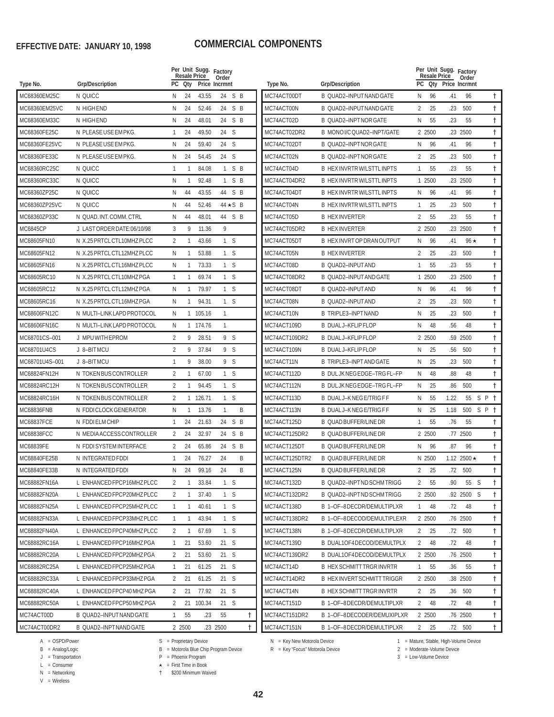|                   |                               | Per Unit Sugg. Factory<br><b>Resale Price</b><br>Order  |                |                                   | Per Unit Sugg. Factory<br>Resale Price Order     |
|-------------------|-------------------------------|---------------------------------------------------------|----------------|-----------------------------------|--------------------------------------------------|
| Type No.          | <b>Grp/Description</b>        | Price Incrmnt<br>PC Qtv                                 | Type No.       | <b>Grp/Description</b>            | PC Qty Price Incrmnt                             |
| MC68360EM25C      | N QUICC                       | 24 S B<br>24<br>43.55<br>N                              | MC74ACT00DT    | B QUAD2-INPUT NAND GATE           | N<br>96<br>.41<br>96<br>$^{\dagger}$             |
| MC68360EM25VC     | N HIGH END                    | 24<br>52.46<br>24 S B<br>N                              | MC74ACT00N     | <b>B QUAD2-INPUT NAND GATE</b>    | $\overline{2}$<br>25<br>500<br>$\ddagger$<br>.23 |
| MC68360EM33C      | N HIGH END                    | 24 S B<br>24<br>48.01<br>N                              | MC74ACT02D     | <b>B QUAD2-INPT NOR GATE</b>      | $\ddagger$<br>N<br>55<br>.23<br>55               |
| MC68360FE25C      | N PLEASE USE EMPKG.           | 24<br>49.50<br>24 S<br>1                                | MC74ACT02DR2   | B MONOI/C QUAD2-INPT/GATE         | $\ddagger$<br>2 2500<br>.23 2500                 |
| MC68360FE25VC     | N PLEASE USE EMPKG.           | 24 S<br>N<br>24<br>59.40                                | MC74ACT02DT    | <b>B QUAD2-INPT NOR GATE</b>      | 96<br>$\dagger$<br>N<br>96<br>.41                |
| MC68360FE33C      | N PLEASE USE EMPKG.           | 24<br>24 S<br>54.45<br>N                                | MC74ACT02N     | <b>B QUAD2-INPT NOR GATE</b>      | $\ddagger$<br>$\overline{2}$<br>25<br>500<br>.23 |
| MC68360RC25C      | N QUICC                       | 84.08<br>1 S B<br>$\mathbf{1}$<br>$\mathbf{1}$          | MC74ACT04D     | <b>B HEXINVRTRW/LSTTLINPTS</b>    | $\ddagger$<br>55<br>.23<br>55<br>1               |
| MC68360RC33C      | N QUICC                       | 92.48<br>1 S B<br>N<br>1                                | MC74ACT04DR2   | <b>B HEXINVRTR W/LSTTLINPTS</b>   | $\ddagger$<br>1 2500<br>.23 2500                 |
| MC68360ZP25C      | N QUICC                       | 43.55<br>44 S B<br>N<br>44                              | MC74ACT04DT    | <b>B HEXINVRTR W/LSTTLINPTS</b>   | 96<br>96<br>.41<br>$\ddagger$<br>N               |
| MC68360ZP25VC     | N QUICC                       | 52.46<br>$44 \star S$ B<br>N<br>44                      | MC74ACT04N     | <b>B HEXINVRTRW/LSTTLINPTS</b>    | 500<br>$\dagger$<br>25<br>.23<br>1               |
| MC68360ZP33C      | N QUAD. INT. COMM. CTRL       | 48.01<br>44 S B<br>44<br>N                              | MC74ACT05D     | <b>B HEXINVERTER</b>              | 55<br>$\ddagger$<br>2<br>55<br>.23               |
| <b>MC6845CP</b>   | J LASTORDER DATE:06/10/98     | 9<br>3<br>9<br>11.36                                    | MC74ACT05DR2   | <b>B HEXINVERTER</b>              | $\ddagger$<br>2 2500<br>.23 2500                 |
| MC68605FN10       | N X.25 PRTCL CTL10MHZ PLCC    | 1 <sub>S</sub><br>2<br>43.66<br>$\mathbf{1}$            | MC74ACT05DT    | B HEXINVRT OP DRAN OUTPUT         | $\ddagger$<br>96<br>.41<br>$96 \star$<br>N       |
| MC68605FN12       | N X.25 PRTCL CTL12MHZ PLCC    | 1 <sup>5</sup><br>53.88<br>N<br>$\mathbf{1}$            | MC74ACT05N     | <b>B HEXINVERTER</b>              | 25<br>$\dagger$<br>2<br>.23<br>500               |
| MC68605FN16       | N X.25 PRTCL CTL16MHZ PLCC    | 1 S<br>73.33<br>N<br>$\mathbf{1}$                       | MC74ACT08D     | <b>B QUAD2-INPUT AND</b>          | $\ddagger$<br>55<br>55<br>.23<br>1               |
| MC68605RC10       | N X.25 PRTCL CTL10MHZ PGA     | 1 <sup>5</sup><br>69.74<br>$\mathbf{1}$<br>$\mathbf{1}$ | MC74ACT08DR2   | <b>B QUAD2-INPUT AND GATE</b>     | $\ddagger$<br>1 2500<br>.23 2500                 |
| MC68605RC12       | N X.25 PRTCL CTL12MHZ PGA     | 79.97<br>1 <sub>S</sub><br>N<br>-1                      | MC74ACT08DT    | <b>B QUAD2-INPUT AND</b>          | 96<br>$\ddagger$<br>.41<br>96<br>N               |
| MC68605RC16       | N X.25 PRTCL CTL16MHZ PGA     | 1 S<br>94.31<br>N<br>1                                  | MC74ACT08N     | <b>B QUAD2-INPUT AND</b>          | $\dagger$<br>2<br>25<br>.23<br>500               |
| MC68606FN12C      | N MULTI-LINK LAPD PROTOCOL    | 1 105.16<br>N<br>1                                      | MC74ACT10N     | <b>B TRIPLE3-INPTNAND</b>         | $\dagger$<br>Ν<br>25<br>.23<br>500               |
| MC68606FN16C      | N MULTI-LINK LAPD PROTOCOL    | 1 174.76<br>$\mathbf{1}$<br>N                           | MC74ACT109D    | <b>B DUAL J-KFLIP FLOP</b>        | N<br>48<br>.56<br>48<br>$\ddagger$               |
| MC68701CS-001     | J MPU WITH EPROM              | 9S<br>2<br>9<br>28.51                                   | MC74ACT109DR2  | <b>B DUAL J-KFLIP FLOP</b>        | $\ddagger$<br>2 2500<br>.59 2500                 |
| MC68701U4CS       | J 8-BITMCU                    | 9S<br>2<br>9<br>37.84                                   | MC74ACT109N    | <b>B DUAL J-KFLIP FLOP</b>        | $\ddagger$<br>N<br>25<br>.56<br>500              |
| MC68701U4S-001    | J 8-BITMCU                    | 9S<br>38.00<br>$\mathbf{1}$<br>9                        | MC74ACT11N     | <b>B TRIPLE3-INPT AND GATE</b>    | 25<br>500<br>$\ddagger$<br>N<br>.23              |
| MC68824FN12H      | N TOKENBUSCONTROLLER          | 1 <sup>5</sup><br>2<br>67.00<br>$\mathbf{1}$            | MC74ACT112D    | B DULJK NEGEDGE-TRGFL-FP          | 48<br>48<br>$\ddagger$<br>.88<br>N               |
| MC68824RC12H      | N TOKENBUSCONTROLLER          | 1 <sup>5</sup><br>2<br>94.45<br>$\mathbf{1}$            | MC74ACT112N    | <b>B DULJKNEGEDGE-TRGFL-FP</b>    | $\ddagger$<br>25<br>500<br>N<br>.86              |
| MC68824RC16H      | N TOKENBUSCONTROLLER          | 1 <sup>5</sup><br>$\overline{2}$<br>1 126.71            | MC74ACT113D    | <b>B DUAL J-K NEG E/TRIGFF</b>    | 55<br>55 S P t<br>1.22<br>N                      |
| MC68836FNB        | N FDDICLOCK GENERATOR         | B<br>13.76<br>$\mathbf{1}$<br>N<br>1                    | MC74ACT113N    | <b>B DUAL J-K NEGE/TRIGFF</b>     | 500 S P †<br>Ν<br>25<br>1.18                     |
| <b>MC68837FCE</b> | N FDDI ELMCHIP                | 24<br>21.63<br>24 S B<br>1                              | MC74ACT125D    | <b>B QUAD BUFFER/LINE DR</b>      | 1<br>55<br>.76<br>55<br>$\pm$                    |
| MC68838FCC        | N MEDIAACCESSCONTROLLER       | 2<br>24<br>32.97<br>24 S B                              | MC74ACT125DR2  | <b>B QUAD BUFFER/LINE DR</b>      | 2 2500<br>.77 2500<br>$\ddagger$                 |
| MC68839FE         | N FDDISYSTEMINTERFACE         | 2<br>24<br>65.86<br>24 S B                              | MC74ACT125DT   | <b>B QUAD BUFFER/LINE DR</b>      | $\ddagger$<br>N 96<br>.87<br>96                  |
| MC68840FE25B      | N INTEGRATED FDDI             | 24<br>76.27<br>24<br>B<br>1                             | MC74ACT125DTR2 | <b>B QUAD BUFFER/LINE DR</b>      | $\dagger$<br>N 2500<br>1.12 2500 $\star$         |
| MC68840FE33B      | N INTEGRATED FDDI             | 99.16<br>B<br>24<br>24<br>Ν                             | MC74ACT125N    | <b>B QUAD BUFFER/LINE DR</b>      | $+$<br>$2^{\circ}$<br>25<br>500<br>.72           |
| MC68882FN16A      | L ENHANCED FPCP16MHZ PLCC     | 1 <sub>S</sub><br>2<br>33.84<br>-1                      | MC74ACT132D    | B QUAD2-INPT ND SCHM TRIGG        | $\ddagger$<br>55 S<br>2<br>55<br>.90             |
| MC68882FN20A      | L ENHANCED FPCP20MHZ PLCC     | 1 S<br>2<br>37.40<br>1                                  | MC74ACT132DR2  | <b>B QUAD2-INPT ND SCHM TRIGG</b> | .92 2500 S<br>2 2500<br>$\ddagger$               |
| MC68882FN25A      | L ENHANCED FPCP25MHZ PLCC     | 1 <sub>S</sub><br>40.61<br>$\mathbf{1}$<br>1            | MC74ACT138D    | B 1-OF-8DECDR/DEMULTIPLXR         | $^{\dagger}$<br>48<br>.72<br>48<br>$1 \quad$     |
| MC68882FN33A      | L ENHANCED FPCP33MHZ PLCC     | 1 <sub>S</sub><br>43.94<br>1<br>$\mathbf{1}$            | MC74ACT138DR2  | B 1-OF-8DECOD/DEMULTIPLEXR        | 2 2500<br>.76 2500<br>$\ddagger$                 |
| MC68882FN40A      | L ENHANCED FPCP40MHZ PLCC     | 1 <sub>S</sub><br>2<br>$\mathbf{1}$<br>67.69            | MC74ACT138N    | B 1-OF-8DECDR/DEMULTIPLXR         | $\overline{2}$<br>25<br>.72<br>500<br>$\ddagger$ |
| MC68882RC16A      | L ENHANCED FPCP16MHZ PGA      | 21 S<br>21<br>53.60<br>1                                | MC74ACT139D    | <b>B DUAL1OF4DECOD/DEMULTPLX</b>  | $\ddagger$<br>2<br>48<br>.72<br>48               |
| MC68882RC20A      | L ENHANCED FPCP20MHZ PGA      | 21<br>53.60<br>21 S<br>2                                | MC74ACT139DR2  | B DUAL10F4DECOD/DEMULTPLX         | 2 2500<br>.76 2500<br>$\ddagger$                 |
| MC68882RC25A      | L ENHANCED FPCP25MHZ PGA      | 61.25<br>21 S<br>21<br>1                                | MC74ACT14D     | <b>B HEX SCHMITT TRGR INVRTR</b>  | $\ddagger$<br>55<br>1<br>55<br>.36               |
| MC68882RC33A      | L ENHANCED FPCP33MHZ PGA      | 21 S<br>21<br>61.25<br>2                                | MC74ACT14DR2   | <b>B HEXINVERT SCHMITT TRIGGR</b> | $\dagger$<br>2 2500<br>.38 2500                  |
| MC68882RC40A      | L ENHANCED FPCP40 MHZ PGA     | 21 S<br>2<br>21<br>77.92                                | MC74ACT14N     | <b>B HEX SCHMITT TRGR INVRTR</b>  | $\ddagger$<br>500<br>$\mathbf{2}$<br>25<br>.36   |
| MC68882RC50A      | L ENHANCED FPCP50 MHZ PGA     | 21 100.34<br>21 S<br>2                                  | MC74ACT151D    | B 1-OF-8DECDR/DEMULTIPLXR         | $^\dagger$<br>$\overline{2}$<br>48<br>.72<br>48  |
| MC74ACT00D        | B QUAD2-INPUT NAND GATE       | 55<br>.23<br>55<br>$^+$<br>$\mathbf{1}$                 | MC74ACT151DR2  | B 1-OF-8DECODER/DEMUXIPLXR        | $\ddagger$<br>2 2500<br>.76 2500                 |
| MC74ACT00DR2      | <b>B QUAD2-INPT NAND GATE</b> | $^+$<br>2 2500<br>.23 2500                              | MC74ACT151N    | B 1-OF-8DECDR/DEMULTIPLXR         | $\ddagger$<br>$\mathbf{2}$<br>25<br>.72 500      |

- 
- 
- $L = \text{Consumer}$ <br>  $N = \text{Networking}$ <br>  $V = \text{Wireless}$
- 

- B = Analog/Logic entropy of the Motorola Blue Chip Program Device R = Key "Focus" Motorola Device 2 = Moderate-Volume Device
- -
- 
- A = OSPD/Power external states and S = Proprietary Device N = Key New Motorola Device 1 = Mature, Stable, High-Volume Device

- J = Transportation P = Phoenix Program 3 = Low-Volume Device
- $L =$  Consumer  $\star =$  First Time in Book
- N = Networking extensive that the state of the state of the state of the state of the state of the state of the state of the state of the state of the state of the state of the state of the state of the state of the state
- **42**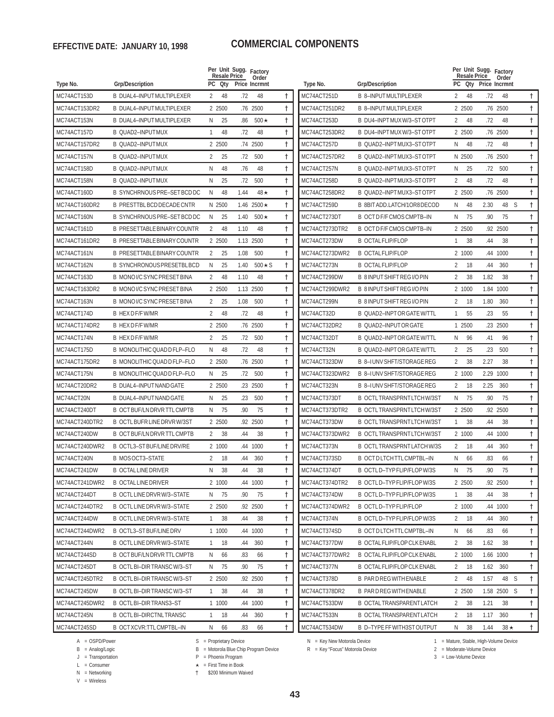|                |                                    | <b>Resale Price</b>  | Per Unit Sugg. Factory<br>Order     |                |                                    | <b>Resale Price</b>  | Per Unit Sugg. Factory<br>Order |
|----------------|------------------------------------|----------------------|-------------------------------------|----------------|------------------------------------|----------------------|---------------------------------|
| Type No.       | <b>Grp/Description</b>             | <b>Qtv</b><br>PC     | Price Incrmnt                       | Type No.       | <b>Grp/Description</b>             | Qty<br>PС            | Price Incrmnt                   |
| MC74ACT153D    | <b>B DUAL4-INPUTMULTIPLEXER</b>    | 48<br>$\mathbf{2}$   | $^{\dagger}$<br>.72<br>48           | MC74ACT251D    | <b>B 8-INPUTMULTIPLEXER</b>        | $\overline{2}$<br>48 | $^\dagger$<br>.72<br>48         |
| MC74ACT153DR2  | B DUAL4-INPUTMULTIPLEXER           | 2 2500               | $\ddagger$<br>.76 2500              | MC74ACT251DR2  | <b>B 8-INPUTMULTIPLEXER</b>        | 2 2500               | $\ddagger$<br>.76 2500          |
| MC74ACT153N    | <b>B DUAL4-INPUTMULTIPLEXER</b>    | 25<br>N              | $^{\dagger}$<br>$500 \star$<br>.86  | MC74ACT253D    | B DU4-INPTMUXW/3-STOTPT            | 2<br>48              | $\ddagger$<br>.72<br>48         |
| MC74ACT157D    | <b>B QUAD2-INPUTMUX</b>            | 48<br>$\mathbf{1}$   | $\ddagger$<br>.72<br>48             | MC74ACT253DR2  | B DU4-INPTMUXW/3-STOTPT            | 2 2500               | $\ddagger$<br>.76 2500          |
| MC74ACT157DR2  | <b>B QUAD2-INPUTMUX</b>            | 2 2500               | .74 2500<br>$^{\dagger}$            | MC74ACT257D    | B QUAD2-INPTMUX3-STOTPT            | 48<br>N              | 48<br>$\dagger$<br>.72          |
| MC74ACT157N    | <b>B QUAD2-INPUTMUX</b>            | 25<br>2              | 500<br>$^{\dagger}$<br>.72          | MC74ACT257DR2  | B QUAD2-INPTMUX3-STOTPT            | N 2500               | .76 2500<br>$\ddagger$          |
| MC74ACT158D    | <b>B QUAD2-INPUTMUX</b>            | 48<br>N              | 48<br>$^\dagger$<br>.76             | MC74ACT257N    | B QUAD2-INPTMUX3-STOTPT            | N<br>25              | .72<br>500<br>$\ddagger$        |
| MC74ACT158N    | <b>B QUAD2-INPUTMUX</b>            | 25<br>N              | $\ddagger$<br>500<br>.72            | MC74ACT258D    | B QUAD2-INPTMUX3-STOTPT            | 48<br>$\overline{2}$ | $\ddagger$<br>.72<br>48         |
| MC74ACT160D    | B SYNCHRNOUS PRE-SET BCD DC        | N<br>48              | $^{\dagger}$<br>1.44<br>$48 \star$  | MC74ACT258DR2  | B QUAD2-INPTMUX3-STOTPT            | 2 2500               | .76 2500<br>$\ddagger$          |
| MC74ACT160DR2  | <b>B PRESTTBL BCD DECADE CNTR</b>  | N 2500               | $\ddagger$<br>1.46 2500 $\star$     | MC74ACT259D    | B 8BIT ADD.LATCH/10R8 DECOD        | 48<br>N              | 48 S<br>$\dagger$<br>2.30       |
| MC74ACT160N    | B SYNCHRNOUS PRE-SET BCD DC        | N<br>25              | $^{\dagger}$<br>1.40<br>500 $\star$ | MC74ACT273DT   | B OCT D F/F CMOS CMPTB-IN          | 75<br>N              | $\ddagger$<br>75<br>.90         |
| MC74ACT161D    | <b>B PRESETTABLE BINARY COUNTR</b> | 2<br>48              | $^{\dagger}$<br>1.10<br>48          | MC74ACT273DTR2 | B OCT D F/F CMOS CMPTB-IN          | 2 2500               | $\ddagger$<br>.92 2500          |
| MC74ACT161DR2  | <b>B PRESETTABLE BINARY COUNTR</b> | 2 2500               | $\ddagger$<br>1.13 2500             | MC74ACT273DW   | <b>B OCTALFLIP/FLOP</b>            | 38<br>$\mathbf{1}$   | $\ddagger$<br>38<br>.44         |
| MC74ACT161N    | <b>B PRESETTABLE BINARY COUNTR</b> | 2<br>25              | $\ddagger$<br>1.08<br>500           | MC74ACT273DWR2 | <b>B OCTAL FLIP/FLOP</b>           | 2 1000               | .44 1000<br>$\dagger$           |
| MC74ACT162N    | <b>B SYNCHRONOUS PRESETBL BCD</b>  | 25<br>N              | $\ddagger$<br>1.40<br>$500 \star S$ | MC74ACT273N    | <b>B OCTALFLIP/FLOP</b>            | 18<br>2              | 360<br>$\ddagger$<br>.44        |
| MC74ACT163D    | <b>B MONO I/C SYNC PRESET BINA</b> | 48<br>2              | 48<br>$^\dagger$<br>1.10            | MC74ACT299DW   | <b>B 8 INPUT SHIFT REG I/O PIN</b> | 38<br>2              | 1.82<br>38<br>$^\dagger$        |
| MC74ACT163DR2  | <b>B MONO I/C SYNC PRESET BINA</b> | 2 2500               | $\ddagger$<br>1.13 2500             | MC74ACT299DWR2 | <b>B 8 INPUT SHIFT REG I/O PIN</b> | 2 1000               | $\ddagger$<br>1.84 1000         |
| MC74ACT163N    | <b>B MONO I/C SYNC PRESET BINA</b> | $\overline{2}$<br>25 | $^{\dagger}$<br>1.08<br>500         | MC74ACT299N    | <b>B 8 INPUT SHIFT REG I/O PIN</b> | 2<br>18              | $\dagger$<br>1.80<br>360        |
| MC74ACT174D    | <b>B HEXDF/FW/MR</b>               | 48<br>2              | $\ddagger$<br>48<br>.72             | MC74ACT32D     | B QUAD2-INPT OR GATE W/TTL         | 55<br>$\mathbf{1}$   | $^\dagger$<br>55<br>.23         |
| MC74ACT174DR2  | B HEX D F/F W/MR                   | 2 2500               | $\ddagger$<br>.76 2500              | MC74ACT32DR2   | <b>B QUAD2-INPUT OR GATE</b>       | 1 2500               | .23 2500<br>$\ddagger$          |
| MC74ACT174N    | B HEX D F/F W/MR                   | 25<br>2              | $\ddagger$<br>.72<br>500            | MC74ACT32DT    | <b>B QUAD2-INPT OR GATE W/TTL</b>  | 96<br>N              | 96<br>$\ddagger$<br>.41         |
| MC74ACT175D    | B MONOLITHIC QUAD D FLP-FLO        | 48<br>N              | $\ddagger$<br>.72<br>48             | MC74ACT32N     | <b>B QUAD2-INPT OR GATE W/TTL</b>  | 25<br>2              | $\ddagger$<br>500<br>.23        |
| MC74ACT175DR2  | B MONOLITHIC QUAD D FLP-FLO        | 2 2500               | .76 2500<br>$^{\dagger}$            | MC74ACT323DW   | <b>B 8-I UNV SHFT/STORAGE REG</b>  | 38<br>2              | 2.27<br>38<br>$\dagger$         |
| MC74ACT175N    | B MONOLITHIC QUAD D FLP-FLO        | N 25                 | .72<br>500<br>$^{\dagger}$          | MC74ACT323DWR2 | <b>B 8-I UNV SHFT/STORAGE REG</b>  | 2 1000               | 2.29 1000<br>$\ddagger$         |
| MC74ACT20DR2   | <b>B DUAL4-INPUT NAND GATE</b>     | 2 2500               | .23 2500<br>$^\dagger$              | MC74ACT323N    | B 8-I UNV SHFT/STORAGE REG         | 18<br>2              | 2.25<br>360<br>$\ddagger$       |
| MC74ACT20N     | <b>B DUAL4-INPUT NAND GATE</b>     | 25<br>N              | $\ddagger$<br>500<br>$.23\,$        | MC74ACT373DT   | <b>B OCTLTRANSPRNTLTCHW/3ST</b>    | 75<br>N              | .90<br>75<br>$\ddagger$         |
| MC74ACT240DT   | <b>B OCT BUF/LN DRVR TTL CMPTB</b> | 75<br>N              | $\ddagger$<br>75<br>.90             | MC74ACT373DTR2 | <b>B OCTLTRANSPRNTLTCHW/3ST</b>    | 2 2500               | .92 2500<br>$\ddagger$          |
| MC74ACT240DTR2 | <b>B OCTL BUFR LINE DRVR W/3ST</b> | 2 2500               | $\ddagger$<br>.92 2500              | MC74ACT373DW   | <b>B OCTLTRANSPRNTLTCHW/3ST</b>    | 38<br>$\mathbf{1}$   | $\dagger$<br>.44<br>38          |
| MC74ACT240DW   | <b>B OCT BUF/LN DRVR TTL CMPTB</b> | 38<br>2              | $^+$<br>38<br>.44                   | MC74ACT373DWR2 | <b>B OCTL TRANSPRNT LTCH W/3ST</b> | 2 1000               | $\ddagger$<br>.44 1000          |
| MC74ACT240DWR2 | <b>B OCTL3-STBUF/LINE DRV/RE</b>   | 2 1000               | $\ddagger$<br>1000<br>.44           | MC74ACT373N    | <b>B OCTLTRANSPRNTLATCHW/3S</b>    | 2<br>18              | 360<br>$\ddagger$<br>.44        |
| MC74ACT240N    | <b>B MOSOCT3-STATE</b>             | $\overline{2}$<br>18 | $^{\dagger}$<br>.44<br>360          | MC74ACT373SD   | <b>B OCTDLTCHTTL CMPTBL-IN</b>     | N<br>66              | $\ddagger$<br>.83<br>66         |
| MC74ACT241DW   | <b>B OCTAL LINE DRIVER</b>         | N<br>38              | $^{\dagger}$<br>38<br>.44           | MC74ACT374DT   | B OCTLD-TYPFLIP/FLOPW/3S           | 75<br>N              | $\dagger$<br>.90<br>75          |
| MC74ACT241DWR2 | <b>B OCTALLINE DRIVER</b>          | 2 1000               | .44 1000<br>$^{\dagger}$            | MC74ACT374DTR2 | B OCTLD-TYPFLIP/FLOPW/3S           | 2 2500               | .92 2500<br>$^+$                |
| MC74ACT244DT   | <b>B OCTL LINE DRVR W/3-STATE</b>  | N 75                 | .90<br>75<br>Ť.                     | MC74ACT374DW   | B OCTLD-TYPFLIP/FLOPW/3S           | 38<br>1              | .44<br>38<br>Ť                  |
| MC74ACT244DTR2 | <b>B OCTL LINE DRVR W/3-STATE</b>  | 2 2500               | Ť.<br>.92 2500                      | MC74ACT374DWR2 | <b>B OCTLD-TYPFLIP/FLOP</b>        | 2 1000               | .44 1000<br>$\ddagger$          |
| MC74ACT244DW   | <b>B OCTL LINE DRVR W/3-STATE</b>  | $1 \quad 38$         | t.<br>38<br>.44                     | MC74ACT374N    | B OCTLD-TYPFLIP/FLOPW/3S           | 18<br>$\mathbf{2}$   | 360<br>$\ddagger$<br>.44        |
| MC74ACT244DWR2 | <b>B OCTL3-STBUF/LINE DRV</b>      | 1 1000               | $^\dagger$<br>.44 1000              | MC74ACT374SD   | B OCT DLTCH TTL CMPTBL-IN          | 66<br>N              | .83<br>66<br>$\ddagger$         |
| MC74ACT244N    | <b>B OCTL LINE DRVR W/3-STATE</b>  | $\mathbf{1}$<br>18   | $^{\dagger}$<br>360<br>.44          | MC74ACT377DW   | <b>B OCTAL FLIP/FLOP CLK ENABL</b> | $\overline{2}$<br>38 | 1.62<br>38<br>$^{\dagger}$      |
| MC74ACT244SD   | <b>B OCT BUF/LN DRVR TTL CMPTB</b> | 66<br>N              | 66<br>$^\dagger$<br>.83             | MC74ACT377DWR2 | <b>B OCTAL FLIP/FLOP CLK ENABL</b> | 2 1000               | 1.66 1000<br>Ť.                 |
| MC74ACT245DT   | B OCTLBI-DIRTRANSCW/3-ST           | N 75                 | $^{\dagger}$<br>75<br>.90           | MC74ACT377N    | <b>B OCTAL FLIP/FLOP CLK ENABL</b> | 2 18                 | $\ddagger$<br>1.62<br>360       |
| MC74ACT245DTR2 | B OCTLBI-DIRTRANSCW/3-ST           | 2 2500               | .92 2500<br>$^\dagger$              | MC74ACT378D    | <b>B PAR DREG WITH ENABLE</b>      | 48<br>$\mathbf{2}$   | 1.57<br>48 S<br>$\pm$           |
| MC74ACT245DW   | B OCTL BI-DIR TRANSC W/3-ST        | 1 38                 | Ť.<br>.44<br>38                     | MC74ACT378DR2  | <b>B PAR DREG WITH ENABLE</b>      | 2 2500               | 1.58 2500 S<br>$\ddagger$       |
| MC74ACT245DWR2 | <b>B OCTLBI-DIRTRANS3-ST</b>       | 1 1000               | .44 1000<br>Ť.                      | MC74ACT533DW   | B OCTAL TRANSPARENT LATCH          | 38<br>2              | 1.21<br>38<br>Ť.                |
| MC74ACT245N    | <b>B OCTLBI-DIRCTNLTRANSC</b>      | 18<br>$\mathbf{1}$   | Ť.<br>.44<br>360                    | MC74ACT533N    | B OCTAL TRANSPARENT LATCH          | $\overline{2}$<br>18 | 1.17<br>360<br>$^+$             |
| MC74ACT245SD   | B OCT XCVR:TTL CMPTBL-IN           | N<br>66              | $^{\dagger}$<br>.83<br>66           | MC74ACT534DW   | <b>B D-TYPE FF WITH3ST OUTPUT</b>  | 38<br>N              | $+$<br>1.44<br>$38 \star$       |

- 
- 

N = Networking the three states of the states of the states of the states of the states of the states of the states of the states of the states of the states of the states of the states of the states of the states of the s

V = Wireless

B = Analog/Logic B = Motorola Blue Chip Program Device R = Key "Focus" Motorola Device 2 = Moderate-Volume Device

P = Phoenix Program

 $L =$  Consumer  $\star =$  First Time in Book

- \$200 Minimum Waived
- 

A = OSPD/Power <br>
B = Analog/Logic 
B = Motorola Blue Chip Program Device 
B = Key "Focus" Motorola Device 
A = Key "Focus" Motorola Device 
A = Key "Focus" Motorola Device 
A = Key "Focus" Motorola Device 
A = Key "Focus"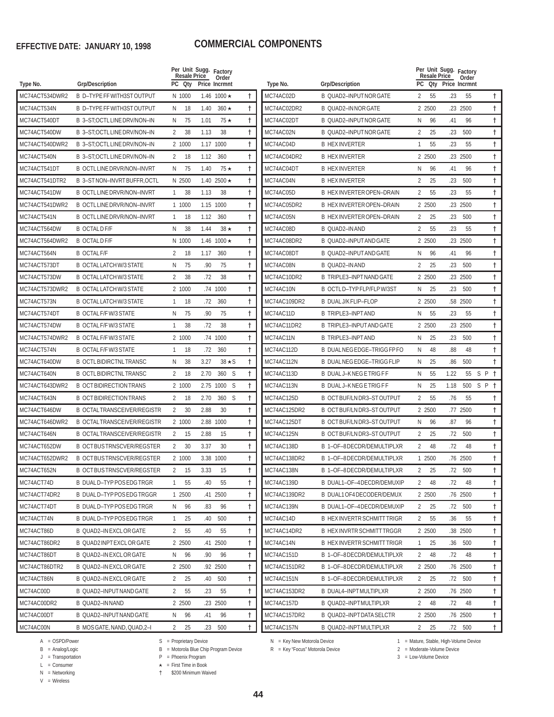| Type No.       | <b>Grp/Description</b>            | Resale Price<br>PC Qty | Per Unit Sugg. Factory<br>Order<br>Price Incrmnt | Type No.     | <b>Grp/Description</b>            | Resale Price         | Per Unit Sugg. Factory<br>Order<br>PC Qty Price Incrmnt |
|----------------|-----------------------------------|------------------------|--------------------------------------------------|--------------|-----------------------------------|----------------------|---------------------------------------------------------|
| MC74ACT534DWR2 | <b>B D-TYPE FF WITH3ST OUTPUT</b> | N 1000                 | $\ddagger$<br>1.46 1000 $\star$                  | MC74AC02D    | <b>B QUAD2-INPUT NOR GATE</b>     | 2<br>55              | $\ddagger$<br>.23<br>55                                 |
| MC74ACT534N    | <b>B D-TYPE FF WITH3ST OUTPUT</b> | 18<br>N                | $\ddagger$<br>1.40<br>$360 \star$                | MC74AC02DR2  | <b>B QUAD2-IN NOR GATE</b>        | 2 2500               | .23 2500<br>$\ddagger$                                  |
| MC74ACT540DT   | B 3-ST; OCTL LINE DRV/NON-IN      | 75<br>N                | $\ddagger$<br>$75 \star$<br>1.01                 | MC74AC02DT   | <b>B QUAD2-INPUT NOR GATE</b>     | 96<br>N              | $^\dagger$<br>.41<br>96                                 |
| MC74ACT540DW   | B 3-ST; OCTL LINE DRV/NON-IN      | 38<br>2                | $^+$<br>38<br>1.13                               | MC74AC02N    | <b>B QUAD2-INPUT NOR GATE</b>     | 2<br>25              | $\ddagger$<br>500<br>.23                                |
| MC74ACT540DWR2 | B 3-ST;OCTLLINE DRV/NON-IN        | 2 1000                 | 1.17 1000<br>$\ddagger$                          | MC74AC04D    | <b>B HEXINVERTER</b>              | 55<br>1              | $\ddagger$<br>.23<br>55                                 |
| MC74ACT540N    | B 3-ST; OCTL LINE DRV/NON-IN      | 2<br>18                | $^+$<br>1.12<br>360                              | MC74AC04DR2  | <b>B HEXINVERTER</b>              | 2 2500               | .23 2500<br>$\ddagger$                                  |
| MC74ACT541DT   | <b>B OCTLLINE DRVR/NON-INVRT</b>  | 75<br>N                | $\ddagger$<br>$75 \star$<br>1.40                 | MC74AC04DT   | <b>B HEXINVERTER</b>              | 96<br>N              | 96<br>$\dagger$<br>.41                                  |
| MC74ACT541DTR2 | <b>B 3-STNON-INVRTBUFFR.OCTL</b>  | N 2500                 | $^{\dagger}$<br>1.40 2500 $\star$                | MC74AC04N    | <b>B HEXINVERTER</b>              | 2<br>25              | 500<br>$\ddagger$<br>$.23\,$                            |
| MC74ACT541DW   | <b>B OCTLLINE DRVR/NON-INVRT</b>  | 38<br>1                | 1.13<br>38<br>$\ddagger$                         | MC74AC05D    | <b>B HEXINVERTER OPEN-DRAIN</b>   | $\overline{2}$<br>55 | $\dagger$<br>.23<br>55                                  |
| MC74ACT541DWR2 | <b>B OCTLLINE DRVR/NON-INVRT</b>  | 1 1000                 | $\ddagger$<br>1.15 1000                          | MC74AC05DR2  | B HEXINVERTER OPEN-DRAIN          | 2 2500               | $\ddagger$<br>.23 2500                                  |
| MC74ACT541N    | <b>B OCTLLINE DRVR/NON-INVRT</b>  | 18<br>1                | $^+$<br>1.12<br>360                              | MC74AC05N    | <b>B HEXINVERTER OPEN-DRAIN</b>   | 2<br>25              | $\ddagger$<br>.23<br>500                                |
| MC74ACT564DW   | <b>B OCTALDF/F</b>                | 38<br>N                | $\ddagger$<br>1.44<br>$38 \star$                 | MC74AC08D    | B QUAD2-IN AND                    | $\overline{2}$<br>55 | $^\dagger$<br>55<br>.23                                 |
| MC74ACT564DWR2 | <b>B OCTALDF/F</b>                | N 1000                 | $^+$<br>1.46 1000 $\star$                        | MC74AC08DR2  | <b>B QUAD2-INPUT AND GATE</b>     | 2 2500               | $\ddagger$<br>.23 2500                                  |
| MC74ACT564N    | <b>B OCTALF/F</b>                 | 2<br>18                | 360<br>$\ddagger$<br>1.17                        | MC74AC08DT   | <b>B QUAD2-INPUT AND GATE</b>     | 96<br>N              | 96<br>$\dagger$<br>.41                                  |
| MC74ACT573DT   | <b>B OCTAL LATCH W/3 STATE</b>    | 75<br>N                | $\dagger$<br>.90<br>75                           | MC74AC08N    | <b>B QUAD2-INAND</b>              | $\overline{2}$<br>25 | .23<br>500<br>$\ddagger$                                |
| MC74ACT573DW   | <b>B OCTAL LATCH W/3 STATE</b>    | 38<br>$\overline{2}$   | $\ddagger$<br>.72<br>38                          | MC74AC10DR2  | <b>B TRIPLE3-INPT NAND GATE</b>   | 2 2500               | $\ddagger$<br>.23 2500                                  |
| MC74ACT573DWR2 | <b>B OCTAL LATCH W/3 STATE</b>    | 2 1000                 | $^{\dagger}$<br>.74 1000                         | MC74AC10N    | B OCTLD-TYPFLP/FLPW/3ST           | N.<br>25             | $\ddagger$<br>$.23\,$<br>500                            |
| MC74ACT573N    | <b>B OCTAL LATCH W/3 STATE</b>    | 18<br>1                | .72<br>360<br>$\ddagger$                         | MC74AC109DR2 | <b>B DUALJ/KFLIP-FLOP</b>         | 2 2500               | .58 2500<br>$\ddagger$                                  |
| MC74ACT574DT   | <b>B OCTAL F/F W/3 STATE</b>      | 75<br>N                | 75<br>$\ddagger$<br>.90                          | MC74AC11D    | <b>B TRIPLE3-INPTAND</b>          | N<br>55              | $\ddagger$<br>.23<br>55                                 |
| MC74ACT574DW   | <b>B OCTAL F/F W/3 STATE</b>      | 38<br>1                | 38<br>$\ddagger$<br>.72                          | MC74AC11DR2  | B TRIPLE3-INPUT AND GATE          | 2 2500               | .23 2500<br>$\ddagger$                                  |
| MC74ACT574DWR2 | <b>B OCTAL F/F W/3 STATE</b>      | 2 1000                 | $\ddagger$<br>.74 1000                           | MC74AC11N    | <b>B TRIPLE3-INPTAND</b>          | 25<br>N              | $\ddagger$<br>.23<br>500                                |
| MC74ACT574N    | <b>B OCTAL F/F W/3 STATE</b>      | 18<br>1                | $\ddagger$<br>.72<br>360                         | MC74AC112D   | <b>B DUALNEGEDGE-TRIGGFPFO</b>    | 48<br>N              | $\ddagger$<br>48<br>.88                                 |
| MC74ACT640DW   | <b>B OCTL BIDIRCTNL TRANSC</b>    | 38<br>N                | $^+$<br>3.27<br>$38 \star S$                     | MC74AC112N   | <b>B DUALNEGEDGE-TRIGGFLIP</b>    | 25<br>N              | 500<br>$\ddagger$<br>.86                                |
| MC74ACT640N    | <b>B OCTL BIDIRCTNL TRANSC</b>    | 2<br>18                | $\ddagger$<br>360 S<br>2.70                      | MC74AC113D   | <b>B DUAL J-KNEGETRIGFF</b>       | 55<br>Ν              | $S P$ $\uparrow$<br>1.22<br>55                          |
| MC74ACT643DWR2 | <b>B OCTBIDIRECTION TRANS</b>     | 2 1000                 | $\ddagger$<br>2.75 1000 S                        | MC74AC113N   | <b>B DUAL J-KNEGETRIGFF</b>       | 25<br>N              | 500 S P +<br>1.18                                       |
| MC74ACT643N    | <b>B OCTBIDIRECTION TRANS</b>     | 2<br>18                | 360 S<br>$^\dagger$<br>2.70                      | MC74AC125D   | B OCT BUF/LN DR3-ST OUTPUT        | $\overline{2}$<br>55 | .76<br>55<br>$\ddagger$                                 |
| MC74ACT646DW   | <b>B OCTALTRANSCEIVER/REGISTR</b> | 2<br>30                | 30<br>2.88<br>$\ddagger$                         | MC74AC125DR2 | B OCTBUF/LNDR3-STOUTPUT           | 2 2500               | .77 2500<br>$\ddagger$                                  |
| MC74ACT646DWR2 | <b>B OCTALTRANSCEIVER/REGISTR</b> | 2 1000                 | $\ddagger$<br>2.88 1000                          | MC74AC125DT  | B OCTBUF/LNDR3-STOUTPUT           | 96<br>N              | $\ddagger$<br>.87<br>96                                 |
| MC74ACT646N    | <b>B OCTALTRANSCEIVER/REGISTR</b> | 2<br>15                | $^{\dagger}$<br>2.88<br>15                       | MC74AC125N   | B OCTBUF/LNDR3-STOUTPUT           | 2<br>25              | 500<br>$\ddagger$<br>.72                                |
| MC74ACT652DW   | <b>B OCTBUSTRNSCVER/REGSTER</b>   | 2<br>30                | $\ddagger$<br>30<br>3.37                         | MC74AC138D   | B 1-OF-8DECDR/DEMULTIPLXR         | $\overline{2}$<br>48 | $^\dagger$<br>.72<br>48                                 |
| MC74ACT652DWR2 | <b>B OCTBUSTRNSCVER/REGSTER</b>   | 2 1000                 | $^+$<br>3.38 1000                                | MC74AC138DR2 | B 1-OF-8DECDR/DEMULTIPLXR         | 1 2500               | $\ddagger$<br>.76 2500                                  |
| MC74ACT652N    | <b>B OCTBUSTRNSCVER/REGSTER</b>   | 2 15                   | $^\dagger$<br>3.33<br>15                         | MC74AC138N   | B 1-OF-8DECDR/DEMULTIPLXR         | 25<br>$\mathbf{2}$   | $\ddagger$<br>.72<br>500                                |
| MC74ACT74D     | <b>B DUALD-TYPPOSEDGTRGR</b>      | $\mathbf{1}$<br>55     | $^+$<br>55<br>.40                                | MC74AC139D   | B DUAL1-OF-4DECDR/DEMUXIP         | $\mathbf{2}$<br>48   | $^{\dagger}$<br>48<br>.72                               |
| MC74ACT74DR2   | B DUALD-TYPPOSEDG TRGGR           | 1 2500                 | $\dagger$<br>.41 2500                            | MC74AC139DR2 | B DUAL1 OF 4 DECODER/DEMUX        | 2 2500               | .76 2500<br>$\ddagger$                                  |
| MC74ACT74DT    | B DUAL D-TYP POSEDG TRGR          | 96<br>N                | .83<br>96<br>$^{\dagger}$                        | MC74AC139N   | B DUAL1-OF-4DECDR/DEMUXIP         | $\mathbf{2}$<br>25   | 500<br>$\ddagger$<br>.72                                |
| MC74ACT74N     | B DUAL D-TYP POSEDG TRGR          | 25<br>1                | .40<br>500<br>$\ddagger$                         | MC74AC14D    | <b>B HEXINVERTR SCHMITT TRIGR</b> | $\mathbf{2}$<br>55   | .36<br>55<br>$^\dagger$                                 |
| MC74ACT86D     | <b>B QUAD2-IN EXCLORGATE</b>      | 2<br>55                | 55<br>$\dagger$<br>.40                           | MC74AC14DR2  | <b>B HEXINVRTR SCHMITT TRGGR</b>  | 2 2500               | .38 2500<br>$\ddagger$                                  |
| MC74ACT86DR2   | <b>B QUAD2 INPT EXCLOR GATE</b>   | 2 2500                 | $\dagger$<br>.41 2500                            | MC74AC14N    | <b>B HEXINVERTR SCHMITT TRIGR</b> | 1<br>25              | .36<br>500<br>$^{\dagger}$                              |
| MC74ACT86DT    | <b>B QUAD2-IN EXCLOR GATE</b>     | N 96                   | 96<br>$^+$<br>.90                                | MC74AC151D   | B 1-OF-8DECDR/DEMULTIPLXR         | $\mathbf{2}$<br>48   | $\dagger$<br>48<br>.72                                  |
| MC74ACT86DTR2  | B QUAD2-IN EXCLOR GATE            | 2 2500                 | .92 2500<br>$^+$                                 | MC74AC151DR2 | B 1-OF-8DECDR/DEMULTIPLXR         | 2 2500               | $\ddagger$<br>.76 2500                                  |
| MC74ACT86N     | B QUAD2-IN EXCLORGATE             | 25<br>$\mathbf{2}$     | 500<br>$\dagger$<br>.40                          | MC74AC151N   | B 1-OF-8DECDR/DEMULTIPLXR         | 2 25                 | $\dagger$<br>500<br>.72                                 |
| MC74AC00D      | B QUAD2-INPUT NAND GATE           | 55<br>$\overline{2}$   | $^+$<br>.23<br>55                                | MC74AC153DR2 | <b>B DUAL4-INPTMULTIPLXR</b>      | 2 2500               | $\ddagger$<br>.76 2500                                  |
| MC74AC00DR2    | B QUAD2-IN NAND                   | 2 2500                 | $\dagger$<br>.23 2500                            | MC74AC157D   | B QUAD2-INPT MULTIPLXR            | $\mathbf{2}$<br>48   | .72<br>48<br>$^\dagger$                                 |
| MC74AC00DT     | B QUAD2-INPUT NAND GATE           | 96<br>N                | 96<br>$\ddagger$<br>.41                          | MC74AC157DR2 | B QUAD2-INPT DATA SELCTR          | 2 2500               | .76 2500<br>$^{\dagger}$                                |
| MC74AC00N      | B MOS GATE, NAND, QUAD, 2-I       | $\overline{2}$<br>25   | .23 500<br>$\ddagger$                            | MC74AC157N   | B QUAD2-INPT MULTIPLXR            | $\mathbf{2}$<br>25   | .72 500<br>$^+$                                         |

- 
- 

 $L = \text{Consumer}$ <br>  $N = \text{Networking}$ <br>  $V = \text{Wireless}$ 

- 
- 
- $L =$  Consumer  $\star =$  First Time in Book
	-
- N = Networking extensive that the state of the state of the state of the state of the state of the state of the state of the state of the state of the state of the state of the state of the state of the state of the state
- B = Analog/Logic entropy of the Motorola Blue Chip Program Device R = Key "Focus" Motorola Device 2 = Moderate-Volume Device

A = OSPD/Power external states and S = Proprietary Device N = Key New Motorola Device 1 = Mature, Stable, High-Volume Device

- -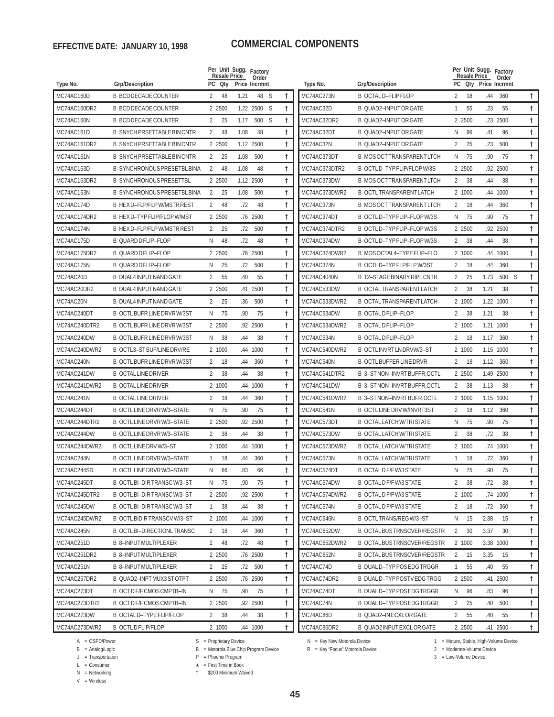| Type No.      | <b>Grp/Description</b>             | <b>Resale Price</b><br>PC Otv | Per Unit Sugg. Factory<br>Order<br>Price Incrmnt | Type No.      | <b>Grp/Description</b>             | <b>Resale Price</b>  | Per Unit Sugg. Factory<br>Order<br>PC Qty Price Incrmnt |
|---------------|------------------------------------|-------------------------------|--------------------------------------------------|---------------|------------------------------------|----------------------|---------------------------------------------------------|
| MC74AC160D    | <b>B BCD DECADE COUNTER</b>        | $\overline{2}$<br>48          | $\ddagger$<br>1.21<br>48 S                       | MC74AC273N    | <b>B OCTALD-FLIPFLOP</b>           | 18<br>2              | 360<br>$\dagger$<br>.44                                 |
| MC74AC160DR2  | <b>B BCDDECADECOUNTER</b>          | 2 2500                        | $\mathsf{S}$<br>$^{\dagger}$<br>1.22 2500        | MC74AC32D     | <b>B QUAD2-INPUT OR GATE</b>       | 55<br>1              | .23<br>55<br>$^{\dagger}$                               |
| MC74AC160N    | <b>B BCD DECADE COUNTER</b>        | $\overline{2}$<br>-25         | $^+$<br>1.17<br>500 S                            | MC74AC32DR2   | <b>B QUAD2-INPUT OR GATE</b>       | 2 2500               | 23 2500<br>$\ddagger$                                   |
| MC74AC161D    | <b>B SNYCHPRSETTABLE BIN CNTR</b>  | 2<br>48                       | $^+$<br>1.08<br>48                               | MC74AC32DT    | <b>B QUAD2-INPUT OR GATE</b>       | N<br>96              | $\ddagger$<br>.41<br>96                                 |
| MC74AC161DR2  | <b>B SNYCHPRSETTABLE BIN CNTR</b>  | 2 2500                        | 1.12 2500<br>$^{\dagger}$                        | MC74AC32N     | <b>B QUAD2-INPUT OR GATE</b>       | 25<br>2              | 500<br>.23<br>$^{\dagger}$                              |
| MC74AC161N    | <b>B SNYCHPRSETTABLE BIN CNTR</b>  | 2<br>25                       | $^{\dagger}$<br>1.08<br>500                      | MC74AC373DT   | B MOSOCTTRANSPARENTLTCH            | 75<br>N              | 75<br>$^{\dagger}$<br>.90                               |
| MC74AC163D    | <b>B SYNCHRONOUS PRESETBL BINA</b> | 2<br>48                       | $\ddagger$<br>1.08<br>48                         | MC74AC373DTR2 | <b>B OCTLD-TYPFLIP/FLOPW/3S</b>    | 2 2500               | .92 2500<br>$\ddagger$                                  |
| MC74AC163DR2  | <b>B SYNCHRONOUSPRESETTBL</b>      | 2 2500                        | $^{\dagger}$<br>1.12 2500                        | MC74AC373DW   | B MOSOCTTRANSPARENTLTCH            | $\overline{2}$<br>38 | $\dagger$<br>.44<br>38                                  |
| MC74AC163N    | <b>B SYNCHRONOUS PRESETBL BINA</b> | 2<br>25                       | $^{\dagger}$<br>1.08<br>500                      | MC74AC373DWR2 | <b>B OCTL TRANSPARENT LATCH</b>    | 2 1000               | .44 1000<br>$^+$                                        |
| MC74AC174D    | <b>B HEXD-FLP/FLPW/MSTRREST</b>    | 48<br>2                       | $\ddagger$<br>.72<br>48                          | MC74AC373N    | B MOSOCTTRANSPARENTLTCH            | 18<br>2              | 360<br>$\ddagger$<br>.44                                |
| MC74AC174DR2  | B HEXD-TYPFLIP/FLOPW/MST           | 2 2500                        | $\ddagger$<br>.76 2500                           | MC74AC374DT   | B OCTLD-TYPFLIP-FLOPW/3S           | 75<br>N              | 75<br>$\ddagger$<br>.90                                 |
| MC74AC174N    | <b>B HEXD-FLP/FLPW/MSTRREST</b>    | 25<br>$\overline{2}$          | $^{\dagger}$<br>.72<br>500                       | MC74AC374DTR2 | B OCTLD-TYPFLIP-FLOPW/3S           | 2 2500               | $\ddagger$<br>.92 2500                                  |
| MC74AC175D    | <b>B QUARD D FLIP-FLOP</b>         | 48<br>N                       | $^{\dagger}$<br>.72<br>48                        | MC74AC374DW   | B OCTLD-TYPFLIP-FLOPW/3S           | $\overline{2}$<br>38 | $\ddagger$<br>38<br>.44                                 |
| MC74AC175DR2  | <b>B QUARD D FLIP-FLOP</b>         | 2 2500                        | .76 2500<br>$^{\dagger}$                         | MC74AC374DWR2 | B MOSOCTAL4-TYPE FLIP-FLO          | 2 1000               | .44 1000<br>t                                           |
| MC74AC175N    | <b>B QUARD D FLIP-FLOP</b>         | 25<br>N                       | $^+$<br>.72<br>500                               | MC74AC374N    | B OCTLD-TYPFLP/FLPW/3ST            | 2<br>18              | $^{\dagger}$<br>360<br>.44                              |
| MC74AC20D     | B DUAL4 INPUT NAND GATE            | 55<br>$\overline{2}$          | $\ddagger$<br>.40<br>55                          | MC74AC4040N   | B 12–STAGE BINARY RIPL CNTR        | $\overline{2}$<br>25 | 500 S<br>$\ddagger$<br>1.73                             |
| MC74AC20DR2   | B DUAL4 INPUT NAND GATE            | 2 2500                        | $^{\dagger}$<br>.41 2500                         | MC74AC533DW   | B OCTAL TRANSPARENT LATCH          | 38<br>2              | $\ddagger$<br>1.21<br>38                                |
| MC74AC20N     | <b>B DUAL4 INPUT NAND GATE</b>     | 25<br>2                       | $^{\dagger}$<br>.36<br>500                       | MC74AC533DWR2 | <b>B OCTAL TRANSPARENT LATCH</b>   | 2 1000               | 1.22 1000<br>$\ddagger$                                 |
| MC74AC240DT   | <b>B OCTL BUFR LINE DRVR W/3ST</b> | 75<br>N                       | $\ddagger$<br>75<br>.90                          | MC74AC534DW   | <b>B OCTALD FLIP-FLOP</b>          | 38<br>$\overline{2}$ | 1.21<br>38<br>$\ddagger$                                |
| MC74AC240DTR2 | <b>B OCTL BUFR LINE DRVR W/3ST</b> | 2 2500                        | $^{\dagger}$<br>.92 2500                         | MC74AC534DWR2 | <b>B OCTALD FLIP-FLOP</b>          | 2 1000               | 1.21 1000<br>$^{\dagger}$                               |
| MC74AC240DW   | <b>B OCTL BUFR LINE DRVR W/3ST</b> | 38<br>N                       | $^{\dagger}$<br>.44<br>38                        | MC74AC534N    | <b>B OCTALD FLIP-FLOP</b>          | $\overline{2}$<br>18 | $\ddagger$<br>1.17<br>360                               |
| MC74AC240DWR2 | <b>B OCTL3-STBUF/LINE DRV/RE</b>   | 2 1000                        | $^+$<br>.44 1000                                 | MC74AC540DWR2 | <b>B OCTLINVRT LN DRVW/3-ST</b>    | 2 1000               | $\ddagger$<br>1.15 1000                                 |
| MC74AC240N    | <b>B OCTL BUFR LINE DRVR W/3ST</b> | 2<br>18                       | $^{\dagger}$<br>.44<br>360                       | MC74AC540N    | <b>B OCTL BUFFER LINE DRVR</b>     | $\mathbf{2}$<br>- 18 | 1.12<br>360<br>$^{\dagger}$                             |
| MC74AC241DW   | <b>B OCTAL LINE DRIVER</b>         | 2<br>38                       | $^{\dagger}$<br>.44<br>38                        | MC74AC541DTR2 | B 3-STNON-INVRT BUFFR, OCTL        | 2 2500               | $^{\dagger}$<br>1.49 2500                               |
| MC74AC241DWR2 | <b>B OCTAL LINE DRIVER</b>         | 2 1000                        | $\ddagger$<br>.44<br>1000                        | MC74AC541DW   | B 3-STNON-INVRTBUFFR,OCTL          | 38<br>2              | 38<br>1.13<br>$\ddagger$                                |
| MC74AC241N    | <b>B OCTALLINE DRIVER</b>          | 2<br>18                       | $^{\dagger}$<br>.44<br>360                       | MC74AC541DWR2 | B 3-STNON-INVRTBUFR,OCTL           | 2 1000               | $\dagger$<br>1.15 1000                                  |
| MC74AC244DT   | <b>B OCTL LINE DRVR W/3-STATE</b>  | 75<br>N                       | 75<br>$^{\dagger}$<br>.90                        | MC74AC541N    | <b>B OCTLLINE DRV W/INVRT3ST</b>   | 18<br>$\overline{2}$ | $\ddagger$<br>1.12<br>360                               |
| MC74AC244DTR2 | <b>B OCTL LINE DRVR W/3-STATE</b>  | 2 2500                        | $\ddagger$<br>.92 2500                           | MC74AC573DT   | <b>B OCTAL LATCH W/TRISTATE</b>    | 75<br>N              | $\ddagger$<br>.90<br>75                                 |
| MC74AC244DW   | <b>B OCTL LINE DRVR W/3-STATE</b>  | 2<br>38                       | $\ddagger$<br>38<br>.44                          | MC74AC573DW   | <b>B OCTAL LATCH W/TRISTATE</b>    | 38<br>2              | .72<br>38<br>$^{\dagger}$                               |
| MC74AC244DWR2 | <b>B OCTLLINE DRV W/3-ST</b>       | 2 1000                        | $^{\dagger}$<br>.44 1000                         | MC74AC573DWR2 | <b>B OCTAL LATCH W/TRISTATE</b>    | 2 1000               | $\dagger$<br>.74 1000                                   |
| MC74AC244N    | <b>B OCTL LINE DRVR W/3-STATE</b>  | 18<br>$\mathbf{1}$            | $^{\dagger}$<br>360<br>.44                       | MC74AC573N    | <b>B OCTAL LATCH W/TRISTATE</b>    | 18<br>1.             | Ť<br>.72<br>360                                         |
| MC74AC244SD   | <b>B OCTL LINE DRVR W/3-STATE</b>  | N<br>66                       | $^\dagger$<br>.83<br>66                          | MC74AC574DT   | <b>B OCTAL D F/F W/3 STATE</b>     | 75<br>N              | $^+$<br>.90<br>75                                       |
| MC74AC245DT   | B OCTL BI-DIR TRANSC W/3-ST        | 75<br>N                       | $^{\dagger}$<br>.90<br>75                        | MC74AC574DW   | <b>B OCTAL D F/F W/3 STATE</b>     | $\overline{2}$<br>38 | $^+$<br>.72<br>38                                       |
| MC74AC245DTR2 | B OCTL BI-DIR TRANSC W/3-ST        | 2 2500                        | $^{\dagger}$<br>.92 2500                         | MC74AC574DWR2 | <b>B OCTAL D F/F W/3 STATE</b>     | 2 1000               | .74 1000<br>$^{\dagger}$                                |
| MC74AC245DW   | B OCTL BI-DIR TRANSC W/3-ST        | 38<br>$\mathbf{1}$            | $\dagger$<br>.44<br>38                           | MC74AC574N    | <b>B OCTAL D F/F W/3 STATE</b>     | $\overline{2}$<br>18 | $\dagger$<br>.72<br>360                                 |
| MC74AC245DWR2 | <b>B OCTLBIDIRTRANSCVW/3-ST</b>    | 2 1000                        | .44 1000<br>$^{\dagger}$                         | MC74AC646N    | <b>B OCTLTRANS/REGW/3-ST</b>       | 15<br>N              | 15<br>$\dagger$<br>2.88                                 |
| MC74AC245N    | <b>B OCTLBI-DIRECTIONLTRANSC</b>   | 18<br>$\overline{2}$          | $\ddagger$<br>360<br>.44                         | MC74AC652DW   | <b>B OCTAL BUS TRNSCVER/REGSTR</b> | $\overline{2}$<br>30 | 30<br>$\dagger$<br>3.37                                 |
| MC74AC251D    | <b>B 8-INPUTMULTIPLEXER</b>        | $\overline{2}$<br>48          | 48<br>$^{\dagger}$<br>.72                        | MC74AC652DWR2 | <b>B OCTAL BUS TRNSCVER/REGSTR</b> | 2 1000               | $^{\dagger}$<br>3.38 1000                               |
| MC74AC251DR2  | <b>B 8-INPUT MULTIPLEXER</b>       | 2 2500                        | $^{\dagger}$<br>.76 2500                         | MC74AC652N    | <b>B OCTAL BUS TRNSCVER/REGSTR</b> | 15<br>$\mathbf{2}$   | 3.35<br>15<br>$^{\dagger}$                              |
| MC74AC251N    | <b>B 8-INPUTMULTIPLEXER</b>        | $2 \quad 25$                  | $^+$<br>.72 500                                  | MC74AC74D     | B DUAL D-TYP POS EDG TRGGR         | 55<br>$\mathbf{1}$   | Ť<br>55<br>.40                                          |
| MC74AC257DR2  | B QUAD2-INPTMUX3 STOTPT            | 2 2500                        | .76 2500<br>$^{\dagger}$                         | MC74AC74DR2   | B DUAL D-TYP POSTVEDG TRGG         | 2 2500               | .41 2500<br>$^{\dagger}$                                |
| MC74AC273DT   | B OCT D F/F CMOS CMPTB-IN          | 75<br>N                       | $^{\dagger}$<br>.90<br>75                        | MC74AC74DT    | B DUALD-TYPPOSEDGTRGGR             | 96<br>N              | .83<br>96<br>$^+$                                       |
| MC74AC273DTR2 | B OCT D F/F CMOS CMPTB-IN          | 2 2500                        | $^{\dagger}$<br>.92 2500                         | MC74AC74N     | B DUALD-TYPPOSEDGTRGGR             | $\overline{2}$<br>25 | 500<br>$^\dagger$<br>.40                                |
| MC74AC273DW   | B OCTALD-TYPE FLIP/FLOP            | 2 38                          | $\dagger$<br>38<br>.44                           | MC74AC86D     | B QUAD2-IN ECXL OR GATE            | $\overline{2}$<br>55 | $^+$<br>55<br>.40                                       |
| MC74AC273DWR2 | <b>B OCTLD FLIP/FLOP</b>           | 2 1000                        | $^{\dagger}$<br>.44 1000                         | MC74AC86DR2   | B QUAD2 INPUT EXCL OR GATE         | 2 2500               | $^\dagger$<br>.41 2500                                  |

- $L =$  Consumer  $\star =$  First Time in Book
- $L = \text{Consumer}$ <br>  $N = \text{Networking}$ <br>  $V = \text{Wireless}$

B = Analog/Logic entropyrology by B = Motorola Blue Chip Program Device R = Key "Focus" Motorola Device 2 = Moderate-Volume Device

A = OSPD/Power external states and S = Proprietary Device N = Key New Motorola Device 1 = Mature, Stable, High-Volume Device

J = Transportation P = Phoenix Program 3 = Low-Volume Device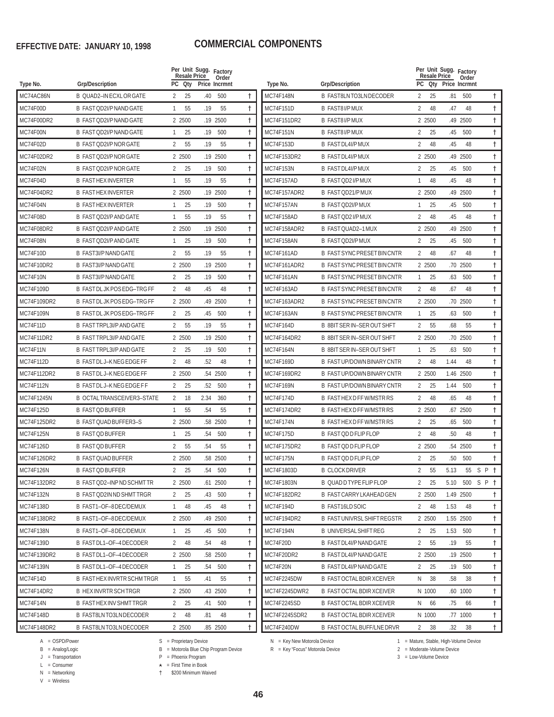|                   |                                    | <b>Resale Price</b>   | Per Unit Sugg. Factory<br>Order |                   |                                    | <b>Resale Price</b>  | Per Unit Sugg. Factory<br>Order |
|-------------------|------------------------------------|-----------------------|---------------------------------|-------------------|------------------------------------|----------------------|---------------------------------|
| Type No.          | <b>Grp/Description</b>             | PC Qty                | Price Incrmnt                   | Type No.          | <b>Grp/Description</b>             |                      | PC Qty Price Incrmnt            |
| MC74AC86N         | <b>B QUAD2-IN ECXL OR GATE</b>     | 25<br>2               | 500<br>$^{\dagger}$<br>.40      | <b>MC74F148N</b>  | <b>B FAST8LNTO3LNDECODER</b>       | 2<br>25              | $\ddagger$<br>.81<br>500        |
| MC74F00D          | B FAST QD2I/P NAND GATE            | 55<br>1               | 55<br>$^{\dagger}$<br>.19       | MC74F151D         | <b>B FAST8I/PMUX</b>               | $\overline{2}$<br>48 | .47<br>48<br>$\ddagger$         |
| MC74F00DR2        | B FAST QD2I/P NAND GATE            | 2 2500                | .19 2500<br>$\ddagger$          | MC74F151DR2       | <b>B FAST8I/PMUX</b>               | 2 2500               | $\ddagger$<br>.49 2500          |
| MC74F00N          | B FAST QD2I/P NAND GATE            | 25<br>1               | 500<br>t<br>.19                 | <b>MC74F151N</b>  | <b>B FAST8I/PMUX</b>               | $\overline{2}$<br>25 | $^\dagger$<br>.45<br>500        |
| MC74F02D          | <b>B FAST QD2I/P NOR GATE</b>      | 2<br>55               | .19<br>55<br>$^+$               | MC74F153D         | <b>B FAST DL4I/PMUX</b>            | 2<br>48              | $\ddagger$<br>.45<br>48         |
| MC74F02DR2        | <b>B FAST QD2I/P NOR GATE</b>      | 2 2500                | .19 2500<br>$^+$                | MC74F153DR2       | <b>B FAST DL4I/PMUX</b>            | 2 2500               | $\ddagger$<br>.49 2500          |
| MC74F02N          | <b>B FAST QD2I/P NOR GATE</b>      | $\overline{2}$<br>25  | $^{\dagger}$<br>.19<br>500      | MC74F153N         | <b>B FAST DL4I/PMUX</b>            | 2<br>25              | $\ddagger$<br>.45<br>500        |
| MC74F04D          | <b>B FASTHEXINVERTER</b>           | 55<br>$\mathbf{1}$    | $^{\dagger}$<br>.19<br>55       | MC74F157AD        | <b>B FAST QD2 I/P MUX</b>          | 48<br>$\mathbf{1}$   | $\dagger$<br>.45<br>48          |
| MC74F04DR2        | <b>B FAST HEX INVERTER</b>         | 2 2500                | .19 2500<br>$\ddagger$          | MC74F157ADR2      | <b>B FAST QD21/PMUX</b>            | 2 2500               | $\ddagger$<br>.49 2500          |
| MC74F04N          | <b>B FASTHEXINVERTER</b>           | 25<br>1               | 500<br>$^{\dagger}$<br>.19      | <b>MC74F157AN</b> | <b>B FAST QD2I/PMUX</b>            | 25<br>1              | $\ddagger$<br>.45<br>500        |
| MC74F08D          | B FAST QD2I/P AND GATE             | 55<br>1               | 55<br>$^+$<br>.19               | MC74F158AD        | <b>B FAST QD2 I/P MUX</b>          | $\overline{2}$<br>48 | $\ddagger$<br>48<br>.45         |
| MC74F08DR2        | B FAST QD2I/P AND GATE             | 2 2500                | .19 2500<br>$^{\dagger}$        | MC74F158ADR2      | B FAST QUAD2-1 MUX                 | 2 2500               | $^\dagger$<br>.49 2500          |
| MC74F08N          | B FAST QD2I/P AND GATE             | 25<br>1               | 500<br>$^\dagger$<br>.19        | MC74F158AN        | <b>B FAST QD2I/PMUX</b>            | $\overline{2}$<br>25 | $\ddagger$<br>.45<br>500        |
| MC74F10D          | <b>B FAST3I/P NAND GATE</b>        | 55<br>2               | 55<br>.19<br>$^+$               | MC74F161AD        | <b>B FAST SYNC PRESET BIN CNTR</b> | 2<br>48              | $\ddagger$<br>.67<br>48         |
| MC74F10DR2        | <b>B FAST3I/P NAND GATE</b>        | 2 2500                | .19 2500<br>Ť.                  | MC74F161ADR2      | <b>B FAST SYNC PRESET BIN CNTR</b> | 2 2500               | $\ddagger$<br>.70 2500          |
| MC74F10N          | <b>B FAST3I/PNANDGATE</b>          | 2<br>25               | $^{\dagger}$<br>.19<br>500      | MC74F161AN        | <b>B FAST SYNC PRESET BIN CNTR</b> | 25<br>$\mathbf{1}$   | $\ddagger$<br>.63<br>500        |
| MC74F109D         | <b>B FAST DL JK POS EDG-TRG FF</b> | 48<br>2               | $^{\dagger}$<br>.45<br>48       | MC74F163AD        | <b>B FAST SYNC PRESET BIN CNTR</b> | $\overline{2}$<br>48 | $^\dagger$<br>.67<br>48         |
| MC74F109DR2       | <b>B FAST DL JK POS EDG-TRG FF</b> | 2 2500                | $^{\dagger}$<br>.49 2500        | MC74F163ADR2      | <b>B FAST SYNC PRESET BIN CNTR</b> | 2 2500               | $\ddagger$<br>.70 2500          |
| MC74F109N         | B FAST DL JK POS EDG-TRG FF        | 25<br>$\overline{2}$  | $\ddagger$<br>.45<br>500        | MC74F163AN        | <b>B FAST SYNC PRESET BIN CNTR</b> | 25<br>1              | $\ddagger$<br>500<br>.63        |
| MC74F11D          | <b>B FAST TRPL3I/P AND GATE</b>    | 55<br>$\overline{2}$  | 55<br>$^{\dagger}$<br>.19       | MC74F164D         | <b>B 8BIT SER IN-SER OUT SHFT</b>  | $\overline{2}$<br>55 | $^\mathrm{+}$<br>.68<br>55      |
| <b>MC74F11DR2</b> | <b>B FAST TRPL3I/P AND GATE</b>    | 2 2500                | .19 2500<br>$\ddagger$          | MC74F164DR2       | <b>B 8BIT SER IN-SER OUT SHFT</b>  | 2 2500               | $\dagger$<br>.70 2500           |
| <b>MC74F11N</b>   | <b>B FAST TRPL3I/P AND GATE</b>    | 25<br>2               | 500<br>$^\dagger$<br>.19        | <b>MC74F164N</b>  | <b>B 8BIT SER IN-SER OUT SHFT</b>  | 25<br>1              | $\ddagger$<br>.63<br>500        |
| MC74F112D         | <b>B FAST DL J-K NEG EDGE FF</b>   | 48<br>$\overline{2}$  | .52<br>48<br>$^+$               | MC74F169D         | <b>B FAST UP/DOWN BINARY CNTR</b>  | 2<br>48              | $\dagger$<br>1.44<br>48         |
| MC74F112DR2       | <b>B FAST DL J-K NEG EDGE FF</b>   | 2 2500                | .54 2500<br>$^+$                | MC74F169DR2       | <b>B FAST UP/DOWN BINARY CNTR</b>  | 2 2500               | $\ddagger$<br>1.46 2500         |
| <b>MC74F112N</b>  | <b>B FAST DL J-K NEG EDGE F F</b>  | 2<br>25               | $^{\dagger}$<br>.52<br>500      | MC74F169N         | <b>B FAST UP/DOWN BINARY CNTR</b>  | 2<br>25              | $\ddagger$<br>1.44<br>500       |
| MC74F1245N        | <b>B OCTALTRANSCEIVER3-STATE</b>   | 2<br>18               | $^{\dagger}$<br>2.34<br>360     | MC74F174D         | <b>B FAST HEX DFF W/MSTR RS</b>    | $\overline{2}$<br>48 | $\ddagger$<br>.65<br>48         |
| MC74F125D         | <b>B FAST OD BUFFER</b>            | 55<br>1               | 55<br>.54<br>$^+$               | MC74F174DR2       | <b>B FAST HEX DFF W/MSTR RS</b>    | 2 2500               | $\ddagger$<br>.67 2500          |
| MC74F125DR2       | <b>B FAST QUAD BUFFER3-S</b>       | 2 2500                | $\ddagger$<br>.58 2500          | <b>MC74F174N</b>  | <b>B FAST HEX DFF W/MSTR RS</b>    | 2<br>25              | $\ddagger$<br>500<br>.65        |
| MC74F125N         | <b>B FAST OD BUFFER</b>            | 25<br>1               | 500<br>$^{\dagger}$<br>.54      | MC74F175D         | <b>B FAST OD D FLIP FLOP</b>       | $\overline{2}$<br>48 | $\ddagger$<br>.50<br>48         |
| MC74F126D         | <b>B FAST OD BUFFER</b>            | 55<br>$\overline{2}$  | $\ddagger$<br>.54<br>55         | MC74F175DR2       | <b>B FAST QD D FLIP FLOP</b>       | 2 2500               | $\dagger$<br>.54 2500           |
| MC74F126DR2       | <b>B FAST QUAD BUFFER</b>          | 2 2500                | .58 2500<br>t                   | MC74F175N         | <b>B FAST OD D FLIP FLOP</b>       | 25<br>$\overline{2}$ | $\ddagger$<br>.50<br>500        |
| MC74F126N         | <b>B FASTOD BUFFER</b>             | $\overline{2}$<br>-25 | $^\dagger$<br>54<br>500         | MC74F1803D        | <b>B CLOCK DRIVER</b>              | 55<br>2              | 55 S P +<br>5.13                |
| MC74F132DR2       | B FAST QD2-INP ND SCHMT TR         | 2 2500                | .61 2500<br>$^+$                | MC74F1803N        | <b>B QUAD D TYPE FLIP FLOP</b>     | $\mathbf{2}$<br>-25  | 5.10 500 S P †                  |
| MC74F132N         | <b>B FAST OD2IN ND SHMTTRGR</b>    | 2<br>25               | 500<br>.43<br>t                 | MC74F182DR2       | <b>B FAST CARRY LKAHEAD GEN</b>    | 2 2500               | 1.49 2500<br>$^{\dagger}$       |
| MC74F138D         | B FAST1-OF-8DEC/DEMUX              | 48<br>$\mathbf{1}$    | t.<br>.45<br>48                 | MC74F194D         | B FAST16LD SOIC                    | 2 48                 | $^{\dagger}$<br>1.53<br>48      |
| MC74F138DR2       | B FAST1-OF-8DEC/DEMUX              | 2 2500                | .49 2500<br>t                   | MC74F194DR2       | <b>B FAST UNIVRSL SHIFT REGSTR</b> | 2 2500               | $\ddagger$<br>1.55 2500         |
| MC74F138N         | B FAST1-OF-8DEC/DEMUX              | $\mathbf{1}$<br>25    | $^{\dagger}$<br>.45<br>500      | MC74F194N         | <b>B UNIVERSAL SHIFT REG</b>       | $\overline{2}$<br>25 | $^\dagger$<br>1.53<br>500       |
| MC74F139D         | B FAST DL1-OF-4 DECODER            | $\overline{2}$<br>48  | 48<br>t<br>.54                  | MC74F20D          | <b>B FAST DL4I/P NAND GATE</b>     | $\overline{2}$<br>55 | $\ddagger$<br>55<br>.19         |
| MC74F139DR2       | <b>B FAST DL1-OF-4 DECODER</b>     | 2 2500                | .58 2500<br>$^\dagger$          | MC74F20DR2        | <b>B FAST DL4I/P NAND GATE</b>     | 2 2500               | $^\dagger$<br>.19 2500          |
| MC74F139N         | B FAST DL1-OF-4 DECODER            | 25<br>$\mathbf{1}$    | 500<br>t.<br>.54                | MC74F20N          | <b>B FAST DL4I/P NAND GATE</b>     | $\overline{2}$<br>25 | $\ddagger$<br>.19<br>500        |
| MC74F14D          | <b>B FAST HEX INVRTR SCHMTRGR</b>  | 55<br>$\mathbf{1}$    | .41<br>55<br>t                  | MC74F2245DW       | <b>B FAST OCTAL BDIR XCEIVER</b>   | N<br>38              | $^\dagger$<br>.58<br>38         |
| MC74F14DR2        | <b>B HEXINVRTR SCHTRGR</b>         | 2 2500                | .43 2500<br>t.                  | MC74F2245DWR2     | B FAST OCTAL BDIR XCEIVER          | N 1000               | $\ddagger$<br>.60 1000          |
| MC74F14N          | <b>B FAST HEX INV SHMT TRGR</b>    | 25<br>$\overline{2}$  | .41<br>500<br>t                 | MC74F2245SD       | <b>B FAST OCTAL BDIR XCEIVER</b>   | N 66                 | $\ddagger$<br>.75<br>66         |
| MC74F148D         | <b>B FAST8LNTO3LNDECODER</b>       | 48<br>$\mathbf{2}$    | 48<br>t<br>.81                  | MC74F2245SDR2     | <b>B FAST OCTAL BDIR XCEIVER</b>   | N 1000               | $^\dagger$<br>.77 1000          |
| MC74F148DR2       | B FAST8LNTO3LNDECODER              | 2 2500                | .85 2500<br>$^+$                | MC74F240DW        | <b>B FAST OCTAL BUFF/LNE DRVR</b>  | $\mathbf{2}$<br>38   | $^\dagger$<br>38<br>.32         |

- 
- 

 $L = \text{Consumer}$ <br>  $N = \text{Networking}$ <br>  $V = \text{Wireless}$ 

- 
- $L =$  Consumer  $\star =$  First Time in Book
- N = Networking extensive that the state of the state of the state of the state of the state of the state of the state of the state of the state of the state of the state of the state of the state of the state of the state

A = OSPD/Power external states and S = Proprietary Device N = Key New Motorola Device 1 = Mature, Stable, High-Volume Device

B = Analog/Logic entropy of the Motorola Blue Chip Program Device R = Key "Focus" Motorola Device 2 = Moderate-Volume Device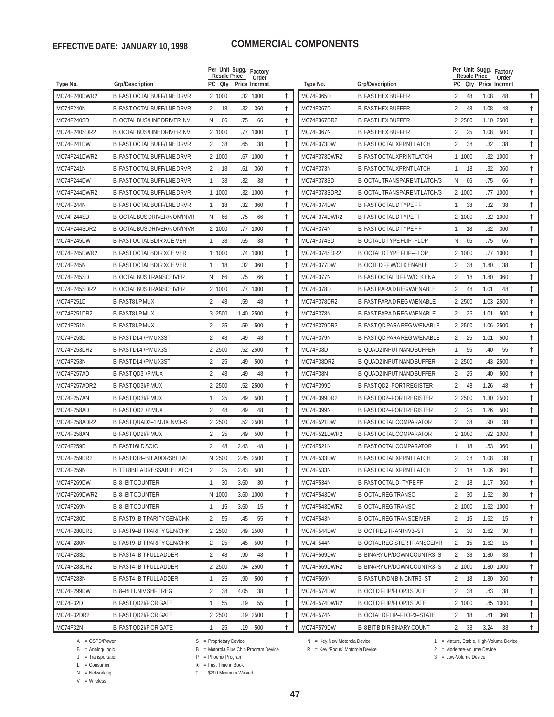|                  |                                    | <b>Resale Price</b>  | Per Unit Sugg. Factory<br>Order |              |                  |                                    | <b>Resale Price</b>  | Per Unit Sugg. Factory<br>Order |              |
|------------------|------------------------------------|----------------------|---------------------------------|--------------|------------------|------------------------------------|----------------------|---------------------------------|--------------|
| Type No.         | <b>Grp/Description</b>             | PC Otv               | Price Incrmnt                   |              | Type No.         | <b>Grp/Description</b>             | PC Qty               | Price Incrmnt                   |              |
| MC74F240DWR2     | <b>B FAST OCTAL BUFF/LNE DRVR</b>  | 2 1000               | .32 1000                        | $^{\dagger}$ | MC74F365D        | <b>B FASTHEXBUFFER</b>             | 48<br>2              | 1.08<br>48                      | $\ddagger$   |
| <b>MC74F240N</b> | <b>B FAST OCTAL BUFF/LNE DRVR</b>  | 2<br>18              | .32<br>360                      | t            | MC74F367D        | <b>B FASTHEX BUFFER</b>            | 2<br>48              | 1.08<br>48                      | $\ddagger$   |
| MC74F240SD       | <b>B OCTAL BUS/LINE DRIVER INV</b> | N<br>66              | .75<br>66                       | $^{\dagger}$ | MC74F367DR2      | <b>B FASTHEX BUFFER</b>            | 2 2500               | 1.10 2500                       | $\ddagger$   |
| MC74F240SDR2     | <b>B OCTAL BUS/LINE DRIVER INV</b> | 2 1000               | .77 1000                        | t.           | MC74F367N        | <b>B FASTHEX BUFFER</b>            | 2<br>25              | 1.08<br>500                     | $^+$         |
| MC74F241DW       | <b>B FAST OCTAL BUFF/LNE DRVR</b>  | 38<br>$\overline{2}$ | .65<br>38                       | $^{\dagger}$ | MC74F373DW       | <b>B FAST OCTAL XPRNT LATCH</b>    | $\overline{2}$<br>38 | .32<br>38                       | $\ddagger$   |
| MC74F241DWR2     | <b>B FAST OCTAL BUFF/LNE DRVR</b>  | 2 1000               | .67<br>1000                     | $\ddagger$   | MC74F373DWR2     | <b>B FAST OCTAL XPRINT LATCH</b>   | 1 1000               | .32 1000                        | $\ddagger$   |
| MC74F241N        | <b>B FAST OCTAL BUFF/LNE DRVR</b>  | 18<br>2              | .61<br>360                      | $\ddagger$   | MC74F373N        | <b>B FAST OCTAL XPRNT LATCH</b>    | 18<br>1              | .32<br>360                      | $\ddagger$   |
| MC74F244DW       | <b>B FAST OCTAL BUFF/LNE DRVR</b>  | 38<br>$\mathbf{1}$   | 38<br>.32                       | $\ddagger$   | MC74F373SD       | <b>B OCTAL TRANSPARENT LATCH/3</b> | Ν<br>66              | .75<br>66                       | $\ddagger$   |
| MC74F244DWR2     | <b>B FAST OCTAL BUFF/LNE DRVR</b>  | 1 1000               | .32 1000                        | $^{\dagger}$ | MC74F373SDR2     | <b>B OCTAL TRANSPARENT LATCH/3</b> | 2 1000               | .77 1000                        | $\ddagger$   |
| <b>MC74F244N</b> | <b>B FAST OCTAL BUFF/LNE DRVR</b>  | 18<br>$\mathbf{1}$   | 360<br>.32                      | $\ddagger$   | MC74F374DW       | <b>B FASTOCTALDTYPEFF</b>          | $\mathbf{1}$<br>38   | 38<br>.32                       | $^{\dagger}$ |
| MC74F244SD       | <b>B OCTAL BUS DRIVER/NON/INVR</b> | 66<br>N              | .75<br>66                       | t            | MC74F374DWR2     | <b>B FASTOCTALDTYPEFF</b>          | 2 1000               | .32 1000                        | $\ddagger$   |
| MC74F244SDR2     | <b>B OCTALBUS DRIVER/NON/INVR</b>  | 2 1000               | .77 1000                        | $^{\dagger}$ | MC74F374N        | <b>B FASTOCTALDTYPEFF</b>          | 18<br>1              | .32<br>360                      | $\ddagger$   |
| MC74F245DW       | <b>B FAST OCTAL BDIR XCEIVER</b>   | 38<br>$\mathbf{1}$   | .65<br>38                       | $^{\dagger}$ | MC74F374SD       | <b>B OCTALD TYPE FLIP-FLOP</b>     | N<br>66              | .75<br>66                       | $^+$         |
| MC74F245DWR2     | <b>B FAST OCTAL BDIR XCEIVER</b>   | 1 1000               | .74 1000                        | $\ddagger$   | MC74F374SDR2     | <b>B OCTALD TYPE FLIP-FLOP</b>     | 2 1000               | .77 1000                        | $\ddagger$   |
| <b>MC74F245N</b> | <b>B FAST OCTAL BDIR XCEIVER</b>   | $\mathbf{1}$<br>18   | .32<br>360                      | $^{\dagger}$ | MC74F377DW       | <b>B OCTLDFFW/CLKENABLE</b>        | 2<br>38              | 38<br>1.80                      | $^+$         |
| MC74F245SD       | <b>B OCTALBUSTRANSCEIVER</b>       | 66<br>N              | .75<br>66                       | $\ddagger$   | MC74F377N        | <b>B FAST OCTAL DFF W/CLK ENA</b>  | $\overline{2}$<br>18 | 1.80<br>360                     | $\ddagger$   |
| MC74F245SDR2     | <b>B OCTALBUSTRANSCEIVER</b>       | 2 1000               | .77 1000                        | $\ddagger$   | MC74F378D        | <b>B FAST PARA D REG W/ENABLE</b>  | $\overline{2}$<br>48 | 1.01<br>48                      | $\ddagger$   |
| MC74F251D        | <b>B FAST8I/PMUX</b>               | 48<br>$\overline{2}$ | .59<br>48                       | $^{\dagger}$ | MC74F378DR2      | <b>B FAST PARA D REG W/ENABLE</b>  | 2 2500               | 1.03 2500                       | $\ddagger$   |
| MC74F251DR2      | <b>B FAST8I/PMUX</b>               | 3 2500               | 1.40 2500                       | $\ddagger$   | <b>MC74F378N</b> | <b>B FAST PARA D REG W/ENABLE</b>  | 25<br>$\overline{2}$ | 1.01<br>500                     | $\ddagger$   |
| MC74F251N        | <b>B FAST8I/PMUX</b>               | 2<br>25              | .59<br>500                      | $^{\dagger}$ | MC74F379DR2      | <b>B FAST QD PARA REGW/ENABLE</b>  | 2 2500               | 1.06 2500                       | $\ddagger$   |
| MC74F253D        | <b>B FAST DL4I/PMUX3ST</b>         | 48<br>2              | .49<br>48                       | $^{\dagger}$ | MC74F379N        | <b>B FAST QD PARA REGW/ENABLE</b>  | 2<br>25              | 1.01<br>500                     | $\ddagger$   |
| MC74F253DR2      | <b>B FAST DL4I/PMUX3ST</b>         | 2 2500               | .52 2500                        | $^+$         | MC74F38D         | <b>B QUAD2 INPUT NAND BUFFER</b>   | 55<br>$\mathbf{1}$   | .40<br>55                       | $^+$         |
| MC74F253N        | <b>B FAST DL4I/PMUX3ST</b>         | 2<br>25              | .49<br>500                      | $^{\dagger}$ | MC74F38DR2       | <b>B QUAD2 INPUT NAND BUFFER</b>   | 2 2500               | .43 2500                        | $\ddagger$   |
| MC74F257AD       | <b>B FAST QD3 I/PMUX</b>           | 2<br>48              | .49<br>48                       | $\ddagger$   | MC74F38N         | <b>B QUAD2 INPUT NAND BUFFER</b>   | 25<br>2              | .40<br>500                      | $^+$         |
| MC74F257ADR2     | <b>B FAST QD3I/PMUX</b>            | 2 2500               | .52 2500                        | $\ddagger$   | MC74F399D        | B FASTQD2-PORTREGISTER             | $\overline{2}$<br>48 | 1.26<br>48                      | $\ddagger$   |
| MC74F257AN       | B FAST QD3I/PMUX                   | 25<br>1              | .49<br>500                      | $\ddagger$   | MC74F399DR2      | B FAST QD2-PORT REGISTER           | 2 2500               | 1.30 2500                       | $\ddagger$   |
| MC74F258AD       | <b>B FAST QD2 I/PMUX</b>           | 48<br>2              | .49<br>48                       | $^{\dagger}$ | MC74F399N        | B FASTQD2-PORTREGISTER             | 25<br>2              | 500<br>1.26                     | $\ddagger$   |
| MC74F258ADR2     | B FAST QUAD2-1 MUX INV3-S          | 2 2500               | .52 2500                        | $\ddagger$   | MC74F521DW       | <b>B FASTOCTAL COMPARATOR</b>      | 38<br>2              | .90<br>38                       | $\ddagger$   |
| MC74F258AN       | <b>B FAST QD2I/PMUX</b>            | 2<br>25              | .49<br>500                      | $^{\dagger}$ | MC74F521DWR2     | <b>B FASTOCTAL COMPARATOR</b>      | 2 1000               | .92 1000                        | $\ddagger$   |
| MC74F259D        | <b>B FAST16LD SOIC</b>             | 48<br>2              | 2.43<br>48                      | $^{\dagger}$ | MC74F521N        | <b>B FASTOCTAL COMPARATOR</b>      | 18<br>1              | .53<br>360                      | $^{\dagger}$ |
| MC74F259DR2      | <b>B FAST DL8-BIT ADDRSBL LAT</b>  | N 2500               | 2.45 2500                       | t.           | MC74F533DW       | <b>B FAST OCTAL XPRNT LATCH</b>    | 38<br>2              | 1.08<br>38                      | $^+$         |
| MC74F259N        | <b>B TTL8BIT ADRESSABLE LATCH</b>  | 2 25                 | 2.43<br>500                     | $\ddagger$   | MC74F533N        | <b>B FAST OCTAL XPRNT LATCH</b>    | 2<br>18              | 1.06<br>360                     | $^+$         |
| MC74F269DW       | <b>B 8-BIT COUNTER</b>             | 30<br>$\mathbf{1}$   | 3.60<br>30                      | $^{\dagger}$ | MC74F534N        | <b>B FASTOCTALD-TYPEFF</b>         | 18<br>2              | 1.17<br>360                     | $^+$         |
| MC74F269DWR2     | <b>B 8-BIT COUNTER</b>             | N 1000               | 3.60 1000                       | $^{\dagger}$ | MC74F543DW       | <b>B OCTALREGTRANSC</b>            | 2<br>30              | 1.62<br>30                      | $^{\dagger}$ |
| MC74F269N        | <b>B 8-BIT COUNTER</b>             | 15<br>1              | 3.60<br>15                      | $^{\dagger}$ | MC74F543DWR2     | <b>B OCTAL REGTRANSC</b>           | 2 1000               | 1.62 1000                       | $\ddagger$   |
| MC74F280D        | <b>B FAST9-BIT PARITY GEN/CHK</b>  | 55<br>2              | .45<br>55                       | $^\dagger$   | MC74F543N        | <b>B OCTAL REG TRANSCEIVER</b>     | 2<br>15              | 1.62<br>15                      | $\ddagger$   |
| MC74F280DR2      | <b>B FAST9-BIT PARITY GEN/CHK</b>  | 2 2500               | .49 2500                        | $\ddagger$   | MC74F544DW       | B OCT REG TRAN INV3-ST             | 2<br>30              | 1.62<br>30                      | $\ddagger$   |
| <b>MC74F280N</b> | B FAST9-BIT PARITY GEN/CHK         | $\overline{2}$<br>25 | .45<br>500                      | t            | MC74F544N        | <b>B OCTALREGISTER TRANSCEIVR</b>  | 2<br>15              | 1.62<br>15                      | $^+$         |
| MC74F283D        | <b>B FAST4-BIT FULL ADDER</b>      | 48<br>2              | 48<br>.90                       | t            | MC74F569DW       | B BINARY UP/DOWN COUNTR3-S         | $\overline{2}$<br>38 | 38<br>1.80                      | $^+$         |
| MC74F283DR2      | <b>B FAST4-BIT FULL ADDER</b>      | 2 2500               | .94 2500                        | $^+$         | MC74F569DWR2     | B BINARY UP/DOWN COUNTR3-S         | 2 1000               | 1.80 1000                       | $^+$         |
| MC74F283N        | B FAST4-BIT FULL ADDER             | $1 \quad 25$         | .90<br>500                      | $^\dagger$   | MC74F569N        | B FAST UP/DN BIN CNTR3-ST          | 2 18                 | 1.80<br>360                     | $^+$         |
| MC74F299DW       | <b>B 8-BIT UNIV SHFT REG</b>       | 2<br>38              | 4.05<br>38                      | $\ddagger$   | MC74F574DW       | B OCT DFLIP/FLOP3 STATE            | 2<br>38              | .83<br>38                       | $^+$         |
| MC74F32D         | B FAST QD2I/POR GATE               | 55<br>$\mathbf{1}$   | 55<br>.19                       | $^{\dagger}$ | MC74F574DWR2     | B OCT DFLIP/FLOP3 STATE            | 2 1000               | .85 1000                        | $\ddagger$   |
| MC74F32DR2       | B FAST QD2I/POR GATE               | 2 2500               | .19 2500                        | $^{\dagger}$ | MC74F574N        | B OCTAL D FLIP-FLOP3-STATE         | $\overline{2}$<br>18 | 360<br>.81                      | $^{+}$       |
| MC74F32N         | B FAST QD2I/P OR GATE              | $1 \quad 25$         | .19<br>500                      | $^{\dagger}$ | MC74F579DW       | <b>B 8 BIT BIDIR BINARY COUNT</b>  | $\overline{2}$<br>38 | 3.24<br>38                      | $+$          |

- $L =$  Consumer  $\star =$  First Time in Book
- N = Networking the three states of the states of the states of the states of the states of the states of the states of the states of the states of the states of the states of the states of the states of the states of the s

V = Wireless

B = Analog/Logic entropyrology by B = Motorola Blue Chip Program Device R = Key "Focus" Motorola Device 2 = Moderate-Volume Device

A = OSPD/Power external states and S = Proprietary Device N = Key New Motorola Device 1 = Mature, Stable, High-Volume Device

\$200 Minimum Waived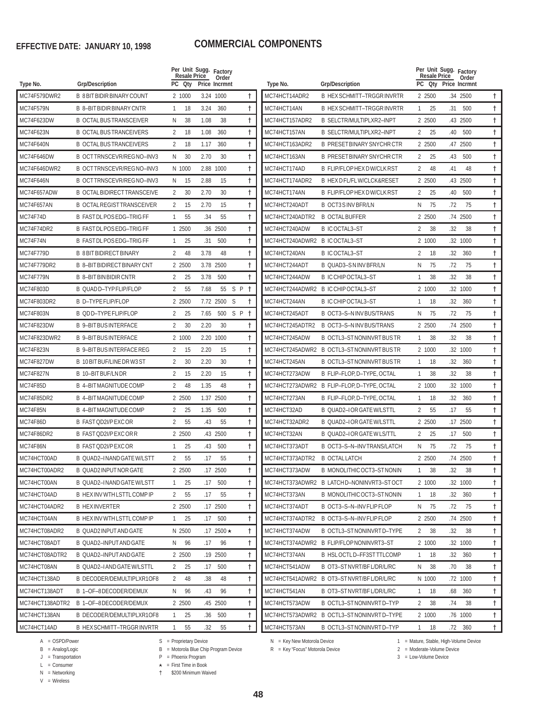| Type No.          | <b>Grp/Description</b>                | <b>Resale Price</b><br>PC Qtv | Per Unit Sugg. Factory<br>Order<br>Price Incrmnt | Type No.                     | <b>Grp/Description</b>                     | Per Unit Sugg. Factory<br><b>Resale Price</b><br>PC Qty Price Incrmnt | Order                      |
|-------------------|---------------------------------------|-------------------------------|--------------------------------------------------|------------------------------|--------------------------------------------|-----------------------------------------------------------------------|----------------------------|
| MC74F579DWR2      | <b>B 8 BIT BIDIR BINARY COUNT</b>     | 2 1000                        | $\ddagger$<br>3.24 1000                          | MC74HCT14ADR2                | <b>B HEXSCHMITT-TRGGRINVRTR</b>            | 2 2500                                                                | $\ddagger$<br>.34 2500     |
| MC74F579N         | <b>B 8-BIT BIDIR BINARY CNTR</b>      | 18<br>1                       | 360<br>$\ddagger$<br>3.24                        | MC74HCT14AN                  | <b>B HEXSCHMITT-TRGGRINVRTR</b>            | 25<br>$\mathbf{1}$                                                    | $\dagger$<br>500<br>.31    |
| MC74F623DW        | <b>B OCTAL BUS TRANSCEIVER</b>        | 38<br>Ν                       | 38<br>1.08<br>$\ddagger$                         | MC74HCT157ADR2               | <b>B SELCTR/MULTIPLXR2-INPT</b>            | 2 2500                                                                | $\ddagger$<br>.43 2500     |
| MC74F623N         | <b>B OCTAL BUS TRANCEIVERS</b>        | 18<br>2                       | 1.08<br>360<br>$\ddagger$                        | MC74HCT157AN                 | <b>B SELCTR/MULTIPLXR2-INPT</b>            | 25<br>$\mathbf{2}$                                                    | $\ddagger$<br>.40<br>500   |
| MC74F640N         | <b>B OCTAL BUS TRANCEIVERS</b>        | 2<br>18                       | $\ddagger$<br>1.17<br>360                        | MC74HCT163ADR2               | <b>B PRESET BINARY SNYCHR CTR</b>          | 2 2500                                                                | $\ddagger$<br>.47 2500     |
| MC74F646DW        | <b>B OCTTRNSCEVR/REGNO-INV3</b>       | 30<br>N                       | $\ddagger$<br>2.70<br>30                         | MC74HCT163AN                 | <b>B PRESET BINARY SNYCHR CTR</b>          | 2<br>25                                                               | $\ddagger$<br>.43<br>500   |
| MC74F646DWR2      | B OCT TRNSCEVR/REGNO-INV3             | N 1000                        | 2.88 1000<br>$\ddagger$                          | MC74HCT174AD                 | <b>B FLIP/FLOPHEXDW/CLKRST</b>             | $\overline{2}$<br>48                                                  | $^\dagger$<br>.41<br>48    |
| <b>MC74F646N</b>  | <b>B OCTTRNSCEVR/REGNO-INV3</b>       | 15<br>N                       | 15<br>$\ddagger$<br>2.88                         | MC74HCT174ADR2               | <b>B HEXDFL/FLW/CLCK&amp;RESET</b>         | 2 2500                                                                | $\ddagger$<br>.43 2500     |
| MC74F657ADW       | <b>B OCTALBIDIRECT TRANSCEIVE</b>     | 30<br>2                       | 2.70<br>30<br>$\ddagger$                         | MC74HCT174AN                 | <b>B FLIP/FLOPHEXDW/CLKRST</b>             | 25<br>2                                                               | $+$<br>500<br>.40          |
| <b>MC74F657AN</b> | <b>B OCTALREGIST TRANSCEIVER</b>      | 15<br>2                       | 2.70<br>15<br>$\ddagger$                         | MC74HCT240ADT                | <b>B OCT3 SINV BFR/LN</b>                  | 75<br>N                                                               | $^\mathrm{+}$<br>.72<br>75 |
| MC74F74D          | <b>B FAST DLPOS EDG-TRIGFF</b>        | 55<br>1                       | $\ddagger$<br>55<br>.34                          | MC74HCT240ADTR2              | <b>B OCTAL BUFFER</b>                      | 2 2500                                                                | $^\dagger$<br>.74 2500     |
| MC74F74DR2        | <b>B FAST DLPOSEDG-TRIGFF</b>         | 1 2500                        | .36 2500<br>$\ddagger$                           | MC74HCT240ADW                | <b>B ICOCTAL3-ST</b>                       | 2<br>38                                                               | $\ddagger$<br>.32<br>38    |
| MC74F74N          | <b>B FAST DLPOS EDG-TRIGFF</b>        | 25<br>1                       | 500<br>$\ddagger$<br>.31                         | MC74HCT240ADWR2 BICOCTAL3-ST |                                            | 2 1000                                                                | $\ddagger$<br>.32 1000     |
| MC74F779D         | <b>B 8 BIT BIDIRECT BINARY</b>        | 2<br>48                       | $\ddagger$<br>3.78<br>48                         | MC74HCT240AN                 | B ICOCTAL3-ST                              | 2<br>18                                                               | $\ddagger$<br>.32<br>360   |
| MC74F779DR2       | <b>B 8-BIT BIDIRECT BINARY CNT</b>    | 2 2500                        | $\ddagger$<br>3.78 2500                          | MC74HCT244ADT                | <b>B QUAD3-SNINVBFR/LN</b>                 | N<br>75                                                               | $\ddagger$<br>.72<br>75    |
| MC74F779N         | <b>B 8-BIT BIN BIDIR CNTR</b>         | 25<br>2                       | $\ddagger$<br>3.78<br>500                        | MC74HCT244ADW                | <b>B IC CHIP OCTAL3-ST</b>                 | 38<br>1                                                               | $\ddagger$<br>.32<br>38    |
| MC74F803D         | <b>B QUAD D-TYP FLIP/FLOP</b>         | 55<br>2                       | 55 S P<br>$\pm$<br>7.68                          |                              | MC74HCT244ADWR2 BICCHIPOCTAL3-ST           | 2 1000                                                                | $\ddagger$<br>.32 1000     |
| MC74F803DR2       | <b>B D-TYPE FLIP/FLOP</b>             | 2 2500                        | 7.72 2500 S<br>$\ddagger$                        | MC74HCT244AN                 | <b>B IC CHIP OCTAL3-ST</b>                 | 18<br>$\mathbf{1}$                                                    | $+$<br>.32<br>360          |
| MC74F803N         | <b>B QDD-TYPE FLIP/FLOP</b>           | 2<br>25                       | 500 S P<br>$\ddagger$<br>7.65                    | MC74HCT245ADT                | <b>B OCT3-S-NINVBUS/TRANS</b>              | Ν<br>75                                                               | $\ddagger$<br>.72<br>75    |
| MC74F823DW        | <b>B 9-BIT BUS INTERFACE</b>          | 30<br>2                       | 30<br>2.20<br>$^{+}$                             | MC74HCT245ADTR2              | <b>B OCT3-S-NINVBUS/TRANS</b>              | 2 2500                                                                | $^\dagger$<br>.74 2500     |
| MC74F823DWR2      | <b>B 9-BIT BUS INTERFACE</b>          | 2 1000                        | 2.20 1000<br>$\ddagger$                          | MC74HCT245ADW                | <b>B OCTL3-STNONINVRT BUS TR</b>           | 38<br>$\mathbf{1}$                                                    | $\ddagger$<br>.32<br>38    |
| MC74F823N         | <b>B 9-BIT BUS INTERFACE REG</b>      | 2<br>15                       | $\ddagger$<br>2.20<br>15                         |                              | MC74HCT245ADWR2 B OCTL3-STNONINVRTBUSTR    | 2 1000                                                                | $\ddagger$<br>.32 1000     |
| MC74F827DW        | B 10 BIT BUF/LINE DRW3 ST             | 2<br>30                       | $\ddagger$<br>2.20<br>30                         | MC74HCT245AN                 | <b>B OCTL3-STNONINVRT BUS TR</b>           | 18<br>$\mathbf{1}$                                                    | $\ddagger$<br>.32<br>360   |
| MC74F827N         | <b>B 10-BIT BUF/LNDR</b>              | 15<br>2                       | $\ddagger$<br>2.20<br>15                         | MC74HCT273ADW                | B FLIP-FLOP, D-TYPE, OCTAL                 | 38<br>$\mathbf{1}$                                                    | $\ddagger$<br>.32<br>38    |
| MC74F85D          | <b>B 4-BITMAGNITUDE COMP</b>          | 48<br>$\overline{2}$          | 48<br>$\ddagger$<br>1.35                         |                              | MC74HCT273ADWR2 B FLIP-FLOP, D-TYPE, OCTAL | 2 1000                                                                | $^\dagger$<br>.32 1000     |
| MC74F85DR2        | <b>B 4-BITMAGNITUDE COMP</b>          | 2 2500                        | $\ddagger$<br>1.37 2500                          | MC74HCT273AN                 | B FLIP-FLOP, D-TYPE, OCTAL                 | 18<br>$\mathbf{1}$                                                    | $\ddagger$<br>.32<br>360   |
| <b>MC74F85N</b>   | <b>B 4-BITMAGNITUDE COMP</b>          | 25<br>$\overline{2}$          | 1.35<br>500<br>$\ddagger$                        | MC74HCT32AD                  | <b>B QUAD2-IOR GATE W/LSTTL</b>            | $\overline{2}$<br>55                                                  | $+$<br>.17<br>55           |
| MC74F86D          | <b>B FAST QD2I/PEXCOR</b>             | 55<br>2                       | .43<br>55<br>$\ddagger$                          | MC74HCT32ADR2                | <b>B QUAD2-I OR GATE W/LSTTL</b>           | 2 2500                                                                | $\ddagger$<br>.17 2500     |
| MC74F86DR2        | <b>B FAST OD2I/PEXCORR</b>            | 2 2500                        | .43 2500<br>$\ddagger$                           | MC74HCT32AN                  | B QUAD2-I OR GATE W LS/TTL                 | 25<br>2                                                               | $\ddagger$<br>500<br>.17   |
| MC74F86N          | B FAST QD2I/PEXCOR                    | 25<br>1                       | .43<br>500<br>$\ddagger$                         | MC74HCT373ADT                | B OCT3-S-N-INVTRANS/LATCH                  | N<br>75                                                               | $\ddagger$<br>.72<br>75    |
| MC74HCT00AD       | B QUAD2-INAND GATE W/LSTT             | 55<br>2                       | 55<br>$\ddagger$<br>.17                          | MC74HCT373ADTR2 B OCTALLATCH |                                            | 2 2500                                                                | $^\dagger$<br>.74 2500     |
| MC74HCT00ADR2     | <b>B QUAD2 INPUT NOR GATE</b>         | 2 2500                        | $\dagger$<br>.17 2500                            | MC74HCT373ADW                | B MONOLITHIC OCT3-ST NONIN                 | 38<br>$\mathbf{1}$                                                    | $^\dagger$<br>.32<br>38    |
| MC74HCT00AN       | B QUAD2-INAND GATE W/LSTT             | 25<br>1                       | $^{+}$<br>.17 500                                |                              | MC74HCT373ADWR2 B LATCHD-NONINVRT3-STOCT   | 2 1000                                                                | $+$<br>.32 1000            |
| MC74HCT04AD       | <b>B HEXINVWTHLSTTLCOMPIP</b>         | 55<br>$\mathbf{2}$            | $\dagger$<br>55<br>.17                           | MC74HCT373AN                 | B MONOLITHIC OCT3-ST NONIN                 | 1 18                                                                  | $\ddagger$<br>.32 360      |
| MC74HCT04ADR2     | <b>B HEXINVERTER</b>                  | 2 2500                        | $\ddagger$<br>.17 2500                           | MC74HCT374ADT                | B OCT3-S-N-INVFLIPFLOP                     | N.<br>75                                                              | $\ddagger$<br>.72<br>75    |
| MC74HCT04AN       | <b>B HEXINVWTHLSTTLCOMPIP</b>         | 25<br>$\mathbf{1}$            | 500<br>$\dagger$<br>.17                          | MC74HCT374ADTR2              | B OCT3-S-N-INVFLIPFLOP                     | 2 2500                                                                | $+$<br>.74 2500            |
| MC74HCT08ADR2     | <b>B QUAD2 INPUT AND GATE</b>         | N 2500                        | $\dagger$<br>.17 2500 $\star$                    | MC74HCT374ADW                | <b>B OCTL3-STNONINVRT D-TYPE</b>           | $\mathbf{2}$<br>38                                                    | $\ddagger$<br>.32<br>38    |
| MC74HCT08ADT      | <b>B QUAD2-INPUT AND GATE</b>         | N 96                          | 96<br>$\ddagger$<br>.17                          |                              | MC74HCT374ADWR2 B FLIP/FLOPNONINVRT3-ST    | 2 1000                                                                | $^\dagger$<br>.32 1000     |
| MC74HCT08ADTR2    | <b>B QUAD2-INPUT AND GATE</b>         | 2 2500                        | .19 2500<br>$\ddagger$                           | MC74HCT374AN                 | B HSLOCTLD-FF3STTTLCOMP                    | 1 18                                                                  | .32<br>360<br>$\ddagger$   |
| MC74HCT08AN       | B QUAD2-I AND GATE W/LSTTL            | 2 <sub>25</sub>               | 500<br>$\ddagger$<br>.17                         | MC74HCT541ADW                | B OT3-ST NVRT/BF L/DR/L/RC                 | 38<br>N                                                               | $\uparrow$<br>.70<br>38    |
| MC74HCT138AD      | B DECODER/DEMULTIPLXR1OF8             | 48<br>2                       | $\dagger$<br>.38<br>48                           |                              | MC74HCT541ADWR2 B OT3-ST NVRT/BF L/DR/L/RC | N 1000                                                                | $\ddagger$<br>.72 1000     |
| MC74HCT138ADT     | B 1-OF-8DECODER/DEMUX                 | N<br>- 96                     | 96<br>$\ddagger$<br>.43                          | MC74HCT541AN                 | B OT3-ST NVRT/BF L/DR/L/RC                 | 18<br>$\mathbf{1}$                                                    | $^\dagger$<br>.68<br>360   |
|                   | MC74HCT138ADTR2 B 1-OF-8DECODER/DEMUX | 2 2500                        | $\dagger$<br>.45 2500                            | MC74HCT573ADW                | B OCTL3-STNONINVRT D-TYP                   | $\mathbf{2}$<br>38                                                    | $\uparrow$<br>.74<br>38    |
| MC74HCT138AN      | B DECODER/DEMULTIPLXR1OF8             | 25<br>1                       | $\ddagger$<br>500<br>.36                         |                              | MC74HCT573ADWR2 B OCTL3-STNONINVRTD-TYPE   | 2 1000                                                                | $\ddagger$<br>.76 1000     |
| MC74HCT14AD       | <b>B HEXSCHMITT-TRGGRINVRTR</b>       | 55<br>1                       | 55<br>$\ddagger$<br>.32                          | MC74HCT573AN                 | B OCTL3-STNONINVRTD-TYP                    | 18<br>$\mathbf{1}$                                                    | $^\mathrm{+}$<br>.72 360   |

- 
- 
- 
- $L = \text{Consumer}$ <br>  $N = \text{Networking}$ <br>  $V = \text{Wireless}$
- 

B = Analog/Logic entropy of the Motorola Blue Chip Program Device R = Key "Focus" Motorola Device 2 = Moderate-Volume Device

- 
- $L =$  Consumer  $\star =$  First Time in Book
	-
- 
- 
- N = Networking extensive that the state of the state of the state of the state of the state of the state of the state of the state of the state of the state of the state of the state of the state of the state of the state

A = OSPD/Power external states and S = Proprietary Device N = Key New Motorola Device 1 = Mature, Stable, High-Volume Device

- 
- J = Transportation P = Phoenix Program 3 = Low-Volume Device
	-
-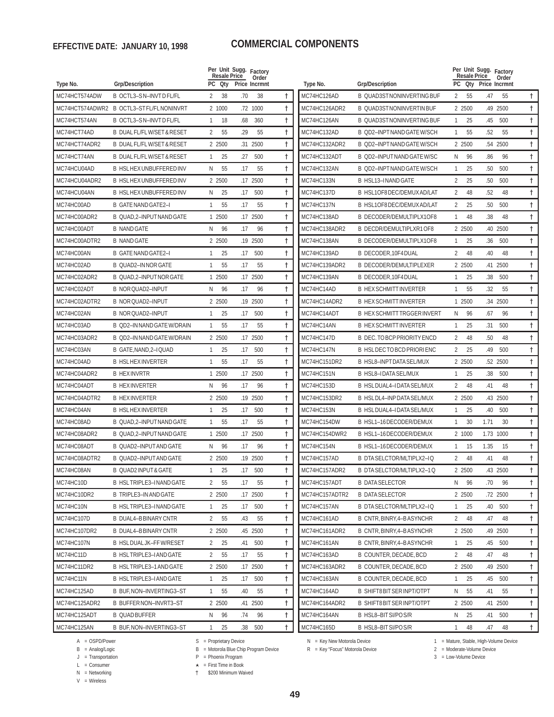|               |                                         | <b>Resale Price</b>  | Per Unit Sugg. Factory<br>Order |                   |                                    | <b>Resale Price</b>  | Per Unit Sugg. Factory<br>Order |
|---------------|-----------------------------------------|----------------------|---------------------------------|-------------------|------------------------------------|----------------------|---------------------------------|
| Type No.      | <b>Grp/Description</b>                  | PC Qty               | Price Incrmnt                   | Type No.          | <b>Grp/Description</b>             |                      | PC Qty Price Incrmnt            |
| MC74HCT574ADW | B OCTL3-SN-INVTDFL/FL                   | 38<br>2              | $\ddagger$<br>38<br>.70         | MC74HC126AD       | <b>B QUAD3STNONINVERTING BUF</b>   | $\overline{2}$<br>55 | 55<br>$\dagger$<br>.47          |
|               | MC74HCT574ADWR2 B OCTL3-STFL/FLNONINVRT | 2 1000               | .72 1000<br>$^{\dagger}$        | MC74HC126ADR2     | <b>B QUAD3ST NONINVERTIN BUF</b>   | 2 2500               | .49 2500<br>$^+$                |
| MC74HCT574AN  | <b>B OCTL3-SN-INVTDFL/FL</b>            | 18<br>1              | $\ddagger$<br>.68<br>360        | MC74HC126AN       | <b>B QUAD3STNONINVERTING BUF</b>   | 25<br>1              | $\ddagger$<br>500<br>.45        |
| MC74HCT74AD   | <b>B DUAL FL/FLW/SET &amp; RESET</b>    | 55<br>2              | $^{\dagger}$<br>.29<br>55       | MC74HC132AD       | B QD2-INPT NAND GATE W/SCH         | 55<br>$\mathbf{1}$   | $\dagger$<br>55<br>.52          |
| MC74HCT74ADR2 | <b>B DUALFL/FLW/SET &amp; RESET</b>     | 2 2500               | .31 2500<br>$^{\dagger}$        | MC74HC132ADR2     | B QD2-INPT NAND GATE W/SCH         | 2 2500               | 54 2500<br>$\dagger$            |
| MC74HCT74AN   | <b>B DUALFL/FLW/SET &amp; RESET</b>     | 25<br>1              | $^{\dagger}$<br>.27<br>500      | MC74HC132ADT      | B QD2-INPUT NAND GATE W/SC         | 96<br>N              | 96<br>$^\dagger$<br>.86         |
| MC74HCU04AD   | <b>B HSLHEX UNBUFFERED INV</b>          | 55<br>N              | $\ddagger$<br>.17<br>55         | MC74HC132AN       | B QD2-INPT NAND GATE W/SCH         | 25<br>1              | 500<br>$\dagger$<br>.50         |
| MC74HCU04ADR2 | <b>B HSLHEX UNBUFFERED INV</b>          | 2 2500               | $\ddagger$<br>.17 2500          | MC74HC133N        | <b>B HSL13-INAND GATE</b>          | 25<br>$\overline{2}$ | $^\dagger$<br>.50<br>500        |
| MC74HCU04AN   | <b>B HSLHEX UNBUFFERED INV</b>          | 25<br>N              | $^{\dagger}$<br>.17<br>500      | MC74HC137D        | B HSL1OF8DEC/DEMUX AD/LAT          | 48<br>2              | 48<br>$\dagger$<br>.52          |
| MC74HC00AD    | <b>B GATE NAND GATE2-I</b>              | 55<br>$\mathbf{1}$   | $\ddagger$<br>55<br>.17         | <b>MC74HC137N</b> | B HSL1OF8DEC/DEMUX AD/LAT          | 25<br>2              | $\ddagger$<br>.50<br>500        |
| MC74HC00ADR2  | B QUAD, 2-INPUT NAND GATE               | 1 2500               | $^{\dagger}$<br>.17 2500        | MC74HC138AD       | B DECODER/DEMULTIPLX1OF8           | 48<br>$\mathbf{1}$   | $\dagger$<br>48<br>.38          |
| MC74HC00ADT   | <b>B NAND GATE</b>                      | 96<br>N              | $\ddagger$<br>.17<br>96         | MC74HC138ADR2     | B DECDR/DEMULTIPLXR1OF8            | 2 2500               | $\ddagger$<br>.40 2500          |
| MC74HC00ADTR2 | <b>B NAND GATE</b>                      | 2 2500               | $^{\dagger}$<br>.19 2500        | MC74HC138AN       | B DECODER/DEMULTIPLX1OF8           | 25<br>$\mathbf{1}$   | $\dagger$<br>500<br>.36         |
| MC74HC00AN    | <b>B GATE NAND GATE2-I</b>              | 25<br>$\mathbf{1}$   | 500<br>$^{\dagger}$<br>.17      | MC74HC139AD       | <b>B DECODER, 10F4DUAL</b>         | 48<br>$\overline{2}$ | 48<br>$\dagger$<br>.40          |
| MC74HC02AD    | B QUAD2-IN NOR GATE                     | $\mathbf{1}$<br>55   | $\ddagger$<br>.17<br>55         | MC74HC139ADR2     | <b>B DECODER/DEMULTIPLEXER</b>     | 2 2500               | .41 2500<br>Ť                   |
| MC74HC02ADR2  | <b>B QUAD, 2-INPUT NOR GATE</b>         | 1 2500               | $\ddagger$<br>.17 2500          | MC74HC139AN       | B DECODER, 10F4 DUAL               | 25<br>$\mathbf{1}$   | $\dagger$<br>.38<br>500         |
| MC74HC02ADT   | B NOR QUAD2-INPUT                       | Ν<br>- 96            | $\ddagger$<br>.17<br>96         | MC74HC14AD        | <b>B HEXSCHMITTINVERTER</b>        | 55<br>1              | $\ddagger$<br>.32<br>55         |
| MC74HC02ADTR2 | <b>B NOR QUAD2-INPUT</b>                | 2 2500               | $^{\dagger}$<br>.19 2500        | MC74HC14ADR2      | B HEX SCHMITT INVERTER             | 1 2500               | $\ddagger$<br>.34 2500          |
| MC74HC02AN    | <b>B NOR QUAD2-INPUT</b>                | 25<br>1              | $\ddagger$<br>.17<br>500        | MC74HC14ADT       | <b>B HEX SCHMITT TRGGER INVERT</b> | 96<br>N              | $\ddagger$<br>96<br>.67         |
| MC74HC03AD    | B OD2-IN NAND GATE W/DRAIN              | 55<br>$\mathbf{1}$   | 55<br>$^{\dagger}$<br>.17       | MC74HC14AN        | <b>B HEX SCHMITT INVERTER</b>      | 25<br>$\mathbf{1}$   | 500<br>$\dagger$<br>.31         |
| MC74HC03ADR2  | B QD2-IN NAND GATE W/DRAIN              | 2 2500               | $\ddagger$<br>.17 2500          | MC74HC147D        | <b>B DEC. TO BCP PRIORITY ENCD</b> | 48<br>$\overline{2}$ | $\dagger$<br>48<br>.50          |
| MC74HC03AN    | B GATE, NAND, 2-I QUAD                  | 25<br>$\mathbf{1}$   | $\ddagger$<br>500<br>.17        | MC74HC147N        | <b>B HSLDECTOBCDPRIORIENC</b>      | 25<br>$\overline{2}$ | 500<br>$\ddagger$<br>.49        |
| MC74HC04AD    | <b>B HSLHEXINVERTER</b>                 | 55<br>$\mathbf{1}$   | 55<br>$^{\dagger}$<br>.17       | MC74HC151DR2      | <b>B HSL8-INPT DATA SEL/MUX</b>    | 2 2500               | 52 2500<br>$\dagger$            |
| MC74HC04ADR2  | <b>B HEXINVRTR</b>                      | 1 2500               | $\ddagger$<br>.17 2500          | MC74HC151N        | <b>B HSL8-IDATA SEL/MUX</b>        | 25<br>$\mathbf{1}$   | 500<br>$^{\dagger}$<br>.38      |
| MC74HC04ADT   | <b>B HEXINVERTER</b>                    | 96<br>N              | $\ddagger$<br>96<br>.17         | MC74HC153D        | B HSLDUAL4-IDATA SEL/MUX           | $\overline{2}$<br>48 | 48<br>$\dagger$<br>.41          |
| MC74HC04ADTR2 | <b>B HEXINVERTER</b>                    | 2 2500               | $\ddagger$<br>.19 2500          | MC74HC153DR2      | B HSLDL4-INPDATA SEL/MUX           | 2 2500               | $\dagger$<br>.43 2500           |
| MC74HC04AN    | <b>B HSLHEXINVERTER</b>                 | 25<br>$\mathbf{1}$   | 500<br>$^{\dagger}$<br>.17      | MC74HC153N        | B HSLDUAL4-I DATA SEL/MUX          | 25<br>1              | $\dagger$<br>.40<br>500         |
| MC74HC08AD    | B QUAD, 2-INPUT NAND GATE               | 55<br>$\mathbf{1}$   | $\ddagger$<br>.17<br>55         | MC74HC154DW       | B HSL1-16DECODER/DEMUX             | 30<br>$\mathbf{1}$   | $\ddagger$<br>30<br>1.71        |
| MC74HC08ADR2  | B QUAD, 2-INPUT NAND GATE               | 1 2500               | 2500<br>$^{\dagger}$<br>.17     | MC74HC154DWR2     | B HSL1-16DECODER/DEMUX             | 2 1000               | $\dagger$<br>1.73 1000          |
| MC74HC08ADT   | <b>B QUAD2-INPUT AND GATE</b>           | 96<br>N              | $\ddagger$<br>.17<br>96         | MC74HC154N        | B HSL1-16DECODER/DEMUX             | 15<br>$\mathbf{1}$   | $\dagger$<br>1.35<br>15         |
| MC74HC08ADTR2 | B QUAD2-INPUT AND GATE                  | 2 2500               | $^{\dagger}$<br>.19 2500        | MC74HC157AD       | B DTA SELCTOR/MLTIPLX2-IQ          | 48<br>$\overline{2}$ | $^{\dagger}$<br>48<br>.41       |
| MC74HC08AN    | <b>B OUAD2INPUT &amp; GATE</b>          | $1 \quad 25$         | $+$<br>$.17 - 500$              | MC74HC157ADR2     | B DTASELCTOR/MLTIPLX2-1Q           | 2 2500               | 43 2500<br>$^+$                 |
| MC74HC10D     | <b>B HSLTRIPLE3-INAND GATE</b>          | 2 55                 | Ť.<br>55<br>.17                 | MC74HC157ADT      | <b>B DATA SELECTOR</b>             | 96<br>N.             | 96<br>$^+$<br>.70               |
| MC74HC10DR2   | <b>B TRIPLE3-IN AND GATE</b>            | 2 2500               | $^\dagger$<br>.17 2500          | MC74HC157ADTR2    | <b>B DATA SELECTOR</b>             | 2 2500               | .72 2500<br>Ť                   |
| MC74HC10N     | B HSLTRIPLE3-INAND GATE                 | 25<br>$\mathbf{1}$   | t.<br>.17 500                   | MC74HC157AN       | B DTA SELCTOR/MLTIPLX2-IQ          | 25<br>$\mathbf{1}$   | 500<br>Ť.<br>.40                |
| MC74HC107D    | <b>B DUAL4-BBINARY CNTR</b>             | 55<br>$\overline{2}$ | $^{\dagger}$<br>.43<br>55       | MC74HC161AD       | <b>B CNTR, BINRY, 4-BASYNCHR</b>   | $\overline{2}$<br>48 | .47<br>48<br>$^\dagger$         |
| MC74HC107DR2  | <b>B DUAL4-BBINARY CNTR</b>             | 2 2500               | .45 2500<br>$^{\dagger}$        | MC74HC161ADR2     | <b>B CNTR. BINRY.4-BASYNCHR</b>    | 2 2500               | $^{\dagger}$<br>.49 2500        |
| MC74HC107N    | B HSLDUALJK-FFW/RESET                   | 2<br>25              | $^{\dagger}$<br>.41<br>500      | MC74HC161AN       | B CNTR, BINRY, 4-BASYNCHR          | $\mathbf{1}$<br>25   | 500<br>$\ddagger$<br>.45        |
| MC74HC11D     | <b>B HSLTRIPLE3-IAND GATE</b>           | 55<br>$\mathbf{2}$   | $\dagger$<br>.17<br>55          | MC74HC163AD       | B COUNTER, DECADE, BCD             | $\overline{2}$<br>48 | $^\dagger$<br>.47<br>48         |
| MC74HC11DR2   | B HSLTRIPLE3-1 AND GATE                 | 2 2500               | .17 2500<br>t.                  | MC74HC163ADR2     | B COUNTER, DECADE, BCD             | 2 2500               | .49 2500<br>Ť                   |
| MC74HC11N     | <b>B HSLTRIPLE3-IAND GATE</b>           | 25<br>$\mathbf{1}$   | .17 500<br>$^\dagger$           | MC74HC163AN       | B COUNTER, DECADE, BCD             | 25<br>1              | 500<br>.45<br>$^{\dagger}$      |
| MC74HC125AD   | B BUF, NON-INVERTING3-ST                | 55<br>$\mathbf{1}$   | Ť.<br>.40<br>55                 | MC74HC164AD       | B SHIFT8 BIT SER INPT/OTPT         | N<br>55              | Ť.<br>.41<br>55                 |
| MC74HC125ADR2 | <b>B BUFFERNON-INVRT3-ST</b>            | 2 2500               | $^\dagger$<br>.41 2500          | MC74HC164ADR2     | <b>B SHIFT8 BIT SER INPT/OTPT</b>  | 2 2500               | .41 2500<br>Ť                   |
| MC74HC125ADT  | <b>B QUADBUFFER</b>                     | 96<br>N              | $^\dagger$<br>.74<br>96         | MC74HC164AN       | B HSL8-BIT SI/PO S/R               | N,<br>25             | 500<br>$^+$<br>.41              |
| MC74HC125AN   | <b>B BUF, NON-INVERTING3-ST</b>         | $\mathbf{1}$<br>25   | $^{\dagger}$<br>.38 500         | MC74HC165D        | B HSL8-BIT SI/PO S/R               | 48<br>$\mathbf{1}$   | 48<br>$^+$<br>.47               |

- 
- 
- 
- 
- $L = \text{Consumer}$ <br>  $N = \text{Networking}$ <br>  $V = \text{Wireless}$

B = Analog/Logic entropyrology by B = Motorola Blue Chip Program Device R = Key "Focus" Motorola Device 2 = Moderate-Volume Device

J = Transportation P = Phoenix Program 3 = Low-Volume Device

- $L =$  Consumer  $\star =$  First Time in Book
- N = Networking and the state of the state of the state of the state of the state of the state of the state of the state of the state of the state of the state of the state of the state of the state of the state of the st

A = OSPD/Power external states and S = Proprietary Device N = Key New Motorola Device 1 = Mature, Stable, High-Volume Device

- -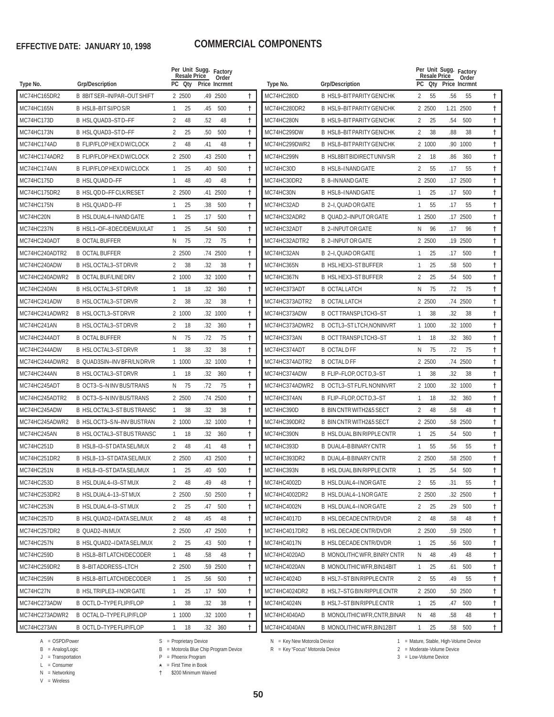| Type No.          | <b>Grp/Description</b>            | Resale Price<br>PC Qty | Per Unit Sugg. Factory<br>Order<br>Price Incrmnt |            | Type No.       | <b>Grp/Description</b>             |                      | Per Unit Sugg. Factory<br>Resale Price Order<br>PC Qty Price Incrmnt |
|-------------------|-----------------------------------|------------------------|--------------------------------------------------|------------|----------------|------------------------------------|----------------------|----------------------------------------------------------------------|
| MC74HC165DR2      | B 8BIT SER-IN/PAR-OUT SHIFT       | 2 2500                 | .49 2500                                         | $\ddagger$ | MC74HC280D     | <b>B HSL9-BIT PARITY GEN/CHK</b>   | 2<br>55              | $\ddagger$<br>.56<br>55                                              |
| MC74HC165N        | B HSL8-BIT SI/POS/R               | 25<br>1                | .45<br>500                                       | $\ddagger$ | MC74HC280DR2   | <b>B HSL9-BIT PARITY GEN/CHK</b>   | 2 2500               | $\ddagger$<br>1.21 2500                                              |
| MC74HC173D        | B HSLQUAD3-STD-FF                 | 48<br>2                | 48<br>.52                                        | $\ddagger$ | MC74HC280N     | <b>B HSL9-BIT PARITY GEN/CHK</b>   | 2<br>25              | $\ddagger$<br>.54<br>500                                             |
| MC74HC173N        | B HSLQUAD3-STD-FF                 | 25<br>2                | 500<br>.50                                       | $\ddagger$ | MC74HC299DW    | <b>B HSL8-BIT PARITY GEN/CHK</b>   | $\overline{2}$<br>38 | $\pm$<br>.88<br>38                                                   |
| MC74HC174AD       | <b>B FLIP/FLOP HEX DW/CLOCK</b>   | $\overline{2}$<br>48   | .41<br>48                                        | $\ddagger$ | MC74HC299DWR2  | <b>B HSL8-BIT PARITY GEN/CHK</b>   | 2 1000               | $+$<br>.90 1000                                                      |
| MC74HC174ADR2     | <b>B FLIP/FLOP HEX DW/CLOCK</b>   | 2 2500                 | .43 2500                                         | $\ddagger$ | MC74HC299N     | <b>B HSL8BIT BIDIRECT UNIVS/R</b>  | $\overline{2}$<br>18 | $+$<br>360<br>.86                                                    |
| MC74HC174AN       | <b>B FLIP/FLOPHEXDW/CLOCK</b>     | 25<br>1                | 500<br>.40                                       | $\ddagger$ | MC74HC30D      | <b>B HSL8-INAND GATE</b>           | 2<br>55              | $\ddagger$<br>.17<br>55                                              |
| MC74HC175D        | <b>B HSLQUADD-FF</b>              | 48<br>1                | .40<br>48                                        | $\ddagger$ | MC74HC30DR2    | <b>B 8-INNAND GATE</b>             | 2 2500               | $\ddagger$<br>.17 2500                                               |
| MC74HC175DR2      | <b>B HSLQDD-FFCLK/RESET</b>       | 2 2500                 | .41 2500                                         | $\ddagger$ | MC74HC30N      | <b>B HSL8-INAND GATE</b>           | 25<br>$\mathbf{1}$   | $\ddagger$<br>.17<br>500                                             |
| MC74HC175N        | <b>B HSLQUADD-FF</b>              | 25<br>1                | .38<br>500                                       | $\ddagger$ | MC74HC32AD     | B 2-I, QUAD OR GATE                | 55<br>$\mathbf{1}$   | $^\mathrm{+}$<br>.17<br>55                                           |
| MC74HC20N         | B HSLDUAL4-INAND GATE             | 25<br>1                | .17<br>500                                       | $\ddagger$ | MC74HC32ADR2   | B QUAD, 2-INPUT OR GATE            | 1 2500               | $\ddagger$<br>.17 2500                                               |
| MC74HC237N        | B HSL1-OF-8DEC/DEMUX/LAT          | 25<br>1                | 500<br>.54                                       | $\ddagger$ | MC74HC32ADT    | <b>B 2-INPUTORGATE</b>             | N<br>96              | $\ddagger$<br>.17<br>96                                              |
| MC74HC240ADT      | <b>B OCTAL BUFFER</b>             | 75<br>Ν                | .72<br>75                                        | $\ddagger$ | MC74HC32ADTR2  | <b>B 2-INPUTORGATE</b>             | 2 2500               | $\pm$<br>.19 2500                                                    |
| MC74HC240ADTR2    | <b>B OCTAL BUFFER</b>             | 2 2500                 | .74 2500                                         | $\ddagger$ | MC74HC32AN     | B 2-I, QUAD OR GATE                | 25<br>$\mathbf{1}$   | $\pm$<br>.17<br>500                                                  |
| MC74HC240ADW      | <b>B HSLOCTAL3-ST DRVR</b>        | 38<br>$\overline{2}$   | .32<br>38                                        | $\ddagger$ | MC74HC365N     | <b>B HSLHEX3-STBUFFER</b>          | 25<br>1              | $\uparrow$<br>500<br>.58                                             |
| MC74HC240ADWR2    | <b>B OCTAL BUF/LINE DRV</b>       | 2 1000                 | .32 1000                                         | $\ddagger$ | MC74HC367N     | <b>B HSLHEX3-STBUFFER</b>          | 25<br>2              | $^\dagger$<br>.54<br>500                                             |
| MC74HC240AN       | <b>B HSLOCTAL3-ST DRVR</b>        | 18<br>1                | .32<br>360                                       | $\ddagger$ | MC74HC373ADT   | <b>B OCTALLATCH</b>                | 75<br>N              | $\ddagger$<br>.72<br>75                                              |
| MC74HC241ADW      | <b>B HSLOCTAL3-STDRVR</b>         | 2<br>38                | 38<br>.32                                        | $\ddagger$ | MC74HC373ADTR2 | <b>B OCTALLATCH</b>                | 2 2500               | $\ddagger$<br>.74 2500                                               |
| MC74HC241ADWR2    | <b>B HSLOCTL3-STDRVR</b>          | 2 1000                 | .32 1000                                         | $\ddagger$ | MC74HC373ADW   | <b>B OCTTRANSPLTCH3-ST</b>         | 38<br>$\mathbf{1}$   | $\ddagger$<br>.32<br>38                                              |
| MC74HC241AN       | B HSLOCTAL3-STDRVR                | 18<br>2                | 360<br>.32                                       | $\ddagger$ | MC74HC373ADWR2 | B OCTL3-STLTCH, NONINVRT           | 1 1000               | $\ddagger$<br>.32 1000                                               |
| MC74HC244ADT      | <b>B OCTAL BUFFER</b>             | 75<br>N                | 75<br>.72                                        | $\ddagger$ | MC74HC373AN    | <b>B OCTTRANSPLTCH3-ST</b>         | 18<br>$\mathbf{1}$   | $^\dagger$<br>.32<br>360                                             |
| MC74HC244ADW      | <b>B HSLOCTAL3-ST DRVR</b>        | 38<br>1                | 38<br>.32                                        | $\ddagger$ | MC74HC374ADT   | <b>B OCTALDFF</b>                  | N<br>75              | $\ddagger$<br>.72<br>75                                              |
| MC74HC244ADWR2    | <b>B QUAD3SIN-INV BFR/LN DRVR</b> | 1 1000                 | .32 1000                                         | $\ddagger$ | MC74HC374ADTR2 | <b>B OCTALDFF</b>                  | 2 2500               | $+$<br>.74 2500                                                      |
| MC74HC244AN       | <b>B HSLOCTAL3-ST DRVR</b>        | 18<br>1                | .32<br>360                                       | $\ddagger$ | MC74HC374ADW   | B FLIP-FLOP, OCTD, 3-ST            | 38<br>$\mathbf{1}$   | $\ddagger$<br>.32<br>38                                              |
| MC74HC245ADT      | B OCT3-S-NINVBUS/TRANS            | 75<br>N                | 75<br>.72                                        | $\ddagger$ | MC74HC374ADWR2 | B OCTL3-STFL/FLNONINVRT            | 2 1000               | $\ddagger$<br>.32 1000                                               |
| MC74HC245ADTR2    | <b>B OCT3-S-NINVBUS/TRANS</b>     | 2 2500                 | .74 2500                                         | $\ddagger$ | MC74HC374AN    | B FLIP-FLOP, OCTD, 3-ST            | 18<br>$\mathbf{1}$   | $\ddagger$<br>.32<br>360                                             |
| MC74HC245ADW      | B HSLOCTAL3-ST BUS TRANSC         | 38<br>1                | .32<br>38                                        | $\ddagger$ | MC74HC390D     | <b>B BIN CNTR WITH2&amp;5 SECT</b> | $\overline{2}$<br>48 | $^\dagger$<br>.58<br>48                                              |
| MC74HC245ADWR2    | B HSLOCT3-SN-INVBUSTRAN           | 2 1000                 | .32 1000                                         | $\ddagger$ | MC74HC390DR2   | <b>B BIN CNTR WITH2&amp;5 SECT</b> | 2 2500               | $\ddagger$<br>.58 2500                                               |
| MC74HC245AN       | B HSLOCTAL3-ST BUS TRANSC         | 18<br>1                | .32<br>360                                       | $\ddagger$ | MC74HC390N     | <b>B HSLDUALBIN RIPPLE CNTR</b>    | 25<br>1              | $\ddagger$<br>.54<br>500                                             |
| MC74HC251D        | B HSL8-I3-STDATA SEL/MUX          | $\overline{2}$<br>48   | .41<br>48                                        | $\ddagger$ | MC74HC393D     | <b>B DUAL4-BBINARY CNTR</b>        | 55<br>$\mathbf{1}$   | $\ddagger$<br>.56<br>55                                              |
| MC74HC251DR2      | B HSL8-13-STDATA SEL/MUX          | 2 2500                 | .43 2500                                         | t          | MC74HC393DR2   | <b>B DUAL4-B BINARY CNTR</b>       | 2 2500               | $^\dagger$<br>.58 2500                                               |
| MC74HC251N        | B HSL8-I3-STDATA SEL/MUX          | 25<br>$\mathbf{1}$     | 500<br>.40                                       | $\dagger$  | MC74HC393N     | <b>B HSLDUALBIN RIPPLE CNTR</b>    | $1\quad 25$          | $\dagger$<br>500<br>.54                                              |
| MC74HC253D        | B HSLDUAL4-13-STMUX               | 2<br>48                | .49<br>48                                        | $\dagger$  | MC74HC4002D    | B HSLDUAL4-INOR GATE               | $\mathbf{2}$<br>55   | $\ddagger$<br>55<br>.31                                              |
| MC74HC253DR2      | B HSLDUAL4-13-STMUX               | 2 2500                 | .50 2500                                         | $\ddagger$ | MC74HC4002DR2  | B HSLDUAL4-1 NOR GATE              | 2 2500               | $^{\dagger}$<br>.32 2500                                             |
| MC74HC253N        | B HSLDUAL4-I3-STMUX               | 25<br>2                | 500<br>.47                                       | t          | MC74HC4002N    | B HSLDUAL4-INOR GATE               | 25<br>$\mathbf{2}$   | $\ddagger$<br>.29<br>500                                             |
| MC74HC257D        | B HSLQUAD2-IDATA SEL/MUX          | 2<br>48                | .45<br>48                                        | $\ddagger$ | MC74HC4017D    | <b>B HSLDECADE CNTR/DVDR</b>       | $\mathbf{2}$<br>48   | $^\dagger$<br>.58<br>48                                              |
| MC74HC257DR2      | B QUAD2-INMUX                     | 2 2500                 | .47 2500                                         | $\dagger$  | MC74HC4017DR2  | <b>B HSLDECADE CNTR/DVDR</b>       | 2 2500               | $\ddagger$<br>.59 2500                                               |
| <b>MC74HC257N</b> | B HSLQUAD2-IDATA SEL/MUX          | $\overline{2}$<br>25   | .43<br>500                                       | $\ddagger$ | MC74HC4017N    | <b>B HSLDECADE CNTR/DVDR</b>       | $\mathbf{1}$<br>25   | $\dagger$<br>.56<br>500                                              |
| MC74HC259D        | B HSL8-BIT LATCH/DECODER          | 48<br>$\mathbf{1}$     | .58<br>48                                        | $\dagger$  | MC74HC4020AD   | B MONOLITHC WFR, BINRY CNTR        | N<br>48              | $^{\dagger}$<br>.49<br>48                                            |
| MC74HC259DR2      | <b>B 8-BITADDRESS-LTCH</b>        | 2 2500                 | .59 2500                                         | $\ddagger$ | MC74HC4020AN   | <b>B MONOLITHIC WFR, BIN14BIT</b>  | 25<br>$\mathbf{1}$   | $^\dagger$<br>500<br>.61                                             |
| MC74HC259N        | <b>B HSL8-BITLATCH/DECODER</b>    | 25<br>$\mathbf{1}$     | 500<br>.56                                       | $\dagger$  | MC74HC4024D    | <b>B HSL7-STBINRIPPLE CNTR</b>     | $\mathbf{2}$<br>55   | $\pm$<br>.49<br>55                                                   |
| MC74HC27N         | <b>B HSLTRIPLE3-INOR GATE</b>     | 25<br>$\mathbf{1}$     | .17<br>500                                       | $\ddagger$ | MC74HC4024DR2  | <b>B HSL7-STG BIN RIPPLE CNTR</b>  | 2 2500               | $\ddagger$<br>.50 2500                                               |
| MC74HC273ADW      | <b>B OCTLD-TYPE FLIP/FLOP</b>     | 38<br>1                | 38<br>.32                                        | $\ddagger$ | MC74HC4024N    | <b>B HSL7-STBINRIPPLE CNTR</b>     | 25<br>$\mathbf{1}$   | $^{\dagger}$<br>.47<br>500                                           |
| MC74HC273ADWR2    | <b>B OCTALD-TYPE FLIP/FLOP</b>    | 1 1000                 | .32 1000                                         | $^\dagger$ | MC74HC4040AD   | B MONOLITHIC WFR, CNTR, BINAR      | 48<br>N              | $\ddagger$<br>.58<br>48                                              |
| MC74HC273AN       | <b>B OCTLD-TYPE FLIP/FLOP</b>     | $\mathbf{1}$<br>18     | .32 360                                          | $^+$       | MC74HC4040AN   | <b>B MONOLITHIC WFR, BIN12BIT</b>  | 25<br>$\mathbf{1}$   | $\ddagger$<br>500<br>.58                                             |

- 
- 

 $L = \text{Consumer}$ <br>  $N = \text{Networking}$ <br>  $V = \text{Wireless}$ 

- J = Transportation P = Phoenix Program 3 = Low-Volume Device
- $L =$  Consumer  $\star =$  First Time in Book
- N = Networking extensive that the state of the state of the state of the state of the state of the state of the state of the state of the state of the state of the state of the state of the state of the state of the state
- 
- B = Analog/Logic entropy of the Motorola Blue Chip Program Device R = Key "Focus" Motorola Device 2 = Moderate-Volume Device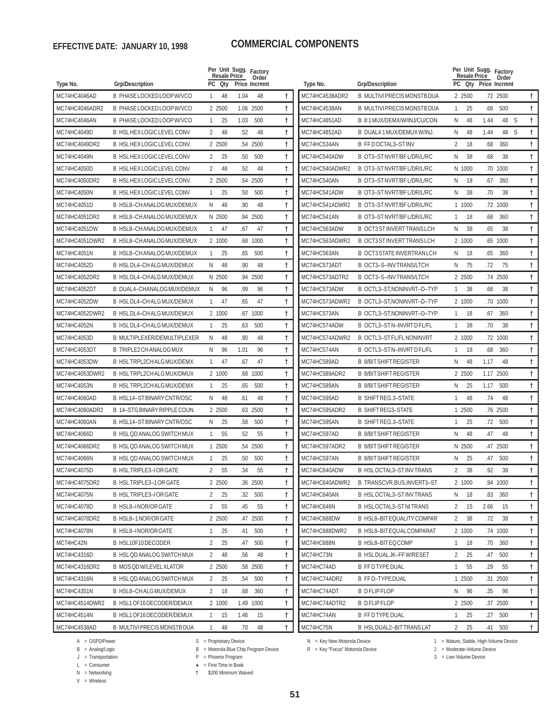|                |                                    | <b>Resale Price</b>  | Per Unit Sugg. Factory     |                                |                                    | Per Unit Sugg. Factory<br><b>Resale Price</b>     |
|----------------|------------------------------------|----------------------|----------------------------|--------------------------------|------------------------------------|---------------------------------------------------|
| Type No.       | <b>Grp/Description</b>             | PC Otv               | Order<br>Price Incrmnt     | Type No.                       | <b>Grp/Description</b>             | Order<br>PC Qty Price Incrmnt                     |
| MC74HC4046AD   | B PHASE LOCKED LOOP W/VCO          | 48<br>1              | 1.04<br>48                 | $^{\dagger}$<br>MC74HC4538ADR2 | <b>B MULTIVIPRECISMONSTBDUA</b>    | $\ddagger$<br>2 2500<br>.72 2500                  |
| MC74HC4046ADR2 | B PHASE LOCKED LOOP W/VCO          | 2 2500               | 1.06 2500                  | $^+$<br>MC74HC4538AN           | <b>B MULTIVIPRECISMONSTBDUA</b>    | 25<br>.68<br>500<br>$^+$<br>$\mathbf{1}$          |
| MC74HC4046AN   | B PHASE LOCKED LOOP W/VCO          | 25<br>$\mathbf{1}$   | 1.03<br>500                | $\ddagger$<br>MC74HC4851AD     | B 8:1MUX/DEMX/W/INJ/CU/CON         | 48 S<br>$\ddagger$<br>N<br>48<br>1.44             |
| MC74HC4049D    | <b>B HSLHEXLOGICLEVELCONV</b>      | 2<br>48              | .52<br>48                  | $^{\dagger}$<br>MC74HC4852AD   | B DUAL4:1 MUX/DEMUX W/INJ.         | 48 S<br>$^{\dagger}$<br>N<br>48<br>1.44           |
| MC74HC4049DR2  | B HSLHEX LOGIC LEVEL CONV.         | 2 2500               | .54 2500<br>$^{\dagger}$   | MC74HC534AN                    | <b>B FF DOCTAL3-STINV</b>          | 18<br>$\ddagger$<br>2<br>.68<br>360               |
| MC74HC4049N    | <b>B HSLHEXLOGICLEVELCONV</b>      | $\overline{2}$<br>25 | $\ddagger$<br>500<br>.50   | MC74HC540ADW                   | <b>B OT3-STNVRT/BFL/DR/L/RC</b>    | $\dagger$<br>38<br>38<br>N<br>.68                 |
| MC74HC4050D    | <b>B HSLHEXLOGICLEVELCONV</b>      | $\overline{2}$<br>48 | .52<br>48                  | $\ddagger$<br>MC74HC540ADWR2   | <b>B OT3-STNVRT/BFL/DR/L/RC</b>    | .70 1000<br>$^+$<br>N 1000                        |
| MC74HC4050DR2  | <b>B HSLHEXLOGICLEVELCONV.</b>     | 2 2500               | .54 2500                   | $\ddagger$<br>MC74HC540AN      | <b>B OT3-STNVRT/BFL/DR/L/RC</b>    | $\ddagger$<br>N<br>18<br>360<br>.67               |
| MC74HC4050N    | <b>B HSLHEXLOGICLEVELCONV</b>      | 25<br>$\mathbf{1}$   | .50<br>500                 | $^{\dagger}$<br>MC74HC541ADW   | <b>B OT3-STNVRT/BFL/DR/L/RC</b>    | $\dagger$<br>N<br>38<br>.70<br>38                 |
| MC74HC4051D    | B HSL8-CHANALOG MUX/DEMUX          | 48<br>N              | $\ddagger$<br>.90<br>48    | MC74HC541ADWR2                 | <b>B OT3-STNVRT/BFL/DR/L/RC</b>    | $\ddagger$<br>1 1000<br>.72 1000                  |
| MC74HC4051DR2  | B HSL8-CHANALOG MUX/DEMUX          | N 2500               | .94 2500                   | $^+$<br>MC74HC541AN            | B OT3-STNVRT/BFL/DR/L/RC           | $^{\dagger}$<br>18<br>360<br>$\mathbf{1}$<br>.68  |
| MC74HC4051DW   | B HSL8-CHANALOG MUX/DEMUX          | 47<br>$\mathbf{1}$   | $\ddagger$<br>.67<br>47    | MC74HC563ADW                   | <b>B OCT3 STINVERT TRANSLCH</b>    | 38<br>38<br>$\ddagger$<br>N<br>.65                |
| MC74HC4051DWR2 | B HSL8-CHANALOG MUX/DEMUX          | 2 1000               | .68 1000                   | $^{\dagger}$<br>MC74HC563ADWR2 | <b>B OCT3 STINVERT TRANSLCH</b>    | $\dagger$<br>2 1000<br>.65 1000                   |
| MC74HC4051N    | B HSL8-CHANALOG MUX/DEMUX          | 25<br>$\mathbf{1}$   | 500<br>$^{\dagger}$<br>.65 | MC74HC563AN                    | <b>B OCT3 STATE INVERTRAN LCH</b>  | $\ddagger$<br>18<br>.65<br>360<br>N               |
| MC74HC4052D    | B HSLDL4-CHALGMUX/DEMUX            | 48<br>N              | $^+$<br>.90<br>48          | MC74HC573ADT                   | <b>B OCT3-S-INVTRANS/LTCH</b>      | $\dagger$<br>75<br>75<br>N<br>.72                 |
| MC74HC4052DR2  | B HSLDL4-CHALGMUX/DEMUX            | N 2500               | 2500<br>.94                | $\ddagger$<br>MC74HC573ADTR2   | <b>B OCT3-S-INVTRANS/LTCH</b>      | 2 2500<br>.74 2500<br>$^+$                        |
| MC74HC4052DT   | B DUAL4-CHANALOGMUX/DEMUX          | 96<br>N              | .99<br>96                  | $\ddagger$<br>MC74HC573ADW     | B OCTL3-ST,NONINVRT-D-TYP          | $\ddagger$<br>38<br>38<br>.68<br>$\mathbf{1}$     |
| MC74HC4052DW   | B HSLDL4-CHALGMUX/DEMUX            | 47<br>$\mathbf{1}$   | 47<br>.65                  | $^{\dagger}$<br>MC74HC573ADWR2 | B OCTL3-ST, NONINVRT-D-TYP         | $\dagger$<br>2 1000<br>.70 1000                   |
| MC74HC4052DWR2 | B HSLDL4-CHALGMUX/DEMUX            | 2 1000               | $^{\dagger}$<br>.67 1000   | MC74HC573AN                    | B OCTL3-ST, NONINVRT-D-TYP         | $\ddagger$<br>18<br>.67<br>360<br>$\mathbf{1}$    |
| MC74HC4052N    | B HSLDL4-CHALGMUX/DEMUX            | 25<br>$\mathbf{1}$   | $^{\dagger}$<br>500<br>.63 | MC74HC574ADW                   | <b>B OCTL3-STN-INVRTDFL/FL</b>     | 38<br>.70<br>38<br>$^{\dagger}$<br>$\mathbf{1}$   |
| MC74HC4053D    | <b>B MULTIPLEXER/DEMULTIPLEXER</b> | 48<br>N              | .90<br>48                  | $^+$<br>MC74HC574ADWR2         | <b>B OCTL3-ST FL/FL NONINVRT</b>   | $\ddagger$<br>2 1000<br>.72 1000                  |
| MC74HC4053DT   | <b>B TRIPLE2 CHANALOG MUX</b>      | 96<br>N              | 1.01<br>96                 | $^{\dagger}$<br>MC74HC574AN    | B OCTL3-STN-INVRTDFL/FL            | $\dagger$<br>18<br>.68<br>360<br>$\mathbf{1}$     |
| MC74HC4053DW   | B HSLTRPL2CHALGMUX/DEMX            | 47<br>$\mathbf{1}$   | 47<br>$^{\dagger}$<br>.67  | MC74HC589AD                    | <b>B 8/BIT SHIFT REGISTER</b>      | 48<br>$\ddagger$<br>N<br>48<br>1.17               |
| MC74HC4053DWR2 | B HSLTRPL2CHALGMUX/DMUX            | 2 1000               | .68<br>1000                | $^+$<br>MC74HC589ADR2          | <b>B 8/BIT SHIFT REGISTER</b>      | $\dagger$<br>2 2500<br>1.17 2500                  |
| MC74HC4053N    | B HSLTRPL2CHALGMUX/DEMX            | 25<br>1              | 500<br>.65                 | $^{\dagger}$<br>MC74HC589AN    | <b>B 8/BIT SHIFT REGISTER</b>      | 25<br>500<br>$^+$<br>N<br>1.17                    |
| MC74HC4060AD   | B HSL14-STBINARY CNTR/OSC          | 48<br>N              | 48<br>.61                  | $^{\dagger}$<br>MC74HC595AD    | <b>B SHIFT REG.3-STATE</b>         | $\ddagger$<br>48<br>48<br>.74<br>1                |
| MC74HC4060ADR2 | <b>B 14-STGBINARY RIPPLE COUN</b>  | 2 2500               | .63 2500                   | $^{\dagger}$<br>MC74HC595ADR2  | <b>B SHIFT REG3-STATE</b>          | $\dagger$<br>1 2500<br>.76 2500                   |
| MC74HC4060AN   | B HSL14-STBINARY CNTR/OSC          | 25<br>N              | $^{\dagger}$<br>.58<br>500 | MC74HC595AN                    | <b>B SHIFT REG.3-STATE</b>         | $^{\dagger}$<br>25<br>.72<br>500<br>$\mathbf{1}$  |
| MC74HC4066D    | B HSLQD ANALOG SWITCH MUX          | 55<br>$\mathbf{1}$   | $^{\dagger}$<br>.52<br>55  | MC74HC597AD                    | <b>B 8/BIT SHIFT REGISTER</b>      | N<br>48<br>.47<br>48<br>$^{\dagger}$              |
| MC74HC4066DR2  | B HSLQD ANALOG SWITCH MUX          | 1 2500               | $\ddagger$<br>.54 2500     | MC74HC597ADR2                  | <b>B 8/BIT SHIFT REGISTER</b>      | $\dagger$<br>N 2500<br>.47 2500                   |
| MC74HC4066N    | B HSLQD ANALOG SWITCH MUX          | 25<br>$\mathbf{1}$   | .50<br>500                 | $^{\dagger}$<br>MC74HC597AN    | <b>B 8/BIT SHIFT REGISTER</b>      | $\dagger$<br>25<br>N<br>.47<br>500                |
| MC74HC4075D    | B HSLTRIPLE3-IOR GATE              | $\overline{2}$<br>55 | 55<br>.34                  | $^+$<br>MC74HC640ADW           | B HSLOCTAL3-STINVTRANS             | 38<br>$^+$<br>$\overline{2}$<br>.92<br>38         |
| MC74HC4075DR2  | B HSLTRIPLE3-1 OR GATE             | 2 2500               | $^+$<br>.36 2500           | MC74HC640ADWR2                 | <b>B TRANSCVR, BUS, INVERT3-ST</b> | $^+$<br>2 1000<br>.94 1000                        |
| MC74HC4075N    | <b>B HSLTRIPLE3-IOR GATE</b>       | 25<br>2              | .32<br>500                 | $^{\dagger}$<br>MC74HC640AN    | B HSLOCTAL3-STINVTRANS             | 18<br>360<br>N<br>.83<br>$\ddagger$               |
| MC74HC4078D    | B HSL8-INOR/OR GATE                | 55<br>$\overline{2}$ | $^{\dagger}$<br>.45<br>55  | MC74HC646N                     | B HSLOCTAL3-STNITRANS              | 15<br>$^\dagger$<br>$\overline{2}$<br>15<br>2.66  |
| MC74HC4078DR2  | B HSL8-1 NOR/OR GATE               | 2 2500               | .47 2500                   | t.<br>MC74HC688DW              | B HSL8-BIT EQUALITY COMPAR         | $\overline{2}$<br>38<br>.72<br>38<br>$^{\dagger}$ |
| MC74HC4078N    | <b>B HSL8-INOR/OR GATE</b>         | 25<br>$\mathbf{1}$   | $^{\dagger}$<br>.41<br>500 | MC74HC688DWR2                  | B HSL8-BIT EQUAL COMPARAT          | 2 1000<br>.74 1000<br>$^{\dagger}$                |
| MC74HC42N      | B HSL10F10DECODER                  | $\overline{2}$<br>25 | $^+$<br>500<br>.47         | MC74HC688N                     | <b>B HSL8-BITEQCOMP</b>            | 18<br>360<br>Ť.<br>$\mathbf{1}$<br>.70            |
| MC74HC4316D    | B HSLQD ANALOG SWITCH MUX          | 48<br>$\overline{2}$ | 48<br>.56                  | $^{\dagger}$<br>MC74HC73N      | B HSLDUALJK-FFW/RESET              | $\overline{2}$<br>25<br>.47<br>500<br>Ť           |
| MC74HC4316DR2  | <b>B MOSQDW/LEVEL XLATOR</b>       | 2 2500               | .58 2500                   | $^{\dagger}$<br>MC74HC74AD     | <b>B FF D TYPE DUAL</b>            | 55<br>.29<br>55<br>$^+$<br>$\mathbf{1}$           |
| MC74HC4316N    | B HSL QD ANALOG SWITCH MUX         | $2 \quad 25$         | 500<br>.54                 | $^{\dagger}$<br>MC74HC74ADR2   | B FF D-TYPE DUAL                   | 1 2500<br>.31 2500<br>$^{\dagger}$                |
| MC74HC4351N    | B HSL8-CHALGMUX/DEMUX              | $\overline{2}$<br>18 | $\ddagger$<br>.68<br>360   | MC74HC74ADT                    | <b>B DFLIPFLOP</b>                 | $^{\dagger}$<br>N.<br>96<br>.35<br>96             |
| MC74HC4514DWR2 | B HSL1OF16DECODER/DEMUX            | 2 1000               | 1.49 1000                  | $^{\dagger}$<br>MC74HC74ADTR2  | <b>B DFLIPFLOP</b>                 | 2 2500<br>.37 2500<br>$^{\dagger}$                |
| MC74HC4514N    | B HSL1OF16DECODER/DEMUX            | 15<br>$\mathbf{1}$   | 1.46<br>15                 | $^{\dagger}$<br>MC74HC74AN     | <b>B FFDTYPE DUAL</b>              | $^{\dagger}$<br>25<br>.27<br>500<br>1             |
| MC74HC4538AD   | <b>B MULTIVI PRECISMONSTB DUA</b>  | 48<br>$\mathbf{1}$   | .70<br>48                  | $^{\dagger}$<br>MC74HC75N      | B HSLDUAL2-BITTRANSLAT             | $\mathbf{2}$<br>25<br>500<br>$^+$<br>.41          |

- 
- 
- 
- N = Networking the three states of the states of the states of the states of the states of the states of the states of the states of the states of the states of the states of the states of the states of the states of the s
- V = Wireless

B = Analog/Logic **B** = Motorola Blue Chip Program Device R = Key "Focus" Motorola Device 2 = Moderate-Volume Device<br>
J = Transportation 2 = Low-Volume Device P = Phoenix Program

P = Phoenix Program

 $L =$  Consumer  $\star =$  First Time in Book

\$200 Minimum Waived

A = OSPD/Power <br>
B = Analog/Logic 
B = Motorola Blue Chip Program Device 
B = Key "Focus" Motorola Device 
A = Key "Focus" Motorola Device 
A = Key "Focus" Motorola Device 
A = Key "Focus" Motorola Device 
A = Key "Focus"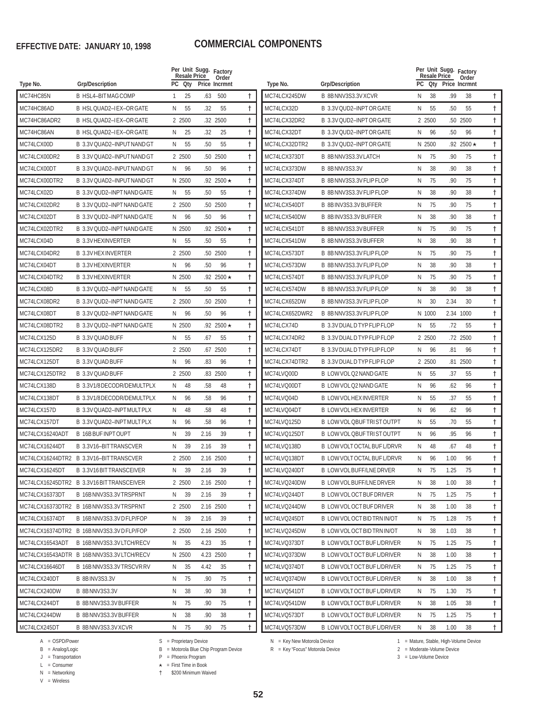| Type No.        | <b>Grp/Description</b>                   | Per Unit Sugg. Factory<br>Resale Price<br>Order<br>Price Incrmnt<br>PC Qty | Type No.       | <b>Grp/Description</b>             | Per Unit Sugg. Factory<br>Resale Price<br>Order<br>PC Qty<br>Price Incrmnt |
|-----------------|------------------------------------------|----------------------------------------------------------------------------|----------------|------------------------------------|----------------------------------------------------------------------------|
| MC74HC85N       | <b>B HSL4-BITMAGCOMP</b>                 | $\dagger$<br>25<br>.63<br>500<br>1                                         | MC74LCX245DW   | B 8B NNV3S3.3V XCVR                | $\ddagger$<br>38<br>.99<br>38<br>N                                         |
| MC74HC86AD      | B HSLQUAD2-IEX-ORGATE                    | $\ddagger$<br>55<br>.32<br>55<br>N                                         | MC74LCX32D     | B 3.3V QUD2-INPT OR GATE           | $\ddagger$<br>55<br>.50<br>55<br>N                                         |
| MC74HC86ADR2    | B HSLQUAD2-IEX-ORGATE                    | $\ddagger$<br>2 2500<br>.32 2500                                           | MC74LCX32DR2   | B 3.3V QUD2-INPT OR GATE           | $^\dagger$<br>.50 2500<br>2 2500                                           |
| MC74HC86AN      | B HSLQUAD2-IEX-ORGATE                    | $\dagger$<br>25<br>25<br>.32<br>N                                          | MC74LCX32DT    | B 3.3V QUD2-INPT OR GATE           | $\ddagger$<br>.50<br>96<br>N<br>96                                         |
| MC74LCX00D      | B 3.3V QUAD2-INPUT NAND GT               | $\ddagger$<br>55<br>.50<br>55<br>N                                         | MC74LCX32DTR2  | B 3.3V QUD2-INPT OR GATE           | $\dagger$<br>N 2500<br>.92 2500 $\star$                                    |
| MC74LCX00DR2    | B 3.3V QUAD2-INPUT NAND GT               | $\dagger$<br>2 2500<br>.50 2500                                            | MC74LCX373DT   | B 8BNNV3S3.3VLATCH                 | 75<br>.90<br>75<br>$^{\dagger}$<br>Ν                                       |
| MC74LCX00DT     | B 3.3V QUAD2-INPUT NAND GT               | $\ddagger$<br>96<br>96<br>N<br>.50                                         | MC74LCX373DW   | <b>B 8BNNV3S3.3V</b>               | $\ddagger$<br>38<br>.90<br>38<br>N                                         |
| MC74LCX00DTR2   | B 3.3V QUAD2-INPUT NAND GT               | t.<br>N 2500<br>.92 2500 $\star$                                           | MC74LCX374DT   | B 8BNNV3S3.3VFLIPFLOP              | $\dagger$<br>75<br>.90<br>75<br>N                                          |
| MC74LCX02D      | B 3.3V QUD2-INPT NAND GATE               | $^{\dagger}$<br>N<br>55<br>.50<br>55                                       | MC74LCX374DW   | B 8BNNV3S3.3VFLIPFLOP              | $^\dagger$<br>38<br>38<br>N<br>.90                                         |
| MC74LCX02DR2    | B 3.3V QUD2-INPT NAND GATE               | $\dagger$<br>2 2500<br>.50 2500                                            | MC74LCX540DT   | B 8BINV3S3.3VBUFFER                | $\dagger$<br>75<br>.90<br>75<br>N                                          |
| MC74LCX02DT     | B 3.3V QUD2-INPT NAND GATE               | $^{\dagger}$<br>96<br>96<br>N<br>.50                                       | MC74LCX540DW   | B 8BINV3S3.3VBUFFER                | $^\dagger$<br>38<br>38<br>Ν<br>.90                                         |
| MC74LCX02DTR2   | B 3.3V QUD2-INPT NAND GATE               | $\ddagger$<br>N 2500<br>.92 2500 $\star$                                   | MC74LCX541DT   | B 8B NNV3S3.3V BUFFER              | $\ddagger$<br>75<br>75<br>Ν<br>.90                                         |
| MC74LCX04D      | <b>B 3.3VHEXINVERTER</b>                 | $\dagger$<br>.50<br>55<br>55<br>N                                          | MC74LCX541DW   | B 8BNNV3S3.3VBUFFER                | $\ddagger$<br>38<br>.90<br>38<br>Ν                                         |
| MC74LCX04DR2    | <b>B 3.3VHEXINVERTER</b>                 | $\ddagger$<br>2 2500<br>.50 2500                                           | MC74LCX573DT   | B 8BNNV3S3.3V FLIP FLOP            | $\dagger$<br>75<br>.90<br>75<br>N                                          |
| MC74LCX04DT     | <b>B 3.3VHEXINVERTER</b>                 | $\dagger$<br>96<br>.50<br>96<br>N                                          | MC74LCX573DW   | B 8BNNV3S3.3V FLIP FLOP            | $\ddagger$<br>38<br>.90<br>38<br>N                                         |
| MC74LCX04DTR2   | <b>B 3.3VHEXINVERTER</b>                 | $\dagger$<br>N 2500<br>92 2500 $\star$                                     | MC74LCX574DT   | B 8BNNV3S3.3V FLIP FLOP            | $\ddagger$<br>75<br>.90<br>75<br>N                                         |
| MC74LCX08D      | B 3.3V QUD2-INPT NAND GATE               | t.<br>55<br>.50<br>55<br>N                                                 | MC74LCX574DW   | B 8BNNV3S3.3VFLIPFLOP              | $^\dagger$<br>N<br>38<br>.90<br>38                                         |
| MC74LCX08DR2    | B 3.3V QUD2-INPT NAND GATE               | .50 2500<br>$\ddagger$<br>2 2500                                           | MC74LCX652DW   | B 8BNNV3S3.3VFLIPFLOP              | $\dagger$<br>Ν<br>30<br>2.34<br>30                                         |
| MC74LCX08DT     | B 3.3V QUD2-INPT NAND GATE               | $\dagger$<br>96<br>96<br>.50<br>N                                          | MC74LCX652DWR2 | B 8BNNV3S3.3V FLIP FLOP            | $\dagger$<br>N 1000<br>2.34 1000                                           |
| MC74LCX08DTR2   | B 3.3V QUD2-INPT NAND GATE               | $\ddagger$<br>N 2500<br>.92 2500 $\star$                                   | MC74LCX74D     | B 3.3V DUAL D TYP FLIP FLOP        | $\ddagger$<br>55<br>.72<br>55<br>N                                         |
| MC74LCX125D     | B 3.3V QUAD BUFF                         | $\ddagger$<br>55<br>.67<br>55<br>N                                         | MC74LCX74DR2   | <b>B 3.3V DUAL D TYP FLIP FLOP</b> | $\dagger$<br>2 2500<br>.72 2500                                            |
| MC74LCX125DR2   | B 3.3V QUAD BUFF                         | $\dagger$<br>.67 2500<br>2 2500                                            | MC74LCX74DT    | B 3.3V DUAL D TYP FLIP FLOP        | $\ddagger$<br>96<br>.81<br>96<br>N                                         |
| MC74LCX125DT    | B 3.3V QUAD BUFF                         | $\ddagger$<br>N<br>96<br>.83<br>96                                         | MC74LCX74DTR2  | <b>B 3.3V DUAL D TYP FLIP FLOP</b> | $\dagger$<br>2 2500<br>.81 2500                                            |
| MC74LCX125DTR2  | B 3.3V QUAD BUFF                         | $\dagger$<br>2 2500<br>.83 2500                                            | MC74LVQ00D     | B LOW VOL Q2 NAND GATE             | $\dagger$<br>55<br>.37<br>55<br>Ν                                          |
| MC74LCX138D     | B 3.3V1/8DECODR/DEMULTPLX                | $\ddagger$<br>48<br>.58<br>48<br>N                                         | MC74LVQ00DT    | B LOW VOL Q2 NAND GATE             | $\dagger$<br>N<br>96<br>.62<br>96                                          |
| MC74LCX138DT    | B 3.3V1/8DECODR/DEMULTPLX                | 96<br>$^\dagger$<br>96<br>.58<br>N                                         | MC74LVQ04D     | <b>B LOW VOLHEX INVERTER</b>       | $\dagger$<br>Ν<br>55<br>.37<br>55                                          |
| MC74LCX157D     | B 3.3V QUAD2-INPT MULT PLX               | $\dagger$<br>48<br>.58<br>48<br>N                                          | MC74LVQ04DT    | <b>B LOW VOLHEX INVERTER</b>       | .62<br>96<br>$\dagger$<br>N<br>96                                          |
| MC74LCX157DT    | B 3.3V QUAD2-INPT MULT PLX               | $\dagger$<br>96<br>.58<br>96<br>N                                          | MC74LVQ125D    | B LOW VOL QBUF TRIST OUTPT         | $\dagger$<br>55<br>.70<br>55<br>N                                          |
| MC74LCX16240ADT | <b>B 16B BUF INPT OUPT</b>               | $\ddagger$<br>39<br>39<br>2.16<br>N                                        | MC74LVQ125DT   | B LOW VOL QBUF TRIST OUTPT         | $\ddagger$<br>.95<br>96<br>96<br>N                                         |
| MC74LCX16244DT  | B 3.3V16-BITTRANSCVER                    | $\ddagger$<br>39<br>39<br>2.16<br>N                                        | MC74LVQ138D    | <b>B LOW VOLT OCTAL BUF L/DRVR</b> | $^\dagger$<br>48<br>.67<br>48<br>N                                         |
|                 | MC74LCX16244DTR2 B 3.3V16-BITTRANSCVER   | $\dagger$<br>2 2500<br>2.16 2500                                           | MC74LVQ138DT   | <b>B LOW VOLT OCTAL BUF L/DRVR</b> | $\dagger$<br>96<br>96<br>1.00<br>N                                         |
| MC74LCX16245DT  | <b>B 3.3V16BITTRANSCEIVER</b>            | $\dagger$<br>39<br>2.16<br>39<br>N                                         | MC74LVQ240DT   | <b>B LOW VOL BUFF/LNE DRVER</b>    | $\ddagger$<br>75<br>1.25<br>75<br>N                                        |
|                 | MC74LCX16245DTR2 B 3.3V16BITTRANSCEIVER  | $\dagger$<br>2.16 2500<br>2 2500                                           | MC74LVQ240DW   | <b>B LOW VOL BUFF/LNE DRVER</b>    | $^{\dagger}$<br>38<br>38<br>N<br>1.00                                      |
| MC74LCX16373DT  | B 16BNNV3S3.3VTRSPRNT                    | $^\dagger$<br>- 39<br>2.16<br>39<br>N                                      | MC74LVQ244DT   | <b>B LOW VOLOCT BUF DRIVER</b>     | $\ddagger$<br>N<br>75<br>1.25<br>75                                        |
|                 | MC74LCX16373DTR2 B 16BNNV3S3.3VTRSPRNT   | $\dagger$<br>2 2500<br>2.16 2500                                           | MC74LVQ244DW   | <b>B LOW VOLOCT BUF DRIVER</b>     | $^{\dagger}$<br>38<br>1.00<br>38<br>N                                      |
| MC74LCX16374DT  | B 16BNNV3S3.3VDFLP/FOP                   | 39<br>$\dagger$<br>N 39<br>2.16                                            | MC74LVQ245DT   | B LOW VOL OCT BID TRN IN/OT        | 75<br>1.28<br>75<br>Ť<br>N                                                 |
|                 | MC74LCX16374DTR2 B 16BNNV3S3.3VDFLP/FOP  | $\dagger$<br>2 2500<br>2.16 2500                                           | MC74LVQ245DW   | B LOW VOLOCT BID TRN IN/OT         | $\dagger$<br>38<br>1.03<br>38<br>N                                         |
| MC74LCX16543ADT | B 16BNNV3S3.3VLTCH/RECV                  | $\dagger$<br>4.23<br>35<br>N<br>35                                         | MC74LVQ373DT   | <b>B LOW VOLT OCT BUF L/DRIVER</b> | Ť<br>N<br>75<br>1.25<br>75                                                 |
|                 | MC74LCX16543ADTR B 16BNNV3S3.3VLTCH/RECV | $\dagger$<br>4.23 2500<br>N 2500                                           | MC74LVQ373DW   | <b>B LOW VOLT OCT BUF L/DRIVER</b> | $\dagger$<br>38<br>1.00<br>38<br>N                                         |
| MC74LCX16646DT  | B 16BNNV3S3.3VTRSCVRRV                   | $\dagger$<br>35<br>35<br>4.42<br>N                                         | MC74LVQ374DT   | <b>B LOW VOLT OCT BUF L/DRIVER</b> | $\ddagger$<br>75<br>75<br>N<br>1.25                                        |
| MC74LCX240DT    | <b>B 8BINV3S3.3V</b>                     | $\dagger$<br>75<br>75<br>.90<br>N                                          | MC74LVQ374DW   | <b>B LOW VOLT OCT BUF L/DRIVER</b> | 38<br>38<br>$^{\dagger}$<br>N<br>1.00                                      |
| MC74LCX240DW    | <b>B 8BNNV3S3.3V</b>                     | 38<br>$^{\dagger}$<br>38<br>.90<br>N                                       | MC74LVQ541DT   | <b>B LOW VOLT OCT BUF L/DRIVER</b> | $^{\dagger}$<br>75<br>1.30<br>75<br>N                                      |
| MC74LCX244DT    | B 8BNNV3S3.3VBUFFER                      | $\ddagger$<br>75<br>.90<br>75<br>N                                         | MC74LVQ541DW   | <b>B LOW VOLT OCT BUF L/DRIVER</b> | $\dagger$<br>38<br>1.05<br>38<br>N                                         |
| MC74LCX244DW    | B 8BNNV3S3.3VBUFFER                      | $\dagger$<br>38<br>.90<br>38<br>N                                          | MC74LVQ573DT   | <b>B LOWVOLT OCTBUF L/DRIVER</b>   | $\ddagger$<br>75<br>75<br>N<br>1.25                                        |
| MC74LCX245DT    | B 8BNNV3S3.3VXCVR                        | $\dagger$<br>.90<br>75<br>N<br>75                                          | MC74LVQ573DW   | <b>B LOW VOLT OCTBUF L/DRIVER</b>  | $\ddagger$<br>38<br>1.00<br>38<br>N                                        |

- 
- 
- 
- $L = \text{Consumer}$ <br>  $N = \text{Networking}$ <br>  $V = \text{Wireless}$
- 

- J = Transportation P = Phoenix Program 3 = Low-Volume Device
- $L =$  Consumer  $\star =$  First Time in Book
	-
- N = Networking extensive that the state of the state of the state of the state of the state of the state of the state of the state of the state of the state of the state of the state of the state of the state of the state
- 
- A = OSPD/Power external states and S = Proprietary Device N = Key New Motorola Device 1 = Mature, Stable, High-Volume Device

B = Analog/Logic entropy of the Motorola Blue Chip Program Device R = Key "Focus" Motorola Device 2 = Moderate-Volume Device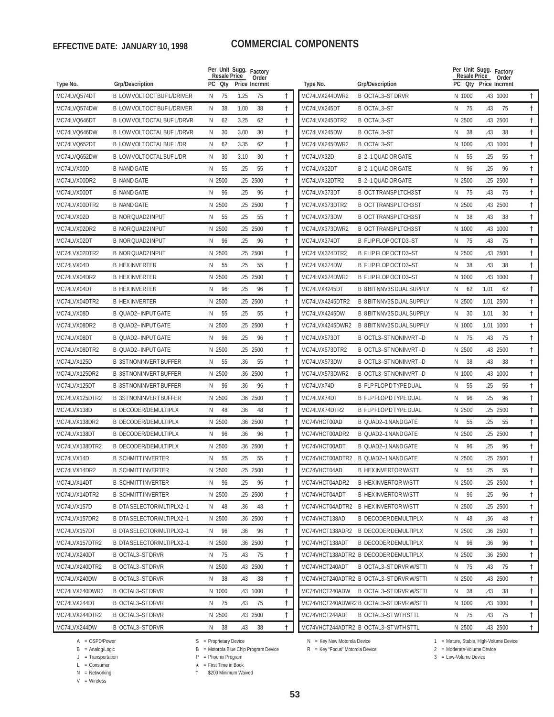|                |                                    | Per Unit Sugg. Factory<br><b>Resale Price</b><br>Order |                 |                                          | Per Unit Sugg. Factory<br><b>Resale Price</b><br>Order |
|----------------|------------------------------------|--------------------------------------------------------|-----------------|------------------------------------------|--------------------------------------------------------|
| Type No.       | <b>Grp/Description</b>             | PC Qty<br>Price Incrmnt                                | Type No.        | <b>Grp/Description</b>                   | PC Qty Price Incrmnt                                   |
| MC74LVQ574DT   | <b>B LOW VOLT OCT BUF L/DRIVER</b> | $^\dagger$<br>75<br>1.25<br>75<br>Ν                    | MC74LVX244DWR2  | <b>B OCTAL3-ST DRVR</b>                  | $\dagger$<br>N 1000<br>.43 1000                        |
| MC74LVQ574DW   | <b>B LOW VOLT OCT BUF L/DRIVER</b> | 38<br>$^{\dagger}$<br>N<br>38<br>1.00                  | MC74LVX245DT    | <b>B OCTAL3-ST</b>                       | 75<br>75<br>N<br>.43<br>$^+$                           |
| MC74LVQ646DT   | <b>B LOW VOLT OCTAL BUF L/DRVR</b> | $\ddagger$<br>62<br>62<br>N<br>3.25                    | MC74LVX245DTR2  | <b>B OCTAL3-ST</b>                       | .43 2500<br>$\ddagger$<br>N 2500                       |
| MC74LVQ646DW   | <b>B LOW VOLT OCTAL BUF L/DRVR</b> | $\ddagger$<br>30<br>N<br>30<br>3.00                    | MC74LVX245DW    | <b>B OCTAL3-ST</b>                       | $\dagger$<br>N<br>38<br>.43<br>38                      |
| MC74LVQ652DT   | B LOW VOLT OCTAL BUF L/DR          | 3.35<br>62<br>$^{\dagger}$<br>N<br>62                  | MC74LVX245DWR2  | <b>B OCTAL3-ST</b>                       | .43 1000<br>$\ddagger$<br>N 1000                       |
| MC74LVQ652DW   | B LOW VOLT OCTAL BUF L/DR          | $\ddagger$<br>30<br>30<br>N<br>3.10                    | MC74LVX32D      | B 2-1 QUAD OR GATE                       | $\ddagger$<br>55<br>Ν<br>55<br>.25                     |
| MC74LVX00D     | <b>B NAND GATE</b>                 | $\dagger$<br>55<br>.25<br>55<br>N                      | MC74LVX32DT     | B 2-1 QUAD OR GATE                       | 96<br>.25<br>96<br>$\dagger$<br>N                      |
| MC74LVX00DR2   | <b>B NAND GATE</b>                 | $\ddagger$<br>N 2500<br>.25 2500                       | MC74LVX32DTR2   | B 2-1 QUAD OR GATE                       | N 2500<br>.25 2500<br>$^+$                             |
| MC74LVX00DT    | <b>B NAND GATE</b>                 | $^\dagger$<br>Ν<br>96<br>.25<br>96                     | MC74LVX373DT    | <b>B OCTTRANSPLTCH3 ST</b>               | 75<br>.43<br>75<br>$^+$<br>N.                          |
| MC74LVX00DTR2  | <b>B NAND GATE</b>                 | .25 2500<br>$^{\dagger}$<br>N 2500                     | MC74LVX373DTR2  | <b>B OCT TRANSPLTCH3 ST</b>              | .43 2500<br>$^{\dagger}$<br>N 2500                     |
| MC74LVX02D     | <b>B NOR QUAD2 INPUT</b>           | $^{\dagger}$<br>55<br>.25<br>55<br>N                   | MC74LVX373DW    | <b>B OCT TRANSPLTCH3 ST</b>              | $^+$<br>38<br>.43<br>38<br>N                           |
| MC74LVX02DR2   | <b>B NOR QUAD2 INPUT</b>           | $\ddagger$<br>N 2500<br>.25 2500                       | MC74LVX373DWR2  | <b>B OCT TRANSPLTCH3 ST</b>              | .43 1000<br>$\ddagger$<br>N 1000                       |
| MC74LVX02DT    | <b>B NOR QUAD2 INPUT</b>           | $^{\dagger}$<br>Ν<br>96<br>.25<br>96                   | MC74LVX374DT    | <b>B FLIP FLOP OCT D3-ST</b>             | $\ddagger$<br>- 75<br>.43<br>75<br>N.                  |
| MC74LVX02DTR2  | <b>B NOR QUAD2 INPUT</b>           | N 2500<br>.25 2500<br>$^{\dagger}$                     | MC74LVX374DTR2  | <b>B FLIP FLOP OCT D3-ST</b>             | N 2500<br>.43 2500<br>$^{\dagger}$                     |
| MC74LVX04D     | <b>B HEXINVERTER</b>               | $\ddagger$<br>55<br>.25<br>55<br>N                     | MC74LVX374DW    | <b>B FLIP FLOP OCT D3-ST</b>             | $^+$<br>38<br>N<br>38<br>.43                           |
| MC74LVX04DR2   | <b>B HEXINVERTER</b>               | $\dagger$<br>N 2500<br>2500<br>.25                     | MC74LVX374DWR2  | <b>B FLIP FLOP OCT D3-ST</b>             | .43 1000<br>$\dagger$<br>N 1000                        |
| MC74LVX04DT    | <b>B HEXINVERTER</b>               | $\ddagger$<br>96<br>96<br>Ν<br>.25                     | MC74LVX4245DT   | B 8 BIT NNV3S DUAL SUPPLY                | $\ddagger$<br>1.01<br>N<br>62<br>62                    |
| MC74LVX04DTR2  | <b>B HEXINVERTER</b>               | N 2500<br>.25 2500<br>$^{\dagger}$                     | MC74LVX4245DTR2 | <b>B 8 BIT NNV3S DUAL SUPPLY</b>         | 1.01 2500<br>N 2500<br>$^+$                            |
| MC74LVX08D     | <b>B QUAD2-INPUT GATE</b>          | $^{\dagger}$<br>N<br>-55<br>.25<br>55                  | MC74LVX4245DW   | <b>B 8 BIT NNV3S DUAL SUPPLY</b>         | 30<br>$^{\dagger}$<br>30<br>1.01<br>N                  |
| MC74LVX08DR2   | <b>B QUAD2-INPUT GATE</b>          | $^{\dagger}$<br>N 2500<br>.25 2500                     | MC74LVX4245DWR2 | <b>B 8 BIT NNV3S DUAL SUPPLY</b>         | N 1000<br>1.01 1000<br>$^+$                            |
| MC74LVX08DT    | <b>B QUAD2-INPUT GATE</b>          | $\ddagger$<br>96<br>96<br>N<br>.25                     | MC74LVX573DT    | <b>B OCTL3-STNONINVRT-D</b>              | $^+$<br>N<br>75<br>.43<br>75                           |
| MC74LVX08DTR2  | <b>B QUAD2-INPUT GATE</b>          | $\ddagger$<br>N 2500<br>.25 2500                       | MC74LVX573DTR2  | <b>B OCTL3-STNONINVRT-D</b>              | $\ddagger$<br>.43 2500<br>N 2500                       |
| MC74LVX125D    | <b>B 3ST NONINVERT BUFFER</b>      | 55<br>$^{\dagger}$<br>.36<br>55<br>N                   | MC74LVX573DW    | <b>B OCTL3-STNONINVRT-D</b>              | 38<br>38<br>$\dagger$<br>N<br>.43                      |
| MC74LVX125DR2  | <b>B 3ST NONINVERT BUFFER</b>      | $\ddagger$<br>N 2500<br>.36 2500                       | MC74LVX573DWR2  | <b>B OCTL3-STNONINVRT-D</b>              | $^+$<br>N 1000<br>.43 1000                             |
| MC74LVX125DT   | <b>B 3ST NONINVERT BUFFER</b>      | $\dagger$<br>96<br>.36<br>96<br>N                      | MC74LVX74D      | <b>B FLPFLOP D TYPE DUAL</b>             | 55<br>.25<br>55<br>$\dagger$<br>N                      |
| MC74LVX125DTR2 | <b>B 3ST NONINVERT BUFFER</b>      | $\ddagger$<br>N 2500<br>.36 2500                       | MC74LVX74DT     | <b>B FLPFLOP D TYPE DUAL</b>             | $\ddagger$<br>96<br>96<br>N<br>.25                     |
| MC74LVX138D    | <b>B DECODER/DEMULTIPLX</b>        | $^{\dagger}$<br>48<br>.36<br>48<br>N                   | MC74LVX74DTR2   | <b>B FLPFLOP D TYPE DUAL</b>             | .25 2500<br>N 2500<br>$^+$                             |
| MC74LVX138DR2  | <b>B DECODER/DEMULTIPLX</b>        | .36 2500<br>$^{\dagger}$<br>N 2500                     | MC74VHCT00AD    | B QUAD2-1 NAND GATE                      | $^{\dagger}$<br>N<br>55<br>.25<br>55                   |
| MC74LVX138DT   | <b>B DECODER/DEMULTIPLX</b>        | $^{\dagger}$<br>N<br>96<br>.36<br>96                   | MC74VHCT00ADR2  | B QUAD2-1 NAND GATE                      | N 2500<br>.25 2500<br>$^+$                             |
| MC74LVX138DTR2 | <b>B DECODER/DEMULTIPLX</b>        | $^{\dagger}$<br>N 2500<br>.36 2500                     | MC74VHCT00ADT   | B QUAD2-1 NAND GATE                      | $^{\dagger}$<br>N<br>96<br>.25<br>96                   |
| MC74LVX14D     | <b>B SCHMITTINVERTER</b>           | $^{\dagger}$<br>N<br>55<br>.25<br>55                   | MC74VHCT00ADTR2 | B QUAD2-1 NAND GATE                      | $\dagger$<br>.25 2500<br>N 2500                        |
| MC74LVX14DR2   | <b>B SCHMITTINVERTER</b>           | $+$<br>N 2500<br>25 2500                               | MC74VHCT04AD    | <b>B HEXINVERTOR W/STT</b>               | $^+$<br>N 55<br>.25<br>55                              |
| MC74LVX14DT    | <b>B SCHMITTINVERTER</b>           | N 96<br>96<br>$^{\dagger}$<br>.25                      | MC74VHCT04ADR2  | <b>B HEXINVERTOR W/STT</b>               | $^+$<br>N 2500<br>.25 2500                             |
| MC74LVX14DTR2  | <b>B SCHMITTINVERTER</b>           | $^{\dagger}$<br>N 2500<br>.25 2500                     | MC74VHCT04ADT   | <b>B HEXINVERTOR W/STT</b>               | N.<br>96<br>.25<br>96<br>$\ddagger$                    |
| MC74LVX157D    | <b>B DTASELECTOR/MLTIPLX2-1</b>    | $^{\dagger}$<br>48<br>N 48<br>.36                      | MC74VHCT04ADTR2 | <b>B HEXINVERTOR W/STT</b>               | .25 2500<br>$\ddagger$<br>N 2500                       |
| MC74LVX157DR2  | <b>B DTASELECTOR/MLTIPLX2-1</b>    | N 2500<br>.36 2500<br>t                                | MC74VHCT138AD   | <b>B DECODER DEMULTIPLX</b>              | .36<br>48<br>$^{+}$<br>N,<br>48                        |
| MC74LVX157DT   | <b>B DTASELECTOR/MLTIPLX2-1</b>    | 96<br>$^\dagger$<br>N 96<br>.36                        |                 | MC74VHCT138ADR2 B DECODER DEMULTIPLX     | $^\dagger$<br>N 2500<br>.36 2500                       |
| MC74LVX157DTR2 | <b>B DTASELECTOR/MLTIPLX2-1</b>    | $^\dagger$<br>N 2500<br>.36 2500                       | MC74VHCT138ADT  | <b>B DECODER DEMULTIPLX</b>              | $^+$<br>N.<br>96<br>.36<br>96                          |
| MC74LVX240DT   | <b>B OCTAL3-STDRVR</b>             | $\dagger$<br>N 75<br>.43<br>75                         |                 | MC74VHCT138ADTR2 B DECODER DEMULTIPLX    | N 2500<br>.36 2500<br>$\ddagger$                       |
| MC74LVX240DTR2 | <b>B OCTAL3-STDRVR</b>             | $^{\dagger}$<br>N 2500<br>.43 2500                     | MC74VHCT240ADT  | <b>B OCTAL3-ST DRVR W/STTI</b>           | $^+$<br>N 75<br>.43<br>75                              |
| MC74LVX240DW   | B OCTAL3-ST DRVR                   | $^\dagger$<br>N 38<br>.43<br>38                        |                 | MC74VHCT240ADTR2 B OCTAL3-STDRVRW/STTI   | .43 2500<br>N 2500<br>$^+$                             |
| MC74LVX240DWR2 | B OCTAL3-STDRVR                    | $\ddagger$<br>N 1000<br>.43 1000                       | MC74VHCT240ADW  | <b>B OCTAL3-ST DRVR W/STTI</b>           | $^+$<br>38<br>.43<br>38<br>N.                          |
| MC74LVX244DT   | <b>B OCTAL3-ST DRVR</b>            | 75<br>75<br>$^\dagger$<br>N<br>.43                     |                 | MC74VHCT240ADWR2 B OCTAL3-ST DRVR W/STTI | $\ddagger$<br>N 1000<br>.43 1000                       |
| MC74LVX244DTR2 | B OCTAL3-ST DRVR                   | $^{\dagger}$<br>N 2500<br>.43 2500                     | MC74VHCT244ADT  | <b>B OCTAL3-ST WTH STTL</b>              | $\ddagger$<br>N 75<br>.43<br>75                        |
| MC74LVX244DW   | <b>B OCTAL3-STDRVR</b>             | $^{\dagger}$<br>N 38<br>.43<br>38                      |                 | MC74VHCT244ADTR2 B OCTAL3-STWTH STTL     | N 2500<br>.43 2500<br>$^{+}$                           |

- 
- 
- 
- 

B = Analog/Logic entropyrology by B = Motorola Blue Chip Program Device R = Key "Focus" Motorola Device 2 = Moderate-Volume Device

J = Transportation P = Phoenix Program 3 = Low-Volume Device

 $L =$  Consumer  $\star =$  First Time in Book

N = Networking - and the state of the state of the state of the state of the state of the state of the state of the state of the state of the state of the state of the state of the state of the state of the state of the st

A = OSPD/Power external states and S = Proprietary Device N = Key New Motorola Device 1 = Mature, Stable, High-Volume Device

- $L = \text{Consumer}$ <br>  $N = \text{Networking}$ <br>  $V = \text{Wireless}$
-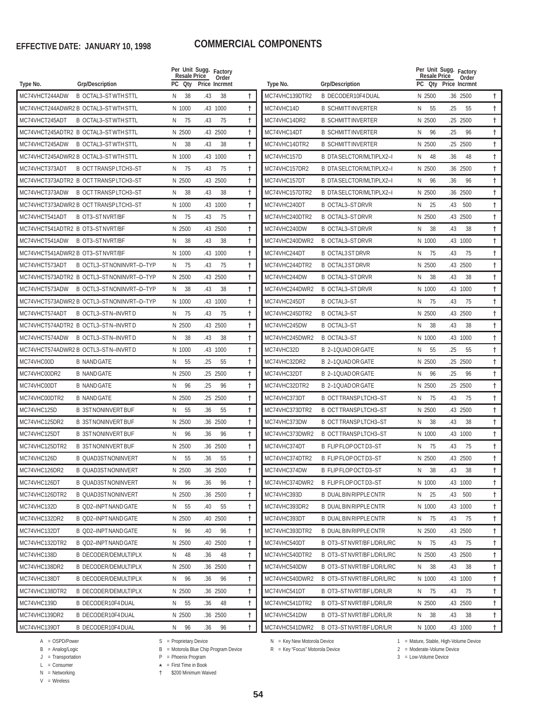|                                   |                                           |           | Per Unit Sugg. Factory<br>Resale Price Order |                |                                  |           | Per Unit Sugg. Factory<br>Resale Price Order |
|-----------------------------------|-------------------------------------------|-----------|----------------------------------------------|----------------|----------------------------------|-----------|----------------------------------------------|
| Type No.                          | <b>Grp/Description</b>                    |           | PC Qty Price Incrmnt                         | Type No.       | <b>Grp/Description</b>           |           | PC Qty Price Incrmnt                         |
| MC74VHCT244ADW                    | <b>B OCTAL3-STWTH STTL</b>                | 38<br>N   | $\ddagger$<br>.43<br>38                      | MC74VHC139DTR2 | <b>B DECODER10F4DUAL</b>         | N 2500    | $\ddagger$<br>.36 2500                       |
|                                   | MC74VHCT244ADWR2 B OCTAL3-STWTH STTL      | N 1000    | $\ddagger$<br>.43 1000                       | MC74VHC14D     | <b>B SCHMITTINVERTER</b>         | N<br>55   | 55<br>$\ddagger$<br>.25                      |
| MC74VHCT245ADT                    | <b>B OCTAL3-STWTHSTTL</b>                 | 75<br>N   | $^\dagger$<br>.43<br>75                      | MC74VHC14DR2   | <b>B SCHMITTINVERTER</b>         | N 2500    | $^\dagger$<br>.25 2500                       |
|                                   | MC74VHCT245ADTR2 B OCTAL3-STWTH STTL      | N 2500    | $^{\dagger}$<br>.43 2500                     | MC74VHC14DT    | <b>B SCHMITTINVERTER</b>         | Ν<br>96   | $\ddagger$<br>.25<br>96                      |
| MC74VHCT245ADW                    | <b>B OCTAL3-STWTH STTL</b>                | N<br>38   | 38<br>$\ddagger$<br>.43                      | MC74VHC14DTR2  | <b>B SCHMITTINVERTER</b>         | N 2500    | $\ddagger$<br>.25 2500                       |
|                                   | MC74VHCT245ADWR2 B OCTAL3-STWTH STTL      | N 1000    | $\ddagger$<br>.43 1000                       | MC74VHC157D    | <b>B DTA SELCTOR/MLTIPLX2-I</b>  | Ν<br>48   | $\ddagger$<br>.36<br>48                      |
| MC74VHCT373ADT                    | <b>B OCTTRANSPLTCH3-ST</b>                | 75<br>N   | $\ddagger$<br>.43<br>75                      | MC74VHC157DR2  | <b>B DTA SELCTOR/MLTIPLX2-I</b>  | N 2500    | $\ddagger$<br>.36 2500                       |
|                                   | MC74VHCT373ADTR2 B OCTTRANSPLTCH3-ST      | N 2500    | .43 2500<br>$^{\dagger}$                     | MC74VHC157DT   | <b>B DTA SELCTOR/MLTIPLX2-I</b>  | N 96      | $\dagger$<br>.36<br>96                       |
| MC74VHCT373ADW                    | B OCTTRANSPLTCH3-ST                       | 38<br>N   | .43<br>38<br>$\ddagger$                      | MC74VHC157DTR2 | <b>B DTASELCTOR/MLTIPLX2-I</b>   | N 2500    | .36 2500<br>$\dagger$                        |
|                                   | MC74VHCT373ADWR2 B OCTTRANSPLTCH3-ST      | N 1000    | $\ddagger$<br>.43 1000                       | MC74VHC240DT   | <b>B OCTAL3-STDRVR</b>           | N<br>25   | 500<br>$\dagger$<br>.43                      |
| MC74VHCT541ADT                    | <b>B OT3-STNVRT/BF</b>                    | 75<br>N   | $\ddagger$<br>.43<br>75                      | MC74VHC240DTR2 | <b>B OCTAL3-STDRVR</b>           | N 2500    | .43 2500<br>$\ddagger$                       |
| MC74VHCT541ADTR2 B OT3-STNVRT/BF  |                                           | N 2500    | .43 2500<br>$^{\dagger}$                     | MC74VHC240DW   | <b>B OCTAL3-STDRVR</b>           | 38<br>N   | $^\dagger$<br>.43<br>38                      |
| MC74VHCT541ADW B OT3-STNVRT/BF    |                                           | N<br>38   | $^{\dagger}$<br>38<br>.43                    | MC74VHC240DWR2 | <b>B OCTAL3-STDRVR</b>           | N 1000    | $\ddagger$<br>.43 1000                       |
| MC74VHCT541ADWR2 B OT3-ST NVRT/BF |                                           | N 1000    | $^+$<br>.43 1000                             | MC74VHC244DT   | <b>B OCTAL3 ST DRVR</b>          | - 75<br>N | 75<br>$\dagger$<br>.43                       |
| MC74VHCT573ADT                    | <b>B OCTL3-STNONINVRT-D-TYP</b>           | 75<br>N   | $\ddagger$<br>.43<br>75                      | MC74VHC244DTR2 | <b>B OCTAL3 ST DRVR</b>          | N 2500    | $\ddagger$<br>.43 2500                       |
|                                   | MC74VHCT573ADTR2 B OCTL3-STNONINVRT-D-TYP | N 2500    | $\ddagger$<br>.43 2500                       | MC74VHC244DW   | <b>B OCTAL3-STDRVR</b>           | 38<br>N   | $\ddagger$<br>38<br>.43                      |
| MC74VHCT573ADW                    | B OCTL3-STNONINVRT-D-TYP                  | 38<br>N   | 38<br>$^{\dagger}$<br>.43                    | MC74VHC244DWR2 | <b>B OCTAL3-STDRVR</b>           | N 1000    | $^\dagger$<br>.43 1000                       |
|                                   | MC74VHCT573ADWR2 B OCTL3-STNONINVRT-D-TYP | N 1000    | .43 1000<br>$\ddagger$                       | MC74VHC245DT   | <b>B OCTAL3-ST</b>               | N 75      | 75<br>$\ddagger$<br>.43                      |
| MC74VHCT574ADT                    | <b>B OCTL3-STN-INVRTD</b>                 | 75<br>N   | 75<br>$\ddagger$<br>.43                      | MC74VHC245DTR2 | <b>B OCTAL3-ST</b>               | N 2500    | .43 2500<br>$\dagger$                        |
|                                   | MC74VHCT574ADTR2 B OCTL3-STN-INVRTD       | N 2500    | .43 2500<br>$\ddagger$                       | MC74VHC245DW   | <b>B OCTAL3-ST</b>               | 38<br>N   | $\ddagger$<br>.43<br>38                      |
|                                   | MC74VHCT574ADW B OCTL3-STN-INVRTD         | 38<br>N   | $^{\dagger}$<br>.43<br>38                    | MC74VHC245DWR2 | <b>B OCTAL3-ST</b>               | N 1000    | $\ddagger$<br>.43 1000                       |
|                                   | MC74VHCT574ADWR2 B OCTL3-STN-INVRTD       | N 1000    | $^+$<br>.43 1000                             | MC74VHC32D     | B 2-1QUAD OR GATE                | 55<br>N   | $\ddagger$<br>.25<br>55                      |
| MC74VHC00D                        | <b>B NANDGATE</b>                         | N<br>55   | $\ddagger$<br>.25<br>55                      | MC74VHC32DR2   | B 2-1QUAD OR GATE                | N 2500    | $\dagger$<br>.25 2500                        |
| MC74VHC00DR2                      | <b>B NANDGATE</b>                         | N 2500    | $\ddagger$<br>.25 2500                       | MC74VHC32DT    | B 2-1QUAD OR GATE                | 96<br>N   | $\ddagger$<br>96<br>.25                      |
| MC74VHC00DT                       | <b>B NANDGATE</b>                         | 96<br>N   | $\ddagger$<br>96<br>.25                      | MC74VHC32DTR2  | B 2-1QUAD OR GATE                | N 2500    | $\ddagger$<br>.25 2500                       |
| MC74VHC00DTR2                     | <b>B NAND GATE</b>                        | N 2500    | .25 2500<br>$^\dagger$                       | MC74VHC373DT   | B OCTTRANSPLTCH3-ST              | N 75      | $\dagger$<br>.43<br>75                       |
| MC74VHC125D                       | <b>B 3ST NONINVERT BUF</b>                | 55<br>N   | 55<br>$\ddagger$<br>.36                      | MC74VHC373DTR2 | <b>B OCTTRANSPLTCH3-ST</b>       | N 2500    | $\ddagger$<br>.43 2500                       |
| MC74VHC125DR2                     | <b>B 3ST NONINVERT BUF</b>                | N 2500    | $\ddagger$<br>.36 2500                       | MC74VHC373DW   | <b>B OCTTRANSPLTCH3-ST</b>       | N<br>38   | $\dagger$<br>.43<br>38                       |
| MC74VHC125DT                      | <b>B 3ST NONINVERT BUF</b>                | 96<br>N   | $\ddagger$<br>.36<br>96                      | MC74VHC373DWR2 | <b>B OCTTRANSPLTCH3-ST</b>       | N 1000    | $\ddagger$<br>.43 1000                       |
| MC74VHC125DTR2                    | <b>B 3ST NONINVERT BUF</b>                | N 2500    | .36 2500<br>$^{\dagger}$                     | MC74VHC374DT   | <b>B FLIPFLOPOCTD3-ST</b>        | N 75      | $^\dagger$<br>.43<br>75                      |
| MC74VHC126D                       | <b>B QUAD3STNONINVERT</b>                 | 55<br>N   | $\ddagger$<br>55<br>.36                      | MC74VHC374DTR2 | <b>B FLIPFLOPOCTD3-ST</b>        | N 2500    | $\dagger$<br>.43 2500                        |
| MC74VHC126DR2                     | <b>B QUAD3STNONINVERT</b>                 | N 2500    | $^\dagger$<br>.36 2500                       | MC74VHC374DW   | B FLIPFLOPOCTD3-ST               | N 38      | $^+$<br>38<br>.43                            |
| MC74VHC126DT                      | <b>B QUAD3STNONINVERT</b>                 | N .<br>96 | $\ddagger$<br>96<br>.36                      | MC74VHC374DWR2 | B FLIPFLOPOCTD3-ST               | N 1000    | $^+$<br>.43 1000                             |
| MC74VHC126DTR2                    | <b>B QUAD3STNONINVERT</b>                 | N 2500    | $^+$<br>.36 2500                             | MC74VHC393D    | <b>B DUAL BIN RIPPLE CNTR</b>    | N 25      | $\dagger$<br>.43 500                         |
| MC74VHC132D                       | <b>B QD2-INPT NAND GATE</b>               | N 55      | $^+$<br>.40<br>55                            | MC74VHC393DR2  | <b>B DUAL BIN RIPPLE CNTR</b>    | N 1000    | $\ddagger$<br>.43 1000                       |
| MC74VHC132DR2                     | <b>B QD2-INPT NAND GATE</b>               | N 2500    | .40 2500<br>$\dagger$                        | MC74VHC393DT   | <b>B DUAL BIN RIPPLE CNTR</b>    | N 75      | .43<br>75<br>$\ddagger$                      |
| MC74VHC132DT                      | <b>B QD2-INPT NAND GATE</b>               | 96<br>N   | $\dagger$<br>.40<br>96                       | MC74VHC393DTR2 | <b>B DUAL BIN RIPPLE CNTR</b>    | N 2500    | .43 2500<br>$\ddagger$                       |
| MC74VHC132DTR2                    | <b>B QD2-INPT NAND GATE</b>               | N 2500    | $^\dagger$<br>.40 2500                       | MC74VHC540DT   | B OT3-ST NVRT/BF L/DR/L/RC       | N 75      | .43<br>75<br>$^{\dagger}$                    |
| MC74VHC138D                       | <b>B DECODER/DEMULTIPLX</b>               | N 48      | 48<br>t<br>.36                               | MC74VHC540DTR2 | B OT3-ST NVRT/BF L/DR/L/RC       | N 2500    | .43 2500<br>$\ddagger$                       |
| MC74VHC138DR2                     | <b>B DECODER/DEMULTIPLX</b>               | N 2500    | $\dagger$<br>.36 2500                        | MC74VHC540DW   | B OT3-ST NVRT/BF L/DR/L/RC       | 38<br>N.  | $\ddagger$<br>.43<br>38                      |
| MC74VHC138DT                      | <b>B DECODER/DEMULTIPLX</b>               | N 96      | $\ddagger$<br>96<br>.36                      | MC74VHC540DWR2 | B OT3-ST NVRT/BF L/DR/L/RC       | N 1000    | .43 1000<br>$\ddagger$                       |
| MC74VHC138DTR2                    | <b>B DECODER/DEMULTIPLX</b>               | N 2500    | $\ddagger$<br>.36 2500                       | MC74VHC541DT   | B OT3-ST NVRT/BF L/DR/L/R        | N 75      | $\ddagger$<br>.43<br>75                      |
| MC74VHC139D                       | <b>B DECODER10F4DUAL</b>                  | N 55      | $^+$<br>48<br>.36                            | MC74VHC541DTR2 | B OT3-ST NVRT/BF L/DR/L/R        | N 2500    | $\ddagger$<br>.43 2500                       |
| MC74VHC139DR2                     | <b>B DECODER10F4DUAL</b>                  | N 2500    | $^+$<br>.36 2500                             | MC74VHC541DW   | <b>B OT3-ST NVRT/BF L/DR/L/R</b> | N .<br>38 | $^{\dagger}$<br>.43<br>38                    |
| MC74VHC139DT                      | <b>B DECODER10F4DUAL</b>                  | 96<br>N.  | $\ddagger$<br>.36<br>96                      | MC74VHC541DWR2 | <b>B OT3-ST NVRT/BF L/DR/L/R</b> | N 1000    | $\ddagger$<br>.43 1000                       |

- 
- 

 $L =$  Consumer  $\star =$  First Time in Book  $L = \text{Consumer}$ <br>  $N = \text{Networking}$ <br>  $V = \text{Wireless}$ 

N = Networking extensive that the state of the state of the state of the state of the state of the state of the state of the state of the state of the state of the state of the state of the state of the state of the state

B = Analog/Logic entropy of the Motorola Blue Chip Program Device R = Key "Focus" Motorola Device 2 = Moderate-Volume Device

A = OSPD/Power external states and S = Proprietary Device N = Key New Motorola Device 1 = Mature, Stable, High-Volume Device

- 
- 
-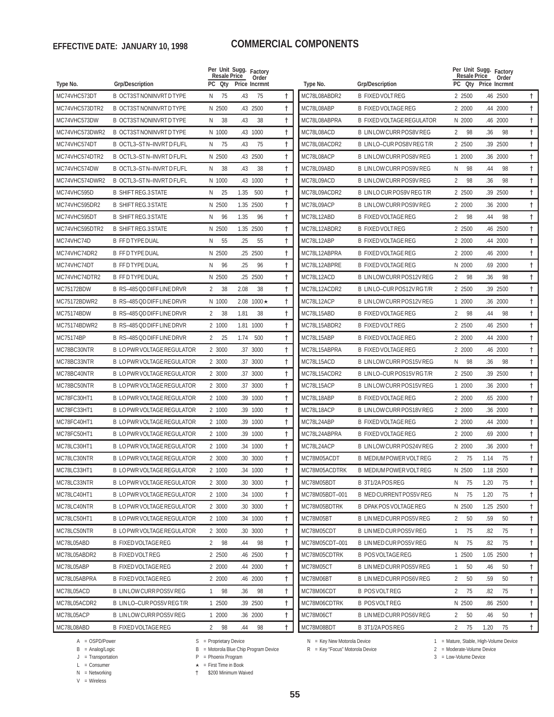|                |                                  | <b>Resale Price</b>  | Per Unit Sugg. Factory<br>Order   |                |                                  | <b>Resale Price</b>  | Per Unit Sugg. Factory<br>Order |            |
|----------------|----------------------------------|----------------------|-----------------------------------|----------------|----------------------------------|----------------------|---------------------------------|------------|
| Type No.       | <b>Grp/Description</b>           | Otv<br>PC            | Price Incrmnt                     | Type No.       | <b>Grp/Description</b>           |                      | PC Qty Price Incrmnt            |            |
| MC74VHC573DT   | <b>B OCT3STNONINVRTDTYPE</b>     | 75<br>N              | $^{\dagger}$<br>.43<br>75         | MC78L08ABDR2   | <b>B FIXEDVOLT REG</b>           | 2 2500               | .46 2500                        | $\ddagger$ |
| MC74VHC573DTR2 | <b>B OCT3STNONINVRTDTYPE</b>     | N 2500               | .43 2500<br>$^{\dagger}$          | MC78L08ABP     | <b>B FIXED VOLTAGE REG</b>       | 2 2000               | .44 2000                        | $^+$       |
| MC74VHC573DW   | <b>B OCT3STNONINVRTDTYPE</b>     | 38<br>N              | $^{\dagger}$<br>.43<br>38         | MC78L08ABPRA   | <b>B FIXED VOLTAGE REGULATOR</b> | N 2000               | .46 2000                        | $\ddagger$ |
| MC74VHC573DWR2 | <b>B OCT3STNONINVRTDTYPE</b>     | N 1000               | $^{\dagger}$<br>.43 1000          | MC78L08ACD     | <b>B LINLOW CURR POS8V REG</b>   | $\overline{2}$<br>98 | 98<br>.36                       | $\ddagger$ |
| MC74VHC574DT   | <b>B OCTL3-STN-INVRTDFL/FL</b>   | 75<br>N              | .43<br>75<br>$^\dagger$           | MC78L08ACDR2   | <b>B LINLO-CURPOS8V REGT/R</b>   | 2 2500               | .39 2500                        | $\ddagger$ |
| MC74VHC574DTR2 | B OCTL3-STN-INVRTDFL/FL          | N 2500               | .43 2500<br>$^{\dagger}$          | MC78L08ACP     | <b>B LINLOW CURR POS8V REG</b>   | 1 2000               | .36 2000                        | $\ddagger$ |
| MC74VHC574DW   | <b>B OCTL3-STN-INVRTDFL/FL</b>   | 38<br>N              | 38<br>$^\dagger$<br>.43           | MC78L09ABD     | <b>B LINLOW CURR POS9V REG</b>   | 98<br>N              | 98<br>.44                       | $^\dagger$ |
| MC74VHC574DWR2 | <b>B OCTL3-STN-INVRTDFL/FL</b>   | N 1000               | $\ddagger$<br>.43 1000            | MC78L09ACD     | <b>B LINLOW CURR POS9V REG</b>   | 98<br>$\overline{2}$ | 98<br>.36                       | $\ddagger$ |
| MC74VHC595D    | <b>B SHIFT REG.3 STATE</b>       | 25<br>N              | $\ddagger$<br>1.35<br>500         | MC78L09ACDR2   | <b>B LINLOCUR POS9V REGT/R</b>   | 2 2500               | .39 2500                        | $^\dagger$ |
| MC74VHC595DR2  | <b>B SHIFT REG.3 STATE</b>       | N 2500               | $\ddagger$<br>1.35 2500           | MC78L09ACP     | <b>B LINLOW CURR POS9V REG</b>   | 2 2000               | .36 2000                        | $\ddagger$ |
| MC74VHC595DT   | <b>B SHIFT REG.3 STATE</b>       | N<br>96              | $^+$<br>96<br>1.35                | MC78L12ABD     | <b>B FIXED VOLTAGE REG</b>       | $\overline{2}$<br>98 | 98<br>.44                       | $\ddagger$ |
| MC74VHC595DTR2 | <b>B SHIFT REG.3 STATE</b>       | N 2500               | 1.35 2500<br>$^{\dagger}$         | MC78L12ABDR2   | <b>B FIXEDVOLT REG</b>           | 2 2500               | .46 2500                        | $\ddagger$ |
| MC74VHC74D     | <b>B FFDTYPEDUAL</b>             | 55<br>N              | $\ddagger$<br>55<br>.25           | MC78L12ABP     | <b>B FIXED VOLTAGE REG</b>       | 2 2000               | .44 2000                        | $\ddagger$ |
| MC74VHC74DR2   | <b>B FF D TYPE DUAL</b>          | N 2500               | .25 2500<br>$^{\dagger}$          | MC78L12ABPRA   | <b>B FIXED VOLTAGE REG</b>       | 2 2000               | .46 2000                        | $\ddagger$ |
| MC74VHC74DT    | <b>B FFDTYPEDUAL</b>             | 96<br>N              | .25<br>96<br>$^{\dagger}$         | MC78L12ABPRE   | <b>B FIXED VOLTAGE REG</b>       | N 2000               | .69 2000                        | $\ddagger$ |
| MC74VHC74DTR2  | <b>B FF D TYPE DUAL</b>          | N 2500               | $^\dagger$<br>.25 2500            | MC78L12ACD     | <b>B LINLOW CURR POS12V REG</b>  | 98<br>$\overline{2}$ | 98<br>.36                       | $\ddagger$ |
| MC75172BDW     | B RS-485 OD DIFF LINE DRVR       | 38<br>$\overline{2}$ | $\ddagger$<br>38<br>2.08          | MC78L12ACDR2   | B LINLO-CURPOS12VRGT/R           | 2 2500               | .39 2500                        | $\ddagger$ |
| MC75172BDWR2   | B RS-485 QD DIFF LINE DRVR       | N 1000               | $^{\dagger}$<br>2.08 1000 $\star$ | MC78L12ACP     | <b>B LINLOW CURR POS12V REG</b>  | 1 2000               | .36 2000                        | $\ddagger$ |
| MC75174BDW     | B RS-485 OD DIFF LINE DRVR       | -38<br>2             | $\ddagger$<br>1.81<br>38          | MC78L15ABD     | <b>B FIXED VOLTAGE REG</b>       | $\mathbf{2}$<br>98   | 98<br>.44                       | $\ddagger$ |
| MC75174BDWR2   | B RS-485 OD DIFF LINE DRVR       | 2 1000               | $^{\dagger}$<br>1.81<br>1000      | MC78L15ABDR2   | <b>B FIXEDVOLT REG</b>           | 2 2500               | .46 2500                        | $\ddagger$ |
| MC75174BP      | B RS-485 QD DIFF LINE DRVR       | 25<br>2              | $^{\dagger}$<br>500<br>1.74       | MC78L15ABP     | <b>B FIXED VOLTAGE REG</b>       | 2 2000               | .44 2000                        | $\ddagger$ |
| MC78BC30NTR    | <b>B LOPWR VOLTAGE REGULATOR</b> | 2 3000               | $\ddagger$<br>.37 3000            | MC78L15ABPRA   | <b>B FIXED VOLTAGE REG</b>       | 2 2000               | .46 2000                        | $\ddagger$ |
| MC78BC33NTR    | <b>B LOPWR VOLTAGE REGULATOR</b> | 2 3000               | .37 3000<br>$^\dagger$            | MC78L15ACD     | <b>B LINLOW CURR POS15V REG</b>  | 98<br>N              | 98<br>.36                       | $\ddagger$ |
| MC78BC40NTR    | <b>B LOPWR VOLTAGE REGULATOR</b> | 2 3000               | .37 3000<br>$^{\dagger}$          | MC78L15ACDR2   | B LINLO-CURPOS15VRGT/R           | 2 2500               | .39 2500                        | $\ddagger$ |
| MC78BC50NTR    | B LOPWR VOLTAGE REGULATOR        | 2 3000               | $^\dagger$<br>.37 3000            | MC78L15ACP     | <b>B LINLOW CURR POS15V REG</b>  | 1 2000               | .36 2000                        | $^\dagger$ |
| MC78FC30HT1    | B LOPWR VOLTAGE REGULATOR        | 2 1000               | $\ddagger$<br>.39 1000            | MC78L18ABP     | <b>B FIXED VOLTAGE REG</b>       | 2 2000               | .65 2000                        | $\ddagger$ |
| MC78FC33HT1    | B LOPWR VOLTAGE REGULATOR        | 2 1000               | $^{\dagger}$<br>.39 1000          | MC78L18ACP     | <b>B LINLOW CURR POS18V REG</b>  | 2 2000               | .36 2000                        | $^\dagger$ |
| MC78FC40HT1    | B LOPWR VOLTAGE REGULATOR        | 2 1000               | $\ddagger$<br>.39 1000            | MC78L24ABP     | <b>B FIXED VOLTAGE REG</b>       | 2 2000               | .44 2000                        | $\ddagger$ |
| MC78FC50HT1    | <b>B LOPWR VOLTAGE REGULATOR</b> | 2 1000               | $^{\dagger}$<br>.39 1000          | MC78L24ABPRA   | <b>B FIXED VOLTAGE REG</b>       | 2 2000               | .69 2000                        | $\ddagger$ |
| MC78LC30HT1    | <b>B LOPWR VOLTAGE REGULATOR</b> | 2 1000               | $^{\dagger}$<br>.34 1000          | MC78L24ACP     | <b>B LINLOW CURR POS24V REG</b>  | 2 2000               | .36 2000                        | $\ddagger$ |
| MC78LC30NTR    | <b>B LOPWR VOLTAGE REGULATOR</b> | 2 3000               | $^{\dagger}$<br>.30 3000          | MC78M05ACDT    | <b>B MEDIUMPOWER VOLT REG</b>    | 75<br>$\overline{2}$ | 75<br>1.14                      | $\ddagger$ |
| MC78LC33HT1    | B LOPWR VOLTAGE REGULATOR        | 2 1000               | $^{\dagger}$<br>.34 1000          | MC78M05ACDTRK  | <b>B MEDIUMPOWER VOLT REG</b>    | N 2500               | 1.18 2500                       | $\ddagger$ |
| MC78LC33NTR    | <b>B LOPWR VOLTAGE REGULATOR</b> | 2 3000               | .30 3000<br>$^{\dagger}$          | MC78M05BDT     | B 3T1/2APOSREG                   | N 75                 | 1.20<br>75                      | $^+$       |
| MC78LC40HT1    | <b>B LOPWR VOLTAGE REGULATOR</b> | 2 1000               | .34 1000<br>$^{\dagger}$          | MC78M05BDT-001 | <b>B MEDCURRENT POS5V REG</b>    | 75<br>N              | 1.20<br>75                      | $\ddagger$ |
| MC78LC40NTR    | B LOPWR VOLTAGE REGULATOR        | 2 3000               | Ť.<br>.30 3000                    | MC78M05BDTRK   | <b>B DPAK POS VOLTAGE REG</b>    | N 2500               | 1.25 2500                       | Ť          |
| MC78LC50HT1    | B LOPWR VOLTAGE REGULATOR        | 2 1000               | $^{\dagger}$<br>.34 1000          | MC78M05BT      | <b>B LINMED CURR POS5V REG</b>   | 50<br>$\mathbf{2}$   | .59<br>50                       | $\ddagger$ |
| MC78LC50NTR    | <b>B LOPWR VOLTAGE REGULATOR</b> | 2 3000               | $^{\dagger}$<br>.30 3000          | MC78M05CDT     | <b>B LINMED CUR POS5V REG</b>    | 75<br>1              | 75<br>.82                       | $\ddagger$ |
| MC78L05ABD     | <b>B FIXEDVOLTAGEREG</b>         | 2 98                 | $^{\dagger}$<br>.44<br>98         | MC78M05CDT-001 | <b>B LINMED CUR POS5V REG</b>    | N<br>75              | .82<br>75                       | $\ddagger$ |
| MC78L05ABDR2   | <b>B FIXED VOLT REG</b>          | 2 2500               | $^\dagger$<br>.46 2500            | MC78M05CDTRK   | <b>B POS VOLTAGE REG</b>         | 1 2500               | 1.05 2500                       | $\pm$      |
| MC78L05ABP     | <b>B FIXED VOLTAGE REG</b>       | 2 2000               | $^{\dagger}$<br>.44 2000          | MC78M05CT      | <b>B LINMED CURR POS5V REG</b>   | 50<br>1              | 50<br>.46                       | $\ddagger$ |
| MC78L05ABPRA   | <b>B FIXED VOLTAGE REG</b>       | 2 2000               | $^\dagger$<br>.46 2000            | MC78M06BT      | <b>B LINMED CURR POS6V REG</b>   | $\overline{2}$<br>50 | .59<br>50                       | $\pm$      |
| MC78L05ACD     | <b>B LINLOW CURR POS5V REG</b>   | 1 98                 | 98<br>Ť.<br>.36                   | MC78M06CDT     | <b>B POS VOLT REG</b>            | 75<br>$\mathbf{2}$   | .82<br>75                       | $\ddagger$ |
| MC78L05ACDR2   | <b>B LINLO-CURPOS5VREGT/R</b>    | 1 2500               | .39 2500<br>Ť.                    | MC78M06CDTRK   | <b>B POSVOLTREG</b>              | N 2500               | .86 2500                        | $\ddagger$ |
| MC78L05ACP     | <b>B LINLOW CURR POS5V REG</b>   | 1 2000               | Ť.<br>.36 2000                    | MC78M06CT      | <b>B LINMED CURR POS6V REG</b>   | 50<br>$\mathbf{2}$   | .46<br>50                       | $\ddagger$ |
| MC78L08ABD     | <b>B FIXEDVOLTAGEREG</b>         | 2 98                 | $^{\dagger}$<br>98<br>.44         | MC78M08BDT     | B 3T1/2APOSREG                   | 75<br>$\mathbf{2}$   | 1.20<br>75                      | $^+$       |

- 
- $L = \text{Consumer}$ <br>  $N = \text{Networking}$ <br>  $V = \text{Wireless}$

B = Analog/Logic entropyrology by B = Motorola Blue Chip Program Device R = Key "Focus" Motorola Device 2 = Moderate-Volume Device

 $L =$  Consumer  $\star =$  First Time in Book

N = Networking - and the state of the state of the state of the state of the state of the state of the state of the state of the state of the state of the state of the state of the state of the state of the state of the st

A = OSPD/Power external states and S = Proprietary Device N = Key New Motorola Device 1 = Mature, Stable, High-Volume Device

J = Transportation P = Phoenix Program 3 = Low-Volume Device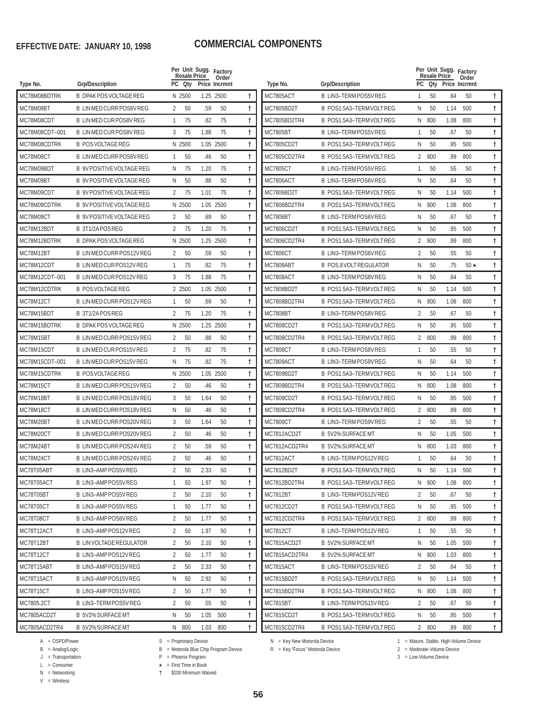| Type No.         | <b>Grp/Description</b>           | Per Unit Sugg. Factory<br><b>Resale Price</b><br>Order<br>PC<br>Qtv<br>Price Incrmnt | Type No.         | <b>Grp/Description</b>        | Per Unit Sugg. Factory<br><b>Resale Price</b><br>Order<br>PC Qty<br>Price Incrmnt |
|------------------|----------------------------------|--------------------------------------------------------------------------------------|------------------|-------------------------------|-----------------------------------------------------------------------------------|
| MC78M08BDTRK     | <b>B DPAK POS VOLTAGE REG</b>    | N 2500<br>1.25 2500<br>$^+$                                                          | MC7805ACT        | <b>B LIN3-TERMPOS5VREG</b>    | $\ddagger$<br>50<br>.64<br>50<br>1                                                |
| MC78M08BT        | <b>B LINMED CURR POS8V REG</b>   | 50<br>$\ddagger$<br>2<br>50<br>.59                                                   | MC7805BD2T       | B POS1.5A3-TERMVOLT REG       | 500<br>$\ddagger$<br>Ν<br>50<br>1.14                                              |
| MC78M08CDT       | <b>B LINMED CURPOS8V REG</b>     | $\ddagger$<br>75<br>.82<br>75<br>1                                                   | MC7805BD2TR4     | B POS1.5A3-TERMVOLT REG       | $\ddagger$<br>N 800<br>1.08<br>800                                                |
| MC78M08CDT-001   | <b>B LINMED CURPOS8V REG</b>     | 75<br>3<br>75<br>1.88<br>t                                                           | <b>MC7805BT</b>  | <b>B LIN3-TERMPOS5VREG</b>    | $\ddagger$<br>50<br>.67<br>50<br>1                                                |
| MC78M08CDTRK     | <b>B POSVOLTAGE REG</b>          | 1.05 2500<br>N 2500<br>$\ddagger$                                                    | MC7805CD2T       | B POS1.5A3-TERMVOLT REG       | 500<br>$\dagger$<br>Ν<br>50<br>.95                                                |
| MC78M08CT        | <b>B LINMED CURR POS8V REG</b>   | 50<br>50<br>$^+$<br>.46<br>1                                                         | MC7805CD2TR4     | B POS1.5A3-TERMVOLT REG       | 800<br>$\ddagger$<br>2<br>800<br>.99                                              |
| MC78M09BDT       | <b>B 9V POSITIVE VOLTAGE REG</b> | $\ddagger$<br>75<br>75<br>1.20<br>N                                                  | MC7805CT         | <b>B LIN3-TERMPOS5VREG</b>    | 50<br>50<br>$\ddagger$<br>.55<br>1                                                |
| MC78M09BT        | <b>B 9V POSITIVE VOLTAGE REG</b> | $\dagger$<br>50<br>50<br>.88<br>N                                                    | <b>MC7806ACT</b> | <b>B LIN3-TERMPOS6VREG</b>    | $\ddagger$<br>50<br>50<br>Ν<br>.64                                                |
| MC78M09CDT       | <b>B 9V POSITIVE VOLTAGE REG</b> | 75<br>75<br>$\ddagger$<br>2<br>1.01                                                  | MC7806BD2T       | B POS1.5A3-TERMVOLTREG        | 50<br>500<br>$\dagger$<br>1.14<br>N                                               |
| MC78M09CDTRK     | <b>B 9V POSITIVE VOLTAGE REG</b> | N 2500<br>1.05 2500<br>$\ddagger$                                                    | MC7806BD2TR4     | B POS1.5A3-TERMVOLT REG       | $^\dagger$<br>800<br>800<br>1.08<br>N                                             |
| MC78M09CT        | <b>B 9V POSITIVE VOLTAGE REG</b> | .69<br>$\ddagger$<br>50<br>50<br>2                                                   | <b>MC7806BT</b>  | <b>B LIN3-TERMPOS6VREG</b>    | 50<br>50<br>$\ddagger$<br>Ν<br>.67                                                |
| MC78M12BDT       | B 3T1/2APOSREG                   | $\ddagger$<br>2<br>75<br>1.20<br>75                                                  | MC7806CD2T       | B POS1.5A3-TERMVOLT REG       | $\ddagger$<br>Ν<br>50<br>.95<br>500                                               |
| MC78M12BDTRK     | <b>B DPAK POS VOLTAGE REG</b>    | N 2500<br>1.25 2500<br>t                                                             | MC7806CD2TR4     | B POS1.5A3-TERMVOLT REG       | $\ddagger$<br>2<br>800<br>.99<br>800                                              |
| MC78M12BT        | <b>B LINMED CURR POS12V REG</b>  | 50<br>50<br>2<br>.59<br>$\ddagger$                                                   | <b>MC7806CT</b>  | <b>B LIN3-TERMPOS6VREG</b>    | 50<br>$\dagger$<br>2<br>50<br>.55                                                 |
| MC78M12CDT       | <b>B LINMED CURPOS12V REG</b>    | $^+$<br>75<br>75<br>.82<br>1                                                         | <b>MC7808ABT</b> | <b>B POS.8 VOLT REGULATOR</b> | $\ddagger$<br>Ν<br>50<br>.75<br>$50 \star$                                        |
| MC78M12CDT-001   | <b>B LINMEDCURPOS12V REG</b>     | $\ddagger$<br>75<br>1.88<br>75<br>3                                                  | MC7808ACT        | <b>B LIN3-TERMPOS8VREG</b>    | 50<br>50<br>$\ddagger$<br>Ν<br>.64                                                |
| MC78M12CDTRK     | <b>B POSVOLTAGE REG</b>          | $\dagger$<br>2 2500<br>1.05 2500                                                     | MC7808BD2T       | B POS1.5A3-TERMVOLT REG       | $\ddagger$<br>50<br>1.14<br>500<br>N                                              |
| MC78M12CT        | <b>B LINMED CURR POS12V REG</b>  | 50<br>.69<br>50<br>$^{\dagger}$<br>1                                                 | MC7808BD2TR4     | B POS1.5A3-TERMVOLT REG       | N 800<br>800<br>$\ddagger$<br>1.08                                                |
| MC78M15BDT       | B 3T1/2APOSREG                   | 75<br>1.20<br>75<br>$\ddagger$<br>2                                                  | <b>MC7808BT</b>  | <b>B LIN3-TERMPOS8VREG</b>    | $^\dagger$<br>50<br>50<br>2<br>.67                                                |
| MC78M15BDTRK     | <b>B DPAK POS VOLTAGE REG</b>    | N 2500<br>1.25 2500<br>$^{\dagger}$                                                  | MC7808CD2T       | B POS1.5A3-TERMVOLT REG       | 500<br>Ν<br>50<br>.95<br>$\ddagger$                                               |
| MC78M15BT        | <b>B LINMED CURR POS15V REG</b>  | $\ddagger$<br>50<br>.88<br>50<br>$\overline{2}$                                      | MC7808CD2TR4     | B POS1.5A3-TERMVOLT REG       | $\dagger$<br>2 800<br>.99<br>800                                                  |
| MC78M15CDT       | <b>B LINMED CURPOS15V REG</b>    | 2<br>75<br>.82<br>75<br>t                                                            | <b>MC7808CT</b>  | <b>B LIN3-TERMPOS8VREG</b>    | $\ddagger$<br>50<br>50<br>1<br>.55                                                |
| MC78M15CDT-001   | <b>B LINMED CURPOS15V REG</b>    | 75<br>75<br>.82<br>$\ddagger$<br>N                                                   | MC7809ACT        | <b>B LIN3-TERMPOS9VREG</b>    | $\dagger$<br>Ν<br>50<br>.64<br>50                                                 |
| MC78M15CDTRK     | <b>B POSVOLTAGE REG</b>          | $^+$<br>N 2500<br>1.05 2500                                                          | MC7809BD2T       | B POS1.5A3-TERMVOLT REG       | $\ddagger$<br>50<br>1.14<br>500<br>N                                              |
| MC78M15CT        | <b>B LINMED CURR POS15V REG</b>  | $\ddagger$<br>50<br>50<br>2<br>.46                                                   | MC7809BD2TR4     | B POS1.5A3-TERMVOLT REG       | 800<br>$\ddagger$<br>800<br>1.08<br>N                                             |
| MC78M18BT        | <b>B LINMED CURR POS18V REG</b>  | $\dagger$<br>50<br>50<br>3<br>1.64                                                   | MC7809CD2T       | B POS1.5A3-TERMVOLT REG       | $\ddagger$<br>50<br>500<br>N<br>.95                                               |
| MC78M18CT        | <b>B LINMED CURR POS18V REG</b>  | 50<br>$^{\dagger}$<br>.46<br>50<br>N                                                 | MC7809CD2TR4     | B POS1.5A3-TERMVOLTREG        | 800<br>.99<br>800<br>$\ddagger$<br>$\mathbf{2}$                                   |
| MC78M20BT        | <b>B LINMED CURR POS20V REG</b>  | $\ddagger$<br>50<br>50<br>3<br>1.64                                                  | MC7809CT         | <b>B LIN3-TERMPOS9VREG</b>    | $^\dagger$<br>50<br>50<br>2<br>.55                                                |
| MC78M20CT        | <b>B LINMED CURR POS20V REG</b>  | 2<br>50<br>.46<br>50<br>$\ddagger$                                                   | MC7812ACD2T      | <b>B 5V2% SURFACE MT</b>      | 50<br>1.05<br>500<br>$\ddagger$<br>Ν                                              |
| MC78M24BT        | <b>B LINMED CURR POS24V REG</b>  | 50<br>$\ddagger$<br>2<br>.59<br>50                                                   | MC7812ACD2TR4    | <b>B 5V2% SURFACE MT</b>      | $\ddagger$<br>N 800<br>1.03<br>800                                                |
| <b>MC78M24CT</b> | <b>B LINMED CURR POS24V REG</b>  | $^\dagger$<br>2<br>50<br>.46<br>50                                                   | MC7812ACT        | <b>B LIN3-TERMPOS12V REG</b>  | $\dagger$<br>50<br>.64<br>50<br>1                                                 |
| MC78T05ABT       | <b>B LIN3-AMP POS5V REG</b>      | $^\dagger$<br>50<br>2<br>50<br>2.33                                                  | MC7812BD2T       | B POS1.5A3-TERMVOLTREG        | $\ddagger$<br>50<br>1.14<br>500<br>N                                              |
| MC78T05ACT       | <b>B LIN3-AMP POS5V REG</b>      | $^+$<br>50<br>1.97<br>50<br>1                                                        | MC7812BD2TR4     | B POS1.5A3-TERMVOLTREG        | $^+$<br>N 800<br>800<br>1.08                                                      |
| MC78T05BT        | <b>B LIN3-AMP POS5V REG</b>      | 50<br>50<br>$\ddagger$<br>2<br>2.10                                                  | <b>MC7812BT</b>  | B LIN3-TERMPOS12VREG          | 50<br>50<br>$\overline{2}$<br>.67<br>$\ddagger$                                   |
| MC78T05CT        | B LIN3-AMP POS5V REG             | $\ddagger$<br>50<br>50<br>1.77<br>1                                                  | MC7812CD2T       | B POS1.5A3-TERMVOLT REG       | $\dagger$<br>500<br>N<br>50<br>.95                                                |
| MC78T08CT        | <b>B LIN3-AMP POS8V REG</b>      | 50<br>1.77<br>50<br>$^+$<br>2                                                        | MC7812CD2TR4     | B POS1.5A3-TERMVOLT REG       | 800<br>$\dagger$<br>2 800<br>.99                                                  |
| MC78T12ACT       | <b>B LIN3-AMPPOS12VREG</b>       | $\ddagger$<br>1.97<br>50<br>2<br>50                                                  | <b>MC7812CT</b>  | <b>B LIN3-TERMPOS12VREG</b>   | 50<br>$\dagger$<br>1<br>50<br>.55                                                 |
| MC78T12BT        | <b>B LIN VOLTAGE REGULATOR</b>   | $^+$<br>2<br>50<br>2.10<br>50                                                        | MC7815ACD2T      | <b>B 5V2% SURFACE MT</b>      | 500<br>$\ddagger$<br>N<br>50<br>1.05                                              |
| MC78T12CT        | B LIN3-AMPPOS12VREG              | 50<br>50<br>$\dagger$<br>1.77<br>2                                                   | MC7815ACD2TR4    | <b>B 5V2% SURFACE MT</b>      | 800<br>N 800<br>1.03<br>$\ddagger$                                                |
| MC78T15ABT       | <b>B LIN3-AMPPOS15VREG</b>       | $^\dagger$<br>50<br>2.33<br>50<br>2                                                  | <b>MC7815ACT</b> | <b>B LIN3-TERMPOS15VREG</b>   | $\ddagger$<br>50<br>50<br>$\mathbf{2}$<br>.64                                     |
| MC78T15ACT       | <b>B LIN3-AMPPOS15VREG</b>       | $\ddagger$<br>50<br>2.92<br>50<br>N                                                  | MC7815BD2T       | B POS1.5A3-TERMVOLT REG       | 50<br>1.14<br>500<br>$\ddagger$<br>N                                              |
| MC78T15CT        | B LIN3-AMP POS15V REG            | $\ddagger$<br>50<br>1.77<br>50<br>2                                                  | MC7815BD2TR4     | B POS1.5A3-TERMVOLT REG       | $\ddagger$<br>N 800<br>800<br>1.08                                                |
| MC7805.2CT       | <b>B LIN3-TERMPOS5VREG</b>       | $\ddagger$<br>50<br>.55<br>50<br>2                                                   | MC7815BT         | <b>B LIN3-TERMPOS15V REG</b>  | $\overline{2}$<br>50<br>50<br>$\ddagger$<br>.67                                   |
| MC7805ACD2T      | <b>B 5V2% SURFACE MT</b>         | $^+$<br>50<br>1.05<br>500<br>N                                                       | MC7815CD2T       | B POS1.5A3-TERMVOLTREG        | $^{\dagger}$<br>N<br>50<br>.95<br>500                                             |
| MC7805ACD2TR4    | <b>B 5V2% SURFACE MT</b>         | $^+$<br>N 800<br>1.03<br>800                                                         | MC7815CD2TR4     | B POS1.5A3-TERMVOLT REG       | $\ddagger$<br>2 800<br>.99<br>800                                                 |

- 
- 

 $L =$  Consumer  $\star =$  First Time in Book

N = Networking extensive that the state of the state of the state of the state of the state of the state of the state of the state of the state of the state of the state of the state of the state of the state of the state

 $L = \text{Consumer}$ <br>  $N = \text{Networking}$ <br>  $V = \text{Wireless}$ 

B = Analog/Logic entropy of the Motorola Blue Chip Program Device R = Key "Focus" Motorola Device 2 = Moderate-Volume Device

- 
- 

**56**

A = OSPD/Power external states and S = Proprietary Device N = Key New Motorola Device 1 = Mature, Stable, High-Volume Device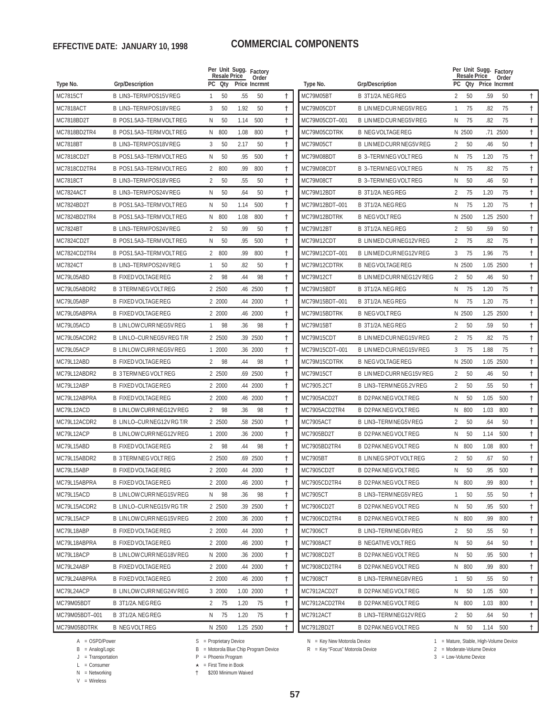| Type No.        | <b>Grp/Description</b>          | Per Unit Sugg. Factory<br><b>Resale Price</b><br>Order<br>PC Qty<br>Price Incrmnt | Type No.         | <b>Grp/Description</b>          | <b>Resale Price</b>  | Per Unit Sugg. Factory<br>Order<br>PC Qty Price Incrmnt |              |
|-----------------|---------------------------------|-----------------------------------------------------------------------------------|------------------|---------------------------------|----------------------|---------------------------------------------------------|--------------|
| <b>MC7815CT</b> | <b>B LIN3-TERMPOS15VREG</b>     | 50<br>$^{\dagger}$<br>.55<br>50<br>1                                              | MC79M05BT        | B 3T1/2A. NEG REG               | 50<br>2              | .59<br>50                                               | $^{+}$       |
| MC7818ACT       | <b>B LIN3-TERMPOS18VREG</b>     | 50<br>$^\dagger$<br>3<br>50<br>1.92                                               | MC79M05CDT       | <b>B LINMED CURNEG5V REG</b>    | 75<br>1              | .82<br>75                                               | $\ddagger$   |
| MC7818BD2T      | B POS1.5A3-TERMVOLT REG         | $^{\dagger}$<br>N<br>50<br>1.14<br>500                                            | MC79M05CDT-001   | <b>B LINMED CURNEG5V REG</b>    | N<br>75              | .82<br>75                                               | $\ddagger$   |
| MC7818BD2TR4    | B POS1.5A3-TERMVOLTREG          | t<br>800<br>1.08<br>800<br>N                                                      | MC79M05CDTRK     | <b>B NEGVOLTAGE REG</b>         | N 2500               | .71 2500                                                | $^+$         |
| <b>MC7818BT</b> | <b>B LIN3-TERMPOS18VREG</b>     | 50<br>50<br>$^{\dagger}$<br>3<br>2.17                                             | MC79M05CT        | <b>B LINMED CURR NEG5V REG</b>  | 2<br>50              | .46<br>50                                               | $\ddagger$   |
| MC7818CD2T      | B POS1.5A3-TERMVOLT REG         | $\ddagger$<br>50<br>500<br>N<br>.95                                               | MC79M08BDT       | <b>B 3-TERMNEG VOLT REG</b>     | 75<br>N              | 75<br>1.20                                              | $\ddagger$   |
| MC7818CD2TR4    | B POS1.5A3-TERMVOLT REG         | $\ddagger$<br>800<br>.99<br>800<br>2                                              | MC79M08CDT       | <b>B 3-TERMNEG VOLT REG</b>     | 75<br>N              | .82<br>75                                               | $\ddagger$   |
| MC7818CT        | <b>B LIN3-TERMPOS18VREG</b>     | $\ddagger$<br>$\overline{2}$<br>50<br>.55<br>50                                   | MC79M08CT        | <b>B 3-TERMNEG VOLT REG</b>     | 50<br>N              | 50<br>.46                                               | $\ddagger$   |
| MC7824ACT       | <b>B LIN3-TERMPOS24VREG</b>     | 50<br>50<br>$^{\dagger}$<br>N<br>.64                                              | MC79M12BDT       | B 3T1/2A. NEG REG               | 75<br>2              | 1.20<br>75                                              | $\ddagger$   |
| MC7824BD2T      | B POS1.5A3-TERMVOLT REG         | $\ddagger$<br>500<br>N<br>50<br>1.14                                              | MC79M12BDT-001   | B 3T1/2A. NEG REG               | 75<br>N              | 1.20<br>75                                              | $^{\dagger}$ |
| MC7824BD2TR4    | B POS1.5A3-TERMVOLT REG         | 800<br>800<br>t<br>1.08<br>N                                                      | MC79M12BDTRK     | <b>B NEGVOLTREG</b>             | N 2500               | 2500<br>1.25                                            | $\ddagger$   |
| <b>MC7824BT</b> | <b>B LIN3-TERMPOS24VREG</b>     | $^{\dagger}$<br>2<br>50<br>.99<br>50                                              | MC79M12BT        | B 3T1/2A. NEG REG               | 2<br>50              | .59<br>50                                               | $\ddagger$   |
| MC7824CD2T      | B POS1.5A3-TERMVOLT REG         | $^{\dagger}$<br>50<br>.95<br>500<br>N                                             | MC79M12CDT       | <b>B LINMED CURNEG12V REG</b>   | 2<br>75              | .82<br>75                                               | $^+$         |
| MC7824CD2TR4    | B POS1.5A3-TERMVOLT REG         | $\ddagger$<br>2 800<br>800<br>.99                                                 | MC79M12CDT-001   | <b>B LINMED CURNEG12V REG</b>   | 75<br>3              | 75<br>1.96                                              | $^{\dagger}$ |
| <b>MC7824CT</b> | <b>B LIN3-TERMPOS24VREG</b>     | $\ddagger$<br>50<br>$\mathbf{1}$<br>.82<br>50                                     | MC79M12CDTRK     | <b>B NEGVOLTAGE REG</b>         | N 2500               | 1.05 2500                                               | $^+$         |
| MC79L05ABD      | <b>B FIXEDVOLTAGEREG</b>        | 98<br>$\ddagger$<br>$\overline{2}$<br>98<br>.44                                   | MC79M12CT        | <b>B LINMED CURR NEG12V REG</b> | $\overline{2}$<br>50 | 50<br>.46                                               | $\ddagger$   |
| MC79L05ABDR2    | <b>B 3TERMNEG VOLT REG</b>      | $\ddagger$<br>2 2500<br>.46 2500                                                  | MC79M15BDT       | B 3T1/2A. NEG REG               | 75<br>N              | 1.20<br>75                                              | $\ddagger$   |
| MC79L05ABP      | <b>B FIXED VOLTAGE REG</b>      | 2 2000<br>.44 2000<br>$^{\dagger}$                                                | MC79M15BDT-001   | B 3T1/2A. NEG REG               | 75<br>N              | 1.20<br>75                                              | $^{\dagger}$ |
| MC79L05ABPRA    | <b>B FIXEDVOLTAGEREG</b>        | $\ddagger$<br>2 2000<br>.46 2000                                                  | MC79M15BDTRK     | <b>B NEGVOLTREG</b>             | N 2500               | 1.25 2500                                               | $\ddagger$   |
| MC79L05ACD      | <b>B LINLOW CURR NEG5V REG</b>  | 98<br>$\mathbf{1}$<br>98<br>.36<br>$^{\dagger}$                                   | MC79M15BT        | B 3T1/2A. NEG REG               | 2<br>50              | .59<br>50                                               | $\ddagger$   |
| MC79L05ACDR2    | <b>B LINLO-CURNEG5V REGT/R</b>  | $^{\dagger}$<br>2 2500<br>.39 2500                                                | MC79M15CDT       | <b>B LINMED CURNEG15V REG</b>   | 2<br>75              | .82<br>75                                               | $^{\dagger}$ |
| MC79L05ACP      | <b>B LINLOW CURR NEG5V REG</b>  | t<br>1 2000<br>.36 2000                                                           | MC79M15CDT-001   | <b>B LINMED CURNEG15V REG</b>   | 3<br>75              | 1.88<br>75                                              | $^+$         |
| MC79L12ABD      | <b>B FIXEDVOLTAGEREG</b>        | $\ddagger$<br>98<br>98<br>$\overline{2}$<br>.44                                   | MC79M15CDTRK     | <b>B NEGVOLTAGE REG</b>         | N 2500               | 1.05 2500                                               | $^{\dagger}$ |
| MC79L12ABDR2    | <b>B 3TERMNEG VOLT REG</b>      | $^{\dagger}$<br>2 2500<br>.69 2500                                                | MC79M15CT        | <b>B LINMED CURR NEG15V REG</b> | 50<br>2              | 50<br>.46                                               | $^+$         |
| MC79L12ABP      | <b>B FIXEDVOLTAGEREG</b>        | $\ddagger$<br>2 2000<br>2000<br>.44                                               | MC7905.2CT       | B LIN3-TERMNEG5.2VREG           | $\overline{2}$<br>50 | 50<br>.55                                               | $\ddagger$   |
| MC79L12ABPRA    | <b>B FIXED VOLTAGE REG</b>      | $\ddagger$<br>2 2000<br>.46 2000                                                  | MC7905ACD2T      | <b>B D2 PAK NEG VOLT REG</b>    | N<br>50              | 1.05<br>500                                             | $\ddagger$   |
| MC79L12ACD      | <b>B LINLOW CURR NEG12V REG</b> | 2 98<br>98<br>$^{\dagger}$<br>.36                                                 | MC7905ACD2TR4    | <b>B D2 PAK NEG VOLT REG</b>    | N 800                | 800<br>1.03                                             | $^{\dagger}$ |
| MC79L12ACDR2    | <b>B LINLO-CURNEG12VRGT/R</b>   | $\ddagger$<br>2 2500<br>.58 2500                                                  | <b>MC7905ACT</b> | <b>B LIN3-TERMNEG5VREG</b>      | 50<br>2              | 50<br>.64                                               | $\ddagger$   |
| MC79L12ACP      | <b>B LINLOW CURR NEG12V REG</b> | 1 2000<br>.36 2000<br>$^{\dagger}$                                                | MC7905BD2T       | <b>B D2 PAK NEG VOLT REG</b>    | 50<br>N              | 1.14<br>500                                             | $\ddagger$   |
| MC79L15ABD      | <b>B FIXEDVOLTAGEREG</b>        | 98<br>98<br>$^{\dagger}$<br>$\overline{2}$<br>.44                                 | MC7905BD2TR4     | <b>B D2 PAK NEG VOLT REG</b>    | N 800                | 1.08<br>800                                             | $\ddagger$   |
| MC79L15ABDR2    | <b>B 3TERMNEG VOLT REG</b>      | 2 2500<br>t.<br>.69 2500                                                          | <b>MC7905BT</b>  | <b>B LINNEG SPOT VOLT REG</b>   | 2<br>50              | .67<br>50                                               | $^+$         |
| MC79L15ABP      | <b>B FIXEDVOLTAGEREG</b>        | $\ddagger$<br>2 2000<br>.44 2000                                                  | MC7905CD2T       | <b>B D2 PAK NEG VOLT REG</b>    | 50<br>N              | .95<br>500                                              | $^+$         |
| MC79L15ABPRA    | <b>B FIXEDVOLTAGEREG</b>        | $^+$<br>2 2000<br>.46 2000                                                        | MC7905CD2TR4     | <b>B D2 PAK NEG VOLT REG</b>    | N 800                | .99<br>800                                              | $^+$         |
| MC79L15ACD      | <b>B LINLOW CURR NEG15V REG</b> | $\ddagger$<br>98<br>N<br>98<br>.36                                                | <b>MC7905CT</b>  | <b>B LIN3-TERMNEG5VREG</b>      | 50<br>1              | .55<br>50                                               | $^{\dagger}$ |
| MC79L15ACDR2    | B LINLO-CURNEG15VRGT/R          | $\ddagger$<br>.39 2500<br>2 2500                                                  | MC7906CD2T       | <b>B D2 PAK NEG VOLT REG</b>    | 50<br>N              | .95<br>500                                              | $\ddagger$   |
| MC79L15ACP      | <b>B LINLOW CURR NEG15V REG</b> | .36 2000<br>$^\dagger$<br>2 2000                                                  | MC7906CD2TR4     | <b>B D2 PAK NEG VOLT REG</b>    | N 800                | 800<br>.99                                              | $\ddagger$   |
| MC79L18ABP      | <b>B FIXED VOLTAGE REG</b>      | $\ddagger$<br>2 2000<br>.44 2000                                                  | MC7906CT         | <b>B LIN3-TERMNEG6VREG</b>      | 2<br>50              | 50<br>.55                                               | $\ddagger$   |
| MC79L18ABPRA    | <b>B FIXEDVOLTAGEREG</b>        | t<br>2 2000<br>.46 2000                                                           | MC7908ACT        | <b>B NEGATIVE VOLT REG</b>      | 50<br>N              | 50<br>.64                                               | $^+$         |
| MC79L18ACP      | <b>B LINLOW CURR NEG18V REG</b> | t<br>N 2000<br>.36 2000                                                           | MC7908CD2T       | <b>B D2 PAK NEG VOLT REG</b>    | 50<br>N              | .95<br>500                                              | $^+$         |
| MC79L24ABP      | <b>B FIXEDVOLTAGEREG</b>        | $^+$<br>2 2000<br>.44 2000                                                        | MC7908CD2TR4     | <b>B D2 PAK NEG VOLT REG</b>    | N 800                | .99<br>800                                              | $^+$         |
| MC79L24ABPRA    | <b>B FIXED VOLTAGE REG</b>      | $^\dagger$<br>2 2000<br>.46 2000                                                  | <b>MC7908CT</b>  | <b>B LIN3-TERMNEG8VREG</b>      | 50<br>$\mathbf{1}$   | .55<br>50                                               | $\ddagger$   |
| MC79L24ACP      | <b>B LINLOW CURR NEG24V REG</b> | $^{\dagger}$<br>3 2000<br>1.00 2000                                               | MC7912ACD2T      | <b>B D2 PAK NEG VOLT REG</b>    | 50<br>N              | 1.05<br>500                                             | $^+$         |
| MC79M05BDT      | B 3T1/2A. NEG REG               | $\ddagger$<br>2<br>75<br>1.20<br>75                                               | MC7912ACD2TR4    | <b>B D2 PAK NEG VOLT REG</b>    | N 800                | 800<br>1.03                                             | $\ddagger$   |
| MC79M05BDT-001  | B 3T1/2A. NEG REG               | $^{\dagger}$<br>75<br>75<br>N<br>1.20                                             | MC7912ACT        | <b>B LIN3-TERMNEG12VREG</b>     | $\overline{2}$<br>50 | 50<br>.64                                               | $\ddagger$   |
| MC79M05BDTRK    | <b>B NEGVOLTREG</b>             | $^{\dagger}$<br>N 2500<br>1.25 2500                                               | MC7912BD2T       | <b>B D2 PAK NEG VOLT REG</b>    | 50<br>N              | 500<br>1.14                                             | $+$          |

- 
- 
- 
- N = Networking the three states of the states of the states of the states of the states of the states of the states of the states of the states of the states of the states of the states of the states of the states of the s
- V = Wireless

B = Analog/Logic entropyrology by B = Motorola Blue Chip Program Device R = Key "Focus" Motorola Device 2 = Moderate-Volume Device

 $L =$  Consumer  $\star =$  First Time in Book

\$200 Minimum Waived

A = OSPD/Power external states and S = Proprietary Device N = Key New Motorola Device 1 = Mature, Stable, High-Volume Device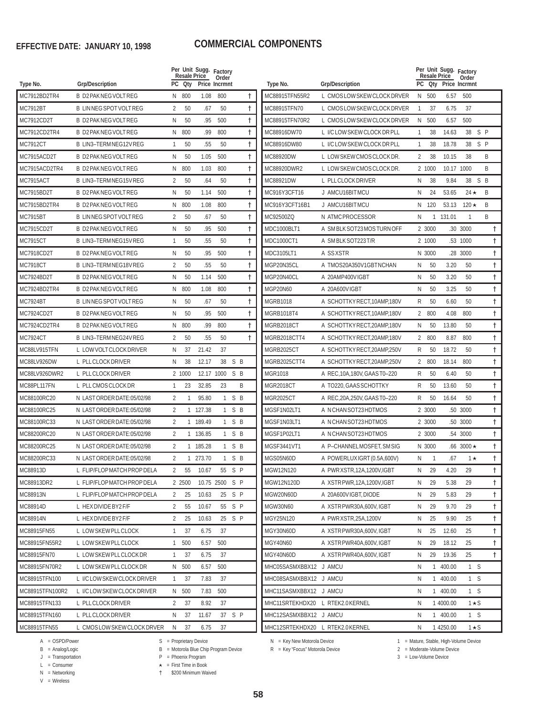| Type No.         | <b>Grp/Description</b>        |                | PC Qty | Per Unit Sugg. Factory<br>Resale Price<br>Price Incrmnt | Order |        |            | Type No.                        | <b>Grp/Description</b>        |                | <b>Resale Price</b><br>PC Qty |            | Per Unit Sugg. Factory<br>Order<br>Price Incrmnt |              |
|------------------|-------------------------------|----------------|--------|---------------------------------------------------------|-------|--------|------------|---------------------------------|-------------------------------|----------------|-------------------------------|------------|--------------------------------------------------|--------------|
| MC7912BD2TR4     | <b>B D2PAKNEGVOLTREG</b>      | N              | 800    | 1.08                                                    | 800   |        | $\ddagger$ | MC88915TFN55R2                  | L CMOSLOW SKEW CLOCK DRVER    |                | N 500                         | 6.57       | 500                                              |              |
| <b>MC7912BT</b>  | <b>B LINNEG SPOT VOLT REG</b> | $\overline{2}$ | 50     | .67                                                     | 50    |        | $\ddagger$ | MC88915TFN70                    | L CMOSLOW SKEW CLOCK DRVER    | 1              | 37                            | 6.75       | 37                                               |              |
| MC7912CD2T       | <b>B D2PAKNEGVOLTREG</b>      | Ν              | 50     | .95                                                     | 500   |        | $\ddagger$ | MC88915TFN70R2                  | L CMOSLOW SKEW CLOCK DRVER    | N              | 500                           | 6.57       | 500                                              |              |
| MC7912CD2TR4     | <b>B D2PAKNEGVOLTREG</b>      | N              | 800    | .99                                                     | 800   |        | $\dagger$  | MC88916DW70                     | L I/C LOW SKEW CLOCK DR PLL   | 1              | 38                            | 14.63      | 38                                               | S P          |
| <b>MC7912CT</b>  | <b>B LIN3-TERMNEG12VREG</b>   | 1              | 50     | .55                                                     | 50    |        | $\ddagger$ | MC88916DW80                     | L I/C LOW SKEW CLOCK DR PLL   | 1              | 38                            | 18.78      | 38                                               | S P          |
| MC7915ACD2T      | <b>B D2 PAK NEG VOLT REG</b>  | N              | 50     | 1.05                                                    | 500   |        | $\ddagger$ | MC88920DW                       | L LOW SKEW CMOS CLOCK DR.     | $\overline{2}$ | 38                            | 10.15      | 38                                               | B            |
| MC7915ACD2TR4    | <b>B D2PAKNEGVOLTREG</b>      | N              | 800    | 1.03                                                    | 800   |        | $\ddagger$ | MC88920DWR2                     | L LOW SKEW CMOS CLOCK DR.     |                | 2 1000                        | 10.17 1000 |                                                  | B            |
| <b>MC7915ACT</b> | <b>B LIN3-TERMNEG15VREG</b>   | 2              | 50     | .64                                                     | 50    |        | $\ddagger$ | MC88921DW                       | L PLLCLOCK DRIVER             | N              | 38                            | 9.84       | 38                                               | S B          |
| MC7915BD2T       | <b>B D2PAKNEGVOLTREG</b>      | N              | 50     | 1.14                                                    | 500   |        | $\ddagger$ | MC916Y3CFT16                    | J AMCU16BITMCU                | N              | 24                            | 53.65      | $24 \star$                                       | B            |
| MC7915BD2TR4     | B D2 PAK NEG VOLT REG         | Ν              | 800    | 1.08                                                    | 800   |        | $\ddagger$ | MC916Y3CFT16B1                  | J AMCU16BITMCU                |                | N 120                         | 53.13      | 120 $\star$                                      | B            |
| <b>MC7915BT</b>  | <b>B LINNEG SPOT VOLT REG</b> | 2              | 50     | .67                                                     | 50    |        | $\ddagger$ | MC92500ZQ                       | N ATMC PROCESSOR              | N              | $\mathbf{1}$                  | 131.01     | 1                                                | B            |
| MC7915CD2T       | <b>B D2PAKNEGVOLTREG</b>      | N              | 50     | .95                                                     | 500   |        | $\ddagger$ | MDC1000BLT1                     | A SMBLK SOT23 MOS TURN OFF    |                | 2 3000                        |            | .30 3000                                         | $^{\dagger}$ |
| <b>MC7915CT</b>  | <b>B LIN3-TERMNEG15VREG</b>   | 1              | 50     | .55                                                     | 50    |        | $\ddagger$ | MDC1000CT1                      | A SMBLK SOT223T/R             |                | 2 1000                        |            | .53 1000                                         | $\dagger$    |
| MC7918CD2T       | <b>B D2 PAK NEG VOLT REG</b>  | N              | 50     | .95                                                     | 500   |        | $\ddagger$ | MDC3105LT1                      | A SSXSTR                      |                | N 3000                        |            | .28 3000                                         | $\ddagger$   |
| <b>MC7918CT</b>  | <b>B LIN3-TERMNEG18VREG</b>   | 2              | 50     | .55                                                     | 50    |        | $^\dagger$ | MGP20N35CL                      | A TMOS20A350V1GBTNCHAN        | N              | 50                            | 3.20       | 50                                               | $\ddagger$   |
| MC7924BD2T       | <b>B D2PAKNEGVOLTREG</b>      | Ν              | 50     | 1.14                                                    | 500   |        | $\ddagger$ | MGP20N40CL                      | A 20AMP400VIGBT               | N              | 50                            | 3.20       | 50                                               | $^\dagger$   |
| MC7924BD2TR4     | <b>B D2PAKNEGVOLTREG</b>      | N              | 800    | 1.08                                                    | 800   |        | $\ddagger$ | MGP20N60                        | A 20A600VIGBT                 | N              | 50                            | 3.25       | 50                                               | $^{\dagger}$ |
| <b>MC7924BT</b>  | <b>B LINNEG SPOT VOLT REG</b> | Ν              | 50     | .67                                                     | 50    |        | $\ddagger$ | <b>MGRB1018</b>                 | A SCHOTTKY RECT, 10AMP, 180V  | R              | 50                            | 6.60       | 50                                               | $\ddagger$   |
| MC7924CD2T       | B D2 PAK NEG VOLT REG         | N              | 50     | .95                                                     | 500   |        | $\ddagger$ | MGRB1018T4                      | A SCHOTTKY RECT, 10AMP, 180V  | 2              | 800                           | 4.08       | 800                                              | $\ddagger$   |
| MC7924CD2TR4     | B D2 PAK NEG VOLT REG         | N              | 800    | .99                                                     | 800   |        | $\ddagger$ | MGRB2018CT                      | A SCHOTTKY RECT, 20AMP, 180V  | N              | 50                            | 13.80      | 50                                               | $\ddagger$   |
| MC7924CT         | <b>B LIN3-TERMNEG24VREG</b>   | 2              | 50     | .55                                                     | 50    |        | $\ddagger$ | MGRB2018CTT4                    | A SCHOTTKY RECT, 20AMP, 180V  | 2              | 800                           | 8.87       | 800                                              | $\dagger$    |
| MC88LV915TFN     | L LOWVOLT CLOCK DRIVER        | N              | 37     | 21.42                                                   | 37    |        |            | MGRB2025CT                      | A SCHOTTKY RECT, 20AMP, 250V  | R              | 50                            | 18.72      | 50                                               | $\dagger$    |
| MC88LV926DW      | L PLL CLOCK DRIVER            | N              | 38     | 12.17                                                   |       | 38 S B |            | MGRB2025CTT4                    | A SCHOTTKY RECT,20AMP,250V    | $\overline{2}$ | 800                           | 18.14      | 800                                              | $\dagger$    |
| MC88LV926DWR2    | L PLL CLOCK DRIVER            |                | 2 1000 | 12.17 1000                                              |       | S B    |            | <b>MGR1018</b>                  | A REC, 10A, 180V, GAAS T0-220 | R              | 50                            | 6.40       | 50                                               | $\ddagger$   |
| MC88PL117FN      | L PLL CMOS CLOCK DR           | 1              | 23     | 32.85                                                   | 23    | B      |            | <b>MGR2018CT</b>                | A TO220, GAAS SCHOTTKY        | R              | 50                            | 13.60      | 50                                               | $^\dagger$   |
| MC88100RC20      | N LAST ORDER DATE:05/02/98    | 2              | 1      | 95.80                                                   |       | 1 S B  |            | <b>MGR2025CT</b>                | A REC, 20A, 250V, GAAS T0-220 | R              | 50                            | 16.64      | 50                                               | $\dagger$    |
| MC88100RC25      | N LAST ORDER DATE:05/02/98    | 2              |        | 1 127.38                                                |       | 1 S B  |            | MGSF1N02LT1                     | A NCHAN SOT23 HDTMOS          |                | 2 3000                        |            | .50 3000                                         | $\ddagger$   |
| MC88100RC33      | N LAST ORDER DATE:05/02/98    | 2              |        | 1 189.49                                                |       | 1 S B  |            | MGSF1N03LT1                     | A NCHAN SOT23 HDTMOS          |                | 2 3000                        |            | .50 3000                                         | $\ddagger$   |
| MC88200RC20      | N LAST ORDER DATE:05/02/98    | 2              |        | 1 136.85                                                |       | 1 S B  |            | MGSF1P02LT1                     | A NCHAN SOT23 HDTMOS          |                | 2 3000                        |            | .54 3000                                         | $\ddagger$   |
| MC88200RC25      | N LAST ORDER DATE:05/02/98    | 2              |        | 1 185.28                                                |       | 1 S B  |            | MGSF3441VT1                     | A P-CHANNELMOSFET, SM SIG     |                | N 3000                        |            | $.66$ 3000 $\star$                               | $\ddagger$   |
| MC88200RC33      | N LASTORDERDATE:05/02/98      | $\overline{2}$ |        | 1 273.70                                                |       | 1 S B  |            | MGS05N60D                       | A POWERLUXIGRT (0.5A,600V)    | N              | $\mathbf{1}$                  | .67        | $1\star$                                         | $^{\dagger}$ |
| MC88913D         | L FLIP/FLOPMATCH PROP DELA    | $\overline{2}$ |        | 55 10.67                                                |       | 55 S P |            | MGW12N120                       | A PWRXSTR, 12A, 1200V, IGBT   | N              | 29                            | 4.20       | 29                                               | $^\dagger$   |
| MC88913DR2       | L FLIP/FLOPMATCH PROP DELA    |                | 2 2500 | 10.75 2500 S P                                          |       |        |            | MGW12N120D                      | A XSTRPWR,12A,1200V,IGBT      | N              | 29                            | 5.38       | 29                                               | $\ddagger$   |
| MC88913N         | L FLIP/FLOPMATCH PROP DELA    | $\overline{2}$ | 25     | 10.63                                                   |       | 25 S P |            | MGW20N60D                       | A 20A600VIGBT, DIODE          | N              | 29                            | 5.83       | 29                                               | $\dagger$    |
| MC88914D         | L HEX DIVIDE BY2 F/F          | 2              | 55     | 10.67                                                   |       | 55 S P |            | MGW30N60                        | A XSTRPWR30A,600V, IGBT       | N              | 29                            | 9.70       | 29                                               | $^{\dagger}$ |
| MC88914N         | L HEX DIVIDE BY2 F/F          | 2              | 25     | 10.63                                                   |       | 25 S P |            | MGY25N120                       | A PWRXSTR, 25A, 1200V         | N              | 25                            | 9.90       | 25                                               | $\dagger$    |
| MC88915FN55      | L LOW SKEW PLL CLOCK          | 1              | 37     | 6.75                                                    | 37    |        |            | MGY30N60D                       | A XSTRPWR30A,600V, IGBT       | N              | 25                            | 12.60      | 25                                               | $\ddagger$   |
| MC88915FN55R2    | L LOW SKEW PLL CLOCK          | 1.             | 500    | 6.57                                                    | 500   |        |            | MGY40N60                        | A XSTRPWR40A,600V, IGBT       | N              | 29                            | 18.12      | 25                                               | $\dagger$    |
| MC88915FN70      | L LOW SKEW PLL CLOCK DR       | $\mathbf{1}$   | 37     | 6.75                                                    | 37    |        |            | MGY40N60D                       | A XSTRPWR40A,600V, IGBT       | N              | 29                            | 19.36      | 25                                               | $^+$         |
| MC88915FN70R2    | L LOW SKEW PLL CLOCK DR       |                | N 500  | 6.57                                                    | 500   |        |            | MHC05SASMXBBX12 J AMCU          |                               | N              |                               | 1 400.00   | 1 <sub>S</sub>                                   |              |
| MC88915TFN100    | L I/C LOW SKEW CLOCK DRIVER   | 1              | 37     | 7.83                                                    | 37    |        |            | MHC08SASMXBBX12 J AMCU          |                               | N              |                               | 1 400.00   | 1 S                                              |              |
| MC88915TFN100R2  | L I/C LOW SKEW CLOCK DRIVER   | N              | 500    | 7.83                                                    | 500   |        |            | MHC11SASMXBBX12 J AMCU          |                               | N              |                               | 1 400.00   | 1 <sub>S</sub>                                   |              |
| MC88915TFN133    | L PLLCLOCKDRIVER              | 2              | 37     | 8.92                                                    | 37    |        |            | MHC11SRTEKHDX20 L RTEK2.0KERNEL |                               | N              |                               | 1 4000.00  | $1\star S$                                       |              |
| MC88915TFN160    | L PLLCLOCK DRIVER             | Ν              | 37     | 11.67                                                   |       | 37 S P |            | MHC12SASMXBBX12 J AMCU          |                               | N              |                               | 1 400.00   | 1 S                                              |              |
| MC88915TFN55     | L CMOSLOW SKEW CLOCK DRVER    | N              | 37     | 6.75                                                    | 37    |        |            | MHC12SRTEKHDX20 L RTEK2.0KERNEL |                               | N              |                               | 1 4250.00  | $1\star S$                                       |              |

- 
- 
- 
- 

 $L = \text{Consumer}$ <br>  $N = \text{Networking}$ <br>  $V = \text{Wireless}$ 

- 
- 
- 
- N = Networking extensive that the state of the state of the state of the state of the state of the state of the state of the state of the state of the state of the state of the state of the state of the state of the state
	-
- B = Analog/Logic entropy of the Motorola Blue Chip Program Device R = Key "Focus" Motorola Device 2 = Moderate-Volume Device

A = OSPD/Power external states and S = Proprietary Device N = Key New Motorola Device 1 = Mature, Stable, High-Volume Device

J = Transportation P = Phoenix Program 3 = Low-Volume Device

- $L =$  Consumer  $\star =$  First Time in Book
	-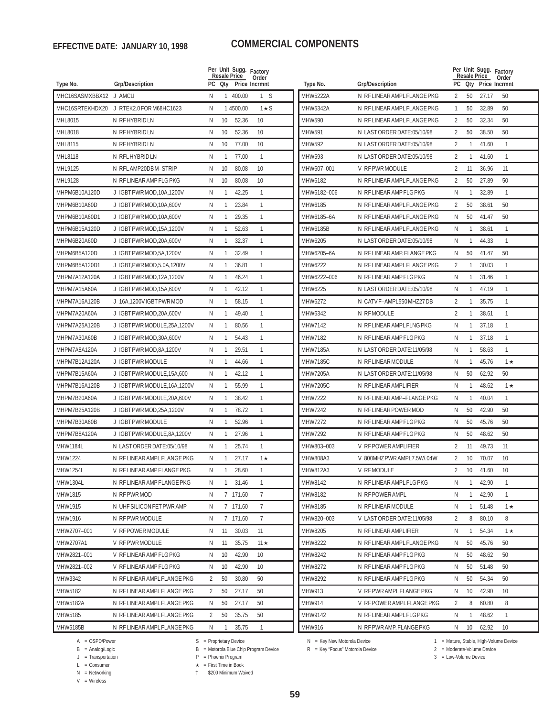| Type No.               | <b>Grp/Description</b>                |    | PC Qty       | Per Unit Sugg. Factory<br><b>Resale Price</b><br>Price Incrmnt | Order          | Type No.        | <b>Grp/Description</b>      |                | PC Qty       | <b>Resale Price</b> | Per Unit Sugg. Factory<br>Order<br>Price Incrmnt |
|------------------------|---------------------------------------|----|--------------|----------------------------------------------------------------|----------------|-----------------|-----------------------------|----------------|--------------|---------------------|--------------------------------------------------|
| MHC16SASMXBBX12 J AMCU |                                       | N  |              | 1 400.00                                                       | 1 <sup>5</sup> | MHW5222A        | N RF LINEAR AMPL FLANGE PKG | $\overline{2}$ | 50           | 27.17               | 50                                               |
|                        | MHC16SRTEKHDX20 J RTEK2.0FORM68HC1623 | N  |              | 1 4500.00                                                      | $1\star S$     | MHW5342A        | N RF LINEAR AMPL FLANGE PKG | 1              | 50           | 32.89               | 50                                               |
| MHL8015                | N RF HYBRIDLN                         | N  | 10           | 52.36                                                          | 10             | MHW590          | N RF LINEAR AMPL FLANGE PKG | 2              | 50           | 32.34               | 50                                               |
| MHL8018                | N RF HYBRIDLN                         | N  | 10           | 52.36                                                          | 10             | MHW591          | N LASTORDER DATE:05/10/98   | 2              | 50           | 38.50               | 50                                               |
| MHL8115                | N RF HYBRIDLN                         | N  | 10           | 77.00                                                          | 10             | MHW592          | N LAST ORDER DATE:05/10/98  | 2              | 1            | 41.60               | $\mathbf{1}$                                     |
| MHL8118                | N RFLHYBRIDLN                         | N  | -1           | 77.00                                                          | $\mathbf{1}$   | MHW593          | N LASTORDER DATE:05/10/98   | 2              | 1            | 41.60               | $\mathbf{1}$                                     |
| MHL9125                | N RFLAMP20DBM-STRIP                   | N  | 10           | 80.08                                                          | 10             | MHW607-001      | V RF PWR MODULE             | 2              | 11           | 36.96               | 11                                               |
| MHL9128                | N RF LINEAR AMP FLG PKG               | N  | 10           | 80.08                                                          | 10             | MHW6182         | N RF LINEAR AMPL FLANGE PKG | 2              | 50           | 27.89               | 50                                               |
| MHPM6B10A120D          | J IGBT PWR MOD.10A.1200V              | N. | 1            | 42.25                                                          | $\mathbf{1}$   | MHW6182-006     | N RF LINEAR AMP FLG PKG     | N              | 1            | 32.89               | $\mathbf{1}$                                     |
| MHPM6B10A60D           | J IGBT PWR MOD, 10A, 600V             | N  | 1            | 23.84                                                          | $\mathbf{1}$   | MHW6185         | N RF LINEAR AMPL FLANGE PKG | $\overline{2}$ | 50           | 38.61               | 50                                               |
| MHPM6B10A60D1          | J IGBT, PWRMOD, 10A, 600V             | N  | 1            | 29.35                                                          | $\mathbf{1}$   | MHW6185-6A      | N RF LINEAR AMPL FLANGE PKG | N              | 50           | 41.47               | 50                                               |
| MHPM6B15A120D          | J IGBT PWR MOD, 15A, 1200V            | N  | $\mathbf{1}$ | 52.63                                                          | $\mathbf{1}$   | MHW6185B        | N RF LINEAR AMPL FLANGE PKG | N              | $\mathbf{1}$ | 38.61               | $\mathbf{1}$                                     |
| MHPM6B20A60D           | J IGBT PWR MOD, 20A, 600V             | N  | $\mathbf{1}$ | 32.37                                                          | $\mathbf{1}$   | MHW6205         | N LAST ORDER DATE:05/10/98  | N              | 1            | 44.33               | $\mathbf{1}$                                     |
| MHPM6B5A120D           | J IGBT PWR MOD, 5A, 1200V             | N  | 1            | 32.49                                                          | $\mathbf{1}$   | MHW6205-6A      | N RF LINEAR AMP. FLANGE PKG | N              | 50           | 41.47               | 50                                               |
| MHPM6B5A120D1          | J IGBT, PWRMOD, 5.0A, 1200V           | N  | $\mathbf{1}$ | 36.81                                                          | $\mathbf{1}$   | MHW6222         | N RF LINEAR AMPL FLANGE PKG | 2              | $\mathbf{1}$ | 30.03               | $\mathbf{1}$                                     |
| MHPM7A12A120A          | J IGBT PWR MOD, 12A, 1200V            | N  | 1            | 46.24                                                          | $\mathbf{1}$   | MHW6222-006     | N RF LINEAR AMP FLG PKG     | N              | 1            | 31.46               | $\overline{1}$                                   |
| MHPM7A15A60A           | J IGBT PWR MOD, 15A, 600V             | N  | 1            | 42.12                                                          | $\mathbf{1}$   | MHW6225         | N LAST ORDER DATE:05/10/98  | N              | 1            | 47.19               | $\mathbf{1}$                                     |
| MHPM7A16A120B          | J 16A.1200VIGBT PWR MOD               | N  | 1            | 58.15                                                          | $\mathbf{1}$   | MHW6272         | N CATV F-AMPL550 MHZ27 DB   | 2              | 1            | 35.75               | $\mathbf{1}$                                     |
| MHPM7A20A60A           | J IGBTPWRMOD.20A.600V                 | N  | 1            | 49.40                                                          | $\mathbf{1}$   | MHW6342         | N RFMODULE                  | 2              | $\mathbf{1}$ | 38.61               | $\mathbf{1}$                                     |
| MHPM7A25A120B          | J IGBT PWR MODULE, 25A, 1200V         | N  | 1            | 80.56                                                          | $\mathbf{1}$   | MHW7142         | N RF LINEAR AMPL FLNG PKG   | N              | 1            | 37.18               | $\mathbf{1}$                                     |
| MHPM7A30A60B           | J IGBT PWR MOD, 30A, 600V             | N  | $\mathbf{1}$ | 54.43                                                          | $\mathbf{1}$   | MHW7182         | N RF LINEAR AMP FLG PKG     | N              | $\mathbf{1}$ | 37.18               | $\mathbf{1}$                                     |
| MHPM7A8A120A           | J IGBT PWR MOD, 8A, 1200V             | N  | 1            | 29.51                                                          | $\mathbf{1}$   | MHW7185A        | N LAST ORDER DATE:11/05/98  | N              | 1            | 58.63               | $\mathbf{1}$                                     |
| MHPM7B12A120A          | J IGBT PWR MODULE                     | N  | 1            | 44.66                                                          | $\mathbf{1}$   | <b>MHW7185C</b> | N RF LINEAR MODULE          | N              | $\mathbf{1}$ | 45.76               | $1\star$                                         |
| MHPM7B15A60A           | J IGBT PWR MODULE, 15A, 600           | N  | 1            | 42.12                                                          | $\mathbf{1}$   | <b>MHW7205A</b> | N LAST ORDER DATE:11/05/98  | N              | 50           | 62.92               | 50                                               |
| MHPM7B16A120B          | J IGBT PWR MODULE, 16A, 1200V         | N  | 1            | 55.99                                                          | $\mathbf{1}$   | MHW7205C        | N RF LINEAR AMPLIFIER       | N              | $\mathbf{1}$ | 48.62               | $1\star$                                         |
| MHPM7B20A60A           | J IGBT PWR MODULE, 20A, 600V          | N  | $\mathbf{1}$ | 38.42                                                          | $\mathbf{1}$   | MHW7222         | N RF LINEAR AMP-FLANGE PKG  | N              | 1            | 40.04               | $\mathbf{1}$                                     |
| MHPM7B25A120B          | J IGBT PWR MOD, 25A, 1200V            | N  | 1            | 78.72                                                          | $\mathbf{1}$   | MHW7242         | N RF LINEAR POWER MOD       | N              | 50           | 42.90               | 50                                               |
| MHPM7B30A60B           | J IGBT PWR MODULE                     | N  | 1            | 52.96                                                          | $\mathbf{1}$   | MHW7272         | N RELINEAR AMP FLG PKG      | N              | 50           | 45.76               | 50                                               |
| MHPM7B8A120A           | J IGBT PWR MODULE, 8A, 1200V          | N  | 1            | 27.96                                                          | $\mathbf{1}$   | MHW7292         | N RF LINEAR AMP FLG PKG     | N              | 50           | 48.62               | 50                                               |
| <b>MHW1184L</b>        | N LAST ORDER DATE:05/10/98            | N  | $\mathbf{1}$ | 25.74                                                          | $\mathbf{1}$   | MHW803-003      | V RFPOWER AMPLIFIER         | 2              | 11           | 49.73               | 11                                               |
| MHW1224                | N RF LINEAR AMPL FLANGE PKG           | N  | $\mathbf{1}$ | 27.17                                                          | $1\star$       | MHW808A3        | V 800MHZ PWR AMPL7.5W/.04W  | $\overline{2}$ | 10           | 70.07               | 10                                               |
| <b>MHW1254L</b>        | N RELINEAR AMP FLANGE PKG             | N. |              | 1 28.60                                                        | $\mathbf{1}$   | MHW812A3        | V RFMODULE                  |                | 2 10         | 41.60               | 10                                               |
| MHW1304L               | N RF LINEAR AMP FLANGE PKG            | N  |              | 1 31.46                                                        | $\mathbf{1}$   | MHW8142         | N RF LINEAR AMPL FLG PKG    | N              | $\mathbf{1}$ | 42.90               | $\mathbf{1}$                                     |
| MHW1815                | N RFPWRMOD                            | N  |              | 7 171.60                                                       | $\overline{7}$ | MHW8182         | N RF POWER AMPL             | N              | 1            | 42.90               | $\mathbf{1}$                                     |
| MHW1915                | N UHF SILICON FET PWR AMP             | N  |              | 7 171.60                                                       | $\overline{7}$ | MHW8185         | N RF LINEAR MODULE          | N              | 1            | 51.48               | $1\star$                                         |
| MHW1916                | N RF PWR MODULE                       | N  |              | 7 171.60                                                       | $\overline{7}$ | MHW820-003      | V LAST ORDER DATE:11/05/98  | 2              | 8            | 80.10               | 8                                                |
| MHW2707-001            | V RF POWER MODULE                     | N  | 11           | 30.03                                                          | 11             | MHW8205         | N RF LINEAR AMPLIFIER       | N              | 1            | 54.34               | $1\star$                                         |
| MHW2707A1              | V RF PWR MODULE                       | N  | 11           | 35.75                                                          | $11 \star$     | MHW8222         | N RF LINEAR AMPL FLANGE PKG | N              | 50           | 45.76               | 50                                               |
| MHW2821-001            | V RFLINEAR AMP FLG PKG                | N  | 10           | 42.90                                                          | 10             | MHW8242         | N RF LINEAR AMP FLG PKG     | N              | 50           | 48.62               | 50                                               |
| MHW2821-002            | V RFLINEAR AMP FLG PKG                | N  | 10           | 42.90                                                          | 10             | MHW8272         | N RF LINEAR AMP FLG PKG     | N              | 50           | 51.48               | 50                                               |
| MHW3342                | N RF LINEAR AMPL FLANGE PKG           | 2  | 50           | 30.80                                                          | 50             | MHW8292         | N RF LINEAR AMP FLG PKG     | N              | 50           | 54.34               | 50                                               |
| MHW5182                | N RF LINEAR AMPL FLANGE PKG           | 2  | 50           | 27.17                                                          | 50             | MHW913          | V RF PWR AMPL FLANGE PKG    | N              | 10           | 42.90               | 10                                               |
| MHW5182A               | N RF LINEAR AMPL FLANGE PKG           | N  | 50           | 27.17                                                          | 50             | MHW914          | V RF POWER AMPL FLANGE PKG  | 2              | 8            | 60.80               | 8                                                |
| MHW5185                | N RF LINEAR AMPL FLANGE PKG           | 2  | 50           | 35.75                                                          | 50             | MHW9142         | N RF LINEAR AMPL FLG PKG    | N              | 1            | 48.62               | $\mathbf{1}$                                     |
| MHW5185B               | N RF LINEAR AMPL FLANGE PKG           | N  | 1            | 35.75                                                          | $\mathbf{1}$   | MHW916          | N RF PWR AMP. FLANGE PKG    | N              | 10           | 62.92               | 10                                               |

- 
- $L = \text{Consumer}$ <br>  $N = \text{Networking}$ <br>  $V = \text{Wireless}$
- 

B = Analog/Logic entropyrology by B = Motorola Blue Chip Program Device R = Key "Focus" Motorola Device 2 = Moderate-Volume Device

 $L =$  Consumer  $\star =$  First Time in Book

- N = Networking and the state of the state of the state of the state of the state of the state of the state of the state of the state of the state of the state of the state of the state of the state of the state of the st
	-

A = OSPD/Power external states and S = Proprietary Device N = Key New Motorola Device 1 = Mature, Stable, High-Volume Device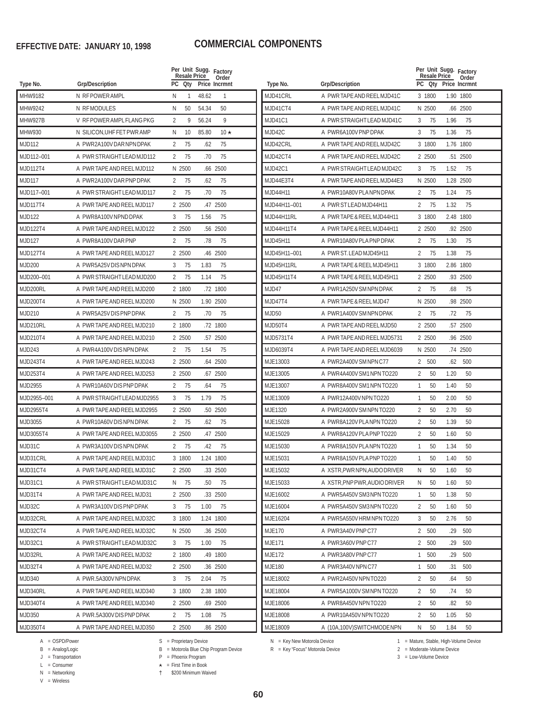| Type No.        | <b>Grp/Description</b>      | Per Unit Sugg. Factory<br><b>Resale Price</b><br>Order<br>PC Qty Price Incrmnt | Type No.       | <b>Grp/Description</b>        | Per Unit Sugg. Factory<br>Resale Price<br>Order<br>PC Qty Price Incrmnt |
|-----------------|-----------------------------|--------------------------------------------------------------------------------|----------------|-------------------------------|-------------------------------------------------------------------------|
| MHW9182         | N RF POWER AMPL             | 48.62<br>N<br>1<br>1                                                           | MJD41CRL       | A PWR TAPE AND REEL MJD41C    | 3 1800<br>1.90 1800                                                     |
| MHW9242         | N RFMODULES                 | 50<br>50<br>54.34<br>N                                                         | MJD41CT4       | A PWR TAPE AND REEL MJD41C    | N 2500<br>.66 2500                                                      |
| <b>MHW927B</b>  | V RF POWER AMPL FLANG PKG   | 9<br>2<br>9<br>56.24                                                           | <b>MJD41C1</b> | A PWR STRAIGHT LEAD MJD41C    | 75<br>1.96<br>75<br>3                                                   |
| MHW930          | N SILICON, UHF FET PWR AMP  | 10<br>85.80<br>$10 \star$<br>N                                                 | MJD42C         | A PWR6A100VPNPDPAK            | 75<br>3<br>75<br>1.36                                                   |
| <b>MJD112</b>   | A PWR2A100V DAR NPN DPAK    | 75<br>75<br>2<br>.62                                                           | MJD42CRL       | A PWR TAPE AND REEL MJD42C    | 3 1800<br>1.76 1800                                                     |
| MJD112-001      | A PWRSTRAIGHT LEAD MJD112   | 75<br>75<br>2<br>.70                                                           | MJD42CT4       | A PWR TAPE AND REEL MJD42C    | 2 2500<br>.51 2500                                                      |
| <b>MJD112T4</b> | A PWR TAPE AND REEL MJD112  | N 2500<br>.66 2500                                                             | MJD42C1        | A PWR STRAIGHT LEAD MJD42C    | 1.52<br>75<br>$3$ 75                                                    |
| <b>MJD117</b>   | A PWR2A100V DAR PNP DPAK    | 75<br>$\overline{2}$<br>75<br>.62                                              | MJD44E3T4      | A PWR TAPE AND REEL MJD44E3   | N 2500<br>1.28 2500                                                     |
| MJD117-001      | A PWR STRAIGHT LEAD MJD117  | 75<br>.70<br>75<br>2                                                           | MJD44H11       | A PWR10A80V PLANPN DPAK       | 2 75<br>1.24<br>75                                                      |
| <b>MJD117T4</b> | A PWR TAPE AND REEL MJD117  | 2 2500<br>.47 2500                                                             | MJD44H11-001   | A PWRSTLEADMJD44H11           | 75<br>2<br>75<br>1.32                                                   |
| <b>MJD122</b>   | A PWR8A100VNPNDDPAK         | 75<br>75<br>3<br>1.56                                                          | MJD44H11RL     | A PWR TAPE & REEL MJD44H11    | 3 1800<br>2.48 1800                                                     |
| MJD122T4        | A PWR TAPE AND REEL MJD122  | 2 2500<br>.56 2500                                                             | MJD44H11T4     | A PWR TAPE & REEL MJD44H11    | 2 2500<br>.92 2500                                                      |
| <b>MJD127</b>   | A PWR8A100VDARPNP           | 2<br>- 75<br>.78<br>75                                                         | MJD45H11       | A PWR10A80V PLA PNP DPAK      | 75<br>1.30<br>75<br>2                                                   |
| MJD127T4        | A PWR TAPE AND REELMJD127   | 2 2500<br>.46 2500                                                             | MJD45H11-001   | A PWRST.LEADMJD45H11          | 75<br>75<br>1.38<br>2                                                   |
| <b>MJD200</b>   | A PWR5A25V DIS NPN DPAK     | 75<br>1.83<br>75<br>3                                                          | MJD45H11RL     | A PWR TAPE & REEL MJD45H11    | 3 1800<br>2.86 1800                                                     |
| MJD200-001      | A PWR STRAIGHT LEAD MJD200  | 75<br>$\overline{2}$<br>75<br>1.14                                             | MJD45H11T4     | A PWR TAPE & REEL MJD45H11    | .93 2500<br>2 2500                                                      |
| MJD200RL        | A PWR TAPE AND REEL MJD200  | .72 1800<br>2 1800                                                             | MJD47          | A PWR1A250V SM NPN DPAK       | 2 75<br>.68<br>75                                                       |
| MJD200T4        | A PWR TAPE AND REEL MJD200  | N 2500<br>1.90 2500                                                            | MJD47T4        | A PWR TAPE & REEL MJD47       | .98 2500<br>N 2500                                                      |
| <b>MJD210</b>   | A PWR5A25V DIS PNP DPAK     | - 75<br>.70<br>75<br>2                                                         | MJD50          | A PWR1A400V SM NPN DPAK       | 2 75<br>.72<br>75                                                       |
| MJD210RL        | A PWR TAPE AND REEL MJD210  | 2 1800<br>.72 1800                                                             | MJD50T4        | A PWR TAPE AND REEL MJD50     | 2 2500<br>.57 2500                                                      |
| MJD210T4        | A PWR TAPE AND REEL MJD210  | 2 2500<br>.57 2500                                                             | MJD5731T4      | A PWR TAPE AND REEL MJD5731   | 2 2500<br>.96 2500                                                      |
| MJD243          | A PWR4A100V DIS NPN DPAK    | 2 75<br>1.54<br>75                                                             | MJD6039T4      | A PWR TAPE AND REEL MJD6039   | N 2500<br>.74 2500                                                      |
| MJD243T4        | A PWR TAPE AND REELMJD243   | 2 2500<br>.64 2500                                                             | MJE13003       | A PWR2A400V SM NPN C77        | 2 500<br>500<br>.62                                                     |
| MJD253T4        | A PWR TAPE AND REEL MJD253  | 2 2500<br>.67 2500                                                             | MJE13005       | A PWR4A400V SM1 NPN TO220     | 50<br>2<br>50<br>1.20                                                   |
| MJD2955         | A PWR10A60VDISPNPDPAK       | 75<br>75<br>$\overline{2}$<br>.64                                              | MJE13007       | A PWR8A400V SM1 NPN TO220     | 50<br>1.40<br>50<br>1                                                   |
| MJD2955-001     | A PWR STRAIGHT LEAD MJD2955 | 75<br>75<br>1.79<br>3                                                          | MJE13009       | A PWR12A400VNPNTO220          | 50<br>2.00<br>50<br>1                                                   |
| MJD2955T4       | A PWR TAPE AND REEL MJD2955 | .50 2500<br>2 2500                                                             | MJE1320        | A PWR2A900V SM NPN TO220      | 2<br>50<br>2.70<br>50                                                   |
| MJD3055         | A PWR10A60V DIS NPN DPAK    | 2<br>75<br>.62<br>75                                                           | MJE15028       | A PWR8A120V PLANPN TO220      | 2<br>50<br>1.39<br>50                                                   |
| MJD3055T4       | A PWR TAPE AND REEL MJD3055 | 2 2500<br>.47 2500                                                             | MJE15029       | A PWR8A120V PLA PNP TO220     | 50<br>2<br>50<br>1.60                                                   |
| MJD31C          | A PWR3A100V DIS NPN DPAK    | 2 75<br>.42<br>75                                                              | MJE15030       | A PWR8A150V PLANPN TO220      | 50<br>1.34<br>50<br>1                                                   |
| MJD31CRL        | A PWR TAPE AND REEL MJD31C  | 3 1800<br>1.24 1800                                                            | MJE15031       | A PWR8A150V PLA PNP TO220     | 50<br>50<br>1.40<br>$\mathbf{1}$                                        |
| MJD31CT4        | A PWR TAPE AND REEL MJD31C  | 2 2500<br>.33 2500                                                             | MJE15032       | A XSTR, PWR NPN, AUDO DRIVER  | 50<br>50<br>1.60<br>N                                                   |
| MJD31C1         | A PWR STRAIGHT LEAD MJD31C  | 75<br>- 75<br>.50<br>N.                                                        | MJE15033       | A XSTR, PNP PWR, AUDIO DRIVER | 50<br>N<br>50<br>1.60                                                   |
| MJD31T4         | A PWR TAPE AND REEL MJD31   | 2 2500<br>.33 2500                                                             | MJE16002       | A PWR5A450V SM3 NPN TO220     | 50<br>50<br>1.38<br>1                                                   |
| MJD32C          | A PWR3A100V DIS PNP DPAK    | 75<br>3 75<br>1.00                                                             | MJE16004       | A PWR5A450V SM3 NPN TO220     | 50<br>2<br>50<br>1.60                                                   |
| MJD32CRL        | A PWR TAPE AND REEL MJD32C  | 1.24 1800<br>3 1800                                                            | MJE16204       | A PWR5A550V HRM NPN TO220     | 50<br>50<br>2.76<br>3                                                   |
| MJD32CT4        | A PWR TAPE AND REEL MJD32C  | N 2500<br>.36 2500                                                             | <b>MJE170</b>  | A PWR3A40VPNPC77              | 2 500<br>.29<br>500                                                     |
| MJD32C1         | A PWR STRAIGHT LEAD MJD32C  | 75<br>75<br>1.00<br>3                                                          | <b>MJE171</b>  | A PWR3A60VPNPC77              | 500<br>2 500<br>.29                                                     |
| MJD32RL         | A PWR TAPE AND REEL MJD32   | 2 1800<br>.49 1800                                                             | <b>MJE172</b>  | A PWR3A80V PNPC77             | 1 500<br>.29<br>500                                                     |
| MJD32T4         | A PWR TAPE AND REEL MJD32   | 2 2500<br>.36 2500                                                             | <b>MJE180</b>  | A PWR3A40VNPNC77              | 1 500<br>500<br>.31                                                     |
| <b>MJD340</b>   | A PWR.5A300V NPN DPAK       | 75<br>2.04<br>3 75                                                             | MJE18002       | A PWR2A450V NPN TO220         | 50<br>50<br>.64<br>$\mathbf{2}$                                         |
| MJD340RL        | A PWR TAPE AND REEL MJD340  | 2.38 1800<br>3 1800                                                            | MJE18004       | A PWR5A1000V SM NPN TO220     | 50<br>50<br>2<br>.74                                                    |
| MJD340T4        | A PWR TAPE AND REEL MJD340  | .69 2500<br>2 2500                                                             | MJE18006       | A PWR8A450V NPN TO220         | 50<br>.82<br>50<br>$\overline{2}$                                       |
| MJD350          | A PWR.5A300V DIS PNP DPAK   | 2 75<br>1.08<br>75                                                             | MJE18008       | A PWR10A450VNPNTO220          | 50<br>1.05<br>50<br>2                                                   |
| MJD350T4        | A PWR TAPE AND REEL MJD350  | 2 2500<br>.86 2500                                                             | MJE18009       | A (10A,100V) SWITCHMODE NPN   | 50<br>1.84<br>50<br>N                                                   |

 $L = \text{Consumer}$ <br>  $N = \text{Networking}$ <br>  $V = \text{Wireless}$ 

B = Analog/Logic entropy of the Motorola Blue Chip Program Device R = Key "Focus" Motorola Device 2 = Moderate-Volume Device

- 
- J = Transportation P = Phoenix Program 3 = Low-Volume Device
- $L =$  Consumer  $\star =$  First Time in Book
- N = Networking extensive that the state of the state of the state of the state of the state of the state of the state of the state of the state of the state of the state of the state of the state of the state of the state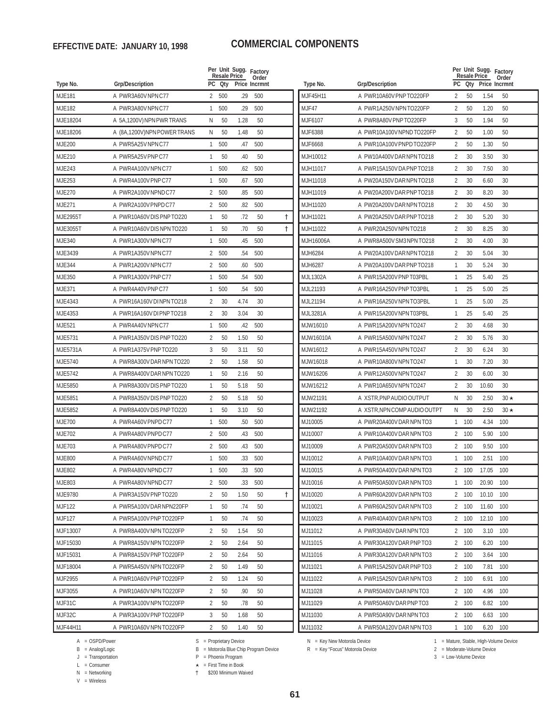| Type No.        | <b>Grp/Description</b>      | Per Unit Sugg. Factory<br><b>Resale Price</b><br>PC Qty | Order<br>Price Incrmnt  | Type No.                | <b>Grp/Description</b>       | <b>Resale Price</b><br>PC Qty | Per Unit Sugg. Factory<br>Order<br>Price Incrmnt |
|-----------------|-----------------------------|---------------------------------------------------------|-------------------------|-------------------------|------------------------------|-------------------------------|--------------------------------------------------|
| <b>MJE181</b>   | A PWR3A60VNPNC77            | 2 500                                                   | 500<br>.29              | MJF45H11                | A PWR10A60V PNPTO220FP       | 2<br>50                       | 1.54<br>50                                       |
| <b>MJE182</b>   | A PWR3A80VNPNC77            | 500<br>1                                                | .29<br>500              | MJF47                   | A PWR1A250V NPN TO220FP      | 2<br>50                       | 1.20<br>50                                       |
| MJE18204        | A 5A,1200V) NPN PWR TRANS   | 50<br>N                                                 | 1.28<br>50              | MJF6107                 | A PWR8A80V PNP TO220FP       | 3<br>50                       | 50<br>1.94                                       |
| MJE18206        | A (8A,1200V)NPN POWER TRANS | 50<br>N                                                 | 1.48<br>50              | MJF6388                 | A PWR10A100V NPND TO220FP    | 2<br>50                       | 1.00<br>50                                       |
| <b>MJE200</b>   | A PWR5A25VNPNC77            | 500<br>1                                                | .47<br>500              | MJF6668                 | A PWR10A100V PNPD TO220FP    | 50<br>2                       | 50<br>1.30                                       |
| <b>MJE210</b>   | A PWR5A25V PNP C77          | $\mathbf{1}$<br>50                                      | .40<br>50               | MJH10012                | A PW10A400V DAR NPN TO218    | 2<br>30                       | 30<br>3.50                                       |
| <b>MJE243</b>   | A PWR4A100VNPNC77           | 500<br>1                                                | .62<br>500              | MJH11017                | A PWR15A150V DA PNP TO218    | 2<br>30                       | 30<br>7.50                                       |
| <b>MJE253</b>   | A PWR4A100V PNPC77          | 500<br>1                                                | 500<br>.67              | M.JH11018               | A PW20A150V DAR NPN TO218    | 2<br>30                       | 6.60<br>30                                       |
| <b>MJE270</b>   | A PWR2A100VNPNDC77          | 2 500                                                   | .85<br>500              | MJH11019                | A PW20A200V DAR PNP TO218    | 2<br>30                       | 8.20<br>30                                       |
| <b>MJE271</b>   | A PWR2A100V PNPD C77        | 2 500                                                   | 500<br>.82              | MJH11020                | A PW20A200V DAR NPN TO218    | 30<br>2                       | 30<br>4.50                                       |
| <b>MJE2955T</b> | A PWR10A60V DIS PNP TO220   | 50<br>-1                                                | $\ddagger$<br>.72<br>50 | MJH11021                | A PW20A250V DAR PNP TO218    | 2<br>30                       | 5.20<br>30                                       |
| MJE3055T        | A PWR10A60V DIS NPN TO220   | 50<br>$\mathbf{1}$                                      | $\ddagger$<br>.70<br>50 | MJH11022                | A PWR20A250V NPN TO218       | 2<br>30                       | 30<br>8.25                                       |
| <b>MJE340</b>   | A PWR1A300VNPNC77           | 500<br>1                                                | 500<br>.45              | MJH16006A               | A PWR8A500V SM3 NPN TO218    | 2<br>30                       | 4.00<br>30                                       |
| MJE3439         | A PWR1A350VNPNC77           | 2 500                                                   | .54<br>500              | MJH6284                 | A PW20A100V DAR NPN TO218    | 2<br>30                       | 30<br>5.04                                       |
| <b>MJE344</b>   | A PWR1A200VNPNC77           | 2<br>500                                                | .60<br>500              | MJH6287                 | A PW20A100V DAR PNP TO218    | 30<br>1                       | 5.24<br>30                                       |
| <b>MJE350</b>   | A PWR1A300V PNPC77          | 500<br>1                                                | 500<br>.54              | MJL1302A                | A PWR15A200V PNP T03PBL      | 25<br>1                       | 25<br>5.40                                       |
| <b>MJE371</b>   | A PWR4A40VPNPC77            | 500<br>1                                                | 500<br>.54              | MJL21193                | A PWR16A250V PNP TO3PBL      | 25<br>1                       | 25<br>5.00                                       |
| MJE4343         | A PWR16A160VDINPNTO218      | 2<br>30                                                 | 4.74<br>30              | MJL21194                | A PWR16A250V NPN TO3PBL      | 25<br>1                       | 25<br>5.00                                       |
| MJE4353         | A PWR16A160VDIPNPTO218      | 2<br>30                                                 | 30<br>3.04              | MJL3281A                | A PWR15A200V NPN T03PBL      | 25<br>1                       | 25<br>5.40                                       |
| <b>MJE521</b>   | A PWR4A40VNPNC77            | 500<br>1                                                | .42<br>500              | MJW16010                | A PWR15A200V NPN TO247       | 2<br>30                       | 4.68<br>30                                       |
| MJE5731         | A PWR1A350V DIS PNP TO220   | 50<br>2                                                 | 1.50<br>50              | MJW16010A               | A PWR15A500V NPN TO247       | 2<br>30                       | 30<br>5.76                                       |
| <b>MJE5731A</b> | A PWR1A375V PNP TO220       | 3<br>50                                                 | 50<br>3.11              | MJW16012                | A PWR15A450V NPN TO247       | 2<br>30                       | 6.24<br>30                                       |
| MJE5740         | A PWR8A300V DAR NPN TO220   | 50<br>2                                                 | 1.58<br>50              | MJW16018                | A PWR10A800V NPN TO247       | 30<br>1                       | 30<br>7.20                                       |
| MJE5742         | A PWR8A400V DAR NPN TO220   | 50<br>1                                                 | 2.16<br>50              | MJW16206                | A PWR12A500V NPN TO247       | 2<br>30                       | 6.00<br>30                                       |
| MJE5850         | A PWR8A300V DIS PNP TO220   | 50<br>1                                                 | 5.18<br>50              | MJW16212                | A PWR10A650V NPN TO247       | 2<br>30                       | 30<br>10.60                                      |
| MJE5851         | A PWR8A350V DIS PNP TO220   | 2<br>50                                                 | 50<br>5.18              | MJW21191                | A XSTR, PNP AUDIO OUTPUT     | 30<br>N                       | 2.50<br>$30 \star$                               |
| MJE5852         | A PWR8A400V DIS PNP TO220   | 50<br>1                                                 | 3.10<br>50              | MJW21192                | A XSTR, NPN COMP AUDIO OUTPT | 30<br>N                       | 2.50<br>$30 \star$                               |
| <b>MJE700</b>   | A PWR4A60V PNPD C77         | 500<br>1                                                | 500<br>.50              | MJ10005                 | A PWR20A400V DAR NPN TO3     | 1 100                         | 4.34<br>100                                      |
| <b>MJE702</b>   | A PWR4A80V PNPD C77         | 2<br>500                                                | .43<br>500              | MJ10007                 | A PWR10A400V DAR NPN TO3     | 2 100                         | 5.90<br>100                                      |
| MJE703          | A PWR4A80VPNPDC77           | 2 500                                                   | .43<br>500              | MJ10009                 | A PWR20A500V DAR NPN TO3     | 2 100                         | 9.50<br>100                                      |
| <b>MJE800</b>   | A PWR4A60VNPNDC77           | 500<br>1                                                | .33<br>500              | MJ10012                 | A PWR10A400V DAR NPN TO3     | 1 100                         | 2.51<br>100                                      |
| MJE802          | A PWR4A80VNPNDC77           | 500<br>1                                                | .33<br>500              | MJ10015                 | A PWR50A400V DAR NPN TO3     | 2 100                         | 17.05 100                                        |
| MJE803          | A PWR4A80VNPNDC77           | 2 500                                                   | .33<br>500              | MJ10016                 | A PWR50A500V DAR NPN TO3     | 1 100                         | 20.90<br>100                                     |
| MJE9780         | A PWR3A150V PNP TO220       | 2<br>50                                                 | 50<br>1.50              | $^{\dagger}$<br>MJ10020 | A PWR60A200V DAR NPN TO3     | 2 100                         | 100<br>10.10                                     |
| <b>MJF122</b>   | A PWR5A100VDARNPN220FP      | 50<br>1                                                 | 50<br>.74               | MJ10021                 | A PWR60A250V DAR NPN TO3     | 2 100                         | 100<br>11.60                                     |
| <b>MJF127</b>   | A PWR5A100V PNP TO220FP     | 50<br>$\mathbf{1}$                                      | 50<br>.74               | MJ10023                 | A PWR40A400V DAR NPN TO3     | 2 100                         | 100<br>12.10                                     |
| MJF13007        | A PWR8A400V NPN TO220FP     | 50<br>2                                                 | 50<br>1.54              | MJ11012                 | A PWR30A60V DAR NPN TO3      | 2 100                         | 100<br>3.10                                      |
| MJF15030        | A PWR8A150V NPN TO220FP     | 50<br>2                                                 | 50<br>2.64              | MJ11015                 | A PWR30A120V DAR PNP TO3     | 2 100                         | 100<br>6.20                                      |
| MJF15031        | A PWR8A150V PNP TO220FP     | 50<br>2                                                 | 50<br>2.64              | MJ11016                 | A PWR30A120V DAR NPN TO3     | 2 100                         | 100<br>3.64                                      |
| MJF18004        | A PWR5A450V NPN TO220FP     | 2<br>50                                                 | 1.49<br>50              | MJ11021                 | A PWR15A250V DAR PNP TO3     | 2 100                         | 7.81<br>100                                      |
| MJF2955         | A PWR10A60V PNP TO220FP     | 2<br>50                                                 | 1.24<br>50              | MJ11022                 | A PWR15A250V DAR NPN TO3     | 2 100                         | 100<br>6.91                                      |
| MJF3055         | A PWR10A60V NPN TO220FP     | 50<br>2                                                 | .90<br>50               | MJ11028                 | A PWR50A60V DAR NPN TO3      | 2 100                         | 100<br>4.96                                      |
| MJF31C          | A PWR3A100V NPN TO220FP     | 2<br>50                                                 | .78<br>50               | MJ11029                 | A PWR50A60VDARPNPTO3         | 2 100                         | 100<br>6.82                                      |
| MJF32C          | A PWR3A100V PNP TO220FP     | 3<br>50                                                 | 1.68<br>50              | MJ11030                 | A PWR50A90VDARNPNTO3         | 2 100                         | 6.63<br>100                                      |
| MJF44H11        | A PWR10A60V NPN TO220FP     | $\overline{2}$<br>50                                    | 50<br>1.40              | MJ11032                 | A PWR50A120V DAR NPN TO3     | 1 100                         | 6.20<br>100                                      |

J = Transportation P = Phoenix Program 3 = Low-Volume Device

- 
- $L = \text{Consumer}$ <br>  $N = \text{Networking}$ <br>  $V = \text{Wireless}$

B = Analog/Logic entropyrology by B = Motorola Blue Chip Program Device R = Key "Focus" Motorola Device 2 = Moderate-Volume Device

 $L =$  Consumer  $\star =$  First Time in Book

N = Networking - and the state of the state of the state of the state of the state of the state of the state of the state of the state of the state of the state of the state of the state of the state of the state of the st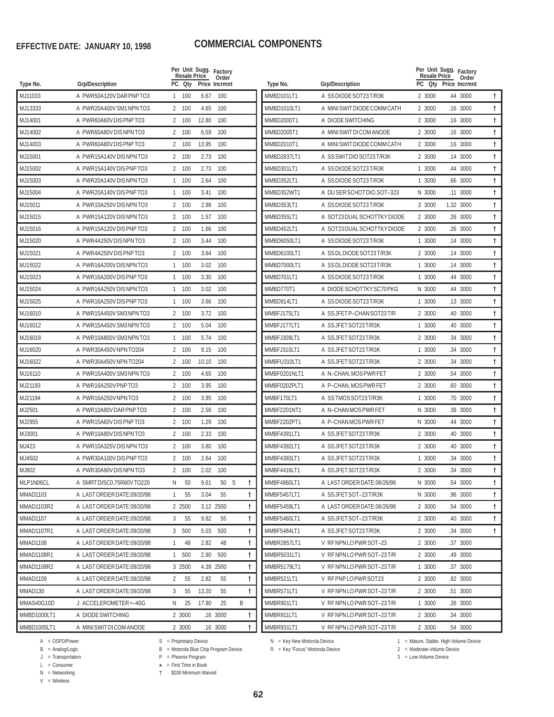|             |                            | Per Unit Sugg. Factory<br>Resale Price<br>Order |              |                             | Per Unit Sugg. Factory<br>Resale Price Order |
|-------------|----------------------------|-------------------------------------------------|--------------|-----------------------------|----------------------------------------------|
| Type No.    | <b>Grp/Description</b>     | PC Qty<br>Price Incrmnt                         | Type No.     | <b>Grp/Description</b>      | PC Qty Price Incrmnt                         |
| MJ11033     | A PWR50A120V DAR PNP TO3   | 100<br>6.67<br>100<br>$\mathbf{1}$              | MMBD101LT1   | A SS DIODE SOT23 T/R3K      | $\ddagger$<br>2 3000<br>.44 3000             |
| MJ13333     | A PWR20A400V SM1 NPN TO3   | 2 100<br>4.65<br>100                            | MMBD1010LT1  | A MINI SWIT DIODE COMM CATH | $\ddagger$<br>2 3000<br>.16 3000             |
| MJ14001     | A PWR60A60VDISPNPTO3       | 2 100<br>12.80<br>100                           | MMBD2000T1   | A DIODE SWITCHING           | $^\dagger$<br>2 3000<br>.16 3000             |
| MJ14002     | A PWR60A80VDISNPNTO3       | 2 100<br>6.59<br>100                            | MMBD2005T1   | A MINISWIT DI COM ANODE     | $\ddagger$<br>2 3000<br>.16 3000             |
| MJ14003     | A PWR60A80VDISPNPTO3       | 100<br>2<br>100<br>13.95                        | MMBD2010T1   | A MINI SWIT DIODE COMM CATH | $\ddagger$<br>2 3000<br>.16 3000             |
| MJ15001     | A PWR15A140V DIS NPN TO3   | 100<br>2<br>2.73<br>100                         | MMBD2837LT1  | A SS SWIT DIO SOT23 T/R3K   | $\ddagger$<br>2 3000<br>.14 3000             |
| MJ15002     | A PWR15A140V DIS PNP TO3   | 100<br>2.73<br>100<br>2                         | MMBD301LT1   | A SS DIODE SOT23 T/R3K      | $\ddagger$<br>1 3000<br>.44 3000             |
| MJ15003     | A PWR20A140V DIS NPN TO3   | 100<br>100<br>2.64<br>1                         | MMBD352LT1   | A SS DIODE SOT23 T/R3K      | $\dagger$<br>1 3000<br>.66 3000              |
| MJ15004     | A PWR20A140V DIS PNP TO3   | 100<br>3.41<br>100<br>$\mathbf{1}$              | MMBD352WT1   | A DUSER SCHOT DIO.SOT-323   | $\ddagger$<br>N 3000<br>.11 3000             |
| MJ15011     | A PWR10A250V DIS NPN TO3   | 100<br>2.98<br>100<br>2                         | MMBD353LT1   | A SS DIODE SOT23 T/R3K      | $\dagger$<br>3 3000<br>1.32 3000             |
| MJ15015     | A PWR15A120V DIS NPN TO3   | 100<br>1.57<br>100<br>2                         | MMBD355LT1   | A SOT23DUAL SCHOTTKY DIODE  | $\ddagger$<br>2 3000<br>.26 3000             |
| MJ15016     | A PWR15A120VDISPNPTO3      | 2 100<br>100<br>1.66                            | MMBD452LT1   | A SOT23 DUAL SCHOTTKY DIODE | $^\dagger$<br>2 3000<br>.26 3000             |
| MJ15020     | A PWR4A250VDISNPNTO3       | 2 100<br>3.44<br>100                            | MMBD6050LT1  | A SS DIODE SOT23 T/R3K      | $\ddagger$<br>1 3000<br>.14 3000             |
| MJ15021     | A PWR4A250VDISPNPTO3       | 100<br>100<br>2<br>3.64                         | MMBD6100LT1  | A SS DL DIODE SOT23 T/R3K   | $\ddagger$<br>2 3000<br>.14 3000             |
| MJ15022     | A PWR16A200VDISNPNTO3      | 100<br>3.02<br>100<br>1                         | MMBD7000LT1  | A SS DL DIODE SOT23 T/R3K   | $\ddagger$<br>1 3000<br>.14 3000             |
| MJ15023     | A PWR16A200VDISPNPTO3      | 100<br>100<br>3.30<br>1                         | MMBD701LT1   | A SS DIODE SOT23 T/R3K      | $\ddagger$<br>1 3000<br>.44 3000             |
| MJ15024     | A PWR16A250V DIS NPN TO3   | 100<br>3.02<br>100<br>1                         | MMBD770T1    | A DIODE SCHOTTKY SC70 PKG   | $\ddagger$<br>N 3000<br>.44 3000             |
| MJ15025     | A PWR16A250V DIS PNP TO3   | 100<br>3.66<br>100<br>$\mathbf{1}$              | MMBD914LT1   | A SS DIODE SOT23 T/R3K      | $\ddagger$<br>1 3000<br>.13 3000             |
| MJ16010     | A PWR15A450V SM3 NPN TO3   | 100<br>3.72<br>100<br>$\mathbf{2}$              | MMBFJ175LT1  | A SSJFETP-CHANSOT23T/R      | $\dagger$<br>2 3000<br>.40 3000              |
| MJ16012     | A PWR15A450V SM3 NPN TO3   | 2 100<br>5.04<br>100                            | MMBFJ177LT1  | A SS JFET SOT23 T/R3K       | $\dagger$<br>1 3000<br>.40 3000              |
| MJ16018     | A PWR10A800V SM3 NPN TO3   | 100<br>100<br>5.74<br>$\mathbf{1}$              | MMBFJ309LT1  | A SS JFET SOT23 T/R3K       | $\dagger$<br>2 3000<br>.34 3000              |
| MJ16020     | A PWR30A450V NPN TO204     | 2 100<br>9.15<br>100                            | MMBFJ310LT1  | A SS JFET SOT23 T/R3K       | $\ddagger$<br>1 3000<br>.34 3000             |
| MJ16022     | A PWR30A450V NPN TO204     | 100<br>100<br>2<br>10.10                        | MMBFU310LT1  | A SS JFET SOT23 T/R3K       | $\ddagger$<br>2 3000<br>.34 3000             |
| MJ16110     | A PWR15A400V SM3 NPN TO3   | 100<br>4.65<br>100<br>2                         | MMBF0201NLT1 | A N-CHAN, MOS PWR FET       | $\ddagger$<br>2 3000<br>.54 3000             |
| MJ21193     | A PWR16A250V PNP TO3       | 100<br>3.95<br>100<br>$\overline{2}$            | MMBF0202PLT1 | A P-CHAN, MOS PWR FET       | $\ddagger$<br>2 3000<br>.60 3000             |
| MJ21194     | A PWR16A250V NPN TO3       | 2 100<br>100<br>3.95                            | MMBF170LT1   | A SSTMOS SOT23 T/R3K        | $\dagger$<br>1 3000<br>.70 3000              |
| MJ2501      | A PWR10A80VDARPNPTO3       | 2 100<br>2.56<br>100                            | MMBF2201NT1  | A N-CHAN MOS PWR FET        | N 3000<br>.38 3000<br>$\ddagger$             |
| MJ2955      | A PWR15A60VDISPNPTO3       | 2<br>100<br>1.29<br>100                         | MMBF2202PT1  | A P-CHANMOS PWR FET         | $\dagger$<br>N 3000<br>.44 3000              |
| MJ3001      | A PWR10A80VDISNPNTO3       | 100<br>2.33<br>100<br>2                         | MMBF4391LT1  | A SS JFET SOT23 T/R3K       | $\ddagger$<br>2 3000<br>.40 3000             |
| MJ423       | A PWR10A325V DIS NPN TO3   | 2 100<br>3.80<br>100                            | MMBF4392LT1  | A SS JFET SOT23 T/R3K       | $^\dagger$<br>2 3000<br>.40 3000             |
| MJ4502      | A PWR30A100VDISPNPTO3      | 2 100<br>2.64<br>100                            | MMBF4393LT1  | A SS JFET SOT23 T/R3K       | $\dagger$<br>1 3000<br>.34 3000              |
| MJ802       | A PWR30A90V DISNPNTO3      | 2 100<br>2.02 100                               | MMBF4416LT1  | A SS JFET SOT23 T/R3K       | $\ddagger$<br>2 3000<br>.34 3000             |
| MLP1N06CL   | A SMRT DISC0.75R60V TO220  | $\ddagger$<br>50 S<br>50<br>9.61<br>N.          | MMBF4860LT1  | A LAST ORDER DATE:06/26/98  | $\ddagger$<br>N 3000<br>.54 3000             |
| MMAD1103    | A LAST ORDER DATE:09/20/98 | $^+$<br>55<br>3.04<br>55<br>1                   | MMBF5457LT1  | A SSJFETSOT-23T/R3K         | $\dagger$<br>N 3000<br>.96 3000              |
| MMAD1103R2  | A LASTORDER DATE:09/20/98  | $^+$<br>2 2500<br>3.12 2500                     | MMBF5459LT1  | A LAST ORDER DATE:06/26/98  | $^{\dagger}$<br>2 3000<br>.54 3000           |
| MMAD1107    | A LASTORDER DATE:09/20/98  | $\dagger$<br>55<br>9.82<br>55<br>3              | MMBF5460LT1  | A SSJFETSOT-23T/R3K         | 2 3000<br>.40 3000<br>$^{\dagger}$           |
| MMAD1107R1  | A LAST ORDER DATE:09/20/98 | 500<br>5.03<br>500<br>$\ddagger$<br>3           | MMBF5484LT1  | A SS JFET SOT23 T/R3K       | 2 3000<br>.34 3000<br>$\ddagger$             |
| MMAD1108    | A LAST ORDER DATE:09/20/98 | 48<br>$^\dagger$<br>48<br>2.82<br>1             | MMBR2857LT1  | V RF NPN LOPWR SOT-23       | 2 3000<br>.37 3000                           |
| MMAD1108R1  | A LAST ORDER DATE:09/20/98 | 500<br>2.90 500<br>$\ddagger$<br>$\mathbf{1}$   | MMBR5031LT1  | V RF NPN LO PWR SOT-23 T/R  | 2 3000<br>.49 3000                           |
| MMAD1108R2  | A LAST ORDER DATE:09/20/98 | $\ddagger$<br>3 2500<br>4.39 2500               | MMBR5179LT1  | V RF NPN LO PWR SOT-23 T/R  | .37 3000<br>1 3000                           |
| MMAD1109    | A LAST ORDER DATE:09/20/98 | $\ddagger$<br>2.82<br>55<br>2<br>55             | MMBR521LT1   | V RF PNP LO PWR SOT23       | 2 3000<br>.82 3000                           |
| MMAD130     | A LAST ORDER DATE:09/20/98 | 13.20<br>55<br>$^+$<br>55<br>3                  | MMBR571LT1   | V RF NPN LO PWR SOT-23 T/R  | .51 3000<br>2 3000                           |
| MMAS40G10D  | J ACCELEROMETER+-40G       | 25<br>B<br>25<br>17.90<br>Ν                     | MMBR901LT1   | V RF NPN LO PWR SOT-23 T/R  | 1 3000<br>.26 3000                           |
| MMBD1000LT1 | A DIODE SWITCHING          | 2 3000<br>.16 3000<br>$^+$                      | MMBR911LT1   | V RF NPN LOPWR SOT-23 T/R   | 2 3000<br>.34 3000                           |
| MMBD1005LT1 | A MINISWIT DI COM ANODE    | 2 3000<br>.16 3000<br>$^{+}$                    | MMBR931LT1   | V RF NPN LO PWR SOT-23 T/R  | 2 3000<br>.54 3000                           |

- 
- 

 $L =$  Consumer  $\star =$  First Time in Book

N = Networking the three states of the states of the states of the states of the states of the states of the states of the states of the states of the states of the states of the states of the states of the states of the s

V = Wireless

A = OSPD/Power <br>
A = Analog/Logic 
S = Proprietary Device<br>
B = Motorola Blue Chip Program Device 
R = Key "Focus" Motorola Device 
2 = Moderate-Volume Device B = Analog/Logic B = Motorola Blue Chip Program Device R = Key "Focus" Motorola Device 2 = Moderate-Volume Device<br>
9 = Phoenix Program Program Pevice R = Key "Focus" Motorola Device 2 = Low-Volume Device

P = Phoenix Program

- 
-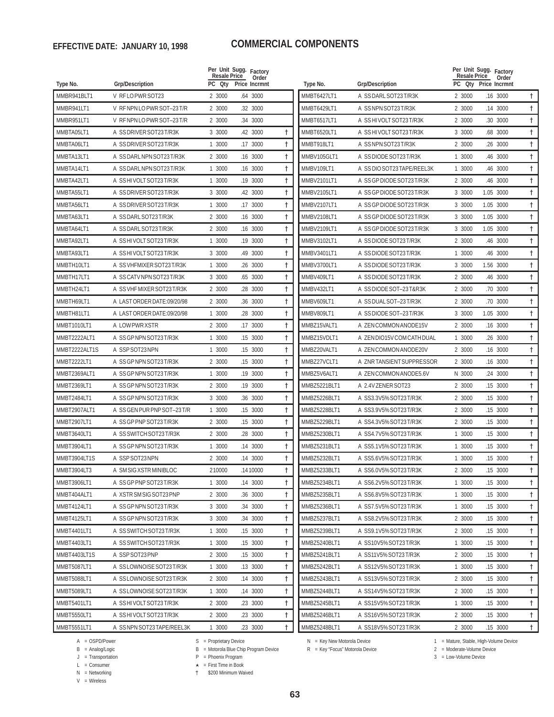|                     |                             | <b>Resale Price</b> | Per Unit Sugg. Factory<br>Order |              |                            | <b>Resale Price</b> | Per Unit Sugg. Factory<br>Order |
|---------------------|-----------------------------|---------------------|---------------------------------|--------------|----------------------------|---------------------|---------------------------------|
| Type No.            | <b>Grp/Description</b>      | PC Otv              | Price Incrmnt                   | Type No.     | <b>Grp/Description</b>     |                     | PC Qty Price Incrmnt            |
| MMBR941BLT1         | V RFLOPWR SOT23             | 2 3000              | .64 3000                        | MMBT6427LT1  | A SS DARL SOT23 T/R3K      | 2 3000              | .16 3000<br>$\ddagger$          |
| MMBR941LT1          | V RF NPN LOPWR SOT-23 T/R   | 2 3000              | .32 3000                        | MMBT6429LT1  | A SSNPNSOT23T/R3K          | 2 3000              | .14 3000<br>$\ddagger$          |
| MMBR951LT1          | V RF NPN LOPWR SOT-23 T/R   | 2 3000              | .34 3000                        | MMBT6517LT1  | A SSHIVOLT SOT23 T/R3K     | 2 3000              | .30 3000<br>$\ddagger$          |
| MMBTA05LT1          | A SSDRIVER SOT23 T/R3K      | 3 3000              | .42 3000<br>$^{\dagger}$        | MMBT6520LT1  | A SSHIVOLT SOT23 T/R3K     | 3 3000              | $\ddagger$<br>.68 3000          |
| MMBTA06LT1          | A SS DRIVER SOT23 T/R3K     | 1 3000              | .17 3000<br>t                   | MMBT918LT1   | A SSNPNSOT23T/R3K          | 2 3000              | .26 3000<br>$^\dagger$          |
| MMBTA13LT1          | A SS DARL NPN SOT23 T/R3K   | 2 3000              | .16 3000<br>$^{\dagger}$        | MMBV105GLT1  | A SS DIODE SOT23 T/R3K     | 1 3000              | .46 3000<br>$\ddagger$          |
| MMBTA14LT1          | A SS DARL NPN SOT23 T/R3K   | 1 3000              | $^\dagger$<br>.16 3000          | MMBV109LT1   | A SS DIO SOT23 TAPE/REEL3K | 1 3000              | .46 3000<br>$\ddagger$          |
| MMBTA42LT1          | A SSHIVOLT SOT23 T/R3K      | 1 3000              | $\ddagger$<br>.19 3000          | MMBV2101LT1  | A SS GP DIODE SOT23 T/R3K  | 2 3000              | $\ddagger$<br>.46 3000          |
| MMBTA55LT1          | A SSDRIVER SOT23 T/R3K      | 3 3000              | $\ddagger$<br>.42 3000          | MMBV2105LT1  | A SS GP DIODE SOT23 T/R3K  | 3 3000              | $\ddagger$<br>1.05 3000         |
| MMBTA56LT1          | A SSDRIVER SOT23 T/R3K      | 1 3000              | $\ddagger$<br>.17 3000          | MMBV2107LT1  | A SS GP DIODE SOT23 T/R3K  | 3 3000              | $\ddagger$<br>1.05 3000         |
| MMBTA63LT1          | A SS DARL SOT23 T/R3K       | 2 3000              | $^{\dagger}$<br>.16 3000        | MMBV2108LT1  | A SS GP DIODE SOT23 T/R3K  | 3 3000              | $\ddagger$<br>1.05 3000         |
| MMBTA64LT1          | A SS DARL SOT23 T/R3K       | 2 3000              | $^{\dagger}$<br>.16 3000        | MMBV2109LT1  | A SS GP DIODE SOT23 T/R3K  | 3 3000              | $\ddagger$<br>1.05 3000         |
| MMBTA92LT1          | A SS HIVOLT SOT23 T/R3K     | 1 3000              | $^{\dagger}$<br>.19 3000        | MMBV3102LT1  | A SS DIODE SOT23 T/R3K     | 2 3000              | $\ddagger$<br>.46 3000          |
| MMBTA93LT1          | A SS HIVOLT SOT23 T/R3K     | 3 3000              | $^{\dagger}$<br>.49 3000        | MMBV3401LT1  | A SS DIODE SOT23 T/R3K     | 1 3000              | .46 3000<br>$\ddagger$          |
| MMBTH10LT1          | A SS VHFMIXER SOT23 T/R3K   | 1 3000              | .26 3000<br>$^{\dagger}$        | MMBV3700LT1  | A SS DIODE SOT23 T/R3K     | 3 3000              | $\ddagger$<br>1.56 3000         |
| MMBTH17LT1          | A SS CATV NPN SOT23 T/R3K   | 3 3000              | $^{\dagger}$<br>.65 3000        | MMBV409LT1   | A SS DIODE SOT23 T/R3K     | 2 3000              | .46 3000<br>$\ddagger$          |
| MMBTH24LT1          | A SS VHF MIXER SOT23 T/R3K  | 2 3000              | $\ddagger$<br>28 3000           | MMBV432LT1   | A SS DIODE SOT-23 T&R3K    | 2 3000              | .70 3000<br>$\ddagger$          |
| MMBTH69LT1          | A LAST ORDER DATE:09/20/98  | 2 3000              | $\ddagger$<br>.36 3000          | MMBV609LT1   | A SS DUAL SOT-23 T/R3K     | 2 3000              | $\ddagger$<br>.70 3000          |
| MMBTH81LT1          | A LAST ORDER DATE:09/20/98  | 1 3000              | $^{\dagger}$<br>.28 3000        | MMBV809LT1   | A SS DIODE SOT-23 T/R3K    | 3 3000              | $\ddagger$<br>1.05 3000         |
| MMBT1010LT1         | A LOW PWR XSTR              | 2 3000              | .17 3000<br>$^{\dagger}$        | MMBZ15VALT1  | A ZEN COMMON ANODE15V      | 2 3000              | .16 3000<br>$\ddagger$          |
| MMBT2222ALT1        | A SS GP NPN SOT23 T/R3K     | 1 3000              | .15 3000<br>$^{\dagger}$        | MMBZ15VDLT1  | A ZEN DIO15V COM CATH DUAL | 1 3000              | .26 3000<br>$\ddagger$          |
| MMBT2222ALT1S       | A SSPSOT23NPN               | 1 3000              | $^{\dagger}$<br>.15 3000        | MMBZ20VALT1  | A ZEN COMMON ANODE20V      | 2 3000              | $\ddagger$<br>.16 3000          |
| <b>MMBT2222LT1</b>  | A SS GP NPN SOT23 T/R3K     | 2 3000              | $^{\dagger}$<br>.15 3000        | MMBZ27VCLT1  | A ZNR TANSIENT SUPPRESSOR  | 2 3000              | .16 3000<br>$^\dagger$          |
| MMBT2369ALT1        | A SS GP NPN SOT23 T/R3K     | 1 3000              | .19 3000<br>$^{\dagger}$        | MMBZ5V6ALT1  | A ZEN COMMON ANODE5.6V     | N 3000              | $\ddagger$<br>.24 3000          |
| MMBT2369LT1         | A SS GP NPN SOT23 T/R3K     | 2 3000              | $^{\dagger}$<br>.19 3000        | MMBZ5221BLT1 | A 2.4V ZENER SOT23         | 2 3000              | .15 3000<br>$\ddagger$          |
| MMBT2484LT1         | A SS GP NPN SOT23 T/R3K     | 3 3000              | $\ddagger$<br>36 3000           | MMBZ5226BLT1 | A SS3.3V5% SOT23 T/R3K     | 2 3000              | $\ddagger$<br>.15 3000          |
| MMBT2907ALT1        | A SS GEN PUR PNP SOT-23 T/R | 1 3000              | $\ddagger$<br>.15 3000          | MMBZ5228BLT1 | A SS3.9V5% SOT23 T/R3K     | 2 3000              | $\ddagger$<br>.15 3000          |
| MMBT2907LT1         | A SS GP PNP SOT23 T/R3K     | 2 3000              | .15 3000<br>$\ddagger$          | MMBZ5229BLT1 | A SS4.3V5% SOT23 T/R3K     | 2 3000              | $\ddagger$<br>.15 3000          |
| MMBT3640LT1         | A SS SWITCH SOT23 T/R3K     | 2 3000              | .28 3000<br>$^{\dagger}$        | MMBZ5230BLT1 | A SS4.7V5% SOT23 T/R3K     | 1 3000              | .15 3000<br>$\ddagger$          |
| MMBT3904LT1         | A SS GP NPN SOT23 T/R3K     | 1 3000              | .14 3000<br>$^{\dagger}$        | MMBZ5231BLT1 | A SS5.1V5% SOT23 T/R3K     | 1 3000              | .15 3000<br>$\ddagger$          |
| MMBT3904LT1S        | A SSPSOT23NPN               | 2 3000              | $^{\dagger}$<br>.14 3000        | MMBZ5232BLT1 | A SS5.6V5% SOT23 T/R3K     | 1 3000              | .15 3000<br>$\ddagger$          |
| MMBT3904LT3         | A SM SIG XSTR MINIBLOC      | 210000              | $^+$<br>.1410000                | MMBZ5233BLT1 | A SS6.0V5% SOT23 T/R3K     | 2 3000              | $^+$<br>.15 3000                |
| MMBT3906LT1         | A SSGPPNPSOT23T/R3K         | 1 3000              | Ť.<br>.14 3000                  | MMBZ5234BLT1 | A SS6.2V5% SOT23 T/R3K     | 1 3000              | .15 3000<br>$^+$                |
| MMBT404ALT1         | A XSTR SM SIG SOT23 PNP     | 2 3000              | $^{\dagger}$<br>.36 3000        | MMBZ5235BLT1 | A SS6.8V5% SOT23 T/R3K     | 1 3000              | .15 3000<br>$\ddagger$          |
| MMBT4124LT1         | A SS GP NPN SOT23 T/R3K     | 3 3000              | Ť.<br>.34 3000                  | MMBZ5236BLT1 | A SS7.5V5% SOT23 T/R3K     | 1 3000              | .15 3000<br>Ť                   |
| MMBT4125LT1         | A SSGPNPNSOT23T/R3K         | 3 3000              | $^{\dagger}$<br>.34 3000        | MMBZ5237BLT1 | A SS8.2V5% SOT23 T/R3K     | 2 3000              | .15 3000<br>$\ddagger$          |
| MMBT4401LT1         | A SS SWITCH SOT23 T/R3K     | 1 3000              | $^{\dagger}$<br>.15 3000        | MMBZ5239BLT1 | A SS9.1V5% SOT23 T/R3K     | 2 3000              | $\ddagger$<br>.15 3000          |
| MMBT4403LT1         | A SS SWITCH SOT23 T/R3K     | 1 3000              | $^{\dagger}$<br>.15 3000        | MMBZ5240BLT1 | A SS10V5% SOT23 T/R3K      | 1 3000              | $\ddagger$<br>.15 3000          |
| <b>MMBT4403LT1S</b> | A SSPSOT23PNP               | 2 3000              | $^\dagger$<br>.15 3000          | MMBZ5241BLT1 | A SS11V5% SOT23 T/R3K      | 2 3000              | .15 3000<br>$\pm$               |
| MMBT5087LT1         | A SSLOWNOISE SOT23 T/R3K    | 1 3000              | $^\dagger$<br>.13 3000          | MMBZ5242BLT1 | A SS12V5% SOT23 T/R3K      | 1 3000              | .15 3000<br>$\ddagger$          |
| MMBT5088LT1         | A SSLOWNOISE SOT23 T/R3K    | 2 3000              | .14 3000<br>t.                  | MMBZ5243BLT1 | A SS13V5% SOT23 T/R3K      | 2 3000              | .15 3000<br>$\top$              |
| MMBT5089LT1         | A SSLOWNOISE SOT23 T/R3K    | 1 3000              | Ť.<br>.14 3000                  | MMBZ5244BLT1 | A SS14V5% SOT23 T/R3K      | 2 3000              | .15 3000<br>$\ddagger$          |
| MMBT5401LT1         | A SSHIVOLT SOT23 T/R3K      | 2 3000              | .23 3000<br>Ť.                  | MMBZ5245BLT1 | A SS15V5% SOT23 T/R3K      | 1 3000              | .15 3000<br>$^{\dagger}$        |
| MMBT5550LT1         | A SSHIVOLT SOT23 T/R3K      | 2 3000              | Ť.<br>.23 3000                  | MMBZ5246BLT1 | A SS16V5% SOT23 T/R3K      | 2 3000              | .15 3000<br>$\ddagger$          |
| MMBT5551LT1         | A SS NPN SOT23 TAPE/REEL3K  | 1 3000              | $\dagger$<br>.23 3000           | MMBZ5248BLT1 | A SS18V5% SOT23 T/R3K      | 2 3000              | $^+$<br>.15 3000                |

- 
- 
- 
- $L = \text{Consumer}$ <br>  $N = \text{Networking}$ <br>  $V = \text{Wireless}$
- 

B = Analog/Logic entropyrology by B = Motorola Blue Chip Program Device R = Key "Focus" Motorola Device 2 = Moderate-Volume Device

A = OSPD/Power external states and S = Proprietary Device N = Key New Motorola Device 1 = Mature, Stable, High-Volume Device

 $L =$  Consumer  $\star =$  First Time in Book

N = Networking - and the state of the state of the state of the state of the state of the state of the state of the state of the state of the state of the state of the state of the state of the state of the state of the st

J = Transportation P = Phoenix Program 3 = Low-Volume Device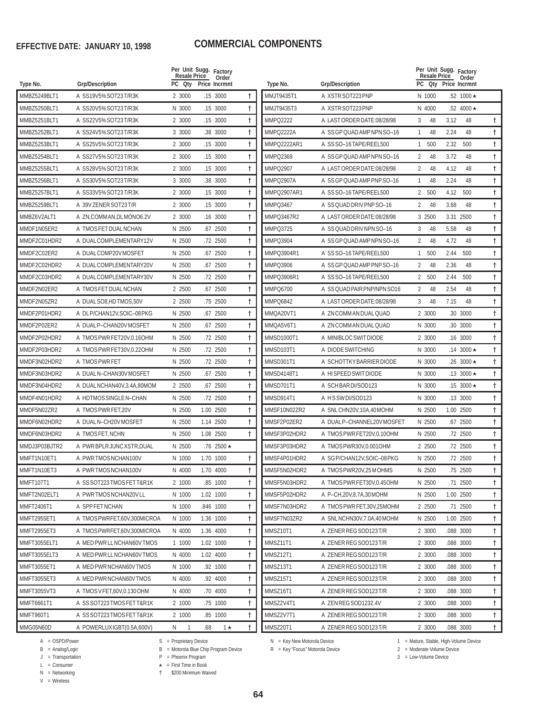| Type No.         | <b>Grp/Description</b>        | Resale Price<br>PC Qty | Per Unit Sugg. Factory<br>Order<br>Price Incrmnt | Type No.          | <b>Grp/Description</b>      |                      | Per Unit Sugg. Factory<br>Resale Price Order<br>PC Qty Price Incrmnt |
|------------------|-------------------------------|------------------------|--------------------------------------------------|-------------------|-----------------------------|----------------------|----------------------------------------------------------------------|
| MMBZ5249BLT1     | A SS19V5% SOT23 T/R3K         | 2 3000                 | $\ddagger$<br>.15 3000                           | MMJT9435T1        | A XSTR SOT223 PNP           | N 1000               | $.52 \; 1000 \star$                                                  |
| MMBZ5250BLT1     | A SS20V5% SOT23 T/R3K         | N 3000                 | .15 3000<br>$\ddagger$                           | MMJT9435T3        | A XSTR SOT223 PNP           | N 4000               | $.52 \, 4000 \star$                                                  |
| MMBZ5251BLT1     | A SS22V5% SOT23 T/R3K         | 2 3000                 | $\ddagger$<br>.15 3000                           | <b>MMPQ2222</b>   | A LASTORDER DATE:08/28/98   | 3<br>48              | $\ddagger$<br>3.12<br>48                                             |
| MMBZ5252BLT1     | A SS24V5% SOT23 T/R3K         | 3 3000                 | $\ddagger$<br>.38 3000                           | <b>MMPQ2222A</b>  | A SS GP QUAD AMP NPN SO-16  | 48<br>1              | $+$<br>48<br>2.24                                                    |
| MMBZ5253BLT1     | A SS25V5% SOT23 T/R3K         | 2 3000                 | .15 3000<br>$\ddagger$                           | MMPQ2222AR1       | A SS SO-16 TAPE/REEL500     | 500<br>$\mathbf{1}$  | $+$<br>500<br>2.32                                                   |
| MMBZ5254BLT1     | A SS27V5% SOT23 T/R3K         | 2 3000                 | .15 3000<br>$\ddagger$                           | MMPQ2369          | A SS GP QUAD AMP NPN SO-16  | $\overline{2}$<br>48 | $+$<br>3.72<br>48                                                    |
| MMBZ5255BLT1     | A SS28V5% SOT23 T/R3K         | 2 3000                 | $\ddagger$<br>.15 3000                           | MMPQ2907          | A LAST ORDER DATE:08/28/98  | 2<br>48              | $\ddagger$<br>4.12<br>48                                             |
| MMBZ5256BLT1     | A SS30V5% SOT23 T/R3K         | 3 3000                 | $\ddagger$<br>.38 3000                           | MMPQ2907A         | A SSGPQUADAMPPNPSO-16       | 48<br>1.             | $\ddagger$<br>2.24<br>48                                             |
| MMBZ5257BLT1     | A SS33V5% SOT23 T/R3K         | 2 3000                 | .15 3000<br>$\ddagger$                           | MMPQ2907AR1       | A SS SO-16 TAPE/REEL500     | 2 500                | $\ddagger$<br>4.12<br>500                                            |
| MMBZ5259BLT1     | A 39V ZENER SOT23 T/R         | 2 3000                 | $\ddagger$<br>.15 3000                           | MMPQ3467          | A SSQUAD DRIV PNP SO-16     | 2<br>48              | $+$<br>3.68<br>48                                                    |
| MMBZ6V2ALT1      | A ZN, COMMAN, DLMONO6.2V      | 2 3000                 | $\ddagger$<br>.16 3000                           | MMPQ3467R2        | A LAST ORDER DATE:08/28/98  | 3 2500               | $\ddagger$<br>3.31 2500                                              |
| MMDF1N05ER2      | A TMOS FET DUAL NCHAN         | N 2500                 | $\ddagger$<br>.67 2500                           | MMPQ3725          | A SS QUAD DRIV NPN SO-16    | 3<br>48              | $\ddagger$<br>5.58<br>48                                             |
| MMDF2C01HDR2     | A DUALCOMPLEMENTARY12V        | N 2500                 | $\ddagger$<br>.72 2500                           | MMPQ3904          | A SS GP QUAD AMP NPN SO-16  | $\overline{2}$<br>48 | $+$<br>4.72<br>48                                                    |
| MMDF2C02ER2      | A DUALCOMP20VMOSFET           | N 2500                 | .67 2500<br>$\ddagger$                           | MMPQ3904R1        | A SS SO-16 TAPE/REEL500     | 500<br>$\mathbf{1}$  | $\pm$<br>2.44<br>500                                                 |
| MMDF2C02HDR2     | A DUALCOMPLEMENTARY20V        | N 2500                 | .67 2500<br>$\ddagger$                           | MMPQ3906          | A SS GP QUAD AMP PNP SO-16  | $\overline{2}$<br>48 | $\uparrow$<br>2.36<br>48                                             |
| MMDF2C03HDR2     | A DUALCOMPLEMENTARY30V        | N 2500                 | $\ddagger$<br>.72 2500                           | MMPQ3906R1        | A SS SO-16 TAPE/REEL500     | 2 500                | $\dagger$<br>2.44<br>500                                             |
| MMDF2N02ER2      | A TMOS FET DUAL NCHAN         | 2 2500                 | .67 2500<br>$\ddagger$                           | MMPQ6700          | A SS QUAD PAIR PNP/NPN SO16 | $\overline{2}$<br>48 | $\ddagger$<br>2.54<br>48                                             |
| MMDF2N05ZR2      | A DUALSO8, HD TMOS, 50V       | 2 2500                 | .75 2500<br>$\ddagger$                           | MMP06842          | A LASTORDER DATE:08/28/98   | 3<br>48              | $\ddagger$<br>7.15<br>48                                             |
| MMDF2P01HDR2     | A DLP/CHAN12V, SOIC-08 PKG    | N 2500                 | $\ddagger$<br>.67 2500                           | MMQA20VT1         | A ZN COMM AN DUAL QUAD      | 2 3000               | $\ddagger$<br>.30 3000                                               |
| MMDF2P02ER2      | A DUALP-CHAN20VMOSFET         | N 2500                 | $\ddagger$<br>.67 2500                           | MMQA5V6T1         | A ZN COMM AN DUAL QUAD      | N 3000               | $\ddagger$<br>.30 3000                                               |
| MMDF2P02HDR2     | A TMOS PWR FET20V,0.16OHM     | N 2500                 | $\ddagger$<br>.72 2500                           | MMSD1000T1        | A MINIBLOC SWIT DIODE       | 2 3000               | $\dagger$<br>.16 3000                                                |
| MMDF2P03HDR2     | A TMOS PWR FET30V,0.22OHM     | N 2500                 | $\ddagger$<br>.72 2500                           | MMSD103T1         | A DIODE SWITCHING           | N 3000               | $\ddagger$<br>.14 3000 $\star$                                       |
| MMDF3N02HDR2     | A TMOS PWR FET                | N 2500                 | .72 2500<br>$\ddagger$                           | <b>MMSD301T1</b>  | A SCHOTTKY BARRIER DIODE    | N 3000               | $+$<br>.26 3000 $\star$                                              |
| MMDF3N03HDR2     | A DUALN-CHAN30VMOSFET         | N 2500                 | .67 2500<br>$^{+}$                               | <b>MMSD4148T1</b> | A HISPEED SWIT DIODE        | N 3000               | $\ddagger$<br>.13 3000 $\star$                                       |
| MMDF3N04HDR2     | A DUALNCHAN40V,3.4A,80MOM     | 2 2500                 | .67 2500<br>$\ddagger$                           | MMSD701T1         | A SCHBAR DI/SOD123          | N 3000               | $\ddagger$<br>.15 3000 $\star$                                       |
| MMDF4N01HDR2     | A HDTMOS SINGLE N-CHAN        | N 2500                 | $\ddagger$<br>.72 2500                           | MMSD914T1         | A HSSWDI/SOD123             | N 3000               | $\ddagger$<br>.13 3000                                               |
| MMDF5N02ZR2      | A TMOS PWR FET,20V            | N 2500                 | 1.00 2500<br>$\ddagger$                          | MMSF10N02ZR2      | A SNLCHN20V,10A,40MOHM      | N 2500               | $\ddagger$<br>1.00 2500                                              |
| MMDF6N02HDR2     | A DUALN-CH20VMOSFET           | N 2500                 | 1.14 2500<br>$\ddagger$                          | MMSF2P02ER2       | A DUALP-CHANNEL20VMOSFET    | N 2500               | $\ddagger$<br>.67 2500                                               |
| MMDF6N03HDR2     | A TMOSFET, NCHN               | N 2500                 | $^{+}$<br>1.08 2500                              | MMSF3P02HDR2      | A TMOS PWR FET20V,0.10OHM   | N 2500               | $\ddagger$<br>.72 2500                                               |
| MMDJ3P03BJTR2    | A PWR BPLR JUNC XSTR, DUAL    | N 2500                 | .76 2500 $\star$                                 | MMSF3P03HDR2      | A TMOS PWR30V,0.001OHM      | 2 2500               | $\ddagger$<br>.72 2500                                               |
| MMFT1N10ET1      | A PWRTMOSNCHAN100V            | N 1000                 | 1.70 1000<br>$^{\dagger}$                        | MMSF4P01HDR2      | A SGP/CHAN12V, SOIC-08 PKG  | N 2500               | $^\dagger$<br>.72 2500                                               |
| MMFT1N10ET3      | A PWRTMOSNCHAN100V            | N 4000                 | $+$<br>1.70 4000<br>л.                           | MMSF5N02HDR2      | A TMOS PWR20V,25 M OHMS     | N 2500               | $^\dagger$<br>.75 2500                                               |
| <b>MMFT107T1</b> | A SS SOT223 TMOS FET T&R1K    | 2 1000                 | $\dagger$<br>.85 1000                            | MMSF5N03HDR2      | A TMOS PWR FET30V.0.45OHM   | N 2500               | $\ddagger$<br>.71 2500                                               |
| MMFT2N02ELT1     | A PWRTMOSNCHAN20VLL           | N 1000                 | 1.02 1000<br>$\ddagger$                          | MMSF5P02HDR2      | A P-CH, 20V, 8.7A, 30 MOHM  | N 2500               | $^{\dagger}$<br>1.00 2500                                            |
| MMFT2406T1       | A SPPFETNCHAN                 | N 1000                 | .846 1000<br>Ť                                   | MMSF7N03HDR2      | A TMOS PWR FET, 30V, 25MOHM | 2 2500               | $\ddagger$<br>.71 2500                                               |
| MMFT2955ET1      | A TMOS PWRFET,60V,300MICROA   | N 1000                 | 1.36 1000<br>$\ddagger$                          | MMSF7N03ZR2       | A SNLNCHN30V,7.0A,40MOHM    | N 2500               | $^\dagger$<br>1.00 2500                                              |
| MMFT2955ET3      | A TMOS PWRFET, 60V, 300MICROA | N 4000                 | $\dagger$<br>1.36 4000                           | MMSZ10T1          | A ZENER REG SOD123 T/R      | 2 3000               | $\uparrow$<br>.088 3000                                              |
| MMFT3055ELT1     | A MED PWR LL NCHAN60V TMOS    | 1 1000                 | $^{\dagger}$<br>1.02 1000                        | MMSZ11T1          | A ZENER REG SOD123 T/R      | 2 3000               | $\dagger$<br>.088 3000                                               |
| MMFT3055ELT3     | A MEDPWRLLNCHAN60VTMOS        | N 4000                 | $^\dagger$<br>1.02 4000                          | MMSZ12T1          | A ZENER REG SOD123 T/R      | 2 3000               | $^{\dagger}$<br>.088 3000                                            |
| MMFT3055ET1      | A MED PWR NCHAN60V TMOS       | N 1000                 | $\ddagger$<br>.92 1000                           | MMSZ13T1          | A ZENER REG SOD123 T/R      | 2 3000               | $\uparrow$<br>.088 3000                                              |
| MMFT3055ET3      | A MED PWR NCHAN60V TMOS       | N 4000                 | .92 4000<br>$\ddagger$                           | MMSZ15T1          | A ZENER REG SOD123 T/R      | 2 3000               | $^\dagger$<br>.088 3000                                              |
| MMFT3055VT3      | A TMOS V FET,60V,0.130 OHM    | N 4000                 | .70 4000<br>$\ddagger$                           | MMSZ16T1          | A ZENER REG SOD123 T/R      | 2 3000               | $+$<br>.088 3000                                                     |
| MMFT6661T1       | A SS SOT223 TMOS FET T&R1K    | 2 1000                 | .75 1000<br>$\ddagger$                           | MMSZ2V4T1         | A ZEN REG SOD1232.4V        | 2 3000               | $^\dagger$<br>.088 3000                                              |
| <b>MMFT960T1</b> | A SS SOT223 TMOS FET T&R1K    | 2 1000                 | .85 1000<br>$\ddagger$                           | MMSZ2V7T1         | A ZENER REG SOD123 T/R      | 2 3000               | $\ddagger$<br>.088 3000                                              |
| MMG05N60D        | A POWERLUXIGBT(0.5A,600V)     | N<br>$\mathbf{1}$      | .68<br>$1\star$<br>$^+$                          | MMSZ20T1          | A ZENER REG SOD123 T/R      | 2 3000               | $^\mathrm{+}$<br>.088 3000                                           |

- 
- 

 $L = \text{Consumer}$ <br>  $N = \text{Networking}$ <br>  $V = \text{Wireless}$ 

B = Analog/Logic chip Program Device R = Key "Focus" Motorola Device 2 = Moderate-Volume Device

- 
- J = Transportation P = Phoenix Program 3 = Low-Volume Device
- $L =$  Consumer  $\star =$  First Time in Book
	-
- 
- 
- A = OSPD/Power external states and S = Proprietary Device N = Key New Motorola Device 1 = Mature, Stable, High-Volume Device

- 
- 
- N = Networking extensive that the state of the state of the state of the state of the state of the state of the state of the state of the state of the state of the state of the state of the state of the state of the state
	-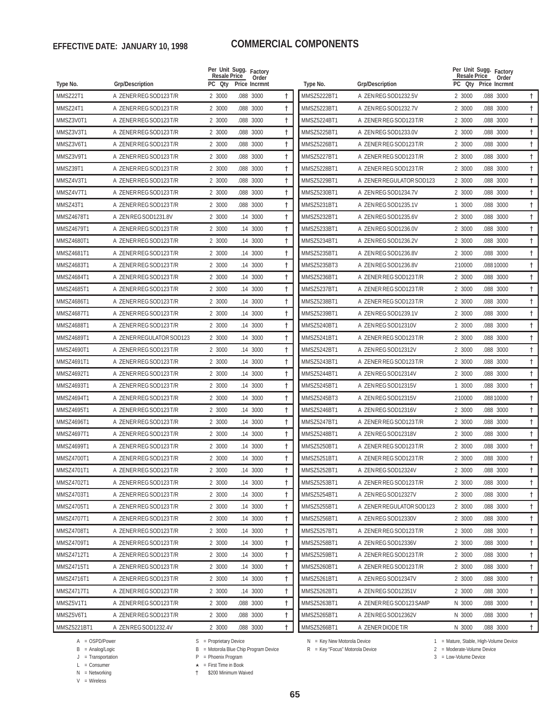|             |                          | Per Unit Sugg. Factory<br><b>Resale Price</b> |                    |                          | Per Unit Sugg. Factory<br><b>Resale Price</b> |
|-------------|--------------------------|-----------------------------------------------|--------------------|--------------------------|-----------------------------------------------|
| Type No.    | <b>Grp/Description</b>   | Order<br>PC Qty<br>Price Incrmnt              | Type No.           | <b>Grp/Description</b>   | Order<br>PC Qty<br>Price Incrmnt              |
| MMSZ22T1    | A ZENER REG SOD123 T/R   | $^{\dagger}$<br>2 3000<br>.088 3000           | MMSZ5222BT1        | A ZENREGSOD1232.5V       | $\dagger$<br>2 3000<br>.088 3000              |
| MMSZ24T1    | A ZENER REG SOD123 T/R   | .088 3000<br>$^{\dagger}$<br>2 3000           | MMSZ5223BT1        | A ZENREGSOD1232.7V       | 2 3000<br>.088 3000<br>$^+$                   |
| MMSZ3V0T1   | A ZENER REG SOD123 T/R   | $^{\dagger}$<br>2 3000<br>.088 3000           | MMSZ5224BT1        | A ZENER REG SOD123 T/R   | $^{\dagger}$<br>2 3000<br>.088 3000           |
| MMSZ3V3T1   | A ZENER REG SOD123 T/R   | .088 3000<br>t<br>2 3000                      | <b>MMSZ5225BT1</b> | A ZENREGSOD1233.0V       | 2 3000<br>.088 3000<br>$^+$                   |
| MMSZ3V6T1   | A ZENER REG SOD123 T/R   | .088 3000<br>$^{\dagger}$<br>2 3000           | MMSZ5226BT1        | A ZENER REG SOD123 T/R   | 2 3000<br>$^{\dagger}$<br>.088 3000           |
| MMSZ3V9T1   | A ZENER REG SOD123 T/R   | $^{\dagger}$<br>2 3000<br>.088 3000           | MMSZ5227BT1        | A ZENER REG SOD123 T/R   | 2 3000<br>.088 3000<br>$^+$                   |
| MMSZ39T1    | A ZENER REG SOD123 T/R   | $\ddagger$<br>2 3000<br>.088 3000             | MMSZ5228BT1        | A ZENER REG SOD123 T/R   | 2 3000<br>.088 3000<br>$^{\dagger}$           |
| MMSZ4V3T1   | A ZENER REG SOD123 T/R   | $^+$<br>2 3000<br>.088 3000                   | <b>MMSZ5229BT1</b> | A ZENER REGULATOR SOD123 | $^+$<br>2 3000<br>.088 3000                   |
| MMSZ4V7T1   | A ZENER REG SOD123 T/R   | .088 3000<br>$^{\dagger}$<br>2 3000           | <b>MMSZ5230BT1</b> | A ZENREGSOD1234.7V       | .088 3000<br>2 3000<br>$^{\dagger}$           |
| MMSZ43T1    | A ZENER REG SOD123 T/R   | $\ddagger$<br>2 3000<br>.088 3000             | <b>MMSZ5231BT1</b> | A ZENREGSOD1235.1V       | $^+$<br>1 3000<br>.088 3000                   |
| MMSZ4678T1  | A ZENREG SOD1231.8V      | $^{\dagger}$<br>2 3000<br>.14 3000            | MMSZ5232BT1        | A ZENREGSOD1235.6V       | $\ddagger$<br>2 3000<br>.088 3000             |
| MMSZ4679T1  | A ZENER REG SOD123 T/R   | $^{\dagger}$<br>2 3000<br>.14 3000            | MMSZ5233BT1        | A ZENREGSOD1236.0V       | $^{\dagger}$<br>2 3000<br>.088 3000           |
| MMSZ4680T1  | A ZENER REG SOD123 T/R   | .14 3000<br>t<br>2 3000                       | MMSZ5234BT1        | A ZENREGSOD1236.2V       | .088 3000<br>$^+$<br>2 3000                   |
| MMSZ4681T1  | A ZENER REG SOD123 T/R   | .14 3000<br>$^{\dagger}$<br>2 3000            | MMSZ5235BT1        | A ZENREGSOD1236.8V       | 2 3000<br>$^{\dagger}$<br>.088 3000           |
| MMSZ4683T1  | A ZENER REG SOD123 T/R   | $^{\dagger}$<br>2 3000<br>.14 3000            | MMSZ5235BT3        | A ZENREGSOD1236.8V       | $^+$<br>210000<br>.08810000                   |
| MMSZ4684T1  | A ZENER REG SOD123 T/R   | $^{\dagger}$<br>2 3000<br>.14 3000            | MMSZ5236BT1        | A ZENER REG SOD123 T/R   | 2 3000<br>.088 3000<br>$^{\dagger}$           |
| MMSZ4685T1  | A ZENER REG SOD123 T/R   | $^{\dagger}$<br>2 3000<br>.14 3000            | <b>MMSZ5237BT1</b> | A ZENER REG SOD123 T/R   | 2 3000<br>.088 3000<br>$^+$                   |
| MMSZ4686T1  | A ZENER REG SOD123 T/R   | $^{\dagger}$<br>2 3000<br>.14 3000            | MMSZ5238BT1        | A ZENER REG SOD123 T/R   | .088 3000<br>2 3000<br>$^+$                   |
| MMSZ4687T1  | A ZENER REG SOD123 T/R   | $\ddagger$<br>2 3000<br>.14 3000              | MMSZ5239BT1        | A ZENREGSOD1239.1V       | $\ddagger$<br>2 3000<br>.088 3000             |
| MMSZ4688T1  | A ZENER REG SOD123 T/R   | $^{\dagger}$<br>2 3000<br>.14 3000            | MMSZ5240BT1        | A ZENREGSOD12310V        | 2 3000<br>.088 3000<br>$^+$                   |
| MMSZ4689T1  | A ZENER REGULATOR SOD123 | $\ddagger$<br>2 3000<br>.14 3000              | <b>MMSZ5241BT1</b> | A ZENER REG SOD123 T/R   | $^{\dagger}$<br>2 3000<br>.088 3000           |
| MMSZ4690T1  | A ZENER REG SOD123 T/R   | .14 3000<br>t<br>2 3000                       | MMSZ5242BT1        | A ZENREGSOD12312V        | 2 3000<br>.088 3000<br>$^+$                   |
| MMSZ4691T1  | A ZENER REG SOD123 T/R   | .14 3000<br>$^{\dagger}$<br>2 3000            | MMSZ5243BT1        | A ZENER REG SOD123 T/R   | $^{\dagger}$<br>2 3000<br>.088 3000           |
| MMSZ4692T1  | A ZENER REG SOD123 T/R   | $^{\dagger}$<br>2 3000<br>.14 3000            | MMSZ5244BT1        | A ZENREGSOD12314V        | 2 3000<br>.088 3000<br>$^+$                   |
| MMSZ4693T1  | A ZENER REG SOD123 T/R   | $\ddagger$<br>2 3000<br>.14 3000              | MMSZ5245BT1        | A ZENREGSOD12315V        | 1 3000<br>.088 3000<br>$^{\dagger}$           |
| MMSZ4694T1  | A ZENER REG SOD123 T/R   | $^+$<br>2 3000<br>.14 3000                    | MMSZ5245BT3        | A ZENREGSOD12315V        | $^+$<br>210000<br>.08810000                   |
| MMSZ4695T1  | A ZENER REG SOD123 T/R   | $^{\dagger}$<br>2 3000<br>.14 3000            | <b>MMSZ5246BT1</b> | A ZENREGSOD12316V        | 2 3000<br>.088 3000<br>$^+$                   |
| MMSZ4696T1  | A ZENER REG SOD123 T/R   | $\ddagger$<br>2 3000<br>.14 3000              | MMSZ5247BT1        | A ZENER REG SOD123 T/R   | $\ddagger$<br>2 3000<br>.088 3000             |
| MMSZ4697T1  | A ZENER REG SOD123 T/R   | $^{\dagger}$<br>2 3000<br>.14 3000            | MMSZ5248BT1        | A ZENREGSOD12318V        | 2 3000<br>.088 3000<br>$^+$                   |
| MMSZ4699T1  | A ZENER REG SOD123 T/R   | $\ddagger$<br>2 3000<br>.14 3000              | MMSZ5250BT1        | A ZENER REG SOD123 T/R   | $^{\dagger}$<br>2 3000<br>.088 3000           |
| MMSZ4700T1  | A ZENER REG SOD123 T/R   | 2 3000<br>.14 3000<br>t                       | <b>MMSZ5251BT1</b> | A ZENER REG SOD123 T/R   | 2 3000<br>.088 3000<br>$\ddagger$             |
| MMSZ4701T1  | A ZENER REG SOD123 T/R   | $+$<br>2 3000<br>.14 3000                     | MMSZ5252BT1        | A ZENREGSOD12324V        | $^+$<br>2 3000<br>088 3000                    |
| MMSZ4702T1  | A ZENER REG SOD123 T/R   | $^+$<br>2 3000<br>.14 3000                    | MMSZ5253BT1        | A ZENER REG SOD123 T/R   | $^+$<br>2 3000<br>.088 3000                   |
| MMSZ4703T1  | A ZENER REG SOD123 T/R   | $^\dagger$<br>2 3000<br>.14 3000              | MMSZ5254BT1        | A ZENREGSOD12327V        | 2 3000<br>.088 3000<br>$\ddagger$             |
| MMSZ4705T1  | A ZENER REG SOD123 T/R   | t.<br>2 3000<br>.14 3000                      | MMSZ5255BT1        | A ZENER REGULATOR SOD123 | 2 3000<br>.088 3000<br>$^+$                   |
| MMSZ4707T1  | A ZENER REG SOD123 T/R   | $^\dagger$<br>2 3000<br>.14 3000              | MMSZ5256BT1        | A ZENREGSOD12330V        | 2 3000<br>.088 3000<br>$^{\dagger}$           |
| MMSZ4708T1  | A ZENER REG SOD123 T/R   | $\ddagger$<br>2 3000<br>.14 3000              | MMSZ5257BT1        | A ZENER REG SOD123 T/R   | $\ddagger$<br>2 3000<br>.088 3000             |
| MMSZ4709T1  | A ZENER REG SOD123 T/R   | $^\dagger$<br>2 3000<br>.14 3000              | MMSZ5258BT1        | A ZENREGSOD12336V        | $\ddagger$<br>2 3000<br>.088 3000             |
| MMSZ4712T1  | A ZENER REG SOD123 T/R   | $^\dagger$<br>.14 3000<br>2 3000              | MMSZ5259BT1        | A ZENER REG SOD123 T/R   | 2 3000<br>.088 3000<br>$^+$                   |
| MMSZ4715T1  | A ZENER REG SOD123 T/R   | t<br>2 3000<br>.14 3000                       | MMSZ5260BT1        | A ZENER REG SOD123 T/R   | 2 3000<br>.088 3000<br>$^+$                   |
| MMSZ4716T1  | A ZENER REG SOD123 T/R   | .14 3000<br>2 3000<br>t                       | MMSZ5261BT1        | A ZENREGSOD12347V        | 2 3000<br>.088 3000<br>$^+$                   |
| MMSZ4717T1  | A ZENER REG SOD123 T/R   | 2 3000<br>.14 3000<br>t                       | MMSZ5262BT1        | A ZENREGSOD12351V        | .088 3000<br>$^+$<br>2 3000                   |
| MMSZ5V1T1   | A ZENER REG SOD123 T/R   | $^\dagger$<br>2 3000<br>.088 3000             | MMSZ5263BT1        | A ZENER REG SOD123 SAMP  | .088 3000<br>$^+$<br>N 3000                   |
| MMSZ5V6T1   | A ZENER REG SOD123 T/R   | t.<br>2 3000<br>.088 3000                     | MMSZ5265BT1        | A ZENREGSOD12362V        | .088 3000<br>$^+$<br>N 3000                   |
| MMSZ5221BT1 | A ZENREG SOD1232.4V      | $^{\dagger}$<br>2 3000<br>.088 3000           | MMSZ5266BT1        | A ZENER DIODE T/R        | N 3000<br>.088 3000<br>$^+$                   |

- 
- J = Transportation P = Phoenix Program 3 = Low-Volume Device
- N = Networking the three states of the states of the states of the states of the states of the states of the states of the states of the states of the states of the states of the states of the states of the states of the s
- V = Wireless

- $L =$  Consumer  $\star =$  First Time in Book
	- \$200 Minimum Waived

B = Analog/Logic computer by a motorola Blue Chip Program Device R = Key "Focus" Motorola Device 2 = Moderate-Volume Device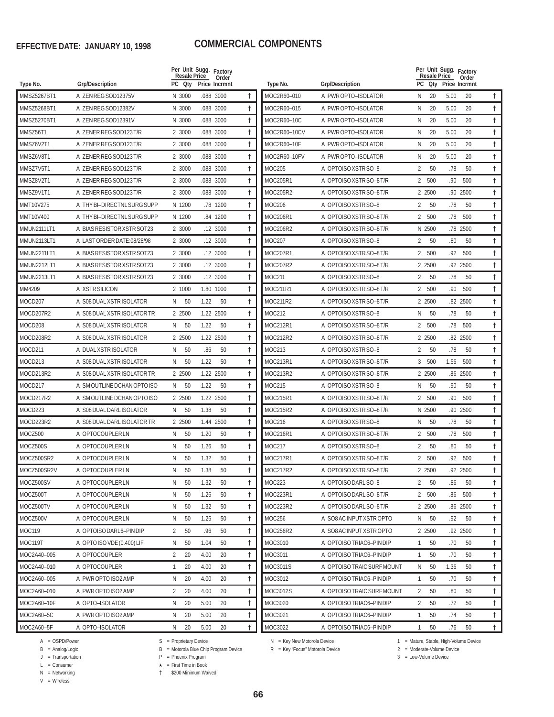| Type No.               | <b>Grp/Description</b>      | Per Unit Sugg. Factory<br><b>Resale Price</b><br>Order<br>PC Qtv<br>Price Incrmnt | Type No.        | <b>Grp/Description</b>     | Per Unit Sugg. Factory<br><b>Resale Price</b><br>Order<br>PC Qty<br>Price Incrmnt |
|------------------------|-----------------------------|-----------------------------------------------------------------------------------|-----------------|----------------------------|-----------------------------------------------------------------------------------|
| MMSZ5267BT1            | A ZEN REG SOD12375V         | N 3000<br>.088 3000<br>$^{\dagger}$                                               | MOC2R60-010     | A PWROPTO-ISOLATOR         | 20<br>5.00<br>20<br>$^+$<br>N                                                     |
| MMSZ5268BT1            | A ZEN REG SOD12382V         | .088 3000<br>$\ddagger$<br>N 3000                                                 | MOC2R60-015     | A PWROPTO-ISOLATOR         | 20<br>$\ddagger$<br>20<br>5.00<br>N                                               |
| <b>MMSZ5270BT1</b>     | A ZEN REG SOD12391V         | N 3000<br>.088 3000<br>$\ddagger$                                                 | MOC2R60-10C     | A PWROPTO-ISOLATOR         | $\ddagger$<br>20<br>5.00<br>20<br>N                                               |
| MMSZ56T1               | A ZENER REG SOD123 T/R      | .088 3000<br>$^{\dagger}$<br>2 3000                                               | MOC2R60-10CV    | A PWROPTO-ISOLATOR         | $\ddagger$<br>20<br>20<br>5.00<br>N                                               |
| MMSZ6V2T1              | A ZENER REG SOD123 T/R      | $\ddagger$<br>2 3000<br>.088 3000                                                 | MOC2R60-10F     | A PWROPTO-ISOLATOR         | $\ddagger$<br>20<br>5.00<br>20<br>N                                               |
|                        | A ZENER REG SOD123 T/R      | .088 3000<br>$\ddagger$<br>2 3000                                                 | MOC2R60-10FV    | A PWROPTO-ISOLATOR         | $^+$<br>20<br>5.00<br>20<br>N                                                     |
| MMSZ6V8T1<br>MMSZ7V5T1 | A ZENER REG SOD123 T/R      | 2 3000<br>.088 3000<br>$\ddagger$                                                 | <b>MOC205</b>   | A OPTOISO XSTRSO-8         | $\dagger$<br>$\overline{2}$<br>50<br>.78<br>50                                    |
| MMSZ8V2T1              | A ZENER REG SOD123 T/R      | 2 3000<br>.088 3000<br>$\ddagger$                                                 | MOC205R1        | A OPTOISO XSTR SO-8T/R     | $\dagger$<br>2 500<br>.90<br>500                                                  |
| MMSZ9V1T1              | A ZENER REG SOD123 T/R      | .088 3000<br>2 3000                                                               | MOC205R2        | A OPTOISO XSTR SO-8T/R     | .90 2500<br>2 2500                                                                |
|                        |                             | $\ddagger$                                                                        |                 |                            | $\ddagger$                                                                        |
| MMT10V275              | A THY BI-DIRECTNL SURG SUPP | N 1200<br>.78 1200<br>$^{\dagger}$                                                | <b>MOC206</b>   | A OPTOISO XSTRSO-8         | $^{\dagger}$<br>2<br>50<br>.78<br>50                                              |
| MMT10V400              | A THY BI-DIRECTNL SURG SUPP | $^{\dagger}$<br>N 1200<br>.84 1200                                                | MOC206R1        | A OPTOISO XSTR SO-8T/R     | $\ddagger$<br>500<br>2 500<br>.78                                                 |
| MMUN2111LT1            | A BIAS RESISTOR XSTR SOT23  | 2 3000<br>.12 3000<br>$\ddagger$                                                  | MOC206R2        | A OPTOISO XSTR SO-8 T/R    | $\ddagger$<br>N 2500<br>.78 2500                                                  |
| <b>MMUN2113LT1</b>     | A LAST ORDER DATE:08/28/98  | $^{\dagger}$<br>2 3000<br>.12 3000                                                | <b>MOC207</b>   | A OPTOISO XSTRSO-8         | $\ddagger$<br>2<br>50<br>.80<br>50                                                |
| MMUN2211LT1            | A BIAS RESISTOR XSTR SOT23  | $\ddagger$<br>2 3000<br>.12 3000                                                  | MOC207R1        | A OPTOISO XSTR SO-8 T/R    | $^{\dagger}$<br>2 500<br>.92<br>500                                               |
| MMUN2212LT1            | A BIAS RESISTOR XSTR SOT23  | $\ddagger$<br>2 3000<br>.12 3000                                                  | MOC207R2        | A OPTOISO XSTR SO-8T/R     | $\dagger$<br>2 2500<br>.92 2500                                                   |
| <b>MMUN2213LT1</b>     | A BIAS RESISTOR XSTR SOT23  | .12 3000<br>$\ddagger$<br>2 3000                                                  | <b>MOC211</b>   | A OPTOISO XSTRSO-8         | $\dagger$<br>.78<br>2<br>50<br>50                                                 |
| MM4209                 | A XSTR SILICON              | 1.80 1000<br>$\ddagger$<br>2 1000                                                 | <b>MOC211R1</b> | A OPTOISO XSTR SO-8 T/R    | $^{\dagger}$<br>2 500<br>.90<br>500                                               |
| MOCD207                | A S08 DUAL XSTR ISOLATOR    | 50<br>50<br>1.22<br>$\ddagger$<br>N                                               | <b>MOC211R2</b> | A OPTOISO XSTR SO-8T/R     | $\ddagger$<br>2 2500<br>.82 2500                                                  |
| MOCD207R2              | A S08 DUAL XSTR ISOLATOR TR | 2 2500<br>1.22 2500<br>$^{\dagger}$                                               | <b>MOC212</b>   | A OPTOISO XSTRSO-8         | $^{\dagger}$<br>50<br>.78<br>50<br>N                                              |
| MOCD208                | A S08 DUAL XSTR ISOLATOR    | 50<br>1.22<br>50<br>$^+$<br>N                                                     | MOC212R1        | A OPTOISO XSTR SO-8T/R     | $\ddagger$<br>500<br>2 500<br>.78                                                 |
| MOCD208R2              | A S08 DUAL XSTR ISOLATOR    | 2 2500<br>1.22 2500<br>$\ddagger$                                                 | MOC212R2        | A OPTOISO XSTR SO-8T/R     | 2 2500<br>.82 2500                                                                |
| MOCD211                | A DUAL XSTRISOLATOR         | $\ddagger$<br>50<br>.86<br>50<br>N                                                | <b>MOC213</b>   | A OPTOISO XSTRSO-8         | $\ddagger$<br>2<br>50<br>.78<br>50                                                |
| MOCD213                | A S08 DUAL XSTR ISOLATOR    | 50<br>1.22<br>50<br>$\ddagger$<br>N                                               | MOC213R1        | A OPTOISO XSTR SO-8T/R     | $^{\dagger}$<br>3<br>500<br>1.56<br>500                                           |
| MOCD213R2              | A S08 DUAL XSTR ISOLATOR TR | 2 2500<br>$^{\dagger}$<br>1.22 2500                                               | MOC213R2        | A OPTOISO XSTR SO-8T/R     | $^+$<br>2 2500<br>.86 2500                                                        |
| MOCD217                | A SMOUTLINE DCHAN OPTO ISO  | 50<br>1.22<br>50<br>$\ddagger$<br>N                                               | <b>MOC215</b>   | A OPTOISO XSTRSO-8         | $\dagger$<br>50<br>.90<br>50<br>N                                                 |
| MOCD217R2              | A SMOUTLINE DCHAN OPTO ISO  | 2 2500<br>1.22 2500<br>$\ddagger$                                                 | MOC215R1        | A OPTOISO XSTR SO-8 T/R    | 2 500<br>.90<br>500<br>$^{\dagger}$                                               |
| MOCD223                | A S08 DUAL DARL ISOLATOR    | 1.38<br>50<br>50<br>$\ddagger$<br>N                                               | MOC215R2        | A OPTOISO XSTR SO-8T/R     | .90 2500<br>$\ddagger$<br>N 2500                                                  |
| MOCD223R2              | A S08 DUAL DARL ISOLATOR TR | 2 2500<br>1.44<br>2500<br>$\ddagger$                                              | <b>MOC216</b>   | A OPTOISO XSTRSO-8         | $\ddagger$<br>50<br>.78<br>50<br>N                                                |
| MOCZ500                | A OPTOCOUPLERLN             | 50<br>50<br>1.20<br>$\ddagger$<br>Ν                                               | MOC216R1        | A OPTOISO XSTR SO-8 T/R    | $\ddagger$<br>500<br>500<br>.78<br>2                                              |
| MOCZ500S               | A OPTOCOUPLERLN             | 50<br>1.26<br>50<br>$\ddagger$<br>N                                               | <b>MOC217</b>   | A OPTOISO XSTRSO-8         | $^\dagger$<br>50<br>.80<br>50<br>2                                                |
| MOCZ500SR2             | A OPTOCOUPLERLN             | 50<br>1.32<br>50<br>$^\dagger$<br>N                                               | MOC217R1        | A OPTOISO XSTR SO-8T/R     | $\dagger$<br>.92<br>500<br>2 500                                                  |
| MOCZ500SR2V            | A OPTOCOUPLERLN             | 50<br>$\dagger$<br>50<br>1.38<br>N                                                | MOC217R2        | A OPTOISO XSTR SO-8 T/R    | .92 2500<br>$\ddagger$<br>2 2500                                                  |
| MOCZ500SV              | A OPTOCOUPLERLN             | $\ddagger$<br>50<br>Ν<br>50<br>1.32                                               | MOC223          | A OPTOISO DARLSO-8         | $^+$<br>50<br>50<br>2<br>.86                                                      |
| MOCZ500T               | A OPTOCOUPLERLN             | 50<br>50<br>$\dagger$<br>1.26<br>Ν                                                | MOC223R1        | A OPTOISO DARL SO-8T/R     | 500<br>$\dagger$<br>2 500<br>.86                                                  |
| MOCZ500TV              | A OPTOCOUPLERLN             | 50<br>$^\dagger$<br>50<br>1.32<br>Ν                                               | MOC223R2        | A OPTOISO DARL SO-8 T/R    | $^+$<br>2 2500<br>.86 2500                                                        |
| MOCZ500V               | A OPTOCOUPLERLN             | 50<br>50<br>1.26<br>$^\dagger$<br>Ν                                               | <b>MOC256</b>   | A SO8 AC INPUT XSTR OPTO   | $\dagger$<br>N.<br>50<br>.92<br>50                                                |
| <b>MOC119</b>          | A OPTOISO DARL6-PIN DIP     | $\overline{2}$<br>50<br>.96<br>50<br>t                                            | MOC256R2        | A SO8 AC INPUT XSTR OPTO   | $\ddagger$<br>2 2500<br>.92 2500                                                  |
| MOC119T                | A OPTO ISO VDE (0.400) LIF  | 50<br>$^\dagger$<br>50<br>1.04<br>N                                               | MOC3010         | A OPTOISO TRIAC6-PIN DIP   | $\dagger$<br>50<br>.70<br>50<br>$\mathbf{1}$                                      |
| MOC2A40-005            | A OPTOCOUPLER               | 20<br>4.00<br>20<br>t<br>2                                                        | MOC3011         | A OPTOISO TRIAC6-PIN DIP   | 50<br>.70<br>50<br>1                                                              |
| MOC2A40-010            | A OPTOCOUPLER               | $^\dagger$<br>20<br>4.00<br>20<br>1                                               | MOC3011S        | A OPTOISO TRAIC SURF MOUNT | $^+$<br>50<br>1.36<br>50<br>N                                                     |
| MOC2A60-005            | A PWROPTOISO2AMP            | 20<br>$\ddagger$<br>20<br>4.00<br>Ν                                               | MOC3012         | A OPTOISO TRIAC6-PIN DIP   | $^+$<br>50<br>.70<br>50<br>1                                                      |
| MOC2A60-010            | A PWROPTOISO2AMP            | 20<br>4.00<br>20<br>$^\dagger$<br>2                                               | MOC3012S        | A OPTOISO TRAIC SURF MOUNT | $^+$<br>50<br>2<br>50<br>.80                                                      |
| MOC2A60-10F            | A OPTO-ISOLATOR             | 20<br>20<br>$\dagger$<br>Ν<br>5.00                                                | MOC3020         | A OPTOISO TRIAC6-PIN DIP   | 50<br>2<br>50<br>.72                                                              |
| MOC2A60-5C             | A PWROPTOISO2AMP            | 20<br>5.00<br>20<br>t<br>Ν                                                        | MOC3021         | A OPTOISO TRIAC6-PIN DIP   | 50<br>.74<br>50<br>$^+$<br>1                                                      |
| MOC2A60-5F             | A OPTO-ISOLATOR             | 20<br>5.00<br>20<br>$\ddagger$<br>Ν                                               | MOC3022         | A OPTOISO TRIAC6-PIN DIP   | $\ddagger$<br>50<br>.76<br>50<br>1                                                |

- 
- 

 $L = \text{Consumer}$ <br>  $N = \text{Networking}$ <br>  $V = \text{Wireless}$ 

B = Analog/Logic chip Program Device R = Key "Focus" Motorola Device 2 = Moderate-Volume Device

- 
- $L =$  Consumer  $\star =$  First Time in Book
- N = Networking extensive that the state of the state of the state of the state of the state of the state of the state of the state of the state of the state of the state of the state of the state of the state of the state
- 
- 

- 
- J = Transportation P = Phoenix Program 3 = Low-Volume Device
	-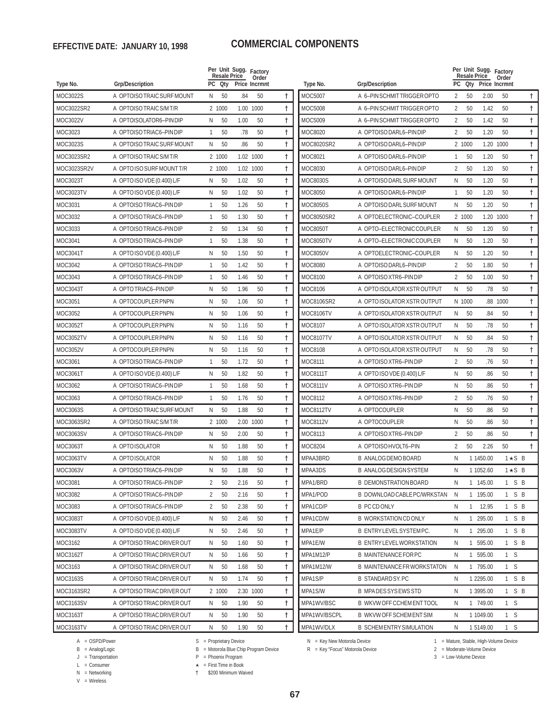|                  |                            | Per Unit Sugg. Factory<br><b>Resale Price</b><br>Order |              |                  |                                    | <b>Resale Price</b>  | Per Unit Sugg. Factory<br>Order |
|------------------|----------------------------|--------------------------------------------------------|--------------|------------------|------------------------------------|----------------------|---------------------------------|
| Type No.         | <b>Grp/Description</b>     | PC<br>Otv<br>Price Incrmnt                             |              | Type No.         | <b>Grp/Description</b>             | PC Qty               | Price Incrmnt                   |
| MOC3022S         | A OPTOISO TRAIC SURF MOUNT | 50<br>50<br>.84<br>N                                   | $^{\dagger}$ | MOC5007          | A 6-PIN SCHMITTRIGGER OPTO         | 2<br>50              | 2.00<br>50<br>$\ddagger$        |
| MOC3022SR2       | A OPTOISO TRAIC S/M T/R    | 2 1000<br>1.00 1000                                    | $^{\dagger}$ | MOC5008          | A 6-PIN SCHMIT TRIGGER OPTO        | 2<br>50              | 50<br>1.42<br>$\ddagger$        |
| MOC3022V         | A OPTOISOLATOR6-PIN DIP    | 50<br>1.00<br>50<br>N                                  | $\ddagger$   | MOC5009          | A 6-PIN SCHMIT TRIGGER OPTO        | 2<br>50              | $\dagger$<br>1.42<br>50         |
| MOC3023          | A OPTOISOTRIAC6-PINDIP     | 50<br>.78<br>50<br>1                                   |              | MOC8020          | A OPTOISO DARL6-PIN DIP            | 2<br>50              | $\ddagger$<br>1.20<br>50        |
| MOC3023S         | A OPTOISO TRAIC SURF MOUNT | 50<br>.86<br>50<br>N                                   | $^{\dagger}$ | MOC8020SR2       | A OPTOISO DARL6-PIN DIP            | 2 1000               | 1.20 1000<br>$\ddagger$         |
| MOC3023SR2       | A OPTOISO TRAIC S/M T/R    | 2 1000<br>1.02 1000                                    | $^{\dagger}$ | MOC8021          | A OPTOISO DARL6-PIN DIP            | 50<br>1              | 50<br>$\ddagger$<br>1.20        |
| MOC3023SR2V      | A OPTO ISO SURF MOUNT T/R  | 2 1000<br>1.02 1000                                    | $^{\dagger}$ | MOC8030          | A OPTOISO DARL6-PIN DIP            | 2<br>50              | 1.20<br>50<br>$\ddagger$        |
| MOC3023T         | A OPTO ISO VDE (0.400) L/F | 50<br>50<br>1.02<br>N                                  | $\ddagger$   | MOC8030S         | A OPTOISO DARL SURF MOUNT          | 50<br>Ν              | $\ddagger$<br>1.20<br>50        |
| MOC3023TV        | A OPTO ISO VDE (0.400) L/F | 50<br>1.02<br>50<br>N                                  | $^{\dagger}$ | MOC8050          | A OPTOISO DARL6-PIN DIP            | 50<br>1              | 1.20<br>50<br>$\ddagger$        |
| MOC3031          | A OPTOISO TRIAC6-PIN DIP   | 50<br>50<br>1.26<br>$\mathbf{1}$                       | $\ddagger$   | <b>MOC8050S</b>  | A OPTOISO DARL SURF MOUNT          | 50<br>N              | 1.20<br>50<br>$\dagger$         |
| MOC3032          | A OPTOISOTRIAC6-PINDIP     | 1.30<br>50<br>50<br>1                                  | $\ddagger$   | MOC8050SR2       | A OPTOELECTRONIC-COUPLER           | 2 1000               | 1000<br>$\ddagger$<br>1.20      |
| MOC3033          | A OPTOISO TRIAC6-PIN DIP   | 50<br>50<br>2<br>1.34                                  | $\ddagger$   | MOC8050T         | A OPTO-ELECTRONIC COUPLER          | 50<br>N              | $\ddagger$<br>1.20<br>50        |
| MOC3041          | A OPTOISOTRIAC6-PINDIP     | 50<br>1.38<br>50<br>1                                  |              | <b>MOC8050TV</b> | A OPTO-ELECTRONIC COUPLER          | 50<br>N              | $\ddagger$<br>1.20<br>50        |
| MOC3041T         | A OPTO ISO VDE (0.400) L/F | 50<br>50<br>1.50<br>N                                  | $^{\dagger}$ | <b>MOC8050V</b>  | A OPTOELECTRONIC-COUPLER           | 50<br>N              | 1.20<br>50<br>$\dagger$         |
| MOC3042          | A OPTOISOTRIAC6-PINDIP     | 50<br>50<br>1.42<br>1                                  | $^{\dagger}$ | MOC8080          | A OPTOISO DARL6-PIN DIP            | 50<br>2              | 50<br>$\ddagger$<br>1.80        |
| MOC3043          | A OPTOISO TRIAC6-PIN DIP   | 50<br>50<br>1.46<br>1                                  | $^{\dagger}$ | <b>MOC8100</b>   | A OPTOISO XTR6-PIN DIP             | 2<br>50              | 1.00<br>50<br>$\ddagger$        |
| MOC3043T         | A OPTO TRIAC6-PIN DIP      | 50<br>50<br>Ν<br>1.96                                  | $\ddagger$   | MOC8106          | A OPTOISOLATOR XSTROUTPUT          | 50<br>Ν              | $\ddagger$<br>50<br>.78         |
| MOC3051          | A OPTOCOUPLERPNPN          | 50<br>1.06<br>50<br>N                                  | $^{\dagger}$ | MOC8106SR2       | A OPTOISOLATOR XSTROUTPUT          | N 1000               | .88 1000<br>$\ddagger$          |
| MOC3052          | A OPTOCOUPLERPNPN          | 50<br>1.06<br>50<br>Ν                                  | $\ddagger$   | <b>MOC8106TV</b> | A OPTOISOLATOR XSTROUTPUT          | 50<br>N              | 50<br>$\dagger$<br>.84          |
| MOC3052T         | A OPTOCOUPLERPNPN          | 50<br>1.16<br>50<br>N                                  | t            | MOC8107          | A OPTOISOLATOR XSTROUTPUT          | 50<br>N              | .78<br>50<br>$\ddagger$         |
| MOC3052TV        | A OPTOCOUPLERPNPN          | 50<br>1.16<br>50<br>N                                  | $^{\dagger}$ | <b>MOC8107TV</b> | A OPTOISOLATOR XSTROUTPUT          | 50<br>N              | $\ddagger$<br>.84<br>50         |
| MOC3052V         | A OPTOCOUPLERPNPN          | 50<br>1.16<br>50<br>N                                  |              | <b>MOC8108</b>   | A OPTOISOLATOR XSTROUTPUT          | Ν<br>50              | $\ddagger$<br>.78<br>50         |
| MOC3061          | A OPTOISOTRIAC6-PINDIP     | 50<br>50<br>1.72<br>1                                  | $^{\dagger}$ | <b>MOC8111</b>   | A OPTOISO XTR6-PIN DIP             | 2<br>50              | 50<br>$\dagger$<br>.76          |
| MOC3061T         | A OPTO ISO VDE (0.400) L/F | 1.82<br>50<br>50<br>N                                  | $^{\dagger}$ | MOC8111T         | A OPTOISO VDE (0.400) L/F          | 50<br>Ν              | 50<br>$\ddagger$<br>.86         |
| MOC3062          | A OPTOISO TRIAC6-PIN DIP   | 50<br>1.68<br>50<br>1                                  | $^{\dagger}$ | <b>MOC8111V</b>  | A OPTOISO XTR6-PIN DIP             | 50<br>Ν              | 50<br>$\ddagger$<br>.86         |
| MOC3063          | A OPTOISOTRIAC6-PINDIP     | 50<br>50<br>1.76<br>1                                  | $\ddagger$   | MOC8112          | A OPTOISO XTR6-PIN DIP             | $\overline{2}$<br>50 | $\ddagger$<br>50<br>.76         |
| MOC3063S         | A OPTOISO TRAIC SURF MOUNT | 1.88<br>50<br>50<br>N                                  | $^{\dagger}$ | <b>MOC8112TV</b> | A OPTOCOUPLER                      | 50<br>Ν              | 50<br>$\ddagger$<br>.86         |
| MOC3063SR2       | A OPTOISO TRAIC S/M T/R    | 2 1000<br>2.00 1000                                    | $\ddagger$   | <b>MOC8112V</b>  | A OPTOCOUPLER                      | 50<br>Ν              | 50<br>$\dagger$<br>.86          |
| MOC3063SV        | A OPTOISOTRIAC6-PINDIP     | 50<br>2.00<br>50<br>N                                  | $^{\dagger}$ | MOC8113          | A OPTOISO XTR6-PIN DIP             | 2<br>50              | .86<br>50<br>$\ddagger$         |
| MOC3063T         | A OPTOISOLATOR             | 50<br>1.88<br>50<br>N                                  | $\ddagger$   | MOC8204          | A OPTOISOHVOLT6-PIN                | 2<br>50              | $\ddagger$<br>2.26<br>50        |
| <b>MOC3063TV</b> | A OPTOISOLATOR             | 50<br>1.88<br>50<br>N                                  | t            | MPAA3BRD         | <b>B ANALOG DEMO BOARD</b>         | Ν                    | 1 1450.00<br>$1 \star S$ B      |
| MOC3063V         | A OPTOISOTRIAC6-PINDIP     | 50<br>50<br>1.88<br>N                                  | $\ddagger$   | MPAA3DS          | <b>B ANALOGDESIGN SYSTEM</b>       | N                    | 1 1052.60<br>$1 \star S$ B      |
| MOC3081          | A OPTOISOTRIAC6-PINDIP     | 2<br>50<br>2.16<br>50                                  | $\ddagger$   | MPA1/BRD         | <b>B DEMONSTRATION BOARD</b>       | N                    | 1 S B<br>1 145.00               |
| MOC3082          | A OPTOISOTRIAC6-PINDIP     | 50<br>2.16<br>50<br>2                                  | $^{\dagger}$ | MPA1/POD         | B DOWNLOAD CABLE PC/WRKSTAN        | N                    | 1 195.00<br>1 S B               |
| MOC3083          | A OPTOISOTRIAC6-PINDIP     | 50<br>2.38<br>50<br>2                                  | $^{\dagger}$ | MPA1CD/P         | <b>B PCCDONLY</b>                  | N<br>1               | 1 S B<br>12.95                  |
| MOC3083T         | A OPTO ISO VDE (0.400) L/F | 50<br>2.46<br>50<br>Ν                                  | $^{\dagger}$ | MPA1CD/W         | <b>B WORKSTATION CD ONLY</b>       | N                    | 1 295.00<br>1 S B               |
| MOC3083TV        | A OPTO ISO VDE (0.400) L/F | 50<br>2.46<br>50<br>Ν                                  | $^\dagger$   | MPA1E/P          | <b>B ENTRY LEVEL SYSTEMPC.</b>     | N                    | 1 295.00<br>1 S B               |
| MOC3162          | A OPTOISO TRIAC DRIVER OUT | 50<br>50<br>1.60<br>N                                  | $^+$         | MPA1E/W          | <b>B ENTRY LEVEL WORKSTATION</b>   | N                    | 1 S B<br>1 595.00               |
| MOC3162T         | A OPTOISO TRIAC DRIVER OUT | 50<br>50<br>1.66<br>N                                  | $\dagger$    | MPA1M12/P        | <b>B MAINTENANCE FOR PC</b>        | N                    | 1 <sub>S</sub><br>1 595.00      |
| MOC3163          | A OPTOISO TRIAC DRIVER OUT | 50<br>1.68<br>50<br>N                                  | t            | MPA1M12/W        | <b>B MAINTENANCE FR WORKSTATON</b> | N                    | 1 S<br>1 795.00                 |
| MOC3163S         | A OPTOISO TRIAC DRIVER OUT | 50<br>50<br>1.74<br>N                                  | $\ddagger$   | MPA1S/P          | <b>B STANDARD SY. PC</b>           | N                    | 1 S B<br>1 2295.00              |
| MOC3163SR2       | A OPTOISO TRIAC DRIVER OUT | 2 1000<br>2.30 1000                                    | $^\dagger$   | MPA1S/W          | <b>B MPADES SYS EWS STD</b>        | N                    | 1 S B<br>1 3995.00              |
| MOC3163SV        | A OPTOISO TRIAC DRIVER OUT | 50<br>50<br>1.90<br>N                                  | $^{\dagger}$ | MPA1WV/BSC       | <b>B WKVW OFF CCHEMENT TOOL</b>    | N                    | 1 749.00<br>1 <sub>S</sub>      |
| MOC3163T         | A OPTOISO TRIAC DRIVER OUT | 50<br>50<br>1.90<br>N                                  | $^{\dagger}$ | MPA1WV/BSCPL     | <b>B WKVW OFF SCHEMENT SIM</b>     | N                    | 1 S<br>1 1049.00                |
| MOC3163TV        | A OPTOISO TRIAC DRIVER OUT | 1.90<br>50<br>N<br>50                                  | $^+$         | MPA1WV/DLX       | <b>B SCHEMENTRY SIMULATION</b>     | N                    | 1 S<br>15149.00                 |

- 
- 
- 
- $L = \text{Consumer}$ <br>  $N = \text{Networking}$ <br>  $V = \text{Wireless}$

B = Analog/Logic computer by a motorola Blue Chip Program Device R = Key "Focus" Motorola Device 2 = Moderate-Volume Device

J = Transportation P = Phoenix Program 3 = Low-Volume Device

 $L =$  Consumer  $\star =$  First Time in Book

N = Networking - and the state of the state of the state of the state of the state of the state of the state of the state of the state of the state of the state of the state of the state of the state of the state of the st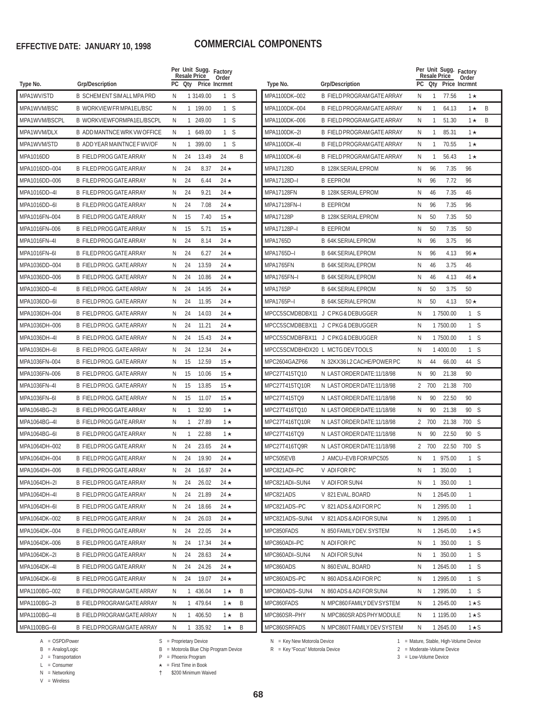|               |                                   |    | Per Unit Sugg. Factory<br>Resale Price Order |                |   |                                |                                   |   |              | Per Unit Sugg. Factory<br>Resale Price Order |                |              |
|---------------|-----------------------------------|----|----------------------------------------------|----------------|---|--------------------------------|-----------------------------------|---|--------------|----------------------------------------------|----------------|--------------|
| Type No.      | <b>Grp/Description</b>            |    | PC Qty Price Incrmnt                         |                |   | Type No.                       | <b>Grp/Description</b>            |   |              | PC Qty Price Incrmnt                         |                |              |
| MPA1WV/STD    | <b>B SCHEMENT SIMALL MPA PRD</b>  | N  | 1 3149.00                                    | 1 <sub>S</sub> |   | MPA1100DK-002                  | <b>B FIELD PROGRAM GATE ARRAY</b> | N | 1            | 77.56                                        | $1\star$       |              |
| MPA1WVM/BSC   | <b>B WORKVIEW FRMPA1EL/BSC</b>    | N  | 1 199.00                                     | 1 <sub>S</sub> |   | MPA1100DK-004                  | <b>B FIELD PROGRAM GATE ARRAY</b> | N | $\mathbf{1}$ | 64.13                                        | $1\star$       | B            |
| MPA1WVM/BSCPL | <b>B WORKVIEWFORMPA1EL/BSCPL</b>  | N  | 1 249.00                                     | 1 <sup>5</sup> |   | MPA1100DK-006                  | <b>B FIELD PROGRAM GATE ARRAY</b> | N | 1            | 51.30                                        | $1\star$       | B            |
| MPA1WVM/DLX   | <b>B ADDMANTNCE WRK VW OFFICE</b> | N  | 1 649.00                                     | 1 <sub>S</sub> |   | MPA1100DK-2I                   | <b>B FIELD PROGRAM GATE ARRAY</b> | N | $\mathbf{1}$ | 85.31                                        | $1\star$       |              |
| MPA1WVM/STD   | B ADD YEAR MAINTNCE F WV/OF       | N  | 1 399.00                                     | 1 <sup>5</sup> |   | MPA1100DK-4I                   | <b>B FIELD PROGRAM GATE ARRAY</b> | N | $\mathbf{1}$ | 70.55                                        | $1\star$       |              |
| MPA1016DD     | <b>B FIELD PROG GATE ARRAY</b>    | N  | 24<br>13.49                                  | 24             | B | MPA1100DK-6I                   | <b>B FIELD PROGRAM GATE ARRAY</b> | N | 1            | 56.43                                        | $1\star$       |              |
| MPA1016DD-004 | <b>B FILED PROG GATE ARRAY</b>    | Ν  | 24<br>8.37                                   | $24 \star$     |   | MPA17128D                      | <b>B 128K SERIAL EPROM</b>        | N | 96           | 7.35                                         | 96             |              |
| MPA1016DD-006 | <b>B FILED PROG GATE ARRAY</b>    | Ν  | 24<br>6.44                                   | $24 \star$     |   | MPA17128D-I                    | <b>B EEPROM</b>                   | N | 96           | 7.72                                         | 96             |              |
| MPA1016DD-4I  | <b>B FILED PROG GATE ARRAY</b>    | N  | 24<br>9.21                                   | $24 \star$     |   | <b>MPA17128FN</b>              | <b>B 128K SERIAL EPROM</b>        | N | 46           | 7.35                                         | 46             |              |
| MPA1016DD-6I  | <b>B FILED PROG GATE ARRAY</b>    | N  | 7.08<br>24                                   | $24 \star$     |   | MPA17128FN-I                   | <b>B EEPROM</b>                   | N | 96           | 7.35                                         | 96             |              |
| MPA1016FN-004 | <b>B FIELD PROG GATE ARRAY</b>    | N  | 15<br>7.40                                   | $15 \star$     |   | <b>MPA17128P</b>               | <b>B 128K SERIAL EPROM</b>        | N | 50           | 7.35                                         | 50             |              |
| MPA1016FN-006 | <b>B FIELD PROG GATE ARRAY</b>    | Ν  | 15<br>5.71                                   | $15 \star$     |   | MPA17128P-I                    | <b>B EEPROM</b>                   | N | 50           | 7.35                                         | 50             |              |
| MPA1016FN-4I  | <b>B FILED PROG GATE ARRAY</b>    | Ν  | 24<br>8.14                                   | $24 \star$     |   | <b>MPA1765D</b>                | <b>B 64K SERIAL EPROM</b>         | N | 96           | 3.75                                         | 96             |              |
| MPA1016FN-6I  | <b>B FILED PROG GATE ARRAY</b>    | Ν  | 24<br>6.27                                   | $24 \star$     |   | MPA1765D-I                     | <b>B 64K SERIAL EPROM</b>         | N | 96           | 4.13                                         | $96 \star$     |              |
| MPA1036DD-004 | B FIELD PROG. GATE ARRAY          | N  | 24<br>13.59                                  | $24 \star$     |   | MPA1765FN                      | <b>B 64K SERIAL EPROM</b>         | N | 46           | 3.75                                         | 46             |              |
| MPA1036DD-006 | <b>B FIELDPROG. GATE ARRAY</b>    | N  | 24<br>10.86                                  | $24 \star$     |   | MPA1765FN-I                    | <b>B 64K SERIAL EPROM</b>         | N | 46           | 4.13                                         | $46 \star$     |              |
| MPA1036DD-4I  | <b>B FIELD PROG. GATE ARRAY</b>   | Ν  | 24<br>14.95                                  | $24 \star$     |   | <b>MPA1765P</b>                | <b>B 64K SERIAL EPROM</b>         | N | 50           | 3.75                                         | 50             |              |
| MPA1036DD-6I  | <b>B FIELD PROG. GATE ARRAY</b>   | N  | 24<br>11.95                                  | $24 \star$     |   | MPA1765P-I                     | <b>B 64K SERIAL EPROM</b>         | N | 50           | 4.13                                         | $50 \star$     |              |
| MPA1036DH-004 | <b>B FIELD PROG. GATE ARRAY</b>   | N  | 14.03<br>24                                  | $24 \star$     |   |                                | MPCC5SCMDBDBX11 J CPKG & DEBUGGER | N |              | 1 7500.00                                    | 1 <sup>5</sup> |              |
| MPA1036DH-006 | <b>B FIELD PROG. GATE ARRAY</b>   | N  | 24<br>11.21                                  | $24 \star$     |   |                                | MPCC5SCMDBEBX11 J CPKG & DEBUGGER | N |              | 1 7500.00                                    | 1 <sup>5</sup> |              |
| MPA1036DH-4I  | <b>B FIELD PROG. GATE ARRAY</b>   | N  | 24<br>15.43                                  | $24 \star$     |   |                                | MPCC5SCMDBFBX11 J CPKG & DEBUGGER | N |              | 1 7500.00                                    | 1 <sup>5</sup> |              |
| MPA1036DH-6I  | <b>B FIELDPROG. GATE ARRAY</b>    | N  | 12.34<br>24                                  | $24 \star$     |   | MPCC5SCMDBHDX20 L MCTGDEVTOOLS |                                   | N |              | 1 4000.00                                    | 1 <sup>5</sup> |              |
| MPA1036FN-004 | <b>B FIELDPROG. GATE ARRAY</b>    | N  | 15<br>12.59                                  | $15 \star$     |   | MPC2604GAZP66                  | N 32KX36L2CACHE/POWERPC           | N | 44           | 66.00                                        | 44 S           |              |
| MPA1036FN-006 | B FIELD PROG. GATE ARRAY          | N  | 15<br>10.06                                  | $15 \star$     |   | MPC27T415TQ10                  | N LASTORDER DATE:11/18/98         | N | 90           | 21.38                                        | 90             |              |
| MPA1036FN-4I  | <b>B FIELD PROG. GATE ARRAY</b>   | Ν  | 15<br>13.85                                  | $15 \star$     |   | MPC27T415TQ10R                 | N LASTORDER DATE:11/18/98         | 2 | 700          | 21.38                                        | 700            |              |
| MPA1036FN-6I  | <b>B FIELD PROG. GATE ARRAY</b>   | N  | 15<br>11.07                                  | $15 \star$     |   | MPC27T415TQ9                   | N LAST ORDER DATE:11/18/98        | N | 90           | 22.50                                        | 90             |              |
| MPA1064BG-2I  | <b>B FIELD PROG GATE ARRAY</b>    | N  | 32.90<br>$\mathbf{1}$                        | $1\star$       |   | MPC27T416TQ10                  | N LASTORDER DATE:11/18/98         | N | 90           | 21.38                                        | 90 S           |              |
| MPA1064BG-4I  | <b>B FIELD PROG GATE ARRAY</b>    | N  | 27.89<br>1                                   | $1\star$       |   | MPC27T416TQ10R                 | N LASTORDER DATE:11/18/98         | 2 | 700          | 21.38                                        | 700 S          |              |
| MPA1064BG-6I  | <b>B FIELD PROG GATE ARRAY</b>    | N  | 22.88<br>1                                   | $1\star$       |   | MPC27T416TQ9                   | N LASTORDER DATE:11/18/98         | N | 90           | 22.50                                        | 90             | <sub>S</sub> |
| MPA1064DH-002 | <b>B FIELD PROG GATE ARRAY</b>    | N  | 24<br>23.65                                  | $24 \star$     |   | MPC27T416TQ9R                  | N LASTORDER DATE:11/18/98         |   | 2 700        | 22.50                                        | 700 S          |              |
| MPA1064DH-004 | <b>B FIELDPROGGATE ARRAY</b>      | N  | 19.90<br>24                                  | $24 \star$     |   | MPC505EVB                      | J AMCU-EVBFORMPC505               | N |              | 1 975.00                                     | 1 S            |              |
| MPA1064DH-006 | <b>B FIELDPROGGATE ARRAY</b>      | N  | 24<br>16.97                                  | $24 \star$     |   | MPC821ADI-PC                   | V ADIFORPC                        | N |              | 1 350.00                                     | $\overline{1}$ |              |
| MPA1064DH-2I  | <b>B FIELD PROG GATE ARRAY</b>    | N  | 26.02<br>24                                  | $24 \star$     |   | MPC821ADI-SUN4                 | V ADIFOR SUN4                     | N |              | 1 350.00                                     | 1              |              |
| MPA1064DH-4I  | <b>B FIELD PROG GATE ARRAY</b>    | Ν  | 24<br>21.89                                  | $24 \star$     |   | MPC821ADS                      | V 821 EVAL, BOARD                 | N |              | 1 2645.00                                    | 1              |              |
| MPA1064DH-6I  | <b>B FIELD PROG GATE ARRAY</b>    | N  | 18.66<br>24                                  | $24 \star$     |   | MPC821ADS-PC                   | V 821 ADS & ADI FOR PC            | N |              | 1 2995.00                                    | 1              |              |
| MPA1064DK-002 | <b>B FIELD PROG GATE ARRAY</b>    | Ν  | 24<br>26.03                                  | $24 \star$     |   | MPC821ADS-SUN4                 | V 821 ADS & ADI FOR SUN4          | N |              | 1 2995.00                                    | 1              |              |
| MPA1064DK-004 | <b>B FIELD PROG GATE ARRAY</b>    | N  | 22.05<br>24                                  | $24 \star$     |   | MPC850FADS                     | N 850 FAMILY DEV. SYSTEM          | N |              | 1 2645.00                                    | $1\star S$     |              |
| MPA1064DK-006 | <b>B FIELD PROG GATE ARRAY</b>    | Ν  | 24<br>17.34                                  | $24 \star$     |   | MPC860ADI-PC                   | N ADIFORPC                        | N |              | 1 350.00                                     | 1 <sub>S</sub> |              |
| MPA1064DK-2I  | <b>B FIELD PROG GATE ARRAY</b>    | Ν  | 28.63<br>24                                  | $24 \star$     |   | MPC860ADI-SUN4                 | N ADIFOR SUN4                     | N |              | 1 350.00                                     | 1 S            |              |
| MPA1064DK-4I  | <b>B FIELD PROG GATE ARRAY</b>    | N. | 24.26<br>24                                  | $24 \star$     |   | MPC860ADS                      | N 860 EVAL. BOARD                 | N |              | 1 2645.00                                    | 1 <sub>S</sub> |              |
| MPA1064DK-6I  | <b>B FIELD PROG GATE ARRAY</b>    | Ν  | 24<br>19.07                                  | $24 \star$     |   | MPC860ADS-PC                   | N 860 ADS & ADIFOR PC             | N |              | 1 2995.00                                    | 1 S            |              |
| MPA1100BG-002 | <b>B FIELD PROGRAM GATE ARRAY</b> | N  | 1 436.04                                     | $1\star$       | B | MPC860ADS-SUN4                 | N 860 ADS & ADI FOR SUN4          | N |              | 1 2995.00                                    | 1 <sub>S</sub> |              |
| MPA1100BG-2I  | B FIELD PROGRAM GATE ARRAY        | N  | 1 479.64                                     | $1\star$       | B | MPC860FADS                     | N MPC860 FAMILY DEV SYSTEM        | N |              | 1 2645.00                                    | $1\star S$     |              |
| MPA1100BG-4I  | B FIELD PROGRAM GATE ARRAY        | N  | 1 406.50                                     | $1\star$       | Β | MPC860SR-PHY                   | N MPC860SRADS PHY MODULE          | N |              | 1 1195.00                                    | $1\star S$     |              |
| MPA1100BG-6I  | B FIELD PROGRAM GATE ARRAY        | N  | 1 335.92                                     | $1\star$       | B | MPC860SRFADS                   | N MPC860T FAMILY DEV SYSTEM       | N |              | 1 2645.00                                    | $1\star S$     |              |

- 
- 
- 
- $L = \text{Consumer}$ <br>  $N = \text{Networking}$ <br>  $V = \text{Wireless}$

- 
- $L =$  Consumer  $\star =$  First Time in Book
- N = Networking extensive that the state of the state of the state of the state of the state of the state of the state of the state of the state of the state of the state of the state of the state of the state of the state
- B = Analog/Logic entropy of the Motorola Blue Chip Program Device R = Key "Focus" Motorola Device 2 = Moderate-Volume Device

- 
- J = Transportation P = Phoenix Program 3 = Low-Volume Device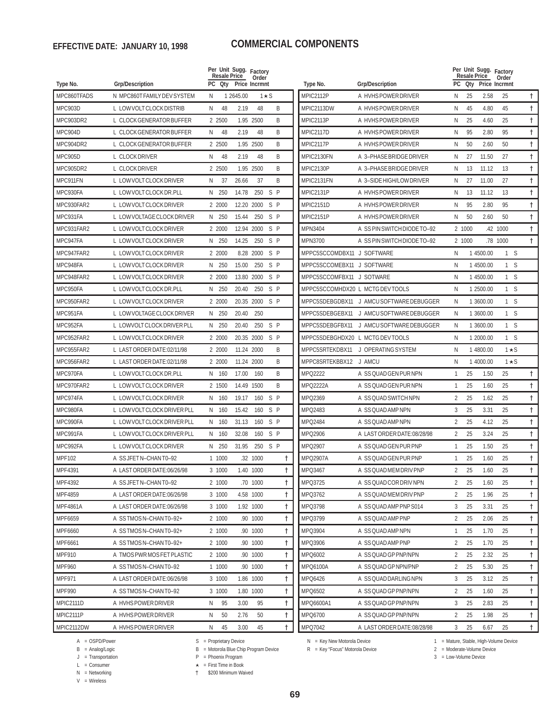| PC Qty<br>PC<br>Otv<br>Price Incrmnt<br>Price Incrmnt<br><b>Grp/Description</b><br>Type No.<br><b>Grp/Description</b><br>Type No.<br>$\dagger$<br>MPC860TFADS<br>25<br>N MPC860T FAMILY DEV SYSTEM<br>1 2645.00<br>$1\star$ S<br>MPIC2112P<br>A HVHS POWER DRIVER<br>25<br>2.58<br>N<br>N<br><b>MPC903D</b><br>2.19<br>48<br>B<br>45<br>4.80<br>45<br>$^+$<br>L LOW VOLT CLOCK DISTRIB<br>N<br>48<br>MPIC2113DW<br>A HVHS POWER DRIVER<br>N<br>$\ddagger$<br>1.95 2500<br>B<br>25<br>25<br>MPC903DR2<br>L CLOCK GENERATOR BUFFER<br>2 2500<br>MPIC2113P<br>A HVHS POWER DRIVER<br>N<br>4.60<br>MPC904D<br>2.19<br>48<br>B<br>MPIC2117D<br>95<br>2.80<br>95<br>$^+$<br>L CLOCK GENERATOR BUFFER<br>48<br>A HVHS POWER DRIVER<br>N<br>N<br>MPC904DR2<br>2 2500<br>B<br>50<br>2.60<br>50<br>L CLOCK GENERATOR BUFFER<br>1.95 2500<br>MPIC2117P<br>A HVHS POWER DRIVER<br>N<br>$^{\dagger}$<br>B<br>$^+$<br><b>MPC905D</b><br>L CLOCKDRIVER<br>48<br>2.19<br>48<br>MPIC2130FN<br>A 3-PHASE BRIDGE DRIVER<br>27<br>11.50<br>27<br>N<br>N<br>B<br>$^+$<br><b>MPC905DR2</b><br>L CLOCKDRIVER<br>2 2500<br>1.95 2500<br>A 3-PHASE BRIDGE DRIVER<br>13<br>11.12<br>13<br>MPIC2130P<br>N<br>$^+$<br>MPC911FN<br>L LOW VOLT CLOCK DRIVER<br>37<br>26.66<br>37<br>B<br>A 3-SIDE HIGH/LOW DRIVER<br>27<br>11.00<br>27<br>MPIC2131FN<br>N<br>N<br>N 250<br>250 S P<br>$\ddagger$<br>MPC930FA<br>L LOW VOLT CLOCK DR.PLL<br>14.78<br>MPIC2131P<br>A HVHS POWER DRIVER<br>13<br>11.12<br>13<br>N<br>$\ddagger$<br>S P<br>2.80<br>95<br>MPC930FAR2<br>2 2000<br>12.20<br>2000<br>MPIC2151D<br>A HVHS POWER DRIVER<br>95<br>L LOW VOLT CLOCK DRIVER<br>N<br>$\ddagger$<br>S P<br>50<br>50<br>MPC931FA<br>250<br>15.44<br>250<br>MPIC2151P<br>A HVHS POWER DRIVER<br>2.60<br>L LOW VOLTAGE CLOCK DRIVER<br>N<br>N<br>12.94 2000<br>S P<br>.42 1000<br>$\ddagger$<br>MPC931FAR2<br>L LOWVOLT CLOCK DRIVER<br>2 2000<br>MPN3404<br>A SSPIN SWITCH DIODE TO-92<br>2 1000<br>MPC947FA<br>S P<br>MPN3700<br>.78 1000<br>$\ddagger$<br>L LOW VOLT CLOCK DRIVER<br>N 250<br>14.25<br>250<br>A SSPIN SWITCH DIODE TO-92<br>2 1000<br>8.28 2000 S P<br>1 <sup>5</sup><br>MPC947FAR2<br>L LOW VOLT CLOCK DRIVER<br>2 2000<br>MPPC5SCCOMDBX11 J SOFTWARE<br>N<br>1 4500.00<br>S P<br>1 <sub>S</sub><br>MPC948FA<br>L LOW VOLT CLOCK DRIVER<br>N 250<br>15.00<br>250<br>MPPC5SCCOMEBX11 J SOFTWARE<br>N<br>1 4500.00<br>1 <sub>S</sub><br>MPC948FAR2<br>2 2000<br>13.80<br>2000<br>S P<br>MPPC5SCCOMFBX11 J SOTWARE<br>N<br>1 4500.00<br>L LOW VOLT CLOCK DRIVER<br>S P<br>1 <sub>S</sub><br>MPC950FA<br>N 250<br>20.40<br>250<br>MPPC5SCCOMHDX20 L MCTGDEVTOOLS<br>N<br>1 2500.00<br>L LOW VOLT CLOCK DR.PLL<br>2000 S P<br>1 <sub>S</sub><br>MPC950FAR2<br>2 2000<br>20.35<br>MPPC5SDEBGDBX11 J AMCUSOFTWAREDEBUGGER<br>N<br>1 3600.00<br>L LOW VOLT CLOCK DRIVER<br>1 <sub>S</sub><br>MPC951FA<br>250<br>20.40<br>250<br>N<br>L LOW VOLTAGE CLOCK DRIVER<br>N<br>MPPC5SDEBGEBX11 J AMCUSOFTWAREDEBUGGER<br>1 3600.00<br>250<br>250<br>S P<br>1 <sub>S</sub><br>MPC952FA<br>L LOWVOLT CLOCK DRIVER PLL<br>20.40<br>MPPC5SDEBGFBX11 J AMCUSOFTWAREDEBUGGER<br>N<br>1 3600.00<br>N<br>20.35 2000<br>S P<br>1 <sup>5</sup><br>MPC952FAR2<br>L LOW VOLT CLOCK DRIVER<br>2 2000<br>MPPC5SDEBGHDX20 L MCTGDEVTOOLS<br>N<br>1 2000.00<br>2 2000<br>11.24 2000<br>B<br>MPPC5SRTEKDBX11 J OPERATING SYSTEM<br>1 4800.00<br>$1 \star S$<br>MPC955FAR2<br>L LAST ORDER DATE:02/11/98<br>N<br>2000<br>B<br>MPPC8SRTEKBBX12 J AMCU<br>$1 \star S$<br>MPC956FAR2<br>L LAST ORDER DATE:02/11/98<br>2 2000<br>11.24<br>N<br>1 4000.00<br>B<br>25<br>$^+$<br>MPC970FA<br>L LOW VOLT CLOCK DR.PLL<br>17.00<br>160<br>MPQ2222<br>A SSQUAD GEN PUR NPN<br>$\mathbf{1}$<br>25<br>1.50<br>N 160<br>B<br>$^+$<br>MPC970FAR2<br>2 1500<br>14.49 1500<br>MPQ2222A<br>25<br>1.60<br>25<br>L LOW VOLT CLOCK DRIVER<br>A SSQUAD GEN PUR NPN<br>$\mathbf{1}$<br>S P<br>$^+$<br>MPC974FA<br>N 160<br>19.17<br>160<br>MPQ2369<br>A SSQUAD SWITCH NPN<br>2<br>25<br>1.62<br>25<br>L LOW VOLT CLOCK DRIVER<br>MPQ2483<br>25<br>25<br>$\ddagger$<br>MPC980FA<br>L LOW VOLT CLOCK DRIVER PLL<br>15.42<br>160 S P<br>A SSQUAD AMP NPN<br>3<br>3.31<br>N 160<br>S P<br>25<br>25<br>$\ddagger$<br>MPC990FA<br>31.13<br>160<br>MPO2484<br>A SSQUAD AMP NPN<br>2<br>4.12<br>L LOW VOLT CLOCK DRIVER PLL<br>N<br>160<br>S P<br>25<br>3.24<br>25<br>$\ddagger$<br>MPC991FA<br>L LOW VOLT CLOCK DRIVER PLL<br>160<br>32.08<br>160<br>MPQ2906<br>A LAST ORDER DATE:08/28/98<br>2<br>N<br>$\ddagger$<br>MPC992FA<br>N 250<br>31.95<br>250 S P<br>25<br>25<br>L LOW VOLT CLOCK DRIVER<br>MPQ2907<br>A SSQUAD GEN PUR PNP<br>$\mathbf{1}$<br>1.50<br>MPF102<br>A SSJFETN-CHANT0-92<br>1 1000<br>.32 1000<br>$^{\dagger}$<br>MPQ2907A<br>25<br>1.60<br>25<br>$^+$<br>A SSQUAD GEN PUR PNP<br>1<br>$+$<br>MPF4391<br>MPQ3467<br>$^+$<br>A LAST ORDER DATE:06/26/98<br>3 1000<br>1.40 1000<br>A SSQUAD MEM DRIV PNP<br>2<br>25<br>1.60<br>25<br>Ť.<br>MPF4392<br>A SSJFETN-CHANT0-92<br>2 1000<br>.70 1000<br>MPQ3725<br>25<br>$^+$<br>A SSQUADCORDRIVNPN<br>2<br>25<br>1.60<br>$^\dagger$<br>MPF4859<br>A LAST ORDER DATE:06/26/98<br>3 1000<br>4.58 1000<br>MPQ3762<br>A SSQUAD MEM DRIV PNP<br>2<br>25<br>1.96<br>25<br>$^+$<br>$^{\dagger}$<br><b>MPF4861A</b><br>A LAST ORDER DATE:06/26/98<br>3 1000<br>1.92 1000<br>MPQ3798<br>A SSQUAD AMP PNP S014<br>3<br>25<br>3.31<br>25<br>$^+$<br>$^{\dagger}$<br>MPQ3799<br>MPF6659<br>2 1000<br>.90 1000<br>A SSQUAD AMP PNP<br>2<br>25<br>2.06<br>25<br>$^{\dagger}$<br>A SSTMOSN-CHANT0-92+<br>$^\dagger$<br>25<br>$\ddagger$<br>MPF6660<br>A SSTMOSN-CHANT0-92+<br>2 1000<br>.90 1000<br>MPQ3904<br>A SSQUAD AMP NPN<br>25<br>1.70<br>1<br>$^{\dagger}$<br>MPQ3906<br>$\ddagger$<br>MPF6661<br>A SSTMOSN-CHANT0-92+<br>2 1000<br>.90 1000<br>A SSQUAD AMP PNP<br>2<br>25<br>1.70<br>25<br>$\dagger$<br>MPF910<br>.90 1000<br>25<br>$\ddagger$<br>A TMOS PWRMOS FET PLASTIC<br>2 1000<br>MPQ6002<br>A SSQUAD GP PNP/NPN<br>2<br>25<br>2.32<br>MPF960<br>.90 1000<br>t.<br>MPQ6100A<br>A SSTMOSN-CHANT0-92<br>1 1000<br>A SSQUAD GP NPN/PNP<br>25<br>5.30<br>25<br>$^+$<br>$\overline{2}$<br>MPF971<br>1.86 1000<br>$^\dagger$<br>25<br>A LAST ORDER DATE:06/26/98<br>3 1000<br>MPQ6426<br>A SSQUAD DARLING NPN<br>3<br>25<br>3.12<br>$^+$<br>MPF990<br>Ť.<br>A SSTMOSN-CHANT0-92<br>3 1000<br>1.80 1000<br>MPQ6502<br>A SSQUAD GP PNP/NPN<br>25<br>1.60<br>25<br>$^+$<br>2<br>$^\dagger$<br>MPIC2111D<br>95<br>3.00<br>95<br>MPQ6600A1<br>A SSQUAD GP PNP/NPN<br>3<br>25<br>2.83<br>25<br>$^+$<br>A HVHS POWER DRIVER<br>Ν<br>$^\dagger$<br>MPIC2111P<br>A HVHS POWER DRIVER<br>50<br>2.76<br>50<br>MPQ6700<br>A SSQUAD GP PNP/NPN<br>25<br>1.98<br>25<br>$^+$<br>Ν<br>2<br>45<br>$^{\dagger}$<br>MPQ7042<br>MPIC2112DW<br>A HVHS POWER DRIVER<br>3.00<br>3<br>25<br>6.67<br>25<br>$^{+}$<br>N<br>45<br>A LAST ORDER DATE:08/28/98 |  | Per Unit Sugg. Factory<br><b>Resale Price</b><br>Order |  |  | Per Unit Sugg. Factory<br><b>Resale Price</b> | Order |  |
|-------------------------------------------------------------------------------------------------------------------------------------------------------------------------------------------------------------------------------------------------------------------------------------------------------------------------------------------------------------------------------------------------------------------------------------------------------------------------------------------------------------------------------------------------------------------------------------------------------------------------------------------------------------------------------------------------------------------------------------------------------------------------------------------------------------------------------------------------------------------------------------------------------------------------------------------------------------------------------------------------------------------------------------------------------------------------------------------------------------------------------------------------------------------------------------------------------------------------------------------------------------------------------------------------------------------------------------------------------------------------------------------------------------------------------------------------------------------------------------------------------------------------------------------------------------------------------------------------------------------------------------------------------------------------------------------------------------------------------------------------------------------------------------------------------------------------------------------------------------------------------------------------------------------------------------------------------------------------------------------------------------------------------------------------------------------------------------------------------------------------------------------------------------------------------------------------------------------------------------------------------------------------------------------------------------------------------------------------------------------------------------------------------------------------------------------------------------------------------------------------------------------------------------------------------------------------------------------------------------------------------------------------------------------------------------------------------------------------------------------------------------------------------------------------------------------------------------------------------------------------------------------------------------------------------------------------------------------------------------------------------------------------------------------------------------------------------------------------------------------------------------------------------------------------------------------------------------------------------------------------------------------------------------------------------------------------------------------------------------------------------------------------------------------------------------------------------------------------------------------------------------------------------------------------------------------------------------------------------------------------------------------------------------------------------------------------------------------------------------------------------------------------------------------------------------------------------------------------------------------------------------------------------------------------------------------------------------------------------------------------------------------------------------------------------------------------------------------------------------------------------------------------------------------------------------------------------------------------------------------------------------------------------------------------------------------------------------------------------------------------------------------------------------------------------------------------------------------------------------------------------------------------------------------------------------------------------------------------------------------------------------------------------------------------------------------------------------------------------------------------------------------------------------------------------------------------------------------------------------------------------------------------------------------------------------------------------------------------------------------------------------------------------------------------------------------------------------------------------------------------------------------------------------------------------------------------------------------------------------------------------------------------------------------------------------------------------------------------------------------------------------------------------------------------------------------------------------------------------------------------------------------------------------------------------------------------------------------------------------------------------------------------------------------------------------------------------------------------------------------------------------------------------------------------------------------------------------------------------------------------------------------------------------------------------------------------------------------------------------------------------------------------------------------------------------------------------------------------------------------------------------------------------------------------------------------------------------------------------------------------------------------------------------------------------------------------------------------------------------------------------------------------------------------------------------------------------------------------------------------------------------------------------------------------------------------------------------------------------------------------------------------------------------------------------------------------------------------------------------------------------------------------------------------------------------------------------------------------------------------------------------------------------|--|--------------------------------------------------------|--|--|-----------------------------------------------|-------|--|
|                                                                                                                                                                                                                                                                                                                                                                                                                                                                                                                                                                                                                                                                                                                                                                                                                                                                                                                                                                                                                                                                                                                                                                                                                                                                                                                                                                                                                                                                                                                                                                                                                                                                                                                                                                                                                                                                                                                                                                                                                                                                                                                                                                                                                                                                                                                                                                                                                                                                                                                                                                                                                                                                                                                                                                                                                                                                                                                                                                                                                                                                                                                                                                                                                                                                                                                                                                                                                                                                                                                                                                                                                                                                                                                                                                                                                                                                                                                                                                                                                                                                                                                                                                                                                                                                                                                                                                                                                                                                                                                                                                                                                                                                                                                                                                                                                                                                                                                                                                                                                                                                                                                                                                                                                                                                                                                                                                                                                                                                                                                                                                                                                                                                                                                                                                                                                                                                                                                                                                                                                                                                                                                                                                                                                                                                                                                                                                                                                                                                                                                                                                                                                                                                                                                                                                                                                                                                                                       |  |                                                        |  |  |                                               |       |  |
|                                                                                                                                                                                                                                                                                                                                                                                                                                                                                                                                                                                                                                                                                                                                                                                                                                                                                                                                                                                                                                                                                                                                                                                                                                                                                                                                                                                                                                                                                                                                                                                                                                                                                                                                                                                                                                                                                                                                                                                                                                                                                                                                                                                                                                                                                                                                                                                                                                                                                                                                                                                                                                                                                                                                                                                                                                                                                                                                                                                                                                                                                                                                                                                                                                                                                                                                                                                                                                                                                                                                                                                                                                                                                                                                                                                                                                                                                                                                                                                                                                                                                                                                                                                                                                                                                                                                                                                                                                                                                                                                                                                                                                                                                                                                                                                                                                                                                                                                                                                                                                                                                                                                                                                                                                                                                                                                                                                                                                                                                                                                                                                                                                                                                                                                                                                                                                                                                                                                                                                                                                                                                                                                                                                                                                                                                                                                                                                                                                                                                                                                                                                                                                                                                                                                                                                                                                                                                                       |  |                                                        |  |  |                                               |       |  |
|                                                                                                                                                                                                                                                                                                                                                                                                                                                                                                                                                                                                                                                                                                                                                                                                                                                                                                                                                                                                                                                                                                                                                                                                                                                                                                                                                                                                                                                                                                                                                                                                                                                                                                                                                                                                                                                                                                                                                                                                                                                                                                                                                                                                                                                                                                                                                                                                                                                                                                                                                                                                                                                                                                                                                                                                                                                                                                                                                                                                                                                                                                                                                                                                                                                                                                                                                                                                                                                                                                                                                                                                                                                                                                                                                                                                                                                                                                                                                                                                                                                                                                                                                                                                                                                                                                                                                                                                                                                                                                                                                                                                                                                                                                                                                                                                                                                                                                                                                                                                                                                                                                                                                                                                                                                                                                                                                                                                                                                                                                                                                                                                                                                                                                                                                                                                                                                                                                                                                                                                                                                                                                                                                                                                                                                                                                                                                                                                                                                                                                                                                                                                                                                                                                                                                                                                                                                                                                       |  |                                                        |  |  |                                               |       |  |
|                                                                                                                                                                                                                                                                                                                                                                                                                                                                                                                                                                                                                                                                                                                                                                                                                                                                                                                                                                                                                                                                                                                                                                                                                                                                                                                                                                                                                                                                                                                                                                                                                                                                                                                                                                                                                                                                                                                                                                                                                                                                                                                                                                                                                                                                                                                                                                                                                                                                                                                                                                                                                                                                                                                                                                                                                                                                                                                                                                                                                                                                                                                                                                                                                                                                                                                                                                                                                                                                                                                                                                                                                                                                                                                                                                                                                                                                                                                                                                                                                                                                                                                                                                                                                                                                                                                                                                                                                                                                                                                                                                                                                                                                                                                                                                                                                                                                                                                                                                                                                                                                                                                                                                                                                                                                                                                                                                                                                                                                                                                                                                                                                                                                                                                                                                                                                                                                                                                                                                                                                                                                                                                                                                                                                                                                                                                                                                                                                                                                                                                                                                                                                                                                                                                                                                                                                                                                                                       |  |                                                        |  |  |                                               |       |  |
|                                                                                                                                                                                                                                                                                                                                                                                                                                                                                                                                                                                                                                                                                                                                                                                                                                                                                                                                                                                                                                                                                                                                                                                                                                                                                                                                                                                                                                                                                                                                                                                                                                                                                                                                                                                                                                                                                                                                                                                                                                                                                                                                                                                                                                                                                                                                                                                                                                                                                                                                                                                                                                                                                                                                                                                                                                                                                                                                                                                                                                                                                                                                                                                                                                                                                                                                                                                                                                                                                                                                                                                                                                                                                                                                                                                                                                                                                                                                                                                                                                                                                                                                                                                                                                                                                                                                                                                                                                                                                                                                                                                                                                                                                                                                                                                                                                                                                                                                                                                                                                                                                                                                                                                                                                                                                                                                                                                                                                                                                                                                                                                                                                                                                                                                                                                                                                                                                                                                                                                                                                                                                                                                                                                                                                                                                                                                                                                                                                                                                                                                                                                                                                                                                                                                                                                                                                                                                                       |  |                                                        |  |  |                                               |       |  |
|                                                                                                                                                                                                                                                                                                                                                                                                                                                                                                                                                                                                                                                                                                                                                                                                                                                                                                                                                                                                                                                                                                                                                                                                                                                                                                                                                                                                                                                                                                                                                                                                                                                                                                                                                                                                                                                                                                                                                                                                                                                                                                                                                                                                                                                                                                                                                                                                                                                                                                                                                                                                                                                                                                                                                                                                                                                                                                                                                                                                                                                                                                                                                                                                                                                                                                                                                                                                                                                                                                                                                                                                                                                                                                                                                                                                                                                                                                                                                                                                                                                                                                                                                                                                                                                                                                                                                                                                                                                                                                                                                                                                                                                                                                                                                                                                                                                                                                                                                                                                                                                                                                                                                                                                                                                                                                                                                                                                                                                                                                                                                                                                                                                                                                                                                                                                                                                                                                                                                                                                                                                                                                                                                                                                                                                                                                                                                                                                                                                                                                                                                                                                                                                                                                                                                                                                                                                                                                       |  |                                                        |  |  |                                               |       |  |
|                                                                                                                                                                                                                                                                                                                                                                                                                                                                                                                                                                                                                                                                                                                                                                                                                                                                                                                                                                                                                                                                                                                                                                                                                                                                                                                                                                                                                                                                                                                                                                                                                                                                                                                                                                                                                                                                                                                                                                                                                                                                                                                                                                                                                                                                                                                                                                                                                                                                                                                                                                                                                                                                                                                                                                                                                                                                                                                                                                                                                                                                                                                                                                                                                                                                                                                                                                                                                                                                                                                                                                                                                                                                                                                                                                                                                                                                                                                                                                                                                                                                                                                                                                                                                                                                                                                                                                                                                                                                                                                                                                                                                                                                                                                                                                                                                                                                                                                                                                                                                                                                                                                                                                                                                                                                                                                                                                                                                                                                                                                                                                                                                                                                                                                                                                                                                                                                                                                                                                                                                                                                                                                                                                                                                                                                                                                                                                                                                                                                                                                                                                                                                                                                                                                                                                                                                                                                                                       |  |                                                        |  |  |                                               |       |  |
|                                                                                                                                                                                                                                                                                                                                                                                                                                                                                                                                                                                                                                                                                                                                                                                                                                                                                                                                                                                                                                                                                                                                                                                                                                                                                                                                                                                                                                                                                                                                                                                                                                                                                                                                                                                                                                                                                                                                                                                                                                                                                                                                                                                                                                                                                                                                                                                                                                                                                                                                                                                                                                                                                                                                                                                                                                                                                                                                                                                                                                                                                                                                                                                                                                                                                                                                                                                                                                                                                                                                                                                                                                                                                                                                                                                                                                                                                                                                                                                                                                                                                                                                                                                                                                                                                                                                                                                                                                                                                                                                                                                                                                                                                                                                                                                                                                                                                                                                                                                                                                                                                                                                                                                                                                                                                                                                                                                                                                                                                                                                                                                                                                                                                                                                                                                                                                                                                                                                                                                                                                                                                                                                                                                                                                                                                                                                                                                                                                                                                                                                                                                                                                                                                                                                                                                                                                                                                                       |  |                                                        |  |  |                                               |       |  |
|                                                                                                                                                                                                                                                                                                                                                                                                                                                                                                                                                                                                                                                                                                                                                                                                                                                                                                                                                                                                                                                                                                                                                                                                                                                                                                                                                                                                                                                                                                                                                                                                                                                                                                                                                                                                                                                                                                                                                                                                                                                                                                                                                                                                                                                                                                                                                                                                                                                                                                                                                                                                                                                                                                                                                                                                                                                                                                                                                                                                                                                                                                                                                                                                                                                                                                                                                                                                                                                                                                                                                                                                                                                                                                                                                                                                                                                                                                                                                                                                                                                                                                                                                                                                                                                                                                                                                                                                                                                                                                                                                                                                                                                                                                                                                                                                                                                                                                                                                                                                                                                                                                                                                                                                                                                                                                                                                                                                                                                                                                                                                                                                                                                                                                                                                                                                                                                                                                                                                                                                                                                                                                                                                                                                                                                                                                                                                                                                                                                                                                                                                                                                                                                                                                                                                                                                                                                                                                       |  |                                                        |  |  |                                               |       |  |
|                                                                                                                                                                                                                                                                                                                                                                                                                                                                                                                                                                                                                                                                                                                                                                                                                                                                                                                                                                                                                                                                                                                                                                                                                                                                                                                                                                                                                                                                                                                                                                                                                                                                                                                                                                                                                                                                                                                                                                                                                                                                                                                                                                                                                                                                                                                                                                                                                                                                                                                                                                                                                                                                                                                                                                                                                                                                                                                                                                                                                                                                                                                                                                                                                                                                                                                                                                                                                                                                                                                                                                                                                                                                                                                                                                                                                                                                                                                                                                                                                                                                                                                                                                                                                                                                                                                                                                                                                                                                                                                                                                                                                                                                                                                                                                                                                                                                                                                                                                                                                                                                                                                                                                                                                                                                                                                                                                                                                                                                                                                                                                                                                                                                                                                                                                                                                                                                                                                                                                                                                                                                                                                                                                                                                                                                                                                                                                                                                                                                                                                                                                                                                                                                                                                                                                                                                                                                                                       |  |                                                        |  |  |                                               |       |  |
|                                                                                                                                                                                                                                                                                                                                                                                                                                                                                                                                                                                                                                                                                                                                                                                                                                                                                                                                                                                                                                                                                                                                                                                                                                                                                                                                                                                                                                                                                                                                                                                                                                                                                                                                                                                                                                                                                                                                                                                                                                                                                                                                                                                                                                                                                                                                                                                                                                                                                                                                                                                                                                                                                                                                                                                                                                                                                                                                                                                                                                                                                                                                                                                                                                                                                                                                                                                                                                                                                                                                                                                                                                                                                                                                                                                                                                                                                                                                                                                                                                                                                                                                                                                                                                                                                                                                                                                                                                                                                                                                                                                                                                                                                                                                                                                                                                                                                                                                                                                                                                                                                                                                                                                                                                                                                                                                                                                                                                                                                                                                                                                                                                                                                                                                                                                                                                                                                                                                                                                                                                                                                                                                                                                                                                                                                                                                                                                                                                                                                                                                                                                                                                                                                                                                                                                                                                                                                                       |  |                                                        |  |  |                                               |       |  |
|                                                                                                                                                                                                                                                                                                                                                                                                                                                                                                                                                                                                                                                                                                                                                                                                                                                                                                                                                                                                                                                                                                                                                                                                                                                                                                                                                                                                                                                                                                                                                                                                                                                                                                                                                                                                                                                                                                                                                                                                                                                                                                                                                                                                                                                                                                                                                                                                                                                                                                                                                                                                                                                                                                                                                                                                                                                                                                                                                                                                                                                                                                                                                                                                                                                                                                                                                                                                                                                                                                                                                                                                                                                                                                                                                                                                                                                                                                                                                                                                                                                                                                                                                                                                                                                                                                                                                                                                                                                                                                                                                                                                                                                                                                                                                                                                                                                                                                                                                                                                                                                                                                                                                                                                                                                                                                                                                                                                                                                                                                                                                                                                                                                                                                                                                                                                                                                                                                                                                                                                                                                                                                                                                                                                                                                                                                                                                                                                                                                                                                                                                                                                                                                                                                                                                                                                                                                                                                       |  |                                                        |  |  |                                               |       |  |
|                                                                                                                                                                                                                                                                                                                                                                                                                                                                                                                                                                                                                                                                                                                                                                                                                                                                                                                                                                                                                                                                                                                                                                                                                                                                                                                                                                                                                                                                                                                                                                                                                                                                                                                                                                                                                                                                                                                                                                                                                                                                                                                                                                                                                                                                                                                                                                                                                                                                                                                                                                                                                                                                                                                                                                                                                                                                                                                                                                                                                                                                                                                                                                                                                                                                                                                                                                                                                                                                                                                                                                                                                                                                                                                                                                                                                                                                                                                                                                                                                                                                                                                                                                                                                                                                                                                                                                                                                                                                                                                                                                                                                                                                                                                                                                                                                                                                                                                                                                                                                                                                                                                                                                                                                                                                                                                                                                                                                                                                                                                                                                                                                                                                                                                                                                                                                                                                                                                                                                                                                                                                                                                                                                                                                                                                                                                                                                                                                                                                                                                                                                                                                                                                                                                                                                                                                                                                                                       |  |                                                        |  |  |                                               |       |  |
|                                                                                                                                                                                                                                                                                                                                                                                                                                                                                                                                                                                                                                                                                                                                                                                                                                                                                                                                                                                                                                                                                                                                                                                                                                                                                                                                                                                                                                                                                                                                                                                                                                                                                                                                                                                                                                                                                                                                                                                                                                                                                                                                                                                                                                                                                                                                                                                                                                                                                                                                                                                                                                                                                                                                                                                                                                                                                                                                                                                                                                                                                                                                                                                                                                                                                                                                                                                                                                                                                                                                                                                                                                                                                                                                                                                                                                                                                                                                                                                                                                                                                                                                                                                                                                                                                                                                                                                                                                                                                                                                                                                                                                                                                                                                                                                                                                                                                                                                                                                                                                                                                                                                                                                                                                                                                                                                                                                                                                                                                                                                                                                                                                                                                                                                                                                                                                                                                                                                                                                                                                                                                                                                                                                                                                                                                                                                                                                                                                                                                                                                                                                                                                                                                                                                                                                                                                                                                                       |  |                                                        |  |  |                                               |       |  |
|                                                                                                                                                                                                                                                                                                                                                                                                                                                                                                                                                                                                                                                                                                                                                                                                                                                                                                                                                                                                                                                                                                                                                                                                                                                                                                                                                                                                                                                                                                                                                                                                                                                                                                                                                                                                                                                                                                                                                                                                                                                                                                                                                                                                                                                                                                                                                                                                                                                                                                                                                                                                                                                                                                                                                                                                                                                                                                                                                                                                                                                                                                                                                                                                                                                                                                                                                                                                                                                                                                                                                                                                                                                                                                                                                                                                                                                                                                                                                                                                                                                                                                                                                                                                                                                                                                                                                                                                                                                                                                                                                                                                                                                                                                                                                                                                                                                                                                                                                                                                                                                                                                                                                                                                                                                                                                                                                                                                                                                                                                                                                                                                                                                                                                                                                                                                                                                                                                                                                                                                                                                                                                                                                                                                                                                                                                                                                                                                                                                                                                                                                                                                                                                                                                                                                                                                                                                                                                       |  |                                                        |  |  |                                               |       |  |
|                                                                                                                                                                                                                                                                                                                                                                                                                                                                                                                                                                                                                                                                                                                                                                                                                                                                                                                                                                                                                                                                                                                                                                                                                                                                                                                                                                                                                                                                                                                                                                                                                                                                                                                                                                                                                                                                                                                                                                                                                                                                                                                                                                                                                                                                                                                                                                                                                                                                                                                                                                                                                                                                                                                                                                                                                                                                                                                                                                                                                                                                                                                                                                                                                                                                                                                                                                                                                                                                                                                                                                                                                                                                                                                                                                                                                                                                                                                                                                                                                                                                                                                                                                                                                                                                                                                                                                                                                                                                                                                                                                                                                                                                                                                                                                                                                                                                                                                                                                                                                                                                                                                                                                                                                                                                                                                                                                                                                                                                                                                                                                                                                                                                                                                                                                                                                                                                                                                                                                                                                                                                                                                                                                                                                                                                                                                                                                                                                                                                                                                                                                                                                                                                                                                                                                                                                                                                                                       |  |                                                        |  |  |                                               |       |  |
|                                                                                                                                                                                                                                                                                                                                                                                                                                                                                                                                                                                                                                                                                                                                                                                                                                                                                                                                                                                                                                                                                                                                                                                                                                                                                                                                                                                                                                                                                                                                                                                                                                                                                                                                                                                                                                                                                                                                                                                                                                                                                                                                                                                                                                                                                                                                                                                                                                                                                                                                                                                                                                                                                                                                                                                                                                                                                                                                                                                                                                                                                                                                                                                                                                                                                                                                                                                                                                                                                                                                                                                                                                                                                                                                                                                                                                                                                                                                                                                                                                                                                                                                                                                                                                                                                                                                                                                                                                                                                                                                                                                                                                                                                                                                                                                                                                                                                                                                                                                                                                                                                                                                                                                                                                                                                                                                                                                                                                                                                                                                                                                                                                                                                                                                                                                                                                                                                                                                                                                                                                                                                                                                                                                                                                                                                                                                                                                                                                                                                                                                                                                                                                                                                                                                                                                                                                                                                                       |  |                                                        |  |  |                                               |       |  |
|                                                                                                                                                                                                                                                                                                                                                                                                                                                                                                                                                                                                                                                                                                                                                                                                                                                                                                                                                                                                                                                                                                                                                                                                                                                                                                                                                                                                                                                                                                                                                                                                                                                                                                                                                                                                                                                                                                                                                                                                                                                                                                                                                                                                                                                                                                                                                                                                                                                                                                                                                                                                                                                                                                                                                                                                                                                                                                                                                                                                                                                                                                                                                                                                                                                                                                                                                                                                                                                                                                                                                                                                                                                                                                                                                                                                                                                                                                                                                                                                                                                                                                                                                                                                                                                                                                                                                                                                                                                                                                                                                                                                                                                                                                                                                                                                                                                                                                                                                                                                                                                                                                                                                                                                                                                                                                                                                                                                                                                                                                                                                                                                                                                                                                                                                                                                                                                                                                                                                                                                                                                                                                                                                                                                                                                                                                                                                                                                                                                                                                                                                                                                                                                                                                                                                                                                                                                                                                       |  |                                                        |  |  |                                               |       |  |
|                                                                                                                                                                                                                                                                                                                                                                                                                                                                                                                                                                                                                                                                                                                                                                                                                                                                                                                                                                                                                                                                                                                                                                                                                                                                                                                                                                                                                                                                                                                                                                                                                                                                                                                                                                                                                                                                                                                                                                                                                                                                                                                                                                                                                                                                                                                                                                                                                                                                                                                                                                                                                                                                                                                                                                                                                                                                                                                                                                                                                                                                                                                                                                                                                                                                                                                                                                                                                                                                                                                                                                                                                                                                                                                                                                                                                                                                                                                                                                                                                                                                                                                                                                                                                                                                                                                                                                                                                                                                                                                                                                                                                                                                                                                                                                                                                                                                                                                                                                                                                                                                                                                                                                                                                                                                                                                                                                                                                                                                                                                                                                                                                                                                                                                                                                                                                                                                                                                                                                                                                                                                                                                                                                                                                                                                                                                                                                                                                                                                                                                                                                                                                                                                                                                                                                                                                                                                                                       |  |                                                        |  |  |                                               |       |  |
|                                                                                                                                                                                                                                                                                                                                                                                                                                                                                                                                                                                                                                                                                                                                                                                                                                                                                                                                                                                                                                                                                                                                                                                                                                                                                                                                                                                                                                                                                                                                                                                                                                                                                                                                                                                                                                                                                                                                                                                                                                                                                                                                                                                                                                                                                                                                                                                                                                                                                                                                                                                                                                                                                                                                                                                                                                                                                                                                                                                                                                                                                                                                                                                                                                                                                                                                                                                                                                                                                                                                                                                                                                                                                                                                                                                                                                                                                                                                                                                                                                                                                                                                                                                                                                                                                                                                                                                                                                                                                                                                                                                                                                                                                                                                                                                                                                                                                                                                                                                                                                                                                                                                                                                                                                                                                                                                                                                                                                                                                                                                                                                                                                                                                                                                                                                                                                                                                                                                                                                                                                                                                                                                                                                                                                                                                                                                                                                                                                                                                                                                                                                                                                                                                                                                                                                                                                                                                                       |  |                                                        |  |  |                                               |       |  |
|                                                                                                                                                                                                                                                                                                                                                                                                                                                                                                                                                                                                                                                                                                                                                                                                                                                                                                                                                                                                                                                                                                                                                                                                                                                                                                                                                                                                                                                                                                                                                                                                                                                                                                                                                                                                                                                                                                                                                                                                                                                                                                                                                                                                                                                                                                                                                                                                                                                                                                                                                                                                                                                                                                                                                                                                                                                                                                                                                                                                                                                                                                                                                                                                                                                                                                                                                                                                                                                                                                                                                                                                                                                                                                                                                                                                                                                                                                                                                                                                                                                                                                                                                                                                                                                                                                                                                                                                                                                                                                                                                                                                                                                                                                                                                                                                                                                                                                                                                                                                                                                                                                                                                                                                                                                                                                                                                                                                                                                                                                                                                                                                                                                                                                                                                                                                                                                                                                                                                                                                                                                                                                                                                                                                                                                                                                                                                                                                                                                                                                                                                                                                                                                                                                                                                                                                                                                                                                       |  |                                                        |  |  |                                               |       |  |
|                                                                                                                                                                                                                                                                                                                                                                                                                                                                                                                                                                                                                                                                                                                                                                                                                                                                                                                                                                                                                                                                                                                                                                                                                                                                                                                                                                                                                                                                                                                                                                                                                                                                                                                                                                                                                                                                                                                                                                                                                                                                                                                                                                                                                                                                                                                                                                                                                                                                                                                                                                                                                                                                                                                                                                                                                                                                                                                                                                                                                                                                                                                                                                                                                                                                                                                                                                                                                                                                                                                                                                                                                                                                                                                                                                                                                                                                                                                                                                                                                                                                                                                                                                                                                                                                                                                                                                                                                                                                                                                                                                                                                                                                                                                                                                                                                                                                                                                                                                                                                                                                                                                                                                                                                                                                                                                                                                                                                                                                                                                                                                                                                                                                                                                                                                                                                                                                                                                                                                                                                                                                                                                                                                                                                                                                                                                                                                                                                                                                                                                                                                                                                                                                                                                                                                                                                                                                                                       |  |                                                        |  |  |                                               |       |  |
|                                                                                                                                                                                                                                                                                                                                                                                                                                                                                                                                                                                                                                                                                                                                                                                                                                                                                                                                                                                                                                                                                                                                                                                                                                                                                                                                                                                                                                                                                                                                                                                                                                                                                                                                                                                                                                                                                                                                                                                                                                                                                                                                                                                                                                                                                                                                                                                                                                                                                                                                                                                                                                                                                                                                                                                                                                                                                                                                                                                                                                                                                                                                                                                                                                                                                                                                                                                                                                                                                                                                                                                                                                                                                                                                                                                                                                                                                                                                                                                                                                                                                                                                                                                                                                                                                                                                                                                                                                                                                                                                                                                                                                                                                                                                                                                                                                                                                                                                                                                                                                                                                                                                                                                                                                                                                                                                                                                                                                                                                                                                                                                                                                                                                                                                                                                                                                                                                                                                                                                                                                                                                                                                                                                                                                                                                                                                                                                                                                                                                                                                                                                                                                                                                                                                                                                                                                                                                                       |  |                                                        |  |  |                                               |       |  |
|                                                                                                                                                                                                                                                                                                                                                                                                                                                                                                                                                                                                                                                                                                                                                                                                                                                                                                                                                                                                                                                                                                                                                                                                                                                                                                                                                                                                                                                                                                                                                                                                                                                                                                                                                                                                                                                                                                                                                                                                                                                                                                                                                                                                                                                                                                                                                                                                                                                                                                                                                                                                                                                                                                                                                                                                                                                                                                                                                                                                                                                                                                                                                                                                                                                                                                                                                                                                                                                                                                                                                                                                                                                                                                                                                                                                                                                                                                                                                                                                                                                                                                                                                                                                                                                                                                                                                                                                                                                                                                                                                                                                                                                                                                                                                                                                                                                                                                                                                                                                                                                                                                                                                                                                                                                                                                                                                                                                                                                                                                                                                                                                                                                                                                                                                                                                                                                                                                                                                                                                                                                                                                                                                                                                                                                                                                                                                                                                                                                                                                                                                                                                                                                                                                                                                                                                                                                                                                       |  |                                                        |  |  |                                               |       |  |
|                                                                                                                                                                                                                                                                                                                                                                                                                                                                                                                                                                                                                                                                                                                                                                                                                                                                                                                                                                                                                                                                                                                                                                                                                                                                                                                                                                                                                                                                                                                                                                                                                                                                                                                                                                                                                                                                                                                                                                                                                                                                                                                                                                                                                                                                                                                                                                                                                                                                                                                                                                                                                                                                                                                                                                                                                                                                                                                                                                                                                                                                                                                                                                                                                                                                                                                                                                                                                                                                                                                                                                                                                                                                                                                                                                                                                                                                                                                                                                                                                                                                                                                                                                                                                                                                                                                                                                                                                                                                                                                                                                                                                                                                                                                                                                                                                                                                                                                                                                                                                                                                                                                                                                                                                                                                                                                                                                                                                                                                                                                                                                                                                                                                                                                                                                                                                                                                                                                                                                                                                                                                                                                                                                                                                                                                                                                                                                                                                                                                                                                                                                                                                                                                                                                                                                                                                                                                                                       |  |                                                        |  |  |                                               |       |  |
|                                                                                                                                                                                                                                                                                                                                                                                                                                                                                                                                                                                                                                                                                                                                                                                                                                                                                                                                                                                                                                                                                                                                                                                                                                                                                                                                                                                                                                                                                                                                                                                                                                                                                                                                                                                                                                                                                                                                                                                                                                                                                                                                                                                                                                                                                                                                                                                                                                                                                                                                                                                                                                                                                                                                                                                                                                                                                                                                                                                                                                                                                                                                                                                                                                                                                                                                                                                                                                                                                                                                                                                                                                                                                                                                                                                                                                                                                                                                                                                                                                                                                                                                                                                                                                                                                                                                                                                                                                                                                                                                                                                                                                                                                                                                                                                                                                                                                                                                                                                                                                                                                                                                                                                                                                                                                                                                                                                                                                                                                                                                                                                                                                                                                                                                                                                                                                                                                                                                                                                                                                                                                                                                                                                                                                                                                                                                                                                                                                                                                                                                                                                                                                                                                                                                                                                                                                                                                                       |  |                                                        |  |  |                                               |       |  |
|                                                                                                                                                                                                                                                                                                                                                                                                                                                                                                                                                                                                                                                                                                                                                                                                                                                                                                                                                                                                                                                                                                                                                                                                                                                                                                                                                                                                                                                                                                                                                                                                                                                                                                                                                                                                                                                                                                                                                                                                                                                                                                                                                                                                                                                                                                                                                                                                                                                                                                                                                                                                                                                                                                                                                                                                                                                                                                                                                                                                                                                                                                                                                                                                                                                                                                                                                                                                                                                                                                                                                                                                                                                                                                                                                                                                                                                                                                                                                                                                                                                                                                                                                                                                                                                                                                                                                                                                                                                                                                                                                                                                                                                                                                                                                                                                                                                                                                                                                                                                                                                                                                                                                                                                                                                                                                                                                                                                                                                                                                                                                                                                                                                                                                                                                                                                                                                                                                                                                                                                                                                                                                                                                                                                                                                                                                                                                                                                                                                                                                                                                                                                                                                                                                                                                                                                                                                                                                       |  |                                                        |  |  |                                               |       |  |
|                                                                                                                                                                                                                                                                                                                                                                                                                                                                                                                                                                                                                                                                                                                                                                                                                                                                                                                                                                                                                                                                                                                                                                                                                                                                                                                                                                                                                                                                                                                                                                                                                                                                                                                                                                                                                                                                                                                                                                                                                                                                                                                                                                                                                                                                                                                                                                                                                                                                                                                                                                                                                                                                                                                                                                                                                                                                                                                                                                                                                                                                                                                                                                                                                                                                                                                                                                                                                                                                                                                                                                                                                                                                                                                                                                                                                                                                                                                                                                                                                                                                                                                                                                                                                                                                                                                                                                                                                                                                                                                                                                                                                                                                                                                                                                                                                                                                                                                                                                                                                                                                                                                                                                                                                                                                                                                                                                                                                                                                                                                                                                                                                                                                                                                                                                                                                                                                                                                                                                                                                                                                                                                                                                                                                                                                                                                                                                                                                                                                                                                                                                                                                                                                                                                                                                                                                                                                                                       |  |                                                        |  |  |                                               |       |  |
|                                                                                                                                                                                                                                                                                                                                                                                                                                                                                                                                                                                                                                                                                                                                                                                                                                                                                                                                                                                                                                                                                                                                                                                                                                                                                                                                                                                                                                                                                                                                                                                                                                                                                                                                                                                                                                                                                                                                                                                                                                                                                                                                                                                                                                                                                                                                                                                                                                                                                                                                                                                                                                                                                                                                                                                                                                                                                                                                                                                                                                                                                                                                                                                                                                                                                                                                                                                                                                                                                                                                                                                                                                                                                                                                                                                                                                                                                                                                                                                                                                                                                                                                                                                                                                                                                                                                                                                                                                                                                                                                                                                                                                                                                                                                                                                                                                                                                                                                                                                                                                                                                                                                                                                                                                                                                                                                                                                                                                                                                                                                                                                                                                                                                                                                                                                                                                                                                                                                                                                                                                                                                                                                                                                                                                                                                                                                                                                                                                                                                                                                                                                                                                                                                                                                                                                                                                                                                                       |  |                                                        |  |  |                                               |       |  |
|                                                                                                                                                                                                                                                                                                                                                                                                                                                                                                                                                                                                                                                                                                                                                                                                                                                                                                                                                                                                                                                                                                                                                                                                                                                                                                                                                                                                                                                                                                                                                                                                                                                                                                                                                                                                                                                                                                                                                                                                                                                                                                                                                                                                                                                                                                                                                                                                                                                                                                                                                                                                                                                                                                                                                                                                                                                                                                                                                                                                                                                                                                                                                                                                                                                                                                                                                                                                                                                                                                                                                                                                                                                                                                                                                                                                                                                                                                                                                                                                                                                                                                                                                                                                                                                                                                                                                                                                                                                                                                                                                                                                                                                                                                                                                                                                                                                                                                                                                                                                                                                                                                                                                                                                                                                                                                                                                                                                                                                                                                                                                                                                                                                                                                                                                                                                                                                                                                                                                                                                                                                                                                                                                                                                                                                                                                                                                                                                                                                                                                                                                                                                                                                                                                                                                                                                                                                                                                       |  |                                                        |  |  |                                               |       |  |
|                                                                                                                                                                                                                                                                                                                                                                                                                                                                                                                                                                                                                                                                                                                                                                                                                                                                                                                                                                                                                                                                                                                                                                                                                                                                                                                                                                                                                                                                                                                                                                                                                                                                                                                                                                                                                                                                                                                                                                                                                                                                                                                                                                                                                                                                                                                                                                                                                                                                                                                                                                                                                                                                                                                                                                                                                                                                                                                                                                                                                                                                                                                                                                                                                                                                                                                                                                                                                                                                                                                                                                                                                                                                                                                                                                                                                                                                                                                                                                                                                                                                                                                                                                                                                                                                                                                                                                                                                                                                                                                                                                                                                                                                                                                                                                                                                                                                                                                                                                                                                                                                                                                                                                                                                                                                                                                                                                                                                                                                                                                                                                                                                                                                                                                                                                                                                                                                                                                                                                                                                                                                                                                                                                                                                                                                                                                                                                                                                                                                                                                                                                                                                                                                                                                                                                                                                                                                                                       |  |                                                        |  |  |                                               |       |  |
|                                                                                                                                                                                                                                                                                                                                                                                                                                                                                                                                                                                                                                                                                                                                                                                                                                                                                                                                                                                                                                                                                                                                                                                                                                                                                                                                                                                                                                                                                                                                                                                                                                                                                                                                                                                                                                                                                                                                                                                                                                                                                                                                                                                                                                                                                                                                                                                                                                                                                                                                                                                                                                                                                                                                                                                                                                                                                                                                                                                                                                                                                                                                                                                                                                                                                                                                                                                                                                                                                                                                                                                                                                                                                                                                                                                                                                                                                                                                                                                                                                                                                                                                                                                                                                                                                                                                                                                                                                                                                                                                                                                                                                                                                                                                                                                                                                                                                                                                                                                                                                                                                                                                                                                                                                                                                                                                                                                                                                                                                                                                                                                                                                                                                                                                                                                                                                                                                                                                                                                                                                                                                                                                                                                                                                                                                                                                                                                                                                                                                                                                                                                                                                                                                                                                                                                                                                                                                                       |  |                                                        |  |  |                                               |       |  |
|                                                                                                                                                                                                                                                                                                                                                                                                                                                                                                                                                                                                                                                                                                                                                                                                                                                                                                                                                                                                                                                                                                                                                                                                                                                                                                                                                                                                                                                                                                                                                                                                                                                                                                                                                                                                                                                                                                                                                                                                                                                                                                                                                                                                                                                                                                                                                                                                                                                                                                                                                                                                                                                                                                                                                                                                                                                                                                                                                                                                                                                                                                                                                                                                                                                                                                                                                                                                                                                                                                                                                                                                                                                                                                                                                                                                                                                                                                                                                                                                                                                                                                                                                                                                                                                                                                                                                                                                                                                                                                                                                                                                                                                                                                                                                                                                                                                                                                                                                                                                                                                                                                                                                                                                                                                                                                                                                                                                                                                                                                                                                                                                                                                                                                                                                                                                                                                                                                                                                                                                                                                                                                                                                                                                                                                                                                                                                                                                                                                                                                                                                                                                                                                                                                                                                                                                                                                                                                       |  |                                                        |  |  |                                               |       |  |
|                                                                                                                                                                                                                                                                                                                                                                                                                                                                                                                                                                                                                                                                                                                                                                                                                                                                                                                                                                                                                                                                                                                                                                                                                                                                                                                                                                                                                                                                                                                                                                                                                                                                                                                                                                                                                                                                                                                                                                                                                                                                                                                                                                                                                                                                                                                                                                                                                                                                                                                                                                                                                                                                                                                                                                                                                                                                                                                                                                                                                                                                                                                                                                                                                                                                                                                                                                                                                                                                                                                                                                                                                                                                                                                                                                                                                                                                                                                                                                                                                                                                                                                                                                                                                                                                                                                                                                                                                                                                                                                                                                                                                                                                                                                                                                                                                                                                                                                                                                                                                                                                                                                                                                                                                                                                                                                                                                                                                                                                                                                                                                                                                                                                                                                                                                                                                                                                                                                                                                                                                                                                                                                                                                                                                                                                                                                                                                                                                                                                                                                                                                                                                                                                                                                                                                                                                                                                                                       |  |                                                        |  |  |                                               |       |  |
|                                                                                                                                                                                                                                                                                                                                                                                                                                                                                                                                                                                                                                                                                                                                                                                                                                                                                                                                                                                                                                                                                                                                                                                                                                                                                                                                                                                                                                                                                                                                                                                                                                                                                                                                                                                                                                                                                                                                                                                                                                                                                                                                                                                                                                                                                                                                                                                                                                                                                                                                                                                                                                                                                                                                                                                                                                                                                                                                                                                                                                                                                                                                                                                                                                                                                                                                                                                                                                                                                                                                                                                                                                                                                                                                                                                                                                                                                                                                                                                                                                                                                                                                                                                                                                                                                                                                                                                                                                                                                                                                                                                                                                                                                                                                                                                                                                                                                                                                                                                                                                                                                                                                                                                                                                                                                                                                                                                                                                                                                                                                                                                                                                                                                                                                                                                                                                                                                                                                                                                                                                                                                                                                                                                                                                                                                                                                                                                                                                                                                                                                                                                                                                                                                                                                                                                                                                                                                                       |  |                                                        |  |  |                                               |       |  |
|                                                                                                                                                                                                                                                                                                                                                                                                                                                                                                                                                                                                                                                                                                                                                                                                                                                                                                                                                                                                                                                                                                                                                                                                                                                                                                                                                                                                                                                                                                                                                                                                                                                                                                                                                                                                                                                                                                                                                                                                                                                                                                                                                                                                                                                                                                                                                                                                                                                                                                                                                                                                                                                                                                                                                                                                                                                                                                                                                                                                                                                                                                                                                                                                                                                                                                                                                                                                                                                                                                                                                                                                                                                                                                                                                                                                                                                                                                                                                                                                                                                                                                                                                                                                                                                                                                                                                                                                                                                                                                                                                                                                                                                                                                                                                                                                                                                                                                                                                                                                                                                                                                                                                                                                                                                                                                                                                                                                                                                                                                                                                                                                                                                                                                                                                                                                                                                                                                                                                                                                                                                                                                                                                                                                                                                                                                                                                                                                                                                                                                                                                                                                                                                                                                                                                                                                                                                                                                       |  |                                                        |  |  |                                               |       |  |
|                                                                                                                                                                                                                                                                                                                                                                                                                                                                                                                                                                                                                                                                                                                                                                                                                                                                                                                                                                                                                                                                                                                                                                                                                                                                                                                                                                                                                                                                                                                                                                                                                                                                                                                                                                                                                                                                                                                                                                                                                                                                                                                                                                                                                                                                                                                                                                                                                                                                                                                                                                                                                                                                                                                                                                                                                                                                                                                                                                                                                                                                                                                                                                                                                                                                                                                                                                                                                                                                                                                                                                                                                                                                                                                                                                                                                                                                                                                                                                                                                                                                                                                                                                                                                                                                                                                                                                                                                                                                                                                                                                                                                                                                                                                                                                                                                                                                                                                                                                                                                                                                                                                                                                                                                                                                                                                                                                                                                                                                                                                                                                                                                                                                                                                                                                                                                                                                                                                                                                                                                                                                                                                                                                                                                                                                                                                                                                                                                                                                                                                                                                                                                                                                                                                                                                                                                                                                                                       |  |                                                        |  |  |                                               |       |  |
|                                                                                                                                                                                                                                                                                                                                                                                                                                                                                                                                                                                                                                                                                                                                                                                                                                                                                                                                                                                                                                                                                                                                                                                                                                                                                                                                                                                                                                                                                                                                                                                                                                                                                                                                                                                                                                                                                                                                                                                                                                                                                                                                                                                                                                                                                                                                                                                                                                                                                                                                                                                                                                                                                                                                                                                                                                                                                                                                                                                                                                                                                                                                                                                                                                                                                                                                                                                                                                                                                                                                                                                                                                                                                                                                                                                                                                                                                                                                                                                                                                                                                                                                                                                                                                                                                                                                                                                                                                                                                                                                                                                                                                                                                                                                                                                                                                                                                                                                                                                                                                                                                                                                                                                                                                                                                                                                                                                                                                                                                                                                                                                                                                                                                                                                                                                                                                                                                                                                                                                                                                                                                                                                                                                                                                                                                                                                                                                                                                                                                                                                                                                                                                                                                                                                                                                                                                                                                                       |  |                                                        |  |  |                                               |       |  |
|                                                                                                                                                                                                                                                                                                                                                                                                                                                                                                                                                                                                                                                                                                                                                                                                                                                                                                                                                                                                                                                                                                                                                                                                                                                                                                                                                                                                                                                                                                                                                                                                                                                                                                                                                                                                                                                                                                                                                                                                                                                                                                                                                                                                                                                                                                                                                                                                                                                                                                                                                                                                                                                                                                                                                                                                                                                                                                                                                                                                                                                                                                                                                                                                                                                                                                                                                                                                                                                                                                                                                                                                                                                                                                                                                                                                                                                                                                                                                                                                                                                                                                                                                                                                                                                                                                                                                                                                                                                                                                                                                                                                                                                                                                                                                                                                                                                                                                                                                                                                                                                                                                                                                                                                                                                                                                                                                                                                                                                                                                                                                                                                                                                                                                                                                                                                                                                                                                                                                                                                                                                                                                                                                                                                                                                                                                                                                                                                                                                                                                                                                                                                                                                                                                                                                                                                                                                                                                       |  |                                                        |  |  |                                               |       |  |
|                                                                                                                                                                                                                                                                                                                                                                                                                                                                                                                                                                                                                                                                                                                                                                                                                                                                                                                                                                                                                                                                                                                                                                                                                                                                                                                                                                                                                                                                                                                                                                                                                                                                                                                                                                                                                                                                                                                                                                                                                                                                                                                                                                                                                                                                                                                                                                                                                                                                                                                                                                                                                                                                                                                                                                                                                                                                                                                                                                                                                                                                                                                                                                                                                                                                                                                                                                                                                                                                                                                                                                                                                                                                                                                                                                                                                                                                                                                                                                                                                                                                                                                                                                                                                                                                                                                                                                                                                                                                                                                                                                                                                                                                                                                                                                                                                                                                                                                                                                                                                                                                                                                                                                                                                                                                                                                                                                                                                                                                                                                                                                                                                                                                                                                                                                                                                                                                                                                                                                                                                                                                                                                                                                                                                                                                                                                                                                                                                                                                                                                                                                                                                                                                                                                                                                                                                                                                                                       |  |                                                        |  |  |                                               |       |  |
|                                                                                                                                                                                                                                                                                                                                                                                                                                                                                                                                                                                                                                                                                                                                                                                                                                                                                                                                                                                                                                                                                                                                                                                                                                                                                                                                                                                                                                                                                                                                                                                                                                                                                                                                                                                                                                                                                                                                                                                                                                                                                                                                                                                                                                                                                                                                                                                                                                                                                                                                                                                                                                                                                                                                                                                                                                                                                                                                                                                                                                                                                                                                                                                                                                                                                                                                                                                                                                                                                                                                                                                                                                                                                                                                                                                                                                                                                                                                                                                                                                                                                                                                                                                                                                                                                                                                                                                                                                                                                                                                                                                                                                                                                                                                                                                                                                                                                                                                                                                                                                                                                                                                                                                                                                                                                                                                                                                                                                                                                                                                                                                                                                                                                                                                                                                                                                                                                                                                                                                                                                                                                                                                                                                                                                                                                                                                                                                                                                                                                                                                                                                                                                                                                                                                                                                                                                                                                                       |  |                                                        |  |  |                                               |       |  |
|                                                                                                                                                                                                                                                                                                                                                                                                                                                                                                                                                                                                                                                                                                                                                                                                                                                                                                                                                                                                                                                                                                                                                                                                                                                                                                                                                                                                                                                                                                                                                                                                                                                                                                                                                                                                                                                                                                                                                                                                                                                                                                                                                                                                                                                                                                                                                                                                                                                                                                                                                                                                                                                                                                                                                                                                                                                                                                                                                                                                                                                                                                                                                                                                                                                                                                                                                                                                                                                                                                                                                                                                                                                                                                                                                                                                                                                                                                                                                                                                                                                                                                                                                                                                                                                                                                                                                                                                                                                                                                                                                                                                                                                                                                                                                                                                                                                                                                                                                                                                                                                                                                                                                                                                                                                                                                                                                                                                                                                                                                                                                                                                                                                                                                                                                                                                                                                                                                                                                                                                                                                                                                                                                                                                                                                                                                                                                                                                                                                                                                                                                                                                                                                                                                                                                                                                                                                                                                       |  |                                                        |  |  |                                               |       |  |
|                                                                                                                                                                                                                                                                                                                                                                                                                                                                                                                                                                                                                                                                                                                                                                                                                                                                                                                                                                                                                                                                                                                                                                                                                                                                                                                                                                                                                                                                                                                                                                                                                                                                                                                                                                                                                                                                                                                                                                                                                                                                                                                                                                                                                                                                                                                                                                                                                                                                                                                                                                                                                                                                                                                                                                                                                                                                                                                                                                                                                                                                                                                                                                                                                                                                                                                                                                                                                                                                                                                                                                                                                                                                                                                                                                                                                                                                                                                                                                                                                                                                                                                                                                                                                                                                                                                                                                                                                                                                                                                                                                                                                                                                                                                                                                                                                                                                                                                                                                                                                                                                                                                                                                                                                                                                                                                                                                                                                                                                                                                                                                                                                                                                                                                                                                                                                                                                                                                                                                                                                                                                                                                                                                                                                                                                                                                                                                                                                                                                                                                                                                                                                                                                                                                                                                                                                                                                                                       |  |                                                        |  |  |                                               |       |  |
|                                                                                                                                                                                                                                                                                                                                                                                                                                                                                                                                                                                                                                                                                                                                                                                                                                                                                                                                                                                                                                                                                                                                                                                                                                                                                                                                                                                                                                                                                                                                                                                                                                                                                                                                                                                                                                                                                                                                                                                                                                                                                                                                                                                                                                                                                                                                                                                                                                                                                                                                                                                                                                                                                                                                                                                                                                                                                                                                                                                                                                                                                                                                                                                                                                                                                                                                                                                                                                                                                                                                                                                                                                                                                                                                                                                                                                                                                                                                                                                                                                                                                                                                                                                                                                                                                                                                                                                                                                                                                                                                                                                                                                                                                                                                                                                                                                                                                                                                                                                                                                                                                                                                                                                                                                                                                                                                                                                                                                                                                                                                                                                                                                                                                                                                                                                                                                                                                                                                                                                                                                                                                                                                                                                                                                                                                                                                                                                                                                                                                                                                                                                                                                                                                                                                                                                                                                                                                                       |  |                                                        |  |  |                                               |       |  |
|                                                                                                                                                                                                                                                                                                                                                                                                                                                                                                                                                                                                                                                                                                                                                                                                                                                                                                                                                                                                                                                                                                                                                                                                                                                                                                                                                                                                                                                                                                                                                                                                                                                                                                                                                                                                                                                                                                                                                                                                                                                                                                                                                                                                                                                                                                                                                                                                                                                                                                                                                                                                                                                                                                                                                                                                                                                                                                                                                                                                                                                                                                                                                                                                                                                                                                                                                                                                                                                                                                                                                                                                                                                                                                                                                                                                                                                                                                                                                                                                                                                                                                                                                                                                                                                                                                                                                                                                                                                                                                                                                                                                                                                                                                                                                                                                                                                                                                                                                                                                                                                                                                                                                                                                                                                                                                                                                                                                                                                                                                                                                                                                                                                                                                                                                                                                                                                                                                                                                                                                                                                                                                                                                                                                                                                                                                                                                                                                                                                                                                                                                                                                                                                                                                                                                                                                                                                                                                       |  |                                                        |  |  |                                               |       |  |
|                                                                                                                                                                                                                                                                                                                                                                                                                                                                                                                                                                                                                                                                                                                                                                                                                                                                                                                                                                                                                                                                                                                                                                                                                                                                                                                                                                                                                                                                                                                                                                                                                                                                                                                                                                                                                                                                                                                                                                                                                                                                                                                                                                                                                                                                                                                                                                                                                                                                                                                                                                                                                                                                                                                                                                                                                                                                                                                                                                                                                                                                                                                                                                                                                                                                                                                                                                                                                                                                                                                                                                                                                                                                                                                                                                                                                                                                                                                                                                                                                                                                                                                                                                                                                                                                                                                                                                                                                                                                                                                                                                                                                                                                                                                                                                                                                                                                                                                                                                                                                                                                                                                                                                                                                                                                                                                                                                                                                                                                                                                                                                                                                                                                                                                                                                                                                                                                                                                                                                                                                                                                                                                                                                                                                                                                                                                                                                                                                                                                                                                                                                                                                                                                                                                                                                                                                                                                                                       |  |                                                        |  |  |                                               |       |  |

- 
- 
- 
- N = Networking the three states of the states of the states of the states of the states of the states of the states of the states of the states of the states of the states of the states of the states of the states of the s

V = Wireless

B = Analog/Logic entropyrology by B = Motorola Blue Chip Program Device R = Key "Focus" Motorola Device 2 = Moderate-Volume Device

A = OSPD/Power external states and S = Proprietary Device N = Key New Motorola Device 1 = Mature, Stable, High-Volume Device

 $L =$  Consumer  $\star =$  First Time in Book

\$200 Minimum Waived

J = Transportation P = Phoenix Program 3 = Low-Volume Device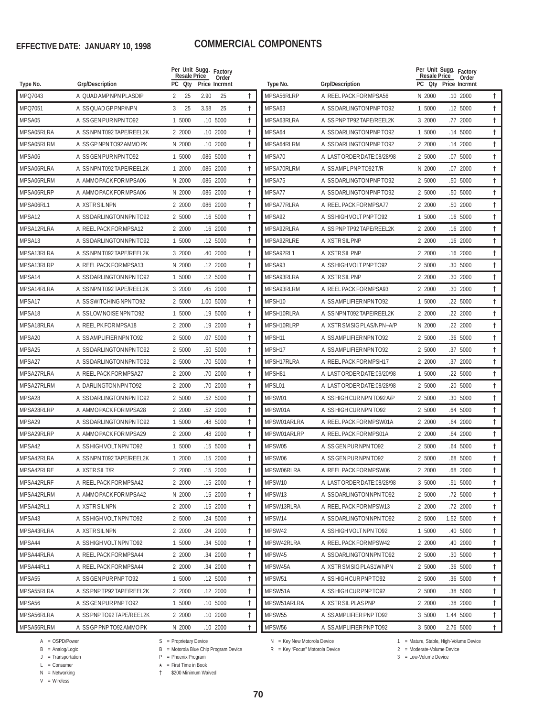| Type No.           | <b>Grp/Description</b>    | Per Unit Sugg. Factory<br>Resale Price<br>Order<br>PC Qty<br>Price Incrmnt | Type No.           | <b>Grp/Description</b>     | Per Unit Sugg. Factory<br><b>Resale Price</b><br>Order<br>PC Qty Price Incrmnt |
|--------------------|---------------------------|----------------------------------------------------------------------------|--------------------|----------------------------|--------------------------------------------------------------------------------|
| MPQ7043            | A QUAD AMP NPN PLASDIP    | 25<br>2.90<br>25<br>$^{\dagger}$<br>2                                      | MPSA56RLRP         | A REELPACK FOR MPSA56      | N 2000<br>.10 2000<br>$^+$                                                     |
| MPQ7051            | A SSQUADGPPNP/NPN         | 25<br>25<br>3<br>3.58<br>$^+$                                              | MPSA63             | A SS DARLINGTON PNP TO92   | $\ddagger$<br>1 5000<br>.12 5000                                               |
| MPSA05             | A SS GEN PUR NPN TO92     | 1 5000<br>.10 5000<br>$\ddagger$                                           | MPSA63RLRA         | A SS PNP TP92 TAPE/REEL2K  | $\ddagger$<br>3 2000<br>.77 2000                                               |
| MPSA05RLRA         | A SS NPN T092 TAPE/REEL2K | $\ddagger$<br>2 2000<br>.10 2000                                           | MPSA64             | A SS DARLINGTON PNP TO92   | $^+$<br>1 5000<br>.14 5000                                                     |
| MPSA05RLRM         | A SS GP NPN TO92 AMMO PK  | N 2000<br>.10 2000<br>$\ddagger$                                           | MPSA64RLRM         | A SS DARLINGTON PNP TO92   | $^+$<br>2 2000<br>.14 2000                                                     |
| MPSA06             | A SS GEN PUR NPN TO92     | $\ddagger$<br>1 5000<br>.086 5000                                          | MPSA70             | A LASTORDER DATE:08/28/98  | $\dagger$<br>2 5000<br>.07 5000                                                |
| MPSA06RLRA         | A SS NPN T092 TAPE/REEL2K | 1 2000<br>.086 2000<br>$\ddagger$                                          | MPSA70RLRM         | A SSAMPLPNPT092T/R         | $\dagger$<br>.07 2000<br>N 2000                                                |
| MPSA06RLRM         | A AMMO PACK FOR MPSA06    | N 2000<br>.086 2000<br>$\ddagger$                                          | MPSA75             | A SS DARLINGTON PNP TO92   | $\dagger$<br>2 5000<br>.50 5000                                                |
| MPSA06RLRP         | A AMMO PACK FOR MPSA06    | .086 2000<br>N 2000<br>$\ddagger$                                          | MPSA77             | A SS DARLINGTON PNP TO92   | $\ddagger$<br>2 5000<br>.50 5000                                               |
| MPSA06RL1          | A XSTR SILNPN             | 2 2000<br>.086 2000<br>$^{\dagger}$                                        | MPSA77RLRA         | A REELPACK FOR MPSA77      | $^{\dagger}$<br>2 2000<br>.50 2000                                             |
| MPSA12             | A SS DARLINGTON NPN TO92  | $^{\dagger}$<br>2 5000<br>.16 5000                                         | MPSA92             | A SSHIGH VOLT PNP TO92     | $\ddagger$<br>1 5000<br>.16 5000                                               |
| MPSA12RLRA         | A REELPACK FOR MPSA12     | 2 2000<br>.16 2000<br>$\ddagger$                                           | MPSA92RLRA         | A SS PNP TP92 TAPE/REEL2K  | $\ddagger$<br>2 2000<br>.16 2000                                               |
| MPSA13             | A SS DARLINGTON NPN TO92  | $^{\dagger}$<br>1 5000<br>.12 5000                                         | MPSA92RLRE         | A XSTR SIL PNP             | $\ddagger$<br>2 2000<br>.16 2000                                               |
| MPSA13RLRA         | A SS NPN T092 TAPE/REEL2K | 3 2000<br>.40 2000<br>$^{\dagger}$                                         | MPSA92RL1          | A XSTR SIL PNP             | $^{\dagger}$<br>2 2000<br>.16 2000                                             |
| MPSA13RLRP         | A REELPACK FOR MPSA13     | $\ddagger$<br>N 2000<br>.12 2000                                           | MPSA93             | A SSHIGH VOLT PNP TO92     | $\ddagger$<br>2 5000<br>.30 5000                                               |
| MPSA14             | A SS DARLINGTON NPN TO92  | $\ddagger$<br>1 5000<br>.12 5000                                           | MPSA93RLRA         | A XSTR SILPNP              | $\dagger$<br>2 2000<br>.30 2000                                                |
| MPSA14RLRA         | A SS NPN T092 TAPE/REEL2K | 3 2000<br>.45 2000<br>$^{\dagger}$                                         | MPSA93RLRM         | A REELPACK FOR MPSA93      | $^{\dagger}$<br>2 2000<br>.30 2000                                             |
| MPSA17             | A SS SWITCHING NPN TO92   | 2 5000<br>1.00 5000<br>$\ddagger$                                          | MPSH <sub>10</sub> | A SS AMPLIFIER NPN TO92    | $\ddagger$<br>1 5000<br>.22 5000                                               |
| MPSA18             | A SS LOW NOISE NPN TO92   | 1 5000<br>.19 5000<br>$^{\dagger}$                                         | MPSH10RLRA         | A SS NPN T092 TAPE/REEL2K  | $^{\dagger}$<br>2 2000<br>.22 2000                                             |
| MPSA18RLRA         | A REELPKFORMPSA18         | 2 2000<br>.19 2000<br>$^+$                                                 | MPSH10RLRP         | A XSTR SM SIG PLAS/NPN-A/P | $\ddagger$<br>N 2000<br>.22 2000                                               |
| MPSA20             | A SS AMPLIFIER NPN TO92   | 2 5000<br>.07 5000<br>$\ddagger$                                           | MPSH11             | A SS AMPLIFIER NPN TO92    | 2 5000<br>.36 5000                                                             |
| MPSA25             | A SS DARLINGTON NPN TO92  | $\ddagger$<br>2 5000<br>.50 5000                                           | MPSH17             | A SS AMPLIFIER NPN TO92    | $^+$<br>2 5000<br>.37 5000                                                     |
| MPSA27             | A SS DARLINGTON NPN TO92  | 2 5000<br>.70 5000<br>$^{\dagger}$                                         | MPSH17RLRA         | A REELPACK FOR MPSH17      | $^+$<br>2 2000<br>.37 2000                                                     |
| MPSA27RLRA         | A REEL PACK FOR MPSA27    | $^{\dagger}$<br>2 2000<br>.70 2000                                         | MPSH81             | A LAST ORDER DATE:09/20/98 | $^+$<br>1 5000<br>.22 5000                                                     |
| MPSA27RLRM         | A DARLINGTON NPN TO92     | 2 2000<br>.70 2000<br>$\ddagger$                                           | MPSL01             | A LASTORDER DATE:08/28/98  | $\dagger$<br>2 5000<br>.20 5000                                                |
| MPSA28             | A SS DARLINGTON NPN TO92  | 2 5000<br>.52 5000<br>$\ddagger$                                           | MPSW01             | A SS HIGH CUR NPN TO92 A/P | 2 5000<br>$^{\dagger}$<br>.30 5000                                             |
| MPSA28RLRP         | A AMMO PACK FOR MPSA28    | 2 2000<br>.52 2000<br>$^{\dagger}$                                         | MPSW01A            | A SS HIGH CURNPN TO92      | $\ddagger$<br>2 5000<br>.64 5000                                               |
| MPSA29             | A SS DARLINGTON NPN TO92  | 1 5000<br>.48 5000<br>$\ddagger$                                           | MPSW01ARLRA        | A REELPACK FOR MPSW01A     | $\ddagger$<br>2 2000<br>.64 2000                                               |
| MPSA29RLRP         | A AMMO PACK FOR MPSA29    | 2 2000<br>.48 2000<br>$\ddagger$                                           | MPSW01ARLRP        | A REEL PACK FOR MPS01A     | $\ddagger$<br>2 2000<br>.64 2000                                               |
| MPSA42             | A SSHIGH VOLT NPN TO92    | 1 5000<br>.15 5000<br>$\ddagger$                                           | MPSW05             | A SS GEN PUR NPN TO92      | $\dagger$<br>2 5000<br>.64 5000                                                |
| MPSA42RLRA         | A SS NPN T092 TAPE/REEL2K | $^{\dagger}$<br>1 2000<br>.15 2000                                         | MPSW06             | A SS GEN PUR NPN TO92      | $\ddagger$<br>2 5000<br>.68 5000                                               |
| MPSA42RLRE         | A XSTR SILT/R             | $\dagger$<br>2 2000<br>.15 2000                                            | MPSW06RLRA         | A REELPACK FOR MPSW06      | $\ddagger$<br>2 2000<br>.68 2000                                               |
| MPSA42RLRF         | A REELPACK FOR MPSA42     | $\ddagger$<br>2 2000<br>.15 2000                                           | MPSW10             | A LAST ORDER DATE:08/28/98 | $\ddagger$<br>3 5000<br>.91 5000                                               |
| MPSA42RLRM         | A AMMO PACK FOR MPSA42    | $\dagger$<br>N 2000<br>.15 2000                                            | MPSW13             | A SS DARLINGTON NPN TO92   | $\dagger$<br>2 5000<br>.72 5000                                                |
| MPSA42RL1          | A XSTR SILNPN             | 2 2000<br>.15 2000<br>t                                                    | MPSW13RLRA         | A REELPACK FOR MPSW13      | $^{\dagger}$<br>2 2000<br>.72 2000                                             |
| MPSA43             | A SSHIGH VOLT NPN TO92    | 2 5000<br>.24 5000<br>$^\dagger$                                           | MPSW14             | A SS DARLINGTON NPN TO92   | $\dagger$<br>2 5000<br>1.52 5000                                               |
| MPSA43RLRA         | A XSTR SILNPN             | 2 2000<br>.24 2000<br>t                                                    | MPSW42             | A SSHIGH VOLT NPN TO92     | $\dagger$<br>1 5000<br>.40 5000                                                |
| MPSA44             | A SSHIGH VOLT NPN TO92    | $^\dagger$<br>1 5000<br>.34 5000                                           | MPSW42RLRA         | A REEL PACK FOR MPSW42     | $\dagger$<br>2 2000<br>.40 2000                                                |
| MPSA44RLRA         | A REEL PACK FOR MPSA44    | 2 2000<br>.34 2000<br>t                                                    | MPSW45             | A SS DARLINGTON NPN TO92   | 2 5000<br>$^+$<br>.30 5000                                                     |
| MPSA44RL1          | A REELPACK FOR MPSA44     | $^\dagger$<br>2 2000<br>.34 2000                                           | MPSW45A            | A XSTR SM SIG PLAS1W NPN   | $\dagger$<br>.36 5000<br>2 5000                                                |
| MPSA <sub>55</sub> | A SS GEN PUR PNP TO92     | .12 5000<br>$^{\dagger}$<br>1 5000                                         | MPSW51             | A SSHIGH CURPNP TO92       | $^+$<br>2 5000<br>.36 5000                                                     |
| MPSA55RLRA         | A SS PNP TP92 TAPE/REEL2K | $^\dagger$<br>2 2000<br>.12 2000                                           | MPSW51A            | A SSHIGH CURPNP TO92       | $\ddagger$<br>2 5000<br>.38 5000                                               |
| MPSA56             | A SS GEN PUR PNP TO92     | $\dagger$<br>1 5000<br>.10 5000                                            | MPSW51ARLRA        | A XSTR SILPLAS PNP         | $\dagger$<br>2 2000<br>.38 2000                                                |
| MPSA56RLRA         | A SS PNP TO92 TAPE/REEL2K | 2 2000<br>.10 2000<br>$^{\dagger}$                                         | MPSW55             | A SS AMPLIFIER PNP TO92    | 3 5000<br>1.44 5000<br>$^+$                                                    |
| MPSA56RLRM         | A SS GP PNP TO92 AMMO PK  | N 2000<br>.10 2000<br>$\ddagger$                                           | MPSW56             | A SS AMPLIFIER PNP TO92    | $^+$<br>3 5000<br>2.76 5000                                                    |

 $L = \text{Consumer}$ <br>  $N = \text{Networking}$ <br>  $V = \text{Wireless}$ 

B = Analog/Logic entropy of the Motorola Blue Chip Program Device R = Key "Focus" Motorola Device 2 = Moderate-Volume Device

- J = Transportation P = Phoenix Program 3 = Low-Volume Device
- $L =$  Consumer  $\star =$  First Time in Book
- N = Networking extensive that the state of the state of the state of the state of the state of the state of the state of the state of the state of the state of the state of the state of the state of the state of the state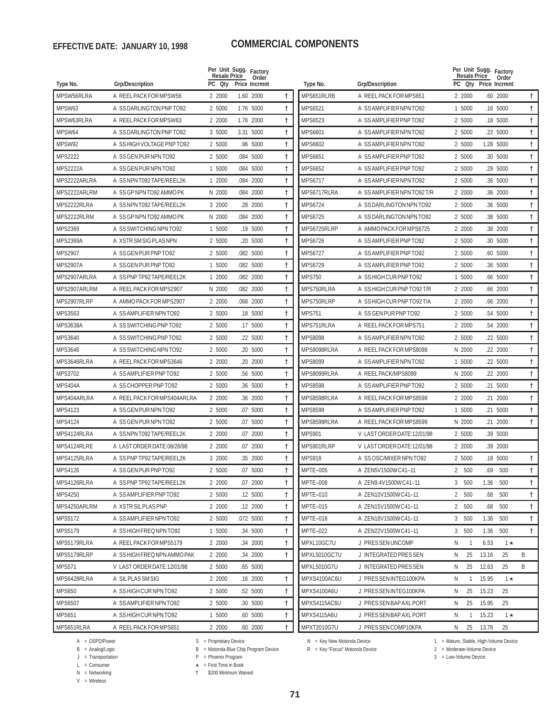|                 |                            | <b>Resale Price</b> | Per Unit Sugg. Factory<br>Order |                |                            | Per Unit Sugg. Factory<br><b>Resale Price</b> |       | Order     |              |
|-----------------|----------------------------|---------------------|---------------------------------|----------------|----------------------------|-----------------------------------------------|-------|-----------|--------------|
| Type No.        | <b>Grp/Description</b>     | PC Otv              | Price Incrmnt                   | Type No.       | <b>Grp/Description</b>     | PC Qty Price Incrmnt                          |       |           |              |
| MPSW56RLRA      | A REELPACK FOR MPSW56      | 2 2000              | 1.60 2000<br>$^\dagger$         | MPS651RLRB     | A REELPACKFORMPS651        | 2 2000                                        |       | .60 2000  | $\dagger$    |
| MPSW63          | A SS DARLINGTON PNP TO92   | 2 5000              | 1.76 5000<br>$^{\dagger}$       | MPS6521        | A SSAMPLIFIER NPN TO92     | 1 5000                                        |       | .16 5000  | $^+$         |
| MPSW63RLRA      | A REELPACK FOR MPSW63      | 2 2000              | $^{\dagger}$<br>1.76 2000       | MPS6523        | A SSAMPLIFIER PNP TO92     | 2 5000                                        |       | .18 5000  | $^+$         |
| MPSW64          | A SS DARLINGTON PNP TO92   | 3 5000              | t.<br>3.31 5000                 | MPS6601        | A SSAMPLIFIER NPN TO92     | 2 5000                                        |       | .22 5000  | $^+$         |
| MPSW92          | A SS HIGH VOLTAGE PNP TO92 | 2 5000              | .96 5000<br>Ť.                  | MPS6602        | A SSAMPLIFIER NPN TO92     | 2 5000                                        |       | 1.28 5000 | $\ddagger$   |
| <b>MPS2222</b>  | A SS GEN PUR NPN TO92      | 2 5000              | $\ddagger$<br>.084 5000         | MPS6651        | A SSAMPLIFIER PNP TO92     | 2 5000                                        |       | .30 5000  | $^+$         |
| <b>MPS2222A</b> | A SS GEN PUR NPN TO92      | 1 5000              | $^{\dagger}$<br>.084 5000       | MPS6652        | A SSAMPLIFIER PNP TO92     | 2 5000                                        |       | .29 5000  | $^+$         |
| MPS2222ARLRA    | A SS NPN T092 TAPE/REEL2K  | 1 2000              | $\ddagger$<br>.084 2000         | MPS6717        | A SSAMPLIFIER NPN TO92     | 2 5000                                        |       | .36 5000  | $\ddagger$   |
| MPS2222ARLRM    | A SS GP NPN TO92 AMMO PK   | N 2000              | .084 2000<br>$^\dagger$         | MPS6717RLRA    | A SSAMPLIFIER NPN TO92 T/R | 2 2000                                        |       | .36 2000  | $^{\dagger}$ |
| MPS2222RLRA     | A SS NPN T092 TAPE/REEL2K  | 3 2000              | .28 2000<br>$^{\dagger}$        | <b>MPS6724</b> | A SSDARLINGTON NPN TO92    | 2 5000                                        |       | .36 5000  | $^{\dagger}$ |
| MPS2222RLRM     | A SS GP NPN TO92 AMMO PK   | N 2000              | $^{\dagger}$<br>.084 2000       | MPS6725        | A SSDARLINGTON NPN TO92    | 2 5000                                        |       | .38 5000  | $^+$         |
| MPS2369         | A SS SWITCHING NPN TO92    | 1 5000              | $^{\dagger}$<br>.19 5000        | MPS6725RLRP    | A AMMO PACK FOR MPS6725    | 2 2000                                        |       | .38 2000  | $^+$         |
| <b>MPS2369A</b> | A XSTR SM SIG PLAS NPN     | 2 5000              | t.<br>.20 5000                  | MPS6726        | A SSAMPLIFIER PNP TO92     | 2 5000                                        |       | .30 5000  | $^+$         |
| MPS2907         | A SS GEN PUR PNP TO92      | 2 5000              | $^{\dagger}$<br>.082 5000       | <b>MPS6727</b> | A SSAMPLIFIER PNPTO92      | 2 5000                                        |       | .60 5000  | $\ddagger$   |
| <b>MPS2907A</b> | A SS GEN PUR PNP TO92      | 1 5000              | $^+$<br>.082 5000               | MPS6729        | A SSAMPLIFIER PNP TO92     | 2 5000                                        |       | .36 5000  | $^+$         |
| MPS2907ARLRA    | A SS PNP TP92 TAPE/REEL2K  | 1 2000              | $\ddagger$<br>.082 2000         | <b>MPS750</b>  | A SSHIGH CUR PNP TO92      | 1 5000                                        |       | .66 5000  | $^+$         |
| MPS2907ARLRM    | A REELPACK FOR MPS2907     | N 2000              | $\ddagger$<br>.082 2000         | MPS750RLRA     | A SSHIGH CUR PNP TO92 T/R  | 2 2000                                        |       | .66 2000  | $\ddagger$   |
| MPS2907RLRP     | A AMMO PACK FOR MPS2907    | 2 2000              | .068 2000<br>$^{\dagger}$       | MPS750RLRP     | A SSHIGH CUR PNP TO92 T/A  | 2 2000                                        |       | .66 2000  | $^{\dagger}$ |
| MPS3563         | A SSAMPLIFIER NPN TO92     | 2 5000              | .18 5000<br>$^{\dagger}$        | <b>MPS751</b>  | A SSGENPURPNPTO92          | 2 5000                                        |       | .54 5000  | $\ddagger$   |
| <b>MPS3638A</b> | A SS SWITCHING PNP TO92    | 2 5000              | .17 5000<br>Ť.                  | MPS751RLRA     | A REEL PACK FOR MPS751     | 2 2000                                        |       | .54 2000  | $\ddagger$   |
| MPS3640         | A SS SWITCHING PNP TO92    | 2 5000              | $^{\dagger}$<br>.22 5000        | <b>MPS8098</b> | A SSAMPLIFIER NPN TO92     | 2 5000                                        |       | .22 5000  | $^+$         |
| MPS3646         | A SS SWITCHING NPN TO92    | 2 5000              | t.<br>.20 5000                  | MPS8098RLRA    | A REEL PACK FOR MPS8098    | N 2000                                        |       | .22 2000  | $^+$         |
| MPS3646RLRA     | A REELPACKFORMPS3646       | 2 2000              | $^{\dagger}$<br>.20 2000        | MPS8099        | A SSAMPLIFIER NPN TO92     | 1 5000                                        |       | .22 5000  | $\ddagger$   |
| MPS3702         | A SSAMPLIFIER PNP TO92     | 2 5000              | $\ddagger$<br>.56 5000          | MPS8099RLRA    | A REELPACK/MPS8099         | N 2000                                        |       | .22 2000  | $^+$         |
| MPS404A         | A SSCHOPPER PNP TO92       | 2 5000              | $^{\dagger}$<br>.36 5000        | <b>MPS8598</b> | A SSAMPLIFIER PNP TO92     | 2 5000                                        |       | .21 5000  | $^+$         |
| MPS404ARLRA     | A REELPACK FOR MPS404ARLRA | 2 2000              | $\ddagger$<br>.36 2000          | MPS8598RLRA    | A REEL PACK FOR MPS8598    | 2 2000                                        |       | .21 2000  | $\ddagger$   |
| MPS4123         | A SS GEN PUR NPN TO92      | 2 5000              | .07 5000<br>$^{\dagger}$        | MPS8599        | A SSAMPLIFIER PNP TO92     | 1 5000                                        |       | .21 5000  | $^{\dagger}$ |
| <b>MPS4124</b>  | A SS GEN PUR NPN TO92      | 2 5000              | .07 5000<br>$^{\dagger}$        | MPS8599RLRA    | A REEL PACK FOR MPS8599    | N 2000                                        |       | .21 2000  | $\ddagger$   |
| MPS4124RLRA     | A SS NPN T092 TAPE/REEL2K  | 2 2000              | .07 2000<br>$^{\dagger}$        | <b>MPS901</b>  | V LAST ORDER DATE:12/01/98 | 2 5000                                        |       | .39 5000  |              |
| MPS4124RLRE     | A LAST ORDER DATE:08/28/98 | 2 2000              | $^{\dagger}$<br>.07 2000        | MPS901RLRP     | V LAST ORDER DATE:12/01/98 | 2 2000                                        |       | .39 2000  |              |
| MPS4125RLRA     | A SS PNP TP92 TAPE/REEL2K  | 3 2000              | t<br>.35 2000                   | <b>MPS918</b>  | A SSOSC/MIXER NPN TO92     | 2 5000                                        |       | .18 5000  | $^+$         |
| MPS4126         | A SS GEN PUR PNP TO92      | 2 5000              | $+$<br>.07 5000                 | MPTE-005       | A ZEN5V1500WC41-11         | 2 500                                         |       | .69 500   | $^+$         |
| MPS4126RLRA     | A SS PNP TP92 TAPE/REEL2K  | 2 2000              | $^{\dagger}$<br>.07 2000        | MPTE-008       | A ZEN9.4V1500WC41-11       | 3 500                                         | 1.36  | 500       | $^+$         |
| MPS4250         | A SSAMPLIFIER PNP TO92     | 2 5000              | $^{\dagger}$<br>.12 5000        | MPTE-010       | A ZEN10V1500WC41-11        | 2 500                                         | .68   | 500       | $^+$         |
| MPS4250ARLRM    | A XSTR SILPLAS PNP         | 2 2000              | $^{\dagger}$<br>.12 2000        | MPTE-015       | A ZEN15V1500WC41-11        | 2 500                                         | .68   | 500       | $^+$         |
| MPS5172         | A SSAMPLIFIER NPN TO92     | 2 5000              | .072 5000<br>$^\dagger$         | MPTE-018       | A ZEN18V1500WC41-11        | 3 500                                         | 1.36  | 500       | $\ddagger$   |
| MPS5179         | A SSHIGHFREQNPNT092        | 1 5000              | $\dagger$<br>.34 5000           | MPTE-022       | A ZEN22V1500WC41-11        | 3 500                                         | 1.36  | 500       | $\ddagger$   |
| MPS5179RLRA     | A REELPACKFORMPS5179       | 2 2000              | t.<br>.34 2000                  | MPXL10GC7U     | J PRESSEN UNCOMP           | Ν<br>$\mathbf{1}$                             | 6.53  | $1\star$  |              |
| MPS5179RLRP     | A SSHIGH FREQ NPN AMMO PAK | 2 2000              | .34 2000<br>$^\dagger$          | MPXL5010GC7U   | J INTEGRATED PRESSEN       | 25<br>N                                       | 13.16 | 25        | B            |
| <b>MPS571</b>   | V LAST ORDER DATE:12/01/98 | 2 5000              | .65 5000                        | MPXL5010G7U    | J INTEGRATED PRESSEN       | 25<br>N                                       | 12.63 | 25        | B            |
| MPS6428RLRA     | A SILPLAS SMSIG            | 2 2000              | $^\dagger$<br>.16 2000          | MPXS4100AC6U   | J PRESSENINTEG100KPA       | 1<br>N                                        | 15.95 | $1\star$  |              |
| <b>MPS650</b>   | A SSHIGH CURNPN TO92       | 2 5000              | $^{\dagger}$<br>.52 5000        | MPXS4100A6U    | J PRESSENINTEG100KPA       | 25<br>N                                       | 15.23 | 25        |              |
| MPS6507         | A SSAMPLIFIER NPN TO92     | 2 5000              | $^{\dagger}$<br>.30 5000        | MPXS4115AC6U   | J PRES SEN BAP AXL PORT    | 25<br>Ν                                       | 15.95 | 25        |              |
| <b>MPS651</b>   | A SS HIGH CUR NPN TO92     | 1 5000              | $^{\dagger}$<br>.60 5000        | MPXS4115A6U    | J PRES SEN BAP AXL PORT    | Ν<br>1                                        | 15.23 | $1\star$  |              |
| MPS651RLRA      | A REELPACK FORMPS651       | 2 2000              | $^{\dagger}$<br>.60 2000        | MPXT2010G7U    | J PRESSENCOMP10KPA         | N<br>25                                       | 13.78 | 25        |              |

- 
- $L = \text{Consumer}$ <br>  $N = \text{Networking}$ <br>  $V = \text{Wireless}$

B = Analog/Logic entropyrology by B = Motorola Blue Chip Program Device R = Key "Focus" Motorola Device 2 = Moderate-Volume Device

A = OSPD/Power external states and S = Proprietary Device N = Key New Motorola Device 1 = Mature, Stable, High-Volume Device

J = Transportation P = Phoenix Program 3 = Low-Volume Device

 $L =$  Consumer  $\star =$  First Time in Book

N = Networking - and the state of the state of the state of the state of the state of the state of the state of the state of the state of the state of the state of the state of the state of the state of the state of the st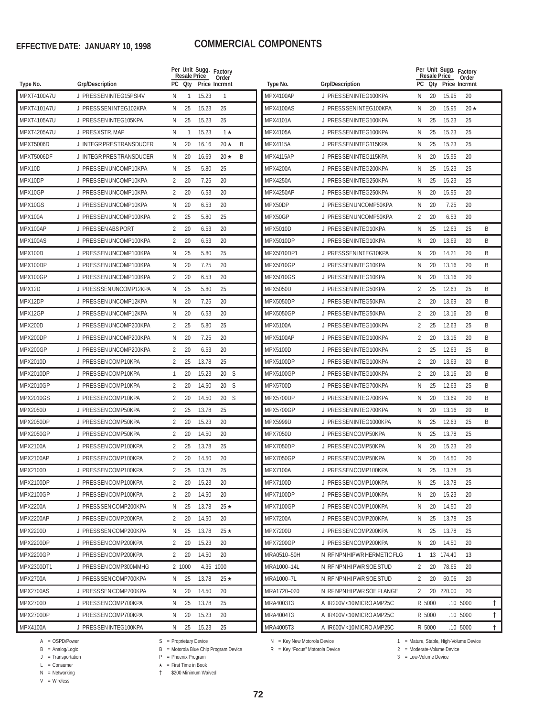|                  |                         | Per Unit Sugg. Factory<br><b>Resale Price</b><br>Order |                  |                             | Per Unit Sugg. Factory<br><b>Resale Price</b><br>Order |
|------------------|-------------------------|--------------------------------------------------------|------------------|-----------------------------|--------------------------------------------------------|
| Type No.         | <b>Grp/Description</b>  | PC Qty Price Incrmnt                                   | Type No.         | <b>Grp/Description</b>      | Qty<br>Price Incrmnt<br>PC.                            |
| MPXT4100A7U      | J PRESSENINTEG15PSI4V   | 15.23<br>N<br>1<br>1                                   | MPX4100AP        | J PRESSENINTEG100KPA        | 20<br>15.95<br>20<br>N                                 |
| MPXT4101A7U      | J PRESS SEN INTEG102KPA | 25<br>25<br>15.23<br>N                                 | MPX4100AS        | J PRESS SEN INTEG100KPA     | 20<br>15.95<br>$20 \star$<br>N                         |
| MPXT4105A7U      | J PRES SEN INTEG105KPA  | 25<br>15.23<br>25<br>Ν                                 | MPX4101A         | J PRESSENINTEG100KPA        | 25<br>15.23<br>25<br>N                                 |
| MPXT4205A7U      | J PRESXSTR, MAP         | N<br>15.23<br>$1\star$<br>1                            | <b>MPX4105A</b>  | J PRESSENINTEG100KPA        | 25<br>N<br>25<br>15.23                                 |
| <b>MPXT5006D</b> | J INTEGRPRESTRANSDUCER  | B<br>20<br>16.16<br>$20 \star$<br>N                    | <b>MPX4115A</b>  | J PRESSENINTEG115KPA        | 25<br>15.23<br>N<br>25                                 |
| MPXT5006DF       | J INTEGRPRESTRANSDUCER  | 20<br>B<br>16.69<br>$20 \star$<br>N                    | <b>MPX4115AP</b> | J PRESSENINTEG115KPA        | 20<br>15.95<br>20<br>N                                 |
| MPX10D           | J PRESSEN UNCOMP10KPA   | 25<br>5.80<br>25<br>Ν                                  | MPX4200A         | J PRESSENINTEG200KPA        | 25<br>15.23<br>25<br>N                                 |
| MPX10DP          | J PRESSEN UNCOMP10KPA   | 20<br>20<br>2<br>7.25                                  | <b>MPX4250A</b>  | J PRES SEN INTEG250KPA      | 25<br>15.23<br>25<br>N                                 |
| MPX10GP          | J PRESSEN UNCOMP10KPA   | 20<br>2<br>6.53<br>20                                  | <b>MPX4250AP</b> | J PRES SEN INTEG250KPA      | 15.95<br>20<br>20<br>N                                 |
| MPX10GS          | J PRESSENUNCOMP10KPA    | 20<br>6.53<br>20<br>Ν                                  | MPX50DP          | J PRES SEN UNCOMP50KPA      | 20<br>7.25<br>20<br>N                                  |
| MPX100A          | J PRESSEN UNCOMP100KPA  | 2<br>25<br>5.80<br>25                                  | MPX50GP          | J PRES SEN UNCOMP50KPA      | 2<br>20<br>6.53<br>20                                  |
| MPX100AP         | J PRESSENABSPORT        | 20<br>6.53<br>20<br>2                                  | MPX5010D         | J PRESSENINTEG10KPA         | 25<br>12.63<br>25<br>B<br>N                            |
| MPX100AS         | J PRESSENUNCOMP100KPA   | 20<br>2<br>6.53<br>20                                  | MPX5010DP        | J PRESSENINTEG10KPA         | B<br>N<br>20<br>13.69<br>20                            |
| MPX100D          | J PRESSEN UNCOMP100KPA  | 25<br>25<br>5.80<br>N                                  | MPX5010DP1       | J PRESSSENINTEG10KPA        | B<br>14.21<br>20<br>N<br>20                            |
| MPX100DP         | J PRESSEN UNCOMP100KPA  | 20<br>20<br>7.25<br>Ν                                  | <b>MPX5010GP</b> | J PRESSENINTEG10KPA         | B<br>N<br>20<br>13.16<br>20                            |
| MPX100GP         | J PRESSENUNCOMP100KPA   | 20<br>20<br>2<br>6.53                                  | <b>MPX5010GS</b> | J PRESSENINTEG10KPA         | 20<br>20<br>N<br>13.16                                 |
| MPX12D           | J PRESS SEN UNCOMP12KPA | 25<br>25<br>5.80<br>Ν                                  | MPX5050D         | J PRESSENINTEG50KPA         | B<br>2<br>25<br>12.63<br>25                            |
| MPX12DP          | J PRESSENUNCOMP12KPA    | 20<br>7.25<br>20<br>Ν                                  | MPX5050DP        | J PRES SEN INTEG50KPA       | B<br>2<br>20<br>13.69<br>20                            |
| MPX12GP          | J PRESSENUNCOMP12KPA    | 20<br>6.53<br>20<br>N                                  | <b>MPX5050GP</b> | J PRESSENINTEG50KPA         | 2<br>20<br>13.16<br>20<br>B                            |
| <b>MPX200D</b>   | J PRESSENUNCOMP200KPA   | 25<br>5.80<br>25<br>2                                  | <b>MPX5100A</b>  | J PRESSENINTEG100KPA        | B<br>2<br>25<br>12.63<br>25                            |
| MPX200DP         | J PRESSEN UNCOMP200KPA  | 20<br>7.25<br>20<br>Ν                                  | MPX5100AP        | J PRESSENINTEG100KPA        | 2<br>20<br>13.16<br>20<br>B                            |
| MPX200GP         | J PRESSEN UNCOMP200KPA  | 20<br>2<br>6.53<br>20                                  | <b>MPX5100D</b>  | J PRESSENINTEG100KPA        | B<br>2<br>25<br>12.63<br>25                            |
| MPX2010D         | J PRESSENCOMP10KPA      | 25<br>13.78<br>2<br>25                                 | MPX5100DP        | J PRESSENINTEG100KPA        | B<br>$\overline{2}$<br>20<br>13.69<br>20               |
| MPX2010DP        | J PRESSENCOMP10KPA      | 20<br>20 S<br>15.23<br>1                               | <b>MPX5100GP</b> | J PRESSENINTEG100KPA        | $\overline{2}$<br>20<br>B<br>13.16<br>20               |
| <b>MPX2010GP</b> | J PRESSENCOMP10KPA      | $\overline{2}$<br>20<br>14.50<br>20 S                  | <b>MPX5700D</b>  | J PRESSENINTEG700KPA        | 25<br>12.63<br>25<br>B<br>N                            |
| <b>MPX2010GS</b> | J PRESSENCOMP10KPA      | 20<br>14.50<br>20 S<br>2                               | MPX5700DP        | J PRESSENINTEG700KPA        | 20<br>13.69<br>20<br>B<br>N                            |
| <b>MPX2050D</b>  | J PRESSENCOMP50KPA      | 13.78<br>25<br>2<br>25                                 | <b>MPX5700GP</b> | J PRESSENINTEG700KPA        | B<br>20<br>13.16<br>20<br>N                            |
| <b>MPX2050DP</b> | J PRES SEN COMP50KPA    | 2<br>20<br>15.23<br>20                                 | MPX5999D         | J PRESSENINTEG1000KPA       | B<br>25<br>12.63<br>25<br>N                            |
| <b>MPX2050GP</b> | J PRES SEN COMP50KPA    | 20<br>14.50<br>20<br>2                                 | MPX7050D         | J PRESSENCOMP50KPA          | 25<br>25<br>13.78<br>N                                 |
| <b>MPX2100A</b>  | J PRESSENCOMP100KPA     | 2<br>25<br>13.78<br>25                                 | MPX7050DP        | J PRESSENCOMP50KPA          | 20<br>15.23<br>20<br>N                                 |
| <b>MPX2100AP</b> | J PRESSENCOMP100KPA     | 20<br>14.50<br>20<br>2                                 | <b>MPX7050GP</b> | J PRESSENCOMP50KPA          | 20<br>20<br>14.50<br>N                                 |
| MPX2100D         | J PRESSENCOMP100KPA     | 25<br>25<br>13.78<br>2                                 | <b>MPX7100A</b>  | J PRESSENCOMP100KPA         | 25<br>13.78<br>25<br>N                                 |
| MPX2100DP        | J PRESSENCOMP100KPA     | 20<br>2<br>20<br>15.23                                 | MPX7100D         | J PRESSENCOMP100KPA         | 25<br>25<br>13.78<br>N                                 |
| <b>MPX2100GP</b> | J PRESSENCOMP100KPA     | 20<br>$\overline{2}$<br>20<br>14.50                    | MPX7100DP        | J PRESSENCOMP100KPA         | 20<br>15.23<br>20<br>Ν                                 |
| <b>MPX2200A</b>  | J PRESS SEN COMP200KPA  | 25<br>13.78<br>$25 \star$<br>Ν                         | <b>MPX7100GP</b> | J PRESSENCOMP100KPA         | 20<br>20<br>14.50<br>N                                 |
| <b>MPX2200AP</b> | J PRESSENCOMP200KPA     | 20<br>20<br>14.50<br>2                                 | <b>MPX7200A</b>  | J PRESSENCOMP200KPA         | 25<br>25<br>13.78<br>N                                 |
| MPX2200D         | J PRESS SEN COMP200KPA  | 25<br>13.78<br>$25 \star$<br>N                         | MPX7200D         | J PRESSENCOMP200KPA         | 25<br>13.78<br>25<br>N                                 |
| MPX2200DP        | J PRESSENCOMP200KPA     | 20<br>$\overline{2}$<br>15.23<br>20                    | <b>MPX7200GP</b> | J PRESSENCOMP200KPA         | 20<br>20<br>14.50<br>Ν                                 |
| <b>MPX2200GP</b> | J PRESSENCOMP200KPA     | 20<br>14.50<br>20<br>2                                 | MRA0510-50H      | N RF NPN HIPWR HERMETIC FLG | 13 174.40<br>13<br>1                                   |
| MPX2300DT1       | J PRESSENCOMP300MMHG    | 2 1000<br>4.35 1000                                    | MRA1000-14L      | N RF NPN HIPWR SOE STUD     | 20<br>78.65<br>20<br>$\mathbf{2}$                      |
| MPX2700A         | J PRESS SEN COMP 700KPA | 13.78<br>$25 \star$<br>N<br>25                         | MRA1000-7L       | N RF NPN HIPWR SOE STUD     | 20<br>60.06<br>20<br>2                                 |
| MPX2700AS        | J PRESSSENCOMP700KPA    | 20<br>N<br>20<br>14.50                                 | MRA1720-020      | N RF NPN HI PWR SOE FLANGE  | 20 220.00<br>20<br>2                                   |
| <b>MPX2700D</b>  | J PRESSENCOMP700KPA     | 13.78<br>25<br>25<br>N                                 | MRA4003T3        | A IR200V<10MICROAMP25C      | $\uparrow$<br>R 5000<br>.10 5000                       |
| MPX2700DP        | J PRESSENCOMP700KPA     | 20<br>20<br>15.23<br>Ν                                 | MRA4004T3        | A IR400V<10MICROAMP25C      | $\ddagger$<br>R 5000<br>.10 5000                       |
| MPX4100A         | J PRESSENINTEG100KPA    | 25<br>15.23<br>25<br>N                                 | MRA4005T3        | A IR600V<10MICROAMP25C      | $^\mathrm{+}$<br>R 5000<br>.10 5000                    |

 $L =$  Consumer  $\star =$  First Time in Book

N = Networking extensive that the state of the state of the state of the state of the state of the state of the state of the state of the state of the state of the state of the state of the state of the state of the state

 $L = \text{Consumer}$ <br>  $N = \text{Networking}$ <br>  $V = \text{Wireless}$ 

B = Analog/Logic entropy of the Motorola Blue Chip Program Device R = Key "Focus" Motorola Device 2 = Moderate-Volume Device

A = OSPD/Power external states and S = Proprietary Device N = Key New Motorola Device 1 = Mature, Stable, High-Volume Device

J = Transportation P = Phoenix Program 3 = Low-Volume Device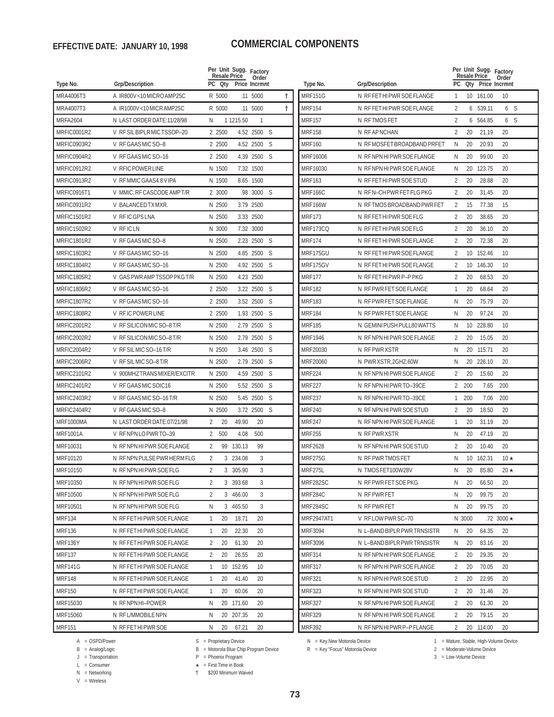|                    |                             | Per Unit Sugg. Factory<br><b>Resale Price</b><br>Order |                |                             |                |                 | Per Unit Sugg. Factory<br><b>Resale Price</b> | Order            |  |
|--------------------|-----------------------------|--------------------------------------------------------|----------------|-----------------------------|----------------|-----------------|-----------------------------------------------|------------------|--|
| Type No.           | <b>Grp/Description</b>      | PC Otv<br><b>Price Incrmnt</b>                         | Type No.       | <b>Grp/Description</b>      | PC.            | Qty             |                                               | Price Incrmnt    |  |
| MRA4006T3          | A IR800V<10MICROAMP25C      | $^{\dagger}$<br>R 5000<br>.11 5000                     | <b>MRF151G</b> | N RF FETHIPWR SOE FLANGE    | 1              |                 | 10 161.00                                     | 10               |  |
| MRA4007T3          | A IR1000V<10MICRAMP25C      | R 5000<br>.11 5000<br>$^{\dagger}$                     | <b>MRF154</b>  | N RFFETHIPWR SOE FLANGE     | 2              |                 | 6 539.11                                      | 6 S              |  |
| <b>MRFA2604</b>    | N LAST ORDER DATE: 11/28/98 | 1 1215.50<br>$\mathbf{1}$<br>N                         | <b>MRF157</b>  | N RFTMOSFET                 | 2              |                 | 6 564.85                                      | 6 S              |  |
| MRFIC0001R2        | V RF SIL BIPLR MIC TSSOP-20 | 2 2500<br>4.52 2500 S                                  | <b>MRF158</b>  | N RF AP NCHAN               | 2              | 20              | 21.19                                         | 20               |  |
| MRFIC0903R2        | V RF GAAS MIC SO-8          | 4.52 2500 S<br>2 2500                                  | <b>MRF160</b>  | N RFMOSFETBROADBANDPRFET    | N              | 20              | 20.93                                         | 20               |  |
| MRFIC0904R2        | V RF GAAS MIC SO-16         | 4.39 2500 S<br>2 2500                                  | MRF16006       | N RF NPN HI PWR SOE FLANGE  | N              | 20              | 99.00                                         | 20               |  |
| MRFIC0912R2        | V RFIC POWER LINE           | 7.32 1500<br>N 1500                                    | MRF16030       | N RF NPN HIPWR SOE FLANGE   | N              | 20              | 123.75                                        | 20               |  |
| MRFIC0913R2        | V RF MMIC GAAS4.8 VIPA      | N 1500<br>8.65 1500                                    | <b>MRF163</b>  | N RFFETHIPWR SOE STUD       | 2              | 20              | 28.88                                         | 20               |  |
| MRFIC0916T1        | V MMIC, RF CASCODE AMP T/R  | 2 3000<br>.98 3000 S                                   | MRF166C        | N RFN-CHPWRFETFLGPKG        | 2              | 20              | 31.45                                         | 20               |  |
| MRFIC0931R2        | V BALANCEDTXMXR.            | N 2500<br>3.79 2500                                    | <b>MRF166W</b> | N RF TMOS BROADBAND PWR FET | 2              | 15              | 77.38                                         | 15               |  |
| MRFIC1501R2        | V RFICGPSLNA                | N 2500<br>3.33 2500                                    | <b>MRF173</b>  | N RF FET HIPWR SOE FLG      | 2              | 20              | 38.65                                         | 20               |  |
| <b>MRFIC1502R2</b> | V RFICLN                    | N 3000<br>7.32 3000                                    | MRF173CQ       | N RFFETHIPWR SOEFLG         | 2              | 20              | 36.10                                         | 20               |  |
| MRFIC1801R2        | V RF GAAS MIC SO-8          | 2.23 2500 S<br>N 2500                                  | <b>MRF174</b>  | N RFFETHIPWR SOE FLANGE     | 2              | 20              | 72.38                                         | 20               |  |
| MRFIC1803R2        | V RF GAAS MIC SO-16         | 4.85 2500 S<br>N 2500                                  | MRF175GU       | N RF FET HIPWR SOE FLANGE   | 2              | 10 <sup>°</sup> | 152.46                                        | 10               |  |
| MRFIC1804R2        | V RF GAAS MIC SO-16         | 4.92 2500 S<br>N 2500                                  | MRF175GV       | N RF FET HIPWR SOE FLANGE   | 2              |                 | 10 146.30                                     | 10               |  |
| MRFIC1805R2        | V GAS PWR AMP TSSOP PKG T/R | N 2500<br>4.23 2500                                    | <b>MRF177</b>  | N RFFETHIPWRP-PPKG          | 2              | 20              | 68.53                                         | 20               |  |
| MRFIC1806R2        | V RF GAAS MIC SO-16         | 3.22 2500 S<br>2 2500                                  | <b>MRF182</b>  | N RF PWR FET SOE FLANGE     | 1              | 20              | 68.64                                         | 20               |  |
| MRFIC1807R2        | V RF GAAS MIC SO-16         | 3.52 2500 S<br>2 2500                                  | MRF183         | N RF PWR FET SOE FLANGE     | N              | 20              | 75.79                                         | 20               |  |
| <b>MRFIC1808R2</b> | <b>V RFIC POWER LINE</b>    | 1.93 2500 S<br>2 2500                                  | <b>MRF184</b>  | N RF PWR FET SOE FLANGE     | N              | 20              | 97.24                                         | 20               |  |
| <b>MRFIC2001R2</b> | V RF SILICON MIC SO-8 T/R   | N 2500<br>2.79 2500 S                                  | <b>MRF185</b>  | N GEMINIPUSHPULL80WATTS     | N              |                 | 10 228.80                                     | 10               |  |
| MRFIC2002R2        | V RF SILICON MIC SO-8 T/R   | 2.79 2500<br><sub>S</sub><br>N 2500                    | <b>MRF1946</b> | N RF NPN HI PWR SOE FLANGE  | 2              | 20              | 15.05                                         | 20               |  |
| MRFIC2004R2        | V RF SILMIC SO-16 T/R       | 3.46 2500 S<br>N 2500                                  | MRF20030       | N RF PWR XSTR               | N              | 20              | 115.71                                        | 20               |  |
| MRFIC2006R2        | V RF SILMIC SO-8 T/R        | 2.79 2500 S<br>N 2500                                  | MRF20060       | N PWRXSTR,2GHZ,60W          | N              |                 | 20 226.10                                     | 20               |  |
| MRFIC2101R2        | V 900MHZ TRANS MIXER/EXCITR | 4.59 2500 S<br>N 2500                                  | <b>MRF224</b>  | N RF NPN HI PWR SOE FLANGE  | $\overline{2}$ | 20              | 15.60                                         | 20               |  |
| MRFIC2401R2        | V RF GAAS MIC SOIC16        | N 2500<br>5.52 2500<br>-S                              | <b>MRF227</b>  | N RF NPN HI PWR TO-39CE     | 2 200          |                 | 7.65                                          | 200              |  |
| MRFIC2403R2        | V RF GAAS MIC SO-16 T/R     | <sub>S</sub><br>N 2500<br>5.45 2500                    | <b>MRF237</b>  | N RF NPN HI PWR TO-39CE     | 1              | 200             | 7.06                                          | 200              |  |
| MRFIC2404R2        | V RF GAAS MIC SO-8          | 3.72 2500 S<br>N 2500                                  | MRF240         | N RF NPN HIPWR SOE STUD     | 2              | 20              | 18.50                                         | 20               |  |
| MRF1000MA          | N LAST ORDER DATE:07/21/98  | 20<br>20<br>49.90<br>2                                 | MRF247         | N RF NPN HI PWR SOE FLANGE  | 1              | 20              | 31.19                                         | 20               |  |
| <b>MRF1001A</b>    | V RF NPN LO PWR TO-39       | 500<br>500<br>4.08<br>2                                | <b>MRF255</b>  | N RF PWR XSTR               | N              | 20              | 47.19                                         | 20               |  |
| MRF10031           | N RF NPN HI PWR SOE FLANGE  | 99<br>99<br>130.13<br>2                                | MRF2628        | N RF NPN HI PWR SOE STUD    | 2              | 20              | 10.40                                         | 20               |  |
| MRF10120           | N RF NPN PULSE PWR HERM FLG | 3 234.08<br>2<br>3                                     | <b>MRF275G</b> | N RF PWR TMOS FET           | N              | 10 <sup>°</sup> | 162.31                                        | $10 \star$       |  |
| MRF10150           | N RF NPN HI PWR SOE FLG     | $\overline{2}$<br>3<br>3 305.90                        | MRF275L        | N TMOSFET100W28V            | N              | 20              | 85.80                                         | $20 \star$       |  |
| MRF10350           | N RF NPN HI PWR SOE FLG     | 2<br>3 393.68<br>3                                     | MRF282SC       | N RF PWR FET SOE PKG        | N              | 20              | 66.50                                         | 20               |  |
| MRF10500           | N RF NPN HI PWR SOE FLG     | 3 466.00<br>3<br>2                                     | MRF284C        | N RF PWR FET                | N              | 20              | 99.75                                         | 20               |  |
| MRF10501           | N RF NPN HI PWR SOE FLG     | 3<br>3 465.50<br>Ν                                     | MRF284SC       | N RF PWR FET                | N              | 20              | 99.75                                         | 20               |  |
| <b>MRF134</b>      | N RFFETHIPWRSOEFLANGE       | 18.71<br>20<br>$\mathbf{1}$<br>20                      | MRF2947AT1     | V RFLOWPWRSC-70             | N 3000         |                 |                                               | .72 3000 $\star$ |  |
| <b>MRF136</b>      | N REFETHIPWRSOEFLANGE       | 22.30<br>20<br>20<br>1                                 | MRF3094        | N L-BAND BIPLR PWR TRNSISTR | N              | 20              | 64.35                                         | 20               |  |
| MRF136Y            | N RFFETHIPWRSOEFLANGE       | 61.30<br>20<br>2<br>20                                 | MRF3096        | N L-BAND BIPLR PWR TRNSISTR | N              | 20              | 83.16                                         | 20               |  |
| <b>MRF137</b>      | N RFFETHIPWRSOEFLANGE       | 20<br>20<br>26.55<br>2                                 | <b>MRF314</b>  | N RF NPN HIPWR SOE FLANGE   | 2              | 20              | 29.35                                         | 20               |  |
| <b>MRF141G</b>     | N REFETHIPWRSOEFLANGE       | 10 152.95<br>10<br>1                                   | <b>MRF317</b>  | N RF NPN HIPWR SOE FLANGE   | $\mathbf{2}$   | 20              | 70.05                                         | 20               |  |
| <b>MRF148</b>      | N RFFETHIPWRSOEFLANGE       | 20<br>41.40<br>20<br>1                                 | <b>MRF321</b>  | N RF NPN HI PWR SOE STUD    | $\mathbf{2}$   | 20              | 22.95                                         | 20               |  |
| <b>MRF150</b>      | N RFFETHIPWRSOEFLANGE       | 60.06<br>20<br>20<br>1                                 | <b>MRF323</b>  | N RF NPN HIPWR SOE STUD     | $\mathbf{2}$   | 20              | 31.46                                         | 20               |  |
| MRF15030           | N RFNPNHI-POWER             | 20 171.60<br>20<br>N                                   | <b>MRF327</b>  | N RF NPN HIPWR SOE FLANGE   | 2              | 20              | 61.30                                         | 20               |  |
| MRF15060           | N RFL/MMOBILENPN            | 20 207.35<br>20<br>N                                   | <b>MRF329</b>  | N RF NPN HIPWR SOE FLANGE   | 2              | 20              | 79.15                                         | 20               |  |
| <b>MRF151</b>      | N RFFETHIPWRSOE             | 20<br>67.21<br>20<br>N                                 | <b>MRF392</b>  | N RF NPN HIPWR P-P FLANGE   | 2              |                 | 20 114.00                                     | 20               |  |

- 
- J = Transportation P = Phoenix Program 3 = Low-Volume Device
- 
- $L = \text{Consumer}$ <br>  $N = \text{Networking}$ <br>  $V = \text{Wireless}$
- 

B = Analog/Logic entropyrology by B = Motorola Blue Chip Program Device R = Key "Focus" Motorola Device 2 = Moderate-Volume Device

- $L =$  Consumer  $\star =$  First Time in Book
- N = Networking and the state of the state of the state of the state of the state of the state of the state of the state of the state of the state of the state of the state of the state of the state of the state of the st
- **73**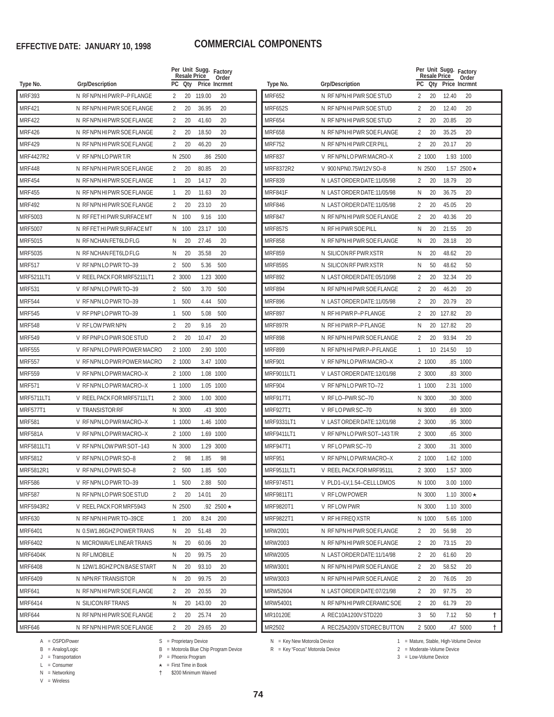| Type No.        | <b>Grp/Description</b>      | Per Unit Sugg. Factory<br><b>Resale Price</b><br>PC Qty Price Incrmnt |           | Order            | Type No.       | <b>Grp/Description</b>      | Per Unit Sugg. Factory<br>Resale Price<br>Order<br>PC Qty Price Incrmnt |
|-----------------|-----------------------------|-----------------------------------------------------------------------|-----------|------------------|----------------|-----------------------------|-------------------------------------------------------------------------|
| <b>MRF393</b>   | N RF NPN HIPWR P-P FLANGE   | 20<br>2                                                               | 119.00    | 20               | MRF652         | N RF NPN HIPWR SOE STUD     | 20<br>12.40<br>20<br>2                                                  |
| <b>MRF421</b>   | N RF NPN HIPWR SOE FLANGE   | 20<br>2                                                               | 36.95     | 20               | <b>MRF652S</b> | N RF NPN HIPWR SOE STUD     | 20<br>20<br>12.40<br>2                                                  |
| <b>MRF422</b>   | N RENPNHIPWR SOE FLANGE     | 20<br>2                                                               | 41.60     | 20               | <b>MRF654</b>  | N RF NPN HIPWR SOE STUD     | 20.85<br>20<br>2<br>20                                                  |
| <b>MRF426</b>   | N RF NPN HIPWR SOE FLANGE   | 20<br>2                                                               | 18.50     | 20               | <b>MRF658</b>  | N RF NPN HI PWR SOE FLANGE  | 20<br>35.25<br>20<br>2                                                  |
| <b>MRF429</b>   | N RF NPN HIPWR SOE FLANGE   | 20<br>2                                                               | 46.20     | 20               | <b>MRF752</b>  | N RF NPN HIPWR CER PILL     | 20<br>20<br>20.17<br>2                                                  |
| MRF4427R2       | V RF NPN LO PWR T/R         | N 2500                                                                |           | .86 2500         | <b>MRF837</b>  | V RF NPN LO PWR MACRO-X     | 1.93 1000<br>2 1000                                                     |
| <b>MRF448</b>   | N RENPNHIPWR SOE FLANGE     | 2<br>20                                                               | 80.85     | 20               | MRF8372R2      | V 900 NPN0.75W12V SO-8      | N 2500<br>1.57 2500 $\star$                                             |
| <b>MRF454</b>   | N RF NPN HIPWR SOE FLANGE   | 20<br>1                                                               | 14.17     | 20               | <b>MRF839</b>  | N LAST ORDER DATE:11/05/98  | 18.79<br>20<br>20<br>2                                                  |
| <b>MRF455</b>   | N RF NPN HIPWR SOE FLANGE   | 20<br>1                                                               | 11.63     | 20               | MRF841F        | N LAST ORDER DATE:11/05/98  | 20<br>36.75<br>20<br>N                                                  |
| <b>MRF492</b>   | N RF NPN HIPWR SOE FLANGE   | 20<br>2                                                               | 23.10     | 20               | <b>MRF846</b>  | N LAST ORDER DATE:11/05/98  | 20<br>45.05<br>20<br>2                                                  |
| MRF5003         | N RF FET HI PWR SURFACE MT  | 100<br>N.                                                             | 9.16      | 100              | <b>MRF847</b>  | N RF NPN HI PWR SOE FLANGE  | 20<br>40.36<br>20<br>2                                                  |
| MRF5007         | N RF FET HI PWR SURFACE MT  | 100<br>N.                                                             | 23.17     | 100              | <b>MRF857S</b> | N RF HIPWR SOE PILL         | 21.55<br>20<br>Ν<br>20                                                  |
| MRF5015         | N RF NCHAN FET6LD FLG       | 20<br>N                                                               | 27.46     | 20               | <b>MRF858</b>  | N RF NPN HI PWR SOE FLANGE  | 20<br>28.18<br>20<br>N                                                  |
| MRF5035         | N RF NCHAN FET6LD FLG       | N<br>20                                                               | 35.58     | 20               | <b>MRF859</b>  | N SILICON RF PWR XSTR       | 48.62<br>20<br>N<br>20                                                  |
| <b>MRF517</b>   | V RF NPN LO PWR TO-39       | 500<br>2                                                              | 5.36      | 500              | <b>MRF859S</b> | N SILICON RF PWR XSTR       | 50<br>N<br>50<br>48.62                                                  |
| MRF5211LT1      | V REEL PACK FOR MRF5211LT1  | 2 3000                                                                | 1.23 3000 |                  | <b>MRF892</b>  | N LAST ORDER DATE:05/10/98  | 32.34<br>20<br>2<br>20                                                  |
| <b>MRF531</b>   | V RF NPN LO PWR TO-39       | 2 500                                                                 | 3.70      | 500              | <b>MRF894</b>  | N RF NPN HI PWR SOE FLANGE  | 20<br>46.20<br>20<br>2                                                  |
| <b>MRF544</b>   | V RF NPN LO PWR TO-39       | 500<br>1                                                              | 4.44      | 500              | <b>MRF896</b>  | N LAST ORDER DATE:11/05/98  | 20<br>20.79<br>20<br>2                                                  |
| <b>MRF545</b>   | V RF PNP LO PWR TO-39       | 500<br>1                                                              | 5.08      | 500              | <b>MRF897</b>  | N RF HIPWR P-P FLANGE       | 20 127.82<br>20<br>2                                                    |
| <b>MRF548</b>   | V RF LOW PWR NPN            | 20<br>2                                                               | 9.16      | 20               | MRF897R        | N RF HIPWR P-P FLANGE       | 20 127.82<br>20<br>N                                                    |
| MRF549          | V RF PNP LO PWR SOE STUD    | 20<br>2                                                               | 10.47     | 20               | <b>MRF898</b>  | N RF NPN HI PWR SOE FLANGE  | 20<br>93.94<br>20<br>2                                                  |
| <b>MRF555</b>   | V RF NPN LO PWR POWER MACRO | 2 1000                                                                | 2.90 1000 |                  | <b>MRF899</b>  | N RF NPN HI PWR P-P FLANGE  | 10 214.50<br>10<br>1                                                    |
| <b>MRF557</b>   | V RF NPN LO PWR POWER MACRO | 2 1000                                                                | 3.47 1000 |                  | <b>MRF901</b>  | V RF NPN LO PWR MACRO-X     | .85 1000<br>2 1000                                                      |
| <b>MRF559</b>   | V RF NPN LO PWR MACRO-X     | 2 1000                                                                | 1.08 1000 |                  | MRF9011LT1     | V LAST ORDER DATE:12/01/98  | 2 3000<br>.83 3000                                                      |
| <b>MRF571</b>   | V RF NPN LO PWR MACRO-X     | 1 1000                                                                | 1.05 1000 |                  | <b>MRF904</b>  | V RF NPN LO PWR TO-72       | 1 1000<br>2.31 1000                                                     |
| MRF5711LT1      | V REEL PACK FOR MRF5711LT1  | 2 3000                                                                | 1.00 3000 |                  | MRF917T1       | V RFLO-PWRSC-70             | N 3000<br>.30 3000                                                      |
| MRF577T1        | V TRANSISTOR RF             | N 3000                                                                |           | .43 3000         | MRF927T1       | V RFLOPWRSC-70              | N 3000<br>.69 3000                                                      |
| <b>MRF581</b>   | V RF NPN LO PWR MACRO-X     | 1 1000                                                                | 1.46 1000 |                  | MRF9331LT1     | V LAST ORDER DATE:12/01/98  | 2 3000<br>.95 3000                                                      |
| MRF581A         | V RF NPN LO PWR MACRO-X     | 2 1000                                                                | 1.69 1000 |                  | MRF9411LT1     | V RF NPN LO PWR SOT-143 T/R | .65 3000<br>2 3000                                                      |
| MRF5811LT1      | V RF NPN LOW PWR SOT-143    | N 3000                                                                | 1.29 3000 |                  | MRF947T1       | V RFLOPWRSC-70              | 2 3000<br>.31 3000                                                      |
| MRF5812         | V RF NPN LOPWR SO-8         | 98<br>2                                                               | 1.85      | 98               | <b>MRF951</b>  | V RF NPN LO PWR MACRO-X     | 2 1000<br>1.62 1000                                                     |
| MRF5812R1       | V RF NPN LOPWR SO-8         | 500<br>2                                                              | 1.85      | 500              | MRF9511LT1     | V REEL PACK FOR MRF9511L    | 2 3000<br>1.57 3000                                                     |
| <b>MRF586</b>   | V RF NPN LO PWR TO-39       | 500<br>1                                                              | 2.88      | 500              | MRF9745T1      | V PLD1-LV,1.54-CELLLDMOS    | N 1000<br>3.00 1000                                                     |
| <b>MRF587</b>   | N RF NPN LO PWR SOE STUD    | $2 \quad 20$                                                          | 14.01     | 20               | MRF9811T1      | V RFLOWPOWER                | N 3000<br>1.10 3000 $\star$                                             |
| MRF5943R2       | V REEL PACK FOR MRF5943     | N 2500                                                                |           | .92 2500 $\star$ | MRF9820T1      | V RF LOW PWR                | N 3000<br>1.10 3000                                                     |
| MRF630          | N RF NPN HI PWR TO-39CE     | 200<br>$\mathbf{1}$                                                   | 8.24      | 200              | MRF9822T1      | V RF HIFREQ XSTR            | N 1000<br>5.65 1000                                                     |
| MRF6401         | N 0.5W1.86GHZ POWER TRANS   | 20<br>N                                                               | 51.48     | 20               | MRW2001        | N RF NPN HI PWR SOE FLANGE  | $\overline{2}$<br>20<br>56.98<br>20                                     |
| MRF6402         | N MICROWAVE LINEAR TRANS    | 20<br>N                                                               | 60.06     | 20               | MRW2003        | N RF NPN HI PWR SOE FLANGE  | 20<br>20<br>73.15<br>$\mathbf{2}$                                       |
| <b>MRF6404K</b> | N RFL/MOBILE                | 20<br>N                                                               | 99.75     | 20               | MRW2005        | N LAST ORDER DATE:11/14/98  | 20<br>61.60<br>20<br>2                                                  |
| <b>MRF6408</b>  | N 12W/1.8GHZ PCN BASE START | 20<br>N                                                               | 93.10     | 20               | MRW3001        | N RF NPN HI PWR SOE FLANGE  | 20<br>58.52<br>20<br>$\mathbf{2}$                                       |
| MRF6409         | N NPNRFTRANSISTOR           | N<br>20                                                               | 99.75     | 20               | MRW3003        | N RF NPN HI PWR SOE FLANGE  | 20<br>76.05<br>20<br>$\overline{2}$                                     |
| <b>MRF641</b>   | N RF NPN HIPWR SOE FLANGE   | 2<br>20                                                               | 20.55     | 20               | MRW52604       | N LAST ORDER DATE:07/21/98  | 20<br>97.75<br>20<br>2                                                  |
| MRF6414         | N SILICON RF TRANS          | Ν                                                                     | 20 143.00 | 20               | MRW54001       | N RF NPN HI PWR CERAMIC SOE | 20<br>$\overline{2}$<br>20<br>61.79                                     |
| <b>MRF644</b>   | N RF NPN HIPWR SOE FLANGE   | 2<br>20                                                               | 25.74     | 20               | MR10120E       | A REC10A1200VSTD220         | 3<br>50<br>7.12<br>50                                                   |
| MRF646          | N RF NPN HIPWR SOE FLANGE   | 2<br>20                                                               | 29.65     | 20               | MR2502         | A REC25A200V STDREC BUTTON  | 2 5000<br>.47 5000                                                      |

- 
- 

N = Networking extensive that the state of the state of the state of the state of the state of the state of the state of the state of the state of the state of the state of the state of the state of the state of the state  $L = \text{Consumer}$ <br>  $N = \text{Networking}$ <br>  $V = \text{Wireless}$ 

B = Analog/Logic entropy of the Motorola Blue Chip Program Device R = Key "Focus" Motorola Device 2 = Moderate-Volume Device

- 
- 

A = OSPD/Power external states and S = Proprietary Device N = Key New Motorola Device 1 = Mature, Stable, High-Volume Device

- $L =$  Consumer  $\star =$  First Time in Book
	-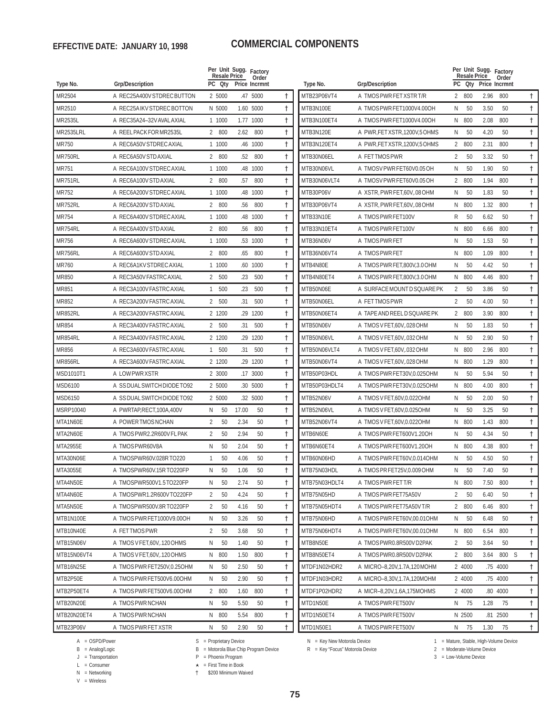|                  |                             | Per Unit Sugg. Factory<br><b>Resale Price</b>     |               |                                | Per Unit Sugg. Factory<br><b>Resale Price</b>        |
|------------------|-----------------------------|---------------------------------------------------|---------------|--------------------------------|------------------------------------------------------|
| Type No.         | <b>Grp/Description</b>      | Order<br>PC Qty<br>Price Incrmnt                  | Type No.      | <b>Grp/Description</b>         | Order<br>Price Incrmnt<br>PC Qty                     |
| MR2504           | A REC25A400V STDREC BUTTON  | $^{\dagger}$<br>2 5000<br>.47 5000                | MTB23P06VT4   | A TMOS PWR FET XSTR T/R        | $\dagger$<br>800<br>2.96<br>800<br>2                 |
| MR2510           | A REC25AIKV STDREC BOTTON   | $\ddagger$<br>N 5000<br>1.60 5000                 | MTB3N100E     | A TMOS PWR FET1000V4.00OH      | 50<br>3.50<br>50<br>$^+$<br>N                        |
| MR2535L          | A REC35A24-32V AVAL AXIAL   | $^\dagger$<br>1 1000<br>1.77 1000                 | MTB3N100ET4   | A TMOS PWR FET1000V4.00OH      | 2.08<br>800<br>$\dagger$<br>800<br>N                 |
| <b>MR2535LRL</b> | A REEL PACK FOR MR2535L     | 2 800<br>800<br>$^{\dagger}$<br>2.62              | MTB3N120E     | A PWR, FET XSTR, 1200V, 5 OHMS | 50<br>$\ddagger$<br>50<br>4.20<br>N                  |
| MR750            | A REC6A50V STDREC AXIAL     | .46 1000<br>$\ddagger$<br>1 1000                  | MTB3N120ET4   | A PWR,FETXSTR,1200V,5OHMS      | 2 800<br>800<br>$\dagger$<br>2.31                    |
| MR750RL          | A REC6A50V STD AXIAL        | $^+$<br>2 800<br>.52<br>800                       | MTB30N06EL    | A FETTMOS PWR                  | $^{\dagger}$<br>2<br>50<br>3.32<br>50                |
| MR751            | A REC6A100V STDREC AXIAL    | $^{\dagger}$<br>1 1000<br>.48 1000                | MTB30N06VL    | A TMOSV PWR FET60V0.05 OH      | 50<br>50<br>N<br>1.90<br>$^\dagger$                  |
| MR751RL          | A REC6A100V STD AXIAL       | $^+$<br>2 800<br>.57<br>800                       | MTB30N06VLT4  | A TMOSV PWR FET60V0.05 OH      | $^{\dagger}$<br>$\overline{2}$<br>800<br>1.94<br>800 |
| MR752            | A REC6A200V STDREC AXIAL    | .48 1000<br>$^\dagger$<br>1 1000                  | MTB30P06V     | A XSTR, PWR FET, 60V, 08 OHM   | 50<br>50<br>$\dagger$<br>N<br>1.83                   |
| MR752RL          | A REC6A200V STD AXIAL       | $\ddagger$<br>2 800<br>800<br>.56                 | MTB30P06VT4   | A XSTR, PWR FET, 60V, 08 OHM   | $\ddagger$<br>800<br>1.32<br>800<br>N                |
| MR754            | A REC6A400V STDREC AXIAL    | $\ddagger$<br>1000<br>1 1000<br>.48               | MTB33N10E     | A TMOSPWRFET100V               | $\dagger$<br>50<br>50<br>6.62<br>R                   |
| MR754RL          | A REC6A400V STD AXIAL       | 2 800<br>$^{\dagger}$<br>800<br>.56               | MTB33N10ET4   | A TMOS PWR FET100V             | 800<br>800<br>$\dagger$<br>N<br>6.66                 |
| MR756            | A REC6A600V STDREC AXIAL    | .53 1000<br>$^{\dagger}$<br>1 1000                | MTB36N06V     | A TMOSPWRFET                   | 50<br>$\ddagger$<br>50<br>1.53<br>N                  |
| MR756RL          | A REC6A600V STD AXIAL       | 2 800<br>800<br>$^{\dagger}$<br>.65               | MTB36N06VT4   | A TMOSPWRFET                   | 1.09<br>800<br>$\dagger$<br>N<br>800                 |
| MR760            | A REC6A1KVSTDRECAXIAL       | $^+$<br>1 1000<br>.60 1000                        | MTB4N80E      | A TMOS PWR FET,800V,3.0 OHM    | $^{\dagger}$<br>N<br>50<br>4.42<br>50                |
| MR850            | A REC3A50VFASTRCAXIAL       | $^{\dagger}$<br>2 500<br>.23<br>500               | MTB4N80ET4    | A TMOS PWR FET,800V,3.0 OHM    | 800<br>800<br>4.46<br>$^\dagger$<br>N                |
| MR851            | A REC3A100V FASTRC AXIAL    | $^{\dagger}$<br>500<br>.23<br>500<br>$\mathbf{1}$ | MTB50N06E     | A SURFACE MOUNT D SQUARE PK    | $^{\dagger}$<br>2<br>50<br>3.86<br>50                |
| MR852            | A REC3A200V FASTRC AXIAL    | 500<br>$^\dagger$<br>2 500<br>.31                 | MTB50N06EL    | A FETTMOS PWR                  | $\overline{2}$<br>50<br>50<br>4.00<br>$^\dagger$     |
| <b>MR852RL</b>   | A REC3A200V FASTRC AXIAL    | $\ddagger$<br>2 1200<br>.29<br>1200               | MTB50N06ET4   | A TAPE AND REEL D SQUARE PK    | $^{\dagger}$<br>800<br>3.90<br>800<br>$\mathbf{2}$   |
| MR854            | A REC3A400V FASTRC AXIAL    | $^{\dagger}$<br>2 500<br>.31<br>500               | MTB50N06V     | A TMOS V FET,60V, 028 OHM      | 50<br>$\ddagger$<br>50<br>1.83<br>N                  |
| MR854RL          | A REC3A400V FASTRC AXIAL    | .29 1200<br>$^{\dagger}$<br>2 1200                | MTB50N06VL    | A TMOS V FET,60V, 032 OHM      | 50<br>2.90<br>50<br>$\dagger$<br>N                   |
| MR856            | A REC3A600V FASTRC AXIAL    | 500<br>$^{\dagger}$<br>1 500<br>.31               | MTB50N06VLT4  | A TMOS V FET,60V, 032 OHM      | N 800<br>800<br>$\ddagger$<br>2.96                   |
| MR856RL          | A REC3A600V FASTRC AXIAL    | .29 1200<br>$^{\dagger}$<br>2 1200                | MTB50N06VT4   | A TMOS V FET,60V, 028 OHM      | 800<br>$\dagger$<br>N 800<br>1.29                    |
| MSD1010T1        | A LOW PWR XSTR              | $^+$<br>2 3000<br>.17 3000                        | MTB50P03HDL   | A TMOS PWR FET30V,0.025OHM     | $^{\dagger}$<br>N<br>50<br>5.94<br>50                |
| MSD6100          | A SS DUAL SWITCH DIODE TO92 | $^{\dagger}$<br>2 5000<br>.30 5000                | MTB50P03HDLT4 | A TMOS PWR FET30V,0.025OHM     | 800<br>N 800<br>4.00<br>$^\dagger$                   |
| <b>MSD6150</b>   | A SS DUAL SWITCH DIODE TO92 | $^{\dagger}$<br>2 5000<br>.32 5000                | MTB52N06V     | A TMOS V FET,60V,0.022OHM      | $^{\dagger}$<br>50<br>2.00<br>50<br>N                |
| MSRP10040        | A PWRTAP, RECT, 100A, 400V  | $\ddagger$<br>50<br>17.00<br>50<br>N              | MTB52N06VL    | A TMOS V FET,60V,0.025OHM      | 50<br>3.25<br>50<br>$\ddagger$<br>N                  |
| MTA1N60E         | A POWER TMOS NCHAN          | $\ddagger$<br>2<br>50<br>2.34<br>50               | MTB52N06VT4   | A TMOS V FET,60V,0.022OHM      | $^{\dagger}$<br>800<br>1.43<br>800<br>N              |
| MTA2N60E         | A TMOS PWR2.2R600V FL PAK   | 2.94<br>50<br>$\ddagger$<br>2<br>50               | MTB6N60E      | A TMOS PWR FET600V1.20OH       | 50<br>$\dagger$<br>50<br>4.34<br>N                   |
| MTA2955E         | A TMOSPWR60V8A              | 50<br>$^{\dagger}$<br>N<br>2.04<br>50             | MTB6N60ET4    | A TMOS PWR FET600V1.20OH       | $^\dagger$<br>800<br>800<br>4.38<br>N                |
| MTA30N06E        | A TMOSPWR60V.028RTO220      | 50<br>4.06<br>50<br>$^+$<br>1                     | MTB60N06HD    | A TMOS PWR FET60V, 0.014 OHM   | $^{\dagger}$<br>50<br>4.50<br>50<br>N                |
| MTA3055E         | A TMOSPWR60V.15RTO220FP     | $^\dagger$<br>50<br>50<br>1.06<br>N               | MTB75N03HDL   | A TMOS PR FET25V.0.009 OHM     | $^+$<br>50<br>7.40<br>50<br>N                        |
| MTA4N50E         | A TMOSPWR500V1.5TO220FP     | $^+$<br>50<br>50<br>2.74<br>N                     | MTB75N03HDLT4 | A TMOS PWR FET T/R             | N 800<br>800<br>$^+$<br>7.50                         |
| MTA4N60E         | A TMOSPWR1.2R600VTO220FP    | 50<br>$\ddagger$<br>50<br>4.24<br>2               | MTB75N05HD    | A TMOS PWR FET75A50V           | $\overline{2}$<br>50<br>6.40<br>50<br>Ť              |
| MTA5N50E         | A TMOSPWR500V.8RTO220FP     | t.<br>2<br>50<br>4.16<br>50                       | MTB75N05HDT4  | A TMOS PWR FET75A50V T/R       | 2 800<br>6.46<br>800<br>Ť.                           |
| MTB1N100E        | A TMOS PWR FET1000V9.00OH   | 50<br>$\dagger$<br>50<br>3.26<br>Ν                | MTB75N06HD    | A TMOS PWR FET60V,00.01OHM     | 50<br>6.48<br>50<br>$^\dagger$<br>N                  |
| MTB10N40E        | A FETTMOSPWR                | $^{\dagger}$<br>2<br>50<br>3.68<br>50             | MTB75N06HDT4  | A TMOS PWR FET60V,00.01 OHM    | $^{\dagger}$<br>800<br>6.54<br>800<br>N              |
| MTB15N06V        | A TMOS V FET.60V120 OHMS    | $\ddagger$<br>50<br>50<br>1.40<br>Ν               | MTB8N50E      | A TMOS PWR0.8R500V D2PAK       | 50<br>$\ddagger$<br>$\overline{2}$<br>50<br>3.64     |
| MTB15N06VT4      | A TMOS V FET.60V120 OHMS    | $\dagger$<br>800<br>800<br>1.50<br>N              | MTB8N50ET4    | A TMOS PWR0.8R500V D2PAK       | 800 S<br>$^\dagger$<br>2 800<br>3.64                 |
| MTB16N25E        | A TMOS PWR FET250V,0.25OHM  | $^+$<br>50<br>2.50<br>50<br>N                     | MTDF1N02HDR2  | A MICRO-8,20V,1.7A,120MOHM     | Ť<br>2 4000<br>.75 4000                              |
| MTB2P50E         | A TMOS PWR FET500V6.00OHM   | $^{\dagger}$<br>50<br>2.90<br>50<br>N             | MTDF1N03HDR2  | A MICRO-8,30V,1.7A,120MOHM     | 2 4000<br>.75 4000<br>$^{\dagger}$                   |
| MTB2P50ET4       | A TMOS PWR FET500V6.00OHM   | $^{\dagger}$<br>800<br>800<br>2<br>1.60           | MTDF1P02HDR2  | A MICR-8,20V,1.6A,175MOHMS     | .80 4000<br>Ť.<br>2 4000                             |
| MTB20N20E        | A TMOS PWR NCHAN            | $\ddagger$<br>50<br>5.50<br>50<br>N               | MTD1N50E      | A TMOS PWR FET500V             | - 75<br>1.28<br>75<br>Ť<br>N                         |
| MTB20N20ET4      | A TMOS PWR NCHAN            | $^\dagger$<br>800<br>5.54<br>800<br>N             | MTD1N50ET4    | A TMOS PWR FET500V             | N 2500<br>.81 2500<br>$^{\dagger}$                   |
| MTB23P06V        | A TMOS PWR FET XSTR         | 50<br>$^+$<br>50<br>2.90<br>N                     | MTD1N50E1     | A TMOS PWR FET500V             | N 75<br>1.30<br>75<br>$\dagger$                      |

- 
- J = Transportation P = Phoenix Program 3 = Low-Volume Device
- 
- $L = \text{Consumer}$ <br>  $N = \text{Networking}$ <br>  $V = \text{Wireless}$

- $L =$  Consumer  $\star =$  First Time in Book
- N = Networking and the state of the state of the state of the state of the state of the state of the state of the state of the state of the state of the state of the state of the state of the state of the state of the st

B = Analog/Logic entropyrology by B = Motorola Blue Chip Program Device R = Key "Focus" Motorola Device 2 = Moderate-Volume Device

A = OSPD/Power external states and S = Proprietary Device N = Key New Motorola Device 1 = Mature, Stable, High-Volume Device

- 
-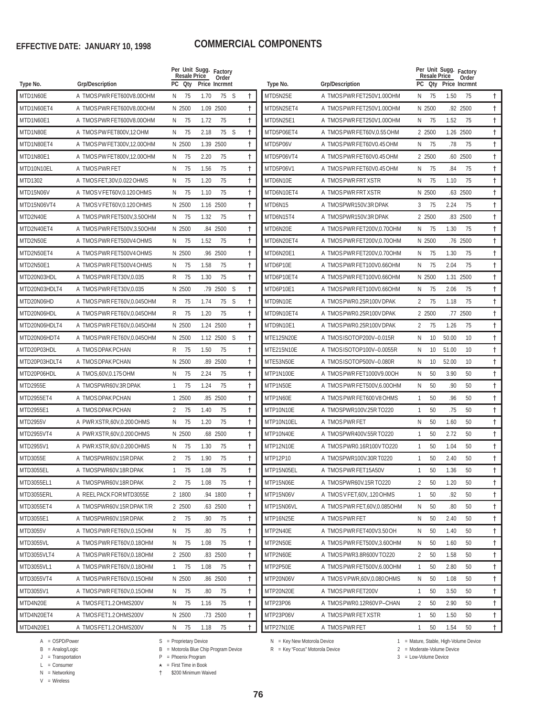|               |                             | Per Unit Sugg. Factory<br><b>Resale Price</b> | Order                        |                   |                               | Per Unit Sugg. Factory<br><b>Resale Price</b><br>Order |
|---------------|-----------------------------|-----------------------------------------------|------------------------------|-------------------|-------------------------------|--------------------------------------------------------|
| Type No.      | <b>Grp/Description</b>      | PC Qtv                                        | Price Incrmnt                | Type No.          | <b>Grp/Description</b>        | PC Qtv<br>Price Incrmnt                                |
| MTD1N60E      | A TMOS PWR FET600V8.00OHM   | 75<br>N                                       | 75 S<br>$^{\dagger}$<br>1.70 | MTD5N25E          | A TMOS PWR FET250V1.00OHM     | $\ddagger$<br>75<br>1.50<br>75<br>N                    |
| MTD1N60ET4    | A TMOS PWR FET600V8.00OHM   | N 2500                                        | 2500<br>$^{\dagger}$<br>1.09 | MTD5N25ET4        | A TMOS PWR FET250V1.00OHM     | $\ddagger$<br>.92 2500<br>N 2500                       |
| MTD1N60E1     | A TMOS PWR FET600V8.00OHM   | 75<br>N                                       | $\ddagger$<br>75<br>1.72     | MTD5N25E1         | A TMOS PWR FET250V1.00OHM     | $^\dagger$<br>75<br>- 75<br>1.52<br>N                  |
| MTD1N80E      | A TMOS PW FET800V,12 OHM    | 75<br>N                                       | 75 S<br>t<br>2.18            | MTD5P06ET4        | A TMOS PWR FET60V,0.55 OHM    | $\dagger$<br>2 2500<br>1.26 2500                       |
| MTD1N80ET4    | A TMOS PW FET300V,12.000HM  | N 2500                                        | 1.39 2500<br>$^+$            | MTD5P06V          | A TMOS PWR FET60V0.45 OHM     | $\ddagger$<br>75<br>.78<br>75<br>N                     |
| MTD1N80E1     | A TMOS PW FET800V,12.000HM  | 75<br>N                                       | 2.20<br>75<br>$^+$           | MTD5P06VT4        | A TMOS PWR FET60V0.45 OHM     | $\ddagger$<br>2 2500<br>.60 2500                       |
| MTD10N10EL    | A TMOS PWR FET              | 75<br>N                                       | 75<br>$^{\dagger}$<br>1.56   | MTD5P06V1         | A TMOS PWR FET60V0.45 OHM     | $\ddagger$<br>75<br>.84<br>75<br>N                     |
| MTD1302       | A TMOS FET.30V.0.022 OHMS   | 75<br>N                                       | $^{\dagger}$<br>1.20<br>75   | MTD6N10E          | A TMOS PWR FRT XSTR           | $\dagger$<br>75<br>1.10<br>75<br>N                     |
| MTD15N06V     | A TMOS V FET60V, 0.120 OHMS | 75<br>N                                       | 75<br>$\ddagger$<br>1.10     | MTD6N10ET4        | A TMOS PWR FRT XSTR           | $\ddagger$<br>N 2500<br>.63 2500                       |
| MTD15N06VT4   | A TMOS V FET60V, 0.120 OHMS | N 2500                                        | $^{\dagger}$<br>1.16 2500    | MTD6N15           | A TMOSPWR150V.3RDPAK          | $\ddagger$<br>75<br>2.24<br>75<br>3                    |
| MTD2N40E      | A TMOS PWR FET500V,3.50OHM  | N<br>75                                       | $^{\dagger}$<br>75<br>1.32   | MTD6N15T4         | A TMOSPWR150V.3RDPAK          | $\dagger$<br>.83 2500<br>2 2500                        |
| MTD2N40ET4    | A TMOS PWR FET500V, 3.500HM | N 2500                                        | .84 2500<br>$\ddagger$       | MTD6N20E          | A TMOS PWR FET200V,0.70OHM    | $\dagger$<br>75<br>- 75<br>1.30<br>N                   |
| MTD2N50E      | A TMOS PWR FET500V4 OHMS    | 75<br>N                                       | 1.52<br>75<br>$^{\dagger}$   | MTD6N20ET4        | A TMOS PWR FET200V,0.70OHM    | $\dagger$<br>.76 2500<br>N 2500                        |
| MTD2N50ET4    | A TMOS PWR FET500V4 OHMS    | N 2500                                        | .96 2500<br>$^+$             | MTD6N20E1         | A TMOS PWR FET200V,0.70OHM    | $\dagger$<br>75<br>1.30<br>75<br>N                     |
| MTD2N50E1     | A TMOS PWR FET500V4 OHMS    | 75<br>N                                       | $^+$<br>1.58<br>75           | MTD6P10E          | A TMOS PWR FET100V0.66OHM     | 75<br>$^+$<br>75<br>2.04<br>N                          |
| MTD20N03HDL   | A TMOS PWR FET30V,0.035     | 75<br>R                                       | 75<br>$^{\dagger}$<br>1.30   | MTD6P10ET4        | A TMOS PWR FET100V0.66OHM     | $\dagger$<br>N 2500<br>1.31 2500                       |
| MTD20N03HDLT4 | A TMOS PWR FET30V.0.035     | N 2500                                        | $^{\dagger}$<br>.79 2500 S   | MTD6P10E1         | A TMOS PWR FET100V0.66OHM     | $\dagger$<br>75<br>2.06<br>75<br>N                     |
| MTD20N06HD    | A TMOS PWR FET60V,0.045OHM  | 75<br>R.                                      | 75 S<br>1.74<br>$^+$         | MTD9N10E          | A TMOS PWR0.25R100V DPAK      | $\dagger$<br>75<br>75<br>1.18<br>2                     |
| MTD20N06HDL   | A TMOS PWR FET60V,0.045OHM  | 75<br>R                                       | 75<br>$\ddagger$<br>1.20     | MTD9N10ET4        | A TMOS PWR0.25R100V DPAK      | $\ddagger$<br>.77 2500<br>2 2500                       |
| MTD20N06HDLT4 | A TMOS PWR FET60V,0.045OHM  | N 2500                                        | 1.24 2500<br>$\ddagger$      | MTD9N10E1         | A TMOS PWR0.25R100V DPAK      | $\dagger$<br>75<br>1.26<br>75<br>2                     |
| MTD20N06HDT4  | A TMOS PWR FET60V,0.045OHM  | N 2500                                        | $\ddagger$<br>1.12 2500 S    | <b>MTE125N20E</b> | A TMOSISOTOP200V-0.015R       | $^\dagger$<br>10<br>50.00<br>10<br>N                   |
| MTD20P03HDL   | A TMOS DPAK PCHAN           | 75<br>R.                                      | 75<br>$^+$<br>1.50           | <b>MTE215N10E</b> | A TMOSISOTOP100V-0.0055R      | $\dagger$<br>51.00<br>10<br>10<br>N                    |
| MTD20P03HDLT4 | A TMOS DPAK PCHAN           | N 2500                                        | .89 2500<br>$^+$             | MTE53N50E         | A TMOSISOTOP500V-0.080R       | $\dagger$<br>10<br>52.00<br>10<br>N                    |
| MTD20P06HDL   | A TMOS,60V,0.175 OHM        | N<br>75                                       | 2.24<br>75<br>$^+$           | MTP1N100E         | A TMOS PWR FET1000V9.00OH     | $\ddagger$<br>50<br>3.90<br>50<br>N                    |
| MTD2955E      | A TMOSPWR60V.3RDPAK         | 75<br>1                                       | 75<br>$^{\dagger}$<br>1.24   | MTP1N50E          | A TMOS PWR FET500V,6.00OHM    | $^\dagger$<br>50<br>50<br>.90<br>N                     |
| MTD2955ET4    | A TMOS DPAK PCHAN           | 1 2500                                        | .85 2500<br>$^{\dagger}$     | MTP1N60E          | A TMOS PWR FET600 V8 OHMS     | $\ddagger$<br>50<br>.96<br>50<br>1                     |
| MTD2955E1     | A TMOS DPAK PCHAN           | 75<br>2                                       | 1.40<br>75<br>$\ddagger$     | MTP10N10E         | A TMOSPWR100V.25RT0220        | $\dagger$<br>50<br>.75<br>50<br>1                      |
| MTD2955V      | A PWRXSTR,60V,0.200 OHMS    | 75<br>N                                       | 75<br>$\ddagger$<br>1.20     | MTP10N10EL        | A TMOS PWR FET                | $\ddagger$<br>50<br>1.60<br>50<br>N                    |
| MTD2955VT4    | A PWRXSTR,60V,0.200 OHMS    | N 2500                                        | 2500<br>$^{\dagger}$<br>.68  | MTP10N40E         | A TMOSPWR400V.55RTO220        | $\dagger$<br>50<br>50<br>2.72<br>1                     |
| MTD2955V1     | A PWRXSTR,60V,0.200 OHMS    | 75<br>N                                       | 75<br>$\ddagger$<br>1.30     | MTP12N10E         | A TMOS PWR0.16R100VTO220      | $\dagger$<br>50<br>1.04<br>50<br>1                     |
| MTD3055E      | A TMOSPWR60V.15RDPAK        | 75<br>$\overline{2}$                          | 1.90<br>75<br>$^\dagger$     | MTP12P10          | A TMOSPWR100V.30RT0220        | $^{\dagger}$<br>50<br>2.40<br>50<br>1                  |
| MTD3055EL     | A TMOSPWR60V.18RDPAK        | $\mathbf{1}$<br>75                            | $^\dagger$<br>1.08<br>75     | MTP15N05EL        | A TMOS PWR FET15A50V          | $^\dagger$<br>50<br>1.36<br>50<br>1                    |
| MTD3055EL1    | A TMOSPWR60V.18RDPAK        | 2 75                                          | 75<br>$^+$<br>1.08           | MTP15N06E         | A TMOSPWR60V.15RTO220         | $\ddagger$<br>50<br>50<br>2<br>1.20                    |
| MTD3055ERL    | A REELPACK FOR MTD3055E     | 2 1800                                        | $\dagger$<br>.94 1800        | MTP15N06V         | A TMOS V FET,60V, 120 OHMS    | $\dagger$<br>50<br>50<br>.92<br>1                      |
| MTD3055ET4    | A TMOSPWR60V.15R DPAK T/R   | 2 2500                                        | t.<br>.63 2500               | MTP15N06VL        | A TMOS PWR FET,60V,0.085OHM   | $\dagger$<br>50<br>.80<br>50<br>N                      |
| MTD3055E1     | A TMOSPWR60V.15RDPAK        | $\mathbf{2}$<br>75                            | 75<br>$\dagger$<br>.90       | MTP16N25E         | A TMOSPWRFET                  | $\dagger$<br>50<br>2.40<br>50<br>N                     |
| MTD3055V      | A TMOS PWR FET60V,0.15OHM   | 75<br>N                                       | 75<br>$\ddagger$<br>.80      | MTP2N40E          | A TMOS PWR FET400V3.50 OH     | $\ddagger$<br>50<br>1.40<br>50<br>N                    |
| MTD3055VL     | A TMOS PWR FET60V,0.18OHM   | 75<br>N                                       | $\dagger$<br>75<br>1.08      | MTP2N50E          | A TMOS PWR FET500V,3.60OHM    | $\dagger$<br>50<br>1.60<br>50<br>N                     |
| MTD3055VLT4   | A TMOS PWR FET60V.0.18OHM   | 2 2500                                        | $\dagger$<br>.83 2500        | MTP2N60E          | A TMOS PWR3.8R600V TO220      | $\ddagger$<br>50<br>2<br>50<br>1.58                    |
| MTD3055VL1    | A TMOS PWR FET60V,0.18OHM   | 75<br>$\mathbf{1}$                            | 75<br>1.08<br>Ť.             | MTP2P50E          | A TMOS PWR FET500V,6.00OHM    | $^{\dagger}$<br>50<br>2.80<br>50<br>1                  |
| MTD3055VT4    | A TMOS PWR FET60V,0.15OHM   | N 2500                                        | .86 2500<br>t                | MTP20N06V         | A TMOS V PWR, 60V, 0.080 OHMS | $\dagger$<br>50<br>1.08<br>50<br>N                     |
| MTD3055V1     | A TMOS PWR FET60V,0.15OHM   | 75<br>N                                       | .80<br>75<br>$^+$            | MTP20N20E         | A TMOS PWR FET200V            | $^+$<br>50<br>3.50<br>50<br>1                          |
| MTD4N20E      | A TMOSFET1.2 OHMS200V       | 75<br>N                                       | 75<br>$\ddagger$<br>1.16     | MTP23P06          | A TMOS PWR0.12R60V P-CHAN     | $^\dagger$<br>$\overline{2}$<br>50<br>2.90<br>50       |
| MTD4N20ET4    | A TMOSFET1.2 OHMS200V       | N 2500                                        | t.<br>.73 2500               | MTP23P06V         | A TMOS PWR FET XSTR           | $\dagger$<br>50<br>1.50<br>50<br>1                     |
| MTD4N20E1     | A TMOSFET1.2 OHMS200V       | N 75                                          | $\ddagger$<br>75<br>1.18     | MTP27N10E         | A TMOS PWR FET                | $^\dagger$<br>50<br>1<br>50<br>1.54                    |

- 
- 

 $L =$  Consumer  $\star =$  First Time in Book

 $L = \text{Consumer}$ <br>  $N = \text{Networking}$ <br>  $V = \text{Wireless}$ 

B = Analog/Logic entropy of the Motorola Blue Chip Program Device R = Key "Focus" Motorola Device 2 = Moderate-Volume Device

- 
- 
- 

- N = Networking extensive that the state of the state of the state of the state of the state of the state of the state of the state of the state of the state of the state of the state of the state of the state of the state
- **76**

A = OSPD/Power external states and S = Proprietary Device N = Key New Motorola Device 1 = Mature, Stable, High-Volume Device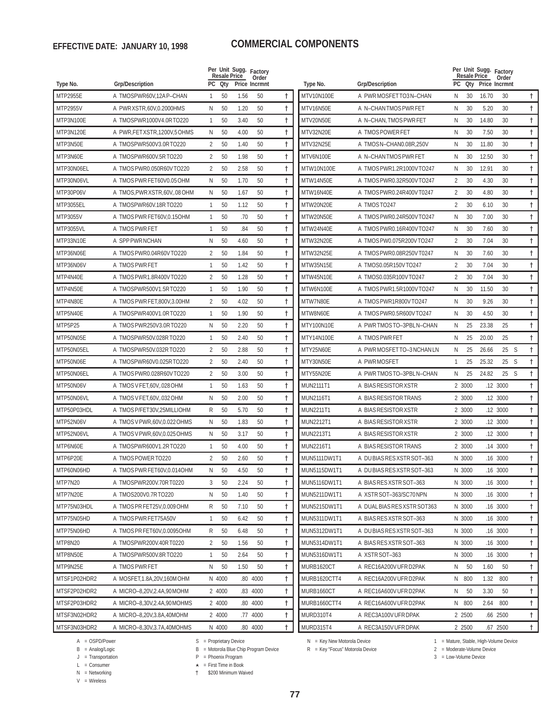|              |                                | Per Unit Sugg. Factory<br><b>Resale Price</b> | Order                     |                     |                             | Per Unit Sugg. Factory<br><b>Resale Price</b> | Order                    |
|--------------|--------------------------------|-----------------------------------------------|---------------------------|---------------------|-----------------------------|-----------------------------------------------|--------------------------|
| Type No.     | <b>Grp/Description</b>         | PC<br>Qtv                                     | Price Incrmnt             | Type No.            | <b>Grp/Description</b>      | PC Qty                                        | Price Incrmnt            |
| MTP2955E     | A TMOSPWR60V,12AP-CHAN         | 50<br>1.56<br>1                               | $\ddagger$<br>50          | MTV10N100E          | A PWRMOSFETTO3N-CHAN        | 16.70<br>30<br>N                              | 30<br>$\dagger$          |
| MTP2955V     | A PWRXSTR,60V,0.2000HMS        | 50<br>1.20<br>N                               | 50<br>$\ddagger$          | MTV16N50E           | A N-CHANTMOS PWR FET        | 30<br>Ν<br>5.20                               | 30<br>$^{\dagger}$       |
| MTP3N100E    | A TMOSPWR1000V4.0RTO220        | 50<br>3.40<br>1                               | $^{\dagger}$<br>50        | MTV20N50E           | A N-CHAN, TMOS PWR FET      | 30<br>N<br>14.80                              | 30<br>$\ddagger$         |
| MTP3N120E    | A PWR,FETXSTR,1200V,5 OHMS     | 50<br>4.00<br>N                               | $^{\dagger}$<br>50        | MTV32N20E           | A TMOS POWER FET            | 30<br>7.50<br>N                               | Ť<br>30                  |
| MTP3N50E     | A TMOSPWR500V3.0RTO220         | 50<br>2<br>1.40                               | $^\dagger$<br>50          | MTV32N25E           | A TMOSN-CHAN0.08R,250V      | 11.80<br>N<br>30                              | 30<br>$^\dagger$         |
| MTP3N60E     | A TMOSPWR600V.5RTO220          | 2<br>50<br>1.98                               | $^+$<br>50                | MTV6N100E           | A N-CHANTMOS PWR FET        | 12.50<br>Ν<br>30                              | 30<br>$^{\dagger}$       |
| MTP30N06EL   | A TMOS PWR0.050R60VTO220       | 50<br>2.58<br>2                               | 50<br>$^{\dagger}$        | MTW10N100E          | A TMOS PWR1.2R1000V TO247   | 30<br>12.91<br>Ν                              | 30<br>$\ddagger$         |
| MTP30N06VL   | A TMOS PWR FET60V0.05 OHM      | 50<br>Ν<br>1.70                               | $^{\dagger}$<br>50        | MTW14N50E           | A TMOS PWR0.32R500V TO247   | 30<br>$\overline{2}$<br>4.30                  | $\ddagger$<br>30         |
| MTP30P06V    | A TMOS, PWR XSTR, 60V, .08 OHM | 50<br>1.67<br>Ν                               | $^{\dagger}$<br>50        | MTW16N40E           | A TMOS PWR0.24R400V T0247   | 30<br>2<br>4.80                               | 30<br>$\dagger$          |
| MTP3055EL    | A TMOSPWR60V.18RTO220          | 50<br>1.12<br>1                               | $\ddagger$<br>50          | MTW20N20E           | A TMOSTO247                 | 30<br>2<br>6.10                               | 30<br>$\ddagger$         |
| MTP3055V     | A TMOS PWR FET60V,0.15OHM      | 50<br>1                                       | 50<br>$\ddagger$<br>.70   | MTW20N50E           | A TMOS PWR0.24R500V TO247   | 30<br>7.00<br>N                               | 30<br>$\ddagger$         |
| MTP3055VL    | A TMOSPWRFET                   | 50<br>1                                       | $^{\dagger}$<br>.84<br>50 | MTW24N40E           | A TMOS PWR0.16R400V TO247   | 30<br>N<br>7.60                               | 30<br>$\ddagger$         |
| MTP33N10E    | A SPP PWR NCHAN                | 50<br>4.60<br>Ν                               | $^{\dagger}$<br>50        | MTW32N20E           | A TMOS PW0.075R200V TO247   | 2<br>30<br>7.04                               | $^\dagger$<br>30         |
| MTP36N06E    | A TMOS PWR0.04R60V TO220       | 50<br>2<br>1.84                               | 50<br>$^{\dagger}$        | MTW32N25E           | A TMOS PWR0.08R250VT0247    | 30<br>7.60<br>N                               | 30<br>$\dagger$          |
| MTP36N06V    | A TMOS PWR FET                 | 50<br>1.42<br>1                               | $^{\dagger}$<br>50        | <b>MTW35N15E</b>    | A TMOS0.05R150VTO247        | 30<br>2<br>7.04                               | 30<br>$^{\dagger}$       |
| MTP4N40E     | A TMOS PWR1.8R400V TO220       | $\overline{2}$<br>50<br>1.28                  | 50<br>$^{\dagger}$        | MTW45N10E           | A TMOS0.035R100VTO247       | $\overline{2}$<br>30<br>7.04                  | 30<br>$\ddagger$         |
| MTP4N50E     | A TMOSPWR500V1.5RTO220         | 50<br>1.90<br>1                               | $\ddagger$<br>50          | MTW6N100E           | A TMOS PWR1.5R1000V TO247   | 30<br>N<br>11.50                              | $\ddagger$<br>30         |
| MTP4N80E     | A TMOS PWR FET.800V.3.00HM     | 50<br>2<br>4.02                               | $^{\dagger}$<br>50        | MTW7N80E            | A TMOS PWR1R800V TO247      | 30<br>9.26<br>N                               | 30<br>$\dagger$          |
| MTP5N40E     | A TMOSPWR400V1.0RTO220         | 1.90<br>50<br>1                               | $\ddagger$<br>50          | MTW8N60E            | A TMOS PWR0.5R600VTO247     | 30<br>4.50<br>Ν                               | 30<br>$\ddagger$         |
| MTP5P25      | A TMOS PWR250V3.0RTO220        | 50<br>2.20<br>N                               | 50<br>$\ddagger$          | MTY100N10E          | A PWR TMOS TO-3PBLN-CHAN    | 25<br>23.38<br>N                              | 25<br>$^\dagger$         |
| MTP50N05E    | A TMOSPWR50V.028RTO220         | 50<br>2.40<br>1                               | $^{\dagger}$<br>50        | MTY14N100E          | A TMOSPWRFET                | 25<br>N<br>20.00                              | $\ddagger$<br>25         |
| MTP50N05EL   | A TMOSPWR50V.032RTO220         | 2<br>50<br>2.88                               | Ť.<br>50                  | MTY25N60E           | A PWRMOSFETTO-3NCHANLN      | 25<br>26.66<br>N                              | $^+$<br>25 S             |
| MTP50N06E    | A TMOSPWR60V0.025RTO220        | 2<br>50<br>2.40                               | $\ddagger$<br>50          | MTY30N50E           | A PWRMOSFET                 | 25<br>25.32<br>1                              | 25 S<br>$^+$             |
| MTP50N06EL   | A TMOS PWR0.028R60VTO220       | 2<br>50<br>3.00                               | $^+$<br>50                | MTY55N20E           | A PWRTMOSTO-3PBLN-CHAN      | N<br>25<br>24.82                              | 25 S<br>$^{\dagger}$     |
| MTP50N06V    | A TMOS V FET,60V,.028 OHM      | 50<br>1.63<br>1                               | $\ddagger$<br>50          | MUN2111T1           | A BIAS RESISTOR XSTR        | 2 3000                                        | .12 3000<br>$\ddagger$   |
| MTP50N06VL   | A TMOS V FET,60V,.032 OHM      | N<br>50<br>2.00                               | $^{\dagger}$<br>50        | MUN2116T1           | A BIAS RESISTOR TRANS       | 2 3000                                        | $\ddagger$<br>.12 3000   |
| MTP50P03HDL  | A TMOS P/FET30V,25MILLIOHM     | R<br>50<br>5.70                               | $^{\dagger}$<br>50        | MUN2211T1           | A BIAS RESISTOR XSTR        | 2 3000                                        | $\ddagger$<br>.12 3000   |
| MTP52N06V    | A TMOS V PWR.60V.0.022 OHMS    | 50<br>1.83<br>Ν                               | $\ddagger$<br>50          | MUN2212T1           | A BIAS RESISTOR XSTR        | 2 3000                                        | $\ddagger$<br>.12 3000   |
| MTP52N06VL   | A TMOS V PWR, 60V, 0.025 OHMS  | 50<br>3.17<br>N                               | $\ddagger$<br>50          | MUN2213T1           | A BIAS RESISTOR XSTR        | 2 3000                                        | .12 3000<br>$\ddagger$   |
| MTP6N60E     | A TMOSPWR600V1.2RTO220         | 50<br>4.00<br>1                               | $^{\dagger}$<br>50        | MUN2216T1           | A BIAS RESISTOR TRANS       | 2 3000                                        | $\ddagger$<br>.14 3000   |
| MTP6P20E     | A TMOS POWER TO220             | 2<br>50<br>2.60                               | $^+$<br>50                | MUN5111DW1T1        | A DUBIAS RES XSTR SOT-363   | N 3000                                        | Ť<br>.16 3000            |
| MTP60N06HD   | A TMOS PWR FET60V,0.014OHM     | 50<br>4.50<br>N                               | $\ddagger$<br>50          | MUN5115DW1T1        | A DUBIAS RES XSTR SOT-363   | N 3000                                        | $^+$<br>.16 3000         |
| MTP7N20      | A TMOSPWR200V.70RT0220         | 3<br>50<br>2.24                               | $^{\dagger}$<br>50        | MUN5116DW1T1        | A BIAS RES XSTR SOT-363     | N 3000                                        | $^+$<br>.16 3000         |
| MTP7N20E     | A TMOS200V0.7RTO220            | 50<br>1.40<br>N                               | 50<br>$^\dagger$          | MUN5211DW1T1        | A XSTR SOT-363/SC70 NPN     | N 3000                                        | .16 3000<br>Ť            |
| MTP75N03HDL  | A TMOS PR FET25V,0.009 OHM     | R<br>50<br>7.10                               | $\dagger$<br>50           | MUN5215DW1T1        | A DUAL BIAS RES XSTR SOT363 | N 3000                                        | $\dagger$<br>.16 3000    |
| MTP75N05HD   | A TMOS PWR FET75A50V           | 50<br>6.42<br>1                               | $^{\dagger}$<br>50        | MUN5311DW1T1        | A BIAS RES XSTR SOT-363     | N 3000                                        | $\dagger$<br>.16 3000    |
| MTP75N06HD   | A TMOS PR FET60V,0.0095OHM     | 50<br>R<br>6.48                               | $\ddagger$<br>50          | MUN5312DW1T1        | A DUBIAS RES XSTR SOT-363   | N 3000                                        | $\dagger$<br>.16 3000    |
| MTP8N20      | A TMOSPWR200V.40RT0220         | $\overline{2}$<br>50<br>1.56                  | $^{\dagger}$<br>50        | MUN5314DW1T1        | A BIAS RES XSTR SOT-363     | N 3000                                        | Ť<br>.16 3000            |
| MTP8N50E     | A TMOSPWR500V.8RTO220          | 50<br>2.64<br>$\mathbf{1}$                    | 50<br>$^{\dagger}$        | MUN5316DW1T1        | A XSTRSOT-363               | N 3000                                        | .16 3000<br>$^{\dagger}$ |
| MTP9N25E     | A TMOS PWR FET                 | 50<br>1.50<br>N                               | $^+$<br>50                | MURB1620CT          | A REC16A200V UFR D2PAK      | 50<br>1.60<br>N.                              | 50<br>Ť.                 |
| MTSF1P02HDR2 | A MOSFET, 1.8A, 20V, 160M OHM  | N 4000                                        | .80 4000<br>$^{\dagger}$  | MURB1620CTT4        | A REC16A200V UFR D2PAK      | N 800<br>1.32                                 | 800<br>$^{\dagger}$      |
| MTSF2P02HDR2 | A MICRO-8,20V,2.4A,90MOHM      | 2 4000                                        | $^{\dagger}$<br>.83 4000  | MURB1660CT          | A REC16A600V UFR D2PAK      | 50<br>3.30<br>N                               | 50<br>Ť.                 |
| MTSF2P03HDR2 | A MICRO-8,30V,2.4A,90MOHMS     | 2 4000                                        | $^{\dagger}$<br>.80 4000  | <b>MURB1660CTT4</b> | A REC16A600VUFRD2PAK        | N 800<br>2.64                                 | 800<br>$^\dagger$        |
| MTSF3N02HDR2 | A MICRO-8,20V,3.8A,40MOHM      | 2 4000                                        | $\dagger$<br>.77 4000     | MURD310T4           | A REC3A100V UFR DPAK        | 2 2500                                        | $^+$<br>.66 2500         |
| MTSF3N03HDR2 | A MICRO-8,30V,3.7A,40MOHMS     | N 4000                                        | $^{\dagger}$<br>.80 4000  | <b>MURD315T4</b>    | A REC3A150V UFR DPAK        | 2 2500                                        | $\dagger$<br>.67 2500    |

- 
- $L = \text{Consumer}$ <br>  $N = \text{Networking}$ <br>  $V = \text{Wireless}$

B = Analog/Logic entropyrology by B = Motorola Blue Chip Program Device R = Key "Focus" Motorola Device 2 = Moderate-Volume Device

 $L =$  Consumer  $\star =$  First Time in Book

N = Networking - and the state of the state of the state of the state of the state of the state of the state of the state of the state of the state of the state of the state of the state of the state of the state of the st

J = Transportation P = Phoenix Program 3 = Low-Volume Device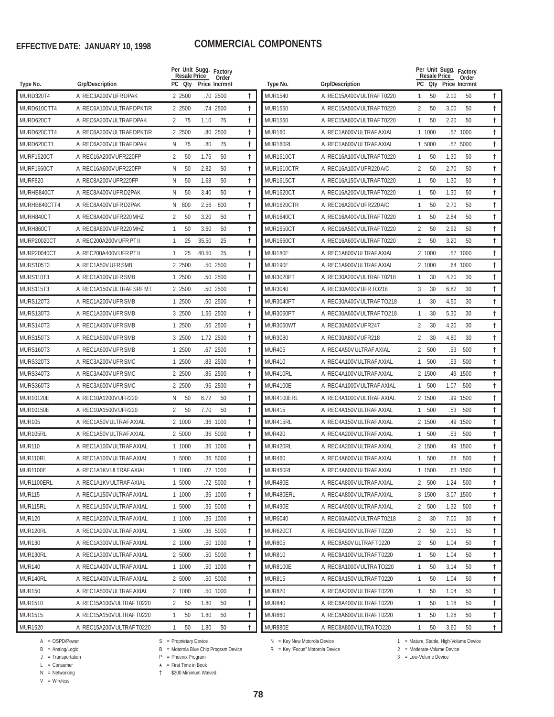| Type No.           | <b>Grp/Description</b>   | Per Unit Sugg. Factory<br>Resale Price<br>Order<br>Price Incrmnt<br>PC Qty | Type No.         | <b>Grp/Description</b>   | Per Unit Sugg. Factory<br><b>Resale Price</b><br>Order<br>PC Qty<br>Price Incrmnt |
|--------------------|--------------------------|----------------------------------------------------------------------------|------------------|--------------------------|-----------------------------------------------------------------------------------|
| <b>MURD320T4</b>   | A REC3A200VUFRDPAK       | 2 2500<br>.70 2500<br>$\ddagger$                                           | <b>MUR1540</b>   | A REC15A400VULTRAFT0220  | $\ddagger$<br>50<br>2.10<br>50<br>1                                               |
| MURD610CTT4        | A REC6A100VULTRAF DPKT/R | .74 2500<br>$\ddagger$<br>2 2500                                           | MUR1550          | A REC15A500VULTRAFT0220  | $\ddagger$<br>50<br>3.00<br>50<br>2                                               |
| MURD620CT          | A REC6A200VULTRAFDPAK    | 75<br>$\ddagger$<br>$\overline{2}$<br>75<br>1.10                           | <b>MUR1560</b>   | A REC15A600VULTRAFT0220  | $\ddagger$<br>2.20<br>50<br>50<br>1                                               |
| MURD620CTT4        | A REC6A200VULTRAF DPKT/R | 2 2500<br>2500<br>$^{\dagger}$<br>.80                                      | <b>MUR160</b>    | A REC1A600V ULTRAF AXIAL | $\dagger$<br>1 1000<br>.57 1000                                                   |
| MURD620CT1         | A REC6A200VULTRAFDPAK    | 75<br>.80<br>75<br>$\ddagger$<br>Ν                                         | MUR160RL         | A REC1A600V ULTRAF AXIAL | $\ddagger$<br>1 5000<br>.57 5000                                                  |
| <b>MURF1620CT</b>  | A REC16A200VUFR220FP     | 50<br>1.76<br>50<br>$\ddagger$<br>2                                        | <b>MUR1610CT</b> | A REC16A100VULTRAFT0220  | $\ddagger$<br>50<br>1.30<br>50<br>1                                               |
| <b>MURF1660CT</b>  | A REC16A600VUFR220FP     | 50<br>50<br>2.82<br>$\ddagger$<br>N                                        | MUR1610CTR       | A REC16A100VUFR220A/C    | $\dagger$<br>50<br>50<br>2<br>2.70                                                |
| <b>MURF820</b>     | A REC8A200VUFR220FP      | 50<br>1.68<br>50<br>$\ddagger$<br>N                                        | <b>MUR1615CT</b> | A REC16A150VULTRAFT0220  | $^{\dagger}$<br>50<br>1.30<br>50<br>1                                             |
| MURHB840CT         | A REC8A400VUFRD2PAK      | 50<br>3.40<br>50<br>$\ddagger$<br>N                                        | <b>MUR1620CT</b> | A REC16A200VULTRAFT0220  | $\dagger$<br>50<br>1.30<br>50<br>1                                                |
| MURHB840CTT4       | A REC8A400VUFRD2PAK      | $\ddagger$<br>800<br>2.56<br>800<br>Ν                                      | MUR1620CTR       | A REC16A200VUFR220A/C    | $\ddagger$<br>50<br>2.70<br>50<br>1                                               |
| MURH840CT          | A REC8A400VUFR220MHZ     | $\ddagger$<br>2<br>50<br>3.20<br>50                                        | <b>MUR1640CT</b> | A REC16A400VULTRAFT0220  | $\dagger$<br>50<br>2.84<br>50<br>1                                                |
| MURH860CT          | A REC8A600VUFR220MHZ     | $\ddagger$<br>50<br>3.60<br>50<br>1                                        | <b>MUR1650CT</b> | A REC16A500VULTRAFT0220  | $\ddagger$<br>2<br>50<br>2.92<br>50                                               |
| <b>MURP20020CT</b> | A REC200A200VUFRPTII     | $\dagger$<br>25<br>25<br>35.50<br>1                                        | <b>MUR1660CT</b> | A REC16A600VULTRAFT0220  | $\dagger$<br>2<br>50<br>3.20<br>50                                                |
| <b>MURP20040CT</b> | A REC200A400VUFRPTII     | 40.50<br>25<br>$\ddagger$<br>25<br>1                                       | MUR180E          | A REC1A800V ULTRAF AXIAL | $\ddagger$<br>2 1000<br>.57 1000                                                  |
| <b>MURS105T3</b>   | A REC1A50V UFR SMB       | 2 2500<br>.50 2500<br>$^{\dagger}$                                         | MUR190E          | A REC1A900V ULTRAF AXIAL | $\dagger$<br>2 1000<br>.64 1000                                                   |
| <b>MURS110T3</b>   | A REC1A100VUFRSMB        | $\ddagger$<br>1 2500<br>.50 2500                                           | <b>MUR3020PT</b> | A REC30A200VULTRAFT0218  | $\dagger$<br>30<br>30<br>4.20<br>1                                                |
| <b>MURS115T3</b>   | A REC1A150VULTRAF SRF MT | 2 2500<br>.50 2500<br>$\ddagger$                                           | MUR3040          | A REC30A400VUFRTO218     | $^{\dagger}$<br>3<br>30<br>6.82<br>30                                             |
| <b>MURS120T3</b>   | A REC1A200VUFRSMB        | 1 2500<br>.50 2500<br>$\ddagger$                                           | <b>MUR3040PT</b> | A REC30A400VULTRAFTO218  | $\ddagger$<br>30<br>4.50<br>30<br>1                                               |
| <b>MURS130T3</b>   | A REC1A300VUFRSMB        | 3 2500<br>1.56 2500<br>$^{\dagger}$                                        | <b>MUR3060PT</b> | A REC30A600VULTRAFTO218  | $\ddagger$<br>30<br>5.30<br>30<br>1                                               |
| <b>MURS140T3</b>   | A REC1A400VUFRSMB        | $\ddagger$<br>1 2500<br>.56 2500                                           | <b>MUR3060WT</b> | A REC30A600VUFR247       | $\ddagger$<br>30<br>4.20<br>30<br>2                                               |
| <b>MURS150T3</b>   | A REC1A500VUFRSMB        | $\ddagger$<br>3 2500<br>1.72 2500                                          | <b>MUR3080</b>   | A REC30A800VUFR218       | $\ddagger$<br>30<br>30<br>2<br>4.80                                               |
| <b>MURS160T3</b>   | A REC1A600VUFRSMB        | .67 2500<br>$^{\dagger}$<br>1 2500                                         | <b>MUR405</b>    | A REC4A50VULTRAF AXIAL   | $\dagger$<br>2 500<br>.53<br>500                                                  |
| <b>MURS320T3</b>   | A REC3A200VUFRSMC        | 1 2500<br>.83 2500<br>$\ddagger$                                           | <b>MUR410</b>    | A REC4A100V ULTRAF AXIAL | $\dagger$<br>500<br>.53<br>500<br>$\mathbf{1}$                                    |
| <b>MURS340T3</b>   | A REC3A400VUFRSMC        | 2 2500<br>.86 2500<br>$^{\dagger}$                                         | MUR410RL         | A REC4A100V ULTRAF AXIAL | $\ddagger$<br>2 1500<br>.49 1500                                                  |
| <b>MURS360T3</b>   | A REC3A600VUFRSMC        | .96 2500<br>$\ddagger$<br>2 2500                                           | <b>MUR4100E</b>  | A REC4A1000VULTRAF AXIAL | $\dagger$<br>500<br>1 500<br>1.07                                                 |
| MUR10120E          | A REC10A1200VUFR220      | 50<br>6.72<br>50<br>$^\dagger$<br>Ν                                        | MUR4100ERL       | A REC4A1000VULTRAF AXIAL | $\ddagger$<br>2 1500<br>.99 1500                                                  |
| <b>MUR10150E</b>   | A REC10A1500VUFR220      | 2<br>50<br>7.70<br>50<br>$^{\dagger}$                                      | <b>MUR415</b>    | A REC4A150V ULTRAF AXIAL | $\ddagger$<br>1 500<br>.53<br>500                                                 |
| <b>MUR105</b>      | A REC1A50VULTRAF AXIAL   | 2 1000<br>.36 1000<br>$^{\dagger}$                                         | MUR415RL         | A REC4A150V ULTRAF AXIAL | $\ddagger$<br>2 1500<br>.49 1500                                                  |
| MUR105RL           | A REC1A50VULTRAF AXIAL   | $\ddagger$<br>.36 5000<br>2 5000                                           | <b>MUR420</b>    | A REC4A200V ULTRAF AXIAL | $\ddagger$<br>500<br>.53<br>500<br>1                                              |
| <b>MUR110</b>      | A REC1A100VULTRAF AXIAL  | $\ddagger$<br>1 1000<br>.36 1000                                           | MUR420RL         | A REC4A200V ULTRAF AXIAL | $\ddagger$<br>2 1500<br>.49 1500                                                  |
| MUR110RL           | A REC1A100VULTRAF AXIAL  | $^\dagger$<br>1 5000<br>.36 5000                                           | <b>MUR460</b>    | A REC4A600V ULTRAF AXIAL | $\dagger$<br>1 500<br>.68<br>500                                                  |
| <b>MUR1100E</b>    | A REC1A1KVULTRAF AXIAL   | $\dagger$<br>.72 1000<br>1 1000                                            | MUR460RL         | A REC4A600V ULTRAF AXIAL | $^\dagger$<br>1 1500<br>.63 1500                                                  |
| MUR1100ERL         | A REC1A1KVULTRAF AXIAL   | $^+$<br>.72 5000<br>1 5000                                                 | MUR480E          | A REC4A800V ULTRAF AXIAL | $\ddagger$<br>1.24 500<br>2 500                                                   |
| <b>MUR115</b>      | A REC1A150VULTRAF AXIAL  | 1 1000<br>.36 1000<br>$^\dagger$                                           | MUR480ERL        | A REC4A800V ULTRAF AXIAL | $\dagger$<br>3 1500<br>3.07 1500                                                  |
| MUR115RL           | A REC1A150VULTRAF AXIAL  | 1 5000<br>.36 5000<br>t                                                    | MUR490E          | A REC4A900V ULTRAF AXIAL | 2 500<br>1.32<br>500<br>$^+$                                                      |
| <b>MUR120</b>      | A REC1A200VULTRAF AXIAL  | $\dagger$<br>1 1000<br>.36 1000                                            | <b>MUR6040</b>   | A REC60A400VULTRAFT0218  | $\dagger$<br>$\overline{2}$<br>30<br>7.00<br>30                                   |
| MUR120RL           | A REC1A200VULTRAF AXIAL  | $\dagger$<br>1 5000<br>.36 5000                                            | MUR620CT         | A REC6A200V ULTRAF T0220 | $\ddagger$<br>50<br>2.10<br>50<br>$\overline{2}$                                  |
| <b>MUR130</b>      | A REC1A300VULTRAF AXIAL  | $^\dagger$<br>2 1000<br>.50 1000                                           | <b>MUR805</b>    | A REC8A50VULTRAFT0220    | $\dagger$<br>$\overline{2}$<br>50<br>1.04<br>50                                   |
| MUR130RL           | A REC1A300VULTRAF AXIAL  | $^\dagger$<br>2 5000<br>.50 5000                                           | <b>MUR810</b>    | A REC8A100V ULTRAF T0220 | 50<br>1.04<br>50<br>1                                                             |
| <b>MUR140</b>      | A REC1A400VULTRAF AXIAL  | $^\dagger$<br>1 1000<br>.50 1000                                           | <b>MUR8100E</b>  | A REC8A1000VULTRATO220   | $^+$<br>50<br>3.14<br>50<br>1                                                     |
| MUR140RL           | A REC1A400VULTRAF AXIAL  | 2 5000<br>.50 5000<br>$^\dagger$                                           | <b>MUR815</b>    | A REC8A150V ULTRAF T0220 | $\ddagger$<br>50<br>1.04<br>50<br>1                                               |
| <b>MUR150</b>      | A REC1A500VULTRAF AXIAL  | 2 1000<br>.50 1000<br>$^\dagger$                                           | <b>MUR820</b>    | A REC8A200V ULTRAF T0220 | $^+$<br>50<br>1.04<br>50<br>1                                                     |
| <b>MUR1510</b>     | A REC15A100VULTRAFT0220  | 50<br>$\overline{2}$<br>50<br>1.80<br>$^\dagger$                           | <b>MUR840</b>    | A REC8A400V ULTRAF T0220 | $\dagger$<br>50<br>50<br>1.18<br>1                                                |
| <b>MUR1515</b>     | A REC15A150VULTRAFT0220  | 50<br>1.80<br>50<br>t<br>1                                                 | <b>MUR860</b>    | A REC8A600V ULTRAF T0220 | 50<br>1.28<br>50<br>$^+$<br>1                                                     |
| <b>MUR1520</b>     | A REC15A200VULTRAFT0220  | 1.80<br>50<br>$\ddagger$<br>1<br>50                                        | MUR880E          | A REC8A800V ULTRA TO220  | $\ddagger$<br>50<br>3.60<br>50<br>$\mathbf{1}$                                    |

- 
- 
- $L = \text{Consumer}$ <br>  $N = \text{Networking}$ <br>  $V = \text{Wireless}$

B = Analog/Logic entropy of the Motorola Blue Chip Program Device R = Key "Focus" Motorola Device 2 = Moderate-Volume Device

- J = Transportation P = Phoenix Program 3 = Low-Volume Device
- $L =$  Consumer  $\star =$  First Time in Book
	-
- N = Networking extensive that the state of the state of the state of the state of the state of the state of the state of the state of the state of the state of the state of the state of the state of the state of the state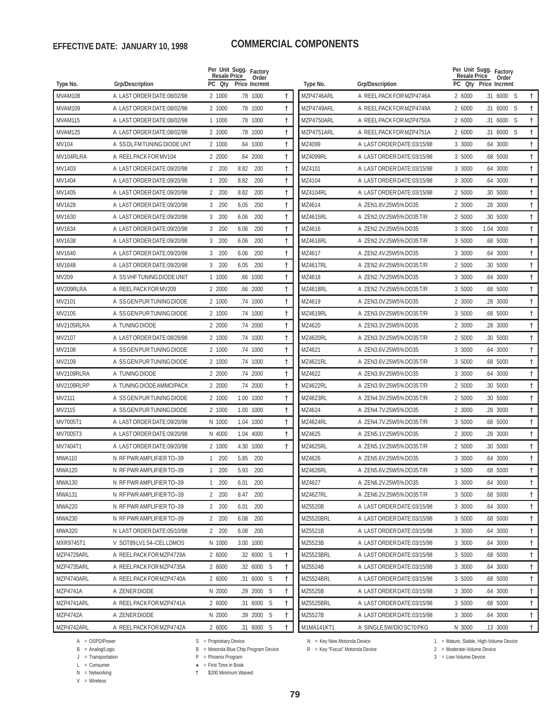| Type No.      | <b>Grp/Description</b>      | Per Unit Sugg. Factory<br><b>Resale Price</b><br>Order<br>PC Otv<br>Price Incrmnt |              | Type No.         | <b>Grp/Description</b>     | <b>Resale Price</b> | Per Unit Sugg. Factory<br>Order<br>PC Qty Price Incrmnt |              |
|---------------|-----------------------------|-----------------------------------------------------------------------------------|--------------|------------------|----------------------------|---------------------|---------------------------------------------------------|--------------|
| MVAM108       | A LAST ORDER DATE:08/02/98  | 2 1000<br>.78 1000                                                                | $^{\dagger}$ | MZP4746ARL       | A REELPACKFORMZP4746A      | 2 6000              | .31 6000 S                                              | $\dagger$    |
| MVAM109       | A LAST ORDER DATE:08/02/98  | 2 1000<br>.78 1000                                                                | Ť.           | MZP4749ARL       | A REEL PACK FOR MZP4749A   | 2 6000              | .31 6000<br>-S                                          | $^+$         |
| MVAM115       | A LAST ORDER DATE:08/02/98  | 1 1000<br>.78 1000                                                                | $^{\dagger}$ | MZP4750ARL       | A REEL PACK FOR MZP4750A   | 2 6000              | .31 6000 S                                              | $^+$         |
| MVAM125       | A LAST ORDER DATE:08/02/98  | 2 1000<br>.78 1000                                                                | $^{\dagger}$ | MZP4751ARL       | A REELPACKFORMZP4751A      | 2 6000              | .31 6000 S                                              | $^+$         |
| MV104         | A SS DL FM TUNING DIODE UNT | 2 1000<br>.64 1000                                                                | Ť.           | MZ4099           | A LAST ORDER DATE:03/15/98 | 3 3000              | .64 3000                                                | $^{\dagger}$ |
| MV104RLRA     | A REEL PACK FOR MV104       | 2 2000<br>.64 2000                                                                | $^{\dagger}$ | MZ4099RL         | A LAST ORDER DATE:03/15/98 | 3 5000              | .68 5000                                                | $^+$         |
| MV1403        | A LAST ORDER DATE:09/20/98  | 2 200<br>8.82<br>200                                                              | $^{\dagger}$ | MZ4101           | A LAST ORDER DATE:03/15/98 | 3 3000              | .64 3000                                                | $^{\dagger}$ |
| MV1404        | A LAST ORDER DATE:09/20/98  | 200<br>200<br>$\mathbf{1}$<br>8.82                                                | $^{\dagger}$ | MZ4104           | A LAST ORDER DATE:03/15/98 | 3 3000              | .64 3000                                                | $\ddagger$   |
| MV1405        | A LAST ORDER DATE:09/20/98  | 2 200<br>200<br>8.82                                                              | $^{\dagger}$ | <b>MZ4104RL</b>  | A LASTORDER DATE:03/15/98  | 2 5000              | .30 5000                                                | $^{\dagger}$ |
| MV1628        | A LAST ORDER DATE:09/20/98  | 3 200<br>200<br>6.05                                                              | $^{\dagger}$ | MZ4614           | A ZEN1.8V.25W5%DO35        | 2 3000              | .28 3000                                                | $^{\dagger}$ |
| MV1630        | A LAST ORDER DATE:09/20/98  | 200<br>200<br>3<br>6.06                                                           | $^{\dagger}$ | <b>MZ4615RL</b>  | A ZEN2.0V.25W5% DO35 T/R   | 2 5000              | .30 5000                                                | $^+$         |
| MV1634        | A LAST ORDER DATE:09/20/98  | 200<br>200<br>3<br>6.06                                                           | $^{\dagger}$ | MZ4616           | A ZEN2.2V.25W5%DO35        | 3 3000              | 1.04 3000                                               | $^{\dagger}$ |
| MV1638        | A LAST ORDER DATE:09/20/98  | 3<br>200<br>6.06<br>200                                                           | $^+$         | MZ4616RL         | A ZEN2.2V.25W5%DO35T/R     | 3 5000              | .68 5000                                                | $^{\dagger}$ |
| MV1640        | A LAST ORDER DATE:09/20/98  | 200<br>6.06<br>200<br>3                                                           | $^{\dagger}$ | MZ4617           | A ZEN2.4V.25W5%DO35        | 3 3000              | .64 3000                                                | $^{\dagger}$ |
| MV1648        | A LAST ORDER DATE:09/20/98  | 3<br>200<br>6.05<br>200                                                           | $\ddagger$   | MZ4617RL         | A ZEN2.4V.25W5% DO35 T/R   | 2 5000              | .30 5000                                                | $^+$         |
| MV209         | A SS VHF TUNING DIODE UNIT  | 1 1000<br>.66 1000                                                                | $^{\dagger}$ | MZ4618           | A ZEN2.7V.25W5%DO35        | 3 3000              | .64 3000                                                | $^+$         |
| MV209RLRA     | A REEL PACK FOR MV209       | 2 2000<br>.66 2000                                                                | $\ddagger$   | MZ4618RL         | A ZEN2.7V.25W5%DO35T/R     | 3 5000              | .68 5000                                                | $^+$         |
| MV2101        | A SS GEN PUR TUNING DIODE   | .74 1000<br>2 1000                                                                | $^\dagger$   | MZ4619           | A ZEN3.0V.25W5%DO35        | 2 3000              | .28 3000                                                | $\ddagger$   |
| MV2105        | A SS GEN PUR TUNING DIODE   | .74 1000<br>2 1000                                                                | $^{\dagger}$ | MZ4619RL         | A ZEN3.0V.25W5% DO35 T/R   | 3 5000              | .68 5000                                                | $^{\dagger}$ |
| MV2105RLRA    | A TUNING DIODE              | 2 2000<br>.74 2000                                                                | Ť.           | MZ4620           | A ZEN3.3V.25W5%DO35        | 2 3000              | .28 3000                                                | $^+$         |
| MV2107        | A LAST ORDER DATE:08/28/98  | 2 1000<br>.74 1000                                                                | $^{\dagger}$ | MZ4620RL         | A ZEN3.3V.25W5%DO35T/R     | 2 5000              | .30 5000                                                | $^+$         |
| MV2108        | A SS GEN PUR TUNING DIODE   | 2 1000<br>.74 1000                                                                | $^{\dagger}$ | MZ4621           | A ZEN3.6V.25W5%DO35        | 3 3000              | .64 3000                                                | $^{\dagger}$ |
| MV2109        | A SS GEN PUR TUNING DIODE   | 2 1000<br>.74 1000                                                                | $^{\dagger}$ | MZ4621RL         | A ZEN3.6V.25W5% DO35 T/R   | 3 5000              | .68 5000                                                | $^{\dagger}$ |
| MV2109RLRA    | A TUNING DIODE              | 2 2000<br>.74 2000                                                                | $^{\dagger}$ | MZ4622           | A ZEN3.9V.25W5%DO35        | 3 3000              | .64 3000                                                | $^+$         |
| MV2109RLRP    | A TUNING DIODE AMMO/PACK    | 2 2000<br>.74 2000                                                                | $^{\dagger}$ | MZ4622RL         | A ZEN3.9V.25W5%DO35T/R     | 2 5000              | .30 5000                                                | $^+$         |
| MV2111        | A SS GEN PUR TUNING DIODE   | 2 1000<br>1.00 1000                                                               | $^{\dagger}$ | MZ4623RL         | A ZEN4.3V.25W5% DO35 T/R   | 2 5000              | .30 5000                                                | $\ddagger$   |
| MV2115        | A SS GEN PUR TUNING DIODE   | 1.00 1000<br>2 1000                                                               | $^{\dagger}$ | MZ4624           | A ZEN4.7V.25W5%DO35        | 2 3000              | .28 3000                                                | $^{+}$       |
| MV7005T1      | A LAST ORDER DATE:09/20/98  | 1.04 1000<br>N 1000                                                               | $\ddagger$   | MZ4624RL         | A ZEN4.7V.25W5%DO35T/R     | 3 5000              | .68 5000                                                | $\ddagger$   |
| MV7005T3      | A LAST ORDER DATE:09/20/98  | N 4000<br>1.04 4000                                                               | Ť.           | MZ4625           | A ZEN5.1V.25W5%DO35        | 2 3000              | .28 3000                                                | $^+$         |
| MV7404T1      | A LAST ORDER DATE:09/20/98  | 2 1000<br>4.30 1000                                                               | $^+$         | MZ4625RL         | A ZEN5.1V.25W5%DO35T/R     | 2 5000              | .30 5000                                                | $^+$         |
| <b>MWA110</b> | N RF PWR AMPLIFIER TO-39    | 200<br>5.85<br>200<br>$\mathbf{1}$                                                |              | MZ4626           | A ZEN5.6V.25W5%DO35        | 3 3000              | .64 3000                                                | $^+$         |
| <b>MWA120</b> | N RF PWR AMPLIFIER TO-39    | 200<br>5.93<br>200<br>1                                                           |              | MZ4626RL         | A ZEN5.6V.25W5%DO35T/R     | 3 5000              | .68 5000                                                | $^+$         |
| MWA130        | N RF PWR AMPLIFIER TO-39    | 1 200<br>6.01<br>200                                                              |              | MZ4627           | A ZEN6.2V.25W5%DO35        | 3 3000              | .64 3000                                                | $^+$         |
| <b>MWA131</b> | N RF PWR AMPLIFIER TO-39    | 2 200<br>8.47<br>200                                                              |              | MZ4627RL         | A ZEN6.2V.25W5%DO35T/R     | 3 5000              | .68 5000                                                | $^+$         |
| <b>MWA220</b> | N RF PWR AMPLIFIER TO-39    | 200<br>2 200<br>6.01                                                              |              | MZ5520B          | A LAST ORDER DATE:03/15/98 | 3 3000              | .64 3000                                                | $^+$         |
| <b>MWA230</b> | N RF PWR AMPLIFIER TO-39    | 2 200<br>6.08<br>200                                                              |              | <b>MZ5520BRL</b> | A LAST ORDER DATE:03/15/98 | 3 5000              | .68 5000                                                | $\ddagger$   |
| <b>MWA320</b> | N LAST ORDER DATE:05/10/98  | 2 200<br>200<br>6.08                                                              |              | MZ5521B          | A LAST ORDER DATE:03/15/98 | 3 3000              | .64 3000                                                | $\ddagger$   |
| MXR9745T1     | V SOT89 LV1.54-CELLDMOS     | N 1000<br>3.00 1000                                                               |              | MZ5523B          | A LAST ORDER DATE:03/15/98 | 3 3000              | .64 3000                                                | $^+$         |
| MZP4729ARL    | A REELPACK FOR MZP4729A     | 2 6000<br>.32 6000 S                                                              | $\ddagger$   | MZ5523BRL        | A LAST ORDER DATE:03/15/98 | 3 5000              | .68 5000                                                | $^+$         |
| MZP4735ARL    | A REELPACK FOR MZP4735A     | 2 6000<br>.32 6000 S                                                              | t.           | MZ5524B          | A LAST ORDER DATE:03/15/98 | 3 3000              | .64 3000                                                | $^+$         |
| MZP4740ARL    | A REEL PACK FOR MZP4740A    | .31 6000 S<br>2 6000                                                              | $^{\dagger}$ | MZ5524BRL        | A LAST ORDER DATE:03/15/98 | 3 5000              | .68 5000                                                | $^+$         |
| MZP4741A      | A ZENERDIODE                | N 2000<br>.29 2000 S                                                              | $^{\dagger}$ | MZ5525B          | A LAST ORDER DATE:03/15/98 | 3 3000              | .64 3000                                                | $^+$         |
| MZP4741ARL    | A REELPACKFORMZP4741A       | .31 6000 S<br>2 6000                                                              | $^{\dagger}$ | MZ5525BRL        | A LAST ORDER DATE:03/15/98 | 3 5000              | .68 5000                                                | $^+$         |
| MZP4742A      | A ZENERDIODE                | N 2000<br>.39 2000 S                                                              | $^{\dagger}$ | MZ5527B          | A LAST ORDER DATE:03/15/98 | 3 3000              | .64 3000                                                | $^+$         |
| MZP4742ARL    | A REELPACK FOR MZP4742A     | .31 6000 S<br>2 6000                                                              | $^{\dagger}$ | M1MA141KT1       | A SINGLE SW/DIO SC70 PKG   | N 3000              | .13 3000                                                | $^+$         |

- 
- J = Transportation P = Phoenix Program 3 = Low-Volume Device
- 
- $L = \text{Consumer}$ <br>  $N = \text{Networking}$ <br>  $V = \text{Wireless}$

B = Analog/Logic entropyrology by B = Motorola Blue Chip Program Device R = Key "Focus" Motorola Device 2 = Moderate-Volume Device

A = OSPD/Power external states and S = Proprietary Device N = Key New Motorola Device 1 = Mature, Stable, High-Volume Device

- 
- 

 $L =$  Consumer  $\star =$  First Time in Book

N = Networking - and the state of the state of the state of the state of the state of the state of the state of the state of the state of the state of the state of the state of the state of the state of the state of the st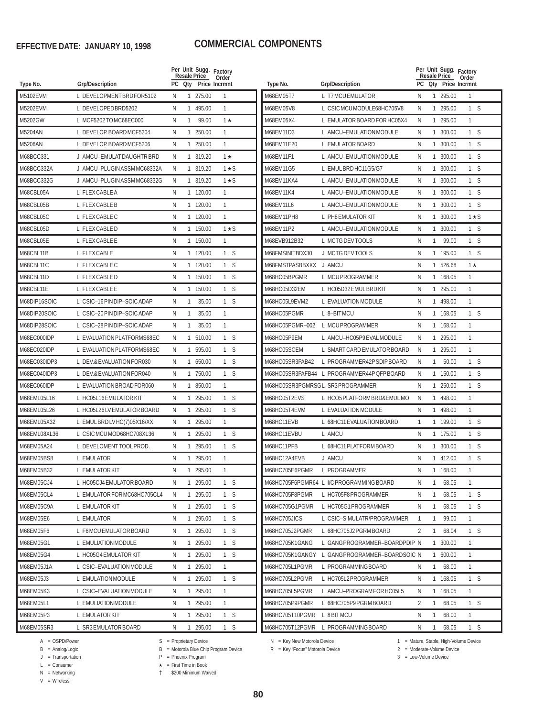| Type No.     | <b>Grp/Description</b>      | Per Unit Sugg. Factory<br><b>Resale Price</b><br>PC Qty Price Incrmnt | Order          | Type No.                    | <b>Grp/Description</b>                       | Per Unit Sugg. Factory<br>Resale Price Order<br>PC Qty Price Incrmnt |                |
|--------------|-----------------------------|-----------------------------------------------------------------------|----------------|-----------------------------|----------------------------------------------|----------------------------------------------------------------------|----------------|
| M5102EVM     | L DEVELOPMENT BRD FOR 5102  | 275.00<br>N<br>1                                                      | 1              | M68EM05T7                   | L T7 MCU EMULATOR                            | 1 295.00<br>N                                                        | $\mathbf{1}$   |
| M5202EVM     | L DEVELOPEDBRD5202          | N<br>1 495.00                                                         | $\mathbf{1}$   | M68EM05V8                   | L CSICMCUMODULE68HC705V8                     | 1 295.00<br>N                                                        | 1 <sup>5</sup> |
| M5202GW      | L MCF5202 TO MC68EC000      | 99.00<br>N<br>$\mathbf{1}$                                            | $1\star$       | M68EM05X4                   | L EMULATOR BOARD FOR HC05X4                  | 1 295.00<br>N                                                        | $\mathbf{1}$   |
| M5204AN      | L DEVELOP. BOARD MCF5204    | 1 250.00<br>N                                                         | $\mathbf{1}$   | M68EM11D3                   | L AMCU-EMULATION MODULE                      | 1 300.00<br>N                                                        | 1 <sup>5</sup> |
| M5206AN      | L DEVELOP. BOARD MCF5206    | 250.00<br>N<br>$\mathbf{1}$                                           | 1              | M68EM11E20                  | L EMULATOR BOARD                             | 1 300.00<br>N                                                        | 1 <sup>5</sup> |
| M68BCC331    | J AMCU-EMULAT DAUGHTR BRD   | N<br>1 319.20                                                         | $1\star$       | M68EM11F1                   | L AMCU-EMULATION MODULE                      | N<br>1 300.00                                                        | 1 <sup>5</sup> |
| M68BCC332A   | J AMCU-PLUGINASSMMC68332A   | 1 319.20<br>N                                                         | $1\star S$     | M68EM11G5                   | L EMULBRD HC11G5/G7                          | N<br>1 300.00                                                        | 1 <sub>S</sub> |
| M68BCC332G   | J AMCU-PLUGINASSMMC68332G   | 1 319.20<br>N.                                                        | $1 \star S$    | M68EM11KA4                  | L AMCU-EMULATION MODULE                      | 1 300.00<br>N                                                        | 1 <sup>5</sup> |
| M68CBL05A    | L FLEX CABLE A              | 1 120.00<br>N                                                         | $\mathbf{1}$   | M68EM11K4                   | L AMCU-EMULATION MODULE                      | 1 300.00<br>N                                                        | 1 <sup>5</sup> |
| M68CBL05B    | L FLEX CABLE B              | 1 120.00<br>N                                                         | $\mathbf{1}$   | M68EM11L6                   | L AMCU-EMULATION MODULE                      | 1 300.00<br>N                                                        | 1 <sup>5</sup> |
| M68CBL05C    | L FLEX CABLE C              | N<br>1 120.00                                                         | $\mathbf{1}$   | M68EM11PH8                  | L PH8 EMULATOR KIT                           | 1 300.00<br>N                                                        | $1 \star S$    |
| M68CBL05D    | L FLEX CABLED               | N<br>1 150.00                                                         | $1 \star S$    | M68EM11P2                   | L AMCU-EMULATION MODULE                      | 1 300.00<br>N                                                        | 1 <sup>5</sup> |
| M68CBL05E    | L FLEX CABLE E              | N<br>1 150.00                                                         | $\mathbf{1}$   | M68EVB912B32                | L MCTG DEV TOOLS                             | 99.00<br>N<br>$\mathbf{1}$                                           | 1 <sup>5</sup> |
| M68CBL11B    | L FLEXCABLE                 | N<br>1 120.00                                                         | 1 <sub>S</sub> | M68FMSINITBDX30             | J MCTG DEV TOOLS                             | N<br>1 195.00                                                        | 1 <sup>5</sup> |
| M68CBL11C    | L FLEX CABLE C              | N<br>1 120.00                                                         | 1 <sup>5</sup> | M68FMSTPASBBXXX J AMCU      |                                              | N<br>1 526.68                                                        | $1\star$       |
| M68CBL11D    | L FLEX CABLED               | N<br>1 150.00                                                         | 1 <sup>5</sup> | M68HC05BPGMR                | L MCUPROGRAMMER                              | N<br>1 168.05                                                        | $\mathbf{1}$   |
| M68CBL11E    | L FLEX CABLE E              | 1 150.00<br>N                                                         | 1 <sub>S</sub> | M68HC05D32EM                | L HC05D32 EMUL BRD KIT                       | 1 295.00<br>N                                                        | $\mathbf{1}$   |
| M68DIP16SOIC | L CSIC-16 PIN DIP-SOIC ADAP | 35.00<br>N<br>1                                                       | 1 <sup>5</sup> | M68HC05L9EVM2               | L EVALUATION MODULE                          | 1 498.00<br>N                                                        | $\mathbf{1}$   |
| M68DIP20SOIC | L CSIC-20 PIN DIP-SOIC ADAP | 35.00<br>N<br>1                                                       | $\mathbf{1}$   | M68HC05PGMR                 | L 8-BITMCU                                   | N<br>1 168.05                                                        | 1 <sup>5</sup> |
| M68DIP28SOIC | L CSIC-28 PIN DIP-SOIC ADAP | N<br>$\mathbf{1}$<br>35.00                                            | $\mathbf{1}$   |                             | M68HC05PGMR-002 L MCUPROGRAMMER              | N<br>1 168.00                                                        | $\mathbf{1}$   |
| M68EC000IDP  | L EVALUATION PLATFORMS68EC  | 1 510.00<br>N                                                         | 1 <sub>S</sub> | M68HC05P9EM                 | L AMCU-HC05P9 EVAL MODULE                    | 1 295.00<br>N                                                        | $\mathbf{1}$   |
| M68EC020IDP  | L EVALUATION PLATFORMS68EC  | N<br>1 595.00                                                         | 1 <sup>5</sup> | M68HC05SCEM                 | L SMART CARD EMULATOR BOARD                  | 1 295.00<br>N                                                        | $\mathbf{1}$   |
| M68EC030IDP3 | L DEV.& EVALUATION FOR030   | N<br>1 650.00                                                         | 1 S            | M68HC05SR3PAB42             | L PROGRAMMER42PSDIPBOARD                     | N<br>50.00<br>$\mathbf{1}$                                           | 1 <sup>5</sup> |
| M68EC040IDP3 | L DEV.& EVALUATION FOR040   | N<br>1 750.00                                                         | 1 S            |                             | M68HC05SR3PAFB44 L PROGRAMMER44PQFPBOARD     | N<br>1 150.00                                                        | 1 <sup>5</sup> |
| M68EC060IDP  | L EVALUATION BROAD FOR060   | N<br>1 850.00                                                         | $\mathbf{1}$   |                             | M68HC05SR3PGMRSGL SR3PROGRAMMER              | N<br>1 250.00                                                        | 1 <sup>5</sup> |
| M68EML05L16  | L HC05L16 EMULATOR KIT      | 1 295.00<br>N                                                         | 1 <sub>S</sub> | M68HC05T2EVS                | L HCO5PLATFORMBRD&EMULMO                     | 1 498.00<br>N                                                        | $\mathbf{1}$   |
| M68EML05L26  | L HC05L26 LV EMULATOR BOARD | 1 295.00<br>N                                                         | 1 <sup>5</sup> | M68HC05T4EVM                | L EVALUATION MODULE                          | 1 498.00<br>N                                                        | $\mathbf{1}$   |
| M68EML05X32  | L EMULBRD LV HC(7)05X16/XX  | 295.00<br>N<br>$\mathbf{1}$                                           | $\mathbf{1}$   | M68HC11EVB                  | L 68HC11 EVALUATION BOARD                    | 1 199.00<br>1                                                        | 1 <sup>5</sup> |
| M68EML08XL36 | L CSICMCUMOD68HC708XL36     | N<br>1 295.00                                                         | 1 <sup>5</sup> | M68HC11EVBU                 | L AMCU                                       | N<br>1 175.00                                                        | 1 <sup>5</sup> |
| M68EM05A24   | L DEVELOMENT TOOL PROD.     | N<br>1 295.00                                                         | 1 S            | M68HC11PFB                  | L 68HC11 PLATFORM BOARD                      | N<br>1 300.00                                                        | 1 <sup>5</sup> |
| M68EM05BS8   | L EMULATOR                  | 1 295.00<br>N                                                         | $\mathbf{1}$   | M68HC12A4EVB                | J AMCU                                       | 1 412.00<br>N                                                        | 1 S            |
| M68EM05B32   | L EMULATOR KIT              | 1 295.00<br>N                                                         | $\mathbf{1}$   | M68HC705E6PGMR L PROGRAMMER |                                              | N<br>1 168.00                                                        | $\mathbf{1}$   |
| M68EM05CJ4   | L HC05CJ4 EMULATOR BOARD    | 1 295.00<br>N                                                         | 1 <sub>S</sub> |                             | M68HC705F6PGMR64 L I/CPROGRAMMINGBOARD       | $\mathbf{1}$<br>68.05<br>N                                           | $\mathbf{1}$   |
| M68EM05CL4   | L EMULATOR FOR MC68HC705CL4 | 1 295.00<br>N                                                         | 1 S            | M68HC705F8PGMR              | L HC705F8PROGRAMMER                          | 68.05<br>Ν<br>$\mathbf{1}$                                           | 1 <sub>S</sub> |
| M68EM05C9A   | L EMULATOR KIT              | N<br>1 295.00                                                         | 1 S            | M68HC705G1PGMR              | L HC705G1PROGRAMMER                          | 68.05<br>N<br>$\mathbf{1}$                                           | 1 S            |
| M68EM05E6    | L EMULATOR                  | 1 295.00<br>N                                                         | 1 S            | M68HC705JICS                | L CSIC-SIMULATR/PROGRAMMER                   | 99.00<br>$\mathbf{1}$<br>$\mathbf{1}$                                | $\mathbf{1}$   |
| M68EM05F6    | L F6MCU EMULATOR BOARD      | 1 295.00<br>N                                                         | 1 S            | M68HC705J2PGMR              | L 68HC705J2PGRMBOARD                         | 68.04<br>2<br>$\mathbf{1}$                                           | 1 S            |
| M68EM05G1    | L EMULIATION MODULE         | 1 295.00<br>Ν                                                         | 1 S            | M68HC705K1GANG              | L GANGPROGRAMMER-BOARDPDIP N                 | 1 300.00                                                             | 1              |
| M68EM05G4    | L HC05G4 EMULATOR KIT       | 1 295.00<br>N                                                         | 1 S            |                             | M68HC705K1GANGY L GANGPROGRAMMER-BOARDSOIC N | 1 600.00                                                             | 1              |
| M68EM05J1A   | L CSIC-EVALUATION MODULE    | 1 295.00<br>N                                                         | $\mathbf{1}$   | M68HC705L1PGMR              | L PROGRAMMINGBOARD                           | 68.00<br>$\mathbf{1}$<br>N                                           | $\mathbf{1}$   |
| M68EM05J3    | L EMULATION MODULE          | 1 295.00<br>N                                                         | 1 <sub>S</sub> | M68HC705L2PGMR              | L HC705L2PROGRAMMER                          | 1 168.05<br>N                                                        | 1 <sub>S</sub> |
| M68EM05K3    | L CSIC-EVALUATION MODULE    | 1 295.00<br>Ν                                                         | $\mathbf{1}$   | M68HC705L5PGMR              | L AMCU-PROGRAMFORHC05L5                      | 1 168.05<br>N                                                        | 1              |
| M68EM05L1    | L EMULIATION MODULE         | 1 295.00<br>N                                                         | $\mathbf{1}$   | M68HC705P9PGMR              | L 68HC705P9 PGRMBOARD                        | 68.05<br>2<br>$\mathbf{1}$                                           | 1 <sub>S</sub> |
| M68EM05P3    | L EMULATOR KIT              | 1 295.00<br>N                                                         | 1 <sub>S</sub> | M68HC705T10PGMR             | L 8 BIT MCU                                  | 68.00<br>N<br>$\mathbf{1}$                                           | 1              |
| M68EM05SR3   | L SR3 EMULATOR BOARD        | Ν<br>1 295.00                                                         | 1 S            |                             | M68HC705T12PGMR L PROGRAMMINGBOARD           | N<br>$\mathbf{1}$<br>68.05                                           | 1 S            |

 $L = \text{Consumer}$ <br>  $N = \text{Networking}$ <br>  $V = \text{Wireless}$ 

B = Analog/Logic entropy of the Motorola Blue Chip Program Device R = Key "Focus" Motorola Device 2 = Moderate-Volume Device

J = Transportation P = Phoenix Program 3 = Low-Volume Device

- 
- $L =$  Consumer  $\star =$  First Time in Book

N = Networking extensive that the state of the state of the state of the state of the state of the state of the state of the state of the state of the state of the state of the state of the state of the state of the state

A = OSPD/Power external states and S = Proprietary Device N = Key New Motorola Device 1 = Mature, Stable, High-Volume Device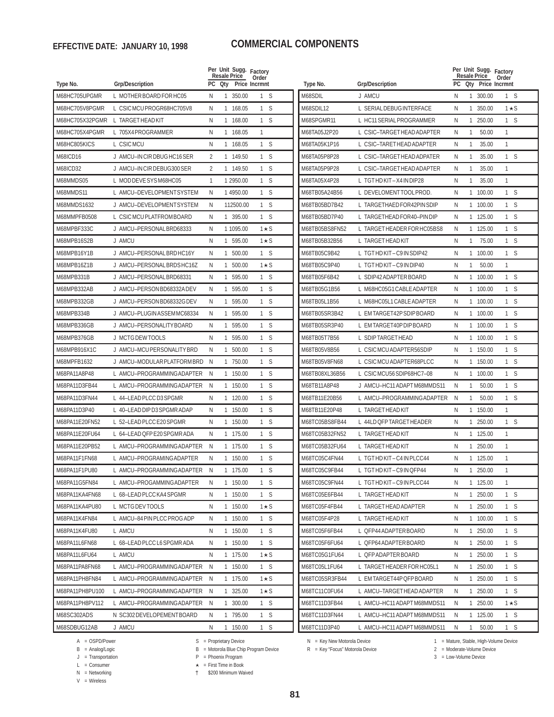| Type No.                          | <b>Grp/Description</b>               | Per Unit Sugg. Factory<br>Resale Price Order<br>PC Qty<br>Price Incrmnt |                | Type No.       | <b>Grp/Description</b>      | Per Unit Sugg. Factory<br>Resale Price Order<br>PC Qty Price Incrmnt |                |
|-----------------------------------|--------------------------------------|-------------------------------------------------------------------------|----------------|----------------|-----------------------------|----------------------------------------------------------------------|----------------|
| M68HC705UPGMR                     | L MOTHER BOARD FOR HC05              | 350.00<br>N<br>$\mathbf{1}$                                             | 1 <sub>S</sub> | M68SDIL        | J AMCU                      | 1 300.00<br>N                                                        | 1 <sup>5</sup> |
| M68HC705V8PGMR                    | L CSICMCUPROGR68HC705V8              | 1 168.05<br>N                                                           | 1 <sub>S</sub> | M68SDIL12      | L SERIAL DEBUG INTERFACE    | 1 350.00<br>N                                                        | $1\star S$     |
| M68HC705X32PGMR L TARGET HEAD KIT |                                      | N<br>1 168.00                                                           | 1 <sup>5</sup> | M68SPGMR11     | L HC11 SERIAL PROGRAMMER    | 1 250.00<br>N                                                        | 1 <sup>5</sup> |
| M68HC705X4PGMR                    | L 705X4PROGRAMMER                    | 1 168.05<br>N                                                           | $\mathbf{1}$   | M68TA05J2P20   | L CSIC-TARGETHEAD ADAPTER   | 50.00<br>N<br>1                                                      | $\mathbf{1}$   |
| M68HC805KICS                      | L CSICMCU                            | N<br>1 168.05                                                           | 1 <sup>5</sup> | M68TA05K1P16   | L CSIC-TARET HEAD ADAPTER   | 35.00<br>$\mathbf{1}$<br>N                                           | $\mathbf{1}$   |
| M68ICD16                          | J AMCU-INCIRDBUGHC16SER              | 2<br>1 149.50                                                           | 1 <sup>5</sup> | M68TA05P8P28   | L CSIC-TARGET HEAD ADPATER  | $\mathbf{1}$<br>35.00<br>N                                           | 1 <sub>S</sub> |
| M68ICD32                          | J AMCU-IN CIR DEBUG300 SER           | 2<br>1 149.50                                                           | 1 <sup>5</sup> | M68TA05P9P28   | L CSIC-TARGET HEAD ADAPTER  | N<br>$\mathbf{1}$<br>35.00                                           | $\mathbf{1}$   |
| M68MMDS05                         | L MODDEVE SYSM68HC05                 | $\mathbf{1}$<br>1 2950.00                                               | 1 <sup>5</sup> | M68TA05X4P28   | L TGT HD KIT - X4 IN DIP28  | N<br>35.00<br>1                                                      | $\mathbf{1}$   |
| M68MMDS11                         | L AMCU-DEVELOPMENTSYSTEM             | 1 4950.00<br>N                                                          | 1 S            | M68TB05A24B56  | L DEVELOMENT TOOL PROD.     | 1 100.00<br>N                                                        | 1 <sub>S</sub> |
| M68MMDS1632                       | J AMCU-DEVELOPMENTSYSTEM             | 112500.00<br>N                                                          | 1 <sup>5</sup> | M68TB05BD7B42  | L TARGETHAEDFOR42PINSDIP    | 1 100.00<br>N                                                        | 1 <sup>5</sup> |
| M68MMPFB0508                      | L CSIC MCU PLATFROM BOARD            | 1 395.00<br>N                                                           | 1 <sub>S</sub> | M68TB05BD7P40  | L TARGETHEAD FOR40-PIN DIP  | 1 125.00<br>N                                                        | 1 <sub>S</sub> |
| M68MPBF333C                       | J AMCU-PERSONALBRD68333              | N<br>1 1095.00                                                          | $1\star S$     | M68TB05BS8FN52 | L TARGETHEADERFORHC05BS8    | N<br>1 125.00                                                        | 1 <sub>S</sub> |
| M68MPB16S2B                       | J AMCU                               | 1 595.00<br>N                                                           | $1 \star S$    | M68TB05B32B56  | L TARGET HEAD KIT           | N<br>75.00<br>$\mathbf{1}$                                           | 1 <sub>S</sub> |
| M68MPB16Y1B                       | J AMCU-PERSONAL BRD HC16Y            | N<br>1 500.00                                                           | 1 <sup>5</sup> | M68TB05C9B42   | L TGT HD KIT - C9 IN SDIP42 | N<br>1 100.00                                                        | 1 <sub>S</sub> |
| M68MPB16Z1B                       | J AMCU-PERSONAL BRDS HC16Z           | 1 500.00<br>N                                                           | $1 \star S$    | M68TB05C9P40   | L TGT HD KIT-C9 IN DIP40    | N<br>$\mathbf{1}$<br>50.00                                           | $\mathbf{1}$   |
| M68MPB331B                        | J AMCU-PERSONALBRD68331              | 1 595.00<br>N                                                           | 1 <sup>5</sup> | M68TB05F6B42   | L SDIP42ADAPTERBOARD        | N<br>1 100.00                                                        | 1 <sub>S</sub> |
| M68MPB332AB                       | J AMCU-PERSON BD68332ADEV            | 1 595.00<br>N                                                           | 1 S            | M68TB05G1B56   | L M68HC05G1 CABLE ADAPTER   | 1 100.00<br>N                                                        | 1 <sub>S</sub> |
| M68MPB332GB                       | J AMCU-PERSON BD68332G DEV           | 1 595.00<br>N                                                           | 1 <sub>S</sub> | M68TB05L1B56   | L M68HC05L1 CABLE ADAPTER   | 1 100.00<br>N                                                        | 1 <sub>S</sub> |
| M68MPB334B                        | J AMCU-PLUGINASSEMMC68334            | 1 595.00<br>N                                                           | 1 <sup>5</sup> | M68TB05SR3B42  | L EMTARGET42PSDIPBOARD      | 1 100.00<br>N                                                        | 1 <sup>5</sup> |
| M68MPB336GB                       | J AMCU-PERSONALITY BOARD             | 1 595.00<br>N                                                           | 1 <sup>5</sup> | M68TB05SR3P40  | L EMTARGET40P DIP BOARD     | N<br>1 100.00                                                        | 1 <sub>S</sub> |
| M68MPB376GB                       | J MCTGDEWTOOLS                       | N<br>1 595.00                                                           | 1 <sup>5</sup> | M68TB05T7B56   | L SDIPTARGETHEAD            | N<br>1 100.00                                                        | 1 <sub>S</sub> |
| M68MPB916X1C                      | J AMCU-MCUPERSONALITY BRD            | 1 500.00<br>N                                                           | 1 <sup>5</sup> | M68TB05V8B56   | L CSICMCUADAPTER56SDIP      | 1 150.00<br>N                                                        | 1 <sub>S</sub> |
| M68MPFB1632                       | J AMCU-MODULAR PLATFORM BRD          | 1 750.00<br>- N                                                         | 1 <sup>5</sup> | M68TB05V8FN68  | L CSICMCUADAPTER68PLCC      | N<br>1 150.00                                                        | 1 <sub>S</sub> |
| M68PA11A8P48                      | L AMCU-PROGRAMMINGADAPTER            | 1 150.00<br>- N                                                         | 1 <sub>S</sub> | M68TB08XL36B56 | L CSICMCU56SDIP68HC7-08     | 1 100.00<br>N                                                        | 1 <sup>5</sup> |
| M68PA11D3FB44                     | L AMCU-PROGRAMMINGADAPTER N          | 1 150.00                                                                | 1 <sup>5</sup> | M68TB11A8P48   | J AMCU-HC11 ADAPT M68MMDS11 | N<br>50.00<br>1                                                      | 1 <sub>S</sub> |
| M68PA11D3FN44                     | L 44-LEAD PLCC D3 SPGMR              | 1 120.00<br>N                                                           | 1 <sub>S</sub> | M68TB11E20B56  | L AMCU-PROGRAMMINGADAPTER   | N<br>50.00<br>1                                                      | 1 <sub>S</sub> |
| M68PA11D3P40                      | L 40-LEAD DIP D3 SPGMR ADAP          | 1 150.00<br>N                                                           | 1 <sub>S</sub> | M68TB11E20P48  | L TARGET HEAD KIT           | 1 150.00<br>N                                                        | $\mathbf{1}$   |
| M68PA11E20FN52                    | L 52-LEAD PLCC E20 SPGMR             | N<br>1 150.00                                                           | 1 <sup>5</sup> | M68TC05BS8FB44 | L 44LD OFP TARGET HEADER    | 1 250.00<br>N                                                        | 1 <sup>5</sup> |
| M68PA11E20FU64                    | L 64-LEAD OFP E20 SPGMR ADA          | 1 175.00<br>N                                                           | 1 <sup>5</sup> | M68TC05B32FN52 | L TARGET HEAD KIT           | N<br>1 125.00                                                        | $\mathbf{1}$   |
| M68PA11E20PB52                    | L AMCU-PROGRAMMINGADAPTER            | <sup>N</sup><br>1 175.00                                                | 1 <sup>5</sup> | M68TC05B32FU64 | L TARGET HEAD KIT           | N<br>1 250.00                                                        | $\mathbf{1}$   |
| M68PA11F1FN68                     | L AMCU-PROGRAMING ADAPTER            | N<br>1 150.00                                                           | 1 <sup>5</sup> | M68TC05C4FN44  | L TGT HD KIT - C4 IN PLCC44 | 1 125.00<br>N                                                        | $\mathbf{1}$   |
| M68PA11F1PU80                     | L AMCU-PROGRAMMINGADAPTER N 1 175.00 |                                                                         | 1 <sup>5</sup> | M68TC05C9FB44  | L TGT HD KIT - C9 IN QFP44  | 1 250.00<br>N                                                        | $\mathbf{1}$   |
| M68PA11G5FN84                     | L AMCU-PROGAMMING ADAPTER            | 1 150.00<br>N                                                           | 1 <sub>S</sub> | M68TC05C9FN44  | L TGT HD KIT - C9 IN PLCC44 | 1 125.00<br>N                                                        | $\mathbf{1}$   |
| M68PA11KA4FN68                    | L 68-LEAD PLCC KA4 SPGMR             | 1 150.00<br>N                                                           | 1 S            | M68TC05E6FB44  | L TARGET HEAD KIT           | 1 250.00<br>N                                                        | 1 <sub>S</sub> |
| M68PA11KA4PU80                    | L MCTGDEVTOOLS                       | 1 150.00<br>N                                                           | $1\star S$     | M68TC05F4FB44  | L TARGETHEAD ADAPTER        | 1 250.00<br>N                                                        | 1 <sup>5</sup> |
| M68PA11K4FN84                     | L AMCU-84 PIN PLCC PROG ADP          | 1 150.00<br>N                                                           | 1 S            | M68TC05F4P28   | L TARGET HEAD KIT           | N<br>1 100.00                                                        | 1 <sub>S</sub> |
| M68PA11K4FU80                     | L AMCU                               | N<br>1 150.00                                                           | 1 S            | M68TC05F6FB44  | L QFP44ADAPTERBOARD         | N<br>1 250.00                                                        | 1 <sup>5</sup> |
| M68PA11L6FN68                     | L 68-LEAD PLCC L6 SPGMR ADA          | 1 150.00<br>N                                                           | 1 S            | M68TC05F6FU64  | L QFP64ADAPTERBOARD         | 1 250.00<br>N                                                        | 1 <sub>S</sub> |
| M68PA11L6FU64                     | L AMCU                               | N<br>1 175.00                                                           | $1 \star S$    | M68TC05G1FU64  | L QFPADAPTER BOARD          | N<br>1 250.00                                                        | 1 <sub>S</sub> |
| M68PA11PA8FN68                    | L AMCU-PROGRAMMINGADAPTER N          | 1 150.00                                                                | 1 S            | M68TC05L1FU64  | L TARGET HEADER FOR HC05L1  | 1 250.00<br>N                                                        | 1 S            |
| M68PA11PH8FN84                    | L AMCU-PROGRAMMINGADAPTER N          | 1 175.00                                                                | $1 \star S$    | M68TC05SR3FB44 | L EMTARGET44PQFPBOARD       | 1 250.00<br>N                                                        | 1 <sub>S</sub> |
| M68PA11PH8PU100                   | L AMCU-PROGRAMMINGADAPTER            | 1 325.00<br>- N                                                         | $1\star S$     | M68TC11C0FU64  | L AMCU-TARGET HEAD ADAPTER  | N<br>1 250.00                                                        | 1 <sub>S</sub> |
| M68PA11PH8PV112                   | L AMCU-PROGRAMMINGADAPTER            | 1 300.00<br>N.                                                          | 1 S            | M68TC11D3FB44  | L AMCU-HC11 ADAPT M68MMDS11 | 1 250.00<br>N                                                        | $1\star S$     |
| M68SC302ADS                       | N SC302 DEVELOPEMENT BOARD           | 1 795.00<br>N                                                           | 1 <sub>S</sub> | M68TC11D3FN44  | L AMCU-HC11 ADAPT M68MMDS11 | 1 125.00<br>N                                                        | 1 <sub>S</sub> |
| M68SDBUG12AB                      | J AMCU                               | N<br>1 150.00                                                           | 1 S            | M68TC11D3P40   | L AMCU-HC11 ADAPT M68MMDS11 | N<br>$\mathbf{1}$<br>50.00                                           | 1 S            |

- 
- 
- 
- $L = \text{Consumer}$ <br>  $N = \text{Networking}$ <br>  $V = \text{Wireless}$
- 

B = Analog/Logic entropyrology by B = Motorola Blue Chip Program Device R = Key "Focus" Motorola Device 2 = Moderate-Volume Device

- $L =$  Consumer  $\star =$  First Time in Book
- N = Networking and the state of the state of the state of the state of the state of the state of the state of the state of the state of the state of the state of the state of the state of the state of the state of the st

A = OSPD/Power external states and S = Proprietary Device N = Key New Motorola Device 1 = Mature, Stable, High-Volume Device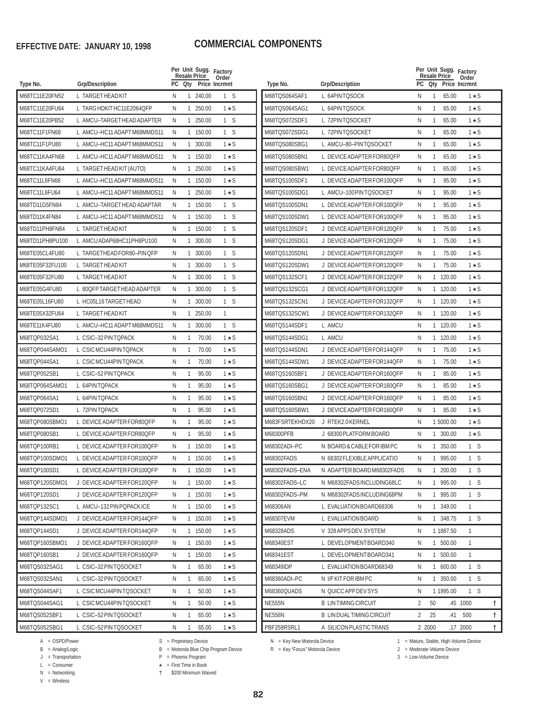| Type No.        | <b>Grp/Description</b>       | PC Otv |              | Resale Price Order | Per Unit Sugg. Factory<br>Price Incrmnt | Type No.        | <b>Grp/Description</b>          |                |              | Resale Price Order<br>PC Qty Price Incrmnt | Per Unit Sugg. Factory |              |
|-----------------|------------------------------|--------|--------------|--------------------|-----------------------------------------|-----------------|---------------------------------|----------------|--------------|--------------------------------------------|------------------------|--------------|
| M68TC11E20FN52  | L TARGETHEADKIT              | N      | 1            | 240.00             | 1 S                                     | M68TQS064SAF1   | L 64PINTQSOCK                   | N              | 1            | 65.00                                      | $1 \star S$            |              |
| M68TC11E20FU64  | L TARG HDKIT HC11E2064QFP    | N      | $\mathbf{1}$ | 250.00             | $1\star S$                              | M68TQS064SAG1   | L 64PINTQSOCK                   | N              | $\mathbf{1}$ | 65.00                                      | $1\star S$             |              |
| M68TC11E20PB52  | L AMCU-TARGET HEAD ADAPTER   | N      |              | 1 250.00           | 1 <sub>S</sub>                          | M68TQS072SDF1   | L 72PINTOSOCKET                 | N              | 1            | 65.00                                      | $1 \star S$            |              |
| M68TC11F1FN68   | L AMCU-HC11 ADAPT M68MMDS11  | N      |              | 1 150.00           | 1 S                                     | M68TQS072SDG1   | L 72PINTOSOCKET                 | N              | $\mathbf{1}$ | 65.00                                      | $1 \star S$            |              |
| M68TC11F1PU80   | L AMCU-HC11 ADAPT M68MMDS11  | N      |              | 1 300.00           | $1 \star S$                             | M68TQS080SBG1   | L AMCU-80-PINTQSOCKET           | N              | $\mathbf{1}$ | 65.00                                      | $1 \star S$            |              |
| M68TC11KA4FN68  | L AMCU-HC11 ADAPT M68MMDS11  | N      |              | 1 150.00           | $1\star S$                              | M68TQS080SBN1   | L DEVICE ADAPTER FOR80QFP       | N              | $\mathbf{1}$ | 65.00                                      | $1 \star S$            |              |
| M68TC11KA4FU64  | L TARGET HEAD KIT (AUTO)     | N      |              | 1 250.00           | $1 \star S$                             | M68TQS080SBW1   | L DEVICE ADAPTER FOR80QFP       | N              | 1            | 65.00                                      | $1\star S$             |              |
| M68TC11L6FN68   | L AMCU-HC11 ADAPT M68MMDS11  | N      |              | 1 150.00           | $1\star S$                              | M68TQS100SDF1   | L DEVICE ADAPTER FOR 100QFP     | N              | 1            | 95.00                                      | $1 \star S$            |              |
| M68TC11L6FU64   | L AMCU-HC11 ADAPT M68MMDS11  | N      |              | 1 250.00           | $1 \star S$                             | M68TQS100SDG1   | L AMCU-100 PIN TOSOCKET         | N              | $\mathbf{1}$ | 95.00                                      | $1\star S$             |              |
| M68TD11G5FN84   | L AMCU-TARGET HEAD ADAPTAR   | N      |              | 1 150.00           | 1 S                                     | M68TQS100SDN1   | L DEVICE ADAPTER FOR 100QFP     | N              | 1            | 95.00                                      | $1 \star S$            |              |
| M68TD11K4FN84   | L AMCU-HC11 ADAPT M68MMDS11  | N      |              | 1 150.00           | 1 S                                     | M68TQS100SDW1   | L DEVICE ADAPTER FOR 100QFP     | N              | 1            | 95.00                                      | $1 \star S$            |              |
| M68TD11PH8FN84  | L TARGETHEADKIT              | N      |              | 1 150.00           | 1 <sub>S</sub>                          | M68TQS120SDF1   | J DEVICE ADAPTER FOR 120QFP     | N              | 1            | 75.00                                      | $1 \star S$            |              |
| M68TD11PH8PU100 | L AMCUADAP68HC11PH8PU100     | N      |              | 1 300.00           | 1 S                                     | M68TQS120SDG1   | J DEVICE ADAPTER FOR 120 QFP    | N              | 1            | 75.00                                      | $1 \star S$            |              |
| M68TE05CL4FU80  | L TARGETHEAD FOR80-PIN QFP   | N      |              | 1 300.00           | 1 S                                     | M68TQS120SDN1   | J DEVICE ADAPTER FOR 120QFP     | N              | $\mathbf{1}$ | 75.00                                      | $1\star S$             |              |
| M68TE05F32FU100 | L TARGETHEADKIT              | N      | $\mathbf{1}$ | 300.00             | 1 S                                     | M68TQS120SDW1   | J DEVICE ADAPTER FOR 120QFP     | N              | $\mathbf{1}$ | 75.00                                      | $1 \star S$            |              |
| M68TE05F32FU80  | L TARGET HEAD KIT            | N      |              | 1 300.00           | 1 S                                     | M68TQS132SCF1   | J DEVICE ADAPTER FOR 132QFP     | N              |              | 1 120.00                                   | $1\star S$             |              |
| M68TE05G4FU80   | L 80QFPTARGET HEAD ADAPTER   | N      |              | 1 300.00           | 1 S                                     | M68TQS132SCG1   | J DEVICE ADAPTER FOR 132QFP     | N              |              | 1 120.00                                   | $1\star S$             |              |
| M68TE05L16FU80  | L HC05L16 TARGET HEAD        | N      |              | 1 300.00           | 1 S                                     | M68TQS132SCN1   | J DEVICE ADAPTER FOR 132QFP     | N              |              | 1 120.00                                   | $1\star S$             |              |
| M68TE05X32FU64  | L TARGETHEADKIT              | N      | $\mathbf{1}$ | 250.00             | $\mathbf{1}$                            | M68TQS132SCW1   | J DEVICE ADAPTER FOR 132QFP     | N              |              | 1 120.00                                   | $1\star S$             |              |
| M68TE11K4FU80   | L AMCU-HC11 ADAPT M68MMDS11  | N      | 1            | 300.00             | 1 S                                     | M68TQS144SDF1   | L AMCU                          | N              |              | 1 120.00                                   | $1\star S$             |              |
| M68TQP032SA1    | L CSIC-32 PINTOPACK          | N      | 1            | 70.00              | $1\star S$                              | M68TQS144SDG1   | L AMCU                          | N              |              | 1 120.00                                   | $1 \star S$            |              |
| M68TQP044SAMO1  | L CSIC MCU44PINTQPACK        | N      | 1            | 70.00              | $1 \star S$                             | M68TQS144SDN1   | J DEVICE ADAPTER FOR 144 QFP    | N              | $\mathbf{1}$ | 75.00                                      | $1 \star S$            |              |
| M68TQP044SA1    | L CSIC MCU44PINTQPACK        | N      | 1            | 70.00              | $1 \star S$                             | M68TQS144SDW1   | J DEVICE ADAPTER FOR 144 QFP    | N              | $\mathbf{1}$ | 75.00                                      | $1\star S$             |              |
| M68TQP052SB1    | L CSIC-52 PINTOPACK          | N      | 1            | 95.00              | $1\star S$                              | M68TQS160SBF1   | J DEVICE ADAPTER FOR 160 QFP    | N              | $\mathbf{1}$ | 85.00                                      | $1 \star S$            |              |
| M68TQP064SAMO1  | L 64PINTQPACK                | N      | 1            | 95.00              | $1 \star S$                             | M68TQS160SBG1   | J DEVICE ADAPTER FOR 160 QFP    | N              | $\mathbf{1}$ | 85.00                                      | $1\star S$             |              |
| M68TQP064SA1    | L 64PINTQPACK                | N      | 1            | 95.00              | $1\star S$                              | M68TQS160SBN1   | J DEVICE ADAPTER FOR 160 QFP    | N              | $\mathbf{1}$ | 85.00                                      | $1 \star S$            |              |
| M68TQP072SD1    | L 72PINTOPACK                | N      | 1            | 95.00              | $1 \star S$                             | M68TQS160SBW1   | J DEVICE ADAPTER FOR 160 QFP    | N              | $\mathbf{1}$ | 85.00                                      | $1\star S$             |              |
| M68TQP080SBMO1  | L DEVICE ADAPTER FOR80QFP    | N      | 1            | 95.00              | $1\star S$                              | M683FSRTEKHDX20 | J RTEK2.0KERNEL                 | N              |              | 1 5000.00                                  | $1\star S$             |              |
| M68TQP080SB1    | L DEVICE ADAPTER FOR80QFP    | N      | 1            | 95.00              | $1\star S$                              | M68300PFB       | J 68300 PLATFORM BOARD          | N              |              | 1 300.00                                   | $1\star S$             |              |
| M68TQP100RB1    | L DEVICE ADAPTER FOR 100 QFP | N      |              | 1 150.00           | $1\star S$                              | M68302ADI-PC    | N BOARD & CABLE FOR IBM PC      | N              |              | 1 350.00                                   | 1 <sub>S</sub>         |              |
| M68TQP100SDMO1  | L DEVICE ADAPTER FOR 100 QFP | N      |              | 1 150.00           | $1 \star S$                             | M68302FADS      | N 68302 FLEXIBLE APPLICATIO     | N              |              | 1 995.00                                   | 1 S                    |              |
| M68TOP100SD1    | L DEVICE ADAPTER FOR 100 OFP | N      |              | 1 150.00           | $1\star S$                              | M68302FADS-ENA  | N ADAPTER BOARD M68302FADS      | N.             |              | 1 200.00                                   | 1 <sup>5</sup>         |              |
| M68TQP120SDMO1  | J DEVICE ADAPTER FOR 120 QFP | N.     |              | 1 150.00           | $1\star S$                              | M68302FADS-LC   | N M68302FADSINCLUDING68LC       | N              |              | 1 995.00                                   | 1 <sub>S</sub>         |              |
| M68TQP120SD1    | J DEVICE ADAPTER FOR 120 QFP | N      |              | 1 150.00           | $1 \star S$                             | M68302FADS-PM   | N M68302FADSINCLUDING68PM       | N              |              | 1 995.00                                   | 1 <sub>S</sub>         |              |
| M68TQP132SC1    | L AMCU-132 PIN POPACK ICE    | N      |              | 1 150.00           | $1\star S$                              | M68306AN        | L EVALUATION BOARD68306         | N              |              | 1 349.00                                   | 1                      |              |
| M68TQP144SDMO1  | J DEVICE ADAPTER FOR 144 OFP | N      |              | 1 150.00           | $1\star S$                              | M68307EVM       | L EVALUATION BOARD              | N              |              | 1 348.75                                   | 1 S                    |              |
| M68TQP144SD1    | J DEVICE ADAPTER FOR 144 QFP | N      |              | 1 150.00           | $1\star S$                              | M68328ADS       | V 328 APPS DEV. SYSTEM          | N              |              | 1 1887.50                                  | 1                      |              |
| M68TQP160SBMO1  | J DEVICE ADAPTER FOR 160 QFP | N      |              | 1 150.00           | $1 \star S$                             | M68340EST       | L DEVELOPMENTBOARD340           | N              |              | 1 500.00                                   | $\mathbf{1}$           |              |
| M68TQP160SB1    | J DEVICE ADAPTER FOR 160 QFP | N      |              | 1 150.00           | $1 \star S$                             | M68341EST       | L DEVELOPMENTBOARD341           | N              |              | 1 500.00                                   | 1                      |              |
| M68TQS032SAG1   | L CSIC-32 PIN TOSOCKET       | N      | $\mathbf{1}$ | 65.00              | $1 \star S$                             | M68349IDP       | L EVALUATION BOARD68349         | N              |              | 1 600.00                                   | 1 <sub>S</sub>         |              |
| M68TQS032SAN1   | L CSIC-32 PINTOSOCKET        | N      | $\mathbf{1}$ | 65.00              | $1 \star S$                             | M68360ADI-PC    | N I/F KIT FOR IBM PC            | N              |              | 1 350.00                                   | 1 S                    |              |
| M68TQS044SAF1   | L CSICMCU44PINTQSOCKET       | N      | 1            | 50.00              | $1\star S$                              | M68360QUADS     | N QUICC APP DEV SYS             | N              |              | 1 1995.00                                  | 1 <sub>S</sub>         |              |
| M68TQS044SAG1   | L CSIC MCU44PIN TOSOCKET     | N      | 1            | 50.00              | $1\star S$                              | <b>NE555N</b>   | <b>B LINTIMING CIRCUIT</b>      | 2              | 50           |                                            | .45 1000               | Ť.           |
| M68TQS052SBF1   | L CSIC-52 PIN TOSOCKET       | N      | 1            | 65.00              | $1\star S$                              | NE556N          | <b>B LINDUAL TIMING CIRCUIT</b> | $\overline{2}$ | 25           |                                            | .41 500                | $^{\dagger}$ |
| M68TQS052SBG1   | L CSIC-52 PIN TOSOCKET       | N      | 1            | 65.00              | $1\star S$                              | PBF259RSRL1     | A SILICON PLASTIC TRANS         |                | 2 2000       |                                            | .17 2000               | $^\dagger$   |

- 
- 

 $L = \text{Consumer}$ <br>  $N = \text{Networking}$ <br>  $V = \text{Wireless}$ 

- 
- 
- A = OSPD/Power external states and S = Proprietary Device N = Key New Motorola Device 1 = Mature, Stable, High-Volume Device

B = Analog/Logic entropy of the Motorola Blue Chip Program Device R = Key "Focus" Motorola Device 2 = Moderate-Volume Device

- $L =$  Consumer  $\star =$  First Time in Book
	-
- N = Networking extensive that the state of the state of the state of the state of the state of the state of the state of the state of the state of the state of the state of the state of the state of the state of the state
	-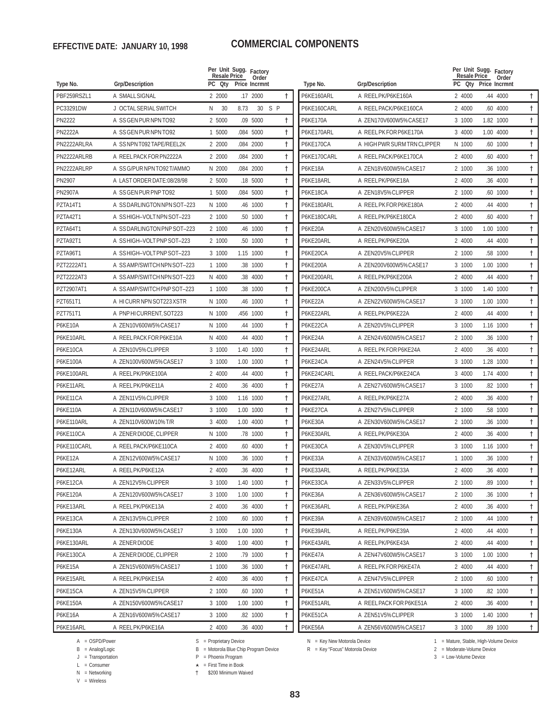|                 |                             | <b>Resale Price</b> | Per Unit Sugg. Factory<br>Order |                 |                             | Per Unit Sugg. Factory<br><b>Resale Price</b><br>Order |
|-----------------|-----------------------------|---------------------|---------------------------------|-----------------|-----------------------------|--------------------------------------------------------|
| Type No.        | <b>Grp/Description</b>      | PC Qtv              | Price Incrmnt                   | Type No.        | <b>Grp/Description</b>      | <b>Qty</b> Price Incrmnt<br>PC                         |
| PBF259RSZL1     | A SMALLSIGNAL               | 2 2000              | .17 2000<br>$^{\dagger}$        | P6KE160ARL      | A REELPK/P6KE160A           | $\ddagger$<br>2 4000<br>.44 4000                       |
| PC33291DW       | J OCTAL SERIAL SWITCH       | N<br>30             | 30 S P<br>8.73                  | P6KE160CARL     | A REELPACK/P6KE160CA        | 2 4000<br>.60 4000<br>$^+$                             |
| PN2222          | A SS GEN PUR NPN TO92       | 2 5000              | .09<br>5000<br>$^{\dagger}$     | <b>P6KE170A</b> | A ZEN170V600W5%CASE17       | $\ddagger$<br>1.82 1000<br>3 1000                      |
| <b>PN2222A</b>  | A SS GEN PUR NPN TO92       | 1 5000              | $^{\dagger}$<br>.084 5000       | P6KE170ARL      | A REELPKFORP6KE170A         | $\dagger$<br>3 4000<br>1.00 4000                       |
| PN2222ARLRA     | A SS NPN T092 TAPE/REEL2K   | 2 2000              | .084 2000<br>$^{\dagger}$       | P6KE170CA       | A HIGH PWR SURM TRN CLIPPER | $\ddagger$<br>N 1000<br>.60 1000                       |
| PN2222ARLRB     | A REELPACK FOR PN2222A      | 2 2000              | $\ddagger$<br>.084 2000         | P6KE170CARL     | A REEL PACK/P6KE170CA       | .60 4000<br>$\ddagger$<br>2 4000                       |
| PN2222ARLRP     | A SS G/PUR NPN TO92 T/AMMO  | N 2000              | .084 2000<br>$\ddagger$         | P6KE18A         | A ZEN18V600W5%CASE17        | 2 1000<br>.36 1000<br>$^{\dagger}$                     |
| PN2907          | A LAST ORDER DATE:08/28/98  | 2 5000              | $\ddagger$<br>.18 5000          | P6KE18ARL       | A REELPK/P6KE18A            | $\ddagger$<br>2 4000<br>.36 4000                       |
| <b>PN2907A</b>  | A SS GEN PUR PNP TO92       | 1 5000              | $^{\dagger}$<br>.084 5000       | P6KE18CA        | A ZEN18V5% CLIPPER          | 2 1000<br>.60 1000<br>$^\dagger$                       |
| PZTA14T1        | A SSDARLINGTON NPN SOT-223  | N 1000              | $\ddagger$<br>.46 1000          | P6KE180ARL      | A REELPKFORP6KE180A         | $\ddagger$<br>2 4000<br>.44 4000                       |
| PZTA42T1        | A SSHIGH-VOLT NPN SOT-223   | 2 1000              | $^+$<br>.50 1000                | P6KE180CARL     | A REELPK/P6KE180CA          | $^+$<br>2 4000<br>.60 4000                             |
| PZTA64T1        | A SS DARLINGTON PNP SOT-223 | 2 1000              | $^{\dagger}$<br>.46 1000        | P6KE20A         | A ZEN20V600W5%CASE17        | $\ddagger$<br>1.00 1000<br>3 1000                      |
| PZTA92T1        | A SSHIGH-VOLT PNP SOT-223   | 2 1000              | $^{\dagger}$<br>.50 1000        | P6KE20ARL       | A REELPK/P6KE20A            | $\dagger$<br>2 4000<br>.44 4000                        |
| PZTA96T1        | A SSHIGH-VOLT PNP SOT-223   | 3 1000              | $^{\dagger}$<br>1.15 1000       | P6KE20CA        | A ZEN20V5% CLIPPER          | $\ddagger$<br>2 1000<br>.58 1000                       |
| PZT2222AT1      | A SSAMP/SWITCH NPN SOT-223  | 1 1000              | .38 1000<br>$^{\dagger}$        | P6KE200A        | A ZEN200V600W5%CASE17       | $\ddagger$<br>3 1000<br>1.00 1000                      |
| PZT2222AT3      | A SSAMP/SWITCH NPN SOT-223  | N 4000              | .38 4000<br>$\ddagger$          | P6KE200ARL      | A REELPK/P6KE200A           | 2 4000<br>.44 4000<br>$^{\dagger}$                     |
| PZT2907AT1      | A SSAMP/SWITCH PNP SOT-223  | 1 1000              | $\ddagger$<br>38 1000           | P6KE200CA       | A ZEN200V5% CLIPPER         | $\ddagger$<br>3 1000<br>1.40 1000                      |
| PZT651T1        | A HICURR NPN SOT223 XSTR    | N 1000              | $^{\dagger}$<br>.46 1000        | P6KE22A         | A ZEN22V600W5% CASE17       | 3 1000<br>1.00 1000<br>$^\dagger$                      |
| PZT751T1        | A PNP HI CURRENT, SOT223    | N 1000              | $^{\dagger}$<br>.456 1000       | P6KE22ARL       | A REELPK/P6KE22A            | 2 4000<br>.44 4000<br>$\ddagger$                       |
| P6KE10A         | A ZEN10V600W5%CASE17        | N 1000              | $^{\dagger}$<br>.44 1000        | P6KE22CA        | A ZEN20V5% CLIPPER          | $^+$<br>3 1000<br>1.16 1000                            |
| P6KE10ARL       | A REELPACK FOR P6KE10A      | N 4000              | $^{\dagger}$<br>.44 4000        | P6KE24A         | A ZEN24V600W5% CASE17       | $\ddagger$<br>.36 1000<br>2 1000                       |
| P6KE10CA        | A ZEN10V5% CLIPPER          | 3 1000              | $^{\dagger}$<br>1.40 1000       | P6KE24ARL       | A REELPKFORP6KE24A          | $\dagger$<br>2 4000<br>.36 4000                        |
| <b>P6KE100A</b> | A ZEN100V600W5%CASE17       | 3 1000              | 1.00 1000<br>$^{\dagger}$       | P6KE24CA        | A ZEN24V5% CLIPPER          | 3 1000<br>$\ddagger$<br>1.28 1000                      |
| P6KE100ARL      | A REELPK/P6KE100A           | 2 4000              | .44 4000<br>$^{\dagger}$        | P6KE24CARL      | A REELPACK/P6KE24CA         | 3 4000<br>$\ddagger$<br>1.74 4000                      |
| P6KE11ARL       | A REELPK/P6KE11A            | 2 4000              | .36 4000<br>$^{\dagger}$        | P6KE27A         | A ZEN27V600W5%CASE17        | 3 1000<br>.82 1000<br>$^{\dagger}$                     |
| P6KE11CA        | A ZEN11V5% CLIPPER          | 3 1000              | $\ddagger$<br>1.16 1000         | P6KE27ARL       | A REELPK/P6KE27A            | $\ddagger$<br>2 4000<br>.36 4000                       |
| <b>P6KE110A</b> | A ZEN110V600W5%CASE17       | 3 1000              | $^{\dagger}$<br>1.00 1000       | P6KE27CA        | A ZEN27V5% CLIPPER          | 2 1000<br>.58 1000<br>$^\dagger$                       |
| P6KE110ARL      | A ZEN110V600W10%T/R         | 3 4000              | $^{\dagger}$<br>1.00 4000       | P6KE30A         | A ZEN30V600W5%CASE17        | 2 1000<br>.36 1000<br>$\ddagger$                       |
| P6KE110CA       | A ZENER DIODE, CLIPPER      | N 1000              | $^{\dagger}$<br>.78 1000        | P6KE30ARL       | A REELPK/P6KE30A            | 2 4000<br>.36 4000<br>$^+$                             |
| P6KE110CARL     | A REELPACK/P6KE110CA        | 2 4000              | $^+$<br>.60 4000                | P6KE30CA        | A ZEN30V5% CLIPPER          | $\ddagger$<br>1.16 1000<br>3 1000                      |
| P6KE12A         | A ZEN12V600W5%CASE17        | N 1000              | $^{\dagger}$<br>.36 1000        | P6KE33A         | A ZEN33V600W5%CASE17        | $\dagger$<br>1 1000<br>.36 1000                        |
| P6KE12ARL       | A REELPK/P6KE12A            | 2 4000              | $^+$<br>.36 4000                | P6KE33ARL       | A REELPK/P6KE33A            | 2 4000<br>$\dagger$<br>.36 4000                        |
| P6KE12CA        | A ZEN12V5% CLIPPER          | 3 1000              | $^{\dagger}$<br>1.40 1000       | P6KE33CA        | A ZEN33V5% CLIPPER          | $^+$<br>2 1000<br>.89 1000                             |
| <b>P6KE120A</b> | A ZEN120V600W5%CASE17       | 3 1000              | 1.00 1000<br>$^{\dagger}$       | P6KE36A         | A ZEN36V600W5%CASE17        | 2 1000<br>.36 1000<br>Ť.                               |
| P6KE13ARL       | A REELPK/P6KE13A            | 2 4000              | $^{\dagger}$<br>.36 4000        | P6KE36ARL       | A REELPK/P6KE36A            | .36 4000<br>t<br>2 4000                                |
| P6KE13CA        | A ZEN13V5% CLIPPER          | 2 1000              | .60 1000<br>t.                  | P6KE39A         | A ZEN39V600W5%CASE17        | $^{\dagger}$<br>2 1000<br>.44 1000                     |
| <b>P6KE130A</b> | A ZEN130V600W5%CASE17       | 3 1000              | $^\dagger$<br>1.00 1000         | P6KE39ARL       | A REELPK/P6KE39A            | 2 4000<br>$^{\dagger}$<br>.44 4000                     |
| P6KE130ARL      | A ZENERDIODE                | 3 4000              | $^{\dagger}$<br>1.00 4000       | P6KE43ARL       | A REELPK/P6KE43A            | 2 4000<br>Ť.<br>.44 4000                               |
| P6KE130CA       | A ZENERDIODE, CLIPPER       | 2 1000              | $^{\dagger}$<br>.79 1000        | P6KE47A         | A ZEN47V600W5%CASE17        | 1.00 1000<br>3 1000<br>Ť                               |
| P6KE15A         | A ZEN15V600W5%CASE17        | 1 1000              | $^{\dagger}$<br>.36 1000        | P6KE47ARL       | A REELPKFORP6KE47A          | $^{\dagger}$<br>2 4000<br>.44 4000                     |
| P6KE15ARL       | A REELPK/P6KE15A            | 2 4000              | .36 4000<br>$^{\dagger}$        | P6KE47CA        | A ZEN47V5% CLIPPER          | 2 1000<br>.60 1000<br>$^{\dagger}$                     |
| P6KE15CA        | A ZEN15V5% CLIPPER          | 2 1000              | .60 1000<br>$^{\dagger}$        | P6KE51A         | A ZEN51V600W5%CASE17        | $^{\dagger}$<br>3 1000<br>.82 1000                     |
| <b>P6KE150A</b> | A ZEN150V600W5%CASE17       | 3 1000              | 1.00 1000<br>Ť.                 | P6KE51ARL       | A REELPACK FOR P6KE51A      | .36 4000<br>2 4000<br>Ť.                               |
| P6KE16A         | A ZEN16V600W5%CASE17        | 3 1000              | $^{\dagger}$<br>.82 1000        | P6KE51CA        | A ZEN51V5% CLIPPER          | 1.40 1000<br>Ť.<br>3 1000                              |
| P6KE16ARL       | A REELPK/P6KE16A            | 2 4000              | $^{\dagger}$<br>.36 4000        | P6KE56A         | A ZEN56V600W5% CASE17       | $^+$<br>3 1000<br>.89 1000                             |

- 
- $L = \text{Consumer}$ <br>  $N = \text{Networking}$ <br>  $V = \text{Wireless}$

B = Analog/Logic entropyrology by B = Motorola Blue Chip Program Device R = Key "Focus" Motorola Device 2 = Moderate-Volume Device

- $L =$  Consumer  $\star =$  First Time in Book
- N = Networking and the state of the state of the state of the state of the state of the state of the state of the state of the state of the state of the state of the state of the state of the state of the state of the st
- **83**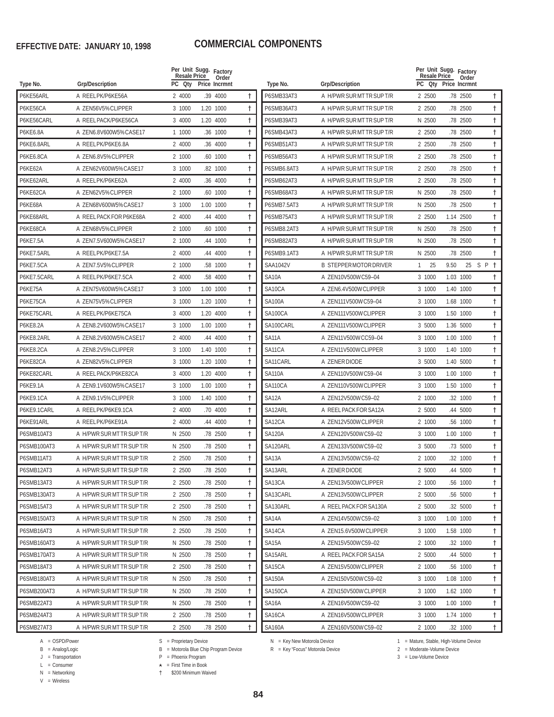| Type No.        | <b>Grp/Description</b>    | Per Unit Sugg. Factory<br><b>Resale Price</b><br>Order<br>PC Qty<br>Price Incrmnt | Type No.           | <b>Grp/Description</b>      | Per Unit Sugg. Factory<br>Resale Price<br>Order<br>PC Qty Price Incrmnt |
|-----------------|---------------------------|-----------------------------------------------------------------------------------|--------------------|-----------------------------|-------------------------------------------------------------------------|
| P6KE56ARL       | A REELPK/P6KE56A          | 2 4000<br>.39 4000<br>$\ddagger$                                                  | P6SMB33AT3         | A H/PWR SURMT TR SUP T/R    | 2 2500<br>.78 2500<br>$^+$                                              |
| P6KE56CA        | A ZEN56V5% CLIPPER        | 3 1000<br>1.20 1000<br>$^{\dagger}$                                               | P6SMB36AT3         | A H/PWR SURMT TR SUP T/R    | $\ddagger$<br>2 2500<br>.78 2500                                        |
| P6KE56CARL      | A REELPACK/P6KE56CA       | 3 4000<br>1.20 4000<br>$\ddagger$                                                 | P6SMB39AT3         | A H/PWR SURMT TR SUP T/R    | $\ddagger$<br>N 2500<br>.78 2500                                        |
| P6KE6.8A        | A ZEN6.8V600W5%CASE17     | $^{\dagger}$<br>1 1000<br>.36 1000                                                | P6SMB43AT3         | A H/PWR SURMT TR SUP T/R    | $^+$<br>2 2500<br>.78 2500                                              |
| P6KE6.8ARL      | A REELPK/P6KE6.8A         | 2 4000<br>.36 4000<br>$\ddagger$                                                  | P6SMB51AT3         | A H/PWR SURMT TR SUP T/R    | $^+$<br>2 2500<br>.78 2500                                              |
| P6KE6.8CA       | A ZEN6.8V5% CLIPPER       | $\ddagger$<br>2 1000<br>.60 1000                                                  | P6SMB56AT3         | A H/PWR SURMT TR SUP T/R    | $^+$<br>2 2500<br>.78 2500                                              |
| P6KE62A         | A ZEN62V600W5%CASE17      | .82 1000<br>$\ddagger$<br>3 1000                                                  | P6SMB6.8AT3        | A H/PWR SURMT TR SUP T/R    | $\dagger$<br>.78 2500<br>2 2500                                         |
| P6KE62ARL       | A REELPK/P6KE62A          | .36 4000<br>$\ddagger$<br>2 4000                                                  | <b>P6SMB62AT3</b>  | A H/PWR SURMT TR SUP T/R    | 2 2500<br>.78 2500<br>$^{\dagger}$                                      |
| P6KE62CA        | A ZEN62V5% CLIPPER        | 2 1000<br>.60 1000<br>$\ddagger$                                                  | P6SMB68AT3         | A H/PWR SURMT TR SUP T/R    | .78 2500<br>$\ddagger$<br>N 2500                                        |
| P6KE68A         | A ZEN68V600W5%CASE17      | 3 1000<br>1.00 1000                                                               |                    | A H/PWR SURMT TR SUP T/R    | $^{\dagger}$<br>N 2500<br>.78 2500                                      |
|                 |                           | $^{\dagger}$                                                                      | P6SMB7.5AT3        |                             | $\ddagger$                                                              |
| P6KE68ARL       | A REELPACK FOR P6KE68A    | $^{\dagger}$<br>2 4000<br>.44 4000                                                | P6SMB75AT3         | A H/PWR SURMT TR SUP T/R    | 2 2500<br>1.14 2500                                                     |
| P6KE68CA        | A ZEN68V5% CLIPPER        | 2 1000<br>.60 1000<br>$\ddagger$                                                  | P6SMB8.2AT3        | A H/PWR SURMT TR SUP T/R    | $\ddagger$<br>N 2500<br>.78 2500                                        |
| <b>P6KE7.5A</b> | A ZEN7.5V600W5%CASE17     | $^{\dagger}$<br>2 1000<br>.44 1000                                                | P6SMB82AT3         | A H/PWR SURMT TR SUP T/R    | $^+$<br>N 2500<br>.78 2500                                              |
| P6KE7.5ARL      | A REELPK/P6KE7.5A         | 2 4000<br>.44 4000<br>$\ddagger$                                                  | P6SMB9.1AT3        | A H/PWR SURMT TR SUP T/R    | $^+$<br>.78 2500<br>N 2500                                              |
| P6KE7.5CA       | A ZEN7.5V5% CLIPPER       | $\ddagger$<br>.58 1000<br>2 1000                                                  | <b>SAA1042V</b>    | <b>B STEPPERMOTORDRIVER</b> | $+$<br>S P<br>25<br>9.50<br>25<br>1                                     |
| P6KE7.5CARL     | A REELPK/P6KE7.5CA        | $\ddagger$<br>2 4000<br>.58 4000                                                  | <b>SA10A</b>       | A ZEN10V500WC59-04          | 3 1000<br>1.03 1000                                                     |
| P6KE75A         | A ZEN75V600W5%CASE17      | $\ddagger$<br>3 1000<br>1.00 1000                                                 | SA10CA             | A ZEN6.4V500WCLIPPER        | 3 1000<br>1.40 1000<br>$^{\dagger}$                                     |
| P6KE75CA        | A ZEN75V5% CLIPPER        | 3 1000<br>1.20 1000<br>$\ddagger$                                                 | <b>SA100A</b>      | A ZEN111V500WC59-04         | $\ddagger$<br>3 1000<br>1.68 1000                                       |
| P6KE75CARL      | A REELPK/P6KE75CA         | 3 4000<br>1.20 4000<br>$^{\dagger}$                                               | SA100CA            | A ZEN111V500WCLIPPER        | $^{\dagger}$<br>3 1000<br>1.50 1000                                     |
| <b>P6KE8.2A</b> | A ZEN8.2V600W5%CASE17     | 3 1000<br>1.00 1000<br>$^+$                                                       | SA100CARL          | A ZEN111V500WCLIPPER        | $\ddagger$<br>3 5000<br>1.36 5000                                       |
| P6KE8.2ARL      | A ZEN8.2V600W5%CASE17     | 2 4000<br>.44 4000<br>$\ddagger$                                                  | SA11A              | A ZEN11V500WCC59-04         | 3 1000<br>1.00 1000                                                     |
| P6KE8.2CA       | A ZEN8.2V5% CLIPPER       | $^{\dagger}$<br>3 1000<br>1.40 1000                                               | SA11CA             | A ZEN11V500WCLIPPER         | $^+$<br>3 1000<br>1.40 1000                                             |
| P6KE82CA        | A ZEN82V5% CLIPPER        | $\ddagger$<br>3 1000<br>1.20 1000                                                 | SA11CARL           | A ZENERDIODE                | $^+$<br>3 5000<br>1.40 5000                                             |
| P6KE82CARL      | A REELPACK/P6KE82CA       | $^{\dagger}$<br>3 4000<br>1.20 4000                                               | <b>SA110A</b>      | A ZEN110V500WC59-04         | $^+$<br>3 1000<br>1.00 1000                                             |
| <b>P6KE9.1A</b> | A ZEN9.1V600W5%CASE17     | 3 1000<br>1.00 1000<br>$\ddagger$                                                 | SA110CA            | A ZEN110V500WCLIPPER        | $\dagger$<br>3 1000<br>1.50 1000                                        |
| P6KE9.1CA       | A ZEN9.1V5% CLIPPER       | 1.40 1000<br>$\ddagger$<br>3 1000                                                 | SA12A              | A ZEN12V500WC59-02          | $^{\dagger}$<br>2 1000<br>.32 1000                                      |
| P6KE9.1CARL     | A REELPK/P6KE9.1CA        | .70 4000<br>2 4000<br>$\ddagger$                                                  | SA12ARL            | A REEL PACK FOR SA12A       | $\ddagger$<br>2 5000<br>.44 5000                                        |
| P6KE91ARL       | A REELPK/P6KE91A          | 2 4000<br>.44 4000<br>$^{\dagger}$                                                | SA12CA             | A ZEN12V500WCLIPPER         | $\ddagger$<br>2 1000<br>.56 1000                                        |
| P6SMB10AT3      | A H/PWR SURMT TR SUP T/R  | N 2500<br>.78 2500<br>$\ddagger$                                                  | <b>SA120A</b>      | A ZEN120V500WC59-02         | $\ddagger$<br>3 1000<br>1.00 1000                                       |
| P6SMB100AT3     | A H/PWR SURMT TR SUP T/R  | N 2500<br>.78 2500<br>$\ddagger$                                                  | SA120ARL           | A ZEN133V500WC59-02         | $\ddagger$<br>3 5000<br>.73 5000                                        |
| P6SMB11AT3      | A H/PWR SURMT TR SUP T/R  | $\ddagger$<br>2 2500<br>.78 2500                                                  | SA13A              | A ZEN13V500WC59-02          | $\dagger$<br>2 1000<br>.32 1000                                         |
| P6SMB12AT3      | A H/PWR SURMT TR SUP T/R  | $\ddagger$<br>2 2500<br>.78 2500                                                  | SA13ARL            | A ZENERDIODE                | $\ddagger$<br>2 5000<br>.44 5000                                        |
| P6SMB13AT3      | A H/PWR SURMT TR SUP T/R  | $\ddagger$<br>.78 2500<br>2 2500                                                  | SA13CA             | A ZEN13V500WCLIPPER         | $^+$<br>2 1000<br>.56 1000                                              |
| P6SMB130AT3     | A H/PWR SUR MT TR SUP T/R | $\dagger$<br>2 2500<br>.78 2500                                                   | SA13CARL           | A ZEN13V500WCLIPPER         | $\dagger$<br>2 5000<br>.56 5000                                         |
| P6SMB15AT3      | A H/PWR SUR MT TR SUP T/R | 2 2500<br>.78 2500<br>t                                                           | SA130ARL           | A REEL PACK FOR SA130A      | $^+$<br>2 5000<br>.32 5000                                              |
| P6SMB150AT3     | A H/PWR SURMT TR SUP T/R  | N 2500<br>.78 2500<br>$^\dagger$                                                  | SA14A              | A ZEN14V500WC59-02          | $\dagger$<br>3 1000<br>1.00 1000                                        |
| P6SMB16AT3      | A H/PWR SUR MT TR SUP T/R | 2 2500<br>.78 2500<br>t                                                           | SA14CA             | A ZEN15.6V500WCLIPPER       | $\ddagger$<br>3 1000<br>1.58 1000                                       |
| P6SMB160AT3     | A H/PWR SUR MT TR SUP T/R | $^\dagger$<br>N 2500<br>.78 2500                                                  | SA <sub>15</sub> A | A ZEN15V500WC59-02          | $\ddagger$<br>2 1000<br>.32 1000                                        |
| P6SMB170AT3     | A H/PWR SUR MT TR SUP T/R | N 2500<br>.78 2500<br>t                                                           | SA15ARL            | A REEL PACK FOR SA15A       | 2 5000<br>$^{\dagger}$<br>.44 5000                                      |
| P6SMB18AT3      | A H/PWR SUR MT TR SUP T/R | $^\dagger$<br>2 2500<br>.78 2500                                                  | SA15CA             | A ZEN15V500WCLIPPER         | $^+$<br>2 1000<br>.56 1000                                              |
| P6SMB180AT3     | A H/PWR SURMT TR SUP T/R  | $\ddagger$<br>N 2500<br>.78 2500                                                  | <b>SA150A</b>      | A ZEN150V500WC59-02         | $^{\dagger}$<br>3 1000<br>1.08 1000                                     |
| P6SMB200AT3     | A H/PWR SUR MT TR SUP T/R | $^{\dagger}$<br>N 2500<br>.78 2500                                                | SA150CA            | A ZEN150V500WCLIPPER        | $^+$<br>3 1000<br>1.62 1000                                             |
| P6SMB22AT3      | A H/PWR SUR MT TR SUP T/R | $\dagger$<br>N 2500<br>.78 2500                                                   | SA <sub>16</sub> A | A ZEN16V500WC59-02          | $\dagger$<br>3 1000<br>1.00 1000                                        |
| P6SMB24AT3      | A H/PWR SUR MT TR SUP T/R | 2 2500<br>.78 2500<br>$^{\dagger}$                                                | SA16CA             | A ZEN16V500WCLIPPER         | 3 1000<br>1.74 1000<br>$^+$                                             |
| P6SMB27AT3      | A H/PWR SURMT TR SUP T/R  | 2 2500<br>.78 2500<br>$\ddagger$                                                  | <b>SA160A</b>      | A ZEN160V500WC59-02         | $^+$<br>2 1000<br>.32 1000                                              |

 $L = \text{Consumer}$ <br>  $N = \text{Networking}$ <br>  $V = \text{Wireless}$ 

B = Analog/Logic entropy of the Motorola Blue Chip Program Device R = Key "Focus" Motorola Device 2 = Moderate-Volume Device

A = OSPD/Power external states and S = Proprietary Device N = Key New Motorola Device 1 = Mature, Stable, High-Volume Device

- J = Transportation P = Phoenix Program 3 = Low-Volume Device
- $L =$  Consumer  $\star =$  First Time in Book
- N = Networking extensive that the state of the state of the state of the state of the state of the state of the state of the state of the state of the state of the state of the state of the state of the state of the state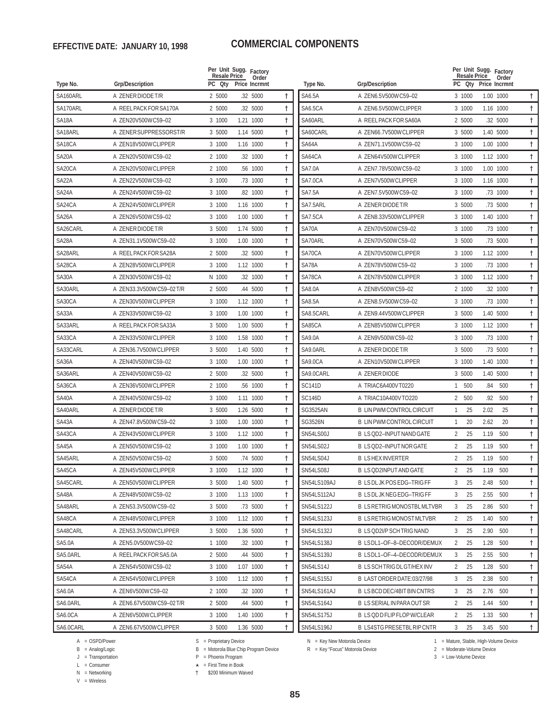|                     |                         | Per Unit Sugg. Factory<br><b>Resale Price</b> |                 |                                   | Per Unit Sugg. Factory<br><b>Resale Price</b>   |
|---------------------|-------------------------|-----------------------------------------------|-----------------|-----------------------------------|-------------------------------------------------|
| Type No.            | <b>Grp/Description</b>  | Order<br>PC Qty<br>Price Incrmnt              | Type No.        | <b>Grp/Description</b>            | Order<br>PC Qtv<br>Price Incrmnt                |
| SA160ARL            | A ZENER DIODE T/R       | 2 5000<br>.32 5000<br>$^{\dagger}$            | SA6.5A          | A ZEN6.5V500WC59-02               | 3 1000<br>1.00 1000<br>$^+$                     |
| SA170ARL            | A REELPACK FOR SA170A   | 2 5000<br>.32 5000<br>$^+$                    | SA6.5CA         | A ZEN6.5V500WCLIPPER              | 3 1000<br>1.16 1000<br>$\ddagger$               |
| SA18A               | A ZEN20V500WC59-02      | $^{\dagger}$<br>3 1000<br>1.21 1000           | SA60ARL         | A REEL PACK FOR SA60A             | $\ddagger$<br>2 5000<br>.32 5000                |
| SA18ARL             | A ZENERSUPPRESSORST/R   | $^{\dagger}$<br>3 5000<br>1.14 5000           | SA60CARL        | A ZEN66.7V500WCLIPPER             | $^+$<br>3 5000<br>1.40 5000                     |
| SA18CA              | A ZEN18V500WCLIPPER     | $^{\dagger}$<br>3 1000<br>1.16 1000           | SA64A           | A ZEN71.1V500WC59-02              | 3 1000<br>1.00 1000<br>$^+$                     |
| SA20A               | A ZEN20V500WC59-02      | $\ddagger$<br>2 1000<br>.32 1000              | SA64CA          | A ZEN64V500WCLIPPER               | $\ddagger$<br>3 1000<br>1.12 1000               |
| SA20CA              | A ZEN20V500WCLIPPER     | 2 1000<br>$^{\dagger}$<br>.56 1000            | <b>SA7.0A</b>   | A ZEN7.78V500WC59-02              | 1.00 1000<br>$\ddagger$<br>3 1000               |
| SA22A               | A ZEN22V500WC59-02      | $\ddagger$<br>3 1000<br>.73 1000              | SA7.0CA         | A ZEN7V500WCLIPPER                | $^{\dagger}$<br>3 1000<br>1.16 1000             |
| SA24A               | A ZEN24V500WC59-02      | 3 1000<br>.82 1000<br>t                       | <b>SA7.5A</b>   | A ZEN7.5V500WC59-02               | 3 1000<br>.73 1000<br>$^{\dagger}$              |
| SA24CA              | A ZEN24V500WCLIPPER     | $^{\dagger}$<br>3 1000<br>1.16 1000           | SA7.5ARL        | A ZENER DIODE T/R                 | $^{\dagger}$<br>3 5000<br>.73 5000              |
| SA <sub>26</sub> A  | A ZEN26V500WC59-02      | $^+$<br>3 1000<br>1.00 1000                   | SA7.5CA         | A ZEN8.33V500WCLIPPER             | $^+$<br>3 1000<br>1.40 1000                     |
| SA26CARL            | A ZENER DIODE T/R       | $\ddagger$<br>3 5000<br>1.74 5000             | SA70A           | A ZEN70V500WC59-02                | $\ddagger$<br>3 1000<br>.73 1000                |
| SA <sub>28</sub> A  | A ZEN31.1V500WC59-02    | $^{\dagger}$<br>3 1000<br>1.00 1000           | SA70ARL         | A ZEN70V500WC59-02                | $^+$<br>3 5000<br>.73 5000                      |
| SA28ARL             | A REELPACK FOR SA28A    | .32 5000<br>$^{\dagger}$<br>2 5000            | SA70CA          | A ZEN70V500WCLIPPER               | $\ddagger$<br>3 1000<br>1.12 1000               |
| SA <sub>28</sub> CA | A ZEN28V500WCLIPPER     | $^{\dagger}$<br>3 1000<br>1.12 1000           | SA78A           | A ZEN78V500WC59-02                | $\ddagger$<br>3 1000<br>.73 1000                |
| SA30A               | A ZEN30V500WC59-02      | N 1000<br>.32 1000<br>$^{\dagger}$            | SA78CA          | A ZEN78V500WCLIPPER               | $\ddagger$<br>3 1000<br>1.12 1000               |
| SA30ARL             | A ZEN33.3V500WC59-02T/R | $\ddagger$<br>.44 5000<br>2 5000              | <b>SA8.0A</b>   | A ZEN8V500WC59-02                 | $^{\dagger}$<br>2 1000<br>.32 1000              |
| SA30CA              | A ZEN30V500WCLIPPER     | 3 1000<br>1.12 1000<br>t                      | <b>SA8.5A</b>   | A ZEN8.5V500WC59-02               | 3 1000<br>.73 1000<br>$^{\dagger}$              |
| SA33A               | A ZEN33V500WC59-02      | $\ddagger$<br>3 1000<br>1.00 1000             | SA8.5CARL       | A ZEN9.44V500WCLIPPER             | $^{\dagger}$<br>3 5000<br>1.40 5000             |
| SA33ARL             | A REEL PACK FOR SA33A   | 3 5000<br>1.00 5000<br>$^+$                   | SA85CA          | A ZEN85V500WCLIPPER               | 3 1000<br>1.12 1000<br>$^{\dagger}$             |
| SA33CA              | A ZEN33V500WCLIPPER     | $\ddagger$<br>3 1000<br>1.58 1000             | <b>SA9.0A</b>   | A ZEN9V500WC59-02                 | $\ddagger$<br>3 1000<br>.73 1000                |
| SA33CARL            | A ZEN36.7V500WCLIPPER   | $^{\dagger}$<br>3 5000<br>1.40 5000           | SA9.0ARL        | A ZENER DIODE T/R                 | $^+$<br>3 5000<br>.73 5000                      |
| SA36A               | A ZEN40V500WC59-02      | $^{\dagger}$<br>3 1000<br>1.00 1000           | SA9.0CA         | A ZEN10V500WCLIPPER               | $\ddagger$<br>3 1000<br>1.40 1000               |
| SA36ARL             | A ZEN40V500WC59-02      | $^{\dagger}$<br>2 5000<br>.32 5000            | SA9.0CARL       | A ZENER DIODE                     | $\ddagger$<br>3 5000<br>1.40<br>5000            |
| SA36CA              | A ZEN36V500WCLIPPER     | 2 1000<br>.56 1000<br>$^{\dagger}$            | <b>SC141D</b>   | A TRIAC6A400VT0220                | 500<br>500<br>$\ddagger$<br>$\mathbf{1}$<br>.84 |
| SA40A               | A ZEN40V500WC59-02      | $\ddagger$<br>1.11 1000<br>3 1000             | <b>SC146D</b>   | A TRIAC10A400VTO220               | 2 500<br>500<br>$^+$<br>.92                     |
| SA40ARL             | A ZENER DIODE T/R       | 3 5000<br>1.26 5000<br>t                      | <b>SG3525AN</b> | <b>B LINPWM CONTROL CIRCUIT</b>   | 25<br>2.02<br>25<br>$^{\dagger}$<br>1           |
| SA43A               | A ZEN47.8V500WC59-02    | $^{\dagger}$<br>3 1000<br>1.00 1000           | SG3526N         | <b>B LINPWMCONTROLCIRCUIT</b>     | $^{\dagger}$<br>20<br>2.62<br>20<br>1           |
| SA43CA              | A ZEN43V500WCLIPPER     | 3 1000<br>1.12 1000<br>$^+$                   | SN54LS00J       | B LS QD2-INPUT NAND GATE          | 25<br>1.19<br>500<br>$\ddagger$<br>2            |
| SA45A               | A ZEN50V500WC59-02      | $^{\dagger}$<br>3 1000<br>1.00 1000           | SN54LS02J       | B LS QD2-INPUT NOR GATE           | $\ddagger$<br>2<br>25<br>1.19<br>500            |
| SA45ARL             | A ZEN50V500WC59-02      | $^\dagger$<br>3 5000<br>.74 5000              | SN54LS04J       | <b>B LSHEXINVERTER</b>            | 25<br>500<br>$^+$<br>2<br>1.19                  |
| SA45CA              | A ZEN45V500WCLIPPER     | $\ddagger$<br>3 1000<br>1.12 1000             | SN54LS08J       | <b>B LS QD2INPUT AND GATE</b>     | 500<br>$^+$<br>2<br>25<br>1.19                  |
| SA45CARL            | A ZEN50V500WCLIPPER     | $^{\dagger}$<br>3 5000<br>1.40 5000           | SN54LS109AJ     | <b>B LSDLJKPOSEDG-TRIGFF</b>      | $^+$<br>3<br>25<br>2.48<br>500                  |
| SA48A               | A ZEN48V500WC59-02      | $^\dagger$<br>3 1000<br>1.13 1000             | SN54LS112AJ     | <b>B LSDLJKNEGEDG-TRIGFF</b>      | 25<br>2.55<br>500<br>3<br>$^+$                  |
| SA48ARL             | A ZEN53.3V500WC59-02    | $^{\dagger}$<br>.73 5000<br>3 5000            | SN54LS122J      | <b>B LS RETRIGMONOSTBLMLTVBR</b>  | 2.86<br>500<br>$^+$<br>3<br>25                  |
| SA48CA              | A ZEN48V500WCLIPPER     | 3 1000<br>1.12 1000<br>t                      | SN54LS123J      | <b>B LS RETRIG MONOST MLTVBR</b>  | 2<br>25<br>1.40<br>500<br>$^+$                  |
| SA48CARL            | A ZEN53.3V500WCLIPPER   | t<br>3 5000<br>1.36 5000                      | SN54LS132J      | B LS QD2I/P SCH TRIG NAND         | 2.90<br>3<br>25<br>500<br>$^+$                  |
| <b>SA5.0A</b>       | A ZEN5.0V500WC59-02     | $^\dagger$<br>1 1000<br>.32 1000              | SN54LS138J      | B LSDL1-OF-8-DECODR/DEMUX         | 2<br>25<br>1.28<br>500<br>$^+$                  |
| SA5.0ARL            | A REELPACK FOR SA5.0A   | $^\dagger$<br>2 5000<br>.44 5000              | SN54LS139J      | B LSDL1-OF-4-DECODR/DEMUX         | 500<br>3<br>25<br>2.55<br>$^+$                  |
| SA54A               | A ZEN54V500WC59-02      | $^{\dagger}$<br>3 1000<br>1.07 1000           | SN54LS14J       | <b>B LS SCHTRIG DL GT/HEX INV</b> | $\ddagger$<br>2<br>25<br>1.28<br>500            |
| SA54CA              | A ZEN54V500WCLIPPER     | t<br>3 1000<br>1.12 1000                      | SN54LS155J      | B LAST ORDER DATE:03/27/98        | 500<br>25<br>2.38<br>$^+$<br>3                  |
| <b>SA6.0A</b>       | A ZEN6V500WC59-02       | $\ddagger$<br>2 1000<br>.32 1000              | SN54LS161AJ     | B LS BCD DEC/4BIT BIN CNTRS       | $\ddagger$<br>25<br>2.76<br>500<br>3            |
| SA6.0ARL            | A ZEN6.67V500WC59-02T/R | $^{\dagger}$<br>2 5000<br>.44 5000            | SN54LS164J      | <b>B LS SERIAL IN PARA OUT SR</b> | 500<br>2<br>25<br>1.44<br>$^+$                  |
| SA6.0CA             | A ZEN6V500WCLIPPER      | $^{\dagger}$<br>3 1000<br>1.40 1000           | SN54LS175J      | <b>B LS QDD FLIP FLOP W/CLEAR</b> | 1.33<br>500<br>$^+$<br>2<br>25                  |
| SA6.0CARL           | A ZEN6.67V500WCLIPPER   | $^+$<br>3 5000<br>1.36 5000                   | SN54LS196J      | <b>B LS4STGPRESETBLRIPCNTR</b>    | $\mathbf{3}$<br>25<br>3.45 500<br>$+$           |

- $L =$  Consumer  $\star =$  First Time in Book
- N = Networking the three states of the states of the states of the states of the states of the states of the states of the states of the states of the states of the states of the states of the states of the states of the s

V = Wireless

\$200 Minimum Waived

B = Analog/Logic entropyrology by B = Motorola Blue Chip Program Device R = Key "Focus" Motorola Device 2 = Moderate-Volume Device

A = OSPD/Power external states and S = Proprietary Device N = Key New Motorola Device 1 = Mature, Stable, High-Volume Device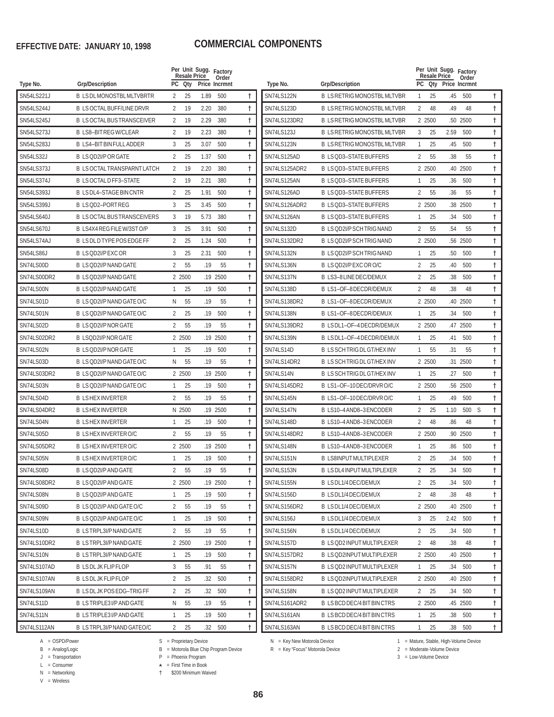|                   |                                    | <b>Resale Price</b>  | Per Unit Sugg. Factory    |                   |                                    | <b>Resale Price</b>  | Per Unit Sugg. Factory        |
|-------------------|------------------------------------|----------------------|---------------------------|-------------------|------------------------------------|----------------------|-------------------------------|
| Type No.          | <b>Grp/Description</b>             | PC Qtv               | Order<br>Price Incrmnt    | Type No.          | <b>Grp/Description</b>             |                      | Order<br>PC Qty Price Incrmnt |
| <b>SN54LS221J</b> | <b>B LSDLMONOSTBLMLTVBRTR</b>      | 25<br>2              | $\ddagger$<br>1.89<br>500 | <b>SN74LS122N</b> | <b>B LS RETRIGMONOSTBLMLTVBR</b>   | 25<br>1              | $\ddagger$<br>.45<br>500      |
| SN54LS244J        | <b>B LS OCTAL BUFF/LINE DRVR</b>   | 2<br>19              | 380<br>$\ddagger$<br>2.20 | SN74LS123D        | <b>B LS RETRIGMONOSTBLMLTVBR</b>   | 2<br>48              | 48<br>$\ddagger$<br>.49       |
| SN54LS245J        | <b>B LS OCTAL BUS TRANSCEIVER</b>  | 2<br>19              | $\ddagger$<br>2.29<br>380 | SN74LS123DR2      | <b>B LS RETRIGMONOSTBL MLTVBR</b>  | 2 2500               | $^\dagger$<br>.50 2500        |
| SN54LS273J        | <b>B LS8-BITREGW/CLEAR</b>         | 2<br>19              | $\ddagger$<br>380<br>2.23 | SN74LS123J        | <b>B LS RETRIGMONOSTBLMLTVBR</b>   | 3<br>25              | $\ddagger$<br>2.59<br>500     |
| SN54LS283J        | <b>B LS4-BIT BIN FULL ADDER</b>    | 3<br>25              | $\ddagger$<br>3.07<br>500 | SN74LS123N        | <b>B LS RETRIGMONOSTBLMLTVBR</b>   | 25<br>1              | $\ddagger$<br>500<br>.45      |
| <b>SN54LS32J</b>  | B LS QD2I/P OR GATE                | 25<br>2              | $\ddagger$<br>1.37<br>500 | SN74LS125AD       | <b>B LS QD3-STATE BUFFERS</b>      | 2<br>55              | $\ddagger$<br>.38<br>55       |
| SN54LS373J        | <b>B LS OCTAL TRANSPARNT LATCH</b> | 19<br>2              | $\ddagger$<br>2.20<br>380 | SN74LS125ADR2     | <b>B LS QD3-STATE BUFFERS</b>      | 2 2500               | $\dagger$<br>.40 2500         |
| SN54LS374J        | <b>B LS OCTALD FF3-STATE</b>       | 19<br>2              | 380<br>$\ddagger$<br>2.21 | SN74LS125AN       | <b>B LS QD3-STATE BUFFERS</b>      | 25<br>$\mathbf{1}$   | $\dagger$<br>500<br>.36       |
| SN54LS393J        | <b>B LS DL4-STAGE BIN CNTR</b>     | 25<br>2              | 500<br>1.91<br>$\ddagger$ | SN74LS126AD       | <b>B LS QD3-STATE BUFFERS</b>      | 2<br>55              | .36<br>$\ddagger$<br>55       |
| SN54LS399J        | <b>B LS QD2-PORT REG</b>           | 3<br>25              | 3.45<br>500<br>$\ddagger$ | SN74LS126ADR2     | <b>B LS QD3-STATE BUFFERS</b>      | 2 2500               | $\dagger$<br>.38 2500         |
| SN54LS640J        | <b>B LS OCTAL BUS TRANSCEIVERS</b> | 3<br>19              | 380<br>$\ddagger$<br>5.73 | SN74LS126AN       | <b>B LS QD3-STATE BUFFERS</b>      | 25<br>1              | $\dagger$<br>.34<br>500       |
| SN54LS670J        | B LS4X4 REG FILE W/3ST O/P         | 3<br>25              | 3.91<br>500<br>$\ddagger$ | SN74LS132D        | B LS QD2I/P SCHTRIG NAND           | 2<br>55              | $^\dagger$<br>.54<br>55       |
| SN54LS74AJ        | <b>B LS DLD TYPE POS EDGE FF</b>   | 25<br>2              | $\ddagger$<br>500<br>1.24 | SN74LS132DR2      | <b>B LS QD2I/P SCHTRIG NAND</b>    | 2 2500               | $\ddagger$<br>.56 2500        |
| SN54LS86J         | B LS QD2I/P EXC OR                 | 3<br>25              | $\ddagger$<br>2.31<br>500 | SN74LS132N        | B LS QD2I/P SCH TRIG NAND          | 25<br>1              | $\ddagger$<br>.50<br>500      |
| SN74LS00D         | B LS QD2I/P NAND GATE              | 55<br>2              | $\ddagger$<br>.19<br>55   | SN74LS136N        | B LS QD2I/P EXC OR O/C             | 25<br>2              | $\ddagger$<br>500<br>.40      |
| SN74LS00DR2       | B LS QD2I/P NAND GATE              | 2 2500               | $\ddagger$<br>.19 2500    | SN74LS137N        | B LS3-8 LINE DEC/DEMUX             | $\overline{2}$<br>25 | $\dagger$<br>.38<br>500       |
| SN74LS00N         | <b>B LS OD2I/P NAND GATE</b>       | 25<br>1              | $\ddagger$<br>.19<br>500  | <b>SN74LS138D</b> | B LS1-OF-8DECDR/DEMUX              | 2<br>48              | $\dagger$<br>.38<br>48        |
| <b>SN74LS01D</b>  | B LS QD2I/P NAND GATE O/C          | Ν<br>55              | .19<br>55<br>$\ddagger$   | SN74LS138DR2      | B LS1-OF-8DECDR/DEMUX              | 2 2500               | $\ddagger$<br>.40 2500        |
| SN74LS01N         | B LS QD2I/P NAND GATE O/C          | 2<br>25              | $\ddagger$<br>.19<br>500  | <b>SN74LS138N</b> | B LS1-OF-8DECDR/DEMUX              | 25<br>1              | $\dagger$<br>.34<br>500       |
| SN74LS02D         | <b>B LS QD2I/P NOR GATE</b>        | 55<br>2              | .19<br>55<br>$^{+}$       | SN74LS139DR2      | B LSDL1-OF-4DECDR/DEMUX            | 2 2500               | $\dagger$<br>.47 2500         |
| SN74LS02DR2       | <b>B LSQD2I/P NOR GATE</b>         | 2 2500               | .19 2500<br>$\ddagger$    | SN74LS139N        | B LSDL1-OF-4DECDR/DEMUX            | 25<br>1              | $\dagger$<br>500<br>.41       |
| SN74LS02N         | <b>B LS QD2I/P NOR GATE</b>        | 25<br>1              | $\ddagger$<br>.19<br>500  | SN74LS14D         | <b>B LS SCHTRIG DL GT/HEX INV</b>  | 55<br>$\mathbf{1}$   | $\ddagger$<br>.31<br>55       |
| SN74LS03D         | B LS QD2I/P NAND GATE O/C          | N<br>55              | $\ddagger$<br>.19<br>55   | SN74LS14DR2       | <b>B LS SCHTRIG DL GT/HEX INV</b>  | 2 2500               | $\ddagger$<br>.31 2500        |
| SN74LS03DR2       | B LS QD2I/P NAND GATE O/C          | 2 2500               | $\ddagger$<br>.19 2500    | SN74LS14N         | <b>B LS SCHTRIG DL GT/HEX INV</b>  | 25<br>1              | $\ddagger$<br>.27<br>500      |
| SN74LS03N         | B LS QD2I/P NAND GATE O/C          | 25<br>1              | $\ddagger$<br>.19<br>500  | SN74LS145DR2      | B LS1-OF-10DEC/DRVRO/C             | 2 2500               | $\ddagger$<br>.56 2500        |
| SN74LS04D         | <b>B LSHEXINVERTER</b>             | 2<br>55              | $\ddagger$<br>.19<br>55   | <b>SN74LS145N</b> | B LS1-OF-10DEC/DRVRO/C             | 25<br>$\mathbf{1}$   | $\dagger$<br>.49<br>500       |
| SN74LS04DR2       | <b>B LSHEXINVERTER</b>             | N 2500               | .19 2500<br>$\ddagger$    | <b>SN74LS147N</b> | B LS10-4AND8-3ENCODER              | 2<br>25              | 500 S<br>$\ddagger$<br>1.10   |
| SN74LS04N         | <b>B LSHEXINVERTER</b>             | 25<br>1              | .19<br>500<br>$\ddagger$  | <b>SN74LS148D</b> | B LS10-4AND8-3ENCODER              | 2<br>48              | $\dagger$<br>.86<br>48        |
| SN74LS05D         | <b>B LSHEXINVERTERO/C</b>          | 55<br>2              | .19<br>55<br>$^{+}$       | SN74LS148DR2      | B LS10-4AND8-3ENCODER              | 2 2500               | $\dagger$<br>.90 2500         |
| SN74LS05DR2       | <b>B LSHEXINVERTERO/C</b>          | 2 2500               | .19 2500<br>$\ddagger$    | SN74LS148N        | B LS10-4AND8-3ENCODER              | 25<br>1              | $^\dagger$<br>.86<br>500      |
| SN74LS05N         | <b>B LSHEXINVERTERO/C</b>          | 25<br>1              | $\ddagger$<br>500<br>.19  | <b>SN74LS151N</b> | <b>B LS8INPUTMULTIPLEXER</b>       | 25<br>2              | $\ddagger$<br>500<br>.34      |
| SN74LS08D         | B LS QD2I/P AND GATE               | 55<br>$\overline{2}$ | $\ddagger$<br>55<br>.19   | SN74LS153N        | <b>B LS DL4 INPUT MULTIPLEXER</b>  | 25<br>2              | $\ddagger$<br>.34<br>500      |
| SN74LS08DR2       | B LS QD2I/P AND GATE               | 2 2500               | $\ddagger$<br>.19 2500    | SN74LS155N        | B LS DL1/4 DEC/DEMUX               | 25<br>2              | $\ddagger$<br>500<br>.34      |
| SN74LS08N         | B LS QD2I/P AND GATE               | 25<br>$\mathbf{1}$   | $\ddagger$<br>.19<br>500  | <b>SN74LS156D</b> | B LS DL1/4 DEC/DEMUX               | $\overline{2}$<br>48 | $\dagger$<br>.38<br>48        |
| SN74LS09D         | B LS QD2I/P AND GATE O/C           | 55<br>$\overline{2}$ | $\dagger$<br>.19<br>55    | SN74LS156DR2      | B LS DL1/4 DEC/DEMUX               | 2 2500               | $^{\dagger}$<br>.40 2500      |
| SN74LS09N         | B LS QD2I/P AND GATE O/C           | 25<br>1              | 500<br>$\ddagger$<br>.19  | SN74LS156J        | B LSDL1/4 DEC/DEMUX                | 3<br>25              | 2.42<br>500<br>$^{\dagger}$   |
| SN74LS10D         | <b>B LSTRPL3I/P NAND GATE</b>      | $\overline{2}$<br>55 | .19<br>55<br>$\ddagger$   | <b>SN74LS156N</b> | B LS DL1/4 DEC/DEMUX               | 2<br>25              | .34<br>500<br>$^{\dagger}$    |
| SN74LS10DR2       | <b>B LSTRPL3I/P NAND GATE</b>      | 2 2500               | .19 2500<br>$\ddagger$    | <b>SN74LS157D</b> | B LS QD2 INPUT MULTIPLEXER         | 48<br>$\mathbf{2}$   | 48<br>.38<br>Ť                |
| SN74LS10N         | <b>B LSTRPL3I/P NAND GATE</b>      | 25<br>$\mathbf{1}$   | .19<br>500<br>$^\dagger$  | SN74LS157DR2      | B LS QD2INPUT MULTIPLEXER          | 2 2500               | .40 2500<br>$^{\dagger}$      |
| SN74LS107AD       | <b>B LS DL JK FLIP FLOP</b>        | 3<br>55              | 55<br>$\ddagger$<br>.91   | <b>SN74LS157N</b> | B LS QD2 INPUT MULTIPLEXER         | $1 \quad 25$         | $^{\dagger}$<br>.34<br>500    |
| SN74LS107AN       | <b>B LS DL JK FLIP FLOP</b>        | 2<br>25              | $\ddagger$<br>.32<br>500  | SN74LS158DR2      | B LS QD2INPUT MULTIPLEXER          | 2 2500               | $^{\dagger}$<br>.40 2500      |
| SN74LS109AN       | B LS DL JK POS EDG-TRIGFF          | 25<br>2              | $\ddagger$<br>500<br>.32  | <b>SN74LS158N</b> | B LS QD2 INPUT MULTIPLEXER         | 2 25                 | $\ddagger$<br>500<br>.34      |
| SN74LS11D         | <b>B LS TRIPLE3 I/P AND GATE</b>   | Ν<br>55              | $\ddagger$<br>.19<br>55   | SN74LS161ADR2     | B LS BCD DEC/4 BIT BIN CTRS        | 2 2500               | $\dagger$<br>.45 2500         |
| SN74LS11N         | <b>B LS TRIPLE3 I/P AND GATE</b>   | 25<br>1              | $\dagger$<br>.19<br>500   | SN74LS161AN       | <b>B LS BCDDEC/4 BIT BIN CTRS</b>  | 25<br>$\mathbf{1}$   | $\ddagger$<br>.38<br>500      |
| SN74LS112AN       | B LS TRPL3I/P NAND GATEO/C         | 2<br>25              | .32<br>500<br>$^{+}$      | SN74LS163AN       | <b>B LS BCD DEC/4 BIT BIN CTRS</b> | 25<br>$\mathbf{1}$   | $\ddagger$<br>.38<br>500      |

- 
- 

 $L =$  Consumer  $\star =$  First Time in Book

 $L = \text{Consumer}$ <br>  $N = \text{Networking}$ <br>  $V = \text{Wireless}$ 

B = Analog/Logic entropy of the Motorola Blue Chip Program Device R = Key "Focus" Motorola Device 2 = Moderate-Volume Device

- 
- -

A = OSPD/Power external states and S = Proprietary Device N = Key New Motorola Device 1 = Mature, Stable, High-Volume Device

- 
- N = Networking extensive that the state of the state of the state of the state of the state of the state of the state of the state of the state of the state of the state of the state of the state of the state of the state
	-
- **86**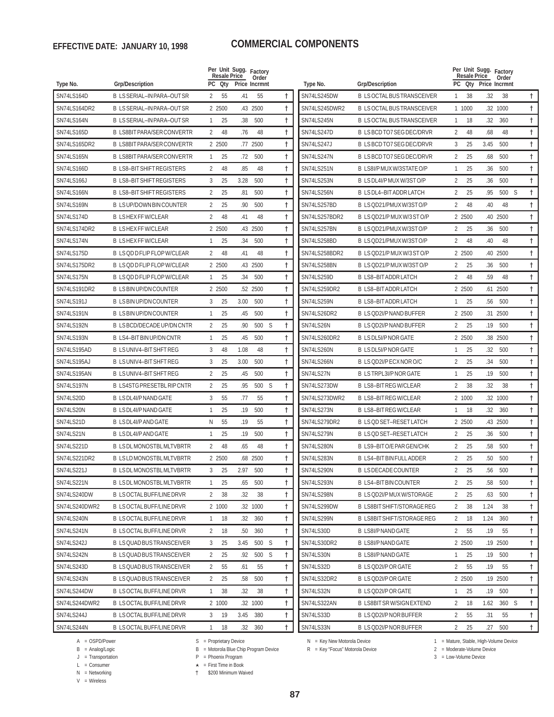| Type No.          | <b>Grp/Description</b>             | Per Unit Sugg. Factory<br><b>Resale Price</b><br>PC Qty | Order<br>Price Incrmnt         | Type No.          | <b>Grp/Description</b>            | <b>Resale Price</b>  | Per Unit Sugg. Factory<br>Order<br>PC Qty Price Incrmnt |
|-------------------|------------------------------------|---------------------------------------------------------|--------------------------------|-------------------|-----------------------------------|----------------------|---------------------------------------------------------|
| <b>SN74LS164D</b> | <b>B LS SERIAL-IN PARA-OUT SR</b>  | 55<br>$\overline{2}$                                    | $^\dagger$<br>.41<br>55        | SN74LS245DW       | <b>B LSOCTALBUSTRANSCEIVER</b>    | 38<br>1              | .32<br>38<br>$^{+}$                                     |
| SN74LS164DR2      | B LS SERIAL-IN PARA-OUT SR         | 2 2500                                                  | .43 2500<br>t                  | SN74LS245DWR2     | <b>B LSOCTAL BUSTRANSCEIVER</b>   | 1 1000               | .32 1000<br>$\ddagger$                                  |
| <b>SN74LS164N</b> | B LS SERIAL-IN PARA-OUT SR         | 25<br>$\mathbf{1}$                                      | $^{\dagger}$<br>.38<br>500     | <b>SN74LS245N</b> | <b>B LSOCTAL BUSTRANSCEIVER</b>   | 18<br>1              | 360<br>$\ddagger$<br>.32                                |
| SN74LS165D        | <b>B LS8BIT PARA/SER CONVERTR</b>  | 2<br>48                                                 | $^{\dagger}$<br>.76<br>48      | SN74LS247D        | <b>B LSBCDTO7SEGDEC/DRVR</b>      | 2<br>48              | $^+$<br>.68<br>48                                       |
| SN74LS165DR2      | <b>B LS8BIT PARA/SER CONVERTR</b>  | 2 2500                                                  | .77 2500<br>$^{\dagger}$       | <b>SN74LS247J</b> | <b>B LSBCDTO7SEGDEC/DRVR</b>      | 3<br>25              | $^{\dagger}$<br>3.45<br>500                             |
| SN74LS165N        | <b>B LS8BIT PARA/SER CONVERTR</b>  | 25<br>1                                                 | $\ddagger$<br>.72<br>500       | SN74LS247N        | <b>B LS BCD TO7 SEG DEC/DRVR</b>  | 25<br>2              | $^+$<br>.68<br>500                                      |
| SN74LS166D        | <b>B LS8-BITSHIFTREGISTERS</b>     | 48<br>2                                                 | 48<br>$^{\dagger}$<br>.85      | SN74LS251N        | B LS8I/PMUXW/3STATE O/P           | 25<br>$\mathbf{1}$   | 500<br>$\ddagger$<br>.36                                |
| SN74LS166J        | <b>B LS8-BIT SHIFT REGISTERS</b>   | 25<br>3<br>3.28                                         | $\ddagger$<br>500              | SN74LS253N        | B LS DL4I/P MUX W/3ST O/P         | 25<br>2              | $\ddagger$<br>.36<br>500                                |
| <b>SN74LS166N</b> | <b>B LS8-BITSHIFTREGISTERS</b>     | $\overline{2}$<br>25                                    | $\dagger$<br>500<br>.81        | <b>SN74LS256N</b> | <b>B LS DL4-BIT ADDR LATCH</b>    | $\overline{2}$<br>25 | 500 S<br>$^{\dagger}$<br>.95                            |
| SN74LS169N        | <b>B LS UP/DOWN BIN COUNTER</b>    | $\overline{2}$<br>25                                    | $\ddagger$<br>.90<br>500       | SN74LS257BD       | B LSQD21/PMUXW/3STO/P             | $\overline{2}$<br>48 | $\ddagger$<br>48<br>.40                                 |
| SN74LS174D        | <b>B LSHEXFFW/CLEAR</b>            | 48<br>2                                                 | 48<br>$^\dagger$<br>.41        | SN74LS257BDR2     | B LSQD21/PMUXW/3STO/P             | 2 2500               | .40 2500<br>$\ddagger$                                  |
| SN74LS174DR2      | <b>B LSHEXFFW/CLEAR</b>            | 2 2500                                                  | $^{\dagger}$<br>.43 2500       | SN74LS257BN       | B LSQD21/PMUXW/3STO/P             | 2<br>25              | .36<br>500<br>$^{\dagger}$                              |
| SN74LS174N        | <b>B LSHEXFFW/CLEAR</b>            | 25<br>1                                                 | $^{\dagger}$<br>500<br>.34     | SN74LS258BD       | B LSQD21/PMUXW/3STO/P             | 2<br>48              | $^+$<br>.40<br>48                                       |
| <b>SN74LS175D</b> | <b>B LS QD D FLIP FLOP W/CLEAR</b> | 48<br>2                                                 | $^{\dagger}$<br>.41<br>48      | SN74LS258BDR2     | B LSQD21/PMUXW/3STO/P             | 2 2500               | $^{\dagger}$<br>.40 2500                                |
| SN74LS175DR2      | <b>B LS QD D FLIP FLOP W/CLEAR</b> | 2 2500                                                  | $\ddagger$<br>.43 2500         | SN74LS258BN       | B LS QD21/P MUX W/3ST O/P         | 2<br>25              | $^+$<br>.36<br>500                                      |
| SN74LS175N        | <b>B LS QD D FLIP FLOP W/CLEAR</b> | 25<br>1                                                 | $^{\dagger}$<br>.34<br>500     | SN74LS259D        | <b>B LS8-BIT ADDR LATCH</b>       | $\overline{2}$<br>48 | .59<br>48<br>$\ddagger$                                 |
| SN74LS191DR2      | <b>B LS BIN UP/DN COUNTER</b>      | 2 2500                                                  | $\ddagger$<br>.52 2500         | SN74LS259DR2      | <b>B LS8-BITADDRLATCH</b>         | 2 2500               | $\ddagger$<br>.61 2500                                  |
| SN74LS191J        | <b>B LS BIN UP/DN COUNTER</b>      | 3<br>25<br>3.00                                         | $^\dagger$<br>500              | <b>SN74LS259N</b> | <b>B LS8-BITADDRLATCH</b>         | 25<br>$\mathbf{1}$   | $\ddagger$<br>.56<br>500                                |
| <b>SN74LS191N</b> | <b>B LS BIN UP/DN COUNTER</b>      | 25<br>1                                                 | $\ddagger$<br>500<br>.45       | SN74LS26DR2       | <b>B LS OD2I/P NAND BUFFER</b>    | 2 2500               | .31 2500<br>$^{\dagger}$                                |
| <b>SN74LS192N</b> | <b>B LS BCD/DECADE UP/DN CNTR</b>  | 25<br>2                                                 | 500 S<br>$\dagger$<br>.90      | SN74LS26N         | <b>B LS QD2I/P NAND BUFFER</b>    | 2<br>25              | 500<br>.19<br>$^{\dagger}$                              |
| SN74LS193N        | <b>B LS4-BIT BIN UP/DN CNTR</b>    | 25<br>1                                                 | 500<br>$^{\dagger}$<br>.45     | SN74LS260DR2      | <b>B LS DL5I/P NOR GATE</b>       | 2 2500               | .38 2500<br>$^{\dagger}$                                |
| SN74LS195AD       | <b>B LS UNIV4-BIT SHFT REG</b>     | 3<br>48<br>1.08                                         | $\ddagger$<br>48               | <b>SN74LS260N</b> | <b>B LS DL5I/P NOR GATE</b>       | 25<br>1              | $^+$<br>.32<br>500                                      |
| SN74LS195AJ       | <b>B LSUNIV4-BIT SHFT REG</b>      | 25<br>3<br>3.00                                         | 500<br>$^{\dagger}$            | <b>SN74LS266N</b> | B LS QD2I/PECX NOR O/C            | 2<br>25              | $^{\dagger}$<br>.34<br>500                              |
| SN74LS195AN       | <b>B LSUNIV4-BIT SHFT REG</b>      | 25<br>2                                                 | $\ddagger$<br>.45<br>500       | SN74LS27N         | <b>B LSTRPL3I/PNOR GATE</b>       | 25<br>$\mathbf{1}$   | $^+$<br>.19<br>500                                      |
| SN74LS197N        | <b>B LS4STGPRESETBLRIPCNTR</b>     | 25<br>2                                                 | $\ddagger$<br>500 S<br>.95     | SN74LS273DW       | <b>B LS8-BIT REGW/CLEAR</b>       | $\overline{2}$<br>38 | 38<br>$^+$<br>.32                                       |
| SN74LS20D         | <b>B LS DL4I/P NAND GATE</b>       | 55<br>3                                                 | $\ddagger$<br>.77<br>55        | SN74LS273DWR2     | <b>B LS8-BIT REGW/CLEAR</b>       | 2 1000               | $\ddagger$<br>.32 1000                                  |
| SN74LS20N         | <b>B LS DL4I/P NAND GATE</b>       | 25<br>1                                                 | .19<br>500<br>$^{\dagger}$     | <b>SN74LS273N</b> | <b>B LS8-BITREGW/CLEAR</b>        | 18<br>$\mathbf{1}$   | 360<br>$^{\dagger}$<br>.32                              |
| <b>SN74LS21D</b>  | <b>B LS DL4I/P AND GATE</b>        | 55<br>N                                                 | $\ddagger$<br>.19<br>55        | SN74LS279DR2      | <b>B LS QD SET-RESET LATCH</b>    | 2 2500               | .43 2500<br>$\ddagger$                                  |
| SN74LS21N         | <b>B LS DL4I/P AND GATE</b>        | 25<br>1                                                 | .19<br>500<br>t                | <b>SN74LS279N</b> | <b>B LS QD SET-RESET LATCH</b>    | 2<br>25              | .36<br>500<br>$\ddagger$                                |
| SN74LS221D        | <b>B LSDLMONOSTBLMLTVBRTR</b>      | 2<br>48                                                 | $^{\dagger}$<br>.65<br>48      | <b>SN74LS280N</b> | <b>B LS9-BIT O/E PAR GEN/CHK</b>  | 2<br>25              | $^{\dagger}$<br>.58<br>500                              |
| SN74LS221DR2      | <b>B LSLDMONOSTBLMLTVBRTR</b>      | 2 2500                                                  | $^{\dagger}$<br>.68 2500       | <b>SN74LS283N</b> | <b>B LS4-BIT BIN FULL ADDER</b>   | 25<br>2              | $^+$<br>.50<br>500                                      |
| SN74LS221J        | <b>B LSDLMONOSTBLMLTVBRTR</b>      | 3 <sup>7</sup><br>25<br>2.97                            | $+$<br>500                     | <b>SN74LS290N</b> | <b>B LSDECADE COUNTER</b>         | 2<br>25              | $^+$<br>.56<br>500                                      |
| SN74LS221N        | <b>B LSDLMONOSTBLMLTVBRTR</b>      | 25<br>$\mathbf{1}$                                      | Ť.<br>.65<br>500               | SN74LS293N        | <b>B LS4-BIT BIN COUNTER</b>      | 2<br>25              | $^+$<br>.58<br>500                                      |
| SN74LS240DW       | <b>B LS OCTAL BUFF/LINE DRVR</b>   | 38<br>2                                                 | .32<br>38<br>$^{\dagger}$      | <b>SN74LS298N</b> | B LS QD2I/PMUX W/STORAGE          | 25<br>2              | 500<br>.63<br>$^{\dagger}$                              |
| SN74LS240DWR2     | <b>B LS OCTAL BUFF/LINE DRVR</b>   | 2 1000                                                  | $\ddagger$<br>.32 1000         | SN74LS299DW       | <b>B LS8BIT SHIFT/STORAGE REG</b> | 2<br>38              | $\ddagger$<br>1.24<br>38                                |
| <b>SN74LS240N</b> | <b>B LS OCTAL BUFF/LINE DRVR</b>   | 18<br>$\mathbf{1}$                                      | $^{\dagger}$<br>$.32\,$<br>360 | <b>SN74LS299N</b> | <b>B LS8BIT SHIFT/STORAGE REG</b> | 2<br>18              | 1.24<br>360<br>$\ddagger$                               |
| SN74LS241N        | <b>B LS OCTAL BUFF/LINE DRVR</b>   | 18<br>2                                                 | $\dagger$<br>.50<br>360        | SN74LS30D         | <b>B LS8I/PNAND GATE</b>          | $\overline{2}$<br>55 | $\ddagger$<br>.19<br>55                                 |
| SN74LS242J        | <b>B LS QUAD BUS TRANSCEIVER</b>   | 3<br>25<br>3.45                                         | $^\dagger$<br>500 S            | SN74LS30DR2       | <b>B LS8I/PNAND GATE</b>          | 2 2500               | .19 2500<br>$^+$                                        |
| SN74LS242N        | <b>B LS QUAD BUS TRANSCEIVER</b>   | 25<br>2                                                 | 500 S<br>$^\dagger$<br>.92     | SN74LS30N         | <b>B LS8I/P NAND GATE</b>         | $\mathbf{1}$<br>25   | .19<br>500<br>$^+$                                      |
| SN74LS243D        | <b>B LS QUAD BUS TRANSCEIVER</b>   | 2<br>55                                                 | $^\dagger$<br>55<br>.61        | SN74LS32D         | B LS QD2I/P OR GATE               | $\overline{2}$<br>55 | .19<br>55<br>$^+$                                       |
| SN74LS243N        | <b>B LS QUAD BUS TRANSCEIVER</b>   | 25<br>$\overline{2}$                                    | $\dagger$<br>500<br>.58        | SN74LS32DR2       | B LS QD2I/P OR GATE               | 2 2500               | .19 2500<br>$^+$                                        |
| SN74LS244DW       | <b>B LS OCTAL BUFF/LINE DRVR</b>   | 38<br>$\mathbf{1}$                                      | Ť.<br>.32<br>38                | SN74LS32N         | B LS QD2I/P OR GATE               | 25<br>$\mathbf{1}$   | $^+$<br>.19<br>500                                      |
| SN74LS244DWR2     | <b>B LS OCTAL BUFF/LINE DRVR</b>   | 2 1000                                                  | $^{\dagger}$<br>.32 1000       | SN74LS322AN       | <b>B LS8BIT SR W/SIGN EXTEND</b>  | 18<br>2              | 360 S<br>$\ddagger$<br>1.62                             |
| SN74LS244J        | <b>B LS OCTAL BUFF/LINE DRVR</b>   | 19<br>3                                                 | $^{\dagger}$<br>3.45<br>380    | SN74LS33D         | <b>B LS QD2I/PNORBUFFER</b>       | 55<br>2              | $^+$<br>.31<br>55                                       |
| SN74LS244N        | <b>B LS OCTAL BUFF/LINE DRVR</b>   | 18<br>$\mathbf{1}$                                      | $\dagger$<br>.32 360           | SN74LS33N         | <b>B LS QD2I/PNOR BUFFER</b>      | 25<br>$\overline{2}$ | .27 500<br>$+$                                          |

- 
- N = Networking the three states of the states of the states of the states of the states of the states of the states of the states of the states of the states of the states of the states of the states of the states of the s V = Wireless

B = Analog/Logic entropyrology by B = Motorola Blue Chip Program Device R = Key "Focus" Motorola Device 2 = Moderate-Volume Device

J = Transportation P = Phoenix Program 3 = Low-Volume Device

 $L =$  Consumer  $\star =$  First Time in Book

\$200 Minimum Waived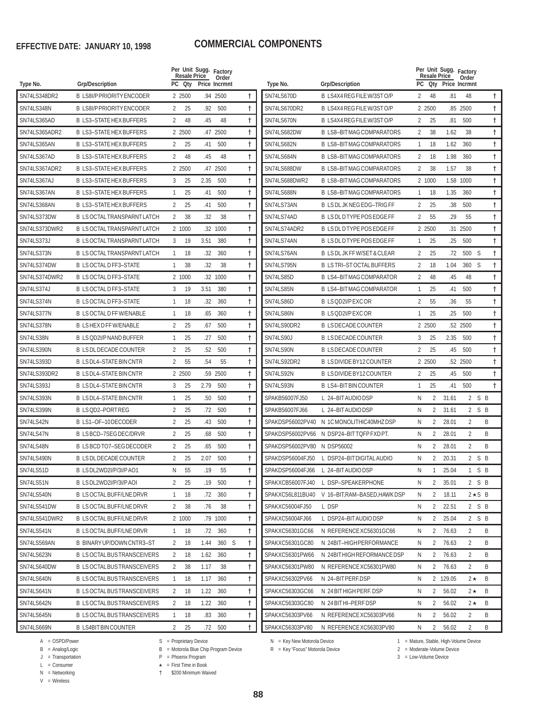| PC Otv<br>Price Incrmnt<br>PC Qty Price Incrmnt<br><b>Grp/Description</b><br><b>Grp/Description</b><br>Type No.<br>Type No.<br>SN74LS348DR2<br>2 2500<br>.94 2500<br>$^{\dagger}$<br>.81<br><b>B LS8I/PPRIORITY ENCODER</b><br><b>SN74LS670D</b><br>B LS4X4 REG FILE W/3ST O/P<br>2<br>48<br>48 | $\ddagger$<br>$\dagger$ |
|-------------------------------------------------------------------------------------------------------------------------------------------------------------------------------------------------------------------------------------------------------------------------------------------------|-------------------------|
|                                                                                                                                                                                                                                                                                                 |                         |
| SN74LS348N<br><b>B LS8I/PPRIORITY ENCODER</b><br>2<br>25<br>.92<br>500<br>$^+$<br>SN74LS670DR2<br>B LS4X4 REG FILE W/3ST O/P<br>2 2500<br>.85 2500                                                                                                                                              |                         |
| $\pm$<br><b>B LS3-STATE HEX BUFFERS</b><br>$\overline{2}$<br>48<br>.45<br>48<br>25<br>.81<br>500<br>SN74LS365AD<br><b>SN74LS670N</b><br>B LS4X4 REG FILE W/3ST O/P<br>2                                                                                                                         | $^\dagger$              |
| <b>B LS3-STATE HEX BUFFERS</b><br>2 2500<br>.47 2500<br>t<br>SN74LS682DW<br><b>B LS8-BITMAGCOMPARATORS</b><br>2<br>38<br>1.62<br>38<br>SN74LS365ADR2                                                                                                                                            | $\ddagger$              |
| $^+$<br>SN74LS365AN<br><b>B LS3-STATE HEX BUFFERS</b><br>2<br>25<br>.41<br>500<br><b>SN74LS682N</b><br><b>B LS8-BITMAGCOMPARATORS</b><br>18<br>1.62<br>360<br>$\mathbf{1}$                                                                                                                      | $\dagger$               |
| $^+$<br>SN74LS367AD<br><b>B LS3-STATE HEX BUFFERS</b><br>2<br>48<br>.45<br>48<br>2<br>18<br>1.98<br>360<br>SN74LS684N<br><b>B LS8-BITMAGCOMPARATORS</b>                                                                                                                                         | $\ddagger$              |
| $^+$<br>2 2500<br>.47 2500<br>38<br>1.57<br>38<br>2<br>SN74LS367ADR2<br><b>B LS3-STATE HEX BUFFERS</b><br>SN74LS688DW<br><b>B LS8-BITMAGCOMPARATORS</b>                                                                                                                                         | $\ddagger$              |
| $^+$<br><b>B LS3-STATE HEX BUFFERS</b><br>3<br>25<br>2.35<br>500<br>2 1000<br>1.58 1000<br>SN74LS367AJ<br>SN74LS688DWR2<br><b>B LS8-BITMAGCOMPARATORS</b>                                                                                                                                       | $\dagger$               |
| 25<br>500<br>$\ddagger$<br>18<br>SN74LS367AN<br><b>B LS3-STATE HEX BUFFERS</b><br><b>SN74LS688N</b><br><b>B LS8-BITMAGCOMPARATORS</b><br>1.35<br>360<br>1<br>.41<br>1                                                                                                                           | $\dagger$               |
| 25<br>500<br>$^{\dagger}$<br>25<br>.38<br>500<br>SN74LS368AN<br><b>B LS3-STATE HEX BUFFERS</b><br>2<br>.41<br>SN74LS73AN<br><b>B LS DL JK NEG EDG-TRIGFF</b><br>2                                                                                                                               | $\ddagger$              |
| 38<br>.32<br>38<br>$^+$<br>55<br>.29<br>55<br>SN74LS373DW<br>B LS OCTAL TRANSPARNT LATCH<br>2<br>SN74LS74AD<br><b>B LS DLD TYPE POS EDGE FF</b><br>2                                                                                                                                            | $\dagger$               |
| .32 1000<br>$^+$<br>.31 2500<br>SN74LS373DWR2<br>2 1000<br>SN74LS74ADR2<br><b>B LS DLD TYPE POS EDGE FF</b><br>2 2500<br>B LS OCTAL TRANSPARNT LATCH                                                                                                                                            | $^\dagger$              |
| SN74LS373J<br><b>B LS OCTAL TRANSPARNT LATCH</b><br>3<br>19<br>3.51<br>380<br>t.<br>SN74LS74AN<br><b>B LS DLD TYPE POS EDGE FF</b><br>25<br>.25<br>500<br>1                                                                                                                                     | $\dagger$               |
| $^+$<br>SN74LS373N<br><b>B LS OCTAL TRANSPARNT LATCH</b><br>18<br>.32<br>360<br>SN74LS76AN<br>2<br>25<br>.72<br>1<br><b>B LS DL JK FF W/SET &amp; CLEAR</b>                                                                                                                                     | 500 S<br>$\ddagger$     |
| $^+$<br>SN74LS374DW<br><b>B LS OCTAL D FF3-STATE</b><br>38<br>.32<br>38<br>18<br>1.04<br>360<br>1<br><b>SN74LS795N</b><br><b>B LS TRI-ST OCTAL BUFFERS</b><br>2                                                                                                                                 | $^+$<br><sub>S</sub>    |
| $^+$<br>48<br>48<br>2 1000<br>.32 1000<br>2<br>.45<br>SN74LS374DWR2<br><b>B LS OCTALD FF3-STATE</b><br>SN74LS85D<br><b>B LS4-BITMAGCOMPARATOR</b>                                                                                                                                               | $\ddagger$              |
| $\ddagger$<br>19<br>380<br>25<br>.41<br>500<br>SN74LS374J<br><b>B LS OCTAL D FF3-STATE</b><br>3<br>3.51<br>SN74LS85N<br><b>B LS4-BITMAGCOMPARATOR</b><br>1                                                                                                                                      | $\ddagger$              |
| 360<br>$\ddagger$<br>2<br>55<br><b>SN74LS374N</b><br><b>B LS OCTAL D FF3-STATE</b><br>18<br>.32<br>SN74LS86D<br>B LS QD2I/P EXCOR<br>.36<br>55<br>1                                                                                                                                             | $\dagger$               |
| $^{\dagger}$<br>500<br><b>SN74LS377N</b><br><b>B LS OCTALD FF W/ENABLE</b><br>$\mathbf{1}$<br>18<br>.65<br>360<br>SN74LS86N<br>B LS QD2I/P EXCOR<br>25<br>.25<br>1                                                                                                                              | $\ddagger$              |
| 25<br>500<br><b>SN74LS378N</b><br><b>B LSHEXDFFW/ENABLE</b><br>2<br>.67<br>$^{\dagger}$<br>SN74LS90DR2<br>2 2500<br>.52 2500<br><b>B LS DECADE COUNTER</b>                                                                                                                                      | $\dagger$               |
| 25<br>500<br>$\ddagger$<br>500<br>SN74LS38N<br><b>B LS QD2I/P NAND BUFFER</b><br>$\mathbf{1}$<br>.27<br>SN74LS90J<br><b>B LS DECADE COUNTER</b><br>3<br>25<br>2.35                                                                                                                              | $^\dagger$              |
| 25<br>SN74LS390N<br><b>B LS DL DECADE COUNTER</b><br>2<br>.52<br>500<br>t<br>SN74LS90N<br><b>B LS DECADE COUNTER</b><br>2<br>25<br>.45<br>500                                                                                                                                                   | $\ddagger$              |
| 55<br>$\ddagger$<br>SN74LS393D<br><b>B LS DL4-STATE BIN CNTR</b><br>2<br>.54<br>55<br>SN74LS92DR2<br><b>B LS DIVIDE BY12 COUNTER</b><br>2 2500<br>.52 2500                                                                                                                                      | $\dagger$               |
| $^+$<br>SN74LS393DR2<br>2 2500<br>.59<br>2500<br>SN74LS92N<br><b>B LS DIVIDE BY12 COUNTER</b><br>2<br>25<br>.45<br>500<br><b>B LS DL4-STATE BIN CNTR</b>                                                                                                                                        | $\ddagger$              |
| 25<br>500<br>$^+$<br>25<br>500<br>SN74LS393J<br>3<br>2.79<br><b>B LS4-BIT BIN COUNTER</b><br>.41<br><b>B LS DL4-STATE BIN CNTR</b><br>SN74LS93N<br>1                                                                                                                                            | $\ddagger$              |
| $^+$<br>25<br>500<br>2<br>31.61<br>.50<br>SPAKB56007FJ50<br>N<br>SN74LS393N<br><b>B LS DL4-STATE BIN CNTR</b><br>1<br>L 24-BIT AUDIO DSP                                                                                                                                                        | 2 S B                   |
| 25<br>$^{\dagger}$<br>SN74LS399N<br><b>B LS QD2-PORT REG</b><br>2<br>.72<br>500<br>SPAKB56007FJ66<br>L 24-BIT AUDIO DSP<br>N<br>2<br>31.61                                                                                                                                                      | 2 S B                   |
| 25<br>500<br>$\ddagger$<br>28.01<br>SN74LS42N<br>B LS1-OF-10DECODER<br>2<br>.43<br>SPAKDSP56002PV40<br>N 1C MONOLITHIC40MHZ DSP<br>N<br>2                                                                                                                                                       | $\overline{2}$<br>B     |
| SN74LS47N<br><b>B LSBCD-7SEGDEC/DRVR</b><br>2<br>25<br>.68<br>500<br>$^{\dagger}$<br>SPAKDSP56002PV66 N DSP24-BITTQFPFXDPT.<br>N<br>2<br>28.01                                                                                                                                                  | B<br>2                  |
| $\ddagger$<br>$\overline{2}$<br>25<br>.65<br>500<br>N<br>2<br>28.01<br>SN74LS48N<br><b>B LS BCD TO7-SEGDECODER</b><br>SPAKDSP56002PV80 N DSP56002                                                                                                                                               | B<br>2                  |
| SN74LS490N<br><b>B LS DL DECADE COUNTER</b><br>2<br>25<br>2.07<br>500<br>t<br>SPAKDSP56004FJ50 L DSP24-BIT DIGITAL AUDIO<br>$\mathbf{2}$<br>20.31<br>N                                                                                                                                          | 2 S B                   |
| $\ddagger$<br>SPAKDSP56004FJ66 L 24-BIT AUDIO DSP<br>SN74LS51D<br>B LS DL2WD2I/P/3I/P AO1<br>N<br>55<br>.19<br>55<br>25.04<br>N<br>$\overline{1}$                                                                                                                                               | 1 S B                   |
| $^+$<br>SN74LS51N<br>B LS DL2WD2I/P/3I/P AOI<br>$\overline{2}$<br>25<br>.19<br>500<br>L DSP-SPEAKERPHONE<br>35.01<br>SPAKXCB56007FJ40<br>N<br>$\mathbf{2}$                                                                                                                                      | 2 S B                   |
| $\ddagger$<br>360<br>2<br>18<br>.72<br>18.11<br>SN74LS540N<br><b>B LS OCTAL BUFF/LNE DRVR</b><br>1<br>SPAKXC56L811BU40<br>V 16-BIT, RAM-BASED, HAWK DSP<br>N                                                                                                                                    | $2 \star S$ B           |
| $^{\dagger}$<br>38<br>$\overline{2}$<br>38<br>.76<br>$\overline{2}$<br>22.51<br>SN74LS541DW<br><b>B LS OCTAL BUFF/LNE DRVR</b><br>SPAKXC56004FJ50<br>L DSP<br>N                                                                                                                                 | 2 S B                   |
| 2 1000<br>.79 1000<br>$^{\dagger}$<br>25.04<br>SN74LS541DWR2<br>SPAKXC56004FJ66<br>L DSP24-BIT AUDIO DSP<br>N<br>$\overline{2}$<br><b>B LS OCTAL BUFF/LNE DRVR</b>                                                                                                                              | 2 S B                   |
| $\ddagger$<br>360<br>SN74LS541N<br><b>B LS OCTAL BUFF/LNE DRVR</b><br>$\mathbf{1}$<br>18<br>.72<br>SPAKXC56301GC66<br>N REFERENCE XC56301GC66<br>$\overline{2}$<br>76.63<br>Ν                                                                                                                   | $\overline{2}$<br>B     |
| 360 S<br>$^{\dagger}$<br>SN74LS569AN<br><b>B BINARY UP/DOWN CNTR3-ST</b><br>2<br>18<br>1.44<br>SPAKXC56301GC80<br>N 24BIT-HIGHPERFORMANCE<br>2<br>76.63<br>N                                                                                                                                    | $\overline{2}$<br>B     |
| 360<br>$^{\dagger}$<br>SN74LS623N<br>$\overline{2}$<br>18<br>1.62<br>SPAKXC56301PW66<br>2<br>76.63<br><b>B LS OCTAL BUS TRANSCEIVERS</b><br>N 24BIT HIGH REFORMANCE DSP<br>Ν                                                                                                                    | $\overline{2}$<br>B     |
| t.<br>SN74LS640DW<br>2<br>38<br>1.17<br>38<br>SPAKXC56301PW80<br>76.63<br><b>B LS OCTAL BUS TRANSCEIVERS</b><br>N REFERENCEXC56301PW80<br>N<br>$\mathbf{2}$                                                                                                                                     | B<br>2                  |
| $^\dagger$<br>SN74LS640N<br>18<br>1.17<br>360<br>SPAKXC56302PV66<br>2 129.05<br><b>B LS OCTAL BUS TRANSCEIVERS</b><br>$\mathbf{1}$<br>N 24-BITPERF.DSP<br>N                                                                                                                                     | B<br>$2\star$           |
| $^{\dagger}$<br>SN74LS641N<br>18<br>1.22<br>360<br>56.02<br><b>B LS OCTAL BUS TRANSCEIVERS</b><br>2<br>SPAKXC56303GC66<br>N 24 BIT HIGH PERF. DSP<br>N<br>2                                                                                                                                     | B<br>$2\star$           |
| $\ddagger$<br>1.22<br>360<br>$\overline{2}$<br>56.02<br>SN74LS642N<br><b>B LS OCTAL BUS TRANSCEIVERS</b><br>2<br>18<br>SPAKXC56303GC80<br>N 24 BIT HI-PERF DSP<br>N                                                                                                                             | B<br>$2\star$           |
| $^{\dagger}$<br>18<br>360<br>56.02<br>SN74LS645N<br><b>B LS OCTAL BUS TRANSCEIVERS</b><br>1<br>.83<br>SPAKXC56303PV66<br>N REFERENCE XC56303PV66<br>N<br>2                                                                                                                                      | B<br>2                  |
| 25<br>$^{\dagger}$<br>SN74LS669N<br><b>B LS4BITBINCOUNTER</b><br>$\overline{2}$<br>.72<br>500<br>SPAKXC56303PV80<br>N<br>$\overline{2}$<br>56.02<br>N REFERENCEXC56303PV80                                                                                                                      | $\overline{2}$<br>B     |

- 
- 

- 
- $L = \text{Consumer}$ <br>  $N = \text{Networking}$ <br>  $V = \text{Wireless}$
- B = Analog/Logic entropy of the Motorola Blue Chip Program Device R = Key "Focus" Motorola Device 2 = Moderate-Volume Device
- J = Transportation P = Phoenix Program 3 = Low-Volume Device
- $L =$  Consumer  $\star =$  First Time in Book
	-
- 
- 
- 
- A = OSPD/Power external states and S = Proprietary Device N = Key New Motorola Device 1 = Mature, Stable, High-Volume Device

- 
- N = Networking extensive that the state of the state of the state of the state of the state of the state of the state of the state of the state of the state of the state of the state of the state of the state of the state
-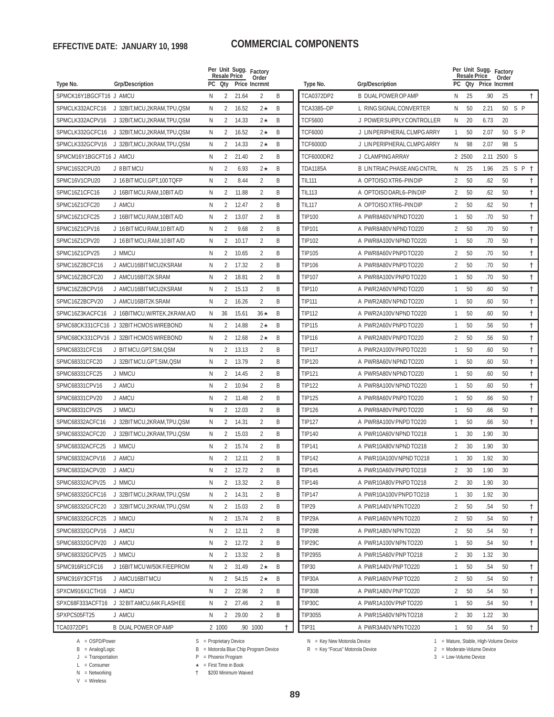|                         |                                               |    | <b>Resale Price</b> | Per Unit Sugg. Factory | Order          |      |                   |                                   |                | <b>Resale Price</b> | Per Unit Sugg. Factory   | Order     |                   |
|-------------------------|-----------------------------------------------|----|---------------------|------------------------|----------------|------|-------------------|-----------------------------------|----------------|---------------------|--------------------------|-----------|-------------------|
| Type No.                | <b>Grp/Description</b>                        | PC | Qty                 | Price Incrmnt          |                |      | Type No.          | <b>Grp/Description</b>            | PC             |                     | <b>Qtv</b> Price Incrmnt |           |                   |
| SPMCK16Y1BGCFT16 J AMCU |                                               | N  | 2                   | 21.64                  | 2              | B    | <b>TCA0372DP2</b> | <b>B DUAL POWER OP AMP</b>        | N              | 25                  | .90                      | 25        | $\dagger$         |
|                         | SPMCLK332ACFC16 J 32BIT, MCU, 2KRAM, TPU, QSM | N  | 2                   | 16.52                  | $2\star$       | B    | <b>TCA3385-DP</b> | L RING SIGNAL CONVERTER           | N              | 50                  | 2.21                     |           | 50 S P            |
| SPMCLK332ACPV16         | J 32BIT,MCU,2KRAM,TPU,QSM                     | N  | 2                   | 14.33                  | $2\star$       | B    | <b>TCF5600</b>    | J POWER SUPPLY CONTROLLER         | N              | 20                  | 6.73                     | 20        |                   |
|                         | SPMCLK332GCFC16 J32BIT,MCU,2KRAM,TPU,QSM      | N  | 2                   | 16.52                  | $2\star$       | B    | <b>TCF6000</b>    | J LIN PERIPHERAL CLMPG ARRY       | 1              | 50                  | 2.07                     |           | 50 S P            |
|                         | SPMCLK332GCPV16 J32BIT,MCU,2KRAM,TPU,QSM      | N  | $\mathbf{2}$        | 14.33                  | $2\star$       | B    | <b>TCF6000D</b>   | J LIN PERIPHERAL CLMPG ARRY       | N              | 98                  | 2.07                     | 98 S      |                   |
| SPMCM16Y1BGCFT16 J AMCU |                                               | N  | $\overline{2}$      | 21.40                  | $\overline{2}$ | B    | <b>TCF6000DR2</b> | J CLAMPING ARRAY                  |                | 2 2500              |                          | 2.11 2500 | S                 |
| SPMC16S2CPU20           | J 8 BIT MCU                                   | N  | $\overline{2}$      | 6.93                   | $2\star$       | B    | <b>TDA1185A</b>   | <b>B LINTRIAC PHASE ANG CNTRL</b> | N              | 25                  | 1.96                     | 25        | $S$ $P$ $\dagger$ |
| SPMC16V1CPU20           | J 16 BIT MCU.GPT.100 TOFP                     | N  | $\overline{2}$      | 8.44                   | $\overline{2}$ | B    | <b>TIL111</b>     | A OPTOISO XTR6-PIN DIP            | $\overline{2}$ | 50                  | .62                      | 50        | $\ddagger$        |
| SPMC16Z1CFC16           | J 16BIT MCU.RAM.10BIT A/D                     | N  | 2                   | 11.88                  | 2              | B    | <b>TIL113</b>     | A OPTOISO DARL6-PIN DIP           | 2              | 50                  | .62                      | 50        | $^\dagger$        |
| SPMC16Z1CFC20           | J AMCU                                        | N  | $\overline{2}$      | 12.47                  | $\overline{2}$ | B    | <b>TIL117</b>     | A OPTOISO XTR6-PIN DIP            | 2              | 50                  | .62                      | 50        | $\ddagger$        |
| SPMC16Z1CFC25           | J 16BITMCU, RAM, 10BIT A/D                    | N  | 2                   | 13.07                  | $\overline{2}$ | B    | <b>TIP100</b>     | A PWR8A60V NPND TO220             | 1              | 50                  | .70                      | 50        | $\ddagger$        |
| SPMC16Z1CPV16           | J 16 BIT MCU RAM, 10 BIT A/D                  | N  | 2                   | 9.68                   | $\overline{2}$ | B    | <b>TIP101</b>     | A PWR8A80V NPND TO220             | 2              | 50                  | .70                      | 50        | $\ddagger$        |
| SPMC16Z1CPV20           | J 16 BIT MCU, RAM, 10 BIT A/D                 | N  | 2                   | 10.17                  | 2              | B    | <b>TIP102</b>     | A PWR8A100VNPNDTO220              | 1              | 50                  | .70                      | 50        | $\ddagger$        |
| SPMC16Z1CPV25           | J MMCU                                        | N  | 2                   | 10.65                  | $\overline{2}$ | B    | <b>TIP105</b>     | A PWR8A60V PNPD TO220             | $\overline{2}$ | 50                  | .70                      | 50        | $\ddagger$        |
| SPMC16Z2BCFC16          | J AMCU16BITMCU2KSRAM                          | N  | $\overline{2}$      | 17.32                  | $\overline{2}$ | B    | <b>TIP106</b>     | A PWR8A80V PNPD TO220             | 2              | 50                  | .70                      | 50        | $\ddagger$        |
| SPMC16Z2BCFC20          | J AMCU16BIT2K SRAM                            | N  | $\overline{2}$      | 18.81                  | $\overline{2}$ | B    | <b>TIP107</b>     | A PWR8A100V PNPD TO220            | 1              | 50                  | .70                      | 50        | $\ddagger$        |
| SPMC16Z2BCPV16          | J AMCU16BITMCU2KSRAM                          | N  | 2                   | 15.13                  | $\overline{2}$ | B    | <b>TIP110</b>     | A PWR2A60V NPND TO220             | 1              | 50                  | .60                      | 50        | $\ddagger$        |
| SPMC16Z2BCPV20          | J AMCU16BIT2K SRAM                            | N  | 2                   | 16.26                  | 2              | B    | <b>TIP111</b>     | A PWR2A80V NPND TO220             | $\mathbf{1}$   | 50                  | .60                      | 50        | $\ddagger$        |
| SPMC16Z3KACFC16         | J 16BITMCU, W/RTEK, 2KRAM, A/D                | N  | 36                  | 15.61                  | $36 \star$     | B    | <b>TIP112</b>     | A PWR2A100V NPND TO220            | 1              | 50                  | .60                      | 50        | $\ddagger$        |
|                         | SPMC68CK331CFC16 J 32BITHCMOS WIREBOND        | N  | 2                   | 14.88                  | $2\star$       | B    | <b>TIP115</b>     | A PWR2A60V PNPD TO220             | 1              | 50                  | .56                      | 50        | $\ddagger$        |
|                         | SPMC68CK331CPV16 J 32BITHCMOSWIREBOND         | N  | 2                   | 12.68                  | $2\star$       | B    | <b>TIP116</b>     | A PWR2A80V PNPD TO220             | 2              | 50                  | .56                      | 50        | $\ddagger$        |
| SPMC68331CFC16          | J BITMCU, GPT, SIM, QSM                       | N  | 2                   | 13.13                  | 2              | B    | <b>TIP117</b>     | A PWR2A100V PNPD TO220            | 1              | 50                  | .60                      | 50        | $\ddagger$        |
| SPMC68331CFC20          | J 32BITMCU, GPT, SIM, QSM                     | N  | $\mathbf{2}$        | 13.79                  | $\overline{2}$ | B    | <b>TIP120</b>     | A PWR8A60V NPND TO220             | $\mathbf{1}$   | 50                  | .60                      | 50        | $\ddagger$        |
| SPMC68331CFC25          | J MMCU                                        | N  | $\overline{2}$      | 14.45                  | $\overline{2}$ | B    | <b>TIP121</b>     | A PWR5A80V NPND TO220             | 1              | 50                  | .60                      | 50        | $\ddagger$        |
| SPMC68331CPV16          | J AMCU                                        | N  | $\overline{2}$      | 10.94                  | $\overline{2}$ | B    | <b>TIP122</b>     | A PWR8A100VNPNDTO220              | 1              | 50                  | .60                      | 50        | $\dagger$         |
| SPMC68331CPV20          | J AMCU                                        | N  | $\overline{2}$      | 11.48                  | 2              | B    | <b>TIP125</b>     | A PWR8A60V PNPD TO220             | 1              | 50                  | .66                      | 50        | $\ddagger$        |
| SPMC68331CPV25          | J MMCU                                        | N  | $\overline{2}$      | 12.03                  | 2              | B    | <b>TIP126</b>     | A PWR8A80V PNPD TO220             | $\mathbf{1}$   | 50                  | .66                      | 50        | $^\dagger$        |
| SPMC68332ACFC16         | J 32BITMCU,2KRAM,TPU,QSM                      | N  | $\overline{2}$      | 14.31                  | $\overline{2}$ | B    | <b>TIP127</b>     | A PWR8A100V PNPD TO220            | $\mathbf{1}$   | 50                  | .66                      | 50        | $\ddagger$        |
| SPMC68332ACFC20         | J 32BITMCU,2KRAM,TPU,QSM                      | N  | 2                   | 15.03                  | $\overline{2}$ | Β    | <b>TIP140</b>     | A PWR10A60VNPNDTO218              | 1              | 30                  | 1.90                     | 30        |                   |
| SPMC68332ACFC25         | J MMCU                                        | N  | $\overline{2}$      | 15.74                  | 2              | B    | <b>TIP141</b>     | A PWR10A80V NPND TO218            | 2              | 30                  | 1.90                     | 30        |                   |
| SPMC68332ACPV16         | J AMCU                                        | N  | $\overline{2}$      | 12.11                  | 2              | B    | <b>TIP142</b>     | A PWR10A100V NPND TO218           | 1              | 30                  | 1.92                     | 30        |                   |
| SPMC68332ACPV20 J AMCU  |                                               | Ν  | $\overline{2}$      | 12.72                  | 2              | B    | <b>TIP145</b>     | A PWR10A60V PNPD TO218            | 2              | 30                  | 1.90                     | 30        |                   |
| SPMC68332ACPV25         | J MMCU                                        | N  |                     | 2 13.32                | $\overline{2}$ | B    | <b>TIP146</b>     | A PWR10A80V PNPD TO218            | 2              | 30                  | 1.90                     | 30        |                   |
| SPMC68332GCFC16         | J 32BITMCU,2KRAM,TPU,QSM                      | N  | $\mathbf{2}$        | 14.31                  | $\overline{2}$ | B    | <b>TIP147</b>     | A PWR10A100V PNPD TO218           | 1              | 30                  | 1.92                     | 30        |                   |
| SPMC68332GCFC20         | J 32BITMCU,2KRAM,TPU,QSM                      | N  | $\overline{2}$      | 15.03                  | 2              | B    | TIP29             | A PWR1A40VNPNTO220                | $\overline{2}$ | 50                  | .54                      | 50        | $\ddagger$        |
| SPMC68332GCFC25         | J MMCU                                        | N  | $\overline{2}$      | 15.74                  | 2              | B    | TIP29A            | A PWR1A60VNPNTO220                | $\overline{2}$ | 50                  | .54                      | 50        | $\ddagger$        |
| SPMC68332GCPV16         | J AMCU                                        | N  | $\overline{2}$      | 12.11                  | $\overline{2}$ | B    | TIP29B            | A PWR1A80V NPN TO220              | $\overline{2}$ | 50                  | .54                      | 50        | $\dagger$         |
| SPMC68332GCPV20         | J AMCU                                        | N  | $\overline{2}$      | 12.72                  | 2              | B    | TIP29C            | A PWR1A100VNPNTO220               | $\mathbf{1}$   | 50                  | .54                      | 50        | $\ddagger$        |
| SPMC68332GCPV25         | J MMCU                                        | N  | $\mathbf{2}$        | 13.32                  | $\overline{2}$ | B    | TIP2955           | A PWR15A60VPNPTO218               | $\overline{2}$ | 30                  | 1.32                     | 30        |                   |
| SPMC916R1CFC16          | J 16BIT MCU W/50K F/EEPROM                    | N  | $\mathbf{2}$        | 31.49                  | $2\star$       | B    | <b>TIP30</b>      | A PWR1A40V PNP TO220              | 1              | 50                  | .54                      | 50        | $\ddagger$        |
| SPMC916Y3CFT16          | J AMCU16BITMCU                                | N  | $\overline{2}$      | 54.15                  | $2\star$       | B    | TIP30A            | A PWR1A60V PNPTO220               | $\overline{2}$ | 50                  | .54                      | 50        | $\ddagger$        |
| SPXCM916X1CTH16         | J AMCU                                        | N  | $\mathbf{2}$        | 22.96                  | $\overline{2}$ | B    | TIP30B            | A PWR1A80V PNP TO220              | $\mathbf{2}$   | 50                  | .54                      | 50        | $^+$              |
|                         | SPXC68F333ACFT16 J 32 BIT AMCU,64K FLASH EE   | N  | $\overline{2}$      | 27.46                  | $\overline{2}$ | B    | TIP30C            | A PWR1A100VPNPTO220               | 1              | 50                  | .54                      | 50        | $^{\dagger}$      |
| SPXPC505FT25            | J AMCU                                        | N  | $\overline{2}$      | 29.00                  | 2              | B    | TIP3055           | A PWR15A60VNPNTO218               | 2              | 30                  | 1.22                     | 30        |                   |
| TCA0372DP1              | <b>B DUALPOWER OP AMP</b>                     |    | 2 1000              | .90 1000               |                | $^+$ | <b>TIP31</b>      | A PWR3A40V NPN TO220              | 1              | 50                  | .54                      | 50        | $^+$              |

- 
- $L = \text{Consumer}$ <br>  $N = \text{Networking}$ <br>  $V = \text{Wireless}$
- 

A = OSPD/Power external states and S = Proprietary Device N = Key New Motorola Device 1 = Mature, Stable, High-Volume Device

B = Analog/Logic entropyrology by B = Motorola Blue Chip Program Device R = Key "Focus" Motorola Device 2 = Moderate-Volume Device

 $L =$  Consumer  $\star =$  First Time in Book

N = Networking - and the state of the state of the state of the state of the state of the state of the state of the state of the state of the state of the state of the state of the state of the state of the state of the st

J = Transportation P = Phoenix Program 3 = Low-Volume Device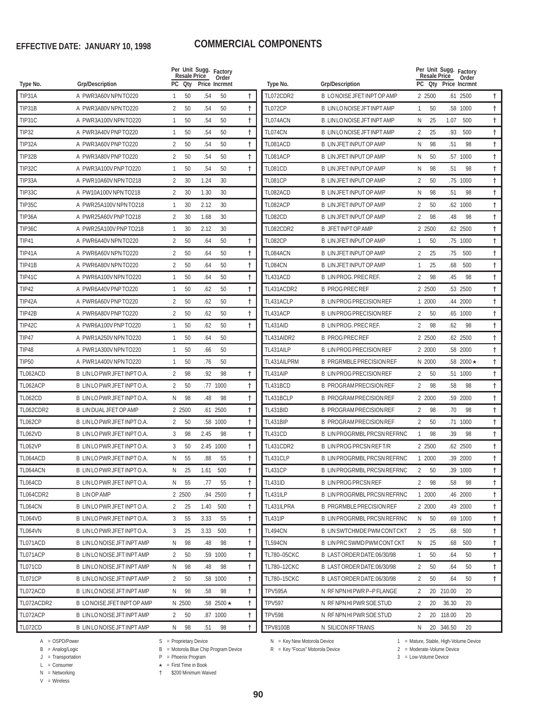|                  |                                  | Per Unit Sugg. Factory<br>Resale Price            |                    |                                    | Per Unit Sugg. Factory<br>Resale Price          |
|------------------|----------------------------------|---------------------------------------------------|--------------------|------------------------------------|-------------------------------------------------|
| Type No.         | <b>Grp/Description</b>           | Order<br>PC Qty<br>Price Incrmnt                  | Type No.           | <b>Grp/Description</b>             | Order<br>PC Qty Price Incrmnt                   |
| TIP31A           | A PWR3A60VNPNTO220               | $\ddagger$<br>50<br>.54<br>50<br>1                | TL072CDR2          | B LONOISE JFET INPT OP AMP         | 2 2500<br>.61 2500<br>$^+$                      |
| TIP31B           | A PWR3A80VNPNTO220               | 50<br>50<br>$\ddagger$<br>2<br>.54                | TL072CP            | <b>B LINLONOISE JFT INPT AMP</b>   | $\ddagger$<br>50<br>.58 1000<br>1               |
| TIP31C           | A PWR3A100V NPN TO220            | 50<br>50<br>$\ddagger$<br>.54<br>1                | TL074ACN           | <b>B LINLONOISE JFT INPT AMP</b>   | $\dagger$<br>25<br>1.07<br>500<br>N             |
| <b>TIP32</b>     | A PWR3A40V PNP TO220             | 50<br>50<br>$^\dagger$<br>.54<br>1                | <b>TL074CN</b>     | <b>B LINLONOISE JFT INPT AMP</b>   | $\dagger$<br>25<br>2<br>.93<br>500              |
| TIP32A           | A PWR3A60V PNP TO220             | $\overline{2}$<br>50<br>.54<br>50<br>$\ddagger$   | TL081ACD           | <b>B LINJFETINPUT OP AMP</b>       | $\dagger$<br>98<br>.51<br>98<br>N               |
| TIP32B           | A PWR3A80V PNPTO220              | $\overline{2}$<br>50<br>50<br>$\ddagger$<br>.54   | TL081ACP           | <b>B LINJFETINPUT OP AMP</b>       | $\ddagger$<br>50<br>.57 1000<br>N               |
| TIP32C           | A PWR3A100V PNP TO220            | 50<br>$\ddagger$<br>.54<br>50<br>1                | <b>TL081CD</b>     | <b>B LINJFET INPUT OP AMP</b>      | $\dagger$<br>N<br>98<br>.51<br>98               |
| TIP33A           | A PWR10A60V NPN TO218            | 2<br>30<br>1.24<br>30                             | <b>TL081CP</b>     | <b>B LINJFETINPUT OP AMP</b>       | $^{\dagger}$<br>2<br>50<br>.75 1000             |
| TIP33C           | A PW10A100VNPNTO218              | 2<br>30<br>1.30<br>30                             | TL082ACD           | <b>B LINJFETINPUT OP AMP</b>       | $\dagger$<br>98<br>.51<br>98<br>N               |
| TIP35C           | A PWR25A100VNPNTO218             | 30<br>2.12<br>30<br>1                             | TL082ACP           | <b>B LINJFETINPUT OP AMP</b>       | $\ddagger$<br>50<br>.62 1000<br>2               |
| TIP36A           | A PWR25A60V PNP TO218            | 2<br>30<br>1.68<br>30                             | TL082CD            | <b>B LINJFET INPUT OP AMP</b>      | $\dagger$<br>2<br>98<br>.48<br>98               |
| TIP36C           | A PWR25A100V PNP TO218           | 30<br>2.12<br>30<br>1                             | TL082CDR2          | <b>B JFET INPT OP AMP</b>          | $\dagger$<br>2 2500<br>.62 2500                 |
| <b>TIP41</b>     | A PWR6A40V NPNTO220              | 50<br>$^\dagger$<br>2<br>50<br>.64                | <b>TL082CP</b>     | <b>B LINJFETINPUT OP AMP</b>       | $\dagger$<br>50<br>.75 1000<br>1                |
| TIP41A           | A PWR6A60VNPNTO220               | $\overline{2}$<br>50<br>50<br>$\ddagger$<br>.64   | TL084ACN           | <b>B LINJFETINPUTOPAMP</b>         | $\dagger$<br>$\overline{2}$<br>25<br>.75<br>500 |
| TIP41B           | A PWR6A80VNPNTO220               | 50<br>50<br>$^\dagger$<br>2<br>.64                | <b>TL084CN</b>     | <b>B LINJFETINPUTOPAMP</b>         | $\dagger$<br>25<br>500<br>.68<br>1              |
| TIP41C           | A PWR6A100VNPNTO220              | 50<br>50<br>$\ddagger$<br>.64<br>1                | TL431ACD           | <b>B LIN PROG. PRECREF.</b>        | $\dagger$<br>98<br>98<br>2<br>.45               |
| <b>TIP42</b>     | A PWR6A40V PNP TO220             | 50<br>50<br>$\ddagger$<br>1<br>.62                | TL431ACDR2         | <b>B PROGPRECREF</b>               | $^{\dagger}$<br>2 2500<br>.53 2500              |
| TIP42A           | A PWR6A60V PNP TO220             | 2<br>50<br>.62<br>50<br>$\ddagger$                | TL431ACLP          | <b>B LINPROGPRECISION REF</b>      | $\ddagger$<br>1 2000<br>.44 2000                |
| TIP42B           | A PWR6A80V PNP TO220             | $\ddagger$<br>2<br>50<br>.62<br>50                | TL431ACP           | <b>B LINPROGPRECISION REF</b>      | $^{\dagger}$<br>2<br>50<br>.65 1000             |
| TIP42C           | A PWR6A100V PNP TO220            | 50<br>50<br>$\ddagger$<br>.62<br>1                | TL431AID           | <b>B LIN PROG. PRECREF.</b>        | $\ddagger$<br>98<br>2<br>98<br>.62              |
| <b>TIP47</b>     | A PWR1A250V NPN TO220            | 50<br>50<br>.64<br>1                              | TL431AIDR2         | <b>B PROGPRECREF</b>               | $\ddagger$<br>.62 2500<br>2 2500                |
| <b>TIP48</b>     | A PWR1A300VNPNTO220              | 50<br>50<br>.66<br>1                              | TL431AILP          | <b>B LINPROGPRECISION REF</b>      | $\dagger$<br>2 2000<br>.58 2000                 |
| <b>TIP50</b>     | A PWR1A400VNPNTO220              | 50<br>.76<br>50<br>$\mathbf{1}$                   | TL431AILPRM        | <b>B PRGRMBLE PRECISION REF</b>    | $\dagger$<br>N 2000<br>.58 2000 $\star$         |
| TL062ACD         | B LINLOPWR JFET INPTO.A.         | $\overline{2}$<br>98<br>.92<br>98<br>$^{\dagger}$ | TL431AIP           | <b>B LINPROGPRECISIONREF</b>       | $\ddagger$<br>50<br>.51 1000<br>2               |
| TL062ACP         | B LINLOPWR JFET INPTO.A.         | 50<br>.77 1000<br>$\ddagger$<br>2                 | TL431BCD           | <b>B PROGRAMPRECISION REF</b>      | $\dagger$<br>98<br>.58<br>98<br>2               |
| <b>TL062CD</b>   | B LINLOPWR JFET INPTO.A.         | 98<br>Ν<br>98<br>.48<br>$^\dagger$                | TL431BCLP          | <b>B PROGRAMPRECISION REF</b>      | $^{\dagger}$<br>2 2000<br>.59 2000              |
| <b>TL062CDR2</b> | <b>B LINDUAL JFET OP AMP</b>     | .61 2500<br>2 2500<br>$\ddagger$                  | TL431BID           | <b>B PROGRAMPRECISION REF</b>      | $\ddagger$<br>2<br>98<br>.70<br>98              |
| <b>TL062CP</b>   | B LINLOPWR JFET INPTO.A.         | $\ddagger$<br>50<br>.58<br>1000<br>2              | TL431BIP           | <b>B PROGRAMPRECISION REF</b>      | $\ddagger$<br>2<br>50<br>.71 1000               |
| <b>TL062VD</b>   | B LINLOPWR JFET INPTO.A.         | 98<br>2.45<br>98<br>$\ddagger$<br>3               | <b>TL431CD</b>     | <b>B LIN PROGRMBL PRCSN REFRNC</b> | $\ddagger$<br>.39<br>98<br>98<br>1              |
| <b>TL062VP</b>   | <b>B LINLOPWR JFET INPTO.A.</b>  | $\ddagger$<br>3<br>50<br>2.45 1000                | TL431CDR2          | <b>B LIN PROG PRCSN REFT/R</b>     | $\dagger$<br>2 2500<br>62 2500                  |
| TL064ACD         | B LINLOPWR JFET INPTO.A.         | 55<br>.88<br>55<br>$^\dagger$<br>N                | TL431CLP           | <b>B LIN PROGRMBL PRCSN REFRNC</b> | $\dagger$<br>1 2000<br>.39 2000                 |
| TL064ACN         | <b>B LINLOPWR JFET INPTO.A.</b>  | $\dagger$<br>25<br>500<br>Ν<br>1.61               | <b>TL431CP</b>     | <b>B LIN PROGRMBL PRCSN REFRNC</b> | $^\dagger$<br>39 1000<br>$\mathbf{2}$<br>50     |
| <b>TL064CD</b>   | B LINLOPWR JFET INPT O.A.        | 55<br>$^+$<br>N<br>55<br>.77                      | <b>TL431ID</b>     | <b>B LIN PROG PRCSN REF</b>        | $\ddagger$<br>$\mathbf{2}$<br>98<br>.58<br>98   |
| <b>TL064CDR2</b> | <b>B LIN OP AMP</b>              | 2 2500<br>.94 2500<br>$^{\dagger}$                | <b>TL431ILP</b>    | <b>B LIN PROGRMBL PRCSN REFRNC</b> | $\dagger$<br>1 2000<br>.46 2000                 |
| <b>TL064CN</b>   | B LINLOPWR JFET INPTO.A.         | 25<br>1.40<br>500<br>t<br>$\overline{2}$          | TL431ILPRA         | <b>B PRGRMBLE PRECISION REF</b>    | $^{\dagger}$<br>2 2000<br>.49 2000              |
| <b>TL064VD</b>   | B LINLOPWR JFET INPTO.A.         | 3.33<br>$^{\dagger}$<br>55<br>55<br>3             | <b>TL431IP</b>     | <b>B LIN PROGRMBL PRCSN REFRNC</b> | $\dagger$<br>50<br>.69 1000<br>N.               |
| <b>TL064VN</b>   | B LINLOPWR JFET INPTO.A.         | $\dagger$<br>25<br>3.33<br>500<br>3               | <b>TL494CN</b>     | <b>B LIN SWTCHMDE PWM CONT CKT</b> | $\ddagger$<br>25<br>500<br>$\mathbf{2}$<br>.68  |
| TL071ACD         | <b>B LINLONOISE JFT INPT AMP</b> | 98<br>98<br>$^\dagger$<br>Ν<br>.48                | <b>TL594CN</b>     | <b>B LIN PRC SWMD PWM CONT CKT</b> | $\dagger$<br>25<br>.68<br>500<br>N              |
| TL071ACP         | B LINLONOISE JFT INPT AMP        | $^\dagger$<br>50<br>.59 1000<br>$\overline{2}$    | TL780-05CKC        | B LAST ORDER DATE:06/30/98         | $\dagger$<br>50<br>50<br>1<br>.64               |
| <b>TL071CD</b>   | B LINLONOISE JFT INPT AMP        | 98<br>$^\dagger$<br>98<br>.48<br>Ν                | <b>TL780-12CKC</b> | B LAST ORDER DATE:06/30/98         | $^+$<br>50<br>$\overline{2}$<br>.64<br>50       |
| <b>TL071CP</b>   | <b>B LINLONOISE JFT INPT AMP</b> | .58 1000<br>$^\dagger$<br>2<br>50                 | <b>TL780-15CKC</b> | B LAST ORDER DATE:06/30/98         | $^+$<br>50<br>2<br>.64<br>50                    |
| TL072ACD         | <b>B LINLONOISE JFT INPT AMP</b> | 98<br>$\ddagger$<br>98<br>.58<br>N                | <b>TPV595A</b>     | N RF NPN HI PWR P-P FLANGE         | 20 210.00<br>20<br>2                            |
| TL072ACDR2       | B LONOISE JFET INPT OP AMP       | $\ddagger$<br>N 2500<br>$.58$ 2500 $\star$        | <b>TPV597</b>      | N RF NPN HIPWR SOE STUD            | 20<br>36.30<br>20<br>2                          |
| TL072ACP         | <b>B LINLONOISE JFT INPT AMP</b> | $\overline{2}$<br>50<br>.87 1000<br>t             | <b>TPV598</b>      | N RF NPN HIPWR SOE STUD            | 20 118.00<br>20<br>2                            |
| <b>TL072CD</b>   | B LINLONOISE JFT INPT AMP        | 98<br>.51<br>98<br>$^{\dagger}$<br>N              | <b>TPV8100B</b>    | N SILICON RF TRANS                 | 20 346.50<br>20<br>N                            |

 $L = \text{Consumer}$ <br>  $N = \text{Networking}$ <br>  $V = \text{Wireless}$ 

B = Analog/Logic entropy of the Motorola Blue Chip Program Device R = Key "Focus" Motorola Device 2 = Moderate-Volume Device

- J = Transportation P = Phoenix Program 3 = Low-Volume Device
- $L =$  Consumer  $\star =$  First Time in Book
	-
- N = Networking extensive that the state of the state of the state of the state of the state of the state of the state of the state of the state of the state of the state of the state of the state of the state of the state
- -

- 
- **90**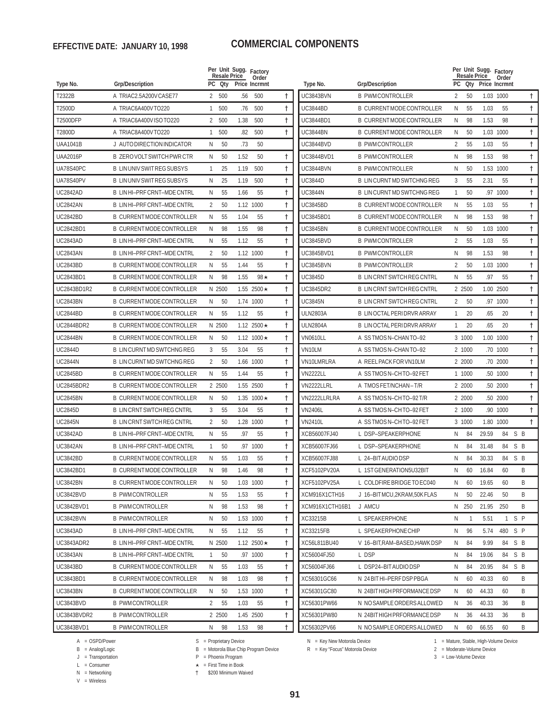|                   |                                   | <b>Resale Price</b>   | Per Unit Sugg. Factory            |                  |                                   | Per Unit Sugg. Factory<br><b>Resale Price</b> |            |
|-------------------|-----------------------------------|-----------------------|-----------------------------------|------------------|-----------------------------------|-----------------------------------------------|------------|
| Type No.          | <b>Grp/Description</b>            | PC Qty                | Order<br>Price Incrmnt            | Type No.         | <b>Grp/Description</b>            | Order<br>PC Qty<br>Price Incrmnt              |            |
| T2322B            | A TRIAC2.5A200VCASE77             | $\overline{2}$<br>500 | $^{\dagger}$<br>500<br>.56        | UC3843BVN        | <b>B PWMCONTROLLER</b>            | 2<br>50<br>1.03 1000                          | $^+$       |
| T2500D            | A TRIAC6A400VTO220                | 500<br>1              | 500<br>$^{\dagger}$<br>.76        | <b>UC3844BD</b>  | <b>B CURRENTMODE CONTROLLER</b>   | 1.03<br>55<br>N<br>55                         | $\ddagger$ |
| T2500DFP          | A TRIAC6A400VISOTO220             | 2 500                 | 500<br>$^{\dagger}$<br>1.38       | UC3844BD1        | <b>B CURRENTMODE CONTROLLER</b>   | 98<br>1.53<br>98<br>N                         | $\dagger$  |
| T2800D            | A TRIAC8A400VTO220                | 500<br>1              | 500<br>t<br>.82                   | <b>UC3844BN</b>  | <b>B CURRENTMODE CONTROLLER</b>   | 1.03 1000<br>N<br>50                          | $\ddagger$ |
| <b>UAA1041B</b>   | J AUTO DIRECTION INDICATOR        | 50<br>N               | 50<br>.73                         | <b>UC3844BVD</b> | <b>B PWMCONTROLLER</b>            | 1.03<br>55<br>2<br>55                         | $\dagger$  |
| <b>UAA2016P</b>   | <b>B ZERO VOLT SWITCH PWR CTR</b> | 50<br>N               | t<br>1.52<br>50                   | UC3844BVD1       | <b>B PWMCONTROLLER</b>            | 98<br>98<br>Ν<br>1.53                         | $\ddagger$ |
| UA78S40PC         | <b>B LINUNIV SWIT REG SUBSYS</b>  | 25<br>1               | $^{\dagger}$<br>1.19<br>500       | UC3844BVN        | <b>B PWMCONTROLLER</b>            | Ν<br>50<br>1.53 1000                          | $^\dagger$ |
| UA78S40PV         | <b>B LINUNIV SWIT REG SUBSYS</b>  | 25<br>N               | $^{\dagger}$<br>1.19<br>500       | <b>UC3844D</b>   | <b>B LIN CURNT MD SWTCHNG REG</b> | 3<br>55<br>2.31<br>55                         | $\ddagger$ |
| <b>UC2842AD</b>   | <b>B LINHI-PRF CRNT-MDE CNTRL</b> | 55<br>N               | 55<br>$^{\dagger}$<br>1.66        | <b>UC3844N</b>   | <b>B LINCURNT MD SWTCHNG REG</b>  | 50<br>.97 1000<br>1                           | $\ddagger$ |
| <b>UC2842AN</b>   | <b>B LINHI-PRF CRNT-MDE CNTRL</b> | 2<br>50               | $^{\dagger}$<br>1.12 1000         | <b>UC3845BD</b>  | <b>B CURRENTMODE CONTROLLER</b>   | 55<br>55<br>1.03<br>N                         | $\ddagger$ |
| <b>UC2842BD</b>   | <b>B CURRENTMODE CONTROLLER</b>   | 55<br>N               | $^{\dagger}$<br>1.04<br>55        | UC3845BD1        | <b>B CURRENTMODE CONTROLLER</b>   | 98<br>98<br>1.53<br>N                         | $\ddagger$ |
| <b>UC2842BD1</b>  | <b>B CURRENTMODE CONTROLLER</b>   | 98<br>N               | 98<br>$^{\dagger}$<br>1.55        | <b>UC3845BN</b>  | <b>B CURRENTMODE CONTROLLER</b>   | 50<br>1.03 1000<br>Ν                          | $\dagger$  |
| <b>UC2843AD</b>   | <b>B LINHI-PRF CRNT-MDE CNTRL</b> | 55<br>N               | t<br>1.12<br>55                   | <b>UC3845BVD</b> | <b>B PWMCONTROLLER</b>            | 55<br>2<br>55<br>1.03                         | $\ddagger$ |
| <b>UC2843AN</b>   | <b>B LINHI-PRF CRNT-MDE CNTRL</b> | 50<br>2               | $^{\dagger}$<br>1.12 1000         | UC3845BVD1       | <b>B PWMCONTROLLER</b>            | 98<br>98<br>Ν<br>1.53                         | $\ddagger$ |
| <b>UC2843BD</b>   | <b>B CURRENTMODE CONTROLLER</b>   | 55<br>N               | $^{\dagger}$<br>1.44<br>55        | <b>UC3845BVN</b> | <b>B PWMCONTROLLER</b>            | 2<br>50<br>1.03 1000                          | $\ddagger$ |
| <b>UC2843BD1</b>  | <b>B CURRENTMODE CONTROLLER</b>   | 98<br>N               | 98 ★<br>$^{\dagger}$<br>1.55      | <b>UC3845D</b>   | <b>B LINCRNT SWTCH REG CNTRL</b>  | 55<br>Ν<br>.97<br>55                          | $^\dagger$ |
| UC2843BD1R2       | <b>B CURRENTMODE CONTROLLER</b>   | N 2500                | $^{\dagger}$<br>1.55 2500 $\star$ | <b>UC3845DR2</b> | <b>B LINCRNT SWTCH REG CNTRL</b>  | 2 2500<br>1.00 2500                           | $\ddagger$ |
| <b>UC2843BN</b>   | <b>B CURRENTMODE CONTROLLER</b>   | 50<br>N               | t<br>1.74 1000                    | <b>UC3845N</b>   | <b>B LINCRNT SWTCH REG CNTRL</b>  | $\overline{2}$<br>50<br>.97 1000              | $\ddagger$ |
| <b>UC2844BD</b>   | <b>B CURRENTMODE CONTROLLER</b>   | 55<br>N               | $\ddagger$<br>1.12<br>55          | <b>ULN2803A</b>  | B LIN OCTAL PERI DRVR ARRAY       | 20<br>20<br>.65<br>1                          | $\ddagger$ |
| <b>UC2844BDR2</b> | <b>B CURRENTMODE CONTROLLER</b>   | N 2500                | $^{\dagger}$<br>1.12 2500 $\star$ | <b>ULN2804A</b>  | <b>B LINOCTAL PERI DRVR ARRAY</b> | 20<br>20<br>.65<br>1                          | $\ddagger$ |
| <b>UC2844BN</b>   | <b>B CURRENTMODE CONTROLLER</b>   | 50<br>N               | $^{\dagger}$<br>1.12 1000 $\star$ | VN0610LL         | A SSTMOSN-CHANTO-92               | 3 1000<br>1.00 1000                           | $\dagger$  |
| <b>UC2844D</b>    | <b>B LIN CURNT MD SWTCHNG REG</b> | 3<br>55               | t<br>3.04<br>55                   | VN10LM           | A SSTMOSN-CHANTO-92               | 2 1000<br>.70 1000                            | $\ddagger$ |
| <b>UC2844N</b>    | <b>B LIN CURNT MD SWTCHNG REG</b> | 2<br>50               | $^{\dagger}$<br>1.66 1000         | VN10LMRLRA       | A REEL PACK FOR VN10LM            | 2 2000<br>.70 2000                            | $\dagger$  |
| <b>UC2845BD</b>   | <b>B CURRENTMODE CONTROLLER</b>   | 55<br>N               | $^{\dagger}$<br>1.44<br>55        | <b>VN2222LL</b>  | A SSTMOSN-CHTO-92 FET             | 1 1000<br>.50 1000                            | $\ddagger$ |
| <b>UC2845BDR2</b> | <b>B CURRENTMODE CONTROLLER</b>   | 2 2500                | 1.55 2500<br>$^{\dagger}$         | VN2222LLRL       | A TMOS FET/NCHAN-T/R              | 2 2000<br>.50 2000                            | $\ddagger$ |
| <b>UC2845BN</b>   | <b>B CURRENTMODE CONTROLLER</b>   | 50<br>N               | $^{\dagger}$<br>1.35 1000 $\star$ | VN2222LLRLRA     | A SSTMOSN-CHTO-92T/R              | 2 2000<br>.50 2000                            | $\ddagger$ |
| <b>UC2845D</b>    | <b>B LINCRNT SWTCH REG CNTRL</b>  | 3<br>55               | 55<br>$^{\dagger}$<br>3.04        | <b>VN2406L</b>   | A SSTMOSN-CHTO-92FET              | 2 1000<br>.90 1000                            | $^\dagger$ |
| <b>UC2845N</b>    | <b>B LINCRNT SWTCH REG CNTRL</b>  | 2<br>50               | $^{\dagger}$<br>1.28 1000         | VN2410L          | A SSTMOSN-CHTO-92FET              | 3 1000<br>1.80 1000                           | $\ddagger$ |
| <b>UC3842AD</b>   | <b>B LINHI-PRF CRNT-MDE CNTRL</b> | 55<br>N               | .97<br>55<br>$^{\dagger}$         | XCB56007FJ40     | L DSP-SPEAKERPHONE                | 29.59<br>S B<br>Ν<br>84<br>84                 |            |
| <b>UC3842AN</b>   | <b>B LINHI-PRF CRNT-MDE CNTRL</b> | 50<br>1               | $^{\dagger}$<br>.97 1000          | XCB56007FJ66     | L DSP-SPEAKERPHONE                | 84<br>84 S B<br>Ν<br>31.48                    |            |
| <b>UC3842BD</b>   | <b>B CURRENTMODE CONTROLLER</b>   | N<br>55               | 1.03<br>55<br>t.                  | XCB56007FJ88     | L 24-BIT AUDIO DSP                | 30.33<br>84 S B<br>84<br>N                    |            |
| UC3842BD1         | <b>B CURRENTMODE CONTROLLER</b>   | 98<br>N               | $^\dagger$<br>98<br>1.46          | XCF5102PV20A     | L 1ST GENERATION5U32BIT           | 60<br>16.84<br>60<br>B<br>N                   |            |
| <b>UC3842BN</b>   | <b>B CURRENTMODE CONTROLLER</b>   | 50<br>N.              | t<br>1.03 1000                    | XCF5102PV25A     | L COLDFIRE BRIDGE TO EC040        | В<br>60<br>19.65<br>60<br>N                   |            |
| <b>UC3842BVD</b>  | <b>B PWMCONTROLLER</b>            | 55<br>N               | $^{\dagger}$<br>1.53<br>55        | XCM916X1CTH16    | J 16-BIT MCU, 2KRAM, 50K FLAS     | 50<br>22.46<br>50<br>В<br>N                   |            |
| <b>UC3842BVD1</b> | <b>B PWMCONTROLLER</b>            | 98<br>N               | 98<br>t<br>1.53                   | XCM916X1CTH16B1  | J AMCU                            | N 250<br>21.95<br>250<br>Β                    |            |
| <b>UC3842BVN</b>  | <b>B PWMCONTROLLER</b>            | 50<br>N               | t<br>1.53 1000                    | XC33215B         | L SPEAKERPHONE                    | 5.51<br>1 S P<br>Ν<br>1                       |            |
| <b>UC3843AD</b>   | <b>B LINHI-PRF CRNT-MDE CNTRL</b> | 55<br>N               | 55<br>$^{\dagger}$<br>1.12        | XC33215FB        | L SPEAKERPHONECHIP                | 480 S P<br>96<br>N<br>5.74                    |            |
| <b>UC3843ADR2</b> | <b>B LINHI-PRF CRNT-MDE CNTRL</b> | N 2500                | $^\dagger$<br>1.12 2500 $\star$   | XC56L811BU40     | V 16-BIT, RAM-BASED, HAWK DSP     | 84<br>S B<br>9.99<br>84<br>N                  |            |
| <b>UC3843AN</b>   | <b>B LINHI-PRF CRNT-MDE CNTRL</b> | 50<br>$\mathbf{1}$    | $\dagger$<br>.97 1000             | XC56004FJ50      | L DSP                             | S B<br>84<br>19.06<br>84<br>N                 |            |
| <b>UC3843BD</b>   | <b>B CURRENTMODE CONTROLLER</b>   | 55<br>N               | 55<br>t<br>1.03                   | XC56004FJ66      | L DSP24-BIT AUDIO DSP             | 84 S B<br>84<br>20.95<br>N                    |            |
| UC3843BD1         | <b>B CURRENTMODE CONTROLLER</b>   | 98<br>N               | 98<br>1.03<br>t                   | XC56301GC66      | N 24 BIT HI-PERF DSP PBGA         | 60<br>40.33<br>60<br>В<br>N                   |            |
| <b>UC3843BN</b>   | <b>B CURRENTMODE CONTROLLER</b>   | N<br>50               | 1.53 1000<br>t                    | XC56301GC80      | N 24BIT HIGH PRFORMANCE DSP       | 60<br>В<br>N<br>60<br>44.33                   |            |
| <b>UC3843BVD</b>  | <b>B PWMCONTROLLER</b>            | 2<br>55               | $^{\dagger}$<br>1.03<br>55        | XC56301PW66      | N NO SAMPLE ORDERS ALLOWED        | 36<br>40.33<br>36<br>В<br>N                   |            |
| UC3843BVDR2       | <b>B PWMCONTROLLER</b>            | 2 2500                | 1.45 2500<br>t                    | XC56301PW80      | N 24BIT HIGH PRFORMANCE DSP       | 36<br>44.33<br>36<br>В<br>N                   |            |
| <b>UC3843BVD1</b> | <b>B PWMCONTROLLER</b>            | N 98                  | 98<br>$^{\dagger}$<br>1.53        | XC56302PV66      | N NO SAMPLE ORDERS ALLOWED        | B<br>60<br>N<br>60<br>66.55                   |            |

- 
- 
- 
- $L = \text{Consumer}$ <br>  $N = \text{Networking}$ <br>  $V = \text{Wireless}$
- 

B = Analog/Logic entropyrology by B = Motorola Blue Chip Program Device R = Key "Focus" Motorola Device 2 = Moderate-Volume Device

A = OSPD/Power external states and S = Proprietary Device N = Key New Motorola Device 1 = Mature, Stable, High-Volume Device

- N = Networking and the state of the state of the state of the state of the state of the state of the state of the state of the state of the state of the state of the state of the state of the state of the state of the st
	-

 $L =$  Consumer  $\star =$  First Time in Book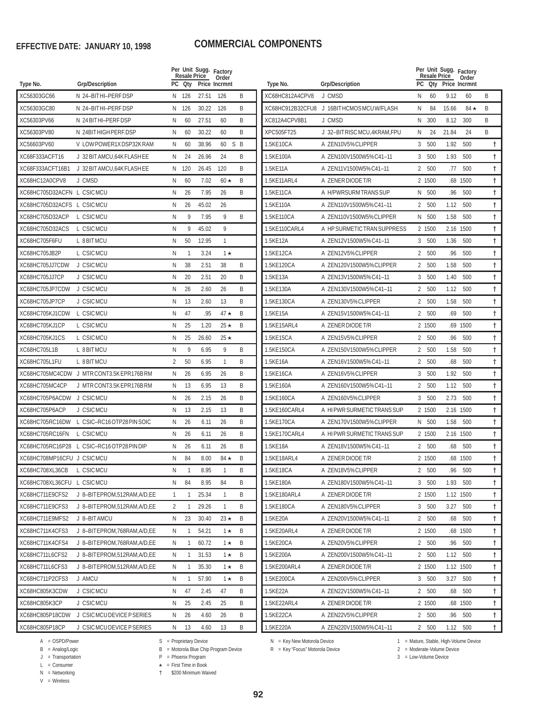|                            |                                           |                |                | Per Unit Sugg. Factory<br><b>Resale Price</b> | Order        |   |                  |                               |   |        | Per Unit Sugg. Factory<br><b>Resale Price</b> | Order      |              |
|----------------------------|-------------------------------------------|----------------|----------------|-----------------------------------------------|--------------|---|------------------|-------------------------------|---|--------|-----------------------------------------------|------------|--------------|
| Type No.                   | <b>Grp/Description</b>                    | PC             | Otv            | Price Incrmnt                                 |              |   | Type No.         | <b>Grp/Description</b>        |   | PC Qtv | Price Incrmnt                                 |            |              |
| XC56303GC66                | N 24-BIT HI-PERF DSP                      | N              | 126            | 27.51                                         | 126          | B | XC68HC812A4CPV8  | J CMSD                        | N | 60     | 9.12                                          | 60         | B            |
| XC56303GC80                | N 24-BIT HI-PERF DSP                      | N              | 126            | 30.22                                         | 126          | B | XC68HC912B32CFU8 | J 16BIT HCMOS MCU W/FLASH     | N | 84     | 15.66                                         | 84 $\star$ | B            |
| XC56303PV66                | N 24 BIT HI-PERF DSP                      | Ν              | 60             | 27.51                                         | 60           | B | XC812A4CPV8B1    | J CMSD                        | N | 300    | 8.12                                          | 300        | B            |
| XC56303PV80                | N 24BIT HIGH PERF.DSP                     | N              | 60             | 30.22                                         | 60           | B | XPC505FT25       | J 32-BIT RISC MCU, 4KRAM, FPU | N | 24     | 21.84                                         | 24         | B            |
| XC56603PV60                | V LOWPOWER1XDSP32KRAM                     | N              | 60             | 38.96                                         | 60 S B       |   | 1.5KE10CA        | A ZEN10V5% CLIPPER            | 3 | 500    | 1.92                                          | 500        | $^{\dagger}$ |
| XC68F333ACFT16             | J 32 BIT AMCU, 64K FLASHEE                | Ν              | 24             | 26.96                                         | 24           | B | 1.5KE100A        | A ZEN100V1500W5%C41-11        | 3 | 500    | 1.93                                          | 500        | $^{\dagger}$ |
| XC68F333ACFT16B1           | J 32 BIT AMCU, 64K FLASHEE                | N              | 120            | 26.45                                         | 120          | B | 1.5KE11A         | A ZEN11V1500W5%C41-11         |   | 2 500  | .77                                           | 500        | $^\dagger$   |
| XC68HC12A0CPV8             | J CMSD                                    | Ν              | 60             | 7.02                                          | $60 \star$   | B | 1.5KE11ARL4      | A ZENER DIODE T/R             |   | 2 1500 |                                               | .68 1500   | $\dagger$    |
| XC68HC705D32ACFN L CSICMCU |                                           | Ν              | 26             | 7.95                                          | 26           | B | 1.5KE11CA        | A H/PWRSURMTRANS SUP          |   | N 500  | .96                                           | 500        | $\dagger$    |
| XC68HC705D32ACFS L CSICMCU |                                           | N              | 26             | 45.02                                         | 26           |   | 1.5KE110A        | A ZEN110V1500W5%C41-11        |   | 2 500  | 1.12                                          | 500        | $\ddagger$   |
| XC68HC705D32ACP            | L CSICMCU                                 | Ν              | 9              | 7.95                                          | 9            | B | 1.5KE110CA       | A ZEN110V1500W5% CLIPPER      |   | N 500  | 1.58                                          | 500        | $\ddagger$   |
| XC68HC705D32ACS            | L CSICMCU                                 | N              | 9              | 45.02                                         | 9            |   | 1.5KE110CARL4    | A HP SURMETIC TRAN SUPPRESS   |   | 2 1500 | 2.16 1500                                     |            | $^\dagger$   |
| XC68HC705F6FU              | L 8 BIT MCU                               | Ν              | 50             | 12.95                                         | $\mathbf{1}$ |   | 1.5KE12A         | A ZEN12V1500W5%C41-11         |   | 3 500  | 1.36                                          | 500        | $\ddagger$   |
| XC68HC705JB2P              | L CSICMCU                                 | N              | 1              | 3.24                                          | $1\star$     |   | 1.5KE12CA        | A ZEN12V5% CLIPPER            |   | 2 500  | .96                                           | 500        | $\dagger$    |
| XC68HC705JJ7CDW            | J CSICMCU                                 | Ν              | 38             | 2.51                                          | 38           | B | 1.5KE120CA       | A ZEN120V1500W5%CLIPPER       |   | 2 500  | 1.58                                          | 500        | $\dagger$    |
| XC68HC705JJ7CP             | J CSICMCU                                 | Ν              | 20             | 2.51                                          | 20           | B | 1.5KE13A         | A ZEN13V1500W5%C41-11         |   | 3 500  | 1.40                                          | 500        | $^\dagger$   |
| XC68HC705JP7CDW            | J CSICMCU                                 | Ν              | 26             | 2.60                                          | 26           | B | 1.5KE130A        | A ZEN130V1500W5%C41-11        |   | 2 500  | 1.12                                          | 500        | $\dagger$    |
| XC68HC705JP7CP             | J CSICMCU                                 | Ν              | 13             | 2.60                                          | 13           | B | 1.5KE130CA       | A ZEN130V5% CLIPPER           |   | 2 500  | 1.58                                          | 500        | $\dagger$    |
| XC68HC705KJ1CDW            | L CSICMCU                                 | Ν              | 47             | .95                                           | $47 \star$   | B | 1.5KE15A         | A ZEN15V1500W5%C41-11         |   | 2 500  | .69                                           | 500        | $\ddagger$   |
| XC68HC705KJ1CP             | L CSICMCU                                 | Ν              | 25             | 1.20                                          | $25 \star$   | B | 1.5KE15ARL4      | A ZENER DIODE T/R             |   | 2 1500 |                                               | .69 1500   | $\dagger$    |
| XC68HC705KJ1CS             | L CSICMCU                                 | Ν              | 25             | 26.60                                         | $25 \star$   |   | 1.5KE15CA        | A ZEN15V5% CLIPPER            |   | 2 500  | .96                                           | 500        | $^\dagger$   |
| XC68HC705L1B               | L 8 BIT MCU                               | Ν              | 9              | 6.95                                          | 9            | B | 1.5KE150CA       | A ZEN150V1500W5%CLIPPER       |   | 2 500  | 1.58                                          | 500        | $\ddagger$   |
| XC68HC705L1FU              | L 8 BIT MCU                               | 2              | 50             | 6.95                                          | $\mathbf{1}$ | B | 1.5KE16A         | A ZEN16V1500W5%C41-11         |   | 2 500  | .68                                           | 500        | $\dagger$    |
|                            | XC68HC705MC4CDW J MTR CONT3.5K EPR176B RM | N              | 26             | 6.95                                          | 26           | B | 1.5KE16CA        | A ZEN16V5% CLIPPER            |   | 3 500  | 1.92                                          | 500        | $\dagger$    |
| XC68HC705MC4CP             | J MTR CONT3.5K EPR176B RM                 | Ν              | 13             | 6.95                                          | 13           | B | 1.5KE160A        | A ZEN160V1500W5%C41-11        |   | 2 500  | 1.12                                          | 500        | $^\dagger$   |
| XC68HC705P6ACDW J CSICMCU  |                                           | Ν              | 26             | 2.15                                          | 26           | B | 1.5KE160CA       | A ZEN160V5% CLIPPER           |   | 3 500  | 2.73                                          | 500        | $\dagger$    |
| XC68HC705P6ACP             | J CSICMCU                                 | Ν              | 13             | 2.15                                          | 13           | B | 1.5KE160CARL4    | A HIPWR SURMETIC TRANS SUP    |   | 2 1500 | 2.16 1500                                     |            | $\dagger$    |
|                            | XC68HC705RC16DW L CSIC-RC16OTP28PINSOIC   | Ν              | 26             | 6.11                                          | 26           | B | 1.5KE170CA       | A ZEN170V1500W5%CLIPPER       |   | N 500  | 1.58                                          | 500        | $\ddagger$   |
| XC68HC705RC16FN            | L CSICMCU                                 | N              | 26             | 6.11                                          | 26           | B | 1.5KE170CARL4    | A HIPWR SURMETIC TRANS SUP    |   | 2 1500 | 2.16 1500                                     |            | $\dagger$    |
|                            | XC68HC705RC16P28 L CSIC-RC16OTP28PINDIP   | Ν              | 26             | 6.11                                          | 26           | B | 1.5KE18A         | A ZEN18V1500W5%C41-11         |   | 2 500  | .68                                           | 500        | $\dagger$    |
| XC68HC708MP16CFU J CSICMCU |                                           | N              | 84             | 8.00                                          | 84 $\star$   | B | 1.5KE18ARL4      | A ZENER DIODE T/R             |   | 2 1500 |                                               | .68 1500   | $^{\dagger}$ |
| XC68HC708XL36CB L CSICMCU  |                                           | N              | $\overline{1}$ | 8.95                                          | 1            | B | 1.5KE18CA        | A ZEN18V5% CLIPPER            |   | 2 500  |                                               | .96 500    | $^\dagger$   |
| XC68HC708XL36CFU L CSICMCU |                                           | N              | 84             | 8.95                                          | 84           | B | 1.5KE180A        | A ZEN180V1500W5%C41-11        |   | 3 500  | 1.93 500                                      |            | $\ddagger$   |
| XC68HC711E9CFS2            | J 8-BITEPROM,512RAM,A/D,EE                | 1              | 1              | 25.34                                         | 1            | B | 1.5KE180ARL4     | A ZENER DIODE T/R             |   | 2 1500 | 1.12 1500                                     |            | $\dagger$    |
| XC68HC711E9CFS3            | J 8-BITEPROM,512RAM,A/D,EE                | $\overline{2}$ | 1              | 29.26                                         | $\mathbf{1}$ | B | 1.5KE180CA       | A ZEN180V5% CLIPPER           |   | 3 500  | 3.27 500                                      |            | $\dagger$    |
| XC68HC711E9MFS2            | J 8-BIT AMCU                              | Ν              | 23             | 30.40                                         | $23 \star$   | B | 1.5KE20A         | A ZEN20V1500W5%C41-11         |   | 2 500  | .68                                           | 500        | $\ddagger$   |
| XC68HC711K4CFS3            | J 8-BITEPROM, 768RAM, A/D, EE             | N              | 1              | 54.21                                         | $1\star$     | Β | 1.5KE20ARL4      | A ZENER DIODE T/R             |   | 2 1500 |                                               | .68 1500   | $\ddagger$   |
| XC68HC711K4CFS4            | J 8-BITEPROM, 768RAM, A/D, EE             | N              | 1              | 60.72                                         | $1\star$     | B | 1.5KE20CA        | A ZEN20V5% CLIPPER            |   | 2 500  |                                               | .96 500    | $\ddagger$   |
| XC68HC711L6CFS2            | J 8-BITEPROM.512RAM.A/D.EE                | N              | 1              | 31.53                                         | $1\star$     | B | 1.5KE200A        | A ZEN200V1500W5%C41-11        |   | 2 500  | 1.12 500                                      |            | $\ddagger$   |
| XC68HC711L6CFS3            | J 8-BITEPROM,512RAM,A/D,EE                | N              | $\mathbf{1}$   | 35.30                                         | $1\star$     | B | 1.5KE200ARL4     | A ZENER DIODE T/R             |   | 2 1500 | 1.12 1500                                     |            | $\dagger$    |
| XC68HC711P2CFS3            | J AMCU                                    | Ν              | 1              | 57.90                                         | $1\star$     | B | 1.5KE200CA       | A ZEN200V5% CLIPPER           |   | 3 500  | 3.27                                          | 500        | $^{\dagger}$ |
| XC68HC805K3CDW             | J CSICMCU                                 | Ν              | 47             | 2.45                                          | 47           | B | 1.5KE22A         | A ZEN22V1500W5%C41-11         |   | 2 500  | .68                                           | 500        | $^+$         |
| XC68HC805K3CP              | J CSICMCU                                 | Ν              | 25             | 2.45                                          | 25           | B | 1.5KE22ARL4      | A ZENER DIODE T/R             |   | 2 1500 |                                               | .68 1500   | $^\dagger$   |
|                            | XC68HC805P18CDW J CSICMCUDEVICE PSERIES   | Ν              | 26             | 4.60                                          | 26           | Β | 1.5KE22CA        | A ZEN22V5% CLIPPER            |   | 2 500  | .96                                           | 500        | $\ddagger$   |
| XC68HC805P18CP             | J CSIC MCU DEVICE P SERIES                | N              | 13             | 4.60                                          | 13           | Β | 1.5KE220A        | A ZEN220V1500W5%C41-11        |   | 2 500  | 1.12 500                                      |            | $\ddagger$   |

A = OSPD/Power external states and S = Proprietary Device N = Key New Motorola Device 1 = Mature, Stable, High-Volume Device

- -
- 

 $L = \text{Consumer}$ <br>  $N = \text{Networking}$ <br>  $V = \text{Wireless}$ 

B = Analog/Logic entropy of the Motorola Blue Chip Program Device R = Key "Focus" Motorola Device 2 = Moderate-Volume Device

- J = Transportation P = Phoenix Program 3 = Low-Volume Device
- $L =$  Consumer  $\star =$  First Time in Book
- N = Networking extensive that the state of the state of the state of the state of the state of the state of the state of the state of the state of the state of the state of the state of the state of the state of the state
-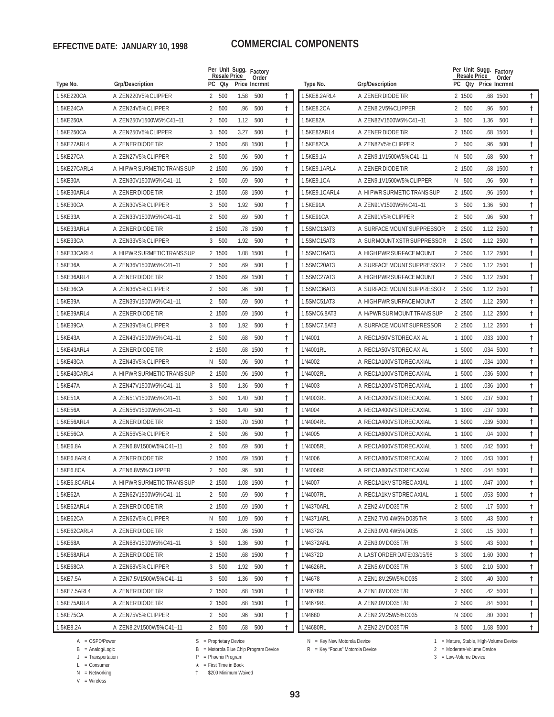|               |                            | Per Unit Sugg. Factory<br><b>Resale Price</b><br>Order |               |                            | Per Unit Sugg. Factory<br><b>Resale Price</b><br>Order |
|---------------|----------------------------|--------------------------------------------------------|---------------|----------------------------|--------------------------------------------------------|
| Type No.      | <b>Grp/Description</b>     | PC Otv<br>Price Incrmnt                                | Type No.      | <b>Grp/Description</b>     | PC Qtv Price Incrmnt                                   |
| 1.5KE220CA    | A ZEN220V5% CLIPPER        | 2 500<br>1.58<br>500<br>$^{\dagger}$                   | 1.5KE8.2ARL4  | A ZENER DIODE T/R          | $\ddagger$<br>2 1500<br>.68 1500                       |
| 1.5KE24CA     | A ZEN24V5% CLIPPER         | 2 500<br>500<br>.96<br>$^{\dagger}$                    | 1.5KE8.2CA    | A ZEN8.2V5% CLIPPER        | 500<br>2 500<br>.96<br>$\ddagger$                      |
| 1.5KE250A     | A ZEN250V1500W5%C41-11     | $\ddagger$<br>2 500<br>1.12<br>500                     | 1.5KE82A      | A ZEN82V1500W5%C41-11      | 500<br>$\ddagger$<br>3 500<br>1.36                     |
| 1.5KE250CA    | A ZEN250V5% CLIPPER        | t<br>3 500<br>3.27<br>500                              | 1.5KE82ARL4   | A ZENER DIODE T/R          | $^+$<br>2 1500<br>.68 1500                             |
| 1.5KE27ARL4   | A ZENER DIODE T/R          | 2 1500<br>.68 1500<br>t                                | 1.5KE82CA     | A ZEN82V5% CLIPPER         | 2 500<br>.96<br>500<br>$\ddagger$                      |
| 1.5KE27CA     | A ZEN27V5% CLIPPER         | 500<br>$^{\dagger}$<br>2 500<br>.96                    | 1.5KE9.1A     | A ZEN9.1V1500W5%C41-11     | $\ddagger$<br>N 500<br>.68<br>500                      |
| 1.5KE27CARL4  | A HIPWR SURMETIC TRANS SUP | $^{\dagger}$<br>2 1500<br>.96<br>1500                  | 1.5KE9.1ARL4  | A ZENER DIODE T/R          | .68 1500<br>$^+$<br>2 1500                             |
| 1.5KE30A      | A ZEN30V1500W5%C41-11      | $\ddagger$<br>2 500<br>.69<br>500                      | 1.5KE9.1CA    | A ZEN9.1V1500W5% CLIPPER   | $\ddagger$<br>N 500<br>.96<br>500                      |
| 1.5KE30ARL4   | A ZENER DIODE T/R          | .68 1500<br>$^{\dagger}$<br>2 1500                     | 1.5KE9.1CARL4 | A HIPWR SURMETIC TRANS SUP | $\ddagger$<br>2 1500<br>.96 1500                       |
| 1.5KE30CA     | A ZEN30V5% CLIPPER         | 3 500<br>1.92<br>500<br>$^{\dagger}$                   | 1.5KE91A      | A ZEN91V1500W5%C41-11      | 500<br>$^{\dagger}$<br>3 500<br>1.36                   |
| 1.5KE33A      | A ZEN33V1500W5%C41-11      | 2 500<br>500<br>t<br>.69                               | 1.5KE91CA     | A ZEN91V5% CLIPPER         | 2 500<br>500<br>$\ddagger$<br>.96                      |
| 1.5KE33ARL4   | A ZENER DIODE T/R          | $^{\dagger}$<br>2 1500<br>.78 1500                     | 1.5SMC13AT3   | A SURFACEMOUNT SUPPRESSOR  | $\ddagger$<br>2 2500<br>1.12 2500                      |
| 1.5KE33CA     | A ZEN33V5% CLIPPER         | t<br>3 500<br>1.92<br>500                              | 1.5SMC15AT3   | A SURMOUNT XSTR SUPPRESSOR | $^+$<br>2 2500<br>1.12 2500                            |
| 1.5KE33CARL4  | A HIPWR SURMETIC TRANS SUP | $^{\dagger}$<br>2 1500<br>1.08 1500                    | 1.5SMC16AT3   | A HIGH PWR SURFACE MOUNT   | $\ddagger$<br>2 2500<br>1.12 2500                      |
| 1.5KE36A      | A ZEN36V1500W5%C41-11      | $^{\dagger}$<br>2 500<br>.69<br>500                    | 1.5SMC20AT3   | A SURFACEMOUNT SUPPRESSOR  | $\ddagger$<br>2 2500<br>1.12 2500                      |
| 1.5KE36ARL4   | A ZENER DIODE T/R          | $^{\dagger}$<br>2 1500<br>.69<br>1500                  | 1.5SMC27AT3   | A HIGH PWR SURFACE MOUNT   | 2 2500<br>$\ddagger$<br>1.12 2500                      |
| 1.5KE36CA     | A ZEN36V5% CLIPPER         | $\ddagger$<br>2 500<br>.96<br>500                      | 1.5SMC36AT3   | A SURFACE MOUNT SUPPRESSOR | $\ddagger$<br>2 2500<br>1.12 2500                      |
| 1.5KE39A      | A ZEN39V1500W5%C41-11      | 2 500<br>500<br>$^{\dagger}$<br>.69                    | 1.5SMC51AT3   | A HIGH PWR SURFACE MOUNT   | 2 2500<br>1.12 2500<br>$\ddagger$                      |
| 1.5KE39ARL4   | A ZENER DIODE T/R          | 2 1500<br>.69 1500<br>$^{\dagger}$                     | 1.5SMC6.8AT3  | A H/PWR SURMOUNT TRANS SUP | 2 2500<br>$\ddagger$<br>1.12 2500                      |
| 1.5KE39CA     | A ZEN39V5% CLIPPER         | 3 500<br>1.92<br>500<br>$^{\dagger}$                   | 1.5SMC7.5AT3  | A SURFACE MOUNT SUPRESSOR  | 2 2500<br>1.12 2500<br>$\ddagger$                      |
| 1.5KE43A      | A ZEN43V1500W5%C41-11      | $^{\dagger}$<br>2 500<br>.68<br>500                    | 1N4001        | A REC1A50V STDREC AXIAL    | 1 1000<br>.033 1000<br>$^{\dagger}$                    |
| 1.5KE43ARL4   | A ZENER DIODE T/R          | t<br>2 1500<br>.68 1500                                | 1N4001RL      | A REC1A50V STDREC AXIAL    | $^+$<br>1 5000<br>.034 5000                            |
| 1.5KE43CA     | A ZEN43V5% CLIPPER         | $^{\dagger}$<br>N 500<br>.96<br>500                    | 1N4002        | A REC1A100V STDREC AXIAL   | $\ddagger$<br>1 1000<br>.034 1000                      |
| 1.5KE43CARL4  | A HIPWR SURMETIC TRANS SUP | $\ddagger$<br>2 1500<br>.96 1500                       | 1N4002RL      | A REC1A100V STDREC AXIAL   | $\ddagger$<br>1 5000<br>.036 5000                      |
| 1.5KE47A      | A ZEN47V1500W5%C41-11      | 3 500<br>500<br>$^{\dagger}$<br>1.36                   | 1N4003        | A REC1A200V STDREC AXIAL   | $\ddagger$<br>1 1000<br>.036 1000                      |
| 1.5KE51A      | A ZEN51V1500W5%C41-11      | $\ddagger$<br>3 500<br>500<br>1.40                     | 1N4003RL      | A REC1A200V STDREC AXIAL   | $\ddagger$<br>1 5000<br>.037 5000                      |
| 1.5KE56A      | A ZEN56V1500W5%C41-11      | 3 500<br>500<br>$^{\dagger}$<br>1.40                   | 1N4004        | A REC1A400V STDREC AXIAL   | .037 1000<br>1 1000<br>$\ddagger$                      |
| 1.5KE56ARL4   | A ZENER DIODE T/R          | $\ddagger$<br>2 1500<br>.70 1500                       | 1N4004RL      | A REC1A400V STDREC AXIAL   | 1 5000<br>.039 5000<br>$\ddagger$                      |
| 1.5KE56CA     | A ZEN56V5% CLIPPER         | 2 500<br>.96<br>500<br>$^{\dagger}$                    | 1N4005        | A REC1A600V STDREC AXIAL   | 1 1000<br>.04 1000<br>$\ddagger$                       |
| 1.5KE6.8A     | A ZEN6.8V1500W5%C41-11     | $\ddagger$<br>2 500<br>.69<br>500                      | 1N4005RL      | A REC1A600V STDREC AXIAL   | 1 5000<br>.042 5000<br>$^{\dagger}$                    |
| 1.5KE6.8ARL4  | A ZENER DIODE T/R          | t<br>2 1500<br>.69 1500                                | 1N4006        | A REC1A800V STDREC AXIAL   | $^+$<br>2 1000<br>.043 1000                            |
| 1.5KE6.8CA    | A ZEN6.8V5% CLIPPER        | $\ddagger$<br>2 500<br>96<br>500                       | 1N4006RL      | A REC1A800V STDREC AXIAL   | $^+$<br>1 5000<br>.044 5000                            |
| 1.5KE6.8CARL4 | A HIPWR SURMETIC TRANS SUP | $^{\dagger}$<br>2 1500<br>1.08 1500                    | 1N4007        | A REC1A1KV STDREC AXIAL    | $^+$<br>.047 1000<br>1 1000                            |
| 1.5KE62A      | A ZEN62V1500W5%C41-11      | $^{\dagger}$<br>2 500<br>.69<br>500                    | 1N4007RL      | A REC1A1KV STDREC AXIAL    | 1 5000<br>.053 5000<br>$\ddagger$                      |
| 1.5KE62ARL4   | A ZENER DIODE T/R          | $\ddagger$<br>2 1500<br>.69 1500                       | 1N4370ARL     | A ZEN2.4V DO35 T/R         | $\ddagger$<br>2 5000<br>.17 5000                       |
| 1.5KE62CA     | A ZEN62V5% CLIPPER         | $^\dagger$<br>N 500<br>1.09<br>500                     | 1N4371ARL     | A ZEN2.7V0.4W5%D035T/R     | 3 5000<br>.43 5000<br>$\ddagger$                       |
| 1.5KE62CARL4  | A ZENER DIODE T/R          | $\ddagger$<br>2 1500<br>.96 1500                       | 1N4372A       | A ZEN3.0V0.4W5%D035        | $\ddagger$<br>2 3000<br>.15 3000                       |
| 1.5KE68A      | A ZEN68V1500W5%C41-11      | t<br>3 500<br>1.36<br>500                              | 1N4372ARL     | A ZEN3.0VDO35T/R           | 3 5000<br>.43 5000<br>$^+$                             |
| 1.5KE68ARL4   | A ZENER DIODE T/R          | t<br>2 1500<br>.68 1500                                | 1N4372D       | A LASTORDER DATE:03/15/98  | 3 3000<br>1.60 3000<br>$^+$                            |
| 1.5KE68CA     | A ZEN68V5% CLIPPER         | t<br>3 500<br>1.92<br>500                              | 1N4626RL      | A ZEN5.6VDO35T/R           | 2.10 5000<br>$^+$<br>3 5000                            |
| 1.5KE7.5A     | A ZEN7.5V1500W5%C41-11     | t<br>3 500<br>1.36 500                                 | 1N4678        | A ZEN1.8V.25W5%D035        | 2 3000<br>.40 3000<br>$\ddagger$                       |
| 1.5KE7.5ARL4  | A ZENER DIODE T/R          | $^{\dagger}$<br>2 1500<br>.68 1500                     | 1N4678RL      | A ZEN1.8VDO35T/R           | $^+$<br>2 5000<br>.42 5000                             |
| 1.5KE75ARL4   | A ZENER DIODE T/R          | $^{\dagger}$<br>2 1500<br>.68 1500                     | 1N4679RL      | A ZEN2.0VDO35T/R           | .84 5000<br>$\ddagger$<br>2 5000                       |
| 1.5KE75CA     | A ZEN75V5% CLIPPER         | $^{\dagger}$<br>2 500<br>.96<br>500                    | 1N4680        | A ZEN2.2V.25W5%D035        | $\ddagger$<br>N 3000<br>.80 3000                       |
| 1.5KE8.2A     | A ZEN8.2V1500W5%C41-11     | $^{\dagger}$<br>2 500<br>.68<br>500                    | 1N4680RL      | A ZEN2.2V DO35 T/R         | 3 5000<br>1.68 5000<br>$+$                             |

- 
- 
- N = Networking the three states of the states of the states of the states of the states of the states of the states of the states of the states of the states of the states of the states of the states of the states of the s
- V = Wireless

B = Analog/Logic entropyrology by B = Motorola Blue Chip Program Device R = Key "Focus" Motorola Device 2 = Moderate-Volume Device

A = OSPD/Power external states and S = Proprietary Device N = Key New Motorola Device 1 = Mature, Stable, High-Volume Device

J = Transportation P = Phoenix Program 3 = Low-Volume Device

- $L =$  Consumer  $\star =$  First Time in Book
	- \$200 Minimum Waived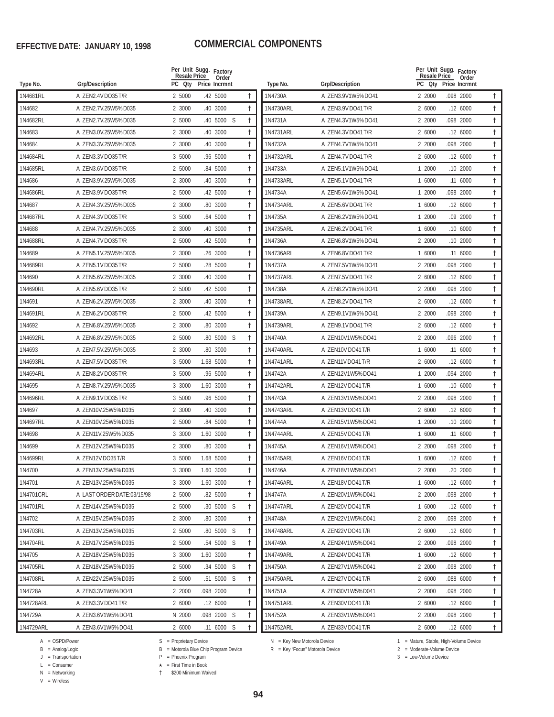|           |                            | Per Unit Sugg. Factory<br><b>Resale Price</b><br>Order |           |                        | Per Unit Sugg. Factory<br><b>Resale Price</b><br>Order |
|-----------|----------------------------|--------------------------------------------------------|-----------|------------------------|--------------------------------------------------------|
| Type No.  | <b>Grp/Description</b>     | PC Qty<br><b>Price Incrmnt</b>                         | Type No.  | <b>Grp/Description</b> | PC Otv<br>Price Incrmnt                                |
| 1N4681RL  | A ZEN2.4V DO35 T/R         | $\ddagger$<br>2 5000<br>.42 5000                       | 1N4730A   | A ZEN3.9V1W5%DO41      | $\ddagger$<br>2 2000<br>.098 2000                      |
| 1N4682    | A ZEN2.7V.25W5%D035        | $\ddagger$<br>2 3000<br>.40 3000                       | 1N4730ARL | A ZEN3.9V DO41 T/R     | $\ddagger$<br>2 6000<br>.12 6000                       |
| 1N4682RL  | A ZEN2.7V.25W5%D035        | 2 5000<br>.40 5000 S<br>$\ddagger$                     | 1N4731A   | A ZEN4.3V1W5%DO41      | $\ddagger$<br>2 2000<br>.098 2000                      |
| 1N4683    | A ZEN3.0V.25W5%D035        | $\ddagger$<br>2 3000<br>.40 3000                       | 1N4731ARL | A ZEN4.3V DO41 T/R     | $\ddagger$<br>2 6000<br>.12 6000                       |
| 1N4684    | A ZEN3.3V.25W5%D035        | 2 3000<br>.40 3000<br>$\ddagger$                       | 1N4732A   | A ZEN4.7V1W5%DO41      | $\ddagger$<br>2 2000<br>.098 2000                      |
| 1N4684RL  | A ZEN3.3V DO35 T/R         | $^{+}$<br>3 5000<br>.96 5000                           | 1N4732ARL | A ZEN4.7V DO41 T/R     | $\ddagger$<br>2 6000<br>.12 6000                       |
| 1N4685RL  | A ZEN3.6V DO35 T/R         | 2 5000<br>.84 5000<br>$\ddagger$                       | 1N4733A   | A ZEN5.1V1W5%DO41      | $\ddagger$<br>1 2000<br>.10 2000                       |
| 1N4686    | A ZEN3.9V.25W5%D035        | $\ddagger$<br>2 3000<br>.40 3000                       | 1N4733ARL | A ZEN5.1V DO41 T/R     | $\ddagger$<br>1 6000<br>.11 6000                       |
| 1N4686RL  | A ZEN3.9V DO35 T/R         | 2 5000<br>.42 5000<br>$\ddagger$                       | 1N4734A   | A ZEN5.6V1W5%DO41      | $\ddagger$<br>1 2000<br>.098 2000                      |
| 1N4687    | A ZEN4.3V.25W5%D035        | .80 3000<br>$\ddagger$<br>2 3000                       | 1N4734ARL | A ZEN5.6V DO41 T/R     | $\ddagger$<br>1 6000<br>.12 6000                       |
| 1N4687RL  | A ZEN4.3V DO35 T/R         | $^{\dagger}$<br>3 5000<br>.64 5000                     | 1N4735A   | A ZEN6.2V1W5%DO41      | $\dagger$<br>1 2000<br>.09 2000                        |
| 1N4688    | A ZEN4.7V.25W5%D035        | 2 3000<br>.40 3000<br>$\ddagger$                       | 1N4735ARL | A ZEN6.2V DO41 T/R     | $\ddagger$<br>1 6000<br>.10 6000                       |
| 1N4688RL  | A ZEN4.7V DO35 T/R         | $\ddagger$<br>2 5000<br>.42 5000                       | 1N4736A   | A ZEN6.8V1W5%DO41      | $\ddagger$<br>2 2000<br>.10 2000                       |
| 1N4689    | A ZEN5.1V.25W5%D035        | 2 3000<br>.26 3000<br>$\ddagger$                       | 1N4736ARL | A ZEN6.8V DO41 T/R     | $\ddagger$<br>1 6000<br>.11 6000                       |
| 1N4689RL  | A ZEN5.1V DO35 T/R         | $\ddagger$<br>2 5000<br>.28 5000                       | 1N4737A   | A ZEN7.5V1W5%DO41      | $\ddagger$<br>2 2000<br>.098 2000                      |
| 1N4690    | A ZEN5.6V.25W5%D035        | 2 3000<br>.40 3000<br>$\ddagger$                       | 1N4737ARL | A ZEN7.5V DO41 T/R     | $\ddagger$<br>2 6000<br>.12 6000                       |
| 1N4690RL  | A ZEN5.6V DO35 T/R         | $\ddagger$<br>2 5000<br>.42 5000                       | 1N4738A   | A ZEN8.2V1W5%DO41      | $\ddagger$<br>2 2000<br>.098 2000                      |
| 1N4691    | A ZEN6.2V.25W5%D035        | .40 3000<br>$\ddagger$<br>2 3000                       | 1N4738ARL | A ZEN8.2V DO41 T/R     | $\ddagger$<br>2 6000<br>.12 6000                       |
| 1N4691RL  | A ZEN6.2V DO35 T/R         | $\ddagger$<br>2 5000<br>.42 5000                       | 1N4739A   | A ZEN9.1V1W5%DO41      | $\ddagger$<br>2 2000<br>.098 2000                      |
| 1N4692    | A ZEN6.8V.25W5%D035        | 2 3000<br>.80 3000<br>$^{+}$                           | 1N4739ARL | A ZEN9.1VDO41T/R       | $\ddagger$<br>2 6000<br>.12 6000                       |
| 1N4692RL  | A ZEN6.8V.25W5%D035        | 2 5000<br>.80 5000 S<br>$\ddagger$                     | 1N4740A   | A ZEN10V1W5%DO41       | $\dagger$<br>2 2000<br>.096 2000                       |
| 1N4693    | A ZEN7.5V.25W5%D035        | $\ddagger$<br>2 3000<br>.80 3000                       | 1N4740ARL | A ZEN10VDO41T/R        | $\ddagger$<br>1 6000<br>.11 6000                       |
| 1N4693RL  | A ZEN7.5V DO35 T/R         | 3 5000<br>1.68 5000<br>$^{\dagger}$                    | 1N4741ARL | A ZEN11VDO41T/R        | $\ddagger$<br>2 6000<br>.12 6000                       |
| 1N4694RL  | A ZEN8.2V DO35 T/R         | $^{+}$<br>3 5000<br>.96 5000                           | 1N4742A   | A ZEN12V1W5%DO41       | $\ddagger$<br>1 2000<br>.094 2000                      |
| 1N4695    | A ZEN8.7V.25W5%D035        | 3 3000<br>1.60 3000<br>$^{\dagger}$                    | 1N4742ARL | A ZEN12VDO41T/R        | $\ddagger$<br>1 6000<br>.10 6000                       |
| 1N4696RL  | A ZEN9.1V DO35 T/R         | $\ddagger$<br>3 5000<br>.96 5000                       | 1N4743A   | A ZEN13V1W5%DO41       | $\ddagger$<br>2 2000<br>.098 2000                      |
| 1N4697    | A ZEN10V.25W5%D035         | 2 3000<br>.40 3000<br>$\ddagger$                       | 1N4743ARL | A ZEN13VDO41T/R        | $\ddagger$<br>2 6000<br>.12 6000                       |
| 1N4697RL  | A ZEN10V.25W5%D035         | .84 5000<br>$\ddagger$<br>2 5000                       | 1N4744A   | A ZEN15V1W5%DO41       | $\ddagger$<br>1 2000<br>.10 2000                       |
| 1N4698    | A ZEN11V.25W5%D035         | 3 3000<br>1.60 3000<br>$^+$                            | 1N4744ARL | A ZEN15V DO41 T/R      | $\ddagger$<br>1 6000<br>.11 6000                       |
| 1N4699    | A ZEN12V.25W5%D035         | 2 3000<br>.80 3000<br>$\ddagger$                       | 1N4745A   | A ZEN16V1W5%DO41       | $\dagger$<br>2 2000<br>.098 2000                       |
| 1N4699RL  | A ZEN12VDO35T/R            | 3 5000<br>1.68 5000<br>$^+$                            | 1N4745ARL | A ZEN16VDO41T/R        | $\dagger$<br>1 6000<br>.12 6000                        |
| 1N4700    | A ZEN13V.25W5%D035         | $+$<br>1.60 3000<br>3 3000                             | 1N4746A   | A ZEN18V1W5%DO41       | $^\dagger$<br>2 2000<br>.20 2000                       |
| 1N4701    | A ZEN13V.25W5%D035         | $^{+}$<br>1.60 3000<br>3 3000                          | 1N4746ARL | A ZEN18VDO41T/R        | $+$<br>1 6000<br>.12 6000                              |
| 1N4701CRL | A LAST ORDER DATE:03/15/98 | 2 5000<br>.82 5000<br>$^\dagger$                       | 1N4747A   | A ZEN20V1W5%D041       | $\ddagger$<br>2 2000<br>.098 2000                      |
| 1N4701RL  | A ZEN14V.25W5%D035         | .30 5000 S<br>2 5000<br>$^\dagger$                     | 1N4747ARL | A ZEN20V DO41 T/R      | $\ddagger$<br>1 6000<br>.12 6000                       |
| 1N4702    | A ZEN15V.25W5%D035         | $^{\dagger}$<br>2 3000<br>.80 3000                     | 1N4748A   | A ZEN22V1W5%D041       | $+$<br>2 2000<br>.098 2000                             |
| 1N4703RL  | A ZEN13V.25W5%D035         | $\ddagger$<br>2 5000<br>.80 5000 S                     | 1N4748ARL | A ZEN22VDO41T/R        | $\uparrow$<br>2 6000<br>.12 6000                       |
| 1N4704RL  | A ZEN17V.25W5%D035         | $^{\dagger}$<br>2 5000<br>.54 5000 S                   | 1N4749A   | A ZEN24V1W5%D041       | $^\dagger$<br>2 2000<br>.098 2000                      |
| 1N4705    | A ZEN18V.25W5%D035         | 3 3000<br>1.60 3000<br>$^\dagger$                      | 1N4749ARL | A ZEN24VDO41T/R        | 1 6000<br>.12 6000<br>$\ddagger$                       |
| 1N4705RL  | A ZEN18V.25W5%D035         | .34 5000 S<br>$^{+}$<br>2 5000                         | 1N4750A   | A ZEN27V1W5%D041       | $\ddagger$<br>2 2000<br>.098 2000                      |
| 1N4708RL  | A ZEN22V.25W5%D035         | 2 5000<br>.51 5000 S<br>$^{\dagger}$                   | 1N4750ARL | A ZEN27VDO41T/R        | $\ddagger$<br>2 6000<br>.088 6000                      |
| 1N4728A   | A ZEN3.3V1W5%DO41          | 2 2000<br>098 2000<br>$^{\dagger}$                     | 1N4751A   | A ZEN30V1W5%D041       | $+$<br>.098 2000<br>2 2000                             |
| 1N4728ARL | A ZEN3.3V DO41 T/R         | .12 6000<br>$\ddagger$<br>2 6000                       | 1N4751ARL | A ZEN30VDO41T/R        | $^{\dagger}$<br>2 6000<br>.12 6000                     |
| 1N4729A   | A ZEN3.6V1W5%DO41          | N 2000<br>.098 2000 S<br>Ť.                            | 1N4752A   | A ZEN33V1W5%D041       | $\ddagger$<br>.098 2000<br>2 2000                      |
| 1N4729ARL | A ZEN3.6V1W5%DO41          | 2 6000<br>.11 6000 S                                   | 1N4752ARL | A ZEN33VDO41T/R        | $^\mathrm{+}$<br>2 6000<br>.12 6000                    |

 $L = \text{Consumer}$ <br>  $N = \text{Networking}$ <br>  $V = \text{Wireless}$ 

B = Analog/Logic entropy of the Motorola Blue Chip Program Device R = Key "Focus" Motorola Device 2 = Moderate-Volume Device

J = Transportation P = Phoenix Program 3 = Low-Volume Device

 $L =$  Consumer  $\star =$  First Time in Book

N = Networking extensive that the state of the state of the state of the state of the state of the state of the state of the state of the state of the state of the state of the state of the state of the state of the state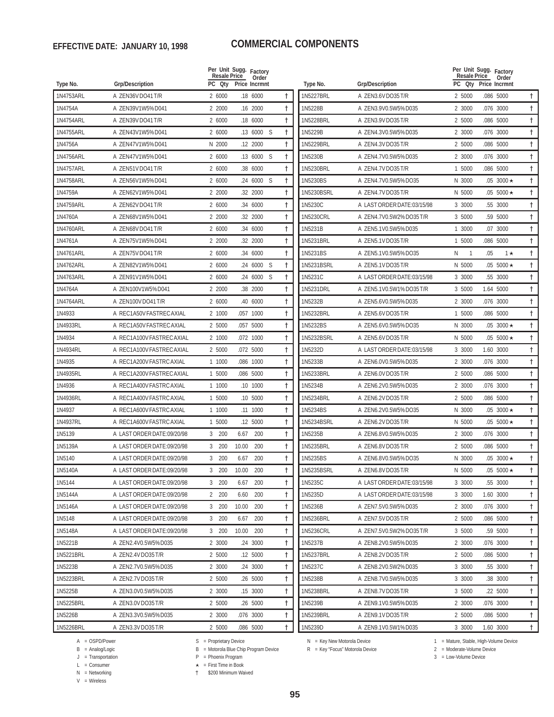|           |                            | Per Unit Sugg. Factory<br><b>Resale Price</b> |            |                            | Per Unit Sugg. Factory<br><b>Resale Price</b>        |
|-----------|----------------------------|-----------------------------------------------|------------|----------------------------|------------------------------------------------------|
| Type No.  | <b>Grp/Description</b>     | Order<br>PC Qty<br>Price Incrmnt              | Type No.   | <b>Grp/Description</b>     | Order<br>PC Qty<br>Price Incrmnt                     |
| 1N4753ARL | A ZEN36V DO41 T/R          | $^{\dagger}$<br>2 6000<br>.18 6000            | 1N5227BRL  | A ZEN3.6VDO35T/R           | $\dagger$<br>2 5000<br>.086 5000                     |
| 1N4754A   | A ZEN39V1W5%D041           | $^{\dagger}$<br>2 2000<br>.16 2000            | 1N5228B    | A ZEN3.9V0.5W5%D035        | 2 3000<br>.076 3000<br>$\ddagger$                    |
| 1N4754ARL | A ZEN39V DO41 T/R          | $^{\dagger}$<br>2 6000<br>.18 6000            | 1N5228BRL  | A ZEN3.9VDO35T/R           | $^{\dagger}$<br>2 5000<br>.086 5000                  |
| 1N4755ARL | A ZEN43V1W5%D041           | 2 6000<br>.13 6000 S<br>t                     | 1N5229B    | A ZEN4.3V0.5W5%D035        | $^+$<br>2 3000<br>.076 3000                          |
| 1N4756A   | A ZEN47V1W5%D041           | .12 2000<br>$^\dagger$<br>N 2000              | 1N5229BRL  | A ZEN4.3VDO35T/R           | 2 5000<br>.086 5000<br>$^{\dagger}$                  |
| 1N4756ARL | A ZEN47V1W5%D041           | $^{\dagger}$<br>2 6000<br>.13 6000<br>S.      | 1N5230B    | A ZEN4.7V0.5W5%D035        | 2 3000<br>.076 3000<br>$^+$                          |
| 1N4757ARL | A ZEN51V DO41 T/R          | $^{\dagger}$<br>2 6000<br>.38 6000            | 1N5230BRL  | A ZEN4.7VDO35T/R           | 1 5000<br>.086 5000<br>$^{\dagger}$                  |
| 1N4758ARL | A ZEN56V1W5%D041           | $\ddagger$<br>2 6000<br>.24 6000 S            | 1N5230BS   | A ZEN4.7V0.5W5%DO35        | $^+$<br>N 3000<br>$.05, 3000 \star$                  |
| 1N4759A   | A ZEN62V1W5%D041           | $^{\dagger}$<br>2 2000<br>.32 2000            | 1N5230BSRL | A ZEN4.7VDO35T/R           | $\ddagger$<br>N 5000<br>$.05, 5000 \star$            |
| 1N4759ARL | A ZEN62V DO41 T/R          | $^{\dagger}$<br>2 6000<br>.34 6000            | 1N5230C    | A LAST ORDER DATE:03/15/98 | $^{\dagger}$<br>3 3000<br>.55 3000                   |
| 1N4760A   | A ZEN68V1W5%D041           | $^{\dagger}$<br>2 2000<br>.32 2000            | 1N5230CRL  | A ZEN4.7V0.5W2%DO35T/R     | $\ddagger$<br>.59 5000<br>3 5000                     |
| 1N4760ARL | A ZEN68V DO41 T/R          | $\ddagger$<br>2 6000<br>.34 6000              | 1N5231B    | A ZEN5.1V0.5W5%D035        | .07 3000<br>$^{\dagger}$<br>1 3000                   |
| 1N4761A   | A ZEN75V1W5%D041           | 2 2000<br>.32 2000<br>t.                      | 1N5231BRL  | A ZEN5.1VDO35T/R           | 1 5000<br>.086 5000<br>$^+$                          |
| 1N4761ARL | A ZEN75V DO41 T/R          | .34 6000<br>$^{\dagger}$<br>2 6000            | 1N5231BS   | A ZEN5.1V0.5W5%DO35        | Ν<br>$\mathbf{1}$<br>.05<br>$1\star$<br>$^{\dagger}$ |
| 1N4762ARL | A ZEN82V1W5%D041           | $^{\dagger}$<br>2 6000<br>.24 6000<br>S-      | 1N5231BSRL | A ZEN5.1VDO35T/R           | N 5000<br>$.05, 5000 \star$<br>$^+$                  |
| 1N4763ARL | A ZEN91V1W5%D041           | .24 6000 S<br>$^{\dagger}$<br>2 6000          | 1N5231C    | A LASTORDER DATE:03/15/98  | 3 3000<br>.55 3000<br>$^{\dagger}$                   |
| 1N4764A   | A ZEN100V1W5%D041          | $\ddagger$<br>2 2000<br>.38 2000              | 1N5231DRL  | A ZEN5.1V0.5W1%DO35T/R     | 3 5000<br>1.64 5000<br>$^+$                          |
| 1N4764ARL | A ZEN100VDO41T/R           | $^{\dagger}$<br>2 6000<br>.40 6000            | 1N5232B    | A ZEN5.6V0.5W5%D035        | 2 3000<br>.076 3000<br>$^+$                          |
| 1N4933    | A REC1A50VFASTRECAXIAL     | $^{\dagger}$<br>2 1000<br>.057 1000           | 1N5232BRL  | A ZEN5.6VDO35T/R           | $\ddagger$<br>1 5000<br>.086 5000                    |
| 1N4933RL  | A REC1A50VFASTRECAXIAL     | .057 5000<br>$^{\dagger}$<br>2 5000           | 1N5232BS   | A ZEN5.6V0.5W5%DO35        | $.053000 \star$<br>$\ddagger$<br>N 3000              |
| 1N4934    | A REC1A100V FASTREC AXIAL  | $\ddagger$<br>2 1000<br>.072 1000             | 1N5232BSRL | A ZEN5.6VDO35T/R           | $^{\dagger}$<br>N 5000<br>$.05, 5000 \star$          |
| 1N4934RL  | A REC1A100V FASTREC AXIAL  | 2 5000<br>.072 5000<br>Ť.                     | 1N5232D    | A LAST ORDER DATE:03/15/98 | 3 3000<br>1.60 3000<br>$^+$                          |
| 1N4935    | A REC1A200V FASTRC AXIAL   | $^\dagger$<br>1 1000<br>.086 1000             | 1N5233B    | A ZEN6.0V0.5W5%D035        | 2 3000<br>.076 3000<br>$^{\dagger}$                  |
| 1N4935RL  | A REC1A200V FASTREC AXIAL  | $^{\dagger}$<br>1 5000<br>.086 5000           | 1N5233BRL  | A ZEN6.0VDO35T/R           | 2 5000<br>.086 5000<br>$^+$                          |
| 1N4936    | A REC1A400V FASTRC AXIAL   | $^{\dagger}$<br>1 1000<br>.10 1000            | 1N5234B    | A ZEN6.2V0.5W5%D035        | $\ddagger$<br>2 3000<br>.076 3000                    |
| 1N4936RL  | A REC1A400V FASTRC AXIAL   | $\ddagger$<br>1 5000<br>.10 5000              | 1N5234BRL  | A ZEN6.2VDO35T/R           | $^+$<br>2 5000<br>.086 5000                          |
| 1N4937    | A REC1A600V FASTRC AXIAL   | $^{\dagger}$<br>1 1000<br>.11 1000            | 1N5234BS   | A ZEN6.2V0.5W5%DO35        | N 3000<br>.05 3000 $\star$<br>$^{\dagger}$           |
| 1N4937RL  | A REC1A600V FASTRC AXIAL   | $^{\dagger}$<br>1 5000<br>.12 5000            | 1N5234BSRL | A ZEN6.2VDO35T/R           | $\ddagger$<br>N 5000<br>$.05, 5000 \star$            |
| 1N5139    | A LAST ORDER DATE:09/20/98 | 200<br>200<br>$^{\dagger}$<br>6.67<br>3       | 1N5235B    | A ZEN6.8V0.5W5%D035        | .076 3000<br>2 3000<br>$\ddagger$                    |
| 1N5139A   | A LAST ORDER DATE:09/20/98 | $\dagger$<br>3 200<br>200<br>10.00            | 1N5235BRL  | A ZEN6.8VDO35T/R           | $^{\dagger}$<br>2 5000<br>.086 5000                  |
| 1N5140    | A LAST ORDER DATE:09/20/98 | 3 200<br>6.67<br>200<br>t.                    | 1N5235BS   | A ZEN6.8V0.5W5%DO35        | N 3000<br>.05 3000 $\star$<br>$^+$                   |
| 1N5140A   | A LAST ORDER DATE:09/20/98 | $+$<br>200<br>3 200<br>10.00                  | 1N5235BSRL | A ZEN6.8VDO35T/R           | $^+$<br>N 5000<br>$.05, 5000 \star$                  |
| 1N5144    | A LAST ORDER DATE:09/20/98 | Ť.<br>3 200<br>200<br>6.67                    | 1N5235C    | A LAST ORDER DATE:03/15/98 | $^+$<br>3 3000<br>.55 3000                           |
| 1N5144A   | A LAST ORDER DATE:09/20/98 | t<br>2 200<br>6.60<br>200                     | 1N5235D    | A LAST ORDER DATE:03/15/98 | 3 3000<br>1.60 3000<br>$^+$                          |
| 1N5146A   | A LAST ORDER DATE:09/20/98 | $^{\dagger}$<br>3 200<br>10.00<br>200         | 1N5236B    | A ZEN7.5V0.5W5%D035        | 2 3000<br>.076 3000<br>$^+$                          |
| 1N5148    | A LAST ORDER DATE:09/20/98 | $^{\dagger}$<br>3 200<br>6.67<br>200          | 1N5236BRL  | A ZEN7.5VDO35T/R           | 2 5000<br>.086 5000<br>$^{\dagger}$                  |
| 1N5148A   | A LAST ORDER DATE:09/20/98 | $^{\dagger}$<br>3 200<br>10.00<br>200         | 1N5236CRL  | A ZEN7.5V0.5W2%DO35T/R     | $\ddagger$<br>3 5000<br>.59 5000                     |
| 1N5221B   | A ZEN2.4V0.5W5%D035        | $^{\dagger}$<br>2 3000<br>.24 3000            | 1N5237B    | A ZEN8.2V0.5W5%D035        | $\ddagger$<br>.076 3000<br>2 3000                    |
| 1N5221BRL | A ZEN2.4VDO35T/R           | $^\dagger$<br>2 5000<br>.12 5000              | 1N5237BRL  | A ZEN8.2VDO35T/R           | $\ddagger$<br>2 5000<br>.086 5000                    |
| 1N5223B   | A ZEN2.7V0.5W5%D035        | t.<br>2 3000<br>.24 3000                      | 1N5237C    | A ZEN8.2V0.5W2%D035        | 3 3000<br>.55 3000<br>$^+$                           |
| 1N5223BRL | A ZEN2.7VDO35T/R           | .26 5000<br>$^\dagger$<br>2 5000              | 1N5238B    | A ZEN8.7V0.5W5%D035        | 3 3000<br>.38 3000<br>$^+$                           |
| 1N5225B   | A ZEN3.0V0.5W5%D035        | 2 3000<br>.15 3000<br>Ť.                      | 1N5238BRL  | A ZEN8.7VDO35T/R           | 3 5000<br>.22 5000<br>$^+$                           |
| 1N5225BRL | A ZEN3.0VDO35T/R           | t<br>2 5000<br>.26 5000                       | 1N5239B    | A ZEN9.1V0.5W5%D035        | .076 3000<br>$^+$<br>2 3000                          |
| 1N5226B   | A ZEN3.3V0.5W5%D035        | $^{\dagger}$<br>2 3000<br>.076 3000           | 1N5239BRL  | A ZEN9.1VDO35T/R           | 2 5000<br>$^+$<br>.086 5000                          |
| 1N5226BRL | A ZEN3.3VDO35T/R           | $^{\dagger}$<br>2 5000<br>.086 5000           | 1N5239D    | A ZEN9.1V0.5W1%D035        | 3 3000<br>$^+$<br>1.60 3000                          |

- N = Networking the three states of the states of the states of the states of the states of the states of the states of the states of the states of the states of the states of the states of the states of the states of the s
- 

B = Analog/Logic entropyrology by B = Motorola Blue Chip Program Device R = Key "Focus" Motorola Device 2 = Moderate-Volume Device

J = Transportation P = Phoenix Program 3 = Low-Volume Device

 $L =$  Consumer  $\star =$  First Time in Book

\$200 Minimum Waived

V = Wireless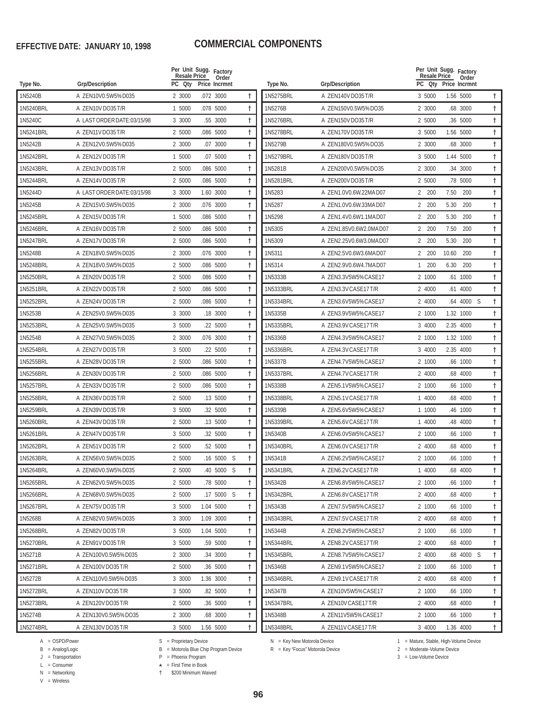| Type No.               | <b>Grp/Description</b>                   | Per Unit Sugg. Factory<br><b>Resale Price</b><br>Order<br>PC Qtv<br>Price Incrmnt | Type No.             | <b>Grp/Description</b>                       | Per Unit Sugg. Factory<br><b>Resale Price</b><br>Order<br><b>Qtv</b><br>Price Incrmnt<br>PC |
|------------------------|------------------------------------------|-----------------------------------------------------------------------------------|----------------------|----------------------------------------------|---------------------------------------------------------------------------------------------|
| 1N5240B                | A ZEN10V0.5W5%D035                       | $\ddagger$<br>.072 3000<br>2 3000                                                 | 1N5275BRL            | A ZEN140V DO35 T/R                           | $\ddagger$<br>3 5000<br>1.56 5000                                                           |
| 1N5240BRL              | A ZEN10VDO35T/R                          | $\ddagger$<br>1 5000<br>.078 5000                                                 | 1N5276B              | A ZEN150V0.5W5%DO35                          | $\dagger$<br>2 3000<br>.68 3000                                                             |
| 1N5240C                | A LASTORDERDATE:03/15/98                 | .55 3000<br>$\ddagger$<br>3 3000                                                  | 1N5276BRL            | A ZEN150VDO35T/R                             | $^\dagger$<br>2 5000<br>.36 5000                                                            |
| 1N5241BRL              | A ZEN11V DO35 T/R                        | t<br>2 5000<br>.086 5000                                                          | 1N5278BRL            | A ZEN170VDO35T/R                             | $\dagger$<br>3 5000<br>1.56 5000                                                            |
| 1N5242B                | A ZEN12V0.5W5%D035                       | $\ddagger$<br>2 3000<br>.07 3000                                                  | 1N5279B              | A ZEN180V0.5W5%DO35                          | $\ddagger$<br>2 3000<br>.68 3000                                                            |
| 1N5242BRL              | A ZEN12VDO35T/R                          | $^+$<br>1 5000<br>.07 5000                                                        | 1N5279BRL            | A ZEN180VDO35T/R                             | $\ddagger$<br>3 5000<br>1.44 5000                                                           |
| 1N5243BRL              | A ZEN13VDO35T/R                          | 2 5000<br>.086 5000<br>$^\dagger$                                                 | 1N5281B              | A ZEN200V0.5W5%DO35                          | $\ddagger$<br>2 3000<br>.34 3000                                                            |
| 1N5244BRL              | A ZEN14VDO35T/R                          | $\ddagger$<br>2 5000<br>.086 5000                                                 | 1N5281BRL            | A ZEN200VDO35T/R                             | $^\dagger$<br>2 5000<br>.78 5000                                                            |
| 1N5244D                | A LASTORDER DATE:03/15/98                | $^{\dagger}$<br>3 3000<br>1.60 3000                                               | 1N5283               | A ZEN1.0V0.6W.22MAD07                        | $\dagger$<br>2 200<br>7.50<br>200                                                           |
| 1N5245B                | A ZEN15V0.5W5%D035                       | $\ddagger$<br>2 3000<br>.076 3000                                                 | 1N5287               | A ZEN1.0V0.6W.33MAD07                        | $\ddagger$<br>2 200<br>5.30<br>200                                                          |
| 1N5245BRL              | A ZEN15VDO35T/R                          | $\dagger$<br>1 5000<br>.086 5000                                                  | 1N5298               | A ZEN1.4V0.6W1.1MAD07                        | $\ddagger$<br>2 200<br>200<br>5.30                                                          |
| 1N5246BRL              | A ZEN16VDO35T/R                          | 2 5000<br>.086 5000<br>$\ddagger$                                                 | 1N5305               | A ZEN1.85V0.6W2.0MAD07                       | $\ddagger$<br>2 200<br>200<br>7.50                                                          |
| 1N5247BRL              | A ZEN17VDO35T/R                          | 2 5000<br>.086 5000<br>$^+$                                                       | 1N5309               | A ZEN2.25V0.6W3.0MAD07                       | $\ddagger$<br>2 200<br>200<br>5.30                                                          |
| 1N5248B                | A ZEN18V0.5W5%D035                       | $\ddagger$<br>2 3000<br>.076 3000                                                 | 1N5311               | A ZEN2.5V0.6W3.6MAD07                        | $\ddagger$<br>2 200<br>10.60<br>200                                                         |
| 1N5248BRL              | A ZEN18V0.5W5%D035                       | $^+$<br>2 5000<br>.086 5000                                                       | 1N5314               | A ZEN2.9V0.6W4.7MAD07                        | $\ddagger$<br>200<br>200<br>6.30<br>1.                                                      |
| 1N5250BRL              | A ZEN20VDO35T/R                          | 2 5000<br>.086 5000<br>$^\dagger$                                                 | 1N5333B              | A ZEN3.3V5W5%CASE17                          | $\ddagger$<br>2 1000<br>.61 1000                                                            |
| 1N5251BRL              | A ZEN22VDO35T/R                          | $\ddagger$<br>2 5000<br>.086 5000                                                 | 1N5333BRL            | A ZEN3.3V CASE17 T/R                         | $\ddagger$<br>2 4000<br>.61 4000                                                            |
| 1N5252BRL              | A ZEN24VDO35T/R                          | $^{\dagger}$<br>2 5000<br>.086 5000                                               | 1N5334BRL            | A ZEN3.6V5W5%CASE17                          | .64 4000 S<br>$\ddagger$<br>2 4000                                                          |
|                        |                                          | $\ddagger$<br>.18 3000<br>3 3000                                                  | 1N5335B              |                                              | $\ddagger$                                                                                  |
| 1N5253B<br>1N5253BRL   | A ZEN25V0.5W5%D035<br>A ZEN25V0.5W5%D035 | $\ddagger$<br>3 5000<br>22 5000                                                   | 1N5335BRL            | A ZEN3.9V5W5%CASE17<br>A ZEN3.9V CASE17 T/R  | 2 1000<br>1.32 1000<br>$\dagger$<br>3 4000<br>2.35 4000                                     |
| 1N5254B                |                                          |                                                                                   | 1N5336B              |                                              |                                                                                             |
|                        | A ZEN27V0.5W5%D035                       | $^{\dagger}$<br>2 3000<br>.076 3000                                               |                      | A ZEN4.3V5W5% CASE17                         | $\ddagger$<br>2 1000<br>1.32 1000                                                           |
| 1N5254BRL              | A ZEN27V DO35 T/R                        | .22 5000<br>$^\dagger$<br>3 5000                                                  | 1N5336BRL            | A ZEN4.3V CASE17 T/R                         | $\dagger$<br>3 4000<br>2.35 4000                                                            |
| 1N5255BRL              | A ZEN28VDO35T/R                          | 2 5000<br>.086 5000<br>$\ddagger$<br>$^+$                                         | 1N5337B              | A ZEN4.7V5W5%CASE17                          | $\ddagger$<br>2 1000<br>.66 1000<br>$\ddagger$                                              |
| 1N5256BRL              | A ZEN30VDO35T/R                          | 2 5000<br>.086 5000                                                               | 1N5337BRL            | A ZEN4.7V CASE17 T/R                         | 2 4000<br>.68 4000                                                                          |
| 1N5257BRL              | A ZEN33VDO35T/R                          | 2 5000<br>.086 5000<br>t                                                          | 1N5338B              | A ZEN5.1V5W5% CASE17                         | $\dagger$<br>2 1000<br>.66 1000                                                             |
| 1N5258BRL<br>1N5259BRL | A ZEN36VDO35T/R<br>A ZEN39VDO35T/R       | $\ddagger$<br>2 5000<br>.13 5000<br>$^{\dagger}$<br>3 5000<br>.32 5000            | 1N5338BRL<br>1N5339B | A ZEN5.1V CASE17 T/R<br>A ZEN5.6V5W5% CASE17 | $\ddagger$<br>1 4000<br>.68 4000<br>$\dagger$<br>.46 1000                                   |
|                        |                                          |                                                                                   |                      |                                              | 1 1000                                                                                      |
| 1N5260BRL              | A ZEN43VDO35T/R                          | $\ddagger$<br>.13 5000<br>2 5000                                                  | 1N5339BRL<br>1N5340B | A ZEN5.6V CASE17 T/R                         | $\ddagger$<br>1 4000<br>.48 4000<br>.66 1000                                                |
| 1N5261BRL              | A ZEN47VDO35T/R<br>A ZEN51VDO35T/R       | $^{\dagger}$<br>3 5000<br>.32 5000                                                |                      | A ZEN6.0V5W5% CASE17                         | $\dagger$<br>2 1000                                                                         |
| 1N5262BRL              |                                          | 2 5000<br>.52 5000<br>$\ddagger$                                                  | 1N5340BRL            | A ZEN6.0V CASE17 T/R                         | $\uparrow$<br>2 4000<br>.68 4000                                                            |
| 1N5263BRL              | A ZEN56V0.5W5%D035                       | 2 5000<br>.16 5000 S<br>t                                                         | 1N5341B              | A ZEN6.2V5W5%CASE17                          | $\ddagger$<br>2 1000<br>.66 1000                                                            |
| 1N5264BRL              | A ZEN60V0.5W5%D035                       | $\dagger$<br>2 5000<br>.40 5000 S                                                 | 1N5341BRL            | A ZEN6.2V CASE17 T/R                         | $^\dagger$<br>1 4000<br>.68 4000                                                            |
| 1N5265BRL              | A ZEN62V0.5W5%D035                       | $^{\dagger}$<br>2 5000<br>.78 5000                                                | 1N5342B              | A ZEN6.8V5W5%CASE17                          | $^{\dagger}$<br>2 1000<br>.66 1000                                                          |
| 1N5266BRL              | A ZEN68V0.5W5%D035                       | 2 5000<br>.17 5000 S<br>t.                                                        | 1N5342BRL            | A ZEN6.8V CASE17 T/R                         | 2 4000<br>.68 4000<br>$+$                                                                   |
| 1N5267BRL              | A ZEN75VDO35T/R                          | $^{\dagger}$<br>3 5000<br>1.04 5000                                               | 1N5343B              | A ZEN7.5V5W5%CASE17                          | $\ddagger$<br>2 1000<br>.66 1000                                                            |
| 1N5268B                | A ZEN82V0.5W5%D035                       | $^{\dagger}$<br>3 3000<br>1.09 3000                                               | 1N5343BRL            | A ZEN7.5V CASE17 T/R                         | $\ddagger$<br>2 4000<br>.68 4000                                                            |
| 1N5268BRL              | A ZEN82VDO35T/R                          | $\ddagger$<br>3 5000<br>1.04 5000                                                 | 1N5344B              | A ZEN8.2V5W5%CASE17                          | $\ddagger$<br>2 1000<br>.66 1000                                                            |
| 1N5270BRL              | A ZEN91VDO35T/R                          | $\ddagger$<br>3 5000<br>.59 5000                                                  | 1N5344BRL            | A ZEN8.2V CASE17 T/R                         | $^\dagger$<br>2 4000<br>.68 4000                                                            |
| 1N5271B                | A ZEN100V0.5W5%D035                      | $\dagger$<br>2 3000<br>.34 3000                                                   | 1N5345BRL            | A ZEN8.7V5W5%CASE17                          | 2 4000<br>.68 4000 S<br>$\ddagger$                                                          |
| 1N5271BRL              | A ZEN100VDO35T/R                         | $^\dagger$<br>2 5000<br>.36 5000                                                  | 1N5346B              | A ZEN9.1V5W5%CASE17                          | $\ddagger$<br>2 1000<br>.66 1000                                                            |
| 1N5272B                | A ZEN110V0.5W5%D035                      | 3 3000<br>1.36 3000<br>t                                                          | 1N5346BRL            | A ZEN9.1V CASE17 T/R                         | 2 4000<br>.68 4000<br>$\ddagger$                                                            |
| 1N5272BRL              | A ZEN110VDO35T/R                         | t.<br>3 5000<br>.82 5000                                                          | 1N5347B              | A ZEN10V5W5%CASE17                           | $\dagger$<br>2 1000<br>.66 1000                                                             |
| 1N5273BRL              | A ZEN120VDO35T/R                         | 2 5000<br>t.<br>.36 5000                                                          | 1N5347BRL            | A ZEN10V CASE17 T/R                          | $\uparrow$<br>2 4000<br>.68 4000                                                            |
| 1N5274B                | A ZEN130V0.5W5%DO35                      | $^{\dagger}$<br>2 3000<br>.68 3000                                                | 1N5348B              | A ZEN11V5W5% CASE17                          | $\ddagger$<br>2 1000<br>.66 1000                                                            |
| 1N5274BRL              | A ZEN130VDO35T/R                         | $\ddagger$<br>3 5000<br>1.56 5000                                                 | 1N5348BRL            | A ZEN11VCASE17T/R                            | $\ddagger$<br>3 4000<br>1.36 4000                                                           |

 $L = \text{Consumer}$ <br>  $N = \text{Networking}$ <br>  $V = \text{Wireless}$ 

B = Analog/Logic entropy of the Motorola Blue Chip Program Device R = Key "Focus" Motorola Device 2 = Moderate-Volume Device

J = Transportation P = Phoenix Program 3 = Low-Volume Device

 $L =$  Consumer  $\star =$  First Time in Book

N = Networking extensive that the state of the state of the state of the state of the state of the state of the state of the state of the state of the state of the state of the state of the state of the state of the state

A = OSPD/Power external states and S = Proprietary Device N = Key New Motorola Device 1 = Mature, Stable, High-Volume Device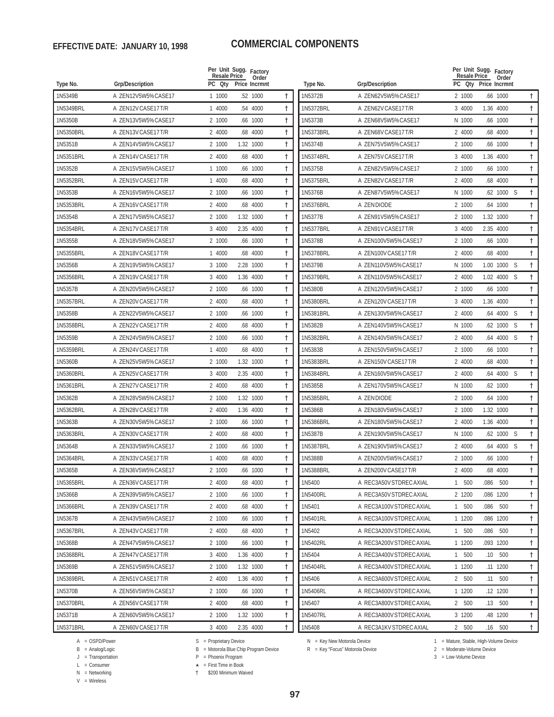|           |                        | Per Unit Sugg. Factory<br><b>Resale Price</b><br>Order |           |                          | Per Unit Sugg. Factory<br><b>Resale Price</b><br>Order |
|-----------|------------------------|--------------------------------------------------------|-----------|--------------------------|--------------------------------------------------------|
| Type No.  | <b>Grp/Description</b> | PC Qty<br>Price Incrmnt                                | Type No.  | <b>Grp/Description</b>   | PC Qtv Price Incrmnt                                   |
| 1N5349B   | A ZEN12V5W5% CASE17    | 1 1000<br>.52 1000<br>$^{\dagger}$                     | 1N5372B   | A ZEN62V5W5% CASE17      | 2 1000<br>.66 1000<br>$^+$                             |
| 1N5349BRL | A ZEN12V CASE17 T/R    | $^{\dagger}$<br>1 4000<br>.54 4000                     | 1N5372BRL | A ZEN62V CASE17 T/R      | 3 4000<br>1.36 4000<br>$\ddagger$                      |
| 1N5350B   | A ZEN13V5W5% CASE17    | $^{\dagger}$<br>2 1000<br>.66 1000                     | 1N5373B   | A ZEN68V5W5% CASE17      | $\ddagger$<br>N 1000<br>.66 1000                       |
| 1N5350BRL | A ZEN13V CASE17 T/R    | $^{\dagger}$<br>2 4000<br>.68 4000                     | 1N5373BRL | A ZEN68V CASE17 T/R      | $^{+}$<br>2 4000<br>.68 4000                           |
| 1N5351B   | A ZEN14V5W5% CASE17    | $^{\dagger}$<br>2 1000<br>1.32 1000                    | 1N5374B   | A ZEN75V5W5% CASE17      | 2 1000<br>.66 1000<br>$\ddagger$                       |
| 1N5351BRL | A ZEN14V CASE17 T/R    | $\ddagger$<br>2 4000<br>.68 4000                       | 1N5374BRL | A ZEN75V CASE17 T/R      | $^+$<br>3 4000<br>1.36 4000                            |
| 1N5352B   | A ZEN15V5W5% CASE17    | 1 1000<br>$^{\dagger}$<br>.66 1000                     | 1N5375B   | A ZEN82V5W5% CASE17      | $^{\dagger}$<br>2 1000<br>.66 1000                     |
| 1N5352BRL | A ZEN15V CASE17 T/R    | $\ddagger$<br>1 4000<br>.68 4000                       | 1N5375BRL | A ZEN82V CASE17 T/R      | .68 4000<br>$^{\dagger}$<br>2 4000                     |
| 1N5353B   | A ZEN16V5W5% CASE17    | 2 1000<br>.66 1000<br>t                                | 1N5376B   | A ZEN87V5W5% CASE17      | .62 1000 S<br>N 1000<br>$^{\dagger}$                   |
| 1N5353BRL | A ZEN16V CASE17 T/R    | $^{\dagger}$<br>2 4000<br>.68 4000                     | 1N5376BRL | A ZENDIODE               | $^{\dagger}$<br>2 1000<br>.64 1000                     |
| 1N5354B   | A ZEN17V5W5% CASE17    | $^+$<br>2 1000<br>1.32 1000                            | 1N5377B   | A ZEN91V5W5% CASE17      | $^+$<br>2 1000<br>1.32 1000                            |
| 1N5354BRL | A ZEN17V CASE17 T/R    | $\ddagger$<br>3 4000<br>2.35 4000                      | 1N5377BRL | A ZEN91V CASE17 T/R      | $\ddagger$<br>3 4000<br>2.35 4000                      |
| 1N5355B   | A ZEN18V5W5% CASE17    | $^{\dagger}$<br>2 1000<br>.66 1000                     | 1N5378B   | A ZEN100V5W5%CASE17      | $^+$<br>2 1000<br>.66 1000                             |
| 1N5355BRL | A ZEN18V CASE17 T/R    | .68 4000<br>$^{\dagger}$<br>1 4000                     | 1N5378BRL | A ZEN100V CASE17 T/R     | .68 4000<br>$\ddagger$<br>2 4000                       |
| 1N5356B   | A ZEN19V5W5% CASE17    | $^{\dagger}$<br>3 1000<br>2.28 1000                    | 1N5379B   | A ZEN110V5W5% CASE17     | $\ddagger$<br>1000 S<br>N 1000<br>1.00                 |
| 1N5356BRL | A ZEN19V CASE17 T/R    | 3 4000<br>$^{\dagger}$<br>1.36 4000                    | 1N5379BRL | A ZEN110V5W5% CASE17     | 2 4000<br><sub>S</sub><br>$^+$<br>1.02 4000            |
| 1N5357B   | A ZEN20V5W5% CASE17    | $\ddagger$<br>2 1000<br>.66 1000                       | 1N5380B   | A ZEN120V5W5%CASE17      | $^{\dagger}$<br>2 1000<br>.66 1000                     |
| 1N5357BRL | A ZEN20V CASE17 T/R    | 2 4000<br>.68 4000<br>t                                | 1N5380BRL | A ZEN120V CASE17 T/R     | 3 4000<br>1.36 4000<br>$^{\dagger}$                    |
| 1N5358B   | A ZEN22V5W5% CASE17    | $\ddagger$<br>2 1000<br>.66 1000                       | 1N5381BRL | A ZEN130V5W5%CASE17      | .64 4000 S<br>$^{\dagger}$<br>2 4000                   |
| 1N5358BRL | A ZEN22V CASE17 T/R    | 2 4000<br>.68 4000<br>$^+$                             | 1N5382B   | A ZEN140V5W5%CASE17      | <sub>S</sub><br>N 1000<br>.62 1000<br>$\ddagger$       |
| 1N5359B   | A ZEN24V5W5% CASE17    | $^{\dagger}$<br>2 1000<br>.66 1000                     | 1N5382BRL | A ZEN140V5W5%CASE17      | .64 4000 S<br>$\ddagger$<br>2 4000                     |
| 1N5359BRL | A ZEN24V CASE17 T/R    | $^{\dagger}$<br>1 4000<br>.68 4000                     | 1N5383B   | A ZEN150V5W5%CASE17      | $^{\dagger}$<br>2 1000<br>.66 1000                     |
| 1N5360B   | A ZEN25V5W5% CASE17    | $^{\dagger}$<br>2 1000<br>1.32 1000                    | 1N5383BRL | A ZEN150V CASE17 T/R     | .68 4000<br>$\ddagger$<br>2 4000                       |
| 1N5360BRL | A ZEN25V CASE17 T/R    | $^{\dagger}$<br>3 4000<br>2.35 4000                    | 1N5384BRL | A ZEN160V5W5%CASE17      | $\ddagger$<br>.64 4000 S<br>2 4000                     |
| 1N5361BRL | A ZEN27V CASE17 T/R    | 2 4000<br>.68 4000<br>$^{\dagger}$                     | 1N5385B   | A ZEN170V5W5%CASE17      | .62 1000<br>$^+$<br>N 1000                             |
| 1N5362B   | A ZEN28V5W5% CASE17    | $\ddagger$<br>1.32 1000<br>2 1000                      | 1N5385BRL | A ZENDIODE               | $\ddagger$<br>2 1000<br>.64 1000                       |
| 1N5362BRL | A ZEN28V CASE17 T/R    | 2 4000<br>1.36 4000<br>t                               | 1N5386B   | A ZEN180V5W5%CASE17      | 2 1000<br>1.32 1000<br>$^{\dagger}$                    |
| 1N5363B   | A ZEN30V5W5% CASE17    | $\ddagger$<br>2 1000<br>.66 1000                       | 1N5386BRL | A ZEN180V5W5%CASE17      | $^{\dagger}$<br>2 4000<br>1.36 4000                    |
| 1N5363BRL | A ZEN30V CASE17 T/R    | 2 4000<br>.68 4000<br>$^+$                             | 1N5387B   | A ZEN190V5W5%CASE17      | .62 1000 S<br>N 1000<br>$\ddagger$                     |
| 1N5364B   | A ZEN33V5W5% CASE17    | $^{\dagger}$<br>2 1000<br>.66 1000                     | 1N5387BRL | A ZEN190V5W5%CASE17      | .64 4000 S<br>$\ddagger$<br>2 4000                     |
| 1N5364BRL | A ZEN33V CASE17 T/R    | $^{\dagger}$<br>1 4000<br>.68 4000                     | 1N5388B   | A ZEN200V5W5%CASE17      | $^{+}$<br>2 1000<br>.66 1000                           |
| 1N5365B   | A ZEN36V5W5% CASE17    | $\ddagger$<br>2 1000<br>.66 1000                       | 1N5388BRL | A ZEN200V CASE17 T/R     | $^+$<br>2 4000<br>.68 4000                             |
| 1N5365BRL | A ZEN36V CASE17T/R     | $^{\dagger}$<br>2 4000<br>.68 4000                     | 1N5400    | A REC3A50V STDREC AXIAL  | $^+$<br>1 500<br>.086<br>500                           |
| 1N5366B   | A ZEN39V5W5% CASE17    | $^\dagger$<br>2 1000<br>.66 1000                       | 1N5400RL  | A REC3A50V STDREC AXIAL  | .086 1200<br>2 1200<br>$^+$                            |
| 1N5366BRL | A ZEN39V CASE17 T/R    | $\ddagger$<br>.68 4000<br>2 4000                       | 1N5401    | A REC3A100V STDREC AXIAL | 500<br>$^{\dagger}$<br>1 500<br>.086                   |
| 1N5367B   | A ZEN43V5W5%CASE17     | 2 1000<br>.66 1000<br>t                                | 1N5401RL  | A REC3A100V STDREC AXIAL | 1 1200<br>.086 1200<br>$^+$                            |
| 1N5367BRL | A ZEN43V CASE17 T/R    | .68 4000<br>t<br>2 4000                                | 1N5402    | A REC3A200V STDREC AXIAL | 1 500<br>.086<br>500<br>$^{\dagger}$                   |
| 1N5368B   | A ZEN47V5W5%CASE17     | t<br>2 1000<br>.66 1000                                | 1N5402RL  | A REC3A200V STDREC AXIAL | 1 1200<br>.093 1200<br>$^+$                            |
| 1N5368BRL | A ZEN47V CASE17 T/R    | $^\dagger$<br>3 4000<br>1.36 4000                      | 1N5404    | A REC3A400V STDREC AXIAL | 1 500<br>.10 500<br>$^+$                               |
| 1N5369B   | A ZEN51V5W5% CASE17    | $^{\dagger}$<br>2 1000<br>1.32 1000                    | 1N5404RL  | A REC3A400V STDREC AXIAL | 1 1200<br>.11 1200<br>$^+$                             |
| 1N5369BRL | A ZEN51VCASE17T/R      | t<br>2 4000<br>1.36 4000                               | 1N5406    | A REC3A600V STDREC AXIAL | 2 500<br>.11 500<br>$^+$                               |
| 1N5370B   | A ZEN56V5W5% CASE17    | $\ddagger$<br>2 1000<br>.66 1000                       | 1N5406RL  | A REC3A600V STDREC AXIAL | $\ddagger$<br>1 1200<br>.12 1200                       |
| 1N5370BRL | A ZEN56V CASE17 T/R    | .68 4000<br>$^{\dagger}$<br>2 4000                     | 1N5407    | A REC3A800V STDREC AXIAL | 500<br>2 500<br>.13<br>$^+$                            |
| 1N5371B   | A ZEN60V5W5% CASE17    | $^\dagger$<br>2 1000<br>1.32 1000                      | 1N5407RL  | A REC3A800V STDREC AXIAL | $\ddagger$<br>3 1200<br>.48 1200                       |
| 1N5371BRL | A ZEN60V CASE17 T/R    | 3 4000<br>2.35 4000<br>$^+$                            | 1N5408    | A REC3A1KV STDREC AXIAL  | 2 500<br>.16 500<br>$^{+}$                             |

- $L =$  Consumer  $\star =$  First Time in Book
- 

\$200 Minimum Waived

B = Analog/Logic entropyrology by B = Motorola Blue Chip Program Device R = Key "Focus" Motorola Device 2 = Moderate-Volume Device

A = OSPD/Power external states and S = Proprietary Device N = Key New Motorola Device 1 = Mature, Stable, High-Volume Device

- N = Networking the three states of the states of the states of the states of the states of the states of the states of the states of the states of the states of the states of the states of the states of the states of the s
- V = Wireless

J = Transportation P = Phoenix Program 3 = Low-Volume Device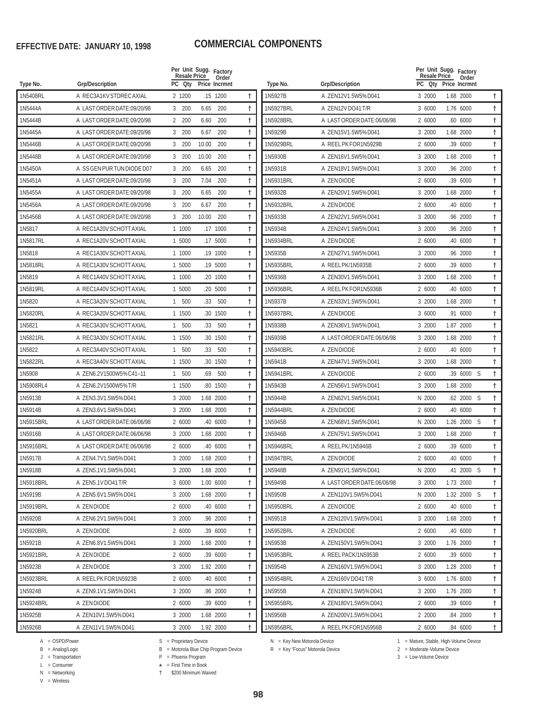|           |                            | Per Unit Sugg. Factory<br><b>Resale Price</b><br>Order |           |                            | Per Unit Sugg. Factory<br>Resale Price<br>Order    |
|-----------|----------------------------|--------------------------------------------------------|-----------|----------------------------|----------------------------------------------------|
| Type No.  | <b>Grp/Description</b>     | PC Qty<br>Price Incrmnt                                | Type No.  | <b>Grp/Description</b>     | PC Qty<br>Price Incrmnt                            |
| 1N5408RL  | A REC3A1KV STDREC AXIAL    | 2 1200<br>.15 1200<br>$\ddagger$                       | 1N5927B   | A ZEN12V1.5W5%D041         | 3 2000<br>1.68 2000<br>$^+$                        |
| 1N5444A   | A LAST ORDER DATE:09/20/98 | 3 200<br>6.65<br>200<br>$^{+}$                         | 1N5927BRL | A ZEN12VDO41T/R            | $\ddagger$<br>3 6000<br>1.76 6000                  |
| 1N5444B   | A LAST ORDER DATE:09/20/98 | 200<br>6.60<br>200<br>$\dagger$<br>$\mathbf{2}$        | 1N5928BRL | A LASTORDER DATE:06/06/98  | $\ddagger$<br>2 6000<br>.60 6000                   |
| 1N5445A   | A LASTORDER DATE:09/20/98  | $^{\dagger}$<br>200<br>6.67<br>200<br>3                | 1N5929B   | A ZEN15V1.5W5%D041         | $^+$<br>3 2000<br>1.68 2000                        |
| 1N5446B   | A LASTORDER DATE:09/20/98  | 200<br>200<br>$\ddagger$<br>10.00<br>3                 | 1N5929BRL | A REELPKFOR1N5929B         | $^+$<br>2 6000<br>.39 6000                         |
| 1N5448B   | A LASTORDER DATE:09/20/98  | 200<br>200<br>$\ddagger$<br>10.00<br>3                 | 1N5930B   | A ZEN16V1.5W5%D041         | $\dagger$<br>3 2000<br>1.68 2000                   |
| 1N5450A   | A SS GEN PUR TUN DIODE D07 | 200<br>6.65<br>200<br>$\ddagger$<br>3                  | 1N5931B   | A ZEN18V1.5W5%D041         | $\dagger$<br>.96 2000<br>3 2000                    |
| 1N5451A   | A LASTORDER DATE:09/20/98  | 200<br>200<br>$\ddagger$<br>7.04<br>3                  | 1N5931BRL | A ZEN DIODE                | .39 6000<br>$^{\dagger}$<br>2 6000                 |
| 1N5455A   | A LASTORDER DATE:09/20/98  | 3 200<br>200<br>6.65<br>$\ddagger$                     | 1N5932B   | A ZEN20V1.5W5%D041         | $\ddagger$<br>3 2000<br>1.68 2000                  |
| 1N5456A   | A LASTORDER DATE:09/20/98  | 200<br>6.67<br>200<br>$^+$<br>3                        | 1N5932BRL | A ZEN DIODE                | $^{\dagger}$<br>2 6000<br>.40 6000                 |
| 1N5456B   | A LAST ORDER DATE:09/20/98 | 200<br>$^{+}$<br>3 200<br>10.00                        | 1N5933B   | A ZEN22V1.5W5%D041         | $\ddagger$<br>3 2000<br>.96 2000                   |
| 1N5817    | A REC1A20V SCHOTT AXIAL    | 1 1000<br>.17 1000<br>$\ddagger$                       | 1N5934B   | A ZEN24V1.5W5%D041         | $\ddagger$<br>3 2000<br>.96 2000                   |
| 1N5817RL  | A REC1A20V SCHOTT AXIAL    | $^{\dagger}$<br>1 5000<br>.17 5000                     | 1N5934BRL | A ZEN DIODE                | $\dagger$<br>2 6000<br>.40 6000                    |
| 1N5818    | A REC1A30V SCHOTT AXIAL    | $\ddagger$<br>1 1000<br>.19 1000                       | 1N5935B   | A ZEN27V1.5W5%D041         | $^{\dagger}$<br>3 2000<br>.96 2000                 |
| 1N5818RL  | A REC1A30V SCHOTT AXIAL    | $\ddagger$<br>1 5000<br>.19 5000                       | 1N5935BRL | A REELPK/1N5935B           | $\dagger$<br>2 6000<br>.39 6000                    |
| 1N5819    | A REC1A40V SCHOTT AXIAL    | .20 1000<br>$\ddagger$<br>1 1000                       | 1N5936B   | A ZEN30V1.5W5%D041         | $\dagger$<br>3 2000<br>1.68 2000                   |
| 1N5819RL  | A REC1A40V SCHOTT AXIAL    | .20 5000<br>$\ddagger$<br>1 5000                       | 1N5936BRL | A REELPKFOR1N5936B         | 2 6000<br>$^{\dagger}$<br>.40 6000                 |
| 1N5820    | A REC3A20V SCHOTT AXIAL    | 500<br>500<br>.33<br>$\ddagger$<br>$\mathbf{1}$        | 1N5937B   | A ZEN33V1.5W5%D041         | $\ddagger$<br>3 2000<br>1.68 2000                  |
| 1N5820RL  | A REC3A20V SCHOTT AXIAL    | 1 1500<br>.30 1500<br>$\ddagger$                       | 1N5937BRL | A ZEN DIODE                | $^{\dagger}$<br>3 6000<br>.91 6000                 |
| 1N5821    | A REC3A30V SCHOTT AXIAL    | 500<br>.33<br>500<br>$^{+}$<br>$\mathbf{1}$            | 1N5938B   | A ZEN36V1.5W5%D041         | $\ddagger$<br>3 2000<br>1.87 2000                  |
| 1N5821RL  | A REC3A30V SCHOTT AXIAL    | 1 1500<br>.30 1500<br>$\ddagger$                       | 1N5939B   | A LASTORDER DATE:06/06/98  | $\ddagger$<br>3 2000<br>1.68 2000                  |
| 1N5822    | A REC3A40V SCHOTT AXIAL    | $\ddagger$<br>500<br>.33<br>500<br>$\mathbf{1}$        | 1N5940BRL | A ZEN DIODE                | $\ddagger$<br>2 6000<br>.40 6000                   |
| 1N5822RL  | A REC3A40V SCHOTT AXIAL    | $\ddagger$<br>1 1500<br>.30 1500                       | 1N5941B   | A ZEN47V1.5W5%D041         | $^+$<br>3 2000<br>1.68 2000                        |
| 1N5908    | A ZEN6.2V1500W5%C41-11     | $\ddagger$<br>500<br>500<br>.69<br>1                   | 1N5941BRL | A ZEN DIODE                | $^+$<br>S<br>2 6000<br>.39 6000                    |
| 1N5908RL4 | A ZEN6.2V1500W5%T/R        | 1 1500<br>.80 1500<br>$\ddagger$                       | 1N5943B   | A ZEN56V1.5W5%D041         | $\dagger$<br>3 2000<br>1.68 2000                   |
| 1N5913B   | A ZEN3.3V1.5W5%D041        | 3 2000<br>1.68 2000<br>$\ddagger$                      | 1N5944B   | A ZEN62V1.5W5%D041         | .62 2000<br><sub>S</sub><br>$^{\dagger}$<br>N 2000 |
| 1N5914B   | A ZEN3.6V1.5W5%D041        | 1.68 2000<br>3 2000<br>$^{+}$                          | 1N5944BRL | A ZEN DIODE                | $\dagger$<br>2 6000<br>.40 6000                    |
| 1N5915BRL | A LASTORDER DATE:06/06/98  | 2 6000<br>.40 6000<br>$\ddagger$                       | 1N5945B   | A ZEN68V1.5W5%D041         | S<br>$^{\dagger}$<br>N 2000<br>1.26 2000           |
| 1N5916B   | A LAST ORDER DATE:06/06/98 | 3 2000<br>1.68 2000<br>$^{+}$                          | 1N5946B   | A ZEN75V1.5W5%D041         | $\ddagger$<br>3 2000<br>1.68 2000                  |
| 1N5916BRL | A LAST ORDER DATE:06/06/98 | 2 6000<br>.40 6000<br>$\ddagger$                       | 1N5946BRL | A REELPK/1N5946B           | $\ddagger$<br>2 6000<br>.39 6000                   |
| 1N5917B   | A ZEN4.7V1.5W5%D041        | $^{\dagger}$<br>3 2000<br>1.68 2000                    | 1N5947BRL | A ZEN DIODE                | $\dagger$<br>2 6000<br>.40 6000                    |
| 1N5918B   | A ZEN5.1V1.5W5%D041        | $\ddagger$<br>1.68 2000<br>3 2000                      | 1N5948B   | A ZEN91V1.5W5%D041         | .41 2000 S<br>$\ddagger$<br>N 2000                 |
| 1N5918BRL | A ZEN5.1VDO41T/R           | $\ddagger$<br>1.00 6000<br>3 6000                      | 1N5949B   | A LAST ORDER DATE:06/06/98 | $^+$<br>3 2000<br>1.73 2000                        |
| 1N5919B   | A ZEN5.6V1.5W5%D041        | 3 2000<br>$\dagger$<br>1.68 2000                       | 1N5950B   | A ZEN110V1.5W5%D041        | N 2000<br>1.32 2000 S                              |
| 1N5919BRL | A ZEN DIODE                | $^\dagger$<br>2 6000<br>.40 6000                       | 1N5950BRL | A ZEN DIODE                | $^+$<br>2 6000<br>.40 6000                         |
| 1N5920B   | A ZEN6.2V1.5W5%D041        | 3 2000<br>.96 2000<br>$\ddagger$                       | 1N5951B   | A ZEN120V1.5W5%D041        | $\dagger$<br>3 2000<br>1.68 2000                   |
| 1N5920BRL | A ZEN DIODE                | 2 6000<br>.39 6000<br>$^\dagger$                       | 1N5952BRL | A ZEN DIODE                | $\dagger$<br>2 6000<br>.40 6000                    |
| 1N5921B   | A ZEN6.8V1.5W5%D041        | $\ddagger$<br>3 2000<br>1.68 2000                      | 1N5953B   | A ZEN150V1.5W5%D041        | $\dagger$<br>3 2000<br>1.76 2000                   |
| 1N5921BRL | A ZEN DIODE                | 2 6000<br>.39 6000<br>t                                | 1N5953BRL | A REELPACK/1N5953B         | $\dagger$<br>2 6000<br>.39 6000                    |
| 1N5923B   | A ZEN DIODE                | $^{\dagger}$<br>3 2000<br>1.92 2000                    | 1N5954B   | A ZEN160V1.5W5%D041        | $\ddagger$<br>3 2000<br>1.28 2000                  |
| 1N5923BRL | A REELPKFOR1N5923B         | $\ddagger$<br>.40 6000<br>2 6000                       | 1N5954BRL | A ZEN160VDO41T/R           | $^{\dagger}$<br>3 6000<br>1.76 6000                |
| 1N5924B   | A ZEN9.1V1.5W5%D041        | .96 2000<br>$^{\dagger}$<br>3 2000                     | 1N5955B   | A ZEN180V1.5W5%D041        | $\ddagger$<br>3 2000<br>1.76 2000                  |
| 1N5924BRL | A ZEN DIODE                | $\ddagger$<br>2 6000<br>.39 6000                       | 1N5955BRL | A ZEN180V1.5W5%D041        | $\ddagger$<br>2 6000<br>.39 6000                   |
| 1N5925B   | A ZEN10V1.5W5%D041         | 3 2000<br>1.68 2000<br>$^{\dagger}$                    | 1N5956B   | A ZEN200V1.5W5%D041        | $^+$<br>2 2000<br>.84 2000                         |
| 1N5926B   | A ZEN11V1.5W5%D041         | 3 2000<br>1.92 2000<br>$^{+}$                          | 1N5956BRL | A REELPKFOR1N5956B         | $\ddagger$<br>2 6000<br>.84 6000                   |

 $L = \text{Consumer}$ <br>  $N = \text{Networking}$ <br>  $V = \text{Wireless}$ 

B = Analog/Logic entropy of the Motorola Blue Chip Program Device R = Key "Focus" Motorola Device 2 = Moderate-Volume Device

J = Transportation P = Phoenix Program 3 = Low-Volume Device

 $L =$  Consumer  $\star =$  First Time in Book

N = Networking extensive that the state of the state of the state of the state of the state of the state of the state of the state of the state of the state of the state of the state of the state of the state of the state

A = OSPD/Power external states and S = Proprietary Device N = Key New Motorola Device 1 = Mature, Stable, High-Volume Device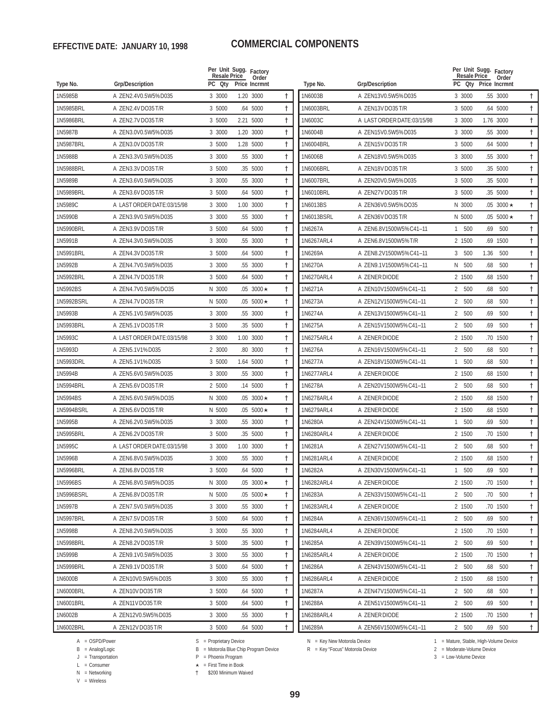|            |                            | Per Unit Sugg. Factory<br><b>Resale Price</b> |            |                           | Per Unit Sugg. Factory<br><b>Resale Price</b>  |
|------------|----------------------------|-----------------------------------------------|------------|---------------------------|------------------------------------------------|
| Type No.   | <b>Grp/Description</b>     | Order<br>PC Qtv<br>Price Incrmnt              | Type No.   | <b>Grp/Description</b>    | Order<br>PC Qty Price Incrmnt                  |
| 1N5985B    | A ZEN2.4V0.5W5%D035        | $^{\dagger}$<br>3 3000<br>1.20 3000           | 1N6003B    | A ZEN13V0.5W5%D035        | $^+$<br>3 3000<br>.55 3000                     |
| 1N5985BRL  | A ZEN2.4VDO35T/R           | $^+$<br>3 5000<br>.64 5000                    | 1N6003BRL  | A ZEN13VDO35T/R           | $^+$<br>3 5000<br>.64 5000                     |
| 1N5986BRL  | A ZEN2.7V DO35 T/R         | $^{\dagger}$<br>3 5000<br>2.21 5000           | 1N6003C    | A LASTORDER DATE:03/15/98 | $\ddagger$<br>3 3000<br>1.76 3000              |
| 1N5987B    | A ZEN3.0V0.5W5%D035        | 3 3000<br>1.20 3000<br>$^{\dagger}$           | 1N6004B    | A ZEN15V0.5W5%D035        | $\ddagger$<br>3 3000<br>.55 3000               |
| 1N5987BRL  | A ZEN3.0VDO35T/R           | $^{\dagger}$<br>3 5000<br>1.28 5000           | 1N6004BRL  | A ZEN15VDO35T/R           | $\dagger$<br>3 5000<br>.64 5000                |
| 1N5988B    | A ZEN3.3V0.5W5%D035        | 3 3000<br>.55 3000<br>$^+$                    | 1N6006B    | A ZEN18V0.5W5%D035        | 3 3000<br>.55 3000<br>$^+$                     |
| 1N5988BRL  | A ZEN3.3VDO35T/R           | $^{\dagger}$<br>3 5000<br>.35 5000            | 1N6006BRL  | A ZEN18VDO35T/R           | 3 5000<br>.35 5000<br>$^\dagger$               |
| 1N5989B    | A ZEN3.6V0.5W5%D035        | $^{\dagger}$<br>3 3000<br>.55 3000            | 1N6007BRL  | A ZEN20V0.5W5%D035        | $\ddagger$<br>3 5000<br>.35 5000               |
| 1N5989BRL  | A ZEN3.6VDO35T/R           | $^{\dagger}$<br>3 5000<br>.64 5000            | 1N6010BRL  | A ZEN27VDO35T/R           | 3 5000<br>.35 5000<br>$\ddagger$               |
| 1N5989C    | A LAST ORDER DATE:03/15/98 | $^{\dagger}$<br>3 3000<br>1.00<br>3000        | 1N6013BS   | A ZEN36V0.5W5%DO35        | $^{\dagger}$<br>N 3000<br>$.05, 3000 \star$    |
| 1N5990B    | A ZEN3.9V0.5W5%D035        | $^{\dagger}$<br>3 3000<br>.55 3000            | 1N6013BSRL | A ZEN36VDO35T/R           | $\ddagger$<br>$.05\ 5000 \star$<br>N 5000      |
| 1N5990BRL  | A ZEN3.9VDO35T/R           | $^{\dagger}$<br>3 5000<br>.64 5000            | 1N6267A    | A ZEN6.8V1500W5%C41-11    | $\dagger$<br>1 500<br>.69<br>500               |
| 1N5991B    | A ZEN4.3V0.5W5%D035        | .55 3000<br>$^+$<br>3 3000                    | 1N6267ARL4 | A ZEN6.8V1500W5%T/R       | $\ddagger$<br>2 1500<br>.69 1500               |
| 1N5991BRL  | A ZEN4.3VDO35T/R           | $^{\dagger}$<br>3 5000<br>.64 5000            | 1N6269A    | A ZEN8.2V1500W5%C41-11    | $\dagger$<br>3 500<br>1.36<br>500              |
| 1N5992B    | A ZEN4.7V0.5W5%D035        | $^{\dagger}$<br>3 3000<br>.55 3000            | 1N6270A    | A ZEN9.1V1500W5%C41-11    | $^{\dagger}$<br>N 500<br>.68<br>500            |
| 1N5992BRL  | A ZEN4.7VDO35T/R           | $^{\dagger}$<br>3 5000<br>.64 5000            | 1N6270ARL4 | A ZENER DIODE             | 2 1500<br>68 1500<br>$^\dagger$                |
| 1N5992BS   | A ZEN4.7V0.5W5%DO35        | $^{\dagger}$<br>N 3000<br>$.05, 3000 \star$   | 1N6271A    | A ZEN10V1500W5%C41-11     | $\ddagger$<br>2 500<br>500<br>.68              |
| 1N5992BSRL | A ZEN4.7VDO35T/R           | $^{\dagger}$<br>N 5000<br>$.05, 5000 \star$   | 1N6273A    | A ZEN12V1500W5%C41-11     | 2 500<br>.68<br>500<br>$^\dagger$              |
| 1N5993B    | A ZEN5.1V0.5W5%D035        | $^{\dagger}$<br>3 3000<br>.55 3000            | 1N6274A    | A ZEN13V1500W5%C41-11     | $^{\dagger}$<br>2 500<br>.69<br>500            |
| 1N5993BRL  | A ZEN5.1VDO35T/R           | $^{\dagger}$<br>3 5000<br>.35 5000            | 1N6275A    | A ZEN15V1500W5%C41-11     | 500<br>$\dagger$<br>$\mathbf{2}$<br>500<br>.69 |
| 1N5993C    | A LAST ORDER DATE:03/15/98 | $^{\dagger}$<br>3 3000<br>1.00 3000           | 1N6275ARL4 | A ZENER DIODE             | $\dagger$<br>2 1500<br>.70 1500                |
| 1N5993D    | A ZEN5.1V1%D035            | .80 3000<br>$^+$<br>2 3000                    | 1N6276A    | A ZEN16V1500W5%C41-11     | $\ddagger$<br>2 500<br>500<br>.68              |
| 1N5993DRL  | A ZEN5.1V1%D035            | $^\dagger$<br>3 5000<br>1.64 5000             | 1N6277A    | A ZEN18V1500W5%C41-11     | $\dagger$<br>1 500<br>.68<br>500               |
| 1N5994B    | A ZEN5.6V0.5W5%D035        | $^{\dagger}$<br>3 3000<br>.55 3000            | 1N6277ARL4 | A ZENER DIODE             | 2 1500<br>.68 1500<br>$^+$                     |
| 1N5994BRL  | A ZEN5.6VDO35T/R           | $^{\dagger}$<br>2 5000<br>.14 5000            | 1N6278A    | A ZEN20V1500W5%C41-11     | 2 500<br>.68<br>500<br>$^\dagger$              |
| 1N5994BS   | A ZEN5.6V0.5W5%DO35        | $^+$<br>N 3000<br>$.05, 3000 \star$           | 1N6278ARL4 | A ZENER DIODE             | $\ddagger$<br>2 1500<br>.68 1500               |
| 1N5994BSRL | A ZEN5.6VDO35T/R           | $^{\dagger}$<br>N 5000<br>$.05, 5000 \star$   | 1N6279ARL4 | A ZENER DIODE             | 2 1500<br>68 1500<br>$\ddagger$                |
| 1N5995B    | A ZEN6.2V0.5W5%D035        | $^{\dagger}$<br>3 3000<br>.55 3000            | 1N6280A    | A ZEN24V1500W5%C41-11     | $^{\dagger}$<br>1 500<br>.69<br>500            |
| 1N5995BRL  | A ZEN6.2V DO35 T/R         | $^{\dagger}$<br>3 5000<br>.35 5000            | 1N6280ARL4 | A ZENER DIODE             | .70 1500<br>$\ddagger$<br>2 1500               |
| 1N5995C    | A LAST ORDER DATE:03/15/98 | $^{\dagger}$<br>3 3000<br>1.00 3000           | 1N6281A    | A ZEN27V1500W5%C41-11     | $\dagger$<br>2 500<br>.68<br>500               |
| 1N5996B    | A ZEN6.8V0.5W5%D035        | 3 3000<br>.55 3000<br>$^+$                    | 1N6281ARL4 | A ZENER DIODE             | .68 1500<br>$\ddagger$<br>2 1500               |
| 1N5996BRL  | A ZEN6.8VDO35T/R           | $+$<br>3 5000<br>64 5000                      | 1N6282A    | A ZEN30V1500W5%C41-11     | $^+$<br>1 500<br>.69<br>500                    |
| 1N5996BS   | A ZEN6.8V0.5W5%DO35        | N 3000<br>$.05 \, 3000 \star$<br>$^+$         | 1N6282ARL4 | A ZENER DIODE             | $^+$<br>2 1500<br>.70 1500                     |
| 1N5996BSRL | A ZEN6.8VDO35T/R           | $^\dagger$<br>N 5000<br>$.05, 5000 \star$     | 1N6283A    | A ZEN33V1500W5%C41-11     | 2 500<br>.70 500<br>Ť                          |
| 1N5997B    | A ZEN7.5V0.5W5%D035        | t.<br>3 3000<br>.55 3000                      | 1N6283ARL4 | A ZENER DIODE             | 2 1500<br>.70 1500<br>Ť.                       |
| 1N5997BRL  | A ZEN7.5VDO35T/R           | $^{\dagger}$<br>3 5000<br>.64 5000            | 1N6284A    | A ZEN36V1500W5%C41-11     | 2 500<br>.69<br>500<br>$^\dagger$              |
| 1N5998B    | A ZEN8.2V0.5W5%D035        | $^{\dagger}$<br>3 3000<br>.55 3000            | 1N6284ARL4 | A ZENER DIODE             | $\dagger$<br>2 1500<br>.70 1500                |
| 1N5998BRL  | A ZEN8.2VDO35T/R           | $^{\dagger}$<br>3 5000<br>.35 5000            | 1N6285A    | A ZEN39V1500W5%C41-11     | 500<br>$\ddagger$<br>2 500<br>.69              |
| 1N5999B    | A ZEN9.1V0.5W5%D035        | $\ddagger$<br>.55 3000<br>3 3000              | 1N6285ARL4 | A ZENER DIODE             | $^\dagger$<br>2 1500<br>.70 1500               |
| 1N5999BRL  | A ZEN9.1VDO35T/R           | .64 5000<br>t.<br>3 5000                      | 1N6286A    | A ZEN43V1500W5%C41-11     | Ť<br>2 500<br>500<br>.68                       |
| 1N6000B    | A ZEN10V0.5W5%D035         | .55 3000<br>$^\dagger$<br>3 3000              | 1N6286ARL4 | A ZENER DIODE             | 2 1500<br>.68 1500<br>$^{\dagger}$             |
| 1N6000BRL  | A ZEN10V DO35 T/R          | 3 5000<br>.64 5000<br>Ť.                      | 1N6287A    | A ZEN47V1500W5%C41-11     | 2 500<br>500<br>Ť.<br>.68                      |
| 1N6001BRL  | A ZEN11VDO35T/R            | $^\dagger$<br>3 5000<br>.64 5000              | 1N6288A    | A ZEN51V1500W5%C41-11     | 2 500<br>.69<br>500<br>Ť                       |
| 1N6002B    | A ZEN12V0.5W5%D035         | t.<br>3 3000<br>.55 3000                      | 1N6288ARL4 | A ZENER DIODE             | 2 1500<br>Ť<br>.70 1500                        |
| 1N6002BRL  | A ZEN12V DO35 T/R          | $^{\dagger}$<br>3 5000<br>.64 5000            | 1N6289A    | A ZEN56V1500W5%C41-11     | $^+$<br>2 500<br>.69<br>500                    |

- 
- 
- $L = \text{Consumer}$ <br>  $N = \text{Networking}$ <br>  $V = \text{Wireless}$
- 
- 

B = Analog/Logic computer by a motorola Blue Chip Program Device R = Key "Focus" Motorola Device 2 = Moderate-Volume Device

J = Transportation P = Phoenix Program 3 = Low-Volume Device

 $L =$  Consumer  $\star =$  First Time in Book

N = Networking - and the state of the state of the state of the state of the state of the state of the state of the state of the state of the state of the state of the state of the state of the state of the state of the st